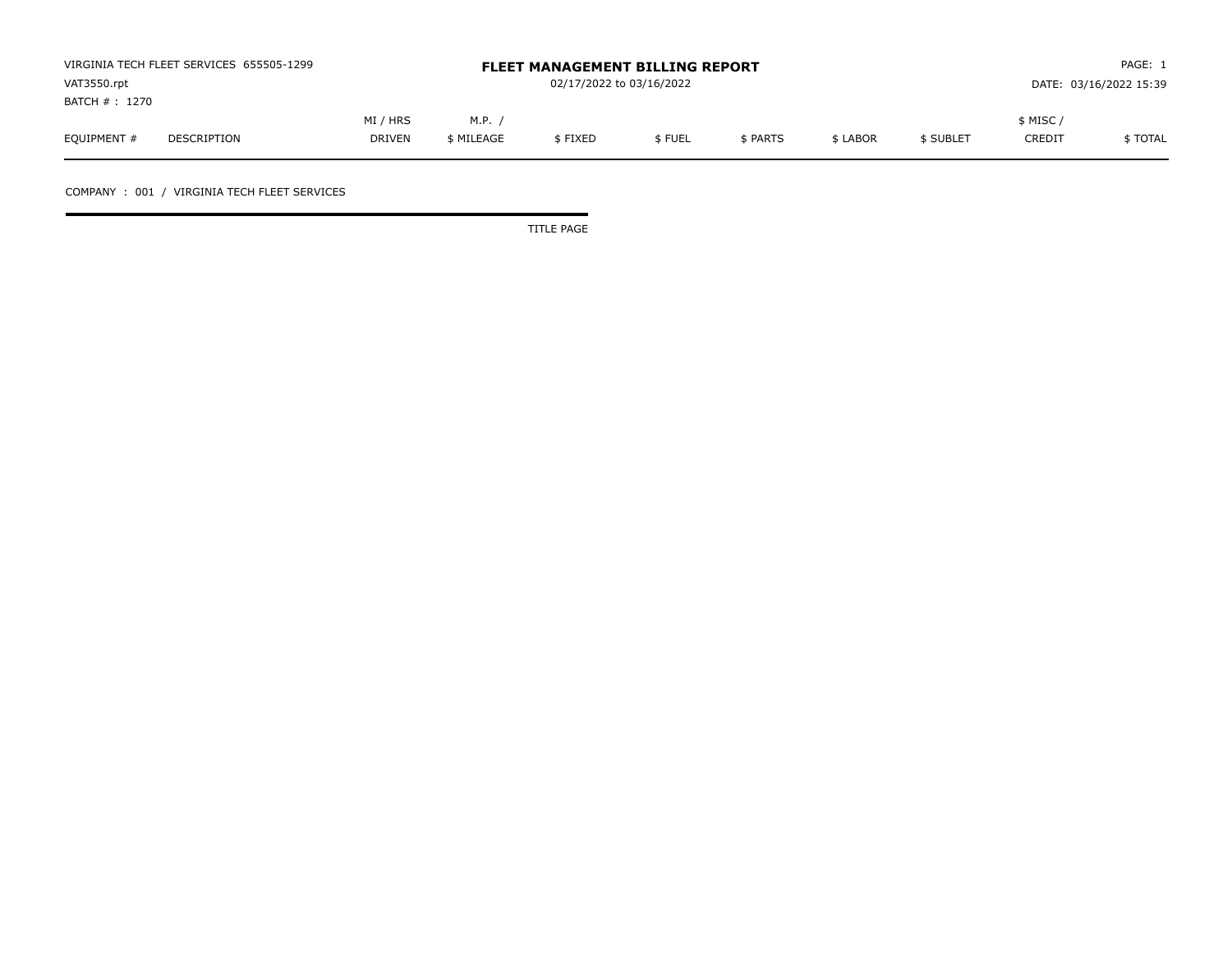|                | VIRGINIA TECH FLEET SERVICES 655505-1299 |               |            | <b>FLEET MANAGEMENT BILLING REPORT</b> |        |                        |          |           | PAGE: 1       |          |  |
|----------------|------------------------------------------|---------------|------------|----------------------------------------|--------|------------------------|----------|-----------|---------------|----------|--|
| VAT3550.rpt    |                                          |               |            | 02/17/2022 to 03/16/2022               |        | DATE: 03/16/2022 15:39 |          |           |               |          |  |
| BATCH # : 1270 |                                          |               |            |                                        |        |                        |          |           |               |          |  |
|                |                                          | MI / HRS      | M.P.       |                                        |        |                        |          |           | \$ MISC /     |          |  |
| EQUIPMENT #    | DESCRIPTION                              | <b>DRIVEN</b> | \$ MILEAGE | \$FIXED                                | \$FUEL | \$ PARTS               | \$ LABOR | \$ SUBLET | <b>CREDIT</b> | \$ TOTAL |  |

COMPANY : 001 / VIRGINIA TECH FLEET SERVICES

TITLE PAGE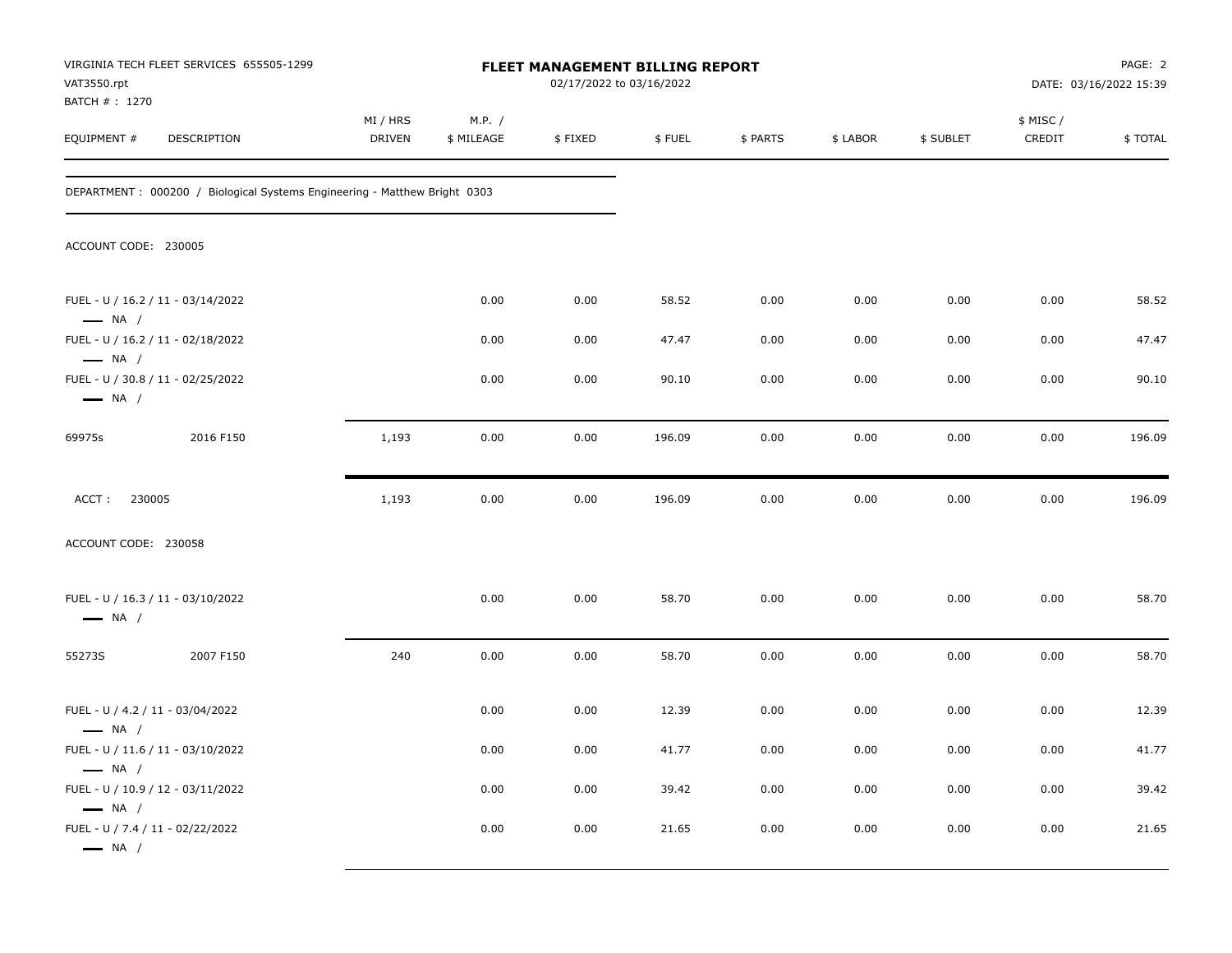| VAT3550.rpt                                                                          | VIRGINIA TECH FLEET SERVICES 655505-1299                                  |                           |                      |         | FLEET MANAGEMENT BILLING REPORT<br>02/17/2022 to 03/16/2022 |          |          |           |                    | PAGE: 2<br>DATE: 03/16/2022 15:39 |
|--------------------------------------------------------------------------------------|---------------------------------------------------------------------------|---------------------------|----------------------|---------|-------------------------------------------------------------|----------|----------|-----------|--------------------|-----------------------------------|
| BATCH # : 1270<br>EQUIPMENT #                                                        | DESCRIPTION                                                               | MI / HRS<br><b>DRIVEN</b> | M.P. /<br>\$ MILEAGE | \$FIXED | \$FUEL                                                      | \$ PARTS | \$ LABOR | \$ SUBLET | \$ MISC/<br>CREDIT | \$TOTAL                           |
|                                                                                      | DEPARTMENT: 000200 / Biological Systems Engineering - Matthew Bright 0303 |                           |                      |         |                                                             |          |          |           |                    |                                   |
| ACCOUNT CODE: 230005                                                                 |                                                                           |                           |                      |         |                                                             |          |          |           |                    |                                   |
| FUEL - U / 16.2 / 11 - 03/14/2022<br>$\longrightarrow$ NA /                          |                                                                           |                           | 0.00                 | 0.00    | 58.52                                                       | 0.00     | 0.00     | 0.00      | 0.00               | 58.52                             |
| FUEL - U / 16.2 / 11 - 02/18/2022<br>$\longrightarrow$ NA /                          |                                                                           |                           | 0.00                 | 0.00    | 47.47                                                       | 0.00     | 0.00     | 0.00      | 0.00               | 47.47                             |
| FUEL - U / 30.8 / 11 - 02/25/2022<br>$\longrightarrow$ NA /                          |                                                                           |                           | 0.00                 | 0.00    | 90.10                                                       | 0.00     | 0.00     | 0.00      | 0.00               | 90.10                             |
| 69975s                                                                               | 2016 F150                                                                 | 1,193                     | 0.00                 | 0.00    | 196.09                                                      | 0.00     | 0.00     | 0.00      | 0.00               | 196.09                            |
| 230005<br>ACCT:                                                                      |                                                                           | 1,193                     | 0.00                 | 0.00    | 196.09                                                      | 0.00     | 0.00     | 0.00      | 0.00               | 196.09                            |
| ACCOUNT CODE: 230058                                                                 |                                                                           |                           |                      |         |                                                             |          |          |           |                    |                                   |
| FUEL - U / 16.3 / 11 - 03/10/2022<br>$\longrightarrow$ NA /                          |                                                                           |                           | 0.00                 | 0.00    | 58.70                                                       | 0.00     | 0.00     | 0.00      | 0.00               | 58.70                             |
| 55273S                                                                               | 2007 F150                                                                 | 240                       | 0.00                 | 0.00    | 58.70                                                       | 0.00     | 0.00     | 0.00      | 0.00               | 58.70                             |
| FUEL - U / 4.2 / 11 - 03/04/2022<br>$\longrightarrow$ NA /                           |                                                                           |                           | 0.00                 | 0.00    | 12.39                                                       | 0.00     | 0.00     | 0.00      | 0.00               | 12.39                             |
| FUEL - U / 11.6 / 11 - 03/10/2022<br>$\longrightarrow$ NA /                          |                                                                           |                           | 0.00                 | 0.00    | 41.77                                                       | 0.00     | 0.00     | 0.00      | 0.00               | 41.77                             |
| FUEL - U / 10.9 / 12 - 03/11/2022                                                    |                                                                           |                           | 0.00                 | 0.00    | 39.42                                                       | 0.00     | 0.00     | 0.00      | $0.00\,$           | 39.42                             |
| $\longrightarrow$ NA /<br>FUEL - U / 7.4 / 11 - 02/22/2022<br>$\longrightarrow$ NA / |                                                                           |                           | 0.00                 | 0.00    | 21.65                                                       | 0.00     | 0.00     | 0.00      | 0.00               | 21.65                             |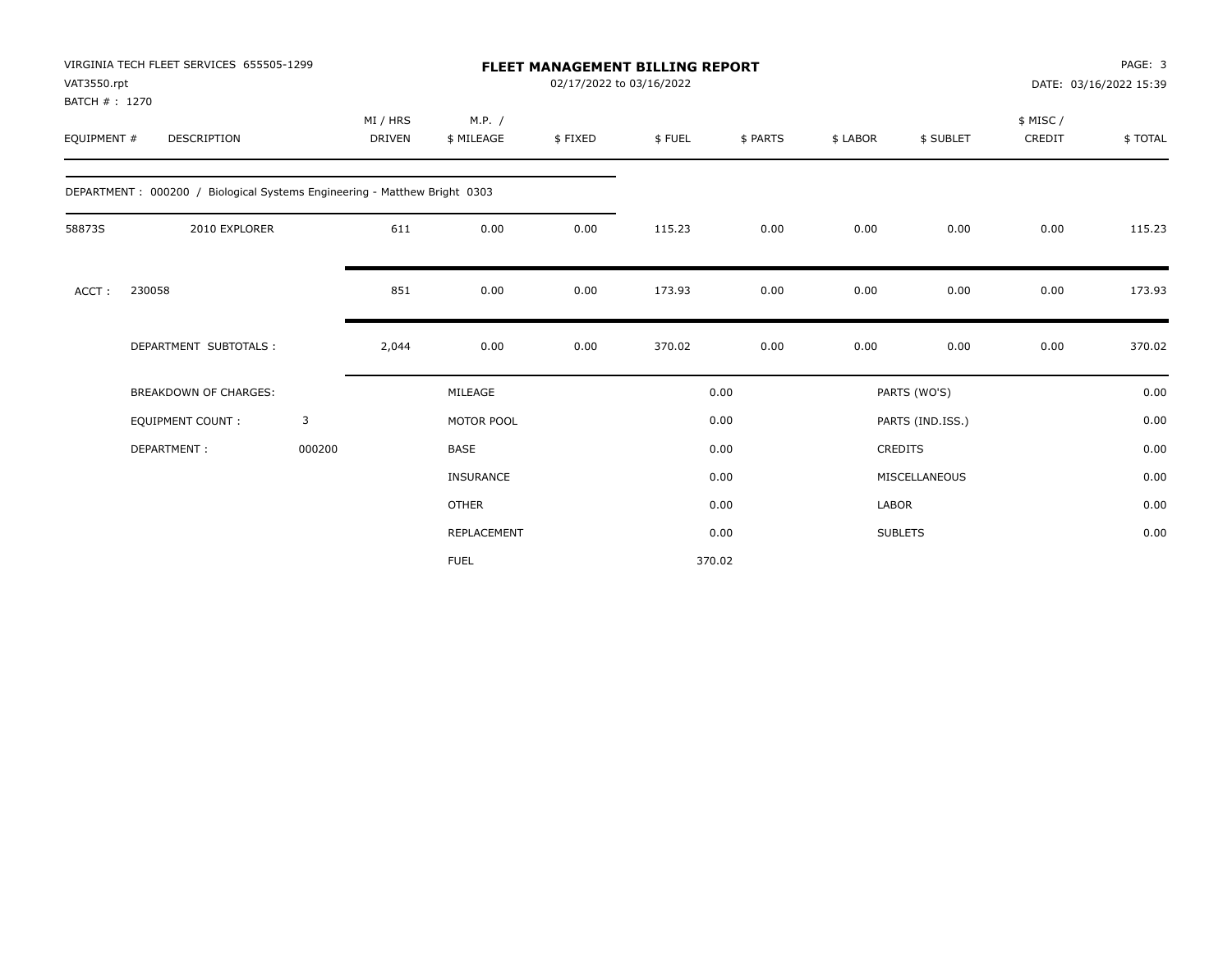| VAT3550.rpt                  | VIRGINIA TECH FLEET SERVICES 655505-1299                                  |        |                           |                      |         | <b>FLEET MANAGEMENT BILLING REPORT</b><br>02/17/2022 to 03/16/2022 |          |              |                  |                    | PAGE: 3<br>DATE: 03/16/2022 15:39 |
|------------------------------|---------------------------------------------------------------------------|--------|---------------------------|----------------------|---------|--------------------------------------------------------------------|----------|--------------|------------------|--------------------|-----------------------------------|
| BATCH #: 1270<br>EQUIPMENT # | <b>DESCRIPTION</b>                                                        |        | MI / HRS<br><b>DRIVEN</b> | M.P. /<br>\$ MILEAGE | \$FIXED | \$FUEL                                                             | \$ PARTS | \$ LABOR     | \$ SUBLET        | \$ MISC/<br>CREDIT | \$TOTAL                           |
|                              | DEPARTMENT: 000200 / Biological Systems Engineering - Matthew Bright 0303 |        |                           |                      |         |                                                                    |          |              |                  |                    |                                   |
| 58873S                       | 2010 EXPLORER                                                             |        | 611                       | 0.00                 | 0.00    | 115.23                                                             | 0.00     | 0.00         | 0.00             | 0.00               | 115.23                            |
| ACCT:                        | 230058                                                                    |        | 851                       | 0.00                 | 0.00    | 173.93                                                             | 0.00     | 0.00         | 0.00             | 0.00               | 173.93                            |
|                              | DEPARTMENT SUBTOTALS :                                                    |        | 2,044                     | 0.00                 | 0.00    | 370.02                                                             | 0.00     | 0.00         | 0.00             | 0.00               | 370.02                            |
|                              | <b>BREAKDOWN OF CHARGES:</b>                                              |        |                           | MILEAGE              |         |                                                                    | 0.00     |              | PARTS (WO'S)     |                    | 0.00                              |
|                              | <b>EQUIPMENT COUNT:</b>                                                   | 3      |                           | MOTOR POOL           |         |                                                                    | 0.00     |              | PARTS (IND.ISS.) |                    | 0.00                              |
|                              | DEPARTMENT:                                                               | 000200 |                           | <b>BASE</b>          |         |                                                                    | 0.00     |              | CREDITS          |                    | 0.00                              |
|                              |                                                                           |        |                           | <b>INSURANCE</b>     |         |                                                                    | 0.00     |              | MISCELLANEOUS    |                    | 0.00                              |
|                              |                                                                           |        |                           | <b>OTHER</b>         |         |                                                                    | 0.00     | <b>LABOR</b> |                  |                    | 0.00                              |
|                              |                                                                           |        |                           | REPLACEMENT          |         |                                                                    | 0.00     |              | <b>SUBLETS</b>   |                    | 0.00                              |
|                              |                                                                           |        |                           | <b>FUEL</b>          |         |                                                                    | 370.02   |              |                  |                    |                                   |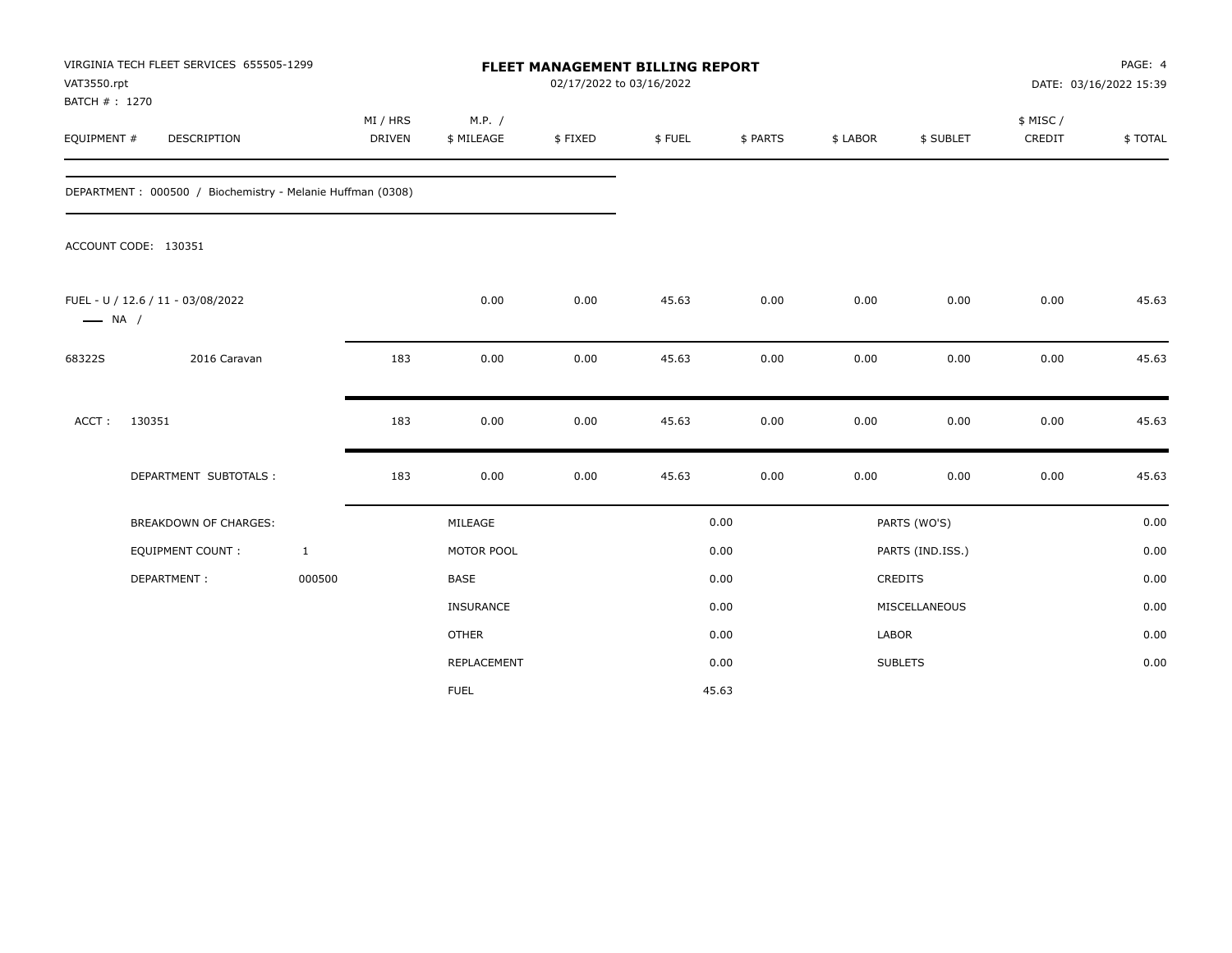| VAT3550.rpt            | VIRGINIA TECH FLEET SERVICES 655505-1299<br>BATCH #: 1270<br><b>DESCRIPTION</b> |              |                           |                      | FLEET MANAGEMENT BILLING REPORT<br>02/17/2022 to 03/16/2022 |        |          |          |                  | PAGE: 4<br>DATE: 03/16/2022 15:39 |         |
|------------------------|---------------------------------------------------------------------------------|--------------|---------------------------|----------------------|-------------------------------------------------------------|--------|----------|----------|------------------|-----------------------------------|---------|
| EQUIPMENT #            |                                                                                 |              | MI / HRS<br><b>DRIVEN</b> | M.P. /<br>\$ MILEAGE | \$FIXED                                                     | \$FUEL | \$ PARTS | \$ LABOR | \$ SUBLET        | \$ MISC/<br>CREDIT                | \$TOTAL |
|                        | DEPARTMENT: 000500 / Biochemistry - Melanie Huffman (0308)                      |              |                           |                      |                                                             |        |          |          |                  |                                   |         |
|                        | ACCOUNT CODE: 130351                                                            |              |                           |                      |                                                             |        |          |          |                  |                                   |         |
| $\longrightarrow$ NA / | FUEL - U / 12.6 / 11 - 03/08/2022                                               |              |                           | 0.00                 | 0.00                                                        | 45.63  | 0.00     | 0.00     | 0.00             | 0.00                              | 45.63   |
| 68322S                 | 2016 Caravan                                                                    |              | 183                       | 0.00                 | 0.00                                                        | 45.63  | 0.00     | 0.00     | 0.00             | 0.00                              | 45.63   |
| ACCT:                  | 130351                                                                          |              | 183                       | 0.00                 | 0.00                                                        | 45.63  | 0.00     | 0.00     | 0.00             | 0.00                              | 45.63   |
|                        | DEPARTMENT SUBTOTALS :                                                          |              | 183                       | 0.00                 | 0.00                                                        | 45.63  | 0.00     | 0.00     | 0.00             | 0.00                              | 45.63   |
|                        | <b>BREAKDOWN OF CHARGES:</b>                                                    |              |                           | MILEAGE              |                                                             |        | 0.00     |          | PARTS (WO'S)     |                                   | 0.00    |
|                        | <b>EQUIPMENT COUNT:</b>                                                         | $\mathbf{1}$ |                           | MOTOR POOL           |                                                             |        | 0.00     |          | PARTS (IND.ISS.) |                                   | 0.00    |
|                        | DEPARTMENT:                                                                     | 000500       |                           | <b>BASE</b>          |                                                             |        | 0.00     |          | <b>CREDITS</b>   |                                   | 0.00    |
|                        |                                                                                 |              |                           | INSURANCE            |                                                             |        | 0.00     |          | MISCELLANEOUS    |                                   | 0.00    |
|                        |                                                                                 |              |                           | <b>OTHER</b>         |                                                             |        | 0.00     | LABOR    |                  |                                   | 0.00    |
|                        |                                                                                 |              |                           | REPLACEMENT          |                                                             |        | 0.00     |          | <b>SUBLETS</b>   |                                   | 0.00    |
|                        |                                                                                 |              |                           | <b>FUEL</b>          |                                                             |        | 45.63    |          |                  |                                   |         |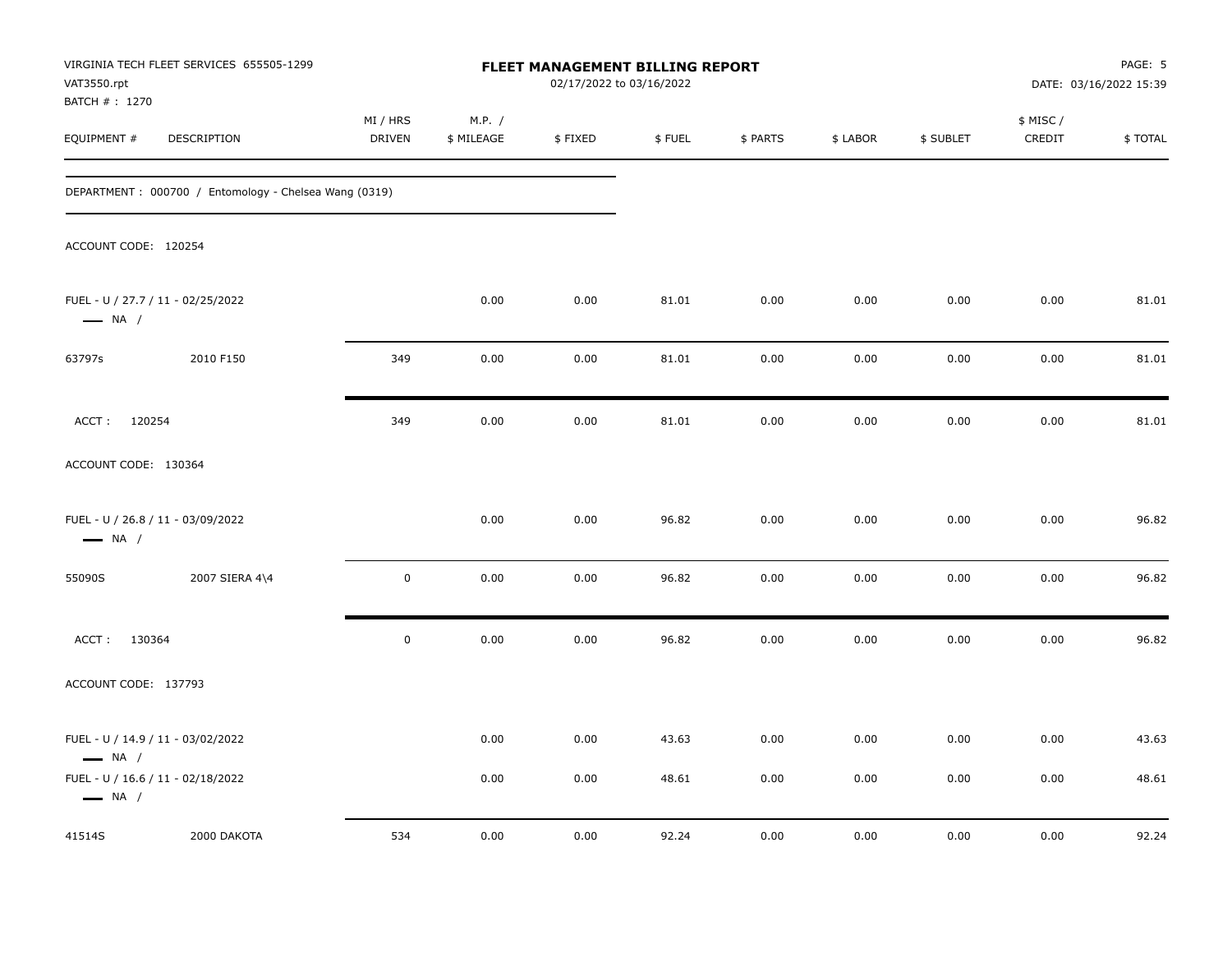| VAT3550.rpt<br>BATCH # : 1270 | VIRGINIA TECH FLEET SERVICES 655505-1299              |                           |                      | FLEET MANAGEMENT BILLING REPORT<br>02/17/2022 to 03/16/2022 |        |          |          |           |                    | PAGE: 5<br>DATE: 03/16/2022 15:39 |
|-------------------------------|-------------------------------------------------------|---------------------------|----------------------|-------------------------------------------------------------|--------|----------|----------|-----------|--------------------|-----------------------------------|
| EQUIPMENT #                   | DESCRIPTION                                           | MI / HRS<br><b>DRIVEN</b> | M.P. /<br>\$ MILEAGE | \$FIXED                                                     | \$FUEL | \$ PARTS | \$ LABOR | \$ SUBLET | \$ MISC/<br>CREDIT | \$TOTAL                           |
|                               | DEPARTMENT: 000700 / Entomology - Chelsea Wang (0319) |                           |                      |                                                             |        |          |          |           |                    |                                   |
| ACCOUNT CODE: 120254          |                                                       |                           |                      |                                                             |        |          |          |           |                    |                                   |
| $\longrightarrow$ NA /        | FUEL - U / 27.7 / 11 - 02/25/2022                     |                           | 0.00                 | 0.00                                                        | 81.01  | 0.00     | 0.00     | 0.00      | 0.00               | 81.01                             |
| 63797s                        | 2010 F150                                             | 349                       | 0.00                 | 0.00                                                        | 81.01  | 0.00     | 0.00     | 0.00      | 0.00               | 81.01                             |
| ACCT: 120254                  |                                                       | 349                       | 0.00                 | 0.00                                                        | 81.01  | 0.00     | 0.00     | 0.00      | 0.00               | 81.01                             |
| ACCOUNT CODE: 130364          |                                                       |                           |                      |                                                             |        |          |          |           |                    |                                   |
| $\longrightarrow$ NA /        | FUEL - U / 26.8 / 11 - 03/09/2022                     |                           | 0.00                 | 0.00                                                        | 96.82  | 0.00     | 0.00     | 0.00      | 0.00               | 96.82                             |
| 55090S                        | 2007 SIERA 4\4                                        | $\pmb{0}$                 | 0.00                 | 0.00                                                        | 96.82  | 0.00     | 0.00     | 0.00      | 0.00               | 96.82                             |
| ACCT: 130364                  |                                                       | $\mathbf 0$               | 0.00                 | 0.00                                                        | 96.82  | 0.00     | 0.00     | 0.00      | 0.00               | 96.82                             |
| ACCOUNT CODE: 137793          |                                                       |                           |                      |                                                             |        |          |          |           |                    |                                   |
| $\longrightarrow$ NA /        | FUEL - U / 14.9 / 11 - 03/02/2022                     |                           | 0.00                 | 0.00                                                        | 43.63  | 0.00     | 0.00     | 0.00      | 0.00               | 43.63                             |
| $\longrightarrow$ NA /        | FUEL - U / 16.6 / 11 - 02/18/2022                     |                           | 0.00                 | 0.00                                                        | 48.61  | 0.00     | 0.00     | 0.00      | 0.00               | 48.61                             |
| 41514S                        | 2000 DAKOTA                                           | 534                       | 0.00                 | 0.00                                                        | 92.24  | 0.00     | 0.00     | 0.00      | 0.00               | 92.24                             |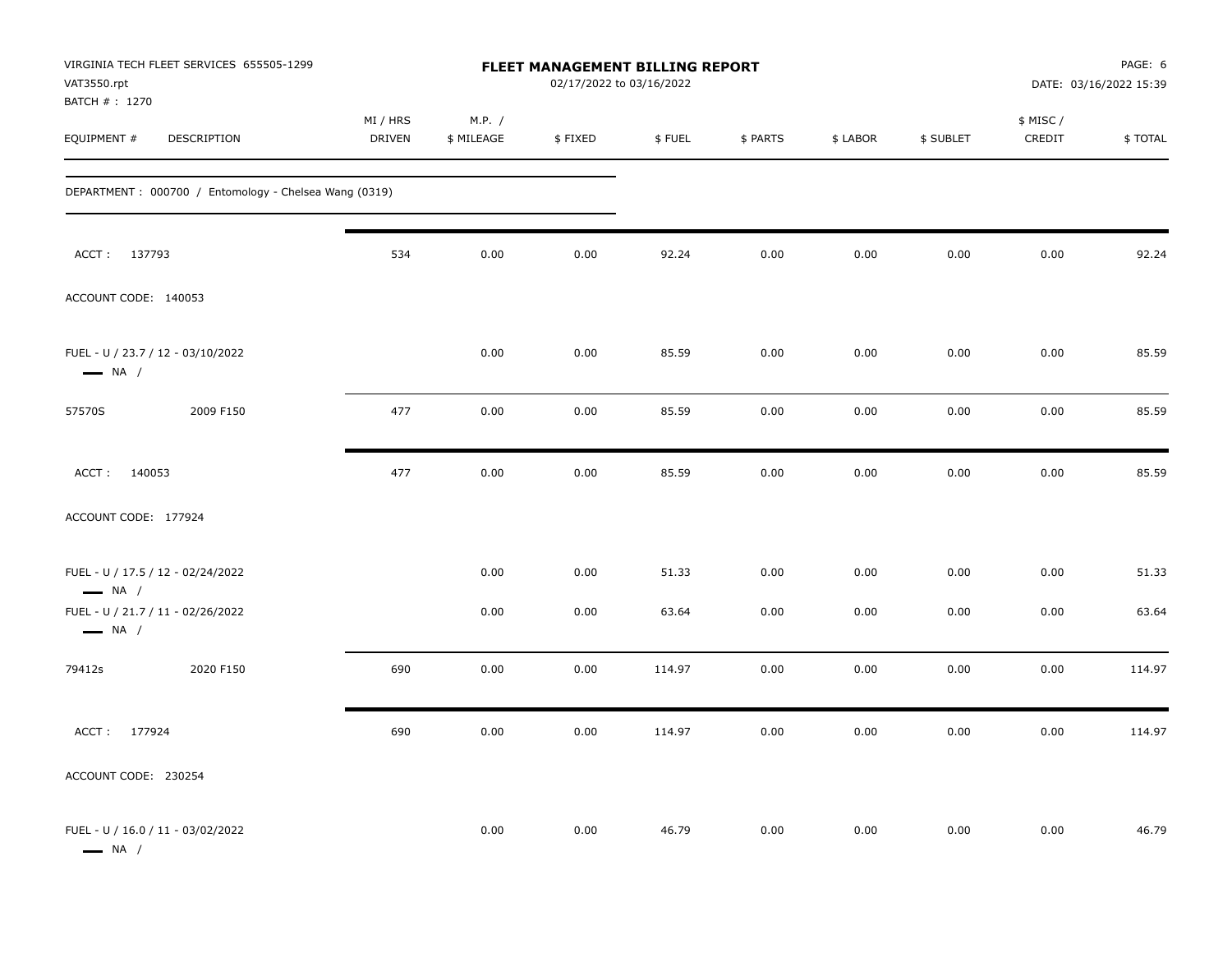| VAT3550.rpt<br>BATCH # : 1270 | VIRGINIA TECH FLEET SERVICES 655505-1299              |                           |                      |         | FLEET MANAGEMENT BILLING REPORT<br>02/17/2022 to 03/16/2022 |          |          |           |                     | PAGE: 6<br>DATE: 03/16/2022 15:39 |
|-------------------------------|-------------------------------------------------------|---------------------------|----------------------|---------|-------------------------------------------------------------|----------|----------|-----------|---------------------|-----------------------------------|
| EQUIPMENT #                   | DESCRIPTION                                           | MI / HRS<br><b>DRIVEN</b> | M.P. /<br>\$ MILEAGE | \$FIXED | \$FUEL                                                      | \$ PARTS | \$ LABOR | \$ SUBLET | \$ MISC /<br>CREDIT | \$TOTAL                           |
|                               | DEPARTMENT: 000700 / Entomology - Chelsea Wang (0319) |                           |                      |         |                                                             |          |          |           |                     |                                   |
| ACCT: 137793                  |                                                       | 534                       | 0.00                 | 0.00    | 92.24                                                       | 0.00     | 0.00     | 0.00      | 0.00                | 92.24                             |
| ACCOUNT CODE: 140053          |                                                       |                           |                      |         |                                                             |          |          |           |                     |                                   |
| $\longrightarrow$ NA /        | FUEL - U / 23.7 / 12 - 03/10/2022                     |                           | 0.00                 | 0.00    | 85.59                                                       | 0.00     | 0.00     | 0.00      | 0.00                | 85.59                             |
| 57570S                        | 2009 F150                                             | 477                       | 0.00                 | 0.00    | 85.59                                                       | 0.00     | 0.00     | 0.00      | 0.00                | 85.59                             |
| ACCT: 140053                  |                                                       | 477                       | 0.00                 | 0.00    | 85.59                                                       | 0.00     | 0.00     | 0.00      | 0.00                | 85.59                             |
| ACCOUNT CODE: 177924          |                                                       |                           |                      |         |                                                             |          |          |           |                     |                                   |
| $\longrightarrow$ NA /        | FUEL - U / 17.5 / 12 - 02/24/2022                     |                           | 0.00                 | 0.00    | 51.33                                                       | 0.00     | 0.00     | 0.00      | 0.00                | 51.33                             |
| $\longrightarrow$ NA /        | FUEL - U / 21.7 / 11 - 02/26/2022                     |                           | 0.00                 | 0.00    | 63.64                                                       | 0.00     | 0.00     | 0.00      | 0.00                | 63.64                             |
| 79412s                        | 2020 F150                                             | 690                       | 0.00                 | 0.00    | 114.97                                                      | 0.00     | 0.00     | 0.00      | 0.00                | 114.97                            |
| ACCT: 177924                  |                                                       | 690                       | 0.00                 | 0.00    | 114.97                                                      | 0.00     | 0.00     | 0.00      | 0.00                | 114.97                            |
| ACCOUNT CODE: 230254          |                                                       |                           |                      |         |                                                             |          |          |           |                     |                                   |
| $\longrightarrow$ NA /        | FUEL - U / 16.0 / 11 - 03/02/2022                     |                           | 0.00                 | 0.00    | 46.79                                                       | 0.00     | 0.00     | 0.00      | 0.00                | 46.79                             |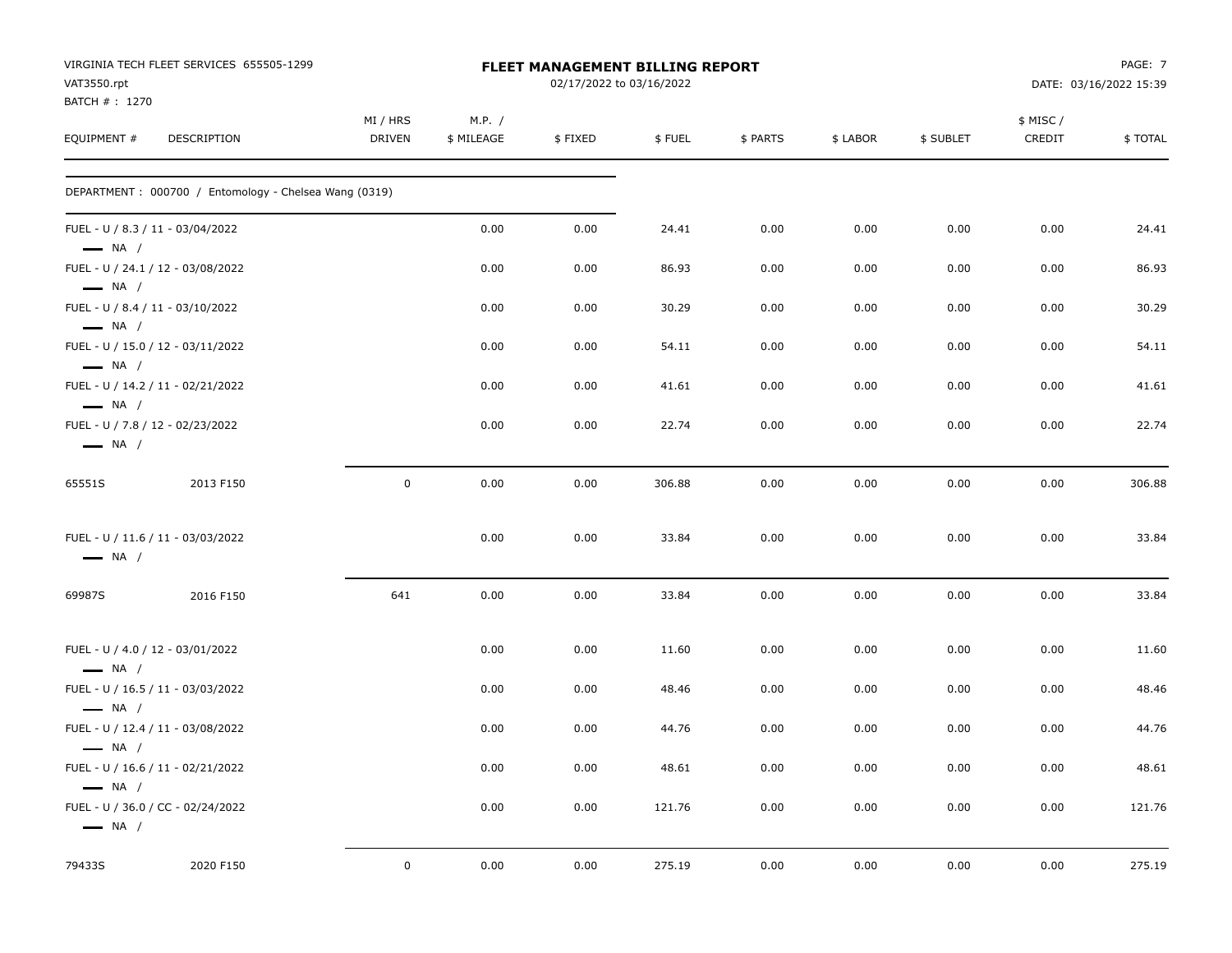| VAT3550.rpt<br>BATCH # : 1270 | VIRGINIA TECH FLEET SERVICES 655505-1299              |                    |                      | FLEET MANAGEMENT BILLING REPORT<br>02/17/2022 to 03/16/2022 |        |          |          |           |                    | PAGE: 7<br>DATE: 03/16/2022 15:39 |
|-------------------------------|-------------------------------------------------------|--------------------|----------------------|-------------------------------------------------------------|--------|----------|----------|-----------|--------------------|-----------------------------------|
| EQUIPMENT #                   | DESCRIPTION                                           | MI / HRS<br>DRIVEN | M.P. /<br>\$ MILEAGE | \$FIXED                                                     | \$FUEL | \$ PARTS | \$ LABOR | \$ SUBLET | \$ MISC/<br>CREDIT | \$TOTAL                           |
|                               | DEPARTMENT: 000700 / Entomology - Chelsea Wang (0319) |                    |                      |                                                             |        |          |          |           |                    |                                   |
| $\longrightarrow$ NA /        | FUEL - U / 8.3 / 11 - 03/04/2022                      |                    | 0.00                 | 0.00                                                        | 24.41  | 0.00     | 0.00     | 0.00      | 0.00               | 24.41                             |
| $\longrightarrow$ NA /        | FUEL - U / 24.1 / 12 - 03/08/2022                     |                    | 0.00                 | 0.00                                                        | 86.93  | 0.00     | 0.00     | 0.00      | 0.00               | 86.93                             |
| $\longrightarrow$ NA /        | FUEL - U / 8.4 / 11 - 03/10/2022                      |                    | 0.00                 | 0.00                                                        | 30.29  | 0.00     | 0.00     | 0.00      | 0.00               | 30.29                             |
| $\longrightarrow$ NA /        | FUEL - U / 15.0 / 12 - 03/11/2022                     |                    | 0.00                 | 0.00                                                        | 54.11  | 0.00     | 0.00     | 0.00      | 0.00               | 54.11                             |
| $\longrightarrow$ NA /        | FUEL - U / 14.2 / 11 - 02/21/2022                     |                    | 0.00                 | 0.00                                                        | 41.61  | 0.00     | 0.00     | 0.00      | 0.00               | 41.61                             |
| $\longrightarrow$ NA /        | FUEL - U / 7.8 / 12 - 02/23/2022                      |                    | 0.00                 | 0.00                                                        | 22.74  | 0.00     | 0.00     | 0.00      | 0.00               | 22.74                             |
| 65551S                        | 2013 F150                                             | $\mathbf 0$        | 0.00                 | 0.00                                                        | 306.88 | 0.00     | 0.00     | 0.00      | 0.00               | 306.88                            |
| $\longrightarrow$ NA /        | FUEL - U / 11.6 / 11 - 03/03/2022                     |                    | 0.00                 | 0.00                                                        | 33.84  | 0.00     | 0.00     | 0.00      | 0.00               | 33.84                             |
| 69987S                        | 2016 F150                                             | 641                | 0.00                 | 0.00                                                        | 33.84  | 0.00     | 0.00     | 0.00      | 0.00               | 33.84                             |
| $\longrightarrow$ NA /        | FUEL - U / 4.0 / 12 - 03/01/2022                      |                    | 0.00                 | 0.00                                                        | 11.60  | 0.00     | 0.00     | 0.00      | 0.00               | 11.60                             |
| $-$ NA $/$                    | FUEL - U / 16.5 / 11 - 03/03/2022                     |                    | 0.00                 | 0.00                                                        | 48.46  | 0.00     | 0.00     | 0.00      | 0.00               | 48.46                             |
| $\longrightarrow$ NA /        | FUEL - U / 12.4 / 11 - 03/08/2022                     |                    | 0.00                 | 0.00                                                        | 44.76  | 0.00     | 0.00     | 0.00      | 0.00               | 44.76                             |
| $\longrightarrow$ NA /        | FUEL - U / 16.6 / 11 - 02/21/2022                     |                    | 0.00                 | 0.00                                                        | 48.61  | 0.00     | 0.00     | 0.00      | 0.00               | 48.61                             |
| $\longrightarrow$ NA /        | FUEL - U / 36.0 / CC - 02/24/2022                     |                    | 0.00                 | 0.00                                                        | 121.76 | 0.00     | $0.00\,$ | 0.00      | 0.00               | 121.76                            |
| 79433S                        | 2020 F150                                             | $\bf{0}$           | 0.00                 | 0.00                                                        | 275.19 | 0.00     | 0.00     | 0.00      | 0.00               | 275.19                            |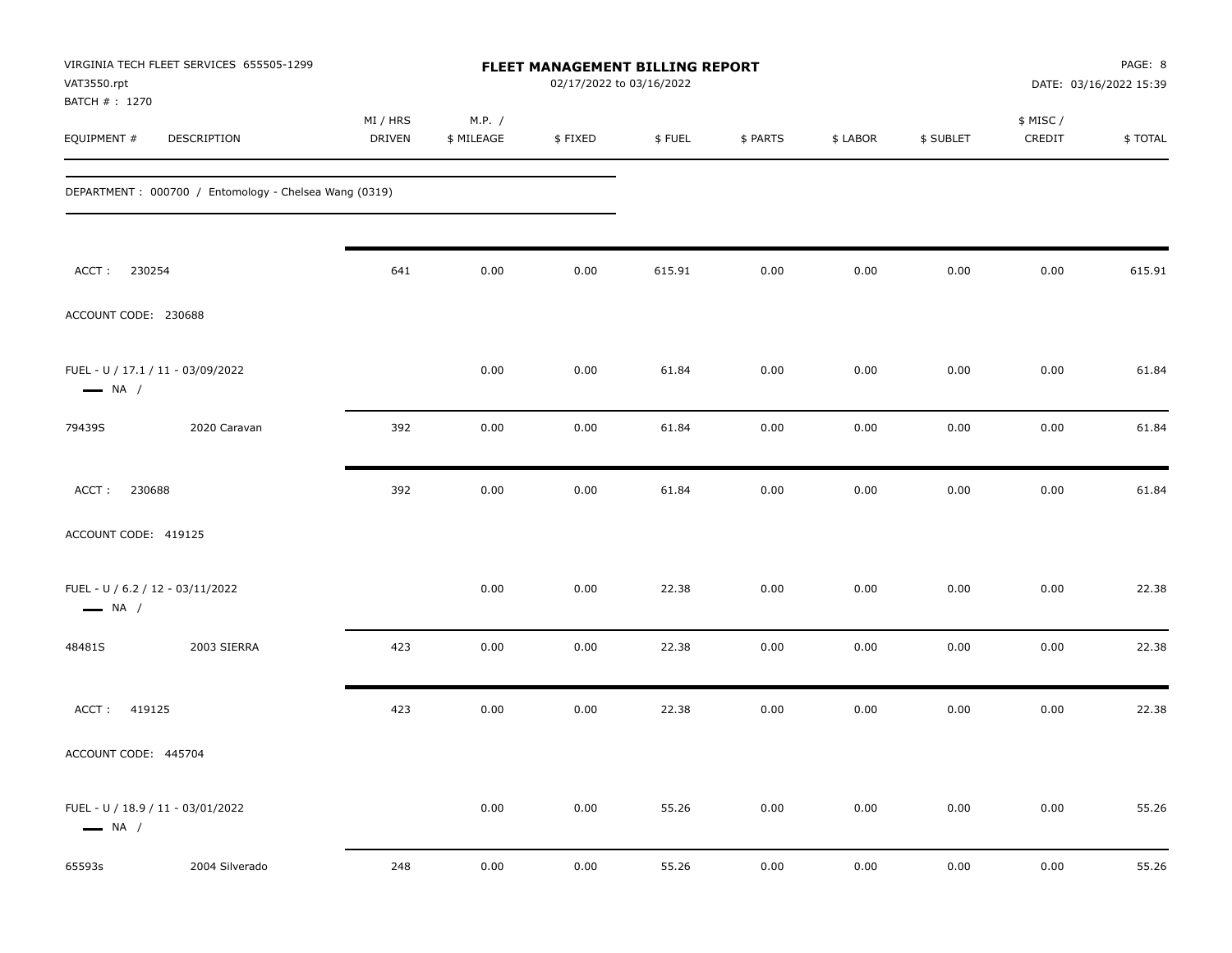| VAT3550.rpt                                                | VIRGINIA TECH FLEET SERVICES 655505-1299              |                    |                      | FLEET MANAGEMENT BILLING REPORT<br>02/17/2022 to 03/16/2022 |        |          |          |           |                     | PAGE: 8<br>DATE: 03/16/2022 15:39 |
|------------------------------------------------------------|-------------------------------------------------------|--------------------|----------------------|-------------------------------------------------------------|--------|----------|----------|-----------|---------------------|-----------------------------------|
| BATCH # : 1270<br>EQUIPMENT #                              | DESCRIPTION                                           | MI / HRS<br>DRIVEN | M.P. /<br>\$ MILEAGE | \$FIXED                                                     | \$FUEL | \$ PARTS | \$ LABOR | \$ SUBLET | \$ MISC /<br>CREDIT | \$TOTAL                           |
|                                                            | DEPARTMENT: 000700 / Entomology - Chelsea Wang (0319) |                    |                      |                                                             |        |          |          |           |                     |                                   |
| 230254<br>ACCT:                                            |                                                       | 641                | 0.00                 | 0.00                                                        | 615.91 | 0.00     | 0.00     | 0.00      | 0.00                | 615.91                            |
| ACCOUNT CODE: 230688                                       |                                                       |                    |                      |                                                             |        |          |          |           |                     |                                   |
| $\longrightarrow$ NA /                                     | FUEL - U / 17.1 / 11 - 03/09/2022                     |                    | 0.00                 | 0.00                                                        | 61.84  | 0.00     | 0.00     | 0.00      | 0.00                | 61.84                             |
| 79439S                                                     | 2020 Caravan                                          | 392                | 0.00                 | 0.00                                                        | 61.84  | 0.00     | 0.00     | 0.00      | 0.00                | 61.84                             |
| 230688<br>ACCT:                                            |                                                       | 392                | 0.00                 | 0.00                                                        | 61.84  | 0.00     | 0.00     | 0.00      | 0.00                | 61.84                             |
| ACCOUNT CODE: 419125                                       |                                                       |                    |                      |                                                             |        |          |          |           |                     |                                   |
| FUEL - U / 6.2 / 12 - 03/11/2022<br>$\longrightarrow$ NA / |                                                       |                    | 0.00                 | 0.00                                                        | 22.38  | 0.00     | 0.00     | 0.00      | 0.00                | 22.38                             |
| 48481S                                                     | 2003 SIERRA                                           | 423                | 0.00                 | 0.00                                                        | 22.38  | 0.00     | 0.00     | 0.00      | 0.00                | 22.38                             |
| 419125<br>ACCT:                                            |                                                       | 423                | 0.00                 | 0.00                                                        | 22.38  | 0.00     | 0.00     | 0.00      | 0.00                | 22.38                             |
| ACCOUNT CODE: 445704                                       |                                                       |                    |                      |                                                             |        |          |          |           |                     |                                   |
| $\longrightarrow$ NA /                                     | FUEL - U / 18.9 / 11 - 03/01/2022                     |                    | 0.00                 | 0.00                                                        | 55.26  | 0.00     | 0.00     | 0.00      | 0.00                | 55.26                             |
| 65593s                                                     | 2004 Silverado                                        | 248                | 0.00                 | 0.00                                                        | 55.26  | 0.00     | 0.00     | 0.00      | 0.00                | 55.26                             |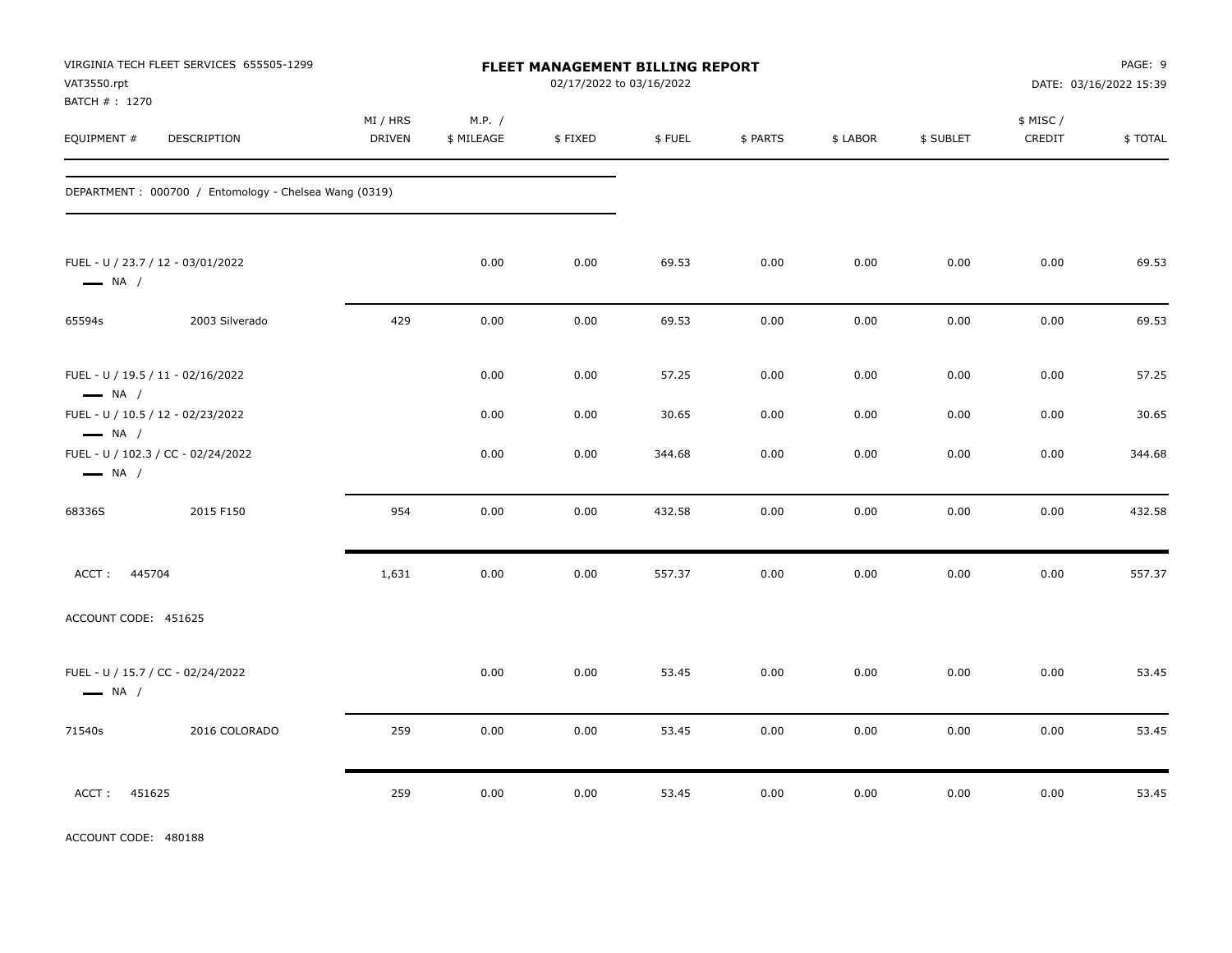| VAT3550.rpt<br>BATCH # : 1270                                                                    | VIRGINIA TECH FLEET SERVICES 655505-1299              |                           |                      | FLEET MANAGEMENT BILLING REPORT | 02/17/2022 to 03/16/2022 |              |              |              |                     | PAGE: 9<br>DATE: 03/16/2022 15:39 |
|--------------------------------------------------------------------------------------------------|-------------------------------------------------------|---------------------------|----------------------|---------------------------------|--------------------------|--------------|--------------|--------------|---------------------|-----------------------------------|
| EQUIPMENT #                                                                                      | <b>DESCRIPTION</b>                                    | MI / HRS<br><b>DRIVEN</b> | M.P. /<br>\$ MILEAGE | \$FIXED                         | \$FUEL                   | \$ PARTS     | \$ LABOR     | \$ SUBLET    | \$ MISC /<br>CREDIT | \$TOTAL                           |
|                                                                                                  | DEPARTMENT: 000700 / Entomology - Chelsea Wang (0319) |                           |                      |                                 |                          |              |              |              |                     |                                   |
| FUEL - U / 23.7 / 12 - 03/01/2022<br>$\longrightarrow$ NA /                                      |                                                       |                           | 0.00                 | 0.00                            | 69.53                    | 0.00         | 0.00         | 0.00         | 0.00                | 69.53                             |
| 65594s                                                                                           | 2003 Silverado                                        | 429                       | 0.00                 | $0.00\,$                        | 69.53                    | 0.00         | 0.00         | 0.00         | 0.00                | 69.53                             |
| FUEL - U / 19.5 / 11 - 02/16/2022<br>$\longrightarrow$ NA /<br>FUEL - U / 10.5 / 12 - 02/23/2022 |                                                       |                           | 0.00<br>0.00         | 0.00<br>0.00                    | 57.25<br>30.65           | 0.00<br>0.00 | 0.00<br>0.00 | 0.00<br>0.00 | 0.00<br>0.00        | 57.25<br>30.65                    |
| $\longrightarrow$ NA /<br>$\longrightarrow$ NA /                                                 | FUEL - U / 102.3 / CC - 02/24/2022                    |                           | 0.00                 | 0.00                            | 344.68                   | 0.00         | 0.00         | 0.00         | 0.00                | 344.68                            |
| 68336S                                                                                           | 2015 F150                                             | 954                       | 0.00                 | 0.00                            | 432.58                   | 0.00         | 0.00         | 0.00         | 0.00                | 432.58                            |
| ACCT: 445704                                                                                     |                                                       | 1,631                     | 0.00                 | 0.00                            | 557.37                   | 0.00         | 0.00         | 0.00         | 0.00                | 557.37                            |
| ACCOUNT CODE: 451625                                                                             |                                                       |                           |                      |                                 |                          |              |              |              |                     |                                   |
| FUEL - U / 15.7 / CC - 02/24/2022<br>$\longrightarrow$ NA /                                      |                                                       |                           | 0.00                 | 0.00                            | 53.45                    | 0.00         | 0.00         | 0.00         | 0.00                | 53.45                             |
| 71540s                                                                                           | 2016 COLORADO                                         | 259                       | 0.00                 | 0.00                            | 53.45                    | 0.00         | 0.00         | 0.00         | 0.00                | 53.45                             |
| ACCT:<br>451625                                                                                  |                                                       | 259                       | 0.00                 | 0.00                            | 53.45                    | 0.00         | 0.00         | 0.00         | 0.00                | 53.45                             |

ACCOUNT CODE: 480188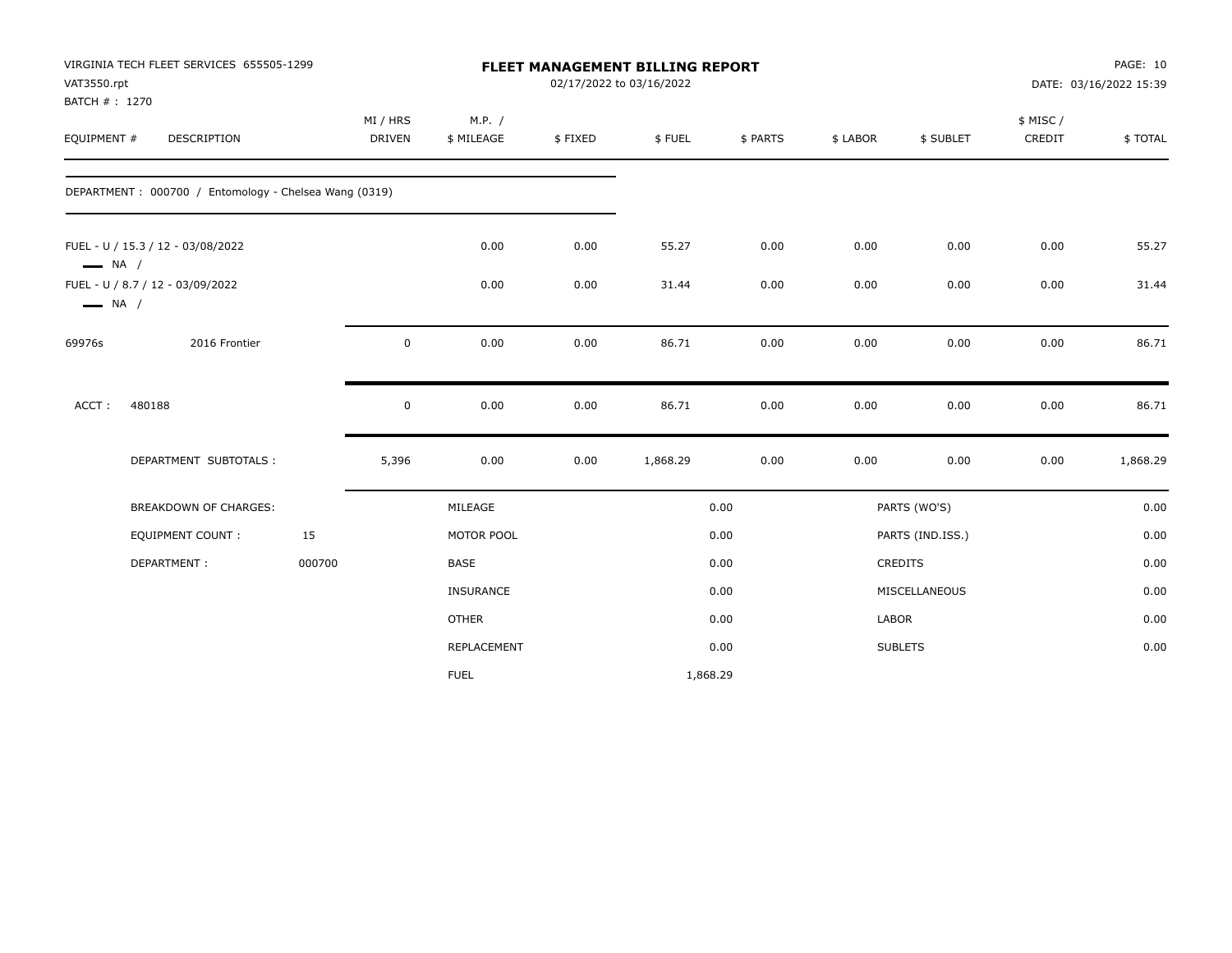| VAT3550.rpt            | VIRGINIA TECH FLEET SERVICES 655505-1299<br>BATCH #: 1270 |        |                    |                      |         | FLEET MANAGEMENT BILLING REPORT<br>02/17/2022 to 03/16/2022 |          |              |                  | PAGE: 10<br>DATE: 03/16/2022 15:39 |          |
|------------------------|-----------------------------------------------------------|--------|--------------------|----------------------|---------|-------------------------------------------------------------|----------|--------------|------------------|------------------------------------|----------|
| EQUIPMENT #            | DESCRIPTION                                               |        | MI / HRS<br>DRIVEN | M.P. /<br>\$ MILEAGE | \$FIXED | \$FUEL                                                      | \$ PARTS | \$ LABOR     | \$ SUBLET        | \$ MISC/<br>CREDIT                 | \$TOTAL  |
|                        | DEPARTMENT: 000700 / Entomology - Chelsea Wang (0319)     |        |                    |                      |         |                                                             |          |              |                  |                                    |          |
| $\longrightarrow$ NA / | FUEL - U / 15.3 / 12 - 03/08/2022                         |        |                    | 0.00                 | 0.00    | 55.27                                                       | 0.00     | 0.00         | 0.00             | 0.00                               | 55.27    |
| $\longrightarrow$ NA / | FUEL - U / 8.7 / 12 - 03/09/2022                          |        |                    | 0.00                 | 0.00    | 31.44                                                       | 0.00     | 0.00         | 0.00             | 0.00                               | 31.44    |
| 69976s                 | 2016 Frontier                                             |        | $\mathsf 0$        | 0.00                 | 0.00    | 86.71                                                       | 0.00     | 0.00         | 0.00             | 0.00                               | 86.71    |
| ACCT:                  | 480188                                                    |        | $\pmb{0}$          | 0.00                 | 0.00    | 86.71                                                       | 0.00     | 0.00         | 0.00             | 0.00                               | 86.71    |
|                        | DEPARTMENT SUBTOTALS :                                    |        | 5,396              | 0.00                 | 0.00    | 1,868.29                                                    | 0.00     | 0.00         | 0.00             | 0.00                               | 1,868.29 |
|                        | BREAKDOWN OF CHARGES:                                     |        |                    | MILEAGE              |         |                                                             | 0.00     |              | PARTS (WO'S)     |                                    | 0.00     |
|                        | <b>EQUIPMENT COUNT:</b>                                   | 15     |                    | MOTOR POOL           |         |                                                             | 0.00     |              | PARTS (IND.ISS.) |                                    | 0.00     |
|                        | DEPARTMENT:                                               | 000700 |                    | <b>BASE</b>          |         |                                                             | 0.00     |              | <b>CREDITS</b>   |                                    | 0.00     |
|                        |                                                           |        |                    | <b>INSURANCE</b>     |         |                                                             | 0.00     |              | MISCELLANEOUS    |                                    | 0.00     |
|                        |                                                           |        |                    | <b>OTHER</b>         |         |                                                             | 0.00     | <b>LABOR</b> |                  |                                    | 0.00     |
|                        |                                                           |        |                    | REPLACEMENT          |         |                                                             | 0.00     |              | <b>SUBLETS</b>   |                                    | 0.00     |
|                        |                                                           |        |                    | <b>FUEL</b>          |         | 1,868.29                                                    |          |              |                  |                                    |          |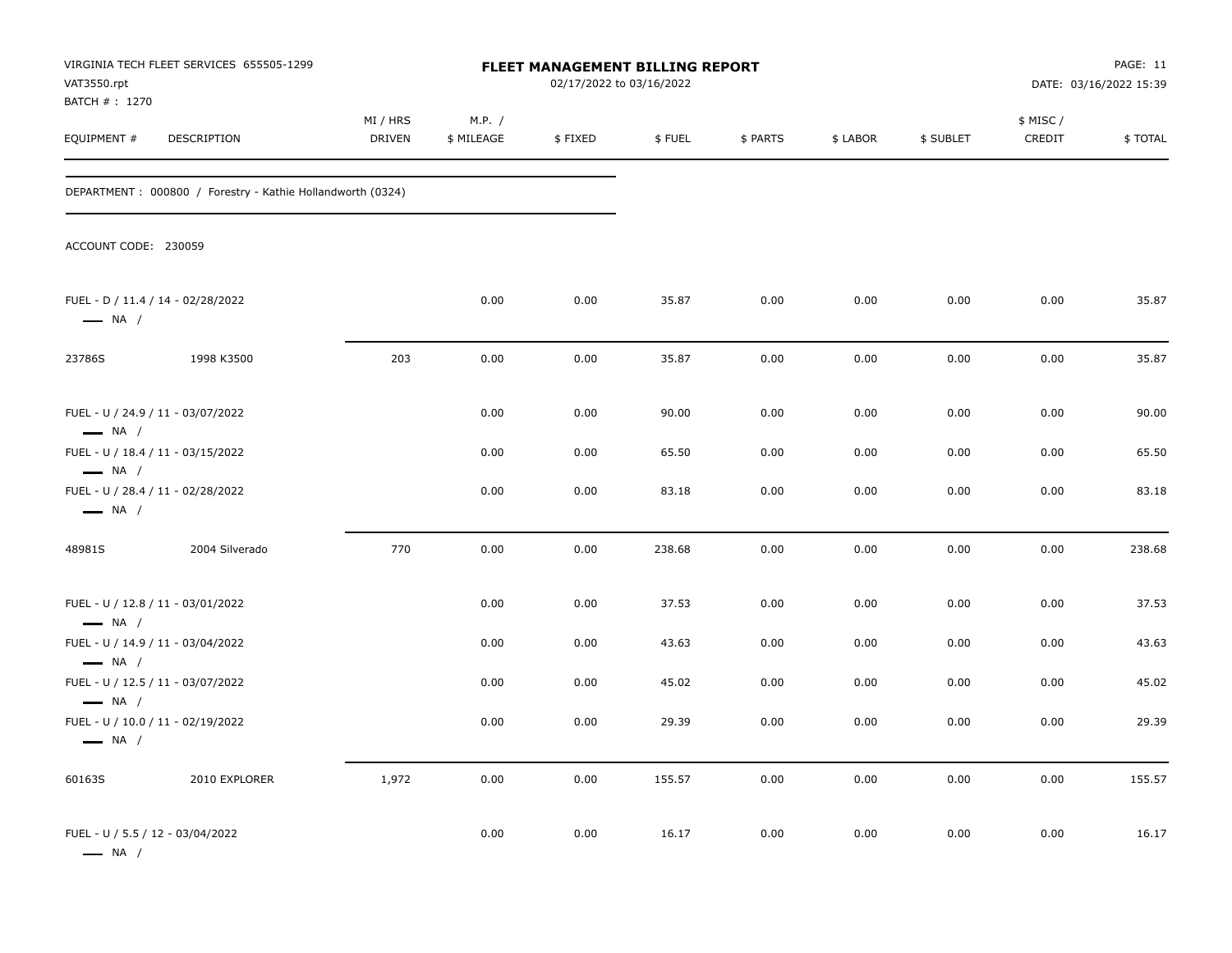| VAT3550.rpt                                                                           | VIRGINIA TECH FLEET SERVICES 655505-1299                    |                           |                      | <b>FLEET MANAGEMENT BILLING REPORT</b><br>02/17/2022 to 03/16/2022 |        |          |          |           |                     | PAGE: 11<br>DATE: 03/16/2022 15:39 |
|---------------------------------------------------------------------------------------|-------------------------------------------------------------|---------------------------|----------------------|--------------------------------------------------------------------|--------|----------|----------|-----------|---------------------|------------------------------------|
| BATCH # : 1270<br>EQUIPMENT #                                                         | DESCRIPTION                                                 | MI / HRS<br><b>DRIVEN</b> | M.P. /<br>\$ MILEAGE | \$FIXED                                                            | \$FUEL | \$ PARTS | \$ LABOR | \$ SUBLET | \$ MISC /<br>CREDIT | \$TOTAL                            |
|                                                                                       | DEPARTMENT : 000800 / Forestry - Kathie Hollandworth (0324) |                           |                      |                                                                    |        |          |          |           |                     |                                    |
| ACCOUNT CODE: 230059                                                                  |                                                             |                           |                      |                                                                    |        |          |          |           |                     |                                    |
| FUEL - D / 11.4 / 14 - 02/28/2022<br>$\longrightarrow$ NA /                           |                                                             |                           | 0.00                 | 0.00                                                               | 35.87  | 0.00     | 0.00     | 0.00      | 0.00                | 35.87                              |
| 23786S                                                                                | 1998 K3500                                                  | 203                       | 0.00                 | 0.00                                                               | 35.87  | 0.00     | 0.00     | 0.00      | 0.00                | 35.87                              |
| FUEL - U / 24.9 / 11 - 03/07/2022<br>$\longrightarrow$ NA /                           |                                                             |                           | 0.00                 | 0.00                                                               | 90.00  | 0.00     | 0.00     | 0.00      | 0.00                | 90.00                              |
| FUEL - U / 18.4 / 11 - 03/15/2022                                                     |                                                             |                           | 0.00                 | 0.00                                                               | 65.50  | 0.00     | 0.00     | 0.00      | 0.00                | 65.50                              |
| $\longrightarrow$ NA /<br>FUEL - U / 28.4 / 11 - 02/28/2022<br>$\longrightarrow$ NA / |                                                             |                           | 0.00                 | 0.00                                                               | 83.18  | 0.00     | 0.00     | 0.00      | 0.00                | 83.18                              |
| 48981S                                                                                | 2004 Silverado                                              | 770                       | 0.00                 | 0.00                                                               | 238.68 | 0.00     | 0.00     | 0.00      | 0.00                | 238.68                             |
| FUEL - U / 12.8 / 11 - 03/01/2022<br>$\longrightarrow$ NA /                           |                                                             |                           | 0.00                 | 0.00                                                               | 37.53  | 0.00     | 0.00     | 0.00      | 0.00                | 37.53                              |
| FUEL - U / 14.9 / 11 - 03/04/2022                                                     |                                                             |                           | 0.00                 | 0.00                                                               | 43.63  | 0.00     | 0.00     | 0.00      | 0.00                | 43.63                              |
| $\longrightarrow$ NA /<br>FUEL - U / 12.5 / 11 - 03/07/2022<br>$\longrightarrow$ NA / |                                                             |                           | 0.00                 | 0.00                                                               | 45.02  | 0.00     | 0.00     | 0.00      | 0.00                | 45.02                              |
| FUEL - U / 10.0 / 11 - 02/19/2022<br>$\longrightarrow$ NA /                           |                                                             |                           | 0.00                 | 0.00                                                               | 29.39  | 0.00     | 0.00     | 0.00      | 0.00                | 29.39                              |
| 60163S                                                                                | 2010 EXPLORER                                               | 1,972                     | 0.00                 | 0.00                                                               | 155.57 | 0.00     | 0.00     | 0.00      | 0.00                | 155.57                             |
| FUEL - U / 5.5 / 12 - 03/04/2022<br>$\longrightarrow$ NA /                            |                                                             |                           | 0.00                 | 0.00                                                               | 16.17  | 0.00     | 0.00     | 0.00      | 0.00                | 16.17                              |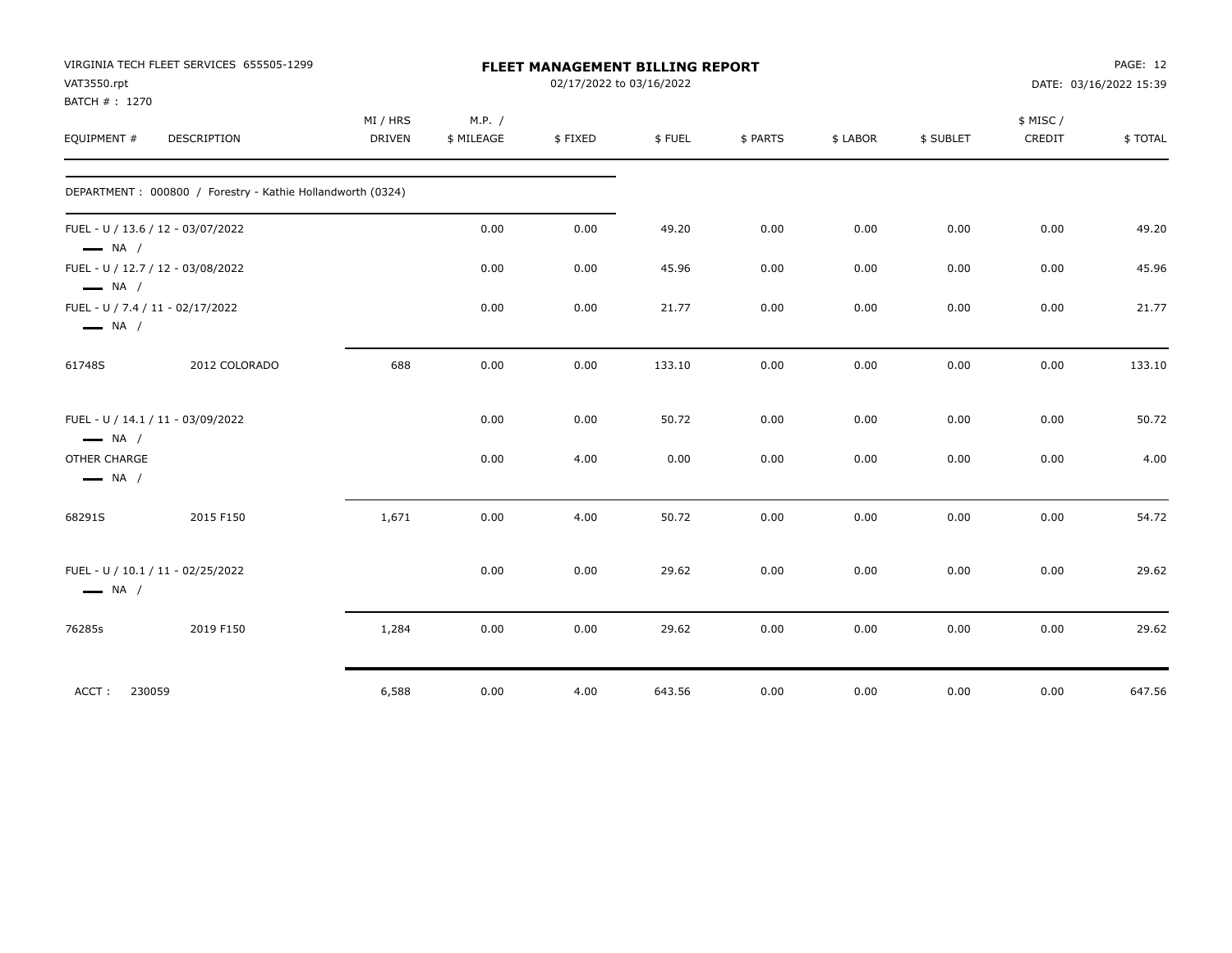| VAT3550.rpt<br>BATCH #: 1270           | VIRGINIA TECH FLEET SERVICES 655505-1299                   |                           |                      | <b>FLEET MANAGEMENT BILLING REPORT</b><br>02/17/2022 to 03/16/2022 |        |          |          |           |                    | PAGE: 12<br>DATE: 03/16/2022 15:39 |
|----------------------------------------|------------------------------------------------------------|---------------------------|----------------------|--------------------------------------------------------------------|--------|----------|----------|-----------|--------------------|------------------------------------|
| EQUIPMENT #                            | DESCRIPTION                                                | MI / HRS<br><b>DRIVEN</b> | M.P. /<br>\$ MILEAGE | \$FIXED                                                            | \$FUEL | \$ PARTS | \$ LABOR | \$ SUBLET | \$ MISC/<br>CREDIT | \$TOTAL                            |
|                                        | DEPARTMENT: 000800 / Forestry - Kathie Hollandworth (0324) |                           |                      |                                                                    |        |          |          |           |                    |                                    |
| $\longrightarrow$ NA /                 | FUEL - U / 13.6 / 12 - 03/07/2022                          |                           | 0.00                 | 0.00                                                               | 49.20  | 0.00     | 0.00     | 0.00      | 0.00               | 49.20                              |
| $\longrightarrow$ NA /                 | FUEL - U / 12.7 / 12 - 03/08/2022                          |                           | 0.00                 | 0.00                                                               | 45.96  | 0.00     | 0.00     | 0.00      | 0.00               | 45.96                              |
| $\longrightarrow$ NA /                 | FUEL - U / 7.4 / 11 - 02/17/2022                           |                           | 0.00                 | 0.00                                                               | 21.77  | 0.00     | 0.00     | 0.00      | 0.00               | 21.77                              |
| 61748S                                 | 2012 COLORADO                                              | 688                       | 0.00                 | 0.00                                                               | 133.10 | 0.00     | 0.00     | 0.00      | 0.00               | 133.10                             |
| $\longrightarrow$ NA /                 | FUEL - U / 14.1 / 11 - 03/09/2022                          |                           | 0.00                 | 0.00                                                               | 50.72  | 0.00     | 0.00     | 0.00      | 0.00               | 50.72                              |
| OTHER CHARGE<br>$\longrightarrow$ NA / |                                                            |                           | 0.00                 | 4.00                                                               | 0.00   | 0.00     | 0.00     | 0.00      | 0.00               | 4.00                               |
| 68291S                                 | 2015 F150                                                  | 1,671                     | 0.00                 | 4.00                                                               | 50.72  | 0.00     | 0.00     | 0.00      | 0.00               | 54.72                              |
| $\longrightarrow$ NA /                 | FUEL - U / 10.1 / 11 - 02/25/2022                          |                           | 0.00                 | 0.00                                                               | 29.62  | 0.00     | 0.00     | 0.00      | 0.00               | 29.62                              |
| 76285s                                 | 2019 F150                                                  | 1,284                     | 0.00                 | 0.00                                                               | 29.62  | 0.00     | 0.00     | 0.00      | 0.00               | 29.62                              |
| ACCT:                                  | 230059                                                     | 6,588                     | 0.00                 | 4.00                                                               | 643.56 | 0.00     | 0.00     | 0.00      | 0.00               | 647.56                             |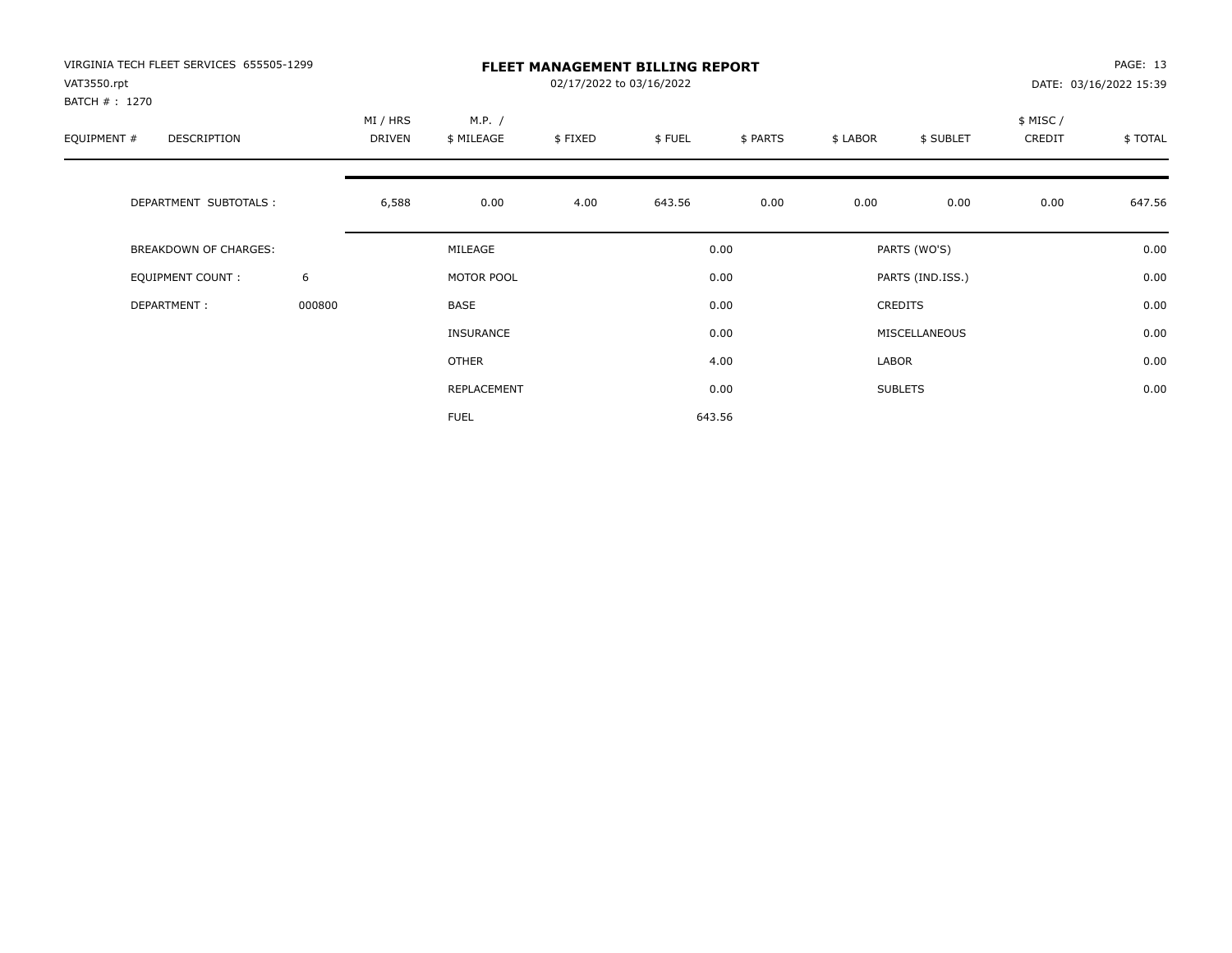| VIRGINIA TECH FLEET SERVICES 655505-1299<br>VAT3550.rpt |        | <b>FLEET MANAGEMENT BILLING REPORT</b><br>02/17/2022 to 03/16/2022 |                      |         |        |          |          |                  |                    | PAGE: 13<br>DATE: 03/16/2022 15:39 |  |
|---------------------------------------------------------|--------|--------------------------------------------------------------------|----------------------|---------|--------|----------|----------|------------------|--------------------|------------------------------------|--|
| BATCH # : 1270<br>EQUIPMENT #<br>DESCRIPTION            |        | MI / HRS<br>DRIVEN                                                 | M.P. /<br>\$ MILEAGE | \$FIXED | \$FUEL | \$ PARTS | \$ LABOR | \$ SUBLET        | \$ MISC/<br>CREDIT | \$TOTAL                            |  |
| DEPARTMENT SUBTOTALS :                                  |        | 6,588                                                              | 0.00                 | 4.00    | 643.56 | 0.00     | 0.00     | 0.00             | 0.00               | 647.56                             |  |
| BREAKDOWN OF CHARGES:                                   |        |                                                                    | MILEAGE              |         |        | 0.00     |          | PARTS (WO'S)     |                    | 0.00                               |  |
| <b>EQUIPMENT COUNT:</b>                                 | 6      |                                                                    | MOTOR POOL           |         |        | 0.00     |          | PARTS (IND.ISS.) |                    | 0.00                               |  |
| DEPARTMENT:                                             | 000800 |                                                                    | BASE                 |         |        | 0.00     |          | <b>CREDITS</b>   |                    | 0.00                               |  |
|                                                         |        |                                                                    | <b>INSURANCE</b>     |         |        | 0.00     |          | MISCELLANEOUS    |                    | 0.00                               |  |
|                                                         |        |                                                                    | OTHER                |         |        | 4.00     | LABOR    |                  |                    | 0.00                               |  |
|                                                         |        |                                                                    | REPLACEMENT          |         |        | 0.00     |          | <b>SUBLETS</b>   |                    | 0.00                               |  |
|                                                         |        |                                                                    | <b>FUEL</b>          |         |        | 643.56   |          |                  |                    |                                    |  |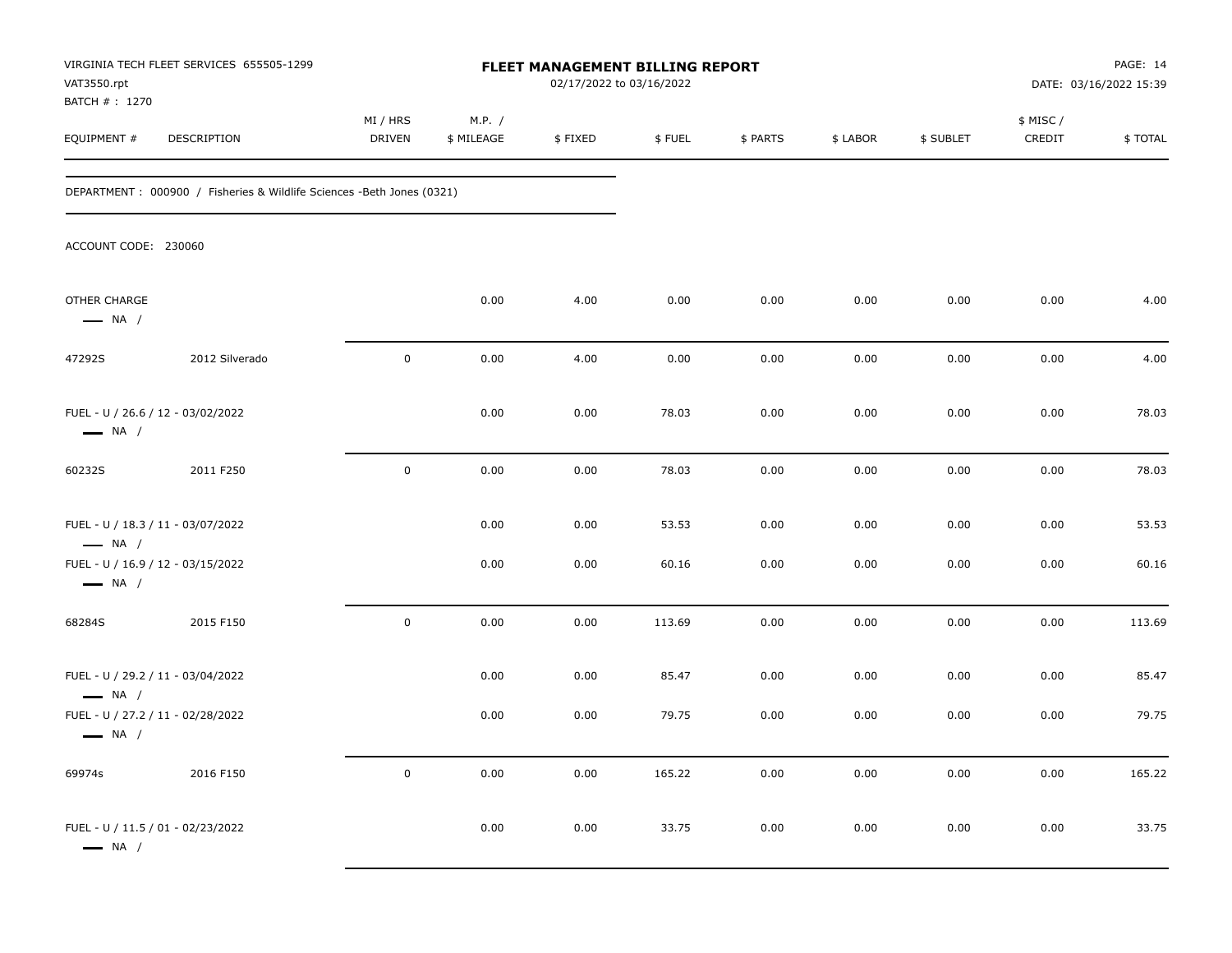| VAT3550.rpt<br>BATCH # : 1270                               | VIRGINIA TECH FLEET SERVICES 655505-1299                                | FLEET MANAGEMENT BILLING REPORT<br>02/17/2022 to 03/16/2022 |                      |         |        |          |          |           | PAGE: 14<br>DATE: 03/16/2022 15:39 |         |
|-------------------------------------------------------------|-------------------------------------------------------------------------|-------------------------------------------------------------|----------------------|---------|--------|----------|----------|-----------|------------------------------------|---------|
| EQUIPMENT #                                                 | DESCRIPTION                                                             | MI / HRS<br>DRIVEN                                          | M.P. /<br>\$ MILEAGE | \$FIXED | \$FUEL | \$ PARTS | \$ LABOR | \$ SUBLET | \$ MISC/<br>CREDIT                 | \$TOTAL |
|                                                             | DEPARTMENT : 000900 / Fisheries & Wildlife Sciences - Beth Jones (0321) |                                                             |                      |         |        |          |          |           |                                    |         |
| ACCOUNT CODE: 230060                                        |                                                                         |                                                             |                      |         |        |          |          |           |                                    |         |
| OTHER CHARGE<br>$\longrightarrow$ NA /                      |                                                                         |                                                             | 0.00                 | 4.00    | 0.00   | 0.00     | 0.00     | 0.00      | 0.00                               | 4.00    |
| 47292S                                                      | 2012 Silverado                                                          | $\pmb{0}$                                                   | 0.00                 | 4.00    | 0.00   | 0.00     | 0.00     | 0.00      | 0.00                               | 4.00    |
| FUEL - U / 26.6 / 12 - 03/02/2022<br>$\longrightarrow$ NA / |                                                                         |                                                             | 0.00                 | 0.00    | 78.03  | 0.00     | 0.00     | 0.00      | 0.00                               | 78.03   |
| 60232S                                                      | 2011 F250                                                               | $\pmb{0}$                                                   | 0.00                 | 0.00    | 78.03  | 0.00     | 0.00     | 0.00      | 0.00                               | 78.03   |
| FUEL - U / 18.3 / 11 - 03/07/2022<br>$\longrightarrow$ NA / |                                                                         |                                                             | 0.00                 | 0.00    | 53.53  | 0.00     | 0.00     | 0.00      | 0.00                               | 53.53   |
| FUEL - U / 16.9 / 12 - 03/15/2022<br>$\longrightarrow$ NA / |                                                                         |                                                             | 0.00                 | 0.00    | 60.16  | 0.00     | 0.00     | 0.00      | 0.00                               | 60.16   |
| 68284S                                                      | 2015 F150                                                               | $\pmb{0}$                                                   | 0.00                 | 0.00    | 113.69 | 0.00     | 0.00     | 0.00      | 0.00                               | 113.69  |
| FUEL - U / 29.2 / 11 - 03/04/2022<br>$\longrightarrow$ NA / |                                                                         |                                                             | 0.00                 | 0.00    | 85.47  | 0.00     | 0.00     | 0.00      | 0.00                               | 85.47   |
| FUEL - U / 27.2 / 11 - 02/28/2022<br>$\longrightarrow$ NA / |                                                                         |                                                             | 0.00                 | 0.00    | 79.75  | 0.00     | 0.00     | 0.00      | 0.00                               | 79.75   |
| 69974s                                                      | 2016 F150                                                               | $\mathbf 0$                                                 | 0.00                 | 0.00    | 165.22 | 0.00     | 0.00     | 0.00      | 0.00                               | 165.22  |
| FUEL - U / 11.5 / 01 - 02/23/2022<br>$\longrightarrow$ NA / |                                                                         |                                                             | 0.00                 | 0.00    | 33.75  | 0.00     | 0.00     | 0.00      | 0.00                               | 33.75   |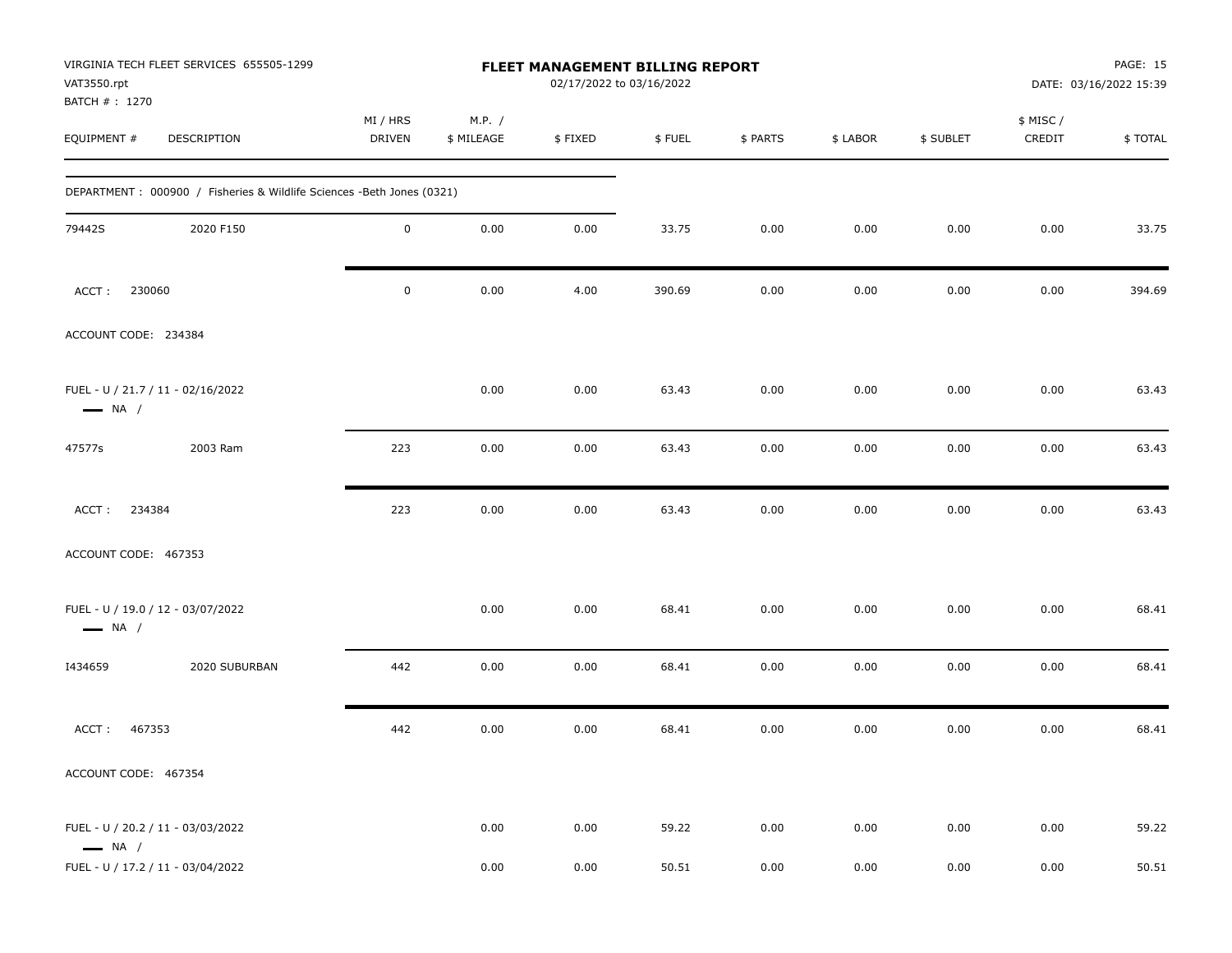| VIRGINIA TECH FLEET SERVICES 655505-1299<br>VAT3550.rpt<br>BATCH #: 1270 | <b>FLEET MANAGEMENT BILLING REPORT</b><br>02/17/2022 to 03/16/2022 |                      |         |        |          |          |           | PAGE: 15<br>DATE: 03/16/2022 15:39 |         |  |
|--------------------------------------------------------------------------|--------------------------------------------------------------------|----------------------|---------|--------|----------|----------|-----------|------------------------------------|---------|--|
| EQUIPMENT #<br><b>DESCRIPTION</b>                                        | MI / HRS<br><b>DRIVEN</b>                                          | M.P. /<br>\$ MILEAGE | \$FIXED | \$FUEL | \$ PARTS | \$ LABOR | \$ SUBLET | \$ MISC /<br>CREDIT                | \$TOTAL |  |
| DEPARTMENT : 000900 / Fisheries & Wildlife Sciences -Beth Jones (0321)   |                                                                    |                      |         |        |          |          |           |                                    |         |  |
| 2020 F150<br>79442S                                                      | $\mathsf 0$                                                        | 0.00                 | 0.00    | 33.75  | 0.00     | 0.00     | 0.00      | 0.00                               | 33.75   |  |
| 230060<br>ACCT:                                                          | $\mathbf 0$                                                        | 0.00                 | 4.00    | 390.69 | 0.00     | 0.00     | 0.00      | 0.00                               | 394.69  |  |
| ACCOUNT CODE: 234384                                                     |                                                                    |                      |         |        |          |          |           |                                    |         |  |
| FUEL - U / 21.7 / 11 - 02/16/2022<br>$\longrightarrow$ NA /              |                                                                    | 0.00                 | 0.00    | 63.43  | 0.00     | 0.00     | 0.00      | 0.00                               | 63.43   |  |
| 47577s<br>2003 Ram                                                       | 223                                                                | 0.00                 | 0.00    | 63.43  | 0.00     | 0.00     | 0.00      | 0.00                               | 63.43   |  |
| 234384<br>ACCT:                                                          | 223                                                                | 0.00                 | 0.00    | 63.43  | 0.00     | 0.00     | 0.00      | 0.00                               | 63.43   |  |
| ACCOUNT CODE: 467353                                                     |                                                                    |                      |         |        |          |          |           |                                    |         |  |
| FUEL - U / 19.0 / 12 - 03/07/2022<br>$\longrightarrow$ NA /              |                                                                    | 0.00                 | 0.00    | 68.41  | 0.00     | 0.00     | 0.00      | 0.00                               | 68.41   |  |
| 2020 SUBURBAN<br>I434659                                                 | 442                                                                | 0.00                 | 0.00    | 68.41  | 0.00     | 0.00     | 0.00      | 0.00                               | 68.41   |  |
| ACCT:<br>467353                                                          | 442                                                                | 0.00                 | 0.00    | 68.41  | 0.00     | 0.00     | 0.00      | 0.00                               | 68.41   |  |
| ACCOUNT CODE: 467354                                                     |                                                                    |                      |         |        |          |          |           |                                    |         |  |
| FUEL - U / 20.2 / 11 - 03/03/2022<br>$\longrightarrow$ NA /              |                                                                    | 0.00                 | 0.00    | 59.22  | 0.00     | 0.00     | 0.00      | 0.00                               | 59.22   |  |
| FUEL - U / 17.2 / 11 - 03/04/2022                                        |                                                                    | 0.00                 | 0.00    | 50.51  | 0.00     | $0.00\,$ | 0.00      | 0.00                               | 50.51   |  |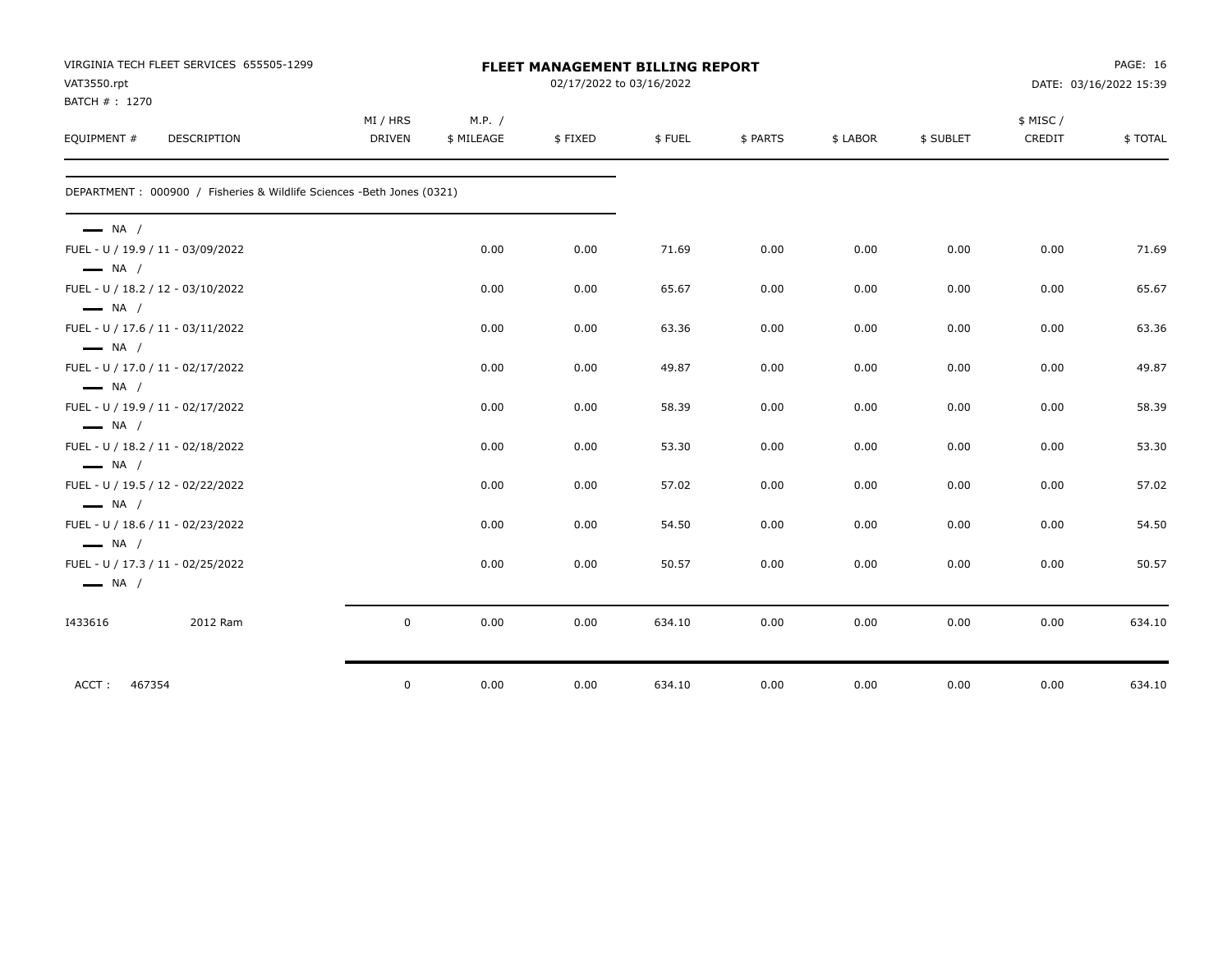|                                                  | VIRGINIA TECH FLEET SERVICES 655505-1299                              |                           | <b>PAGE: 16</b><br><b>FLEET MANAGEMENT BILLING REPORT</b> |                          |        |          |          |           |                     |                        |
|--------------------------------------------------|-----------------------------------------------------------------------|---------------------------|-----------------------------------------------------------|--------------------------|--------|----------|----------|-----------|---------------------|------------------------|
| VAT3550.rpt                                      |                                                                       |                           |                                                           | 02/17/2022 to 03/16/2022 |        |          |          |           |                     | DATE: 03/16/2022 15:39 |
| BATCH # : 1270<br>EQUIPMENT #                    | DESCRIPTION                                                           | MI / HRS<br><b>DRIVEN</b> | M.P. /<br>\$ MILEAGE                                      | \$FIXED                  | \$FUEL | \$ PARTS | \$ LABOR | \$ SUBLET | \$ MISC /<br>CREDIT | \$TOTAL                |
|                                                  | DEPARTMENT: 000900 / Fisheries & Wildlife Sciences -Beth Jones (0321) |                           |                                                           |                          |        |          |          |           |                     |                        |
| $\longrightarrow$ NA /<br>$\longrightarrow$ NA / | FUEL - U / 19.9 / 11 - 03/09/2022                                     |                           | 0.00                                                      | 0.00                     | 71.69  | 0.00     | 0.00     | 0.00      | 0.00                | 71.69                  |
| $\longrightarrow$ NA /                           | FUEL - U / 18.2 / 12 - 03/10/2022                                     |                           | 0.00                                                      | 0.00                     | 65.67  | 0.00     | 0.00     | 0.00      | 0.00                | 65.67                  |
| $\longrightarrow$ NA /                           | FUEL - U / 17.6 / 11 - 03/11/2022                                     |                           | 0.00                                                      | 0.00                     | 63.36  | 0.00     | 0.00     | 0.00      | 0.00                | 63.36                  |
| $\longrightarrow$ NA /                           | FUEL - U / 17.0 / 11 - 02/17/2022                                     |                           | 0.00                                                      | 0.00                     | 49.87  | 0.00     | 0.00     | 0.00      | 0.00                | 49.87                  |
| $\longrightarrow$ NA /                           | FUEL - U / 19.9 / 11 - 02/17/2022                                     |                           | 0.00                                                      | 0.00                     | 58.39  | 0.00     | 0.00     | 0.00      | 0.00                | 58.39                  |
| $\longrightarrow$ NA /                           | FUEL - U / 18.2 / 11 - 02/18/2022                                     |                           | 0.00                                                      | 0.00                     | 53.30  | 0.00     | 0.00     | 0.00      | 0.00                | 53.30                  |
| $\longrightarrow$ NA /                           | FUEL - U / 19.5 / 12 - 02/22/2022                                     |                           | 0.00                                                      | 0.00                     | 57.02  | 0.00     | 0.00     | 0.00      | 0.00                | 57.02                  |
| $\longrightarrow$ NA /                           | FUEL - U / 18.6 / 11 - 02/23/2022                                     |                           | 0.00                                                      | 0.00                     | 54.50  | 0.00     | 0.00     | 0.00      | 0.00                | 54.50                  |
| $\longrightarrow$ NA /                           | FUEL - U / 17.3 / 11 - 02/25/2022                                     |                           | 0.00                                                      | 0.00                     | 50.57  | 0.00     | 0.00     | 0.00      | 0.00                | 50.57                  |
| 1433616                                          | 2012 Ram                                                              | $\mathsf{O}$              | 0.00                                                      | 0.00                     | 634.10 | 0.00     | 0.00     | 0.00      | 0.00                | 634.10                 |
| 467354<br>ACCT:                                  |                                                                       | $\mathsf{O}$              | 0.00                                                      | 0.00                     | 634.10 | 0.00     | 0.00     | 0.00      | 0.00                | 634.10                 |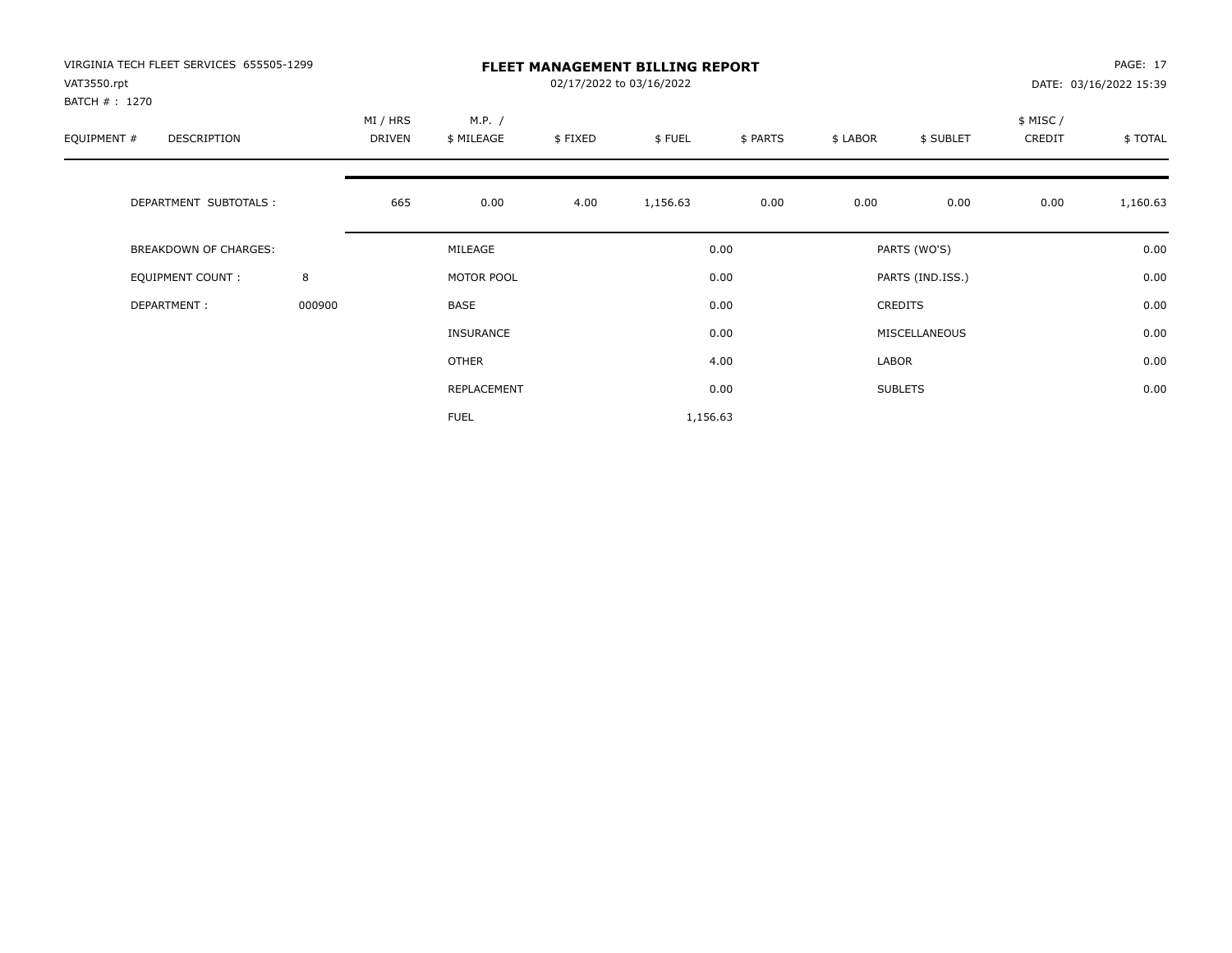| VIRGINIA TECH FLEET SERVICES 655505-1299<br>VAT3550.rpt |        | <b>FLEET MANAGEMENT BILLING REPORT</b><br>02/17/2022 to 03/16/2022 |                      |         |          |          |          |                  |                    | PAGE: 17<br>DATE: 03/16/2022 15:39 |  |
|---------------------------------------------------------|--------|--------------------------------------------------------------------|----------------------|---------|----------|----------|----------|------------------|--------------------|------------------------------------|--|
| BATCH # : 1270<br>EQUIPMENT #<br>DESCRIPTION            |        | MI / HRS<br>DRIVEN                                                 | M.P. /<br>\$ MILEAGE | \$FIXED | \$FUEL   | \$ PARTS | \$ LABOR | \$ SUBLET        | \$ MISC/<br>CREDIT | \$TOTAL                            |  |
| DEPARTMENT SUBTOTALS :                                  |        | 665                                                                | 0.00                 | 4.00    | 1,156.63 | 0.00     | 0.00     | 0.00             | 0.00               | 1,160.63                           |  |
| BREAKDOWN OF CHARGES:                                   |        |                                                                    | MILEAGE              |         |          | 0.00     |          | PARTS (WO'S)     |                    | 0.00                               |  |
| <b>EQUIPMENT COUNT:</b>                                 | 8      |                                                                    | MOTOR POOL           |         |          | 0.00     |          | PARTS (IND.ISS.) |                    | 0.00                               |  |
| DEPARTMENT:                                             | 000900 |                                                                    | BASE                 |         |          | 0.00     |          | <b>CREDITS</b>   |                    | 0.00                               |  |
|                                                         |        |                                                                    | <b>INSURANCE</b>     |         |          | 0.00     |          | MISCELLANEOUS    |                    | 0.00                               |  |
|                                                         |        |                                                                    | OTHER                |         |          | 4.00     | LABOR    |                  |                    | 0.00                               |  |
|                                                         |        |                                                                    | REPLACEMENT          |         |          | 0.00     |          | <b>SUBLETS</b>   |                    | 0.00                               |  |
|                                                         |        |                                                                    | <b>FUEL</b>          |         | 1,156.63 |          |          |                  |                    |                                    |  |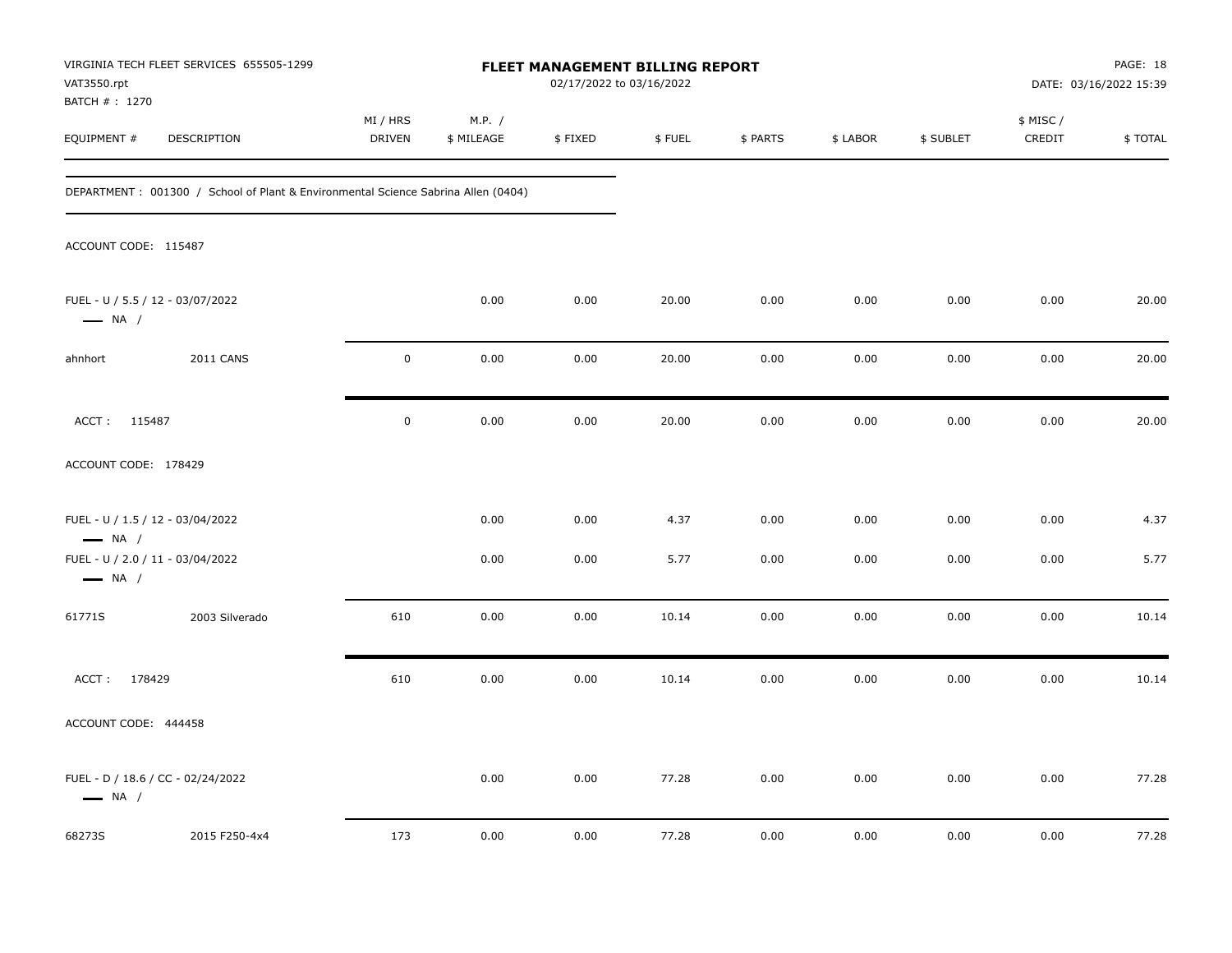| VAT3550.rpt                   | VIRGINIA TECH FLEET SERVICES 655505-1299                                          |                    |                      |         | FLEET MANAGEMENT BILLING REPORT<br>02/17/2022 to 03/16/2022 |          |          |           |                    | PAGE: 18<br>DATE: 03/16/2022 15:39 |  |
|-------------------------------|-----------------------------------------------------------------------------------|--------------------|----------------------|---------|-------------------------------------------------------------|----------|----------|-----------|--------------------|------------------------------------|--|
| BATCH # : 1270<br>EQUIPMENT # | DESCRIPTION                                                                       | MI / HRS<br>DRIVEN | M.P. /<br>\$ MILEAGE | \$FIXED | \$FUEL                                                      | \$ PARTS | \$ LABOR | \$ SUBLET | \$ MISC/<br>CREDIT | \$TOTAL                            |  |
|                               | DEPARTMENT: 001300 / School of Plant & Environmental Science Sabrina Allen (0404) |                    |                      |         |                                                             |          |          |           |                    |                                    |  |
| ACCOUNT CODE: 115487          |                                                                                   |                    |                      |         |                                                             |          |          |           |                    |                                    |  |
| $\longrightarrow$ NA /        | FUEL - U / 5.5 / 12 - 03/07/2022                                                  |                    | 0.00                 | 0.00    | 20.00                                                       | 0.00     | 0.00     | 0.00      | 0.00               | 20.00                              |  |
| ahnhort                       | <b>2011 CANS</b>                                                                  | $\mathbf 0$        | 0.00                 | 0.00    | 20.00                                                       | 0.00     | 0.00     | 0.00      | 0.00               | 20.00                              |  |
| ACCT: 115487                  |                                                                                   | $\mathbf 0$        | 0.00                 | 0.00    | 20.00                                                       | 0.00     | 0.00     | 0.00      | 0.00               | 20.00                              |  |
| ACCOUNT CODE: 178429          |                                                                                   |                    |                      |         |                                                             |          |          |           |                    |                                    |  |
| $\longrightarrow$ NA /        | FUEL - U / 1.5 / 12 - 03/04/2022                                                  |                    | 0.00                 | 0.00    | 4.37                                                        | 0.00     | 0.00     | 0.00      | 0.00               | 4.37                               |  |
| $\longrightarrow$ NA /        | FUEL - U / 2.0 / 11 - 03/04/2022                                                  |                    | 0.00                 | 0.00    | 5.77                                                        | 0.00     | 0.00     | 0.00      | 0.00               | 5.77                               |  |
| 61771S                        | 2003 Silverado                                                                    | 610                | 0.00                 | 0.00    | 10.14                                                       | 0.00     | 0.00     | 0.00      | 0.00               | 10.14                              |  |
| ACCT: 178429                  |                                                                                   | 610                | 0.00                 | 0.00    | 10.14                                                       | 0.00     | 0.00     | 0.00      | 0.00               | 10.14                              |  |
| ACCOUNT CODE: 444458          |                                                                                   |                    |                      |         |                                                             |          |          |           |                    |                                    |  |
| $\longrightarrow$ NA /        | FUEL - D / 18.6 / CC - 02/24/2022                                                 |                    | 0.00                 | 0.00    | 77.28                                                       | 0.00     | 0.00     | 0.00      | 0.00               | 77.28                              |  |
| 68273S                        | 2015 F250-4x4                                                                     | 173                | 0.00                 | 0.00    | 77.28                                                       | 0.00     | 0.00     | 0.00      | 0.00               | 77.28                              |  |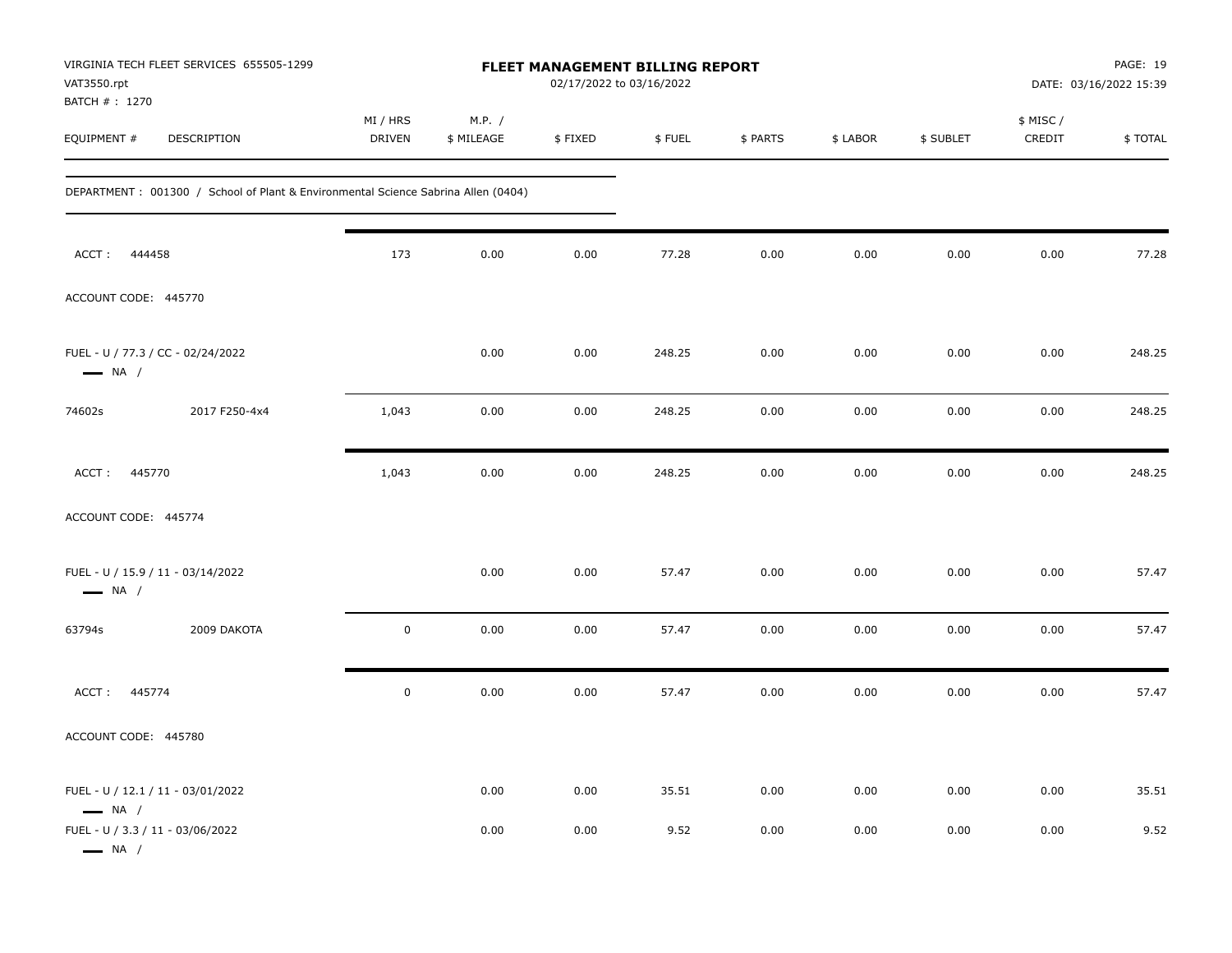| VAT3550.rpt<br>BATCH #: 1270                                                                    | VIRGINIA TECH FLEET SERVICES 655505-1299                                          | FLEET MANAGEMENT BILLING REPORT<br>02/17/2022 to 03/16/2022 |                      |              |               |              |              |              |                    | PAGE: 19<br>DATE: 03/16/2022 15:39 |  |
|-------------------------------------------------------------------------------------------------|-----------------------------------------------------------------------------------|-------------------------------------------------------------|----------------------|--------------|---------------|--------------|--------------|--------------|--------------------|------------------------------------|--|
| EQUIPMENT #                                                                                     | DESCRIPTION                                                                       | MI / HRS<br><b>DRIVEN</b>                                   | M.P. /<br>\$ MILEAGE | \$FIXED      | \$FUEL        | \$ PARTS     | \$ LABOR     | \$ SUBLET    | \$ MISC/<br>CREDIT | \$TOTAL                            |  |
|                                                                                                 | DEPARTMENT: 001300 / School of Plant & Environmental Science Sabrina Allen (0404) |                                                             |                      |              |               |              |              |              |                    |                                    |  |
| ACCT:<br>444458                                                                                 |                                                                                   | 173                                                         | 0.00                 | 0.00         | 77.28         | 0.00         | 0.00         | 0.00         | 0.00               | 77.28                              |  |
| ACCOUNT CODE: 445770                                                                            |                                                                                   |                                                             |                      |              |               |              |              |              |                    |                                    |  |
| FUEL - U / 77.3 / CC - 02/24/2022<br>$\longrightarrow$ NA /                                     |                                                                                   |                                                             | 0.00                 | 0.00         | 248.25        | 0.00         | 0.00         | 0.00         | 0.00               | 248.25                             |  |
| 74602s                                                                                          | 2017 F250-4x4                                                                     | 1,043                                                       | 0.00                 | 0.00         | 248.25        | 0.00         | 0.00         | 0.00         | 0.00               | 248.25                             |  |
| ACCT: 445770                                                                                    |                                                                                   | 1,043                                                       | 0.00                 | 0.00         | 248.25        | 0.00         | 0.00         | 0.00         | 0.00               | 248.25                             |  |
| ACCOUNT CODE: 445774                                                                            |                                                                                   |                                                             |                      |              |               |              |              |              |                    |                                    |  |
| FUEL - U / 15.9 / 11 - 03/14/2022<br>$\longrightarrow$ NA /                                     |                                                                                   |                                                             | 0.00                 | 0.00         | 57.47         | 0.00         | 0.00         | 0.00         | 0.00               | 57.47                              |  |
| 63794s                                                                                          | 2009 DAKOTA                                                                       | $\mathbf 0$                                                 | 0.00                 | 0.00         | 57.47         | 0.00         | 0.00         | 0.00         | 0.00               | 57.47                              |  |
| ACCT: 445774                                                                                    |                                                                                   | $\pmb{0}$                                                   | 0.00                 | 0.00         | 57.47         | 0.00         | 0.00         | 0.00         | 0.00               | 57.47                              |  |
| ACCOUNT CODE: 445780                                                                            |                                                                                   |                                                             |                      |              |               |              |              |              |                    |                                    |  |
| FUEL - U / 12.1 / 11 - 03/01/2022<br>$\longrightarrow$ NA /<br>FUEL - U / 3.3 / 11 - 03/06/2022 |                                                                                   |                                                             | 0.00<br>0.00         | 0.00<br>0.00 | 35.51<br>9.52 | 0.00<br>0.00 | 0.00<br>0.00 | 0.00<br>0.00 | 0.00<br>0.00       | 35.51<br>9.52                      |  |
| $\longrightarrow$ NA /                                                                          |                                                                                   |                                                             |                      |              |               |              |              |              |                    |                                    |  |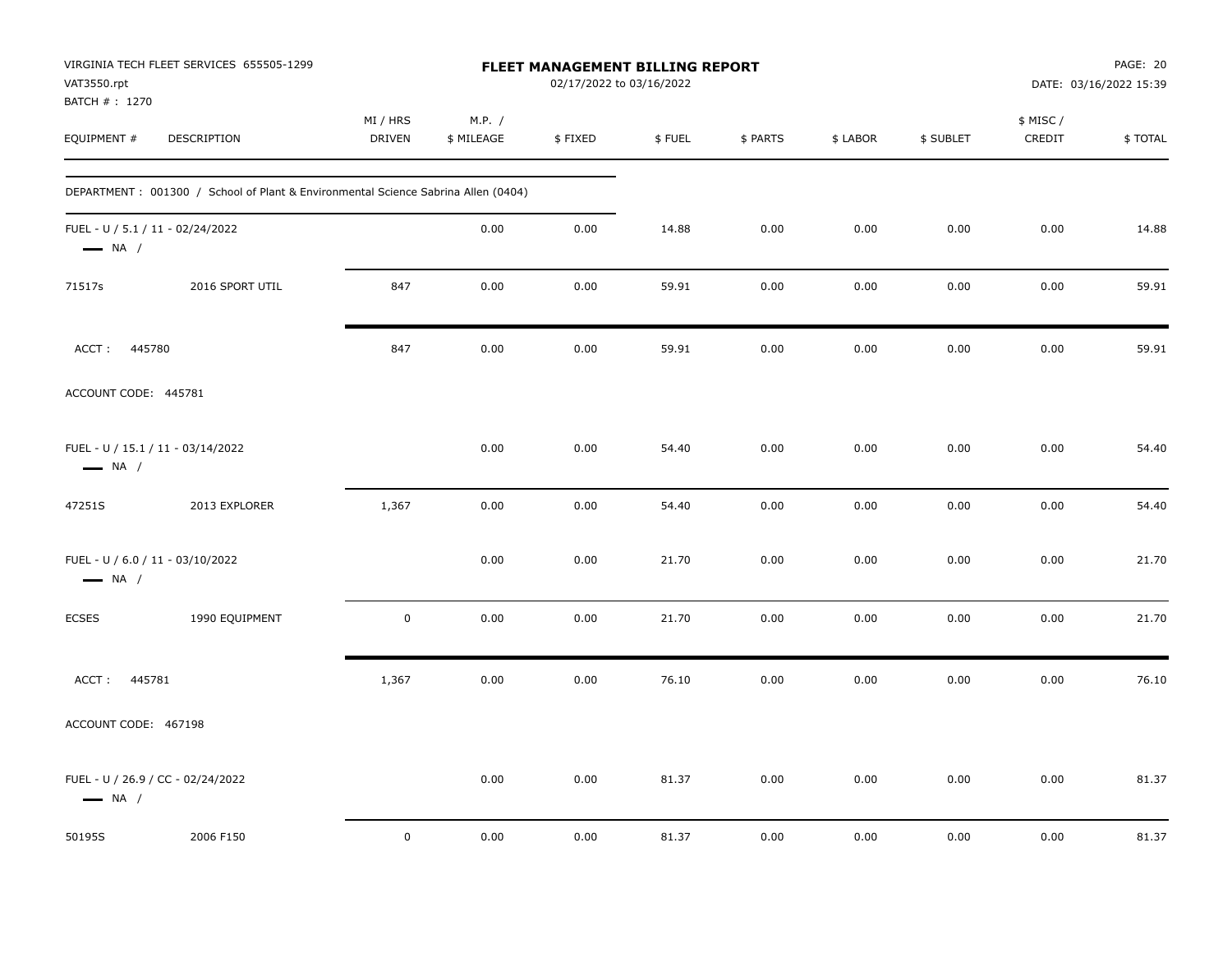| VAT3550.rpt<br>BATCH # : 1270                              | VIRGINIA TECH FLEET SERVICES 655505-1299                                          | FLEET MANAGEMENT BILLING REPORT<br>02/17/2022 to 03/16/2022 |                      |         |        |          |          |           | PAGE: 20<br>DATE: 03/16/2022 15:39 |         |
|------------------------------------------------------------|-----------------------------------------------------------------------------------|-------------------------------------------------------------|----------------------|---------|--------|----------|----------|-----------|------------------------------------|---------|
| EQUIPMENT #                                                | DESCRIPTION                                                                       | MI / HRS<br><b>DRIVEN</b>                                   | M.P. /<br>\$ MILEAGE | \$FIXED | \$FUEL | \$ PARTS | \$ LABOR | \$ SUBLET | \$ MISC /<br>CREDIT                | \$TOTAL |
|                                                            | DEPARTMENT: 001300 / School of Plant & Environmental Science Sabrina Allen (0404) |                                                             |                      |         |        |          |          |           |                                    |         |
| FUEL - U / 5.1 / 11 - 02/24/2022<br>$\longrightarrow$ NA / |                                                                                   |                                                             | 0.00                 | 0.00    | 14.88  | 0.00     | 0.00     | 0.00      | 0.00                               | 14.88   |
| 71517s                                                     | 2016 SPORT UTIL                                                                   | 847                                                         | 0.00                 | 0.00    | 59.91  | 0.00     | 0.00     | 0.00      | 0.00                               | 59.91   |
| ACCT: 445780                                               |                                                                                   | 847                                                         | 0.00                 | 0.00    | 59.91  | 0.00     | 0.00     | 0.00      | 0.00                               | 59.91   |
| ACCOUNT CODE: 445781                                       |                                                                                   |                                                             |                      |         |        |          |          |           |                                    |         |
| $\longrightarrow$ NA /                                     | FUEL - U / 15.1 / 11 - 03/14/2022                                                 |                                                             | 0.00                 | 0.00    | 54.40  | 0.00     | 0.00     | 0.00      | 0.00                               | 54.40   |
| 47251S                                                     | 2013 EXPLORER                                                                     | 1,367                                                       | 0.00                 | 0.00    | 54.40  | 0.00     | 0.00     | 0.00      | 0.00                               | 54.40   |
| FUEL - U / 6.0 / 11 - 03/10/2022<br>$\longrightarrow$ NA / |                                                                                   |                                                             | 0.00                 | 0.00    | 21.70  | 0.00     | 0.00     | 0.00      | 0.00                               | 21.70   |
| <b>ECSES</b>                                               | 1990 EQUIPMENT                                                                    | $\mathbf 0$                                                 | 0.00                 | 0.00    | 21.70  | 0.00     | 0.00     | 0.00      | 0.00                               | 21.70   |
| 445781<br>ACCT:                                            |                                                                                   | 1,367                                                       | 0.00                 | 0.00    | 76.10  | 0.00     | 0.00     | 0.00      | 0.00                               | 76.10   |
| ACCOUNT CODE: 467198                                       |                                                                                   |                                                             |                      |         |        |          |          |           |                                    |         |
| $\longrightarrow$ NA /                                     | FUEL - U / 26.9 / CC - 02/24/2022                                                 |                                                             | 0.00                 | 0.00    | 81.37  | 0.00     | 0.00     | 0.00      | 0.00                               | 81.37   |
| 50195S                                                     | 2006 F150                                                                         | $\mathbf 0$                                                 | 0.00                 | 0.00    | 81.37  | 0.00     | 0.00     | 0.00      | 0.00                               | 81.37   |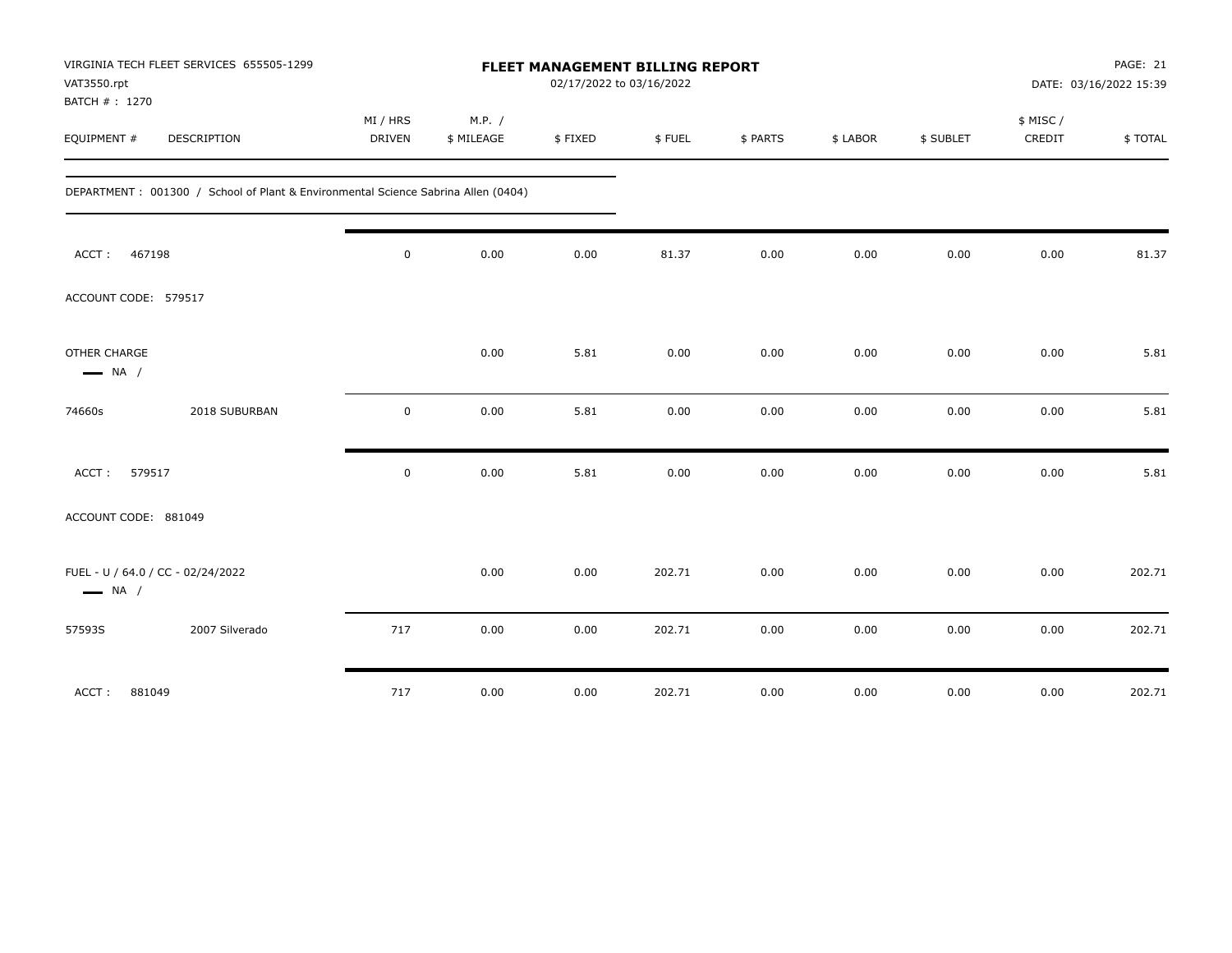| VIRGINIA TECH FLEET SERVICES 655505-1299<br>VAT3550.rpt<br>BATCH # : 1270         | FLEET MANAGEMENT BILLING REPORT<br>02/17/2022 to 03/16/2022 |                      |         | PAGE: 21<br>DATE: 03/16/2022 15:39 |          |          |           |                    |         |
|-----------------------------------------------------------------------------------|-------------------------------------------------------------|----------------------|---------|------------------------------------|----------|----------|-----------|--------------------|---------|
| EQUIPMENT #<br>DESCRIPTION                                                        | MI / HRS<br><b>DRIVEN</b>                                   | M.P. /<br>\$ MILEAGE | \$FIXED | \$FUEL                             | \$ PARTS | \$ LABOR | \$ SUBLET | \$ MISC/<br>CREDIT | \$TOTAL |
| DEPARTMENT: 001300 / School of Plant & Environmental Science Sabrina Allen (0404) |                                                             |                      |         |                                    |          |          |           |                    |         |
| 467198<br>ACCT:                                                                   | $\mathbf 0$                                                 | 0.00                 | 0.00    | 81.37                              | 0.00     | 0.00     | 0.00      | 0.00               | 81.37   |
| ACCOUNT CODE: 579517                                                              |                                                             |                      |         |                                    |          |          |           |                    |         |
| OTHER CHARGE<br>$\longrightarrow$ NA /                                            |                                                             | 0.00                 | 5.81    | 0.00                               | 0.00     | 0.00     | 0.00      | 0.00               | 5.81    |
| 2018 SUBURBAN<br>74660s                                                           | $\mathbf 0$                                                 | 0.00                 | 5.81    | 0.00                               | 0.00     | 0.00     | 0.00      | 0.00               | 5.81    |
| 579517<br>ACCT:                                                                   | $\mathbf 0$                                                 | 0.00                 | 5.81    | 0.00                               | 0.00     | 0.00     | 0.00      | 0.00               | 5.81    |
| ACCOUNT CODE: 881049                                                              |                                                             |                      |         |                                    |          |          |           |                    |         |
| FUEL - U / 64.0 / CC - 02/24/2022<br>$\longrightarrow$ NA /                       |                                                             | 0.00                 | 0.00    | 202.71                             | 0.00     | 0.00     | 0.00      | 0.00               | 202.71  |
| 2007 Silverado<br>57593S                                                          | 717                                                         | 0.00                 | 0.00    | 202.71                             | 0.00     | 0.00     | 0.00      | 0.00               | 202.71  |
| ACCT:<br>881049                                                                   | 717                                                         | 0.00                 | 0.00    | 202.71                             | 0.00     | 0.00     | 0.00      | 0.00               | 202.71  |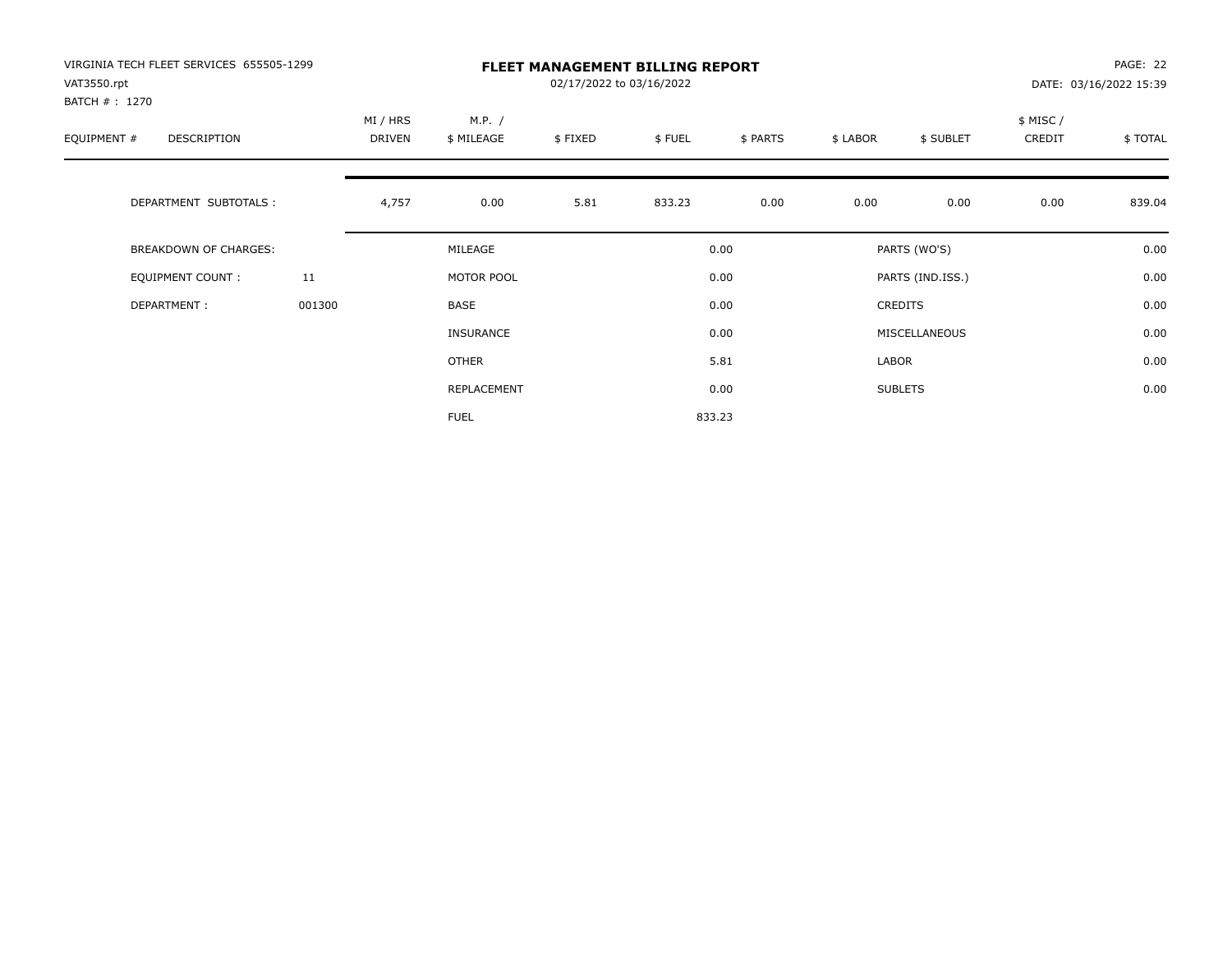| VIRGINIA TECH FLEET SERVICES 655505-1299<br>VAT3550.rpt<br>BATCH # : 1270 |        | <b>FLEET MANAGEMENT BILLING REPORT</b><br>02/17/2022 to 03/16/2022 |                      |         |        |          |          |                  |                    | PAGE: 22<br>DATE: 03/16/2022 15:39 |  |
|---------------------------------------------------------------------------|--------|--------------------------------------------------------------------|----------------------|---------|--------|----------|----------|------------------|--------------------|------------------------------------|--|
| EQUIPMENT #<br>DESCRIPTION                                                |        | MI / HRS<br>DRIVEN                                                 | M.P. /<br>\$ MILEAGE | \$FIXED | \$FUEL | \$ PARTS | \$ LABOR | \$ SUBLET        | \$ MISC/<br>CREDIT | \$TOTAL                            |  |
| DEPARTMENT SUBTOTALS :                                                    |        | 4,757                                                              | 0.00                 | 5.81    | 833.23 | 0.00     | 0.00     | 0.00             | 0.00               | 839.04                             |  |
| <b>BREAKDOWN OF CHARGES:</b>                                              |        |                                                                    | MILEAGE              |         |        | 0.00     |          | PARTS (WO'S)     |                    | 0.00                               |  |
| <b>EQUIPMENT COUNT:</b>                                                   | 11     |                                                                    | MOTOR POOL           |         |        | 0.00     |          | PARTS (IND.ISS.) |                    | 0.00                               |  |
| DEPARTMENT:                                                               | 001300 |                                                                    | BASE                 |         |        | 0.00     |          | CREDITS          |                    | 0.00                               |  |
|                                                                           |        |                                                                    | INSURANCE            |         |        | 0.00     |          | MISCELLANEOUS    |                    | 0.00                               |  |
|                                                                           |        |                                                                    | OTHER                |         |        | 5.81     | LABOR    |                  |                    | 0.00                               |  |
|                                                                           |        |                                                                    | REPLACEMENT          |         |        | 0.00     |          | <b>SUBLETS</b>   |                    | 0.00                               |  |
|                                                                           |        |                                                                    | <b>FUEL</b>          |         |        | 833.23   |          |                  |                    |                                    |  |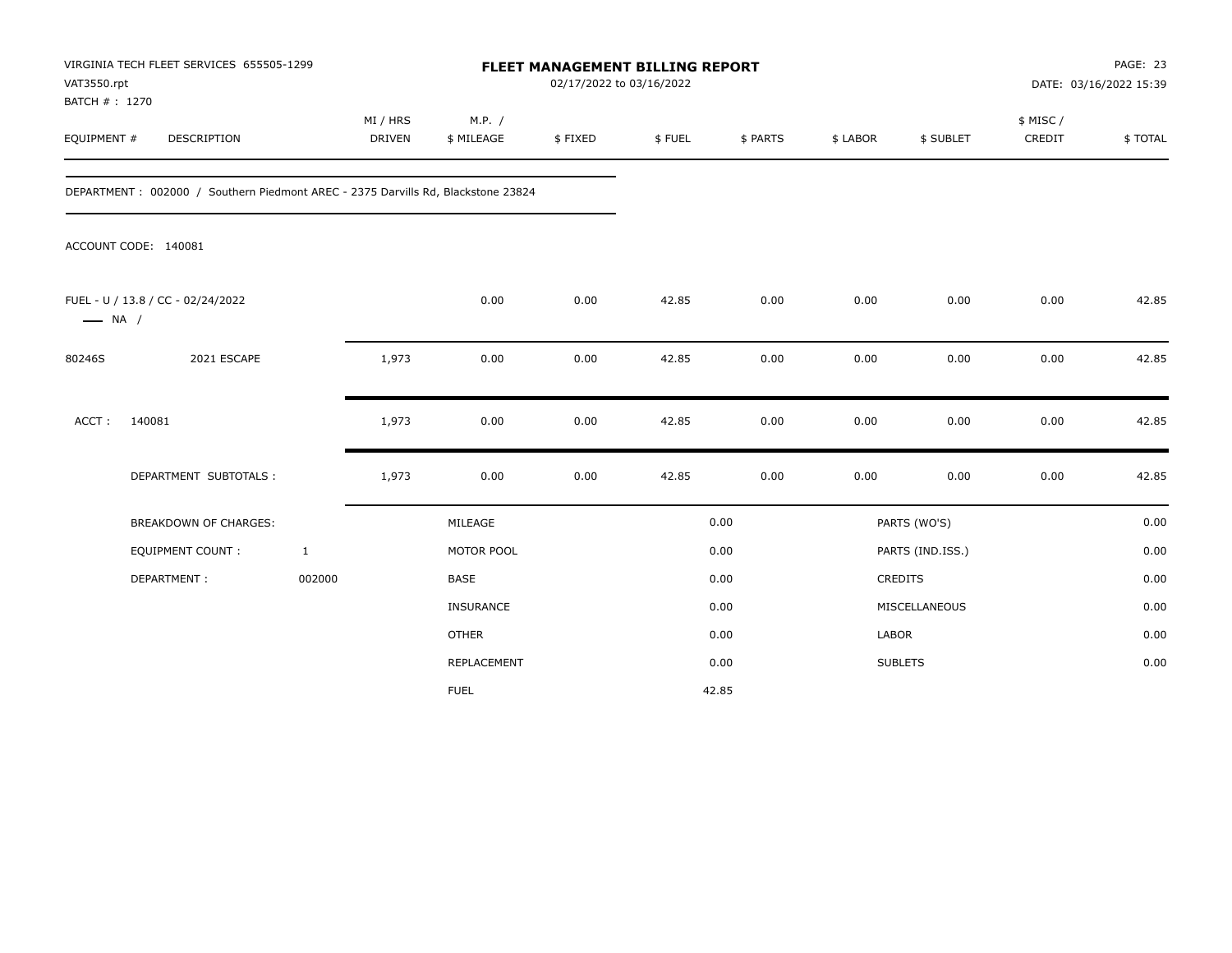| VAT3550.rpt<br>BATCH #: 1270 | VIRGINIA TECH FLEET SERVICES 655505-1299                                         |                    | FLEET MANAGEMENT BILLING REPORT<br>02/17/2022 to 03/16/2022 |         |        |          |          |                  | PAGE: 23<br>DATE: 03/16/2022 15:39 |         |
|------------------------------|----------------------------------------------------------------------------------|--------------------|-------------------------------------------------------------|---------|--------|----------|----------|------------------|------------------------------------|---------|
| EQUIPMENT #                  | <b>DESCRIPTION</b>                                                               | MI / HRS<br>DRIVEN | M.P. /<br>\$ MILEAGE                                        | \$FIXED | \$FUEL | \$ PARTS | \$ LABOR | \$ SUBLET        | \$ MISC /<br>CREDIT                | \$TOTAL |
|                              | DEPARTMENT: 002000 / Southern Piedmont AREC - 2375 Darvills Rd, Blackstone 23824 |                    |                                                             |         |        |          |          |                  |                                    |         |
|                              | ACCOUNT CODE: 140081                                                             |                    |                                                             |         |        |          |          |                  |                                    |         |
| $\longrightarrow$ NA /       | FUEL - U / 13.8 / CC - 02/24/2022                                                |                    | 0.00                                                        | 0.00    | 42.85  | 0.00     | 0.00     | 0.00             | 0.00                               | 42.85   |
| 80246S                       | 2021 ESCAPE                                                                      | 1,973              | 0.00                                                        | 0.00    | 42.85  | 0.00     | 0.00     | 0.00             | 0.00                               | 42.85   |
| ACCT:                        | 140081                                                                           | 1,973              | 0.00                                                        | 0.00    | 42.85  | 0.00     | 0.00     | 0.00             | 0.00                               | 42.85   |
|                              | DEPARTMENT SUBTOTALS :                                                           | 1,973              | 0.00                                                        | 0.00    | 42.85  | 0.00     | 0.00     | 0.00             | 0.00                               | 42.85   |
|                              | <b>BREAKDOWN OF CHARGES:</b>                                                     |                    | MILEAGE                                                     |         |        | 0.00     |          | PARTS (WO'S)     |                                    | 0.00    |
|                              | <b>EQUIPMENT COUNT:</b>                                                          | $\mathbf{1}$       | MOTOR POOL                                                  |         |        | 0.00     |          | PARTS (IND.ISS.) |                                    | 0.00    |
|                              | DEPARTMENT:                                                                      | 002000             | <b>BASE</b>                                                 |         |        | 0.00     |          | CREDITS          |                                    | 0.00    |
|                              |                                                                                  |                    | <b>INSURANCE</b>                                            |         |        | 0.00     |          | MISCELLANEOUS    |                                    | 0.00    |
|                              |                                                                                  |                    | <b>OTHER</b>                                                |         |        | 0.00     | LABOR    |                  |                                    | 0.00    |
|                              |                                                                                  |                    | <b>REPLACEMENT</b>                                          |         |        | 0.00     |          | <b>SUBLETS</b>   |                                    | 0.00    |
|                              |                                                                                  |                    | <b>FUEL</b>                                                 |         |        | 42.85    |          |                  |                                    |         |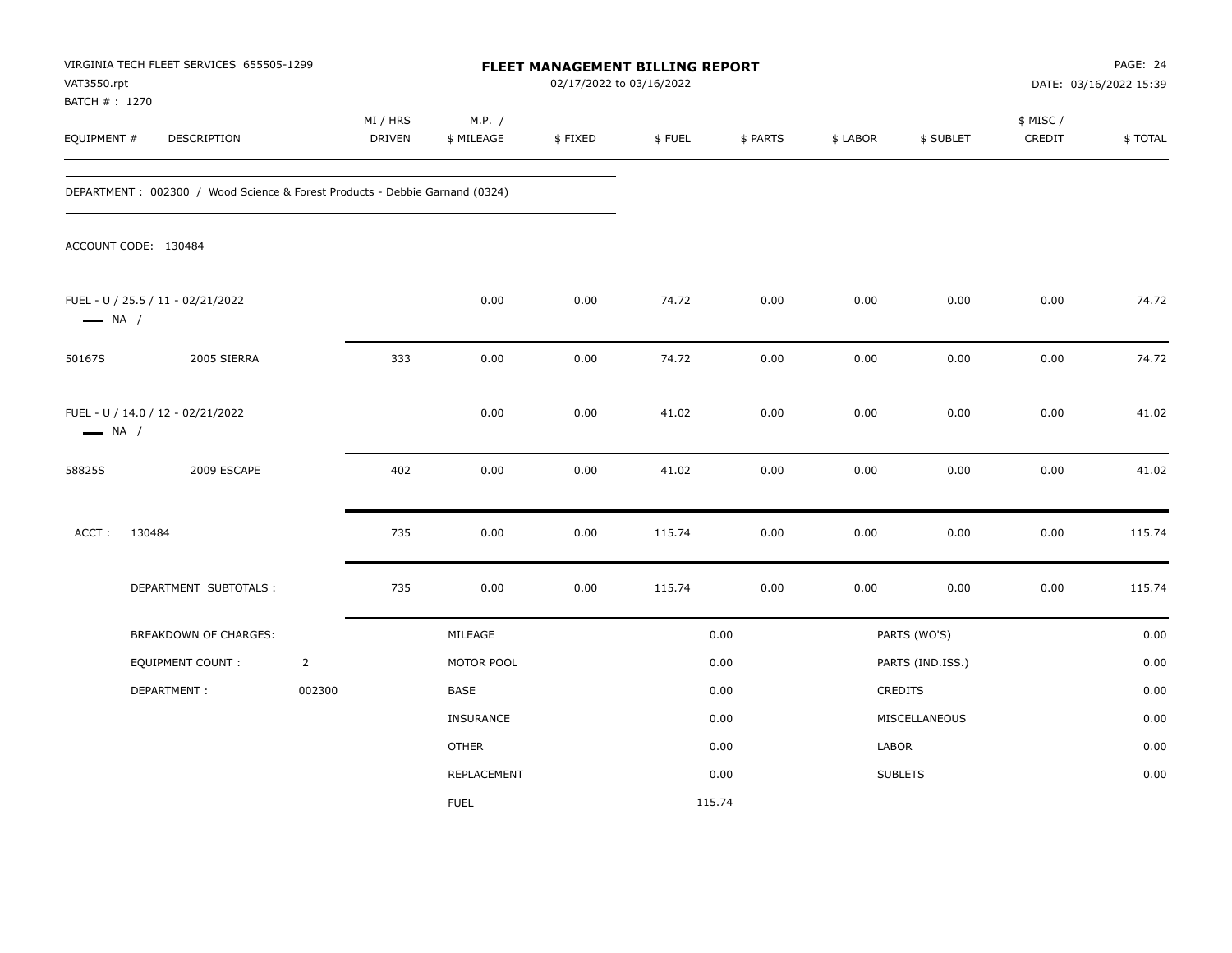| VAT3550.rpt<br>BATCH # : 1270 | VIRGINIA TECH FLEET SERVICES 655505-1299                                    |                |                           |                      | FLEET MANAGEMENT BILLING REPORT<br>02/17/2022 to 03/16/2022 |        |          |          | PAGE: 24<br>DATE: 03/16/2022 15:39 |                     |         |
|-------------------------------|-----------------------------------------------------------------------------|----------------|---------------------------|----------------------|-------------------------------------------------------------|--------|----------|----------|------------------------------------|---------------------|---------|
| EQUIPMENT #                   | DESCRIPTION                                                                 |                | MI / HRS<br><b>DRIVEN</b> | M.P. /<br>\$ MILEAGE | \$FIXED                                                     | \$FUEL | \$ PARTS | \$ LABOR | \$ SUBLET                          | \$ MISC /<br>CREDIT | \$TOTAL |
|                               | DEPARTMENT: 002300 / Wood Science & Forest Products - Debbie Garnand (0324) |                |                           |                      |                                                             |        |          |          |                                    |                     |         |
|                               | ACCOUNT CODE: 130484                                                        |                |                           |                      |                                                             |        |          |          |                                    |                     |         |
| $\longrightarrow$ NA /        | FUEL - U / 25.5 / 11 - 02/21/2022                                           |                |                           | 0.00                 | 0.00                                                        | 74.72  | 0.00     | 0.00     | 0.00                               | 0.00                | 74.72   |
| 50167S                        | 2005 SIERRA                                                                 |                | 333                       | 0.00                 | $0.00\,$                                                    | 74.72  | 0.00     | 0.00     | 0.00                               | 0.00                | 74.72   |
| $\longrightarrow$ NA /        | FUEL - U / 14.0 / 12 - 02/21/2022                                           |                |                           | 0.00                 | 0.00                                                        | 41.02  | 0.00     | 0.00     | 0.00                               | 0.00                | 41.02   |
| 58825S                        | 2009 ESCAPE                                                                 |                | 402                       | 0.00                 | 0.00                                                        | 41.02  | 0.00     | 0.00     | 0.00                               | 0.00                | 41.02   |
| ACCT:                         | 130484                                                                      |                | 735                       | 0.00                 | 0.00                                                        | 115.74 | 0.00     | 0.00     | 0.00                               | $0.00\,$            | 115.74  |
|                               | DEPARTMENT SUBTOTALS :                                                      |                | 735                       | 0.00                 | 0.00                                                        | 115.74 | 0.00     | 0.00     | 0.00                               | 0.00                | 115.74  |
|                               | BREAKDOWN OF CHARGES:                                                       |                |                           | MILEAGE              |                                                             |        | 0.00     |          | PARTS (WO'S)                       |                     | 0.00    |
|                               | <b>EQUIPMENT COUNT:</b>                                                     | $\overline{2}$ |                           | MOTOR POOL           |                                                             |        | 0.00     |          | PARTS (IND.ISS.)                   |                     | 0.00    |
|                               | DEPARTMENT:                                                                 | 002300         |                           | BASE                 |                                                             |        | 0.00     |          | CREDITS                            |                     | 0.00    |
|                               |                                                                             |                |                           | <b>INSURANCE</b>     |                                                             |        | 0.00     |          | MISCELLANEOUS                      |                     | 0.00    |
|                               |                                                                             |                |                           | <b>OTHER</b>         |                                                             |        | 0.00     | LABOR    |                                    |                     | 0.00    |
|                               |                                                                             |                |                           | <b>REPLACEMENT</b>   |                                                             |        | 0.00     |          | <b>SUBLETS</b>                     |                     | 0.00    |
|                               |                                                                             |                |                           | <b>FUEL</b>          |                                                             | 115.74 |          |          |                                    |                     |         |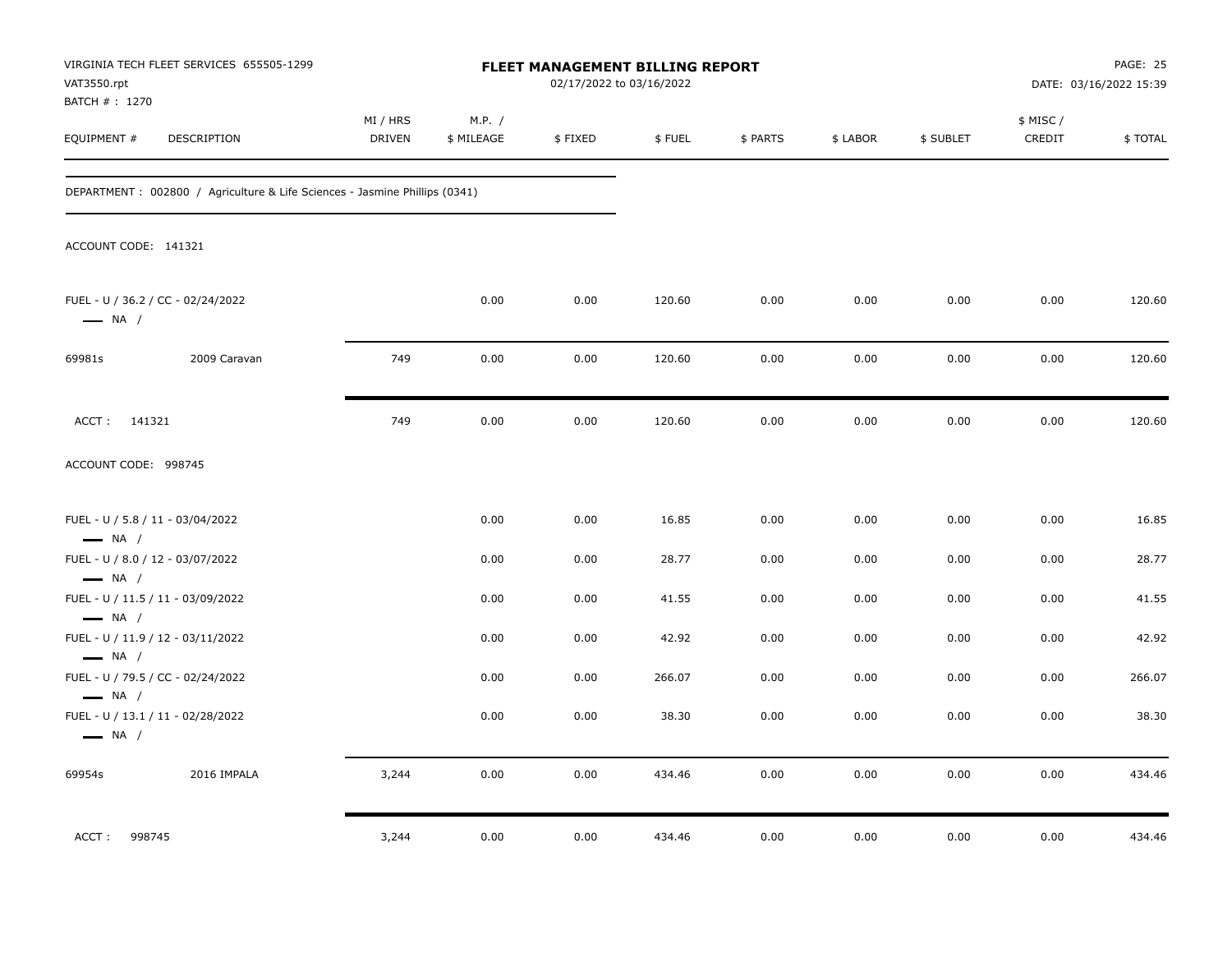| VAT3550.rpt                                      | VIRGINIA TECH FLEET SERVICES 655505-1299                                    |                    |                      | FLEET MANAGEMENT BILLING REPORT<br>02/17/2022 to 03/16/2022 |        |          |          |           |                     | PAGE: 25<br>DATE: 03/16/2022 15:39 |
|--------------------------------------------------|-----------------------------------------------------------------------------|--------------------|----------------------|-------------------------------------------------------------|--------|----------|----------|-----------|---------------------|------------------------------------|
| BATCH # : 1270<br>EQUIPMENT #                    | DESCRIPTION                                                                 | MI / HRS<br>DRIVEN | M.P. /<br>\$ MILEAGE | \$FIXED                                                     | \$FUEL | \$ PARTS | \$ LABOR | \$ SUBLET | \$ MISC /<br>CREDIT | \$TOTAL                            |
|                                                  | DEPARTMENT : 002800 / Agriculture & Life Sciences - Jasmine Phillips (0341) |                    |                      |                                                             |        |          |          |           |                     |                                    |
| ACCOUNT CODE: 141321                             |                                                                             |                    |                      |                                                             |        |          |          |           |                     |                                    |
| $\longrightarrow$ NA /                           | FUEL - U / 36.2 / CC - 02/24/2022                                           |                    | 0.00                 | 0.00                                                        | 120.60 | 0.00     | 0.00     | 0.00      | 0.00                | 120.60                             |
| 69981s                                           | 2009 Caravan                                                                | 749                | 0.00                 | 0.00                                                        | 120.60 | 0.00     | 0.00     | 0.00      | 0.00                | 120.60                             |
| ACCT: 141321                                     |                                                                             | 749                | 0.00                 | 0.00                                                        | 120.60 | 0.00     | 0.00     | 0.00      | 0.00                | 120.60                             |
| ACCOUNT CODE: 998745                             |                                                                             |                    |                      |                                                             |        |          |          |           |                     |                                    |
| $\longrightarrow$ NA /                           | FUEL - U / 5.8 / 11 - 03/04/2022                                            |                    | 0.00                 | 0.00                                                        | 16.85  | 0.00     | 0.00     | 0.00      | 0.00                | 16.85                              |
|                                                  | FUEL - U / 8.0 / 12 - 03/07/2022                                            |                    | 0.00                 | 0.00                                                        | 28.77  | 0.00     | 0.00     | 0.00      | 0.00                | 28.77                              |
| $\longrightarrow$ NA /<br>$\longrightarrow$ NA / | FUEL - U / 11.5 / 11 - 03/09/2022                                           |                    | 0.00                 | 0.00                                                        | 41.55  | 0.00     | 0.00     | 0.00      | 0.00                | 41.55                              |
|                                                  | FUEL - U / 11.9 / 12 - 03/11/2022                                           |                    | 0.00                 | 0.00                                                        | 42.92  | 0.00     | 0.00     | 0.00      | 0.00                | 42.92                              |
| $\longrightarrow$ NA /<br>$\longrightarrow$ NA / | FUEL - U / 79.5 / CC - 02/24/2022                                           |                    | 0.00                 | 0.00                                                        | 266.07 | 0.00     | 0.00     | 0.00      | 0.00                | 266.07                             |
| $\longrightarrow$ NA /                           | FUEL - U / 13.1 / 11 - 02/28/2022                                           |                    | 0.00                 | 0.00                                                        | 38.30  | 0.00     | 0.00     | 0.00      | 0.00                | 38.30                              |
| 69954s                                           | 2016 IMPALA                                                                 | 3,244              | 0.00                 | 0.00                                                        | 434.46 | 0.00     | 0.00     | 0.00      | 0.00                | 434.46                             |
| 998745<br>ACCT:                                  |                                                                             | 3,244              | 0.00                 | 0.00                                                        | 434.46 | 0.00     | 0.00     | 0.00      | 0.00                | 434.46                             |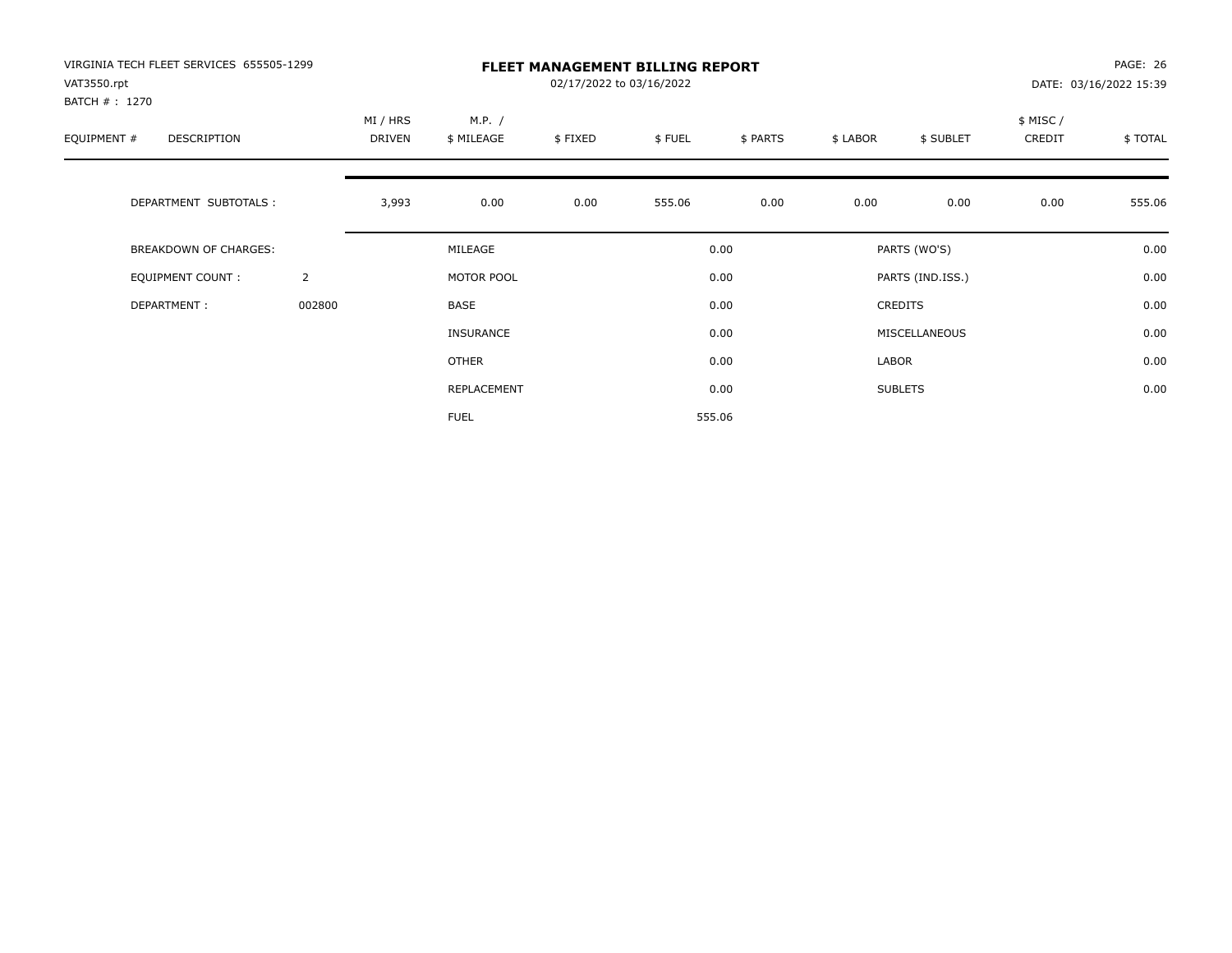| VIRGINIA TECH FLEET SERVICES 655505-1299<br>VAT3550.rpt<br>BATCH #: 1270 |                |                           |                      | PAGE: 26<br>DATE: 03/16/2022 15:39 |        |          |          |                  |                     |         |
|--------------------------------------------------------------------------|----------------|---------------------------|----------------------|------------------------------------|--------|----------|----------|------------------|---------------------|---------|
| EQUIPMENT #<br><b>DESCRIPTION</b>                                        |                | MI / HRS<br><b>DRIVEN</b> | M.P. /<br>\$ MILEAGE | \$FIXED                            | \$FUEL | \$ PARTS | \$ LABOR | \$ SUBLET        | \$ MISC /<br>CREDIT | \$TOTAL |
| DEPARTMENT SUBTOTALS :                                                   |                | 3,993                     | 0.00                 | 0.00                               | 555.06 | 0.00     | 0.00     | 0.00             | 0.00                | 555.06  |
| <b>BREAKDOWN OF CHARGES:</b>                                             |                |                           | MILEAGE              |                                    |        | 0.00     |          | PARTS (WO'S)     |                     | 0.00    |
| EQUIPMENT COUNT:                                                         | $\overline{2}$ |                           | MOTOR POOL           |                                    |        | 0.00     |          | PARTS (IND.ISS.) |                     | 0.00    |
| DEPARTMENT:                                                              | 002800         |                           | <b>BASE</b>          |                                    |        | 0.00     |          | <b>CREDITS</b>   |                     | 0.00    |
|                                                                          |                |                           | INSURANCE            |                                    |        | 0.00     |          | MISCELLANEOUS    |                     | 0.00    |
|                                                                          |                |                           | OTHER                |                                    |        | 0.00     | LABOR    |                  |                     | 0.00    |
|                                                                          |                |                           | REPLACEMENT          |                                    |        | 0.00     |          | <b>SUBLETS</b>   |                     | 0.00    |
|                                                                          |                |                           | <b>FUEL</b>          |                                    |        | 555.06   |          |                  |                     |         |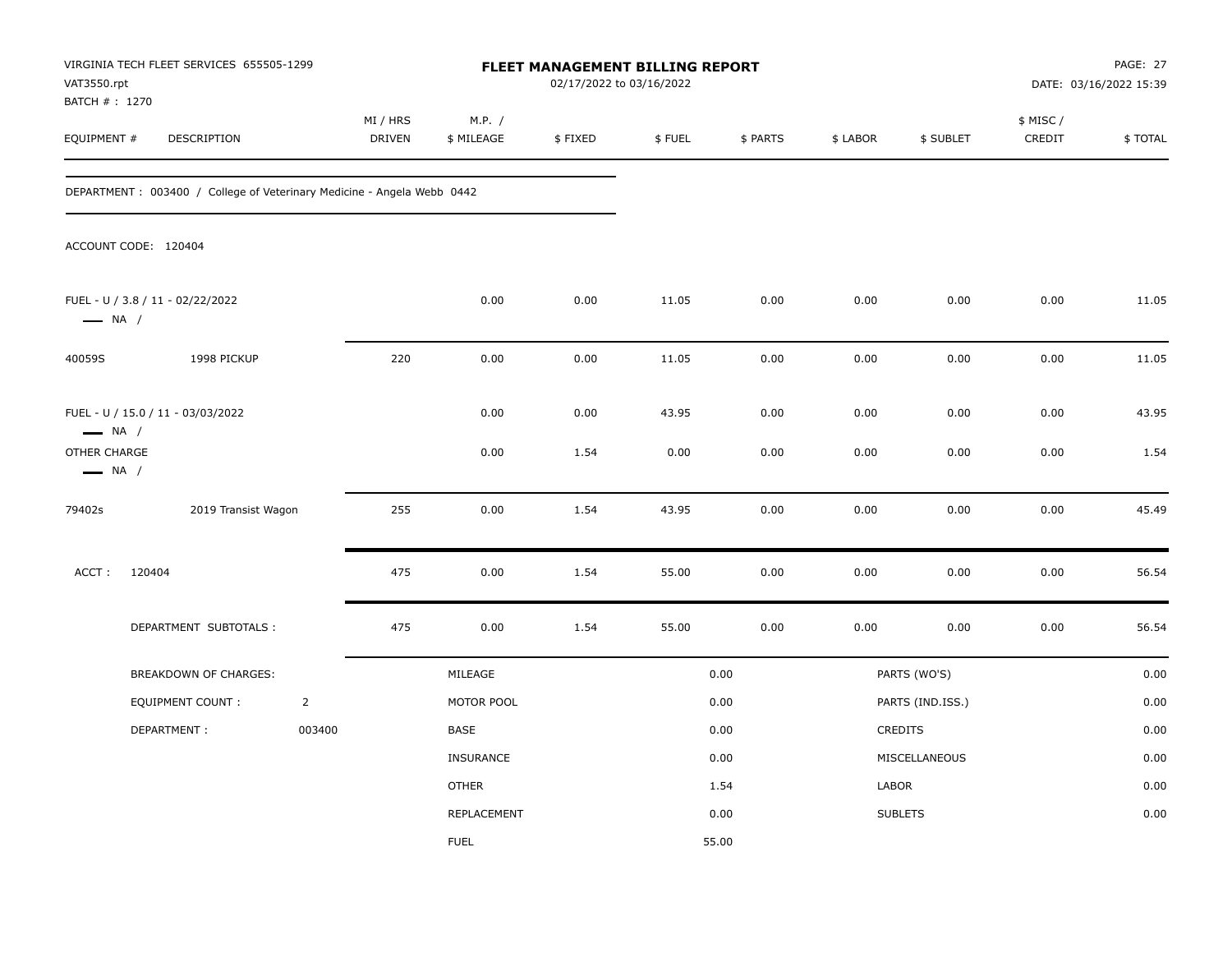| VAT3550.rpt<br>BATCH # : 1270                                    | VIRGINIA TECH FLEET SERVICES 655505-1299                               |                |                           |                      | 02/17/2022 to 03/16/2022 | FLEET MANAGEMENT BILLING REPORT |              |              |                  |                     | PAGE: 27<br>DATE: 03/16/2022 15:39 |
|------------------------------------------------------------------|------------------------------------------------------------------------|----------------|---------------------------|----------------------|--------------------------|---------------------------------|--------------|--------------|------------------|---------------------|------------------------------------|
| EQUIPMENT #                                                      | DESCRIPTION                                                            |                | MI / HRS<br><b>DRIVEN</b> | M.P. /<br>\$ MILEAGE | \$FIXED                  | \$FUEL                          | \$ PARTS     | \$ LABOR     | \$ SUBLET        | \$ MISC /<br>CREDIT | \$TOTAL                            |
|                                                                  | DEPARTMENT: 003400 / College of Veterinary Medicine - Angela Webb 0442 |                |                           |                      |                          |                                 |              |              |                  |                     |                                    |
|                                                                  | ACCOUNT CODE: 120404                                                   |                |                           |                      |                          |                                 |              |              |                  |                     |                                    |
| $\longrightarrow$ NA /                                           | FUEL - U / 3.8 / 11 - 02/22/2022                                       |                |                           | 0.00                 | 0.00                     | 11.05                           | 0.00         | 0.00         | 0.00             | 0.00                | 11.05                              |
| 40059S                                                           | 1998 PICKUP                                                            |                | 220                       | 0.00                 | 0.00                     | 11.05                           | 0.00         | 0.00         | 0.00             | 0.00                | 11.05                              |
| $\longrightarrow$ NA /<br>OTHER CHARGE<br>$\longrightarrow$ NA / | FUEL - U / 15.0 / 11 - 03/03/2022                                      |                |                           | 0.00<br>0.00         | 0.00<br>1.54             | 43.95<br>0.00                   | 0.00<br>0.00 | 0.00<br>0.00 | 0.00<br>0.00     | 0.00<br>0.00        | 43.95<br>1.54                      |
| 79402s                                                           | 2019 Transist Wagon                                                    |                | 255                       | 0.00                 | 1.54                     | 43.95                           | 0.00         | 0.00         | 0.00             | 0.00                | 45.49                              |
| ACCT:                                                            | 120404                                                                 |                | 475                       | 0.00                 | 1.54                     | 55.00                           | 0.00         | 0.00         | 0.00             | 0.00                | 56.54                              |
|                                                                  | DEPARTMENT SUBTOTALS :                                                 |                | 475                       | 0.00                 | 1.54                     | 55.00                           | 0.00         | 0.00         | 0.00             | 0.00                | 56.54                              |
|                                                                  | BREAKDOWN OF CHARGES:                                                  |                |                           | MILEAGE              |                          |                                 | 0.00         |              | PARTS (WO'S)     |                     | 0.00                               |
|                                                                  | <b>EQUIPMENT COUNT:</b>                                                | $\overline{2}$ |                           | MOTOR POOL           |                          |                                 | 0.00         |              | PARTS (IND.ISS.) |                     | 0.00                               |
|                                                                  | DEPARTMENT:                                                            | 003400         |                           | BASE                 |                          |                                 | 0.00         |              | CREDITS          |                     | 0.00                               |
|                                                                  |                                                                        |                |                           | INSURANCE            |                          |                                 | 0.00         |              | MISCELLANEOUS    |                     | 0.00                               |
|                                                                  |                                                                        |                |                           | <b>OTHER</b>         |                          |                                 | 1.54         | LABOR        |                  |                     | 0.00                               |
|                                                                  |                                                                        |                |                           | REPLACEMENT          |                          |                                 | 0.00         |              | <b>SUBLETS</b>   |                     | 0.00                               |
|                                                                  |                                                                        |                |                           | <b>FUEL</b>          |                          |                                 | 55.00        |              |                  |                     |                                    |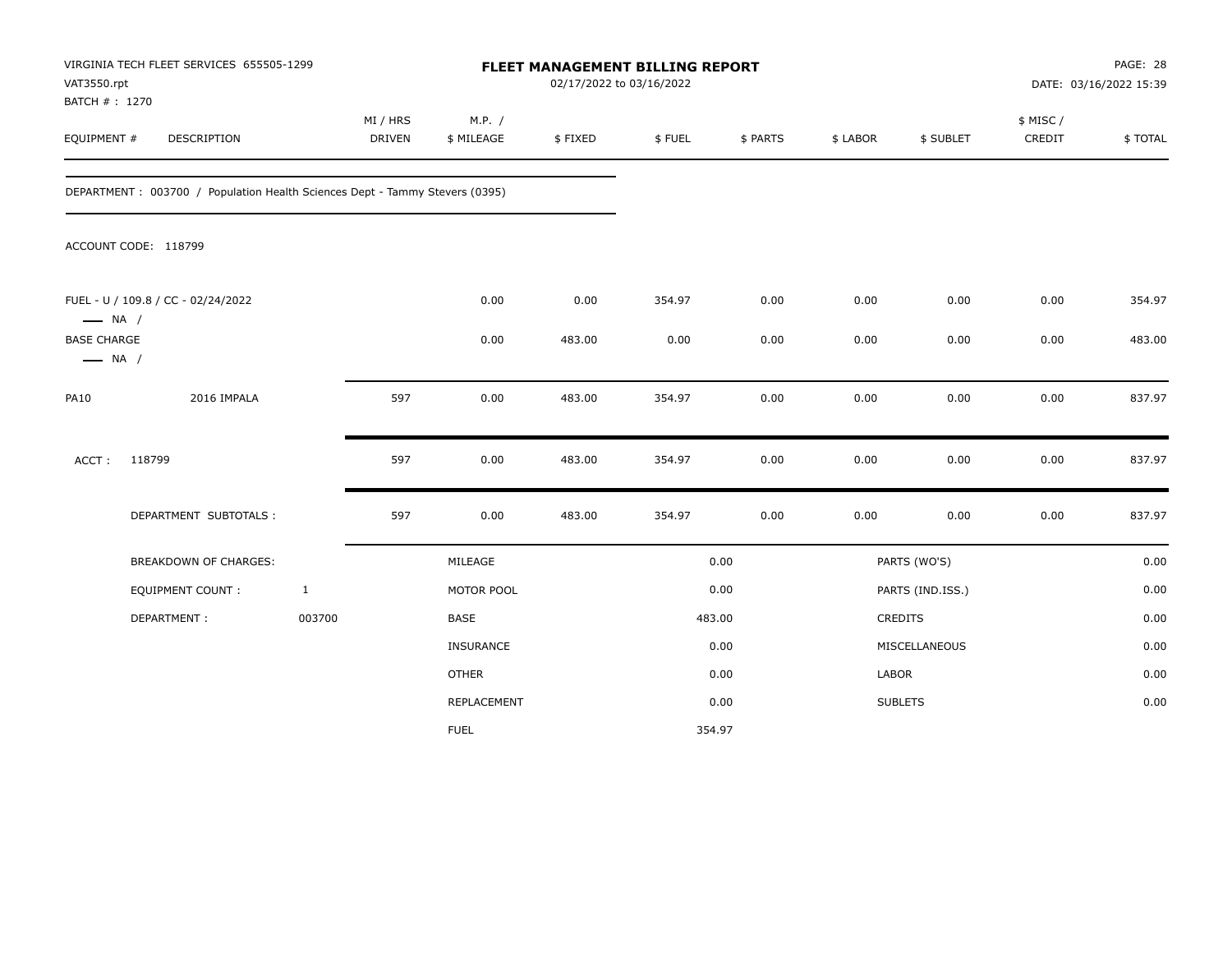| VAT3550.rpt                                  | VIRGINIA TECH FLEET SERVICES 655505-1299<br>BATCH #: 1270<br>EQUIPMENT #    |              |                           |                      |         | FLEET MANAGEMENT BILLING REPORT<br>02/17/2022 to 03/16/2022 |          |          |                  | PAGE: 28<br>DATE: 03/16/2022 15:39 |         |  |
|----------------------------------------------|-----------------------------------------------------------------------------|--------------|---------------------------|----------------------|---------|-------------------------------------------------------------|----------|----------|------------------|------------------------------------|---------|--|
|                                              | DESCRIPTION                                                                 |              | MI / HRS<br><b>DRIVEN</b> | M.P. /<br>\$ MILEAGE | \$FIXED | \$FUEL                                                      | \$ PARTS | \$ LABOR | \$ SUBLET        | \$ MISC/<br>CREDIT                 | \$TOTAL |  |
|                                              | DEPARTMENT: 003700 / Population Health Sciences Dept - Tammy Stevers (0395) |              |                           |                      |         |                                                             |          |          |                  |                                    |         |  |
|                                              | ACCOUNT CODE: 118799                                                        |              |                           |                      |         |                                                             |          |          |                  |                                    |         |  |
| $\longrightarrow$ NA /                       | FUEL - U / 109.8 / CC - 02/24/2022                                          |              |                           | 0.00                 | 0.00    | 354.97                                                      | 0.00     | 0.00     | 0.00             | 0.00                               | 354.97  |  |
| <b>BASE CHARGE</b><br>$\longrightarrow$ NA / |                                                                             |              |                           | 0.00                 | 483.00  | 0.00                                                        | 0.00     | 0.00     | 0.00             | 0.00                               | 483.00  |  |
| <b>PA10</b>                                  | 2016 IMPALA                                                                 |              | 597                       | 0.00                 | 483.00  | 354.97                                                      | 0.00     | 0.00     | 0.00             | 0.00                               | 837.97  |  |
| ACCT:                                        | 118799                                                                      |              | 597                       | 0.00                 | 483.00  | 354.97                                                      | 0.00     | 0.00     | 0.00             | 0.00                               | 837.97  |  |
|                                              | DEPARTMENT SUBTOTALS :                                                      |              | 597                       | 0.00                 | 483.00  | 354.97                                                      | 0.00     | 0.00     | 0.00             | 0.00                               | 837.97  |  |
|                                              | BREAKDOWN OF CHARGES:                                                       |              |                           | MILEAGE              |         |                                                             | 0.00     |          | PARTS (WO'S)     |                                    | 0.00    |  |
|                                              | <b>EQUIPMENT COUNT:</b>                                                     | $\mathbf{1}$ |                           | MOTOR POOL           |         |                                                             | 0.00     |          | PARTS (IND.ISS.) |                                    | 0.00    |  |
|                                              | DEPARTMENT:                                                                 | 003700       |                           | BASE                 |         |                                                             | 483.00   |          | <b>CREDITS</b>   |                                    | 0.00    |  |
|                                              |                                                                             |              |                           | INSURANCE            |         |                                                             | 0.00     |          | MISCELLANEOUS    |                                    | 0.00    |  |
|                                              |                                                                             |              |                           | <b>OTHER</b>         |         |                                                             | 0.00     | LABOR    |                  |                                    | 0.00    |  |
|                                              |                                                                             |              |                           | REPLACEMENT          |         |                                                             | 0.00     |          | <b>SUBLETS</b>   |                                    | 0.00    |  |
|                                              |                                                                             |              |                           | <b>FUEL</b>          |         |                                                             | 354.97   |          |                  |                                    |         |  |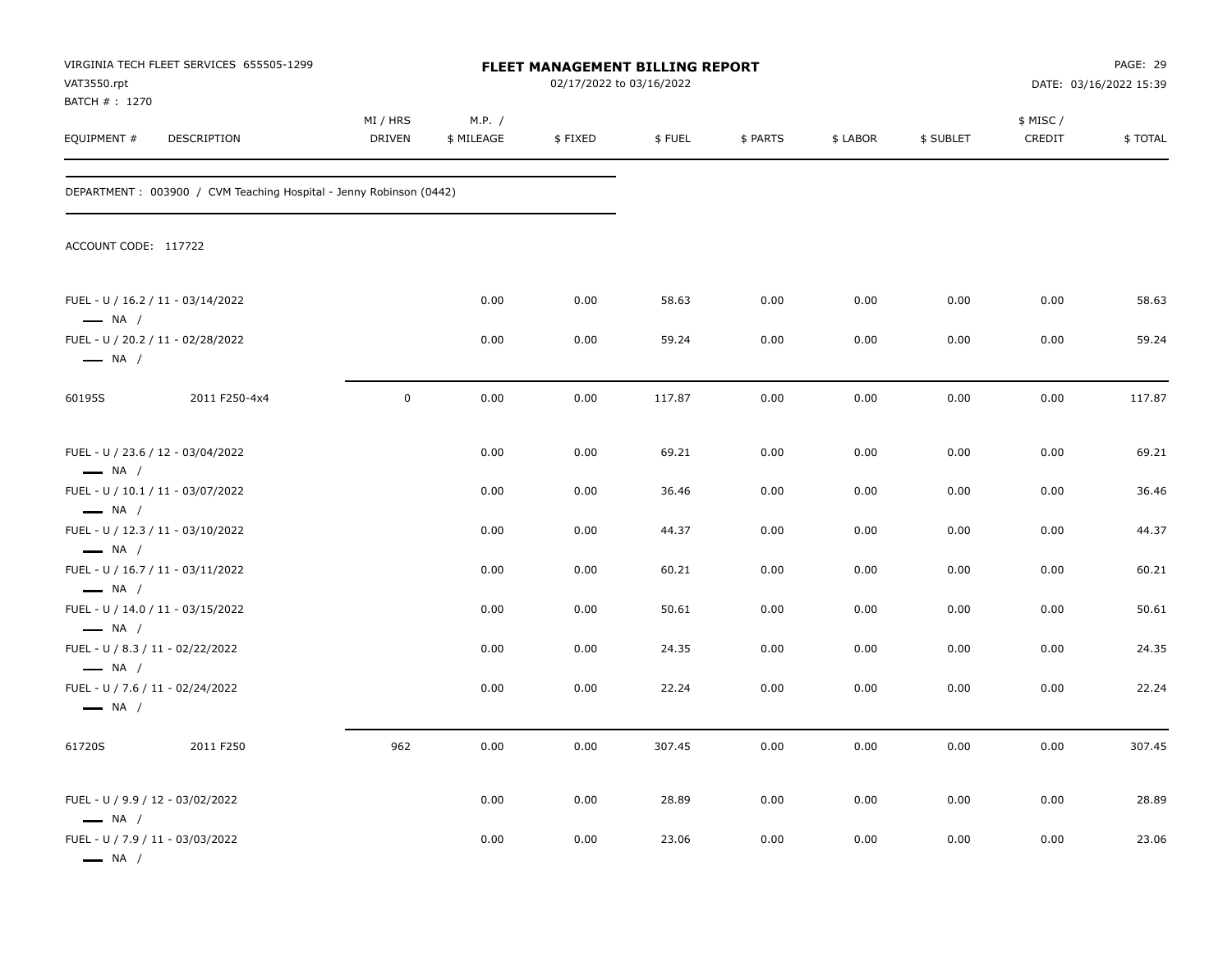| VAT3550.rpt<br>BATCH # : 1270                              | VIRGINIA TECH FLEET SERVICES 655505-1299                           |                           |                      | <b>FLEET MANAGEMENT BILLING REPORT</b><br>02/17/2022 to 03/16/2022 |        |          |          |           |                    | PAGE: 29<br>DATE: 03/16/2022 15:39 |
|------------------------------------------------------------|--------------------------------------------------------------------|---------------------------|----------------------|--------------------------------------------------------------------|--------|----------|----------|-----------|--------------------|------------------------------------|
| EQUIPMENT #                                                | DESCRIPTION                                                        | MI / HRS<br><b>DRIVEN</b> | M.P. /<br>\$ MILEAGE | \$FIXED                                                            | \$FUEL | \$ PARTS | \$ LABOR | \$ SUBLET | \$ MISC/<br>CREDIT | \$TOTAL                            |
|                                                            | DEPARTMENT: 003900 / CVM Teaching Hospital - Jenny Robinson (0442) |                           |                      |                                                                    |        |          |          |           |                    |                                    |
| ACCOUNT CODE: 117722                                       |                                                                    |                           |                      |                                                                    |        |          |          |           |                    |                                    |
| $\longrightarrow$ NA /                                     | FUEL - U / 16.2 / 11 - 03/14/2022                                  |                           | 0.00                 | 0.00                                                               | 58.63  | 0.00     | 0.00     | 0.00      | 0.00               | 58.63                              |
| $\longrightarrow$ NA /                                     | FUEL - U / 20.2 / 11 - 02/28/2022                                  |                           | 0.00                 | 0.00                                                               | 59.24  | 0.00     | 0.00     | 0.00      | 0.00               | 59.24                              |
| 60195S                                                     | 2011 F250-4x4                                                      | $\pmb{0}$                 | 0.00                 | 0.00                                                               | 117.87 | 0.00     | 0.00     | 0.00      | 0.00               | 117.87                             |
| $\longrightarrow$ NA /                                     | FUEL - U / 23.6 / 12 - 03/04/2022                                  |                           | 0.00                 | 0.00                                                               | 69.21  | 0.00     | 0.00     | 0.00      | 0.00               | 69.21                              |
|                                                            | FUEL - U / 10.1 / 11 - 03/07/2022                                  |                           | 0.00                 | 0.00                                                               | 36.46  | 0.00     | 0.00     | 0.00      | 0.00               | 36.46                              |
| $\longrightarrow$ NA /<br>$\longrightarrow$ NA /           | FUEL - U / 12.3 / 11 - 03/10/2022                                  |                           | 0.00                 | 0.00                                                               | 44.37  | 0.00     | 0.00     | 0.00      | 0.00               | 44.37                              |
| $\longrightarrow$ NA /                                     | FUEL - U / 16.7 / 11 - 03/11/2022                                  |                           | 0.00                 | 0.00                                                               | 60.21  | 0.00     | 0.00     | 0.00      | 0.00               | 60.21                              |
| $\longrightarrow$ NA /                                     | FUEL - U / 14.0 / 11 - 03/15/2022                                  |                           | 0.00                 | 0.00                                                               | 50.61  | 0.00     | 0.00     | 0.00      | 0.00               | 50.61                              |
| FUEL - U / 8.3 / 11 - 02/22/2022<br>$\longrightarrow$ NA / |                                                                    |                           | 0.00                 | 0.00                                                               | 24.35  | 0.00     | 0.00     | 0.00      | 0.00               | 24.35                              |
| FUEL - U / 7.6 / 11 - 02/24/2022<br>$\longrightarrow$ NA / |                                                                    |                           | 0.00                 | 0.00                                                               | 22.24  | 0.00     | 0.00     | 0.00      | 0.00               | 22.24                              |
| 61720S                                                     | 2011 F250                                                          | 962                       | 0.00                 | 0.00                                                               | 307.45 | 0.00     | 0.00     | 0.00      | 0.00               | 307.45                             |
| FUEL - U / 9.9 / 12 - 03/02/2022<br>$\longrightarrow$ NA / |                                                                    |                           | 0.00                 | 0.00                                                               | 28.89  | 0.00     | 0.00     | 0.00      | 0.00               | 28.89                              |
| FUEL - U / 7.9 / 11 - 03/03/2022<br>$\longrightarrow$ NA / |                                                                    |                           | 0.00                 | 0.00                                                               | 23.06  | 0.00     | 0.00     | 0.00      | 0.00               | 23.06                              |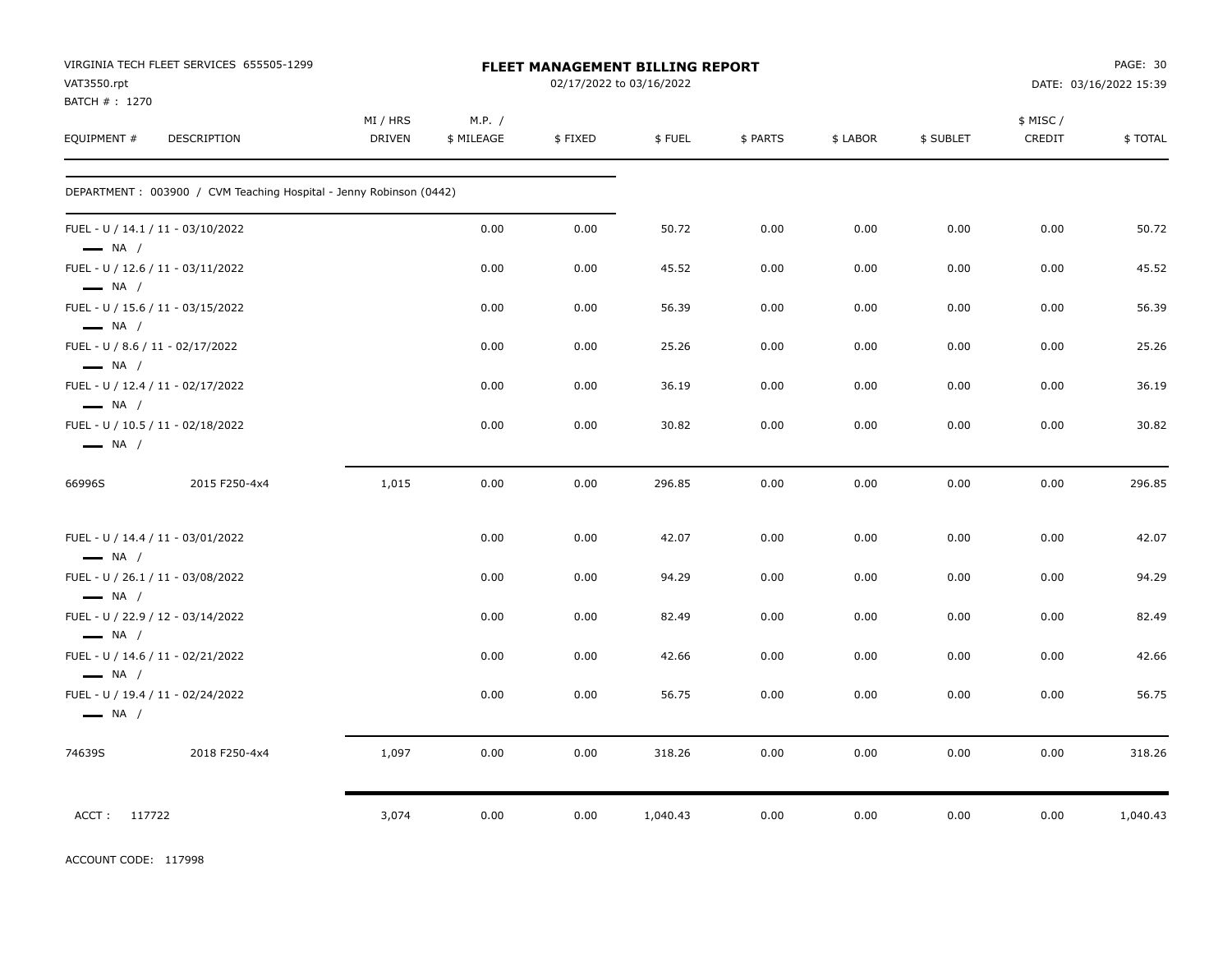| VAT3550.rpt                                                | VIRGINIA TECH FLEET SERVICES 655505-1299                           |                           |                      |         | FLEET MANAGEMENT BILLING REPORT<br>02/17/2022 to 03/16/2022 |          |          |           |                    | PAGE: 30<br>DATE: 03/16/2022 15:39 |
|------------------------------------------------------------|--------------------------------------------------------------------|---------------------------|----------------------|---------|-------------------------------------------------------------|----------|----------|-----------|--------------------|------------------------------------|
| BATCH #: 1270<br>EQUIPMENT #                               | DESCRIPTION                                                        | MI / HRS<br><b>DRIVEN</b> | M.P. /<br>\$ MILEAGE | \$FIXED | \$FUEL                                                      | \$ PARTS | \$ LABOR | \$ SUBLET | \$ MISC/<br>CREDIT | \$ TOTAL                           |
|                                                            | DEPARTMENT: 003900 / CVM Teaching Hospital - Jenny Robinson (0442) |                           |                      |         |                                                             |          |          |           |                    |                                    |
| $\longrightarrow$ NA /                                     | FUEL - U / 14.1 / 11 - 03/10/2022                                  |                           | 0.00                 | 0.00    | 50.72                                                       | 0.00     | 0.00     | 0.00      | 0.00               | 50.72                              |
| $\longrightarrow$ NA /                                     | FUEL - U / 12.6 / 11 - 03/11/2022                                  |                           | 0.00                 | 0.00    | 45.52                                                       | 0.00     | 0.00     | 0.00      | 0.00               | 45.52                              |
| $\longrightarrow$ NA /                                     | FUEL - U / 15.6 / 11 - 03/15/2022                                  |                           | 0.00                 | 0.00    | 56.39                                                       | 0.00     | 0.00     | 0.00      | 0.00               | 56.39                              |
| FUEL - U / 8.6 / 11 - 02/17/2022<br>$\longrightarrow$ NA / |                                                                    |                           | 0.00                 | 0.00    | 25.26                                                       | 0.00     | 0.00     | 0.00      | 0.00               | 25.26                              |
| $\longrightarrow$ NA /                                     | FUEL - U / 12.4 / 11 - 02/17/2022                                  |                           | 0.00                 | 0.00    | 36.19                                                       | 0.00     | 0.00     | 0.00      | 0.00               | 36.19                              |
| $\longrightarrow$ NA /                                     | FUEL - U / 10.5 / 11 - 02/18/2022                                  |                           | 0.00                 | 0.00    | 30.82                                                       | 0.00     | 0.00     | 0.00      | 0.00               | 30.82                              |
| 66996S                                                     | 2015 F250-4x4                                                      | 1,015                     | 0.00                 | 0.00    | 296.85                                                      | 0.00     | 0.00     | 0.00      | 0.00               | 296.85                             |
| $\longrightarrow$ NA /                                     | FUEL - U / 14.4 / 11 - 03/01/2022                                  |                           | 0.00                 | 0.00    | 42.07                                                       | 0.00     | 0.00     | 0.00      | 0.00               | 42.07                              |
| $\longrightarrow$ NA /                                     | FUEL - U / 26.1 / 11 - 03/08/2022                                  |                           | 0.00                 | 0.00    | 94.29                                                       | 0.00     | 0.00     | 0.00      | 0.00               | 94.29                              |
| $\longrightarrow$ NA /                                     | FUEL - U / 22.9 / 12 - 03/14/2022                                  |                           | 0.00                 | 0.00    | 82.49                                                       | 0.00     | 0.00     | 0.00      | 0.00               | 82.49                              |
| $\longrightarrow$ NA /                                     | FUEL - U / 14.6 / 11 - 02/21/2022                                  |                           | 0.00                 | 0.00    | 42.66                                                       | 0.00     | 0.00     | 0.00      | 0.00               | 42.66                              |
| $\longrightarrow$ NA /                                     | FUEL - U / 19.4 / 11 - 02/24/2022                                  |                           | 0.00                 | 0.00    | 56.75                                                       | 0.00     | 0.00     | 0.00      | 0.00               | 56.75                              |
| 74639S                                                     | 2018 F250-4x4                                                      | 1,097                     | 0.00                 | 0.00    | 318.26                                                      | 0.00     | 0.00     | 0.00      | 0.00               | 318.26                             |
| ACCT: 117722                                               |                                                                    | 3,074                     | 0.00                 | 0.00    | 1,040.43                                                    | 0.00     | 0.00     | 0.00      | 0.00               | 1,040.43                           |

ACCOUNT CODE: 117998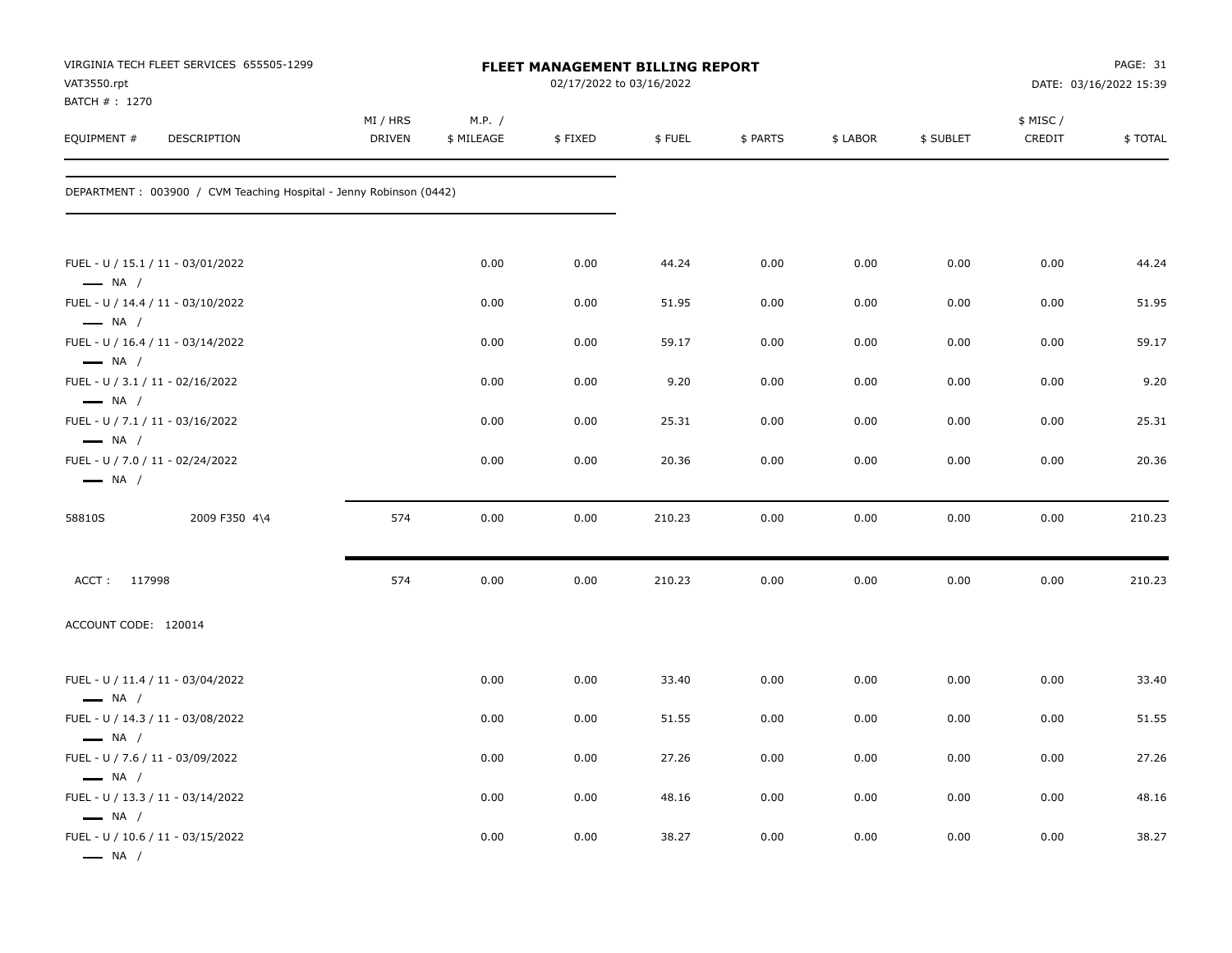| VAT3550.rpt<br>BATCH #: 1270                               | VIRGINIA TECH FLEET SERVICES 655505-1299                            |                           |                      | FLEET MANAGEMENT BILLING REPORT<br>02/17/2022 to 03/16/2022 |        |          |          |           |                     | PAGE: 31<br>DATE: 03/16/2022 15:39 |
|------------------------------------------------------------|---------------------------------------------------------------------|---------------------------|----------------------|-------------------------------------------------------------|--------|----------|----------|-----------|---------------------|------------------------------------|
| EQUIPMENT #                                                | DESCRIPTION                                                         | MI / HRS<br><b>DRIVEN</b> | M.P. /<br>\$ MILEAGE | \$FIXED                                                     | \$FUEL | \$ PARTS | \$ LABOR | \$ SUBLET | \$ MISC /<br>CREDIT | \$TOTAL                            |
|                                                            | DEPARTMENT : 003900 / CVM Teaching Hospital - Jenny Robinson (0442) |                           |                      |                                                             |        |          |          |           |                     |                                    |
| $\longrightarrow$ NA /                                     | FUEL - U / 15.1 / 11 - 03/01/2022                                   |                           | 0.00                 | 0.00                                                        | 44.24  | 0.00     | 0.00     | 0.00      | 0.00                | 44.24                              |
|                                                            | FUEL - U / 14.4 / 11 - 03/10/2022                                   |                           | 0.00                 | 0.00                                                        | 51.95  | 0.00     | 0.00     | 0.00      | 0.00                | 51.95                              |
| $\longrightarrow$ NA /<br>$\longrightarrow$ NA /           | FUEL - U / 16.4 / 11 - 03/14/2022                                   |                           | 0.00                 | 0.00                                                        | 59.17  | 0.00     | 0.00     | 0.00      | 0.00                | 59.17                              |
| FUEL - U / 3.1 / 11 - 02/16/2022<br>$\longrightarrow$ NA / |                                                                     |                           | 0.00                 | 0.00                                                        | 9.20   | 0.00     | 0.00     | 0.00      | 0.00                | 9.20                               |
| FUEL - U / 7.1 / 11 - 03/16/2022<br>$\longrightarrow$ NA / |                                                                     |                           | 0.00                 | 0.00                                                        | 25.31  | 0.00     | 0.00     | 0.00      | 0.00                | 25.31                              |
| FUEL - U / 7.0 / 11 - 02/24/2022<br>$\longrightarrow$ NA / |                                                                     |                           | 0.00                 | 0.00                                                        | 20.36  | 0.00     | 0.00     | 0.00      | 0.00                | 20.36                              |
| 58810S                                                     | 2009 F350 4\4                                                       | 574                       | 0.00                 | 0.00                                                        | 210.23 | 0.00     | 0.00     | 0.00      | 0.00                | 210.23                             |
| ACCT: 117998                                               |                                                                     | 574                       | 0.00                 | 0.00                                                        | 210.23 | 0.00     | 0.00     | 0.00      | 0.00                | 210.23                             |
| ACCOUNT CODE: 120014                                       |                                                                     |                           |                      |                                                             |        |          |          |           |                     |                                    |
| $\longrightarrow$ NA /                                     | FUEL - U / 11.4 / 11 - 03/04/2022                                   |                           | 0.00                 | 0.00                                                        | 33.40  | 0.00     | 0.00     | 0.00      | 0.00                | 33.40                              |
| $\longrightarrow$ NA /                                     | FUEL - U / 14.3 / 11 - 03/08/2022                                   |                           | 0.00                 | 0.00                                                        | 51.55  | 0.00     | 0.00     | 0.00      | 0.00                | 51.55                              |
| FUEL - U / 7.6 / 11 - 03/09/2022                           |                                                                     |                           | 0.00                 | 0.00                                                        | 27.26  | 0.00     | 0.00     | 0.00      | 0.00                | 27.26                              |
| $\longrightarrow$ NA /<br>$\longrightarrow$ NA /           | FUEL - U / 13.3 / 11 - 03/14/2022                                   |                           | 0.00                 | 0.00                                                        | 48.16  | 0.00     | 0.00     | 0.00      | 0.00                | 48.16                              |
| $\longrightarrow$ NA /                                     | FUEL - U / 10.6 / 11 - 03/15/2022                                   |                           | 0.00                 | 0.00                                                        | 38.27  | 0.00     | 0.00     | 0.00      | 0.00                | 38.27                              |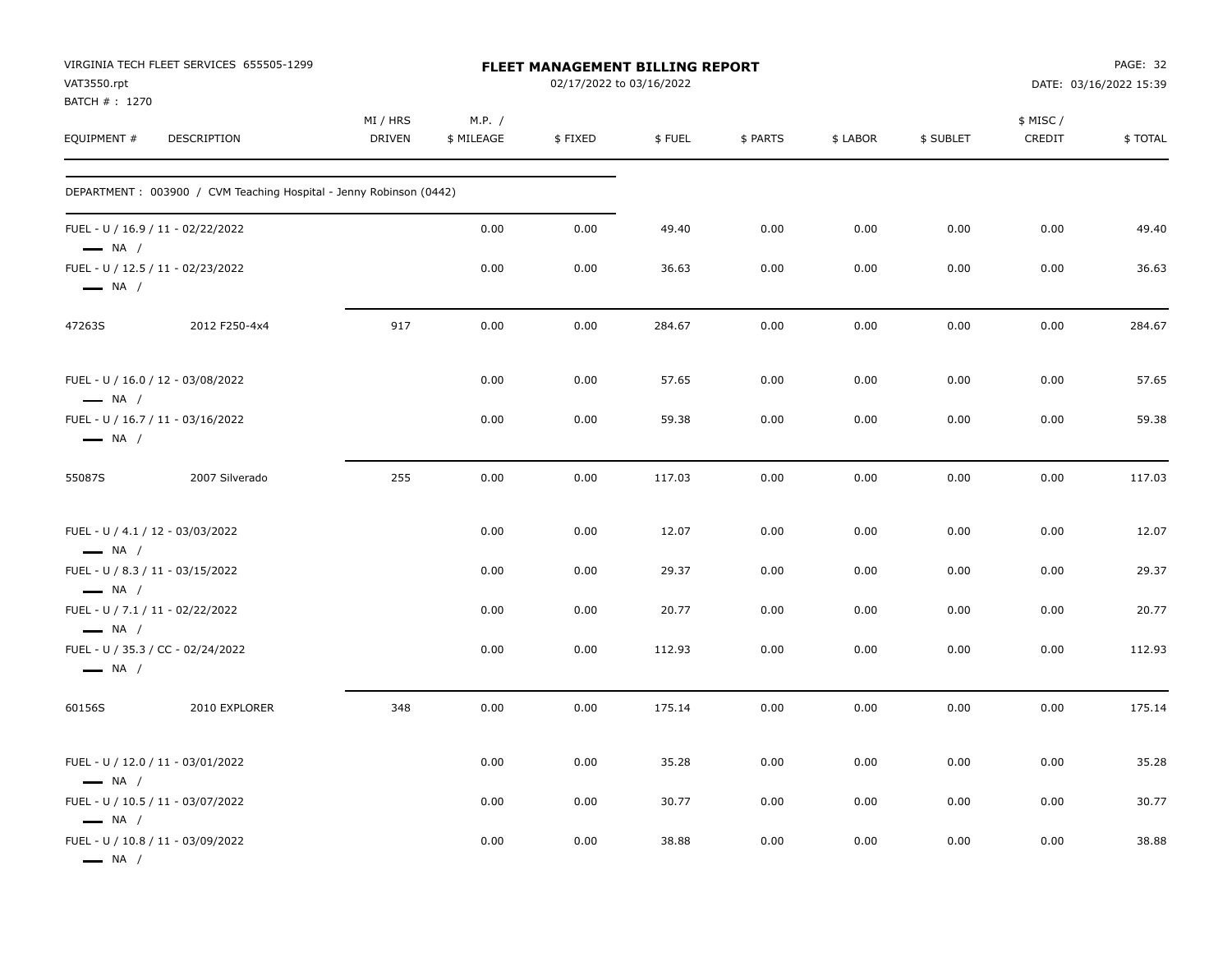| VAT3550.rpt<br>BATCH #: 1270                     | VIRGINIA TECH FLEET SERVICES 655505-1299                           |                           |                      |         | <b>FLEET MANAGEMENT BILLING REPORT</b><br>02/17/2022 to 03/16/2022 |          |          |           | PAGE: 32<br>DATE: 03/16/2022 15:39 |         |
|--------------------------------------------------|--------------------------------------------------------------------|---------------------------|----------------------|---------|--------------------------------------------------------------------|----------|----------|-----------|------------------------------------|---------|
| EQUIPMENT #                                      | DESCRIPTION                                                        | MI / HRS<br><b>DRIVEN</b> | M.P. /<br>\$ MILEAGE | \$FIXED | \$FUEL                                                             | \$ PARTS | \$ LABOR | \$ SUBLET | \$ MISC/<br>CREDIT                 | \$TOTAL |
|                                                  | DEPARTMENT: 003900 / CVM Teaching Hospital - Jenny Robinson (0442) |                           |                      |         |                                                                    |          |          |           |                                    |         |
| $\longrightarrow$ NA /                           | FUEL - U / 16.9 / 11 - 02/22/2022                                  |                           | 0.00                 | 0.00    | 49.40                                                              | 0.00     | 0.00     | 0.00      | 0.00                               | 49.40   |
| $\longrightarrow$ NA /                           | FUEL - U / 12.5 / 11 - 02/23/2022                                  |                           | 0.00                 | 0.00    | 36.63                                                              | 0.00     | 0.00     | 0.00      | 0.00                               | 36.63   |
| 47263S                                           | 2012 F250-4x4                                                      | 917                       | 0.00                 | 0.00    | 284.67                                                             | 0.00     | 0.00     | 0.00      | 0.00                               | 284.67  |
| $\longrightarrow$ NA /                           | FUEL - U / 16.0 / 12 - 03/08/2022                                  |                           | 0.00                 | 0.00    | 57.65                                                              | 0.00     | 0.00     | 0.00      | 0.00                               | 57.65   |
| $\longrightarrow$ NA /                           | FUEL - U / 16.7 / 11 - 03/16/2022                                  |                           | 0.00                 | 0.00    | 59.38                                                              | 0.00     | 0.00     | 0.00      | 0.00                               | 59.38   |
| 55087S                                           | 2007 Silverado                                                     | 255                       | 0.00                 | 0.00    | 117.03                                                             | 0.00     | 0.00     | 0.00      | 0.00                               | 117.03  |
| $\longrightarrow$ NA /                           | FUEL - U / 4.1 / 12 - 03/03/2022                                   |                           | 0.00                 | 0.00    | 12.07                                                              | 0.00     | 0.00     | 0.00      | 0.00                               | 12.07   |
|                                                  | FUEL - U / 8.3 / 11 - 03/15/2022                                   |                           | 0.00                 | 0.00    | 29.37                                                              | 0.00     | 0.00     | 0.00      | 0.00                               | 29.37   |
| $\longrightarrow$ NA /<br>$\longrightarrow$ NA / | FUEL - U / 7.1 / 11 - 02/22/2022                                   |                           | 0.00                 | 0.00    | 20.77                                                              | 0.00     | 0.00     | 0.00      | 0.00                               | 20.77   |
| $\longrightarrow$ NA /                           | FUEL - U / 35.3 / CC - 02/24/2022                                  |                           | 0.00                 | 0.00    | 112.93                                                             | 0.00     | 0.00     | 0.00      | 0.00                               | 112.93  |
| 60156S                                           | 2010 EXPLORER                                                      | 348                       | 0.00                 | 0.00    | 175.14                                                             | 0.00     | 0.00     | 0.00      | 0.00                               | 175.14  |
| $\longrightarrow$ NA /                           | FUEL - U / 12.0 / 11 - 03/01/2022                                  |                           | 0.00                 | 0.00    | 35.28                                                              | 0.00     | 0.00     | 0.00      | 0.00                               | 35.28   |
|                                                  | FUEL - U / 10.5 / 11 - 03/07/2022                                  |                           | 0.00                 | 0.00    | 30.77                                                              | 0.00     | 0.00     | 0.00      | 0.00                               | 30.77   |
| $\longrightarrow$ NA /<br>$\longrightarrow$ NA / | FUEL - U / 10.8 / 11 - 03/09/2022                                  |                           | 0.00                 | 0.00    | 38.88                                                              | 0.00     | 0.00     | 0.00      | 0.00                               | 38.88   |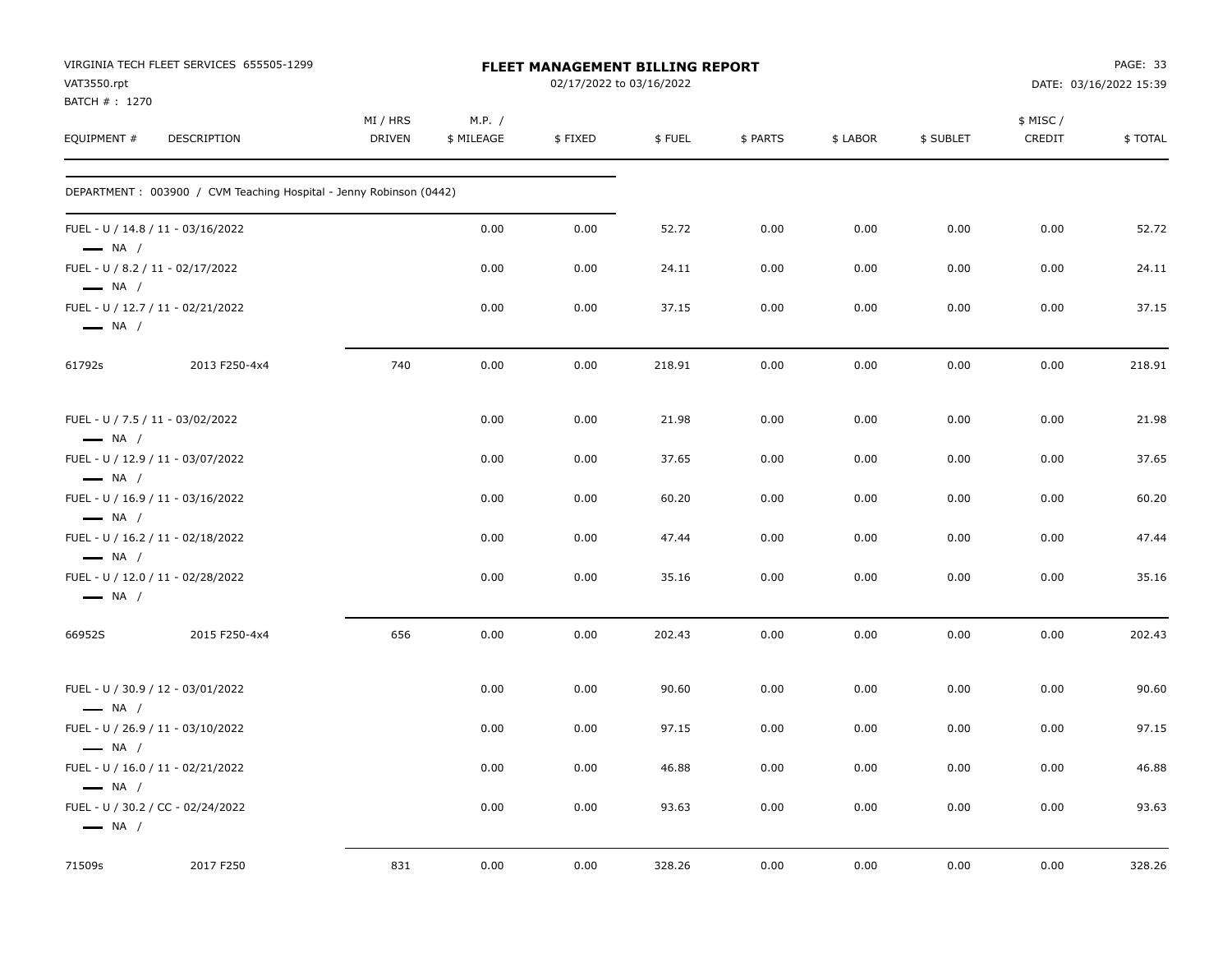| VAT3550.rpt                  | VIRGINIA TECH FLEET SERVICES 655505-1299                            |                           |                      | FLEET MANAGEMENT BILLING REPORT<br>02/17/2022 to 03/16/2022 |        |          |          |           |                    | PAGE: 33<br>DATE: 03/16/2022 15:39 |
|------------------------------|---------------------------------------------------------------------|---------------------------|----------------------|-------------------------------------------------------------|--------|----------|----------|-----------|--------------------|------------------------------------|
| BATCH #: 1270<br>EQUIPMENT # | DESCRIPTION                                                         | MI / HRS<br><b>DRIVEN</b> | M.P. /<br>\$ MILEAGE | \$FIXED                                                     | \$FUEL | \$ PARTS | \$ LABOR | \$ SUBLET | \$ MISC/<br>CREDIT | \$TOTAL                            |
|                              | DEPARTMENT : 003900 / CVM Teaching Hospital - Jenny Robinson (0442) |                           |                      |                                                             |        |          |          |           |                    |                                    |
| $\longrightarrow$ NA /       | FUEL - U / 14.8 / 11 - 03/16/2022                                   |                           | 0.00                 | 0.00                                                        | 52.72  | 0.00     | 0.00     | 0.00      | 0.00               | 52.72                              |
| $\longrightarrow$ NA /       | FUEL - U / 8.2 / 11 - 02/17/2022                                    |                           | 0.00                 | 0.00                                                        | 24.11  | 0.00     | 0.00     | 0.00      | 0.00               | 24.11                              |
| $\longrightarrow$ NA /       | FUEL - U / 12.7 / 11 - 02/21/2022                                   |                           | 0.00                 | 0.00                                                        | 37.15  | 0.00     | 0.00     | 0.00      | 0.00               | 37.15                              |
| 61792s                       | 2013 F250-4x4                                                       | 740                       | 0.00                 | 0.00                                                        | 218.91 | 0.00     | 0.00     | 0.00      | 0.00               | 218.91                             |
| $\longrightarrow$ NA /       | FUEL - U / 7.5 / 11 - 03/02/2022                                    |                           | 0.00                 | 0.00                                                        | 21.98  | 0.00     | 0.00     | 0.00      | 0.00               | 21.98                              |
| $\longrightarrow$ NA /       | FUEL - U / 12.9 / 11 - 03/07/2022                                   |                           | 0.00                 | 0.00                                                        | 37.65  | 0.00     | 0.00     | 0.00      | 0.00               | 37.65                              |
| $\longrightarrow$ NA /       | FUEL - U / 16.9 / 11 - 03/16/2022                                   |                           | 0.00                 | 0.00                                                        | 60.20  | 0.00     | 0.00     | 0.00      | 0.00               | 60.20                              |
| $\longrightarrow$ NA /       | FUEL - U / 16.2 / 11 - 02/18/2022                                   |                           | 0.00                 | 0.00                                                        | 47.44  | 0.00     | 0.00     | 0.00      | 0.00               | 47.44                              |
| $\longrightarrow$ NA /       | FUEL - U / 12.0 / 11 - 02/28/2022                                   |                           | 0.00                 | 0.00                                                        | 35.16  | 0.00     | 0.00     | 0.00      | 0.00               | 35.16                              |
| 66952S                       | 2015 F250-4x4                                                       | 656                       | 0.00                 | 0.00                                                        | 202.43 | 0.00     | 0.00     | 0.00      | 0.00               | 202.43                             |
| $\longrightarrow$ NA /       | FUEL - U / 30.9 / 12 - 03/01/2022                                   |                           | 0.00                 | 0.00                                                        | 90.60  | 0.00     | 0.00     | 0.00      | 0.00               | 90.60                              |
| $\longrightarrow$ NA /       | FUEL - U / 26.9 / 11 - 03/10/2022                                   |                           | 0.00                 | 0.00                                                        | 97.15  | 0.00     | 0.00     | 0.00      | 0.00               | 97.15                              |
| $\longrightarrow$ NA /       | FUEL - U / 16.0 / 11 - 02/21/2022                                   |                           | 0.00                 | 0.00                                                        | 46.88  | 0.00     | 0.00     | 0.00      | 0.00               | 46.88                              |
| $\longrightarrow$ NA /       | FUEL - U / 30.2 / CC - 02/24/2022                                   |                           | 0.00                 | 0.00                                                        | 93.63  | 0.00     | 0.00     | 0.00      | 0.00               | 93.63                              |
| 71509s                       | 2017 F250                                                           | 831                       | 0.00                 | 0.00                                                        | 328.26 | 0.00     | 0.00     | 0.00      | 0.00               | 328.26                             |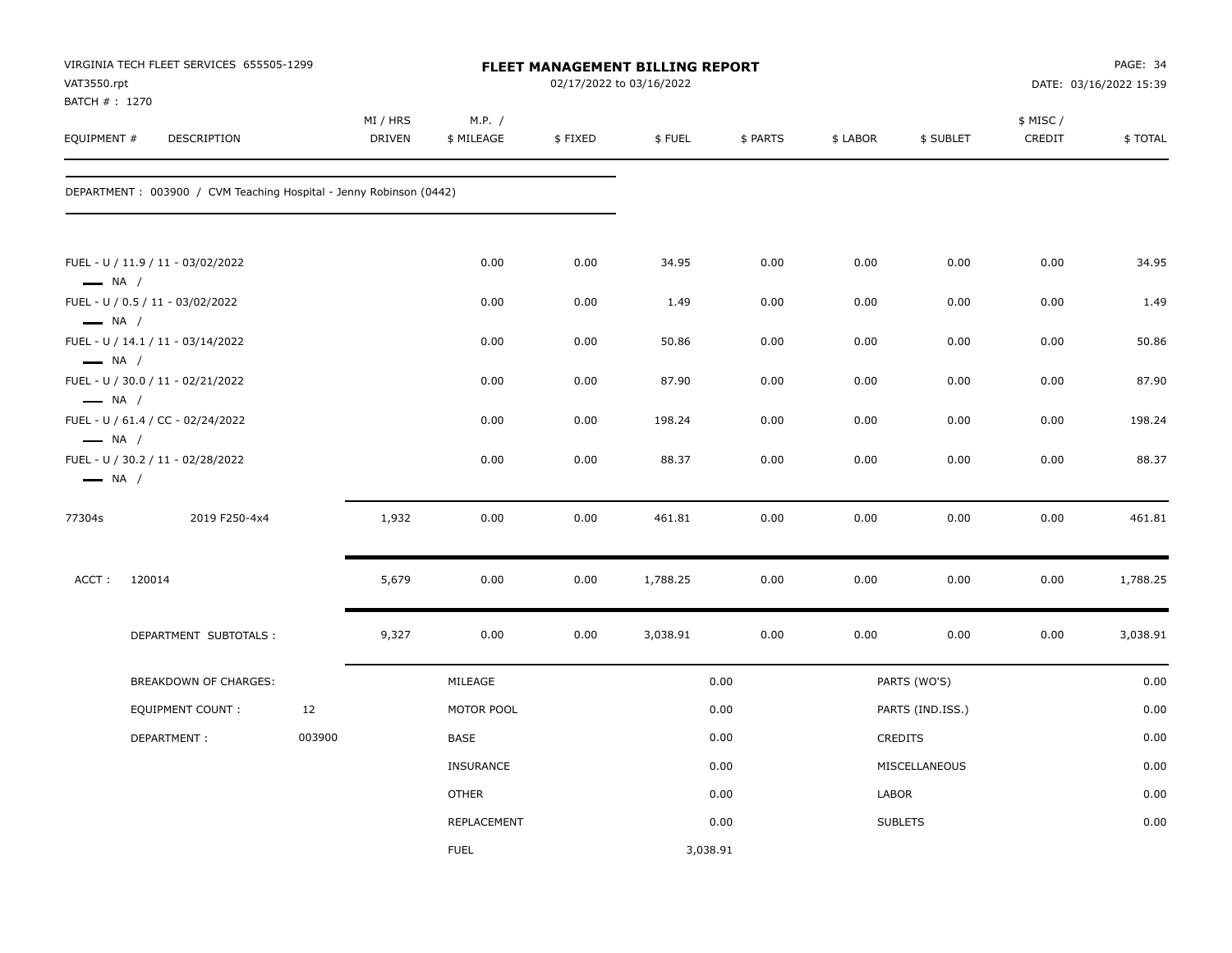| VAT3550.rpt<br>BATCH #: 1270                     | VIRGINIA TECH FLEET SERVICES 655505-1299                           |        |                           |                      |         | FLEET MANAGEMENT BILLING REPORT<br>02/17/2022 to 03/16/2022 |          |          |                  |                     | PAGE: 34<br>DATE: 03/16/2022 15:39 |
|--------------------------------------------------|--------------------------------------------------------------------|--------|---------------------------|----------------------|---------|-------------------------------------------------------------|----------|----------|------------------|---------------------|------------------------------------|
| EQUIPMENT #                                      | <b>DESCRIPTION</b>                                                 |        | MI / HRS<br><b>DRIVEN</b> | M.P. /<br>\$ MILEAGE | \$FIXED | \$FUEL                                                      | \$ PARTS | \$ LABOR | \$ SUBLET        | \$ MISC /<br>CREDIT | \$TOTAL                            |
|                                                  | DEPARTMENT: 003900 / CVM Teaching Hospital - Jenny Robinson (0442) |        |                           |                      |         |                                                             |          |          |                  |                     |                                    |
| $\longrightarrow$ NA /                           | FUEL - U / 11.9 / 11 - 03/02/2022                                  |        |                           | 0.00                 | 0.00    | 34.95                                                       | 0.00     | 0.00     | 0.00             | 0.00                | 34.95                              |
|                                                  | FUEL - U / 0.5 / 11 - 03/02/2022                                   |        |                           | 0.00                 | 0.00    | 1.49                                                        | 0.00     | 0.00     | 0.00             | 0.00                | 1.49                               |
| $\longrightarrow$ NA /<br>$\longrightarrow$ NA / | FUEL - U / 14.1 / 11 - 03/14/2022                                  |        |                           | 0.00                 | 0.00    | 50.86                                                       | 0.00     | 0.00     | 0.00             | 0.00                | 50.86                              |
|                                                  | FUEL - U / 30.0 / 11 - 02/21/2022                                  |        |                           | 0.00                 | 0.00    | 87.90                                                       | 0.00     | 0.00     | 0.00             | 0.00                | 87.90                              |
| $\longrightarrow$ NA /<br>$\longrightarrow$ NA / | FUEL - U / 61.4 / CC - 02/24/2022                                  |        |                           | 0.00                 | 0.00    | 198.24                                                      | 0.00     | 0.00     | 0.00             | 0.00                | 198.24                             |
| $\longrightarrow$ NA /                           | FUEL - U / 30.2 / 11 - 02/28/2022                                  |        |                           | 0.00                 | 0.00    | 88.37                                                       | 0.00     | 0.00     | 0.00             | 0.00                | 88.37                              |
| 77304s                                           | 2019 F250-4x4                                                      |        | 1,932                     | 0.00                 | 0.00    | 461.81                                                      | 0.00     | 0.00     | 0.00             | 0.00                | 461.81                             |
| ACCT:                                            | 120014                                                             |        | 5,679                     | 0.00                 | 0.00    | 1,788.25                                                    | 0.00     | 0.00     | 0.00             | 0.00                | 1,788.25                           |
|                                                  | DEPARTMENT SUBTOTALS :                                             |        | 9,327                     | 0.00                 | 0.00    | 3,038.91                                                    | 0.00     | 0.00     | 0.00             | 0.00                | 3,038.91                           |
|                                                  | BREAKDOWN OF CHARGES:                                              |        |                           | MILEAGE              |         |                                                             | 0.00     |          | PARTS (WO'S)     |                     | 0.00                               |
|                                                  | <b>EQUIPMENT COUNT:</b>                                            | 12     |                           | MOTOR POOL           |         |                                                             | 0.00     |          | PARTS (IND.ISS.) |                     | 0.00                               |
|                                                  | DEPARTMENT:                                                        | 003900 |                           | BASE                 |         |                                                             | 0.00     |          | CREDITS          |                     | 0.00                               |
|                                                  |                                                                    |        |                           | <b>INSURANCE</b>     |         |                                                             | 0.00     |          | MISCELLANEOUS    |                     | 0.00                               |
|                                                  |                                                                    |        |                           | <b>OTHER</b>         |         |                                                             | 0.00     | LABOR    |                  |                     | 0.00                               |
|                                                  |                                                                    |        |                           | REPLACEMENT          |         |                                                             | 0.00     |          | <b>SUBLETS</b>   |                     | 0.00                               |
|                                                  |                                                                    |        |                           | <b>FUEL</b>          |         | 3,038.91                                                    |          |          |                  |                     |                                    |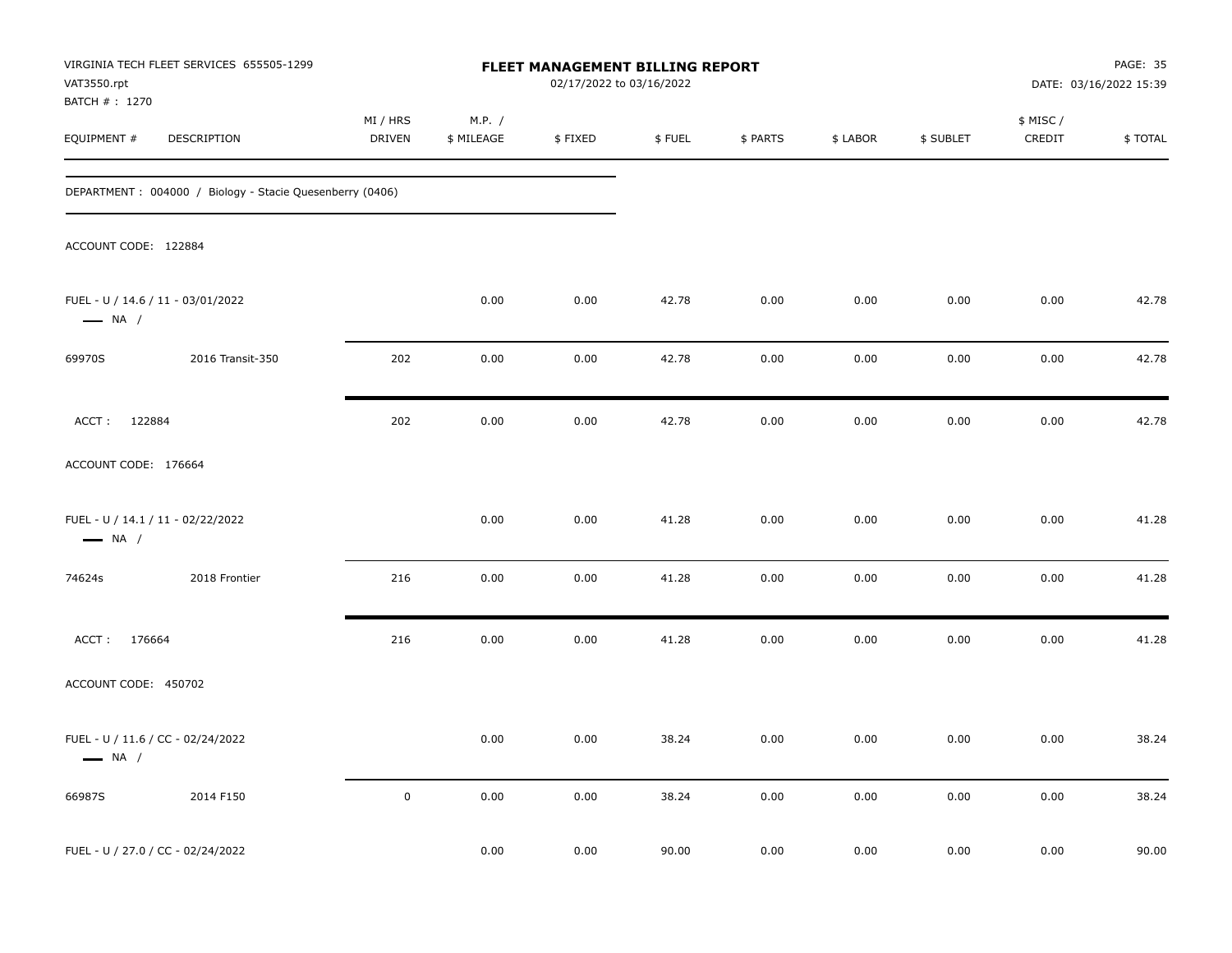| VAT3550.rpt<br>BATCH #: 1270 | VIRGINIA TECH FLEET SERVICES 655505-1299                 |                    |                      | FLEET MANAGEMENT BILLING REPORT<br>02/17/2022 to 03/16/2022 |        |          |          |           |                    | PAGE: 35<br>DATE: 03/16/2022 15:39 |
|------------------------------|----------------------------------------------------------|--------------------|----------------------|-------------------------------------------------------------|--------|----------|----------|-----------|--------------------|------------------------------------|
| EQUIPMENT #                  | DESCRIPTION                                              | MI / HRS<br>DRIVEN | M.P. /<br>\$ MILEAGE | \$FIXED                                                     | \$FUEL | \$ PARTS | \$ LABOR | \$ SUBLET | \$ MISC/<br>CREDIT | \$TOTAL                            |
|                              | DEPARTMENT: 004000 / Biology - Stacie Quesenberry (0406) |                    |                      |                                                             |        |          |          |           |                    |                                    |
| ACCOUNT CODE: 122884         |                                                          |                    |                      |                                                             |        |          |          |           |                    |                                    |
| $\longrightarrow$ NA /       | FUEL - U / 14.6 / 11 - 03/01/2022                        |                    | 0.00                 | 0.00                                                        | 42.78  | 0.00     | 0.00     | 0.00      | 0.00               | 42.78                              |
| 69970S                       | 2016 Transit-350                                         | 202                | 0.00                 | 0.00                                                        | 42.78  | 0.00     | 0.00     | 0.00      | 0.00               | 42.78                              |
| ACCT: 122884                 |                                                          | 202                | 0.00                 | 0.00                                                        | 42.78  | 0.00     | 0.00     | 0.00      | 0.00               | 42.78                              |
| ACCOUNT CODE: 176664         |                                                          |                    |                      |                                                             |        |          |          |           |                    |                                    |
| $\longrightarrow$ NA /       | FUEL - U / 14.1 / 11 - 02/22/2022                        |                    | 0.00                 | 0.00                                                        | 41.28  | 0.00     | 0.00     | 0.00      | 0.00               | 41.28                              |
| 74624s                       | 2018 Frontier                                            | 216                | 0.00                 | 0.00                                                        | 41.28  | 0.00     | 0.00     | 0.00      | 0.00               | 41.28                              |
| ACCT: 176664                 |                                                          | 216                | 0.00                 | 0.00                                                        | 41.28  | 0.00     | 0.00     | 0.00      | 0.00               | 41.28                              |
| ACCOUNT CODE: 450702         |                                                          |                    |                      |                                                             |        |          |          |           |                    |                                    |
| $\longrightarrow$ NA /       | FUEL - U / 11.6 / CC - 02/24/2022                        |                    | 0.00                 | 0.00                                                        | 38.24  | 0.00     | 0.00     | 0.00      | 0.00               | 38.24                              |
| 66987S                       | 2014 F150                                                | $\pmb{0}$          | 0.00                 | 0.00                                                        | 38.24  | 0.00     | 0.00     | 0.00      | 0.00               | 38.24                              |
|                              | FUEL - U / 27.0 / CC - 02/24/2022                        |                    | 0.00                 | 0.00                                                        | 90.00  | 0.00     | 0.00     | 0.00      | 0.00               | 90.00                              |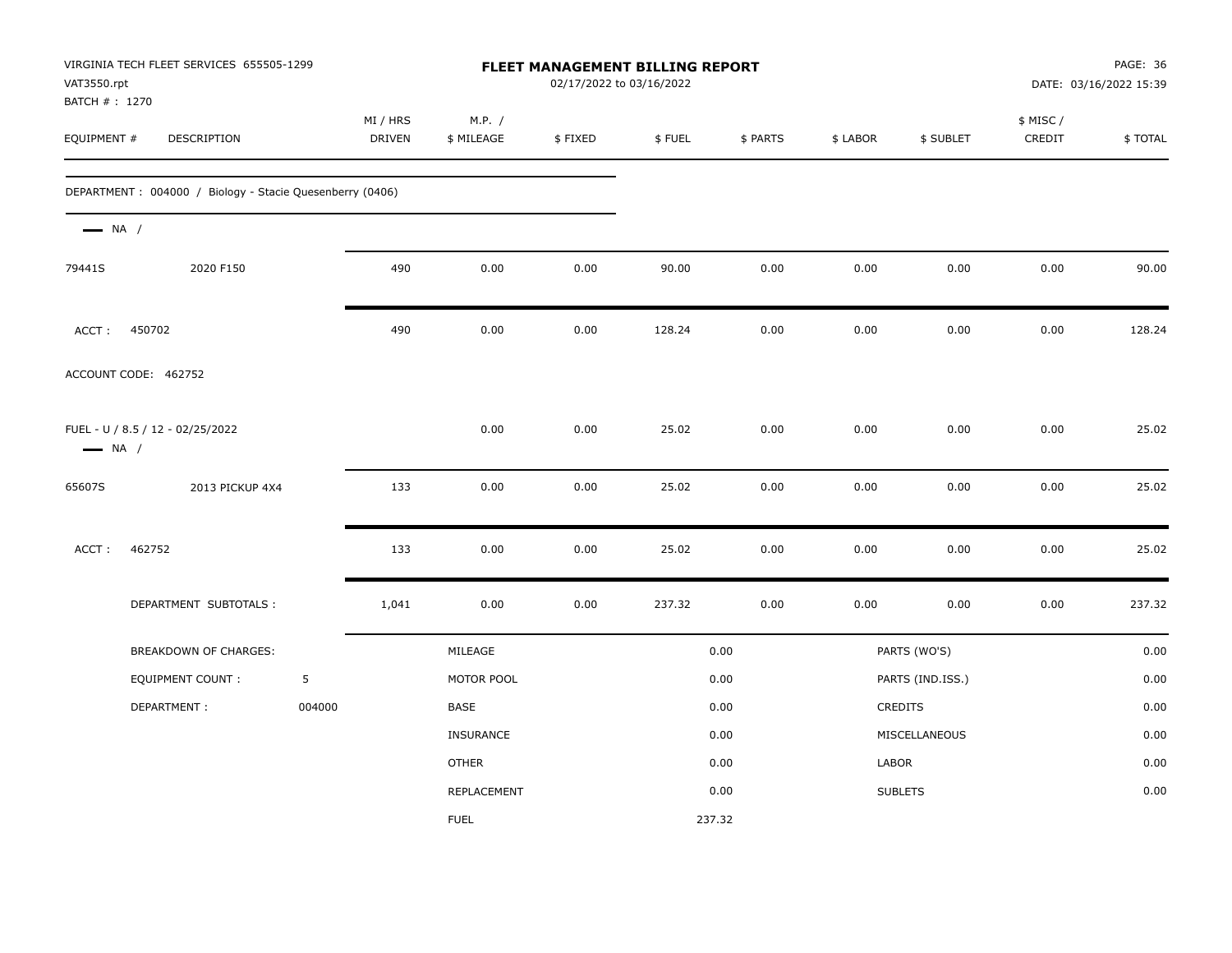| VAT3550.rpt<br>BATCH # : 1270 | VIRGINIA TECH FLEET SERVICES 655505-1299                 |        |                           |                      | 02/17/2022 to 03/16/2022 | FLEET MANAGEMENT BILLING REPORT |          |          |                  |                    | PAGE: 36<br>DATE: 03/16/2022 15:39 |
|-------------------------------|----------------------------------------------------------|--------|---------------------------|----------------------|--------------------------|---------------------------------|----------|----------|------------------|--------------------|------------------------------------|
| EQUIPMENT #                   | DESCRIPTION                                              |        | MI / HRS<br><b>DRIVEN</b> | M.P. /<br>\$ MILEAGE | \$FIXED                  | \$FUEL                          | \$ PARTS | \$ LABOR | \$ SUBLET        | \$ MISC/<br>CREDIT | \$TOTAL                            |
|                               | DEPARTMENT: 004000 / Biology - Stacie Quesenberry (0406) |        |                           |                      |                          |                                 |          |          |                  |                    |                                    |
| $\longrightarrow$ NA /        |                                                          |        |                           |                      |                          |                                 |          |          |                  |                    |                                    |
| 79441S                        | 2020 F150                                                |        | 490                       | 0.00                 | 0.00                     | 90.00                           | 0.00     | 0.00     | 0.00             | 0.00               | 90.00                              |
| ACCT:                         | 450702                                                   |        | 490                       | 0.00                 | 0.00                     | 128.24                          | 0.00     | 0.00     | 0.00             | 0.00               | 128.24                             |
|                               | ACCOUNT CODE: 462752                                     |        |                           |                      |                          |                                 |          |          |                  |                    |                                    |
| $\longrightarrow$ NA /        | FUEL - U / 8.5 / 12 - 02/25/2022                         |        |                           | 0.00                 | 0.00                     | 25.02                           | 0.00     | 0.00     | 0.00             | 0.00               | 25.02                              |
| 65607S                        | 2013 PICKUP 4X4                                          |        | 133                       | 0.00                 | 0.00                     | 25.02                           | 0.00     | 0.00     | 0.00             | 0.00               | 25.02                              |
| ACCT:                         | 462752                                                   |        | 133                       | 0.00                 | 0.00                     | 25.02                           | 0.00     | 0.00     | 0.00             | 0.00               | 25.02                              |
|                               | DEPARTMENT SUBTOTALS :                                   |        | 1,041                     | 0.00                 | 0.00                     | 237.32                          | 0.00     | 0.00     | 0.00             | 0.00               | 237.32                             |
|                               | <b>BREAKDOWN OF CHARGES:</b>                             |        |                           | MILEAGE              |                          |                                 | 0.00     |          | PARTS (WO'S)     |                    | 0.00                               |
|                               | EQUIPMENT COUNT :                                        | 5      |                           | MOTOR POOL           |                          |                                 | 0.00     |          | PARTS (IND.ISS.) |                    | 0.00                               |
|                               | DEPARTMENT:                                              | 004000 |                           | <b>BASE</b>          |                          |                                 | 0.00     |          | CREDITS          |                    | 0.00                               |
|                               |                                                          |        |                           | <b>INSURANCE</b>     |                          |                                 | 0.00     |          | MISCELLANEOUS    |                    | 0.00                               |
|                               |                                                          |        |                           | <b>OTHER</b>         |                          |                                 | 0.00     | LABOR    |                  |                    | 0.00                               |
|                               |                                                          |        |                           | REPLACEMENT          |                          |                                 | 0.00     |          | <b>SUBLETS</b>   |                    | 0.00                               |
|                               |                                                          |        |                           | <b>FUEL</b>          |                          | 237.32                          |          |          |                  |                    |                                    |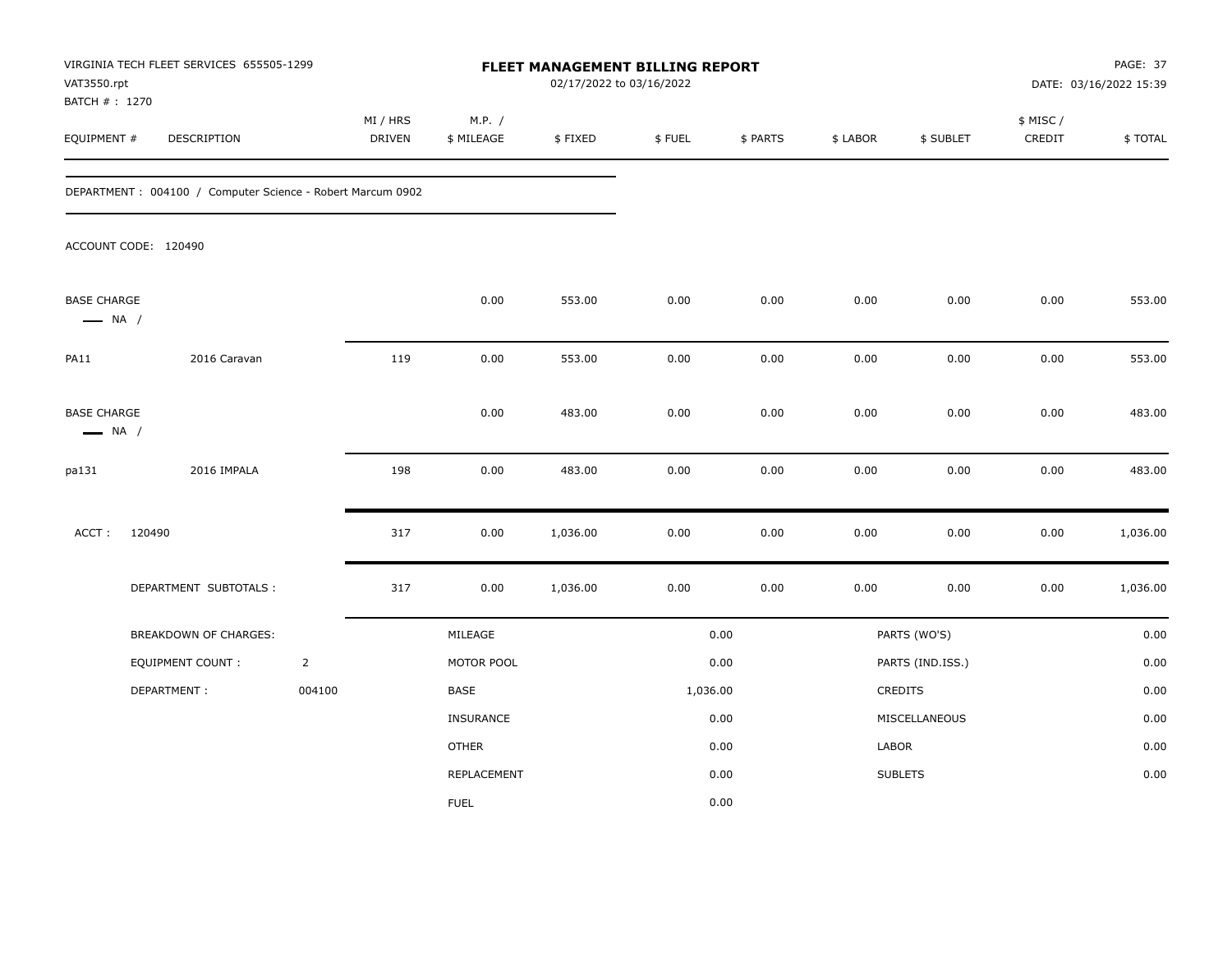| VAT3550.rpt                                  | VIRGINIA TECH FLEET SERVICES 655505-1299<br>BATCH # : 1270<br>EQUIPMENT #<br>DESCRIPTION |                | FLEET MANAGEMENT BILLING REPORT<br>02/17/2022 to 03/16/2022 |                      |          |          |          |          |                  |                     | PAGE: 37<br>DATE: 03/16/2022 15:39 |
|----------------------------------------------|------------------------------------------------------------------------------------------|----------------|-------------------------------------------------------------|----------------------|----------|----------|----------|----------|------------------|---------------------|------------------------------------|
|                                              |                                                                                          |                | MI / HRS<br>DRIVEN                                          | M.P. /<br>\$ MILEAGE | \$FIXED  | \$FUEL   | \$ PARTS | \$ LABOR | \$ SUBLET        | \$ MISC /<br>CREDIT | \$TOTAL                            |
|                                              | DEPARTMENT: 004100 / Computer Science - Robert Marcum 0902                               |                |                                                             |                      |          |          |          |          |                  |                     |                                    |
|                                              | ACCOUNT CODE: 120490                                                                     |                |                                                             |                      |          |          |          |          |                  |                     |                                    |
| <b>BASE CHARGE</b><br>$\longrightarrow$ NA / |                                                                                          |                |                                                             | 0.00                 | 553.00   | 0.00     | 0.00     | 0.00     | 0.00             | 0.00                | 553.00                             |
| PA11                                         | 2016 Caravan                                                                             |                | 119                                                         | 0.00                 | 553.00   | 0.00     | 0.00     | 0.00     | 0.00             | 0.00                | 553.00                             |
| <b>BASE CHARGE</b><br>$\longrightarrow$ NA / |                                                                                          |                |                                                             | 0.00                 | 483.00   | 0.00     | 0.00     | 0.00     | 0.00             | 0.00                | 483.00                             |
| pa131                                        | 2016 IMPALA                                                                              |                | 198                                                         | 0.00                 | 483.00   | 0.00     | 0.00     | 0.00     | 0.00             | 0.00                | 483.00                             |
| ACCT:                                        | 120490                                                                                   |                | 317                                                         | 0.00                 | 1,036.00 | 0.00     | 0.00     | 0.00     | 0.00             | 0.00                | 1,036.00                           |
|                                              | DEPARTMENT SUBTOTALS :                                                                   |                | 317                                                         | 0.00                 | 1,036.00 | 0.00     | 0.00     | 0.00     | 0.00             | 0.00                | 1,036.00                           |
|                                              | BREAKDOWN OF CHARGES:                                                                    |                |                                                             | MILEAGE              |          |          | 0.00     |          | PARTS (WO'S)     |                     | 0.00                               |
|                                              | <b>EQUIPMENT COUNT:</b>                                                                  | $\overline{2}$ |                                                             | MOTOR POOL           |          |          | 0.00     |          | PARTS (IND.ISS.) |                     | 0.00                               |
|                                              | DEPARTMENT:                                                                              | 004100         |                                                             | BASE                 |          | 1,036.00 |          |          | CREDITS          |                     | 0.00                               |
|                                              |                                                                                          |                |                                                             | INSURANCE            |          |          | 0.00     |          | MISCELLANEOUS    |                     | 0.00                               |
|                                              |                                                                                          |                |                                                             | <b>OTHER</b>         |          |          | 0.00     | LABOR    |                  |                     | 0.00                               |
|                                              |                                                                                          |                |                                                             | REPLACEMENT          |          |          | 0.00     |          | <b>SUBLETS</b>   |                     | 0.00                               |
|                                              |                                                                                          |                |                                                             | <b>FUEL</b>          |          |          | 0.00     |          |                  |                     |                                    |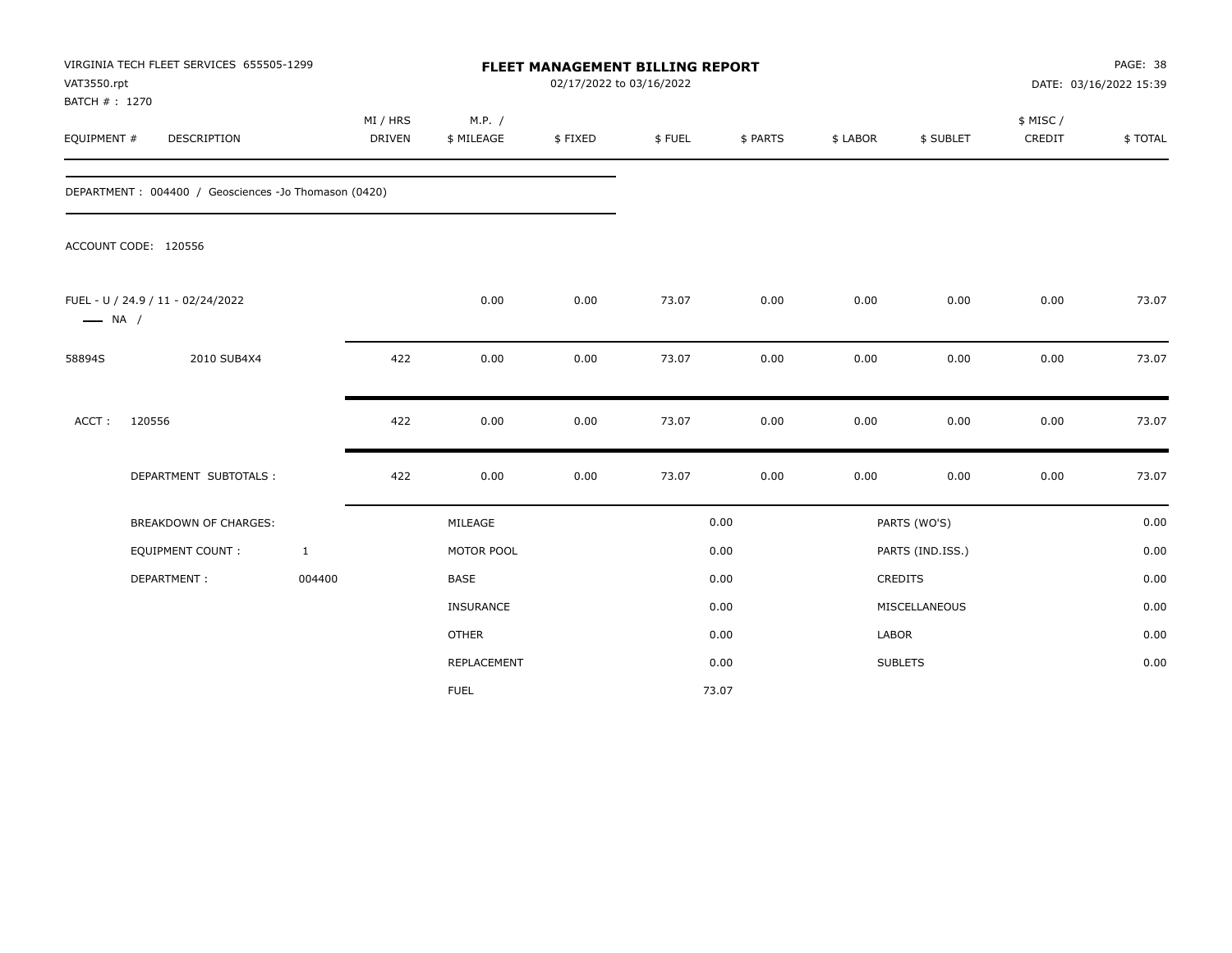| VAT3550.rpt<br>BATCH #: 1270 | VIRGINIA TECH FLEET SERVICES 655505-1299             |                           |                      |         | FLEET MANAGEMENT BILLING REPORT<br>02/17/2022 to 03/16/2022 |          |          |                  | PAGE: 38<br>DATE: 03/16/2022 15:39 |         |  |
|------------------------------|------------------------------------------------------|---------------------------|----------------------|---------|-------------------------------------------------------------|----------|----------|------------------|------------------------------------|---------|--|
| EQUIPMENT #                  | <b>DESCRIPTION</b>                                   | MI / HRS<br><b>DRIVEN</b> | M.P. /<br>\$ MILEAGE | \$FIXED | \$FUEL                                                      | \$ PARTS | \$ LABOR | \$ SUBLET        | \$ MISC/<br>CREDIT                 | \$TOTAL |  |
|                              | DEPARTMENT: 004400 / Geosciences -Jo Thomason (0420) |                           |                      |         |                                                             |          |          |                  |                                    |         |  |
|                              | ACCOUNT CODE: 120556                                 |                           |                      |         |                                                             |          |          |                  |                                    |         |  |
| $\longrightarrow$ NA /       | FUEL - U / 24.9 / 11 - 02/24/2022                    |                           | 0.00                 | 0.00    | 73.07                                                       | 0.00     | 0.00     | 0.00             | 0.00                               | 73.07   |  |
| 58894S                       | 2010 SUB4X4                                          | 422                       | 0.00                 | 0.00    | 73.07                                                       | 0.00     | 0.00     | 0.00             | 0.00                               | 73.07   |  |
| ACCT:                        | 120556                                               | 422                       | 0.00                 | 0.00    | 73.07                                                       | 0.00     | 0.00     | 0.00             | 0.00                               | 73.07   |  |
|                              | DEPARTMENT SUBTOTALS :                               | 422                       | 0.00                 | 0.00    | 73.07                                                       | 0.00     | 0.00     | 0.00             | 0.00                               | 73.07   |  |
|                              | BREAKDOWN OF CHARGES:                                |                           | MILEAGE              |         |                                                             | 0.00     |          | PARTS (WO'S)     |                                    | 0.00    |  |
|                              | <b>EQUIPMENT COUNT:</b>                              | $\mathbf{1}$              | MOTOR POOL           |         |                                                             | 0.00     |          | PARTS (IND.ISS.) |                                    | 0.00    |  |
|                              | DEPARTMENT:                                          | 004400                    | <b>BASE</b>          |         |                                                             | 0.00     |          | <b>CREDITS</b>   |                                    | 0.00    |  |
|                              |                                                      |                           | INSURANCE            |         |                                                             | 0.00     |          | MISCELLANEOUS    |                                    | 0.00    |  |
|                              |                                                      |                           | <b>OTHER</b>         |         |                                                             | 0.00     | LABOR    |                  |                                    | 0.00    |  |
|                              |                                                      |                           | REPLACEMENT          |         |                                                             | 0.00     |          | <b>SUBLETS</b>   |                                    | 0.00    |  |
|                              |                                                      |                           | <b>FUEL</b>          |         |                                                             | 73.07    |          |                  |                                    |         |  |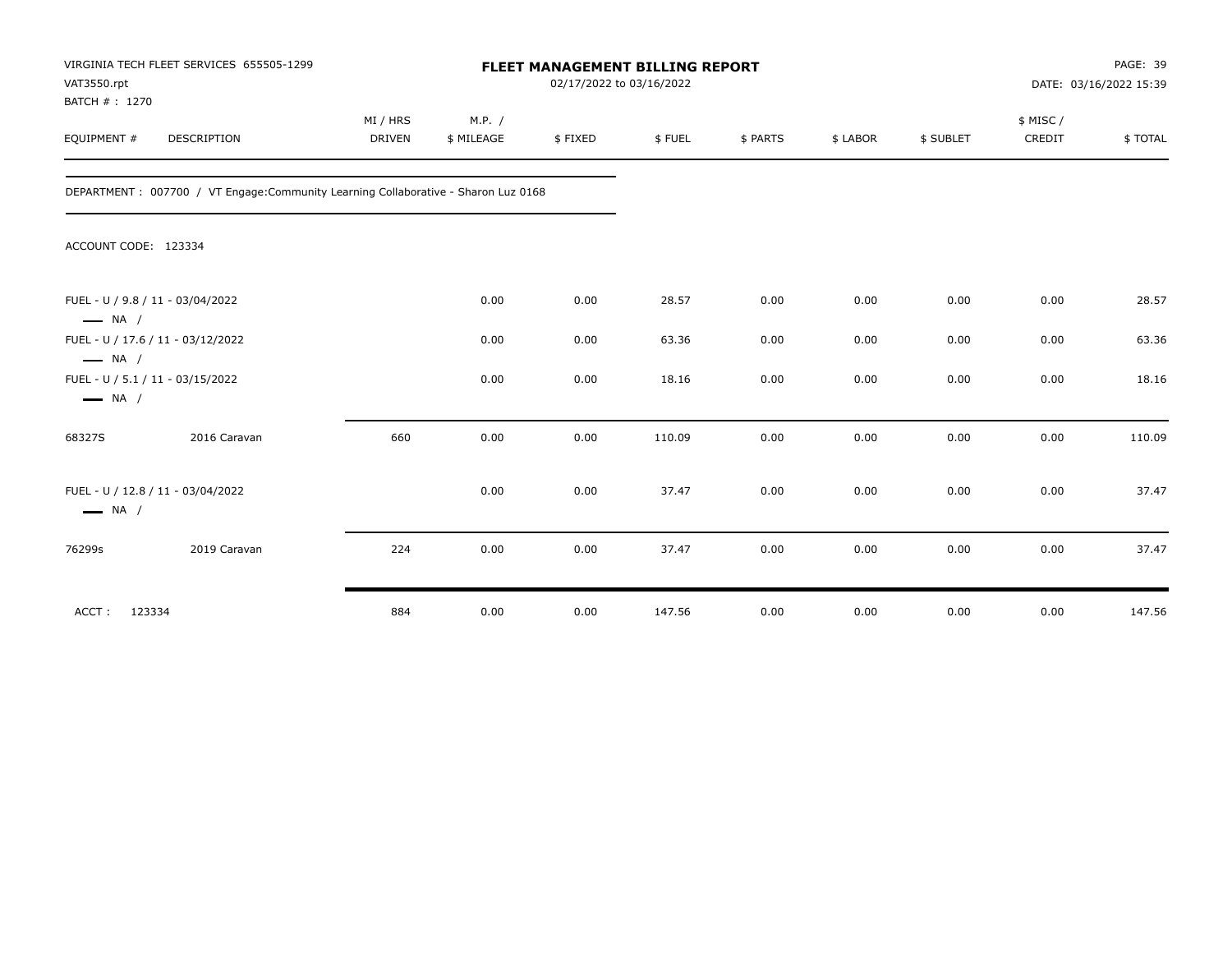| VAT3550.rpt<br>BATCH #: 1270 | VIRGINIA TECH FLEET SERVICES 655505-1299                                            |                           | <b>FLEET MANAGEMENT BILLING REPORT</b><br>02/17/2022 to 03/16/2022 |         |        |          |          |           |                     | PAGE: 39<br>DATE: 03/16/2022 15:39 |  |
|------------------------------|-------------------------------------------------------------------------------------|---------------------------|--------------------------------------------------------------------|---------|--------|----------|----------|-----------|---------------------|------------------------------------|--|
| EQUIPMENT #                  | DESCRIPTION                                                                         | MI / HRS<br><b>DRIVEN</b> | M.P. /<br>\$ MILEAGE                                               | \$FIXED | \$FUEL | \$ PARTS | \$ LABOR | \$ SUBLET | \$ MISC /<br>CREDIT | \$TOTAL                            |  |
|                              | DEPARTMENT : 007700 / VT Engage: Community Learning Collaborative - Sharon Luz 0168 |                           |                                                                    |         |        |          |          |           |                     |                                    |  |
| ACCOUNT CODE: 123334         |                                                                                     |                           |                                                                    |         |        |          |          |           |                     |                                    |  |
| $\longrightarrow$ NA /       | FUEL - U / 9.8 / 11 - 03/04/2022                                                    |                           | 0.00                                                               | 0.00    | 28.57  | 0.00     | 0.00     | 0.00      | 0.00                | 28.57                              |  |
| $\longrightarrow$ NA /       | FUEL - U / 17.6 / 11 - 03/12/2022                                                   |                           | 0.00                                                               | 0.00    | 63.36  | 0.00     | 0.00     | 0.00      | 0.00                | 63.36                              |  |
| $\longrightarrow$ NA /       | FUEL - U / 5.1 / 11 - 03/15/2022                                                    |                           | 0.00                                                               | 0.00    | 18.16  | 0.00     | 0.00     | 0.00      | 0.00                | 18.16                              |  |
| 68327S                       | 2016 Caravan                                                                        | 660                       | 0.00                                                               | 0.00    | 110.09 | 0.00     | 0.00     | 0.00      | 0.00                | 110.09                             |  |
| $\longrightarrow$ NA /       | FUEL - U / 12.8 / 11 - 03/04/2022                                                   |                           | 0.00                                                               | 0.00    | 37.47  | 0.00     | 0.00     | 0.00      | 0.00                | 37.47                              |  |
| 76299s                       | 2019 Caravan                                                                        | 224                       | 0.00                                                               | 0.00    | 37.47  | 0.00     | 0.00     | 0.00      | 0.00                | 37.47                              |  |
| ACCT:                        | 123334                                                                              | 884                       | 0.00                                                               | 0.00    | 147.56 | 0.00     | 0.00     | 0.00      | 0.00                | 147.56                             |  |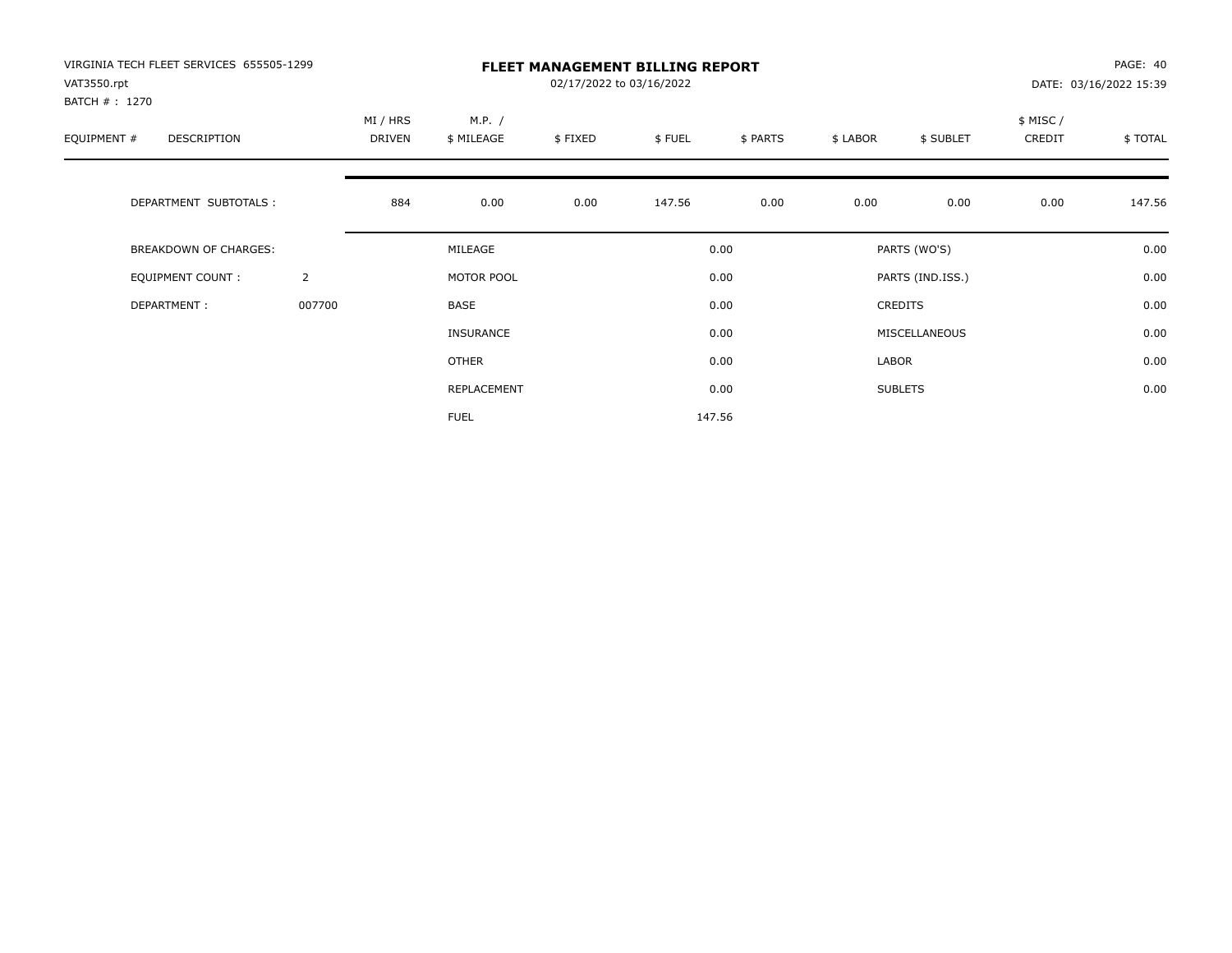| VIRGINIA TECH FLEET SERVICES 655505-1299<br>VAT3550.rpt |                | <b>FLEET MANAGEMENT BILLING REPORT</b><br>02/17/2022 to 03/16/2022 |                      |         |        |          |          |                  |                    | PAGE: 40<br>DATE: 03/16/2022 15:39 |  |
|---------------------------------------------------------|----------------|--------------------------------------------------------------------|----------------------|---------|--------|----------|----------|------------------|--------------------|------------------------------------|--|
| BATCH # : 1270<br>EQUIPMENT #<br>DESCRIPTION            |                | MI / HRS<br>DRIVEN                                                 | M.P. /<br>\$ MILEAGE | \$FIXED | \$FUEL | \$ PARTS | \$ LABOR | \$ SUBLET        | \$ MISC/<br>CREDIT | \$TOTAL                            |  |
| DEPARTMENT SUBTOTALS :                                  |                | 884                                                                | 0.00                 | 0.00    | 147.56 | 0.00     | 0.00     | 0.00             | 0.00               | 147.56                             |  |
| BREAKDOWN OF CHARGES:                                   |                |                                                                    | MILEAGE              |         |        | 0.00     |          | PARTS (WO'S)     |                    | 0.00                               |  |
| <b>EQUIPMENT COUNT:</b>                                 | $\overline{2}$ |                                                                    | MOTOR POOL           |         |        | 0.00     |          | PARTS (IND.ISS.) |                    | 0.00                               |  |
| DEPARTMENT:                                             | 007700         |                                                                    | BASE                 |         |        | 0.00     |          | <b>CREDITS</b>   |                    | 0.00                               |  |
|                                                         |                |                                                                    | <b>INSURANCE</b>     |         |        | 0.00     |          | MISCELLANEOUS    |                    | 0.00                               |  |
|                                                         |                |                                                                    | OTHER                |         |        | 0.00     | LABOR    |                  |                    | 0.00                               |  |
|                                                         |                |                                                                    | REPLACEMENT          |         |        | 0.00     |          | <b>SUBLETS</b>   |                    | 0.00                               |  |
|                                                         |                |                                                                    | <b>FUEL</b>          |         |        | 147.56   |          |                  |                    |                                    |  |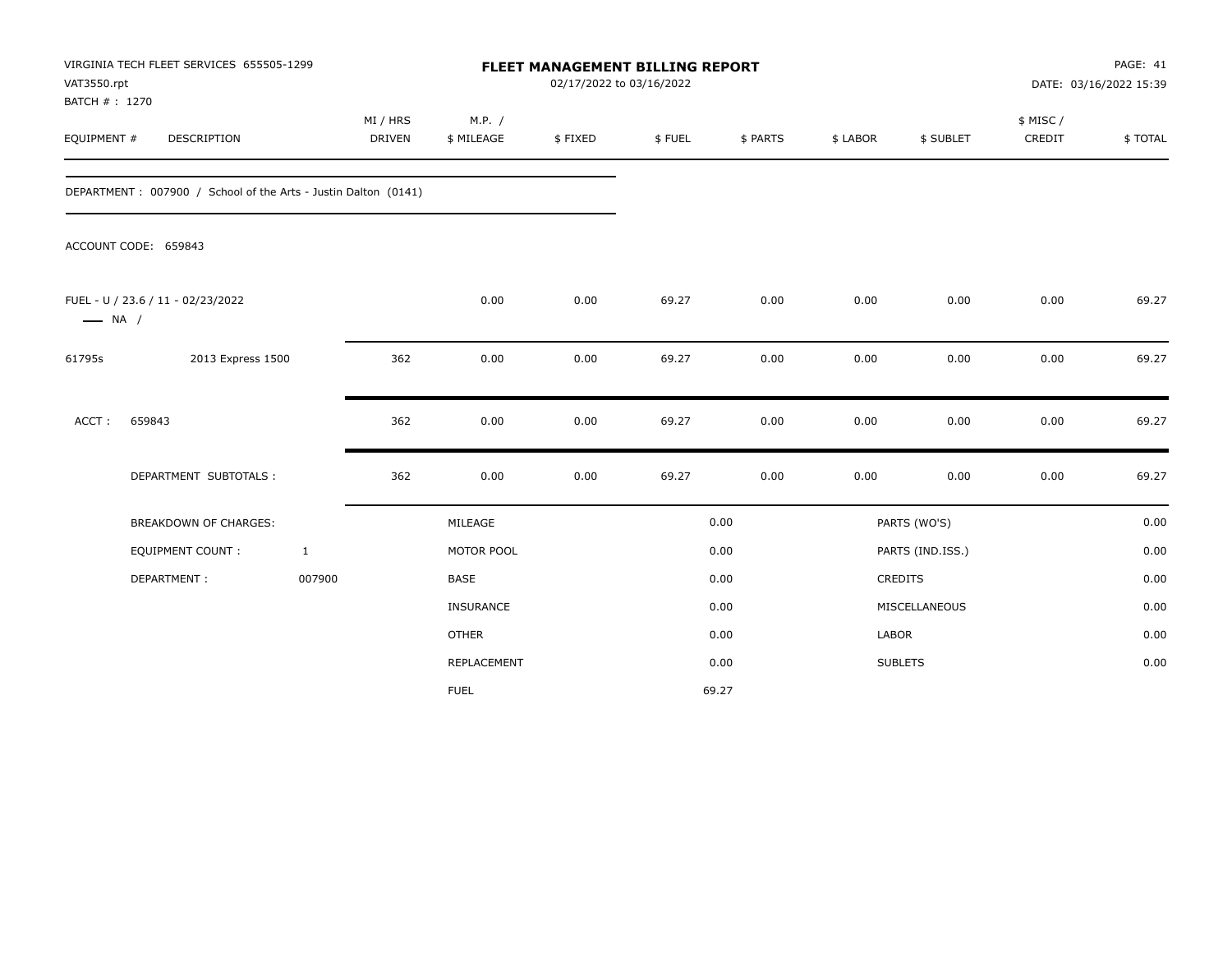| VAT3550.rpt<br>BATCH #: 1270 | VIRGINIA TECH FLEET SERVICES 655505-1299                       |              |                           |                      | FLEET MANAGEMENT BILLING REPORT<br>02/17/2022 to 03/16/2022 |        |          |          |                  |                    | PAGE: 41<br>DATE: 03/16/2022 15:39 |
|------------------------------|----------------------------------------------------------------|--------------|---------------------------|----------------------|-------------------------------------------------------------|--------|----------|----------|------------------|--------------------|------------------------------------|
| EQUIPMENT #                  | <b>DESCRIPTION</b>                                             |              | MI / HRS<br><b>DRIVEN</b> | M.P. /<br>\$ MILEAGE | \$FIXED                                                     | \$FUEL | \$ PARTS | \$ LABOR | \$ SUBLET        | \$ MISC/<br>CREDIT | \$TOTAL                            |
|                              | DEPARTMENT: 007900 / School of the Arts - Justin Dalton (0141) |              |                           |                      |                                                             |        |          |          |                  |                    |                                    |
|                              | ACCOUNT CODE: 659843                                           |              |                           |                      |                                                             |        |          |          |                  |                    |                                    |
| $\longrightarrow$ NA /       | FUEL - U / 23.6 / 11 - 02/23/2022                              |              |                           | 0.00                 | 0.00                                                        | 69.27  | 0.00     | 0.00     | 0.00             | 0.00               | 69.27                              |
| 61795s                       | 2013 Express 1500                                              |              | 362                       | 0.00                 | 0.00                                                        | 69.27  | 0.00     | 0.00     | 0.00             | 0.00               | 69.27                              |
| ACCT:                        | 659843                                                         |              | 362                       | 0.00                 | 0.00                                                        | 69.27  | 0.00     | 0.00     | 0.00             | 0.00               | 69.27                              |
|                              | DEPARTMENT SUBTOTALS :                                         |              | 362                       | 0.00                 | 0.00                                                        | 69.27  | 0.00     | 0.00     | 0.00             | 0.00               | 69.27                              |
|                              | <b>BREAKDOWN OF CHARGES:</b>                                   |              |                           | MILEAGE              |                                                             |        | 0.00     |          | PARTS (WO'S)     |                    | 0.00                               |
|                              | EQUIPMENT COUNT:                                               | $\mathbf{1}$ |                           | MOTOR POOL           |                                                             |        | 0.00     |          | PARTS (IND.ISS.) |                    | 0.00                               |
|                              | DEPARTMENT:                                                    | 007900       |                           | <b>BASE</b>          |                                                             |        | 0.00     |          | <b>CREDITS</b>   |                    | 0.00                               |
|                              |                                                                |              |                           | INSURANCE            |                                                             |        | 0.00     |          | MISCELLANEOUS    |                    | 0.00                               |
|                              |                                                                |              |                           | <b>OTHER</b>         |                                                             |        | 0.00     | LABOR    |                  |                    | 0.00                               |
|                              |                                                                |              |                           | REPLACEMENT          |                                                             |        | 0.00     |          | <b>SUBLETS</b>   |                    | 0.00                               |
|                              |                                                                |              |                           | <b>FUEL</b>          |                                                             |        | 69.27    |          |                  |                    |                                    |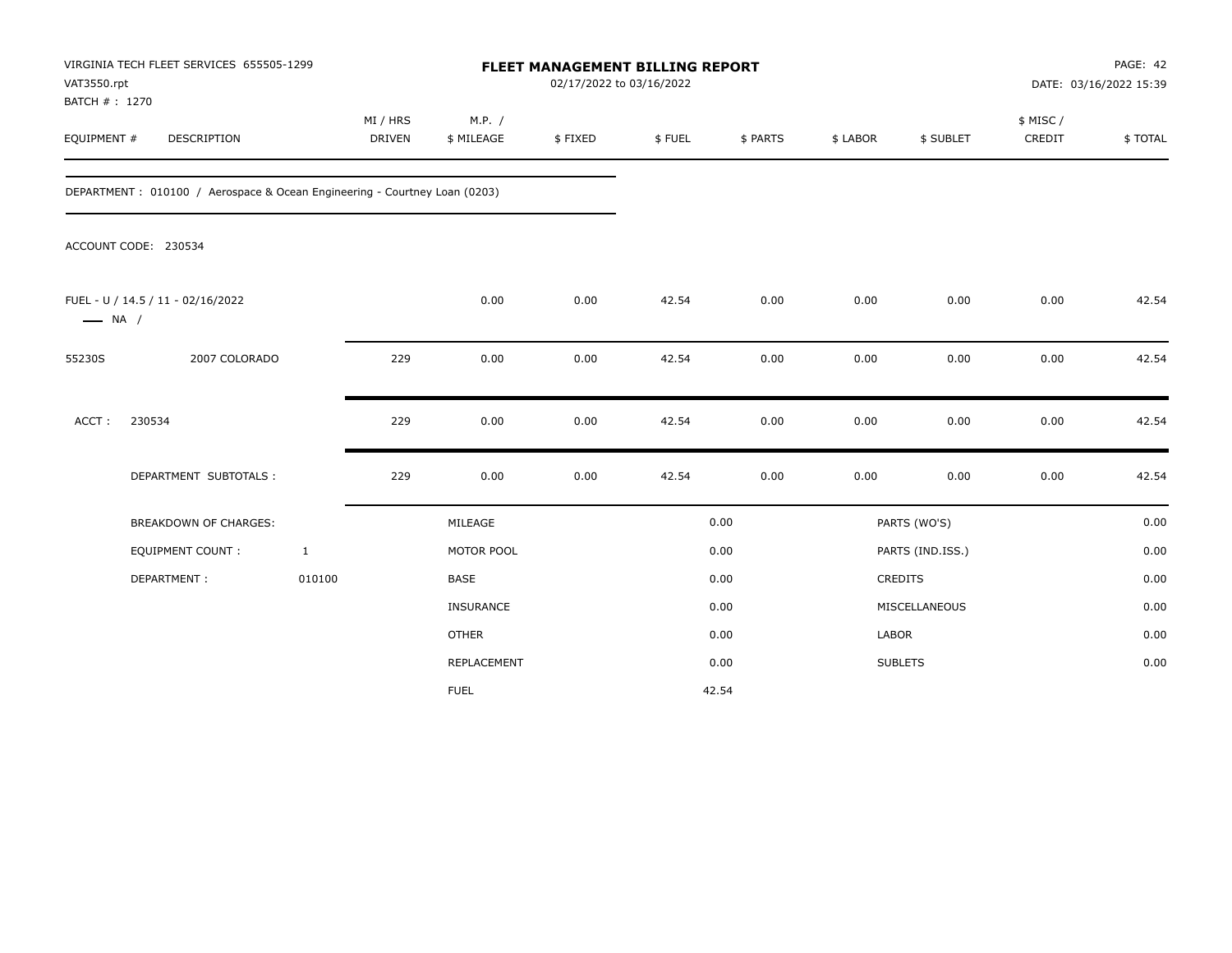| VAT3550.rpt<br>BATCH #: 1270 | VIRGINIA TECH FLEET SERVICES 655505-1299                                   |                           |                      | FLEET MANAGEMENT BILLING REPORT<br>02/17/2022 to 03/16/2022 |        | PAGE: 42<br>DATE: 03/16/2022 15:39 |              |                      |                     |         |
|------------------------------|----------------------------------------------------------------------------|---------------------------|----------------------|-------------------------------------------------------------|--------|------------------------------------|--------------|----------------------|---------------------|---------|
| EQUIPMENT #                  | DESCRIPTION                                                                | MI / HRS<br><b>DRIVEN</b> | M.P. /<br>\$ MILEAGE | \$FIXED                                                     | \$FUEL | \$ PARTS                           | \$ LABOR     | \$ SUBLET            | \$ MISC /<br>CREDIT | \$TOTAL |
|                              | DEPARTMENT : 010100 / Aerospace & Ocean Engineering - Courtney Loan (0203) |                           |                      |                                                             |        |                                    |              |                      |                     |         |
|                              | ACCOUNT CODE: 230534                                                       |                           |                      |                                                             |        |                                    |              |                      |                     |         |
| $\longrightarrow$ NA /       | FUEL - U / 14.5 / 11 - 02/16/2022                                          |                           | 0.00                 | 0.00                                                        | 42.54  | 0.00                               | 0.00         | 0.00                 | 0.00                | 42.54   |
| 55230S                       | 2007 COLORADO                                                              | 229                       | 0.00                 | 0.00                                                        | 42.54  | 0.00                               | 0.00         | 0.00                 | 0.00                | 42.54   |
| ACCT:                        | 230534                                                                     | 229                       | 0.00                 | 0.00                                                        | 42.54  | 0.00                               | 0.00         | 0.00                 | 0.00                | 42.54   |
|                              | DEPARTMENT SUBTOTALS :                                                     | 229                       | 0.00                 | 0.00                                                        | 42.54  | 0.00                               | 0.00         | 0.00                 | 0.00                | 42.54   |
|                              | BREAKDOWN OF CHARGES:                                                      |                           | MILEAGE              |                                                             |        | 0.00                               |              | PARTS (WO'S)         |                     | 0.00    |
|                              | EQUIPMENT COUNT:                                                           | $\mathbf{1}$              | MOTOR POOL           |                                                             |        | 0.00                               |              | PARTS (IND.ISS.)     |                     | 0.00    |
|                              | DEPARTMENT:                                                                | 010100                    | <b>BASE</b>          |                                                             |        | 0.00                               |              | CREDITS              |                     | 0.00    |
|                              |                                                                            |                           | <b>INSURANCE</b>     |                                                             |        | 0.00                               |              | <b>MISCELLANEOUS</b> |                     | 0.00    |
|                              |                                                                            |                           | <b>OTHER</b>         |                                                             |        | 0.00                               | <b>LABOR</b> |                      |                     | 0.00    |
|                              |                                                                            |                           | REPLACEMENT          |                                                             |        | 0.00                               |              | <b>SUBLETS</b>       |                     | 0.00    |
|                              |                                                                            |                           | <b>FUEL</b>          |                                                             |        | 42.54                              |              |                      |                     |         |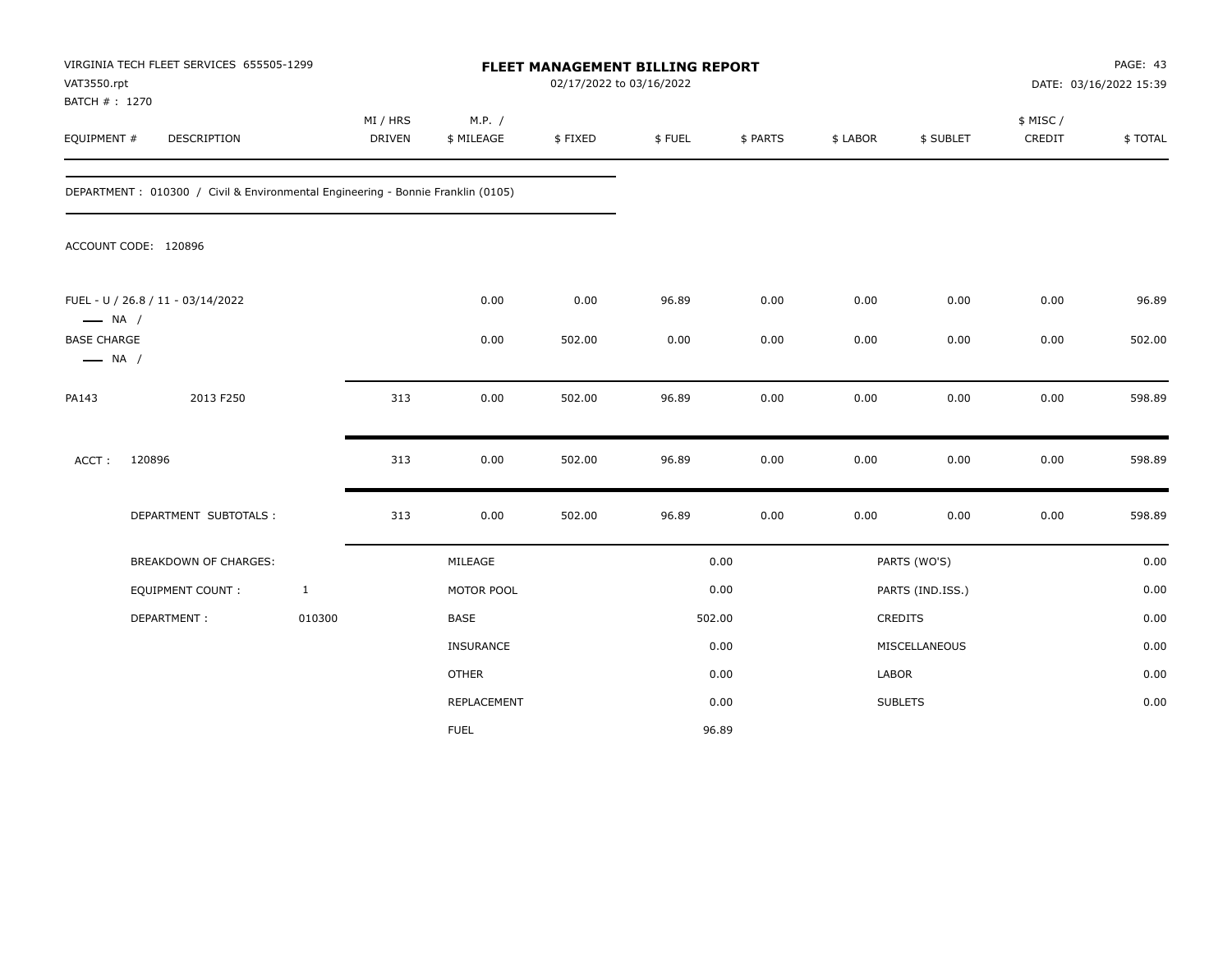| VAT3550.rpt<br>BATCH #: 1270                 | VIRGINIA TECH FLEET SERVICES 655505-1299                                        |              |                           |                      |         | FLEET MANAGEMENT BILLING REPORT<br>02/17/2022 to 03/16/2022 |          |          |                  | PAGE: 43<br>DATE: 03/16/2022 15:39 |         |  |
|----------------------------------------------|---------------------------------------------------------------------------------|--------------|---------------------------|----------------------|---------|-------------------------------------------------------------|----------|----------|------------------|------------------------------------|---------|--|
| EQUIPMENT #                                  | DESCRIPTION                                                                     |              | MI / HRS<br><b>DRIVEN</b> | M.P. /<br>\$ MILEAGE | \$FIXED | \$FUEL                                                      | \$ PARTS | \$ LABOR | \$ SUBLET        | \$ MISC/<br>CREDIT                 | \$TOTAL |  |
|                                              | DEPARTMENT: 010300 / Civil & Environmental Engineering - Bonnie Franklin (0105) |              |                           |                      |         |                                                             |          |          |                  |                                    |         |  |
|                                              | ACCOUNT CODE: 120896                                                            |              |                           |                      |         |                                                             |          |          |                  |                                    |         |  |
| $\longrightarrow$ NA /                       | FUEL - U / 26.8 / 11 - 03/14/2022                                               |              |                           | 0.00                 | 0.00    | 96.89                                                       | 0.00     | 0.00     | 0.00             | 0.00                               | 96.89   |  |
| <b>BASE CHARGE</b><br>$\longrightarrow$ NA / |                                                                                 |              |                           | 0.00                 | 502.00  | 0.00                                                        | 0.00     | 0.00     | 0.00             | 0.00                               | 502.00  |  |
| PA143                                        | 2013 F250                                                                       |              | 313                       | 0.00                 | 502.00  | 96.89                                                       | 0.00     | 0.00     | 0.00             | 0.00                               | 598.89  |  |
| ACCT:                                        | 120896                                                                          |              | 313                       | 0.00                 | 502.00  | 96.89                                                       | 0.00     | 0.00     | 0.00             | 0.00                               | 598.89  |  |
|                                              | DEPARTMENT SUBTOTALS :                                                          |              | 313                       | 0.00                 | 502.00  | 96.89                                                       | 0.00     | 0.00     | 0.00             | 0.00                               | 598.89  |  |
|                                              | BREAKDOWN OF CHARGES:                                                           |              |                           | MILEAGE              |         |                                                             | 0.00     |          | PARTS (WO'S)     |                                    | 0.00    |  |
|                                              | <b>EQUIPMENT COUNT:</b>                                                         | $\mathbf{1}$ |                           | MOTOR POOL           |         |                                                             | 0.00     |          | PARTS (IND.ISS.) |                                    | 0.00    |  |
|                                              | DEPARTMENT:                                                                     | 010300       |                           | BASE                 |         |                                                             | 502.00   |          | <b>CREDITS</b>   |                                    | 0.00    |  |
|                                              |                                                                                 |              |                           | <b>INSURANCE</b>     |         |                                                             | 0.00     |          | MISCELLANEOUS    |                                    | 0.00    |  |
|                                              |                                                                                 |              |                           | <b>OTHER</b>         |         |                                                             | 0.00     | LABOR    |                  |                                    | 0.00    |  |
|                                              |                                                                                 |              |                           | REPLACEMENT          |         |                                                             | 0.00     |          | <b>SUBLETS</b>   |                                    | 0.00    |  |
|                                              |                                                                                 |              |                           | <b>FUEL</b>          |         |                                                             | 96.89    |          |                  |                                    |         |  |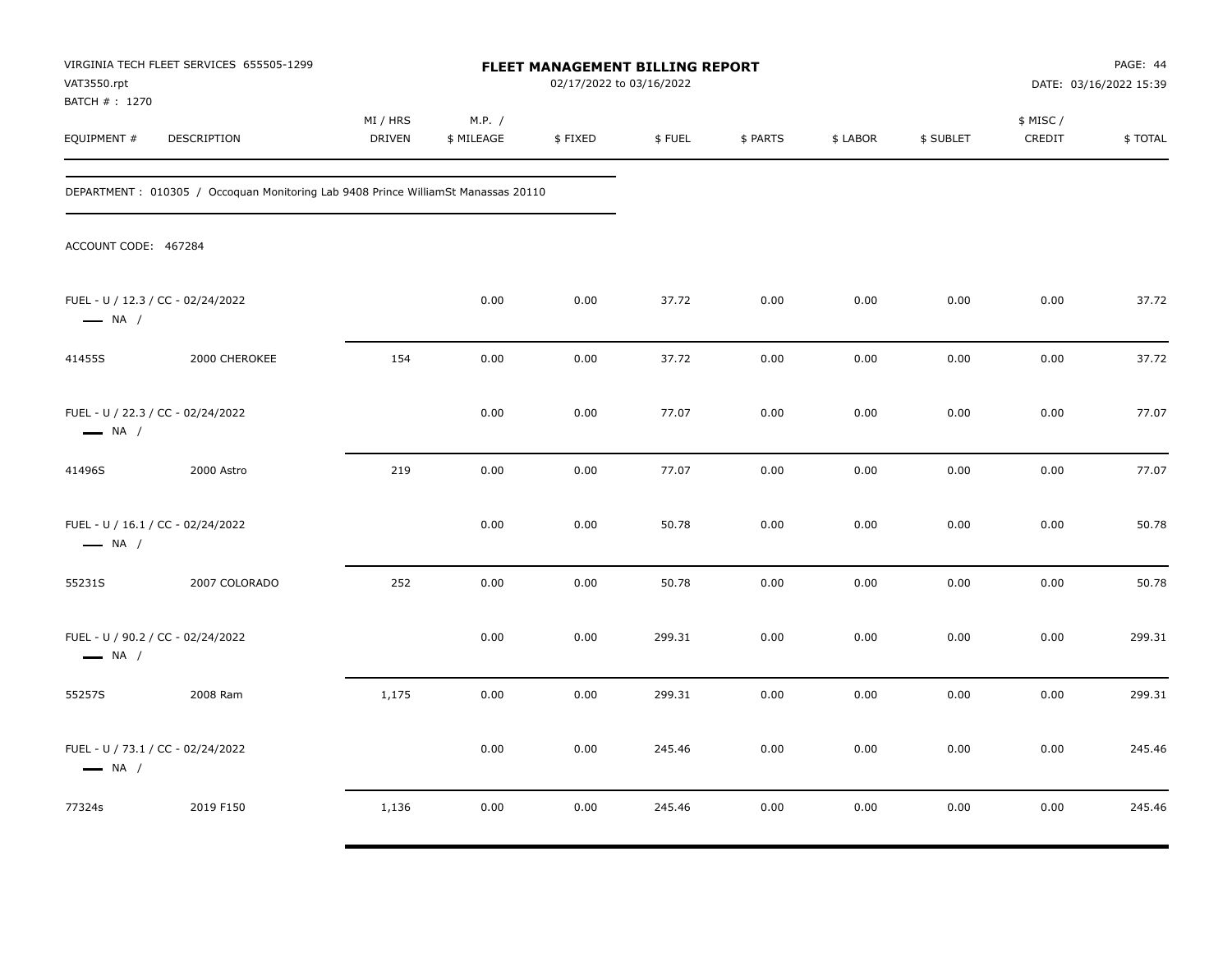| VAT3550.rpt<br>BATCH # : 1270 | VIRGINIA TECH FLEET SERVICES 655505-1299                                           | <b>FLEET MANAGEMENT BILLING REPORT</b><br>02/17/2022 to 03/16/2022 |                      |         |        |          |          | PAGE: 44<br>DATE: 03/16/2022 15:39 |                     |         |
|-------------------------------|------------------------------------------------------------------------------------|--------------------------------------------------------------------|----------------------|---------|--------|----------|----------|------------------------------------|---------------------|---------|
| EQUIPMENT #                   | DESCRIPTION                                                                        | MI / HRS<br><b>DRIVEN</b>                                          | M.P. /<br>\$ MILEAGE | \$FIXED | \$FUEL | \$ PARTS | \$ LABOR | \$ SUBLET                          | \$ MISC /<br>CREDIT | \$TOTAL |
|                               | DEPARTMENT : 010305 / Occoquan Monitoring Lab 9408 Prince WilliamSt Manassas 20110 |                                                                    |                      |         |        |          |          |                                    |                     |         |
| ACCOUNT CODE: 467284          |                                                                                    |                                                                    |                      |         |        |          |          |                                    |                     |         |
| $\longrightarrow$ NA /        | FUEL - U / 12.3 / CC - 02/24/2022                                                  |                                                                    | 0.00                 | 0.00    | 37.72  | 0.00     | 0.00     | 0.00                               | 0.00                | 37.72   |
| 41455S                        | 2000 CHEROKEE                                                                      | 154                                                                | 0.00                 | 0.00    | 37.72  | 0.00     | 0.00     | 0.00                               | 0.00                | 37.72   |
| $\longrightarrow$ NA /        | FUEL - U / 22.3 / CC - 02/24/2022                                                  |                                                                    | 0.00                 | 0.00    | 77.07  | 0.00     | 0.00     | 0.00                               | 0.00                | 77.07   |
| 41496S                        | 2000 Astro                                                                         | 219                                                                | 0.00                 | 0.00    | 77.07  | 0.00     | 0.00     | 0.00                               | 0.00                | 77.07   |
| $\longrightarrow$ NA /        | FUEL - U / 16.1 / CC - 02/24/2022                                                  |                                                                    | 0.00                 | 0.00    | 50.78  | 0.00     | 0.00     | 0.00                               | 0.00                | 50.78   |
| 55231S                        | 2007 COLORADO                                                                      | 252                                                                | 0.00                 | 0.00    | 50.78  | 0.00     | 0.00     | 0.00                               | 0.00                | 50.78   |
| $\longrightarrow$ NA /        | FUEL - U / 90.2 / CC - 02/24/2022                                                  |                                                                    | 0.00                 | 0.00    | 299.31 | 0.00     | 0.00     | 0.00                               | 0.00                | 299.31  |
| 55257S                        | 2008 Ram                                                                           | 1,175                                                              | 0.00                 | 0.00    | 299.31 | 0.00     | 0.00     | 0.00                               | 0.00                | 299.31  |
| $\longrightarrow$ NA /        | FUEL - U / 73.1 / CC - 02/24/2022                                                  |                                                                    | 0.00                 | 0.00    | 245.46 | 0.00     | 0.00     | 0.00                               | 0.00                | 245.46  |
| 77324s                        | 2019 F150                                                                          | 1,136                                                              | 0.00                 | 0.00    | 245.46 | 0.00     | 0.00     | 0.00                               | 0.00                | 245.46  |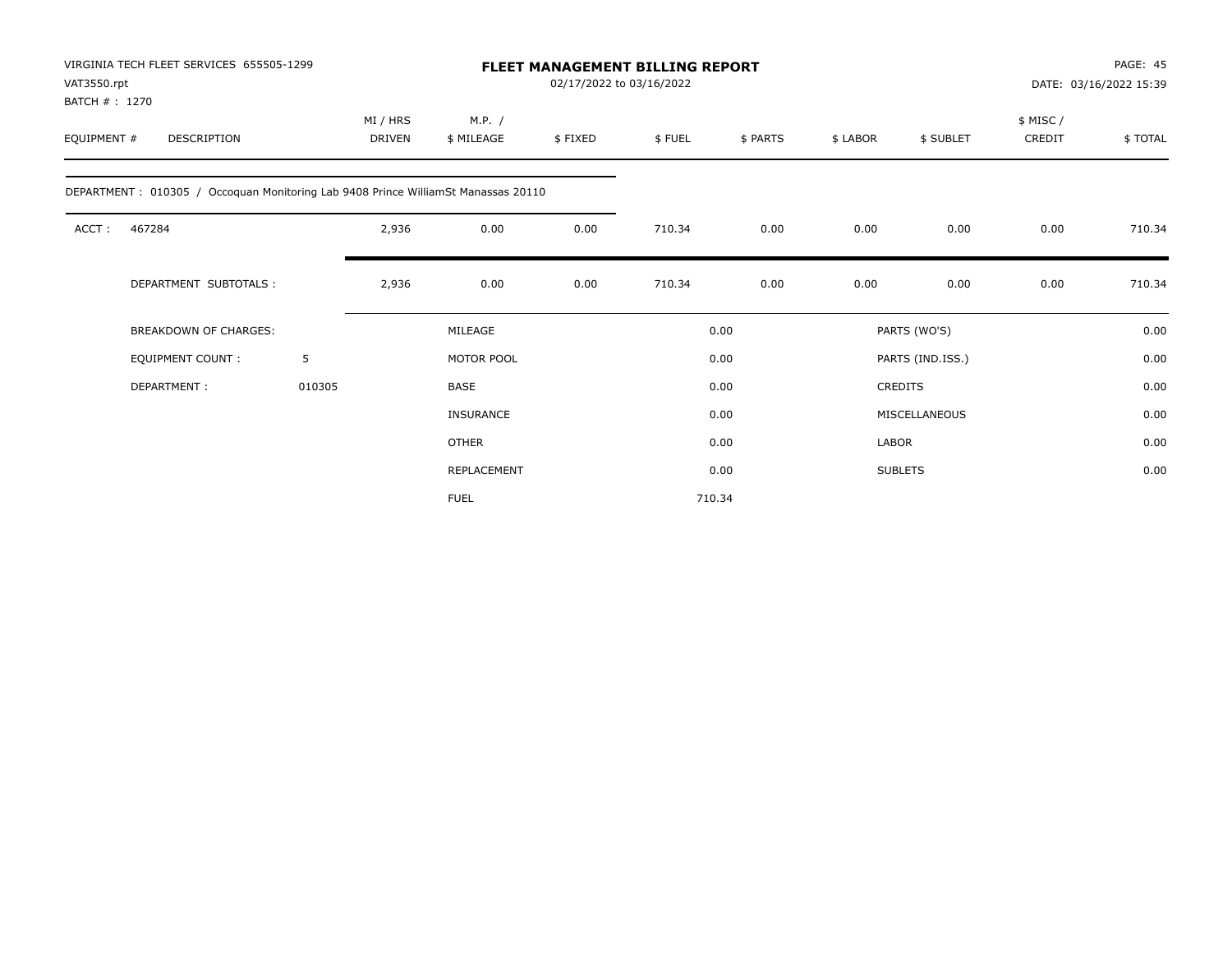| VAT3550.rpt                   | VIRGINIA TECH FLEET SERVICES 655505-1299                                          |        |                           | <b>FLEET MANAGEMENT BILLING REPORT</b><br>02/17/2022 to 03/16/2022 |         |        |          |              |                  | PAGE: 45<br>DATE: 03/16/2022 15:39 |         |  |
|-------------------------------|-----------------------------------------------------------------------------------|--------|---------------------------|--------------------------------------------------------------------|---------|--------|----------|--------------|------------------|------------------------------------|---------|--|
| BATCH # : 1270<br>EQUIPMENT # | <b>DESCRIPTION</b>                                                                |        | MI / HRS<br><b>DRIVEN</b> | M.P. /<br>\$ MILEAGE                                               | \$FIXED | \$FUEL | \$ PARTS | \$ LABOR     | \$ SUBLET        | \$ MISC /<br>CREDIT                | \$TOTAL |  |
|                               | DEPARTMENT: 010305 / Occoquan Monitoring Lab 9408 Prince WilliamSt Manassas 20110 |        |                           |                                                                    |         |        |          |              |                  |                                    |         |  |
| ACCT:                         | 467284                                                                            |        | 2,936                     | 0.00                                                               | 0.00    | 710.34 | 0.00     | 0.00         | 0.00             | 0.00                               | 710.34  |  |
|                               | DEPARTMENT SUBTOTALS:                                                             |        | 2,936                     | 0.00                                                               | 0.00    | 710.34 | 0.00     | 0.00         | 0.00             | 0.00                               | 710.34  |  |
|                               | <b>BREAKDOWN OF CHARGES:</b>                                                      |        |                           | MILEAGE                                                            |         |        | 0.00     |              | PARTS (WO'S)     |                                    | 0.00    |  |
|                               | <b>EQUIPMENT COUNT:</b>                                                           | 5      |                           | MOTOR POOL                                                         |         |        | 0.00     |              | PARTS (IND.ISS.) |                                    | 0.00    |  |
|                               | DEPARTMENT:                                                                       | 010305 |                           | <b>BASE</b>                                                        |         |        | 0.00     |              | <b>CREDITS</b>   |                                    | 0.00    |  |
|                               |                                                                                   |        |                           | <b>INSURANCE</b>                                                   |         |        | 0.00     |              | MISCELLANEOUS    |                                    | 0.00    |  |
|                               |                                                                                   |        |                           | <b>OTHER</b>                                                       |         |        | 0.00     | <b>LABOR</b> |                  |                                    | 0.00    |  |
|                               |                                                                                   |        |                           | <b>REPLACEMENT</b>                                                 |         |        | 0.00     |              | <b>SUBLETS</b>   |                                    | 0.00    |  |
|                               |                                                                                   |        |                           | <b>FUEL</b>                                                        |         |        | 710.34   |              |                  |                                    |         |  |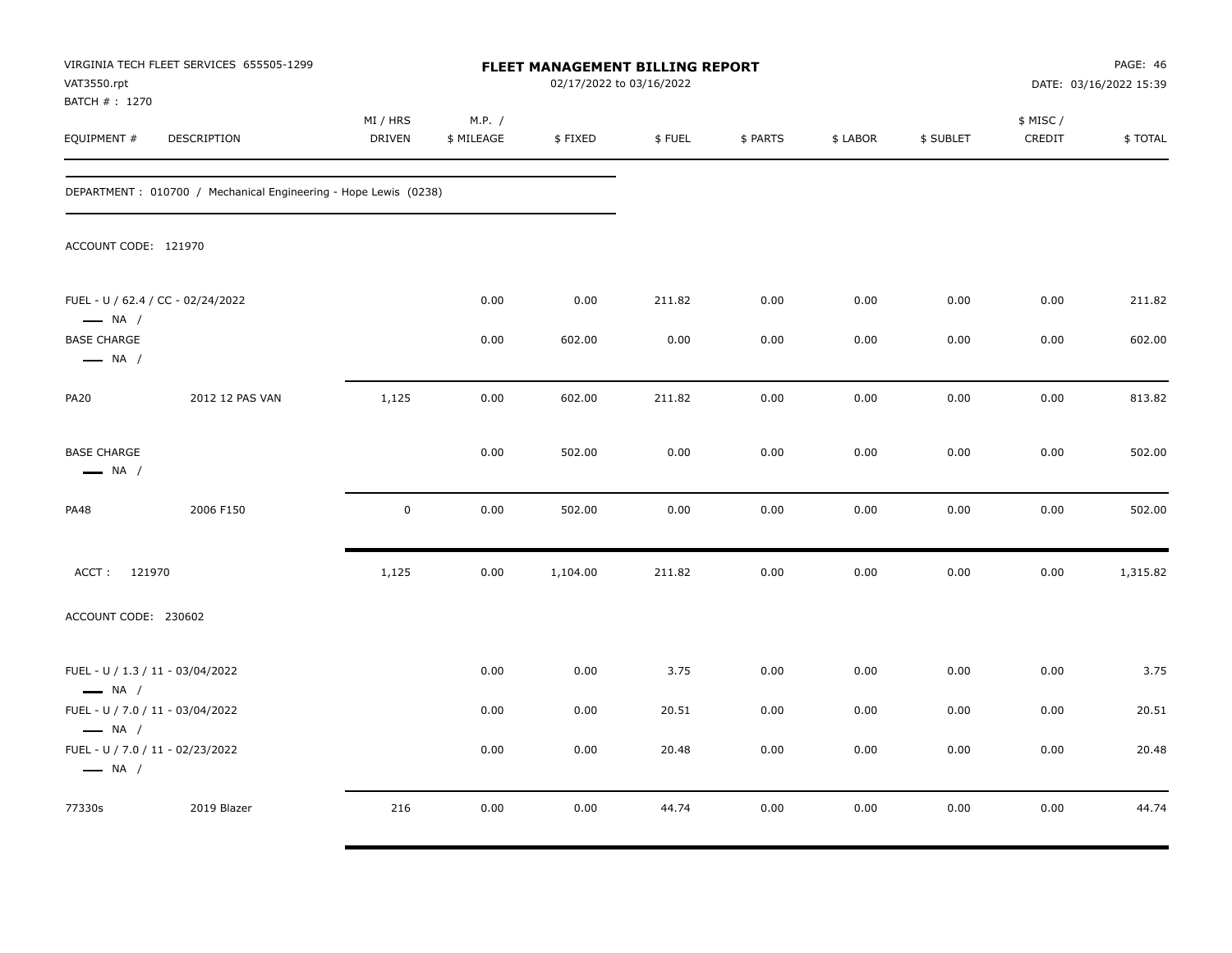| VAT3550.rpt<br>BATCH #: 1270                                                         | VIRGINIA TECH FLEET SERVICES 655505-1299                        |                           |                      | <b>FLEET MANAGEMENT BILLING REPORT</b> | 02/17/2022 to 03/16/2022 |          |          |           |                    | PAGE: 46<br>DATE: 03/16/2022 15:39 |
|--------------------------------------------------------------------------------------|-----------------------------------------------------------------|---------------------------|----------------------|----------------------------------------|--------------------------|----------|----------|-----------|--------------------|------------------------------------|
| EQUIPMENT #                                                                          | DESCRIPTION                                                     | MI / HRS<br><b>DRIVEN</b> | M.P. /<br>\$ MILEAGE | \$FIXED                                | \$FUEL                   | \$ PARTS | \$ LABOR | \$ SUBLET | \$ MISC/<br>CREDIT | \$TOTAL                            |
|                                                                                      | DEPARTMENT: 010700 / Mechanical Engineering - Hope Lewis (0238) |                           |                      |                                        |                          |          |          |           |                    |                                    |
| ACCOUNT CODE: 121970                                                                 |                                                                 |                           |                      |                                        |                          |          |          |           |                    |                                    |
| $\longrightarrow$ NA /                                                               | FUEL - U / 62.4 / CC - 02/24/2022                               |                           | 0.00                 | 0.00                                   | 211.82                   | 0.00     | 0.00     | 0.00      | 0.00               | 211.82                             |
| <b>BASE CHARGE</b><br>$\longrightarrow$ NA /                                         |                                                                 |                           | 0.00                 | 602.00                                 | 0.00                     | 0.00     | 0.00     | 0.00      | 0.00               | 602.00                             |
| <b>PA20</b>                                                                          | 2012 12 PAS VAN                                                 | 1,125                     | 0.00                 | 602.00                                 | 211.82                   | 0.00     | 0.00     | 0.00      | 0.00               | 813.82                             |
| <b>BASE CHARGE</b><br>$\longrightarrow$ NA /                                         |                                                                 |                           | 0.00                 | 502.00                                 | 0.00                     | 0.00     | 0.00     | 0.00      | 0.00               | 502.00                             |
| PA48                                                                                 | 2006 F150                                                       | $\mathbf 0$               | 0.00                 | 502.00                                 | 0.00                     | 0.00     | 0.00     | 0.00      | 0.00               | 502.00                             |
| ACCT: 121970                                                                         |                                                                 | 1,125                     | 0.00                 | 1,104.00                               | 211.82                   | 0.00     | 0.00     | 0.00      | 0.00               | 1,315.82                           |
| ACCOUNT CODE: 230602                                                                 |                                                                 |                           |                      |                                        |                          |          |          |           |                    |                                    |
| FUEL - U / 1.3 / 11 - 03/04/2022<br>$\longrightarrow$ NA /                           |                                                                 |                           | 0.00                 | 0.00                                   | 3.75                     | 0.00     | 0.00     | 0.00      | 0.00               | 3.75                               |
| FUEL - U / 7.0 / 11 - 03/04/2022                                                     |                                                                 |                           | 0.00                 | 0.00                                   | 20.51                    | 0.00     | 0.00     | 0.00      | 0.00               | 20.51                              |
| $\longrightarrow$ NA /<br>FUEL - U / 7.0 / 11 - 02/23/2022<br>$\longrightarrow$ NA / |                                                                 |                           | 0.00                 | 0.00                                   | 20.48                    | 0.00     | 0.00     | 0.00      | 0.00               | 20.48                              |
| 77330s                                                                               | 2019 Blazer                                                     | 216                       | 0.00                 | 0.00                                   | 44.74                    | 0.00     | 0.00     | 0.00      | 0.00               | 44.74                              |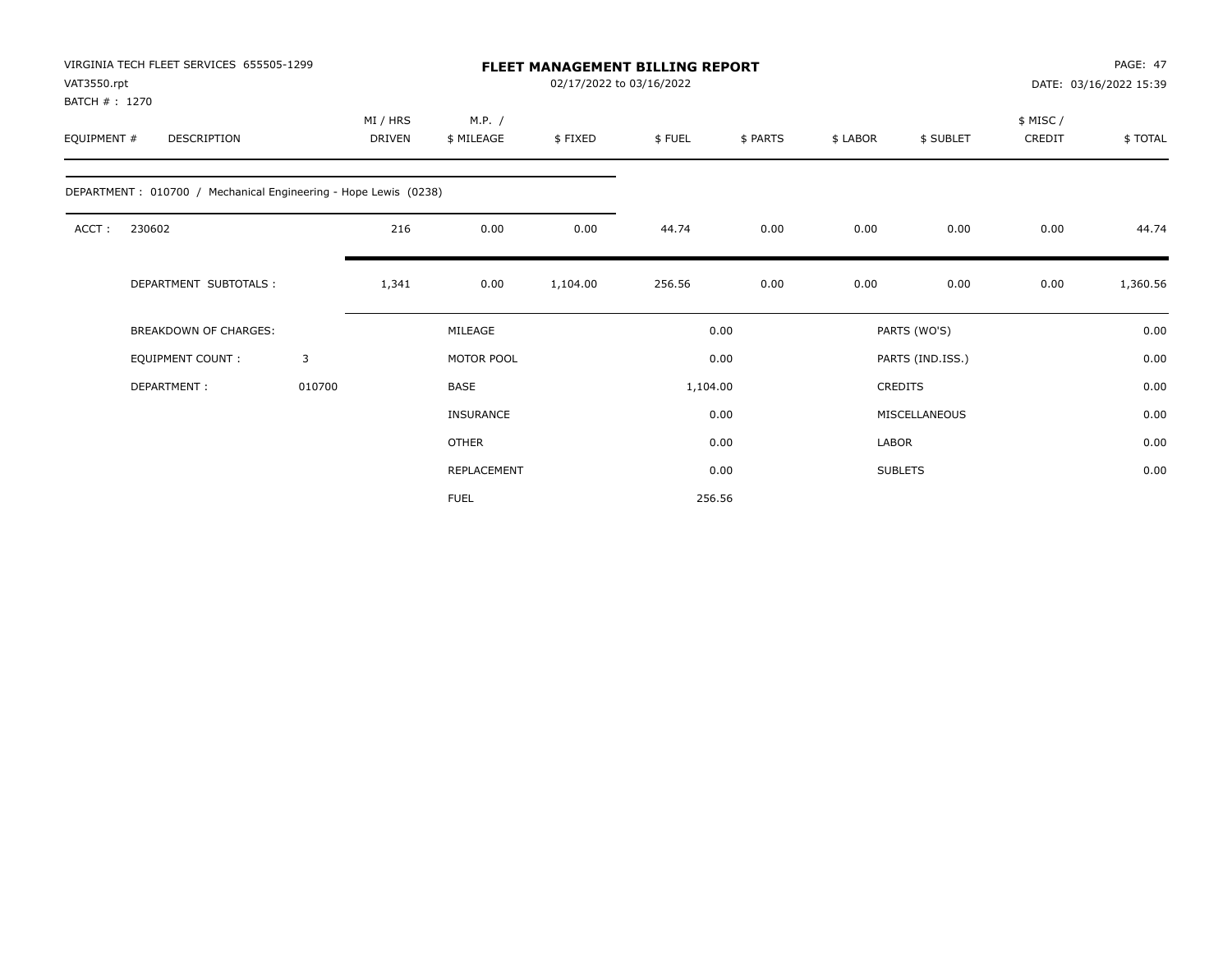| VAT3550.rpt                                                     | VIRGINIA TECH FLEET SERVICES 655505-1299<br><b>FLEET MANAGEMENT BILLING REPORT</b><br>02/17/2022 to 03/16/2022<br>BATCH #: 1270 |                           |                      |          |          |          |          |                  |                    | PAGE: 47<br>DATE: 03/16/2022 15:39 |
|-----------------------------------------------------------------|---------------------------------------------------------------------------------------------------------------------------------|---------------------------|----------------------|----------|----------|----------|----------|------------------|--------------------|------------------------------------|
| EQUIPMENT #<br>DESCRIPTION                                      |                                                                                                                                 | MI / HRS<br><b>DRIVEN</b> | M.P. /<br>\$ MILEAGE | \$FIXED  | \$FUEL   | \$ PARTS | \$ LABOR | \$ SUBLET        | \$ MISC/<br>CREDIT | \$TOTAL                            |
| DEPARTMENT: 010700 / Mechanical Engineering - Hope Lewis (0238) |                                                                                                                                 |                           |                      |          |          |          |          |                  |                    |                                    |
| 230602<br>ACCT:                                                 |                                                                                                                                 | 216                       | 0.00                 | 0.00     | 44.74    | 0.00     | 0.00     | 0.00             | 0.00               | 44.74                              |
| DEPARTMENT SUBTOTALS :                                          |                                                                                                                                 | 1,341                     | 0.00                 | 1,104.00 | 256.56   | 0.00     | 0.00     | 0.00             | 0.00               | 1,360.56                           |
| <b>BREAKDOWN OF CHARGES:</b>                                    |                                                                                                                                 |                           | MILEAGE              |          |          | 0.00     |          | PARTS (WO'S)     |                    | 0.00                               |
| <b>EQUIPMENT COUNT:</b>                                         | 3                                                                                                                               |                           | MOTOR POOL           |          |          | 0.00     |          | PARTS (IND.ISS.) |                    | 0.00                               |
| DEPARTMENT:                                                     | 010700                                                                                                                          |                           | <b>BASE</b>          |          | 1,104.00 |          |          | <b>CREDITS</b>   |                    | 0.00                               |
|                                                                 |                                                                                                                                 |                           | <b>INSURANCE</b>     |          |          | 0.00     |          | MISCELLANEOUS    |                    | 0.00                               |
|                                                                 |                                                                                                                                 |                           | <b>OTHER</b>         |          |          | 0.00     | LABOR    |                  |                    | 0.00                               |
|                                                                 |                                                                                                                                 |                           | REPLACEMENT          |          |          | 0.00     |          | <b>SUBLETS</b>   |                    | 0.00                               |
|                                                                 |                                                                                                                                 |                           | <b>FUEL</b>          |          |          | 256.56   |          |                  |                    |                                    |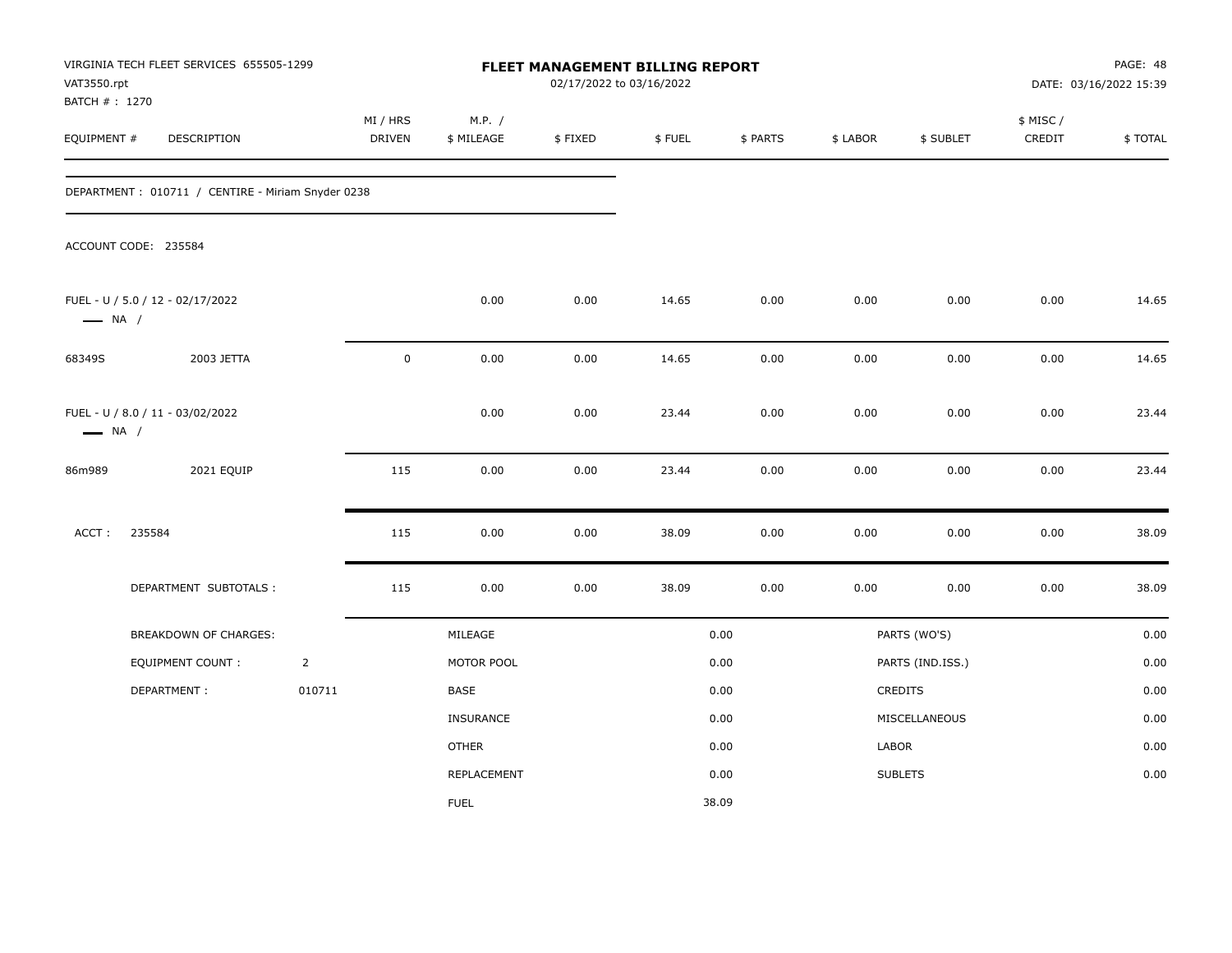| VAT3550.rpt            | VIRGINIA TECH FLEET SERVICES 655505-1299<br>BATCH # : 1270<br>EQUIPMENT #<br>DESCRIPTION |                |                           |                      |          | FLEET MANAGEMENT BILLING REPORT<br>02/17/2022 to 03/16/2022 |          |          |                  | PAGE: 48<br>DATE: 03/16/2022 15:39 |         |  |
|------------------------|------------------------------------------------------------------------------------------|----------------|---------------------------|----------------------|----------|-------------------------------------------------------------|----------|----------|------------------|------------------------------------|---------|--|
|                        |                                                                                          |                | MI / HRS<br><b>DRIVEN</b> | M.P. /<br>\$ MILEAGE | \$FIXED  | \$FUEL                                                      | \$ PARTS | \$ LABOR | \$ SUBLET        | \$ MISC /<br>CREDIT                | \$TOTAL |  |
|                        | DEPARTMENT: 010711 / CENTIRE - Miriam Snyder 0238                                        |                |                           |                      |          |                                                             |          |          |                  |                                    |         |  |
|                        | ACCOUNT CODE: 235584                                                                     |                |                           |                      |          |                                                             |          |          |                  |                                    |         |  |
| $\longrightarrow$ NA / | FUEL - U / 5.0 / 12 - 02/17/2022                                                         |                |                           | 0.00                 | 0.00     | 14.65                                                       | 0.00     | 0.00     | 0.00             | 0.00                               | 14.65   |  |
| 68349S                 | 2003 JETTA                                                                               |                | $\pmb{0}$                 | 0.00                 | $0.00\,$ | 14.65                                                       | 0.00     | 0.00     | 0.00             | 0.00                               | 14.65   |  |
| $\longrightarrow$ NA / | FUEL - U / 8.0 / 11 - 03/02/2022                                                         |                |                           | 0.00                 | 0.00     | 23.44                                                       | 0.00     | 0.00     | 0.00             | 0.00                               | 23.44   |  |
| 86m989                 | 2021 EQUIP                                                                               |                | 115                       | 0.00                 | $0.00\,$ | 23.44                                                       | $0.00\,$ | 0.00     | 0.00             | $0.00\,$                           | 23.44   |  |
| ACCT:                  | 235584                                                                                   |                | 115                       | 0.00                 | 0.00     | 38.09                                                       | 0.00     | 0.00     | 0.00             | $0.00\,$                           | 38.09   |  |
|                        | DEPARTMENT SUBTOTALS :                                                                   |                | 115                       | 0.00                 | 0.00     | 38.09                                                       | 0.00     | 0.00     | 0.00             | 0.00                               | 38.09   |  |
|                        | BREAKDOWN OF CHARGES:                                                                    |                |                           | MILEAGE              |          |                                                             | 0.00     |          | PARTS (WO'S)     |                                    | 0.00    |  |
|                        | EQUIPMENT COUNT:                                                                         | $\overline{2}$ |                           | MOTOR POOL           |          |                                                             | 0.00     |          | PARTS (IND.ISS.) |                                    | 0.00    |  |
|                        | DEPARTMENT:                                                                              | 010711         |                           | BASE                 |          |                                                             | 0.00     |          | <b>CREDITS</b>   |                                    | 0.00    |  |
|                        |                                                                                          |                |                           | <b>INSURANCE</b>     |          |                                                             | 0.00     |          | MISCELLANEOUS    |                                    | 0.00    |  |
|                        |                                                                                          |                |                           | <b>OTHER</b>         |          |                                                             | 0.00     | LABOR    |                  |                                    | 0.00    |  |
|                        |                                                                                          |                |                           | <b>REPLACEMENT</b>   |          |                                                             | 0.00     |          | <b>SUBLETS</b>   |                                    | 0.00    |  |
|                        |                                                                                          |                |                           | <b>FUEL</b>          |          |                                                             | 38.09    |          |                  |                                    |         |  |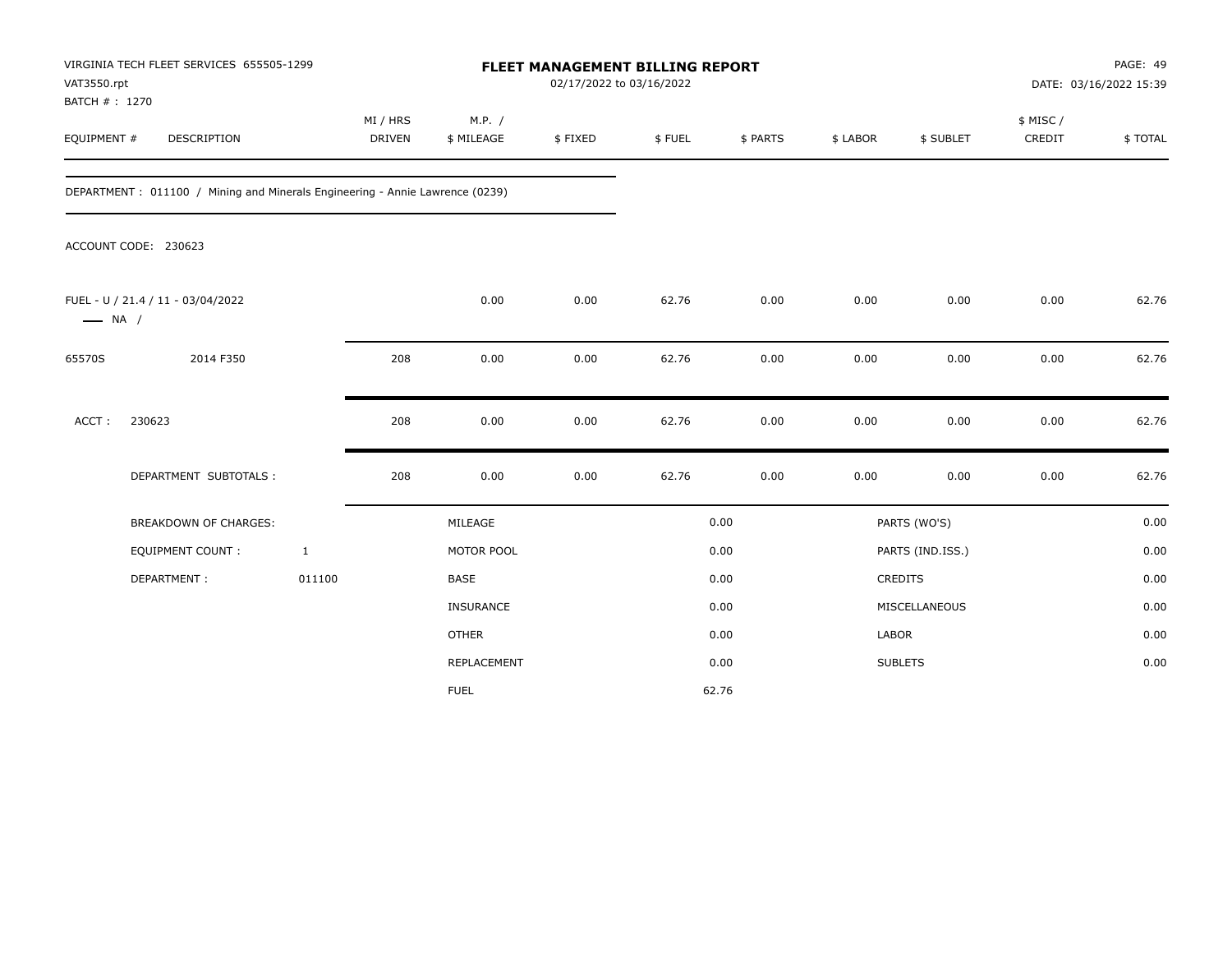| VAT3550.rpt                  | VIRGINIA TECH FLEET SERVICES 655505-1299                                     |                           | FLEET MANAGEMENT BILLING REPORT<br>02/17/2022 to 03/16/2022 |         |        |          |              |                  | PAGE: 49<br>DATE: 03/16/2022 15:39 |         |
|------------------------------|------------------------------------------------------------------------------|---------------------------|-------------------------------------------------------------|---------|--------|----------|--------------|------------------|------------------------------------|---------|
| BATCH #: 1270<br>EQUIPMENT # | DESCRIPTION                                                                  | MI / HRS<br><b>DRIVEN</b> | M.P. /<br>\$ MILEAGE                                        | \$FIXED | \$FUEL | \$ PARTS | \$ LABOR     | \$ SUBLET        | \$ MISC /<br>CREDIT                | \$TOTAL |
|                              | DEPARTMENT: 011100 / Mining and Minerals Engineering - Annie Lawrence (0239) |                           |                                                             |         |        |          |              |                  |                                    |         |
|                              | ACCOUNT CODE: 230623                                                         |                           |                                                             |         |        |          |              |                  |                                    |         |
| $\longrightarrow$ NA /       | FUEL - U / 21.4 / 11 - 03/04/2022                                            |                           | 0.00                                                        | 0.00    | 62.76  | 0.00     | 0.00         | 0.00             | 0.00                               | 62.76   |
| 65570S                       | 2014 F350                                                                    | 208                       | 0.00                                                        | 0.00    | 62.76  | 0.00     | 0.00         | 0.00             | 0.00                               | 62.76   |
| ACCT:                        | 230623                                                                       | 208                       | 0.00                                                        | 0.00    | 62.76  | 0.00     | 0.00         | 0.00             | 0.00                               | 62.76   |
|                              | DEPARTMENT SUBTOTALS :                                                       | 208                       | 0.00                                                        | 0.00    | 62.76  | 0.00     | 0.00         | 0.00             | 0.00                               | 62.76   |
|                              | <b>BREAKDOWN OF CHARGES:</b>                                                 |                           | MILEAGE                                                     |         |        | 0.00     |              | PARTS (WO'S)     |                                    | 0.00    |
|                              | EQUIPMENT COUNT :                                                            | $\mathbf{1}$              | MOTOR POOL                                                  |         |        | 0.00     |              | PARTS (IND.ISS.) |                                    | 0.00    |
|                              | DEPARTMENT:                                                                  | 011100                    | BASE                                                        |         |        | 0.00     |              | CREDITS          |                                    | 0.00    |
|                              |                                                                              |                           | INSURANCE                                                   |         |        | 0.00     |              | MISCELLANEOUS    |                                    | 0.00    |
|                              |                                                                              |                           | <b>OTHER</b>                                                |         |        | 0.00     | <b>LABOR</b> |                  |                                    | 0.00    |
|                              |                                                                              |                           | REPLACEMENT                                                 |         |        | 0.00     |              | <b>SUBLETS</b>   |                                    | 0.00    |
|                              |                                                                              |                           | <b>FUEL</b>                                                 |         |        | 62.76    |              |                  |                                    |         |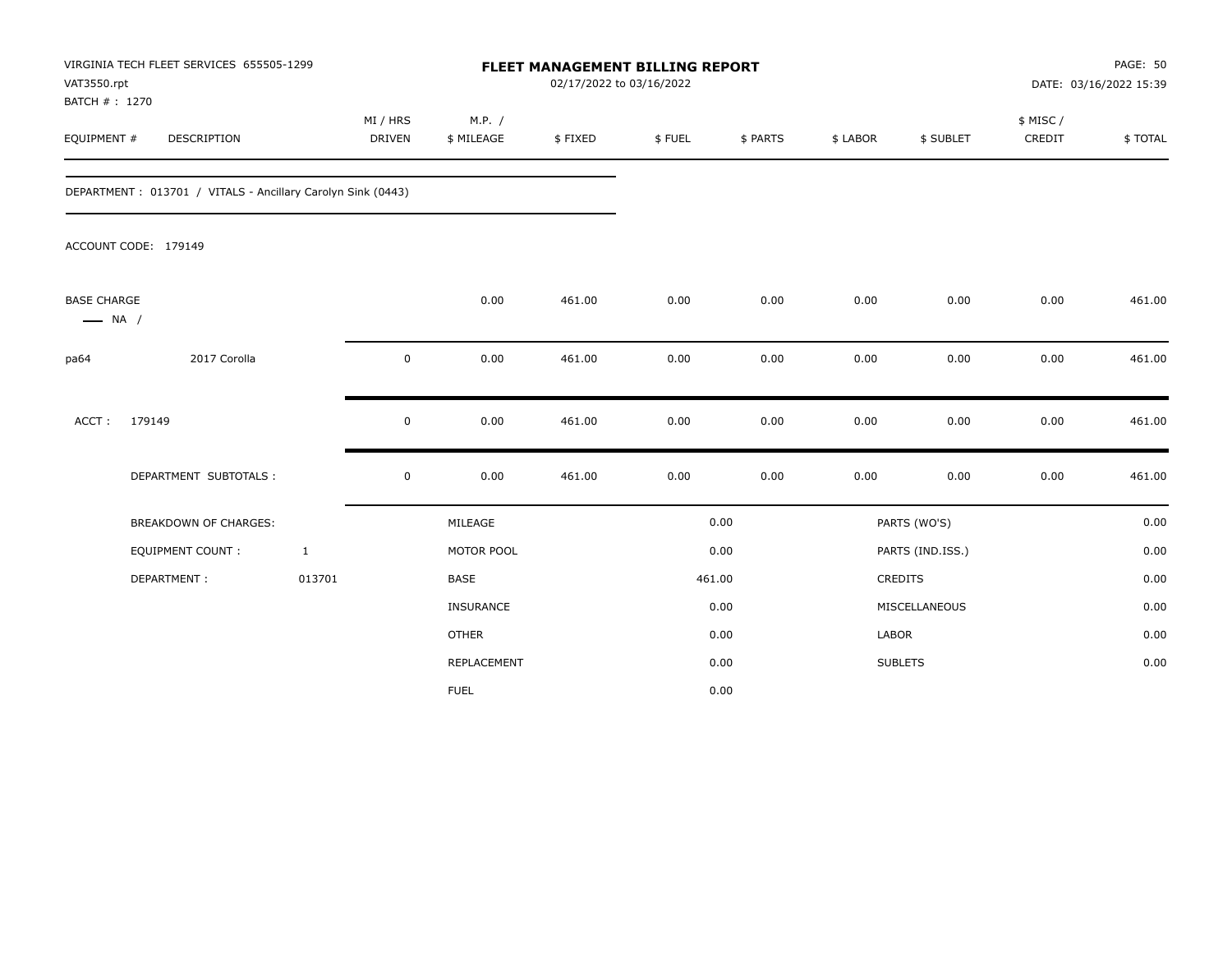| VAT3550.rpt                                  | VIRGINIA TECH FLEET SERVICES 655505-1299                    |                           | <b>FLEET MANAGEMENT BILLING REPORT</b><br>02/17/2022 to 03/16/2022 |                      |         |        |          |              |                  | PAGE: 50<br>DATE: 03/16/2022 15:39 |         |
|----------------------------------------------|-------------------------------------------------------------|---------------------------|--------------------------------------------------------------------|----------------------|---------|--------|----------|--------------|------------------|------------------------------------|---------|
| BATCH #: 1270<br>EQUIPMENT #                 | DESCRIPTION                                                 | MI / HRS<br><b>DRIVEN</b> |                                                                    | M.P. /<br>\$ MILEAGE | \$FIXED | \$FUEL | \$ PARTS | \$ LABOR     | \$ SUBLET        | \$ MISC /<br>CREDIT                | \$TOTAL |
|                                              | DEPARTMENT: 013701 / VITALS - Ancillary Carolyn Sink (0443) |                           |                                                                    |                      |         |        |          |              |                  |                                    |         |
|                                              | ACCOUNT CODE: 179149                                        |                           |                                                                    |                      |         |        |          |              |                  |                                    |         |
| <b>BASE CHARGE</b><br>$\longrightarrow$ NA / |                                                             |                           |                                                                    | 0.00                 | 461.00  | 0.00   | 0.00     | 0.00         | 0.00             | 0.00                               | 461.00  |
| pa64                                         | 2017 Corolla                                                |                           | $\mathsf 0$                                                        | 0.00                 | 461.00  | 0.00   | 0.00     | 0.00         | 0.00             | 0.00                               | 461.00  |
| ACCT:                                        | 179149                                                      |                           | 0                                                                  | 0.00                 | 461.00  | 0.00   | 0.00     | 0.00         | 0.00             | 0.00                               | 461.00  |
|                                              | DEPARTMENT SUBTOTALS :                                      |                           | 0                                                                  | 0.00                 | 461.00  | 0.00   | 0.00     | 0.00         | 0.00             | 0.00                               | 461.00  |
|                                              | BREAKDOWN OF CHARGES:                                       |                           |                                                                    | MILEAGE              |         |        | 0.00     |              | PARTS (WO'S)     |                                    | 0.00    |
|                                              | EQUIPMENT COUNT:                                            | $\mathbf{1}$              |                                                                    | MOTOR POOL           |         |        | 0.00     |              | PARTS (IND.ISS.) |                                    | 0.00    |
|                                              | DEPARTMENT:                                                 | 013701                    |                                                                    | <b>BASE</b>          |         | 461.00 |          |              | CREDITS          |                                    | 0.00    |
|                                              |                                                             |                           |                                                                    | <b>INSURANCE</b>     |         |        | 0.00     |              | MISCELLANEOUS    |                                    | 0.00    |
|                                              |                                                             |                           |                                                                    | <b>OTHER</b>         |         |        | 0.00     | <b>LABOR</b> |                  |                                    | 0.00    |
|                                              |                                                             |                           |                                                                    | REPLACEMENT          |         |        | 0.00     |              | <b>SUBLETS</b>   |                                    | 0.00    |
|                                              |                                                             |                           |                                                                    | <b>FUEL</b>          |         |        | 0.00     |              |                  |                                    |         |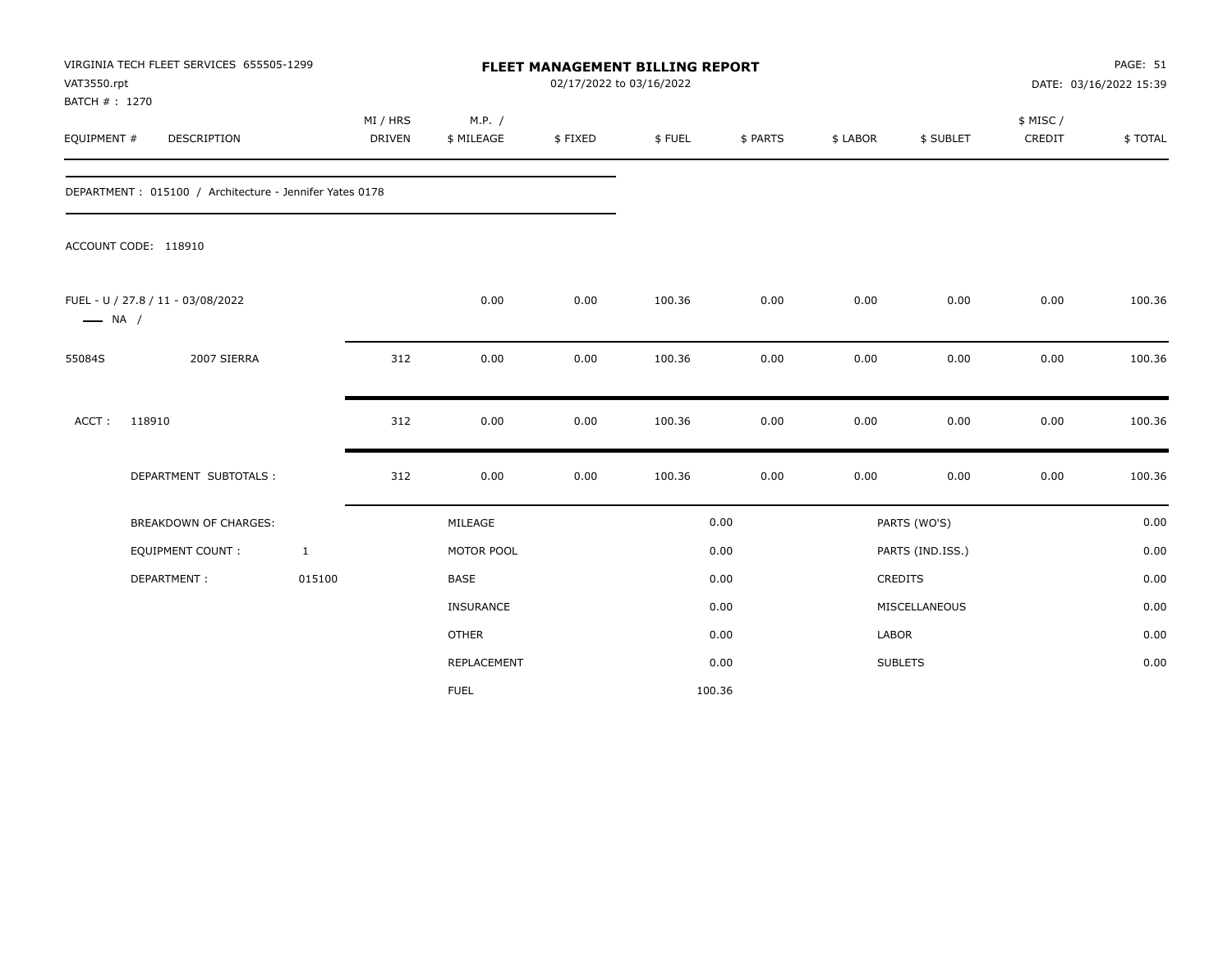| VAT3550.rpt<br>BATCH # : 1270 | VIRGINIA TECH FLEET SERVICES 655505-1299                |              |                           |                      |         | <b>FLEET MANAGEMENT BILLING REPORT</b><br>02/17/2022 to 03/16/2022 |          |          |                  | PAGE: 51<br>DATE: 03/16/2022 15:39 |         |  |
|-------------------------------|---------------------------------------------------------|--------------|---------------------------|----------------------|---------|--------------------------------------------------------------------|----------|----------|------------------|------------------------------------|---------|--|
| EQUIPMENT #                   | DESCRIPTION                                             |              | MI / HRS<br><b>DRIVEN</b> | M.P. /<br>\$ MILEAGE | \$FIXED | \$FUEL                                                             | \$ PARTS | \$ LABOR | \$ SUBLET        | \$ MISC /<br>CREDIT                | \$TOTAL |  |
|                               | DEPARTMENT: 015100 / Architecture - Jennifer Yates 0178 |              |                           |                      |         |                                                                    |          |          |                  |                                    |         |  |
|                               | ACCOUNT CODE: 118910                                    |              |                           |                      |         |                                                                    |          |          |                  |                                    |         |  |
| $\longrightarrow$ NA /        | FUEL - U / 27.8 / 11 - 03/08/2022                       |              |                           | 0.00                 | 0.00    | 100.36                                                             | 0.00     | 0.00     | 0.00             | 0.00                               | 100.36  |  |
| 55084S                        | 2007 SIERRA                                             |              | 312                       | 0.00                 | 0.00    | 100.36                                                             | 0.00     | 0.00     | 0.00             | 0.00                               | 100.36  |  |
| ACCT:                         | 118910                                                  |              | 312                       | 0.00                 | 0.00    | 100.36                                                             | 0.00     | 0.00     | 0.00             | 0.00                               | 100.36  |  |
|                               | DEPARTMENT SUBTOTALS :                                  |              | 312                       | 0.00                 | 0.00    | 100.36                                                             | 0.00     | 0.00     | 0.00             | 0.00                               | 100.36  |  |
|                               | <b>BREAKDOWN OF CHARGES:</b>                            |              |                           | MILEAGE              |         |                                                                    | 0.00     |          | PARTS (WO'S)     |                                    | 0.00    |  |
|                               | <b>EQUIPMENT COUNT:</b>                                 | $\mathbf{1}$ |                           | MOTOR POOL           |         |                                                                    | 0.00     |          | PARTS (IND.ISS.) |                                    | 0.00    |  |
|                               | DEPARTMENT:                                             | 015100       |                           | <b>BASE</b>          |         |                                                                    | 0.00     |          | CREDITS          |                                    | 0.00    |  |
|                               |                                                         |              |                           | INSURANCE            |         |                                                                    | 0.00     |          | MISCELLANEOUS    |                                    | 0.00    |  |
|                               |                                                         |              |                           | <b>OTHER</b>         |         |                                                                    | 0.00     | LABOR    |                  |                                    | 0.00    |  |
|                               |                                                         |              |                           | REPLACEMENT          |         |                                                                    | 0.00     |          | <b>SUBLETS</b>   |                                    | 0.00    |  |
|                               |                                                         |              |                           | <b>FUEL</b>          |         | 100.36                                                             |          |          |                  |                                    |         |  |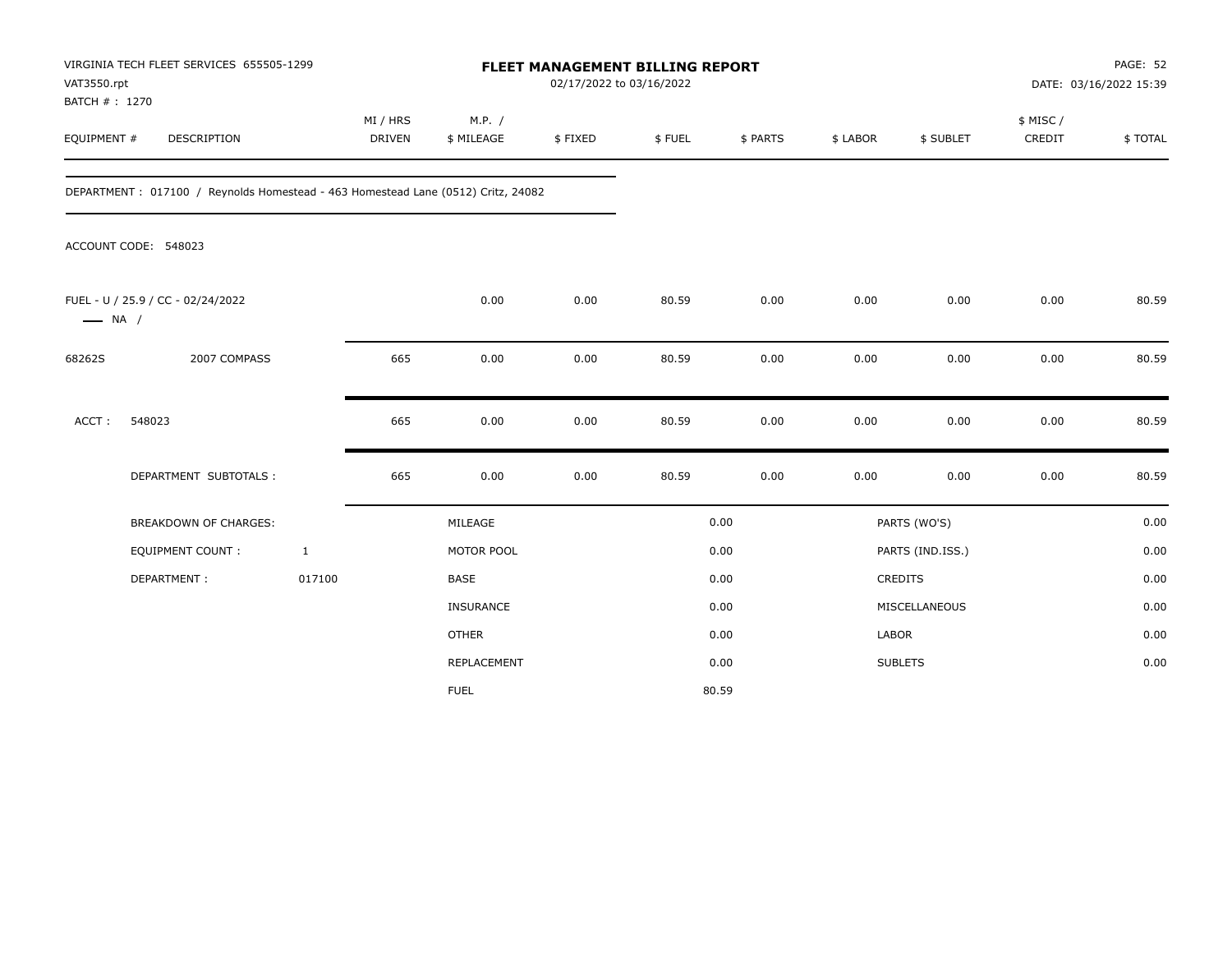| VAT3550.rpt                  | VIRGINIA TECH FLEET SERVICES 655505-1299                                         |              | <b>FLEET MANAGEMENT BILLING REPORT</b><br>02/17/2022 to 03/16/2022 |                      |         |        |          |              |                  | PAGE: 52<br>DATE: 03/16/2022 15:39 |         |
|------------------------------|----------------------------------------------------------------------------------|--------------|--------------------------------------------------------------------|----------------------|---------|--------|----------|--------------|------------------|------------------------------------|---------|
| BATCH #: 1270<br>EQUIPMENT # | DESCRIPTION                                                                      |              | MI / HRS<br><b>DRIVEN</b>                                          | M.P. /<br>\$ MILEAGE | \$FIXED | \$FUEL | \$ PARTS | \$ LABOR     | \$ SUBLET        | \$ MISC /<br>CREDIT                | \$TOTAL |
|                              | DEPARTMENT: 017100 / Reynolds Homestead - 463 Homestead Lane (0512) Critz, 24082 |              |                                                                    |                      |         |        |          |              |                  |                                    |         |
|                              | ACCOUNT CODE: 548023                                                             |              |                                                                    |                      |         |        |          |              |                  |                                    |         |
| $\longrightarrow$ NA /       | FUEL - U / 25.9 / CC - 02/24/2022                                                |              |                                                                    | 0.00                 | 0.00    | 80.59  | 0.00     | 0.00         | 0.00             | 0.00                               | 80.59   |
| 68262S                       | 2007 COMPASS                                                                     |              | 665                                                                | 0.00                 | 0.00    | 80.59  | 0.00     | 0.00         | 0.00             | 0.00                               | 80.59   |
| ACCT:                        | 548023                                                                           |              | 665                                                                | 0.00                 | 0.00    | 80.59  | 0.00     | 0.00         | 0.00             | 0.00                               | 80.59   |
|                              | DEPARTMENT SUBTOTALS :                                                           |              | 665                                                                | 0.00                 | 0.00    | 80.59  | 0.00     | 0.00         | 0.00             | 0.00                               | 80.59   |
|                              | BREAKDOWN OF CHARGES:                                                            |              |                                                                    | MILEAGE              |         |        | 0.00     |              | PARTS (WO'S)     |                                    | 0.00    |
|                              | <b>EQUIPMENT COUNT:</b>                                                          | $\mathbf{1}$ |                                                                    | MOTOR POOL           |         |        | 0.00     |              | PARTS (IND.ISS.) |                                    | 0.00    |
|                              | DEPARTMENT:                                                                      | 017100       |                                                                    | <b>BASE</b>          |         |        | 0.00     |              | CREDITS          |                                    | 0.00    |
|                              |                                                                                  |              |                                                                    | INSURANCE            |         |        | 0.00     |              | MISCELLANEOUS    |                                    | 0.00    |
|                              |                                                                                  |              |                                                                    | <b>OTHER</b>         |         |        | 0.00     | <b>LABOR</b> |                  |                                    | 0.00    |
|                              |                                                                                  |              |                                                                    | REPLACEMENT          |         |        | 0.00     |              | <b>SUBLETS</b>   |                                    | 0.00    |
|                              |                                                                                  |              |                                                                    | <b>FUEL</b>          |         |        | 80.59    |              |                  |                                    |         |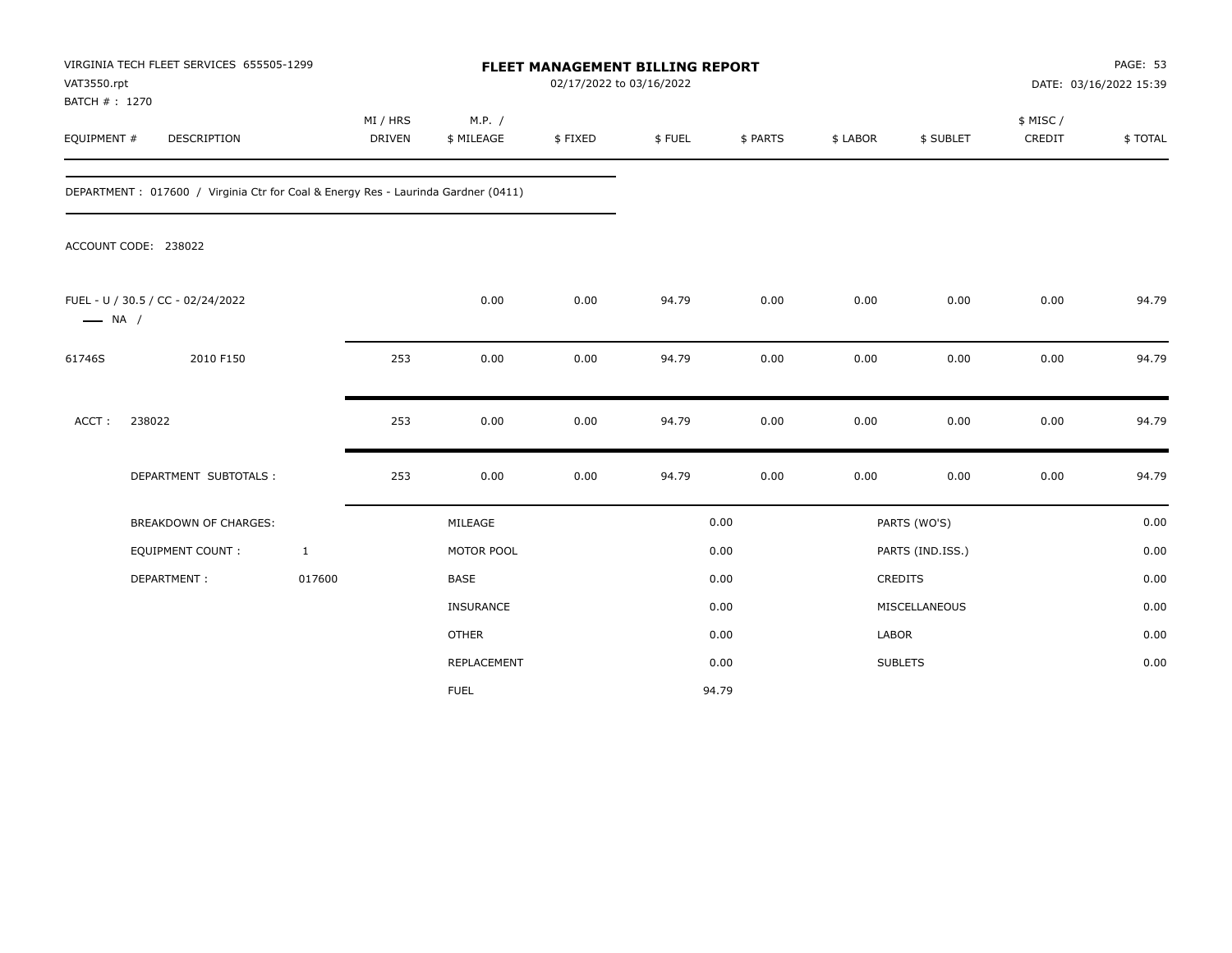| VAT3550.rpt                  | VIRGINIA TECH FLEET SERVICES 655505-1299                                          |                           |                      | <b>FLEET MANAGEMENT BILLING REPORT</b> | 02/17/2022 to 03/16/2022 |          |              |                  |                     | PAGE: 53<br>DATE: 03/16/2022 15:39 |
|------------------------------|-----------------------------------------------------------------------------------|---------------------------|----------------------|----------------------------------------|--------------------------|----------|--------------|------------------|---------------------|------------------------------------|
| BATCH #: 1270<br>EQUIPMENT # | DESCRIPTION                                                                       | MI / HRS<br><b>DRIVEN</b> | M.P. /<br>\$ MILEAGE | \$FIXED                                | \$FUEL                   | \$ PARTS | \$ LABOR     | \$ SUBLET        | \$ MISC /<br>CREDIT | \$TOTAL                            |
|                              | DEPARTMENT: 017600 / Virginia Ctr for Coal & Energy Res - Laurinda Gardner (0411) |                           |                      |                                        |                          |          |              |                  |                     |                                    |
|                              | ACCOUNT CODE: 238022                                                              |                           |                      |                                        |                          |          |              |                  |                     |                                    |
| $\longrightarrow$ NA /       | FUEL - U / 30.5 / CC - 02/24/2022                                                 |                           | 0.00                 | 0.00                                   | 94.79                    | 0.00     | 0.00         | 0.00             | 0.00                | 94.79                              |
| 61746S                       | 2010 F150                                                                         | 253                       | 0.00                 | 0.00                                   | 94.79                    | 0.00     | 0.00         | 0.00             | 0.00                | 94.79                              |
| ACCT:                        | 238022                                                                            | 253                       | 0.00                 | 0.00                                   | 94.79                    | 0.00     | 0.00         | 0.00             | 0.00                | 94.79                              |
|                              | DEPARTMENT SUBTOTALS :                                                            | 253                       | 0.00                 | 0.00                                   | 94.79                    | 0.00     | 0.00         | 0.00             | 0.00                | 94.79                              |
|                              | BREAKDOWN OF CHARGES:                                                             |                           | MILEAGE              |                                        |                          | 0.00     |              | PARTS (WO'S)     |                     | 0.00                               |
|                              | <b>EQUIPMENT COUNT:</b>                                                           | $\mathbf{1}$              | MOTOR POOL           |                                        |                          | 0.00     |              | PARTS (IND.ISS.) |                     | 0.00                               |
|                              | DEPARTMENT:                                                                       | 017600                    | <b>BASE</b>          |                                        |                          | 0.00     |              | CREDITS          |                     | 0.00                               |
|                              |                                                                                   |                           | INSURANCE            |                                        |                          | 0.00     |              | MISCELLANEOUS    |                     | 0.00                               |
|                              |                                                                                   |                           | <b>OTHER</b>         |                                        |                          | 0.00     | <b>LABOR</b> |                  |                     | 0.00                               |
|                              |                                                                                   |                           | REPLACEMENT          |                                        |                          | 0.00     |              | <b>SUBLETS</b>   |                     | 0.00                               |
|                              |                                                                                   |                           | <b>FUEL</b>          |                                        |                          | 94.79    |              |                  |                     |                                    |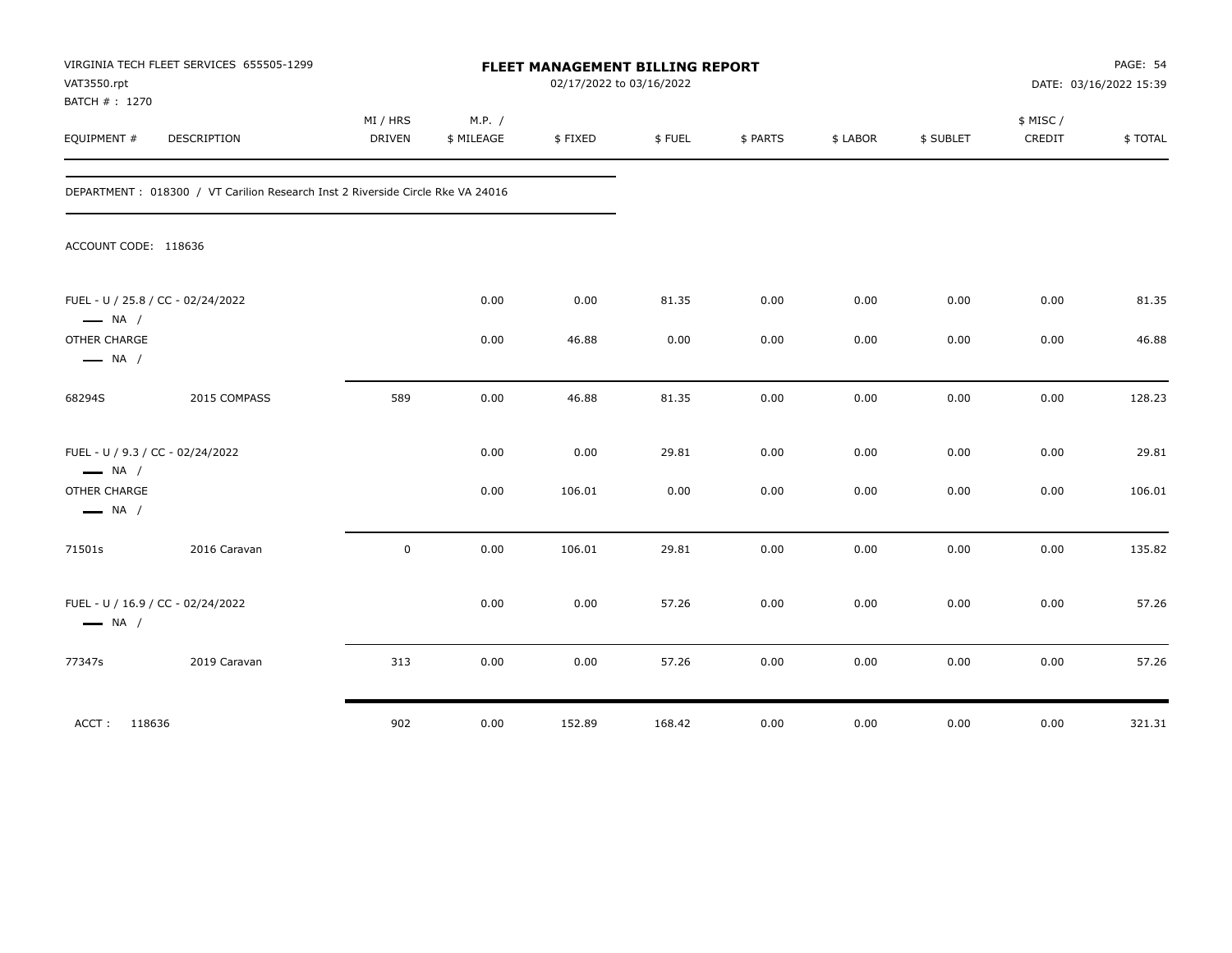| VAT3550.rpt<br>BATCH # : 1270          | VIRGINIA TECH FLEET SERVICES 655505-1299                                        |                           |                      |         | FLEET MANAGEMENT BILLING REPORT<br>02/17/2022 to 03/16/2022 |          |          |           | PAGE: 54<br>DATE: 03/16/2022 15:39 |         |  |
|----------------------------------------|---------------------------------------------------------------------------------|---------------------------|----------------------|---------|-------------------------------------------------------------|----------|----------|-----------|------------------------------------|---------|--|
| EQUIPMENT #                            | <b>DESCRIPTION</b>                                                              | MI / HRS<br><b>DRIVEN</b> | M.P. /<br>\$ MILEAGE | \$FIXED | \$FUEL                                                      | \$ PARTS | \$ LABOR | \$ SUBLET | \$ MISC/<br>CREDIT                 | \$TOTAL |  |
|                                        | DEPARTMENT : 018300 / VT Carilion Research Inst 2 Riverside Circle Rke VA 24016 |                           |                      |         |                                                             |          |          |           |                                    |         |  |
| ACCOUNT CODE: 118636                   |                                                                                 |                           |                      |         |                                                             |          |          |           |                                    |         |  |
| $\longrightarrow$ NA /                 | FUEL - U / 25.8 / CC - 02/24/2022                                               |                           | 0.00                 | 0.00    | 81.35                                                       | 0.00     | 0.00     | 0.00      | 0.00                               | 81.35   |  |
| OTHER CHARGE<br>$\longrightarrow$ NA / |                                                                                 |                           | 0.00                 | 46.88   | 0.00                                                        | 0.00     | 0.00     | 0.00      | 0.00                               | 46.88   |  |
| 68294S                                 | 2015 COMPASS                                                                    | 589                       | 0.00                 | 46.88   | 81.35                                                       | 0.00     | 0.00     | 0.00      | 0.00                               | 128.23  |  |
| $\longrightarrow$ NA /                 | FUEL - U / 9.3 / CC - 02/24/2022                                                |                           | 0.00                 | 0.00    | 29.81                                                       | 0.00     | 0.00     | 0.00      | 0.00                               | 29.81   |  |
| OTHER CHARGE<br>$\longrightarrow$ NA / |                                                                                 |                           | 0.00                 | 106.01  | 0.00                                                        | 0.00     | 0.00     | 0.00      | 0.00                               | 106.01  |  |
| 71501s                                 | 2016 Caravan                                                                    | $\mathbf 0$               | 0.00                 | 106.01  | 29.81                                                       | 0.00     | 0.00     | 0.00      | 0.00                               | 135.82  |  |
| $\longrightarrow$ NA /                 | FUEL - U / 16.9 / CC - 02/24/2022                                               |                           | 0.00                 | 0.00    | 57.26                                                       | 0.00     | 0.00     | 0.00      | 0.00                               | 57.26   |  |
| 77347s                                 | 2019 Caravan                                                                    | 313                       | 0.00                 | 0.00    | 57.26                                                       | 0.00     | 0.00     | 0.00      | 0.00                               | 57.26   |  |
| ACCT: 118636                           |                                                                                 | 902                       | 0.00                 | 152.89  | 168.42                                                      | 0.00     | 0.00     | 0.00      | 0.00                               | 321.31  |  |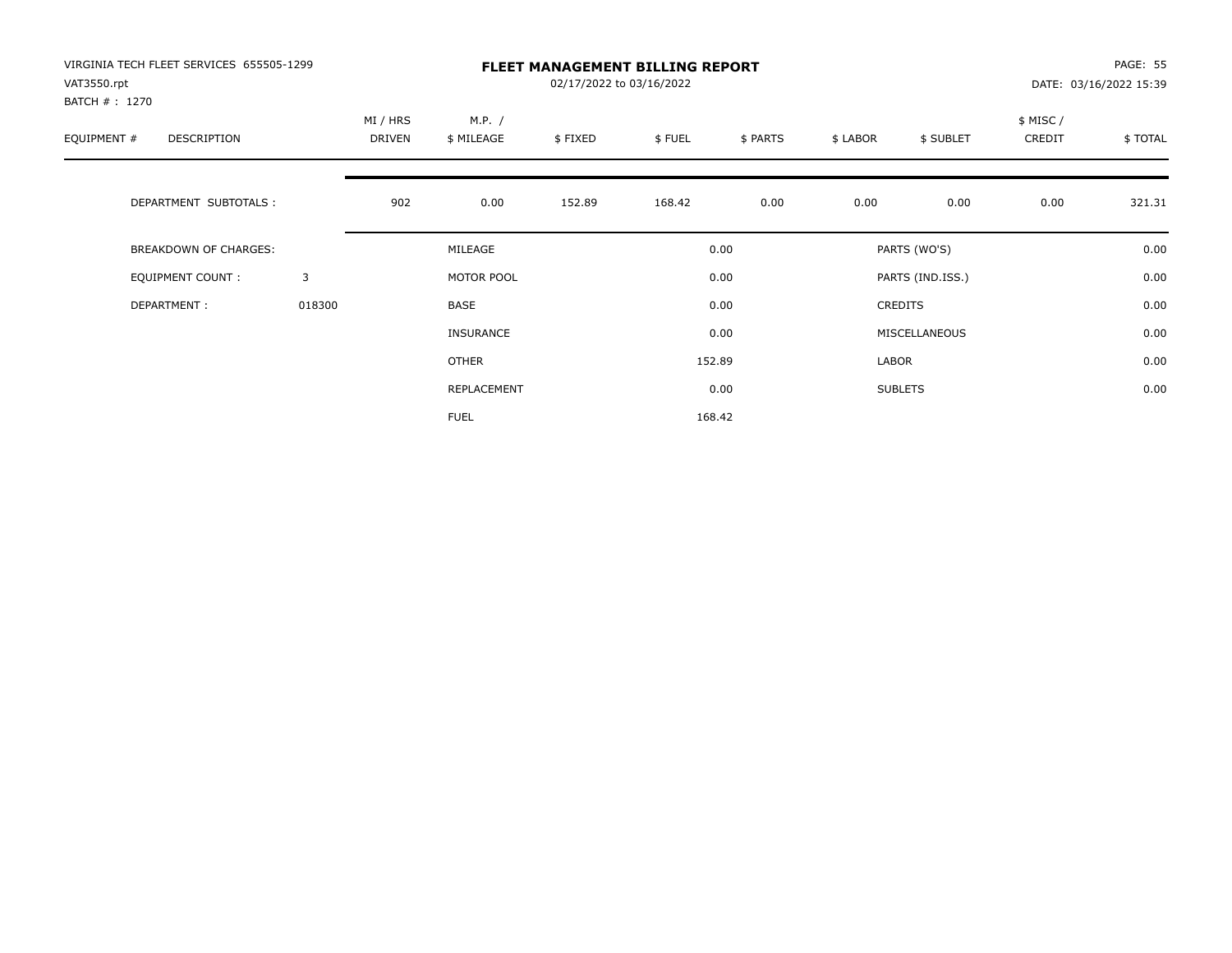| VIRGINIA TECH FLEET SERVICES 655505-1299<br>VAT3550.rpt<br>BATCH #: 1270 |        |                    |                      | PAGE: 55<br>DATE: 03/16/2022 15:39 |        |          |          |                  |                     |         |
|--------------------------------------------------------------------------|--------|--------------------|----------------------|------------------------------------|--------|----------|----------|------------------|---------------------|---------|
| EQUIPMENT #<br><b>DESCRIPTION</b>                                        |        | MI / HRS<br>DRIVEN | M.P. /<br>\$ MILEAGE | \$FIXED                            | \$FUEL | \$ PARTS | \$ LABOR | \$ SUBLET        | \$ MISC /<br>CREDIT | \$TOTAL |
| DEPARTMENT SUBTOTALS :                                                   |        | 902                | 0.00                 | 152.89                             | 168.42 | 0.00     | 0.00     | 0.00             | 0.00                | 321.31  |
| <b>BREAKDOWN OF CHARGES:</b>                                             |        |                    | MILEAGE              |                                    |        | 0.00     |          | PARTS (WO'S)     |                     | 0.00    |
| EQUIPMENT COUNT:                                                         | 3      |                    | MOTOR POOL           |                                    |        | 0.00     |          | PARTS (IND.ISS.) |                     | 0.00    |
| DEPARTMENT:                                                              | 018300 |                    | <b>BASE</b>          |                                    |        | 0.00     |          | <b>CREDITS</b>   |                     | 0.00    |
|                                                                          |        |                    | INSURANCE            |                                    |        | 0.00     |          | MISCELLANEOUS    |                     | 0.00    |
|                                                                          |        |                    | OTHER                |                                    |        | 152.89   | LABOR    |                  |                     | 0.00    |
|                                                                          |        |                    | REPLACEMENT          |                                    |        | 0.00     |          | <b>SUBLETS</b>   |                     | 0.00    |
|                                                                          |        |                    | <b>FUEL</b>          |                                    |        | 168.42   |          |                  |                     |         |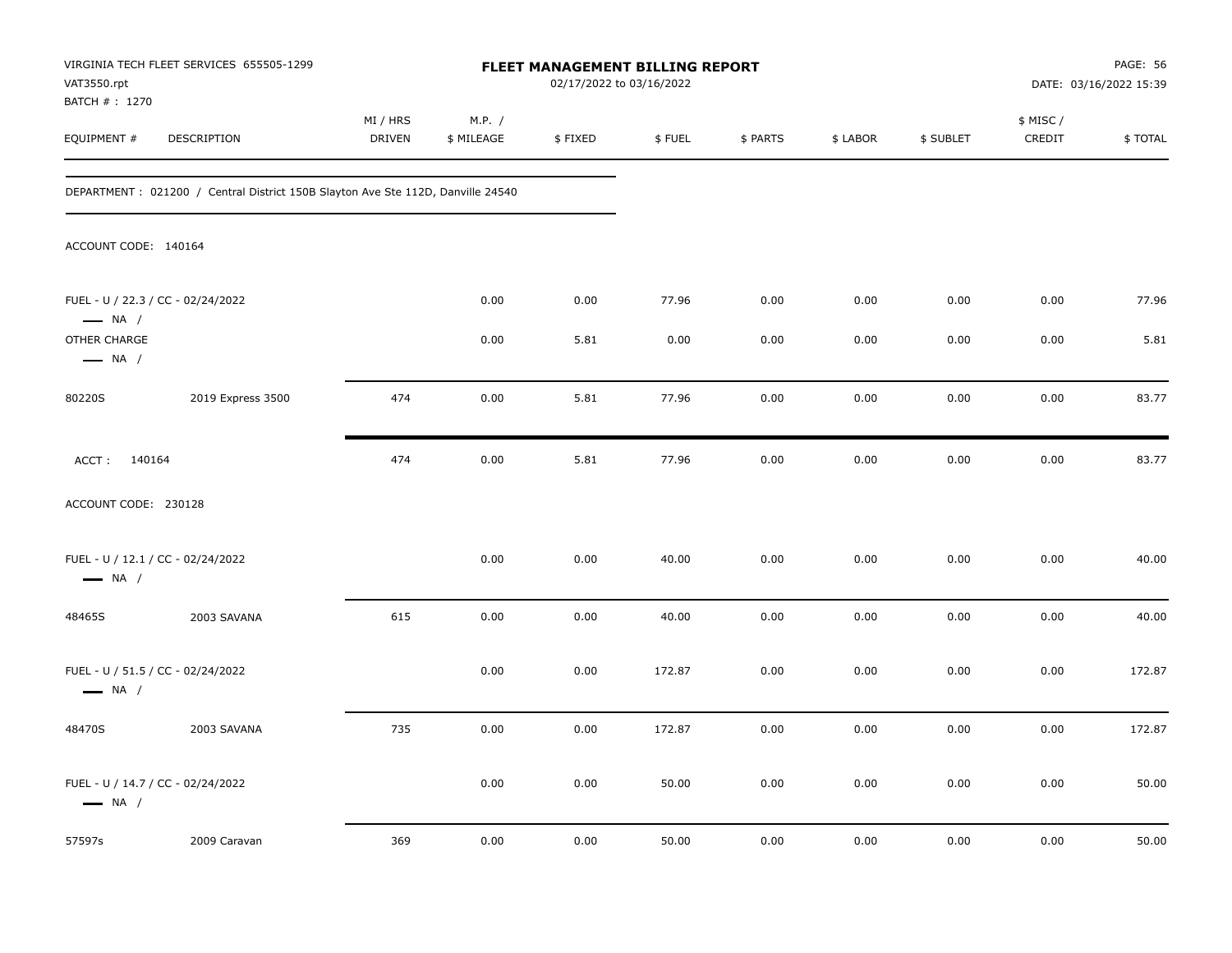| VAT3550.rpt                            | VIRGINIA TECH FLEET SERVICES 655505-1299                                         |                    |                      | <b>FLEET MANAGEMENT BILLING REPORT</b><br>02/17/2022 to 03/16/2022 |        |          |          |           |                     | <b>PAGE: 56</b><br>DATE: 03/16/2022 15:39 |
|----------------------------------------|----------------------------------------------------------------------------------|--------------------|----------------------|--------------------------------------------------------------------|--------|----------|----------|-----------|---------------------|-------------------------------------------|
| BATCH # : 1270<br>EQUIPMENT #          | DESCRIPTION                                                                      | MI / HRS<br>DRIVEN | M.P. /<br>\$ MILEAGE | \$FIXED                                                            | \$FUEL | \$ PARTS | \$ LABOR | \$ SUBLET | \$ MISC /<br>CREDIT | \$TOTAL                                   |
|                                        | DEPARTMENT : 021200 / Central District 150B Slayton Ave Ste 112D, Danville 24540 |                    |                      |                                                                    |        |          |          |           |                     |                                           |
| ACCOUNT CODE: 140164                   |                                                                                  |                    |                      |                                                                    |        |          |          |           |                     |                                           |
| $\longrightarrow$ NA /                 | FUEL - U / 22.3 / CC - 02/24/2022                                                |                    | 0.00                 | 0.00                                                               | 77.96  | 0.00     | 0.00     | 0.00      | 0.00                | 77.96                                     |
| OTHER CHARGE<br>$\longrightarrow$ NA / |                                                                                  |                    | 0.00                 | 5.81                                                               | 0.00   | 0.00     | 0.00     | 0.00      | 0.00                | 5.81                                      |
| 80220S                                 | 2019 Express 3500                                                                | 474                | 0.00                 | 5.81                                                               | 77.96  | 0.00     | 0.00     | 0.00      | 0.00                | 83.77                                     |
| ACCT: 140164                           |                                                                                  | 474                | 0.00                 | 5.81                                                               | 77.96  | 0.00     | 0.00     | 0.00      | 0.00                | 83.77                                     |
| ACCOUNT CODE: 230128                   |                                                                                  |                    |                      |                                                                    |        |          |          |           |                     |                                           |
| $\longrightarrow$ NA /                 | FUEL - U / 12.1 / CC - 02/24/2022                                                |                    | 0.00                 | 0.00                                                               | 40.00  | 0.00     | 0.00     | 0.00      | 0.00                | 40.00                                     |
| 48465S                                 | 2003 SAVANA                                                                      | 615                | 0.00                 | 0.00                                                               | 40.00  | 0.00     | 0.00     | 0.00      | 0.00                | 40.00                                     |
| $\longrightarrow$ NA /                 | FUEL - U / 51.5 / CC - 02/24/2022                                                |                    | 0.00                 | 0.00                                                               | 172.87 | 0.00     | 0.00     | 0.00      | 0.00                | 172.87                                    |
| 48470S                                 | 2003 SAVANA                                                                      | 735                | 0.00                 | 0.00                                                               | 172.87 | 0.00     | 0.00     | 0.00      | 0.00                | 172.87                                    |
| $\longrightarrow$ NA /                 | FUEL - U / 14.7 / CC - 02/24/2022                                                |                    | 0.00                 | 0.00                                                               | 50.00  | 0.00     | 0.00     | 0.00      | 0.00                | 50.00                                     |
| 57597s                                 | 2009 Caravan                                                                     | 369                | 0.00                 | 0.00                                                               | 50.00  | 0.00     | 0.00     | 0.00      | 0.00                | 50.00                                     |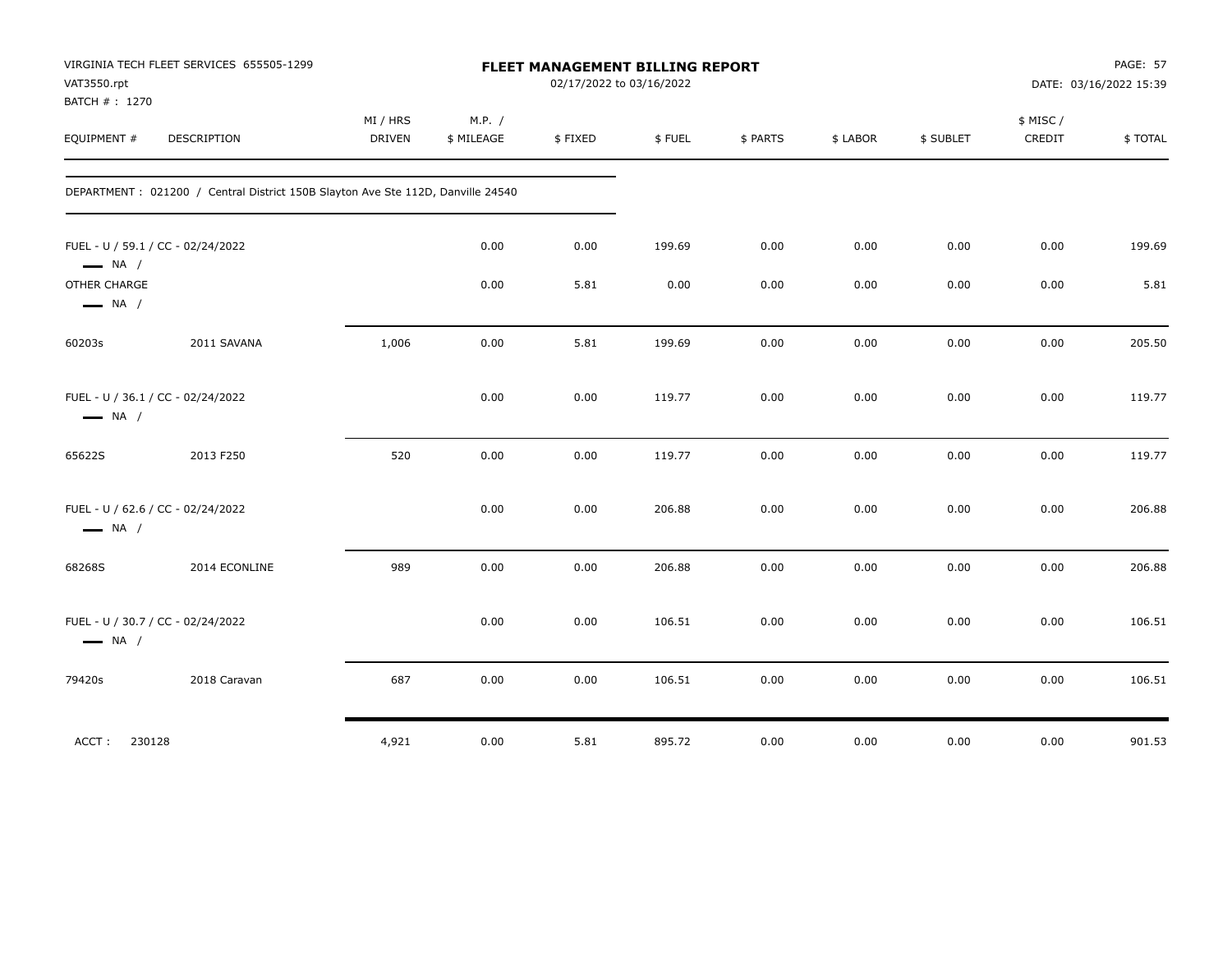| VAT3550.rpt                            | VIRGINIA TECH FLEET SERVICES 655505-1299                                         |                           |                      |         | FLEET MANAGEMENT BILLING REPORT<br>02/17/2022 to 03/16/2022 |          |          |           | <b>PAGE: 57</b><br>DATE: 03/16/2022 15:39 |         |
|----------------------------------------|----------------------------------------------------------------------------------|---------------------------|----------------------|---------|-------------------------------------------------------------|----------|----------|-----------|-------------------------------------------|---------|
| BATCH #: 1270<br>EQUIPMENT #           | DESCRIPTION                                                                      | MI / HRS<br><b>DRIVEN</b> | M.P. /<br>\$ MILEAGE | \$FIXED | \$FUEL                                                      | \$ PARTS | \$ LABOR | \$ SUBLET | \$ MISC/<br>CREDIT                        | \$TOTAL |
|                                        | DEPARTMENT : 021200 / Central District 150B Slayton Ave Ste 112D, Danville 24540 |                           |                      |         |                                                             |          |          |           |                                           |         |
| $\longrightarrow$ NA /                 | FUEL - U / 59.1 / CC - 02/24/2022                                                |                           | 0.00                 | 0.00    | 199.69                                                      | 0.00     | 0.00     | 0.00      | 0.00                                      | 199.69  |
| OTHER CHARGE<br>$\longrightarrow$ NA / |                                                                                  |                           | 0.00                 | 5.81    | 0.00                                                        | 0.00     | 0.00     | 0.00      | 0.00                                      | 5.81    |
| 60203s                                 | 2011 SAVANA                                                                      | 1,006                     | 0.00                 | 5.81    | 199.69                                                      | 0.00     | 0.00     | 0.00      | 0.00                                      | 205.50  |
| $\longrightarrow$ NA /                 | FUEL - U / 36.1 / CC - 02/24/2022                                                |                           | 0.00                 | 0.00    | 119.77                                                      | 0.00     | 0.00     | 0.00      | 0.00                                      | 119.77  |
| 65622S                                 | 2013 F250                                                                        | 520                       | 0.00                 | 0.00    | 119.77                                                      | 0.00     | 0.00     | 0.00      | 0.00                                      | 119.77  |
| $\longrightarrow$ NA /                 | FUEL - U / 62.6 / CC - 02/24/2022                                                |                           | 0.00                 | 0.00    | 206.88                                                      | 0.00     | 0.00     | 0.00      | 0.00                                      | 206.88  |
| 68268S                                 | 2014 ECONLINE                                                                    | 989                       | 0.00                 | 0.00    | 206.88                                                      | 0.00     | 0.00     | 0.00      | 0.00                                      | 206.88  |
| $\longrightarrow$ NA /                 | FUEL - U / 30.7 / CC - 02/24/2022                                                |                           | 0.00                 | 0.00    | 106.51                                                      | 0.00     | 0.00     | 0.00      | 0.00                                      | 106.51  |
| 79420s                                 | 2018 Caravan                                                                     | 687                       | 0.00                 | 0.00    | 106.51                                                      | 0.00     | 0.00     | 0.00      | 0.00                                      | 106.51  |
| ACCT:                                  | 230128                                                                           | 4,921                     | 0.00                 | 5.81    | 895.72                                                      | 0.00     | 0.00     | 0.00      | 0.00                                      | 901.53  |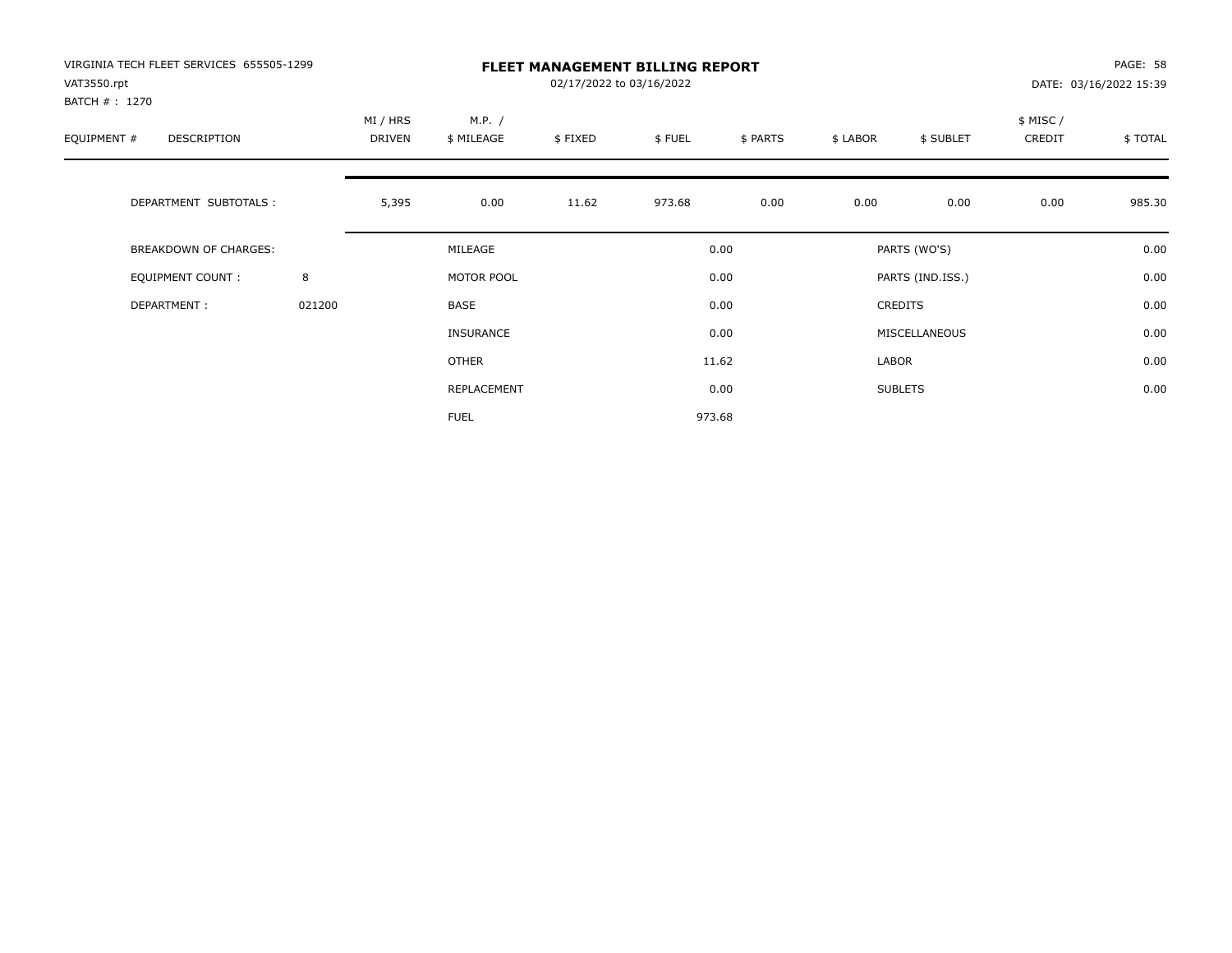| VIRGINIA TECH FLEET SERVICES 655505-1299<br>VAT3550.rpt<br>BATCH #: 1270 |        | <b>FLEET MANAGEMENT BILLING REPORT</b><br>02/17/2022 to 03/16/2022<br>DATE: 03/16/2022 15:39 |                      |         |        |          |          |                  |                     |         |
|--------------------------------------------------------------------------|--------|----------------------------------------------------------------------------------------------|----------------------|---------|--------|----------|----------|------------------|---------------------|---------|
| EQUIPMENT #<br><b>DESCRIPTION</b>                                        |        | MI / HRS<br>DRIVEN                                                                           | M.P. /<br>\$ MILEAGE | \$FIXED | \$FUEL | \$ PARTS | \$ LABOR | \$ SUBLET        | \$ MISC /<br>CREDIT | \$TOTAL |
| DEPARTMENT SUBTOTALS :                                                   |        | 5,395                                                                                        | 0.00                 | 11.62   | 973.68 | 0.00     | 0.00     | 0.00             | 0.00                | 985.30  |
| <b>BREAKDOWN OF CHARGES:</b>                                             |        |                                                                                              | MILEAGE              |         |        | 0.00     |          | PARTS (WO'S)     |                     | 0.00    |
| EQUIPMENT COUNT:                                                         | 8      |                                                                                              | MOTOR POOL           |         |        | 0.00     |          | PARTS (IND.ISS.) |                     | 0.00    |
| DEPARTMENT:                                                              | 021200 |                                                                                              | <b>BASE</b>          |         |        | 0.00     |          | <b>CREDITS</b>   |                     | 0.00    |
|                                                                          |        |                                                                                              | INSURANCE            |         |        | 0.00     |          | MISCELLANEOUS    |                     | 0.00    |
|                                                                          |        |                                                                                              | OTHER                |         |        | 11.62    | LABOR    |                  |                     | 0.00    |
|                                                                          |        |                                                                                              | REPLACEMENT          |         |        | 0.00     |          | <b>SUBLETS</b>   |                     | 0.00    |
|                                                                          |        |                                                                                              | <b>FUEL</b>          |         |        | 973.68   |          |                  |                     |         |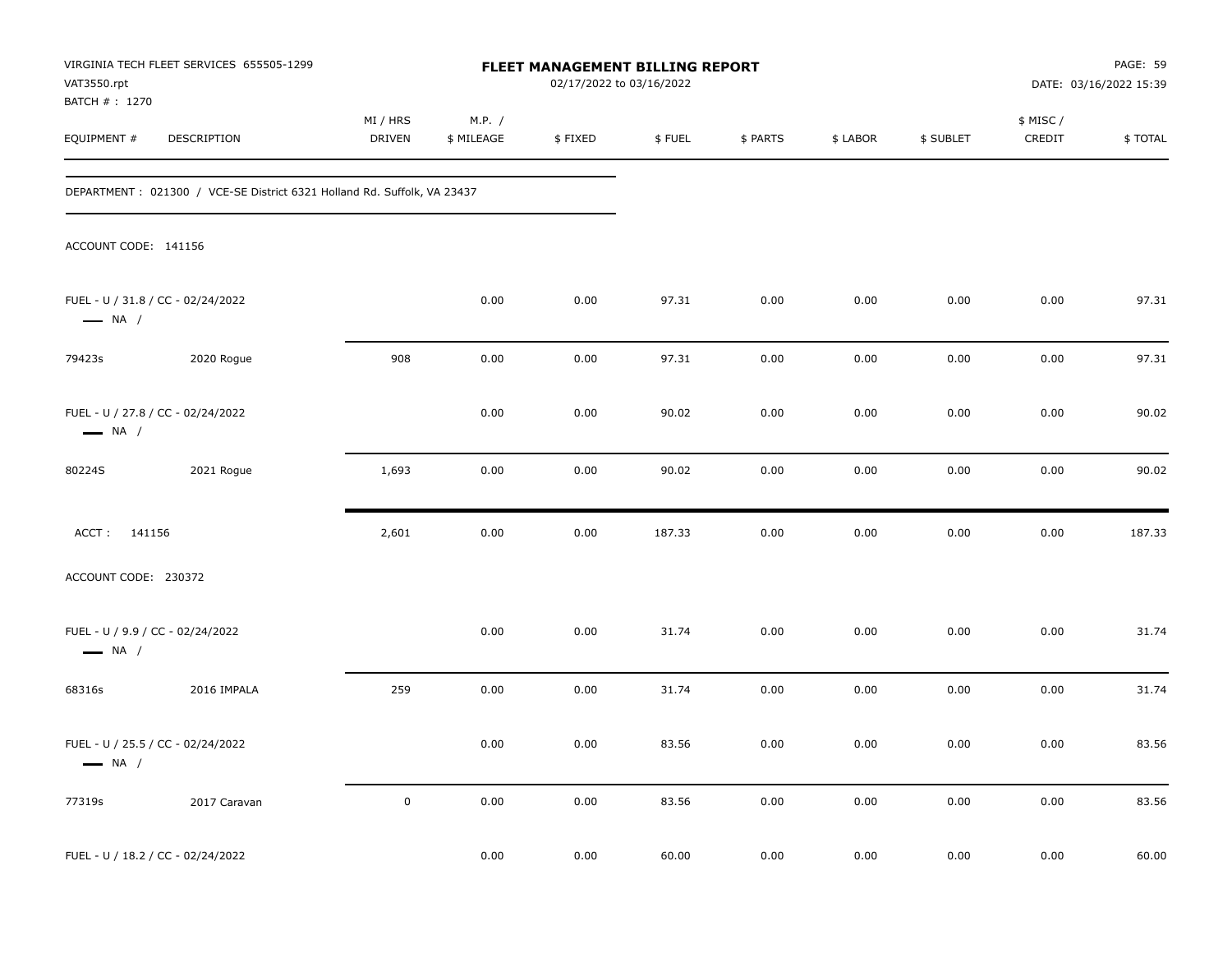| VAT3550.rpt                                                | VIRGINIA TECH FLEET SERVICES 655505-1299                                 |                    |                      | FLEET MANAGEMENT BILLING REPORT<br>02/17/2022 to 03/16/2022 |        |          |          |           |                     | PAGE: 59<br>DATE: 03/16/2022 15:39 |
|------------------------------------------------------------|--------------------------------------------------------------------------|--------------------|----------------------|-------------------------------------------------------------|--------|----------|----------|-----------|---------------------|------------------------------------|
| BATCH #: 1270<br>EQUIPMENT #                               | DESCRIPTION                                                              | MI / HRS<br>DRIVEN | M.P. /<br>\$ MILEAGE | \$FIXED                                                     | \$FUEL | \$ PARTS | \$ LABOR | \$ SUBLET | \$ MISC /<br>CREDIT | \$TOTAL                            |
|                                                            | DEPARTMENT : 021300 / VCE-SE District 6321 Holland Rd. Suffolk, VA 23437 |                    |                      |                                                             |        |          |          |           |                     |                                    |
| ACCOUNT CODE: 141156                                       |                                                                          |                    |                      |                                                             |        |          |          |           |                     |                                    |
| $\longrightarrow$ NA /                                     | FUEL - U / 31.8 / CC - 02/24/2022                                        |                    | 0.00                 | 0.00                                                        | 97.31  | 0.00     | 0.00     | 0.00      | 0.00                | 97.31                              |
| 79423s                                                     | 2020 Rogue                                                               | 908                | 0.00                 | 0.00                                                        | 97.31  | 0.00     | 0.00     | 0.00      | 0.00                | 97.31                              |
| $\longrightarrow$ NA /                                     | FUEL - U / 27.8 / CC - 02/24/2022                                        |                    | 0.00                 | 0.00                                                        | 90.02  | 0.00     | 0.00     | 0.00      | 0.00                | 90.02                              |
| 80224S                                                     | 2021 Rogue                                                               | 1,693              | 0.00                 | 0.00                                                        | 90.02  | 0.00     | 0.00     | 0.00      | 0.00                | 90.02                              |
| ACCT: 141156                                               |                                                                          | 2,601              | 0.00                 | 0.00                                                        | 187.33 | 0.00     | 0.00     | 0.00      | 0.00                | 187.33                             |
| ACCOUNT CODE: 230372                                       |                                                                          |                    |                      |                                                             |        |          |          |           |                     |                                    |
| FUEL - U / 9.9 / CC - 02/24/2022<br>$\longrightarrow$ NA / |                                                                          |                    | 0.00                 | 0.00                                                        | 31.74  | 0.00     | 0.00     | 0.00      | 0.00                | 31.74                              |
| 68316s                                                     | 2016 IMPALA                                                              | 259                | 0.00                 | 0.00                                                        | 31.74  | 0.00     | 0.00     | 0.00      | 0.00                | 31.74                              |
| $\longrightarrow$ NA /                                     | FUEL - U / 25.5 / CC - 02/24/2022                                        |                    | 0.00                 | 0.00                                                        | 83.56  | 0.00     | 0.00     | 0.00      | 0.00                | 83.56                              |
| 77319s                                                     | 2017 Caravan                                                             | $\pmb{0}$          | 0.00                 | 0.00                                                        | 83.56  | 0.00     | 0.00     | 0.00      | 0.00                | 83.56                              |
|                                                            | FUEL - U / 18.2 / CC - 02/24/2022                                        |                    | 0.00                 | 0.00                                                        | 60.00  | 0.00     | 0.00     | 0.00      | 0.00                | 60.00                              |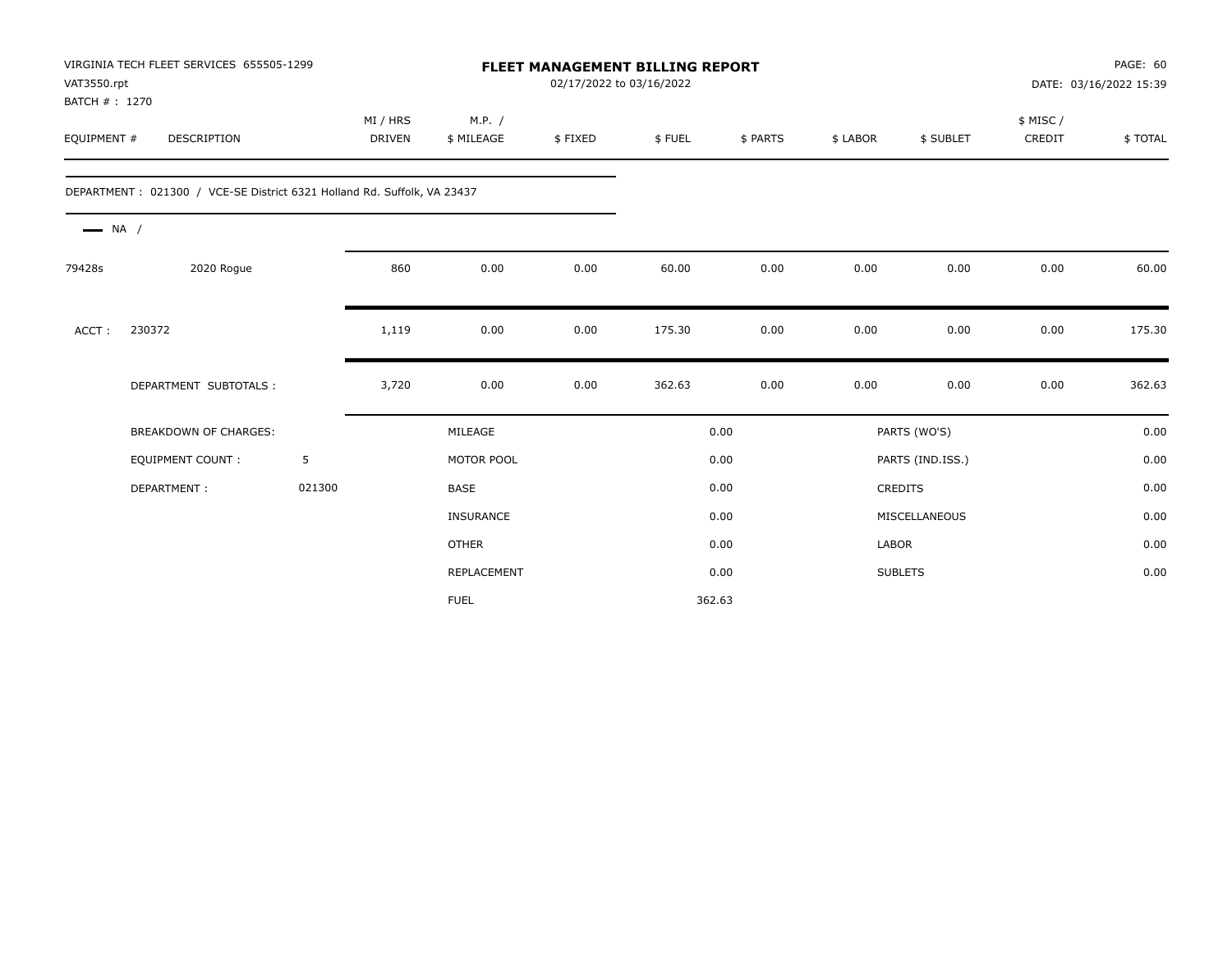| VAT3550.rpt<br>BATCH #: 1270 | VIRGINIA TECH FLEET SERVICES 655505-1299                                |        |                           | FLEET MANAGEMENT BILLING REPORT<br>02/17/2022 to 03/16/2022 |         |        |          |              |                  |                    | PAGE: 60<br>DATE: 03/16/2022 15:39 |
|------------------------------|-------------------------------------------------------------------------|--------|---------------------------|-------------------------------------------------------------|---------|--------|----------|--------------|------------------|--------------------|------------------------------------|
| EQUIPMENT #                  | <b>DESCRIPTION</b>                                                      |        | MI / HRS<br><b>DRIVEN</b> | M.P. /<br>\$ MILEAGE                                        | \$FIXED | \$FUEL | \$ PARTS | \$ LABOR     | \$ SUBLET        | \$ MISC/<br>CREDIT | \$TOTAL                            |
|                              | DEPARTMENT: 021300 / VCE-SE District 6321 Holland Rd. Suffolk, VA 23437 |        |                           |                                                             |         |        |          |              |                  |                    |                                    |
| $\longrightarrow$ NA /       |                                                                         |        |                           |                                                             |         |        |          |              |                  |                    |                                    |
| 79428s                       | 2020 Rogue                                                              |        | 860                       | 0.00                                                        | 0.00    | 60.00  | 0.00     | 0.00         | 0.00             | 0.00               | 60.00                              |
| ACCT:                        | 230372                                                                  |        | 1,119                     | 0.00                                                        | 0.00    | 175.30 | 0.00     | 0.00         | 0.00             | 0.00               | 175.30                             |
|                              | DEPARTMENT SUBTOTALS :                                                  |        | 3,720                     | 0.00                                                        | 0.00    | 362.63 | 0.00     | 0.00         | 0.00             | 0.00               | 362.63                             |
|                              | BREAKDOWN OF CHARGES:                                                   |        |                           | MILEAGE                                                     |         |        | 0.00     |              | PARTS (WO'S)     |                    | 0.00                               |
|                              | <b>EQUIPMENT COUNT:</b>                                                 | 5      |                           | MOTOR POOL                                                  |         |        | 0.00     |              | PARTS (IND.ISS.) |                    | 0.00                               |
|                              | DEPARTMENT:                                                             | 021300 |                           | <b>BASE</b>                                                 |         |        | 0.00     |              | <b>CREDITS</b>   |                    | 0.00                               |
|                              |                                                                         |        |                           | <b>INSURANCE</b>                                            |         |        | 0.00     |              | MISCELLANEOUS    |                    | 0.00                               |
|                              |                                                                         |        |                           | <b>OTHER</b>                                                |         |        | 0.00     | <b>LABOR</b> |                  |                    | 0.00                               |
|                              |                                                                         |        |                           | <b>REPLACEMENT</b>                                          |         |        | 0.00     |              | <b>SUBLETS</b>   |                    | 0.00                               |
|                              |                                                                         |        |                           | <b>FUEL</b>                                                 |         |        | 362.63   |              |                  |                    |                                    |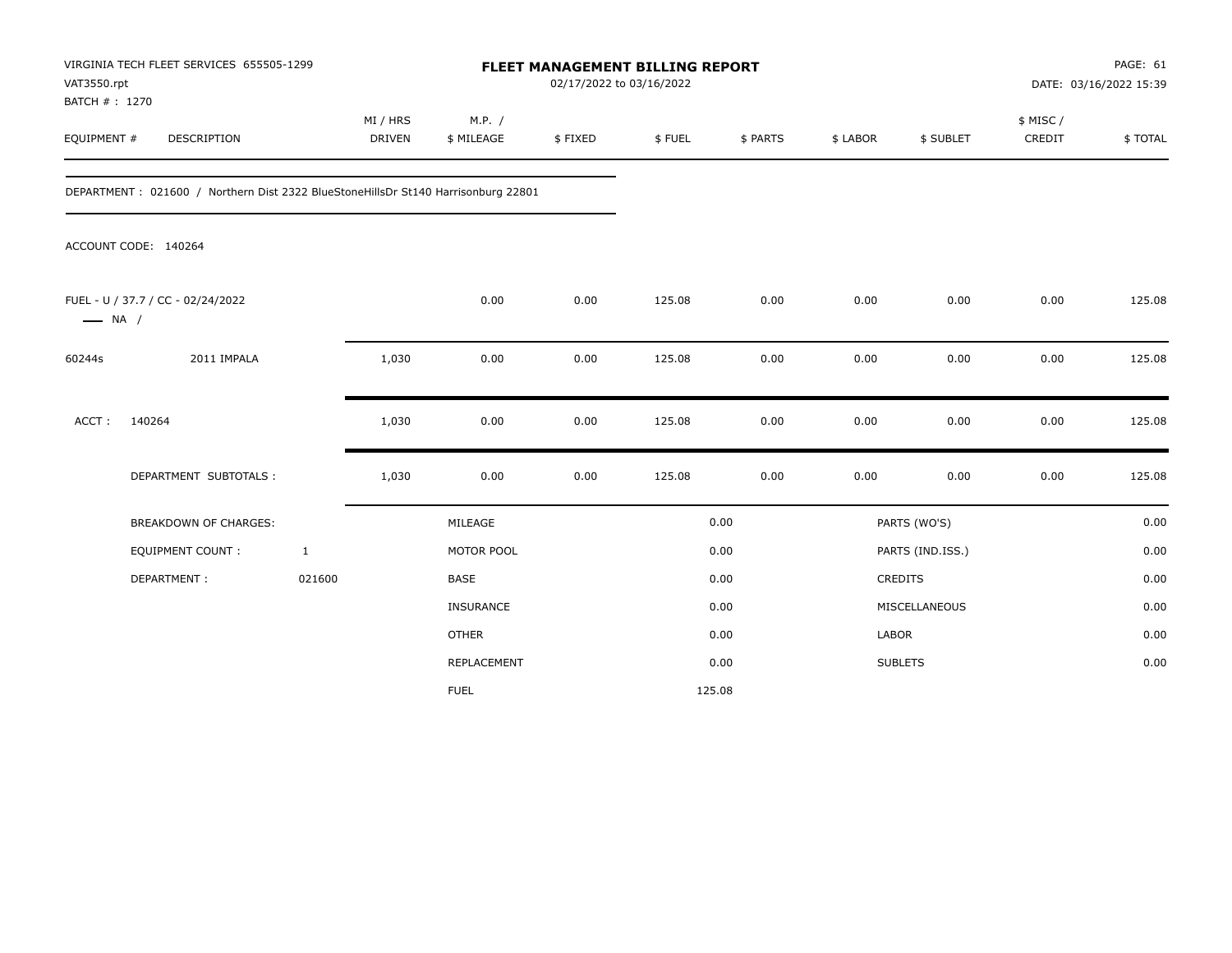| VAT3550.rpt<br>BATCH # : 1270 | VIRGINIA TECH FLEET SERVICES 655505-1299                                          |                           |                      | FLEET MANAGEMENT BILLING REPORT<br>02/17/2022 to 03/16/2022 |        |          |          |                  |                     | PAGE: 61<br>DATE: 03/16/2022 15:39 |
|-------------------------------|-----------------------------------------------------------------------------------|---------------------------|----------------------|-------------------------------------------------------------|--------|----------|----------|------------------|---------------------|------------------------------------|
| EQUIPMENT #                   | DESCRIPTION                                                                       | MI / HRS<br><b>DRIVEN</b> | M.P. /<br>\$ MILEAGE | \$FIXED                                                     | \$FUEL | \$ PARTS | \$ LABOR | \$ SUBLET        | \$ MISC /<br>CREDIT | \$TOTAL                            |
|                               | DEPARTMENT: 021600 / Northern Dist 2322 BlueStoneHillsDr St140 Harrisonburg 22801 |                           |                      |                                                             |        |          |          |                  |                     |                                    |
|                               | ACCOUNT CODE: 140264                                                              |                           |                      |                                                             |        |          |          |                  |                     |                                    |
| $\longrightarrow$ NA /        | FUEL - U / 37.7 / CC - 02/24/2022                                                 |                           | 0.00                 | 0.00                                                        | 125.08 | 0.00     | 0.00     | 0.00             | 0.00                | 125.08                             |
| 60244s                        | 2011 IMPALA                                                                       | 1,030                     | 0.00                 | 0.00                                                        | 125.08 | 0.00     | 0.00     | 0.00             | 0.00                | 125.08                             |
| ACCT:                         | 140264                                                                            | 1,030                     | 0.00                 | 0.00                                                        | 125.08 | 0.00     | 0.00     | 0.00             | 0.00                | 125.08                             |
|                               | DEPARTMENT SUBTOTALS :                                                            | 1,030                     | 0.00                 | 0.00                                                        | 125.08 | 0.00     | 0.00     | 0.00             | 0.00                | 125.08                             |
|                               | <b>BREAKDOWN OF CHARGES:</b>                                                      |                           | MILEAGE              |                                                             |        | 0.00     |          | PARTS (WO'S)     |                     | 0.00                               |
|                               | <b>EQUIPMENT COUNT:</b>                                                           | $\mathbf{1}$              | MOTOR POOL           |                                                             |        | 0.00     |          | PARTS (IND.ISS.) |                     | 0.00                               |
|                               | DEPARTMENT:                                                                       | 021600                    | <b>BASE</b>          |                                                             |        | 0.00     |          | <b>CREDITS</b>   |                     | 0.00                               |
|                               |                                                                                   |                           | <b>INSURANCE</b>     |                                                             |        | 0.00     |          | MISCELLANEOUS    |                     | 0.00                               |
|                               |                                                                                   |                           | <b>OTHER</b>         |                                                             |        | 0.00     | LABOR    |                  |                     | 0.00                               |
|                               |                                                                                   |                           | <b>REPLACEMENT</b>   |                                                             |        | 0.00     |          | <b>SUBLETS</b>   |                     | 0.00                               |
|                               |                                                                                   |                           | <b>FUEL</b>          |                                                             |        | 125.08   |          |                  |                     |                                    |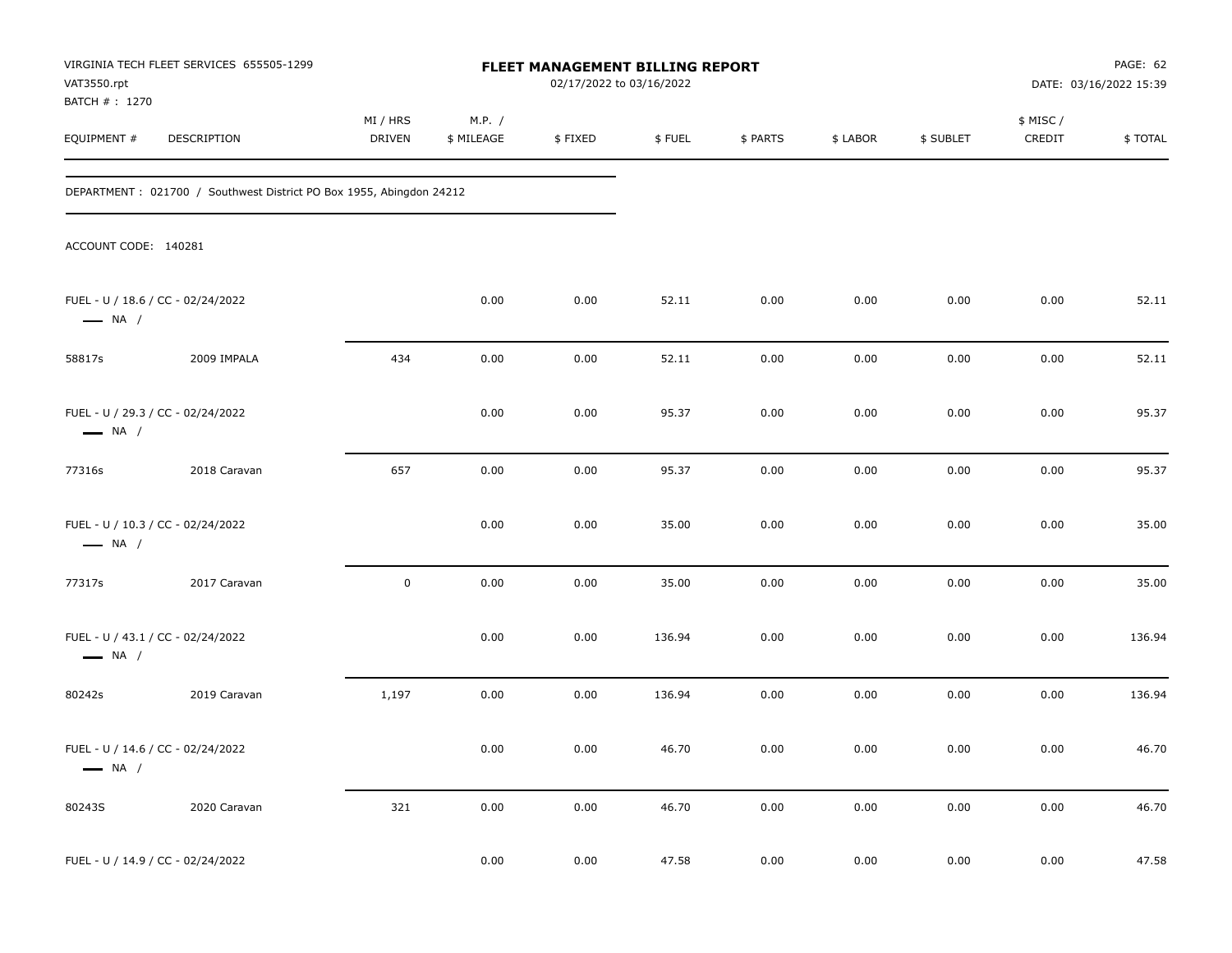| VAT3550.rpt                   | VIRGINIA TECH FLEET SERVICES 655505-1299                            |                           |                      | FLEET MANAGEMENT BILLING REPORT<br>02/17/2022 to 03/16/2022 |        |          |          |           |                     | PAGE: 62<br>DATE: 03/16/2022 15:39 |
|-------------------------------|---------------------------------------------------------------------|---------------------------|----------------------|-------------------------------------------------------------|--------|----------|----------|-----------|---------------------|------------------------------------|
| BATCH # : 1270<br>EQUIPMENT # | DESCRIPTION                                                         | MI / HRS<br><b>DRIVEN</b> | M.P. /<br>\$ MILEAGE | \$FIXED                                                     | \$FUEL | \$ PARTS | \$ LABOR | \$ SUBLET | \$ MISC /<br>CREDIT | \$TOTAL                            |
|                               | DEPARTMENT: 021700 / Southwest District PO Box 1955, Abingdon 24212 |                           |                      |                                                             |        |          |          |           |                     |                                    |
| ACCOUNT CODE: 140281          |                                                                     |                           |                      |                                                             |        |          |          |           |                     |                                    |
| $\longrightarrow$ NA /        | FUEL - U / 18.6 / CC - 02/24/2022                                   |                           | 0.00                 | 0.00                                                        | 52.11  | 0.00     | 0.00     | 0.00      | 0.00                | 52.11                              |
| 58817s                        | 2009 IMPALA                                                         | 434                       | 0.00                 | 0.00                                                        | 52.11  | 0.00     | 0.00     | 0.00      | 0.00                | 52.11                              |
| $\longrightarrow$ NA /        | FUEL - U / 29.3 / CC - 02/24/2022                                   |                           | 0.00                 | 0.00                                                        | 95.37  | 0.00     | 0.00     | 0.00      | 0.00                | 95.37                              |
| 77316s                        | 2018 Caravan                                                        | 657                       | 0.00                 | 0.00                                                        | 95.37  | 0.00     | 0.00     | 0.00      | 0.00                | 95.37                              |
| $\longrightarrow$ NA /        | FUEL - U / 10.3 / CC - 02/24/2022                                   |                           | 0.00                 | 0.00                                                        | 35.00  | 0.00     | 0.00     | 0.00      | 0.00                | 35.00                              |
| 77317s                        | 2017 Caravan                                                        | $\mathbf 0$               | 0.00                 | 0.00                                                        | 35.00  | 0.00     | 0.00     | 0.00      | 0.00                | 35.00                              |
| $\longrightarrow$ NA /        | FUEL - U / 43.1 / CC - 02/24/2022                                   |                           | 0.00                 | 0.00                                                        | 136.94 | 0.00     | 0.00     | 0.00      | 0.00                | 136.94                             |
| 80242s                        | 2019 Caravan                                                        | 1,197                     | 0.00                 | 0.00                                                        | 136.94 | 0.00     | 0.00     | 0.00      | 0.00                | 136.94                             |
| $\longrightarrow$ NA /        | FUEL - U / 14.6 / CC - 02/24/2022                                   |                           | 0.00                 | 0.00                                                        | 46.70  | 0.00     | 0.00     | 0.00      | 0.00                | 46.70                              |
| 80243S                        | 2020 Caravan                                                        | 321                       | $0.00\,$             | 0.00                                                        | 46.70  | 0.00     | $0.00\,$ | 0.00      | $0.00\,$            | 46.70                              |
|                               | FUEL - U / 14.9 / CC - 02/24/2022                                   |                           | 0.00                 | 0.00                                                        | 47.58  | 0.00     | 0.00     | 0.00      | 0.00                | 47.58                              |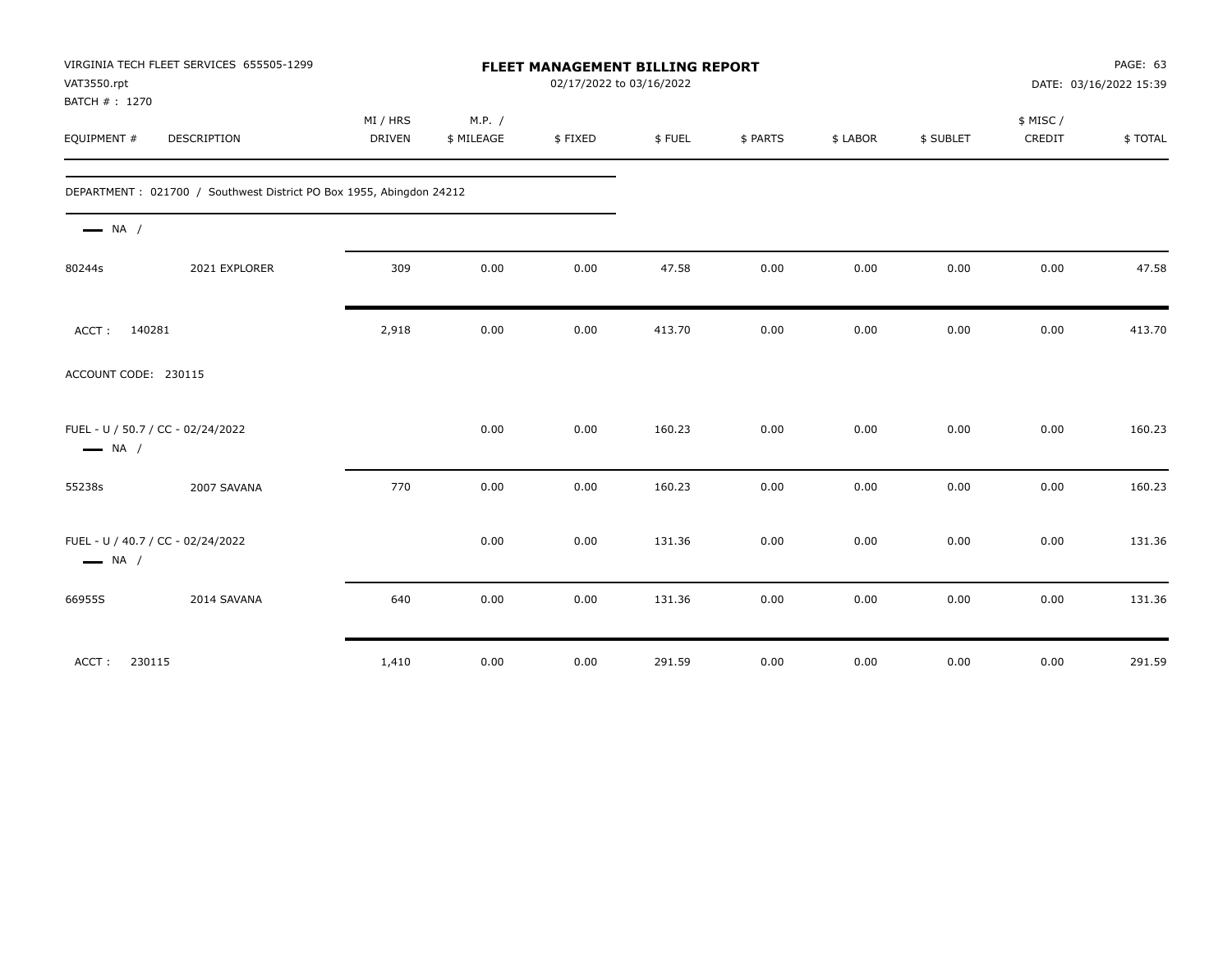| VAT3550.rpt<br>BATCH #: 1270                                | VIRGINIA TECH FLEET SERVICES 655505-1299                            |                           |                      | FLEET MANAGEMENT BILLING REPORT<br>02/17/2022 to 03/16/2022 |        |          |          |           |                    | PAGE: 63<br>DATE: 03/16/2022 15:39 |
|-------------------------------------------------------------|---------------------------------------------------------------------|---------------------------|----------------------|-------------------------------------------------------------|--------|----------|----------|-----------|--------------------|------------------------------------|
| EQUIPMENT #                                                 | DESCRIPTION                                                         | MI / HRS<br><b>DRIVEN</b> | M.P. /<br>\$ MILEAGE | \$FIXED                                                     | \$FUEL | \$ PARTS | \$ LABOR | \$ SUBLET | \$ MISC/<br>CREDIT | \$TOTAL                            |
|                                                             | DEPARTMENT: 021700 / Southwest District PO Box 1955, Abingdon 24212 |                           |                      |                                                             |        |          |          |           |                    |                                    |
| $\longrightarrow$ NA /                                      |                                                                     |                           |                      |                                                             |        |          |          |           |                    |                                    |
| 80244s                                                      | 2021 EXPLORER                                                       | 309                       | 0.00                 | 0.00                                                        | 47.58  | 0.00     | 0.00     | 0.00      | 0.00               | 47.58                              |
| 140281<br>ACCT:                                             |                                                                     | 2,918                     | 0.00                 | 0.00                                                        | 413.70 | 0.00     | 0.00     | 0.00      | 0.00               | 413.70                             |
| ACCOUNT CODE: 230115                                        |                                                                     |                           |                      |                                                             |        |          |          |           |                    |                                    |
| FUEL - U / 50.7 / CC - 02/24/2022<br>$\longrightarrow$ NA / |                                                                     |                           | 0.00                 | 0.00                                                        | 160.23 | 0.00     | 0.00     | 0.00      | 0.00               | 160.23                             |
| 55238s                                                      | 2007 SAVANA                                                         | 770                       | 0.00                 | 0.00                                                        | 160.23 | 0.00     | 0.00     | 0.00      | 0.00               | 160.23                             |
| FUEL - U / 40.7 / CC - 02/24/2022<br>$\longrightarrow$ NA / |                                                                     |                           | 0.00                 | 0.00                                                        | 131.36 | 0.00     | 0.00     | 0.00      | 0.00               | 131.36                             |
| 66955S                                                      | 2014 SAVANA                                                         | 640                       | 0.00                 | 0.00                                                        | 131.36 | 0.00     | 0.00     | 0.00      | 0.00               | 131.36                             |
| 230115<br>ACCT:                                             |                                                                     | 1,410                     | 0.00                 | 0.00                                                        | 291.59 | 0.00     | 0.00     | 0.00      | 0.00               | 291.59                             |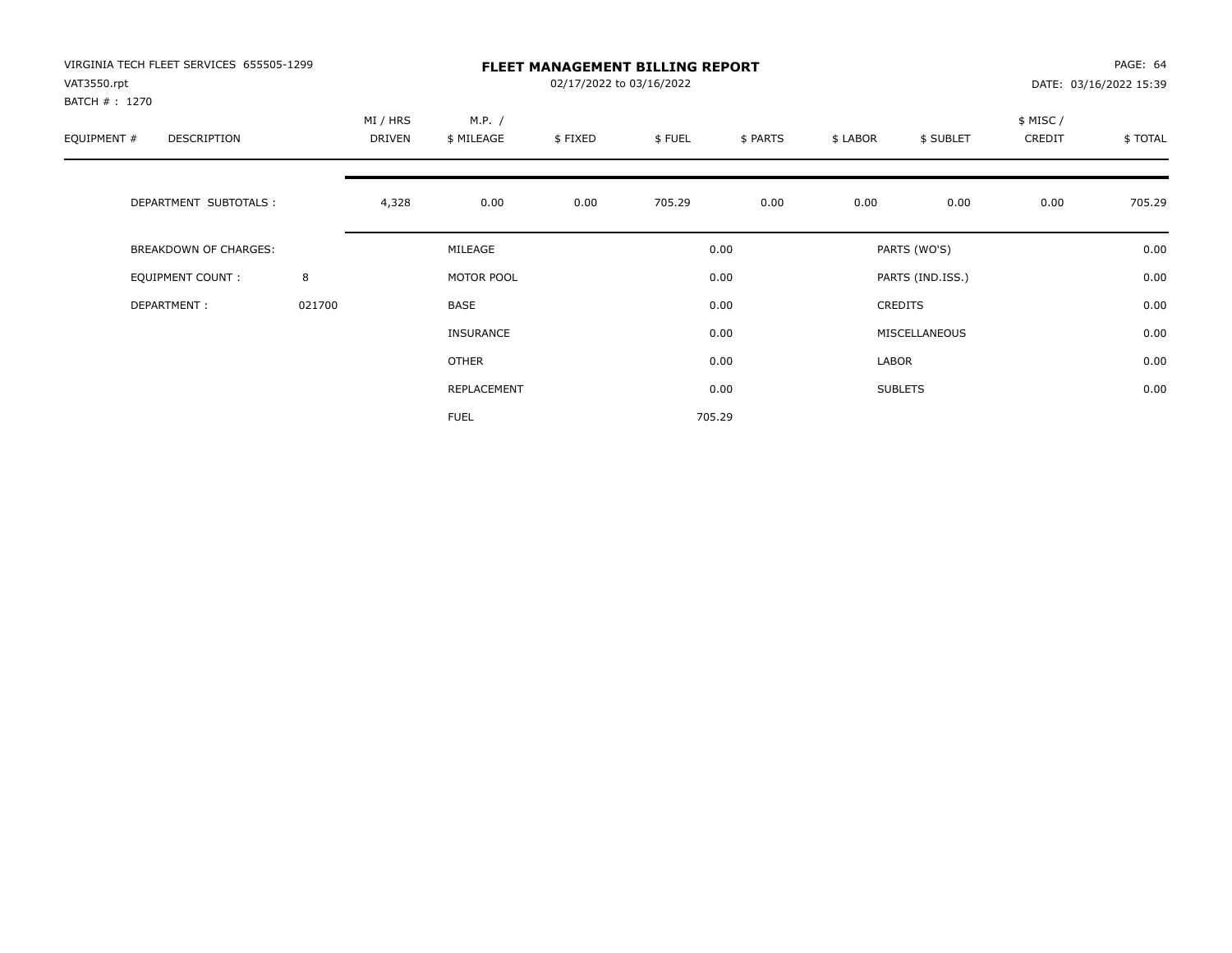| VIRGINIA TECH FLEET SERVICES 655505-1299<br>VAT3550.rpt<br>BATCH #: 1270 |        | <b>FLEET MANAGEMENT BILLING REPORT</b><br>02/17/2022 to 03/16/2022<br>DATE: 03/16/2022 15:39 |                      |         |        |          |          |                  |                     |         |
|--------------------------------------------------------------------------|--------|----------------------------------------------------------------------------------------------|----------------------|---------|--------|----------|----------|------------------|---------------------|---------|
| EQUIPMENT #<br><b>DESCRIPTION</b>                                        |        | MI / HRS<br>DRIVEN                                                                           | M.P. /<br>\$ MILEAGE | \$FIXED | \$FUEL | \$ PARTS | \$ LABOR | \$ SUBLET        | \$ MISC /<br>CREDIT | \$TOTAL |
| DEPARTMENT SUBTOTALS :                                                   |        | 4,328                                                                                        | 0.00                 | 0.00    | 705.29 | 0.00     | 0.00     | 0.00             | 0.00                | 705.29  |
| <b>BREAKDOWN OF CHARGES:</b>                                             |        |                                                                                              | MILEAGE              |         |        | 0.00     |          | PARTS (WO'S)     |                     | 0.00    |
| EQUIPMENT COUNT:                                                         | 8      |                                                                                              | MOTOR POOL           |         |        | 0.00     |          | PARTS (IND.ISS.) |                     | 0.00    |
| DEPARTMENT:                                                              | 021700 |                                                                                              | <b>BASE</b>          |         |        | 0.00     |          | <b>CREDITS</b>   |                     | 0.00    |
|                                                                          |        |                                                                                              | INSURANCE            |         |        | 0.00     |          | MISCELLANEOUS    |                     | 0.00    |
|                                                                          |        |                                                                                              | OTHER                |         |        | 0.00     | LABOR    |                  |                     | 0.00    |
|                                                                          |        |                                                                                              | REPLACEMENT          |         |        | 0.00     |          | <b>SUBLETS</b>   |                     | 0.00    |
|                                                                          |        |                                                                                              | <b>FUEL</b>          |         |        | 705.29   |          |                  |                     |         |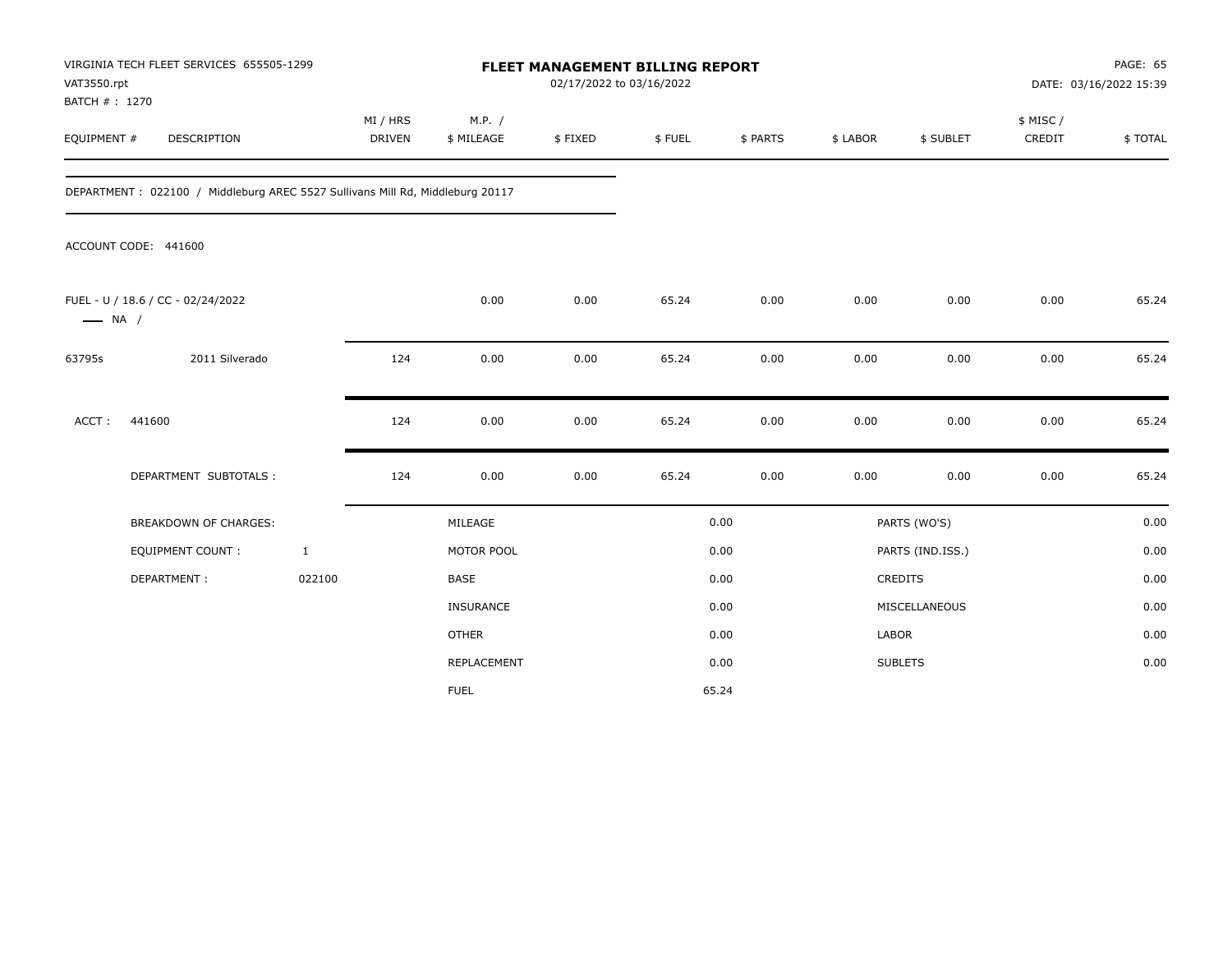| VAT3550.rpt<br>BATCH #: 1270 | VIRGINIA TECH FLEET SERVICES 655505-1299                                      |                           |                      | FLEET MANAGEMENT BILLING REPORT<br>02/17/2022 to 03/16/2022 |        |          |          |                  |                     | PAGE: 65<br>DATE: 03/16/2022 15:39 |
|------------------------------|-------------------------------------------------------------------------------|---------------------------|----------------------|-------------------------------------------------------------|--------|----------|----------|------------------|---------------------|------------------------------------|
| EQUIPMENT #                  | DESCRIPTION                                                                   | MI / HRS<br><b>DRIVEN</b> | M.P. /<br>\$ MILEAGE | \$FIXED                                                     | \$FUEL | \$ PARTS | \$ LABOR | \$ SUBLET        | \$ MISC /<br>CREDIT | \$TOTAL                            |
|                              | DEPARTMENT: 022100 / Middleburg AREC 5527 Sullivans Mill Rd, Middleburg 20117 |                           |                      |                                                             |        |          |          |                  |                     |                                    |
|                              | ACCOUNT CODE: 441600                                                          |                           |                      |                                                             |        |          |          |                  |                     |                                    |
| $\longrightarrow$ NA /       | FUEL - U / 18.6 / CC - 02/24/2022                                             |                           | 0.00                 | 0.00                                                        | 65.24  | 0.00     | 0.00     | 0.00             | 0.00                | 65.24                              |
| 63795s                       | 2011 Silverado                                                                | 124                       | 0.00                 | 0.00                                                        | 65.24  | 0.00     | 0.00     | 0.00             | 0.00                | 65.24                              |
| ACCT:                        | 441600                                                                        | 124                       | 0.00                 | 0.00                                                        | 65.24  | 0.00     | 0.00     | 0.00             | 0.00                | 65.24                              |
|                              | DEPARTMENT SUBTOTALS :                                                        | 124                       | 0.00                 | 0.00                                                        | 65.24  | 0.00     | 0.00     | 0.00             | 0.00                | 65.24                              |
|                              | <b>BREAKDOWN OF CHARGES:</b>                                                  |                           | MILEAGE              |                                                             |        | 0.00     |          | PARTS (WO'S)     |                     | 0.00                               |
|                              | <b>EQUIPMENT COUNT:</b>                                                       | $\mathbf{1}$              | MOTOR POOL           |                                                             |        | 0.00     |          | PARTS (IND.ISS.) |                     | 0.00                               |
|                              | DEPARTMENT:                                                                   | 022100                    | <b>BASE</b>          |                                                             |        | 0.00     |          | <b>CREDITS</b>   |                     | 0.00                               |
|                              |                                                                               |                           | INSURANCE            |                                                             |        | 0.00     |          | MISCELLANEOUS    |                     | 0.00                               |
|                              |                                                                               |                           | <b>OTHER</b>         |                                                             |        | 0.00     | LABOR    |                  |                     | 0.00                               |
|                              |                                                                               |                           | REPLACEMENT          |                                                             |        | 0.00     |          | <b>SUBLETS</b>   |                     | 0.00                               |
|                              |                                                                               |                           | <b>FUEL</b>          |                                                             |        | 65.24    |          |                  |                     |                                    |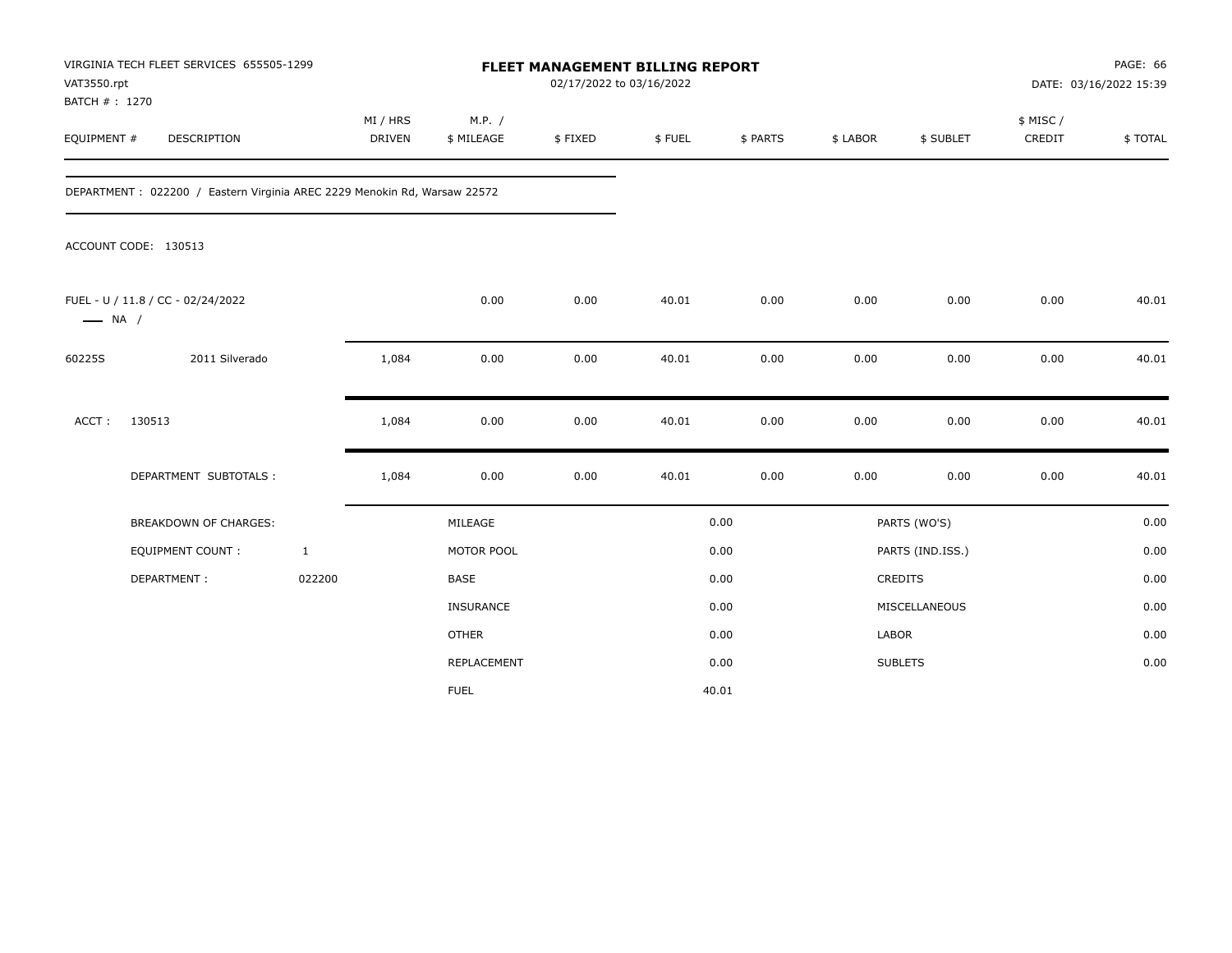| VAT3550.rpt<br>BATCH #: 1270 | VIRGINIA TECH FLEET SERVICES 655505-1299                                 |                           |                      | FLEET MANAGEMENT BILLING REPORT<br>02/17/2022 to 03/16/2022 |        |          |              |                  |                     | PAGE: 66<br>DATE: 03/16/2022 15:39 |
|------------------------------|--------------------------------------------------------------------------|---------------------------|----------------------|-------------------------------------------------------------|--------|----------|--------------|------------------|---------------------|------------------------------------|
| EQUIPMENT #                  | DESCRIPTION                                                              | MI / HRS<br><b>DRIVEN</b> | M.P. /<br>\$ MILEAGE | \$FIXED                                                     | \$FUEL | \$ PARTS | \$ LABOR     | \$ SUBLET        | \$ MISC /<br>CREDIT | \$TOTAL                            |
|                              | DEPARTMENT: 022200 / Eastern Virginia AREC 2229 Menokin Rd, Warsaw 22572 |                           |                      |                                                             |        |          |              |                  |                     |                                    |
|                              | ACCOUNT CODE: 130513                                                     |                           |                      |                                                             |        |          |              |                  |                     |                                    |
| $\longrightarrow$ NA /       | FUEL - U / 11.8 / CC - 02/24/2022                                        |                           | 0.00                 | 0.00                                                        | 40.01  | 0.00     | 0.00         | 0.00             | 0.00                | 40.01                              |
| 60225S                       | 2011 Silverado                                                           | 1,084                     | 0.00                 | 0.00                                                        | 40.01  | 0.00     | 0.00         | 0.00             | 0.00                | 40.01                              |
| ACCT:                        | 130513                                                                   | 1,084                     | 0.00                 | 0.00                                                        | 40.01  | 0.00     | 0.00         | 0.00             | 0.00                | 40.01                              |
|                              | DEPARTMENT SUBTOTALS :                                                   | 1,084                     | 0.00                 | 0.00                                                        | 40.01  | 0.00     | 0.00         | 0.00             | 0.00                | 40.01                              |
|                              | BREAKDOWN OF CHARGES:                                                    |                           | MILEAGE              |                                                             |        | 0.00     |              | PARTS (WO'S)     |                     | 0.00                               |
|                              | <b>EQUIPMENT COUNT:</b>                                                  | $\mathbf{1}$              | MOTOR POOL           |                                                             |        | 0.00     |              | PARTS (IND.ISS.) |                     | 0.00                               |
|                              | DEPARTMENT:                                                              | 022200                    | <b>BASE</b>          |                                                             |        | 0.00     |              | <b>CREDITS</b>   |                     | 0.00                               |
|                              |                                                                          |                           | INSURANCE            |                                                             |        | 0.00     |              | MISCELLANEOUS    |                     | 0.00                               |
|                              |                                                                          |                           | <b>OTHER</b>         |                                                             |        | 0.00     | <b>LABOR</b> |                  |                     | 0.00                               |
|                              |                                                                          |                           | REPLACEMENT          |                                                             |        | 0.00     |              | <b>SUBLETS</b>   |                     | 0.00                               |
|                              |                                                                          |                           | <b>FUEL</b>          |                                                             |        | 40.01    |              |                  |                     |                                    |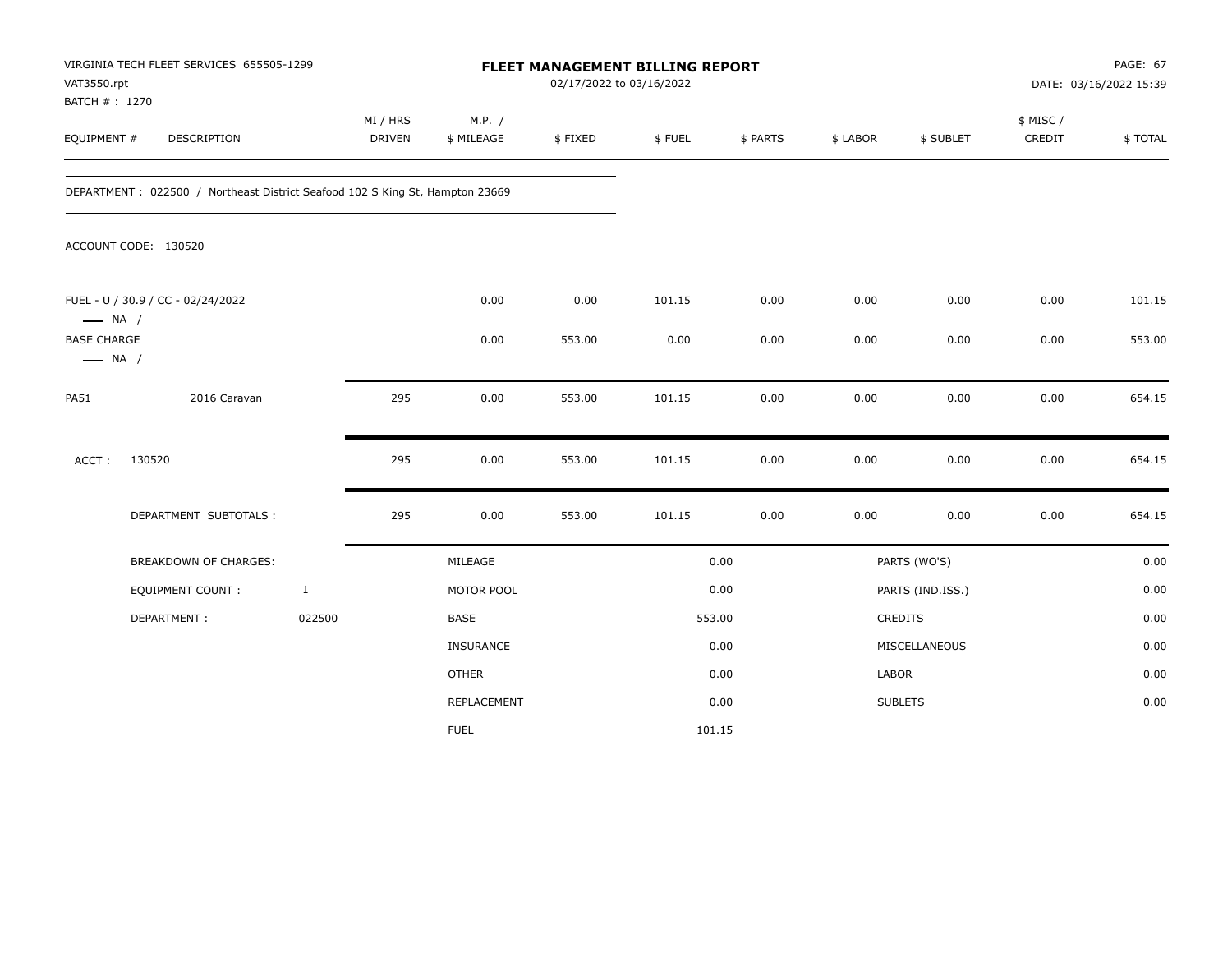| VAT3550.rpt<br>BATCH #: 1270                 | VIRGINIA TECH FLEET SERVICES 655505-1299                                     |              |                           |                      | 02/17/2022 to 03/16/2022 | FLEET MANAGEMENT BILLING REPORT |          |          |                  |                    | PAGE: 67<br>DATE: 03/16/2022 15:39 |
|----------------------------------------------|------------------------------------------------------------------------------|--------------|---------------------------|----------------------|--------------------------|---------------------------------|----------|----------|------------------|--------------------|------------------------------------|
| EQUIPMENT #                                  | DESCRIPTION                                                                  |              | MI / HRS<br><b>DRIVEN</b> | M.P. /<br>\$ MILEAGE | \$FIXED                  | \$FUEL                          | \$ PARTS | \$ LABOR | \$ SUBLET        | \$ MISC/<br>CREDIT | \$TOTAL                            |
|                                              | DEPARTMENT: 022500 / Northeast District Seafood 102 S King St, Hampton 23669 |              |                           |                      |                          |                                 |          |          |                  |                    |                                    |
|                                              | ACCOUNT CODE: 130520                                                         |              |                           |                      |                          |                                 |          |          |                  |                    |                                    |
| $\longrightarrow$ NA /                       | FUEL - U / 30.9 / CC - 02/24/2022                                            |              |                           | 0.00                 | 0.00                     | 101.15                          | 0.00     | 0.00     | 0.00             | 0.00               | 101.15                             |
| <b>BASE CHARGE</b><br>$\longrightarrow$ NA / |                                                                              |              |                           | 0.00                 | 553.00                   | 0.00                            | 0.00     | 0.00     | 0.00             | 0.00               | 553.00                             |
| <b>PA51</b>                                  | 2016 Caravan                                                                 |              | 295                       | 0.00                 | 553.00                   | 101.15                          | 0.00     | 0.00     | 0.00             | 0.00               | 654.15                             |
| ACCT:                                        | 130520                                                                       |              | 295                       | 0.00                 | 553.00                   | 101.15                          | 0.00     | 0.00     | 0.00             | 0.00               | 654.15                             |
|                                              | DEPARTMENT SUBTOTALS :                                                       |              | 295                       | 0.00                 | 553.00                   | 101.15                          | 0.00     | 0.00     | 0.00             | 0.00               | 654.15                             |
|                                              | <b>BREAKDOWN OF CHARGES:</b>                                                 |              |                           | MILEAGE              |                          |                                 | 0.00     |          | PARTS (WO'S)     |                    | 0.00                               |
|                                              | <b>EQUIPMENT COUNT:</b>                                                      | $\mathbf{1}$ |                           | MOTOR POOL           |                          |                                 | 0.00     |          | PARTS (IND.ISS.) |                    | 0.00                               |
|                                              | DEPARTMENT:                                                                  | 022500       |                           | BASE                 |                          |                                 | 553.00   |          | <b>CREDITS</b>   |                    | 0.00                               |
|                                              |                                                                              |              |                           | INSURANCE            |                          |                                 | 0.00     |          | MISCELLANEOUS    |                    | 0.00                               |
|                                              |                                                                              |              |                           | <b>OTHER</b>         |                          |                                 | 0.00     | LABOR    |                  |                    | 0.00                               |
|                                              |                                                                              |              |                           | REPLACEMENT          |                          |                                 | 0.00     |          | <b>SUBLETS</b>   |                    | 0.00                               |
|                                              |                                                                              |              |                           | <b>FUEL</b>          |                          | 101.15                          |          |          |                  |                    |                                    |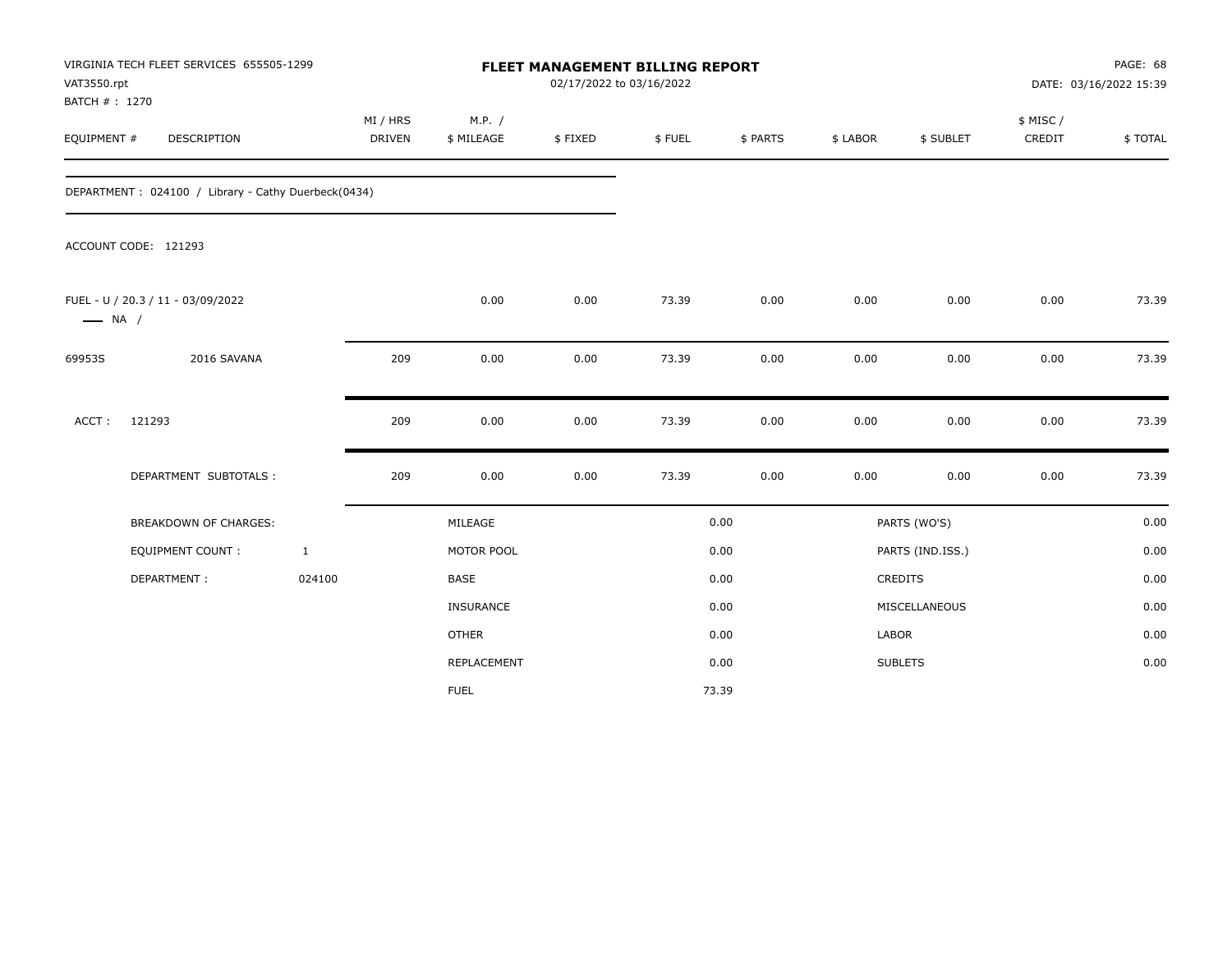| VAT3550.rpt<br>BATCH # : 1270 | VIRGINIA TECH FLEET SERVICES 655505-1299            |              |                    | FLEET MANAGEMENT BILLING REPORT<br>02/17/2022 to 03/16/2022 |         |        |          |          |                  |                    | PAGE: 68<br>DATE: 03/16/2022 15:39 |  |
|-------------------------------|-----------------------------------------------------|--------------|--------------------|-------------------------------------------------------------|---------|--------|----------|----------|------------------|--------------------|------------------------------------|--|
| EQUIPMENT #                   | <b>DESCRIPTION</b>                                  |              | MI / HRS<br>DRIVEN | M.P. /<br>\$ MILEAGE                                        | \$FIXED | \$FUEL | \$ PARTS | \$ LABOR | \$ SUBLET        | \$ MISC/<br>CREDIT | \$TOTAL                            |  |
|                               | DEPARTMENT: 024100 / Library - Cathy Duerbeck(0434) |              |                    |                                                             |         |        |          |          |                  |                    |                                    |  |
|                               | ACCOUNT CODE: 121293                                |              |                    |                                                             |         |        |          |          |                  |                    |                                    |  |
| $\longrightarrow$ NA /        | FUEL - U / 20.3 / 11 - 03/09/2022                   |              |                    | 0.00                                                        | 0.00    | 73.39  | 0.00     | 0.00     | 0.00             | 0.00               | 73.39                              |  |
| 69953S                        | 2016 SAVANA                                         |              | 209                | 0.00                                                        | 0.00    | 73.39  | 0.00     | 0.00     | 0.00             | 0.00               | 73.39                              |  |
| ACCT:                         | 121293                                              |              | 209                | 0.00                                                        | 0.00    | 73.39  | 0.00     | 0.00     | 0.00             | 0.00               | 73.39                              |  |
|                               | DEPARTMENT SUBTOTALS :                              |              | 209                | 0.00                                                        | 0.00    | 73.39  | 0.00     | 0.00     | 0.00             | 0.00               | 73.39                              |  |
|                               | BREAKDOWN OF CHARGES:                               |              |                    | MILEAGE                                                     |         |        | 0.00     |          | PARTS (WO'S)     |                    | 0.00                               |  |
|                               | <b>EQUIPMENT COUNT:</b>                             | $\mathbf{1}$ |                    | MOTOR POOL                                                  |         |        | 0.00     |          | PARTS (IND.ISS.) |                    | 0.00                               |  |
|                               | DEPARTMENT:                                         | 024100       |                    | <b>BASE</b>                                                 |         |        | 0.00     |          | <b>CREDITS</b>   |                    | 0.00                               |  |
|                               |                                                     |              |                    | INSURANCE                                                   |         |        | 0.00     |          | MISCELLANEOUS    |                    | 0.00                               |  |
|                               |                                                     |              |                    | <b>OTHER</b>                                                |         |        | 0.00     | LABOR    |                  |                    | 0.00                               |  |
|                               |                                                     |              |                    | REPLACEMENT                                                 |         |        | 0.00     |          | <b>SUBLETS</b>   |                    | 0.00                               |  |
|                               |                                                     |              |                    | <b>FUEL</b>                                                 |         |        | 73.39    |          |                  |                    |                                    |  |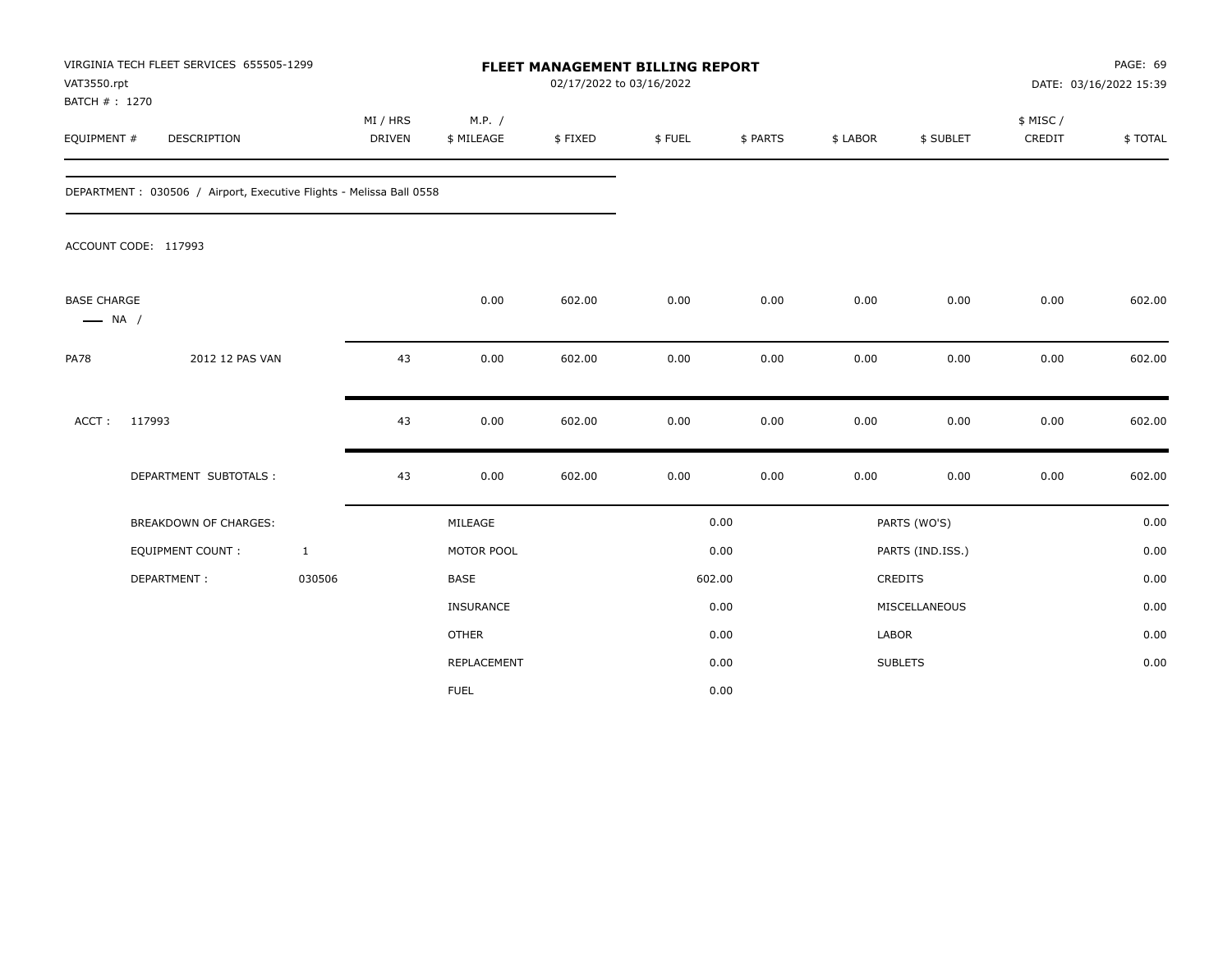| VAT3550.rpt<br>BATCH #: 1270                 | VIRGINIA TECH FLEET SERVICES 655505-1299                            |                           |                      | <b>FLEET MANAGEMENT BILLING REPORT</b><br>02/17/2022 to 03/16/2022 |        |          |              |                  | PAGE: 69<br>DATE: 03/16/2022 15:39 |         |
|----------------------------------------------|---------------------------------------------------------------------|---------------------------|----------------------|--------------------------------------------------------------------|--------|----------|--------------|------------------|------------------------------------|---------|
| EQUIPMENT #                                  | DESCRIPTION                                                         | MI / HRS<br><b>DRIVEN</b> | M.P. /<br>\$ MILEAGE | \$FIXED                                                            | \$FUEL | \$ PARTS | \$ LABOR     | \$ SUBLET        | \$ MISC /<br>CREDIT                | \$TOTAL |
|                                              | DEPARTMENT: 030506 / Airport, Executive Flights - Melissa Ball 0558 |                           |                      |                                                                    |        |          |              |                  |                                    |         |
|                                              | ACCOUNT CODE: 117993                                                |                           |                      |                                                                    |        |          |              |                  |                                    |         |
| <b>BASE CHARGE</b><br>$\longrightarrow$ NA / |                                                                     |                           | 0.00                 | 602.00                                                             | 0.00   | 0.00     | 0.00         | 0.00             | 0.00                               | 602.00  |
| <b>PA78</b>                                  | 2012 12 PAS VAN                                                     | 43                        | 0.00                 | 602.00                                                             | 0.00   | 0.00     | 0.00         | 0.00             | 0.00                               | 602.00  |
| ACCT:                                        | 117993                                                              | 43                        | 0.00                 | 602.00                                                             | 0.00   | 0.00     | 0.00         | 0.00             | 0.00                               | 602.00  |
|                                              | DEPARTMENT SUBTOTALS :                                              | 43                        | 0.00                 | 602.00                                                             | 0.00   | 0.00     | 0.00         | 0.00             | 0.00                               | 602.00  |
|                                              | BREAKDOWN OF CHARGES:                                               |                           | MILEAGE              |                                                                    |        | 0.00     |              | PARTS (WO'S)     |                                    | 0.00    |
|                                              | <b>EQUIPMENT COUNT:</b>                                             | $\mathbf{1}$              | MOTOR POOL           |                                                                    |        | 0.00     |              | PARTS (IND.ISS.) |                                    | 0.00    |
|                                              | DEPARTMENT:                                                         | 030506                    | <b>BASE</b>          |                                                                    | 602.00 |          |              | CREDITS          |                                    | 0.00    |
|                                              |                                                                     |                           | INSURANCE            |                                                                    |        | 0.00     |              | MISCELLANEOUS    |                                    | 0.00    |
|                                              |                                                                     |                           | <b>OTHER</b>         |                                                                    |        | 0.00     | <b>LABOR</b> |                  |                                    | 0.00    |
|                                              |                                                                     |                           | REPLACEMENT          |                                                                    |        | 0.00     |              | <b>SUBLETS</b>   |                                    | 0.00    |
|                                              |                                                                     |                           | <b>FUEL</b>          |                                                                    |        | 0.00     |              |                  |                                    |         |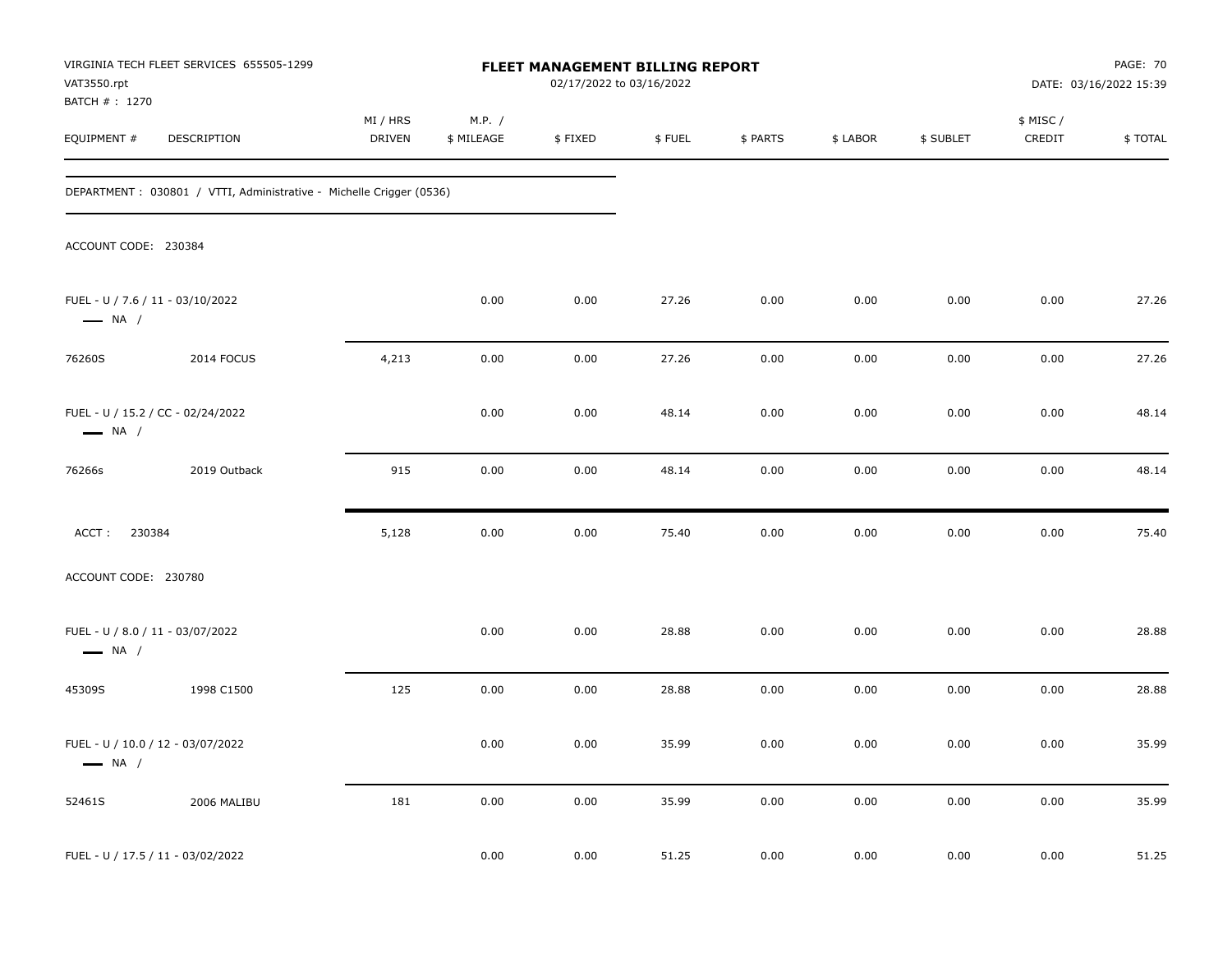| VAT3550.rpt                                                | VIRGINIA TECH FLEET SERVICES 655505-1299                             |                           |                      | FLEET MANAGEMENT BILLING REPORT<br>02/17/2022 to 03/16/2022 |        |          |          |           |                     | <b>PAGE: 70</b><br>DATE: 03/16/2022 15:39 |
|------------------------------------------------------------|----------------------------------------------------------------------|---------------------------|----------------------|-------------------------------------------------------------|--------|----------|----------|-----------|---------------------|-------------------------------------------|
| BATCH # : 1270<br>EQUIPMENT #                              | DESCRIPTION                                                          | MI / HRS<br><b>DRIVEN</b> | M.P. /<br>\$ MILEAGE | \$FIXED                                                     | \$FUEL | \$ PARTS | \$ LABOR | \$ SUBLET | \$ MISC /<br>CREDIT | \$TOTAL                                   |
|                                                            | DEPARTMENT : 030801 / VTTI, Administrative - Michelle Crigger (0536) |                           |                      |                                                             |        |          |          |           |                     |                                           |
| ACCOUNT CODE: 230384                                       |                                                                      |                           |                      |                                                             |        |          |          |           |                     |                                           |
| FUEL - U / 7.6 / 11 - 03/10/2022<br>$\longrightarrow$ NA / |                                                                      |                           | 0.00                 | 0.00                                                        | 27.26  | 0.00     | 0.00     | 0.00      | 0.00                | 27.26                                     |
| 76260S                                                     | 2014 FOCUS                                                           | 4,213                     | 0.00                 | 0.00                                                        | 27.26  | 0.00     | 0.00     | 0.00      | 0.00                | 27.26                                     |
| $\longrightarrow$ NA /                                     | FUEL - U / 15.2 / CC - 02/24/2022                                    |                           | 0.00                 | 0.00                                                        | 48.14  | 0.00     | 0.00     | 0.00      | 0.00                | 48.14                                     |
| 76266s                                                     | 2019 Outback                                                         | 915                       | 0.00                 | 0.00                                                        | 48.14  | 0.00     | 0.00     | 0.00      | 0.00                | 48.14                                     |
| ACCT: 230384                                               |                                                                      | 5,128                     | 0.00                 | 0.00                                                        | 75.40  | 0.00     | 0.00     | 0.00      | 0.00                | 75.40                                     |
| ACCOUNT CODE: 230780                                       |                                                                      |                           |                      |                                                             |        |          |          |           |                     |                                           |
| FUEL - U / 8.0 / 11 - 03/07/2022<br>$\longrightarrow$ NA / |                                                                      |                           | 0.00                 | 0.00                                                        | 28.88  | 0.00     | 0.00     | 0.00      | 0.00                | 28.88                                     |
| 45309S                                                     | 1998 C1500                                                           | 125                       | 0.00                 | 0.00                                                        | 28.88  | 0.00     | 0.00     | 0.00      | 0.00                | 28.88                                     |
| $\longrightarrow$ NA /                                     | FUEL - U / 10.0 / 12 - 03/07/2022                                    |                           | 0.00                 | 0.00                                                        | 35.99  | 0.00     | 0.00     | 0.00      | 0.00                | 35.99                                     |
| 52461S                                                     | 2006 MALIBU                                                          | 181                       | 0.00                 | 0.00                                                        | 35.99  | 0.00     | 0.00     | 0.00      | 0.00                | 35.99                                     |
|                                                            | FUEL - U / 17.5 / 11 - 03/02/2022                                    |                           | 0.00                 | 0.00                                                        | 51.25  | 0.00     | 0.00     | 0.00      | 0.00                | 51.25                                     |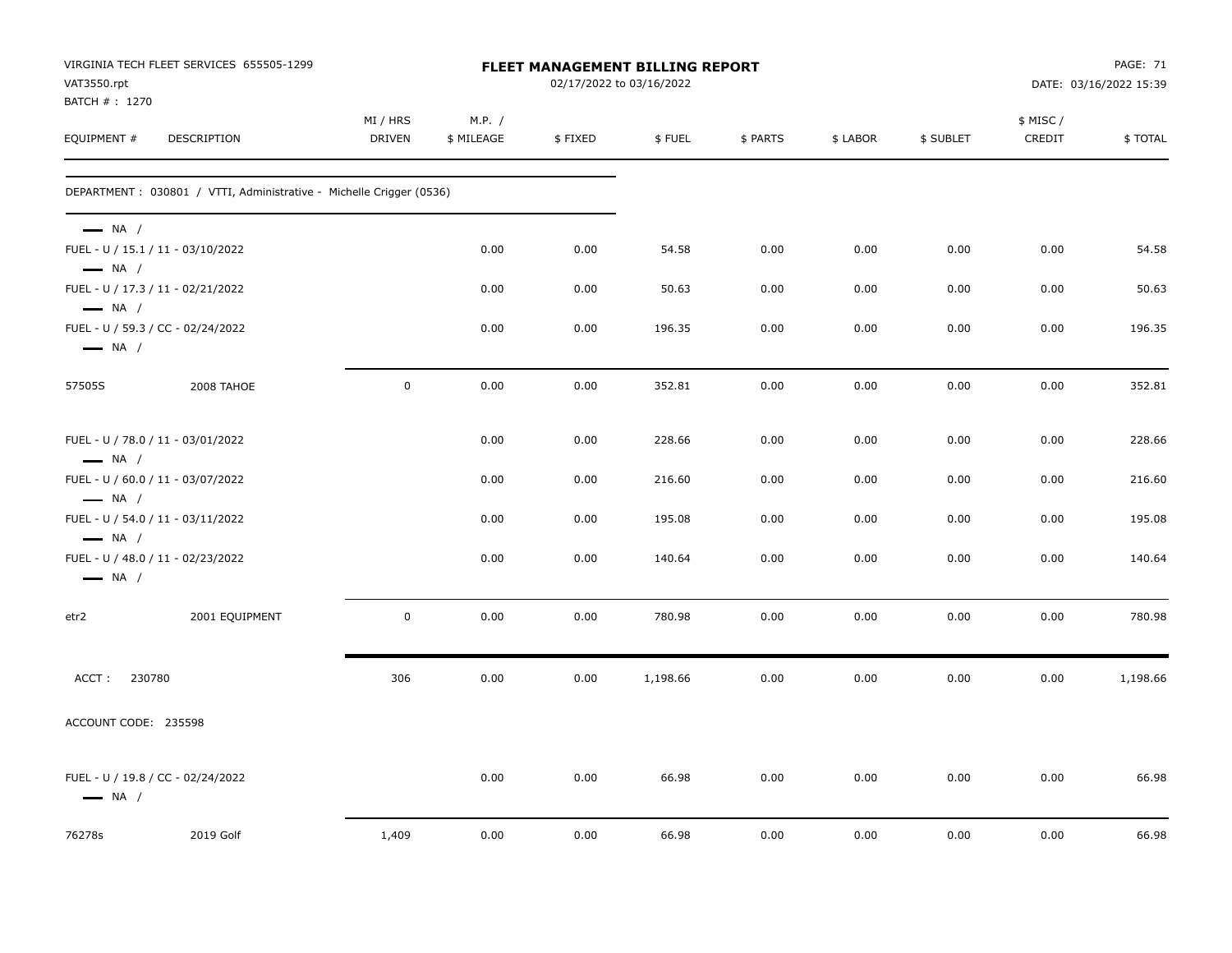| VAT3550.rpt                                      | VIRGINIA TECH FLEET SERVICES 655505-1299                             |                           |                      |         | <b>FLEET MANAGEMENT BILLING REPORT</b><br>02/17/2022 to 03/16/2022 |          |          |           |                     | PAGE: 71<br>DATE: 03/16/2022 15:39 |
|--------------------------------------------------|----------------------------------------------------------------------|---------------------------|----------------------|---------|--------------------------------------------------------------------|----------|----------|-----------|---------------------|------------------------------------|
| BATCH # : 1270<br>EQUIPMENT #                    | <b>DESCRIPTION</b>                                                   | MI / HRS<br><b>DRIVEN</b> | M.P. /<br>\$ MILEAGE | \$FIXED | \$FUEL                                                             | \$ PARTS | \$ LABOR | \$ SUBLET | \$ MISC /<br>CREDIT | \$ TOTAL                           |
|                                                  | DEPARTMENT : 030801 / VTTI, Administrative - Michelle Crigger (0536) |                           |                      |         |                                                                    |          |          |           |                     |                                    |
| $\longrightarrow$ NA /                           | FUEL - U / 15.1 / 11 - 03/10/2022                                    |                           | 0.00                 | 0.00    | 54.58                                                              | 0.00     | 0.00     | 0.00      | 0.00                | 54.58                              |
| $\longrightarrow$ NA /<br>$\longrightarrow$ NA / | FUEL - U / 17.3 / 11 - 02/21/2022                                    |                           | 0.00                 | 0.00    | 50.63                                                              | 0.00     | 0.00     | 0.00      | 0.00                | 50.63                              |
| $\longrightarrow$ NA /                           | FUEL - U / 59.3 / CC - 02/24/2022                                    |                           | 0.00                 | 0.00    | 196.35                                                             | 0.00     | 0.00     | 0.00      | 0.00                | 196.35                             |
| 57505S                                           | 2008 TAHOE                                                           | $\pmb{0}$                 | 0.00                 | 0.00    | 352.81                                                             | 0.00     | 0.00     | 0.00      | 0.00                | 352.81                             |
| $\longrightarrow$ NA /                           | FUEL - U / 78.0 / 11 - 03/01/2022                                    |                           | 0.00                 | 0.00    | 228.66                                                             | 0.00     | 0.00     | 0.00      | 0.00                | 228.66                             |
| $\longrightarrow$ NA /                           | FUEL - U / 60.0 / 11 - 03/07/2022                                    |                           | 0.00                 | 0.00    | 216.60                                                             | 0.00     | 0.00     | 0.00      | 0.00                | 216.60                             |
| $\longrightarrow$ NA /                           | FUEL - U / 54.0 / 11 - 03/11/2022                                    |                           | 0.00                 | 0.00    | 195.08                                                             | 0.00     | 0.00     | 0.00      | 0.00                | 195.08                             |
| $\longrightarrow$ NA /                           | FUEL - U / 48.0 / 11 - 02/23/2022                                    |                           | 0.00                 | 0.00    | 140.64                                                             | 0.00     | 0.00     | 0.00      | 0.00                | 140.64                             |
| etr2                                             | 2001 EQUIPMENT                                                       | $\mathbf 0$               | 0.00                 | 0.00    | 780.98                                                             | 0.00     | 0.00     | 0.00      | 0.00                | 780.98                             |
| ACCT: 230780                                     |                                                                      | 306                       | 0.00                 | 0.00    | 1,198.66                                                           | 0.00     | 0.00     | 0.00      | 0.00                | 1,198.66                           |
| ACCOUNT CODE: 235598                             |                                                                      |                           |                      |         |                                                                    |          |          |           |                     |                                    |
| $\longrightarrow$ NA /                           | FUEL - U / 19.8 / CC - 02/24/2022                                    |                           | 0.00                 | 0.00    | 66.98                                                              | 0.00     | 0.00     | 0.00      | 0.00                | 66.98                              |
| 76278s                                           | 2019 Golf                                                            | 1,409                     | 0.00                 | 0.00    | 66.98                                                              | 0.00     | 0.00     | 0.00      | 0.00                | 66.98                              |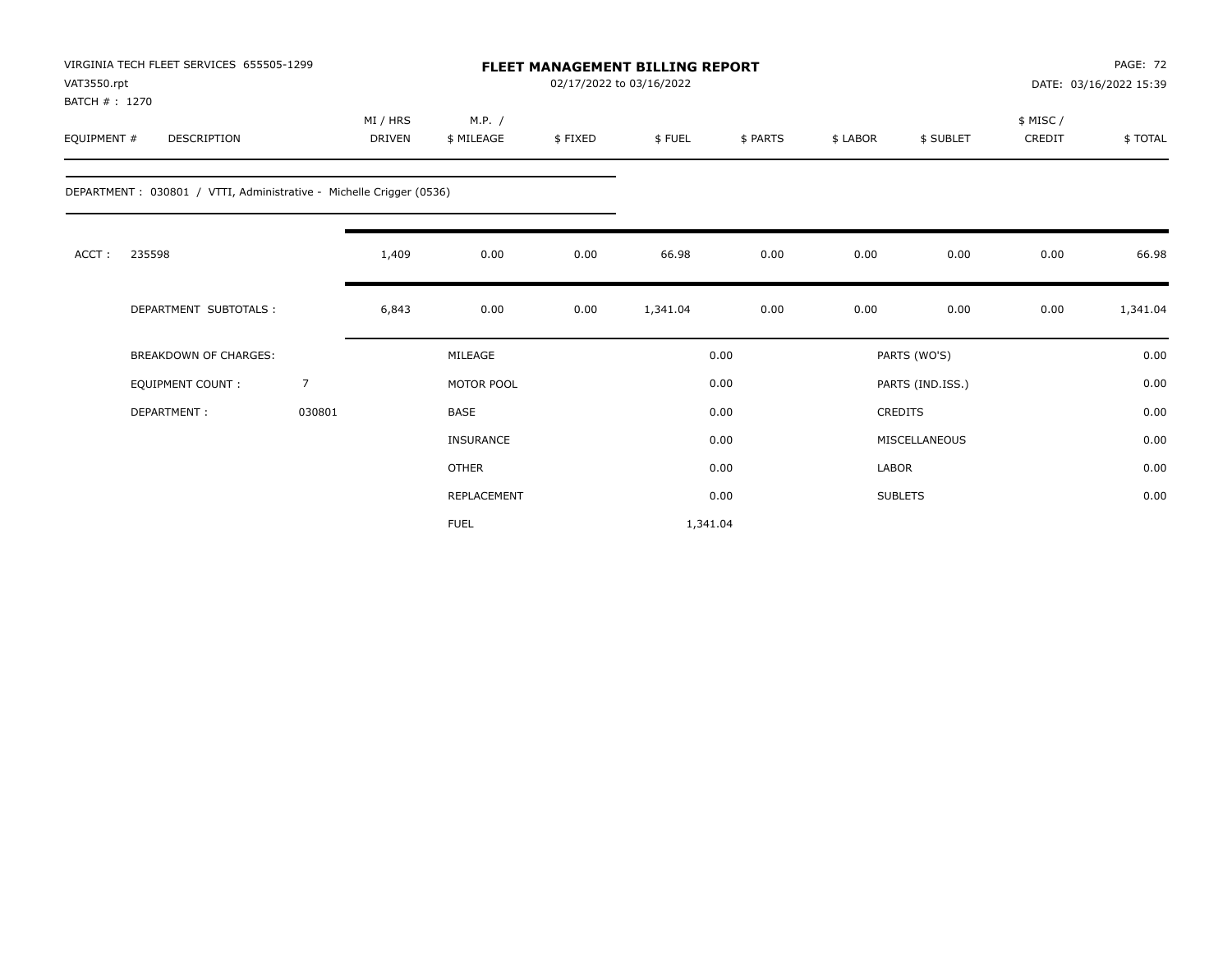| VAT3550.rpt<br>BATCH #: 1270 | VIRGINIA TECH FLEET SERVICES 655505-1299                            |        |                           |                      | <b>FLEET MANAGEMENT BILLING REPORT</b><br>02/17/2022 to 03/16/2022 |          |          |              |                  | PAGE: 72<br>DATE: 03/16/2022 15:39 |          |
|------------------------------|---------------------------------------------------------------------|--------|---------------------------|----------------------|--------------------------------------------------------------------|----------|----------|--------------|------------------|------------------------------------|----------|
| EQUIPMENT #                  | <b>DESCRIPTION</b>                                                  |        | MI / HRS<br><b>DRIVEN</b> | M.P. /<br>\$ MILEAGE | \$FIXED                                                            | \$FUEL   | \$ PARTS | \$ LABOR     | \$ SUBLET        | \$ MISC/<br>CREDIT                 | \$TOTAL  |
|                              | DEPARTMENT: 030801 / VTTI, Administrative - Michelle Crigger (0536) |        |                           |                      |                                                                    |          |          |              |                  |                                    |          |
| ACCT:                        | 235598                                                              |        | 1,409                     | 0.00                 | 0.00                                                               | 66.98    | 0.00     | 0.00         | 0.00             | 0.00                               | 66.98    |
|                              | DEPARTMENT SUBTOTALS :                                              |        | 6,843                     | 0.00                 | 0.00                                                               | 1,341.04 | 0.00     | 0.00         | 0.00             | 0.00                               | 1,341.04 |
|                              | <b>BREAKDOWN OF CHARGES:</b>                                        |        |                           | MILEAGE              |                                                                    |          | 0.00     |              | PARTS (WO'S)     |                                    | 0.00     |
|                              | <b>EQUIPMENT COUNT:</b>                                             | 7      |                           | MOTOR POOL           |                                                                    |          | 0.00     |              | PARTS (IND.ISS.) |                                    | 0.00     |
|                              | DEPARTMENT:                                                         | 030801 |                           | <b>BASE</b>          |                                                                    |          | 0.00     |              | <b>CREDITS</b>   |                                    | 0.00     |
|                              |                                                                     |        |                           | <b>INSURANCE</b>     |                                                                    |          | 0.00     |              | MISCELLANEOUS    |                                    | 0.00     |
|                              |                                                                     |        |                           | <b>OTHER</b>         |                                                                    |          | 0.00     | <b>LABOR</b> |                  |                                    | 0.00     |
|                              |                                                                     |        |                           | REPLACEMENT          |                                                                    |          | 0.00     |              | <b>SUBLETS</b>   |                                    | 0.00     |
|                              |                                                                     |        |                           | <b>FUEL</b>          |                                                                    | 1,341.04 |          |              |                  |                                    |          |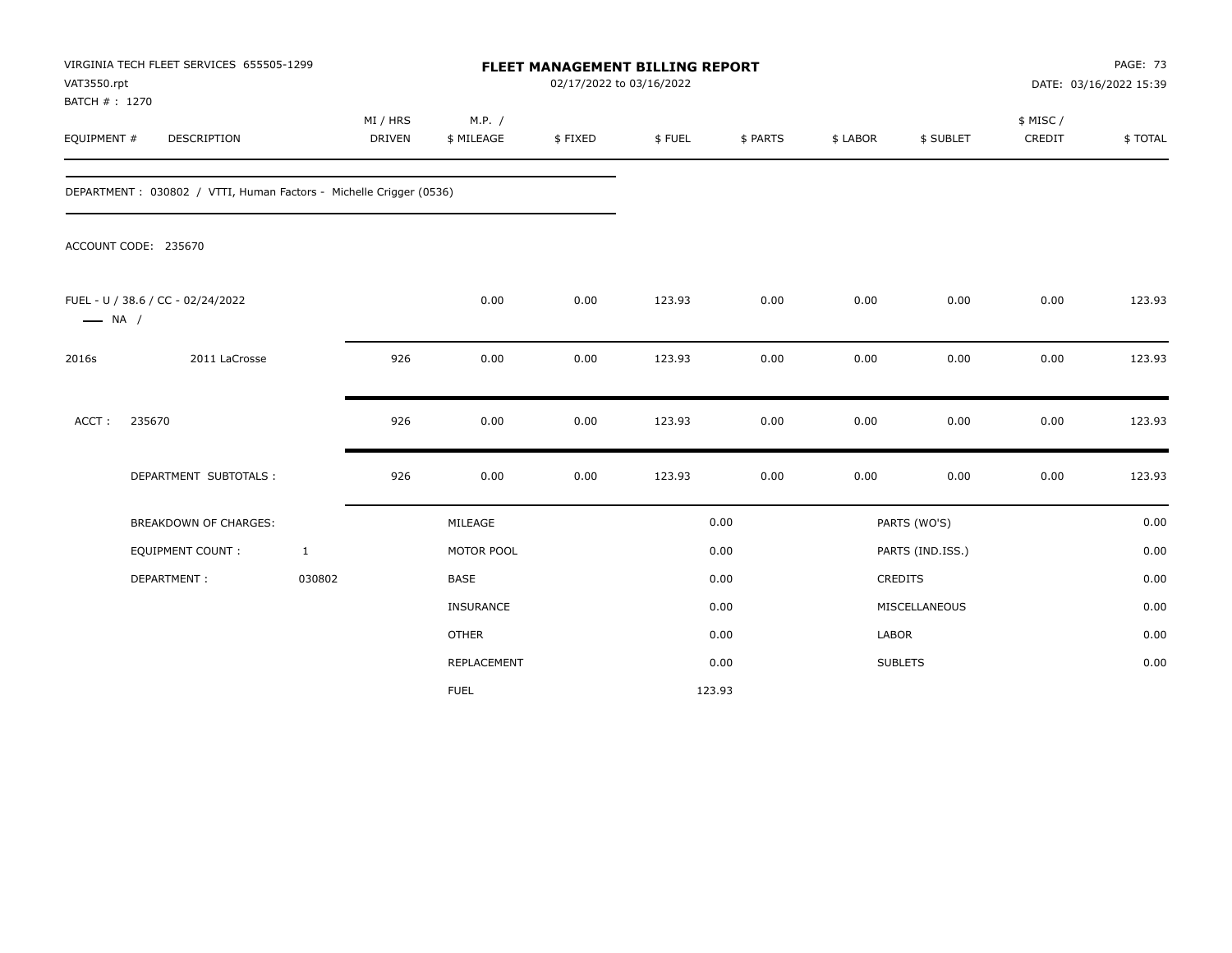| VAT3550.rpt<br>BATCH # : 1270 | VIRGINIA TECH FLEET SERVICES 655505-1299                           |              |                           |                      | <b>FLEET MANAGEMENT BILLING REPORT</b><br>02/17/2022 to 03/16/2022 |        |          |          |                  |                     | <b>PAGE: 73</b><br>DATE: 03/16/2022 15:39 |
|-------------------------------|--------------------------------------------------------------------|--------------|---------------------------|----------------------|--------------------------------------------------------------------|--------|----------|----------|------------------|---------------------|-------------------------------------------|
| EQUIPMENT #                   | DESCRIPTION                                                        |              | MI / HRS<br><b>DRIVEN</b> | M.P. /<br>\$ MILEAGE | \$FIXED                                                            | \$FUEL | \$ PARTS | \$ LABOR | \$ SUBLET        | \$ MISC /<br>CREDIT | \$TOTAL                                   |
|                               | DEPARTMENT: 030802 / VTTI, Human Factors - Michelle Crigger (0536) |              |                           |                      |                                                                    |        |          |          |                  |                     |                                           |
|                               | ACCOUNT CODE: 235670                                               |              |                           |                      |                                                                    |        |          |          |                  |                     |                                           |
| $\longrightarrow$ NA /        | FUEL - U / 38.6 / CC - 02/24/2022                                  |              |                           | 0.00                 | 0.00                                                               | 123.93 | 0.00     | 0.00     | 0.00             | 0.00                | 123.93                                    |
| 2016s                         | 2011 LaCrosse                                                      |              | 926                       | 0.00                 | 0.00                                                               | 123.93 | 0.00     | 0.00     | 0.00             | 0.00                | 123.93                                    |
| ACCT:                         | 235670                                                             |              | 926                       | 0.00                 | 0.00                                                               | 123.93 | 0.00     | 0.00     | 0.00             | 0.00                | 123.93                                    |
|                               | DEPARTMENT SUBTOTALS :                                             |              | 926                       | 0.00                 | 0.00                                                               | 123.93 | 0.00     | 0.00     | 0.00             | 0.00                | 123.93                                    |
|                               | <b>BREAKDOWN OF CHARGES:</b>                                       |              |                           | MILEAGE              |                                                                    |        | 0.00     |          | PARTS (WO'S)     |                     | 0.00                                      |
|                               | <b>EQUIPMENT COUNT:</b>                                            | $\mathbf{1}$ |                           | MOTOR POOL           |                                                                    |        | 0.00     |          | PARTS (IND.ISS.) |                     | 0.00                                      |
|                               | DEPARTMENT:                                                        | 030802       |                           | <b>BASE</b>          |                                                                    |        | 0.00     |          | CREDITS          |                     | 0.00                                      |
|                               |                                                                    |              |                           | INSURANCE            |                                                                    |        | 0.00     |          | MISCELLANEOUS    |                     | 0.00                                      |
|                               |                                                                    |              |                           | <b>OTHER</b>         |                                                                    |        | 0.00     | LABOR    |                  |                     | 0.00                                      |
|                               |                                                                    |              |                           | <b>REPLACEMENT</b>   |                                                                    |        | 0.00     |          | <b>SUBLETS</b>   |                     | 0.00                                      |
|                               |                                                                    |              |                           | <b>FUEL</b>          |                                                                    |        | 123.93   |          |                  |                     |                                           |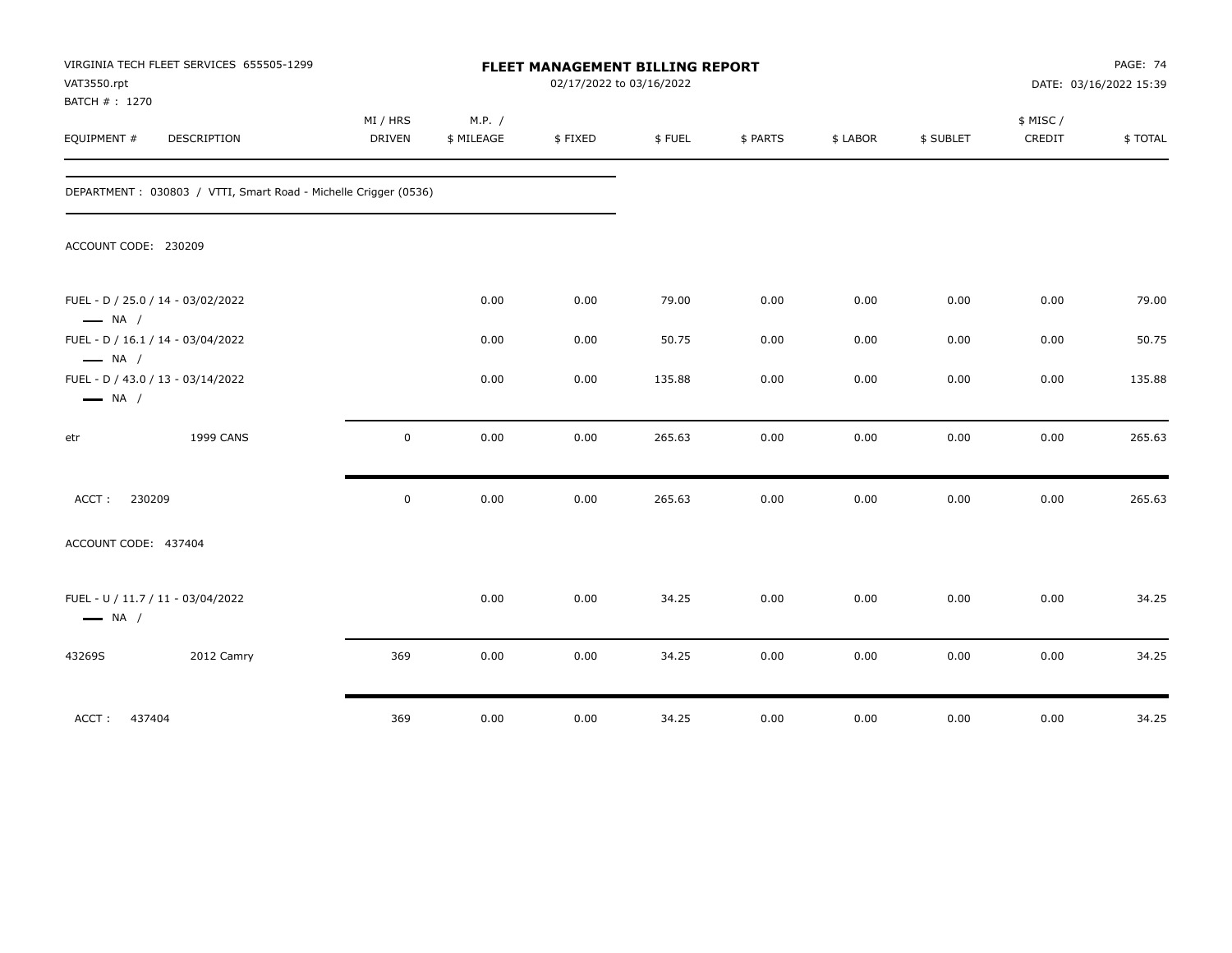| VAT3550.rpt<br>BATCH #: 1270 | VIRGINIA TECH FLEET SERVICES 655505-1299                        |                           |                      | FLEET MANAGEMENT BILLING REPORT<br>02/17/2022 to 03/16/2022 |        |          |          |           |                     | PAGE: 74<br>DATE: 03/16/2022 15:39 |
|------------------------------|-----------------------------------------------------------------|---------------------------|----------------------|-------------------------------------------------------------|--------|----------|----------|-----------|---------------------|------------------------------------|
| EQUIPMENT #                  | <b>DESCRIPTION</b>                                              | MI / HRS<br><b>DRIVEN</b> | M.P. /<br>\$ MILEAGE | \$FIXED                                                     | \$FUEL | \$ PARTS | \$ LABOR | \$ SUBLET | \$ MISC /<br>CREDIT | \$TOTAL                            |
|                              | DEPARTMENT: 030803 / VTTI, Smart Road - Michelle Crigger (0536) |                           |                      |                                                             |        |          |          |           |                     |                                    |
| ACCOUNT CODE: 230209         |                                                                 |                           |                      |                                                             |        |          |          |           |                     |                                    |
| $\longrightarrow$ NA /       | FUEL - D / 25.0 / 14 - 03/02/2022                               |                           | 0.00                 | 0.00                                                        | 79.00  | 0.00     | 0.00     | 0.00      | 0.00                | 79.00                              |
| $\longrightarrow$ NA /       | FUEL - D / 16.1 / 14 - 03/04/2022                               |                           | 0.00                 | 0.00                                                        | 50.75  | 0.00     | 0.00     | 0.00      | 0.00                | 50.75                              |
| $\longrightarrow$ NA /       | FUEL - D / 43.0 / 13 - 03/14/2022                               |                           | 0.00                 | 0.00                                                        | 135.88 | 0.00     | 0.00     | 0.00      | 0.00                | 135.88                             |
| etr                          | <b>1999 CANS</b>                                                | $\mathbf 0$               | 0.00                 | 0.00                                                        | 265.63 | 0.00     | 0.00     | 0.00      | 0.00                | 265.63                             |
| 230209<br>ACCT:              |                                                                 | $\mathbf 0$               | 0.00                 | 0.00                                                        | 265.63 | 0.00     | 0.00     | 0.00      | 0.00                | 265.63                             |
| ACCOUNT CODE: 437404         |                                                                 |                           |                      |                                                             |        |          |          |           |                     |                                    |
| $\longrightarrow$ NA /       | FUEL - U / 11.7 / 11 - 03/04/2022                               |                           | 0.00                 | 0.00                                                        | 34.25  | 0.00     | 0.00     | 0.00      | 0.00                | 34.25                              |
| 43269S                       | 2012 Camry                                                      | 369                       | 0.00                 | 0.00                                                        | 34.25  | 0.00     | 0.00     | 0.00      | 0.00                | 34.25                              |
| ACCT: 437404                 |                                                                 | 369                       | 0.00                 | 0.00                                                        | 34.25  | 0.00     | 0.00     | 0.00      | 0.00                | 34.25                              |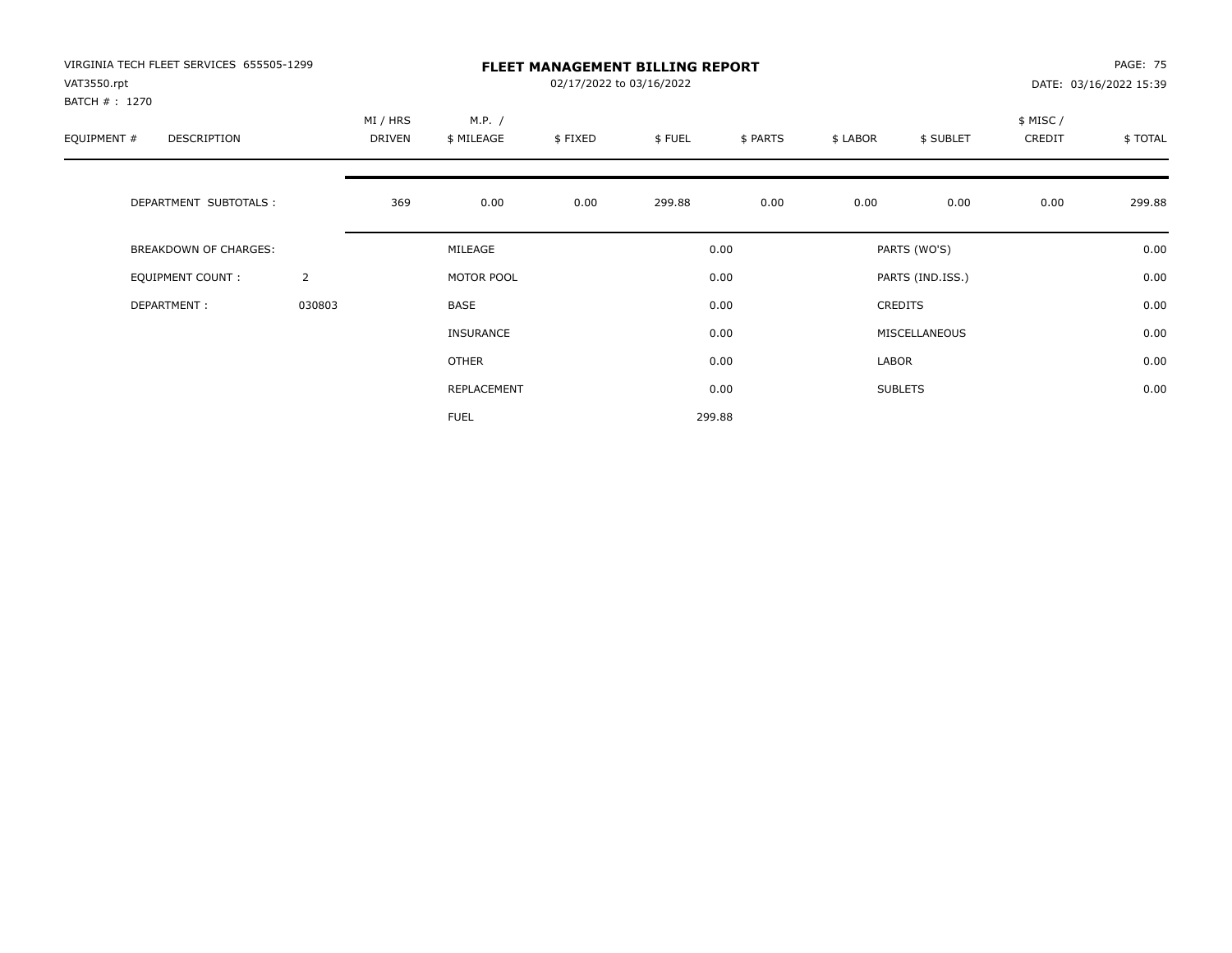| VIRGINIA TECH FLEET SERVICES 655505-1299<br>VAT3550.rpt<br>BATCH #: 1270 |                |                    | <b>FLEET MANAGEMENT BILLING REPORT</b><br>02/17/2022 to 03/16/2022 |         |        |          |          |                  |                     |         |  |
|--------------------------------------------------------------------------|----------------|--------------------|--------------------------------------------------------------------|---------|--------|----------|----------|------------------|---------------------|---------|--|
| EQUIPMENT #<br><b>DESCRIPTION</b>                                        |                | MI / HRS<br>DRIVEN | M.P. /<br>\$ MILEAGE                                               | \$FIXED | \$FUEL | \$ PARTS | \$ LABOR | \$ SUBLET        | \$ MISC /<br>CREDIT | \$TOTAL |  |
| DEPARTMENT SUBTOTALS :                                                   |                | 369                | 0.00                                                               | 0.00    | 299.88 | 0.00     | 0.00     | 0.00             | 0.00                | 299.88  |  |
| <b>BREAKDOWN OF CHARGES:</b>                                             |                |                    | MILEAGE                                                            |         |        | 0.00     |          | PARTS (WO'S)     |                     | 0.00    |  |
| EQUIPMENT COUNT:                                                         | $\overline{2}$ |                    | MOTOR POOL                                                         |         |        | 0.00     |          | PARTS (IND.ISS.) |                     | 0.00    |  |
| DEPARTMENT:                                                              | 030803         |                    | <b>BASE</b>                                                        |         |        | 0.00     |          | <b>CREDITS</b>   |                     | 0.00    |  |
|                                                                          |                |                    | INSURANCE                                                          |         |        | 0.00     |          | MISCELLANEOUS    |                     | 0.00    |  |
|                                                                          |                |                    | OTHER                                                              |         |        | 0.00     | LABOR    |                  |                     | 0.00    |  |
|                                                                          |                |                    | REPLACEMENT                                                        |         |        | 0.00     |          | <b>SUBLETS</b>   |                     | 0.00    |  |
|                                                                          |                |                    | <b>FUEL</b>                                                        |         |        | 299.88   |          |                  |                     |         |  |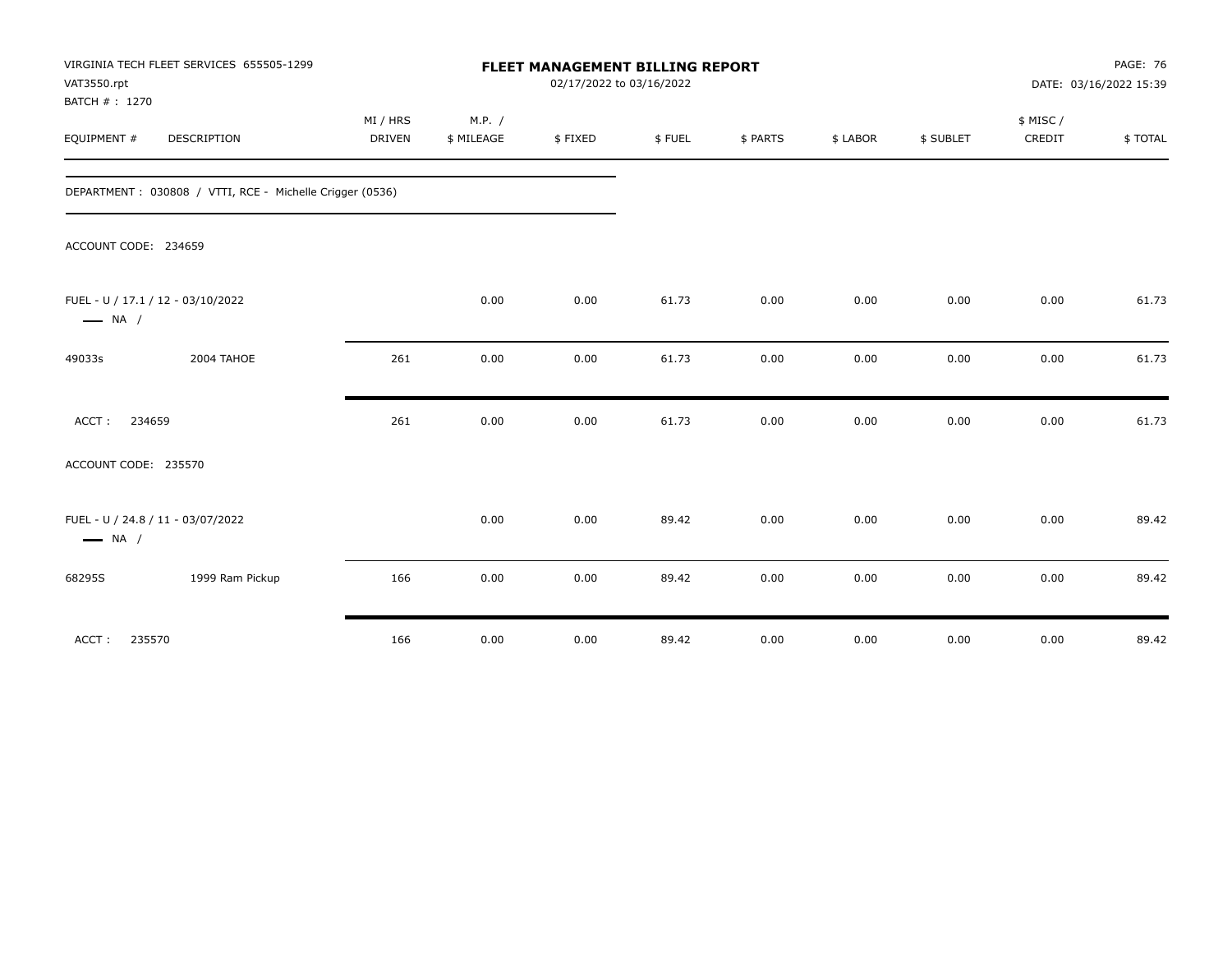| VAT3550.rpt<br>BATCH #: 1270                                | VIRGINIA TECH FLEET SERVICES 655505-1299                 |                           |                      | <b>FLEET MANAGEMENT BILLING REPORT</b><br>02/17/2022 to 03/16/2022 |        |          |          |           | <b>PAGE: 76</b><br>DATE: 03/16/2022 15:39 |         |
|-------------------------------------------------------------|----------------------------------------------------------|---------------------------|----------------------|--------------------------------------------------------------------|--------|----------|----------|-----------|-------------------------------------------|---------|
| EQUIPMENT #                                                 | DESCRIPTION                                              | MI / HRS<br><b>DRIVEN</b> | M.P. /<br>\$ MILEAGE | \$FIXED                                                            | \$FUEL | \$ PARTS | \$ LABOR | \$ SUBLET | \$ MISC/<br>CREDIT                        | \$TOTAL |
|                                                             | DEPARTMENT: 030808 / VTTI, RCE - Michelle Crigger (0536) |                           |                      |                                                                    |        |          |          |           |                                           |         |
| ACCOUNT CODE: 234659                                        |                                                          |                           |                      |                                                                    |        |          |          |           |                                           |         |
| FUEL - U / 17.1 / 12 - 03/10/2022<br>$\longrightarrow$ NA / |                                                          |                           | 0.00                 | 0.00                                                               | 61.73  | 0.00     | 0.00     | 0.00      | 0.00                                      | 61.73   |
| 49033s                                                      | 2004 TAHOE                                               | 261                       | 0.00                 | 0.00                                                               | 61.73  | 0.00     | 0.00     | 0.00      | 0.00                                      | 61.73   |
| 234659<br>ACCT:                                             |                                                          | 261                       | 0.00                 | 0.00                                                               | 61.73  | 0.00     | 0.00     | 0.00      | 0.00                                      | 61.73   |
| ACCOUNT CODE: 235570                                        |                                                          |                           |                      |                                                                    |        |          |          |           |                                           |         |
| FUEL - U / 24.8 / 11 - 03/07/2022<br>$\longrightarrow$ NA / |                                                          |                           | 0.00                 | 0.00                                                               | 89.42  | 0.00     | 0.00     | 0.00      | 0.00                                      | 89.42   |
| 68295S                                                      | 1999 Ram Pickup                                          | 166                       | 0.00                 | 0.00                                                               | 89.42  | 0.00     | 0.00     | 0.00      | 0.00                                      | 89.42   |
| 235570<br>ACCT:                                             |                                                          | 166                       | 0.00                 | 0.00                                                               | 89.42  | 0.00     | 0.00     | 0.00      | 0.00                                      | 89.42   |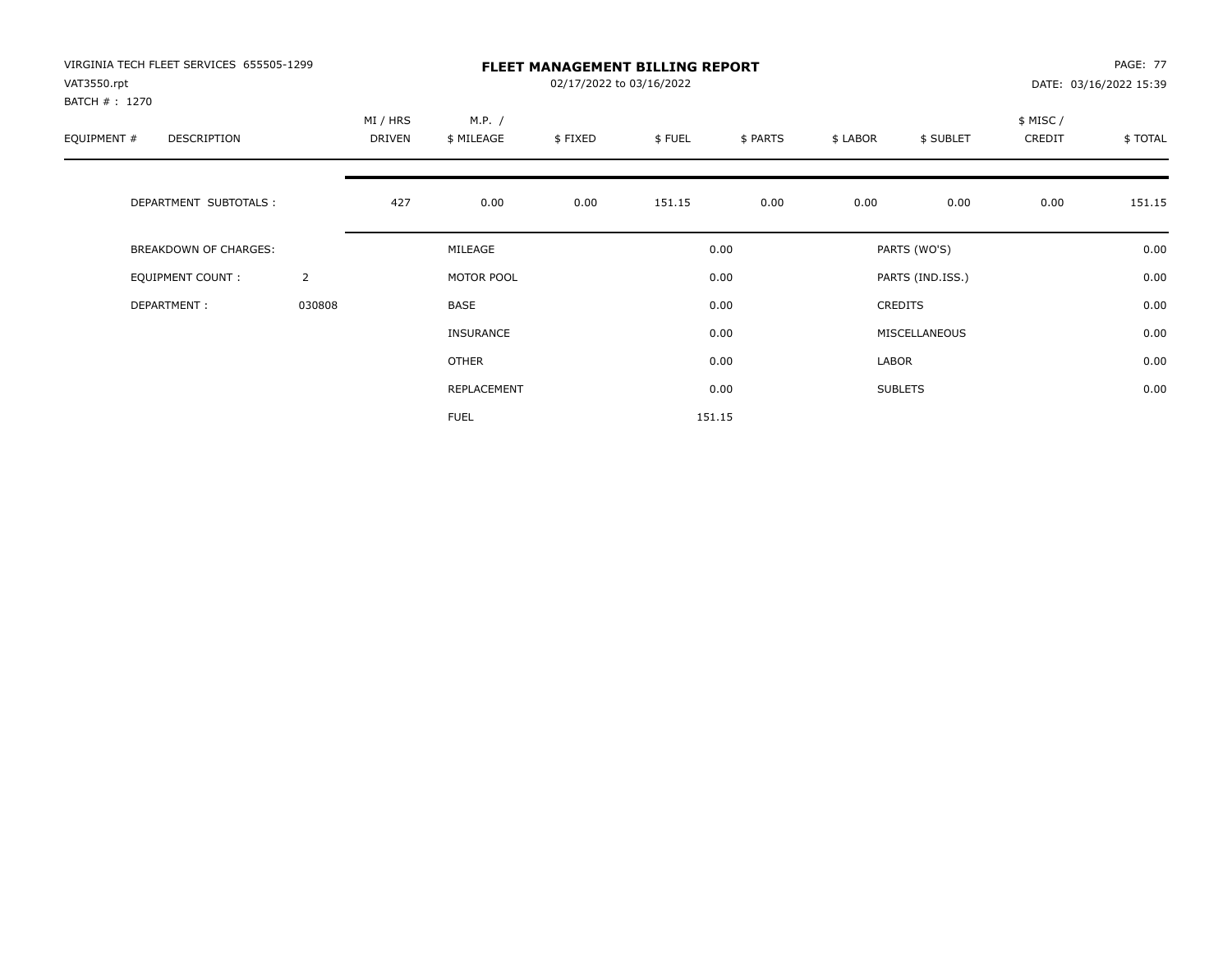| VIRGINIA TECH FLEET SERVICES 655505-1299<br>VAT3550.rpt<br>BATCH #: 1270 |                |                    |                      | <b>PAGE: 77</b><br>DATE: 03/16/2022 15:39 |        |          |          |                  |                     |         |
|--------------------------------------------------------------------------|----------------|--------------------|----------------------|-------------------------------------------|--------|----------|----------|------------------|---------------------|---------|
| EQUIPMENT #<br><b>DESCRIPTION</b>                                        |                | MI / HRS<br>DRIVEN | M.P. /<br>\$ MILEAGE | \$FIXED                                   | \$FUEL | \$ PARTS | \$ LABOR | \$ SUBLET        | \$ MISC /<br>CREDIT | \$TOTAL |
| DEPARTMENT SUBTOTALS :                                                   |                | 427                | 0.00                 | 0.00                                      | 151.15 | 0.00     | 0.00     | 0.00             | 0.00                | 151.15  |
| <b>BREAKDOWN OF CHARGES:</b>                                             |                |                    | MILEAGE              |                                           |        | 0.00     |          | PARTS (WO'S)     |                     | 0.00    |
| EQUIPMENT COUNT:                                                         | $\overline{2}$ |                    | MOTOR POOL           |                                           |        | 0.00     |          | PARTS (IND.ISS.) |                     | 0.00    |
| DEPARTMENT:                                                              | 030808         |                    | <b>BASE</b>          |                                           |        | 0.00     |          | <b>CREDITS</b>   |                     | 0.00    |
|                                                                          |                |                    | INSURANCE            |                                           |        | 0.00     |          | MISCELLANEOUS    |                     | 0.00    |
|                                                                          |                |                    | OTHER                |                                           |        | 0.00     | LABOR    |                  |                     | 0.00    |
|                                                                          |                |                    | REPLACEMENT          |                                           |        | 0.00     |          | <b>SUBLETS</b>   |                     | 0.00    |
|                                                                          |                |                    | <b>FUEL</b>          |                                           |        | 151.15   |          |                  |                     |         |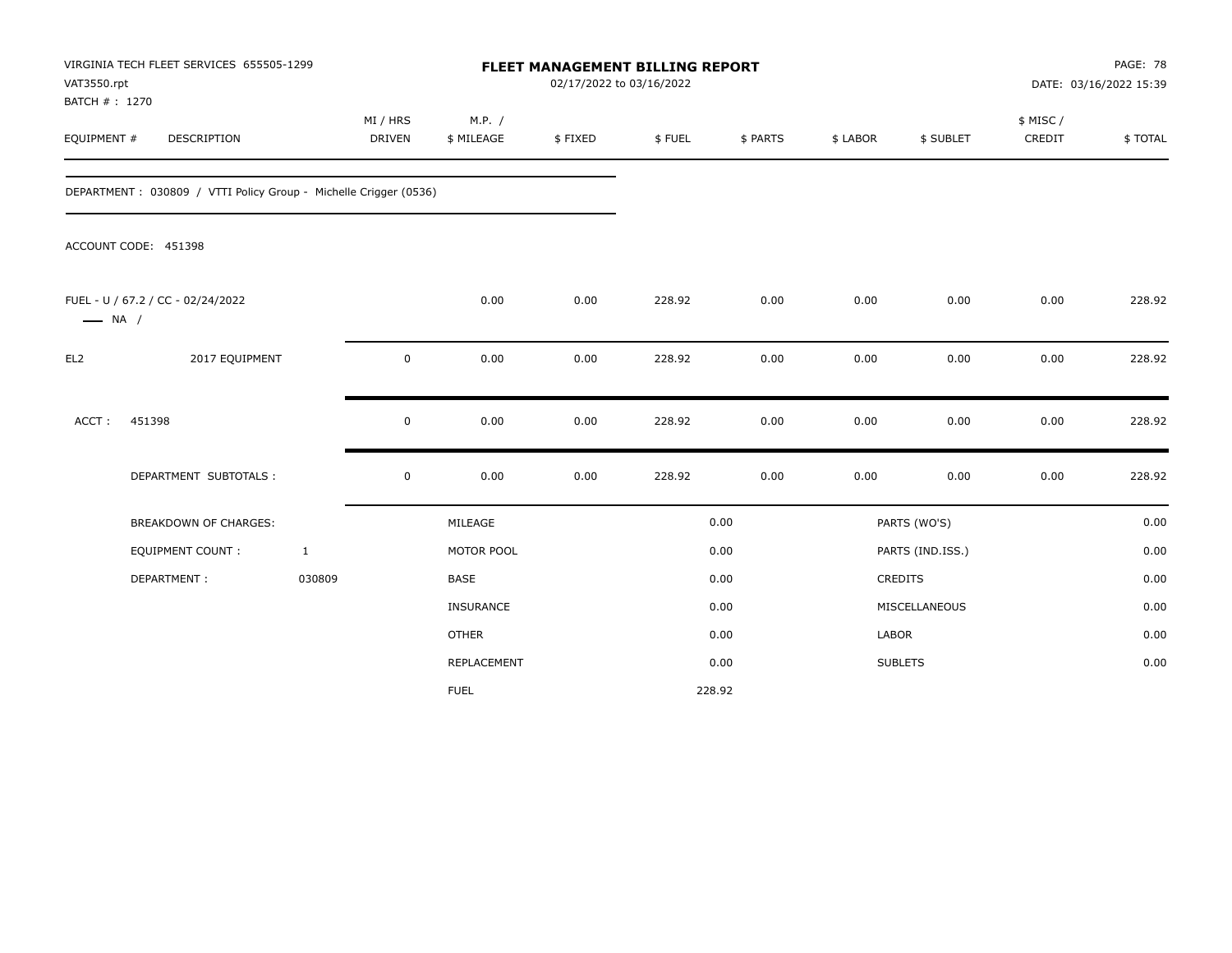| VAT3550.rpt                   | VIRGINIA TECH FLEET SERVICES 655505-1299                         |                           |                      | <b>FLEET MANAGEMENT BILLING REPORT</b><br>02/17/2022 to 03/16/2022 |        |          |          |                  |                     | PAGE: 78<br>DATE: 03/16/2022 15:39 |
|-------------------------------|------------------------------------------------------------------|---------------------------|----------------------|--------------------------------------------------------------------|--------|----------|----------|------------------|---------------------|------------------------------------|
| BATCH # : 1270<br>EQUIPMENT # | DESCRIPTION                                                      | MI / HRS<br><b>DRIVEN</b> | M.P. /<br>\$ MILEAGE | \$FIXED                                                            | \$FUEL | \$ PARTS | \$ LABOR | \$ SUBLET        | \$ MISC /<br>CREDIT | \$TOTAL                            |
|                               | DEPARTMENT: 030809 / VTTI Policy Group - Michelle Crigger (0536) |                           |                      |                                                                    |        |          |          |                  |                     |                                    |
|                               | ACCOUNT CODE: 451398                                             |                           |                      |                                                                    |        |          |          |                  |                     |                                    |
| $\longrightarrow$ NA /        | FUEL - U / 67.2 / CC - 02/24/2022                                |                           | 0.00                 | 0.00                                                               | 228.92 | 0.00     | 0.00     | 0.00             | 0.00                | 228.92                             |
| EL <sub>2</sub>               | 2017 EQUIPMENT                                                   | $\mathsf 0$               | 0.00                 | 0.00                                                               | 228.92 | 0.00     | 0.00     | 0.00             | 0.00                | 228.92                             |
| ACCT:                         | 451398                                                           | $\mathsf 0$               | 0.00                 | 0.00                                                               | 228.92 | 0.00     | 0.00     | 0.00             | 0.00                | 228.92                             |
|                               | DEPARTMENT SUBTOTALS :                                           | $\mathbf 0$               | 0.00                 | 0.00                                                               | 228.92 | 0.00     | 0.00     | 0.00             | 0.00                | 228.92                             |
|                               | <b>BREAKDOWN OF CHARGES:</b>                                     |                           | MILEAGE              |                                                                    |        | 0.00     |          | PARTS (WO'S)     |                     | 0.00                               |
|                               | <b>EQUIPMENT COUNT:</b>                                          | $\mathbf{1}$              | MOTOR POOL           |                                                                    |        | 0.00     |          | PARTS (IND.ISS.) |                     | 0.00                               |
|                               | DEPARTMENT:                                                      | 030809                    | <b>BASE</b>          |                                                                    |        | 0.00     |          | CREDITS          |                     | 0.00                               |
|                               |                                                                  |                           | <b>INSURANCE</b>     |                                                                    |        | 0.00     |          | MISCELLANEOUS    |                     | 0.00                               |
|                               |                                                                  |                           | <b>OTHER</b>         |                                                                    |        | 0.00     | LABOR    |                  |                     | 0.00                               |
|                               |                                                                  |                           | <b>REPLACEMENT</b>   |                                                                    |        | 0.00     |          | <b>SUBLETS</b>   |                     | 0.00                               |
|                               |                                                                  |                           | <b>FUEL</b>          |                                                                    |        | 228.92   |          |                  |                     |                                    |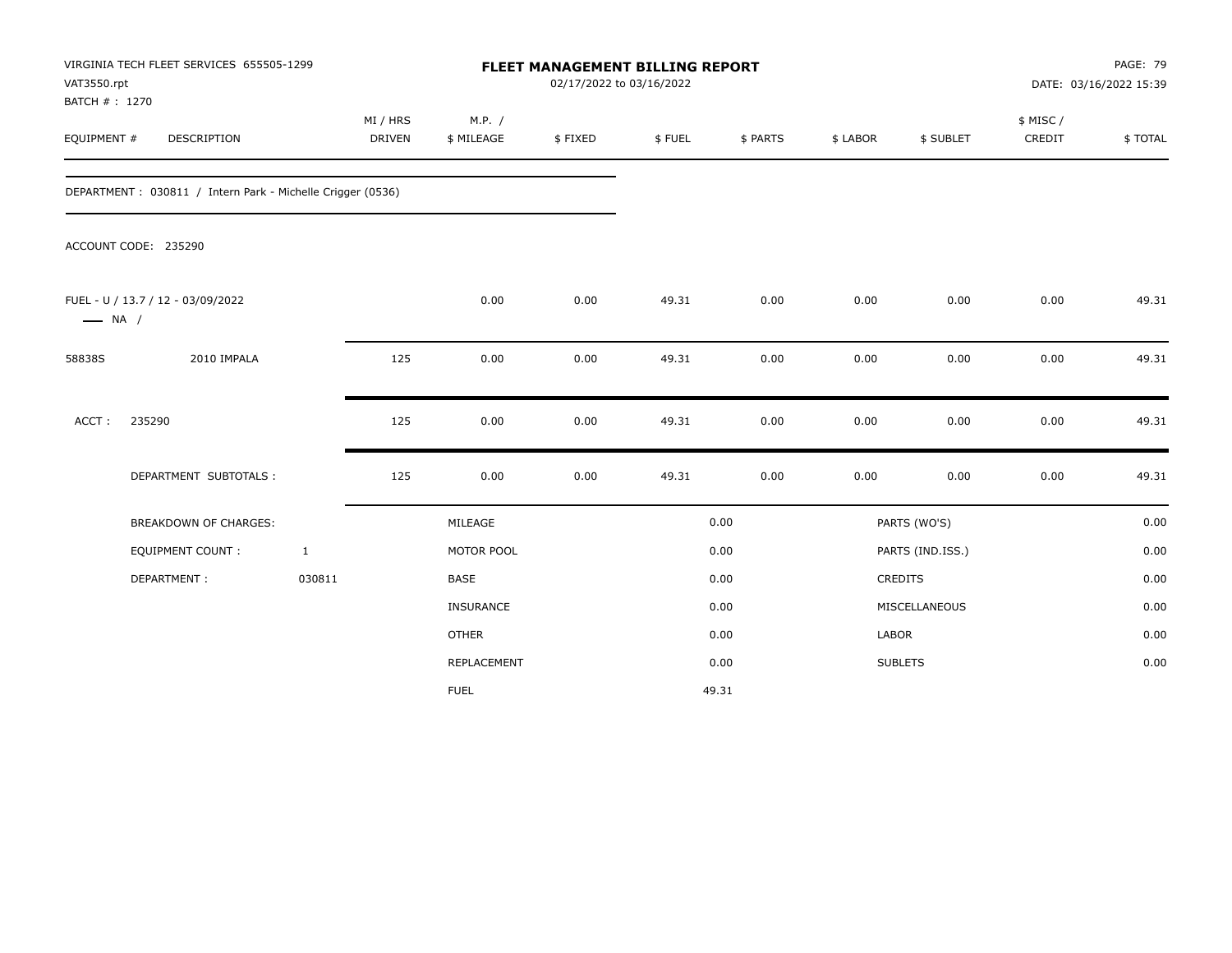| VAT3550.rpt            | VIRGINIA TECH FLEET SERVICES 655505-1299<br>BATCH #: 1270<br><b>DESCRIPTION</b> |              |                    |                      | FLEET MANAGEMENT BILLING REPORT<br>02/17/2022 to 03/16/2022 |        |          |          |                  | <b>PAGE: 79</b><br>DATE: 03/16/2022 15:39 |         |
|------------------------|---------------------------------------------------------------------------------|--------------|--------------------|----------------------|-------------------------------------------------------------|--------|----------|----------|------------------|-------------------------------------------|---------|
| EQUIPMENT #            |                                                                                 |              | MI / HRS<br>DRIVEN | M.P. /<br>\$ MILEAGE | \$FIXED                                                     | \$FUEL | \$ PARTS | \$ LABOR | \$ SUBLET        | \$ MISC /<br>CREDIT                       | \$TOTAL |
|                        | DEPARTMENT : 030811 / Intern Park - Michelle Crigger (0536)                     |              |                    |                      |                                                             |        |          |          |                  |                                           |         |
|                        | ACCOUNT CODE: 235290                                                            |              |                    |                      |                                                             |        |          |          |                  |                                           |         |
| $\longrightarrow$ NA / | FUEL - U / 13.7 / 12 - 03/09/2022                                               |              |                    | 0.00                 | 0.00                                                        | 49.31  | 0.00     | 0.00     | 0.00             | 0.00                                      | 49.31   |
| 58838S                 | 2010 IMPALA                                                                     |              | 125                | 0.00                 | 0.00                                                        | 49.31  | 0.00     | 0.00     | 0.00             | 0.00                                      | 49.31   |
| ACCT:                  | 235290                                                                          |              | 125                | 0.00                 | 0.00                                                        | 49.31  | 0.00     | 0.00     | 0.00             | 0.00                                      | 49.31   |
|                        | DEPARTMENT SUBTOTALS :                                                          |              | 125                | 0.00                 | 0.00                                                        | 49.31  | 0.00     | 0.00     | 0.00             | 0.00                                      | 49.31   |
|                        | <b>BREAKDOWN OF CHARGES:</b>                                                    |              |                    | MILEAGE              |                                                             |        | 0.00     |          | PARTS (WO'S)     |                                           | 0.00    |
|                        | <b>EQUIPMENT COUNT:</b>                                                         | $\mathbf{1}$ |                    | MOTOR POOL           |                                                             |        | 0.00     |          | PARTS (IND.ISS.) |                                           | 0.00    |
|                        | DEPARTMENT:                                                                     | 030811       |                    | <b>BASE</b>          |                                                             |        | 0.00     |          | <b>CREDITS</b>   |                                           | 0.00    |
|                        |                                                                                 |              |                    | INSURANCE            |                                                             |        | 0.00     |          | MISCELLANEOUS    |                                           | 0.00    |
|                        |                                                                                 |              |                    | <b>OTHER</b>         |                                                             |        | 0.00     | LABOR    |                  |                                           | 0.00    |
|                        |                                                                                 |              |                    | REPLACEMENT          |                                                             |        | 0.00     |          | <b>SUBLETS</b>   |                                           | 0.00    |
|                        |                                                                                 |              |                    | <b>FUEL</b>          |                                                             |        | 49.31    |          |                  |                                           |         |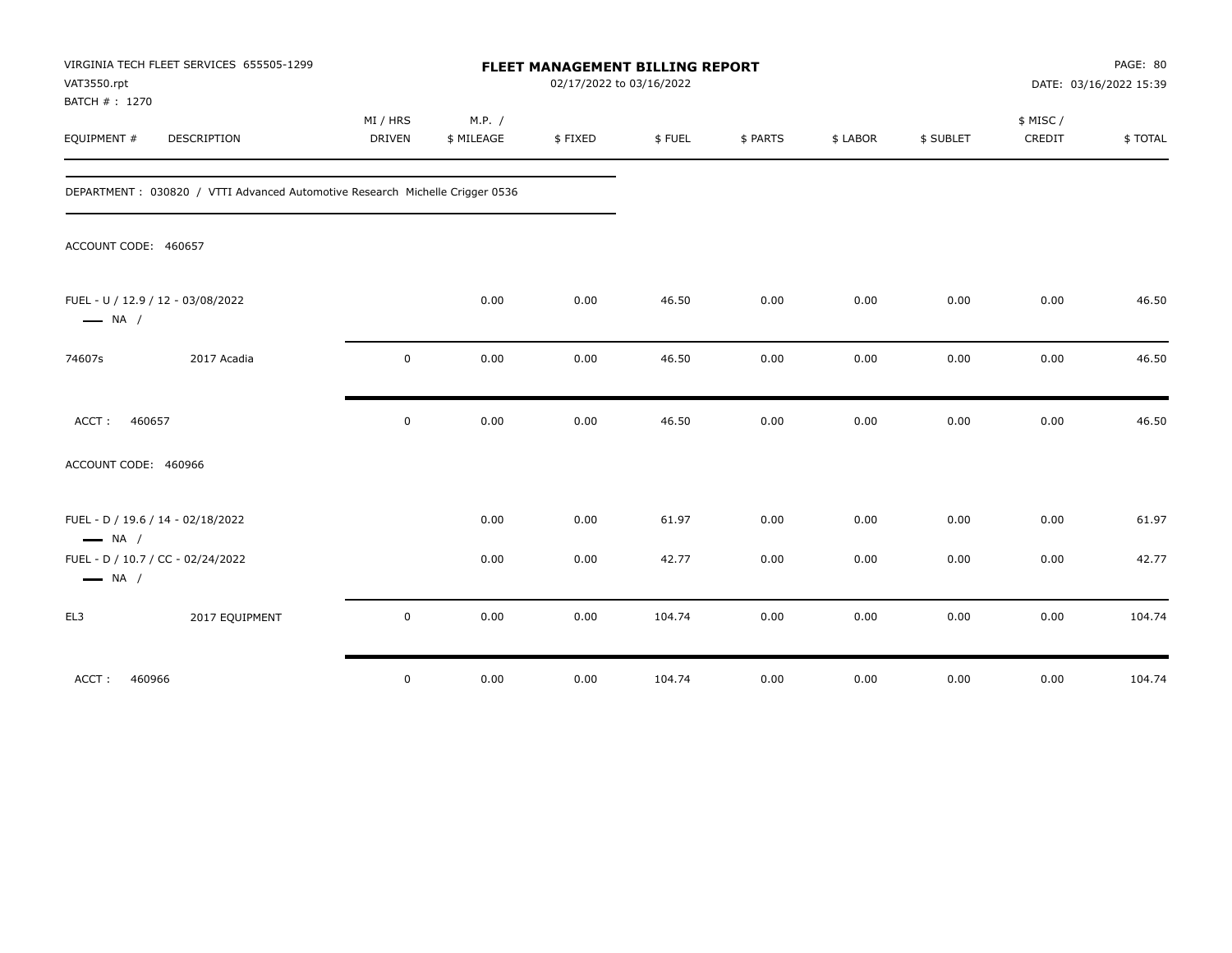| VIRGINIA TECH FLEET SERVICES 655505-1299<br>VAT3550.rpt<br>BATCH #: 1270      |                    |                      | FLEET MANAGEMENT BILLING REPORT<br>02/17/2022 to 03/16/2022 |        |          |          |           | PAGE: 80<br>DATE: 03/16/2022 15:39 |         |
|-------------------------------------------------------------------------------|--------------------|----------------------|-------------------------------------------------------------|--------|----------|----------|-----------|------------------------------------|---------|
| EQUIPMENT #<br><b>DESCRIPTION</b>                                             | MI / HRS<br>DRIVEN | M.P. /<br>\$ MILEAGE | \$FIXED                                                     | \$FUEL | \$ PARTS | \$ LABOR | \$ SUBLET | \$ MISC /<br>CREDIT                | \$TOTAL |
| DEPARTMENT : 030820 / VTTI Advanced Automotive Research Michelle Crigger 0536 |                    |                      |                                                             |        |          |          |           |                                    |         |
| ACCOUNT CODE: 460657                                                          |                    |                      |                                                             |        |          |          |           |                                    |         |
| FUEL - U / 12.9 / 12 - 03/08/2022<br>$\longrightarrow$ NA /                   |                    | 0.00                 | 0.00                                                        | 46.50  | 0.00     | 0.00     | 0.00      | 0.00                               | 46.50   |
| 2017 Acadia<br>74607s                                                         | $\mathbf 0$        | 0.00                 | 0.00                                                        | 46.50  | 0.00     | 0.00     | 0.00      | 0.00                               | 46.50   |
| ACCT:<br>460657                                                               | $\mathbf 0$        | 0.00                 | 0.00                                                        | 46.50  | 0.00     | 0.00     | 0.00      | 0.00                               | 46.50   |
| ACCOUNT CODE: 460966                                                          |                    |                      |                                                             |        |          |          |           |                                    |         |
| FUEL - D / 19.6 / 14 - 02/18/2022<br>$\longrightarrow$ NA /                   |                    | 0.00                 | 0.00                                                        | 61.97  | 0.00     | 0.00     | 0.00      | 0.00                               | 61.97   |
| FUEL - D / 10.7 / CC - 02/24/2022<br>$\longrightarrow$ NA /                   |                    | 0.00                 | 0.00                                                        | 42.77  | 0.00     | 0.00     | 0.00      | 0.00                               | 42.77   |
| EL3<br>2017 EQUIPMENT                                                         | $\mathbf 0$        | 0.00                 | 0.00                                                        | 104.74 | 0.00     | 0.00     | 0.00      | 0.00                               | 104.74  |
| 460966<br>ACCT:                                                               | $\mathbf 0$        | 0.00                 | 0.00                                                        | 104.74 | 0.00     | 0.00     | 0.00      | 0.00                               | 104.74  |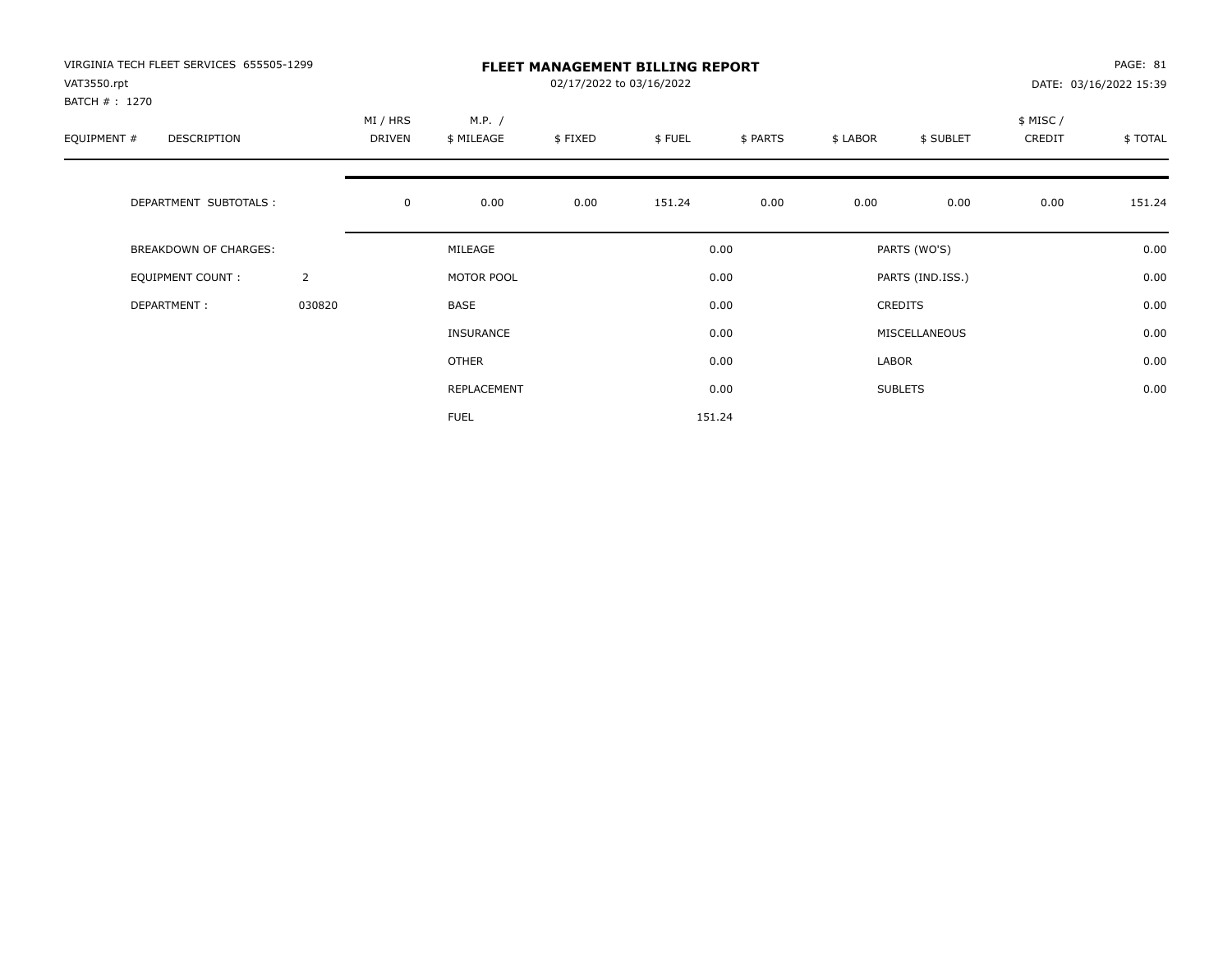| VIRGINIA TECH FLEET SERVICES 655505-1299<br>VAT3550.rpt<br>BATCH # : 1270 |                |                    |                      | PAGE: 81<br>DATE: 03/16/2022 15:39 |        |          |          |                  |                    |         |
|---------------------------------------------------------------------------|----------------|--------------------|----------------------|------------------------------------|--------|----------|----------|------------------|--------------------|---------|
| EQUIPMENT #<br>DESCRIPTION                                                |                | MI / HRS<br>DRIVEN | M.P. /<br>\$ MILEAGE | \$FIXED                            | \$FUEL | \$ PARTS | \$ LABOR | \$ SUBLET        | \$ MISC/<br>CREDIT | \$TOTAL |
| DEPARTMENT SUBTOTALS :                                                    |                | $\mathbf 0$        | 0.00                 | 0.00                               | 151.24 | 0.00     | 0.00     | 0.00             | 0.00               | 151.24  |
| BREAKDOWN OF CHARGES:                                                     |                |                    | MILEAGE              |                                    |        | 0.00     |          | PARTS (WO'S)     |                    | 0.00    |
| <b>EQUIPMENT COUNT:</b>                                                   | $\overline{2}$ |                    | MOTOR POOL           |                                    |        | 0.00     |          | PARTS (IND.ISS.) |                    | 0.00    |
| DEPARTMENT:                                                               | 030820         |                    | BASE                 |                                    |        | 0.00     |          | <b>CREDITS</b>   |                    | 0.00    |
|                                                                           |                |                    | <b>INSURANCE</b>     |                                    |        | 0.00     |          | MISCELLANEOUS    |                    | 0.00    |
|                                                                           |                |                    | OTHER                |                                    |        | 0.00     | LABOR    |                  |                    | 0.00    |
|                                                                           |                |                    | REPLACEMENT          |                                    |        | 0.00     |          | <b>SUBLETS</b>   |                    | 0.00    |
|                                                                           |                |                    | <b>FUEL</b>          |                                    |        | 151.24   |          |                  |                    |         |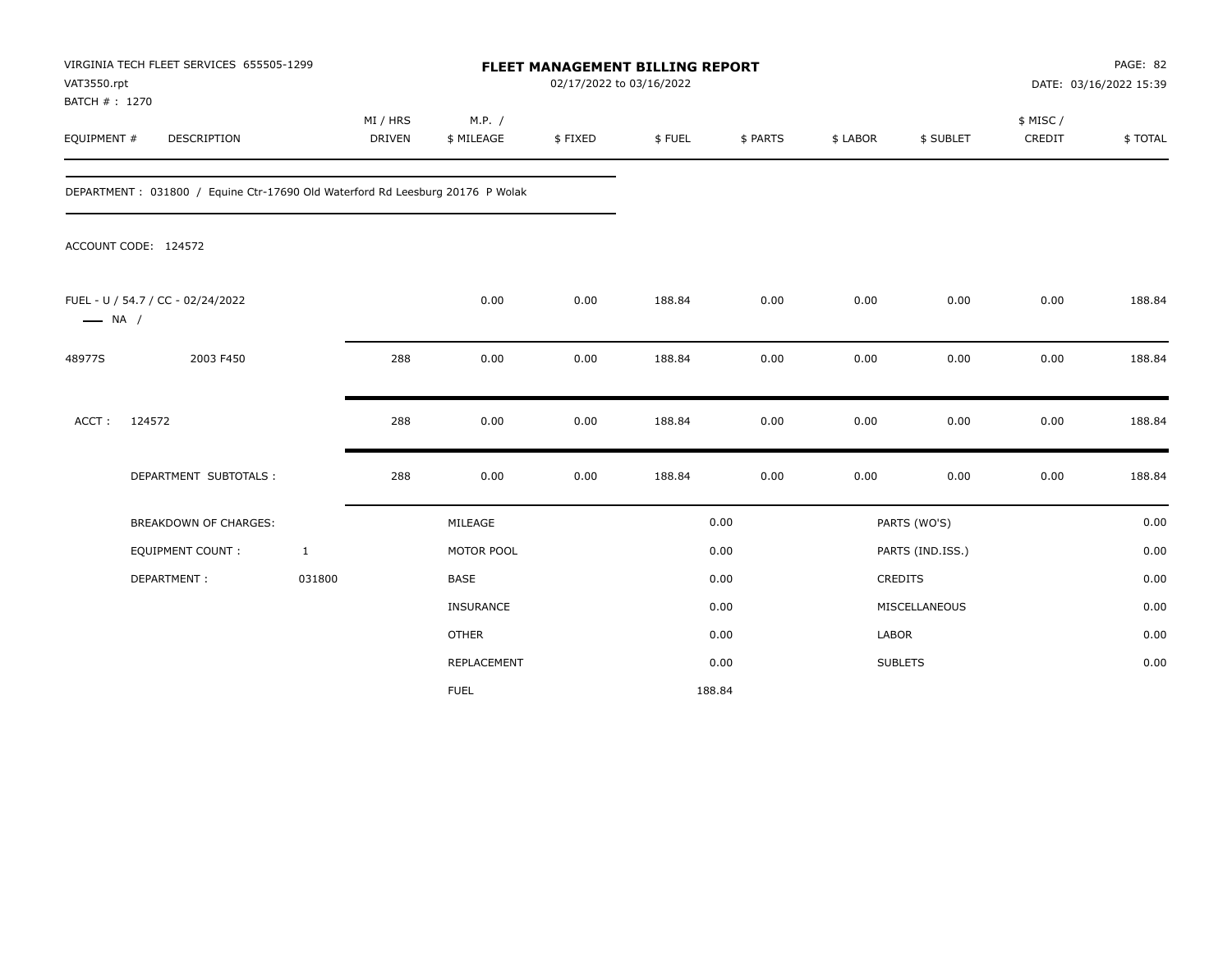| VAT3550.rpt                   | VIRGINIA TECH FLEET SERVICES 655505-1299                                      |                           | <b>FLEET MANAGEMENT BILLING REPORT</b><br>02/17/2022 to 03/16/2022 |                      |         |        |          |                |                  |                     | PAGE: 82<br>DATE: 03/16/2022 15:39 |  |
|-------------------------------|-------------------------------------------------------------------------------|---------------------------|--------------------------------------------------------------------|----------------------|---------|--------|----------|----------------|------------------|---------------------|------------------------------------|--|
| BATCH # : 1270<br>EQUIPMENT # | DESCRIPTION                                                                   | MI / HRS<br><b>DRIVEN</b> |                                                                    | M.P. /<br>\$ MILEAGE | \$FIXED | \$FUEL | \$ PARTS | \$ LABOR       | \$ SUBLET        | \$ MISC /<br>CREDIT | \$TOTAL                            |  |
|                               | DEPARTMENT: 031800 / Equine Ctr-17690 Old Waterford Rd Leesburg 20176 P Wolak |                           |                                                                    |                      |         |        |          |                |                  |                     |                                    |  |
|                               | ACCOUNT CODE: 124572                                                          |                           |                                                                    |                      |         |        |          |                |                  |                     |                                    |  |
| $\longrightarrow$ NA /        | FUEL - U / 54.7 / CC - 02/24/2022                                             |                           |                                                                    | 0.00                 | 0.00    | 188.84 | 0.00     | 0.00           | 0.00             | 0.00                | 188.84                             |  |
| 48977S                        | 2003 F450                                                                     |                           | 288                                                                | 0.00                 | 0.00    | 188.84 | 0.00     | 0.00           | 0.00             | 0.00                | 188.84                             |  |
| ACCT:                         | 124572                                                                        |                           | 288                                                                | 0.00                 | 0.00    | 188.84 | 0.00     | 0.00           | 0.00             | 0.00                | 188.84                             |  |
|                               | DEPARTMENT SUBTOTALS :                                                        |                           | 288                                                                | 0.00                 | 0.00    | 188.84 | 0.00     | 0.00           | 0.00             | 0.00                | 188.84                             |  |
|                               | <b>BREAKDOWN OF CHARGES:</b>                                                  |                           |                                                                    | MILEAGE              |         |        | 0.00     |                | PARTS (WO'S)     |                     | 0.00                               |  |
|                               | EQUIPMENT COUNT:                                                              | $\mathbf{1}$              |                                                                    | MOTOR POOL           |         |        | 0.00     |                | PARTS (IND.ISS.) |                     | 0.00                               |  |
|                               | DEPARTMENT:                                                                   | 031800                    | <b>BASE</b>                                                        |                      |         |        | 0.00     | <b>CREDITS</b> |                  |                     | 0.00                               |  |
|                               |                                                                               |                           |                                                                    | <b>INSURANCE</b>     |         |        | 0.00     |                | MISCELLANEOUS    |                     | 0.00                               |  |
|                               |                                                                               |                           | <b>OTHER</b>                                                       |                      |         |        | 0.00     | LABOR          |                  |                     | 0.00                               |  |
|                               |                                                                               |                           |                                                                    | REPLACEMENT          |         |        | 0.00     | <b>SUBLETS</b> |                  |                     | 0.00                               |  |
|                               |                                                                               |                           | <b>FUEL</b>                                                        |                      |         | 188.84 |          |                |                  |                     |                                    |  |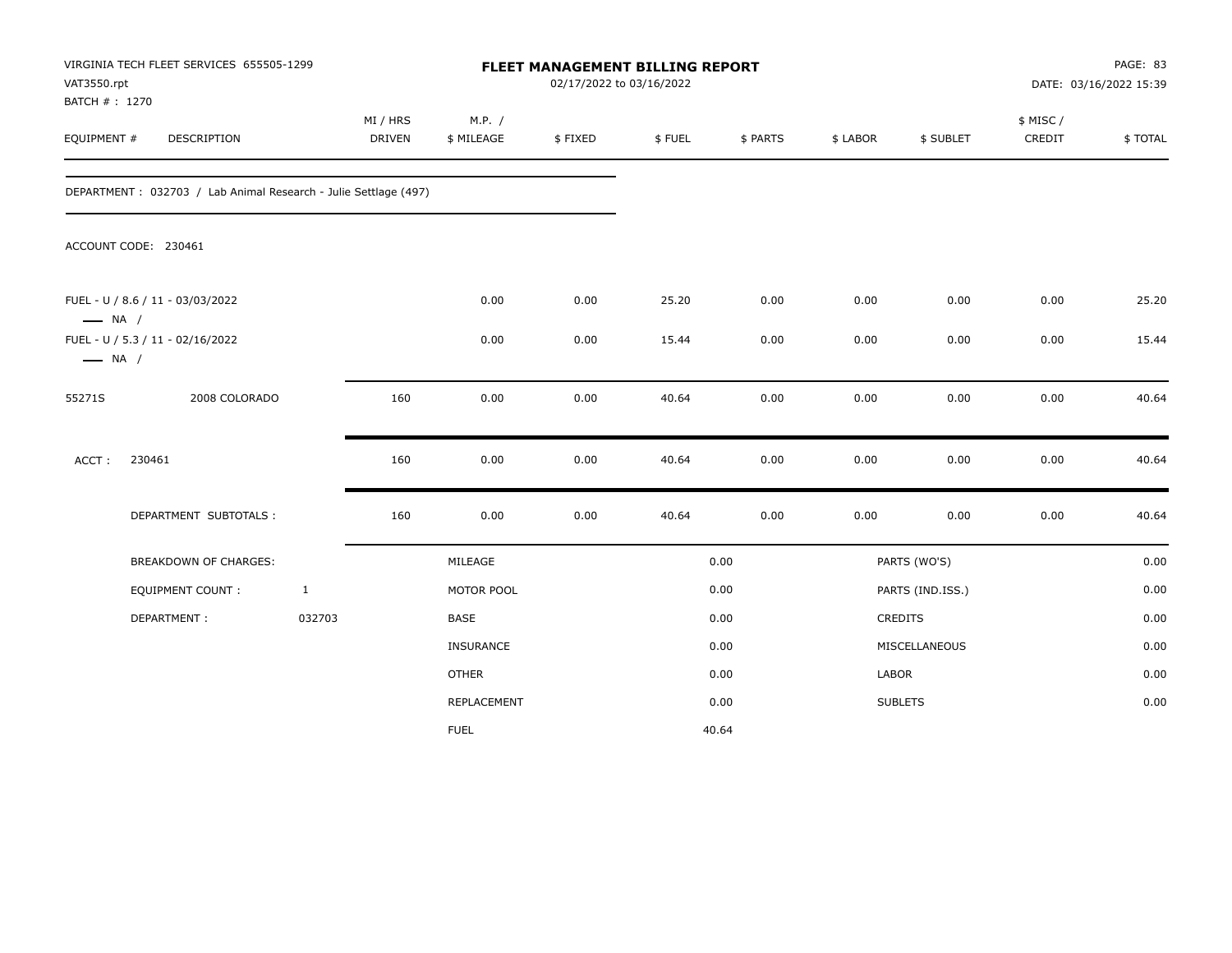| VAT3550.rpt<br>BATCH #: 1270 | VIRGINIA TECH FLEET SERVICES 655505-1299                         |              |                           |                      | 02/17/2022 to 03/16/2022 | FLEET MANAGEMENT BILLING REPORT |          |          |                  |                    | PAGE: 83<br>DATE: 03/16/2022 15:39 |
|------------------------------|------------------------------------------------------------------|--------------|---------------------------|----------------------|--------------------------|---------------------------------|----------|----------|------------------|--------------------|------------------------------------|
| EQUIPMENT #                  | DESCRIPTION                                                      |              | MI / HRS<br><b>DRIVEN</b> | M.P. /<br>\$ MILEAGE | \$FIXED                  | \$FUEL                          | \$ PARTS | \$ LABOR | \$ SUBLET        | \$ MISC/<br>CREDIT | \$TOTAL                            |
|                              | DEPARTMENT : 032703 / Lab Animal Research - Julie Settlage (497) |              |                           |                      |                          |                                 |          |          |                  |                    |                                    |
|                              | ACCOUNT CODE: 230461                                             |              |                           |                      |                          |                                 |          |          |                  |                    |                                    |
| $\longrightarrow$ NA /       | FUEL - U / 8.6 / 11 - 03/03/2022                                 |              |                           | 0.00                 | 0.00                     | 25.20                           | 0.00     | 0.00     | 0.00             | 0.00               | 25.20                              |
| $\longrightarrow$ NA /       | FUEL - U / 5.3 / 11 - 02/16/2022                                 |              |                           | 0.00                 | 0.00                     | 15.44                           | 0.00     | 0.00     | 0.00             | 0.00               | 15.44                              |
| 55271S                       | 2008 COLORADO                                                    |              | 160                       | 0.00                 | 0.00                     | 40.64                           | 0.00     | 0.00     | 0.00             | 0.00               | 40.64                              |
| ACCT:                        | 230461                                                           |              | 160                       | 0.00                 | 0.00                     | 40.64                           | 0.00     | 0.00     | 0.00             | 0.00               | 40.64                              |
|                              | DEPARTMENT SUBTOTALS :                                           |              | 160                       | 0.00                 | 0.00                     | 40.64                           | 0.00     | 0.00     | 0.00             | 0.00               | 40.64                              |
|                              | <b>BREAKDOWN OF CHARGES:</b>                                     |              |                           | MILEAGE              |                          |                                 | 0.00     |          | PARTS (WO'S)     |                    | 0.00                               |
|                              | <b>EQUIPMENT COUNT:</b>                                          | $\mathbf{1}$ |                           | MOTOR POOL           |                          |                                 | 0.00     |          | PARTS (IND.ISS.) |                    | 0.00                               |
|                              | DEPARTMENT:                                                      | 032703       |                           | BASE                 |                          |                                 | 0.00     |          | CREDITS          |                    | 0.00                               |
|                              |                                                                  |              |                           | <b>INSURANCE</b>     |                          |                                 | 0.00     |          | MISCELLANEOUS    |                    | 0.00                               |
|                              |                                                                  |              |                           | <b>OTHER</b>         |                          |                                 | 0.00     | LABOR    |                  |                    | 0.00                               |
|                              |                                                                  |              |                           | REPLACEMENT          |                          |                                 | 0.00     |          | <b>SUBLETS</b>   |                    | 0.00                               |
|                              |                                                                  |              |                           | <b>FUEL</b>          |                          |                                 | 40.64    |          |                  |                    |                                    |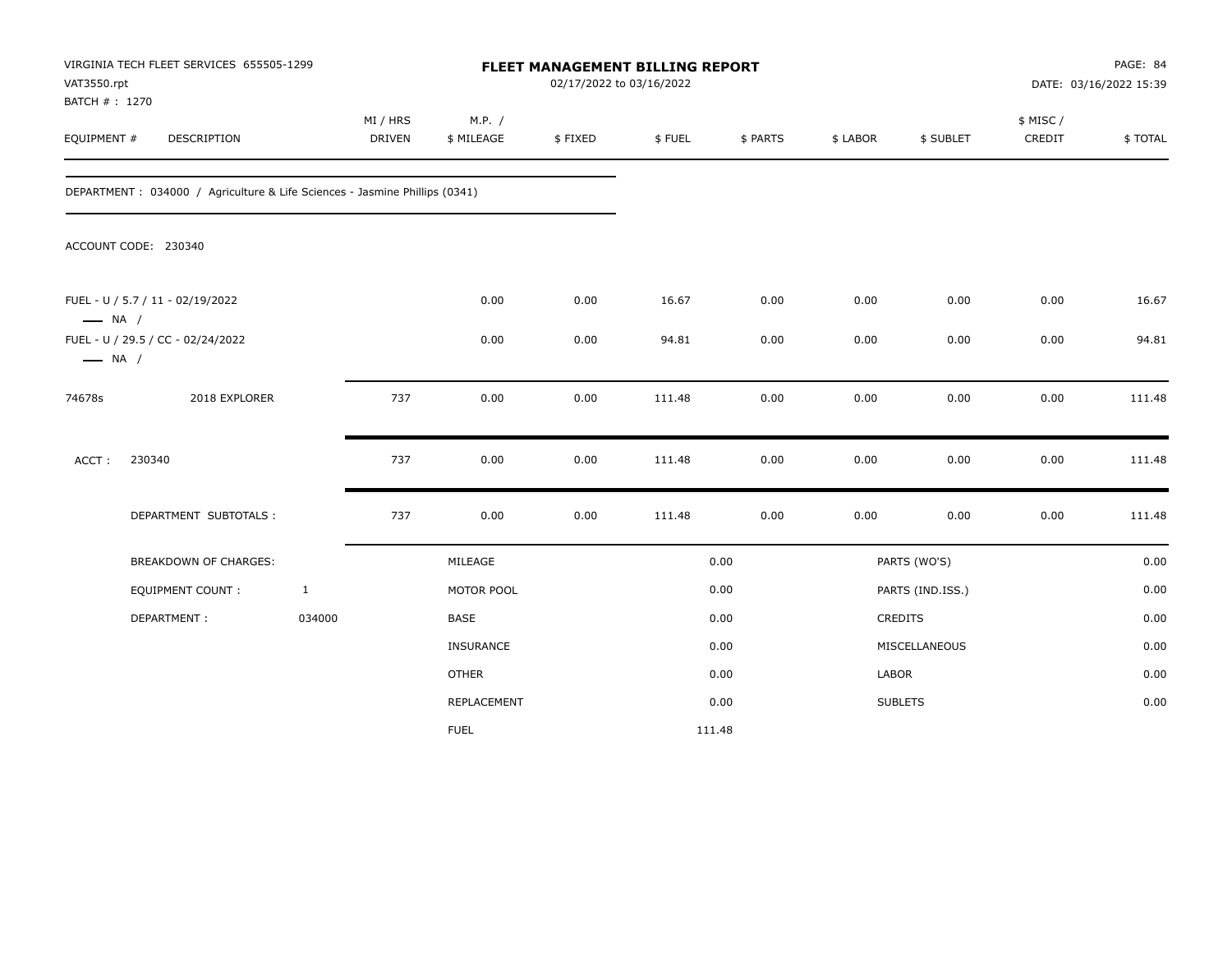| VAT3550.rpt<br>BATCH #: 1270 | VIRGINIA TECH FLEET SERVICES 655505-1299                                    |              |                    |                      | 02/17/2022 to 03/16/2022 | FLEET MANAGEMENT BILLING REPORT |          |          |                  |                    | PAGE: 84<br>DATE: 03/16/2022 15:39 |
|------------------------------|-----------------------------------------------------------------------------|--------------|--------------------|----------------------|--------------------------|---------------------------------|----------|----------|------------------|--------------------|------------------------------------|
| EQUIPMENT #                  | DESCRIPTION                                                                 |              | MI / HRS<br>DRIVEN | M.P. /<br>\$ MILEAGE | \$FIXED                  | \$FUEL                          | \$ PARTS | \$ LABOR | \$ SUBLET        | \$ MISC/<br>CREDIT | \$TOTAL                            |
|                              | DEPARTMENT : 034000 / Agriculture & Life Sciences - Jasmine Phillips (0341) |              |                    |                      |                          |                                 |          |          |                  |                    |                                    |
|                              | ACCOUNT CODE: 230340                                                        |              |                    |                      |                          |                                 |          |          |                  |                    |                                    |
| $\longrightarrow$ NA /       | FUEL - U / 5.7 / 11 - 02/19/2022                                            |              |                    | 0.00                 | 0.00                     | 16.67                           | 0.00     | 0.00     | 0.00             | 0.00               | 16.67                              |
| $\longrightarrow$ NA /       | FUEL - U / 29.5 / CC - 02/24/2022                                           |              |                    | 0.00                 | 0.00                     | 94.81                           | 0.00     | 0.00     | 0.00             | 0.00               | 94.81                              |
| 74678s                       | 2018 EXPLORER                                                               |              | 737                | 0.00                 | 0.00                     | 111.48                          | 0.00     | 0.00     | 0.00             | 0.00               | 111.48                             |
| ACCT:                        | 230340                                                                      |              | 737                | 0.00                 | 0.00                     | 111.48                          | 0.00     | 0.00     | 0.00             | 0.00               | 111.48                             |
|                              | DEPARTMENT SUBTOTALS :                                                      |              | 737                | 0.00                 | 0.00                     | 111.48                          | 0.00     | 0.00     | 0.00             | 0.00               | 111.48                             |
|                              | <b>BREAKDOWN OF CHARGES:</b>                                                |              |                    | MILEAGE              |                          |                                 | 0.00     |          | PARTS (WO'S)     |                    | 0.00                               |
|                              | EQUIPMENT COUNT :                                                           | $\mathbf{1}$ |                    | MOTOR POOL           |                          |                                 | 0.00     |          | PARTS (IND.ISS.) |                    | 0.00                               |
|                              | DEPARTMENT:                                                                 | 034000       |                    | BASE                 |                          |                                 | 0.00     |          | CREDITS          |                    | 0.00                               |
|                              |                                                                             |              |                    | INSURANCE            |                          |                                 | 0.00     |          | MISCELLANEOUS    |                    | 0.00                               |
|                              |                                                                             |              |                    | <b>OTHER</b>         |                          |                                 | 0.00     | LABOR    |                  |                    | 0.00                               |
|                              |                                                                             |              |                    | REPLACEMENT          |                          |                                 | 0.00     |          | <b>SUBLETS</b>   |                    | 0.00                               |
|                              |                                                                             |              |                    | <b>FUEL</b>          |                          |                                 | 111.48   |          |                  |                    |                                    |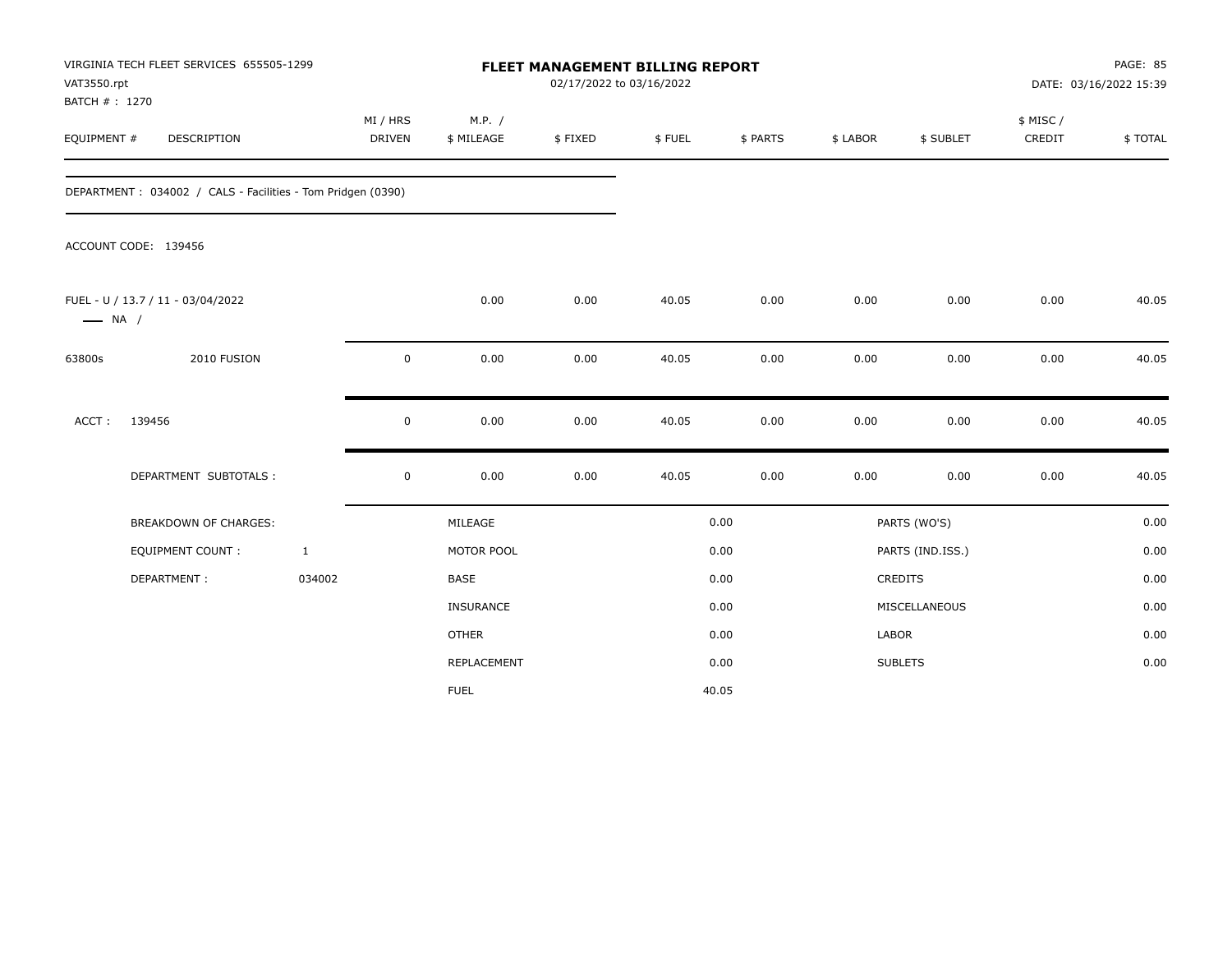| VAT3550.rpt            | VIRGINIA TECH FLEET SERVICES 655505-1299<br>BATCH #: 1270<br><b>DESCRIPTION</b> |              | FLEET MANAGEMENT BILLING REPORT<br>02/17/2022 to 03/16/2022<br>M.P. /<br>MI / HRS |              |         |        |          |          |                  |                     | PAGE: 85<br>DATE: 03/16/2022 15:39 |
|------------------------|---------------------------------------------------------------------------------|--------------|-----------------------------------------------------------------------------------|--------------|---------|--------|----------|----------|------------------|---------------------|------------------------------------|
| EQUIPMENT #            |                                                                                 |              | DRIVEN                                                                            | \$ MILEAGE   | \$FIXED | \$FUEL | \$ PARTS | \$ LABOR | \$ SUBLET        | \$ MISC /<br>CREDIT | \$TOTAL                            |
|                        | DEPARTMENT: 034002 / CALS - Facilities - Tom Pridgen (0390)                     |              |                                                                                   |              |         |        |          |          |                  |                     |                                    |
|                        | ACCOUNT CODE: 139456                                                            |              |                                                                                   |              |         |        |          |          |                  |                     |                                    |
| $\longrightarrow$ NA / | FUEL - U / 13.7 / 11 - 03/04/2022                                               |              |                                                                                   | 0.00         | 0.00    | 40.05  | 0.00     | 0.00     | 0.00             | 0.00                | 40.05                              |
| 63800s                 | 2010 FUSION                                                                     |              | $\pmb{0}$                                                                         | 0.00         | 0.00    | 40.05  | 0.00     | 0.00     | 0.00             | 0.00                | 40.05                              |
| ACCT:                  | 139456                                                                          |              | 0                                                                                 | 0.00         | 0.00    | 40.05  | 0.00     | 0.00     | 0.00             | 0.00                | 40.05                              |
|                        | DEPARTMENT SUBTOTALS :                                                          |              | $\pmb{0}$                                                                         | 0.00         | 0.00    | 40.05  | 0.00     | 0.00     | 0.00             | 0.00                | 40.05                              |
|                        | <b>BREAKDOWN OF CHARGES:</b>                                                    |              |                                                                                   | MILEAGE      |         |        | 0.00     |          | PARTS (WO'S)     |                     | 0.00                               |
|                        | <b>EQUIPMENT COUNT:</b>                                                         | $\mathbf{1}$ |                                                                                   | MOTOR POOL   |         |        | 0.00     |          | PARTS (IND.ISS.) |                     | 0.00                               |
|                        | DEPARTMENT:                                                                     | 034002       |                                                                                   | <b>BASE</b>  |         |        | 0.00     |          | <b>CREDITS</b>   |                     | 0.00                               |
|                        |                                                                                 |              |                                                                                   | INSURANCE    |         |        | 0.00     |          | MISCELLANEOUS    |                     | 0.00                               |
|                        |                                                                                 |              |                                                                                   | <b>OTHER</b> |         |        | 0.00     | LABOR    |                  |                     | 0.00                               |
|                        |                                                                                 |              |                                                                                   | REPLACEMENT  |         |        | 0.00     |          | <b>SUBLETS</b>   |                     | 0.00                               |
|                        |                                                                                 |              |                                                                                   | <b>FUEL</b>  |         |        | 40.05    |          |                  |                     |                                    |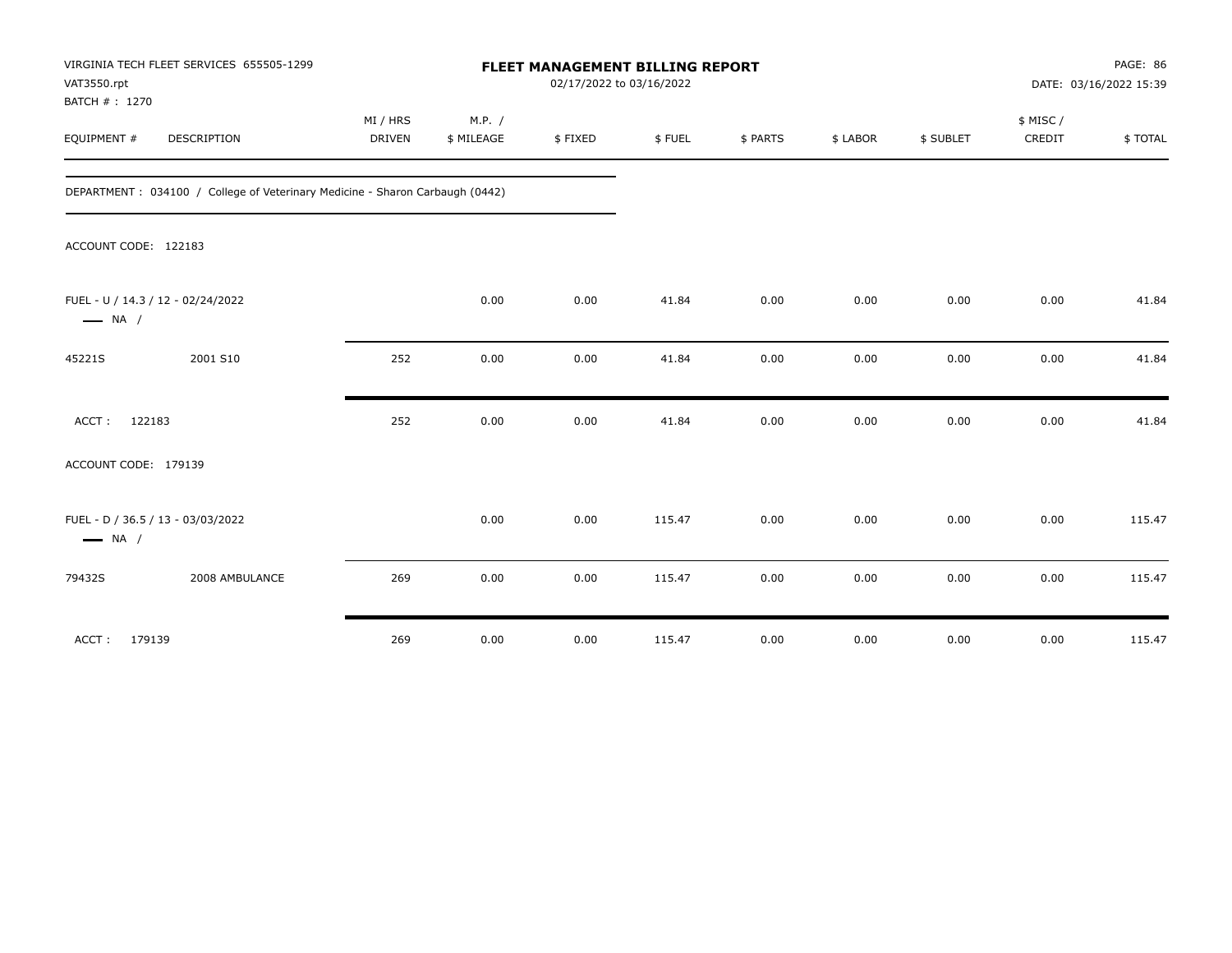| VAT3550.rpt<br>BATCH #: 1270 | VIRGINIA TECH FLEET SERVICES 655505-1299                                     |          |            |         | FLEET MANAGEMENT BILLING REPORT<br>02/17/2022 to 03/16/2022 |          |          |           |          | PAGE: 86<br>DATE: 03/16/2022 15:39 |
|------------------------------|------------------------------------------------------------------------------|----------|------------|---------|-------------------------------------------------------------|----------|----------|-----------|----------|------------------------------------|
|                              |                                                                              | MI / HRS | M.P. /     |         |                                                             |          |          |           | \$ MISC/ |                                    |
| EQUIPMENT #                  | DESCRIPTION                                                                  | DRIVEN   | \$ MILEAGE | \$FIXED | \$FUEL                                                      | \$ PARTS | \$ LABOR | \$ SUBLET | CREDIT   | \$TOTAL                            |
|                              | DEPARTMENT: 034100 / College of Veterinary Medicine - Sharon Carbaugh (0442) |          |            |         |                                                             |          |          |           |          |                                    |
| ACCOUNT CODE: 122183         |                                                                              |          |            |         |                                                             |          |          |           |          |                                    |
| $\longrightarrow$ NA /       | FUEL - U / 14.3 / 12 - 02/24/2022                                            |          | 0.00       | 0.00    | 41.84                                                       | 0.00     | 0.00     | 0.00      | 0.00     | 41.84                              |
| 45221S                       | 2001 S10                                                                     | 252      | 0.00       | 0.00    | 41.84                                                       | 0.00     | 0.00     | 0.00      | 0.00     | 41.84                              |
| 122183<br>ACCT:              |                                                                              | 252      | 0.00       | 0.00    | 41.84                                                       | 0.00     | 0.00     | 0.00      | 0.00     | 41.84                              |
| ACCOUNT CODE: 179139         |                                                                              |          |            |         |                                                             |          |          |           |          |                                    |
| $\longrightarrow$ NA /       | FUEL - D / 36.5 / 13 - 03/03/2022                                            |          | 0.00       | 0.00    | 115.47                                                      | 0.00     | 0.00     | 0.00      | 0.00     | 115.47                             |
| 79432S                       | 2008 AMBULANCE                                                               | 269      | 0.00       | 0.00    | 115.47                                                      | 0.00     | 0.00     | 0.00      | 0.00     | 115.47                             |
| 179139<br>ACCT:              |                                                                              | 269      | 0.00       | 0.00    | 115.47                                                      | 0.00     | 0.00     | 0.00      | 0.00     | 115.47                             |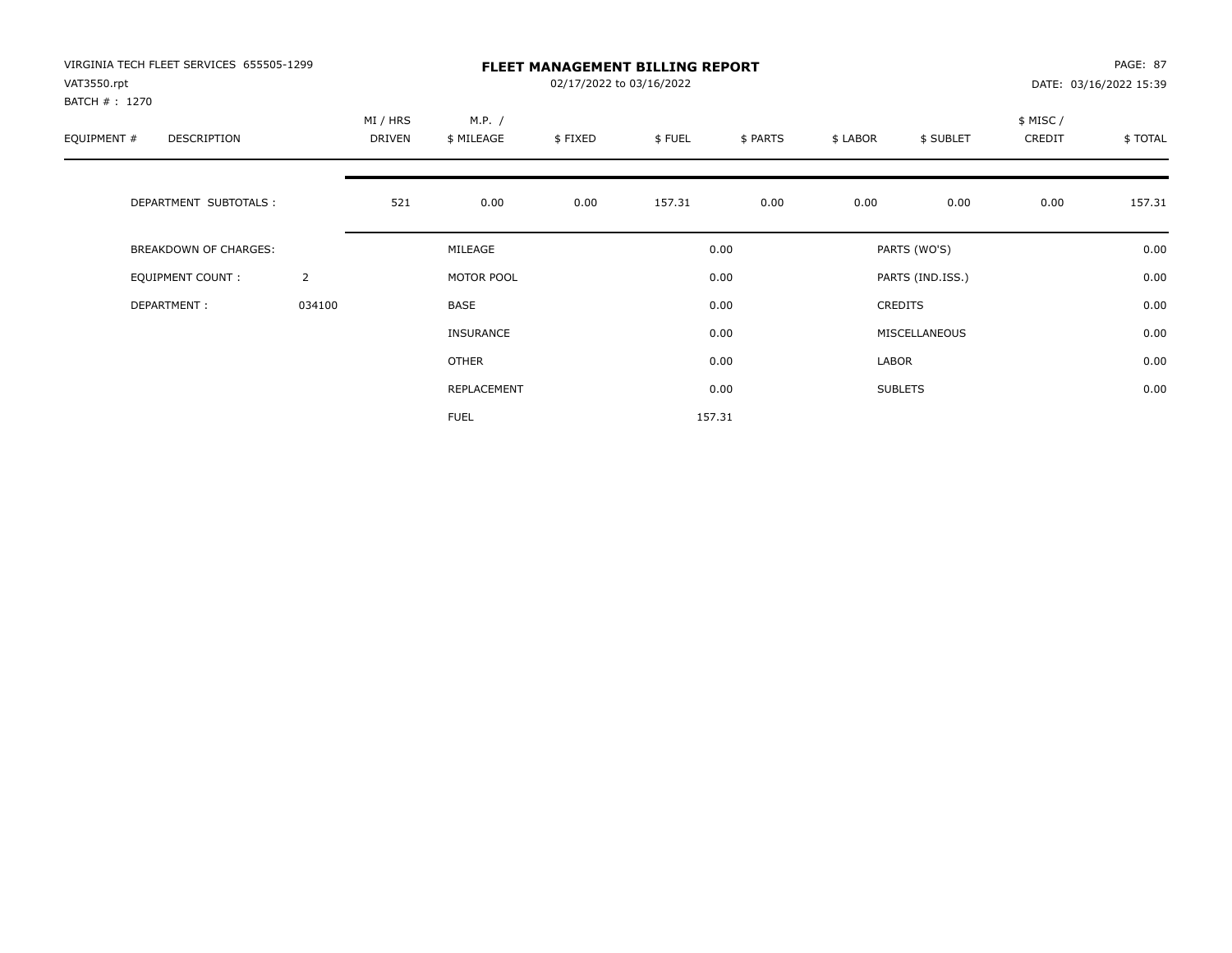| VIRGINIA TECH FLEET SERVICES 655505-1299<br>VAT3550.rpt |                | <b>FLEET MANAGEMENT BILLING REPORT</b><br>02/17/2022 to 03/16/2022<br>DATE: 03/16/2022 15:39 |                      |         |        |          |          |                  |                    |         |
|---------------------------------------------------------|----------------|----------------------------------------------------------------------------------------------|----------------------|---------|--------|----------|----------|------------------|--------------------|---------|
| BATCH # : 1270<br>EQUIPMENT #<br>DESCRIPTION            |                | MI / HRS<br>DRIVEN                                                                           | M.P. /<br>\$ MILEAGE | \$FIXED | \$FUEL | \$ PARTS | \$ LABOR | \$ SUBLET        | \$ MISC/<br>CREDIT | \$TOTAL |
| DEPARTMENT SUBTOTALS :                                  |                | 521                                                                                          | 0.00                 | 0.00    | 157.31 | 0.00     | 0.00     | 0.00             | 0.00               | 157.31  |
| BREAKDOWN OF CHARGES:                                   |                |                                                                                              | MILEAGE              |         |        | 0.00     |          | PARTS (WO'S)     |                    | 0.00    |
| <b>EQUIPMENT COUNT:</b>                                 | $\overline{2}$ |                                                                                              | MOTOR POOL           |         |        | 0.00     |          | PARTS (IND.ISS.) |                    | 0.00    |
| DEPARTMENT:                                             | 034100         |                                                                                              | BASE                 |         |        | 0.00     |          | <b>CREDITS</b>   |                    | 0.00    |
|                                                         |                |                                                                                              | <b>INSURANCE</b>     |         |        | 0.00     |          | MISCELLANEOUS    |                    | 0.00    |
|                                                         |                |                                                                                              | OTHER                |         |        | 0.00     | LABOR    |                  |                    | 0.00    |
|                                                         |                |                                                                                              | REPLACEMENT          |         |        | 0.00     |          | <b>SUBLETS</b>   |                    | 0.00    |
|                                                         |                |                                                                                              | <b>FUEL</b>          |         |        | 157.31   |          |                  |                    |         |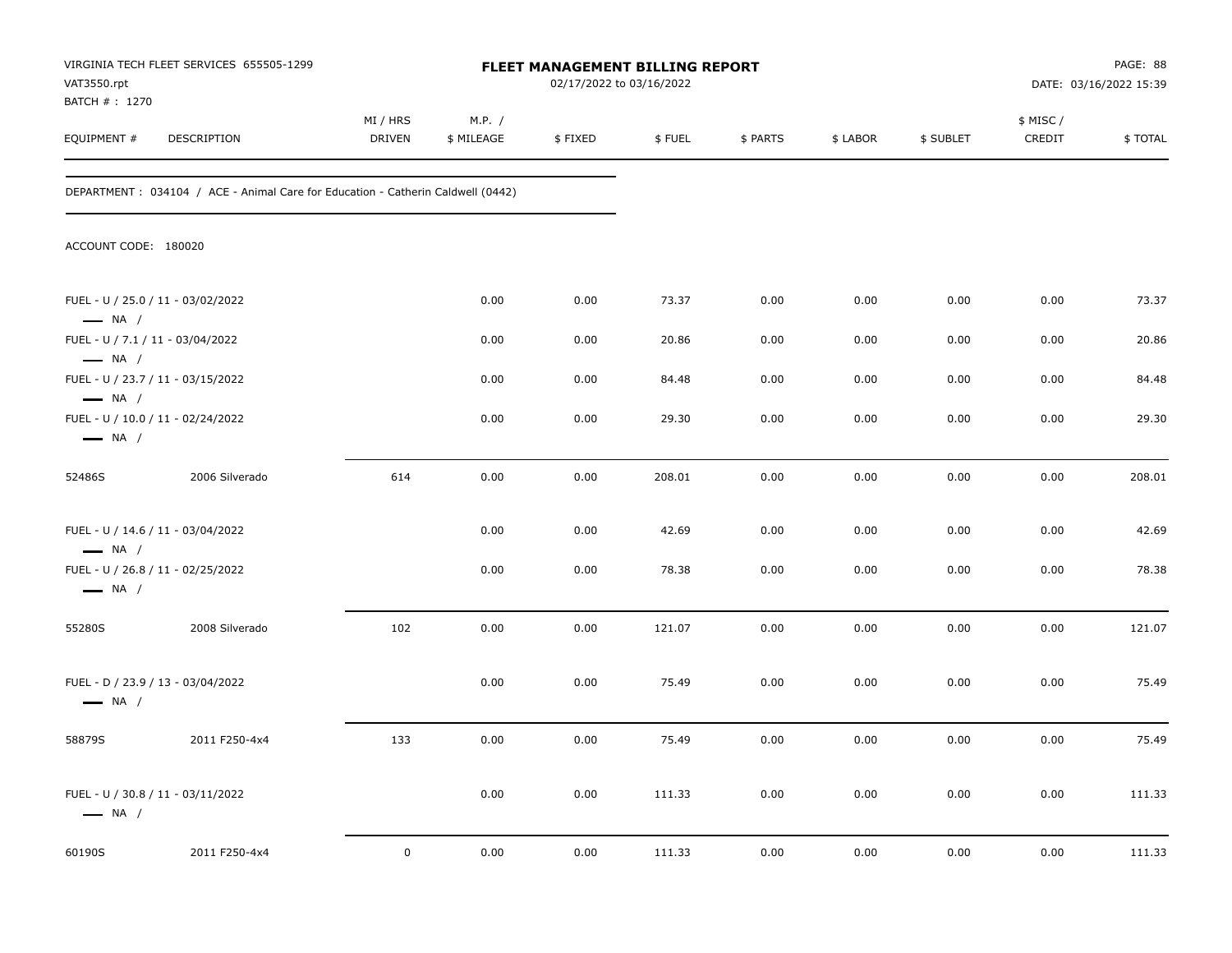| VAT3550.rpt                                                | VIRGINIA TECH FLEET SERVICES 655505-1299                                         |                           |                      | <b>FLEET MANAGEMENT BILLING REPORT</b><br>02/17/2022 to 03/16/2022 |        |          |          |           |                     | PAGE: 88<br>DATE: 03/16/2022 15:39 |
|------------------------------------------------------------|----------------------------------------------------------------------------------|---------------------------|----------------------|--------------------------------------------------------------------|--------|----------|----------|-----------|---------------------|------------------------------------|
| BATCH # : 1270<br>EQUIPMENT #                              | DESCRIPTION                                                                      | MI / HRS<br><b>DRIVEN</b> | M.P. /<br>\$ MILEAGE | \$FIXED                                                            | \$FUEL | \$ PARTS | \$ LABOR | \$ SUBLET | \$ MISC /<br>CREDIT | \$TOTAL                            |
|                                                            | DEPARTMENT : 034104 / ACE - Animal Care for Education - Catherin Caldwell (0442) |                           |                      |                                                                    |        |          |          |           |                     |                                    |
| ACCOUNT CODE: 180020                                       |                                                                                  |                           |                      |                                                                    |        |          |          |           |                     |                                    |
| $\longrightarrow$ NA /                                     | FUEL - U / 25.0 / 11 - 03/02/2022                                                |                           | 0.00                 | 0.00                                                               | 73.37  | 0.00     | 0.00     | 0.00      | 0.00                | 73.37                              |
| FUEL - U / 7.1 / 11 - 03/04/2022<br>$\longrightarrow$ NA / |                                                                                  |                           | 0.00                 | 0.00                                                               | 20.86  | 0.00     | 0.00     | 0.00      | 0.00                | 20.86                              |
| $\longrightarrow$ NA /                                     | FUEL - U / 23.7 / 11 - 03/15/2022                                                |                           | 0.00                 | 0.00                                                               | 84.48  | 0.00     | 0.00     | 0.00      | 0.00                | 84.48                              |
| $\longrightarrow$ NA /                                     | FUEL - U / 10.0 / 11 - 02/24/2022                                                |                           | 0.00                 | 0.00                                                               | 29.30  | 0.00     | 0.00     | 0.00      | 0.00                | 29.30                              |
| 52486S                                                     | 2006 Silverado                                                                   | 614                       | 0.00                 | 0.00                                                               | 208.01 | 0.00     | 0.00     | 0.00      | 0.00                | 208.01                             |
| $\longrightarrow$ NA /                                     | FUEL - U / 14.6 / 11 - 03/04/2022                                                |                           | 0.00                 | 0.00                                                               | 42.69  | 0.00     | 0.00     | 0.00      | 0.00                | 42.69                              |
| $\longrightarrow$ NA /                                     | FUEL - U / 26.8 / 11 - 02/25/2022                                                |                           | 0.00                 | 0.00                                                               | 78.38  | 0.00     | 0.00     | 0.00      | 0.00                | 78.38                              |
| 55280S                                                     | 2008 Silverado                                                                   | 102                       | 0.00                 | 0.00                                                               | 121.07 | 0.00     | 0.00     | 0.00      | 0.00                | 121.07                             |
| $\longrightarrow$ NA /                                     | FUEL - D / 23.9 / 13 - 03/04/2022                                                |                           | 0.00                 | 0.00                                                               | 75.49  | 0.00     | 0.00     | 0.00      | 0.00                | 75.49                              |
| 58879S                                                     | 2011 F250-4x4                                                                    | 133                       | 0.00                 | 0.00                                                               | 75.49  | 0.00     | 0.00     | 0.00      | 0.00                | 75.49                              |
| $\longrightarrow$ NA /                                     | FUEL - U / 30.8 / 11 - 03/11/2022                                                |                           | 0.00                 | 0.00                                                               | 111.33 | 0.00     | 0.00     | 0.00      | 0.00                | 111.33                             |
| 60190S                                                     | 2011 F250-4x4                                                                    | $\mathbf 0$               | 0.00                 | 0.00                                                               | 111.33 | 0.00     | 0.00     | 0.00      | 0.00                | 111.33                             |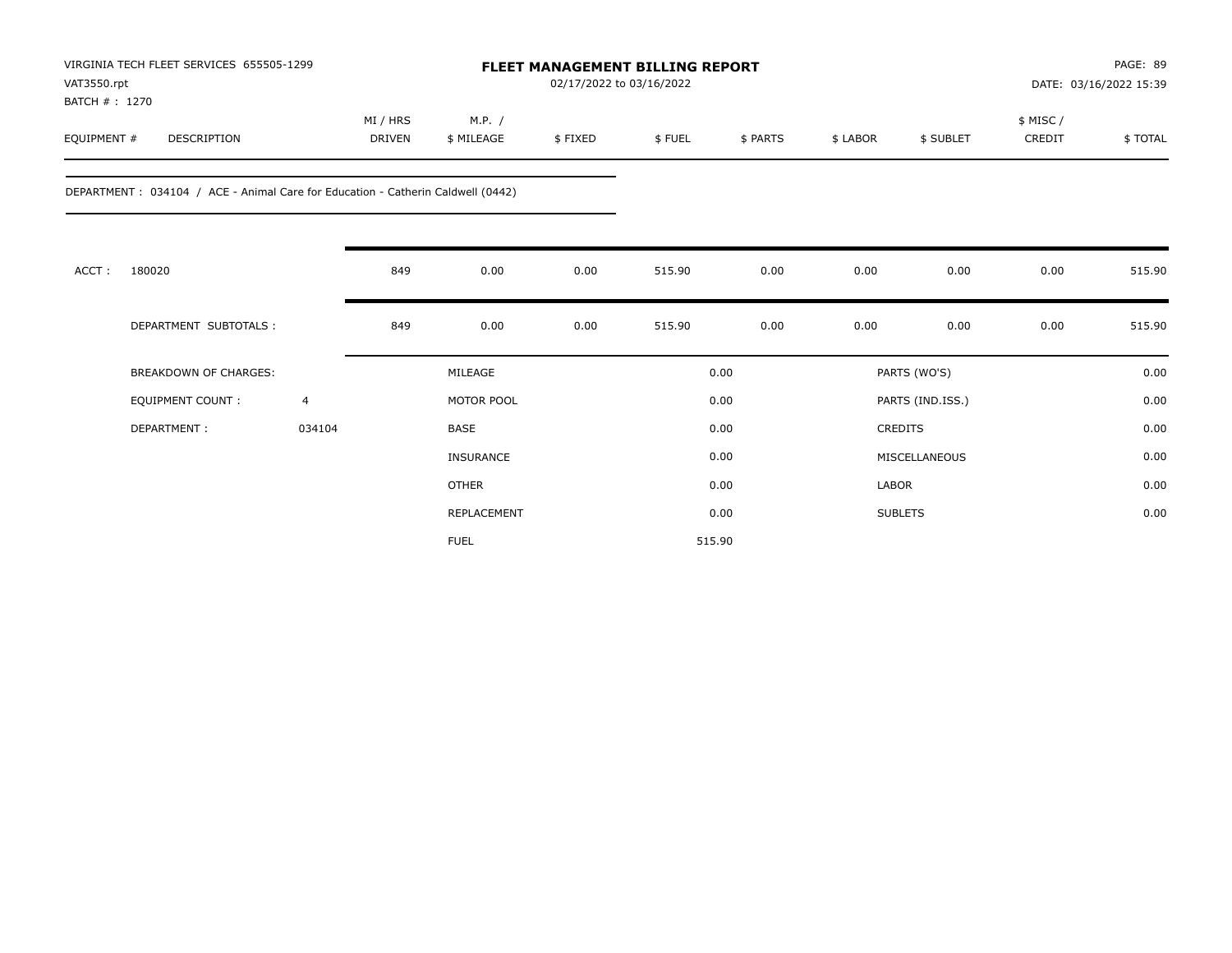| VIRGINIA TECH FLEET SERVICES 655505-1299 |             |               | <b>FLEET MANAGEMENT BILLING REPORT</b> |                          |        |          |          |           | PAGE: 89 |                        |  |  |
|------------------------------------------|-------------|---------------|----------------------------------------|--------------------------|--------|----------|----------|-----------|----------|------------------------|--|--|
| VAT3550.rpt                              |             |               |                                        | 02/17/2022 to 03/16/2022 |        |          |          |           |          | DATE: 03/16/2022 15:39 |  |  |
| BATCH #: 1270                            |             |               |                                        |                          |        |          |          |           |          |                        |  |  |
|                                          |             | MI / HRS      | M.P.                                   |                          |        |          |          |           | \$ MISC/ |                        |  |  |
| EQUIPMENT #                              | DESCRIPTION | <b>DRIVEN</b> | \$ MILEAGE                             | \$FIXED                  | \$FUEL | \$ PARTS | \$ LABOR | \$ SUBLET | CREDIT   | \$TOTAL                |  |  |
|                                          |             |               |                                        |                          |        |          |          |           |          |                        |  |  |

DEPARTMENT : 034104 / ACE - Animal Care for Education - Catherin Caldwell (0442)

| ACCT: | 180020                       |                | 849 | 0.00         | 0.00 | 515.90 | 0.00 | 0.00           | 0.00             | 0.00 | 515.90 |
|-------|------------------------------|----------------|-----|--------------|------|--------|------|----------------|------------------|------|--------|
|       | DEPARTMENT SUBTOTALS :       |                | 849 | 0.00         | 0.00 | 515.90 | 0.00 | 0.00           | 0.00             | 0.00 | 515.90 |
|       | <b>BREAKDOWN OF CHARGES:</b> |                |     | MILEAGE      |      | 0.00   |      |                | PARTS (WO'S)     |      | 0.00   |
|       | EQUIPMENT COUNT:             | $\overline{4}$ |     | MOTOR POOL   |      | 0.00   |      |                | PARTS (IND.ISS.) |      | 0.00   |
|       | DEPARTMENT:                  | 034104         |     | BASE         |      | 0.00   |      | CREDITS        |                  |      | 0.00   |
|       |                              |                |     | INSURANCE    |      | 0.00   |      |                | MISCELLANEOUS    |      | 0.00   |
|       |                              |                |     | <b>OTHER</b> |      | 0.00   |      | LABOR          |                  |      | 0.00   |
|       |                              |                |     | REPLACEMENT  |      | 0.00   |      | <b>SUBLETS</b> |                  |      | 0.00   |
|       |                              |                |     | <b>FUEL</b>  |      | 515.90 |      |                |                  |      |        |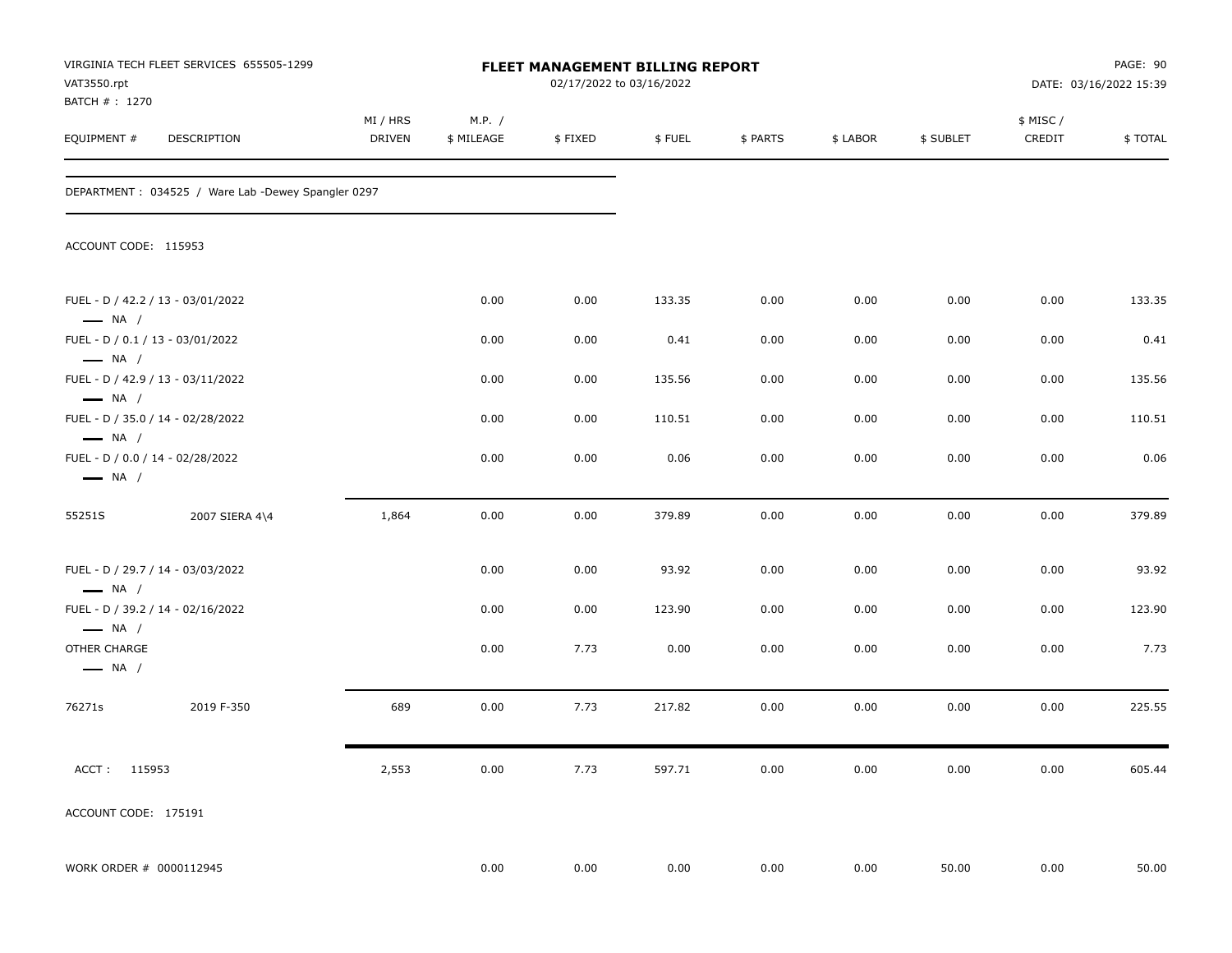| VAT3550.rpt                                                                           | VIRGINIA TECH FLEET SERVICES 655505-1299           |                    |                      | FLEET MANAGEMENT BILLING REPORT<br>02/17/2022 to 03/16/2022 |        |          |          |           |                    | PAGE: 90<br>DATE: 03/16/2022 15:39 |
|---------------------------------------------------------------------------------------|----------------------------------------------------|--------------------|----------------------|-------------------------------------------------------------|--------|----------|----------|-----------|--------------------|------------------------------------|
| BATCH # : 1270<br>EQUIPMENT #                                                         | DESCRIPTION                                        | MI / HRS<br>DRIVEN | M.P. /<br>\$ MILEAGE | \$FIXED                                                     | \$FUEL | \$ PARTS | \$ LABOR | \$ SUBLET | \$ MISC/<br>CREDIT | \$TOTAL                            |
|                                                                                       | DEPARTMENT: 034525 / Ware Lab -Dewey Spangler 0297 |                    |                      |                                                             |        |          |          |           |                    |                                    |
| ACCOUNT CODE: 115953                                                                  |                                                    |                    |                      |                                                             |        |          |          |           |                    |                                    |
| FUEL - D / 42.2 / 13 - 03/01/2022<br>$\longrightarrow$ NA /                           |                                                    |                    | 0.00                 | 0.00                                                        | 133.35 | 0.00     | 0.00     | 0.00      | 0.00               | 133.35                             |
| FUEL - D / 0.1 / 13 - 03/01/2022                                                      |                                                    |                    | 0.00                 | 0.00                                                        | 0.41   | 0.00     | 0.00     | 0.00      | 0.00               | 0.41                               |
| $\longrightarrow$ NA /<br>FUEL - D / 42.9 / 13 - 03/11/2022<br>$\longrightarrow$ NA / |                                                    |                    | 0.00                 | 0.00                                                        | 135.56 | 0.00     | 0.00     | 0.00      | 0.00               | 135.56                             |
| FUEL - D / 35.0 / 14 - 02/28/2022<br>$\longrightarrow$ NA /                           |                                                    |                    | 0.00                 | 0.00                                                        | 110.51 | 0.00     | 0.00     | 0.00      | 0.00               | 110.51                             |
| FUEL - D / 0.0 / 14 - 02/28/2022<br>$\longrightarrow$ NA /                            |                                                    |                    | 0.00                 | 0.00                                                        | 0.06   | 0.00     | 0.00     | 0.00      | 0.00               | 0.06                               |
| 55251S                                                                                | 2007 SIERA 4\4                                     | 1,864              | 0.00                 | 0.00                                                        | 379.89 | 0.00     | 0.00     | 0.00      | 0.00               | 379.89                             |
| FUEL - D / 29.7 / 14 - 03/03/2022<br>$\longrightarrow$ NA /                           |                                                    |                    | 0.00                 | 0.00                                                        | 93.92  | 0.00     | 0.00     | 0.00      | 0.00               | 93.92                              |
| FUEL - D / 39.2 / 14 - 02/16/2022<br>$\longrightarrow$ NA /                           |                                                    |                    | 0.00                 | 0.00                                                        | 123.90 | 0.00     | 0.00     | 0.00      | 0.00               | 123.90                             |
| OTHER CHARGE<br>$\longrightarrow$ NA /                                                |                                                    |                    | 0.00                 | 7.73                                                        | 0.00   | 0.00     | 0.00     | 0.00      | 0.00               | 7.73                               |
| 76271s                                                                                | 2019 F-350                                         | 689                | 0.00                 | 7.73                                                        | 217.82 | 0.00     | 0.00     | 0.00      | 0.00               | 225.55                             |
| ACCT: 115953                                                                          |                                                    | 2,553              | 0.00                 | 7.73                                                        | 597.71 | 0.00     | 0.00     | 0.00      | 0.00               | 605.44                             |
| ACCOUNT CODE: 175191                                                                  |                                                    |                    |                      |                                                             |        |          |          |           |                    |                                    |
| WORK ORDER # 0000112945                                                               |                                                    |                    | 0.00                 | 0.00                                                        | 0.00   | 0.00     | 0.00     | 50.00     | 0.00               | 50.00                              |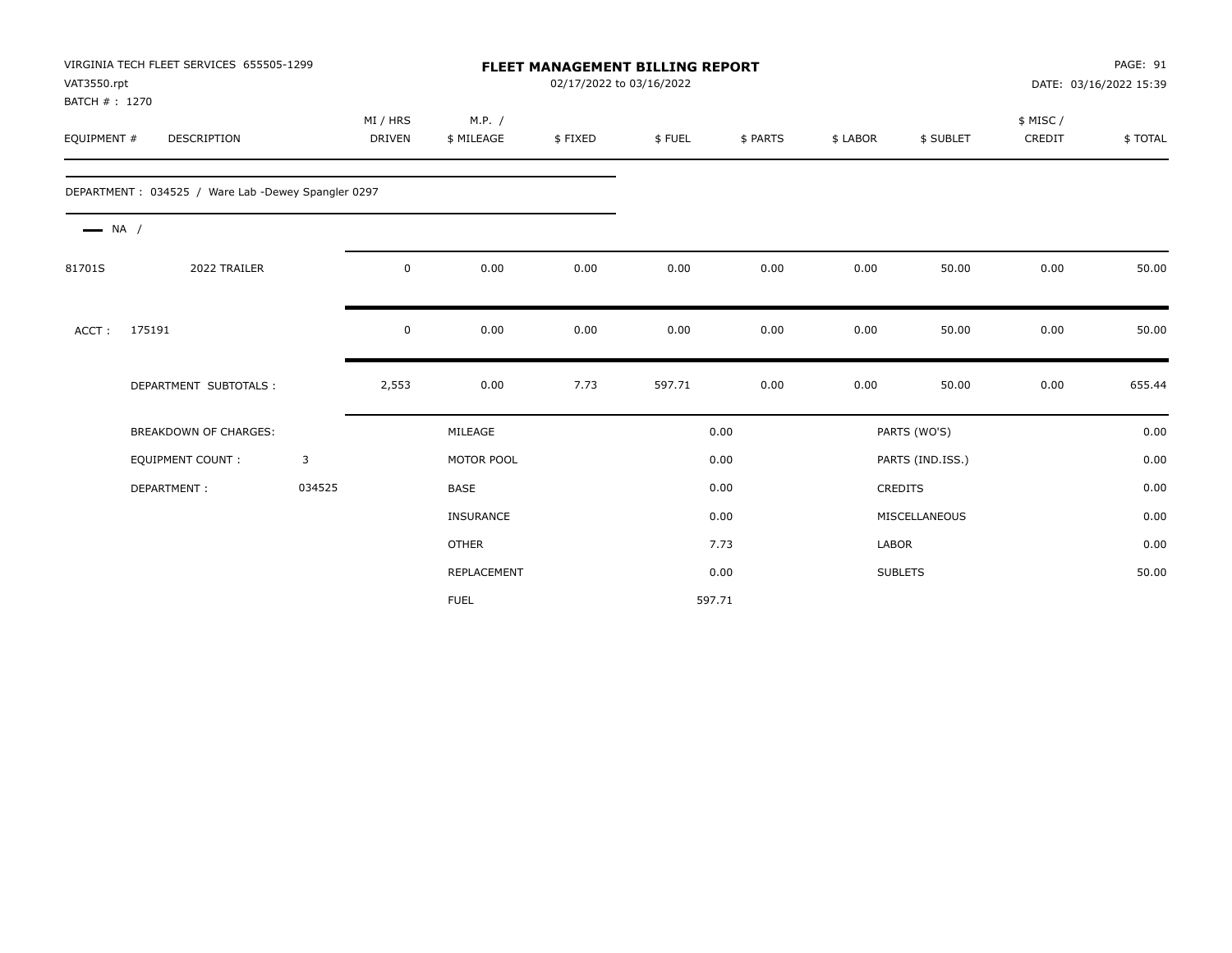| VAT3550.rpt<br>BATCH #: 1270 | VIRGINIA TECH FLEET SERVICES 655505-1299           |        |                           | 02/17/2022 to 03/16/2022 | <b>FLEET MANAGEMENT BILLING REPORT</b> |        | DATE: 03/16/2022 15:39 |              |                  | PAGE: 91           |         |
|------------------------------|----------------------------------------------------|--------|---------------------------|--------------------------|----------------------------------------|--------|------------------------|--------------|------------------|--------------------|---------|
| EQUIPMENT #                  | DESCRIPTION                                        |        | MI / HRS<br><b>DRIVEN</b> | M.P. /<br>\$ MILEAGE     | \$FIXED                                | \$FUEL | \$ PARTS               | \$ LABOR     | \$ SUBLET        | \$ MISC/<br>CREDIT | \$TOTAL |
|                              | DEPARTMENT: 034525 / Ware Lab -Dewey Spangler 0297 |        |                           |                          |                                        |        |                        |              |                  |                    |         |
| $\longrightarrow$ NA /       |                                                    |        |                           |                          |                                        |        |                        |              |                  |                    |         |
| 81701S                       | 2022 TRAILER                                       |        | $\mathbf 0$               | 0.00                     | 0.00                                   | 0.00   | 0.00                   | 0.00         | 50.00            | 0.00               | 50.00   |
| ACCT:                        | 175191                                             |        | $\mathbf 0$               | 0.00                     | 0.00                                   | 0.00   | 0.00                   | 0.00         | 50.00            | 0.00               | 50.00   |
|                              | DEPARTMENT SUBTOTALS :                             |        | 2,553                     | 0.00                     | 7.73                                   | 597.71 | 0.00                   | 0.00         | 50.00            | 0.00               | 655.44  |
|                              | BREAKDOWN OF CHARGES:                              |        |                           | MILEAGE                  |                                        |        | 0.00                   |              | PARTS (WO'S)     |                    | 0.00    |
|                              | <b>EQUIPMENT COUNT:</b>                            | 3      |                           | MOTOR POOL               |                                        |        | 0.00                   |              | PARTS (IND.ISS.) |                    | 0.00    |
|                              | DEPARTMENT:                                        | 034525 |                           | BASE                     |                                        |        | 0.00                   |              | <b>CREDITS</b>   |                    | 0.00    |
|                              |                                                    |        |                           | <b>INSURANCE</b>         |                                        |        | 0.00                   |              | MISCELLANEOUS    |                    | 0.00    |
|                              |                                                    |        |                           | <b>OTHER</b>             |                                        |        | 7.73                   | <b>LABOR</b> |                  |                    | 0.00    |
|                              |                                                    |        |                           | REPLACEMENT              |                                        |        | 0.00                   |              | <b>SUBLETS</b>   |                    | 50.00   |
|                              |                                                    |        |                           | <b>FUEL</b>              |                                        |        | 597.71                 |              |                  |                    |         |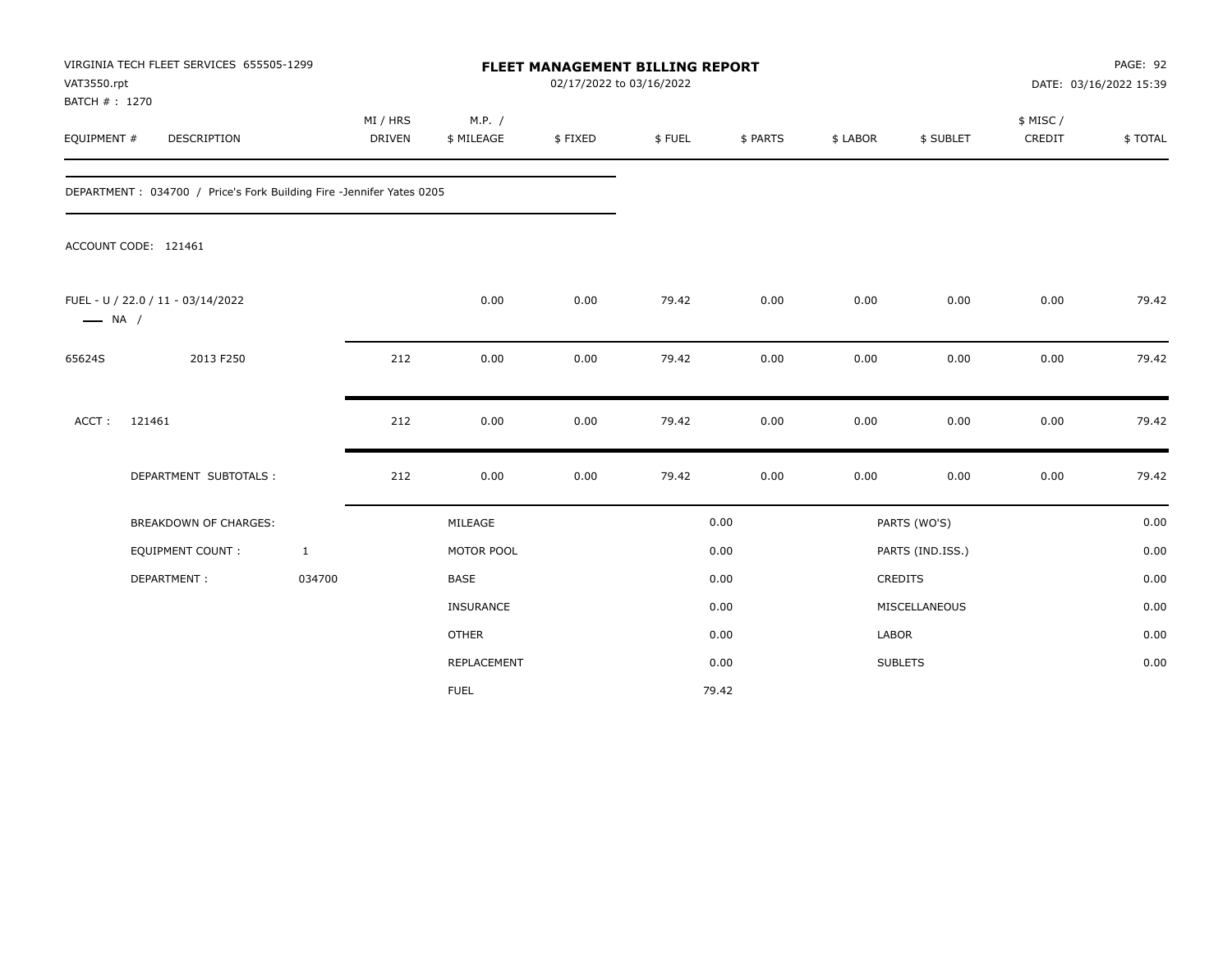| VAT3550.rpt                  | VIRGINIA TECH FLEET SERVICES 655505-1299                             |                           |                      | <b>FLEET MANAGEMENT BILLING REPORT</b><br>02/17/2022 to 03/16/2022 |        |          |              | PAGE: 92<br>DATE: 03/16/2022 15:39 |                     |         |
|------------------------------|----------------------------------------------------------------------|---------------------------|----------------------|--------------------------------------------------------------------|--------|----------|--------------|------------------------------------|---------------------|---------|
| BATCH #: 1270<br>EQUIPMENT # | DESCRIPTION                                                          | MI / HRS<br><b>DRIVEN</b> | M.P. /<br>\$ MILEAGE | \$FIXED                                                            | \$FUEL | \$ PARTS | \$ LABOR     | \$ SUBLET                          | \$ MISC /<br>CREDIT | \$TOTAL |
|                              | DEPARTMENT: 034700 / Price's Fork Building Fire -Jennifer Yates 0205 |                           |                      |                                                                    |        |          |              |                                    |                     |         |
|                              | ACCOUNT CODE: 121461                                                 |                           |                      |                                                                    |        |          |              |                                    |                     |         |
| $\longrightarrow$ NA /       | FUEL - U / 22.0 / 11 - 03/14/2022                                    |                           | 0.00                 | 0.00                                                               | 79.42  | 0.00     | 0.00         | 0.00                               | 0.00                | 79.42   |
| 65624S                       | 2013 F250                                                            | 212                       | 0.00                 | 0.00                                                               | 79.42  | 0.00     | 0.00         | 0.00                               | 0.00                | 79.42   |
| ACCT:                        | 121461                                                               | 212                       | 0.00                 | 0.00                                                               | 79.42  | 0.00     | 0.00         | 0.00                               | 0.00                | 79.42   |
|                              | DEPARTMENT SUBTOTALS :                                               | 212                       | 0.00                 | 0.00                                                               | 79.42  | 0.00     | 0.00         | 0.00                               | 0.00                | 79.42   |
|                              | BREAKDOWN OF CHARGES:                                                |                           | MILEAGE              |                                                                    |        | 0.00     |              | PARTS (WO'S)                       |                     | 0.00    |
|                              | EQUIPMENT COUNT :                                                    | $\mathbf{1}$              | MOTOR POOL           |                                                                    |        | 0.00     |              | PARTS (IND.ISS.)                   |                     | 0.00    |
|                              | DEPARTMENT:                                                          | 034700                    | <b>BASE</b>          |                                                                    |        | 0.00     |              | CREDITS                            |                     | 0.00    |
|                              |                                                                      |                           | INSURANCE            |                                                                    |        | 0.00     |              | MISCELLANEOUS                      |                     | 0.00    |
|                              |                                                                      |                           | <b>OTHER</b>         |                                                                    |        | 0.00     | <b>LABOR</b> |                                    |                     | 0.00    |
|                              |                                                                      |                           | REPLACEMENT          |                                                                    |        | 0.00     |              | <b>SUBLETS</b>                     |                     | 0.00    |
|                              |                                                                      |                           | <b>FUEL</b>          |                                                                    |        | 79.42    |              |                                    |                     |         |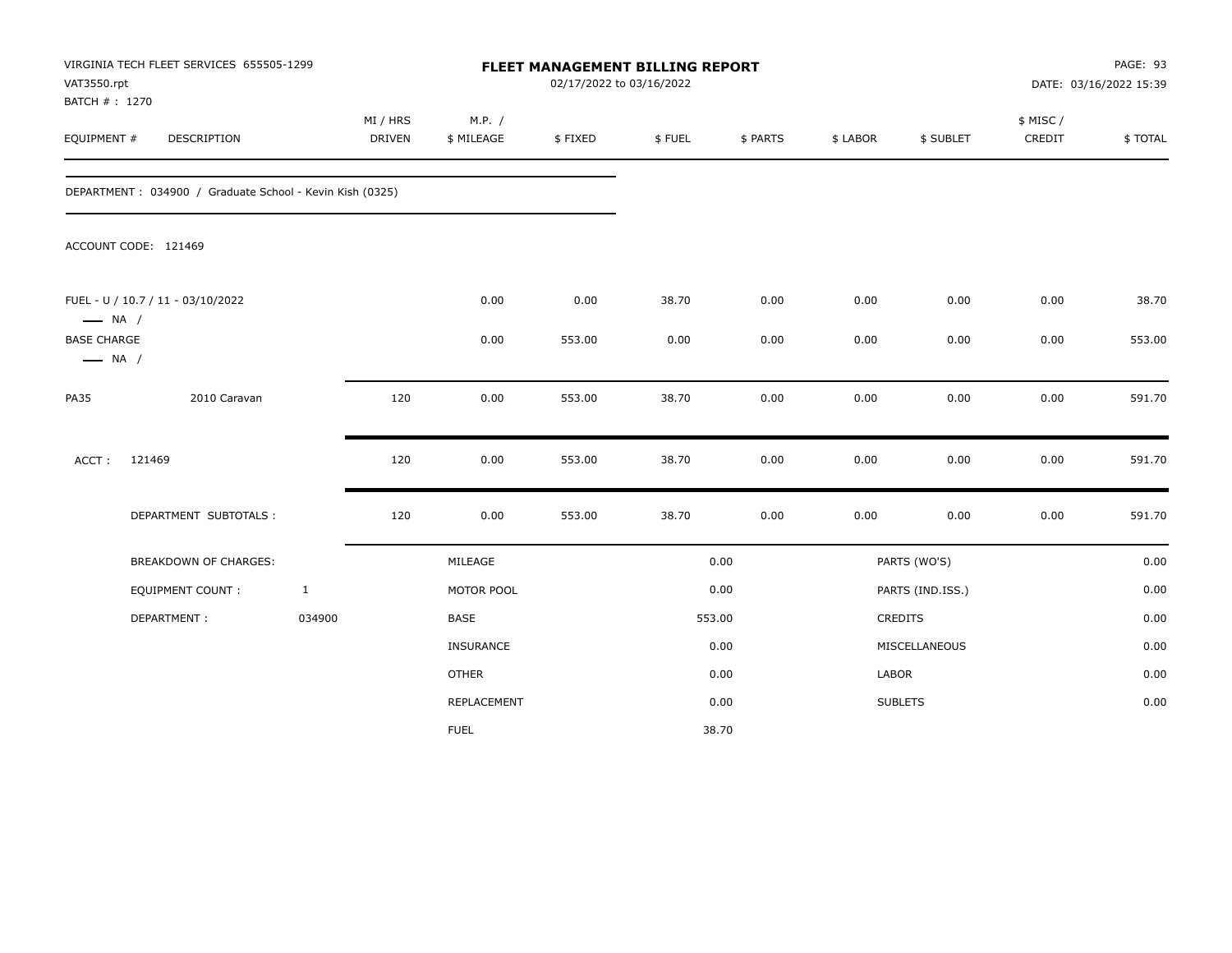| VAT3550.rpt<br>BATCH #: 1270                 | VIRGINIA TECH FLEET SERVICES 655505-1299                 |              |                    |                      | 02/17/2022 to 03/16/2022 | FLEET MANAGEMENT BILLING REPORT |          |          |                  |                    | PAGE: 93<br>DATE: 03/16/2022 15:39 |
|----------------------------------------------|----------------------------------------------------------|--------------|--------------------|----------------------|--------------------------|---------------------------------|----------|----------|------------------|--------------------|------------------------------------|
| EQUIPMENT #                                  | DESCRIPTION                                              |              | MI / HRS<br>DRIVEN | M.P. /<br>\$ MILEAGE | \$FIXED                  | \$FUEL                          | \$ PARTS | \$ LABOR | \$ SUBLET        | \$ MISC/<br>CREDIT | \$TOTAL                            |
|                                              | DEPARTMENT: 034900 / Graduate School - Kevin Kish (0325) |              |                    |                      |                          |                                 |          |          |                  |                    |                                    |
|                                              | ACCOUNT CODE: 121469                                     |              |                    |                      |                          |                                 |          |          |                  |                    |                                    |
| $\longrightarrow$ NA /                       | FUEL - U / 10.7 / 11 - 03/10/2022                        |              |                    | 0.00                 | 0.00                     | 38.70                           | 0.00     | 0.00     | 0.00             | 0.00               | 38.70                              |
| <b>BASE CHARGE</b><br>$\longrightarrow$ NA / |                                                          |              |                    | 0.00                 | 553.00                   | 0.00                            | 0.00     | 0.00     | 0.00             | 0.00               | 553.00                             |
| <b>PA35</b>                                  | 2010 Caravan                                             |              | 120                | 0.00                 | 553.00                   | 38.70                           | 0.00     | 0.00     | 0.00             | 0.00               | 591.70                             |
| ACCT:                                        | 121469                                                   |              | 120                | 0.00                 | 553.00                   | 38.70                           | 0.00     | 0.00     | 0.00             | 0.00               | 591.70                             |
|                                              | DEPARTMENT SUBTOTALS :                                   |              | 120                | 0.00                 | 553.00                   | 38.70                           | 0.00     | 0.00     | 0.00             | 0.00               | 591.70                             |
|                                              | BREAKDOWN OF CHARGES:                                    |              |                    | MILEAGE              |                          |                                 | 0.00     |          | PARTS (WO'S)     |                    | 0.00                               |
|                                              | EQUIPMENT COUNT :                                        | $\mathbf{1}$ |                    | MOTOR POOL           |                          |                                 | 0.00     |          | PARTS (IND.ISS.) |                    | 0.00                               |
|                                              | DEPARTMENT:                                              | 034900       |                    | BASE                 |                          |                                 | 553.00   |          | CREDITS          |                    | 0.00                               |
|                                              |                                                          |              |                    | INSURANCE            |                          |                                 | 0.00     |          | MISCELLANEOUS    |                    | 0.00                               |
|                                              |                                                          |              |                    | <b>OTHER</b>         |                          |                                 | 0.00     | LABOR    |                  |                    | 0.00                               |
|                                              |                                                          |              |                    | REPLACEMENT          |                          |                                 | 0.00     |          | <b>SUBLETS</b>   |                    | 0.00                               |
|                                              |                                                          |              |                    | <b>FUEL</b>          |                          |                                 | 38.70    |          |                  |                    |                                    |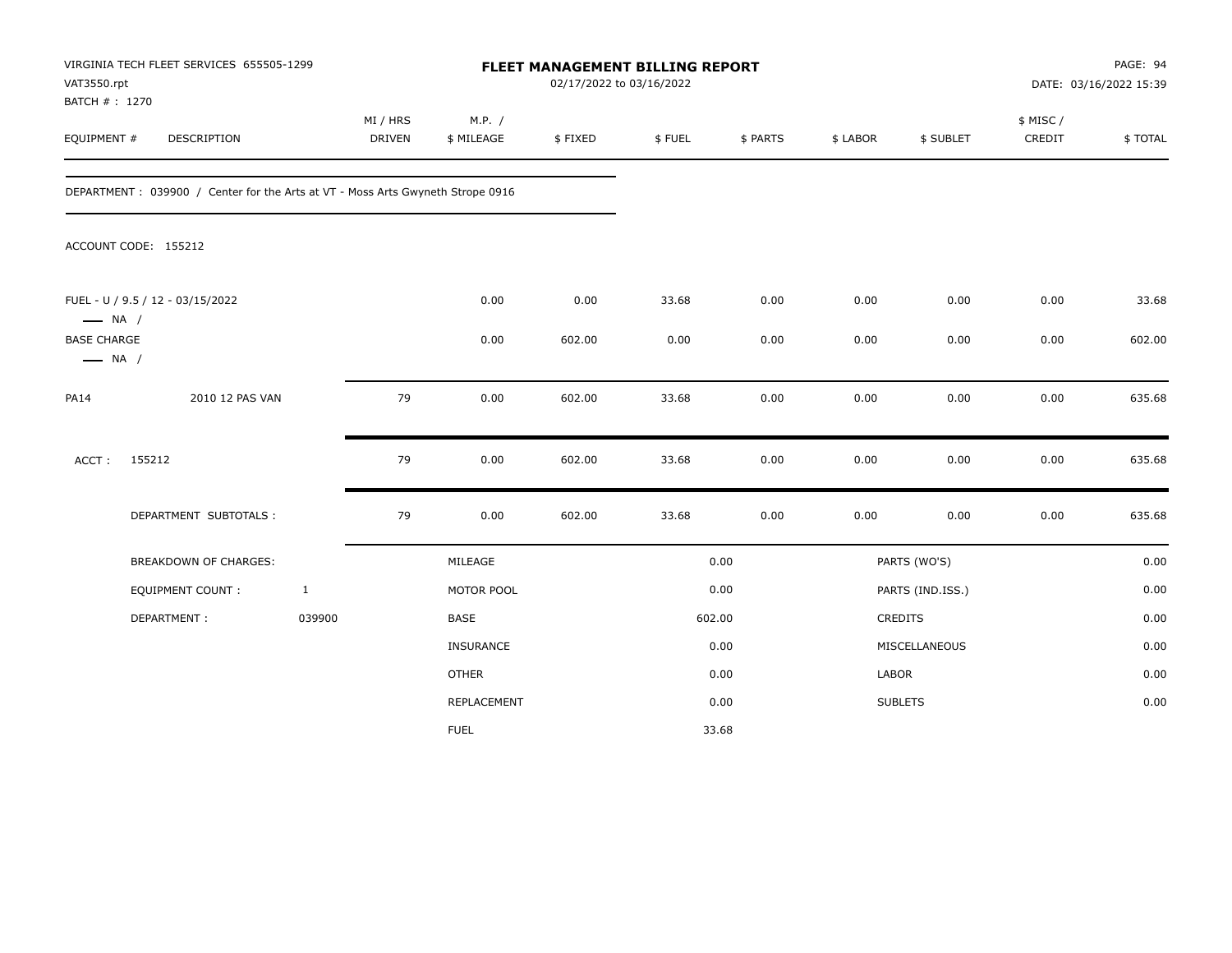| VAT3550.rpt<br>BATCH #: 1270                 | VIRGINIA TECH FLEET SERVICES 655505-1299                                       |              |                           |                      | 02/17/2022 to 03/16/2022 | FLEET MANAGEMENT BILLING REPORT |          |          |                  |                    | PAGE: 94<br>DATE: 03/16/2022 15:39 |
|----------------------------------------------|--------------------------------------------------------------------------------|--------------|---------------------------|----------------------|--------------------------|---------------------------------|----------|----------|------------------|--------------------|------------------------------------|
| EQUIPMENT #                                  | DESCRIPTION                                                                    |              | MI / HRS<br><b>DRIVEN</b> | M.P. /<br>\$ MILEAGE | \$FIXED                  | \$FUEL                          | \$ PARTS | \$ LABOR | \$ SUBLET        | \$ MISC/<br>CREDIT | \$TOTAL                            |
|                                              | DEPARTMENT: 039900 / Center for the Arts at VT - Moss Arts Gwyneth Strope 0916 |              |                           |                      |                          |                                 |          |          |                  |                    |                                    |
|                                              | ACCOUNT CODE: 155212                                                           |              |                           |                      |                          |                                 |          |          |                  |                    |                                    |
| $\longrightarrow$ NA /                       | FUEL - U / 9.5 / 12 - 03/15/2022                                               |              |                           | 0.00                 | 0.00                     | 33.68                           | 0.00     | 0.00     | 0.00             | 0.00               | 33.68                              |
| <b>BASE CHARGE</b><br>$\longrightarrow$ NA / |                                                                                |              |                           | 0.00                 | 602.00                   | 0.00                            | 0.00     | 0.00     | 0.00             | 0.00               | 602.00                             |
| <b>PA14</b>                                  | 2010 12 PAS VAN                                                                |              | 79                        | 0.00                 | 602.00                   | 33.68                           | 0.00     | 0.00     | 0.00             | 0.00               | 635.68                             |
| ACCT:                                        | 155212                                                                         |              | 79                        | 0.00                 | 602.00                   | 33.68                           | 0.00     | 0.00     | 0.00             | 0.00               | 635.68                             |
|                                              | DEPARTMENT SUBTOTALS :                                                         |              | 79                        | 0.00                 | 602.00                   | 33.68                           | 0.00     | 0.00     | 0.00             | 0.00               | 635.68                             |
|                                              | <b>BREAKDOWN OF CHARGES:</b>                                                   |              |                           | MILEAGE              |                          |                                 | 0.00     |          | PARTS (WO'S)     |                    | 0.00                               |
|                                              | <b>EQUIPMENT COUNT:</b>                                                        | $\mathbf{1}$ |                           | MOTOR POOL           |                          |                                 | 0.00     |          | PARTS (IND.ISS.) |                    | 0.00                               |
|                                              | DEPARTMENT:                                                                    | 039900       |                           | BASE                 |                          |                                 | 602.00   |          | <b>CREDITS</b>   |                    | 0.00                               |
|                                              |                                                                                |              |                           | INSURANCE            |                          |                                 | 0.00     |          | MISCELLANEOUS    |                    | 0.00                               |
|                                              |                                                                                |              |                           | <b>OTHER</b>         |                          |                                 | 0.00     | LABOR    |                  |                    | 0.00                               |
|                                              |                                                                                |              |                           | REPLACEMENT          |                          |                                 | 0.00     |          | <b>SUBLETS</b>   |                    | 0.00                               |
|                                              |                                                                                |              |                           | <b>FUEL</b>          |                          |                                 | 33.68    |          |                  |                    |                                    |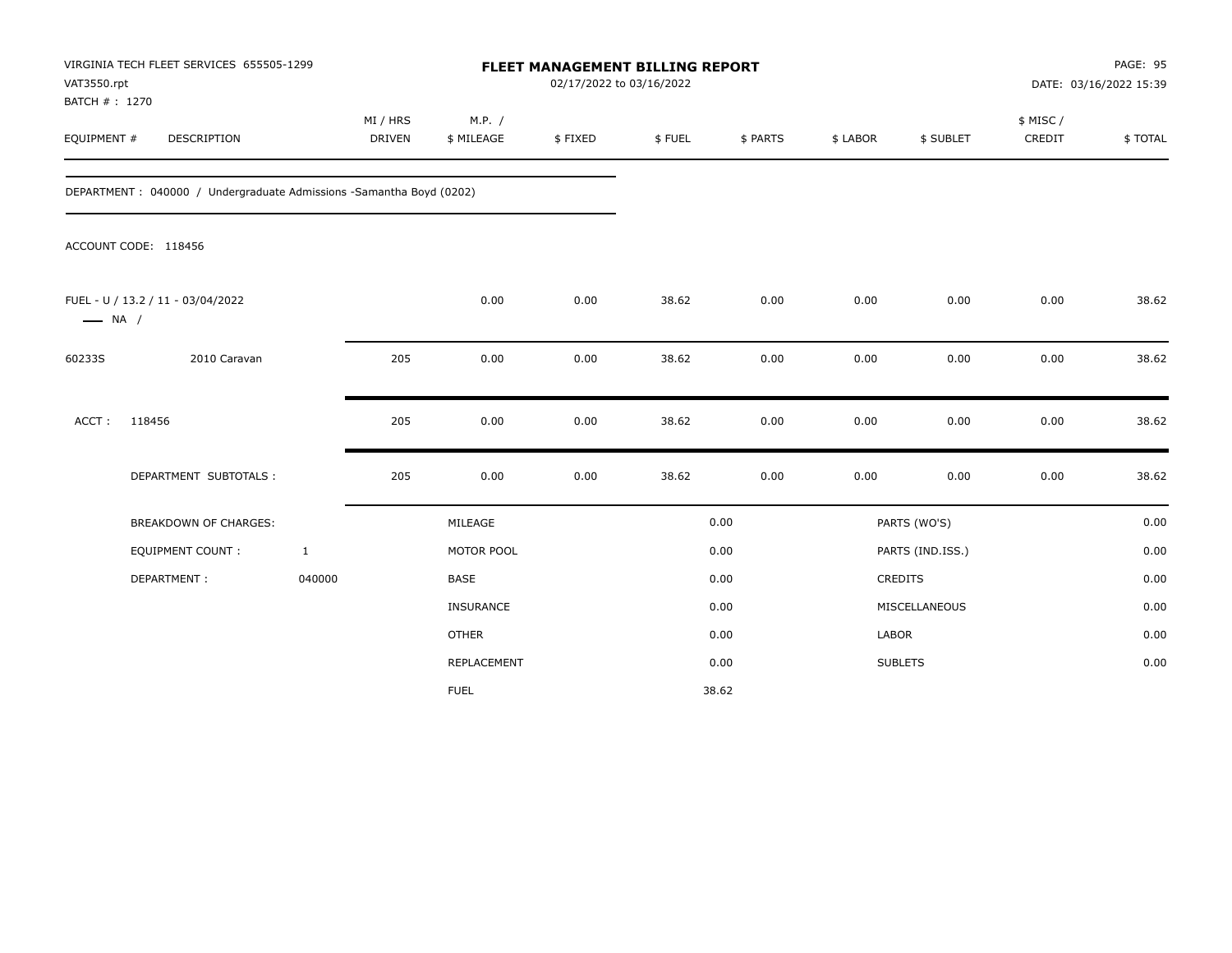| VAT3550.rpt<br>BATCH #: 1270 | VIRGINIA TECH FLEET SERVICES 655505-1299                             |               | <b>FLEET MANAGEMENT BILLING REPORT</b><br>02/17/2022 to 03/16/2022<br>MI / HRS<br>M.P. / |         |        |          |          |                  |                     | PAGE: 95<br>DATE: 03/16/2022 15:39 |
|------------------------------|----------------------------------------------------------------------|---------------|------------------------------------------------------------------------------------------|---------|--------|----------|----------|------------------|---------------------|------------------------------------|
| EQUIPMENT #                  | DESCRIPTION                                                          | <b>DRIVEN</b> | \$ MILEAGE                                                                               | \$FIXED | \$FUEL | \$ PARTS | \$ LABOR | \$ SUBLET        | \$ MISC /<br>CREDIT | \$TOTAL                            |
|                              | DEPARTMENT : 040000 / Undergraduate Admissions -Samantha Boyd (0202) |               |                                                                                          |         |        |          |          |                  |                     |                                    |
|                              | ACCOUNT CODE: 118456                                                 |               |                                                                                          |         |        |          |          |                  |                     |                                    |
| $\longrightarrow$ NA /       | FUEL - U / 13.2 / 11 - 03/04/2022                                    |               | 0.00                                                                                     | 0.00    | 38.62  | 0.00     | 0.00     | 0.00             | 0.00                | 38.62                              |
| 60233S                       | 2010 Caravan                                                         | 205           | 0.00                                                                                     | 0.00    | 38.62  | 0.00     | 0.00     | 0.00             | 0.00                | 38.62                              |
| ACCT:                        | 118456                                                               | 205           | 0.00                                                                                     | 0.00    | 38.62  | 0.00     | 0.00     | 0.00             | 0.00                | 38.62                              |
|                              | DEPARTMENT SUBTOTALS :                                               | 205           | 0.00                                                                                     | 0.00    | 38.62  | 0.00     | 0.00     | 0.00             | 0.00                | 38.62                              |
|                              | <b>BREAKDOWN OF CHARGES:</b>                                         |               | MILEAGE                                                                                  |         |        | 0.00     |          | PARTS (WO'S)     |                     | 0.00                               |
|                              | <b>EQUIPMENT COUNT:</b>                                              | $\mathbf{1}$  | MOTOR POOL                                                                               |         |        | 0.00     |          | PARTS (IND.ISS.) |                     | 0.00                               |
|                              | DEPARTMENT:                                                          | 040000        | <b>BASE</b>                                                                              |         |        | 0.00     |          | CREDITS          |                     | 0.00                               |
|                              |                                                                      |               | <b>INSURANCE</b>                                                                         |         |        | 0.00     |          | MISCELLANEOUS    |                     | 0.00                               |
|                              |                                                                      |               | <b>OTHER</b>                                                                             |         |        | 0.00     | LABOR    |                  |                     | 0.00                               |
|                              |                                                                      |               | <b>REPLACEMENT</b>                                                                       |         |        | 0.00     |          | <b>SUBLETS</b>   |                     | 0.00                               |
|                              |                                                                      |               | <b>FUEL</b>                                                                              |         |        | 38.62    |          |                  |                     |                                    |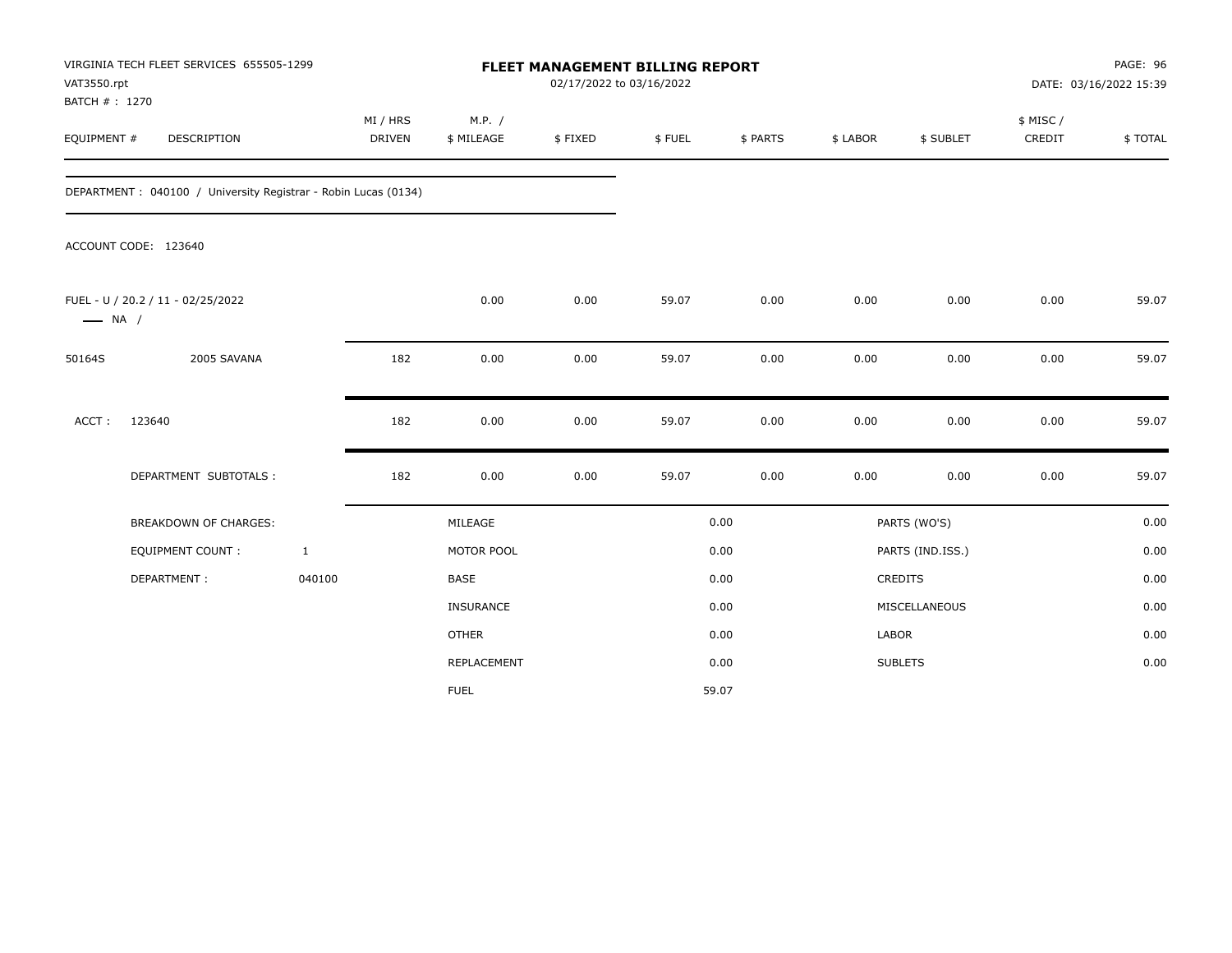| VAT3550.rpt<br>BATCH #: 1270 | VIRGINIA TECH FLEET SERVICES 655505-1299                       |                           |                      | <b>FLEET MANAGEMENT BILLING REPORT</b> | 02/17/2022 to 03/16/2022 |          |          |                  |                     | PAGE: 96<br>DATE: 03/16/2022 15:39 |
|------------------------------|----------------------------------------------------------------|---------------------------|----------------------|----------------------------------------|--------------------------|----------|----------|------------------|---------------------|------------------------------------|
| EQUIPMENT #                  | DESCRIPTION                                                    | MI / HRS<br><b>DRIVEN</b> | M.P. /<br>\$ MILEAGE | \$FIXED                                | \$FUEL                   | \$ PARTS | \$ LABOR | \$ SUBLET        | \$ MISC /<br>CREDIT | \$TOTAL                            |
|                              | DEPARTMENT: 040100 / University Registrar - Robin Lucas (0134) |                           |                      |                                        |                          |          |          |                  |                     |                                    |
|                              | ACCOUNT CODE: 123640                                           |                           |                      |                                        |                          |          |          |                  |                     |                                    |
| $\longrightarrow$ NA /       | FUEL - U / 20.2 / 11 - 02/25/2022                              |                           | 0.00                 | 0.00                                   | 59.07                    | 0.00     | 0.00     | 0.00             | 0.00                | 59.07                              |
| 50164S                       | 2005 SAVANA                                                    |                           | 182<br>0.00          | 0.00                                   | 59.07                    | 0.00     | 0.00     | 0.00             | 0.00                | 59.07                              |
| ACCT:                        | 123640                                                         |                           | 182<br>0.00          | 0.00                                   | 59.07                    | 0.00     | 0.00     | 0.00             | 0.00                | 59.07                              |
|                              | DEPARTMENT SUBTOTALS :                                         |                           | 182<br>0.00          | 0.00                                   | 59.07                    | 0.00     | 0.00     | 0.00             | 0.00                | 59.07                              |
|                              | BREAKDOWN OF CHARGES:                                          |                           | MILEAGE              |                                        |                          | 0.00     |          | PARTS (WO'S)     |                     | 0.00                               |
|                              | EQUIPMENT COUNT :                                              | $\mathbf{1}$              | MOTOR POOL           |                                        |                          | 0.00     |          | PARTS (IND.ISS.) |                     | 0.00                               |
|                              | DEPARTMENT:                                                    | 040100                    | <b>BASE</b>          |                                        |                          | 0.00     |          | CREDITS          |                     | 0.00                               |
|                              |                                                                |                           | INSURANCE            |                                        |                          | 0.00     |          | MISCELLANEOUS    |                     | 0.00                               |
|                              |                                                                |                           | <b>OTHER</b>         |                                        |                          | 0.00     |          | LABOR            |                     | 0.00                               |
|                              |                                                                |                           | REPLACEMENT          |                                        |                          | 0.00     |          | <b>SUBLETS</b>   |                     | 0.00                               |
|                              |                                                                |                           | <b>FUEL</b>          |                                        |                          | 59.07    |          |                  |                     |                                    |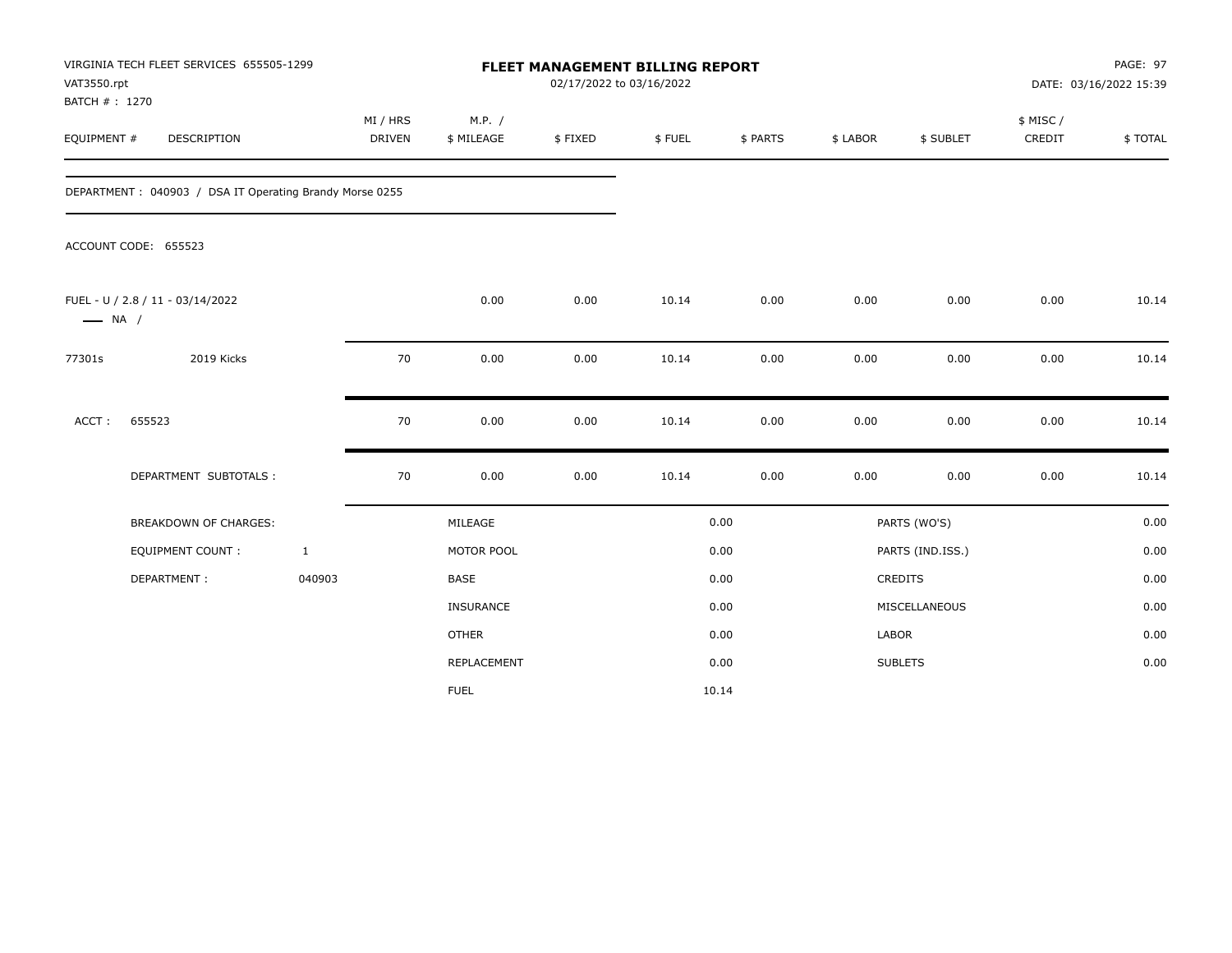| VAT3550.rpt<br>BATCH # : 1270 | VIRGINIA TECH FLEET SERVICES 655505-1299                |                           |    |                      | 02/17/2022 to 03/16/2022 | <b>FLEET MANAGEMENT BILLING REPORT</b> |          |          |                  |                     | PAGE: 97<br>DATE: 03/16/2022 15:39 |
|-------------------------------|---------------------------------------------------------|---------------------------|----|----------------------|--------------------------|----------------------------------------|----------|----------|------------------|---------------------|------------------------------------|
| EQUIPMENT #                   | DESCRIPTION                                             | MI / HRS<br><b>DRIVEN</b> |    | M.P. /<br>\$ MILEAGE | \$FIXED                  | \$FUEL                                 | \$ PARTS | \$ LABOR | \$ SUBLET        | \$ MISC /<br>CREDIT | \$TOTAL                            |
|                               | DEPARTMENT: 040903 / DSA IT Operating Brandy Morse 0255 |                           |    |                      |                          |                                        |          |          |                  |                     |                                    |
|                               | ACCOUNT CODE: 655523                                    |                           |    |                      |                          |                                        |          |          |                  |                     |                                    |
| $\longrightarrow$ NA /        | FUEL - U / 2.8 / 11 - 03/14/2022                        |                           |    | 0.00                 | 0.00                     | 10.14                                  | 0.00     | 0.00     | 0.00             | 0.00                | 10.14                              |
| 77301s                        | 2019 Kicks                                              |                           | 70 | 0.00                 | 0.00                     | 10.14                                  | 0.00     | 0.00     | 0.00             | 0.00                | 10.14                              |
| ACCT:                         | 655523                                                  |                           | 70 | 0.00                 | 0.00                     | 10.14                                  | 0.00     | 0.00     | 0.00             | 0.00                | 10.14                              |
|                               | DEPARTMENT SUBTOTALS :                                  |                           | 70 | 0.00                 | 0.00                     | 10.14                                  | 0.00     | 0.00     | 0.00             | 0.00                | 10.14                              |
|                               | <b>BREAKDOWN OF CHARGES:</b>                            |                           |    | MILEAGE              |                          |                                        | 0.00     |          | PARTS (WO'S)     |                     | 0.00                               |
|                               | <b>EQUIPMENT COUNT:</b>                                 | $\mathbf{1}$              |    | MOTOR POOL           |                          |                                        | 0.00     |          | PARTS (IND.ISS.) |                     | 0.00                               |
|                               | DEPARTMENT:                                             | 040903                    |    | <b>BASE</b>          |                          |                                        | 0.00     |          | CREDITS          |                     | 0.00                               |
|                               |                                                         |                           |    | INSURANCE            |                          |                                        | 0.00     |          | MISCELLANEOUS    |                     | 0.00                               |
|                               |                                                         |                           |    | <b>OTHER</b>         |                          |                                        | 0.00     | LABOR    |                  |                     | 0.00                               |
|                               |                                                         |                           |    | <b>REPLACEMENT</b>   |                          |                                        | 0.00     |          | <b>SUBLETS</b>   |                     | 0.00                               |
|                               |                                                         |                           |    | <b>FUEL</b>          |                          |                                        | 10.14    |          |                  |                     |                                    |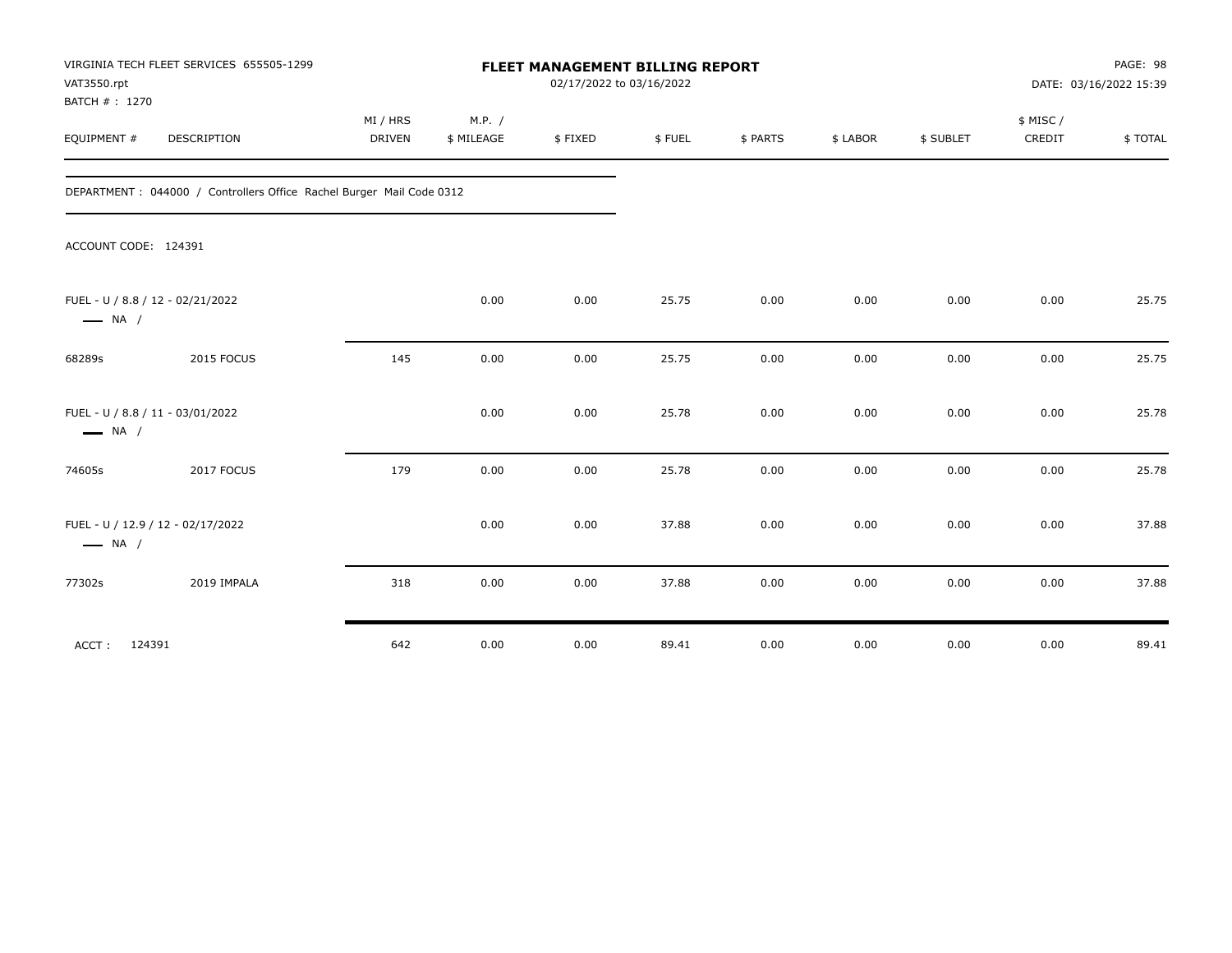| VAT3550.rpt<br>BATCH #: 1270 | VIRGINIA TECH FLEET SERVICES 655505-1299                              |                    |                      |         | FLEET MANAGEMENT BILLING REPORT<br>02/17/2022 to 03/16/2022 |          |          |           |                    | PAGE: 98<br>DATE: 03/16/2022 15:39 |
|------------------------------|-----------------------------------------------------------------------|--------------------|----------------------|---------|-------------------------------------------------------------|----------|----------|-----------|--------------------|------------------------------------|
| EQUIPMENT #                  | DESCRIPTION                                                           | MI / HRS<br>DRIVEN | M.P. /<br>\$ MILEAGE | \$FIXED | \$FUEL                                                      | \$ PARTS | \$ LABOR | \$ SUBLET | \$ MISC/<br>CREDIT | \$TOTAL                            |
|                              | DEPARTMENT : 044000 / Controllers Office Rachel Burger Mail Code 0312 |                    |                      |         |                                                             |          |          |           |                    |                                    |
|                              | ACCOUNT CODE: 124391                                                  |                    |                      |         |                                                             |          |          |           |                    |                                    |
| $\longrightarrow$ NA /       | FUEL - U / 8.8 / 12 - 02/21/2022                                      |                    | 0.00                 | 0.00    | 25.75                                                       | 0.00     | 0.00     | 0.00      | 0.00               | 25.75                              |
| 68289s                       | 2015 FOCUS                                                            | 145                | 0.00                 | 0.00    | 25.75                                                       | 0.00     | 0.00     | 0.00      | 0.00               | 25.75                              |
| $\longrightarrow$ NA /       | FUEL - U / 8.8 / 11 - 03/01/2022                                      |                    | 0.00                 | 0.00    | 25.78                                                       | 0.00     | 0.00     | 0.00      | 0.00               | 25.78                              |
| 74605s                       | 2017 FOCUS                                                            | 179                | 0.00                 | 0.00    | 25.78                                                       | 0.00     | 0.00     | 0.00      | 0.00               | 25.78                              |
| $\longrightarrow$ NA /       | FUEL - U / 12.9 / 12 - 02/17/2022                                     |                    | 0.00                 | 0.00    | 37.88                                                       | 0.00     | 0.00     | 0.00      | 0.00               | 37.88                              |
| 77302s                       | 2019 IMPALA                                                           | 318                | 0.00                 | 0.00    | 37.88                                                       | 0.00     | 0.00     | 0.00      | 0.00               | 37.88                              |
| ACCT:                        | 124391                                                                | 642                | 0.00                 | 0.00    | 89.41                                                       | 0.00     | 0.00     | 0.00      | 0.00               | 89.41                              |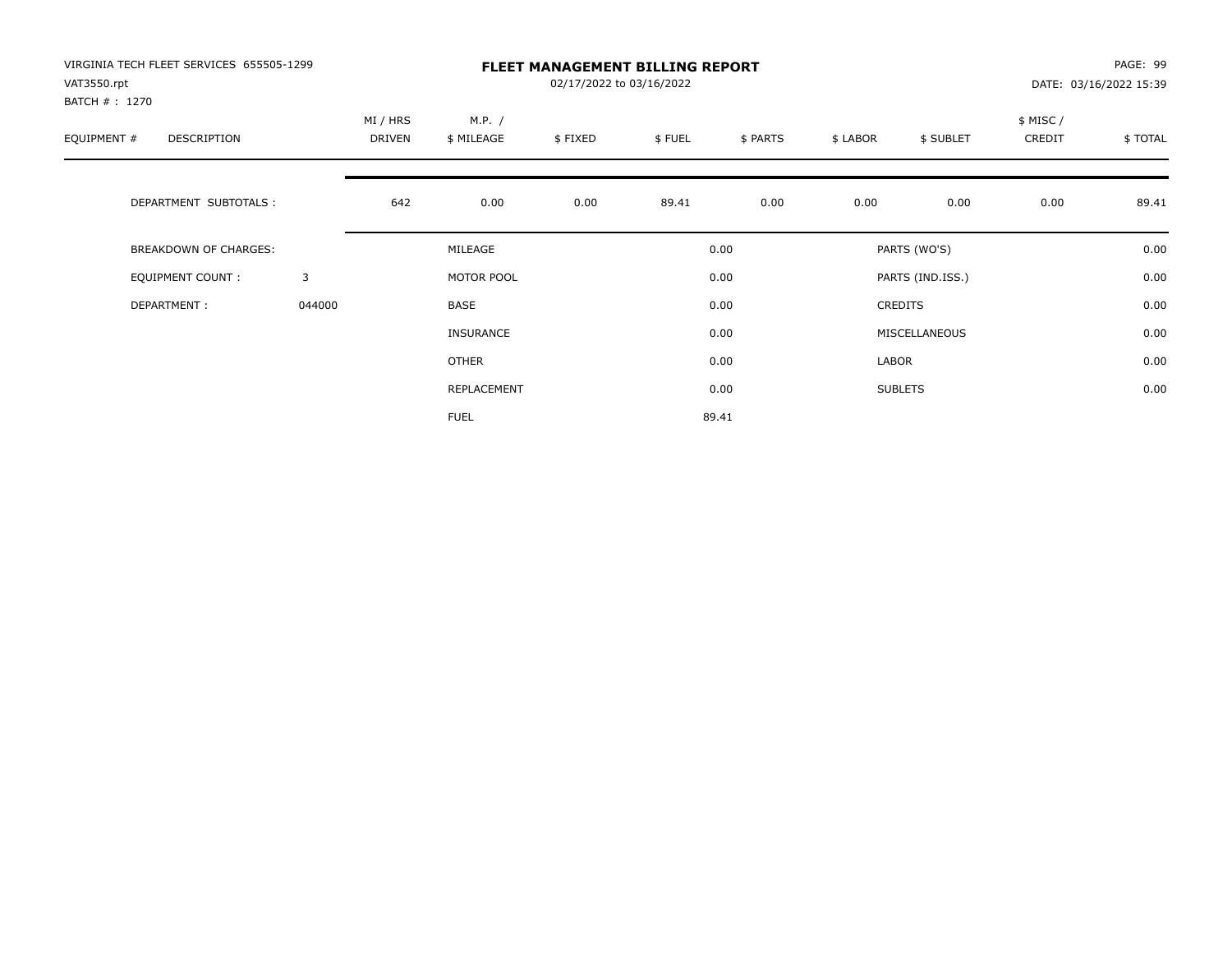| VIRGINIA TECH FLEET SERVICES 655505-1299<br>VAT3550.rpt<br>BATCH #: 1270 |        |                    | <b>FLEET MANAGEMENT BILLING REPORT</b><br>02/17/2022 to 03/16/2022<br>DATE: 03/16/2022 15:39 |         |        |          |          |                  |                     |         |
|--------------------------------------------------------------------------|--------|--------------------|----------------------------------------------------------------------------------------------|---------|--------|----------|----------|------------------|---------------------|---------|
| EQUIPMENT #<br><b>DESCRIPTION</b>                                        |        | MI / HRS<br>DRIVEN | M.P. /<br>\$ MILEAGE                                                                         | \$FIXED | \$FUEL | \$ PARTS | \$ LABOR | \$ SUBLET        | \$ MISC /<br>CREDIT | \$TOTAL |
| DEPARTMENT SUBTOTALS :                                                   |        | 642                | 0.00                                                                                         | 0.00    | 89.41  | 0.00     | 0.00     | 0.00             | 0.00                | 89.41   |
| <b>BREAKDOWN OF CHARGES:</b>                                             |        |                    | MILEAGE                                                                                      |         |        | 0.00     |          | PARTS (WO'S)     |                     | 0.00    |
| <b>EQUIPMENT COUNT:</b>                                                  | 3      |                    | MOTOR POOL                                                                                   |         |        | 0.00     |          | PARTS (IND.ISS.) |                     | 0.00    |
| DEPARTMENT:                                                              | 044000 |                    | <b>BASE</b>                                                                                  |         |        | 0.00     |          | <b>CREDITS</b>   |                     | 0.00    |
|                                                                          |        |                    | INSURANCE                                                                                    |         |        | 0.00     |          | MISCELLANEOUS    |                     | 0.00    |
|                                                                          |        |                    | <b>OTHER</b>                                                                                 |         |        | 0.00     | LABOR    |                  |                     | 0.00    |
|                                                                          |        |                    | REPLACEMENT                                                                                  |         |        | 0.00     |          | <b>SUBLETS</b>   |                     | 0.00    |
|                                                                          |        |                    | <b>FUEL</b>                                                                                  |         |        | 89.41    |          |                  |                     |         |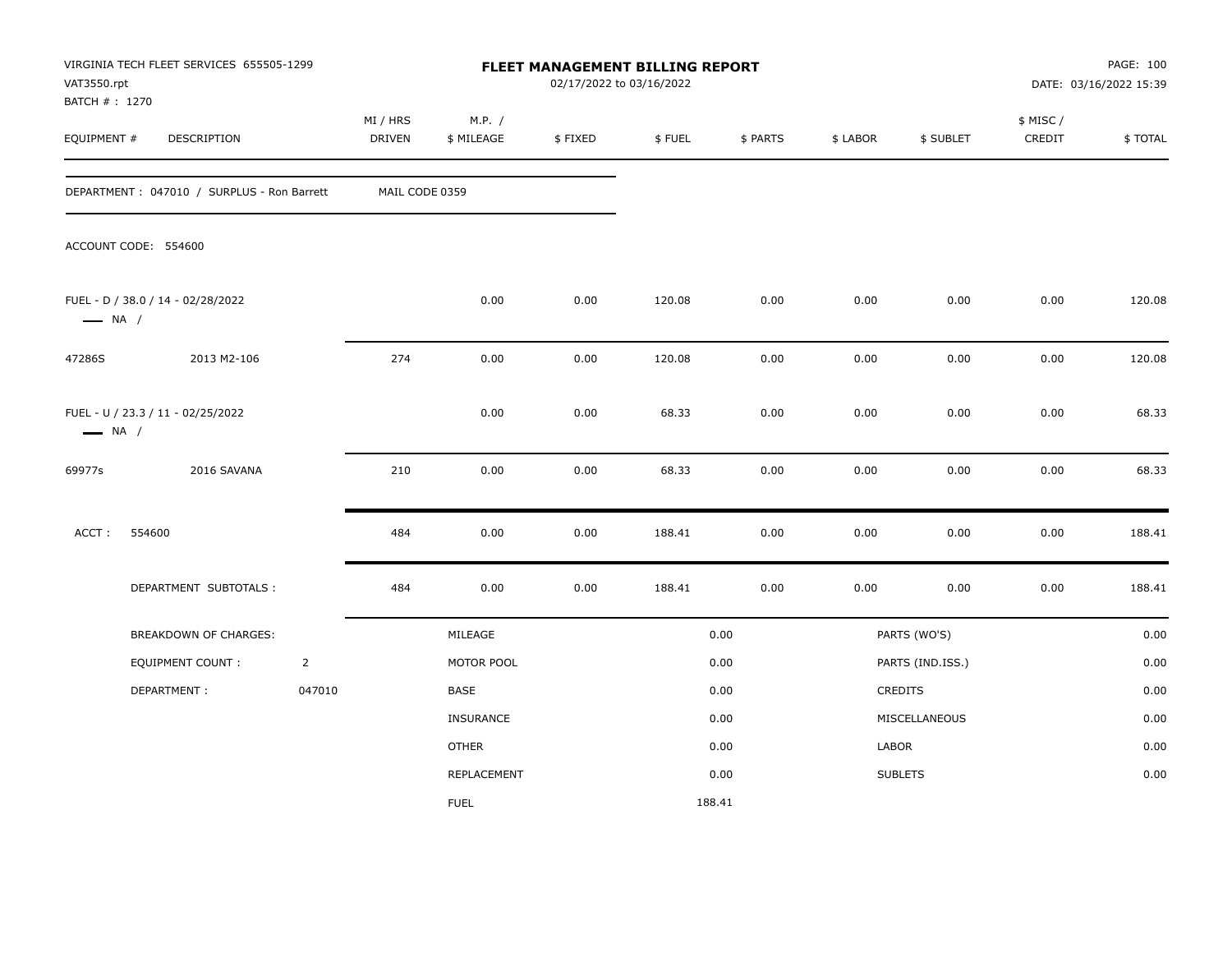| VAT3550.rpt<br>BATCH # : 1270 | VIRGINIA TECH FLEET SERVICES 655505-1299   |                |                    |                      | 02/17/2022 to 03/16/2022 | FLEET MANAGEMENT BILLING REPORT |          |          |                  |                     | PAGE: 100<br>DATE: 03/16/2022 15:39 |
|-------------------------------|--------------------------------------------|----------------|--------------------|----------------------|--------------------------|---------------------------------|----------|----------|------------------|---------------------|-------------------------------------|
| EQUIPMENT #                   | DESCRIPTION                                |                | MI / HRS<br>DRIVEN | M.P. /<br>\$ MILEAGE | \$FIXED                  | \$FUEL                          | \$ PARTS | \$ LABOR | \$ SUBLET        | \$ MISC /<br>CREDIT | \$TOTAL                             |
|                               | DEPARTMENT: 047010 / SURPLUS - Ron Barrett |                | MAIL CODE 0359     |                      |                          |                                 |          |          |                  |                     |                                     |
|                               | ACCOUNT CODE: 554600                       |                |                    |                      |                          |                                 |          |          |                  |                     |                                     |
| $\longrightarrow$ NA /        | FUEL - D / 38.0 / 14 - 02/28/2022          |                |                    | 0.00                 | 0.00                     | 120.08                          | 0.00     | 0.00     | 0.00             | 0.00                | 120.08                              |
| 47286S                        | 2013 M2-106                                |                | 274                | 0.00                 | 0.00                     | 120.08                          | 0.00     | 0.00     | 0.00             | 0.00                | 120.08                              |
| $\longrightarrow$ NA /        | FUEL - U / 23.3 / 11 - 02/25/2022          |                |                    | 0.00                 | 0.00                     | 68.33                           | 0.00     | 0.00     | 0.00             | 0.00                | 68.33                               |
| 69977s                        | 2016 SAVANA                                |                | 210                | 0.00                 | 0.00                     | 68.33                           | 0.00     | 0.00     | 0.00             | 0.00                | 68.33                               |
| ACCT:                         | 554600                                     |                | 484                | 0.00                 | 0.00                     | 188.41                          | 0.00     | 0.00     | 0.00             | 0.00                | 188.41                              |
|                               | DEPARTMENT SUBTOTALS :                     |                | 484                | 0.00                 | 0.00                     | 188.41                          | 0.00     | 0.00     | 0.00             | $0.00\,$            | 188.41                              |
|                               | BREAKDOWN OF CHARGES:                      |                |                    | MILEAGE              |                          |                                 | 0.00     |          | PARTS (WO'S)     |                     | 0.00                                |
|                               | <b>EQUIPMENT COUNT:</b>                    | $\overline{2}$ |                    | MOTOR POOL           |                          |                                 | 0.00     |          | PARTS (IND.ISS.) |                     | 0.00                                |
|                               | DEPARTMENT:                                | 047010         |                    | BASE                 |                          |                                 | 0.00     |          | <b>CREDITS</b>   |                     | 0.00                                |
|                               |                                            |                |                    | <b>INSURANCE</b>     |                          |                                 | 0.00     |          | MISCELLANEOUS    |                     | 0.00                                |
|                               |                                            |                |                    | <b>OTHER</b>         |                          |                                 | 0.00     | LABOR    |                  |                     | 0.00                                |
|                               |                                            |                |                    | REPLACEMENT          |                          |                                 | 0.00     |          | <b>SUBLETS</b>   |                     | 0.00                                |
|                               |                                            |                |                    | <b>FUEL</b>          |                          | 188.41                          |          |          |                  |                     |                                     |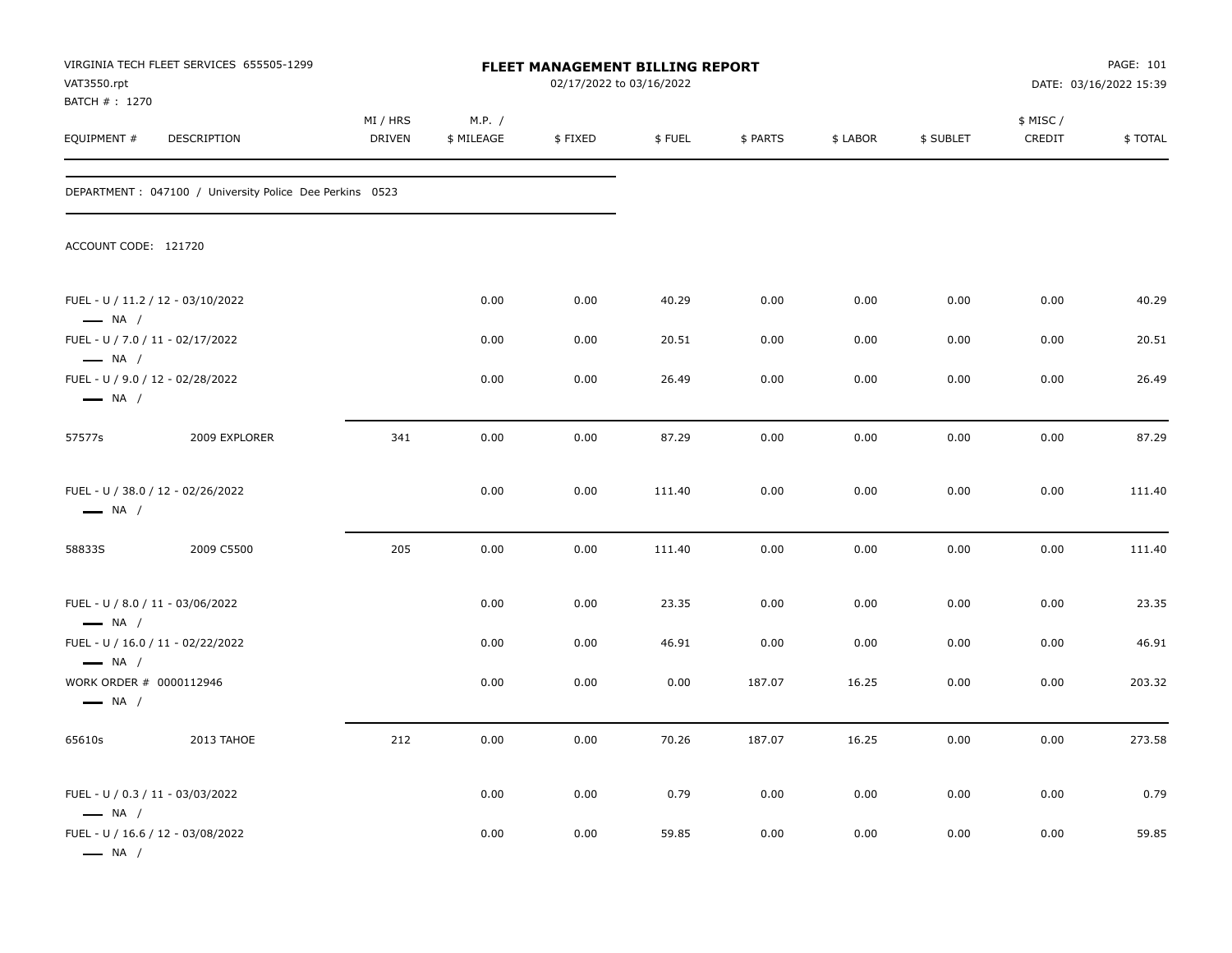| VAT3550.rpt<br>BATCH #: 1270                      | VIRGINIA TECH FLEET SERVICES 655505-1299                 |                           |                      | <b>FLEET MANAGEMENT BILLING REPORT</b><br>02/17/2022 to 03/16/2022 |        |          |          |           |                     | PAGE: 101<br>DATE: 03/16/2022 15:39 |
|---------------------------------------------------|----------------------------------------------------------|---------------------------|----------------------|--------------------------------------------------------------------|--------|----------|----------|-----------|---------------------|-------------------------------------|
| EQUIPMENT #                                       | DESCRIPTION                                              | MI / HRS<br><b>DRIVEN</b> | M.P. /<br>\$ MILEAGE | \$FIXED                                                            | \$FUEL | \$ PARTS | \$ LABOR | \$ SUBLET | \$ MISC /<br>CREDIT | \$TOTAL                             |
|                                                   | DEPARTMENT : 047100 / University Police Dee Perkins 0523 |                           |                      |                                                                    |        |          |          |           |                     |                                     |
| ACCOUNT CODE: 121720                              |                                                          |                           |                      |                                                                    |        |          |          |           |                     |                                     |
| $\longrightarrow$ NA /                            | FUEL - U / 11.2 / 12 - 03/10/2022                        |                           | 0.00                 | 0.00                                                               | 40.29  | 0.00     | 0.00     | 0.00      | 0.00                | 40.29                               |
| $\longrightarrow$ NA /                            | FUEL - U / 7.0 / 11 - 02/17/2022                         |                           | 0.00                 | 0.00                                                               | 20.51  | 0.00     | 0.00     | 0.00      | 0.00                | 20.51                               |
| $\longrightarrow$ NA /                            | FUEL - U / 9.0 / 12 - 02/28/2022                         |                           | 0.00                 | 0.00                                                               | 26.49  | 0.00     | 0.00     | 0.00      | 0.00                | 26.49                               |
| 57577s                                            | 2009 EXPLORER                                            | 341                       | 0.00                 | 0.00                                                               | 87.29  | 0.00     | 0.00     | 0.00      | 0.00                | 87.29                               |
| $\longrightarrow$ NA /                            | FUEL - U / 38.0 / 12 - 02/26/2022                        |                           | 0.00                 | 0.00                                                               | 111.40 | 0.00     | 0.00     | 0.00      | 0.00                | 111.40                              |
| 58833S                                            | 2009 C5500                                               | 205                       | 0.00                 | 0.00                                                               | 111.40 | 0.00     | 0.00     | 0.00      | 0.00                | 111.40                              |
| $\longrightarrow$ NA /                            | FUEL - U / 8.0 / 11 - 03/06/2022                         |                           | 0.00                 | 0.00                                                               | 23.35  | 0.00     | 0.00     | 0.00      | 0.00                | 23.35                               |
| $\longrightarrow$ NA /                            | FUEL - U / 16.0 / 11 - 02/22/2022                        |                           | 0.00                 | 0.00                                                               | 46.91  | 0.00     | 0.00     | 0.00      | 0.00                | 46.91                               |
| WORK ORDER # 0000112946<br>$\longrightarrow$ NA / |                                                          |                           | 0.00                 | 0.00                                                               | 0.00   | 187.07   | 16.25    | 0.00      | 0.00                | 203.32                              |
| 65610s                                            | 2013 TAHOE                                               | 212                       | 0.00                 | 0.00                                                               | 70.26  | 187.07   | 16.25    | 0.00      | 0.00                | 273.58                              |
| $\longrightarrow$ NA /                            | FUEL - U / 0.3 / 11 - 03/03/2022                         |                           | 0.00                 | 0.00                                                               | 0.79   | 0.00     | 0.00     | 0.00      | 0.00                | 0.79                                |
| $\longrightarrow$ NA /                            | FUEL - U / 16.6 / 12 - 03/08/2022                        |                           | 0.00                 | 0.00                                                               | 59.85  | 0.00     | 0.00     | 0.00      | 0.00                | 59.85                               |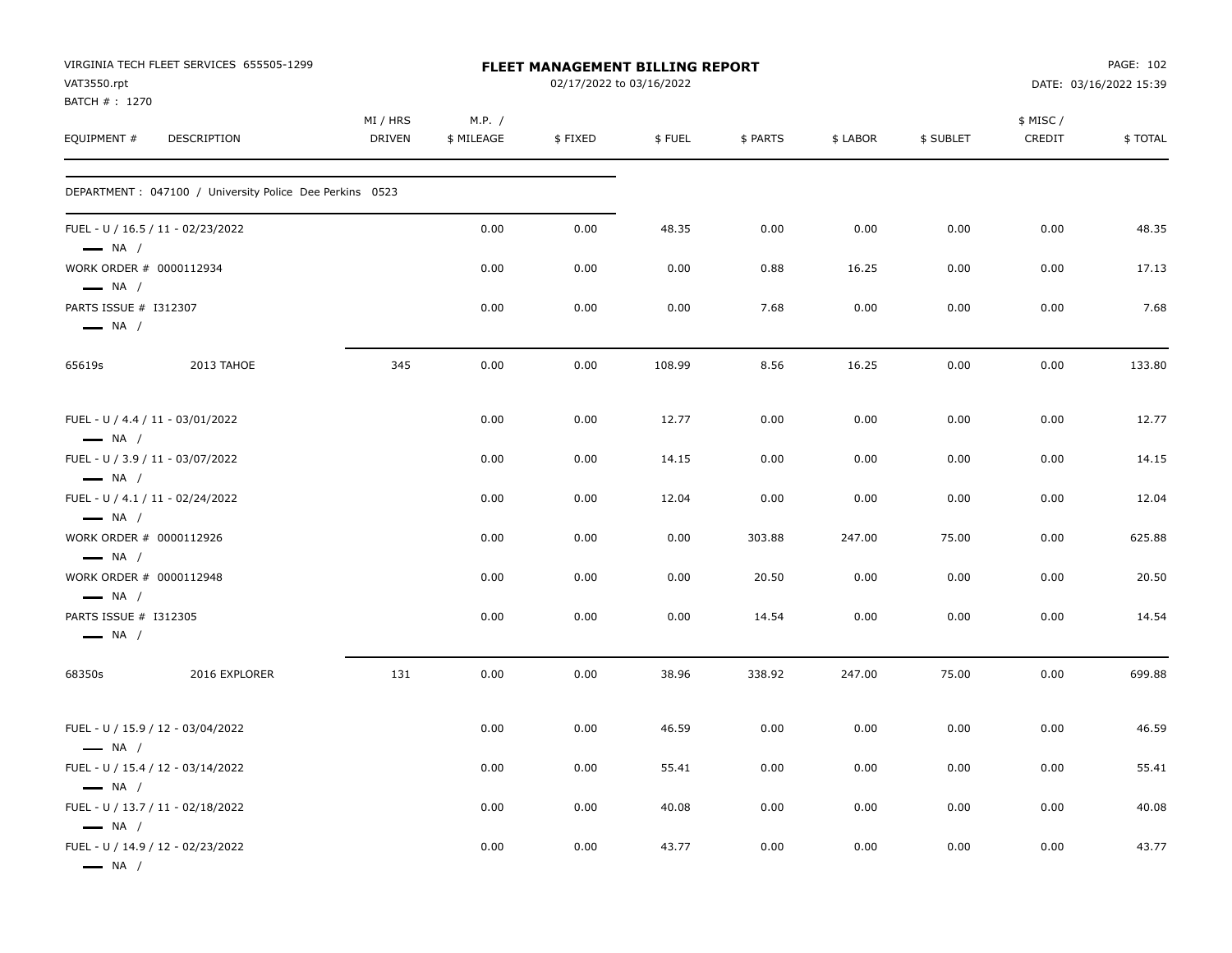|                                                   | VIRGINIA TECH FLEET SERVICES 655505-1299                 |               |            | FLEET MANAGEMENT BILLING REPORT |        |          |          |           |           | PAGE: 102              |
|---------------------------------------------------|----------------------------------------------------------|---------------|------------|---------------------------------|--------|----------|----------|-----------|-----------|------------------------|
| VAT3550.rpt<br>BATCH #: 1270                      |                                                          |               |            | 02/17/2022 to 03/16/2022        |        |          |          |           |           | DATE: 03/16/2022 15:39 |
|                                                   |                                                          | MI / HRS      | M.P. /     |                                 |        |          |          |           | \$ MISC / |                        |
| EQUIPMENT #                                       | <b>DESCRIPTION</b>                                       | <b>DRIVEN</b> | \$ MILEAGE | \$FIXED                         | \$FUEL | \$ PARTS | \$ LABOR | \$ SUBLET | CREDIT    | \$TOTAL                |
|                                                   | DEPARTMENT : 047100 / University Police Dee Perkins 0523 |               |            |                                 |        |          |          |           |           |                        |
| $\longrightarrow$ NA /                            | FUEL - U / 16.5 / 11 - 02/23/2022                        |               | 0.00       | 0.00                            | 48.35  | 0.00     | 0.00     | 0.00      | 0.00      | 48.35                  |
| WORK ORDER # 0000112934<br>$\longrightarrow$ NA / |                                                          |               | 0.00       | 0.00                            | 0.00   | 0.88     | 16.25    | 0.00      | 0.00      | 17.13                  |
| PARTS ISSUE # I312307<br>$\longrightarrow$ NA /   |                                                          |               | 0.00       | 0.00                            | 0.00   | 7.68     | 0.00     | 0.00      | 0.00      | 7.68                   |
| 65619s                                            | 2013 TAHOE                                               | 345           | 0.00       | 0.00                            | 108.99 | 8.56     | 16.25    | 0.00      | 0.00      | 133.80                 |
| $\longrightarrow$ NA /                            | FUEL - U / 4.4 / 11 - 03/01/2022                         |               | 0.00       | 0.00                            | 12.77  | 0.00     | 0.00     | 0.00      | 0.00      | 12.77                  |
| $\longrightarrow$ NA /                            | FUEL - U / 3.9 / 11 - 03/07/2022                         |               | 0.00       | 0.00                            | 14.15  | 0.00     | 0.00     | 0.00      | 0.00      | 14.15                  |
| $\longrightarrow$ NA /                            | FUEL - U / 4.1 / 11 - 02/24/2022                         |               | 0.00       | 0.00                            | 12.04  | 0.00     | 0.00     | 0.00      | 0.00      | 12.04                  |
| WORK ORDER # 0000112926<br>$\longrightarrow$ NA / |                                                          |               | 0.00       | 0.00                            | 0.00   | 303.88   | 247.00   | 75.00     | 0.00      | 625.88                 |
| WORK ORDER # 0000112948<br>$\longrightarrow$ NA / |                                                          |               | 0.00       | 0.00                            | 0.00   | 20.50    | 0.00     | 0.00      | 0.00      | 20.50                  |
| PARTS ISSUE # I312305<br>$\longrightarrow$ NA /   |                                                          |               | 0.00       | 0.00                            | 0.00   | 14.54    | 0.00     | 0.00      | 0.00      | 14.54                  |
| 68350s                                            | 2016 EXPLORER                                            | 131           | 0.00       | 0.00                            | 38.96  | 338.92   | 247.00   | 75.00     | 0.00      | 699.88                 |
| $\longrightarrow$ NA /                            | FUEL - U / 15.9 / 12 - 03/04/2022                        |               | 0.00       | 0.00                            | 46.59  | 0.00     | 0.00     | 0.00      | 0.00      | 46.59                  |
| $\longrightarrow$ NA /                            | FUEL - U / 15.4 / 12 - 03/14/2022                        |               | 0.00       | 0.00                            | 55.41  | 0.00     | 0.00     | 0.00      | 0.00      | 55.41                  |
| $\longrightarrow$ NA /                            | FUEL - U / 13.7 / 11 - 02/18/2022                        |               | 0.00       | 0.00                            | 40.08  | 0.00     | 0.00     | 0.00      | 0.00      | 40.08                  |
| $-$ NA $/$                                        | FUEL - U / 14.9 / 12 - 02/23/2022                        |               | 0.00       | 0.00                            | 43.77  | 0.00     | 0.00     | 0.00      | 0.00      | 43.77                  |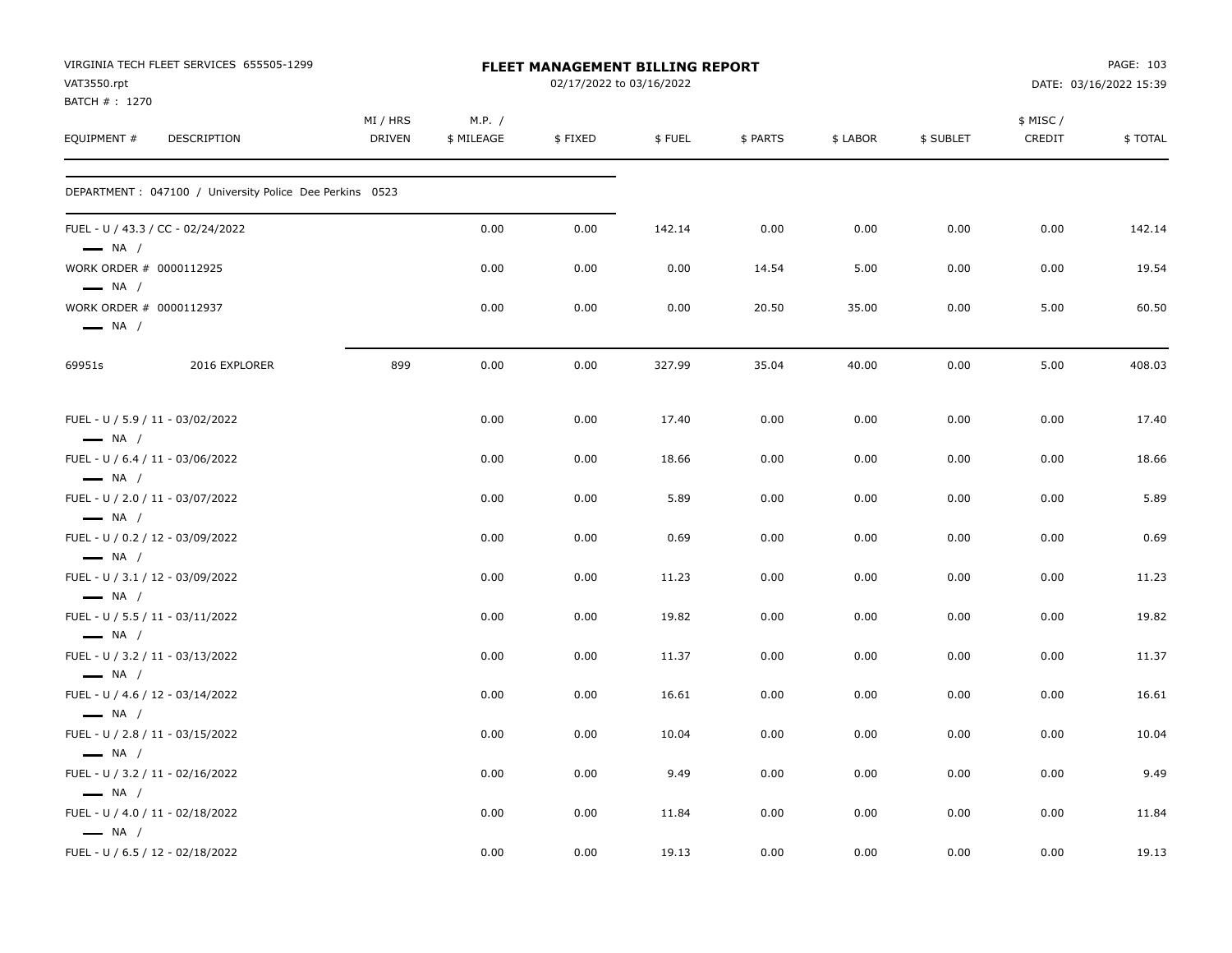| VAT3550.rpt                                      | VIRGINIA TECH FLEET SERVICES 655505-1299                 |                    |                      | <b>FLEET MANAGEMENT BILLING REPORT</b><br>02/17/2022 to 03/16/2022 |        |          |          |           |                     | PAGE: 103<br>DATE: 03/16/2022 15:39 |
|--------------------------------------------------|----------------------------------------------------------|--------------------|----------------------|--------------------------------------------------------------------|--------|----------|----------|-----------|---------------------|-------------------------------------|
| BATCH #: 1270<br>EQUIPMENT #                     | DESCRIPTION                                              | MI / HRS<br>DRIVEN | M.P. /<br>\$ MILEAGE | \$FIXED                                                            | \$FUEL | \$ PARTS | \$ LABOR | \$ SUBLET | \$ MISC /<br>CREDIT | \$TOTAL                             |
|                                                  | DEPARTMENT : 047100 / University Police Dee Perkins 0523 |                    |                      |                                                                    |        |          |          |           |                     |                                     |
| $\longrightarrow$ NA /                           | FUEL - U / 43.3 / CC - 02/24/2022                        |                    | 0.00                 | 0.00                                                               | 142.14 | 0.00     | 0.00     | 0.00      | 0.00                | 142.14                              |
| $\longrightarrow$ NA /                           | WORK ORDER # 0000112925                                  |                    | 0.00                 | 0.00                                                               | 0.00   | 14.54    | 5.00     | 0.00      | 0.00                | 19.54                               |
| $\longrightarrow$ NA /                           | WORK ORDER # 0000112937                                  |                    | 0.00                 | 0.00                                                               | 0.00   | 20.50    | 35.00    | 0.00      | 5.00                | 60.50                               |
| 69951s                                           | 2016 EXPLORER                                            | 899                | 0.00                 | 0.00                                                               | 327.99 | 35.04    | 40.00    | 0.00      | 5.00                | 408.03                              |
| $\longrightarrow$ NA /                           | FUEL - U / 5.9 / 11 - 03/02/2022                         |                    | 0.00                 | 0.00                                                               | 17.40  | 0.00     | 0.00     | 0.00      | 0.00                | 17.40                               |
| $\longrightarrow$ NA /                           | FUEL - U / 6.4 / 11 - 03/06/2022                         |                    | 0.00                 | 0.00                                                               | 18.66  | 0.00     | 0.00     | 0.00      | 0.00                | 18.66                               |
| $\longrightarrow$ NA /                           | FUEL - U / 2.0 / 11 - 03/07/2022                         |                    | 0.00                 | 0.00                                                               | 5.89   | 0.00     | 0.00     | 0.00      | 0.00                | 5.89                                |
|                                                  | FUEL - U / 0.2 / 12 - 03/09/2022                         |                    | 0.00                 | 0.00                                                               | 0.69   | 0.00     | 0.00     | 0.00      | 0.00                | 0.69                                |
| $\longrightarrow$ NA /                           | FUEL - U / 3.1 / 12 - 03/09/2022                         |                    | 0.00                 | 0.00                                                               | 11.23  | 0.00     | 0.00     | 0.00      | 0.00                | 11.23                               |
| $\longrightarrow$ NA /                           | FUEL - U / 5.5 / 11 - 03/11/2022                         |                    | 0.00                 | 0.00                                                               | 19.82  | 0.00     | 0.00     | 0.00      | 0.00                | 19.82                               |
| $\longrightarrow$ NA /                           | FUEL - U / 3.2 / 11 - 03/13/2022                         |                    | 0.00                 | 0.00                                                               | 11.37  | 0.00     | 0.00     | 0.00      | 0.00                | 11.37                               |
| $\longrightarrow$ NA /                           | FUEL - U / 4.6 / 12 - 03/14/2022                         |                    | 0.00                 | 0.00                                                               | 16.61  | 0.00     | 0.00     | 0.00      | 0.00                | 16.61                               |
| $\longrightarrow$ NA /                           | FUEL - U / 2.8 / 11 - 03/15/2022                         |                    | 0.00                 | 0.00                                                               | 10.04  | 0.00     | 0.00     | 0.00      | 0.00                | 10.04                               |
| $\longrightarrow$ NA /<br>$\longrightarrow$ NA / | FUEL - U / 3.2 / 11 - 02/16/2022                         |                    | 0.00                 | 0.00                                                               | 9.49   | 0.00     | 0.00     | 0.00      | 0.00                | 9.49                                |
| $\longrightarrow$ NA /                           | FUEL - U / 4.0 / 11 - 02/18/2022                         |                    | 0.00                 | 0.00                                                               | 11.84  | 0.00     | 0.00     | 0.00      | 0.00                | 11.84                               |
|                                                  | FUEL - U / 6.5 / 12 - 02/18/2022                         |                    | 0.00                 | 0.00                                                               | 19.13  | 0.00     | 0.00     | 0.00      | 0.00                | 19.13                               |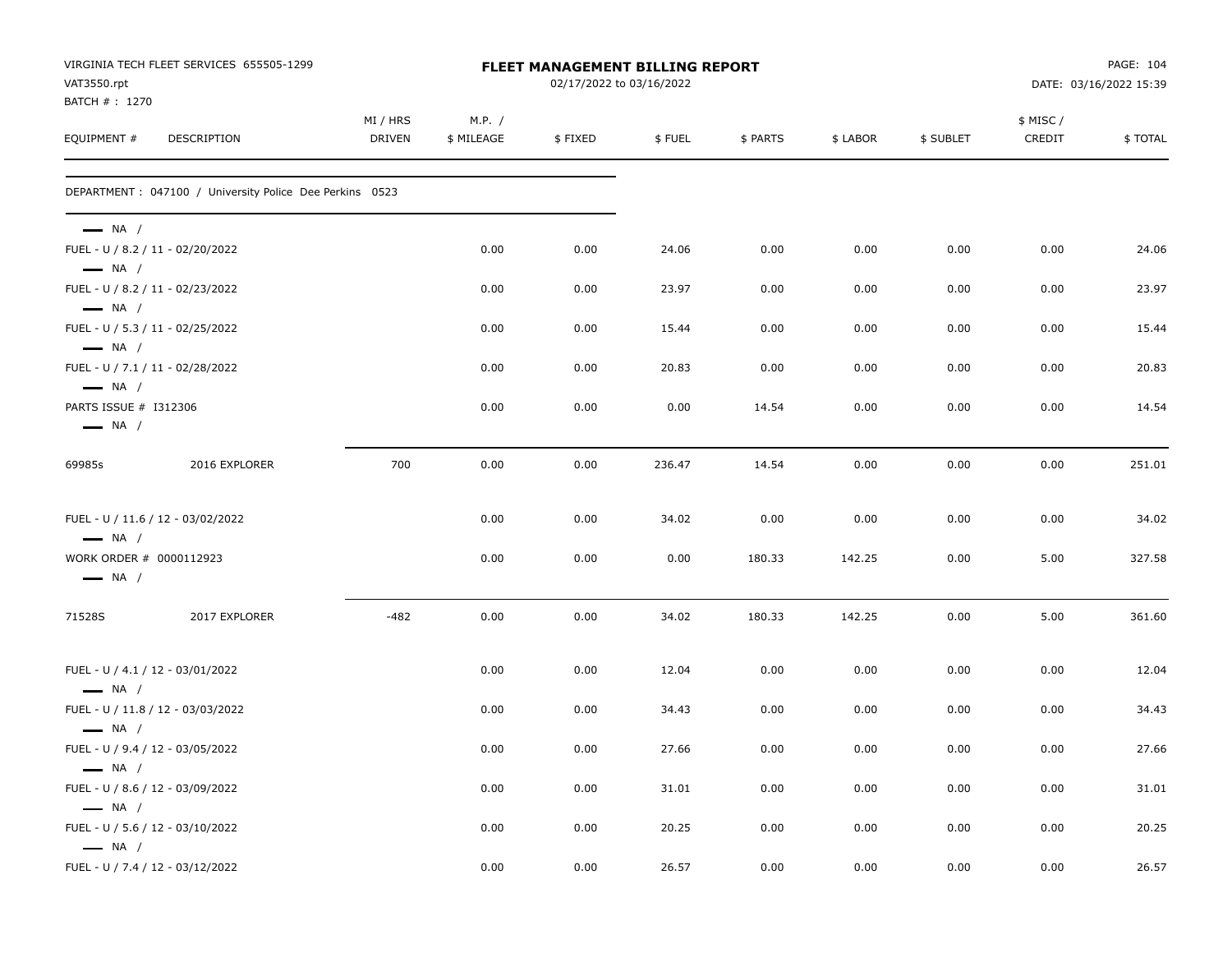| VAT3550.rpt                                       | VIRGINIA TECH FLEET SERVICES 655505-1299                 |                    |                      | FLEET MANAGEMENT BILLING REPORT<br>02/17/2022 to 03/16/2022 |        |          |          |           |                    | PAGE: 104<br>DATE: 03/16/2022 15:39 |
|---------------------------------------------------|----------------------------------------------------------|--------------------|----------------------|-------------------------------------------------------------|--------|----------|----------|-----------|--------------------|-------------------------------------|
| BATCH # : 1270<br>EQUIPMENT #                     | DESCRIPTION                                              | MI / HRS<br>DRIVEN | M.P. /<br>\$ MILEAGE | \$FIXED                                                     | \$FUEL | \$ PARTS | \$ LABOR | \$ SUBLET | \$ MISC/<br>CREDIT | \$TOTAL                             |
|                                                   | DEPARTMENT : 047100 / University Police Dee Perkins 0523 |                    |                      |                                                             |        |          |          |           |                    |                                     |
| $\longrightarrow$ NA /                            | FUEL - U / 8.2 / 11 - 02/20/2022                         |                    | 0.00                 | 0.00                                                        | 24.06  | 0.00     | 0.00     | 0.00      | 0.00               | 24.06                               |
| $\longrightarrow$ NA /<br>$\longrightarrow$ NA /  | FUEL - U / 8.2 / 11 - 02/23/2022                         |                    | 0.00                 | 0.00                                                        | 23.97  | 0.00     | 0.00     | 0.00      | 0.00               | 23.97                               |
| $\longrightarrow$ NA /                            | FUEL - U / 5.3 / 11 - 02/25/2022                         |                    | 0.00                 | 0.00                                                        | 15.44  | 0.00     | 0.00     | 0.00      | 0.00               | 15.44                               |
| $-$ NA /                                          | FUEL - U / 7.1 / 11 - 02/28/2022                         |                    | 0.00                 | 0.00                                                        | 20.83  | 0.00     | 0.00     | 0.00      | 0.00               | 20.83                               |
| PARTS ISSUE # I312306<br>$\longrightarrow$ NA /   |                                                          |                    | 0.00                 | 0.00                                                        | 0.00   | 14.54    | 0.00     | 0.00      | 0.00               | 14.54                               |
| 69985s                                            | 2016 EXPLORER                                            | 700                | 0.00                 | 0.00                                                        | 236.47 | 14.54    | 0.00     | 0.00      | 0.00               | 251.01                              |
| $\longrightarrow$ NA /                            | FUEL - U / 11.6 / 12 - 03/02/2022                        |                    | 0.00                 | 0.00                                                        | 34.02  | 0.00     | 0.00     | 0.00      | 0.00               | 34.02                               |
| WORK ORDER # 0000112923<br>$\longrightarrow$ NA / |                                                          |                    | 0.00                 | 0.00                                                        | 0.00   | 180.33   | 142.25   | 0.00      | 5.00               | 327.58                              |
| 71528S                                            | 2017 EXPLORER                                            | $-482$             | 0.00                 | 0.00                                                        | 34.02  | 180.33   | 142.25   | 0.00      | 5.00               | 361.60                              |
| $\longrightarrow$ NA /                            | FUEL - U / 4.1 / 12 - 03/01/2022                         |                    | 0.00                 | 0.00                                                        | 12.04  | 0.00     | 0.00     | 0.00      | 0.00               | 12.04                               |
| $\longrightarrow$ NA /                            | FUEL - U / 11.8 / 12 - 03/03/2022                        |                    | 0.00                 | 0.00                                                        | 34.43  | 0.00     | 0.00     | 0.00      | 0.00               | 34.43                               |
| $\longrightarrow$ NA /                            | FUEL - U / 9.4 / 12 - 03/05/2022                         |                    | 0.00                 | 0.00                                                        | 27.66  | 0.00     | 0.00     | 0.00      | 0.00               | 27.66                               |
| $\longrightarrow$ NA /                            | FUEL - U / 8.6 / 12 - 03/09/2022                         |                    | 0.00                 | 0.00                                                        | 31.01  | 0.00     | 0.00     | 0.00      | 0.00               | 31.01                               |
| $\longrightarrow$ NA /                            | FUEL - U / 5.6 / 12 - 03/10/2022                         |                    | 0.00                 | 0.00                                                        | 20.25  | 0.00     | 0.00     | 0.00      | 0.00               | 20.25                               |
|                                                   | FUEL - U / 7.4 / 12 - 03/12/2022                         |                    | 0.00                 | 0.00                                                        | 26.57  | 0.00     | 0.00     | 0.00      | 0.00               | 26.57                               |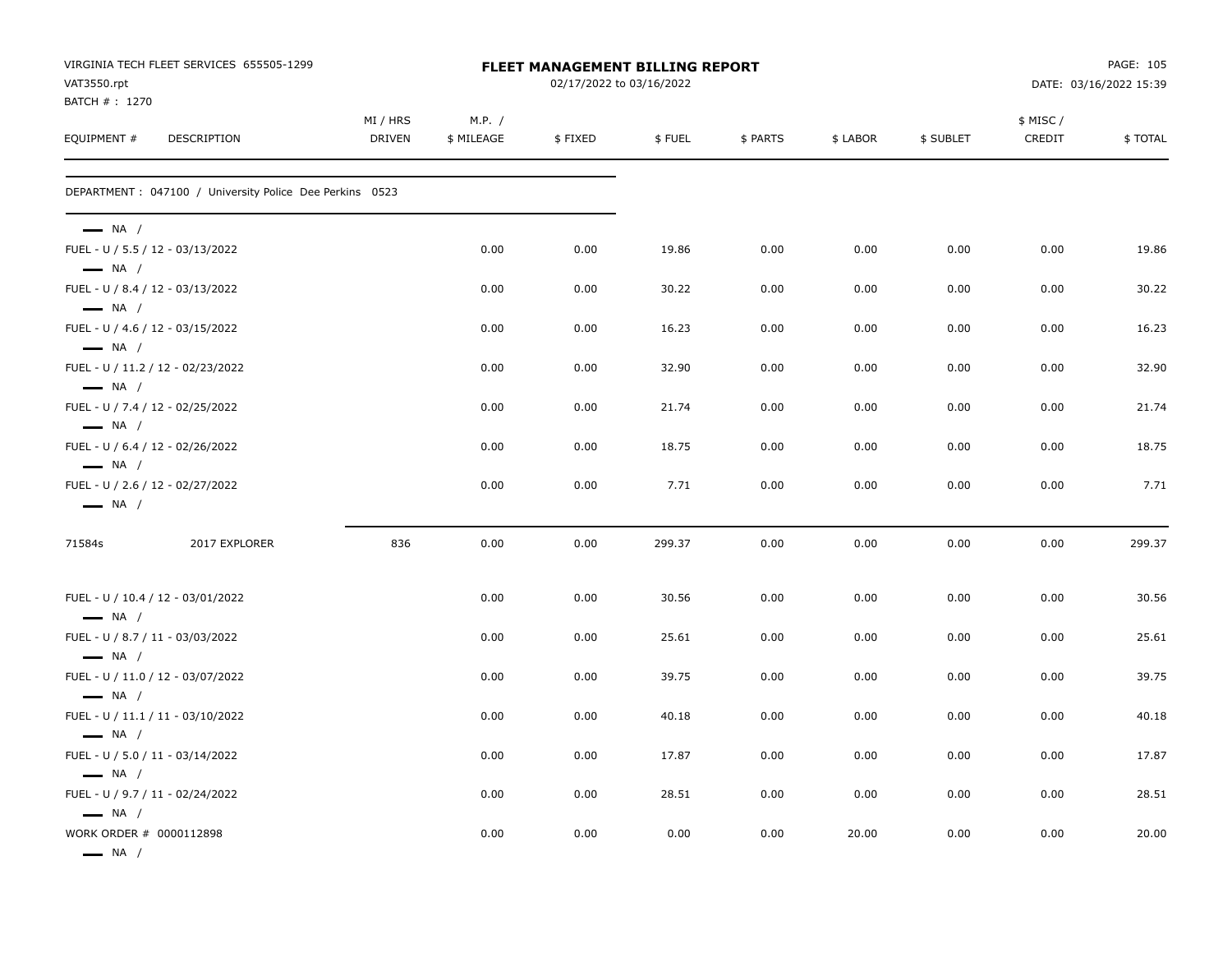| VAT3550.rpt                                                 | VIRGINIA TECH FLEET SERVICES 655505-1299                 |                           |                      | FLEET MANAGEMENT BILLING REPORT<br>02/17/2022 to 03/16/2022 |        |          |          |           |                    | PAGE: 105<br>DATE: 03/16/2022 15:39 |
|-------------------------------------------------------------|----------------------------------------------------------|---------------------------|----------------------|-------------------------------------------------------------|--------|----------|----------|-----------|--------------------|-------------------------------------|
| BATCH # : 1270                                              |                                                          |                           |                      |                                                             |        |          |          |           |                    |                                     |
| EQUIPMENT #                                                 | DESCRIPTION                                              | MI / HRS<br><b>DRIVEN</b> | M.P. /<br>\$ MILEAGE | \$FIXED                                                     | \$FUEL | \$ PARTS | \$ LABOR | \$ SUBLET | \$ MISC/<br>CREDIT | \$TOTAL                             |
|                                                             | DEPARTMENT : 047100 / University Police Dee Perkins 0523 |                           |                      |                                                             |        |          |          |           |                    |                                     |
| $\longrightarrow$ NA /<br>FUEL - U / 5.5 / 12 - 03/13/2022  |                                                          |                           | 0.00                 | 0.00                                                        | 19.86  | 0.00     | 0.00     | 0.00      | 0.00               | 19.86                               |
| $\longrightarrow$ NA /                                      |                                                          |                           |                      |                                                             |        |          |          |           |                    |                                     |
| FUEL - U / 8.4 / 12 - 03/13/2022<br>$\longrightarrow$ NA /  |                                                          |                           | 0.00                 | 0.00                                                        | 30.22  | 0.00     | 0.00     | 0.00      | 0.00               | 30.22                               |
| FUEL - U / 4.6 / 12 - 03/15/2022<br>$\longrightarrow$ NA /  |                                                          |                           | 0.00                 | 0.00                                                        | 16.23  | 0.00     | 0.00     | 0.00      | 0.00               | 16.23                               |
|                                                             | FUEL - U / 11.2 / 12 - 02/23/2022                        |                           | 0.00                 | 0.00                                                        | 32.90  | 0.00     | 0.00     | 0.00      | 0.00               | 32.90                               |
| $\longrightarrow$ NA /<br>FUEL - U / 7.4 / 12 - 02/25/2022  |                                                          |                           | 0.00                 | 0.00                                                        | 21.74  | 0.00     | 0.00     | 0.00      | 0.00               | 21.74                               |
| $\longrightarrow$ NA /<br>FUEL - U / 6.4 / 12 - 02/26/2022  |                                                          |                           | 0.00                 | 0.00                                                        | 18.75  | 0.00     | 0.00     | 0.00      | 0.00               | 18.75                               |
| $\longrightarrow$ NA /                                      |                                                          |                           |                      |                                                             |        |          |          |           |                    |                                     |
| FUEL - U / 2.6 / 12 - 02/27/2022<br>$\longrightarrow$ NA /  |                                                          |                           | 0.00                 | 0.00                                                        | 7.71   | 0.00     | 0.00     | 0.00      | 0.00               | 7.71                                |
| 71584s                                                      | 2017 EXPLORER                                            | 836                       | 0.00                 | 0.00                                                        | 299.37 | 0.00     | 0.00     | 0.00      | 0.00               | 299.37                              |
| FUEL - U / 10.4 / 12 - 03/01/2022                           |                                                          |                           | 0.00                 | 0.00                                                        | 30.56  | 0.00     | 0.00     | 0.00      | 0.00               | 30.56                               |
| $\longrightarrow$ NA /<br>FUEL - U / 8.7 / 11 - 03/03/2022  |                                                          |                           | 0.00                 | 0.00                                                        | 25.61  | 0.00     | 0.00     | 0.00      | 0.00               | 25.61                               |
| $\longrightarrow$ NA /                                      | FUEL - U / 11.0 / 12 - 03/07/2022                        |                           | 0.00                 | 0.00                                                        | 39.75  | 0.00     | 0.00     | 0.00      | 0.00               | 39.75                               |
| $\longrightarrow$ NA /<br>FUEL - U / 11.1 / 11 - 03/10/2022 |                                                          |                           | 0.00                 | 0.00                                                        | 40.18  | 0.00     | 0.00     | 0.00      | 0.00               | 40.18                               |
| $\longrightarrow$ NA /<br>FUEL - U / 5.0 / 11 - 03/14/2022  |                                                          |                           | 0.00                 | 0.00                                                        | 17.87  | 0.00     | 0.00     | 0.00      | 0.00               | 17.87                               |
| $\longrightarrow$ NA /                                      |                                                          |                           |                      |                                                             |        |          |          |           |                    |                                     |
| FUEL - U / 9.7 / 11 - 02/24/2022<br>$\longrightarrow$ NA /  |                                                          |                           | 0.00                 | 0.00                                                        | 28.51  | 0.00     | 0.00     | 0.00      | 0.00               | 28.51                               |
| WORK ORDER # 0000112898<br>$\longrightarrow$ NA /           |                                                          |                           | 0.00                 | 0.00                                                        | 0.00   | 0.00     | 20.00    | 0.00      | 0.00               | 20.00                               |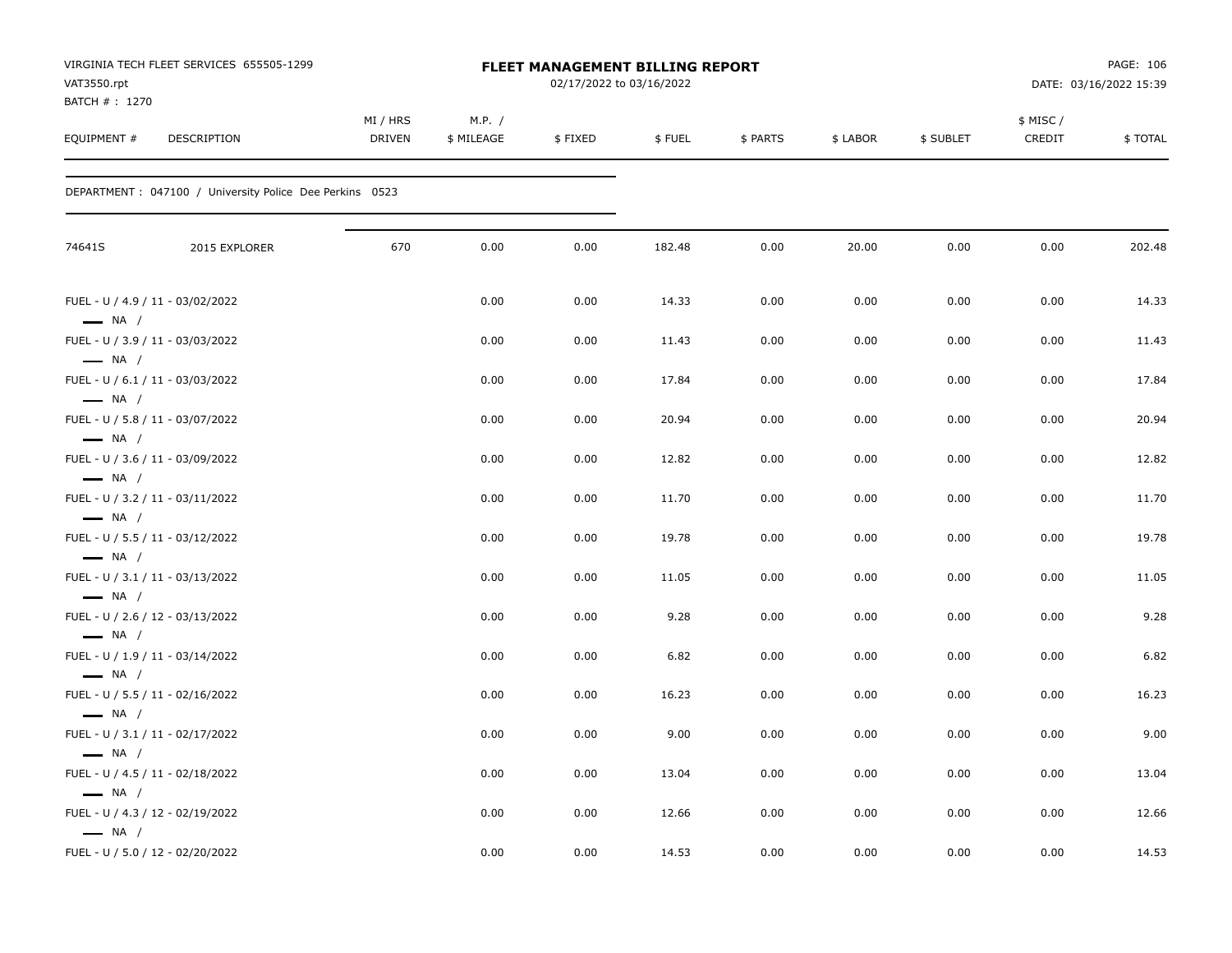| VAT3550.rpt<br>BATCH #: 1270                     | VIRGINIA TECH FLEET SERVICES 655505-1299                 |                    |                      | <b>FLEET MANAGEMENT BILLING REPORT</b><br>02/17/2022 to 03/16/2022 |        |          |          |           |                    | PAGE: 106<br>DATE: 03/16/2022 15:39 |
|--------------------------------------------------|----------------------------------------------------------|--------------------|----------------------|--------------------------------------------------------------------|--------|----------|----------|-----------|--------------------|-------------------------------------|
| EQUIPMENT #                                      | <b>DESCRIPTION</b>                                       | MI / HRS<br>DRIVEN | M.P. /<br>\$ MILEAGE | \$FIXED                                                            | \$FUEL | \$ PARTS | \$ LABOR | \$ SUBLET | \$ MISC/<br>CREDIT | \$TOTAL                             |
|                                                  | DEPARTMENT : 047100 / University Police Dee Perkins 0523 |                    |                      |                                                                    |        |          |          |           |                    |                                     |
| 74641S                                           | 2015 EXPLORER                                            | 670                | 0.00                 | 0.00                                                               | 182.48 | 0.00     | 20.00    | 0.00      | 0.00               | 202.48                              |
|                                                  | FUEL - U / 4.9 / 11 - 03/02/2022                         |                    | 0.00                 | 0.00                                                               | 14.33  | 0.00     | 0.00     | 0.00      | 0.00               | 14.33                               |
| $\longrightarrow$ NA /                           | FUEL - U / 3.9 / 11 - 03/03/2022                         |                    | 0.00                 | 0.00                                                               | 11.43  | 0.00     | 0.00     | 0.00      | 0.00               | 11.43                               |
| $\longrightarrow$ NA /                           | FUEL - U / 6.1 / 11 - 03/03/2022                         |                    | 0.00                 | 0.00                                                               | 17.84  | 0.00     | 0.00     | 0.00      | 0.00               | 17.84                               |
| $\longrightarrow$ NA /                           | FUEL - U / 5.8 / 11 - 03/07/2022                         |                    | 0.00                 | 0.00                                                               | 20.94  | 0.00     | 0.00     | 0.00      | 0.00               | 20.94                               |
| $\longrightarrow$ NA /<br>$\longrightarrow$ NA / | FUEL - U / 3.6 / 11 - 03/09/2022                         |                    | 0.00                 | 0.00                                                               | 12.82  | 0.00     | 0.00     | 0.00      | 0.00               | 12.82                               |
|                                                  | FUEL - U / 3.2 / 11 - 03/11/2022                         |                    | 0.00                 | 0.00                                                               | 11.70  | 0.00     | 0.00     | 0.00      | 0.00               | 11.70                               |
| $\longrightarrow$ NA /                           | FUEL - U / 5.5 / 11 - 03/12/2022                         |                    | 0.00                 | 0.00                                                               | 19.78  | 0.00     | 0.00     | 0.00      | 0.00               | 19.78                               |
| $\longrightarrow$ NA /                           | FUEL - U / 3.1 / 11 - 03/13/2022                         |                    | 0.00                 | 0.00                                                               | 11.05  | 0.00     | 0.00     | 0.00      | 0.00               | 11.05                               |
| $\longrightarrow$ NA /                           | FUEL - U / 2.6 / 12 - 03/13/2022                         |                    | 0.00                 | 0.00                                                               | 9.28   | 0.00     | 0.00     | 0.00      | 0.00               | 9.28                                |
| $\longrightarrow$ NA /                           | FUEL - U / 1.9 / 11 - 03/14/2022                         |                    | 0.00                 | 0.00                                                               | 6.82   | 0.00     | 0.00     | 0.00      | 0.00               | 6.82                                |
| $\longrightarrow$ NA /                           | FUEL - U / 5.5 / 11 - 02/16/2022                         |                    | 0.00                 | 0.00                                                               | 16.23  | 0.00     | 0.00     | 0.00      | 0.00               | 16.23                               |
| $\longrightarrow$ NA /                           | FUEL - U / 3.1 / 11 - 02/17/2022                         |                    | 0.00                 | 0.00                                                               | 9.00   | 0.00     | 0.00     | 0.00      | 0.00               | 9.00                                |
| $\longrightarrow$ NA /                           | FUEL - U / 4.5 / 11 - 02/18/2022                         |                    | 0.00                 | 0.00                                                               | 13.04  | 0.00     | 0.00     | 0.00      | 0.00               | 13.04                               |
| $\longrightarrow$ NA /                           | FUEL - U / 4.3 / 12 - 02/19/2022                         |                    | 0.00                 | 0.00                                                               | 12.66  | 0.00     | 0.00     | 0.00      | 0.00               | 12.66                               |
| $\longrightarrow$ NA /                           | FUEL - U / 5.0 / 12 - 02/20/2022                         |                    | 0.00                 | 0.00                                                               | 14.53  | 0.00     | 0.00     | 0.00      | 0.00               | 14.53                               |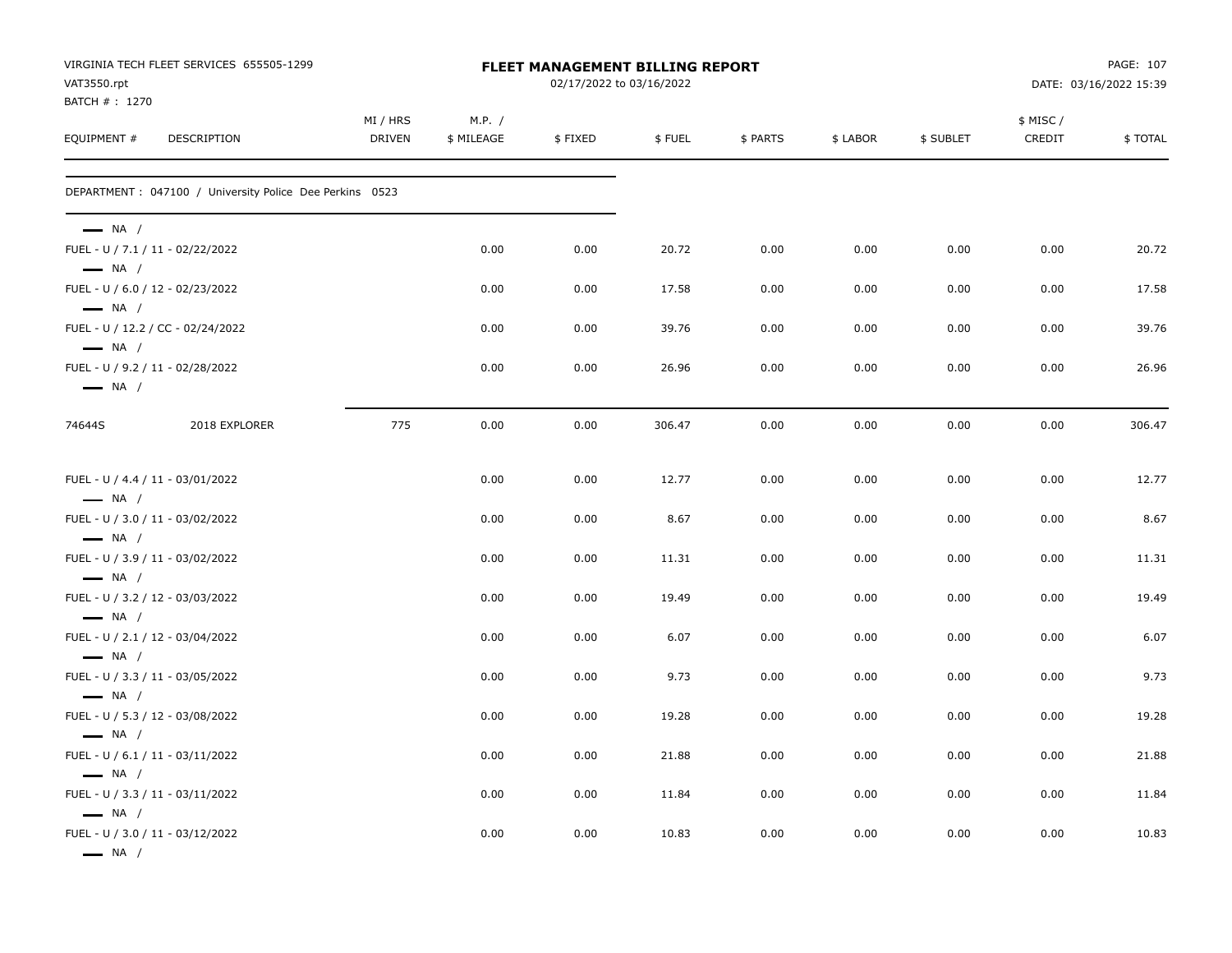| VAT3550.rpt<br>BATCH #: 1270                                                         | VIRGINIA TECH FLEET SERVICES 655505-1299                 |                           |                      | FLEET MANAGEMENT BILLING REPORT<br>02/17/2022 to 03/16/2022 |        |          |          |           |                     | PAGE: 107<br>DATE: 03/16/2022 15:39 |
|--------------------------------------------------------------------------------------|----------------------------------------------------------|---------------------------|----------------------|-------------------------------------------------------------|--------|----------|----------|-----------|---------------------|-------------------------------------|
| EQUIPMENT #                                                                          | <b>DESCRIPTION</b>                                       | MI / HRS<br><b>DRIVEN</b> | M.P. /<br>\$ MILEAGE | \$FIXED                                                     | \$FUEL | \$ PARTS | \$ LABOR | \$ SUBLET | \$ MISC /<br>CREDIT | \$TOTAL                             |
|                                                                                      | DEPARTMENT : 047100 / University Police Dee Perkins 0523 |                           |                      |                                                             |        |          |          |           |                     |                                     |
| $\longrightarrow$ NA /<br>FUEL - U / 7.1 / 11 - 02/22/2022<br>$\longrightarrow$ NA / |                                                          |                           | 0.00                 | 0.00                                                        | 20.72  | 0.00     | 0.00     | 0.00      | 0.00                | 20.72                               |
| FUEL - U / 6.0 / 12 - 02/23/2022                                                     |                                                          |                           | 0.00                 | 0.00                                                        | 17.58  | 0.00     | 0.00     | 0.00      | 0.00                | 17.58                               |
| $\longrightarrow$ NA /<br>$\longrightarrow$ NA /                                     | FUEL - U / 12.2 / CC - 02/24/2022                        |                           | 0.00                 | 0.00                                                        | 39.76  | 0.00     | 0.00     | 0.00      | 0.00                | 39.76                               |
| FUEL - U / 9.2 / 11 - 02/28/2022<br>$\longrightarrow$ NA /                           |                                                          |                           | 0.00                 | 0.00                                                        | 26.96  | 0.00     | 0.00     | 0.00      | 0.00                | 26.96                               |
| 74644S                                                                               | 2018 EXPLORER                                            | 775                       | 0.00                 | 0.00                                                        | 306.47 | 0.00     | 0.00     | 0.00      | 0.00                | 306.47                              |
| FUEL - U / 4.4 / 11 - 03/01/2022<br>$\longrightarrow$ NA /                           |                                                          |                           | 0.00                 | 0.00                                                        | 12.77  | 0.00     | 0.00     | 0.00      | 0.00                | 12.77                               |
| FUEL - U / 3.0 / 11 - 03/02/2022<br>$\longrightarrow$ NA /                           |                                                          |                           | 0.00                 | 0.00                                                        | 8.67   | 0.00     | 0.00     | 0.00      | 0.00                | 8.67                                |
| FUEL - U / 3.9 / 11 - 03/02/2022<br>$\longrightarrow$ NA /                           |                                                          |                           | 0.00                 | 0.00                                                        | 11.31  | 0.00     | 0.00     | 0.00      | 0.00                | 11.31                               |
| FUEL - U / 3.2 / 12 - 03/03/2022<br>$\longrightarrow$ NA /                           |                                                          |                           | 0.00                 | 0.00                                                        | 19.49  | 0.00     | 0.00     | 0.00      | 0.00                | 19.49                               |
| FUEL - U / 2.1 / 12 - 03/04/2022<br>$\longrightarrow$ NA /                           |                                                          |                           | 0.00                 | 0.00                                                        | 6.07   | 0.00     | 0.00     | 0.00      | 0.00                | 6.07                                |
| FUEL - U / 3.3 / 11 - 03/05/2022<br>$\longrightarrow$ NA /                           |                                                          |                           | 0.00                 | 0.00                                                        | 9.73   | 0.00     | 0.00     | 0.00      | 0.00                | 9.73                                |
| FUEL - U / 5.3 / 12 - 03/08/2022<br>$\longrightarrow$ NA /                           |                                                          |                           | 0.00                 | 0.00                                                        | 19.28  | 0.00     | 0.00     | 0.00      | 0.00                | 19.28                               |
| FUEL - U / 6.1 / 11 - 03/11/2022<br>$\longrightarrow$ NA /                           |                                                          |                           | 0.00                 | 0.00                                                        | 21.88  | 0.00     | 0.00     | 0.00      | 0.00                | 21.88                               |
| FUEL - U / 3.3 / 11 - 03/11/2022                                                     |                                                          |                           | 0.00                 | 0.00                                                        | 11.84  | 0.00     | 0.00     | 0.00      | 0.00                | 11.84                               |
| $\longrightarrow$ NA /<br>FUEL - U / 3.0 / 11 - 03/12/2022<br>$\longrightarrow$ NA / |                                                          |                           | 0.00                 | 0.00                                                        | 10.83  | 0.00     | 0.00     | 0.00      | 0.00                | 10.83                               |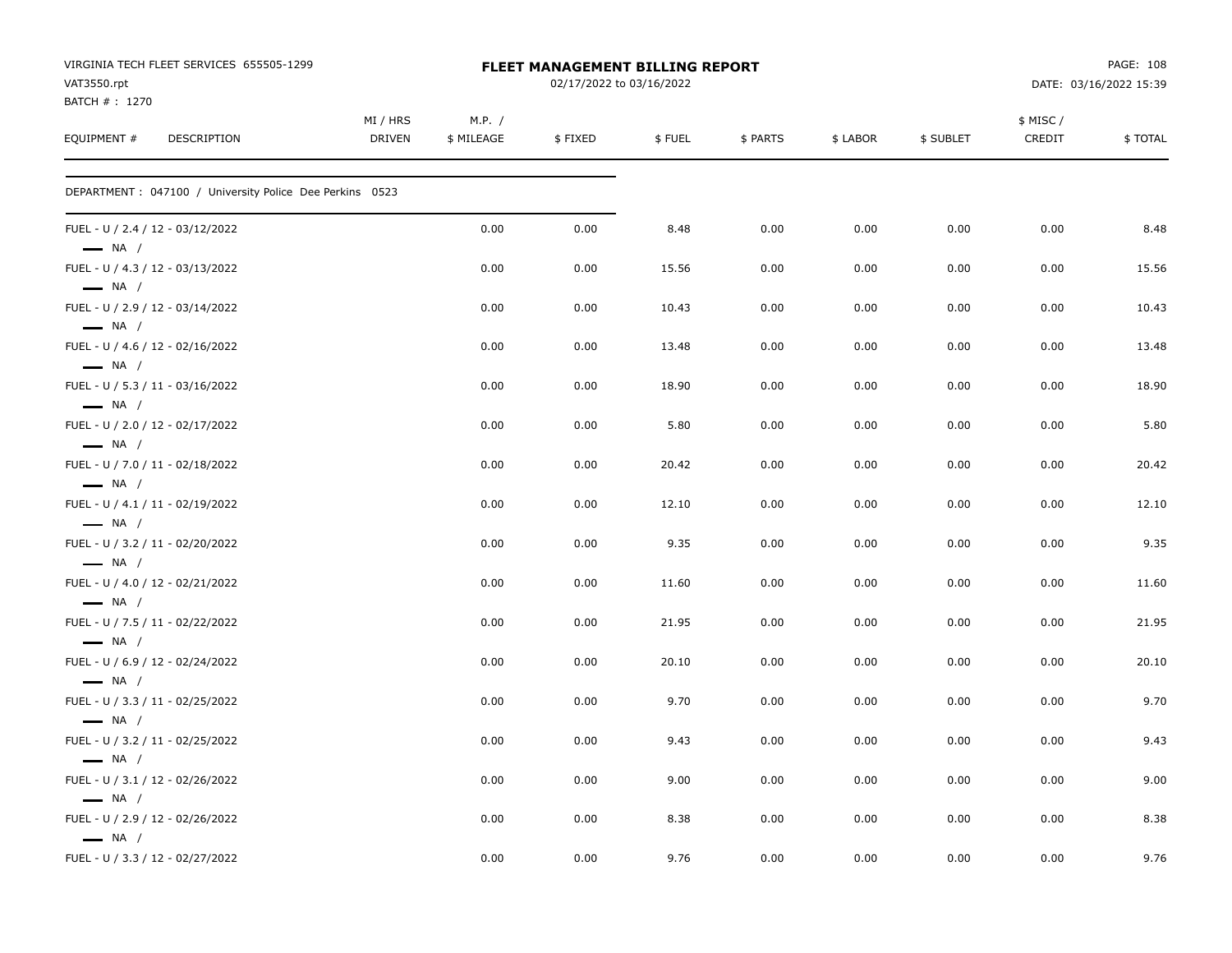| VIRGINIA TECH FLEET SERVICES 655505-1299<br>VAT3550.rpt<br>BATCH #: 1270<br>EQUIPMENT #<br>DESCRIPTION | <b>FLEET MANAGEMENT BILLING REPORT</b><br>02/17/2022 to 03/16/2022 |                      |         |        |          |          | PAGE: 108<br>DATE: 03/16/2022 15:39 |                     |         |
|--------------------------------------------------------------------------------------------------------|--------------------------------------------------------------------|----------------------|---------|--------|----------|----------|-------------------------------------|---------------------|---------|
|                                                                                                        | MI / HRS<br><b>DRIVEN</b>                                          | M.P. /<br>\$ MILEAGE | \$FIXED | \$FUEL | \$ PARTS | \$ LABOR | \$ SUBLET                           | \$ MISC /<br>CREDIT | \$TOTAL |
| DEPARTMENT : 047100 / University Police Dee Perkins 0523                                               |                                                                    |                      |         |        |          |          |                                     |                     |         |
| FUEL - U / 2.4 / 12 - 03/12/2022<br>$\longrightarrow$ NA /                                             |                                                                    | 0.00                 | 0.00    | 8.48   | 0.00     | 0.00     | 0.00                                | 0.00                | 8.48    |
| FUEL - U / 4.3 / 12 - 03/13/2022<br>$\longrightarrow$ NA /                                             |                                                                    | 0.00                 | 0.00    | 15.56  | 0.00     | 0.00     | 0.00                                | 0.00                | 15.56   |
| FUEL - U / 2.9 / 12 - 03/14/2022<br>$\longrightarrow$ NA /                                             |                                                                    | 0.00                 | 0.00    | 10.43  | 0.00     | 0.00     | 0.00                                | 0.00                | 10.43   |
| FUEL - U / 4.6 / 12 - 02/16/2022<br>$\longrightarrow$ NA /                                             |                                                                    | 0.00                 | 0.00    | 13.48  | 0.00     | 0.00     | 0.00                                | 0.00                | 13.48   |
| FUEL - U / 5.3 / 11 - 03/16/2022<br>$\longrightarrow$ NA /                                             |                                                                    | 0.00                 | 0.00    | 18.90  | 0.00     | 0.00     | 0.00                                | 0.00                | 18.90   |
| FUEL - U / 2.0 / 12 - 02/17/2022<br>$\longrightarrow$ NA /                                             |                                                                    | 0.00                 | 0.00    | 5.80   | 0.00     | 0.00     | 0.00                                | 0.00                | 5.80    |
| FUEL - U / 7.0 / 11 - 02/18/2022<br>$\longrightarrow$ NA /                                             |                                                                    | 0.00                 | 0.00    | 20.42  | 0.00     | 0.00     | 0.00                                | 0.00                | 20.42   |
| FUEL - U / 4.1 / 11 - 02/19/2022<br>$\longrightarrow$ NA /                                             |                                                                    | 0.00                 | 0.00    | 12.10  | 0.00     | 0.00     | 0.00                                | 0.00                | 12.10   |
| FUEL - U / 3.2 / 11 - 02/20/2022<br>$\longrightarrow$ NA /                                             |                                                                    | 0.00                 | 0.00    | 9.35   | 0.00     | 0.00     | 0.00                                | 0.00                | 9.35    |
| FUEL - U / 4.0 / 12 - 02/21/2022<br>$\longrightarrow$ NA /                                             |                                                                    | 0.00                 | 0.00    | 11.60  | 0.00     | 0.00     | 0.00                                | 0.00                | 11.60   |
| FUEL - U / 7.5 / 11 - 02/22/2022<br>$\longrightarrow$ NA /                                             |                                                                    | 0.00                 | 0.00    | 21.95  | 0.00     | 0.00     | 0.00                                | 0.00                | 21.95   |
| FUEL - U / 6.9 / 12 - 02/24/2022<br>$\longrightarrow$ NA /                                             |                                                                    | 0.00                 | 0.00    | 20.10  | 0.00     | 0.00     | 0.00                                | 0.00                | 20.10   |
| FUEL - U / 3.3 / 11 - 02/25/2022<br>$\longrightarrow$ NA /                                             |                                                                    | 0.00                 | 0.00    | 9.70   | 0.00     | 0.00     | 0.00                                | 0.00                | 9.70    |
| FUEL - U / 3.2 / 11 - 02/25/2022<br>$\longrightarrow$ NA /                                             |                                                                    | 0.00                 | 0.00    | 9.43   | 0.00     | 0.00     | 0.00                                | 0.00                | 9.43    |
| FUEL - U / 3.1 / 12 - 02/26/2022<br>$\equiv$ NA /                                                      |                                                                    | 0.00                 | 0.00    | 9.00   | 0.00     | 0.00     | 0.00                                | 0.00                | 9.00    |
| FUEL - U / 2.9 / 12 - 02/26/2022<br>$\longrightarrow$ NA /                                             |                                                                    | 0.00                 | 0.00    | 8.38   | 0.00     | 0.00     | 0.00                                | 0.00                | 8.38    |
| FUEL - U / 3.3 / 12 - 02/27/2022                                                                       |                                                                    | 0.00                 | 0.00    | 9.76   | 0.00     | 0.00     | 0.00                                | 0.00                | 9.76    |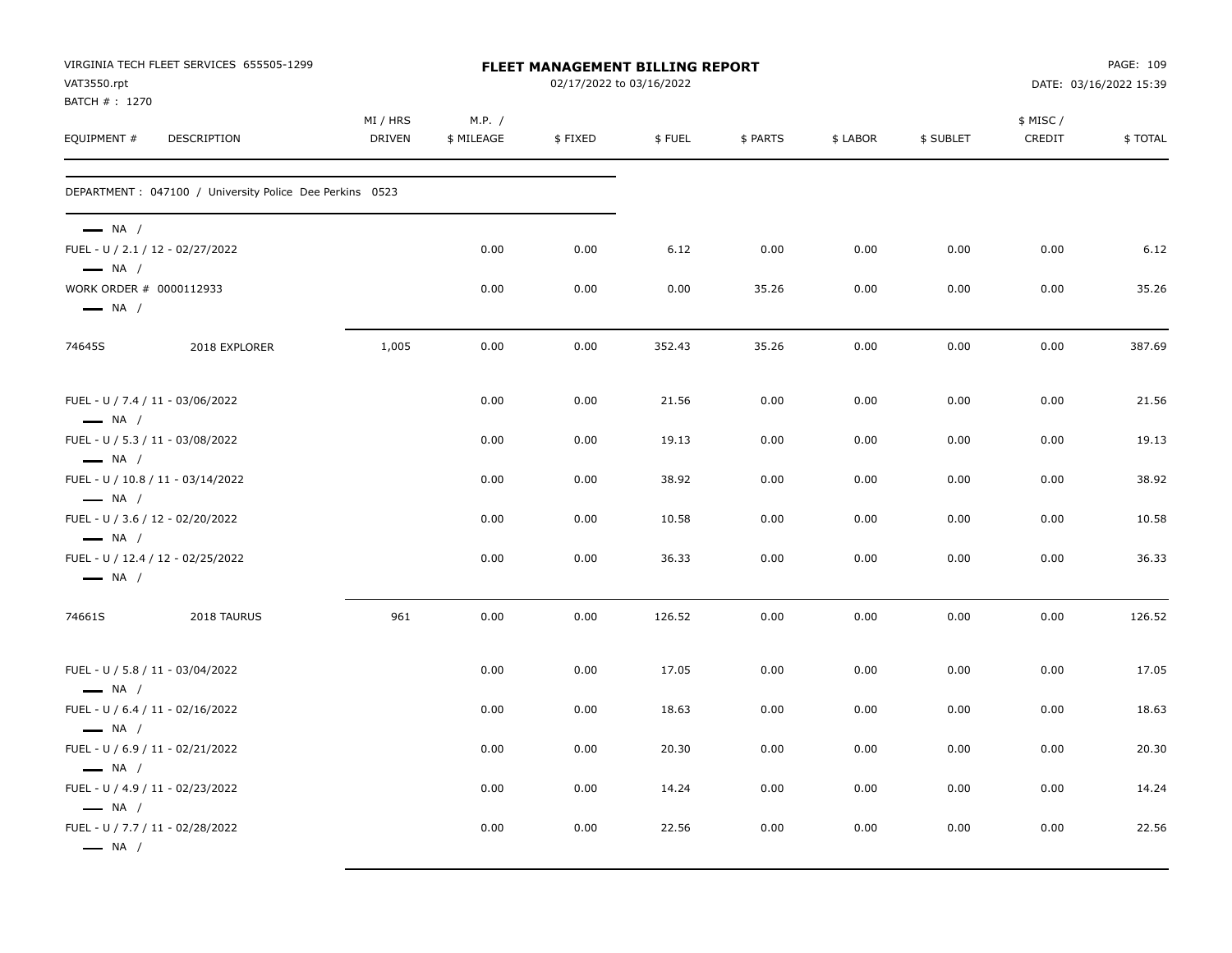| VAT3550.rpt<br>BATCH #: 1270                      | VIRGINIA TECH FLEET SERVICES 655505-1299                 |                           |                      | FLEET MANAGEMENT BILLING REPORT<br>02/17/2022 to 03/16/2022 |        |          |          |           |                    | PAGE: 109<br>DATE: 03/16/2022 15:39 |
|---------------------------------------------------|----------------------------------------------------------|---------------------------|----------------------|-------------------------------------------------------------|--------|----------|----------|-----------|--------------------|-------------------------------------|
| EQUIPMENT #                                       | DESCRIPTION                                              | MI / HRS<br><b>DRIVEN</b> | M.P. /<br>\$ MILEAGE | \$FIXED                                                     | \$FUEL | \$ PARTS | \$ LABOR | \$ SUBLET | \$ MISC/<br>CREDIT | \$TOTAL                             |
|                                                   | DEPARTMENT : 047100 / University Police Dee Perkins 0523 |                           |                      |                                                             |        |          |          |           |                    |                                     |
| $\longrightarrow$ NA /<br>$\longrightarrow$ NA /  | FUEL - U / 2.1 / 12 - 02/27/2022                         |                           | 0.00                 | 0.00                                                        | 6.12   | 0.00     | 0.00     | 0.00      | 0.00               | 6.12                                |
| WORK ORDER # 0000112933<br>$\longrightarrow$ NA / |                                                          |                           | 0.00                 | 0.00                                                        | 0.00   | 35.26    | 0.00     | 0.00      | 0.00               | 35.26                               |
| 74645S                                            | 2018 EXPLORER                                            | 1,005                     | 0.00                 | 0.00                                                        | 352.43 | 35.26    | 0.00     | 0.00      | 0.00               | 387.69                              |
| $\longrightarrow$ NA /                            | FUEL - U / 7.4 / 11 - 03/06/2022                         |                           | 0.00                 | 0.00                                                        | 21.56  | 0.00     | 0.00     | 0.00      | 0.00               | 21.56                               |
| $\longrightarrow$ NA /                            | FUEL - U / 5.3 / 11 - 03/08/2022                         |                           | 0.00                 | 0.00                                                        | 19.13  | 0.00     | 0.00     | 0.00      | 0.00               | 19.13                               |
| $-$ NA $/$                                        | FUEL - U / 10.8 / 11 - 03/14/2022                        |                           | 0.00                 | 0.00                                                        | 38.92  | 0.00     | 0.00     | 0.00      | 0.00               | 38.92                               |
| $\longrightarrow$ NA /                            | FUEL - U / 3.6 / 12 - 02/20/2022                         |                           | 0.00                 | 0.00                                                        | 10.58  | 0.00     | 0.00     | 0.00      | 0.00               | 10.58                               |
| $\longrightarrow$ NA /                            | FUEL - U / 12.4 / 12 - 02/25/2022                        |                           | 0.00                 | 0.00                                                        | 36.33  | 0.00     | 0.00     | 0.00      | 0.00               | 36.33                               |
| 74661S                                            | 2018 TAURUS                                              | 961                       | 0.00                 | 0.00                                                        | 126.52 | 0.00     | 0.00     | 0.00      | 0.00               | 126.52                              |
| $\longrightarrow$ NA /                            | FUEL - U / 5.8 / 11 - 03/04/2022                         |                           | 0.00                 | 0.00                                                        | 17.05  | 0.00     | 0.00     | 0.00      | 0.00               | 17.05                               |
| $\longrightarrow$ NA /                            | FUEL - U / 6.4 / 11 - 02/16/2022                         |                           | 0.00                 | 0.00                                                        | 18.63  | 0.00     | 0.00     | 0.00      | 0.00               | 18.63                               |
| $-$ NA $/$                                        | FUEL - U / 6.9 / 11 - 02/21/2022                         |                           | 0.00                 | 0.00                                                        | 20.30  | 0.00     | 0.00     | 0.00      | 0.00               | 20.30                               |
|                                                   | FUEL - U / 4.9 / 11 - 02/23/2022                         |                           | 0.00                 | 0.00                                                        | 14.24  | 0.00     | 0.00     | 0.00      | 0.00               | 14.24                               |
| $\longrightarrow$ NA /<br>$\longrightarrow$ NA /  | FUEL - U / 7.7 / 11 - 02/28/2022                         |                           | 0.00                 | 0.00                                                        | 22.56  | 0.00     | 0.00     | 0.00      | 0.00               | 22.56                               |
|                                                   |                                                          |                           |                      |                                                             |        |          |          |           |                    |                                     |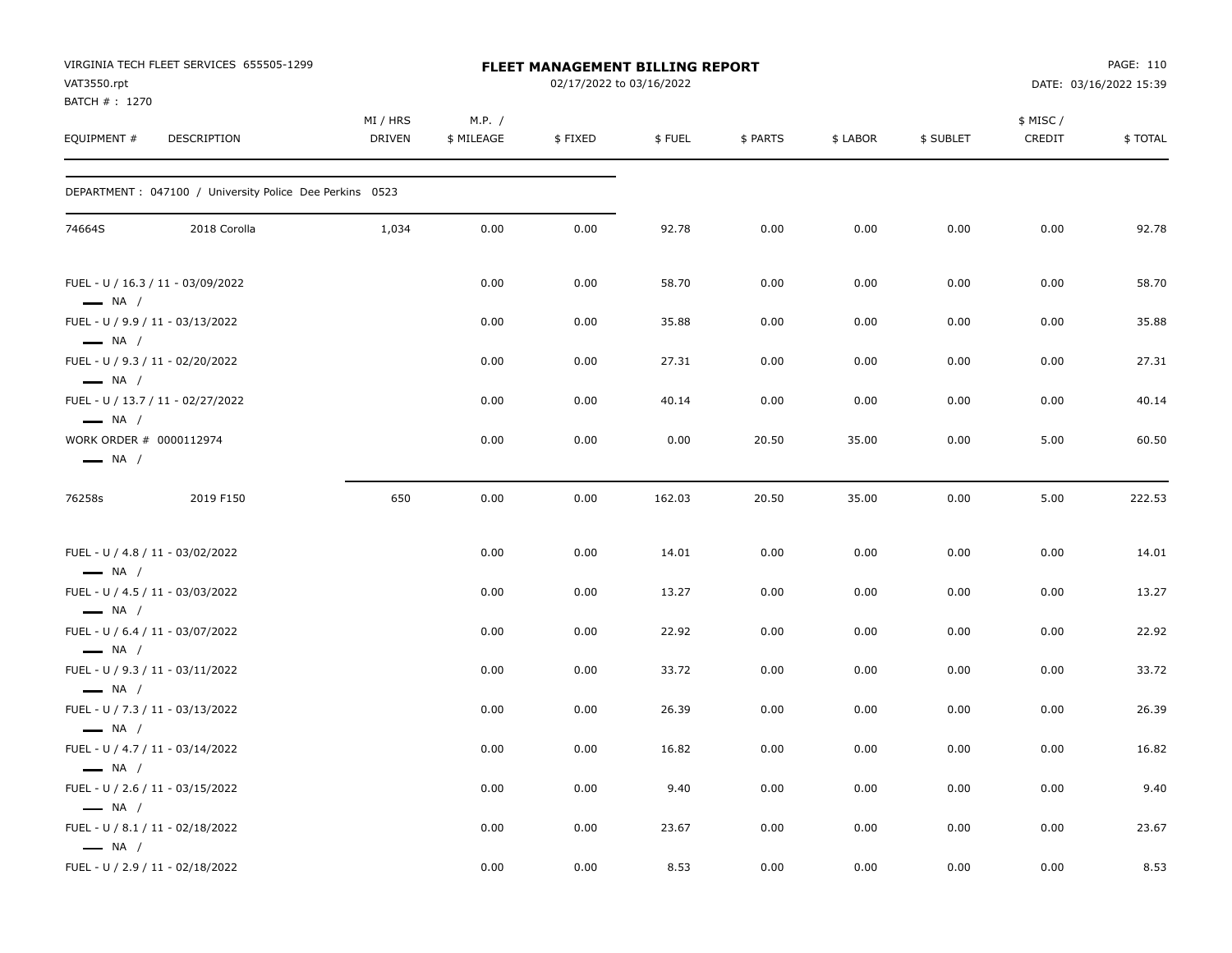| VAT3550.rpt                                       | VIRGINIA TECH FLEET SERVICES 655505-1299                 |                           |                      | FLEET MANAGEMENT BILLING REPORT<br>02/17/2022 to 03/16/2022 |        |          |          |           |                    | PAGE: 110<br>DATE: 03/16/2022 15:39 |
|---------------------------------------------------|----------------------------------------------------------|---------------------------|----------------------|-------------------------------------------------------------|--------|----------|----------|-----------|--------------------|-------------------------------------|
| BATCH # : 1270<br>EQUIPMENT #                     | DESCRIPTION                                              | MI / HRS<br><b>DRIVEN</b> | M.P. /<br>\$ MILEAGE | \$FIXED                                                     | \$FUEL | \$ PARTS | \$ LABOR | \$ SUBLET | \$ MISC/<br>CREDIT | \$TOTAL                             |
|                                                   | DEPARTMENT : 047100 / University Police Dee Perkins 0523 |                           |                      |                                                             |        |          |          |           |                    |                                     |
| 74664S                                            | 2018 Corolla                                             | 1,034                     | 0.00                 | 0.00                                                        | 92.78  | 0.00     | 0.00     | 0.00      | 0.00               | 92.78                               |
| $\longrightarrow$ NA /                            | FUEL - U / 16.3 / 11 - 03/09/2022                        |                           | 0.00                 | 0.00                                                        | 58.70  | 0.00     | 0.00     | 0.00      | 0.00               | 58.70                               |
| $\longrightarrow$ NA /                            | FUEL - U / 9.9 / 11 - 03/13/2022                         |                           | 0.00                 | 0.00                                                        | 35.88  | 0.00     | 0.00     | 0.00      | 0.00               | 35.88                               |
| $\longrightarrow$ NA /                            | FUEL - U / 9.3 / 11 - 02/20/2022                         |                           | 0.00                 | 0.00                                                        | 27.31  | 0.00     | 0.00     | 0.00      | 0.00               | 27.31                               |
| $\longrightarrow$ NA /                            | FUEL - U / 13.7 / 11 - 02/27/2022                        |                           | 0.00                 | 0.00                                                        | 40.14  | 0.00     | 0.00     | 0.00      | 0.00               | 40.14                               |
| WORK ORDER # 0000112974<br>$\longrightarrow$ NA / |                                                          |                           | 0.00                 | 0.00                                                        | 0.00   | 20.50    | 35.00    | 0.00      | 5.00               | 60.50                               |
| 76258s                                            | 2019 F150                                                | 650                       | 0.00                 | 0.00                                                        | 162.03 | 20.50    | 35.00    | 0.00      | 5.00               | 222.53                              |
| $\longrightarrow$ NA /                            | FUEL - U / 4.8 / 11 - 03/02/2022                         |                           | 0.00                 | 0.00                                                        | 14.01  | 0.00     | 0.00     | 0.00      | 0.00               | 14.01                               |
|                                                   | FUEL - U / 4.5 / 11 - 03/03/2022                         |                           | 0.00                 | 0.00                                                        | 13.27  | 0.00     | 0.00     | 0.00      | 0.00               | 13.27                               |
| $\longrightarrow$ NA /                            | FUEL - U / 6.4 / 11 - 03/07/2022                         |                           | 0.00                 | 0.00                                                        | 22.92  | 0.00     | 0.00     | 0.00      | 0.00               | 22.92                               |
| $\longrightarrow$ NA /                            | FUEL - U / 9.3 / 11 - 03/11/2022                         |                           | 0.00                 | 0.00                                                        | 33.72  | 0.00     | 0.00     | 0.00      | 0.00               | 33.72                               |
| $\longrightarrow$ NA /                            | FUEL - U / 7.3 / 11 - 03/13/2022                         |                           | 0.00                 | 0.00                                                        | 26.39  | 0.00     | 0.00     | 0.00      | 0.00               | 26.39                               |
| $\longrightarrow$ NA /                            | FUEL - U / 4.7 / 11 - 03/14/2022                         |                           | 0.00                 | 0.00                                                        | 16.82  | 0.00     | 0.00     | 0.00      | 0.00               | 16.82                               |
| $\longrightarrow$ NA /                            | FUEL - U / 2.6 / 11 - 03/15/2022                         |                           | 0.00                 | 0.00                                                        | 9.40   | 0.00     | 0.00     | 0.00      | 0.00               | 9.40                                |
| $\longrightarrow$ NA /<br>$\longrightarrow$ NA /  | FUEL - U / 8.1 / 11 - 02/18/2022                         |                           | 0.00                 | 0.00                                                        | 23.67  | 0.00     | 0.00     | 0.00      | 0.00               | 23.67                               |
|                                                   | FUEL - U / 2.9 / 11 - 02/18/2022                         |                           | 0.00                 | 0.00                                                        | 8.53   | 0.00     | 0.00     | 0.00      | 0.00               | 8.53                                |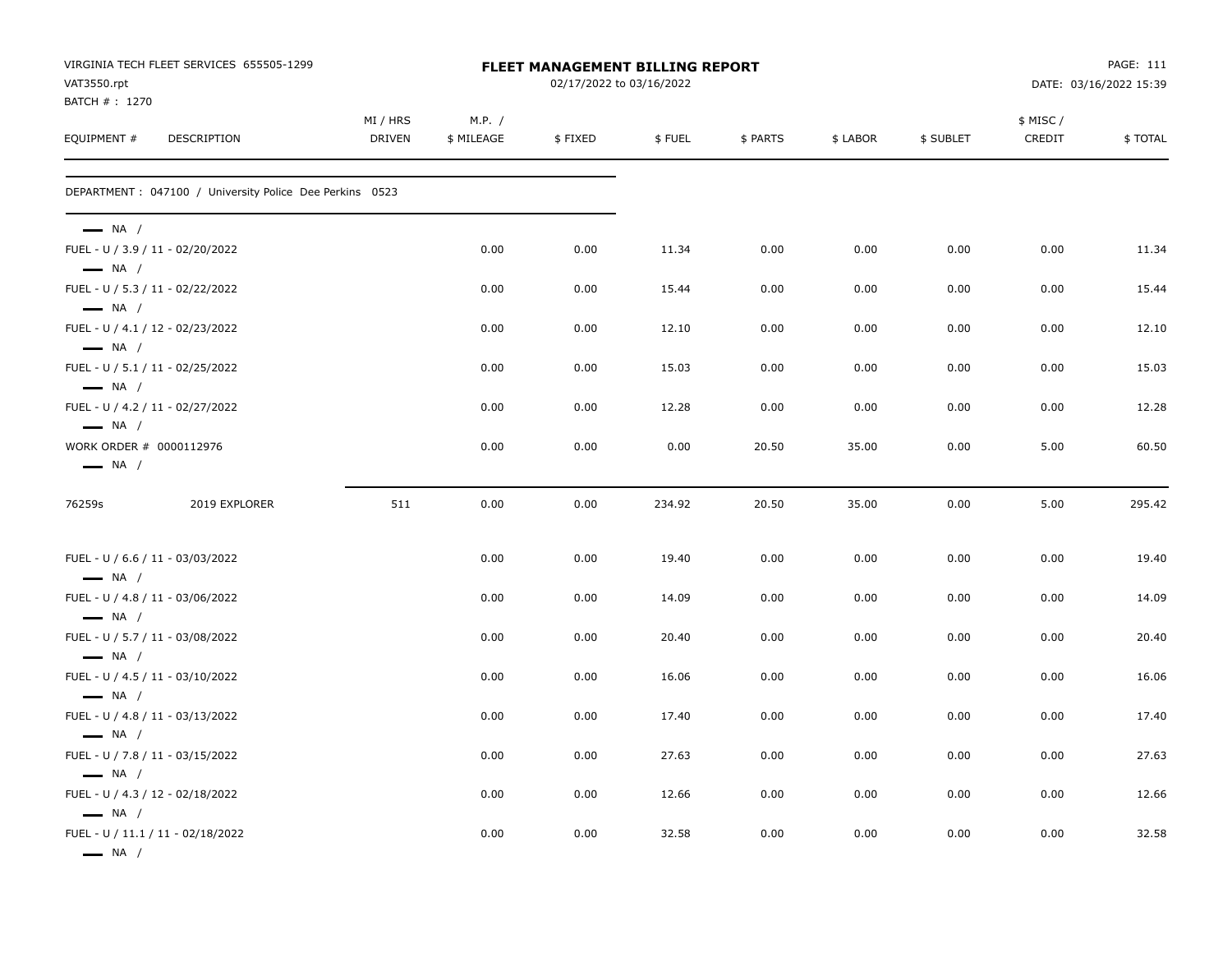| VAT3550.rpt<br>BATCH #: 1270                                                         | VIRGINIA TECH FLEET SERVICES 655505-1299                 | <b>FLEET MANAGEMENT BILLING REPORT</b><br>02/17/2022 to 03/16/2022 |                      |         |        |          |          |           |                     | PAGE: 111<br>DATE: 03/16/2022 15:39 |  |
|--------------------------------------------------------------------------------------|----------------------------------------------------------|--------------------------------------------------------------------|----------------------|---------|--------|----------|----------|-----------|---------------------|-------------------------------------|--|
| EQUIPMENT #                                                                          | DESCRIPTION                                              | MI / HRS<br><b>DRIVEN</b>                                          | M.P. /<br>\$ MILEAGE | \$FIXED | \$FUEL | \$ PARTS | \$ LABOR | \$ SUBLET | \$ MISC /<br>CREDIT | \$TOTAL                             |  |
|                                                                                      | DEPARTMENT : 047100 / University Police Dee Perkins 0523 |                                                                    |                      |         |        |          |          |           |                     |                                     |  |
| $\longrightarrow$ NA /<br>FUEL - U / 3.9 / 11 - 02/20/2022<br>$\longrightarrow$ NA / |                                                          |                                                                    | 0.00                 | 0.00    | 11.34  | 0.00     | 0.00     | 0.00      | 0.00                | 11.34                               |  |
| FUEL - U / 5.3 / 11 - 02/22/2022                                                     |                                                          |                                                                    | 0.00                 | 0.00    | 15.44  | 0.00     | 0.00     | 0.00      | 0.00                | 15.44                               |  |
| $\longrightarrow$ NA /<br>FUEL - U / 4.1 / 12 - 02/23/2022<br>$\longrightarrow$ NA / |                                                          |                                                                    | 0.00                 | 0.00    | 12.10  | 0.00     | 0.00     | 0.00      | 0.00                | 12.10                               |  |
| FUEL - U / 5.1 / 11 - 02/25/2022                                                     |                                                          |                                                                    | 0.00                 | 0.00    | 15.03  | 0.00     | 0.00     | 0.00      | 0.00                | 15.03                               |  |
| $\longrightarrow$ NA /<br>FUEL - U / 4.2 / 11 - 02/27/2022<br>$\longrightarrow$ NA / |                                                          |                                                                    | 0.00                 | 0.00    | 12.28  | 0.00     | 0.00     | 0.00      | 0.00                | 12.28                               |  |
| WORK ORDER # 0000112976<br>$\longrightarrow$ NA /                                    |                                                          |                                                                    | 0.00                 | 0.00    | 0.00   | 20.50    | 35.00    | 0.00      | 5.00                | 60.50                               |  |
| 76259s                                                                               | 2019 EXPLORER                                            | 511                                                                | 0.00                 | 0.00    | 234.92 | 20.50    | 35.00    | 0.00      | 5.00                | 295.42                              |  |
| FUEL - U / 6.6 / 11 - 03/03/2022<br>$\longrightarrow$ NA /                           |                                                          |                                                                    | 0.00                 | 0.00    | 19.40  | 0.00     | 0.00     | 0.00      | 0.00                | 19.40                               |  |
| FUEL - U / 4.8 / 11 - 03/06/2022                                                     |                                                          |                                                                    | 0.00                 | 0.00    | 14.09  | 0.00     | 0.00     | 0.00      | 0.00                | 14.09                               |  |
| $\longrightarrow$ NA /<br>FUEL - U / 5.7 / 11 - 03/08/2022<br>$-$ NA $/$             |                                                          |                                                                    | 0.00                 | 0.00    | 20.40  | 0.00     | 0.00     | 0.00      | 0.00                | 20.40                               |  |
| FUEL - U / 4.5 / 11 - 03/10/2022<br>$\longrightarrow$ NA /                           |                                                          |                                                                    | 0.00                 | 0.00    | 16.06  | 0.00     | 0.00     | 0.00      | 0.00                | 16.06                               |  |
| FUEL - U / 4.8 / 11 - 03/13/2022                                                     |                                                          |                                                                    | 0.00                 | 0.00    | 17.40  | 0.00     | 0.00     | 0.00      | 0.00                | 17.40                               |  |
| $\longrightarrow$ NA /<br>FUEL - U / 7.8 / 11 - 03/15/2022<br>$\longrightarrow$ NA / |                                                          |                                                                    | 0.00                 | 0.00    | 27.63  | 0.00     | 0.00     | 0.00      | 0.00                | 27.63                               |  |
| FUEL - U / 4.3 / 12 - 02/18/2022<br>$\longrightarrow$ NA /                           |                                                          |                                                                    | 0.00                 | 0.00    | 12.66  | 0.00     | 0.00     | 0.00      | 0.00                | 12.66                               |  |
| $\longrightarrow$ NA /                                                               | FUEL - U / 11.1 / 11 - 02/18/2022                        |                                                                    | 0.00                 | 0.00    | 32.58  | 0.00     | 0.00     | 0.00      | 0.00                | 32.58                               |  |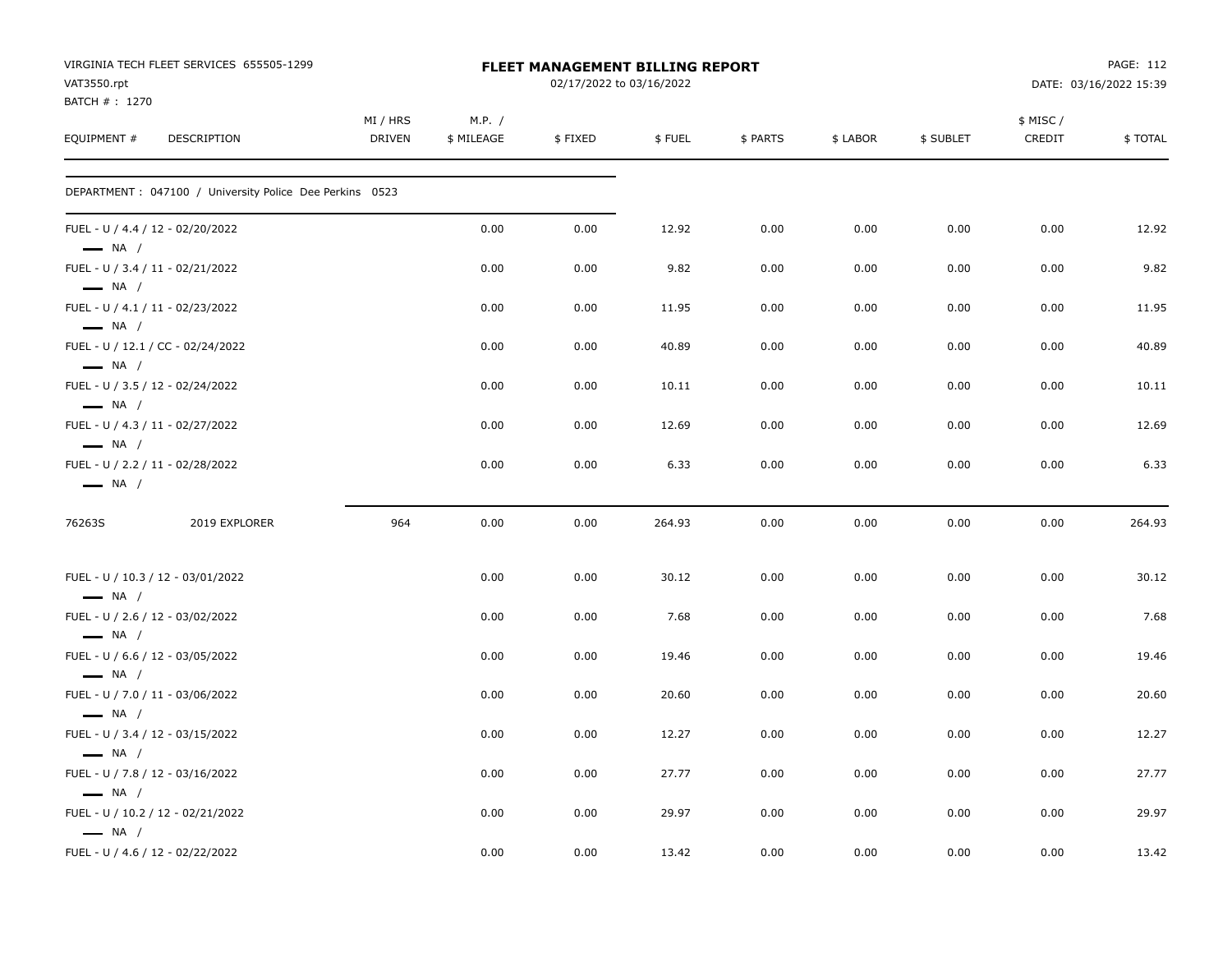| VIRGINIA TECH FLEET SERVICES 655505-1299<br>VAT3550.rpt                              |                           |                      | FLEET MANAGEMENT BILLING REPORT<br>02/17/2022 to 03/16/2022 |        |          |          |           |                     | PAGE: 112<br>DATE: 03/16/2022 15:39 |
|--------------------------------------------------------------------------------------|---------------------------|----------------------|-------------------------------------------------------------|--------|----------|----------|-----------|---------------------|-------------------------------------|
| BATCH #: 1270<br>EQUIPMENT #<br>DESCRIPTION                                          | MI / HRS<br><b>DRIVEN</b> | M.P. /<br>\$ MILEAGE | \$FIXED                                                     | \$FUEL | \$ PARTS | \$ LABOR | \$ SUBLET | \$ MISC /<br>CREDIT | \$TOTAL                             |
| DEPARTMENT : 047100 / University Police Dee Perkins 0523                             |                           |                      |                                                             |        |          |          |           |                     |                                     |
| FUEL - U / 4.4 / 12 - 02/20/2022<br>$\longrightarrow$ NA /                           |                           | 0.00                 | 0.00                                                        | 12.92  | 0.00     | 0.00     | 0.00      | 0.00                | 12.92                               |
| FUEL - U / 3.4 / 11 - 02/21/2022<br>$\longrightarrow$ NA /                           |                           | 0.00                 | 0.00                                                        | 9.82   | 0.00     | 0.00     | 0.00      | 0.00                | 9.82                                |
| FUEL - U / 4.1 / 11 - 02/23/2022<br>$\longrightarrow$ NA /                           |                           | 0.00                 | 0.00                                                        | 11.95  | 0.00     | 0.00     | 0.00      | 0.00                | 11.95                               |
| FUEL - U / 12.1 / CC - 02/24/2022<br>$\longrightarrow$ NA /                          |                           | 0.00                 | 0.00                                                        | 40.89  | 0.00     | 0.00     | 0.00      | 0.00                | 40.89                               |
| FUEL - U / 3.5 / 12 - 02/24/2022<br>$\longrightarrow$ NA /                           |                           | 0.00                 | 0.00                                                        | 10.11  | 0.00     | 0.00     | 0.00      | 0.00                | 10.11                               |
| FUEL - U / 4.3 / 11 - 02/27/2022<br>$\longrightarrow$ NA /                           |                           | 0.00                 | 0.00                                                        | 12.69  | 0.00     | 0.00     | 0.00      | 0.00                | 12.69                               |
| FUEL - U / 2.2 / 11 - 02/28/2022<br>$\longrightarrow$ NA /                           |                           | 0.00                 | 0.00                                                        | 6.33   | 0.00     | 0.00     | 0.00      | 0.00                | 6.33                                |
| 76263S<br>2019 EXPLORER                                                              | 964                       | 0.00                 | 0.00                                                        | 264.93 | 0.00     | 0.00     | 0.00      | 0.00                | 264.93                              |
| FUEL - U / 10.3 / 12 - 03/01/2022                                                    |                           | 0.00                 | 0.00                                                        | 30.12  | 0.00     | 0.00     | 0.00      | 0.00                | 30.12                               |
| $\longrightarrow$ NA /<br>FUEL - U / 2.6 / 12 - 03/02/2022<br>$\longrightarrow$ NA / |                           | 0.00                 | 0.00                                                        | 7.68   | 0.00     | 0.00     | 0.00      | 0.00                | 7.68                                |
| FUEL - U / 6.6 / 12 - 03/05/2022<br>$\longrightarrow$ NA /                           |                           | 0.00                 | 0.00                                                        | 19.46  | 0.00     | 0.00     | 0.00      | 0.00                | 19.46                               |
| FUEL - U / 7.0 / 11 - 03/06/2022<br>$\longrightarrow$ NA /                           |                           | 0.00                 | 0.00                                                        | 20.60  | 0.00     | 0.00     | 0.00      | 0.00                | 20.60                               |
| FUEL - U / 3.4 / 12 - 03/15/2022<br>$\longrightarrow$ NA /                           |                           | 0.00                 | 0.00                                                        | 12.27  | 0.00     | 0.00     | 0.00      | 0.00                | 12.27                               |
| FUEL - U / 7.8 / 12 - 03/16/2022<br>$\longrightarrow$ NA /                           |                           | 0.00                 | 0.00                                                        | 27.77  | 0.00     | 0.00     | 0.00      | 0.00                | 27.77                               |
| FUEL - U / 10.2 / 12 - 02/21/2022<br>$\longrightarrow$ NA /                          |                           | 0.00                 | 0.00                                                        | 29.97  | 0.00     | 0.00     | 0.00      | 0.00                | 29.97                               |
| FUEL - U / 4.6 / 12 - 02/22/2022                                                     |                           | 0.00                 | 0.00                                                        | 13.42  | 0.00     | 0.00     | 0.00      | 0.00                | 13.42                               |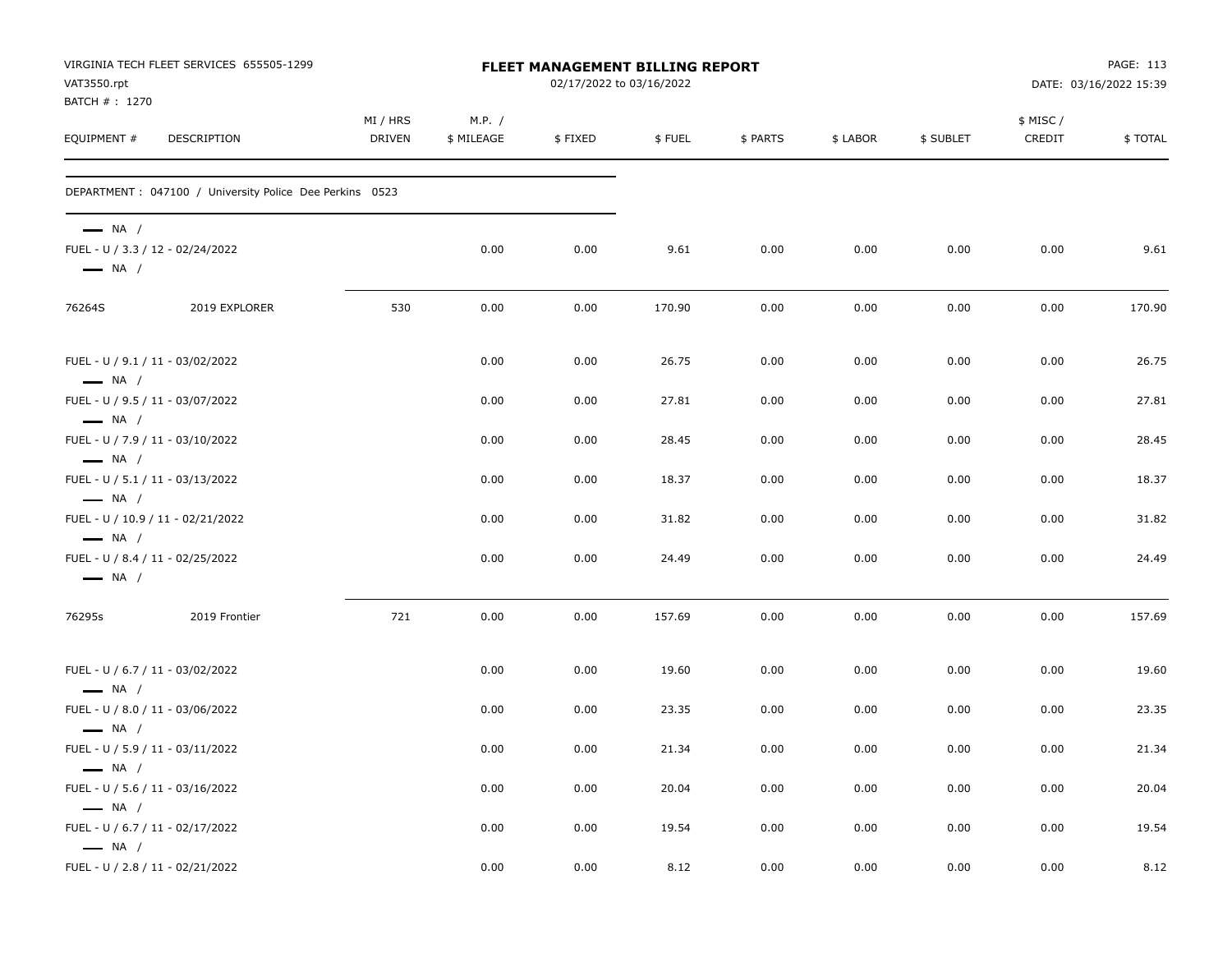| VAT3550.rpt<br>BATCH #: 1270                     | VIRGINIA TECH FLEET SERVICES 655505-1299                 | FLEET MANAGEMENT BILLING REPORT<br>02/17/2022 to 03/16/2022 |                      |         |        |          |          |           |                    | PAGE: 113<br>DATE: 03/16/2022 15:39 |  |
|--------------------------------------------------|----------------------------------------------------------|-------------------------------------------------------------|----------------------|---------|--------|----------|----------|-----------|--------------------|-------------------------------------|--|
| EQUIPMENT #                                      | DESCRIPTION                                              | MI / HRS<br>DRIVEN                                          | M.P. /<br>\$ MILEAGE | \$FIXED | \$FUEL | \$ PARTS | \$ LABOR | \$ SUBLET | \$ MISC/<br>CREDIT | \$TOTAL                             |  |
|                                                  | DEPARTMENT : 047100 / University Police Dee Perkins 0523 |                                                             |                      |         |        |          |          |           |                    |                                     |  |
| $\longrightarrow$ NA /<br>$\longrightarrow$ NA / | FUEL - U / 3.3 / 12 - 02/24/2022                         |                                                             | 0.00                 | 0.00    | 9.61   | 0.00     | 0.00     | 0.00      | 0.00               | 9.61                                |  |
| 76264S                                           | 2019 EXPLORER                                            | 530                                                         | 0.00                 | 0.00    | 170.90 | 0.00     | 0.00     | 0.00      | 0.00               | 170.90                              |  |
| $\longrightarrow$ NA /                           | FUEL - U / 9.1 / 11 - 03/02/2022                         |                                                             | 0.00                 | 0.00    | 26.75  | 0.00     | 0.00     | 0.00      | 0.00               | 26.75                               |  |
| $\longrightarrow$ NA /                           | FUEL - U / 9.5 / 11 - 03/07/2022                         |                                                             | 0.00                 | 0.00    | 27.81  | 0.00     | 0.00     | 0.00      | 0.00               | 27.81                               |  |
| $\longrightarrow$ NA /                           | FUEL - U / 7.9 / 11 - 03/10/2022                         |                                                             | 0.00                 | 0.00    | 28.45  | 0.00     | 0.00     | 0.00      | 0.00               | 28.45                               |  |
| $\longrightarrow$ NA /                           | FUEL - U / 5.1 / 11 - 03/13/2022                         |                                                             | 0.00                 | 0.00    | 18.37  | 0.00     | 0.00     | 0.00      | 0.00               | 18.37                               |  |
| $\longrightarrow$ NA /                           | FUEL - U / 10.9 / 11 - 02/21/2022                        |                                                             | 0.00                 | 0.00    | 31.82  | 0.00     | 0.00     | 0.00      | 0.00               | 31.82                               |  |
| $\longrightarrow$ NA /                           | FUEL - U / 8.4 / 11 - 02/25/2022                         |                                                             | 0.00                 | 0.00    | 24.49  | 0.00     | 0.00     | 0.00      | 0.00               | 24.49                               |  |
| 76295s                                           | 2019 Frontier                                            | 721                                                         | 0.00                 | 0.00    | 157.69 | 0.00     | 0.00     | 0.00      | 0.00               | 157.69                              |  |
| $\longrightarrow$ NA /                           | FUEL - U / 6.7 / 11 - 03/02/2022                         |                                                             | 0.00                 | 0.00    | 19.60  | 0.00     | 0.00     | 0.00      | 0.00               | 19.60                               |  |
| $\longrightarrow$ NA /                           | FUEL - U / 8.0 / 11 - 03/06/2022                         |                                                             | 0.00                 | 0.00    | 23.35  | 0.00     | 0.00     | 0.00      | 0.00               | 23.35                               |  |
| $\longrightarrow$ NA /                           | FUEL - U / 5.9 / 11 - 03/11/2022                         |                                                             | 0.00                 | 0.00    | 21.34  | 0.00     | 0.00     | 0.00      | 0.00               | 21.34                               |  |
| $\longrightarrow$ NA /                           | FUEL - U / 5.6 / 11 - 03/16/2022                         |                                                             | 0.00                 | 0.00    | 20.04  | 0.00     | 0.00     | 0.00      | 0.00               | 20.04                               |  |
| $\longrightarrow$ NA /                           | FUEL - U / 6.7 / 11 - 02/17/2022                         |                                                             | 0.00                 | 0.00    | 19.54  | 0.00     | 0.00     | 0.00      | 0.00               | 19.54                               |  |
|                                                  | FUEL - U / 2.8 / 11 - 02/21/2022                         |                                                             | 0.00                 | 0.00    | 8.12   | 0.00     | 0.00     | 0.00      | 0.00               | 8.12                                |  |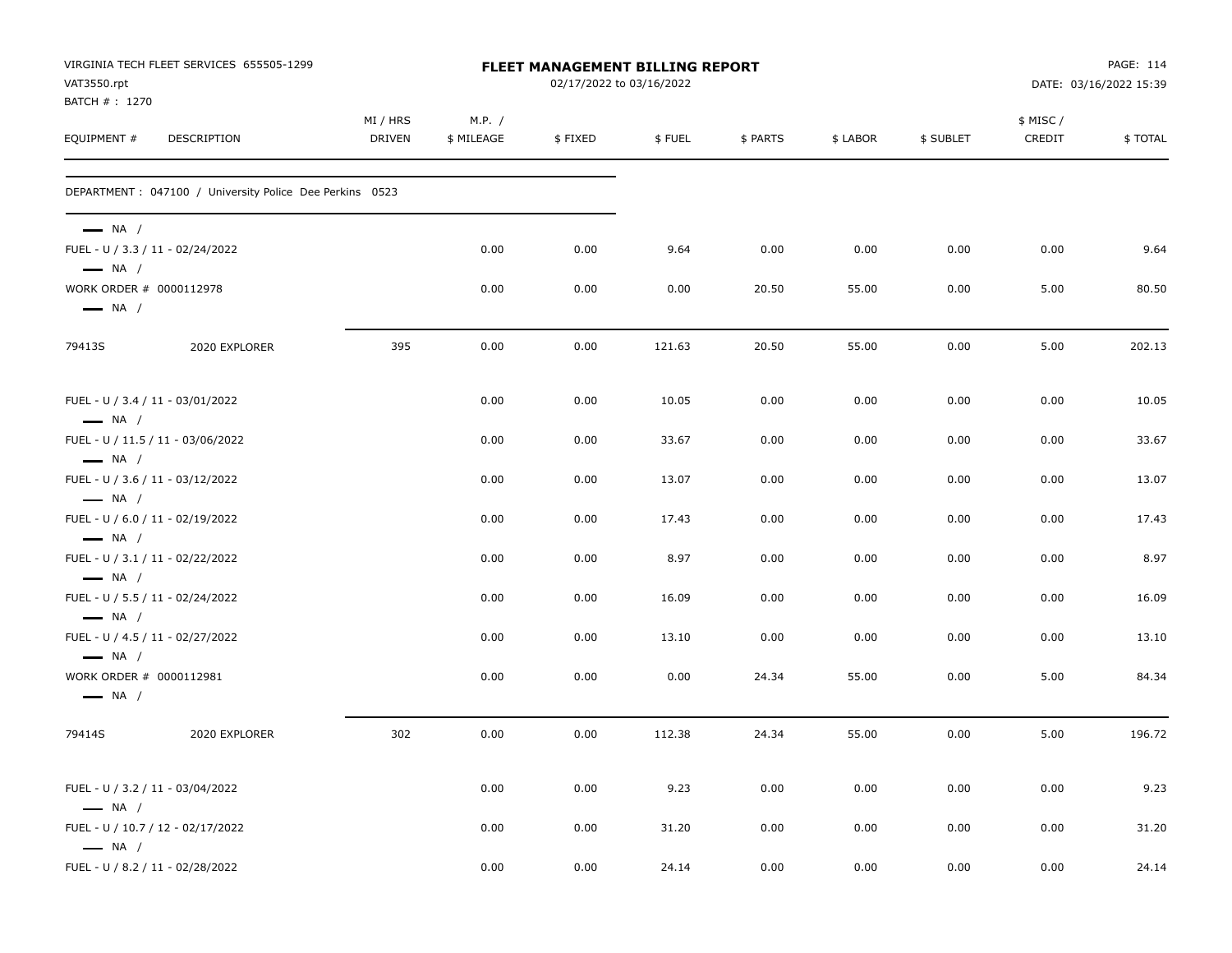| VAT3550.rpt                                       | VIRGINIA TECH FLEET SERVICES 655505-1299                 | FLEET MANAGEMENT BILLING REPORT<br>02/17/2022 to 03/16/2022 |                      |         |        |          |          |           |                    | PAGE: 114<br>DATE: 03/16/2022 15:39 |  |
|---------------------------------------------------|----------------------------------------------------------|-------------------------------------------------------------|----------------------|---------|--------|----------|----------|-----------|--------------------|-------------------------------------|--|
| BATCH # : 1270<br>EQUIPMENT #                     | DESCRIPTION                                              | MI / HRS<br>DRIVEN                                          | M.P. /<br>\$ MILEAGE | \$FIXED | \$FUEL | \$ PARTS | \$ LABOR | \$ SUBLET | \$ MISC/<br>CREDIT | \$TOTAL                             |  |
|                                                   | DEPARTMENT : 047100 / University Police Dee Perkins 0523 |                                                             |                      |         |        |          |          |           |                    |                                     |  |
| $\longrightarrow$ NA /<br>$\longrightarrow$ NA /  | FUEL - U / 3.3 / 11 - 02/24/2022                         |                                                             | 0.00                 | 0.00    | 9.64   | 0.00     | 0.00     | 0.00      | 0.00               | 9.64                                |  |
| WORK ORDER # 0000112978<br>$\longrightarrow$ NA / |                                                          |                                                             | 0.00                 | 0.00    | 0.00   | 20.50    | 55.00    | 0.00      | 5.00               | 80.50                               |  |
| 79413S                                            | 2020 EXPLORER                                            | 395                                                         | 0.00                 | 0.00    | 121.63 | 20.50    | 55.00    | 0.00      | 5.00               | 202.13                              |  |
| $\longrightarrow$ NA /                            | FUEL - U / 3.4 / 11 - 03/01/2022                         |                                                             | 0.00                 | 0.00    | 10.05  | 0.00     | 0.00     | 0.00      | 0.00               | 10.05                               |  |
| $\longrightarrow$ NA /                            | FUEL - U / 11.5 / 11 - 03/06/2022                        |                                                             | 0.00                 | 0.00    | 33.67  | 0.00     | 0.00     | 0.00      | 0.00               | 33.67                               |  |
| $-$ NA /                                          | FUEL - U / 3.6 / 11 - 03/12/2022                         |                                                             | 0.00                 | 0.00    | 13.07  | 0.00     | 0.00     | 0.00      | 0.00               | 13.07                               |  |
| $\longrightarrow$ NA /                            | FUEL - U / 6.0 / 11 - 02/19/2022                         |                                                             | 0.00                 | 0.00    | 17.43  | 0.00     | 0.00     | 0.00      | 0.00               | 17.43                               |  |
| $\longrightarrow$ NA /                            | FUEL - U / 3.1 / 11 - 02/22/2022                         |                                                             | 0.00                 | 0.00    | 8.97   | 0.00     | 0.00     | 0.00      | 0.00               | 8.97                                |  |
| $\longrightarrow$ NA /                            | FUEL - U / 5.5 / 11 - 02/24/2022                         |                                                             | 0.00                 | 0.00    | 16.09  | 0.00     | 0.00     | 0.00      | 0.00               | 16.09                               |  |
| $\longrightarrow$ NA /                            | FUEL - U / 4.5 / 11 - 02/27/2022                         |                                                             | 0.00                 | 0.00    | 13.10  | 0.00     | 0.00     | 0.00      | 0.00               | 13.10                               |  |
| WORK ORDER # 0000112981<br>$\longrightarrow$ NA / |                                                          |                                                             | 0.00                 | 0.00    | 0.00   | 24.34    | 55.00    | 0.00      | 5.00               | 84.34                               |  |
| 79414S                                            | 2020 EXPLORER                                            | 302                                                         | 0.00                 | 0.00    | 112.38 | 24.34    | 55.00    | 0.00      | 5.00               | 196.72                              |  |
| $\longrightarrow$ NA /                            | FUEL - U / 3.2 / 11 - 03/04/2022                         |                                                             | 0.00                 | 0.00    | 9.23   | 0.00     | 0.00     | 0.00      | 0.00               | 9.23                                |  |
| $\longrightarrow$ NA /                            | FUEL - U / 10.7 / 12 - 02/17/2022                        |                                                             | 0.00                 | 0.00    | 31.20  | 0.00     | 0.00     | 0.00      | 0.00               | 31.20                               |  |
|                                                   | FUEL - U / 8.2 / 11 - 02/28/2022                         |                                                             | 0.00                 | 0.00    | 24.14  | 0.00     | 0.00     | 0.00      | 0.00               | 24.14                               |  |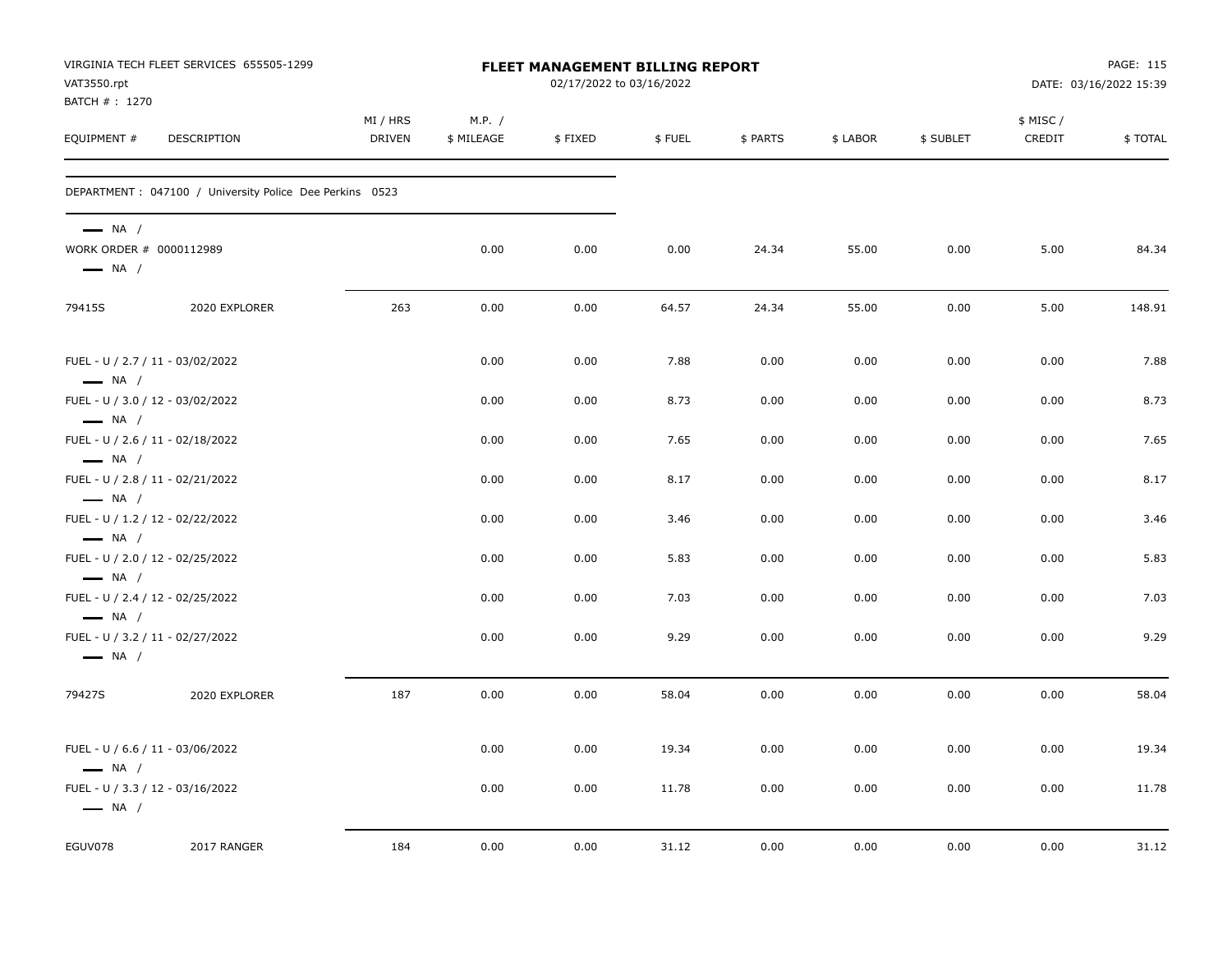| VIRGINIA TECH FLEET SERVICES 655505-1299<br>VAT3550.rpt<br>BATCH #: 1270    |                                                          |                           |                      |         | FLEET MANAGEMENT BILLING REPORT<br>02/17/2022 to 03/16/2022 |          | PAGE: 115<br>DATE: 03/16/2022 15:39 |           |                    |         |
|-----------------------------------------------------------------------------|----------------------------------------------------------|---------------------------|----------------------|---------|-------------------------------------------------------------|----------|-------------------------------------|-----------|--------------------|---------|
| EQUIPMENT #                                                                 | DESCRIPTION                                              | MI / HRS<br><b>DRIVEN</b> | M.P. /<br>\$ MILEAGE | \$FIXED | \$ FUEL                                                     | \$ PARTS | \$ LABOR                            | \$ SUBLET | \$ MISC/<br>CREDIT | \$TOTAL |
|                                                                             | DEPARTMENT : 047100 / University Police Dee Perkins 0523 |                           |                      |         |                                                             |          |                                     |           |                    |         |
| $\longrightarrow$ NA /<br>WORK ORDER # 0000112989<br>$\longrightarrow$ NA / |                                                          |                           | 0.00                 | 0.00    | 0.00                                                        | 24.34    | 55.00                               | 0.00      | 5.00               | 84.34   |
| 79415S                                                                      | 2020 EXPLORER                                            | 263                       | 0.00                 | 0.00    | 64.57                                                       | 24.34    | 55.00                               | 0.00      | 5.00               | 148.91  |
| $\longrightarrow$ NA /                                                      | FUEL - U / 2.7 / 11 - 03/02/2022                         |                           | 0.00                 | 0.00    | 7.88                                                        | 0.00     | 0.00                                | 0.00      | 0.00               | 7.88    |
|                                                                             | FUEL - U / 3.0 / 12 - 03/02/2022                         |                           | 0.00                 | 0.00    | 8.73                                                        | 0.00     | 0.00                                | 0.00      | 0.00               | 8.73    |
| $\longrightarrow$ NA /<br>$\longrightarrow$ NA /                            | FUEL - U / 2.6 / 11 - 02/18/2022                         |                           | 0.00                 | 0.00    | 7.65                                                        | 0.00     | 0.00                                | 0.00      | 0.00               | 7.65    |
| $\longrightarrow$ NA /                                                      | FUEL - U / 2.8 / 11 - 02/21/2022                         |                           | 0.00                 | 0.00    | 8.17                                                        | 0.00     | 0.00                                | 0.00      | 0.00               | 8.17    |
| $\longrightarrow$ NA /                                                      | FUEL - U / 1.2 / 12 - 02/22/2022                         |                           | 0.00                 | 0.00    | 3.46                                                        | 0.00     | 0.00                                | 0.00      | 0.00               | 3.46    |
| $\longrightarrow$ NA /                                                      | FUEL - U / 2.0 / 12 - 02/25/2022                         |                           | 0.00                 | 0.00    | 5.83                                                        | 0.00     | 0.00                                | 0.00      | 0.00               | 5.83    |
| $\longrightarrow$ NA /                                                      | FUEL - U / 2.4 / 12 - 02/25/2022                         |                           | 0.00                 | 0.00    | 7.03                                                        | 0.00     | 0.00                                | 0.00      | 0.00               | 7.03    |
| $\longrightarrow$ NA /                                                      | FUEL - U / 3.2 / 11 - 02/27/2022                         |                           | 0.00                 | 0.00    | 9.29                                                        | 0.00     | 0.00                                | 0.00      | 0.00               | 9.29    |
| 79427S                                                                      | 2020 EXPLORER                                            | 187                       | 0.00                 | 0.00    | 58.04                                                       | 0.00     | 0.00                                | 0.00      | 0.00               | 58.04   |
| $\longrightarrow$ NA /                                                      | FUEL - U / 6.6 / 11 - 03/06/2022                         |                           | 0.00                 | 0.00    | 19.34                                                       | 0.00     | 0.00                                | 0.00      | 0.00               | 19.34   |
| $\longrightarrow$ NA /                                                      | FUEL - U / 3.3 / 12 - 03/16/2022                         |                           | 0.00                 | 0.00    | 11.78                                                       | 0.00     | 0.00                                | 0.00      | 0.00               | 11.78   |
| EGUV078                                                                     | 2017 RANGER                                              | 184                       | 0.00                 | 0.00    | 31.12                                                       | 0.00     | 0.00                                | 0.00      | 0.00               | 31.12   |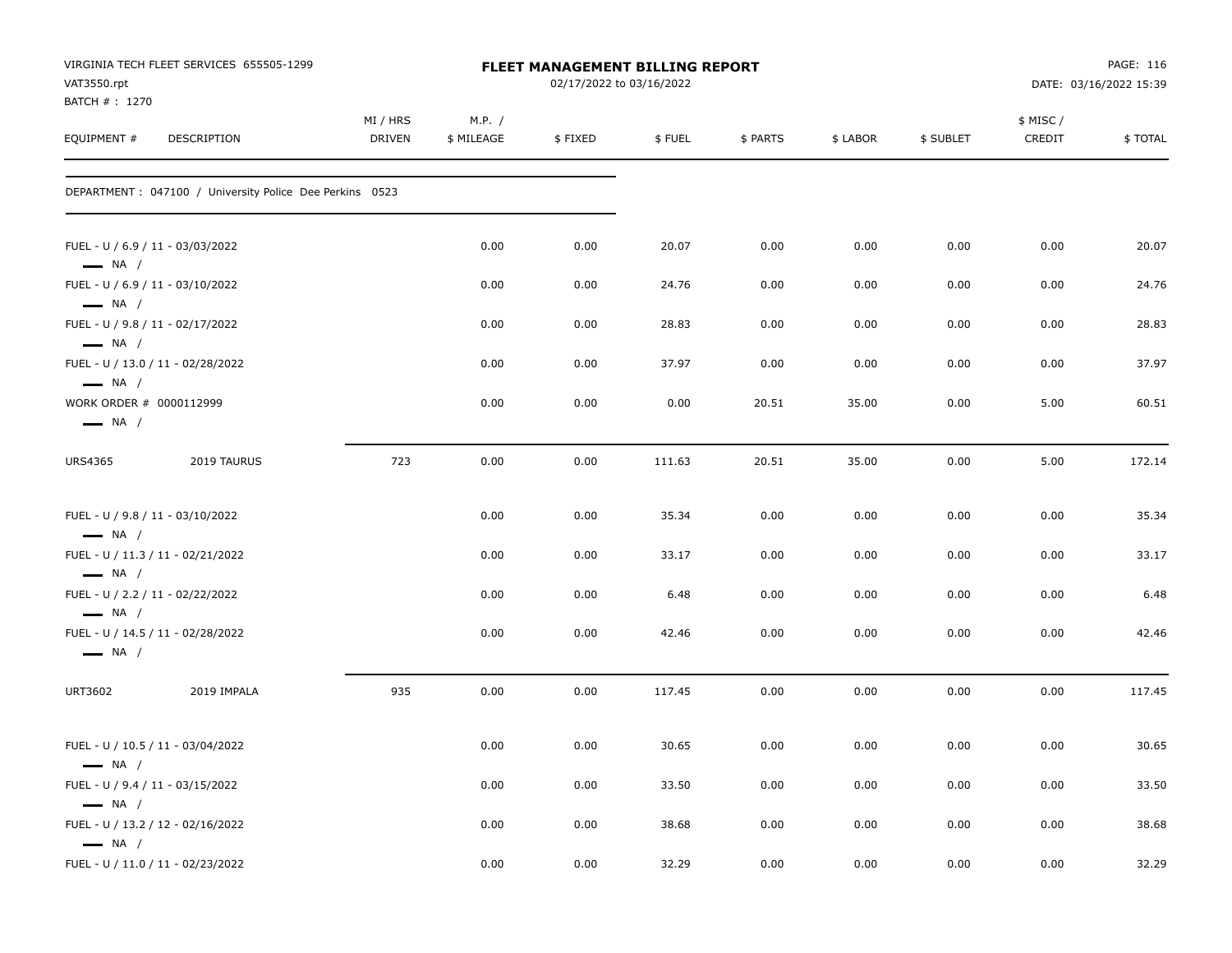| VAT3550.rpt<br>BATCH # : 1270                     | VIRGINIA TECH FLEET SERVICES 655505-1299                 | FLEET MANAGEMENT BILLING REPORT<br>02/17/2022 to 03/16/2022 |                      |         |        |          |          |           | PAGE: 116<br>DATE: 03/16/2022 15:39 |         |
|---------------------------------------------------|----------------------------------------------------------|-------------------------------------------------------------|----------------------|---------|--------|----------|----------|-----------|-------------------------------------|---------|
| EQUIPMENT #                                       | DESCRIPTION                                              | MI / HRS<br><b>DRIVEN</b>                                   | M.P. /<br>\$ MILEAGE | \$FIXED | \$FUEL | \$ PARTS | \$ LABOR | \$ SUBLET | \$ MISC /<br>CREDIT                 | \$TOTAL |
|                                                   | DEPARTMENT : 047100 / University Police Dee Perkins 0523 |                                                             |                      |         |        |          |          |           |                                     |         |
| $\longrightarrow$ NA /                            | FUEL - U / 6.9 / 11 - 03/03/2022                         |                                                             | 0.00                 | 0.00    | 20.07  | 0.00     | 0.00     | 0.00      | 0.00                                | 20.07   |
| $\longrightarrow$ NA /                            | FUEL - U / 6.9 / 11 - 03/10/2022                         |                                                             | 0.00                 | 0.00    | 24.76  | 0.00     | 0.00     | 0.00      | 0.00                                | 24.76   |
| $\longrightarrow$ NA /                            | FUEL - U / 9.8 / 11 - 02/17/2022                         |                                                             | 0.00                 | 0.00    | 28.83  | 0.00     | 0.00     | 0.00      | 0.00                                | 28.83   |
| $\longrightarrow$ NA /                            | FUEL - U / 13.0 / 11 - 02/28/2022                        |                                                             | 0.00                 | 0.00    | 37.97  | 0.00     | 0.00     | 0.00      | 0.00                                | 37.97   |
| WORK ORDER # 0000112999<br>$\longrightarrow$ NA / |                                                          |                                                             | 0.00                 | 0.00    | 0.00   | 20.51    | 35.00    | 0.00      | 5.00                                | 60.51   |
| <b>URS4365</b>                                    | 2019 TAURUS                                              | 723                                                         | 0.00                 | 0.00    | 111.63 | 20.51    | 35.00    | 0.00      | 5.00                                | 172.14  |
| $\longrightarrow$ NA /                            | FUEL - U / 9.8 / 11 - 03/10/2022                         |                                                             | 0.00                 | 0.00    | 35.34  | 0.00     | 0.00     | 0.00      | 0.00                                | 35.34   |
| $\longrightarrow$ NA /                            | FUEL - U / 11.3 / 11 - 02/21/2022                        |                                                             | 0.00                 | 0.00    | 33.17  | 0.00     | 0.00     | 0.00      | 0.00                                | 33.17   |
| $\longrightarrow$ NA /                            | FUEL - U / 2.2 / 11 - 02/22/2022                         |                                                             | 0.00                 | 0.00    | 6.48   | 0.00     | 0.00     | 0.00      | 0.00                                | 6.48    |
| $\longrightarrow$ NA /                            | FUEL - U / 14.5 / 11 - 02/28/2022                        |                                                             | 0.00                 | 0.00    | 42.46  | 0.00     | 0.00     | 0.00      | 0.00                                | 42.46   |
| URT3602                                           | 2019 IMPALA                                              | 935                                                         | 0.00                 | 0.00    | 117.45 | 0.00     | 0.00     | 0.00      | 0.00                                | 117.45  |
| $\longrightarrow$ NA /                            | FUEL - U / 10.5 / 11 - 03/04/2022                        |                                                             | 0.00                 | 0.00    | 30.65  | 0.00     | 0.00     | 0.00      | 0.00                                | 30.65   |
| $\longrightarrow$ NA /                            | FUEL - U / 9.4 / 11 - 03/15/2022                         |                                                             | 0.00                 | 0.00    | 33.50  | 0.00     | 0.00     | 0.00      | 0.00                                | 33.50   |
| $\longrightarrow$ NA /                            | FUEL - U / 13.2 / 12 - 02/16/2022                        |                                                             | 0.00                 | 0.00    | 38.68  | 0.00     | 0.00     | 0.00      | 0.00                                | 38.68   |
|                                                   | FUEL - U / 11.0 / 11 - 02/23/2022                        |                                                             | 0.00                 | 0.00    | 32.29  | 0.00     | 0.00     | 0.00      | 0.00                                | 32.29   |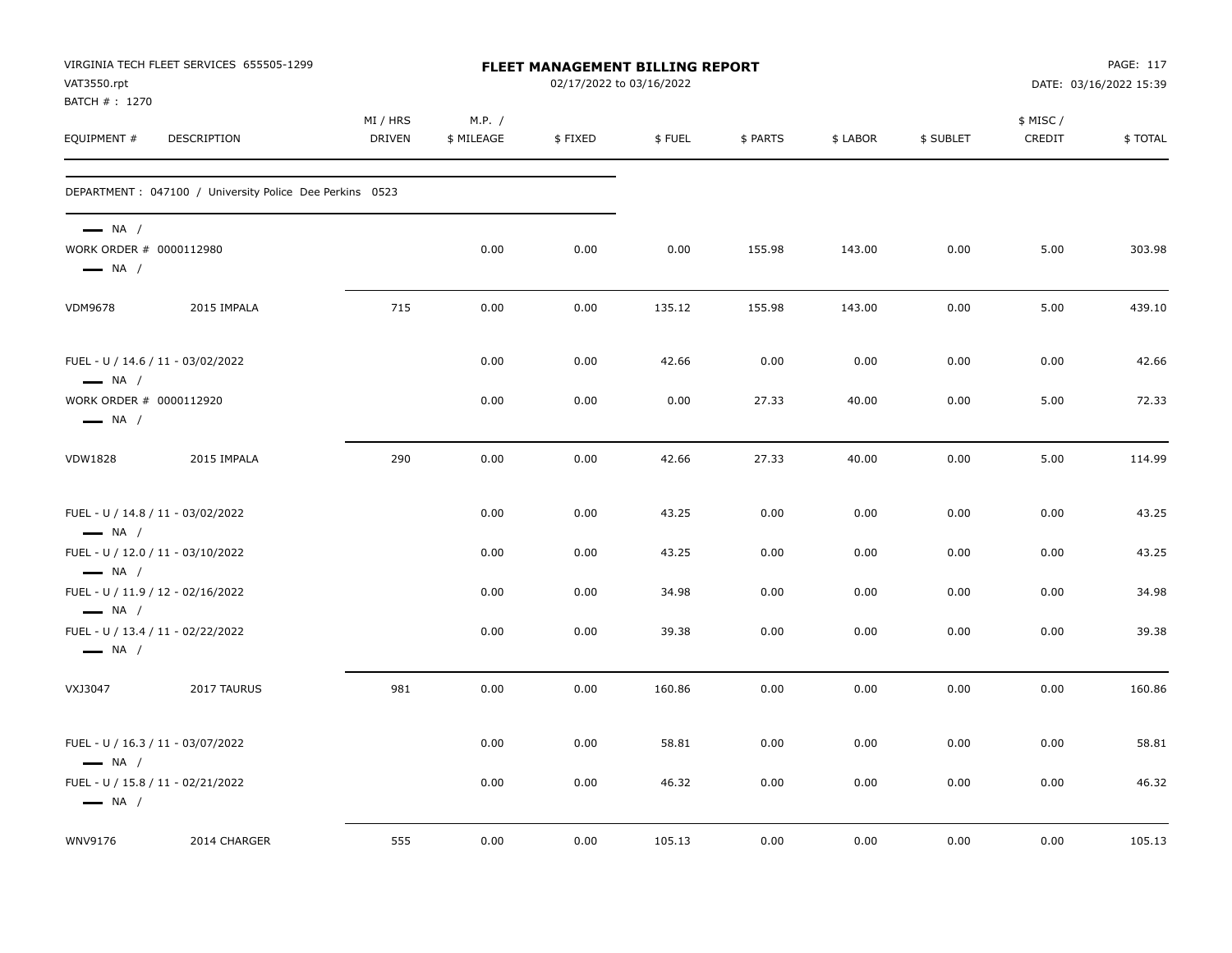| VIRGINIA TECH FLEET SERVICES 655505-1299<br>FLEET MANAGEMENT BILLING REPORT<br>VAT3550.rpt<br>BATCH #: 1270 |                                                          |                           |                      |         | 02/17/2022 to 03/16/2022 |          | PAGE: 117<br>DATE: 03/16/2022 15:39 |           |                     |         |
|-------------------------------------------------------------------------------------------------------------|----------------------------------------------------------|---------------------------|----------------------|---------|--------------------------|----------|-------------------------------------|-----------|---------------------|---------|
| EQUIPMENT #                                                                                                 | DESCRIPTION                                              | MI / HRS<br><b>DRIVEN</b> | M.P. /<br>\$ MILEAGE | \$FIXED | \$FUEL                   | \$ PARTS | \$ LABOR                            | \$ SUBLET | \$ MISC /<br>CREDIT | \$TOTAL |
|                                                                                                             | DEPARTMENT : 047100 / University Police Dee Perkins 0523 |                           |                      |         |                          |          |                                     |           |                     |         |
| $\longrightarrow$ NA /<br>WORK ORDER # 0000112980<br>$\longrightarrow$ NA /                                 |                                                          |                           | 0.00                 | 0.00    | 0.00                     | 155.98   | 143.00                              | 0.00      | 5.00                | 303.98  |
| <b>VDM9678</b>                                                                                              | 2015 IMPALA                                              | 715                       | 0.00                 | 0.00    | 135.12                   | 155.98   | 143.00                              | 0.00      | 5.00                | 439.10  |
| FUEL - U / 14.6 / 11 - 03/02/2022<br>$\longrightarrow$ NA /                                                 |                                                          |                           | 0.00                 | 0.00    | 42.66                    | 0.00     | 0.00                                | 0.00      | 0.00                | 42.66   |
| WORK ORDER # 0000112920<br>$\longrightarrow$ NA /                                                           |                                                          |                           | 0.00                 | 0.00    | 0.00                     | 27.33    | 40.00                               | 0.00      | 5.00                | 72.33   |
| <b>VDW1828</b>                                                                                              | 2015 IMPALA                                              | 290                       | 0.00                 | 0.00    | 42.66                    | 27.33    | 40.00                               | 0.00      | 5.00                | 114.99  |
| FUEL - U / 14.8 / 11 - 03/02/2022<br>$\longrightarrow$ NA /                                                 |                                                          |                           | 0.00                 | 0.00    | 43.25                    | 0.00     | 0.00                                | 0.00      | 0.00                | 43.25   |
| FUEL - U / 12.0 / 11 - 03/10/2022<br>$\longrightarrow$ NA /                                                 |                                                          |                           | 0.00                 | 0.00    | 43.25                    | 0.00     | 0.00                                | 0.00      | 0.00                | 43.25   |
| FUEL - U / 11.9 / 12 - 02/16/2022<br>$\longrightarrow$ NA /                                                 |                                                          |                           | 0.00                 | 0.00    | 34.98                    | 0.00     | 0.00                                | 0.00      | 0.00                | 34.98   |
| FUEL - U / 13.4 / 11 - 02/22/2022<br>$\longrightarrow$ NA /                                                 |                                                          |                           | 0.00                 | 0.00    | 39.38                    | 0.00     | 0.00                                | 0.00      | 0.00                | 39.38   |
| VXJ3047                                                                                                     | 2017 TAURUS                                              | 981                       | 0.00                 | 0.00    | 160.86                   | 0.00     | 0.00                                | 0.00      | 0.00                | 160.86  |
| FUEL - U / 16.3 / 11 - 03/07/2022<br>$\longrightarrow$ NA /                                                 |                                                          |                           | 0.00                 | 0.00    | 58.81                    | 0.00     | 0.00                                | 0.00      | 0.00                | 58.81   |
| FUEL - U / 15.8 / 11 - 02/21/2022<br>$\longrightarrow$ NA /                                                 |                                                          |                           | 0.00                 | 0.00    | 46.32                    | 0.00     | 0.00                                | 0.00      | 0.00                | 46.32   |
| WNV9176                                                                                                     | 2014 CHARGER                                             | 555                       | 0.00                 | 0.00    | 105.13                   | 0.00     | 0.00                                | 0.00      | 0.00                | 105.13  |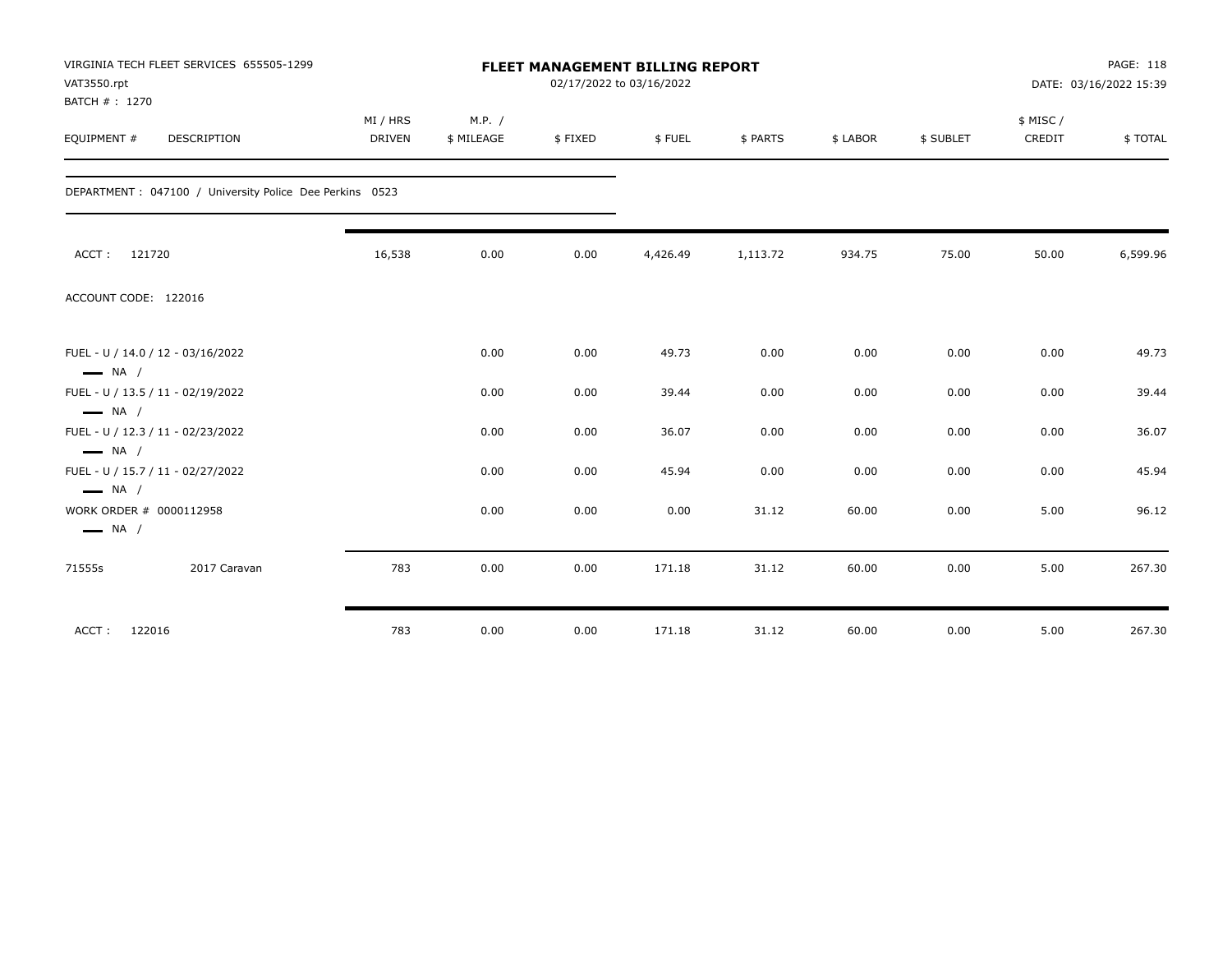| VAT3550.rpt<br>BATCH #: 1270                      | VIRGINIA TECH FLEET SERVICES 655505-1299                 |               | <b>FLEET MANAGEMENT BILLING REPORT</b><br>02/17/2022 to 03/16/2022 |         |          |          |          |           |           | PAGE: 118<br>DATE: 03/16/2022 15:39 |  |
|---------------------------------------------------|----------------------------------------------------------|---------------|--------------------------------------------------------------------|---------|----------|----------|----------|-----------|-----------|-------------------------------------|--|
|                                                   |                                                          | MI / HRS      | M.P. /                                                             |         |          |          |          |           | \$ MISC / |                                     |  |
| EQUIPMENT #                                       | DESCRIPTION                                              | <b>DRIVEN</b> | \$ MILEAGE                                                         | \$FIXED | \$FUEL   | \$ PARTS | \$ LABOR | \$ SUBLET | CREDIT    | \$TOTAL                             |  |
|                                                   | DEPARTMENT : 047100 / University Police Dee Perkins 0523 |               |                                                                    |         |          |          |          |           |           |                                     |  |
| ACCT: 121720                                      |                                                          | 16,538        | 0.00                                                               | 0.00    | 4,426.49 | 1,113.72 | 934.75   | 75.00     | 50.00     | 6,599.96                            |  |
| ACCOUNT CODE: 122016                              |                                                          |               |                                                                    |         |          |          |          |           |           |                                     |  |
|                                                   | FUEL - U / 14.0 / 12 - 03/16/2022                        |               | 0.00                                                               | 0.00    | 49.73    | 0.00     | 0.00     | 0.00      | 0.00      | 49.73                               |  |
| $\longrightarrow$ NA /<br>$\longrightarrow$ NA /  | FUEL - U / 13.5 / 11 - 02/19/2022                        |               | 0.00                                                               | 0.00    | 39.44    | 0.00     | 0.00     | 0.00      | 0.00      | 39.44                               |  |
| $\longrightarrow$ NA /                            | FUEL - U / 12.3 / 11 - 02/23/2022                        |               | 0.00                                                               | 0.00    | 36.07    | 0.00     | 0.00     | 0.00      | 0.00      | 36.07                               |  |
| $\longrightarrow$ NA /                            | FUEL - U / 15.7 / 11 - 02/27/2022                        |               | 0.00                                                               | 0.00    | 45.94    | 0.00     | 0.00     | 0.00      | 0.00      | 45.94                               |  |
| WORK ORDER # 0000112958<br>$\longrightarrow$ NA / |                                                          |               | 0.00                                                               | 0.00    | 0.00     | 31.12    | 60.00    | 0.00      | 5.00      | 96.12                               |  |
| 71555s                                            | 2017 Caravan                                             | 783           | 0.00                                                               | 0.00    | 171.18   | 31.12    | 60.00    | 0.00      | 5.00      | 267.30                              |  |
| ACCT:                                             | 122016                                                   | 783           | 0.00                                                               | 0.00    | 171.18   | 31.12    | 60.00    | 0.00      | 5.00      | 267.30                              |  |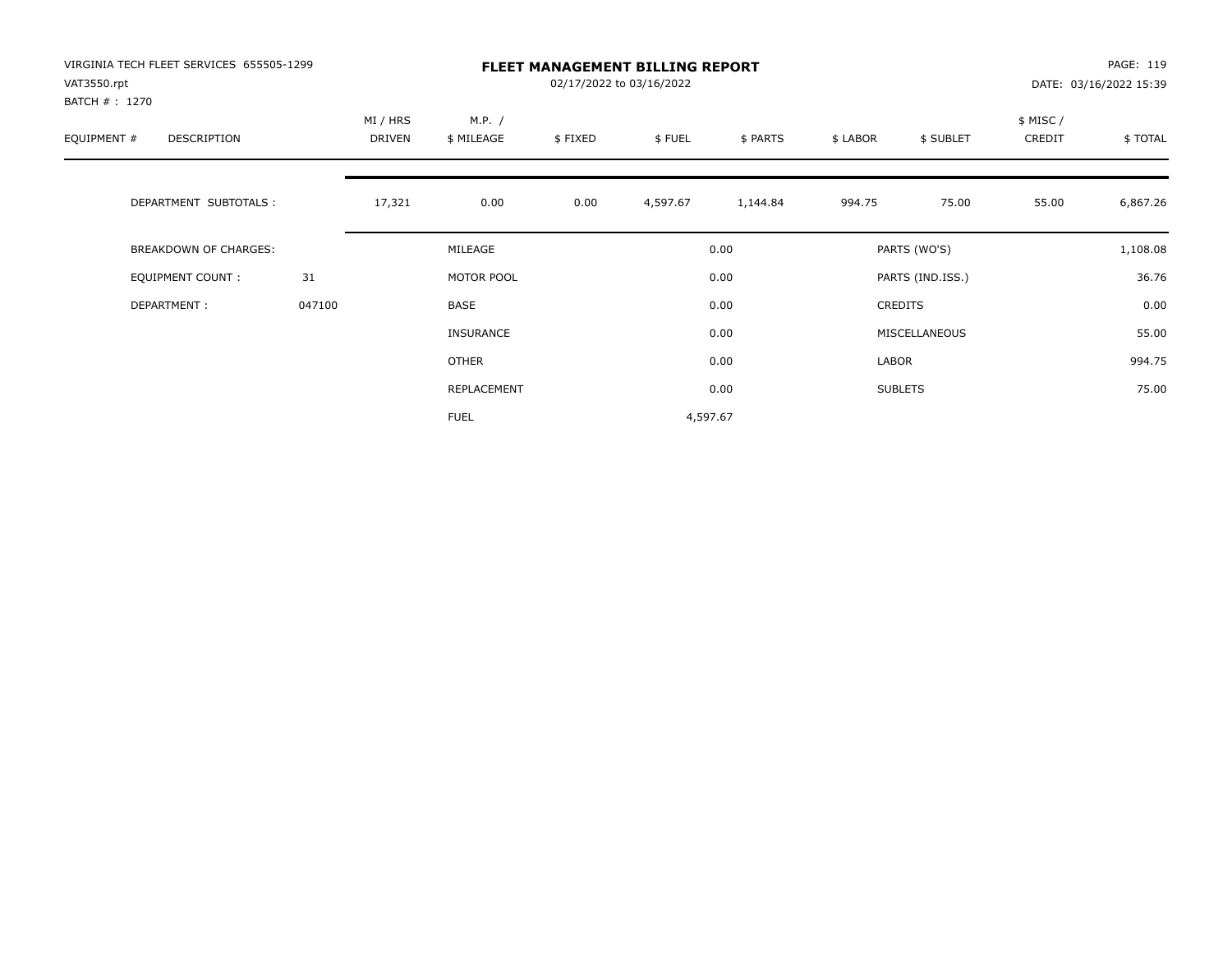| VIRGINIA TECH FLEET SERVICES 655505-1299<br>VAT3550.rpt |        | <b>FLEET MANAGEMENT BILLING REPORT</b><br>02/17/2022 to 03/16/2022 |                      |         |          |          |          |                  |                     | PAGE: 119<br>DATE: 03/16/2022 15:39 |  |
|---------------------------------------------------------|--------|--------------------------------------------------------------------|----------------------|---------|----------|----------|----------|------------------|---------------------|-------------------------------------|--|
| BATCH # : 1270<br>EQUIPMENT #<br>DESCRIPTION            |        | MI / HRS<br>DRIVEN                                                 | M.P. /<br>\$ MILEAGE | \$FIXED | \$FUEL   | \$ PARTS | \$ LABOR | \$ SUBLET        | \$ MISC /<br>CREDIT | \$TOTAL                             |  |
| DEPARTMENT SUBTOTALS :                                  |        | 17,321                                                             | 0.00                 | 0.00    | 4,597.67 | 1,144.84 | 994.75   | 75.00            | 55.00               | 6,867.26                            |  |
| <b>BREAKDOWN OF CHARGES:</b>                            |        |                                                                    | MILEAGE              |         |          | 0.00     |          | PARTS (WO'S)     |                     | 1,108.08                            |  |
| <b>EQUIPMENT COUNT:</b>                                 | 31     |                                                                    | MOTOR POOL           |         |          | 0.00     |          | PARTS (IND.ISS.) |                     | 36.76                               |  |
| DEPARTMENT:                                             | 047100 |                                                                    | BASE                 |         |          | 0.00     |          | <b>CREDITS</b>   |                     | 0.00                                |  |
|                                                         |        |                                                                    | <b>INSURANCE</b>     |         |          | 0.00     |          | MISCELLANEOUS    |                     | 55.00                               |  |
|                                                         |        |                                                                    | OTHER                |         |          | 0.00     | LABOR    |                  |                     | 994.75                              |  |
|                                                         |        |                                                                    | REPLACEMENT          |         |          | 0.00     |          | <b>SUBLETS</b>   |                     | 75.00                               |  |
|                                                         |        |                                                                    | <b>FUEL</b>          |         | 4,597.67 |          |          |                  |                     |                                     |  |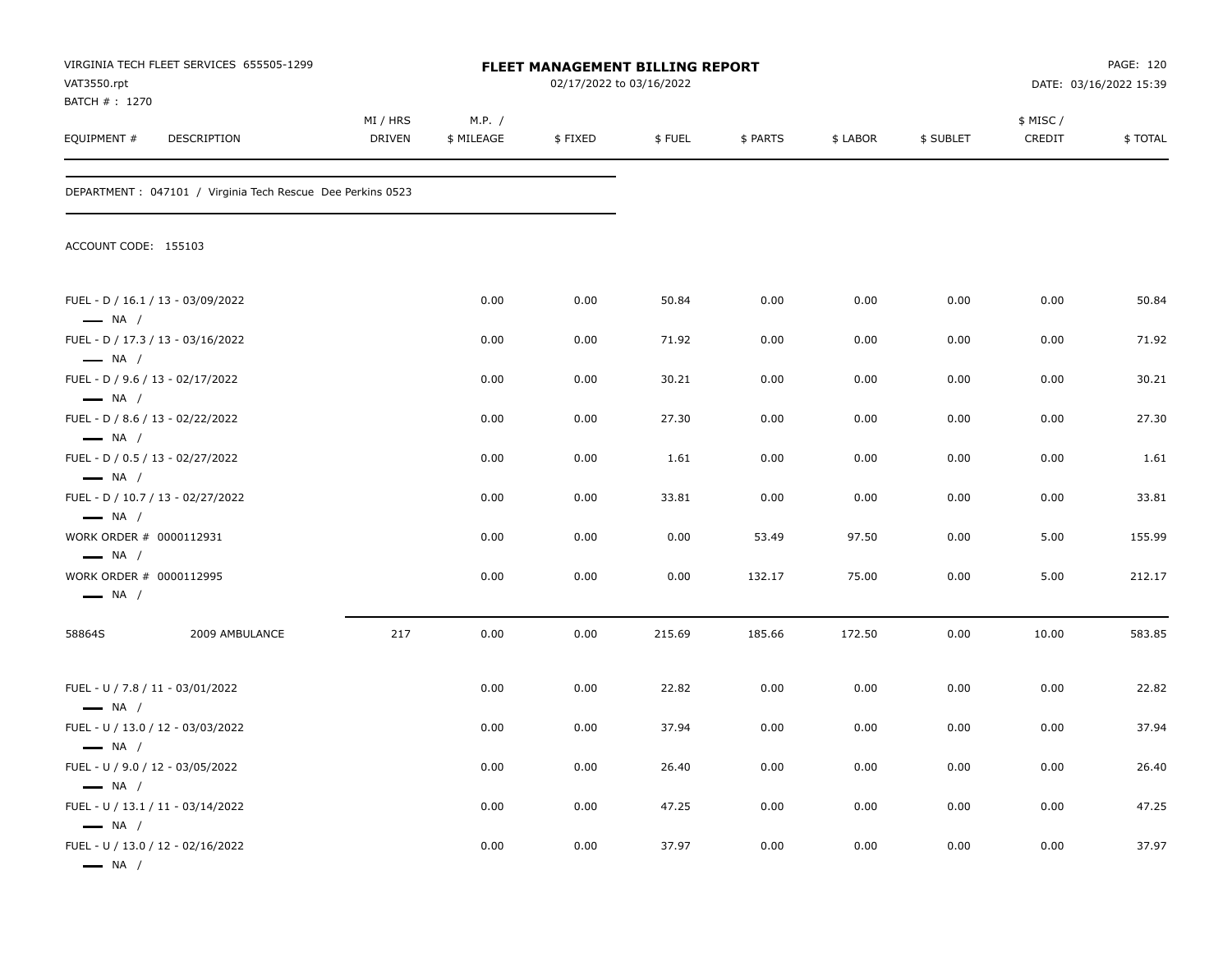| VAT3550.rpt<br>BATCH # : 1270                              | VIRGINIA TECH FLEET SERVICES 655505-1299                    | FLEET MANAGEMENT BILLING REPORT<br>02/17/2022 to 03/16/2022 |                      |         |        |          | PAGE: 120<br>DATE: 03/16/2022 15:39 |           |                    |         |
|------------------------------------------------------------|-------------------------------------------------------------|-------------------------------------------------------------|----------------------|---------|--------|----------|-------------------------------------|-----------|--------------------|---------|
| EQUIPMENT #                                                | DESCRIPTION                                                 | MI / HRS<br>DRIVEN                                          | M.P. /<br>\$ MILEAGE | \$FIXED | \$FUEL | \$ PARTS | \$ LABOR                            | \$ SUBLET | \$ MISC/<br>CREDIT | \$TOTAL |
|                                                            | DEPARTMENT : 047101 / Virginia Tech Rescue Dee Perkins 0523 |                                                             |                      |         |        |          |                                     |           |                    |         |
| ACCOUNT CODE: 155103                                       |                                                             |                                                             |                      |         |        |          |                                     |           |                    |         |
| $\longrightarrow$ NA /                                     | FUEL - D / 16.1 / 13 - 03/09/2022                           |                                                             | 0.00                 | 0.00    | 50.84  | 0.00     | 0.00                                | 0.00      | 0.00               | 50.84   |
| $\longrightarrow$ NA /                                     | FUEL - D / 17.3 / 13 - 03/16/2022                           |                                                             | 0.00                 | 0.00    | 71.92  | 0.00     | 0.00                                | 0.00      | 0.00               | 71.92   |
| $-$ NA $/$                                                 | FUEL - D / 9.6 / 13 - 02/17/2022                            |                                                             | 0.00                 | 0.00    | 30.21  | 0.00     | 0.00                                | 0.00      | 0.00               | 30.21   |
| $\longrightarrow$ NA /                                     | FUEL - D / 8.6 / 13 - 02/22/2022                            |                                                             | 0.00                 | 0.00    | 27.30  | 0.00     | 0.00                                | 0.00      | 0.00               | 27.30   |
| $\longrightarrow$ NA /                                     | FUEL - D / 0.5 / 13 - 02/27/2022                            |                                                             | 0.00                 | 0.00    | 1.61   | 0.00     | 0.00                                | 0.00      | 0.00               | 1.61    |
| $\longrightarrow$ NA /                                     | FUEL - D / 10.7 / 13 - 02/27/2022                           |                                                             | 0.00                 | 0.00    | 33.81  | 0.00     | 0.00                                | 0.00      | 0.00               | 33.81   |
| WORK ORDER # 0000112931<br>$\longrightarrow$ NA /          |                                                             |                                                             | 0.00                 | 0.00    | 0.00   | 53.49    | 97.50                               | 0.00      | 5.00               | 155.99  |
| WORK ORDER # 0000112995<br>$\longrightarrow$ NA /          |                                                             |                                                             | 0.00                 | 0.00    | 0.00   | 132.17   | 75.00                               | 0.00      | 5.00               | 212.17  |
| 58864S                                                     | 2009 AMBULANCE                                              | 217                                                         | 0.00                 | 0.00    | 215.69 | 185.66   | 172.50                              | 0.00      | 10.00              | 583.85  |
| FUEL - U / 7.8 / 11 - 03/01/2022<br>$\longrightarrow$ NA / |                                                             |                                                             | 0.00                 | 0.00    | 22.82  | 0.00     | 0.00                                | 0.00      | 0.00               | 22.82   |
| - NA /                                                     | FUEL - U / 13.0 / 12 - 03/03/2022                           |                                                             | 0.00                 | 0.00    | 37.94  | 0.00     | 0.00                                | 0.00      | 0.00               | 37.94   |
| FUEL - U / 9.0 / 12 - 03/05/2022                           |                                                             |                                                             | 0.00                 | 0.00    | 26.40  | 0.00     | 0.00                                | 0.00      | 0.00               | 26.40   |
| $\longrightarrow$ NA /                                     | FUEL - U / 13.1 / 11 - 03/14/2022                           |                                                             | 0.00                 | 0.00    | 47.25  | 0.00     | 0.00                                | 0.00      | 0.00               | 47.25   |
| $\longrightarrow$ NA /<br>$\longrightarrow$ NA /           | FUEL - U / 13.0 / 12 - 02/16/2022                           |                                                             | 0.00                 | 0.00    | 37.97  | 0.00     | 0.00                                | 0.00      | 0.00               | 37.97   |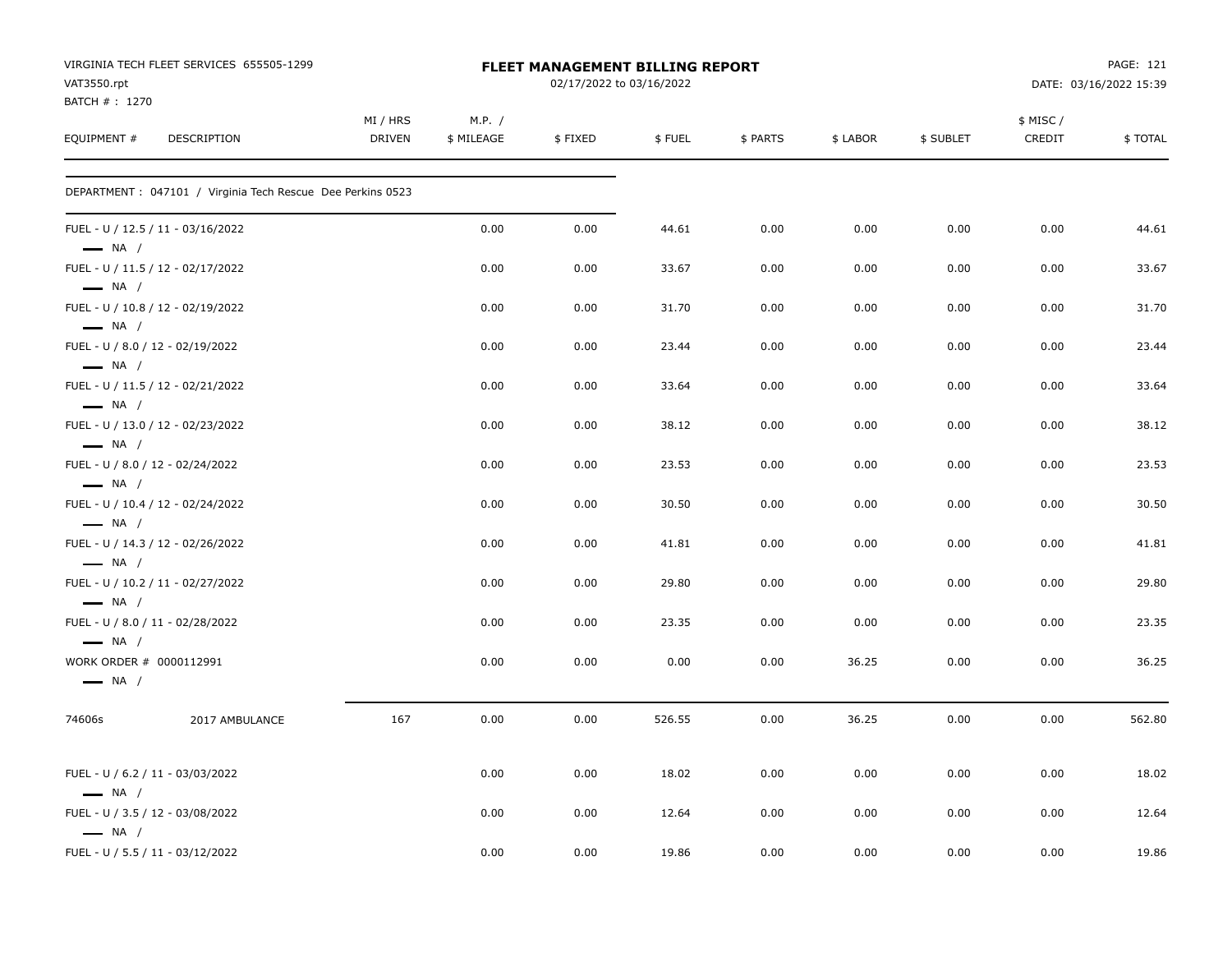| VAT3550.rpt                                       | VIRGINIA TECH FLEET SERVICES 655505-1299                    | FLEET MANAGEMENT BILLING REPORT<br>02/17/2022 to 03/16/2022 |                      |         |        |          |          |           |                     | PAGE: 121<br>DATE: 03/16/2022 15:39 |
|---------------------------------------------------|-------------------------------------------------------------|-------------------------------------------------------------|----------------------|---------|--------|----------|----------|-----------|---------------------|-------------------------------------|
| BATCH #: 1270<br>EQUIPMENT #                      | DESCRIPTION                                                 | MI / HRS<br><b>DRIVEN</b>                                   | M.P. /<br>\$ MILEAGE | \$FIXED | \$FUEL | \$ PARTS | \$ LABOR | \$ SUBLET | \$ MISC /<br>CREDIT | \$TOTAL                             |
|                                                   | DEPARTMENT : 047101 / Virginia Tech Rescue Dee Perkins 0523 |                                                             |                      |         |        |          |          |           |                     |                                     |
| $\longrightarrow$ NA /                            | FUEL - U / 12.5 / 11 - 03/16/2022                           |                                                             | 0.00                 | 0.00    | 44.61  | 0.00     | 0.00     | 0.00      | 0.00                | 44.61                               |
| $\longrightarrow$ NA /                            | FUEL - U / 11.5 / 12 - 02/17/2022                           |                                                             | 0.00                 | 0.00    | 33.67  | 0.00     | 0.00     | 0.00      | 0.00                | 33.67                               |
| $\longrightarrow$ NA /                            | FUEL - U / 10.8 / 12 - 02/19/2022                           |                                                             | 0.00                 | 0.00    | 31.70  | 0.00     | 0.00     | 0.00      | 0.00                | 31.70                               |
| $\longrightarrow$ NA /                            | FUEL - U / 8.0 / 12 - 02/19/2022                            |                                                             | 0.00                 | 0.00    | 23.44  | 0.00     | 0.00     | 0.00      | 0.00                | 23.44                               |
| $\longrightarrow$ NA /                            | FUEL - U / 11.5 / 12 - 02/21/2022                           |                                                             | 0.00                 | 0.00    | 33.64  | 0.00     | 0.00     | 0.00      | 0.00                | 33.64                               |
| $\longrightarrow$ NA /                            | FUEL - U / 13.0 / 12 - 02/23/2022                           |                                                             | 0.00                 | 0.00    | 38.12  | 0.00     | 0.00     | 0.00      | 0.00                | 38.12                               |
| $\longrightarrow$ NA /                            | FUEL - U / 8.0 / 12 - 02/24/2022                            |                                                             | 0.00                 | 0.00    | 23.53  | 0.00     | 0.00     | 0.00      | 0.00                | 23.53                               |
| $\longrightarrow$ NA /                            | FUEL - U / 10.4 / 12 - 02/24/2022                           |                                                             | 0.00                 | 0.00    | 30.50  | 0.00     | 0.00     | 0.00      | 0.00                | 30.50                               |
| $\longrightarrow$ NA /                            | FUEL - U / 14.3 / 12 - 02/26/2022                           |                                                             | 0.00                 | 0.00    | 41.81  | 0.00     | 0.00     | 0.00      | 0.00                | 41.81                               |
| $\longrightarrow$ NA /                            | FUEL - U / 10.2 / 11 - 02/27/2022                           |                                                             | 0.00                 | 0.00    | 29.80  | 0.00     | 0.00     | 0.00      | 0.00                | 29.80                               |
| $\longrightarrow$ NA /                            | FUEL - U / 8.0 / 11 - 02/28/2022                            |                                                             | 0.00                 | 0.00    | 23.35  | 0.00     | 0.00     | 0.00      | 0.00                | 23.35                               |
| WORK ORDER # 0000112991<br>$\longrightarrow$ NA / |                                                             |                                                             | 0.00                 | 0.00    | 0.00   | 0.00     | 36.25    | 0.00      | 0.00                | 36.25                               |
| 74606s                                            | 2017 AMBULANCE                                              | 167                                                         | 0.00                 | 0.00    | 526.55 | 0.00     | 36.25    | 0.00      | 0.00                | 562.80                              |
| $\longrightarrow$ NA /                            | FUEL - U / 6.2 / 11 - 03/03/2022                            |                                                             | 0.00                 | 0.00    | 18.02  | 0.00     | 0.00     | 0.00      | 0.00                | 18.02                               |
| $\longrightarrow$ NA /                            | FUEL - U / 3.5 / 12 - 03/08/2022                            |                                                             | 0.00                 | 0.00    | 12.64  | 0.00     | 0.00     | 0.00      | 0.00                | 12.64                               |
|                                                   | FUEL - U / 5.5 / 11 - 03/12/2022                            |                                                             | 0.00                 | 0.00    | 19.86  | 0.00     | 0.00     | 0.00      | 0.00                | 19.86                               |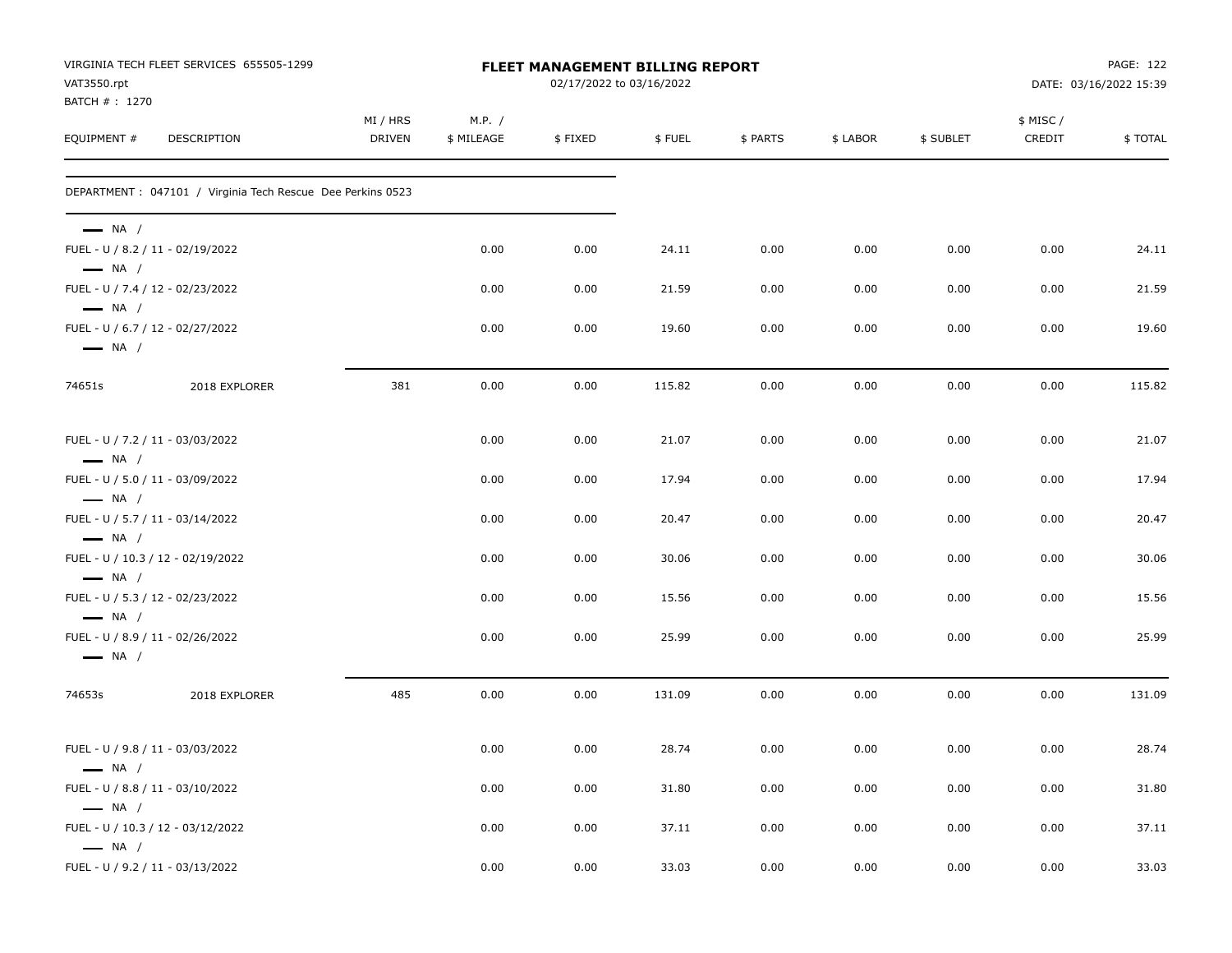| VAT3550.rpt                                      | VIRGINIA TECH FLEET SERVICES 655505-1299                    |                           |                      | FLEET MANAGEMENT BILLING REPORT<br>02/17/2022 to 03/16/2022 |        |          |          |           |                    | PAGE: 122<br>DATE: 03/16/2022 15:39 |
|--------------------------------------------------|-------------------------------------------------------------|---------------------------|----------------------|-------------------------------------------------------------|--------|----------|----------|-----------|--------------------|-------------------------------------|
| BATCH #: 1270<br>EQUIPMENT #                     | DESCRIPTION                                                 | MI / HRS<br><b>DRIVEN</b> | M.P. /<br>\$ MILEAGE | \$FIXED                                                     | \$FUEL | \$ PARTS | \$ LABOR | \$ SUBLET | \$ MISC/<br>CREDIT | \$TOTAL                             |
|                                                  | DEPARTMENT : 047101 / Virginia Tech Rescue Dee Perkins 0523 |                           |                      |                                                             |        |          |          |           |                    |                                     |
| $\longrightarrow$ NA /<br>$\longrightarrow$ NA / | FUEL - U / 8.2 / 11 - 02/19/2022                            |                           | 0.00                 | 0.00                                                        | 24.11  | 0.00     | 0.00     | 0.00      | 0.00               | 24.11                               |
|                                                  | FUEL - U / 7.4 / 12 - 02/23/2022                            |                           | 0.00                 | 0.00                                                        | 21.59  | 0.00     | 0.00     | 0.00      | 0.00               | 21.59                               |
| $\longrightarrow$ NA /<br>$\longrightarrow$ NA / | FUEL - U / 6.7 / 12 - 02/27/2022                            |                           | 0.00                 | 0.00                                                        | 19.60  | 0.00     | 0.00     | 0.00      | 0.00               | 19.60                               |
| 74651s                                           | 2018 EXPLORER                                               | 381                       | 0.00                 | 0.00                                                        | 115.82 | 0.00     | 0.00     | 0.00      | 0.00               | 115.82                              |
| $\longrightarrow$ NA /                           | FUEL - U / 7.2 / 11 - 03/03/2022                            |                           | 0.00                 | 0.00                                                        | 21.07  | 0.00     | 0.00     | 0.00      | 0.00               | 21.07                               |
|                                                  | FUEL - U / 5.0 / 11 - 03/09/2022                            |                           | 0.00                 | 0.00                                                        | 17.94  | 0.00     | 0.00     | 0.00      | 0.00               | 17.94                               |
| $\longrightarrow$ NA /<br>$\longrightarrow$ NA / | FUEL - U / 5.7 / 11 - 03/14/2022                            |                           | 0.00                 | 0.00                                                        | 20.47  | 0.00     | 0.00     | 0.00      | 0.00               | 20.47                               |
| $\longrightarrow$ NA /                           | FUEL - U / 10.3 / 12 - 02/19/2022                           |                           | 0.00                 | 0.00                                                        | 30.06  | 0.00     | 0.00     | 0.00      | 0.00               | 30.06                               |
| $\longrightarrow$ NA /                           | FUEL - U / 5.3 / 12 - 02/23/2022                            |                           | 0.00                 | 0.00                                                        | 15.56  | 0.00     | 0.00     | 0.00      | 0.00               | 15.56                               |
| $\longrightarrow$ NA /                           | FUEL - U / 8.9 / 11 - 02/26/2022                            |                           | 0.00                 | 0.00                                                        | 25.99  | 0.00     | 0.00     | 0.00      | 0.00               | 25.99                               |
| 74653s                                           | 2018 EXPLORER                                               | 485                       | 0.00                 | 0.00                                                        | 131.09 | 0.00     | 0.00     | 0.00      | 0.00               | 131.09                              |
| $\longrightarrow$ NA /                           | FUEL - U / 9.8 / 11 - 03/03/2022                            |                           | 0.00                 | 0.00                                                        | 28.74  | 0.00     | 0.00     | 0.00      | 0.00               | 28.74                               |
| $\longrightarrow$ NA /                           | FUEL - U / 8.8 / 11 - 03/10/2022                            |                           | 0.00                 | 0.00                                                        | 31.80  | 0.00     | 0.00     | 0.00      | 0.00               | 31.80                               |
| $\longrightarrow$ NA /                           | FUEL - U / 10.3 / 12 - 03/12/2022                           |                           | 0.00                 | 0.00                                                        | 37.11  | 0.00     | 0.00     | 0.00      | 0.00               | 37.11                               |
|                                                  | FUEL - U / 9.2 / 11 - 03/13/2022                            |                           | 0.00                 | 0.00                                                        | 33.03  | 0.00     | 0.00     | 0.00      | 0.00               | 33.03                               |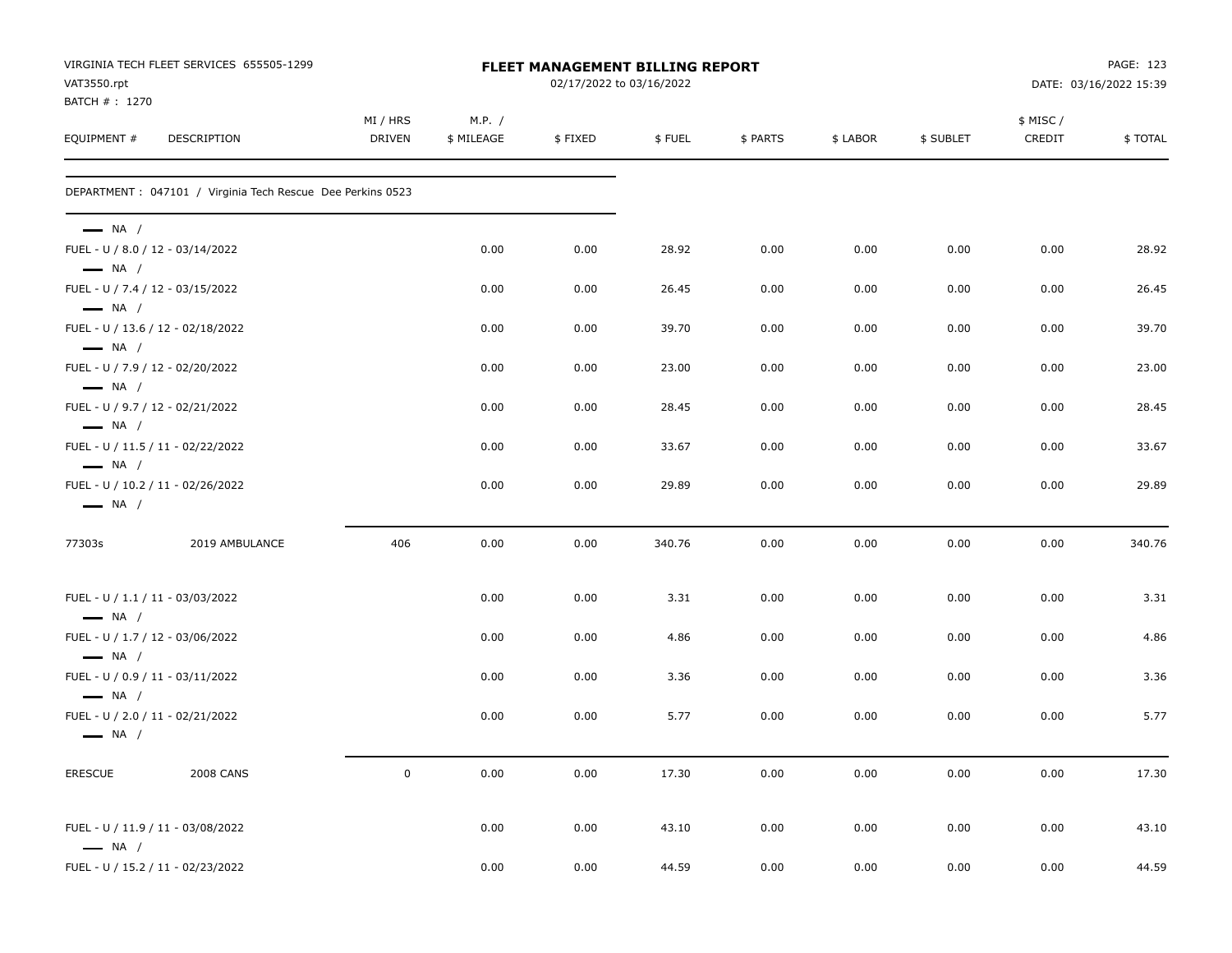| VAT3550.rpt                  | VIRGINIA TECH FLEET SERVICES 655505-1299                    |                    |                      | FLEET MANAGEMENT BILLING REPORT<br>02/17/2022 to 03/16/2022 |        |          |          |           |                    | PAGE: 123<br>DATE: 03/16/2022 15:39 |
|------------------------------|-------------------------------------------------------------|--------------------|----------------------|-------------------------------------------------------------|--------|----------|----------|-----------|--------------------|-------------------------------------|
| BATCH #: 1270<br>EQUIPMENT # | DESCRIPTION                                                 | MI / HRS<br>DRIVEN | M.P. /<br>\$ MILEAGE | \$FIXED                                                     | \$FUEL | \$ PARTS | \$ LABOR | \$ SUBLET | \$ MISC/<br>CREDIT | \$TOTAL                             |
|                              | DEPARTMENT : 047101 / Virginia Tech Rescue Dee Perkins 0523 |                    |                      |                                                             |        |          |          |           |                    |                                     |
| $\longrightarrow$ NA /       | FUEL - U / 8.0 / 12 - 03/14/2022                            |                    | 0.00                 | 0.00                                                        | 28.92  |          |          | 0.00      |                    | 28.92                               |
| $\longrightarrow$ NA /       |                                                             |                    |                      |                                                             |        | 0.00     | 0.00     |           | 0.00               |                                     |
| $-$ NA $/$                   | FUEL - U / 7.4 / 12 - 03/15/2022                            |                    | 0.00                 | 0.00                                                        | 26.45  | 0.00     | 0.00     | 0.00      | 0.00               | 26.45                               |
| $\longrightarrow$ NA /       | FUEL - U / 13.6 / 12 - 02/18/2022                           |                    | 0.00                 | 0.00                                                        | 39.70  | 0.00     | 0.00     | 0.00      | 0.00               | 39.70                               |
| $-$ NA $/$                   | FUEL - U / 7.9 / 12 - 02/20/2022                            |                    | 0.00                 | 0.00                                                        | 23.00  | 0.00     | 0.00     | 0.00      | 0.00               | 23.00                               |
| $\longrightarrow$ NA /       | FUEL - U / 9.7 / 12 - 02/21/2022                            |                    | 0.00                 | 0.00                                                        | 28.45  | 0.00     | 0.00     | 0.00      | 0.00               | 28.45                               |
| $\longrightarrow$ NA /       | FUEL - U / 11.5 / 11 - 02/22/2022                           |                    | 0.00                 | 0.00                                                        | 33.67  | 0.00     | 0.00     | 0.00      | 0.00               | 33.67                               |
| $\longrightarrow$ NA /       | FUEL - U / 10.2 / 11 - 02/26/2022                           |                    | 0.00                 | 0.00                                                        | 29.89  | 0.00     | 0.00     | 0.00      | 0.00               | 29.89                               |
| 77303s                       | 2019 AMBULANCE                                              | 406                | 0.00                 | 0.00                                                        | 340.76 | 0.00     | 0.00     | 0.00      | 0.00               | 340.76                              |
| $\longrightarrow$ NA /       | FUEL - U / 1.1 / 11 - 03/03/2022                            |                    | 0.00                 | 0.00                                                        | 3.31   | 0.00     | 0.00     | 0.00      | 0.00               | 3.31                                |
| $\longrightarrow$ NA /       | FUEL - U / 1.7 / 12 - 03/06/2022                            |                    | 0.00                 | 0.00                                                        | 4.86   | 0.00     | 0.00     | 0.00      | 0.00               | 4.86                                |
| $\longrightarrow$ NA /       | FUEL - U / 0.9 / 11 - 03/11/2022                            |                    | 0.00                 | 0.00                                                        | 3.36   | 0.00     | 0.00     | 0.00      | 0.00               | 3.36                                |
| $\longrightarrow$ NA /       | FUEL - U / 2.0 / 11 - 02/21/2022                            |                    | 0.00                 | 0.00                                                        | 5.77   | 0.00     | 0.00     | 0.00      | 0.00               | 5.77                                |
| <b>ERESCUE</b>               | <b>2008 CANS</b>                                            | $\mathbf 0$        | 0.00                 | 0.00                                                        | 17.30  | 0.00     | 0.00     | 0.00      | 0.00               | 17.30                               |
| $\longrightarrow$ NA /       | FUEL - U / 11.9 / 11 - 03/08/2022                           |                    | 0.00                 | 0.00                                                        | 43.10  | 0.00     | 0.00     | 0.00      | 0.00               | 43.10                               |
|                              | FUEL - U / 15.2 / 11 - 02/23/2022                           |                    | 0.00                 | 0.00                                                        | 44.59  | 0.00     | 0.00     | 0.00      | 0.00               | 44.59                               |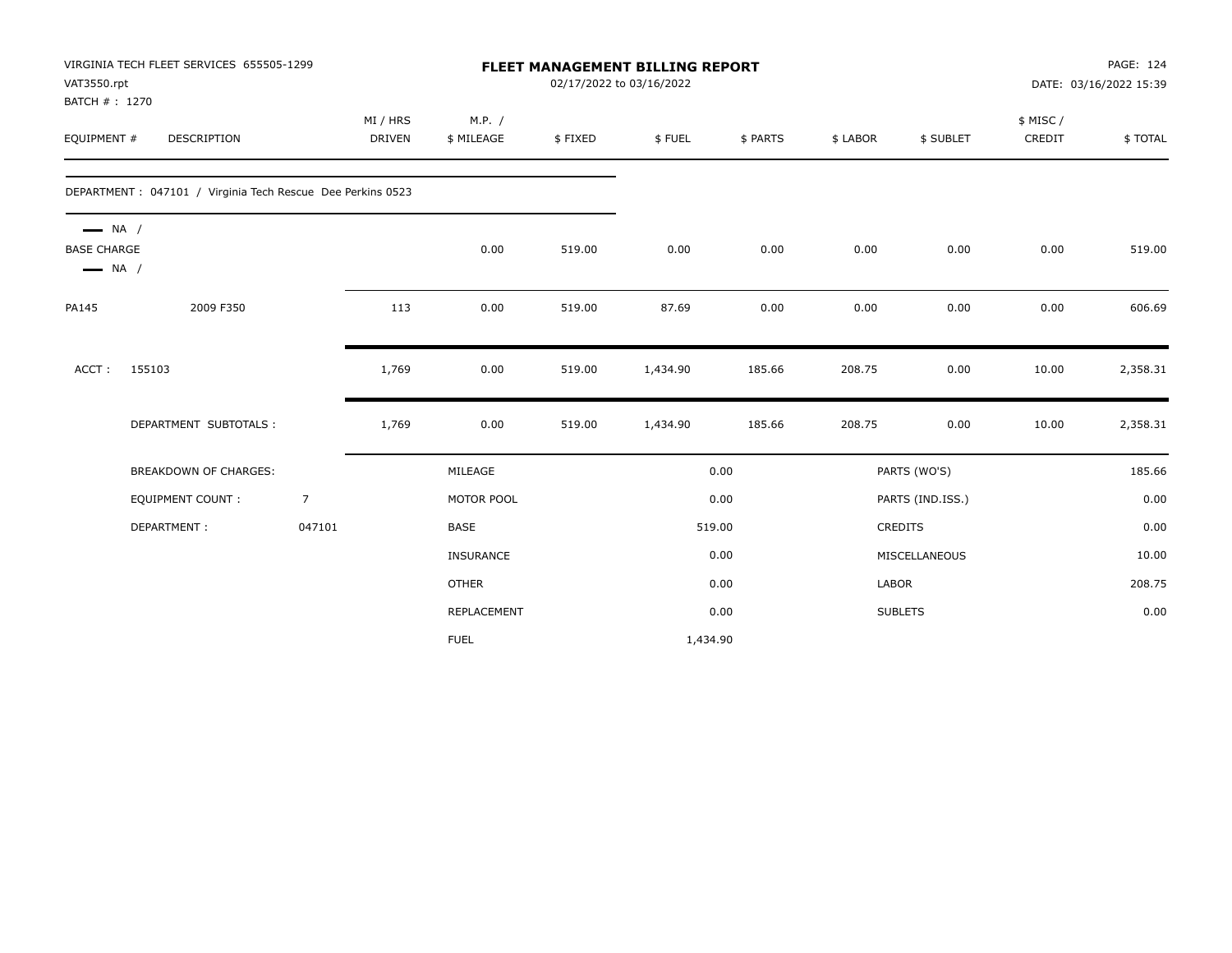| VAT3550.rpt<br>BATCH #: 1270                                           | VIRGINIA TECH FLEET SERVICES 655505-1299                    |                |                           |                      |         | <b>FLEET MANAGEMENT BILLING REPORT</b><br>02/17/2022 to 03/16/2022 |          |          |                  | PAGE: 124<br>DATE: 03/16/2022 15:39 |          |  |
|------------------------------------------------------------------------|-------------------------------------------------------------|----------------|---------------------------|----------------------|---------|--------------------------------------------------------------------|----------|----------|------------------|-------------------------------------|----------|--|
| EQUIPMENT #                                                            | <b>DESCRIPTION</b>                                          |                | MI / HRS<br><b>DRIVEN</b> | M.P. /<br>\$ MILEAGE | \$FIXED | \$FUEL                                                             | \$ PARTS | \$ LABOR | \$ SUBLET        | \$ MISC/<br>CREDIT                  | \$TOTAL  |  |
|                                                                        | DEPARTMENT : 047101 / Virginia Tech Rescue Dee Perkins 0523 |                |                           |                      |         |                                                                    |          |          |                  |                                     |          |  |
| $\longrightarrow$ NA /<br><b>BASE CHARGE</b><br>$\longrightarrow$ NA / |                                                             |                |                           | 0.00                 | 519.00  | 0.00                                                               | 0.00     | 0.00     | 0.00             | 0.00                                | 519.00   |  |
| PA145                                                                  | 2009 F350                                                   |                | 113                       | 0.00                 | 519.00  | 87.69                                                              | 0.00     | 0.00     | 0.00             | 0.00                                | 606.69   |  |
| ACCT:                                                                  | 155103                                                      |                | 1,769                     | 0.00                 | 519.00  | 1,434.90                                                           | 185.66   | 208.75   | 0.00             | 10.00                               | 2,358.31 |  |
|                                                                        | DEPARTMENT SUBTOTALS :                                      |                | 1,769                     | 0.00                 | 519.00  | 1,434.90                                                           | 185.66   | 208.75   | 0.00             | 10.00                               | 2,358.31 |  |
|                                                                        | BREAKDOWN OF CHARGES:                                       |                |                           | MILEAGE              |         |                                                                    | 0.00     |          | PARTS (WO'S)     |                                     | 185.66   |  |
|                                                                        | <b>EQUIPMENT COUNT:</b>                                     | $\overline{7}$ |                           | MOTOR POOL           |         |                                                                    | 0.00     |          | PARTS (IND.ISS.) |                                     | 0.00     |  |
|                                                                        | DEPARTMENT:                                                 | 047101         |                           | <b>BASE</b>          |         |                                                                    | 519.00   |          | CREDITS          |                                     | 0.00     |  |
|                                                                        |                                                             |                |                           | INSURANCE            |         |                                                                    | 0.00     |          | MISCELLANEOUS    |                                     | 10.00    |  |
|                                                                        |                                                             |                |                           | <b>OTHER</b>         |         |                                                                    | 0.00     | LABOR    |                  |                                     | 208.75   |  |
|                                                                        |                                                             |                |                           | <b>REPLACEMENT</b>   |         |                                                                    | 0.00     |          | <b>SUBLETS</b>   |                                     | 0.00     |  |
|                                                                        |                                                             |                |                           | <b>FUEL</b>          |         | 1,434.90                                                           |          |          |                  |                                     |          |  |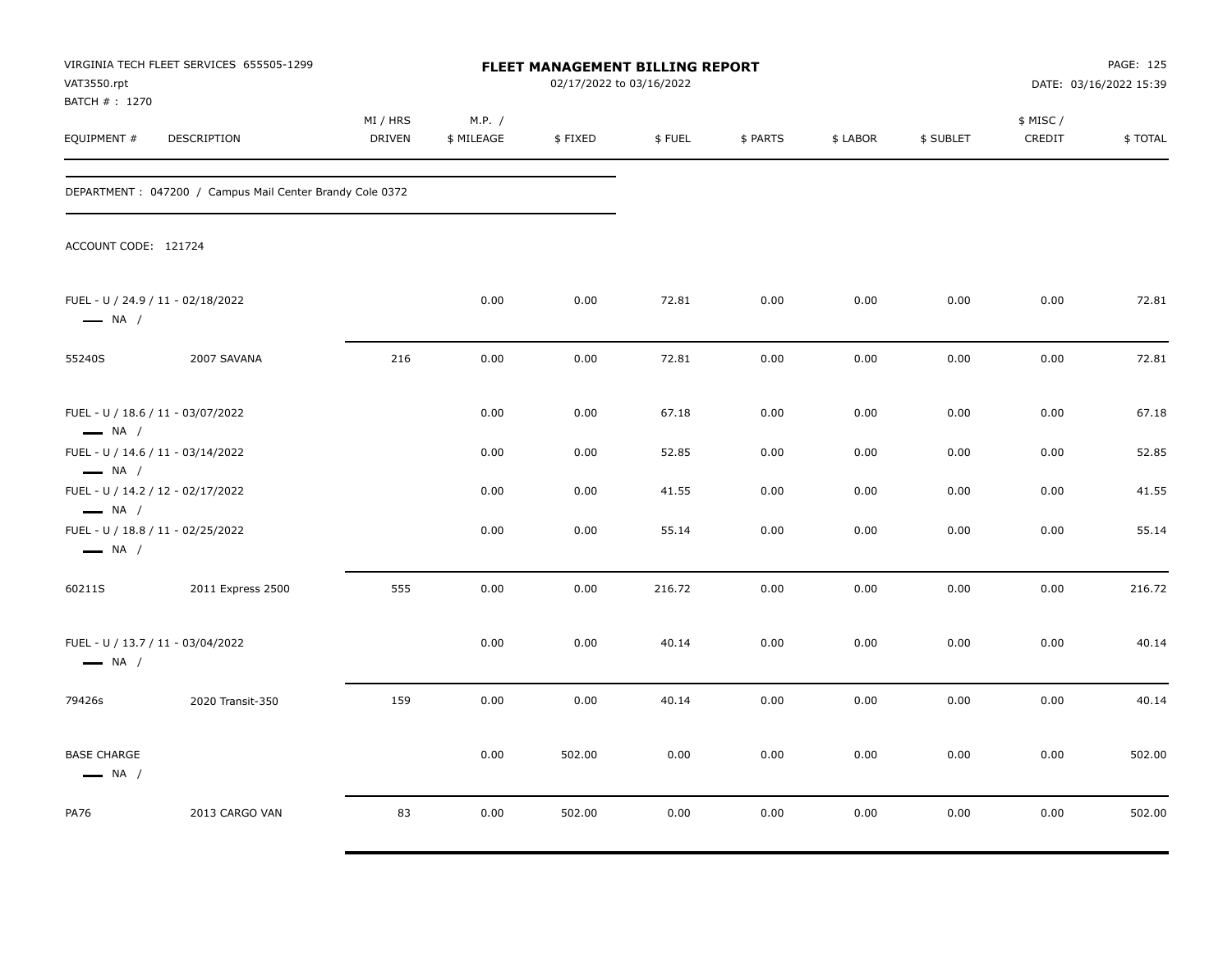| VAT3550.rpt<br>BATCH # : 1270                                                         | VIRGINIA TECH FLEET SERVICES 655505-1299                 |                    |                      |         | FLEET MANAGEMENT BILLING REPORT<br>02/17/2022 to 03/16/2022 |          |          |           |                     | PAGE: 125<br>DATE: 03/16/2022 15:39 |
|---------------------------------------------------------------------------------------|----------------------------------------------------------|--------------------|----------------------|---------|-------------------------------------------------------------|----------|----------|-----------|---------------------|-------------------------------------|
| EQUIPMENT #                                                                           | <b>DESCRIPTION</b>                                       | MI / HRS<br>DRIVEN | M.P. /<br>\$ MILEAGE | \$FIXED | \$FUEL                                                      | \$ PARTS | \$ LABOR | \$ SUBLET | \$ MISC /<br>CREDIT | \$TOTAL                             |
|                                                                                       | DEPARTMENT: 047200 / Campus Mail Center Brandy Cole 0372 |                    |                      |         |                                                             |          |          |           |                     |                                     |
| ACCOUNT CODE: 121724                                                                  |                                                          |                    |                      |         |                                                             |          |          |           |                     |                                     |
| $\longrightarrow$ NA /                                                                | FUEL - U / 24.9 / 11 - 02/18/2022                        |                    | 0.00                 | 0.00    | 72.81                                                       | 0.00     | 0.00     | 0.00      | 0.00                | 72.81                               |
| 55240S                                                                                | 2007 SAVANA                                              | 216                | 0.00                 | 0.00    | 72.81                                                       | 0.00     | 0.00     | 0.00      | 0.00                | 72.81                               |
| FUEL - U / 18.6 / 11 - 03/07/2022<br>$\longrightarrow$ NA /                           |                                                          |                    | 0.00                 | 0.00    | 67.18                                                       | 0.00     | 0.00     | 0.00      | 0.00                | 67.18                               |
|                                                                                       | FUEL - U / 14.6 / 11 - 03/14/2022                        |                    | 0.00                 | 0.00    | 52.85                                                       | 0.00     | 0.00     | 0.00      | 0.00                | 52.85                               |
| $\longrightarrow$ NA /<br>FUEL - U / 14.2 / 12 - 02/17/2022<br>$\longrightarrow$ NA / |                                                          |                    | 0.00                 | 0.00    | 41.55                                                       | 0.00     | 0.00     | 0.00      | 0.00                | 41.55                               |
| $\longrightarrow$ NA /                                                                | FUEL - U / 18.8 / 11 - 02/25/2022                        |                    | 0.00                 | 0.00    | 55.14                                                       | 0.00     | 0.00     | 0.00      | 0.00                | 55.14                               |
| 60211S                                                                                | 2011 Express 2500                                        | 555                | 0.00                 | 0.00    | 216.72                                                      | 0.00     | 0.00     | 0.00      | 0.00                | 216.72                              |
| $\longrightarrow$ NA /                                                                | FUEL - U / 13.7 / 11 - 03/04/2022                        |                    | 0.00                 | 0.00    | 40.14                                                       | 0.00     | 0.00     | 0.00      | 0.00                | 40.14                               |
| 79426s                                                                                | 2020 Transit-350                                         | 159                | 0.00                 | 0.00    | 40.14                                                       | 0.00     | 0.00     | 0.00      | 0.00                | 40.14                               |
| <b>BASE CHARGE</b><br>$\longrightarrow$ NA /                                          |                                                          |                    | 0.00                 | 502.00  | 0.00                                                        | 0.00     | 0.00     | 0.00      | 0.00                | 502.00                              |
| PA76                                                                                  | 2013 CARGO VAN                                           | 83                 | 0.00                 | 502.00  | 0.00                                                        | 0.00     | 0.00     | 0.00      | 0.00                | 502.00                              |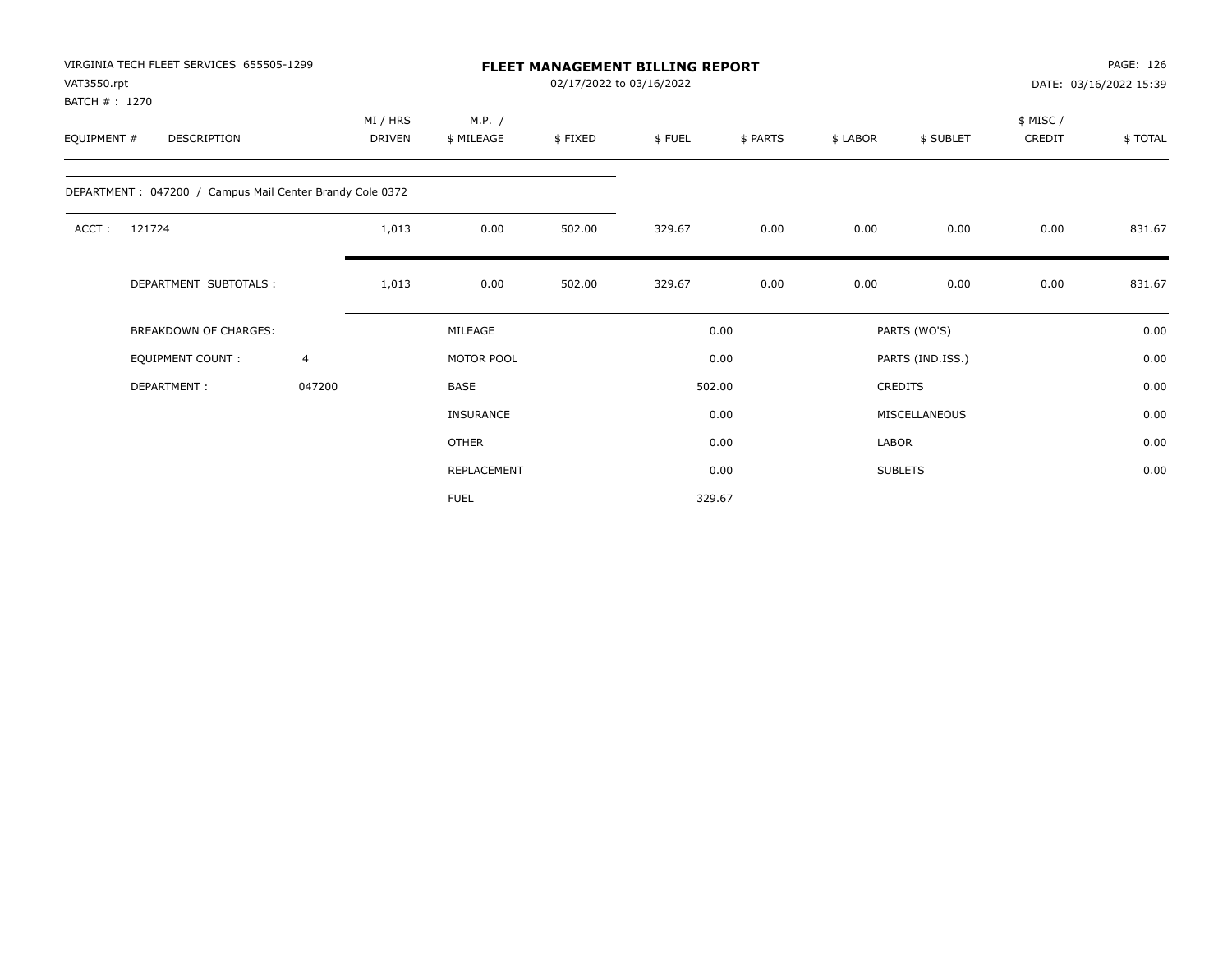| VAT3550.rpt<br>BATCH #: 1270 | VIRGINIA TECH FLEET SERVICES 655505-1299                 |              |                           |                      |         | FLEET MANAGEMENT BILLING REPORT<br>02/17/2022 to 03/16/2022 |          |          | PAGE: 126<br>DATE: 03/16/2022 15:39 |                    |         |
|------------------------------|----------------------------------------------------------|--------------|---------------------------|----------------------|---------|-------------------------------------------------------------|----------|----------|-------------------------------------|--------------------|---------|
| EQUIPMENT #                  | DESCRIPTION                                              |              | MI / HRS<br><b>DRIVEN</b> | M.P. /<br>\$ MILEAGE | \$FIXED | \$FUEL                                                      | \$ PARTS | \$ LABOR | \$ SUBLET                           | \$ MISC/<br>CREDIT | \$TOTAL |
|                              | DEPARTMENT: 047200 / Campus Mail Center Brandy Cole 0372 |              |                           |                      |         |                                                             |          |          |                                     |                    |         |
| ACCT:                        | 121724                                                   |              | 1,013                     | 0.00                 | 502.00  | 329.67                                                      | 0.00     | 0.00     | 0.00                                | 0.00               | 831.67  |
|                              | DEPARTMENT SUBTOTALS :                                   |              | 1,013                     | 0.00                 | 502.00  | 329.67                                                      | 0.00     | 0.00     | 0.00                                | 0.00               | 831.67  |
|                              | <b>BREAKDOWN OF CHARGES:</b>                             |              |                           | MILEAGE              |         |                                                             | 0.00     |          | PARTS (WO'S)                        |                    | 0.00    |
|                              | <b>EQUIPMENT COUNT:</b>                                  | 4            |                           | MOTOR POOL           |         |                                                             | 0.00     |          | PARTS (IND.ISS.)                    |                    | 0.00    |
|                              | DEPARTMENT:                                              | 047200       |                           | <b>BASE</b>          |         |                                                             | 502.00   |          | <b>CREDITS</b>                      |                    | 0.00    |
|                              |                                                          |              |                           | <b>INSURANCE</b>     |         |                                                             | 0.00     |          | MISCELLANEOUS                       |                    | 0.00    |
|                              |                                                          | <b>OTHER</b> |                           |                      | 0.00    | <b>LABOR</b>                                                |          |          | 0.00                                |                    |         |
|                              |                                                          |              |                           | REPLACEMENT          |         |                                                             | 0.00     |          | <b>SUBLETS</b>                      |                    | 0.00    |
|                              |                                                          |              |                           | <b>FUEL</b>          |         |                                                             | 329.67   |          |                                     |                    |         |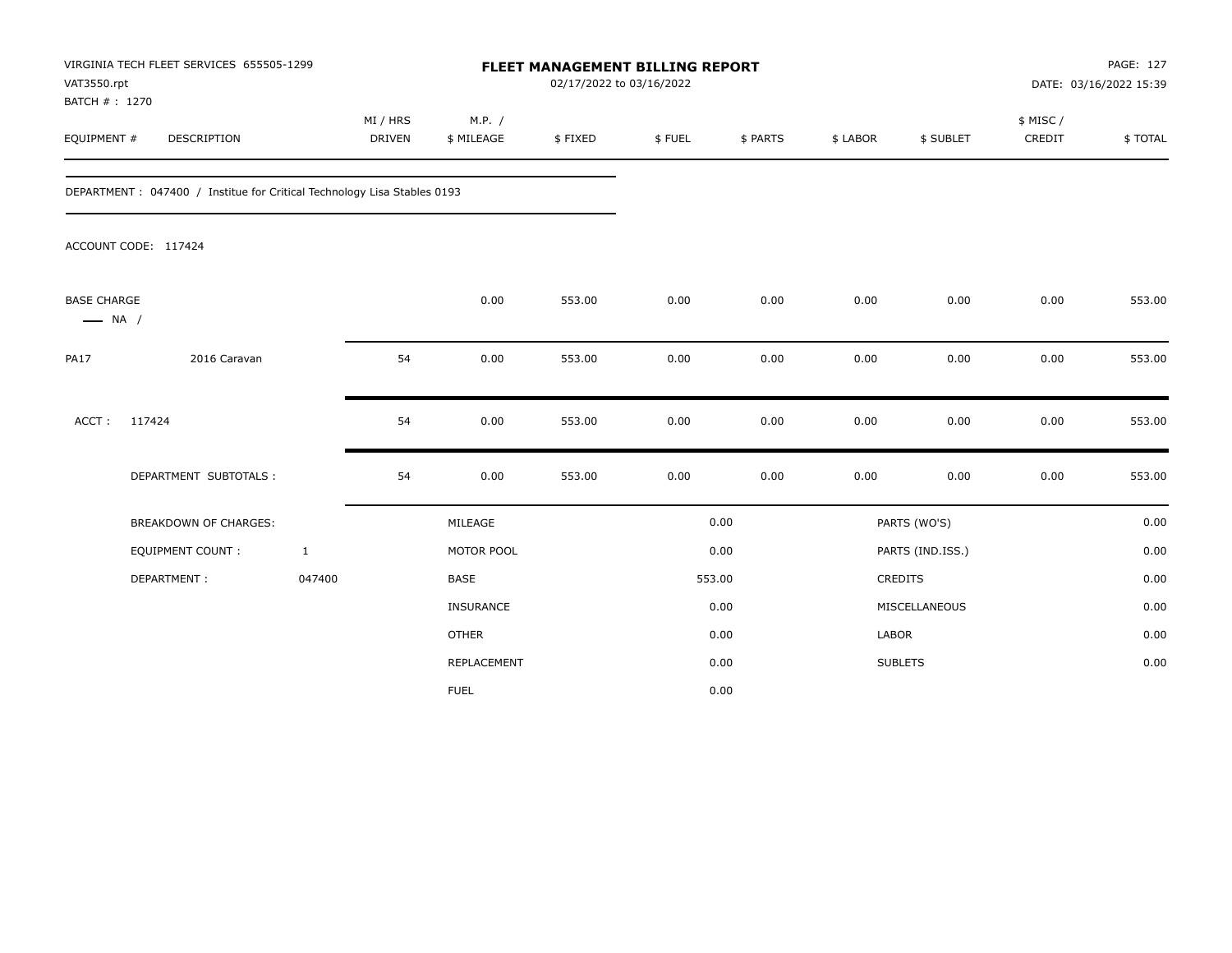| VAT3550.rpt<br>BATCH #: 1270                 | VIRGINIA TECH FLEET SERVICES 655505-1299                                 |                           |                      |         | FLEET MANAGEMENT BILLING REPORT<br>02/17/2022 to 03/16/2022 |          |          |                  | PAGE: 127<br>DATE: 03/16/2022 15:39 |         |  |
|----------------------------------------------|--------------------------------------------------------------------------|---------------------------|----------------------|---------|-------------------------------------------------------------|----------|----------|------------------|-------------------------------------|---------|--|
| EQUIPMENT #                                  | DESCRIPTION                                                              | MI / HRS<br><b>DRIVEN</b> | M.P. /<br>\$ MILEAGE | \$FIXED | \$FUEL                                                      | \$ PARTS | \$ LABOR | \$ SUBLET        | \$ MISC/<br>CREDIT                  | \$TOTAL |  |
|                                              | DEPARTMENT : 047400 / Institue for Critical Technology Lisa Stables 0193 |                           |                      |         |                                                             |          |          |                  |                                     |         |  |
|                                              | ACCOUNT CODE: 117424                                                     |                           |                      |         |                                                             |          |          |                  |                                     |         |  |
| <b>BASE CHARGE</b><br>$\longrightarrow$ NA / |                                                                          |                           | 0.00                 | 553.00  | 0.00                                                        | 0.00     | 0.00     | 0.00             | 0.00                                | 553.00  |  |
| <b>PA17</b>                                  | 2016 Caravan                                                             | 54                        | 0.00                 | 553.00  | 0.00                                                        | 0.00     | 0.00     | 0.00             | 0.00                                | 553.00  |  |
| ACCT:                                        | 117424                                                                   | 54                        | 0.00                 | 553.00  | 0.00                                                        | 0.00     | 0.00     | 0.00             | 0.00                                | 553.00  |  |
|                                              | DEPARTMENT SUBTOTALS :                                                   | 54                        | 0.00                 | 553.00  | 0.00                                                        | 0.00     | 0.00     | 0.00             | 0.00                                | 553.00  |  |
|                                              | <b>BREAKDOWN OF CHARGES:</b>                                             |                           | MILEAGE              |         |                                                             | 0.00     |          | PARTS (WO'S)     |                                     | 0.00    |  |
|                                              | <b>EQUIPMENT COUNT:</b>                                                  | $\mathbf{1}$              | MOTOR POOL           |         |                                                             | 0.00     |          | PARTS (IND.ISS.) |                                     | 0.00    |  |
|                                              | DEPARTMENT:                                                              | 047400                    | <b>BASE</b>          |         |                                                             | 553.00   |          | <b>CREDITS</b>   |                                     | 0.00    |  |
|                                              |                                                                          |                           | INSURANCE            |         |                                                             | 0.00     |          | MISCELLANEOUS    |                                     | 0.00    |  |
|                                              |                                                                          |                           | <b>OTHER</b>         |         |                                                             | 0.00     | LABOR    |                  |                                     | 0.00    |  |
|                                              |                                                                          |                           | REPLACEMENT          |         |                                                             | 0.00     |          | <b>SUBLETS</b>   |                                     | 0.00    |  |
|                                              |                                                                          |                           | <b>FUEL</b>          |         |                                                             | 0.00     |          |                  |                                     |         |  |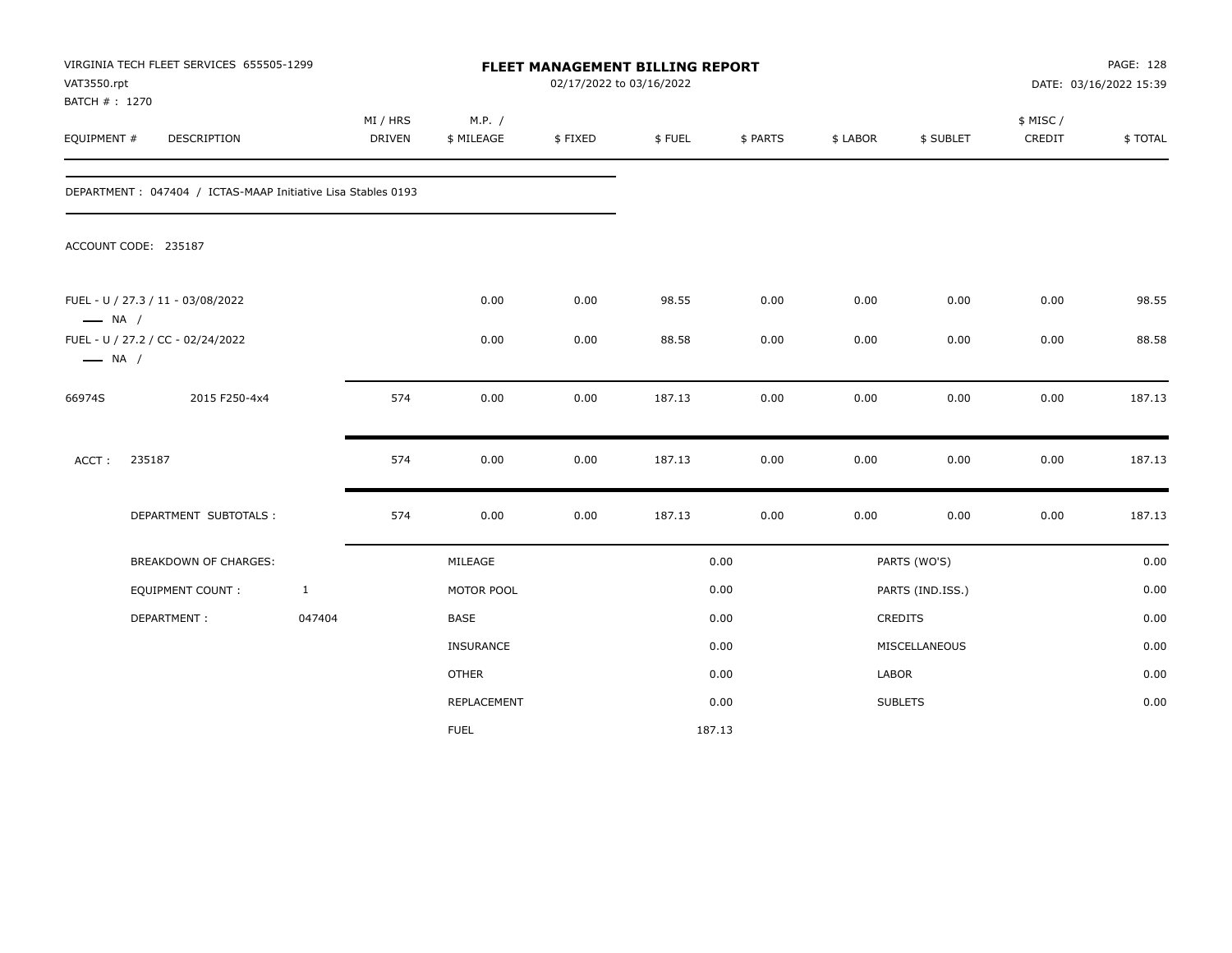| VAT3550.rpt<br>BATCH #: 1270 | VIRGINIA TECH FLEET SERVICES 655505-1299                     |              |                    |                      | 02/17/2022 to 03/16/2022 | FLEET MANAGEMENT BILLING REPORT |          |          |                  |                    | PAGE: 128<br>DATE: 03/16/2022 15:39 |
|------------------------------|--------------------------------------------------------------|--------------|--------------------|----------------------|--------------------------|---------------------------------|----------|----------|------------------|--------------------|-------------------------------------|
| EQUIPMENT #                  | DESCRIPTION                                                  |              | MI / HRS<br>DRIVEN | M.P. /<br>\$ MILEAGE | \$FIXED                  | \$FUEL                          | \$ PARTS | \$ LABOR | \$ SUBLET        | \$ MISC/<br>CREDIT | \$TOTAL                             |
|                              | DEPARTMENT: 047404 / ICTAS-MAAP Initiative Lisa Stables 0193 |              |                    |                      |                          |                                 |          |          |                  |                    |                                     |
|                              | ACCOUNT CODE: 235187                                         |              |                    |                      |                          |                                 |          |          |                  |                    |                                     |
| $\longrightarrow$ NA /       | FUEL - U / 27.3 / 11 - 03/08/2022                            |              |                    | 0.00                 | 0.00                     | 98.55                           | 0.00     | 0.00     | 0.00             | 0.00               | 98.55                               |
| $\longrightarrow$ NA /       | FUEL - U / 27.2 / CC - 02/24/2022                            |              |                    | 0.00                 | 0.00                     | 88.58                           | 0.00     | 0.00     | 0.00             | 0.00               | 88.58                               |
| 66974S                       | 2015 F250-4x4                                                |              | 574                | 0.00                 | 0.00                     | 187.13                          | 0.00     | 0.00     | 0.00             | 0.00               | 187.13                              |
| ACCT:                        | 235187                                                       |              | 574                | 0.00                 | 0.00                     | 187.13                          | 0.00     | 0.00     | 0.00             | 0.00               | 187.13                              |
|                              | DEPARTMENT SUBTOTALS :                                       |              | 574                | 0.00                 | 0.00                     | 187.13                          | 0.00     | 0.00     | 0.00             | 0.00               | 187.13                              |
|                              | BREAKDOWN OF CHARGES:                                        |              |                    | MILEAGE              |                          |                                 | 0.00     |          | PARTS (WO'S)     |                    | 0.00                                |
|                              | EQUIPMENT COUNT :                                            | $\mathbf{1}$ |                    | MOTOR POOL           |                          |                                 | 0.00     |          | PARTS (IND.ISS.) |                    | 0.00                                |
|                              | DEPARTMENT:                                                  | 047404       |                    | BASE                 |                          |                                 | 0.00     |          | CREDITS          |                    | 0.00                                |
|                              |                                                              |              |                    | <b>INSURANCE</b>     |                          |                                 | 0.00     |          | MISCELLANEOUS    |                    | 0.00                                |
|                              |                                                              |              |                    | <b>OTHER</b>         |                          |                                 | 0.00     | LABOR    |                  |                    | 0.00                                |
|                              |                                                              |              |                    | REPLACEMENT          |                          |                                 | 0.00     |          | <b>SUBLETS</b>   |                    | 0.00                                |
|                              |                                                              |              |                    | <b>FUEL</b>          |                          |                                 | 187.13   |          |                  |                    |                                     |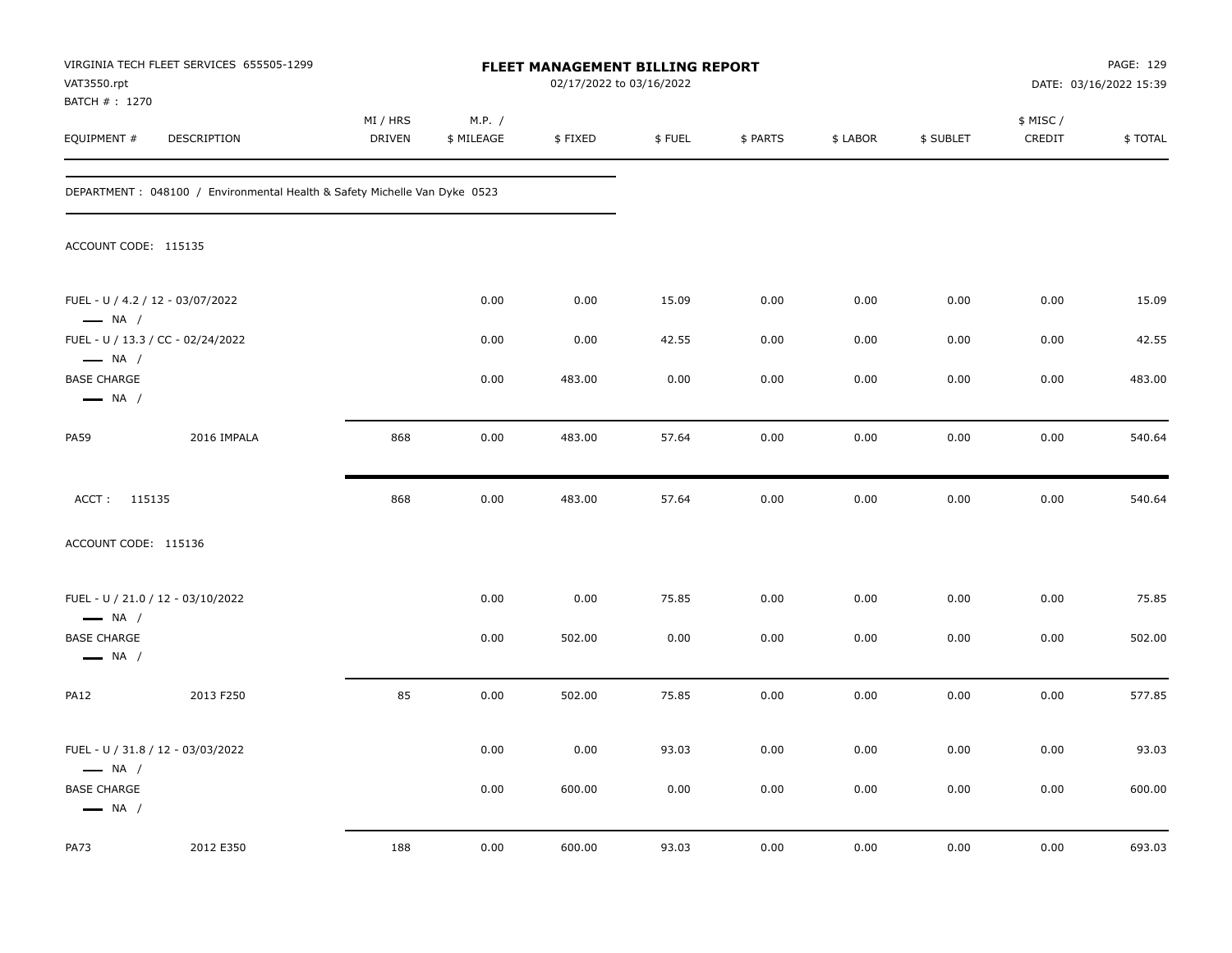| VAT3550.rpt                                  | VIRGINIA TECH FLEET SERVICES 655505-1299                                   |                    |                      | FLEET MANAGEMENT BILLING REPORT | 02/17/2022 to 03/16/2022 |          |          |           |                     | PAGE: 129<br>DATE: 03/16/2022 15:39 |
|----------------------------------------------|----------------------------------------------------------------------------|--------------------|----------------------|---------------------------------|--------------------------|----------|----------|-----------|---------------------|-------------------------------------|
| BATCH #: 1270<br>EQUIPMENT #                 | DESCRIPTION                                                                | MI / HRS<br>DRIVEN | M.P. /<br>\$ MILEAGE | \$FIXED                         | \$FUEL                   | \$ PARTS | \$ LABOR | \$ SUBLET | \$ MISC /<br>CREDIT | \$TOTAL                             |
|                                              | DEPARTMENT : 048100 / Environmental Health & Safety Michelle Van Dyke 0523 |                    |                      |                                 |                          |          |          |           |                     |                                     |
| ACCOUNT CODE: 115135                         |                                                                            |                    |                      |                                 |                          |          |          |           |                     |                                     |
| $\longrightarrow$ NA /                       | FUEL - U / 4.2 / 12 - 03/07/2022                                           |                    | 0.00                 | 0.00                            | 15.09                    | 0.00     | 0.00     | 0.00      | 0.00                | 15.09                               |
| $\longrightarrow$ NA /                       | FUEL - U / 13.3 / CC - 02/24/2022                                          |                    | 0.00                 | 0.00                            | 42.55                    | 0.00     | 0.00     | 0.00      | 0.00                | 42.55                               |
| <b>BASE CHARGE</b><br>$\longrightarrow$ NA / |                                                                            |                    | 0.00                 | 483.00                          | 0.00                     | 0.00     | 0.00     | 0.00      | 0.00                | 483.00                              |
| <b>PA59</b>                                  | 2016 IMPALA                                                                | 868                | 0.00                 | 483.00                          | 57.64                    | 0.00     | 0.00     | 0.00      | 0.00                | 540.64                              |
| ACCT: 115135                                 |                                                                            | 868                | 0.00                 | 483.00                          | 57.64                    | 0.00     | 0.00     | 0.00      | 0.00                | 540.64                              |
| ACCOUNT CODE: 115136                         |                                                                            |                    |                      |                                 |                          |          |          |           |                     |                                     |
| $\longrightarrow$ NA /                       | FUEL - U / 21.0 / 12 - 03/10/2022                                          |                    | 0.00                 | 0.00                            | 75.85                    | 0.00     | 0.00     | 0.00      | 0.00                | 75.85                               |
| <b>BASE CHARGE</b><br>$\longrightarrow$ NA / |                                                                            |                    | 0.00                 | 502.00                          | 0.00                     | 0.00     | 0.00     | 0.00      | 0.00                | 502.00                              |
| <b>PA12</b>                                  | 2013 F250                                                                  | 85                 | 0.00                 | 502.00                          | 75.85                    | 0.00     | 0.00     | 0.00      | 0.00                | 577.85                              |
| $\longrightarrow$ NA /                       | FUEL - U / 31.8 / 12 - 03/03/2022                                          |                    | 0.00                 | 0.00                            | 93.03                    | 0.00     | 0.00     | 0.00      | 0.00                | 93.03                               |
| <b>BASE CHARGE</b><br>$\longrightarrow$ NA / |                                                                            |                    | 0.00                 | 600.00                          | 0.00                     | 0.00     | 0.00     | 0.00      | 0.00                | 600.00                              |
| <b>PA73</b>                                  | 2012 E350                                                                  | 188                | 0.00                 | 600.00                          | 93.03                    | 0.00     | 0.00     | 0.00      | 0.00                | 693.03                              |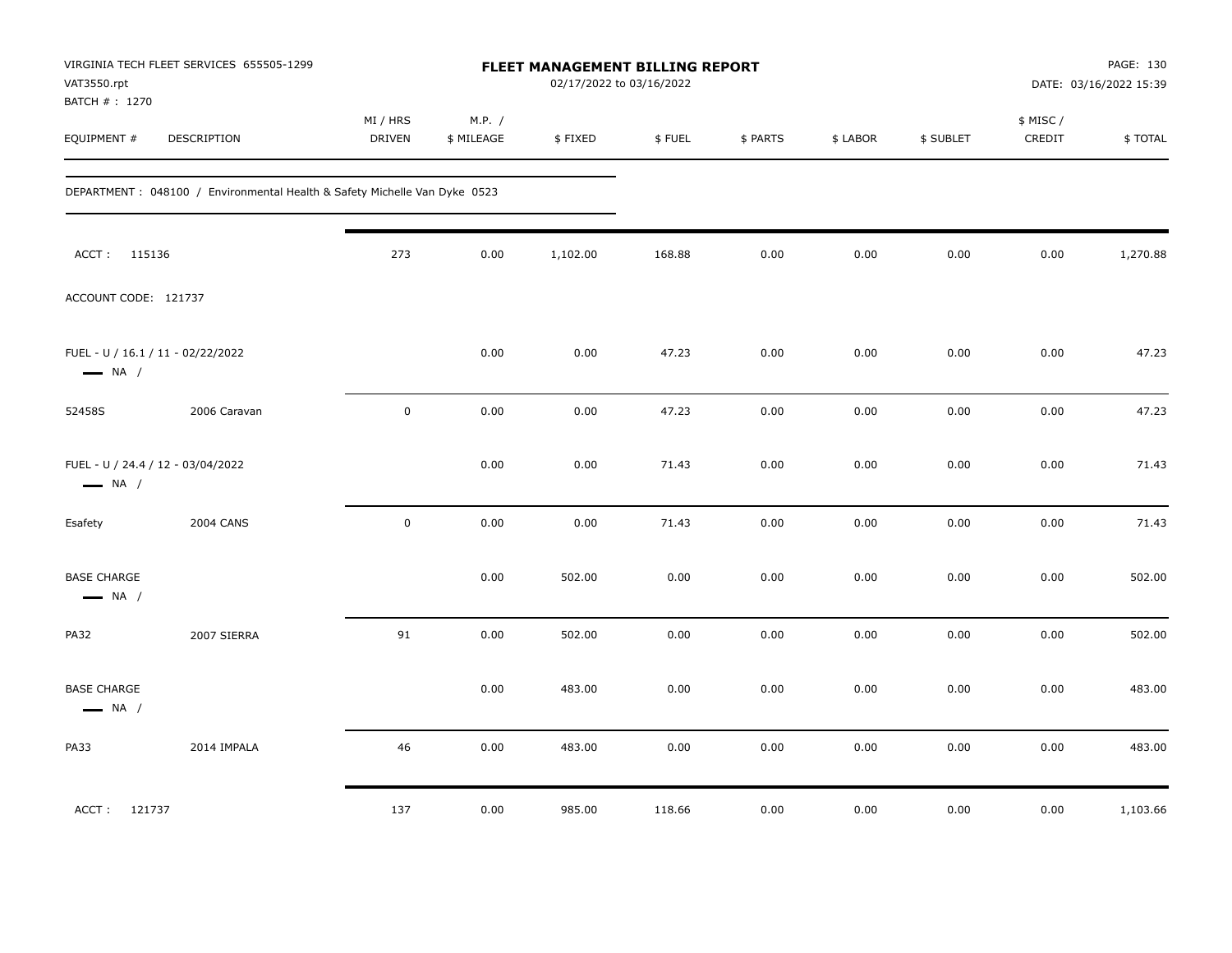| VAT3550.rpt<br>BATCH # : 1270                | VIRGINIA TECH FLEET SERVICES 655505-1299                                   |                    |                      | FLEET MANAGEMENT BILLING REPORT<br>02/17/2022 to 03/16/2022 |        |          |          |           |                     | PAGE: 130<br>DATE: 03/16/2022 15:39 |
|----------------------------------------------|----------------------------------------------------------------------------|--------------------|----------------------|-------------------------------------------------------------|--------|----------|----------|-----------|---------------------|-------------------------------------|
| EQUIPMENT #                                  | DESCRIPTION                                                                | MI / HRS<br>DRIVEN | M.P. /<br>\$ MILEAGE | \$FIXED                                                     | \$FUEL | \$ PARTS | \$ LABOR | \$ SUBLET | \$ MISC /<br>CREDIT | \$TOTAL                             |
|                                              | DEPARTMENT : 048100 / Environmental Health & Safety Michelle Van Dyke 0523 |                    |                      |                                                             |        |          |          |           |                     |                                     |
| ACCT: 115136                                 |                                                                            | 273                | 0.00                 | 1,102.00                                                    | 168.88 | 0.00     | 0.00     | 0.00      | 0.00                | 1,270.88                            |
| ACCOUNT CODE: 121737                         |                                                                            |                    |                      |                                                             |        |          |          |           |                     |                                     |
| $\longrightarrow$ NA /                       | FUEL - U / 16.1 / 11 - 02/22/2022                                          |                    | 0.00                 | 0.00                                                        | 47.23  | 0.00     | 0.00     | 0.00      | 0.00                | 47.23                               |
| 52458S                                       | 2006 Caravan                                                               | $\pmb{0}$          | 0.00                 | 0.00                                                        | 47.23  | 0.00     | 0.00     | 0.00      | 0.00                | 47.23                               |
| $\longrightarrow$ NA /                       | FUEL - U / 24.4 / 12 - 03/04/2022                                          |                    | 0.00                 | 0.00                                                        | 71.43  | 0.00     | 0.00     | 0.00      | 0.00                | 71.43                               |
| Esafety                                      | <b>2004 CANS</b>                                                           | $\mathsf 0$        | 0.00                 | 0.00                                                        | 71.43  | 0.00     | 0.00     | 0.00      | 0.00                | 71.43                               |
| <b>BASE CHARGE</b><br>$\longrightarrow$ NA / |                                                                            |                    | 0.00                 | 502.00                                                      | 0.00   | 0.00     | 0.00     | 0.00      | 0.00                | 502.00                              |
| <b>PA32</b>                                  | 2007 SIERRA                                                                | 91                 | 0.00                 | 502.00                                                      | 0.00   | 0.00     | 0.00     | 0.00      | 0.00                | 502.00                              |
| <b>BASE CHARGE</b><br>$\longrightarrow$ NA / |                                                                            |                    | 0.00                 | 483.00                                                      | 0.00   | 0.00     | 0.00     | 0.00      | 0.00                | 483.00                              |
| PA33                                         | 2014 IMPALA                                                                | 46                 | 0.00                 | 483.00                                                      | 0.00   | 0.00     | 0.00     | 0.00      | 0.00                | 483.00                              |
| ACCT: 121737                                 |                                                                            | 137                | 0.00                 | 985.00                                                      | 118.66 | 0.00     | 0.00     | 0.00      | 0.00                | 1,103.66                            |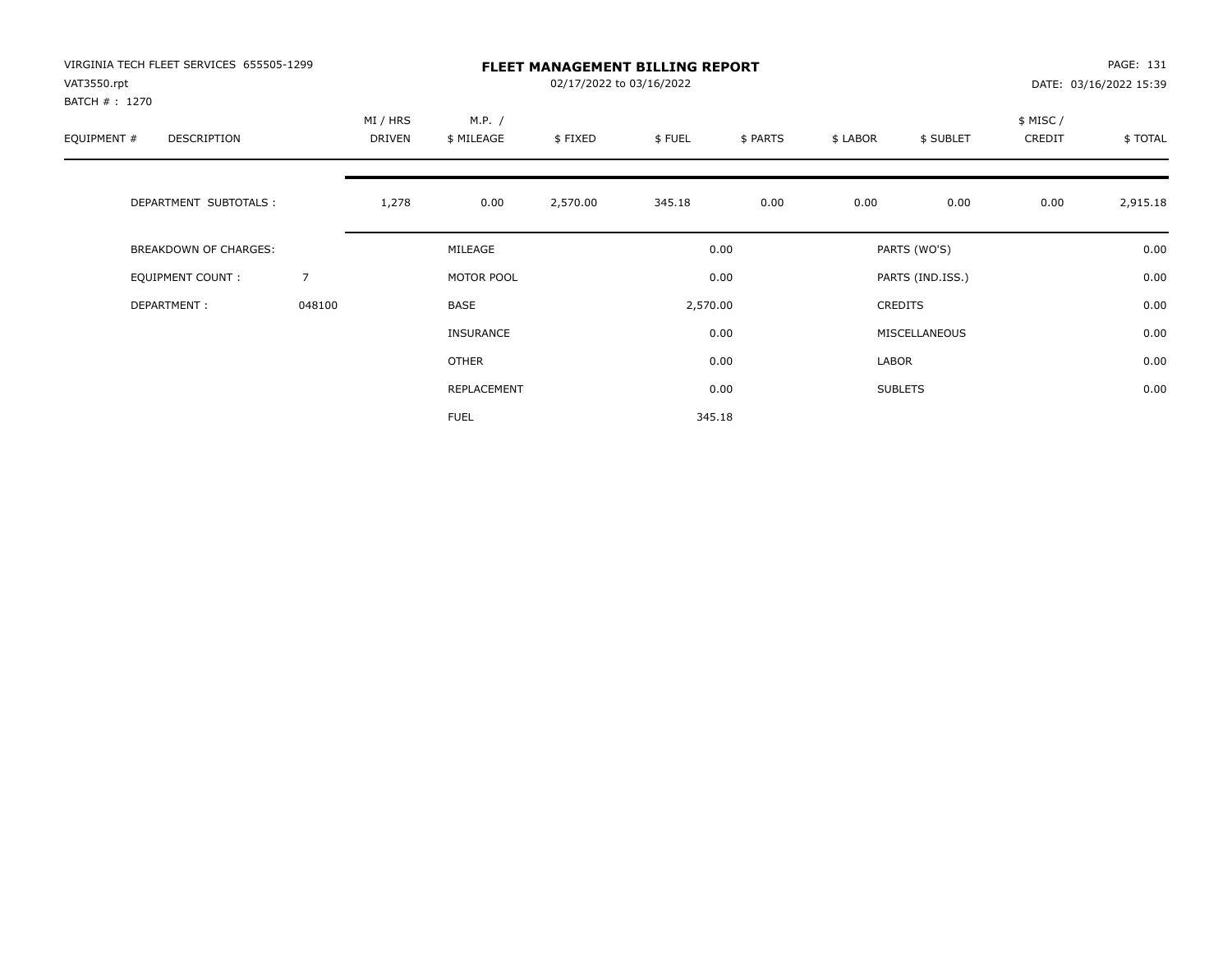| VIRGINIA TECH FLEET SERVICES 655505-1299<br>VAT3550.rpt<br>BATCH # : 1270 |                | <b>FLEET MANAGEMENT BILLING REPORT</b><br>02/17/2022 to 03/16/2022 |                      |          |          |          |          |                  |                    | PAGE: 131<br>DATE: 03/16/2022 15:39 |  |
|---------------------------------------------------------------------------|----------------|--------------------------------------------------------------------|----------------------|----------|----------|----------|----------|------------------|--------------------|-------------------------------------|--|
| EQUIPMENT #<br>DESCRIPTION                                                |                | MI / HRS<br>DRIVEN                                                 | M.P. /<br>\$ MILEAGE | \$FIXED  | \$FUEL   | \$ PARTS | \$ LABOR | \$ SUBLET        | \$ MISC/<br>CREDIT | \$TOTAL                             |  |
| DEPARTMENT SUBTOTALS :                                                    |                | 1,278                                                              | 0.00                 | 2,570.00 | 345.18   | 0.00     | 0.00     | 0.00             | 0.00               | 2,915.18                            |  |
| <b>BREAKDOWN OF CHARGES:</b>                                              |                |                                                                    | MILEAGE              |          |          | 0.00     |          | PARTS (WO'S)     |                    | 0.00                                |  |
| EQUIPMENT COUNT:                                                          | $\overline{7}$ |                                                                    | MOTOR POOL           |          |          | 0.00     |          | PARTS (IND.ISS.) |                    | 0.00                                |  |
| DEPARTMENT:                                                               | 048100         |                                                                    | <b>BASE</b>          |          | 2,570.00 |          |          | <b>CREDITS</b>   |                    | 0.00                                |  |
|                                                                           |                |                                                                    | <b>INSURANCE</b>     |          |          | 0.00     |          | MISCELLANEOUS    |                    | 0.00                                |  |
|                                                                           |                |                                                                    | <b>OTHER</b>         |          |          | 0.00     | LABOR    |                  |                    | 0.00                                |  |
|                                                                           |                |                                                                    | REPLACEMENT          |          |          | 0.00     |          | <b>SUBLETS</b>   |                    | 0.00                                |  |
|                                                                           |                |                                                                    | <b>FUEL</b>          |          |          | 345.18   |          |                  |                    |                                     |  |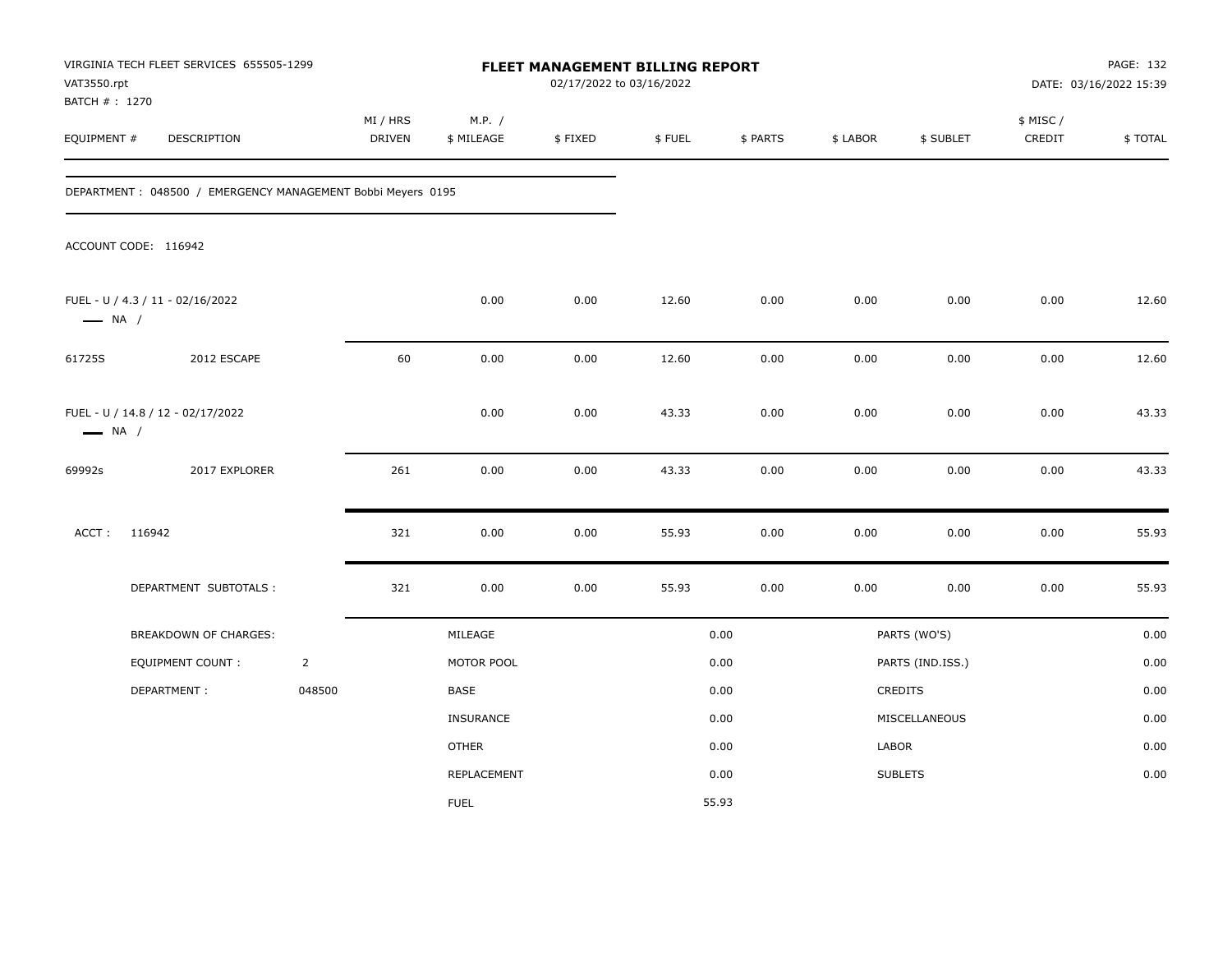| VAT3550.rpt<br>BATCH #: 1270 | VIRGINIA TECH FLEET SERVICES 655505-1299                    |                |                           |                      | FLEET MANAGEMENT BILLING REPORT<br>02/17/2022 to 03/16/2022 |        |          |          |                  |                     | PAGE: 132<br>DATE: 03/16/2022 15:39 |
|------------------------------|-------------------------------------------------------------|----------------|---------------------------|----------------------|-------------------------------------------------------------|--------|----------|----------|------------------|---------------------|-------------------------------------|
| EQUIPMENT #                  | DESCRIPTION                                                 |                | MI / HRS<br><b>DRIVEN</b> | M.P. /<br>\$ MILEAGE | \$FIXED                                                     | \$FUEL | \$ PARTS | \$ LABOR | \$ SUBLET        | \$ MISC /<br>CREDIT | \$TOTAL                             |
|                              | DEPARTMENT: 048500 / EMERGENCY MANAGEMENT Bobbi Meyers 0195 |                |                           |                      |                                                             |        |          |          |                  |                     |                                     |
|                              | ACCOUNT CODE: 116942                                        |                |                           |                      |                                                             |        |          |          |                  |                     |                                     |
| $\longrightarrow$ NA /       | FUEL - U / 4.3 / 11 - 02/16/2022                            |                |                           | 0.00                 | 0.00                                                        | 12.60  | 0.00     | 0.00     | 0.00             | 0.00                | 12.60                               |
| 61725S                       | 2012 ESCAPE                                                 |                | 60                        | 0.00                 | 0.00                                                        | 12.60  | 0.00     | 0.00     | 0.00             | 0.00                | 12.60                               |
| $\longrightarrow$ NA /       | FUEL - U / 14.8 / 12 - 02/17/2022                           |                |                           | 0.00                 | 0.00                                                        | 43.33  | 0.00     | 0.00     | 0.00             | 0.00                | 43.33                               |
| 69992s                       | 2017 EXPLORER                                               |                | 261                       | 0.00                 | 0.00                                                        | 43.33  | 0.00     | 0.00     | 0.00             | 0.00                | 43.33                               |
| ACCT:                        | 116942                                                      |                | 321                       | 0.00                 | 0.00                                                        | 55.93  | 0.00     | 0.00     | 0.00             | 0.00                | 55.93                               |
|                              | DEPARTMENT SUBTOTALS :                                      |                | 321                       | 0.00                 | 0.00                                                        | 55.93  | 0.00     | 0.00     | 0.00             | 0.00                | 55.93                               |
|                              | BREAKDOWN OF CHARGES:                                       |                |                           | MILEAGE              |                                                             |        | 0.00     |          | PARTS (WO'S)     |                     | 0.00                                |
|                              | EQUIPMENT COUNT:                                            | $\overline{2}$ |                           | MOTOR POOL           |                                                             |        | 0.00     |          | PARTS (IND.ISS.) |                     | 0.00                                |
|                              | DEPARTMENT:                                                 | 048500         |                           | BASE                 |                                                             |        | 0.00     |          | CREDITS          |                     | 0.00                                |
|                              |                                                             |                |                           | <b>INSURANCE</b>     |                                                             |        | 0.00     |          | MISCELLANEOUS    |                     | 0.00                                |
|                              |                                                             |                |                           | <b>OTHER</b>         |                                                             |        | 0.00     | LABOR    |                  |                     | 0.00                                |
|                              |                                                             |                |                           | <b>REPLACEMENT</b>   |                                                             |        | 0.00     |          | <b>SUBLETS</b>   |                     | 0.00                                |
|                              |                                                             |                |                           | <b>FUEL</b>          |                                                             |        | 55.93    |          |                  |                     |                                     |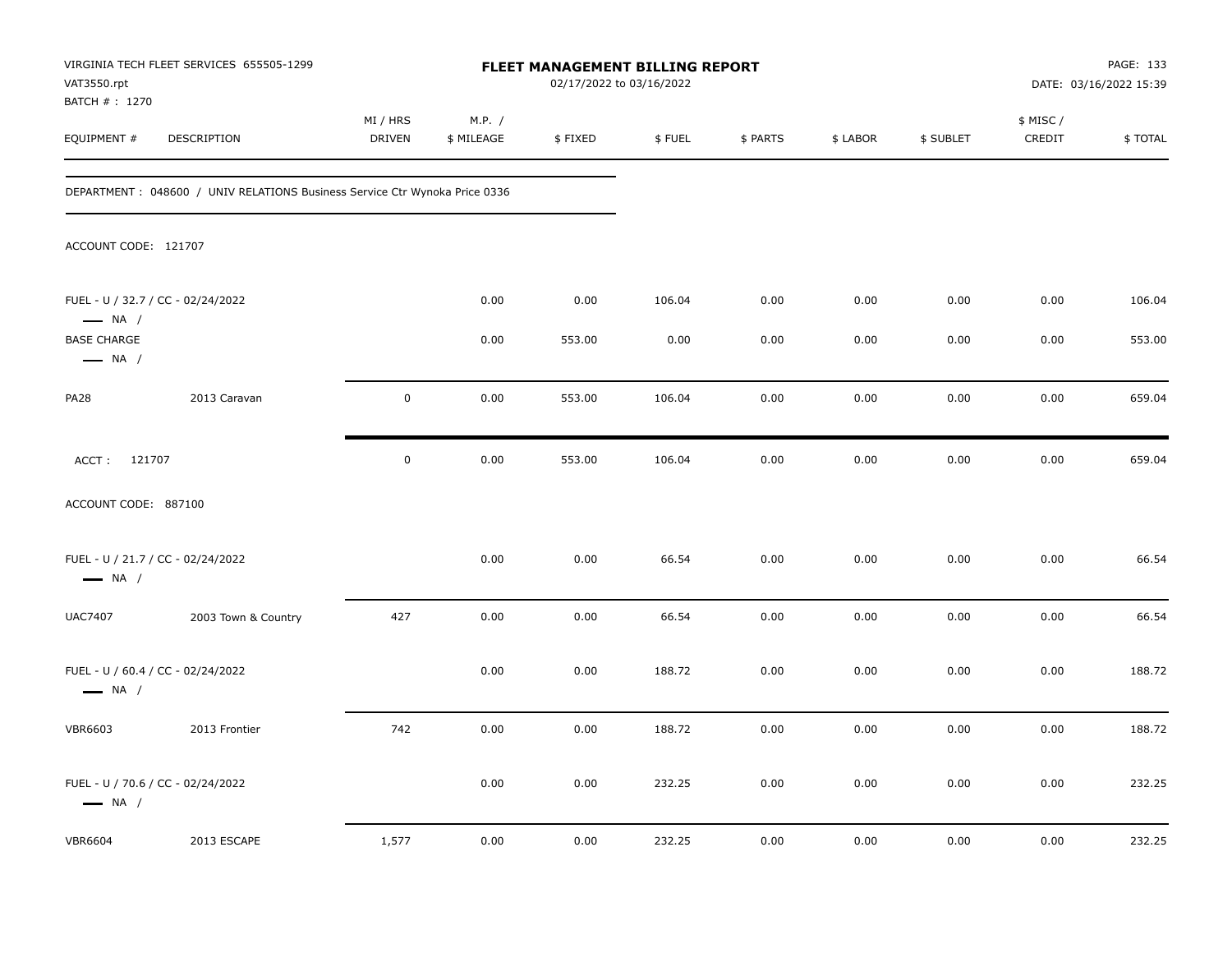| VAT3550.rpt                                  | VIRGINIA TECH FLEET SERVICES 655505-1299                                   |                           |                      | FLEET MANAGEMENT BILLING REPORT | 02/17/2022 to 03/16/2022 |          |          |           |                     | PAGE: 133<br>DATE: 03/16/2022 15:39 |
|----------------------------------------------|----------------------------------------------------------------------------|---------------------------|----------------------|---------------------------------|--------------------------|----------|----------|-----------|---------------------|-------------------------------------|
| BATCH # : 1270<br>EQUIPMENT #                | DESCRIPTION                                                                | MI / HRS<br><b>DRIVEN</b> | M.P. /<br>\$ MILEAGE | \$FIXED                         | \$FUEL                   | \$ PARTS | \$ LABOR | \$ SUBLET | \$ MISC /<br>CREDIT | \$TOTAL                             |
|                                              | DEPARTMENT: 048600 / UNIV RELATIONS Business Service Ctr Wynoka Price 0336 |                           |                      |                                 |                          |          |          |           |                     |                                     |
| ACCOUNT CODE: 121707                         |                                                                            |                           |                      |                                 |                          |          |          |           |                     |                                     |
| $\longrightarrow$ NA /                       | FUEL - U / 32.7 / CC - 02/24/2022                                          |                           | 0.00                 | 0.00                            | 106.04                   | 0.00     | 0.00     | 0.00      | 0.00                | 106.04                              |
| <b>BASE CHARGE</b><br>$\longrightarrow$ NA / |                                                                            |                           | 0.00                 | 553.00                          | 0.00                     | 0.00     | 0.00     | 0.00      | 0.00                | 553.00                              |
| <b>PA28</b>                                  | 2013 Caravan                                                               | $\mathbf 0$               | 0.00                 | 553.00                          | 106.04                   | 0.00     | 0.00     | 0.00      | 0.00                | 659.04                              |
| ACCT: 121707                                 |                                                                            | $\pmb{0}$                 | 0.00                 | 553.00                          | 106.04                   | 0.00     | 0.00     | 0.00      | 0.00                | 659.04                              |
| ACCOUNT CODE: 887100                         |                                                                            |                           |                      |                                 |                          |          |          |           |                     |                                     |
| $\longrightarrow$ NA /                       | FUEL - U / 21.7 / CC - 02/24/2022                                          |                           | 0.00                 | 0.00                            | 66.54                    | 0.00     | 0.00     | 0.00      | 0.00                | 66.54                               |
| <b>UAC7407</b>                               | 2003 Town & Country                                                        | 427                       | 0.00                 | 0.00                            | 66.54                    | 0.00     | 0.00     | 0.00      | 0.00                | 66.54                               |
| $\longrightarrow$ NA /                       | FUEL - U / 60.4 / CC - 02/24/2022                                          |                           | 0.00                 | 0.00                            | 188.72                   | 0.00     | 0.00     | 0.00      | 0.00                | 188.72                              |
| <b>VBR6603</b>                               | 2013 Frontier                                                              | 742                       | 0.00                 | 0.00                            | 188.72                   | 0.00     | 0.00     | 0.00      | 0.00                | 188.72                              |
| $\longrightarrow$ NA /                       | FUEL - U / 70.6 / CC - 02/24/2022                                          |                           | 0.00                 | 0.00                            | 232.25                   | 0.00     | 0.00     | 0.00      | 0.00                | 232.25                              |
| <b>VBR6604</b>                               | 2013 ESCAPE                                                                | 1,577                     | 0.00                 | 0.00                            | 232.25                   | 0.00     | 0.00     | 0.00      | 0.00                | 232.25                              |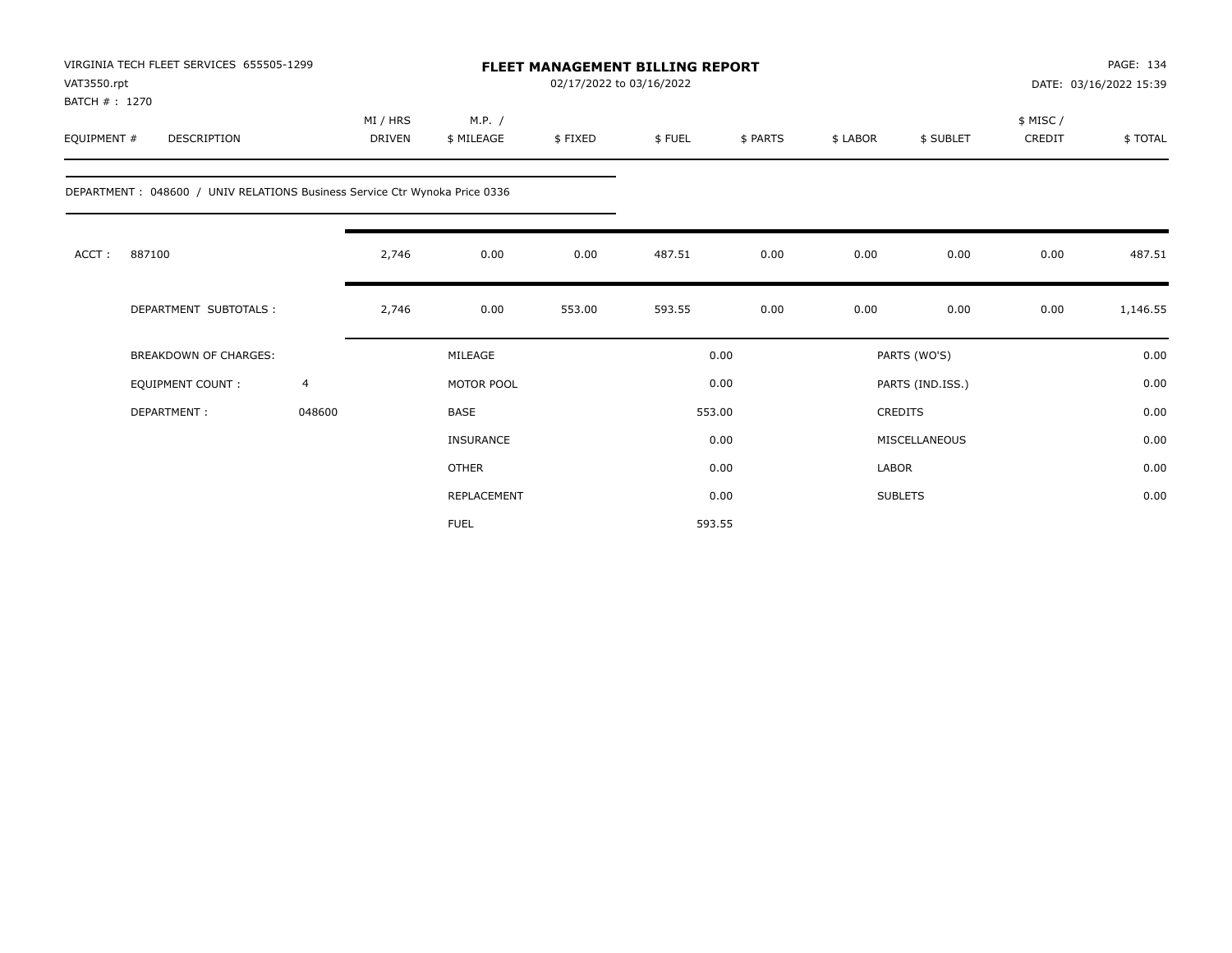| VAT3550.rpt<br>BATCH #: 1270 | VIRGINIA TECH FLEET SERVICES 655505-1299                                    |                |                           |                      |         | <b>FLEET MANAGEMENT BILLING REPORT</b><br>02/17/2022 to 03/16/2022 |          |          |                  |                     | PAGE: 134<br>DATE: 03/16/2022 15:39 |  |
|------------------------------|-----------------------------------------------------------------------------|----------------|---------------------------|----------------------|---------|--------------------------------------------------------------------|----------|----------|------------------|---------------------|-------------------------------------|--|
| EQUIPMENT #                  | <b>DESCRIPTION</b>                                                          |                | MI / HRS<br><b>DRIVEN</b> | M.P. /<br>\$ MILEAGE | \$FIXED | \$FUEL                                                             | \$ PARTS | \$ LABOR | \$ SUBLET        | \$ MISC /<br>CREDIT | \$TOTAL                             |  |
|                              | DEPARTMENT : 048600 / UNIV RELATIONS Business Service Ctr Wynoka Price 0336 |                |                           |                      |         |                                                                    |          |          |                  |                     |                                     |  |
| ACCT:                        | 887100                                                                      |                | 2,746                     | 0.00                 | 0.00    | 487.51                                                             | 0.00     | 0.00     | 0.00             | 0.00                | 487.51                              |  |
|                              | DEPARTMENT SUBTOTALS :                                                      |                | 2,746                     | 0.00                 | 553.00  | 593.55                                                             | 0.00     | 0.00     | 0.00             | 0.00                | 1,146.55                            |  |
|                              | <b>BREAKDOWN OF CHARGES:</b>                                                |                |                           | MILEAGE              |         |                                                                    | 0.00     |          | PARTS (WO'S)     |                     | 0.00                                |  |
|                              | EQUIPMENT COUNT:                                                            | $\overline{4}$ |                           | MOTOR POOL           |         |                                                                    | 0.00     |          | PARTS (IND.ISS.) |                     | 0.00                                |  |
|                              | DEPARTMENT:                                                                 | 048600         |                           | <b>BASE</b>          |         |                                                                    | 553.00   |          | CREDITS          |                     | 0.00                                |  |
|                              |                                                                             |                |                           | <b>INSURANCE</b>     |         |                                                                    | 0.00     |          | MISCELLANEOUS    |                     | 0.00                                |  |
|                              |                                                                             |                |                           | <b>OTHER</b>         |         |                                                                    | 0.00     | LABOR    |                  |                     | 0.00                                |  |
|                              |                                                                             |                |                           | REPLACEMENT          |         |                                                                    | 0.00     |          | <b>SUBLETS</b>   |                     | 0.00                                |  |
|                              |                                                                             |                |                           | <b>FUEL</b>          |         |                                                                    | 593.55   |          |                  |                     |                                     |  |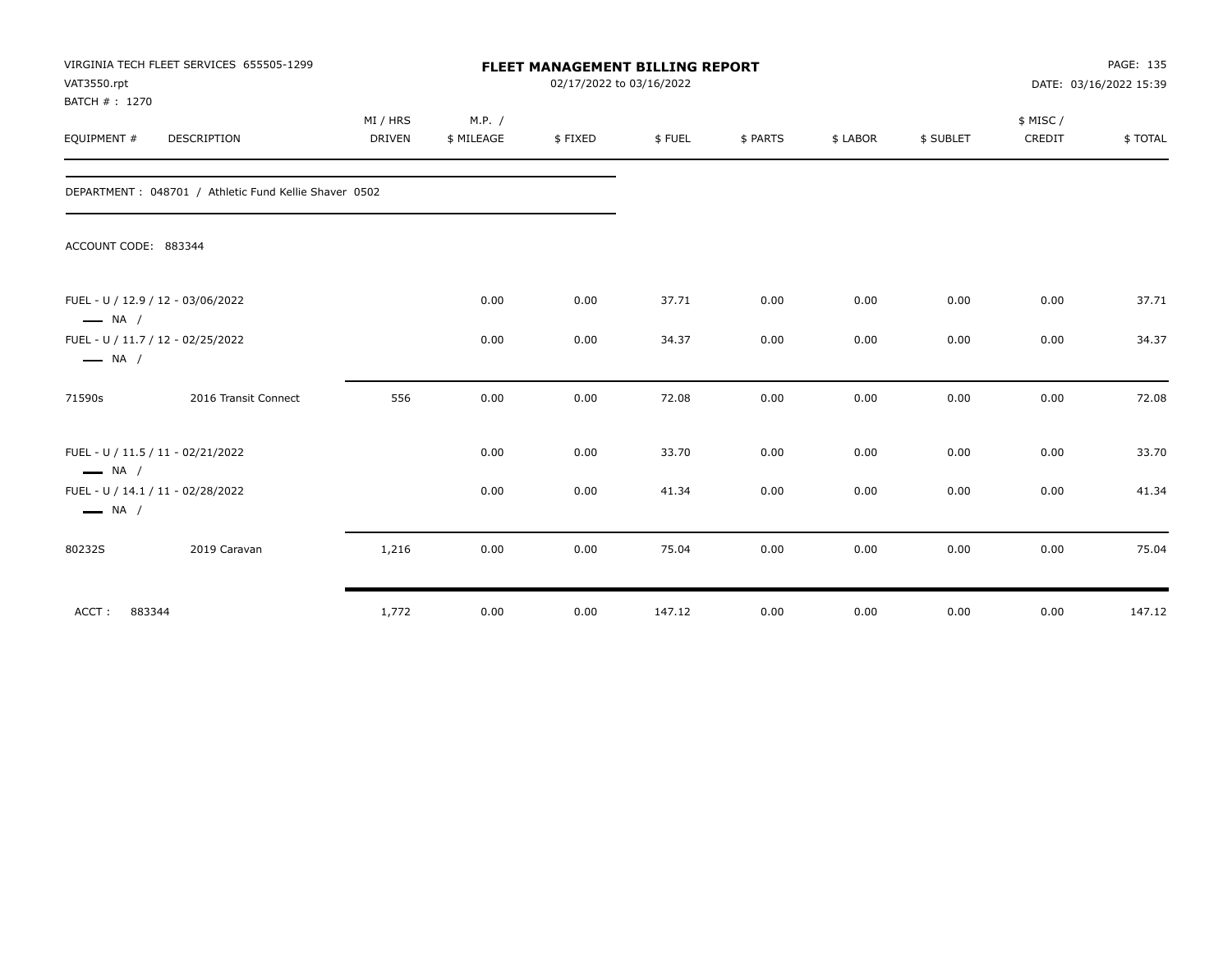| VAT3550.rpt<br>BATCH #: 1270 | VIRGINIA TECH FLEET SERVICES 655505-1299               |                           | <b>FLEET MANAGEMENT BILLING REPORT</b><br>02/17/2022 to 03/16/2022 |         |        |          |          |           |                     |         |
|------------------------------|--------------------------------------------------------|---------------------------|--------------------------------------------------------------------|---------|--------|----------|----------|-----------|---------------------|---------|
| EQUIPMENT #                  | DESCRIPTION                                            | MI / HRS<br><b>DRIVEN</b> | M.P. /<br>\$ MILEAGE                                               | \$FIXED | \$FUEL | \$ PARTS | \$ LABOR | \$ SUBLET | \$ MISC /<br>CREDIT | \$TOTAL |
|                              | DEPARTMENT : 048701 / Athletic Fund Kellie Shaver 0502 |                           |                                                                    |         |        |          |          |           |                     |         |
| ACCOUNT CODE: 883344         |                                                        |                           |                                                                    |         |        |          |          |           |                     |         |
| $\longrightarrow$ NA /       | FUEL - U / 12.9 / 12 - 03/06/2022                      |                           | 0.00                                                               | 0.00    | 37.71  | 0.00     | 0.00     | 0.00      | 0.00                | 37.71   |
| $\longrightarrow$ NA /       | FUEL - U / 11.7 / 12 - 02/25/2022                      |                           | 0.00                                                               | 0.00    | 34.37  | 0.00     | 0.00     | 0.00      | 0.00                | 34.37   |
| 71590s                       | 2016 Transit Connect                                   | 556                       | 0.00                                                               | 0.00    | 72.08  | 0.00     | 0.00     | 0.00      | 0.00                | 72.08   |
| $\longrightarrow$ NA /       | FUEL - U / 11.5 / 11 - 02/21/2022                      |                           | 0.00                                                               | 0.00    | 33.70  | 0.00     | 0.00     | 0.00      | 0.00                | 33.70   |
| $\longrightarrow$ NA /       | FUEL - U / 14.1 / 11 - 02/28/2022                      |                           | 0.00                                                               | 0.00    | 41.34  | 0.00     | 0.00     | 0.00      | 0.00                | 41.34   |
| 80232S                       | 2019 Caravan                                           | 1,216                     | 0.00                                                               | 0.00    | 75.04  | 0.00     | 0.00     | 0.00      | 0.00                | 75.04   |
| ACCT:<br>883344              |                                                        | 1,772                     | 0.00                                                               | 0.00    | 147.12 | 0.00     | 0.00     | 0.00      | 0.00                | 147.12  |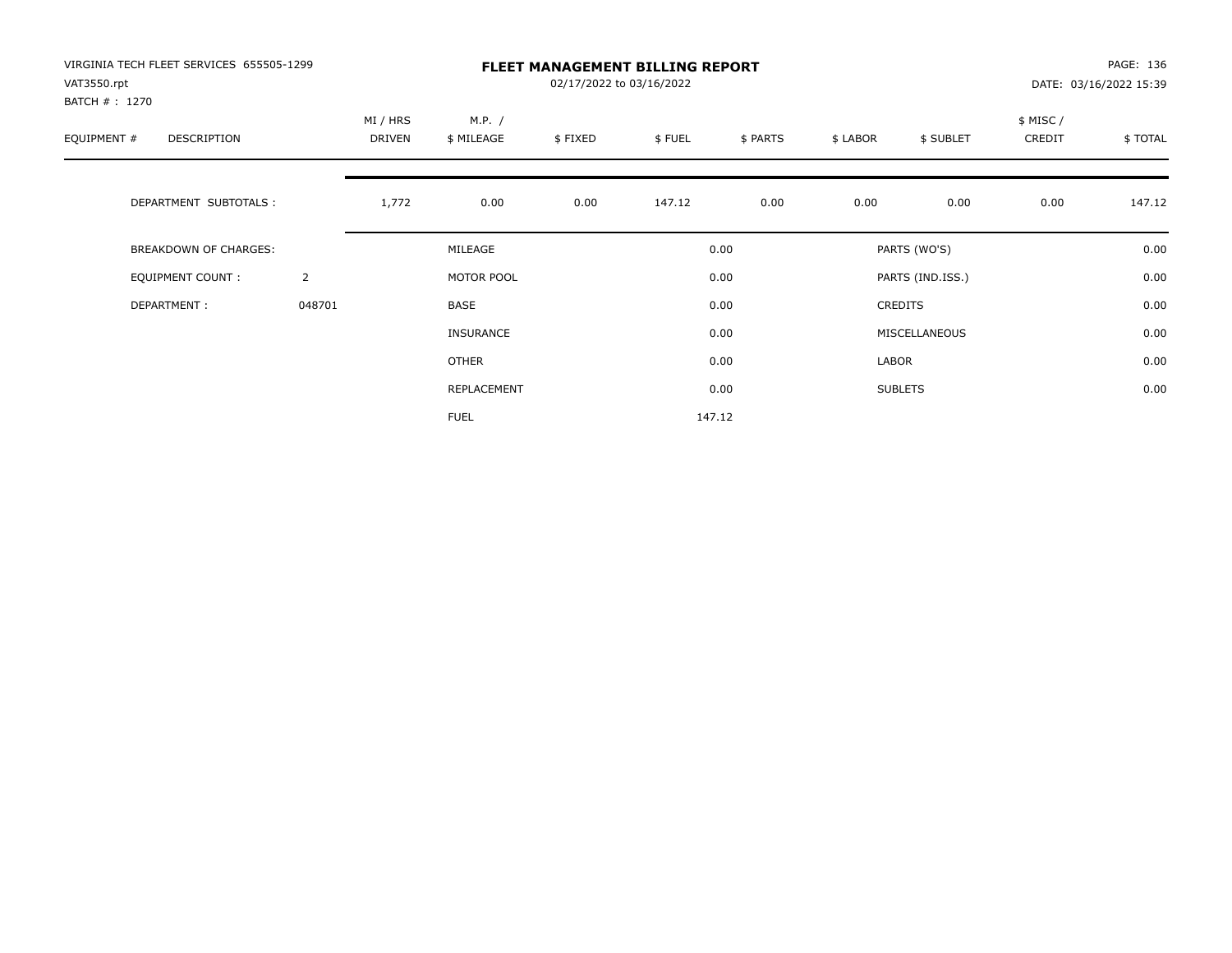| VIRGINIA TECH FLEET SERVICES 655505-1299<br>VAT3550.rpt<br>BATCH # : 1270 |                |                           |                      | 02/17/2022 to 03/16/2022 | <b>FLEET MANAGEMENT BILLING REPORT</b> |          |          |                  |                    | PAGE: 136<br>DATE: 03/16/2022 15:39 |
|---------------------------------------------------------------------------|----------------|---------------------------|----------------------|--------------------------|----------------------------------------|----------|----------|------------------|--------------------|-------------------------------------|
| EQUIPMENT #<br>DESCRIPTION                                                |                | MI / HRS<br><b>DRIVEN</b> | M.P. /<br>\$ MILEAGE | \$FIXED                  | \$FUEL                                 | \$ PARTS | \$ LABOR | \$ SUBLET        | \$ MISC/<br>CREDIT | \$TOTAL                             |
| DEPARTMENT SUBTOTALS :                                                    |                | 1,772                     | 0.00                 | 0.00                     | 147.12                                 | 0.00     | 0.00     | 0.00             | 0.00               | 147.12                              |
| <b>BREAKDOWN OF CHARGES:</b>                                              |                |                           | MILEAGE              |                          |                                        | 0.00     |          | PARTS (WO'S)     |                    | 0.00                                |
| EQUIPMENT COUNT:                                                          | $\overline{2}$ |                           | MOTOR POOL           |                          |                                        | 0.00     |          | PARTS (IND.ISS.) |                    | 0.00                                |
| DEPARTMENT:                                                               | 048701         |                           | <b>BASE</b>          |                          |                                        | 0.00     |          | <b>CREDITS</b>   |                    | 0.00                                |
|                                                                           |                |                           | <b>INSURANCE</b>     |                          |                                        | 0.00     |          | MISCELLANEOUS    |                    | 0.00                                |
|                                                                           |                |                           | <b>OTHER</b>         |                          |                                        | 0.00     | LABOR    |                  |                    | 0.00                                |
|                                                                           |                |                           | REPLACEMENT          |                          |                                        | 0.00     |          | <b>SUBLETS</b>   |                    | 0.00                                |
|                                                                           |                |                           | <b>FUEL</b>          |                          |                                        | 147.12   |          |                  |                    |                                     |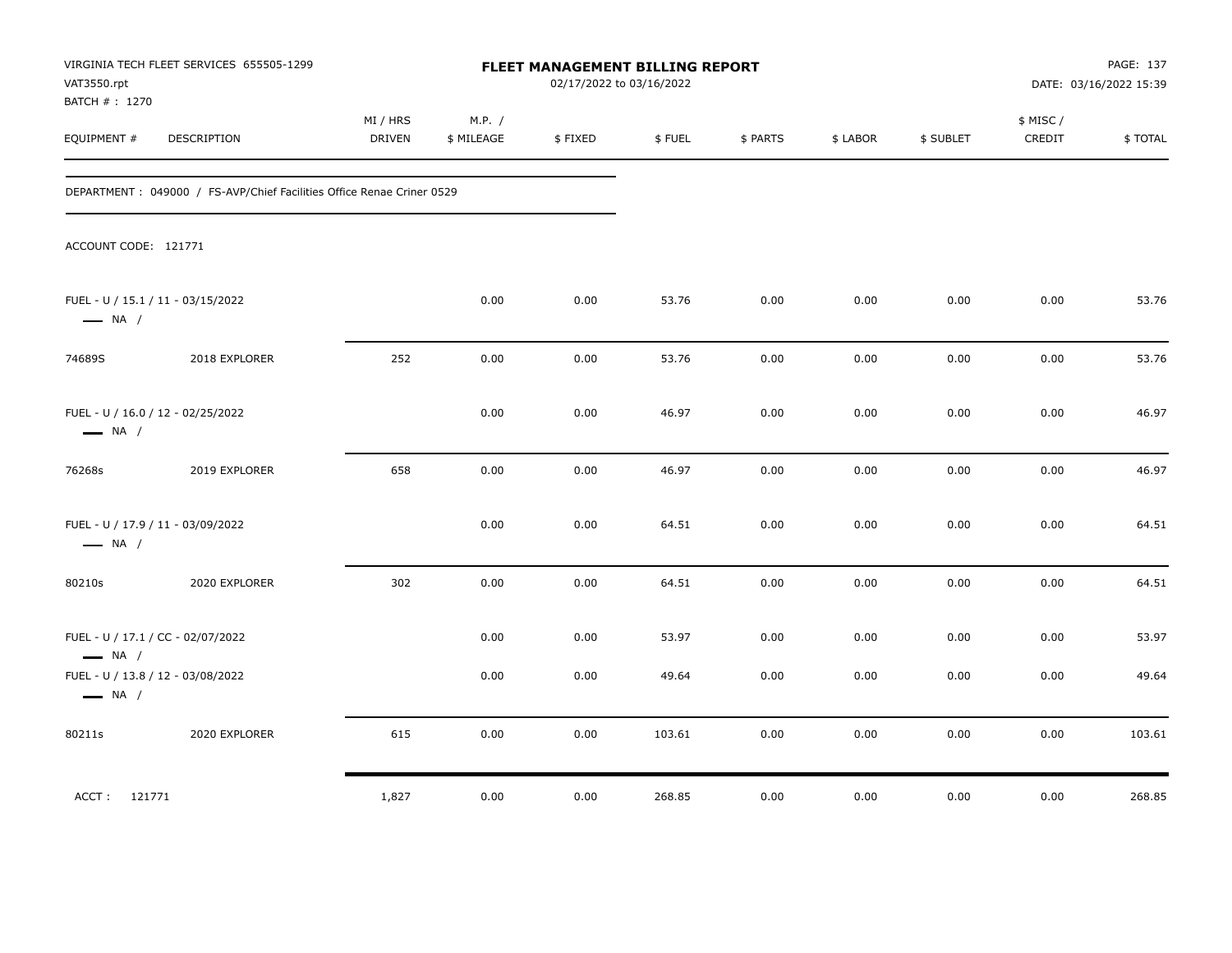| VAT3550.rpt<br>BATCH # : 1270                                                                    | VIRGINIA TECH FLEET SERVICES 655505-1299                               | <b>FLEET MANAGEMENT BILLING REPORT</b><br>02/17/2022 to 03/16/2022 |                      |              |                |              |              |              |                     | PAGE: 137<br>DATE: 03/16/2022 15:39 |  |
|--------------------------------------------------------------------------------------------------|------------------------------------------------------------------------|--------------------------------------------------------------------|----------------------|--------------|----------------|--------------|--------------|--------------|---------------------|-------------------------------------|--|
| EQUIPMENT #                                                                                      | DESCRIPTION                                                            | MI / HRS<br>DRIVEN                                                 | M.P. /<br>\$ MILEAGE | \$FIXED      | \$FUEL         | \$ PARTS     | \$LABOR      | \$ SUBLET    | \$ MISC /<br>CREDIT | \$TOTAL                             |  |
|                                                                                                  | DEPARTMENT : 049000 / FS-AVP/Chief Facilities Office Renae Criner 0529 |                                                                    |                      |              |                |              |              |              |                     |                                     |  |
| ACCOUNT CODE: 121771                                                                             |                                                                        |                                                                    |                      |              |                |              |              |              |                     |                                     |  |
| FUEL - U / 15.1 / 11 - 03/15/2022<br>$\longrightarrow$ NA /                                      |                                                                        |                                                                    | 0.00                 | 0.00         | 53.76          | 0.00         | 0.00         | 0.00         | 0.00                | 53.76                               |  |
| 74689S                                                                                           | 2018 EXPLORER                                                          | 252                                                                | 0.00                 | 0.00         | 53.76          | 0.00         | 0.00         | 0.00         | 0.00                | 53.76                               |  |
| FUEL - U / 16.0 / 12 - 02/25/2022<br>$\longrightarrow$ NA /                                      |                                                                        |                                                                    | 0.00                 | 0.00         | 46.97          | 0.00         | 0.00         | 0.00         | 0.00                | 46.97                               |  |
| 76268s                                                                                           | 2019 EXPLORER                                                          | 658                                                                | 0.00                 | 0.00         | 46.97          | 0.00         | 0.00         | 0.00         | 0.00                | 46.97                               |  |
| FUEL - U / 17.9 / 11 - 03/09/2022<br>$\longrightarrow$ NA /                                      |                                                                        |                                                                    | 0.00                 | 0.00         | 64.51          | 0.00         | 0.00         | 0.00         | 0.00                | 64.51                               |  |
| 80210s                                                                                           | 2020 EXPLORER                                                          | 302                                                                | 0.00                 | 0.00         | 64.51          | 0.00         | 0.00         | 0.00         | 0.00                | 64.51                               |  |
| FUEL - U / 17.1 / CC - 02/07/2022<br>$\longrightarrow$ NA /<br>FUEL - U / 13.8 / 12 - 03/08/2022 |                                                                        |                                                                    | 0.00<br>0.00         | 0.00<br>0.00 | 53.97<br>49.64 | 0.00<br>0.00 | 0.00<br>0.00 | 0.00<br>0.00 | 0.00<br>0.00        | 53.97<br>49.64                      |  |
| $\longrightarrow$ NA /                                                                           |                                                                        |                                                                    |                      |              |                |              |              |              |                     |                                     |  |
| 80211s                                                                                           | 2020 EXPLORER                                                          | 615                                                                | 0.00                 | 0.00         | 103.61         | 0.00         | 0.00         | 0.00         | 0.00                | 103.61                              |  |
| ACCT: 121771                                                                                     |                                                                        | 1,827                                                              | 0.00                 | 0.00         | 268.85         | 0.00         | 0.00         | 0.00         | 0.00                | 268.85                              |  |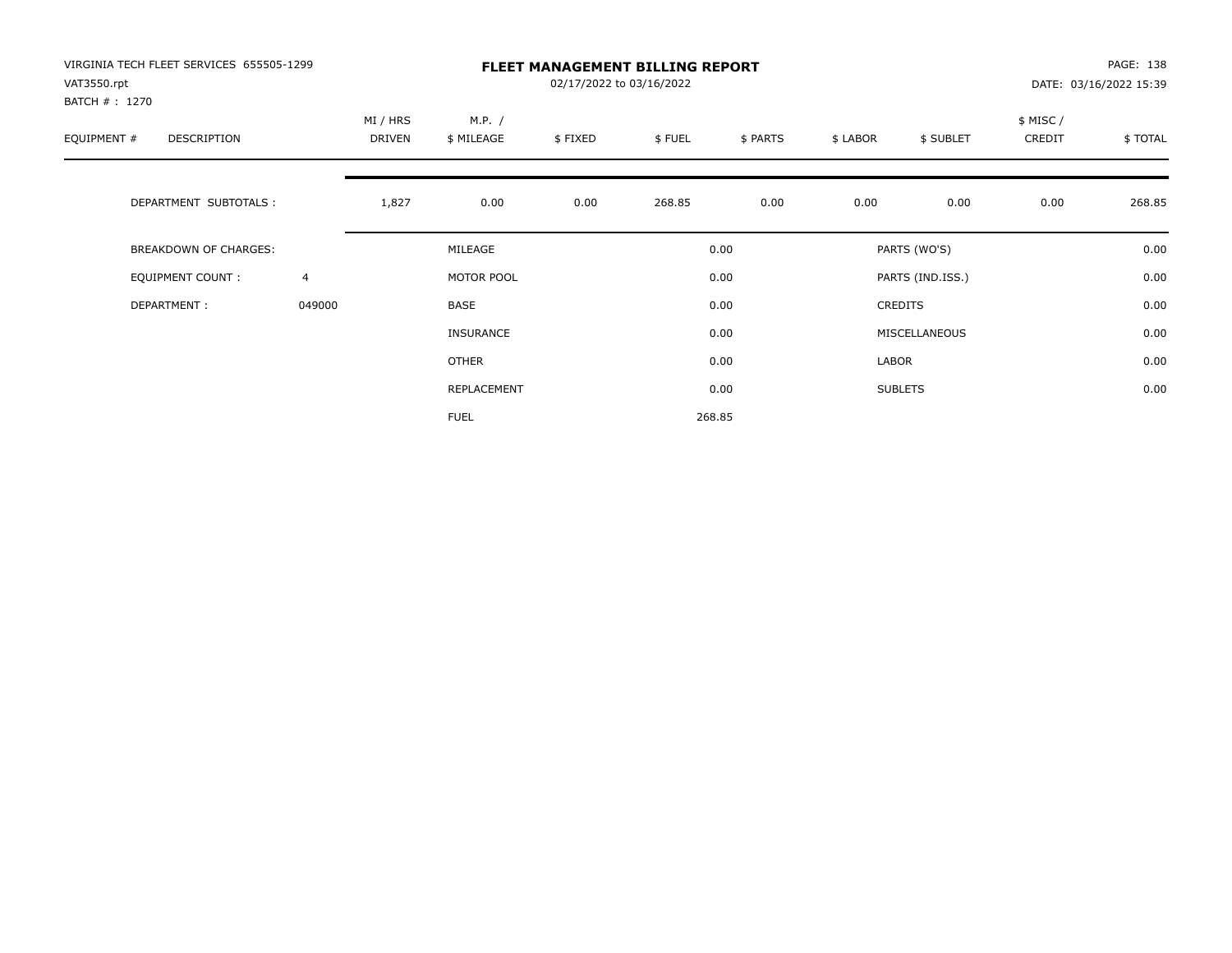| VIRGINIA TECH FLEET SERVICES 655505-1299<br>VAT3550.rpt |                |                    | <b>FLEET MANAGEMENT BILLING REPORT</b><br>02/17/2022 to 03/16/2022<br>DATE: 03/16/2022 15:39 |         |        |          |          |                  |                    |         |
|---------------------------------------------------------|----------------|--------------------|----------------------------------------------------------------------------------------------|---------|--------|----------|----------|------------------|--------------------|---------|
| BATCH #: 1270<br>EQUIPMENT #<br>DESCRIPTION             |                | MI / HRS<br>DRIVEN | M.P. /<br>\$ MILEAGE                                                                         | \$FIXED | \$FUEL | \$ PARTS | \$ LABOR | \$ SUBLET        | \$ MISC/<br>CREDIT | \$TOTAL |
| DEPARTMENT SUBTOTALS :                                  |                | 1,827              | 0.00                                                                                         | 0.00    | 268.85 | 0.00     | 0.00     | 0.00             | 0.00               | 268.85  |
| <b>BREAKDOWN OF CHARGES:</b>                            |                |                    | MILEAGE                                                                                      |         |        | 0.00     |          | PARTS (WO'S)     |                    | 0.00    |
| EQUIPMENT COUNT:                                        | $\overline{4}$ |                    | MOTOR POOL                                                                                   |         |        | 0.00     |          | PARTS (IND.ISS.) |                    | 0.00    |
| DEPARTMENT:                                             | 049000         |                    | <b>BASE</b>                                                                                  |         |        | 0.00     |          | <b>CREDITS</b>   |                    | 0.00    |
|                                                         |                |                    | <b>INSURANCE</b>                                                                             |         |        | 0.00     |          | MISCELLANEOUS    |                    | 0.00    |
|                                                         |                |                    | <b>OTHER</b>                                                                                 |         |        | 0.00     | LABOR    |                  |                    | 0.00    |
|                                                         |                |                    | REPLACEMENT                                                                                  |         |        | 0.00     |          | <b>SUBLETS</b>   |                    | 0.00    |
|                                                         |                |                    | <b>FUEL</b>                                                                                  |         |        | 268.85   |          |                  |                    |         |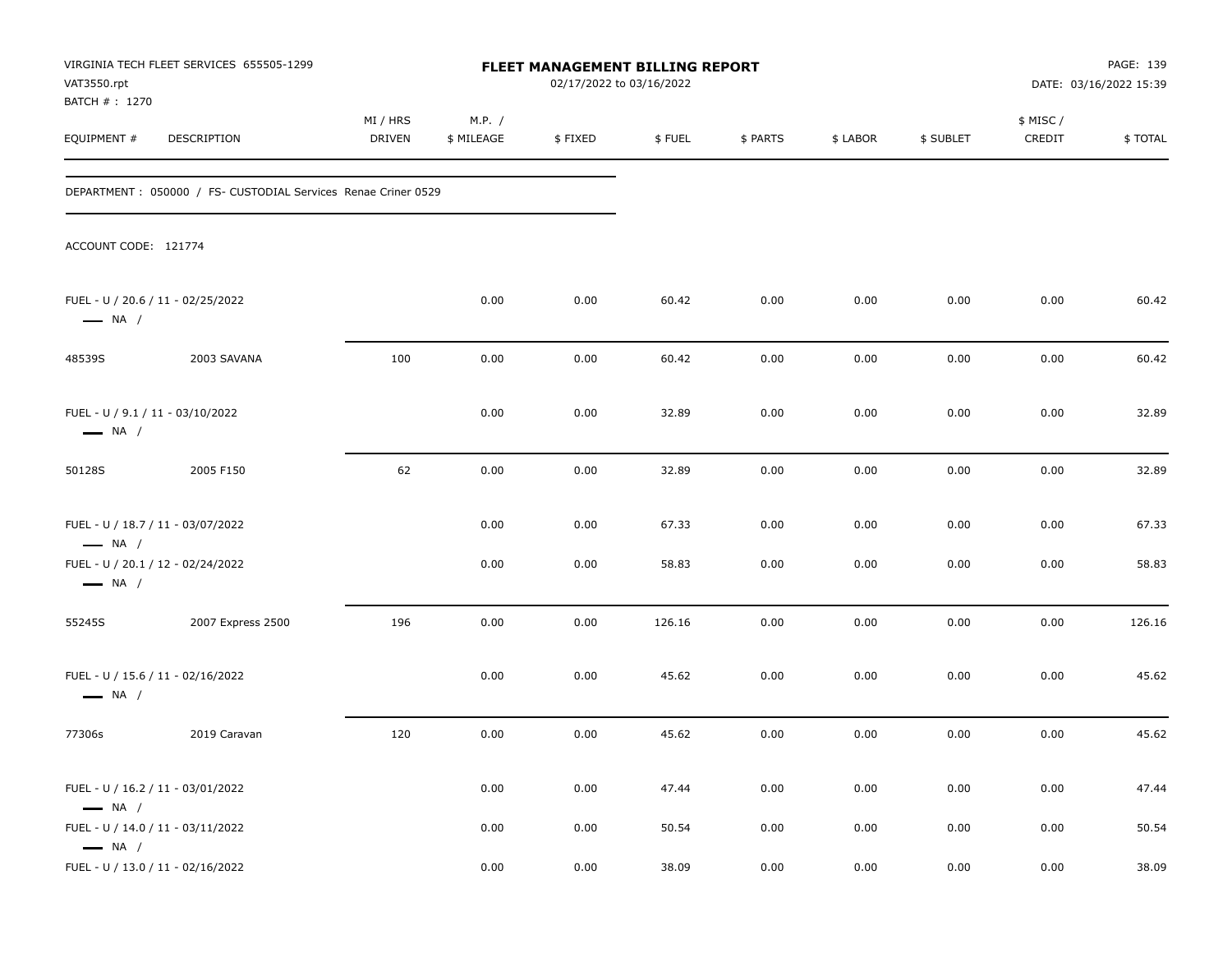| VAT3550.rpt<br>BATCH #: 1270                               | VIRGINIA TECH FLEET SERVICES 655505-1299                       |                           |                      | FLEET MANAGEMENT BILLING REPORT<br>02/17/2022 to 03/16/2022 |        |          |          |           |                     | PAGE: 139<br>DATE: 03/16/2022 15:39 |
|------------------------------------------------------------|----------------------------------------------------------------|---------------------------|----------------------|-------------------------------------------------------------|--------|----------|----------|-----------|---------------------|-------------------------------------|
| EQUIPMENT #                                                | DESCRIPTION                                                    | MI / HRS<br><b>DRIVEN</b> | M.P. /<br>\$ MILEAGE | \$FIXED                                                     | \$FUEL | \$ PARTS | \$ LABOR | \$ SUBLET | \$ MISC /<br>CREDIT | \$TOTAL                             |
|                                                            | DEPARTMENT : 050000 / FS- CUSTODIAL Services Renae Criner 0529 |                           |                      |                                                             |        |          |          |           |                     |                                     |
| ACCOUNT CODE: 121774                                       |                                                                |                           |                      |                                                             |        |          |          |           |                     |                                     |
| $\longrightarrow$ NA /                                     | FUEL - U / 20.6 / 11 - 02/25/2022                              |                           | 0.00                 | 0.00                                                        | 60.42  | 0.00     | 0.00     | 0.00      | 0.00                | 60.42                               |
| 48539S                                                     | 2003 SAVANA                                                    | 100                       | 0.00                 | 0.00                                                        | 60.42  | 0.00     | 0.00     | 0.00      | 0.00                | 60.42                               |
| FUEL - U / 9.1 / 11 - 03/10/2022<br>$\longrightarrow$ NA / |                                                                |                           | 0.00                 | 0.00                                                        | 32.89  | 0.00     | 0.00     | 0.00      | 0.00                | 32.89                               |
| 50128S                                                     | 2005 F150                                                      | 62                        | 0.00                 | 0.00                                                        | 32.89  | 0.00     | 0.00     | 0.00      | 0.00                | 32.89                               |
| $\longrightarrow$ NA /                                     | FUEL - U / 18.7 / 11 - 03/07/2022                              |                           | 0.00                 | 0.00                                                        | 67.33  | 0.00     | 0.00     | 0.00      | 0.00                | 67.33                               |
| $\longrightarrow$ NA /                                     | FUEL - U / 20.1 / 12 - 02/24/2022                              |                           | 0.00                 | 0.00                                                        | 58.83  | 0.00     | 0.00     | 0.00      | 0.00                | 58.83                               |
| 55245S                                                     | 2007 Express 2500                                              | 196                       | 0.00                 | 0.00                                                        | 126.16 | 0.00     | 0.00     | 0.00      | 0.00                | 126.16                              |
| $\longrightarrow$ NA /                                     | FUEL - U / 15.6 / 11 - 02/16/2022                              |                           | 0.00                 | 0.00                                                        | 45.62  | 0.00     | 0.00     | 0.00      | 0.00                | 45.62                               |
| 77306s                                                     | 2019 Caravan                                                   | 120                       | 0.00                 | 0.00                                                        | 45.62  | 0.00     | 0.00     | 0.00      | 0.00                | 45.62                               |
| $\longrightarrow$ NA /                                     | FUEL - U / 16.2 / 11 - 03/01/2022                              |                           | 0.00                 | 0.00                                                        | 47.44  | 0.00     | 0.00     | 0.00      | 0.00                | 47.44                               |
| $\longrightarrow$ NA /                                     | FUEL - U / 14.0 / 11 - 03/11/2022                              |                           | 0.00                 | 0.00                                                        | 50.54  | 0.00     | 0.00     | 0.00      | 0.00                | 50.54                               |
|                                                            | FUEL - U / 13.0 / 11 - 02/16/2022                              |                           | 0.00                 | 0.00                                                        | 38.09  | 0.00     | 0.00     | 0.00      | 0.00                | 38.09                               |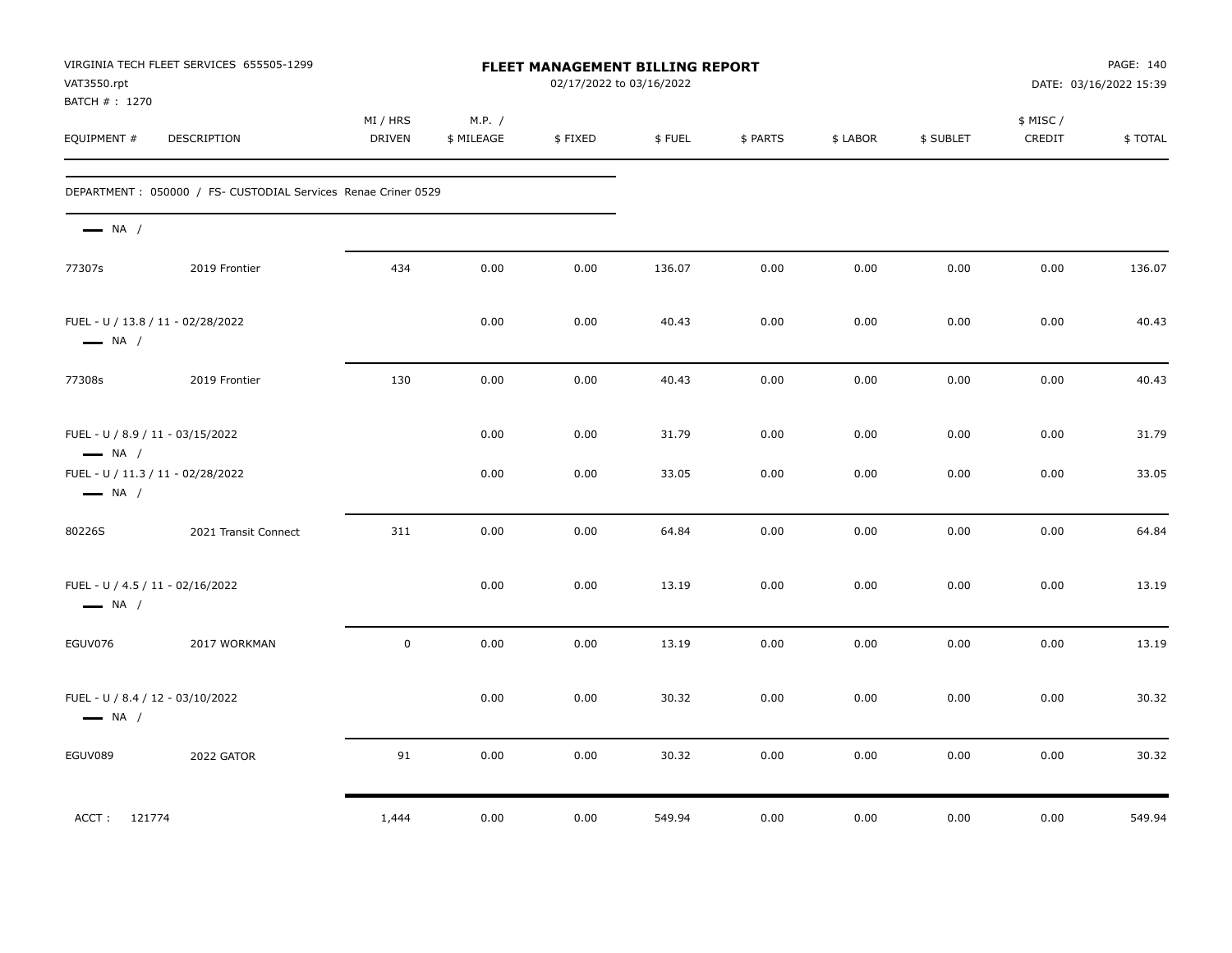| VAT3550.rpt<br>BATCH # : 1270                              | VIRGINIA TECH FLEET SERVICES 655505-1299                       |                           | <b>FLEET MANAGEMENT BILLING REPORT</b><br>02/17/2022 to 03/16/2022 |         |        |          |          |           |                    | PAGE: 140<br>DATE: 03/16/2022 15:39 |  |
|------------------------------------------------------------|----------------------------------------------------------------|---------------------------|--------------------------------------------------------------------|---------|--------|----------|----------|-----------|--------------------|-------------------------------------|--|
| EQUIPMENT #                                                | <b>DESCRIPTION</b>                                             | MI / HRS<br><b>DRIVEN</b> | M.P. /<br>\$ MILEAGE                                               | \$FIXED | \$FUEL | \$ PARTS | \$ LABOR | \$ SUBLET | \$ MISC/<br>CREDIT | \$TOTAL                             |  |
|                                                            | DEPARTMENT : 050000 / FS- CUSTODIAL Services Renae Criner 0529 |                           |                                                                    |         |        |          |          |           |                    |                                     |  |
| $\longrightarrow$ NA /                                     |                                                                |                           |                                                                    |         |        |          |          |           |                    |                                     |  |
| 77307s                                                     | 2019 Frontier                                                  | 434                       | 0.00                                                               | 0.00    | 136.07 | 0.00     | 0.00     | 0.00      | 0.00               | 136.07                              |  |
| $\longrightarrow$ NA /                                     | FUEL - U / 13.8 / 11 - 02/28/2022                              |                           | 0.00                                                               | 0.00    | 40.43  | 0.00     | 0.00     | 0.00      | 0.00               | 40.43                               |  |
| 77308s                                                     | 2019 Frontier                                                  | 130                       | 0.00                                                               | 0.00    | 40.43  | 0.00     | 0.00     | 0.00      | 0.00               | 40.43                               |  |
| FUEL - U / 8.9 / 11 - 03/15/2022<br>$\longrightarrow$ NA / |                                                                |                           | 0.00                                                               | 0.00    | 31.79  | 0.00     | 0.00     | 0.00      | 0.00               | 31.79                               |  |
| $\longrightarrow$ NA /                                     | FUEL - U / 11.3 / 11 - 02/28/2022                              |                           | 0.00                                                               | 0.00    | 33.05  | 0.00     | 0.00     | 0.00      | 0.00               | 33.05                               |  |
| 80226S                                                     | 2021 Transit Connect                                           | 311                       | 0.00                                                               | 0.00    | 64.84  | 0.00     | 0.00     | 0.00      | 0.00               | 64.84                               |  |
| FUEL - U / 4.5 / 11 - 02/16/2022<br>$\longrightarrow$ NA / |                                                                |                           | 0.00                                                               | 0.00    | 13.19  | 0.00     | 0.00     | 0.00      | 0.00               | 13.19                               |  |
| EGUV076                                                    | 2017 WORKMAN                                                   | $\mathsf 0$               | 0.00                                                               | 0.00    | 13.19  | 0.00     | 0.00     | 0.00      | 0.00               | 13.19                               |  |
| FUEL - U / 8.4 / 12 - 03/10/2022<br>$\longrightarrow$ NA / |                                                                |                           | 0.00                                                               | 0.00    | 30.32  | 0.00     | 0.00     | 0.00      | 0.00               | 30.32                               |  |
| EGUV089                                                    | 2022 GATOR                                                     | 91                        | 0.00                                                               | 0.00    | 30.32  | 0.00     | 0.00     | 0.00      | 0.00               | 30.32                               |  |
| ACCT: 121774                                               |                                                                | 1,444                     | 0.00                                                               | 0.00    | 549.94 | 0.00     | 0.00     | 0.00      | 0.00               | 549.94                              |  |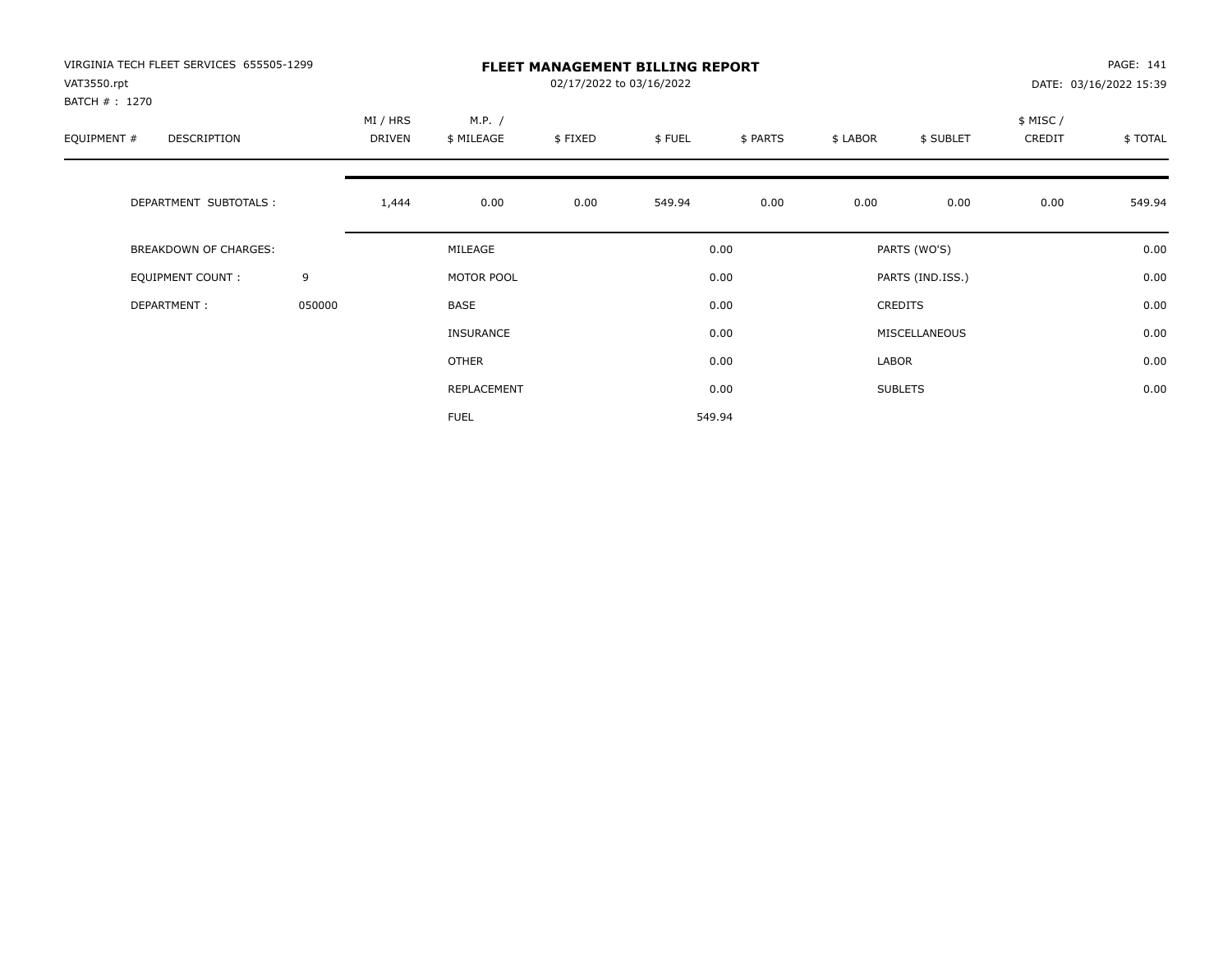| VIRGINIA TECH FLEET SERVICES 655505-1299<br>VAT3550.rpt |        |          |                  | 02/17/2022 to 03/16/2022 | <b>FLEET MANAGEMENT BILLING REPORT</b> |          |          |                  |          | PAGE: 141<br>DATE: 03/16/2022 15:39 |
|---------------------------------------------------------|--------|----------|------------------|--------------------------|----------------------------------------|----------|----------|------------------|----------|-------------------------------------|
| BATCH # : 1270                                          |        | MI / HRS | M.P. /           |                          |                                        |          |          |                  | \$ MISC/ |                                     |
| EQUIPMENT #<br>DESCRIPTION                              |        | DRIVEN   | \$ MILEAGE       | \$FIXED                  | \$FUEL                                 | \$ PARTS | \$ LABOR | \$ SUBLET        | CREDIT   | \$TOTAL                             |
| DEPARTMENT SUBTOTALS :                                  |        | 1,444    | 0.00             | 0.00                     | 549.94                                 | 0.00     | 0.00     | 0.00             | 0.00     | 549.94                              |
| BREAKDOWN OF CHARGES:                                   |        |          | MILEAGE          |                          |                                        | 0.00     |          | PARTS (WO'S)     |          | 0.00                                |
| <b>EQUIPMENT COUNT:</b>                                 | 9      |          | MOTOR POOL       |                          |                                        | 0.00     |          | PARTS (IND.ISS.) |          | 0.00                                |
| DEPARTMENT:                                             | 050000 |          | BASE             |                          |                                        | 0.00     |          | <b>CREDITS</b>   |          | 0.00                                |
|                                                         |        |          | <b>INSURANCE</b> |                          |                                        | 0.00     |          | MISCELLANEOUS    |          | 0.00                                |
|                                                         |        |          | <b>OTHER</b>     |                          |                                        | 0.00     | LABOR    |                  |          | 0.00                                |
|                                                         |        |          | REPLACEMENT      |                          |                                        | 0.00     |          | <b>SUBLETS</b>   |          | 0.00                                |
|                                                         |        |          | <b>FUEL</b>      |                          |                                        | 549.94   |          |                  |          |                                     |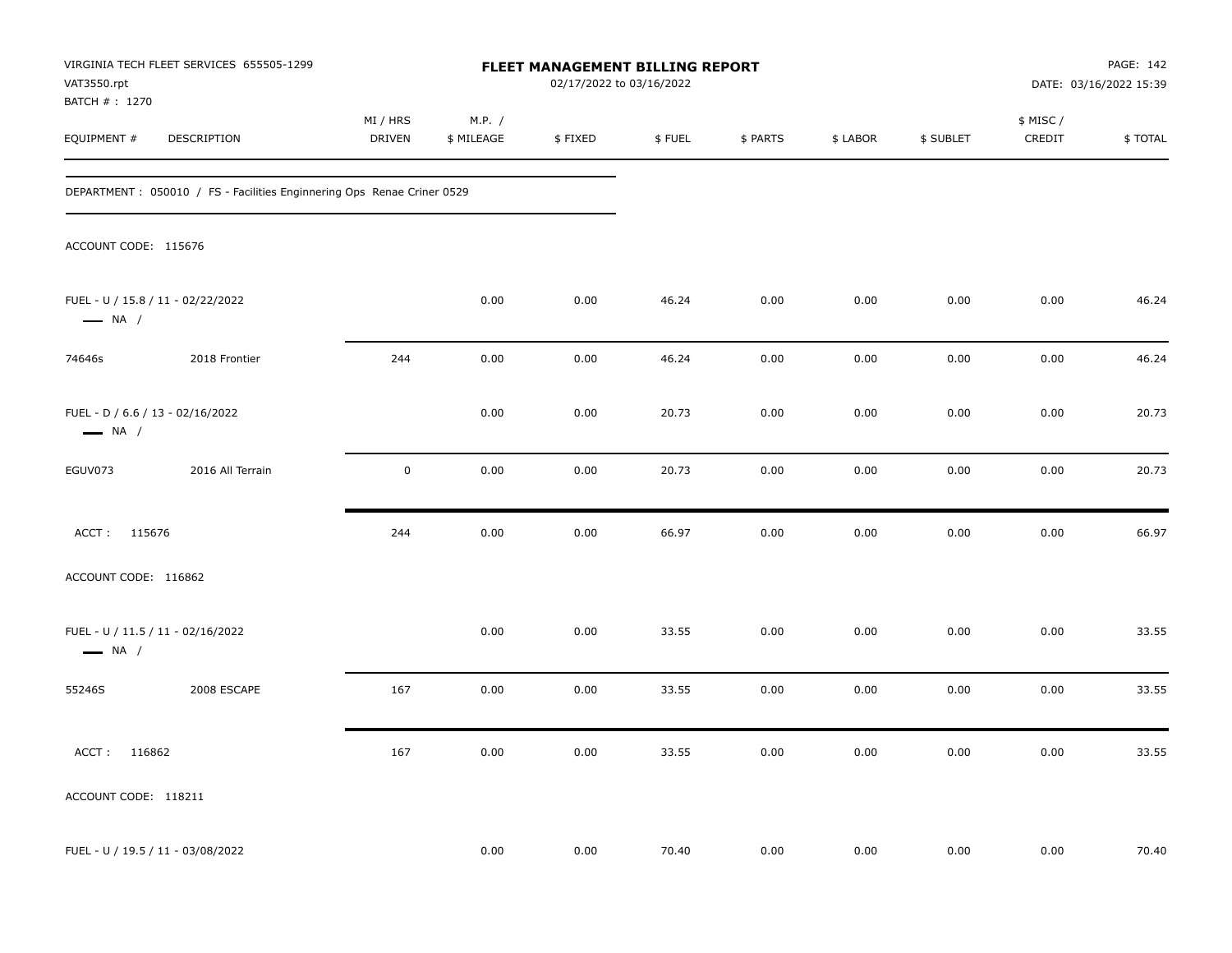| VAT3550.rpt                                                | VIRGINIA TECH FLEET SERVICES 655505-1299                                |                           |                      | FLEET MANAGEMENT BILLING REPORT<br>02/17/2022 to 03/16/2022 |        |          |          |           |                     | PAGE: 142<br>DATE: 03/16/2022 15:39 |
|------------------------------------------------------------|-------------------------------------------------------------------------|---------------------------|----------------------|-------------------------------------------------------------|--------|----------|----------|-----------|---------------------|-------------------------------------|
| BATCH # : 1270<br>EQUIPMENT #                              | DESCRIPTION                                                             | MI / HRS<br><b>DRIVEN</b> | M.P. /<br>\$ MILEAGE | \$FIXED                                                     | \$FUEL | \$ PARTS | \$ LABOR | \$ SUBLET | \$ MISC /<br>CREDIT | \$TOTAL                             |
|                                                            | DEPARTMENT : 050010 / FS - Facilities Enginnering Ops Renae Criner 0529 |                           |                      |                                                             |        |          |          |           |                     |                                     |
| ACCOUNT CODE: 115676                                       |                                                                         |                           |                      |                                                             |        |          |          |           |                     |                                     |
| $\longrightarrow$ NA /                                     | FUEL - U / 15.8 / 11 - 02/22/2022                                       |                           | 0.00                 | 0.00                                                        | 46.24  | 0.00     | 0.00     | 0.00      | 0.00                | 46.24                               |
| 74646s                                                     | 2018 Frontier                                                           | 244                       | 0.00                 | 0.00                                                        | 46.24  | 0.00     | 0.00     | 0.00      | 0.00                | 46.24                               |
| FUEL - D / 6.6 / 13 - 02/16/2022<br>$\longrightarrow$ NA / |                                                                         |                           | 0.00                 | 0.00                                                        | 20.73  | 0.00     | 0.00     | 0.00      | 0.00                | 20.73                               |
| EGUV073                                                    | 2016 All Terrain                                                        | $\mathbf 0$               | 0.00                 | 0.00                                                        | 20.73  | 0.00     | 0.00     | 0.00      | 0.00                | 20.73                               |
| ACCT: 115676                                               |                                                                         | 244                       | 0.00                 | 0.00                                                        | 66.97  | 0.00     | 0.00     | 0.00      | 0.00                | 66.97                               |
| ACCOUNT CODE: 116862                                       |                                                                         |                           |                      |                                                             |        |          |          |           |                     |                                     |
| $\longrightarrow$ NA /                                     | FUEL - U / 11.5 / 11 - 02/16/2022                                       |                           | 0.00                 | 0.00                                                        | 33.55  | 0.00     | 0.00     | 0.00      | 0.00                | 33.55                               |
| 55246S                                                     | 2008 ESCAPE                                                             | 167                       | 0.00                 | 0.00                                                        | 33.55  | 0.00     | 0.00     | 0.00      | 0.00                | 33.55                               |
| ACCT: 116862                                               |                                                                         | 167                       | 0.00                 | 0.00                                                        | 33.55  | 0.00     | 0.00     | 0.00      | 0.00                | 33.55                               |
| ACCOUNT CODE: 118211                                       |                                                                         |                           |                      |                                                             |        |          |          |           |                     |                                     |
|                                                            | FUEL - U / 19.5 / 11 - 03/08/2022                                       |                           | 0.00                 | 0.00                                                        | 70.40  | 0.00     | 0.00     | 0.00      | 0.00                | 70.40                               |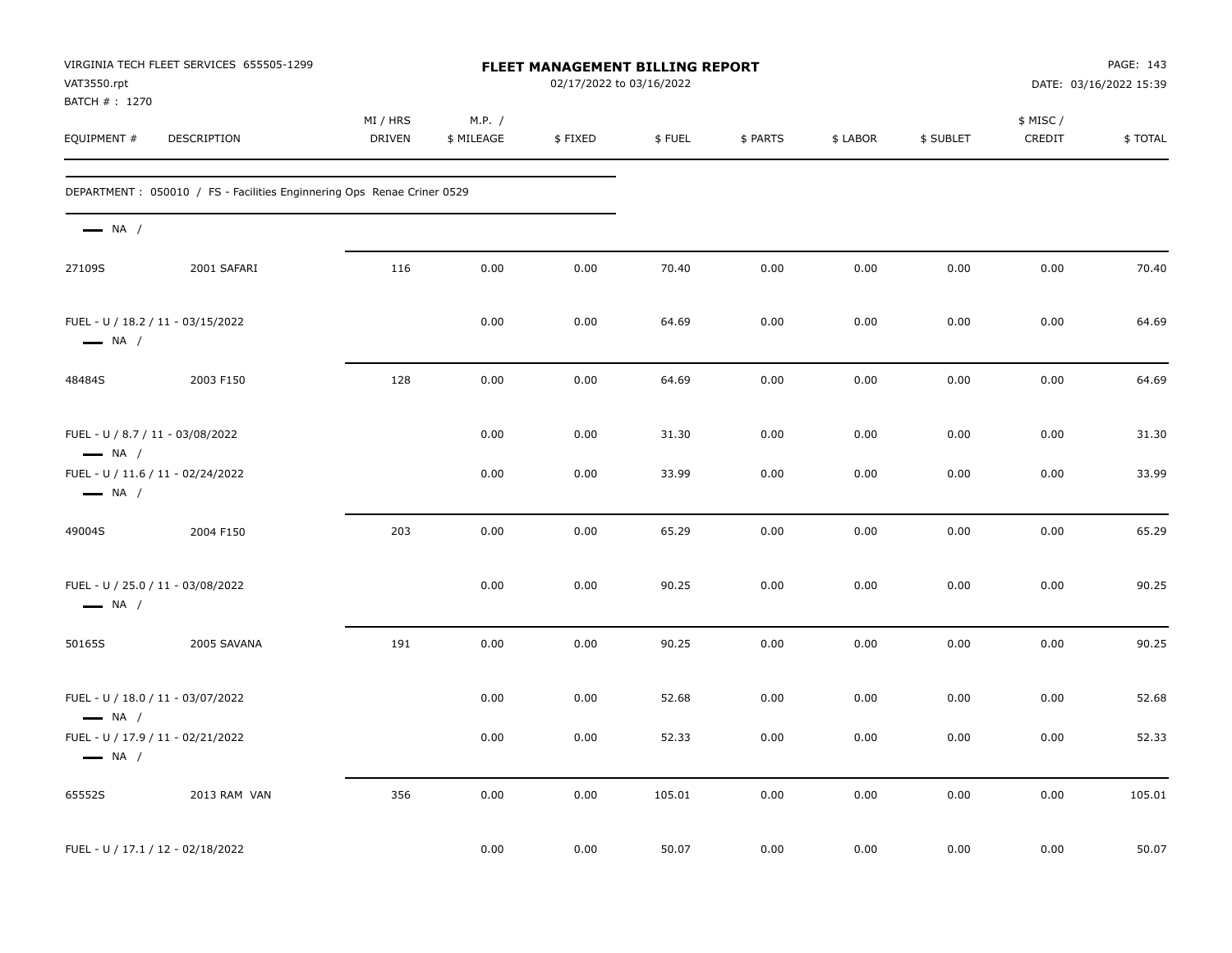| VAT3550.rpt<br>BATCH #: 1270                               | VIRGINIA TECH FLEET SERVICES 655505-1299                                |                    |                      | <b>FLEET MANAGEMENT BILLING REPORT</b><br>02/17/2022 to 03/16/2022 |        |          |          |           |                    | PAGE: 143<br>DATE: 03/16/2022 15:39 |
|------------------------------------------------------------|-------------------------------------------------------------------------|--------------------|----------------------|--------------------------------------------------------------------|--------|----------|----------|-----------|--------------------|-------------------------------------|
| EQUIPMENT #                                                | DESCRIPTION                                                             | MI / HRS<br>DRIVEN | M.P. /<br>\$ MILEAGE | \$FIXED                                                            | \$FUEL | \$ PARTS | \$ LABOR | \$ SUBLET | \$ MISC/<br>CREDIT | \$TOTAL                             |
|                                                            | DEPARTMENT : 050010 / FS - Facilities Enginnering Ops Renae Criner 0529 |                    |                      |                                                                    |        |          |          |           |                    |                                     |
| $\longrightarrow$ NA /                                     |                                                                         |                    |                      |                                                                    |        |          |          |           |                    |                                     |
| 27109S                                                     | 2001 SAFARI                                                             | 116                | 0.00                 | 0.00                                                               | 70.40  | 0.00     | 0.00     | 0.00      | 0.00               | 70.40                               |
| $\longrightarrow$ NA /                                     | FUEL - U / 18.2 / 11 - 03/15/2022                                       |                    | 0.00                 | 0.00                                                               | 64.69  | 0.00     | 0.00     | 0.00      | 0.00               | 64.69                               |
| 48484S                                                     | 2003 F150                                                               | 128                | 0.00                 | 0.00                                                               | 64.69  | 0.00     | 0.00     | 0.00      | 0.00               | 64.69                               |
| FUEL - U / 8.7 / 11 - 03/08/2022<br>$\longrightarrow$ NA / |                                                                         |                    | 0.00                 | 0.00                                                               | 31.30  | 0.00     | 0.00     | 0.00      | 0.00               | 31.30                               |
| $\longrightarrow$ NA /                                     | FUEL - U / 11.6 / 11 - 02/24/2022                                       |                    | 0.00                 | 0.00                                                               | 33.99  | 0.00     | 0.00     | 0.00      | 0.00               | 33.99                               |
| 49004S                                                     | 2004 F150                                                               | 203                | 0.00                 | 0.00                                                               | 65.29  | 0.00     | 0.00     | 0.00      | 0.00               | 65.29                               |
| $\longrightarrow$ NA /                                     | FUEL - U / 25.0 / 11 - 03/08/2022                                       |                    | 0.00                 | 0.00                                                               | 90.25  | 0.00     | 0.00     | 0.00      | 0.00               | 90.25                               |
| 50165S                                                     | 2005 SAVANA                                                             | 191                | 0.00                 | 0.00                                                               | 90.25  | 0.00     | 0.00     | 0.00      | 0.00               | 90.25                               |
| $\longrightarrow$ NA /                                     | FUEL - U / 18.0 / 11 - 03/07/2022                                       |                    | 0.00                 | 0.00                                                               | 52.68  | 0.00     | 0.00     | 0.00      | 0.00               | 52.68                               |
| $\longrightarrow$ NA /                                     | FUEL - U / 17.9 / 11 - 02/21/2022                                       |                    | 0.00                 | 0.00                                                               | 52.33  | 0.00     | 0.00     | 0.00      | 0.00               | 52.33                               |
| 65552S                                                     | 2013 RAM VAN                                                            | 356                | 0.00                 | 0.00                                                               | 105.01 | 0.00     | 0.00     | 0.00      | 0.00               | 105.01                              |
|                                                            | FUEL - U / 17.1 / 12 - 02/18/2022                                       |                    | 0.00                 | 0.00                                                               | 50.07  | 0.00     | 0.00     | 0.00      | 0.00               | 50.07                               |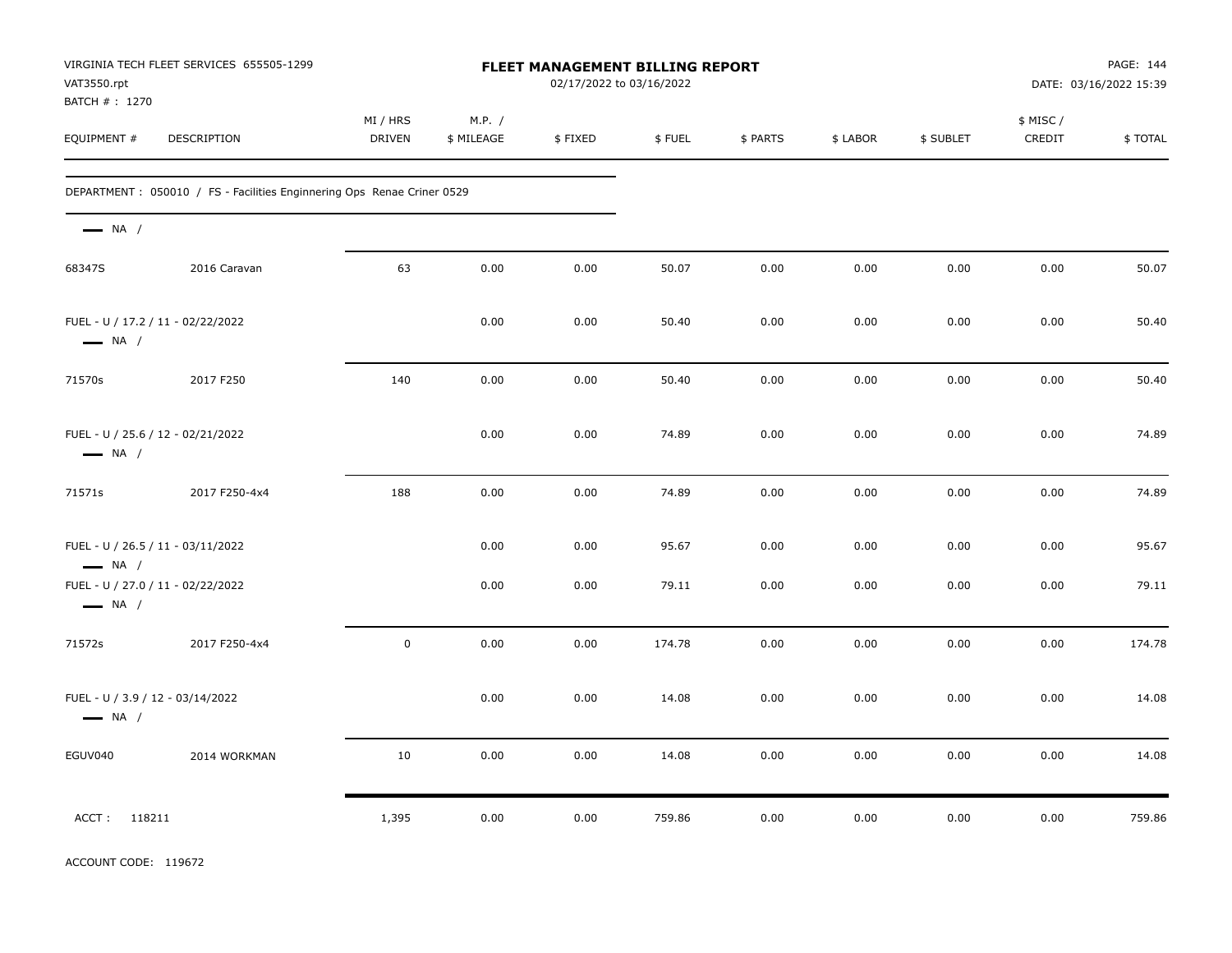| VAT3550.rpt<br>BATCH # : 1270                               | VIRGINIA TECH FLEET SERVICES 655505-1299                                |                    | <b>FLEET MANAGEMENT BILLING REPORT</b><br>02/17/2022 to 03/16/2022 |         |        |          |          |           |                    | PAGE: 144<br>DATE: 03/16/2022 15:39 |  |
|-------------------------------------------------------------|-------------------------------------------------------------------------|--------------------|--------------------------------------------------------------------|---------|--------|----------|----------|-----------|--------------------|-------------------------------------|--|
| EQUIPMENT #                                                 | DESCRIPTION                                                             | MI / HRS<br>DRIVEN | M.P. /<br>\$ MILEAGE                                               | \$FIXED | \$FUEL | \$ PARTS | \$ LABOR | \$ SUBLET | \$ MISC/<br>CREDIT | \$TOTAL                             |  |
|                                                             | DEPARTMENT : 050010 / FS - Facilities Enginnering Ops Renae Criner 0529 |                    |                                                                    |         |        |          |          |           |                    |                                     |  |
| $\longrightarrow$ NA /                                      |                                                                         |                    |                                                                    |         |        |          |          |           |                    |                                     |  |
| 68347S                                                      | 2016 Caravan                                                            | 63                 | 0.00                                                               | 0.00    | 50.07  | 0.00     | 0.00     | 0.00      | 0.00               | 50.07                               |  |
| FUEL - U / 17.2 / 11 - 02/22/2022<br>$\longrightarrow$ NA / |                                                                         |                    | 0.00                                                               | 0.00    | 50.40  | 0.00     | 0.00     | 0.00      | 0.00               | 50.40                               |  |
| 71570s                                                      | 2017 F250                                                               | 140                | 0.00                                                               | 0.00    | 50.40  | 0.00     | 0.00     | 0.00      | 0.00               | 50.40                               |  |
| $\longrightarrow$ NA /                                      | FUEL - U / 25.6 / 12 - 02/21/2022                                       |                    | 0.00                                                               | 0.00    | 74.89  | 0.00     | 0.00     | 0.00      | 0.00               | 74.89                               |  |
| 71571s                                                      | 2017 F250-4x4                                                           | 188                | 0.00                                                               | 0.00    | 74.89  | 0.00     | 0.00     | 0.00      | 0.00               | 74.89                               |  |
| FUEL - U / 26.5 / 11 - 03/11/2022<br>$\longrightarrow$ NA / |                                                                         |                    | 0.00                                                               | 0.00    | 95.67  | 0.00     | 0.00     | 0.00      | 0.00               | 95.67                               |  |
| $\longrightarrow$ NA /                                      | FUEL - U / 27.0 / 11 - 02/22/2022                                       |                    | 0.00                                                               | 0.00    | 79.11  | 0.00     | 0.00     | 0.00      | 0.00               | 79.11                               |  |
| 71572s                                                      | 2017 F250-4x4                                                           | $\mathbf 0$        | 0.00                                                               | 0.00    | 174.78 | 0.00     | 0.00     | 0.00      | 0.00               | 174.78                              |  |
| FUEL - U / 3.9 / 12 - 03/14/2022<br>$\longrightarrow$ NA /  |                                                                         |                    | 0.00                                                               | 0.00    | 14.08  | 0.00     | 0.00     | 0.00      | 0.00               | 14.08                               |  |
| EGUV040                                                     | 2014 WORKMAN                                                            | 10                 | 0.00                                                               | 0.00    | 14.08  | 0.00     | 0.00     | 0.00      | 0.00               | 14.08                               |  |
| ACCT: 118211                                                |                                                                         | 1,395              | 0.00                                                               | 0.00    | 759.86 | 0.00     | 0.00     | 0.00      | 0.00               | 759.86                              |  |

ACCOUNT CODE: 119672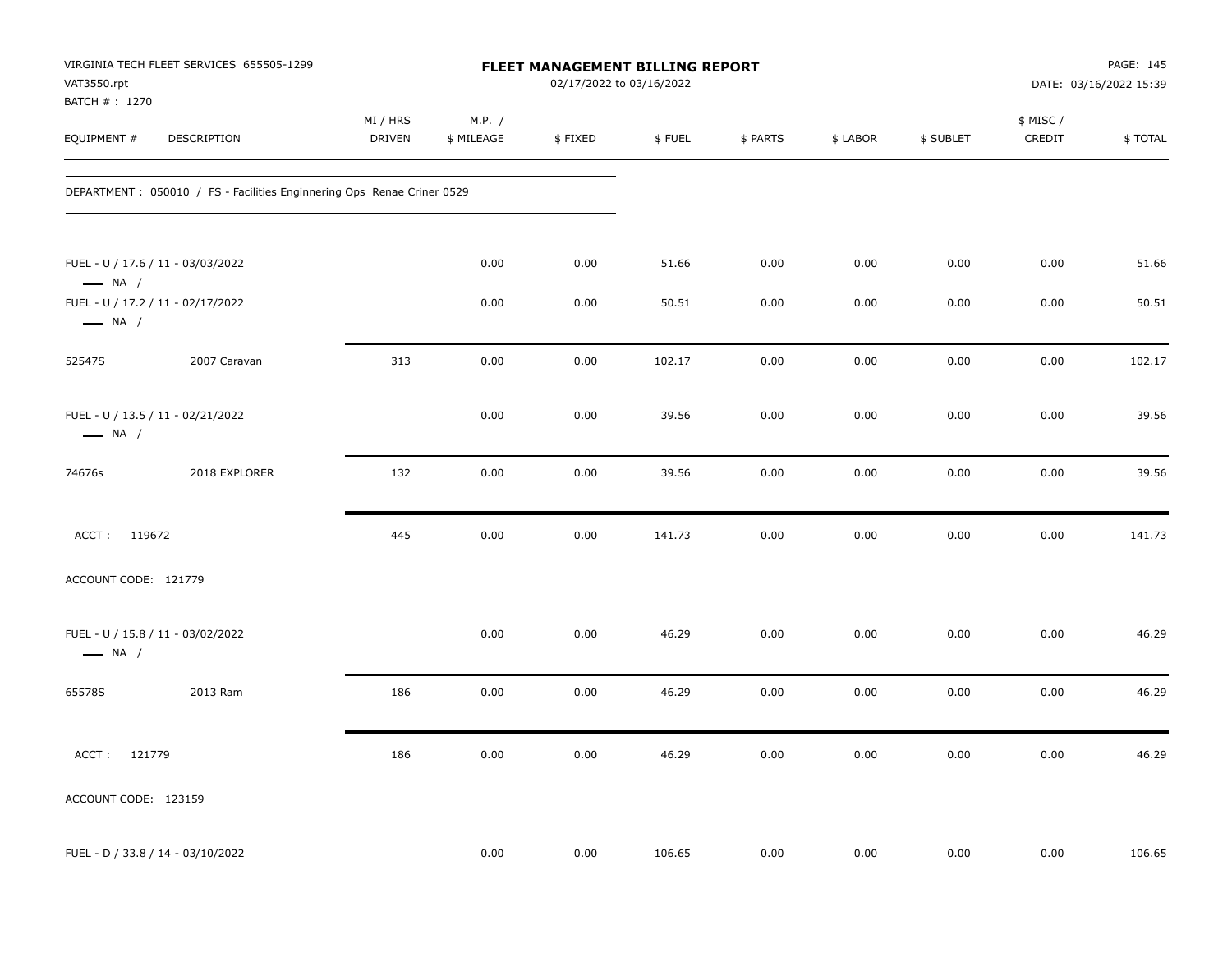| VAT3550.rpt<br>BATCH #: 1270 | VIRGINIA TECH FLEET SERVICES 655505-1299                                |                           |                      | <b>FLEET MANAGEMENT BILLING REPORT</b><br>02/17/2022 to 03/16/2022 |        |          |          |           |                     | PAGE: 145<br>DATE: 03/16/2022 15:39 |
|------------------------------|-------------------------------------------------------------------------|---------------------------|----------------------|--------------------------------------------------------------------|--------|----------|----------|-----------|---------------------|-------------------------------------|
| EQUIPMENT #                  | DESCRIPTION                                                             | MI / HRS<br><b>DRIVEN</b> | M.P. /<br>\$ MILEAGE | \$FIXED                                                            | \$FUEL | \$ PARTS | \$ LABOR | \$ SUBLET | \$ MISC /<br>CREDIT | \$TOTAL                             |
|                              | DEPARTMENT : 050010 / FS - Facilities Enginnering Ops Renae Criner 0529 |                           |                      |                                                                    |        |          |          |           |                     |                                     |
| $\longrightarrow$ NA /       | FUEL - U / 17.6 / 11 - 03/03/2022                                       |                           | 0.00                 | 0.00                                                               | 51.66  | 0.00     | 0.00     | 0.00      | 0.00                | 51.66                               |
| $\longrightarrow$ NA /       | FUEL - U / 17.2 / 11 - 02/17/2022                                       |                           | 0.00                 | 0.00                                                               | 50.51  | 0.00     | 0.00     | 0.00      | 0.00                | 50.51                               |
| 52547S                       | 2007 Caravan                                                            | 313                       | 0.00                 | 0.00                                                               | 102.17 | 0.00     | 0.00     | 0.00      | 0.00                | 102.17                              |
| $\longrightarrow$ NA /       | FUEL - U / 13.5 / 11 - 02/21/2022                                       |                           | 0.00                 | 0.00                                                               | 39.56  | 0.00     | 0.00     | 0.00      | 0.00                | 39.56                               |
| 74676s                       | 2018 EXPLORER                                                           | 132                       | 0.00                 | 0.00                                                               | 39.56  | 0.00     | 0.00     | 0.00      | 0.00                | 39.56                               |
| ACCT: 119672                 |                                                                         | 445                       | 0.00                 | 0.00                                                               | 141.73 | 0.00     | 0.00     | 0.00      | 0.00                | 141.73                              |
| ACCOUNT CODE: 121779         |                                                                         |                           |                      |                                                                    |        |          |          |           |                     |                                     |
| $\longrightarrow$ NA /       | FUEL - U / 15.8 / 11 - 03/02/2022                                       |                           | 0.00                 | 0.00                                                               | 46.29  | 0.00     | 0.00     | 0.00      | 0.00                | 46.29                               |
| 65578S                       | 2013 Ram                                                                | 186                       | 0.00                 | 0.00                                                               | 46.29  | 0.00     | 0.00     | 0.00      | 0.00                | 46.29                               |
| ACCT: 121779                 |                                                                         | 186                       | 0.00                 | 0.00                                                               | 46.29  | 0.00     | 0.00     | 0.00      | 0.00                | 46.29                               |
| ACCOUNT CODE: 123159         |                                                                         |                           |                      |                                                                    |        |          |          |           |                     |                                     |
|                              | FUEL - D / 33.8 / 14 - 03/10/2022                                       |                           | 0.00                 | 0.00                                                               | 106.65 | 0.00     | 0.00     | 0.00      | 0.00                | 106.65                              |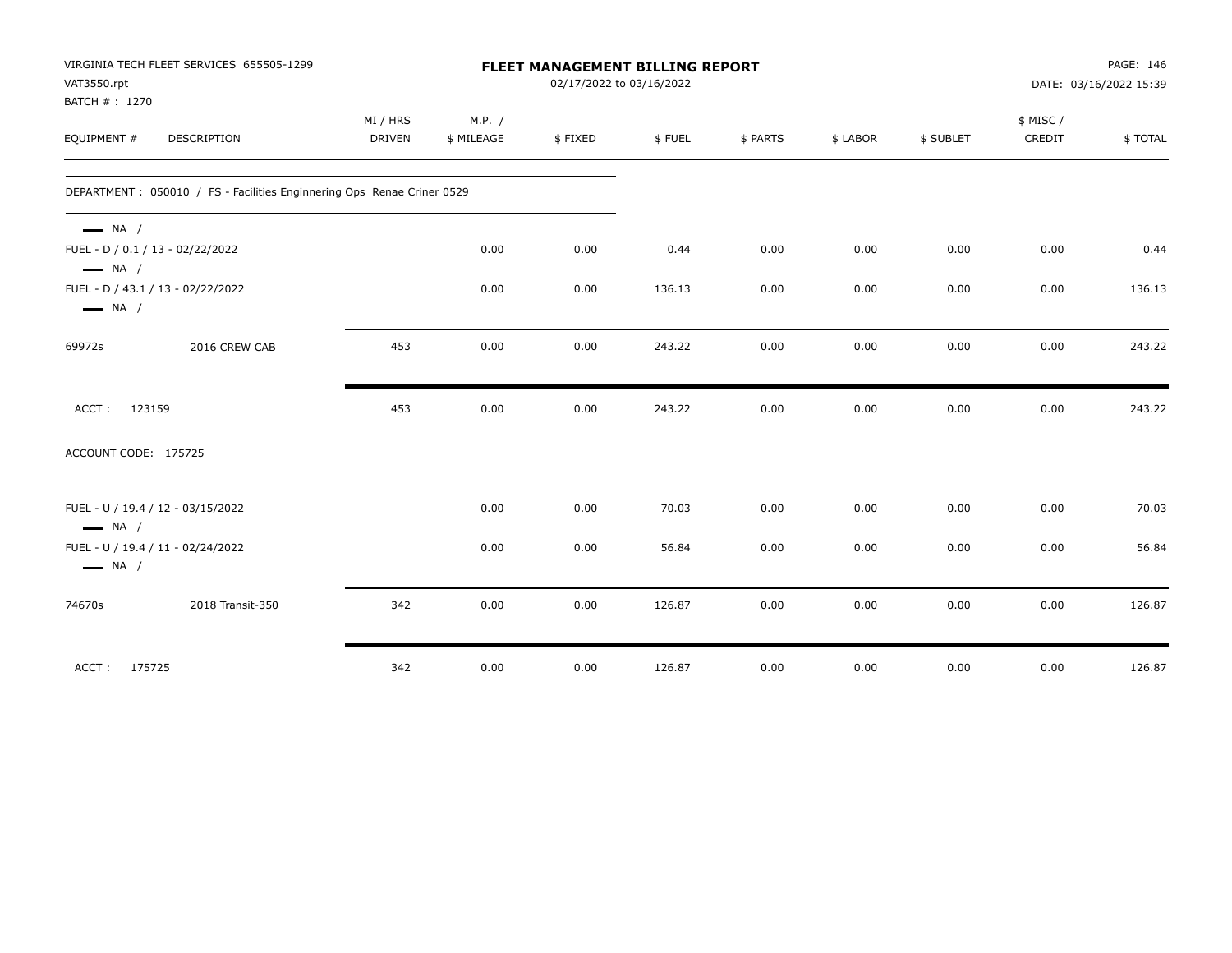|                              | VIRGINIA TECH FLEET SERVICES 655505-1299                               |                           |                      |         | PAGE: 146<br>FLEET MANAGEMENT BILLING REPORT<br>02/17/2022 to 03/16/2022<br>DATE: 03/16/2022 15:39 |          |          |           |                    |         |  |
|------------------------------|------------------------------------------------------------------------|---------------------------|----------------------|---------|----------------------------------------------------------------------------------------------------|----------|----------|-----------|--------------------|---------|--|
| VAT3550.rpt<br>BATCH #: 1270 |                                                                        |                           |                      |         |                                                                                                    |          |          |           |                    |         |  |
| EQUIPMENT #                  | <b>DESCRIPTION</b>                                                     | MI / HRS<br><b>DRIVEN</b> | M.P. /<br>\$ MILEAGE | \$FIXED | \$FUEL                                                                                             | \$ PARTS | \$ LABOR | \$ SUBLET | \$ MISC/<br>CREDIT | \$TOTAL |  |
|                              |                                                                        |                           |                      |         |                                                                                                    |          |          |           |                    |         |  |
|                              | DEPARTMENT: 050010 / FS - Facilities Enginnering Ops Renae Criner 0529 |                           |                      |         |                                                                                                    |          |          |           |                    |         |  |
| $\longrightarrow$ NA /       |                                                                        |                           |                      |         |                                                                                                    |          |          |           |                    |         |  |
| $\longrightarrow$ NA /       | FUEL - D / 0.1 / 13 - 02/22/2022                                       |                           | 0.00                 | 0.00    | 0.44                                                                                               | 0.00     | 0.00     | 0.00      | 0.00               | 0.44    |  |
| $\longrightarrow$ NA /       | FUEL - D / 43.1 / 13 - 02/22/2022                                      |                           | 0.00                 | 0.00    | 136.13                                                                                             | 0.00     | 0.00     | 0.00      | 0.00               | 136.13  |  |
| 69972s                       | 2016 CREW CAB                                                          | 453                       | 0.00                 | 0.00    | 243.22                                                                                             | 0.00     | 0.00     | 0.00      | 0.00               | 243.22  |  |
| ACCT:                        | 123159                                                                 | 453                       | 0.00                 | 0.00    | 243.22                                                                                             | 0.00     | 0.00     | 0.00      | 0.00               | 243.22  |  |
| ACCOUNT CODE: 175725         |                                                                        |                           |                      |         |                                                                                                    |          |          |           |                    |         |  |
| $\longrightarrow$ NA /       | FUEL - U / 19.4 / 12 - 03/15/2022                                      |                           | 0.00                 | 0.00    | 70.03                                                                                              | 0.00     | 0.00     | 0.00      | 0.00               | 70.03   |  |
| $\longrightarrow$ NA /       | FUEL - U / 19.4 / 11 - 02/24/2022                                      |                           | 0.00                 | 0.00    | 56.84                                                                                              | 0.00     | 0.00     | 0.00      | 0.00               | 56.84   |  |
| 74670s                       | 2018 Transit-350                                                       | 342                       | 0.00                 | 0.00    | 126.87                                                                                             | 0.00     | 0.00     | 0.00      | 0.00               | 126.87  |  |
| ACCT: 175725                 |                                                                        | 342                       | 0.00                 | 0.00    | 126.87                                                                                             | 0.00     | 0.00     | 0.00      | 0.00               | 126.87  |  |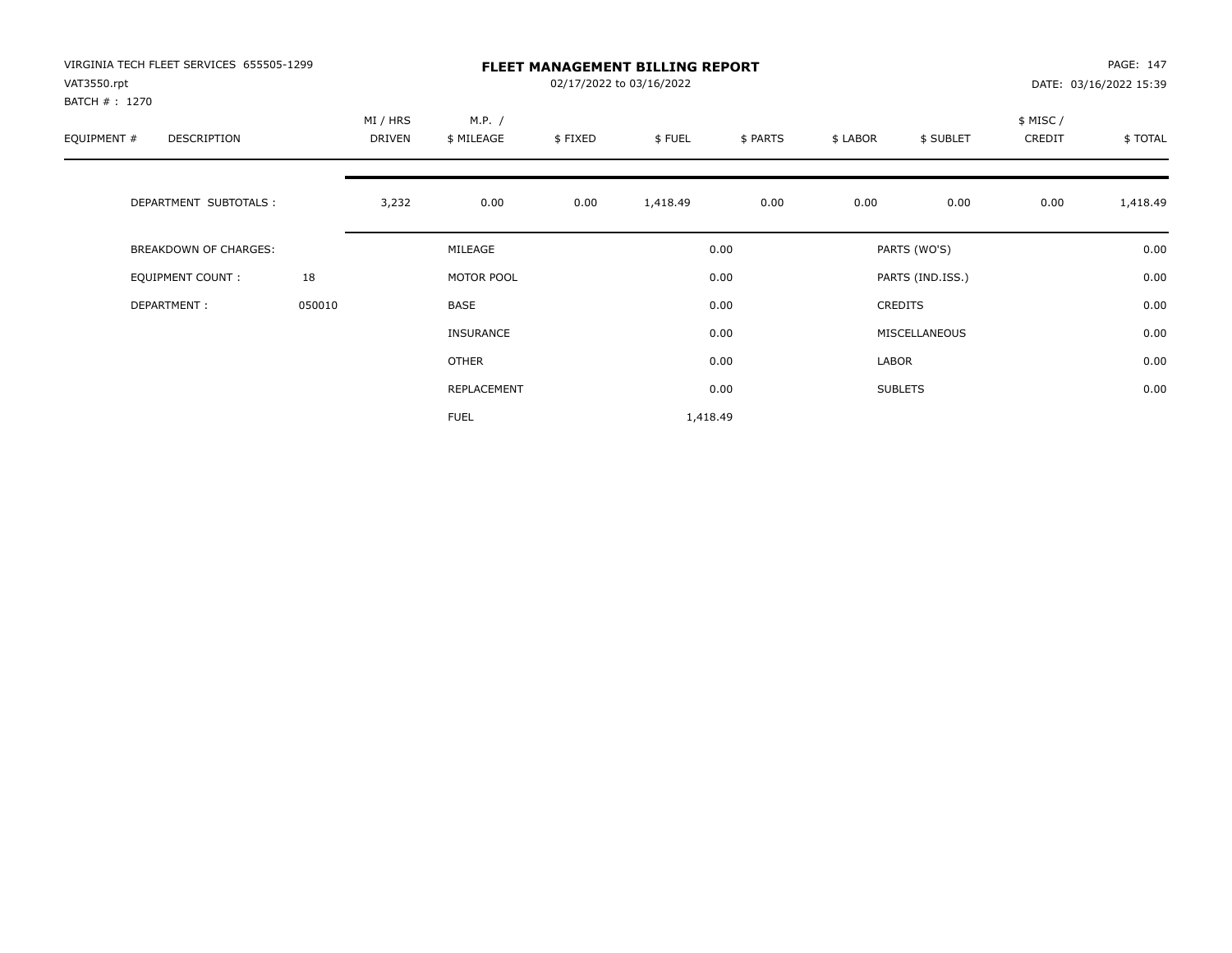| VIRGINIA TECH FLEET SERVICES 655505-1299<br>VAT3550.rpt |        |          |                  |         | <b>FLEET MANAGEMENT BILLING REPORT</b><br>02/17/2022 to 03/16/2022 |          |          |                  |          | PAGE: 147              |
|---------------------------------------------------------|--------|----------|------------------|---------|--------------------------------------------------------------------|----------|----------|------------------|----------|------------------------|
| BATCH # : 1270                                          |        |          |                  |         |                                                                    |          |          |                  |          | DATE: 03/16/2022 15:39 |
|                                                         |        | MI / HRS | M.P. /           |         |                                                                    |          |          |                  | \$ MISC/ |                        |
| EQUIPMENT #<br>DESCRIPTION                              |        | DRIVEN   | \$ MILEAGE       | \$FIXED | \$FUEL                                                             | \$ PARTS | \$ LABOR | \$ SUBLET        | CREDIT   | \$TOTAL                |
| DEPARTMENT SUBTOTALS :                                  |        | 3,232    | 0.00             | 0.00    | 1,418.49                                                           | 0.00     | 0.00     | 0.00             | 0.00     | 1,418.49               |
| <b>BREAKDOWN OF CHARGES:</b>                            |        |          | MILEAGE          |         |                                                                    | 0.00     |          | PARTS (WO'S)     |          | 0.00                   |
| <b>EQUIPMENT COUNT:</b>                                 | 18     |          | MOTOR POOL       |         |                                                                    | 0.00     |          | PARTS (IND.ISS.) |          | 0.00                   |
| DEPARTMENT:                                             | 050010 |          | BASE             |         |                                                                    | 0.00     |          | CREDITS          |          | 0.00                   |
|                                                         |        |          | <b>INSURANCE</b> |         |                                                                    | 0.00     |          | MISCELLANEOUS    |          | 0.00                   |
|                                                         |        |          | OTHER            |         |                                                                    | 0.00     | LABOR    |                  |          | 0.00                   |
|                                                         |        |          | REPLACEMENT      |         |                                                                    | 0.00     |          | <b>SUBLETS</b>   |          | 0.00                   |
|                                                         |        |          | <b>FUEL</b>      |         | 1,418.49                                                           |          |          |                  |          |                        |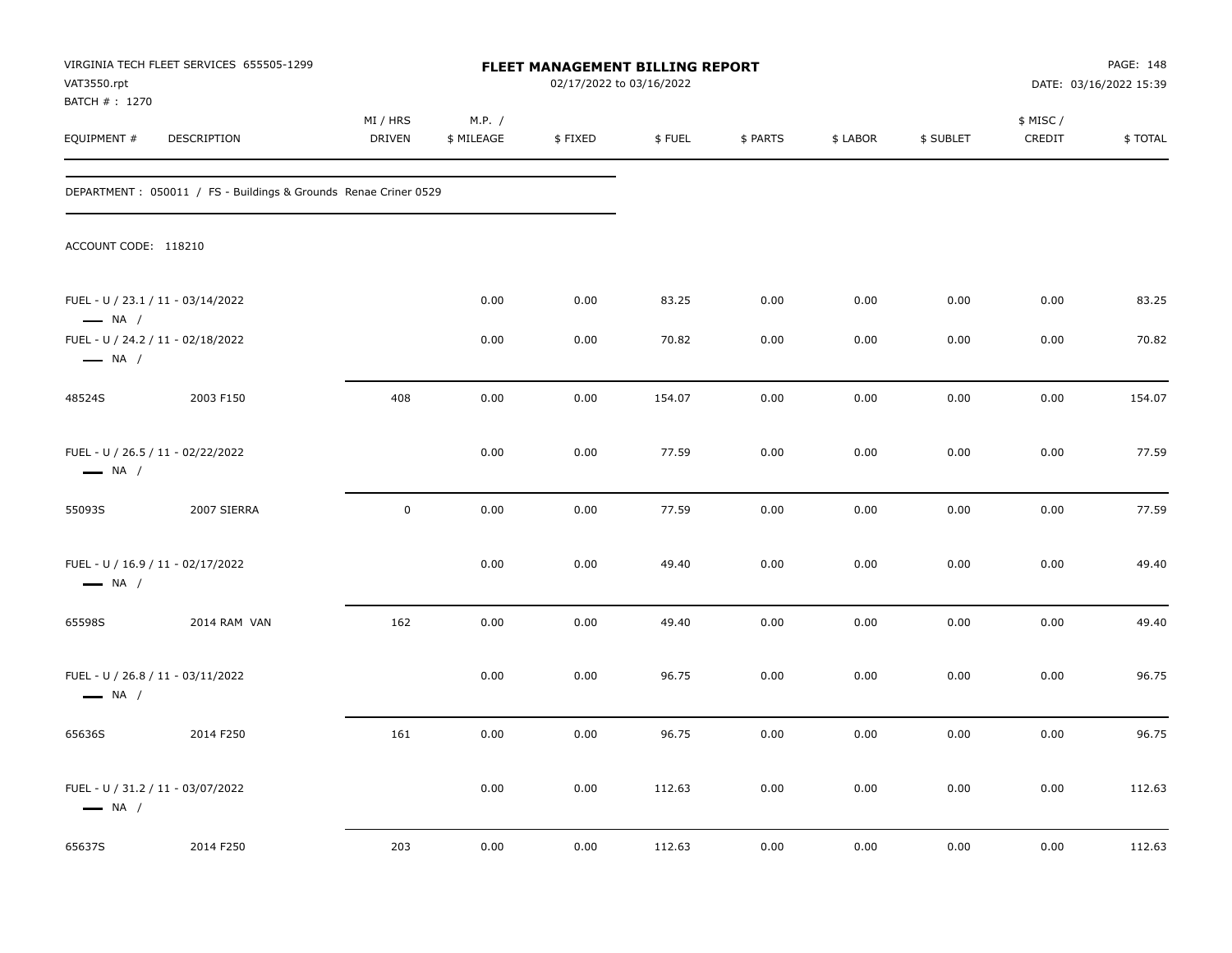| VAT3550.rpt                                                 | VIRGINIA TECH FLEET SERVICES 655505-1299                        |                           |                      | FLEET MANAGEMENT BILLING REPORT<br>02/17/2022 to 03/16/2022 |        |          |          | PAGE: 148<br>DATE: 03/16/2022 15:39 |                     |         |
|-------------------------------------------------------------|-----------------------------------------------------------------|---------------------------|----------------------|-------------------------------------------------------------|--------|----------|----------|-------------------------------------|---------------------|---------|
| BATCH # : 1270<br>EQUIPMENT #                               | <b>DESCRIPTION</b>                                              | MI / HRS<br><b>DRIVEN</b> | M.P. /<br>\$ MILEAGE | \$FIXED                                                     | \$FUEL | \$ PARTS | \$ LABOR | \$ SUBLET                           | \$ MISC /<br>CREDIT | \$TOTAL |
|                                                             | DEPARTMENT: 050011 / FS - Buildings & Grounds Renae Criner 0529 |                           |                      |                                                             |        |          |          |                                     |                     |         |
| ACCOUNT CODE: 118210                                        |                                                                 |                           |                      |                                                             |        |          |          |                                     |                     |         |
| FUEL - U / 23.1 / 11 - 03/14/2022<br>$\longrightarrow$ NA / |                                                                 |                           | 0.00                 | 0.00                                                        | 83.25  | 0.00     | 0.00     | 0.00                                | 0.00                | 83.25   |
| $\longrightarrow$ NA /                                      | FUEL - U / 24.2 / 11 - 02/18/2022                               |                           | 0.00                 | 0.00                                                        | 70.82  | 0.00     | 0.00     | 0.00                                | 0.00                | 70.82   |
| 48524S                                                      | 2003 F150                                                       | 408                       | 0.00                 | 0.00                                                        | 154.07 | 0.00     | 0.00     | 0.00                                | 0.00                | 154.07  |
| FUEL - U / 26.5 / 11 - 02/22/2022<br>$\longrightarrow$ NA / |                                                                 |                           | 0.00                 | 0.00                                                        | 77.59  | 0.00     | 0.00     | 0.00                                | 0.00                | 77.59   |
| 55093S                                                      | 2007 SIERRA                                                     | $\mathsf 0$               | 0.00                 | 0.00                                                        | 77.59  | 0.00     | 0.00     | 0.00                                | 0.00                | 77.59   |
| $\longrightarrow$ NA /                                      | FUEL - U / 16.9 / 11 - 02/17/2022                               |                           | 0.00                 | 0.00                                                        | 49.40  | 0.00     | 0.00     | 0.00                                | 0.00                | 49.40   |
| 65598S                                                      | 2014 RAM VAN                                                    | 162                       | 0.00                 | 0.00                                                        | 49.40  | 0.00     | 0.00     | 0.00                                | 0.00                | 49.40   |
| $\longrightarrow$ NA /                                      | FUEL - U / 26.8 / 11 - 03/11/2022                               |                           | 0.00                 | 0.00                                                        | 96.75  | 0.00     | 0.00     | 0.00                                | 0.00                | 96.75   |
| 65636S                                                      | 2014 F250                                                       | 161                       | 0.00                 | 0.00                                                        | 96.75  | 0.00     | 0.00     | 0.00                                | 0.00                | 96.75   |
| $\longrightarrow$ NA /                                      | FUEL - U / 31.2 / 11 - 03/07/2022                               |                           | 0.00                 | 0.00                                                        | 112.63 | 0.00     | 0.00     | 0.00                                | 0.00                | 112.63  |
| 65637S                                                      | 2014 F250                                                       | 203                       | 0.00                 | 0.00                                                        | 112.63 | 0.00     | 0.00     | 0.00                                | 0.00                | 112.63  |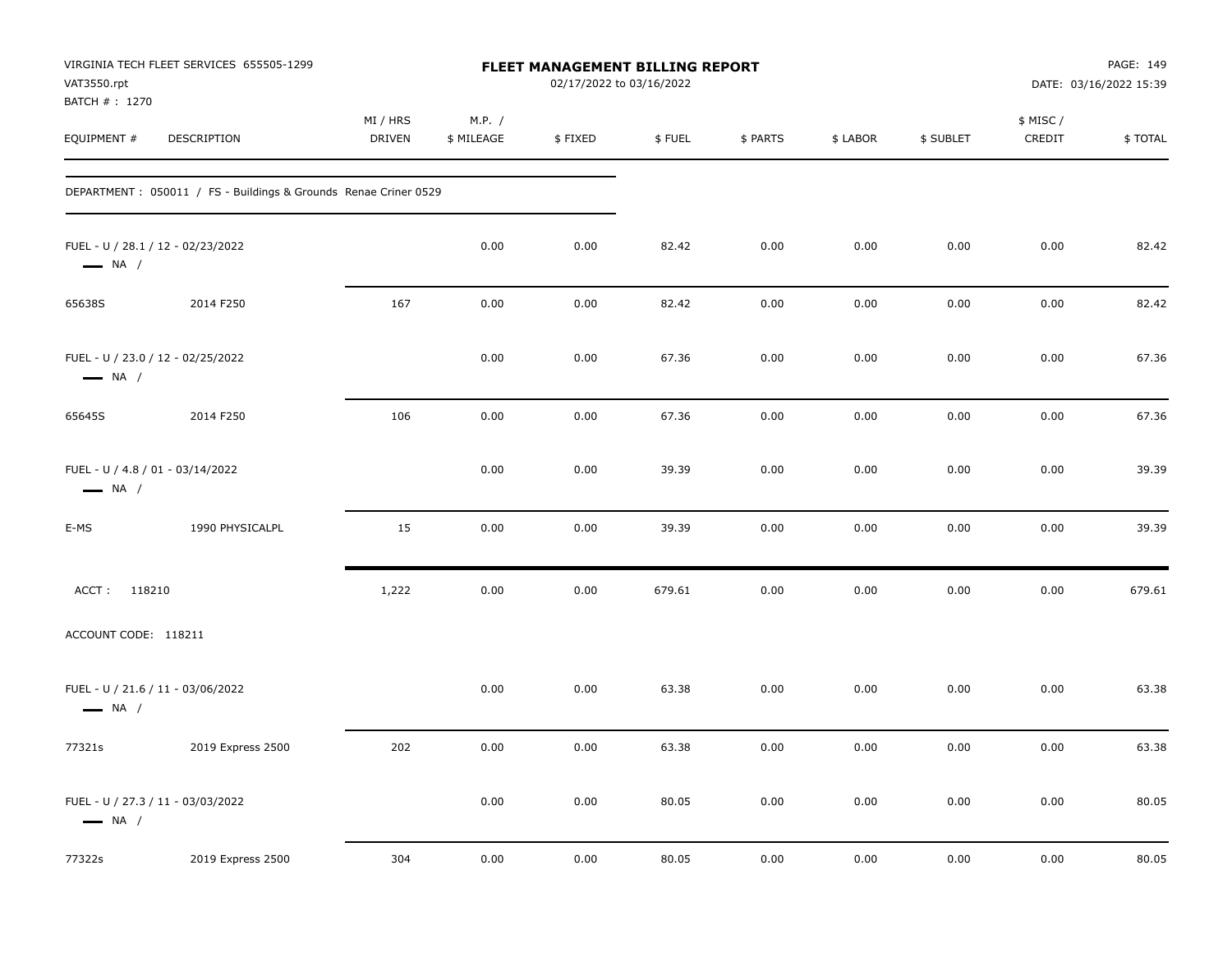| VAT3550.rpt<br>BATCH #: 1270                               | VIRGINIA TECH FLEET SERVICES 655505-1299                         | FLEET MANAGEMENT BILLING REPORT<br>02/17/2022 to 03/16/2022 |                      |         |        |          |          |           | PAGE: 149<br>DATE: 03/16/2022 15:39 |         |
|------------------------------------------------------------|------------------------------------------------------------------|-------------------------------------------------------------|----------------------|---------|--------|----------|----------|-----------|-------------------------------------|---------|
| EQUIPMENT #                                                | DESCRIPTION                                                      | MI / HRS<br>DRIVEN                                          | M.P. /<br>\$ MILEAGE | \$FIXED | \$FUEL | \$ PARTS | \$ LABOR | \$ SUBLET | \$ MISC /<br>CREDIT                 | \$TOTAL |
|                                                            | DEPARTMENT : 050011 / FS - Buildings & Grounds Renae Criner 0529 |                                                             |                      |         |        |          |          |           |                                     |         |
| $\longrightarrow$ NA /                                     | FUEL - U / 28.1 / 12 - 02/23/2022                                |                                                             | 0.00                 | 0.00    | 82.42  | 0.00     | 0.00     | 0.00      | 0.00                                | 82.42   |
| 65638S                                                     | 2014 F250                                                        | 167                                                         | 0.00                 | 0.00    | 82.42  | 0.00     | 0.00     | 0.00      | 0.00                                | 82.42   |
| $\longrightarrow$ NA /                                     | FUEL - U / 23.0 / 12 - 02/25/2022                                |                                                             | 0.00                 | 0.00    | 67.36  | 0.00     | 0.00     | 0.00      | 0.00                                | 67.36   |
| 65645S                                                     | 2014 F250                                                        | 106                                                         | 0.00                 | 0.00    | 67.36  | 0.00     | 0.00     | 0.00      | 0.00                                | 67.36   |
| FUEL - U / 4.8 / 01 - 03/14/2022<br>$\longrightarrow$ NA / |                                                                  |                                                             | 0.00                 | 0.00    | 39.39  | 0.00     | 0.00     | 0.00      | 0.00                                | 39.39   |
| E-MS                                                       | 1990 PHYSICALPL                                                  | 15                                                          | 0.00                 | 0.00    | 39.39  | 0.00     | 0.00     | 0.00      | 0.00                                | 39.39   |
| ACCT: 118210                                               |                                                                  | 1,222                                                       | 0.00                 | 0.00    | 679.61 | 0.00     | 0.00     | 0.00      | 0.00                                | 679.61  |
| ACCOUNT CODE: 118211                                       |                                                                  |                                                             |                      |         |        |          |          |           |                                     |         |
| $\longrightarrow$ NA /                                     | FUEL - U / 21.6 / 11 - 03/06/2022                                |                                                             | 0.00                 | 0.00    | 63.38  | 0.00     | 0.00     | 0.00      | 0.00                                | 63.38   |
| 77321s                                                     | 2019 Express 2500                                                | 202                                                         | 0.00                 | 0.00    | 63.38  | 0.00     | 0.00     | 0.00      | 0.00                                | 63.38   |
| $\longrightarrow$ NA /                                     | FUEL - U / 27.3 / 11 - 03/03/2022                                |                                                             | 0.00                 | 0.00    | 80.05  | 0.00     | 0.00     | 0.00      | 0.00                                | 80.05   |
| 77322s                                                     | 2019 Express 2500                                                | 304                                                         | 0.00                 | 0.00    | 80.05  | 0.00     | 0.00     | 0.00      | 0.00                                | 80.05   |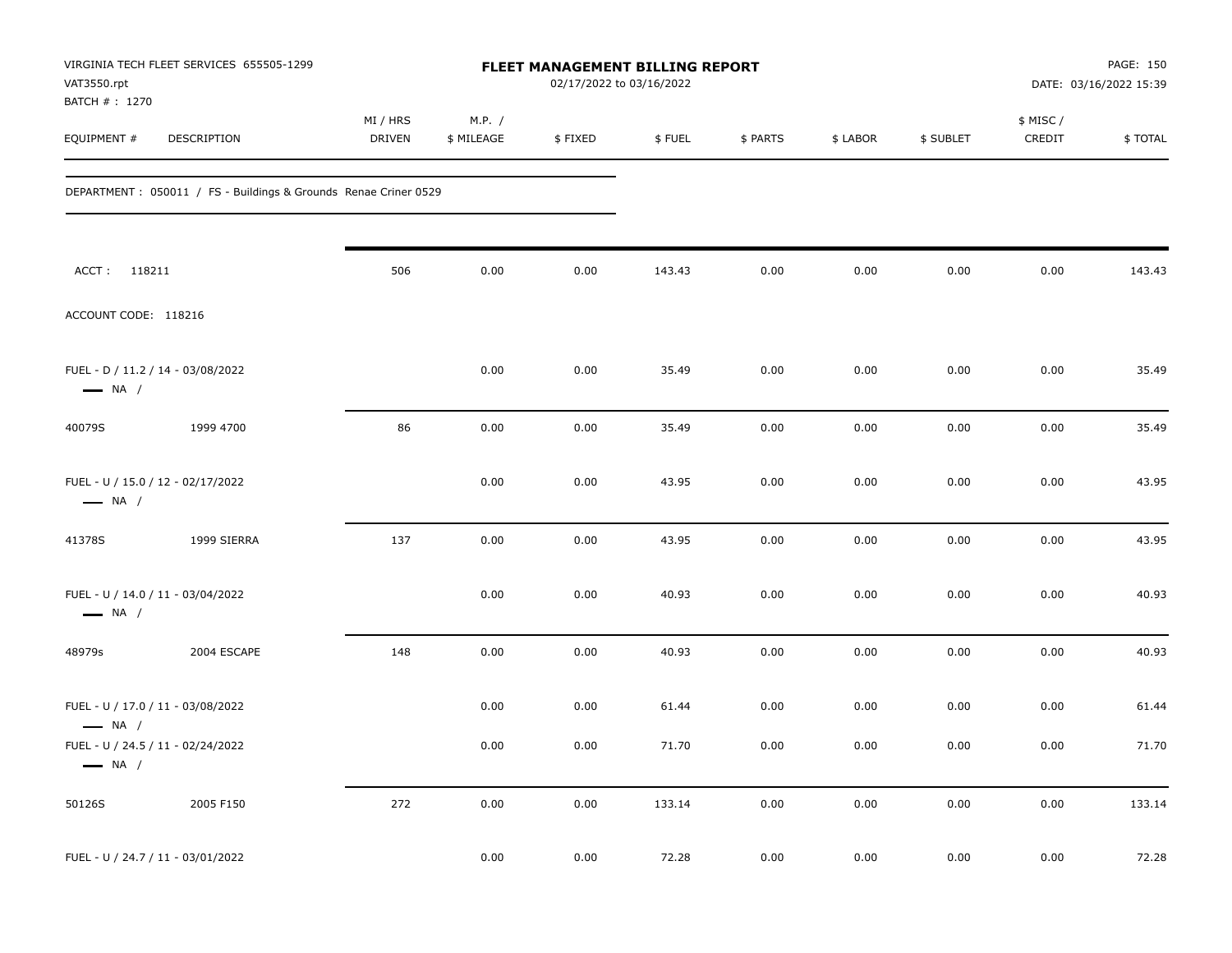| VAT3550.rpt<br>BATCH #: 1270 | VIRGINIA TECH FLEET SERVICES 655505-1299                         | FLEET MANAGEMENT BILLING REPORT<br>02/17/2022 to 03/16/2022 |                      |         |        |          |          |           | PAGE: 150<br>DATE: 03/16/2022 15:39 |         |
|------------------------------|------------------------------------------------------------------|-------------------------------------------------------------|----------------------|---------|--------|----------|----------|-----------|-------------------------------------|---------|
| EQUIPMENT #                  | DESCRIPTION                                                      | MI / HRS<br><b>DRIVEN</b>                                   | M.P. /<br>\$ MILEAGE | \$FIXED | \$FUEL | \$ PARTS | \$ LABOR | \$ SUBLET | \$ MISC/<br>CREDIT                  | \$TOTAL |
|                              | DEPARTMENT : 050011 / FS - Buildings & Grounds Renae Criner 0529 |                                                             |                      |         |        |          |          |           |                                     |         |
| ACCT: 118211                 |                                                                  | 506                                                         | 0.00                 | 0.00    | 143.43 | 0.00     | 0.00     | 0.00      | 0.00                                | 143.43  |
| ACCOUNT CODE: 118216         |                                                                  |                                                             |                      |         |        |          |          |           |                                     |         |
| $\longrightarrow$ NA /       | FUEL - D / 11.2 / 14 - 03/08/2022                                |                                                             | 0.00                 | 0.00    | 35.49  | 0.00     | 0.00     | 0.00      | 0.00                                | 35.49   |
| 40079S                       | 1999 4700                                                        | 86                                                          | 0.00                 | 0.00    | 35.49  | 0.00     | 0.00     | 0.00      | 0.00                                | 35.49   |
| $\longrightarrow$ NA /       | FUEL - U / 15.0 / 12 - 02/17/2022                                |                                                             | 0.00                 | 0.00    | 43.95  | 0.00     | 0.00     | 0.00      | 0.00                                | 43.95   |
| 41378S                       | 1999 SIERRA                                                      | 137                                                         | 0.00                 | 0.00    | 43.95  | 0.00     | 0.00     | 0.00      | 0.00                                | 43.95   |
| $\longrightarrow$ NA /       | FUEL - U / 14.0 / 11 - 03/04/2022                                |                                                             | 0.00                 | 0.00    | 40.93  | 0.00     | 0.00     | 0.00      | 0.00                                | 40.93   |
| 48979s                       | 2004 ESCAPE                                                      | 148                                                         | 0.00                 | 0.00    | 40.93  | 0.00     | 0.00     | 0.00      | 0.00                                | 40.93   |
| $\longrightarrow$ NA /       | FUEL - U / 17.0 / 11 - 03/08/2022                                |                                                             | 0.00                 | 0.00    | 61.44  | 0.00     | 0.00     | 0.00      | 0.00                                | 61.44   |
| $\longrightarrow$ NA /       | FUEL - U / 24.5 / 11 - 02/24/2022                                |                                                             | 0.00                 | 0.00    | 71.70  | 0.00     | 0.00     | 0.00      | 0.00                                | 71.70   |
| 50126S                       | 2005 F150                                                        | 272                                                         | 0.00                 | 0.00    | 133.14 | 0.00     | 0.00     | 0.00      | $0.00\,$                            | 133.14  |
|                              | FUEL - U / 24.7 / 11 - 03/01/2022                                |                                                             | 0.00                 | 0.00    | 72.28  | 0.00     | 0.00     | 0.00      | 0.00                                | 72.28   |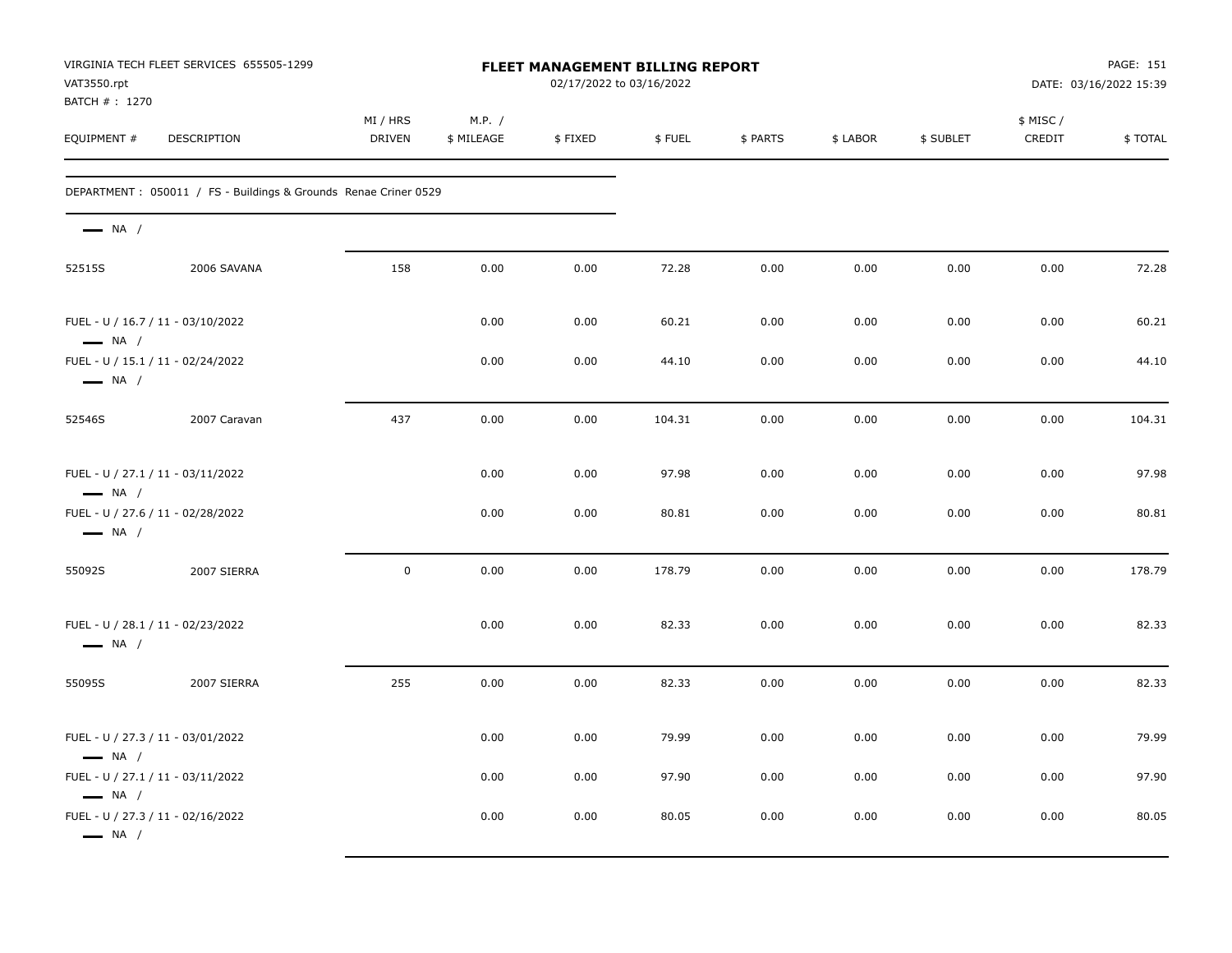| VAT3550.rpt<br>BATCH #: 1270                                | VIRGINIA TECH FLEET SERVICES 655505-1299                         |                    |                      |         | <b>FLEET MANAGEMENT BILLING REPORT</b><br>02/17/2022 to 03/16/2022 |          |          |           | PAGE: 151<br>DATE: 03/16/2022 15:39 |         |  |
|-------------------------------------------------------------|------------------------------------------------------------------|--------------------|----------------------|---------|--------------------------------------------------------------------|----------|----------|-----------|-------------------------------------|---------|--|
| EQUIPMENT #                                                 | DESCRIPTION                                                      | MI / HRS<br>DRIVEN | M.P. /<br>\$ MILEAGE | \$FIXED | \$FUEL                                                             | \$ PARTS | \$ LABOR | \$ SUBLET | \$ MISC/<br>CREDIT                  | \$TOTAL |  |
|                                                             | DEPARTMENT : 050011 / FS - Buildings & Grounds Renae Criner 0529 |                    |                      |         |                                                                    |          |          |           |                                     |         |  |
| $\longrightarrow$ NA /                                      |                                                                  |                    |                      |         |                                                                    |          |          |           |                                     |         |  |
| 52515S                                                      | 2006 SAVANA                                                      | 158                | 0.00                 | 0.00    | 72.28                                                              | 0.00     | 0.00     | 0.00      | 0.00                                | 72.28   |  |
| FUEL - U / 16.7 / 11 - 03/10/2022<br>$\longrightarrow$ NA / |                                                                  |                    | 0.00                 | 0.00    | 60.21                                                              | 0.00     | 0.00     | 0.00      | 0.00                                | 60.21   |  |
| FUEL - U / 15.1 / 11 - 02/24/2022<br>$\longrightarrow$ NA / |                                                                  |                    | 0.00                 | 0.00    | 44.10                                                              | 0.00     | 0.00     | 0.00      | 0.00                                | 44.10   |  |
| 52546S                                                      | 2007 Caravan                                                     | 437                | 0.00                 | 0.00    | 104.31                                                             | 0.00     | 0.00     | 0.00      | 0.00                                | 104.31  |  |
| FUEL - U / 27.1 / 11 - 03/11/2022<br>$\longrightarrow$ NA / |                                                                  |                    | 0.00                 | 0.00    | 97.98                                                              | 0.00     | 0.00     | 0.00      | 0.00                                | 97.98   |  |
| FUEL - U / 27.6 / 11 - 02/28/2022<br>$\longrightarrow$ NA / |                                                                  |                    | 0.00                 | 0.00    | 80.81                                                              | 0.00     | 0.00     | 0.00      | 0.00                                | 80.81   |  |
| 55092S                                                      | 2007 SIERRA                                                      | $\mathbf 0$        | 0.00                 | 0.00    | 178.79                                                             | 0.00     | 0.00     | 0.00      | 0.00                                | 178.79  |  |
| FUEL - U / 28.1 / 11 - 02/23/2022<br>$\longrightarrow$ NA / |                                                                  |                    | 0.00                 | 0.00    | 82.33                                                              | 0.00     | 0.00     | 0.00      | 0.00                                | 82.33   |  |
| 55095S                                                      | 2007 SIERRA                                                      | 255                | 0.00                 | 0.00    | 82.33                                                              | 0.00     | 0.00     | 0.00      | 0.00                                | 82.33   |  |
| FUEL - U / 27.3 / 11 - 03/01/2022<br>$\longrightarrow$ NA / |                                                                  |                    | 0.00                 | 0.00    | 79.99                                                              | 0.00     | 0.00     | 0.00      | 0.00                                | 79.99   |  |
| FUEL - U / 27.1 / 11 - 03/11/2022<br>$\longrightarrow$ NA / |                                                                  |                    | 0.00                 | 0.00    | 97.90                                                              | 0.00     | 0.00     | 0.00      | 0.00                                | 97.90   |  |
| FUEL - U / 27.3 / 11 - 02/16/2022<br>$\longrightarrow$ NA / |                                                                  |                    | 0.00                 | 0.00    | 80.05                                                              | 0.00     | 0.00     | 0.00      | 0.00                                | 80.05   |  |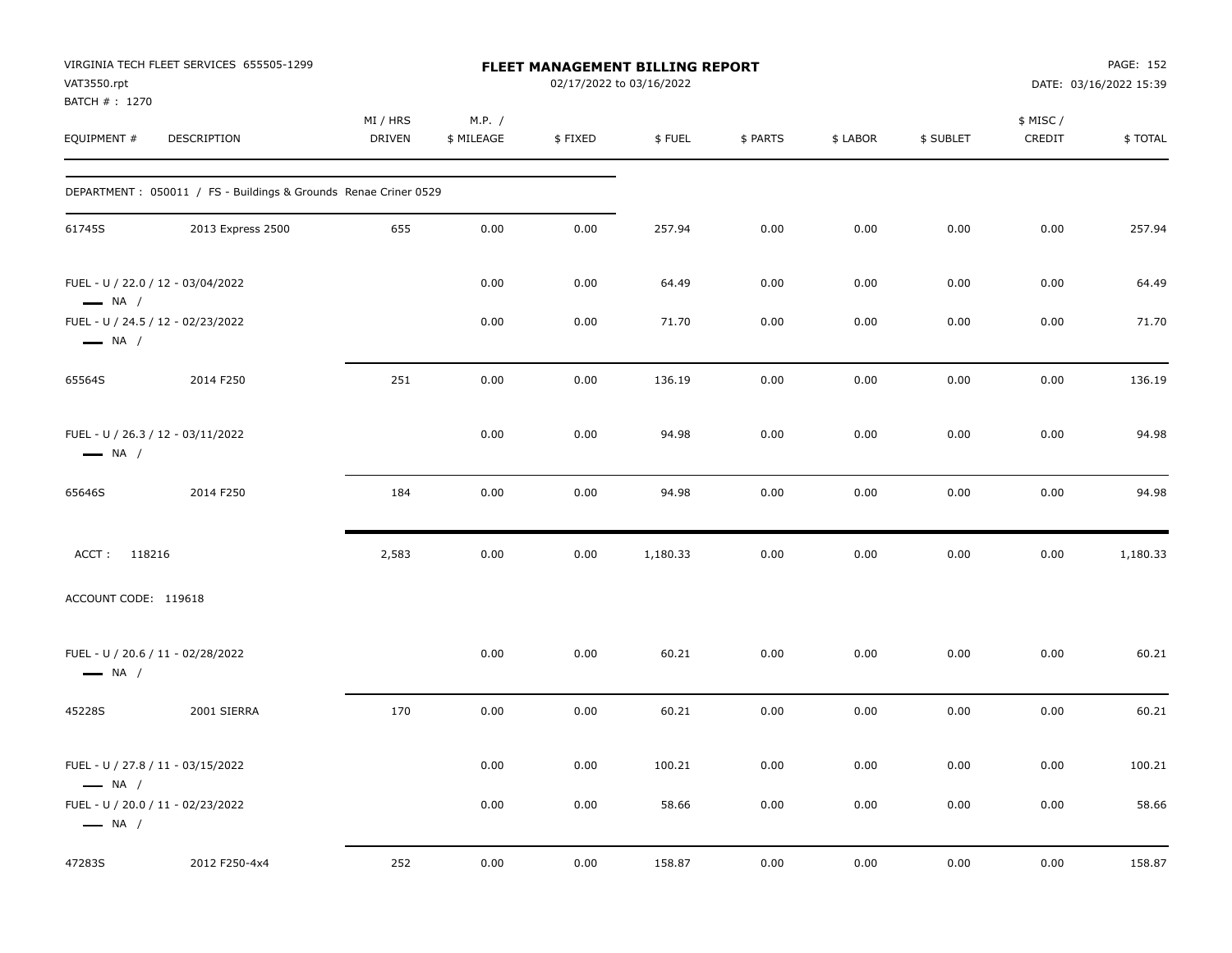| VAT3550.rpt<br>BATCH #: 1270 | VIRGINIA TECH FLEET SERVICES 655505-1299                         |                           |                      |         | FLEET MANAGEMENT BILLING REPORT<br>02/17/2022 to 03/16/2022 |          |          |           |                     | PAGE: 152<br>DATE: 03/16/2022 15:39 |
|------------------------------|------------------------------------------------------------------|---------------------------|----------------------|---------|-------------------------------------------------------------|----------|----------|-----------|---------------------|-------------------------------------|
| EQUIPMENT #                  | DESCRIPTION                                                      | MI / HRS<br><b>DRIVEN</b> | M.P. /<br>\$ MILEAGE | \$FIXED | \$FUEL                                                      | \$ PARTS | \$ LABOR | \$ SUBLET | \$ MISC /<br>CREDIT | \$TOTAL                             |
|                              | DEPARTMENT : 050011 / FS - Buildings & Grounds Renae Criner 0529 |                           |                      |         |                                                             |          |          |           |                     |                                     |
| 61745S                       | 2013 Express 2500                                                | 655                       | 0.00                 | 0.00    | 257.94                                                      | 0.00     | 0.00     | 0.00      | 0.00                | 257.94                              |
| $\longrightarrow$ NA /       | FUEL - U / 22.0 / 12 - 03/04/2022                                |                           | 0.00                 | 0.00    | 64.49                                                       | 0.00     | 0.00     | 0.00      | 0.00                | 64.49                               |
| $\longrightarrow$ NA /       | FUEL - U / 24.5 / 12 - 02/23/2022                                |                           | 0.00                 | 0.00    | 71.70                                                       | 0.00     | 0.00     | 0.00      | 0.00                | 71.70                               |
| 65564S                       | 2014 F250                                                        | 251                       | 0.00                 | 0.00    | 136.19                                                      | 0.00     | 0.00     | 0.00      | 0.00                | 136.19                              |
| $\longrightarrow$ NA /       | FUEL - U / 26.3 / 12 - 03/11/2022                                |                           | 0.00                 | 0.00    | 94.98                                                       | 0.00     | 0.00     | 0.00      | 0.00                | 94.98                               |
| 65646S                       | 2014 F250                                                        | 184                       | 0.00                 | 0.00    | 94.98                                                       | 0.00     | 0.00     | 0.00      | 0.00                | 94.98                               |
| ACCT: 118216                 |                                                                  | 2,583                     | 0.00                 | 0.00    | 1,180.33                                                    | 0.00     | 0.00     | 0.00      | 0.00                | 1,180.33                            |
| ACCOUNT CODE: 119618         |                                                                  |                           |                      |         |                                                             |          |          |           |                     |                                     |
| $\longrightarrow$ NA /       | FUEL - U / 20.6 / 11 - 02/28/2022                                |                           | 0.00                 | 0.00    | 60.21                                                       | 0.00     | 0.00     | 0.00      | 0.00                | 60.21                               |
| 45228S                       | 2001 SIERRA                                                      | 170                       | 0.00                 | 0.00    | 60.21                                                       | 0.00     | 0.00     | 0.00      | 0.00                | 60.21                               |
| $\longrightarrow$ NA /       | FUEL - U / 27.8 / 11 - 03/15/2022                                |                           | 0.00                 | 0.00    | 100.21                                                      | 0.00     | 0.00     | 0.00      | 0.00                | 100.21                              |
| $\longrightarrow$ NA /       | FUEL - U / 20.0 / 11 - 02/23/2022                                |                           | 0.00                 | 0.00    | 58.66                                                       | 0.00     | 0.00     | 0.00      | 0.00                | 58.66                               |
| 47283S                       | 2012 F250-4x4                                                    | 252                       | 0.00                 | 0.00    | 158.87                                                      | 0.00     | 0.00     | 0.00      | 0.00                | 158.87                              |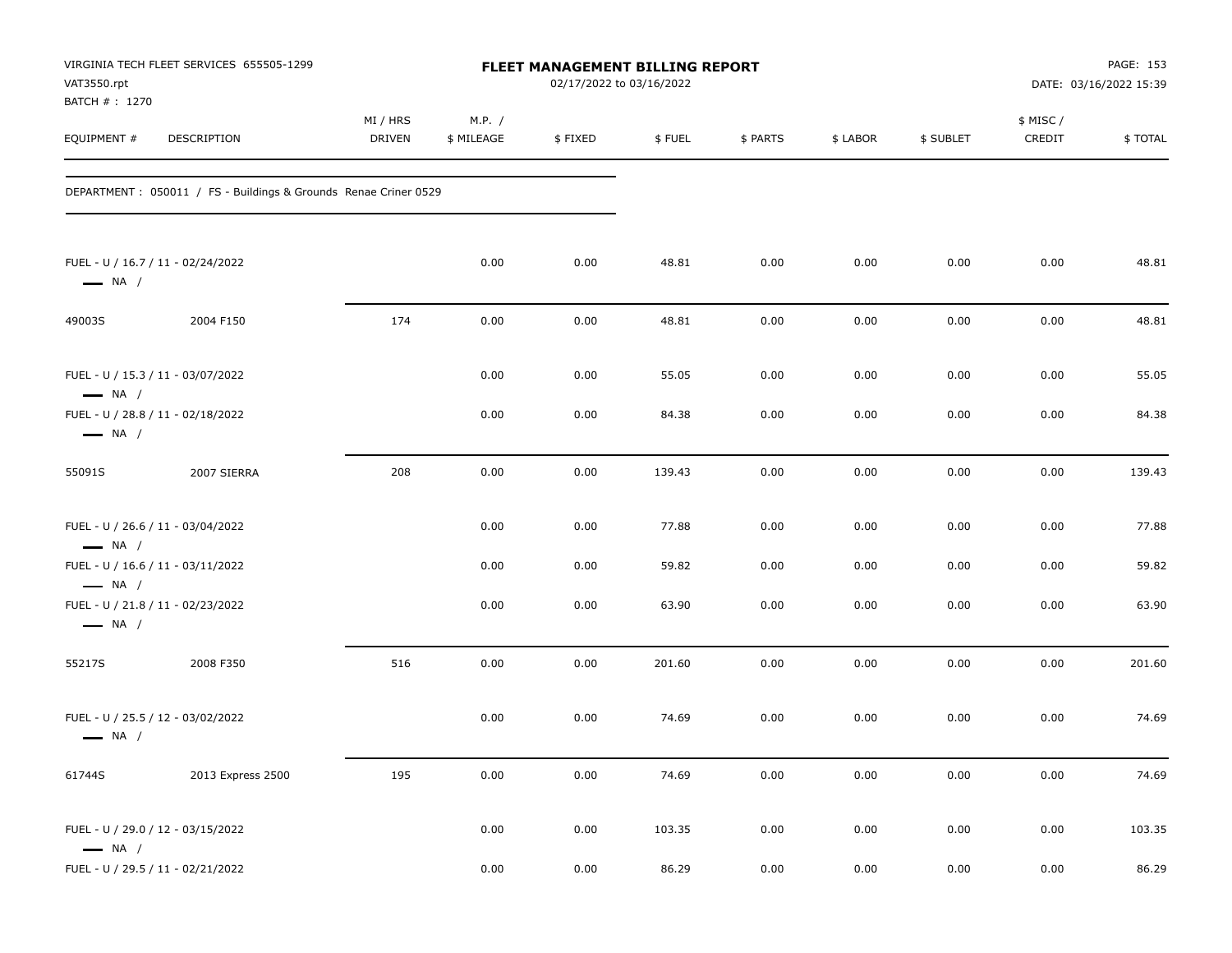| VAT3550.rpt<br>BATCH #: 1270                                              | VIRGINIA TECH FLEET SERVICES 655505-1299                         |                           |                      | <b>FLEET MANAGEMENT BILLING REPORT</b><br>02/17/2022 to 03/16/2022 |        |          |          | PAGE: 153<br>DATE: 03/16/2022 15:39 |                    |         |
|---------------------------------------------------------------------------|------------------------------------------------------------------|---------------------------|----------------------|--------------------------------------------------------------------|--------|----------|----------|-------------------------------------|--------------------|---------|
| EQUIPMENT#                                                                | DESCRIPTION                                                      | MI / HRS<br><b>DRIVEN</b> | M.P. /<br>\$ MILEAGE | \$FIXED                                                            | \$FUEL | \$ PARTS | \$ LABOR | \$ SUBLET                           | \$ MISC/<br>CREDIT | \$TOTAL |
|                                                                           | DEPARTMENT : 050011 / FS - Buildings & Grounds Renae Criner 0529 |                           |                      |                                                                    |        |          |          |                                     |                    |         |
| FUEL - U / 16.7 / 11 - 02/24/2022<br>$\longrightarrow$ NA /               |                                                                  |                           | 0.00                 | 0.00                                                               | 48.81  | 0.00     | 0.00     | 0.00                                | 0.00               | 48.81   |
| 49003S                                                                    | 2004 F150                                                        | 174                       | 0.00                 | 0.00                                                               | 48.81  | 0.00     | 0.00     | 0.00                                | 0.00               | 48.81   |
| FUEL - U / 15.3 / 11 - 03/07/2022<br>$\longrightarrow$ NA /               |                                                                  |                           | 0.00                 | 0.00                                                               | 55.05  | 0.00     | 0.00     | 0.00                                | 0.00               | 55.05   |
| FUEL - U / 28.8 / 11 - 02/18/2022<br>$\longrightarrow$ NA /               |                                                                  |                           | 0.00                 | 0.00                                                               | 84.38  | 0.00     | 0.00     | 0.00                                | 0.00               | 84.38   |
| 55091S                                                                    | 2007 SIERRA                                                      | 208                       | 0.00                 | 0.00                                                               | 139.43 | 0.00     | 0.00     | 0.00                                | 0.00               | 139.43  |
| FUEL - U / 26.6 / 11 - 03/04/2022<br>$\longrightarrow$ NA /               |                                                                  |                           | 0.00                 | 0.00                                                               | 77.88  | 0.00     | 0.00     | 0.00                                | 0.00               | 77.88   |
| FUEL - U / 16.6 / 11 - 03/11/2022                                         |                                                                  |                           | 0.00                 | 0.00                                                               | 59.82  | 0.00     | 0.00     | 0.00                                | 0.00               | 59.82   |
| $-$ NA $/$<br>FUEL - U / 21.8 / 11 - 02/23/2022<br>$\longrightarrow$ NA / |                                                                  |                           | 0.00                 | 0.00                                                               | 63.90  | 0.00     | 0.00     | 0.00                                | 0.00               | 63.90   |
| 55217S                                                                    | 2008 F350                                                        | 516                       | 0.00                 | 0.00                                                               | 201.60 | 0.00     | 0.00     | 0.00                                | 0.00               | 201.60  |
| FUEL - U / 25.5 / 12 - 03/02/2022<br>$\longrightarrow$ NA /               |                                                                  |                           | 0.00                 | 0.00                                                               | 74.69  | 0.00     | 0.00     | 0.00                                | 0.00               | 74.69   |
| 61744S                                                                    | 2013 Express 2500                                                | 195                       | 0.00                 | 0.00                                                               | 74.69  | 0.00     | 0.00     | 0.00                                | 0.00               | 74.69   |
| FUEL - U / 29.0 / 12 - 03/15/2022<br>$\longrightarrow$ NA /               |                                                                  |                           | 0.00                 | 0.00                                                               | 103.35 | 0.00     | 0.00     | 0.00                                | 0.00               | 103.35  |
| FUEL - U / 29.5 / 11 - 02/21/2022                                         |                                                                  |                           | 0.00                 | 0.00                                                               | 86.29  | 0.00     | 0.00     | 0.00                                | $0.00\,$           | 86.29   |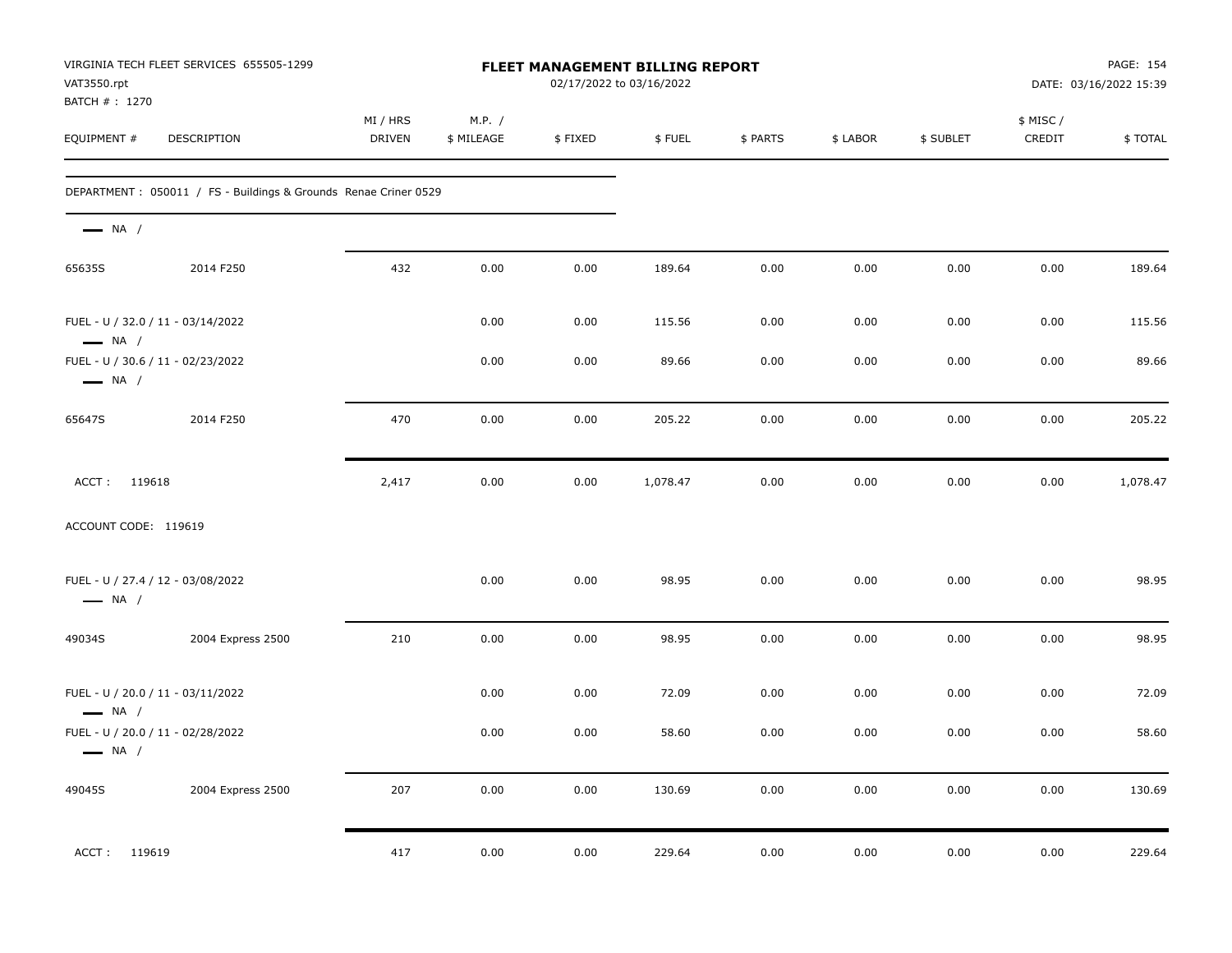| VAT3550.rpt<br>BATCH # : 1270                               | VIRGINIA TECH FLEET SERVICES 655505-1299                         |                    |                      |         | FLEET MANAGEMENT BILLING REPORT<br>02/17/2022 to 03/16/2022 |          |          | PAGE: 154<br>DATE: 03/16/2022 15:39 |                     |          |
|-------------------------------------------------------------|------------------------------------------------------------------|--------------------|----------------------|---------|-------------------------------------------------------------|----------|----------|-------------------------------------|---------------------|----------|
| EQUIPMENT #                                                 | DESCRIPTION                                                      | MI / HRS<br>DRIVEN | M.P. /<br>\$ MILEAGE | \$FIXED | \$FUEL                                                      | \$ PARTS | \$ LABOR | \$ SUBLET                           | \$ MISC /<br>CREDIT | \$TOTAL  |
|                                                             | DEPARTMENT : 050011 / FS - Buildings & Grounds Renae Criner 0529 |                    |                      |         |                                                             |          |          |                                     |                     |          |
| $\longrightarrow$ NA /                                      |                                                                  |                    |                      |         |                                                             |          |          |                                     |                     |          |
| 65635S                                                      | 2014 F250                                                        | 432                | 0.00                 | 0.00    | 189.64                                                      | 0.00     | 0.00     | 0.00                                | 0.00                | 189.64   |
| FUEL - U / 32.0 / 11 - 03/14/2022<br>$\longrightarrow$ NA / |                                                                  |                    | 0.00                 | 0.00    | 115.56                                                      | 0.00     | 0.00     | 0.00                                | 0.00                | 115.56   |
| FUEL - U / 30.6 / 11 - 02/23/2022<br>$\longrightarrow$ NA / |                                                                  |                    | 0.00                 | 0.00    | 89.66                                                       | 0.00     | 0.00     | 0.00                                | 0.00                | 89.66    |
| 65647S                                                      | 2014 F250                                                        | 470                | 0.00                 | 0.00    | 205.22                                                      | 0.00     | 0.00     | 0.00                                | 0.00                | 205.22   |
| ACCT: 119618                                                |                                                                  | 2,417              | 0.00                 | 0.00    | 1,078.47                                                    | 0.00     | 0.00     | 0.00                                | 0.00                | 1,078.47 |
| ACCOUNT CODE: 119619                                        |                                                                  |                    |                      |         |                                                             |          |          |                                     |                     |          |
| FUEL - U / 27.4 / 12 - 03/08/2022<br>$\longrightarrow$ NA / |                                                                  |                    | 0.00                 | 0.00    | 98.95                                                       | 0.00     | 0.00     | 0.00                                | 0.00                | 98.95    |
| 49034S                                                      | 2004 Express 2500                                                | 210                | 0.00                 | 0.00    | 98.95                                                       | 0.00     | 0.00     | 0.00                                | 0.00                | 98.95    |
| FUEL - U / 20.0 / 11 - 03/11/2022<br>$\longrightarrow$ NA / |                                                                  |                    | 0.00                 | 0.00    | 72.09                                                       | 0.00     | 0.00     | 0.00                                | 0.00                | 72.09    |
| FUEL - U / 20.0 / 11 - 02/28/2022<br>$\longrightarrow$ NA / |                                                                  |                    | 0.00                 | 0.00    | 58.60                                                       | 0.00     | 0.00     | 0.00                                | 0.00                | 58.60    |
| 49045S                                                      | 2004 Express 2500                                                | 207                | 0.00                 | 0.00    | 130.69                                                      | 0.00     | 0.00     | 0.00                                | 0.00                | 130.69   |
| ACCT: 119619                                                |                                                                  | 417                | 0.00                 | 0.00    | 229.64                                                      | 0.00     | 0.00     | 0.00                                | 0.00                | 229.64   |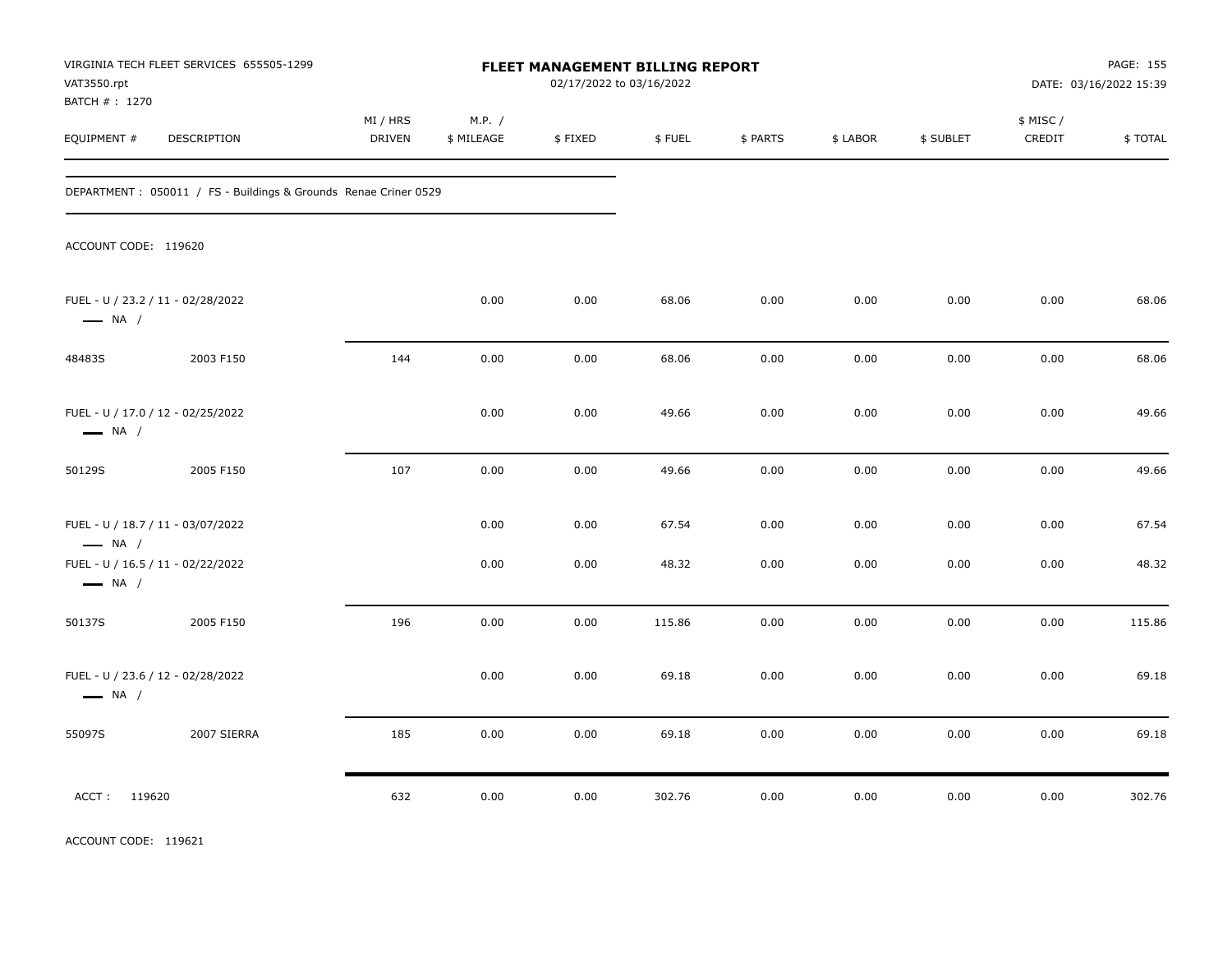| VAT3550.rpt<br>BATCH # : 1270                               | VIRGINIA TECH FLEET SERVICES 655505-1299                         |                           |                      |         | FLEET MANAGEMENT BILLING REPORT<br>02/17/2022 to 03/16/2022 |          |          | PAGE: 155<br>DATE: 03/16/2022 15:39 |                     |         |
|-------------------------------------------------------------|------------------------------------------------------------------|---------------------------|----------------------|---------|-------------------------------------------------------------|----------|----------|-------------------------------------|---------------------|---------|
| EQUIPMENT #                                                 | DESCRIPTION                                                      | MI / HRS<br><b>DRIVEN</b> | M.P. /<br>\$ MILEAGE | \$FIXED | \$FUEL                                                      | \$ PARTS | \$ LABOR | \$ SUBLET                           | \$ MISC /<br>CREDIT | \$TOTAL |
|                                                             | DEPARTMENT : 050011 / FS - Buildings & Grounds Renae Criner 0529 |                           |                      |         |                                                             |          |          |                                     |                     |         |
| ACCOUNT CODE: 119620                                        |                                                                  |                           |                      |         |                                                             |          |          |                                     |                     |         |
| FUEL - U / 23.2 / 11 - 02/28/2022<br>$\longrightarrow$ NA / |                                                                  |                           | 0.00                 | 0.00    | 68.06                                                       | 0.00     | 0.00     | 0.00                                | 0.00                | 68.06   |
| 48483S                                                      | 2003 F150                                                        | 144                       | 0.00                 | 0.00    | 68.06                                                       | 0.00     | 0.00     | 0.00                                | 0.00                | 68.06   |
| FUEL - U / 17.0 / 12 - 02/25/2022<br>$\longrightarrow$ NA / |                                                                  |                           | 0.00                 | 0.00    | 49.66                                                       | 0.00     | 0.00     | 0.00                                | 0.00                | 49.66   |
| 50129S                                                      | 2005 F150                                                        | 107                       | 0.00                 | 0.00    | 49.66                                                       | 0.00     | 0.00     | 0.00                                | 0.00                | 49.66   |
| FUEL - U / 18.7 / 11 - 03/07/2022<br>$\longrightarrow$ NA / |                                                                  |                           | 0.00                 | 0.00    | 67.54                                                       | 0.00     | 0.00     | 0.00                                | 0.00                | 67.54   |
| FUEL - U / 16.5 / 11 - 02/22/2022<br>$\longrightarrow$ NA / |                                                                  |                           | 0.00                 | 0.00    | 48.32                                                       | 0.00     | 0.00     | 0.00                                | 0.00                | 48.32   |
| 50137S                                                      | 2005 F150                                                        | 196                       | 0.00                 | 0.00    | 115.86                                                      | 0.00     | 0.00     | 0.00                                | 0.00                | 115.86  |
| FUEL - U / 23.6 / 12 - 02/28/2022<br>$\longrightarrow$ NA / |                                                                  |                           | 0.00                 | 0.00    | 69.18                                                       | 0.00     | 0.00     | 0.00                                | 0.00                | 69.18   |
| 55097S                                                      | 2007 SIERRA                                                      | 185                       | 0.00                 | 0.00    | 69.18                                                       | 0.00     | 0.00     | 0.00                                | 0.00                | 69.18   |
| ACCT: 119620                                                |                                                                  | 632                       | 0.00                 | 0.00    | 302.76                                                      | 0.00     | 0.00     | 0.00                                | 0.00                | 302.76  |

ACCOUNT CODE: 119621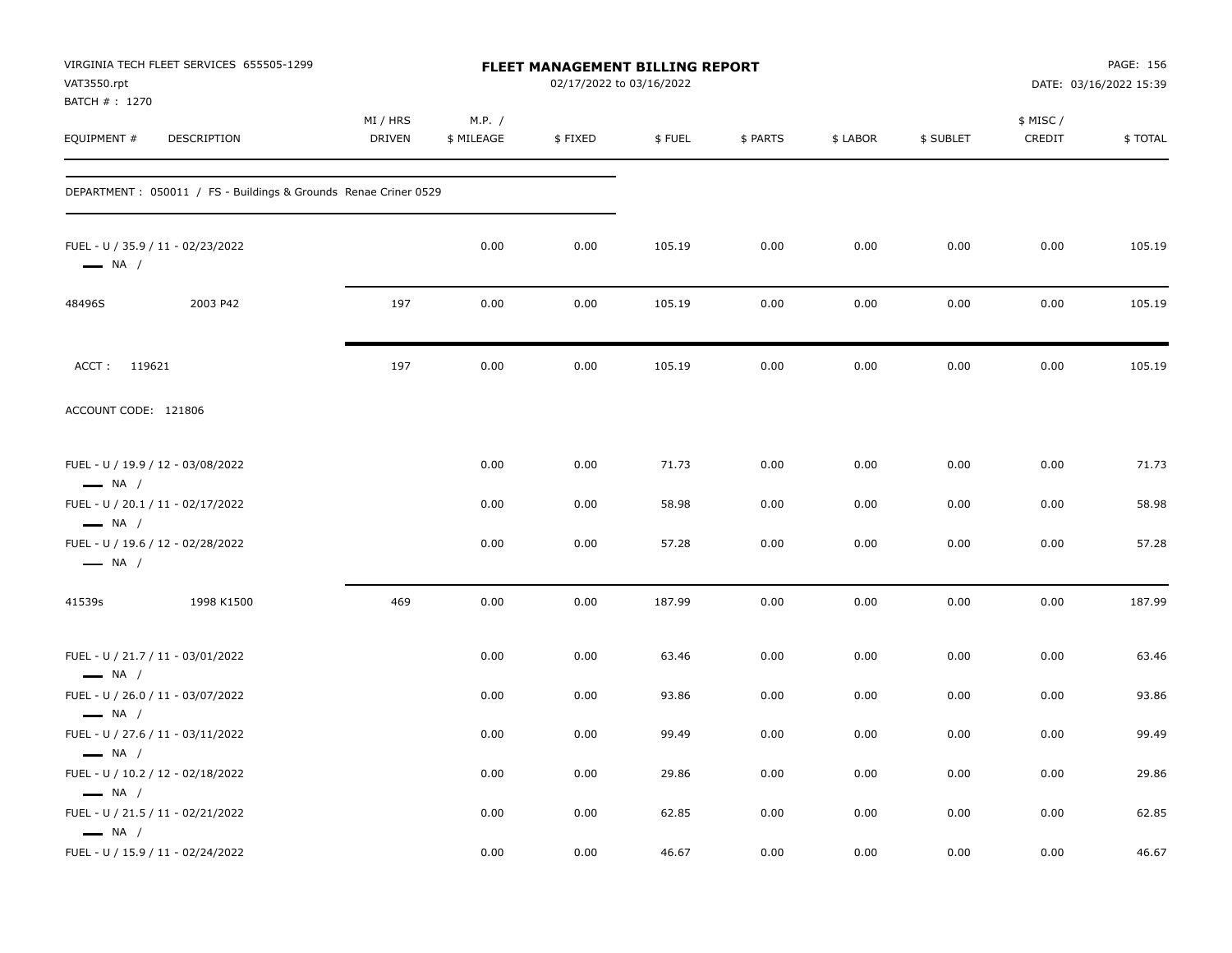| VAT3550.rpt<br>BATCH # : 1270                               | VIRGINIA TECH FLEET SERVICES 655505-1299                         |                    |                      | FLEET MANAGEMENT BILLING REPORT<br>02/17/2022 to 03/16/2022 |        |          |          | PAGE: 156<br>DATE: 03/16/2022 15:39 |                     |         |
|-------------------------------------------------------------|------------------------------------------------------------------|--------------------|----------------------|-------------------------------------------------------------|--------|----------|----------|-------------------------------------|---------------------|---------|
| EQUIPMENT #                                                 | <b>DESCRIPTION</b>                                               | MI / HRS<br>DRIVEN | M.P. /<br>\$ MILEAGE | \$FIXED                                                     | \$FUEL | \$ PARTS | \$ LABOR | \$ SUBLET                           | \$ MISC /<br>CREDIT | \$TOTAL |
|                                                             | DEPARTMENT : 050011 / FS - Buildings & Grounds Renae Criner 0529 |                    |                      |                                                             |        |          |          |                                     |                     |         |
| $\longrightarrow$ NA /                                      | FUEL - U / 35.9 / 11 - 02/23/2022                                |                    | 0.00                 | 0.00                                                        | 105.19 | 0.00     | 0.00     | 0.00                                | 0.00                | 105.19  |
| 48496S                                                      | 2003 P42                                                         | 197                | 0.00                 | 0.00                                                        | 105.19 | 0.00     | 0.00     | 0.00                                | 0.00                | 105.19  |
| ACCT: 119621                                                |                                                                  | 197                | 0.00                 | 0.00                                                        | 105.19 | 0.00     | 0.00     | 0.00                                | 0.00                | 105.19  |
| ACCOUNT CODE: 121806                                        |                                                                  |                    |                      |                                                             |        |          |          |                                     |                     |         |
| FUEL - U / 19.9 / 12 - 03/08/2022<br>$\longrightarrow$ NA / |                                                                  |                    | 0.00                 | 0.00                                                        | 71.73  | 0.00     | 0.00     | 0.00                                | 0.00                | 71.73   |
|                                                             | FUEL - U / 20.1 / 11 - 02/17/2022                                |                    | 0.00                 | 0.00                                                        | 58.98  | 0.00     | 0.00     | 0.00                                | 0.00                | 58.98   |
| $\longrightarrow$ NA /<br>$\longrightarrow$ NA /            | FUEL - U / 19.6 / 12 - 02/28/2022                                |                    | 0.00                 | 0.00                                                        | 57.28  | 0.00     | 0.00     | 0.00                                | 0.00                | 57.28   |
| 41539s                                                      | 1998 K1500                                                       | 469                | 0.00                 | 0.00                                                        | 187.99 | 0.00     | 0.00     | 0.00                                | 0.00                | 187.99  |
| $\longrightarrow$ NA /                                      | FUEL - U / 21.7 / 11 - 03/01/2022                                |                    | 0.00                 | 0.00                                                        | 63.46  | 0.00     | 0.00     | 0.00                                | 0.00                | 63.46   |
|                                                             | FUEL - U / 26.0 / 11 - 03/07/2022                                |                    | 0.00                 | 0.00                                                        | 93.86  | 0.00     | 0.00     | 0.00                                | 0.00                | 93.86   |
| $\longrightarrow$ NA /<br>$\longrightarrow$ NA /            | FUEL - U / 27.6 / 11 - 03/11/2022                                |                    | 0.00                 | 0.00                                                        | 99.49  | 0.00     | 0.00     | 0.00                                | 0.00                | 99.49   |
| $\longrightarrow$ NA /                                      | FUEL - U / 10.2 / 12 - 02/18/2022                                |                    | 0.00                 | 0.00                                                        | 29.86  | 0.00     | 0.00     | 0.00                                | 0.00                | 29.86   |
| $\longrightarrow$ NA /                                      | FUEL - U / 21.5 / 11 - 02/21/2022                                |                    | 0.00                 | 0.00                                                        | 62.85  | 0.00     | 0.00     | 0.00                                | 0.00                | 62.85   |
|                                                             | FUEL - U / 15.9 / 11 - 02/24/2022                                |                    | 0.00                 | 0.00                                                        | 46.67  | 0.00     | 0.00     | 0.00                                | 0.00                | 46.67   |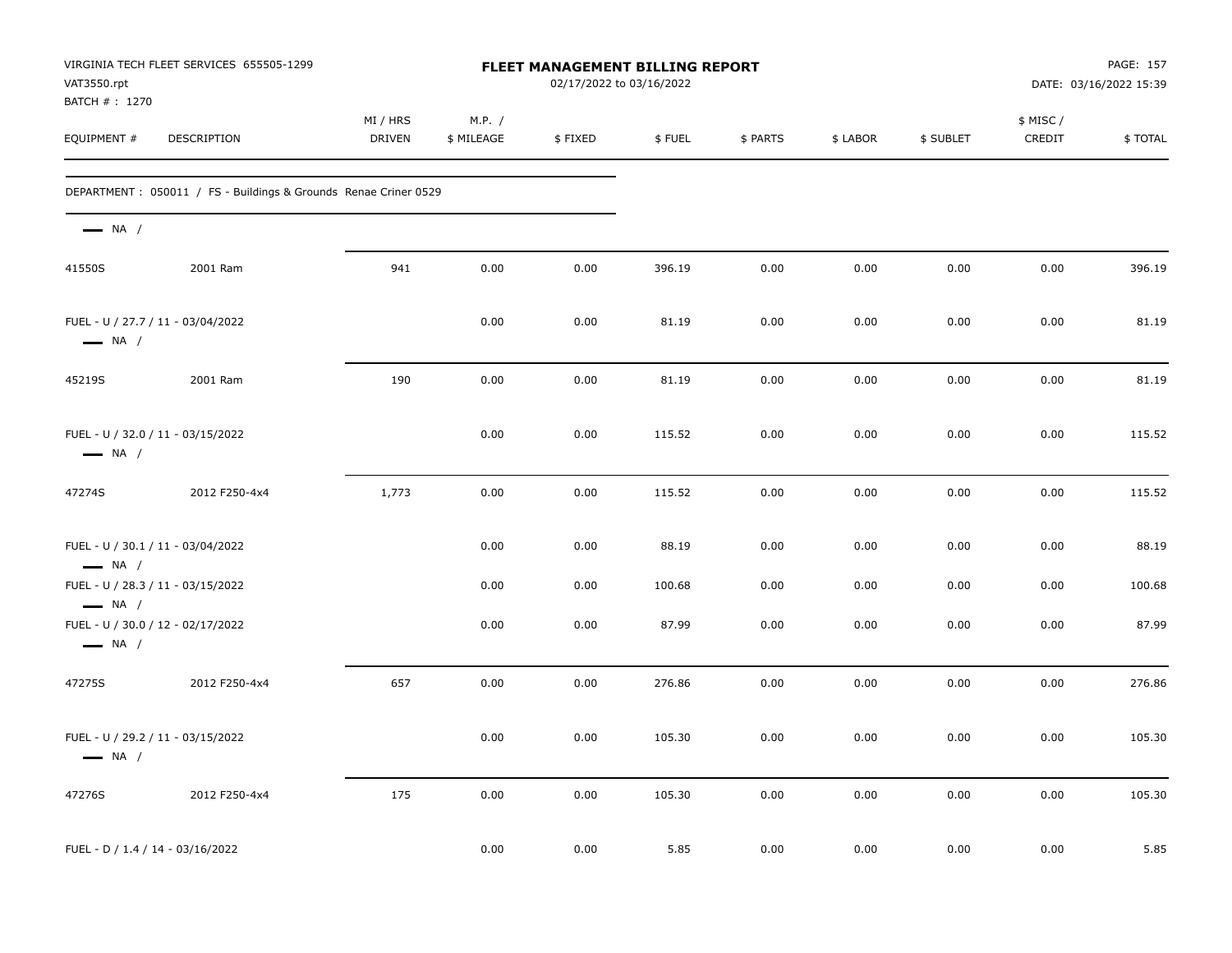| VAT3550.rpt<br>BATCH # : 1270                               | VIRGINIA TECH FLEET SERVICES 655505-1299                        | FLEET MANAGEMENT BILLING REPORT<br>02/17/2022 to 03/16/2022 |                      |         |        |          |          |           |                     | PAGE: 157<br>DATE: 03/16/2022 15:39 |  |
|-------------------------------------------------------------|-----------------------------------------------------------------|-------------------------------------------------------------|----------------------|---------|--------|----------|----------|-----------|---------------------|-------------------------------------|--|
| EQUIPMENT #                                                 | DESCRIPTION                                                     | MI / HRS<br><b>DRIVEN</b>                                   | M.P. /<br>\$ MILEAGE | \$FIXED | \$FUEL | \$ PARTS | \$ LABOR | \$ SUBLET | \$ MISC /<br>CREDIT | \$TOTAL                             |  |
|                                                             | DEPARTMENT: 050011 / FS - Buildings & Grounds Renae Criner 0529 |                                                             |                      |         |        |          |          |           |                     |                                     |  |
| $\longrightarrow$ NA /                                      |                                                                 |                                                             |                      |         |        |          |          |           |                     |                                     |  |
| 41550S                                                      | 2001 Ram                                                        | 941                                                         | 0.00                 | 0.00    | 396.19 | 0.00     | 0.00     | 0.00      | 0.00                | 396.19                              |  |
| FUEL - U / 27.7 / 11 - 03/04/2022<br>$\longrightarrow$ NA / |                                                                 |                                                             | 0.00                 | 0.00    | 81.19  | 0.00     | 0.00     | 0.00      | 0.00                | 81.19                               |  |
| 45219S                                                      | 2001 Ram                                                        | 190                                                         | 0.00                 | 0.00    | 81.19  | 0.00     | 0.00     | 0.00      | 0.00                | 81.19                               |  |
| FUEL - U / 32.0 / 11 - 03/15/2022<br>$\longrightarrow$ NA / |                                                                 |                                                             | 0.00                 | 0.00    | 115.52 | 0.00     | 0.00     | 0.00      | 0.00                | 115.52                              |  |
| 47274S                                                      | 2012 F250-4x4                                                   | 1,773                                                       | 0.00                 | 0.00    | 115.52 | 0.00     | 0.00     | 0.00      | 0.00                | 115.52                              |  |
| FUEL - U / 30.1 / 11 - 03/04/2022<br>$\longrightarrow$ NA / |                                                                 |                                                             | 0.00                 | 0.00    | 88.19  | 0.00     | 0.00     | 0.00      | 0.00                | 88.19                               |  |
| FUEL - U / 28.3 / 11 - 03/15/2022<br>$\longrightarrow$ NA / |                                                                 |                                                             | 0.00                 | 0.00    | 100.68 | 0.00     | 0.00     | 0.00      | 0.00                | 100.68                              |  |
| FUEL - U / 30.0 / 12 - 02/17/2022<br>$\longrightarrow$ NA / |                                                                 |                                                             | 0.00                 | 0.00    | 87.99  | 0.00     | 0.00     | 0.00      | 0.00                | 87.99                               |  |
| 47275S                                                      | 2012 F250-4x4                                                   | 657                                                         | 0.00                 | 0.00    | 276.86 | 0.00     | 0.00     | 0.00      | 0.00                | 276.86                              |  |
| FUEL - U / 29.2 / 11 - 03/15/2022<br>$\longrightarrow$ NA / |                                                                 |                                                             | 0.00                 | 0.00    | 105.30 | 0.00     | 0.00     | 0.00      | 0.00                | 105.30                              |  |
| 47276S                                                      | 2012 F250-4x4                                                   | 175                                                         | 0.00                 | 0.00    | 105.30 | 0.00     | 0.00     | 0.00      | 0.00                | 105.30                              |  |
| FUEL - D / 1.4 / 14 - 03/16/2022                            |                                                                 |                                                             | 0.00                 | 0.00    | 5.85   | 0.00     | 0.00     | 0.00      | 0.00                | 5.85                                |  |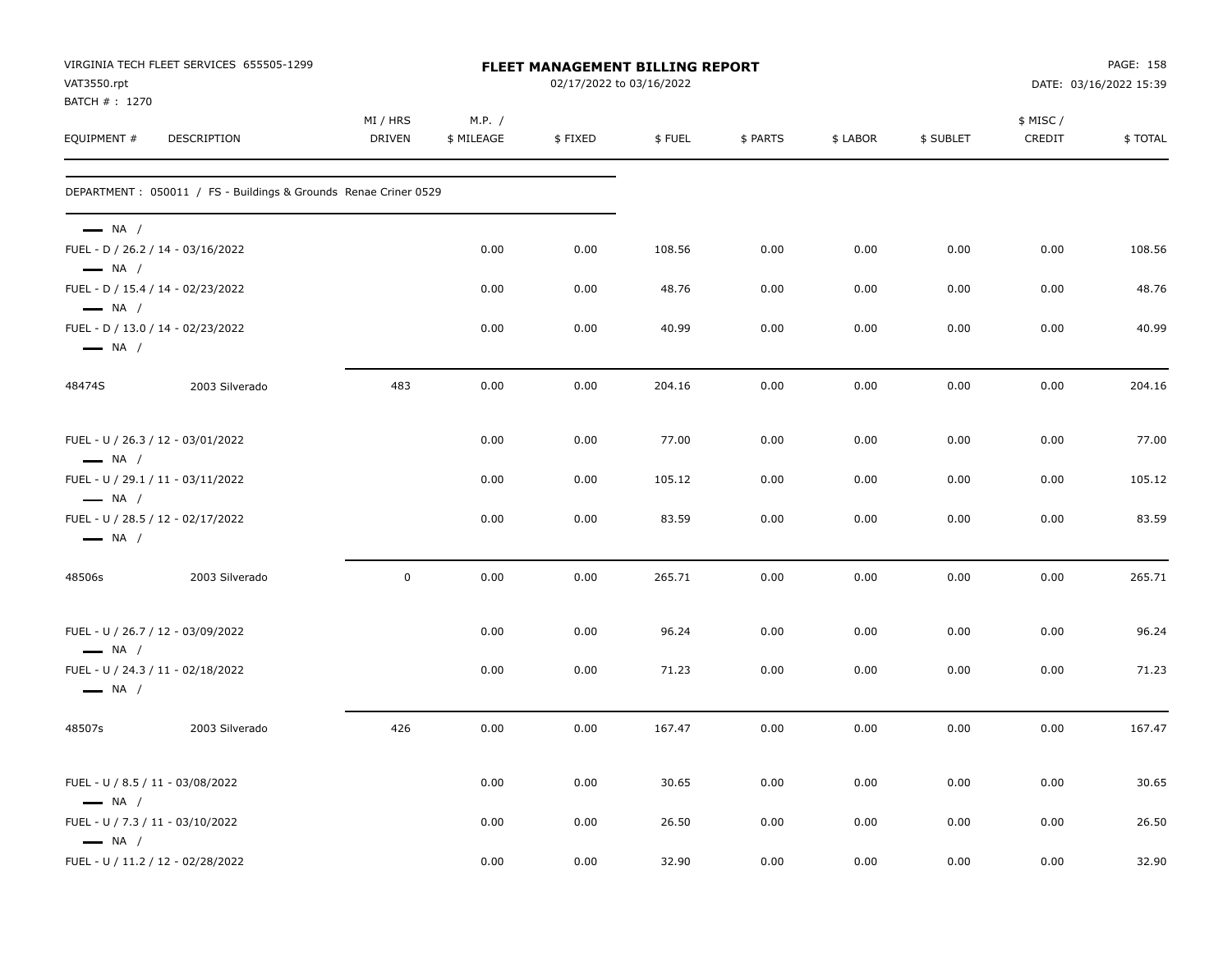| VAT3550.rpt<br>BATCH # : 1270                              | VIRGINIA TECH FLEET SERVICES 655505-1299                         | FLEET MANAGEMENT BILLING REPORT<br>02/17/2022 to 03/16/2022 |                      |         |        |          |          |           | PAGE: 158<br>DATE: 03/16/2022 15:39 |         |
|------------------------------------------------------------|------------------------------------------------------------------|-------------------------------------------------------------|----------------------|---------|--------|----------|----------|-----------|-------------------------------------|---------|
| EQUIPMENT#                                                 | DESCRIPTION                                                      | MI / HRS<br><b>DRIVEN</b>                                   | M.P. /<br>\$ MILEAGE | \$FIXED | \$FUEL | \$ PARTS | \$ LABOR | \$ SUBLET | \$ MISC /<br>CREDIT                 | \$TOTAL |
|                                                            | DEPARTMENT : 050011 / FS - Buildings & Grounds Renae Criner 0529 |                                                             |                      |         |        |          |          |           |                                     |         |
| $\longrightarrow$ NA /<br>$\longrightarrow$ NA /           | FUEL - D / 26.2 / 14 - 03/16/2022                                |                                                             | 0.00                 | 0.00    | 108.56 | 0.00     | 0.00     | 0.00      | 0.00                                | 108.56  |
| $\longrightarrow$ NA /                                     | FUEL - D / 15.4 / 14 - 02/23/2022                                |                                                             | 0.00                 | 0.00    | 48.76  | 0.00     | 0.00     | 0.00      | 0.00                                | 48.76   |
| $\longrightarrow$ NA /                                     | FUEL - D / 13.0 / 14 - 02/23/2022                                |                                                             | 0.00                 | 0.00    | 40.99  | 0.00     | 0.00     | 0.00      | 0.00                                | 40.99   |
| 48474S                                                     | 2003 Silverado                                                   | 483                                                         | 0.00                 | 0.00    | 204.16 | 0.00     | 0.00     | 0.00      | 0.00                                | 204.16  |
| $\longrightarrow$ NA /                                     | FUEL - U / 26.3 / 12 - 03/01/2022                                |                                                             | 0.00                 | 0.00    | 77.00  | 0.00     | 0.00     | 0.00      | 0.00                                | 77.00   |
|                                                            | FUEL - U / 29.1 / 11 - 03/11/2022                                |                                                             | 0.00                 | 0.00    | 105.12 | 0.00     | 0.00     | 0.00      | 0.00                                | 105.12  |
| $\longrightarrow$ NA /<br>$\longrightarrow$ NA /           | FUEL - U / 28.5 / 12 - 02/17/2022                                |                                                             | 0.00                 | 0.00    | 83.59  | 0.00     | 0.00     | 0.00      | 0.00                                | 83.59   |
| 48506s                                                     | 2003 Silverado                                                   | $\mathbf 0$                                                 | 0.00                 | 0.00    | 265.71 | 0.00     | 0.00     | 0.00      | 0.00                                | 265.71  |
| $\longrightarrow$ NA /                                     | FUEL - U / 26.7 / 12 - 03/09/2022                                |                                                             | 0.00                 | 0.00    | 96.24  | 0.00     | 0.00     | 0.00      | 0.00                                | 96.24   |
| $\longrightarrow$ NA /                                     | FUEL - U / 24.3 / 11 - 02/18/2022                                |                                                             | 0.00                 | 0.00    | 71.23  | 0.00     | 0.00     | 0.00      | 0.00                                | 71.23   |
| 48507s                                                     | 2003 Silverado                                                   | 426                                                         | 0.00                 | 0.00    | 167.47 | 0.00     | 0.00     | 0.00      | 0.00                                | 167.47  |
| FUEL - U / 8.5 / 11 - 03/08/2022<br>$\longrightarrow$ NA / |                                                                  |                                                             | 0.00                 | 0.00    | 30.65  | 0.00     | 0.00     | 0.00      | 0.00                                | 30.65   |
| FUEL - U / 7.3 / 11 - 03/10/2022<br>$\longrightarrow$ NA / |                                                                  |                                                             | 0.00                 | 0.00    | 26.50  | 0.00     | 0.00     | 0.00      | 0.00                                | 26.50   |
|                                                            | FUEL - U / 11.2 / 12 - 02/28/2022                                |                                                             | 0.00                 | 0.00    | 32.90  | 0.00     | 0.00     | 0.00      | 0.00                                | 32.90   |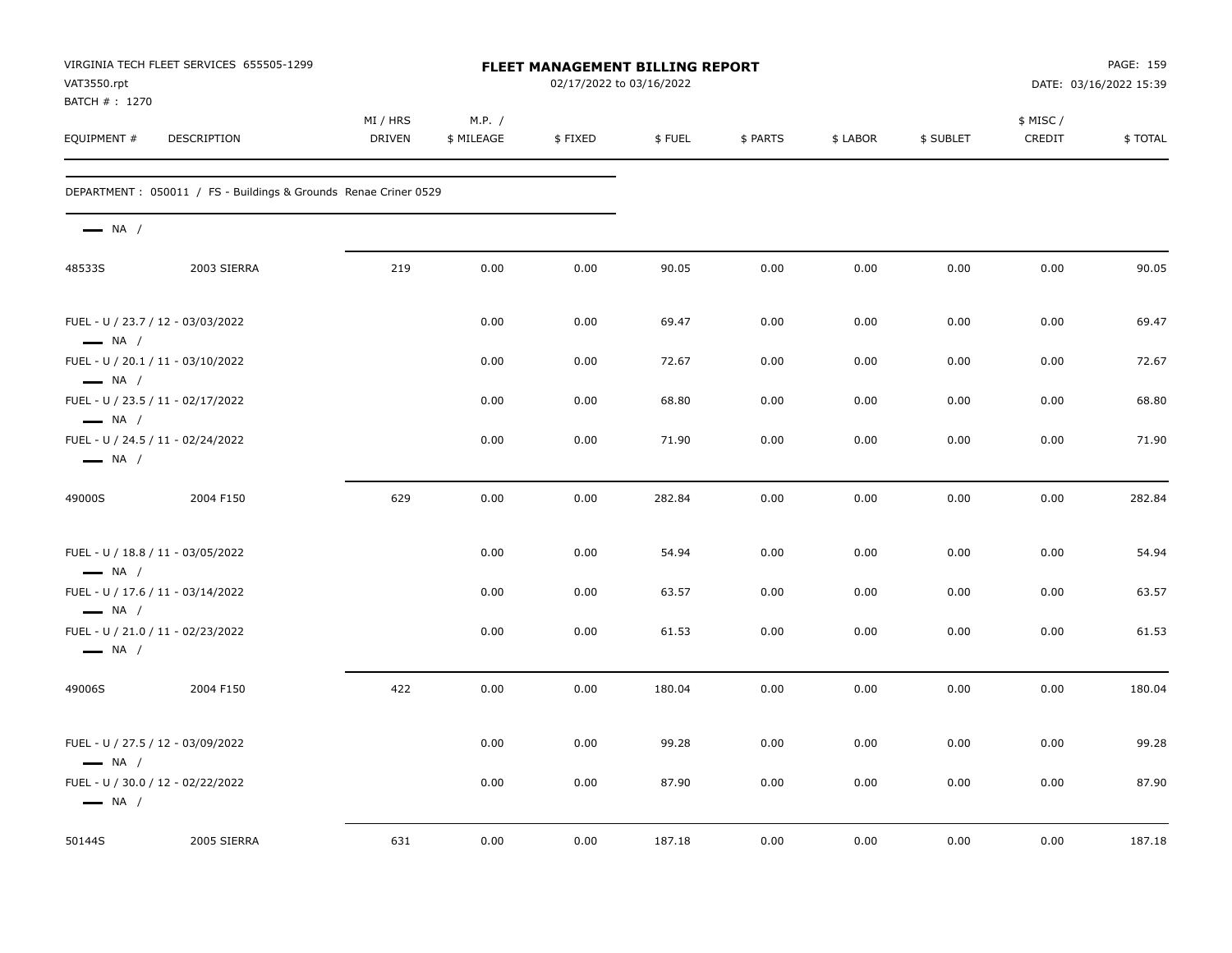| VAT3550.rpt<br>BATCH #: 1270                                | VIRGINIA TECH FLEET SERVICES 655505-1299                        | FLEET MANAGEMENT BILLING REPORT<br>02/17/2022 to 03/16/2022 |                      |         |        |          |          | PAGE: 159<br>DATE: 03/16/2022 15:39 |                     |         |
|-------------------------------------------------------------|-----------------------------------------------------------------|-------------------------------------------------------------|----------------------|---------|--------|----------|----------|-------------------------------------|---------------------|---------|
| EQUIPMENT #                                                 | <b>DESCRIPTION</b>                                              | MI / HRS<br><b>DRIVEN</b>                                   | M.P. /<br>\$ MILEAGE | \$FIXED | \$FUEL | \$ PARTS | \$ LABOR | \$ SUBLET                           | \$ MISC /<br>CREDIT | \$TOTAL |
|                                                             | DEPARTMENT: 050011 / FS - Buildings & Grounds Renae Criner 0529 |                                                             |                      |         |        |          |          |                                     |                     |         |
| $\longrightarrow$ NA /                                      |                                                                 |                                                             |                      |         |        |          |          |                                     |                     |         |
| 48533S                                                      | 2003 SIERRA                                                     | 219                                                         | 0.00                 | 0.00    | 90.05  | 0.00     | 0.00     | 0.00                                | 0.00                | 90.05   |
| FUEL - U / 23.7 / 12 - 03/03/2022<br>$-$ NA /               |                                                                 |                                                             | 0.00                 | 0.00    | 69.47  | 0.00     | 0.00     | 0.00                                | 0.00                | 69.47   |
| FUEL - U / 20.1 / 11 - 03/10/2022<br>$\longrightarrow$ NA / |                                                                 |                                                             | 0.00                 | 0.00    | 72.67  | 0.00     | 0.00     | 0.00                                | 0.00                | 72.67   |
| FUEL - U / 23.5 / 11 - 02/17/2022<br>$\longrightarrow$ NA / |                                                                 |                                                             | 0.00                 | 0.00    | 68.80  | 0.00     | 0.00     | 0.00                                | 0.00                | 68.80   |
| FUEL - U / 24.5 / 11 - 02/24/2022<br>$\longrightarrow$ NA / |                                                                 |                                                             | 0.00                 | 0.00    | 71.90  | 0.00     | 0.00     | 0.00                                | 0.00                | 71.90   |
| 49000S                                                      | 2004 F150                                                       | 629                                                         | 0.00                 | 0.00    | 282.84 | 0.00     | 0.00     | 0.00                                | 0.00                | 282.84  |
| FUEL - U / 18.8 / 11 - 03/05/2022<br>$\longrightarrow$ NA / |                                                                 |                                                             | 0.00                 | 0.00    | 54.94  | 0.00     | 0.00     | 0.00                                | 0.00                | 54.94   |
| FUEL - U / 17.6 / 11 - 03/14/2022<br>$\longrightarrow$ NA / |                                                                 |                                                             | 0.00                 | 0.00    | 63.57  | 0.00     | 0.00     | 0.00                                | 0.00                | 63.57   |
| FUEL - U / 21.0 / 11 - 02/23/2022<br>$\longrightarrow$ NA / |                                                                 |                                                             | 0.00                 | 0.00    | 61.53  | 0.00     | 0.00     | 0.00                                | 0.00                | 61.53   |
| 49006S                                                      | 2004 F150                                                       | 422                                                         | 0.00                 | 0.00    | 180.04 | 0.00     | 0.00     | 0.00                                | 0.00                | 180.04  |
| FUEL - U / 27.5 / 12 - 03/09/2022<br>$\longrightarrow$ NA / |                                                                 |                                                             | 0.00                 | 0.00    | 99.28  | 0.00     | 0.00     | 0.00                                | 0.00                | 99.28   |
| FUEL - U / 30.0 / 12 - 02/22/2022<br>$\longrightarrow$ NA / |                                                                 |                                                             | 0.00                 | 0.00    | 87.90  | 0.00     | 0.00     | 0.00                                | 0.00                | 87.90   |
| 50144S                                                      | 2005 SIERRA                                                     | 631                                                         | 0.00                 | 0.00    | 187.18 | 0.00     | 0.00     | 0.00                                | 0.00                | 187.18  |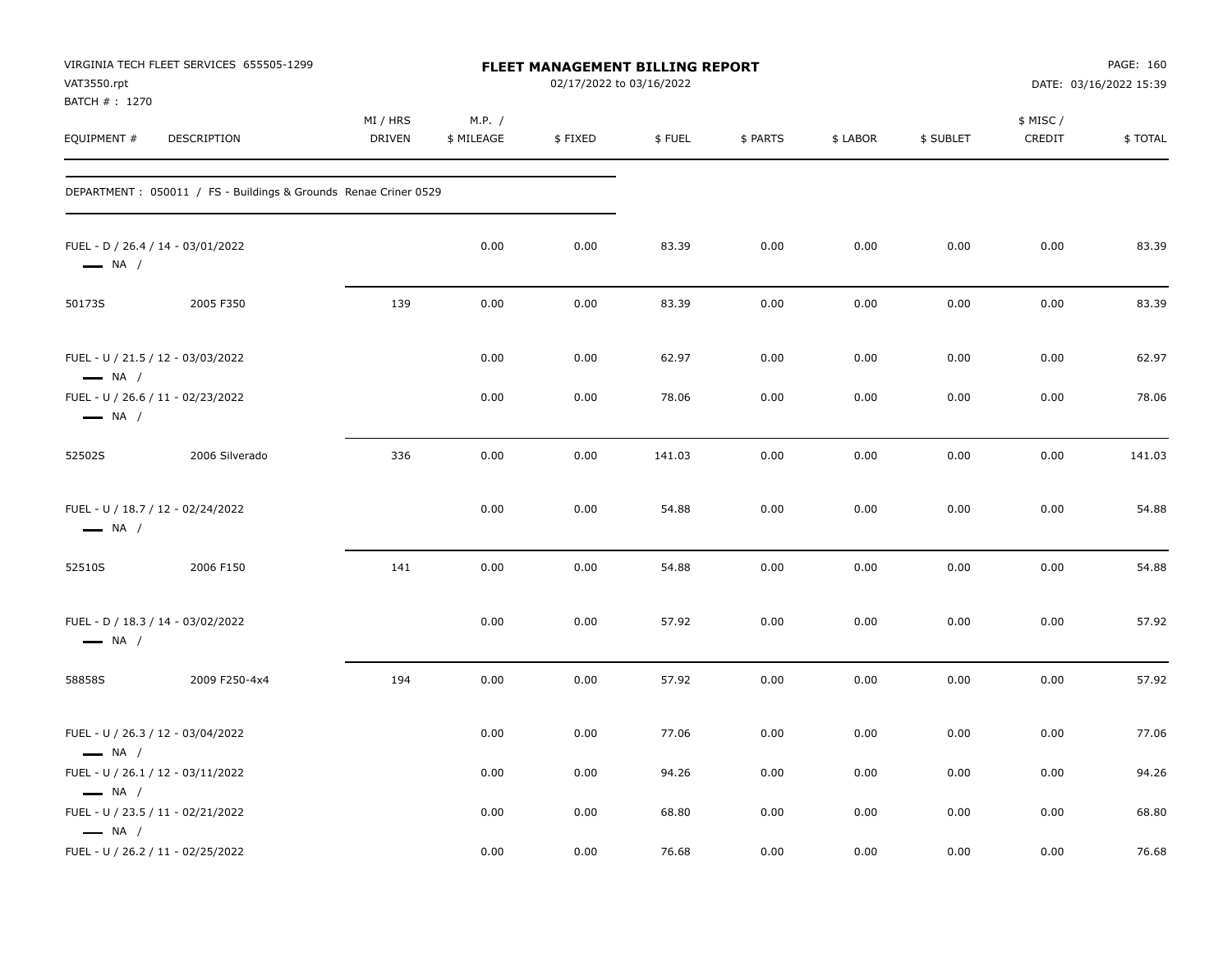| VAT3550.rpt<br>BATCH # : 1270 | VIRGINIA TECH FLEET SERVICES 655505-1299                         | <b>FLEET MANAGEMENT BILLING REPORT</b><br>02/17/2022 to 03/16/2022 |                      |         |        |          |          |           | PAGE: 160<br>DATE: 03/16/2022 15:39 |         |
|-------------------------------|------------------------------------------------------------------|--------------------------------------------------------------------|----------------------|---------|--------|----------|----------|-----------|-------------------------------------|---------|
| EQUIPMENT #                   | DESCRIPTION                                                      | MI / HRS<br><b>DRIVEN</b>                                          | M.P. /<br>\$ MILEAGE | \$FIXED | \$FUEL | \$ PARTS | \$ LABOR | \$ SUBLET | \$ MISC /<br>CREDIT                 | \$TOTAL |
|                               | DEPARTMENT : 050011 / FS - Buildings & Grounds Renae Criner 0529 |                                                                    |                      |         |        |          |          |           |                                     |         |
| $\longrightarrow$ NA /        | FUEL - D / 26.4 / 14 - 03/01/2022                                |                                                                    | 0.00                 | 0.00    | 83.39  | 0.00     | 0.00     | 0.00      | 0.00                                | 83.39   |
| 50173S                        | 2005 F350                                                        | 139                                                                | 0.00                 | 0.00    | 83.39  | 0.00     | 0.00     | 0.00      | 0.00                                | 83.39   |
| $\longrightarrow$ NA /        | FUEL - U / 21.5 / 12 - 03/03/2022                                |                                                                    | 0.00                 | 0.00    | 62.97  | 0.00     | 0.00     | 0.00      | 0.00                                | 62.97   |
| $\longrightarrow$ NA /        | FUEL - U / 26.6 / 11 - 02/23/2022                                |                                                                    | 0.00                 | 0.00    | 78.06  | 0.00     | 0.00     | 0.00      | 0.00                                | 78.06   |
| 52502S                        | 2006 Silverado                                                   | 336                                                                | 0.00                 | 0.00    | 141.03 | 0.00     | 0.00     | 0.00      | 0.00                                | 141.03  |
| $\longrightarrow$ NA /        | FUEL - U / 18.7 / 12 - 02/24/2022                                |                                                                    | 0.00                 | 0.00    | 54.88  | 0.00     | 0.00     | 0.00      | 0.00                                | 54.88   |
| 52510S                        | 2006 F150                                                        | 141                                                                | 0.00                 | 0.00    | 54.88  | 0.00     | 0.00     | 0.00      | 0.00                                | 54.88   |
| $\longrightarrow$ NA /        | FUEL - D / 18.3 / 14 - 03/02/2022                                |                                                                    | 0.00                 | 0.00    | 57.92  | 0.00     | 0.00     | 0.00      | 0.00                                | 57.92   |
| 58858S                        | 2009 F250-4x4                                                    | 194                                                                | 0.00                 | 0.00    | 57.92  | 0.00     | 0.00     | 0.00      | 0.00                                | 57.92   |
| $\longrightarrow$ NA /        | FUEL - U / 26.3 / 12 - 03/04/2022                                |                                                                    | 0.00                 | 0.00    | 77.06  | 0.00     | 0.00     | 0.00      | 0.00                                | 77.06   |
| $\longrightarrow$ NA /        | FUEL - U / 26.1 / 12 - 03/11/2022                                |                                                                    | 0.00                 | 0.00    | 94.26  | 0.00     | 0.00     | 0.00      | 0.00                                | 94.26   |
| $\longrightarrow$ NA /        | FUEL - U / 23.5 / 11 - 02/21/2022                                |                                                                    | 0.00                 | 0.00    | 68.80  | 0.00     | 0.00     | 0.00      | 0.00                                | 68.80   |
|                               | FUEL - U / 26.2 / 11 - 02/25/2022                                |                                                                    | 0.00                 | 0.00    | 76.68  | 0.00     | 0.00     | 0.00      | 0.00                                | 76.68   |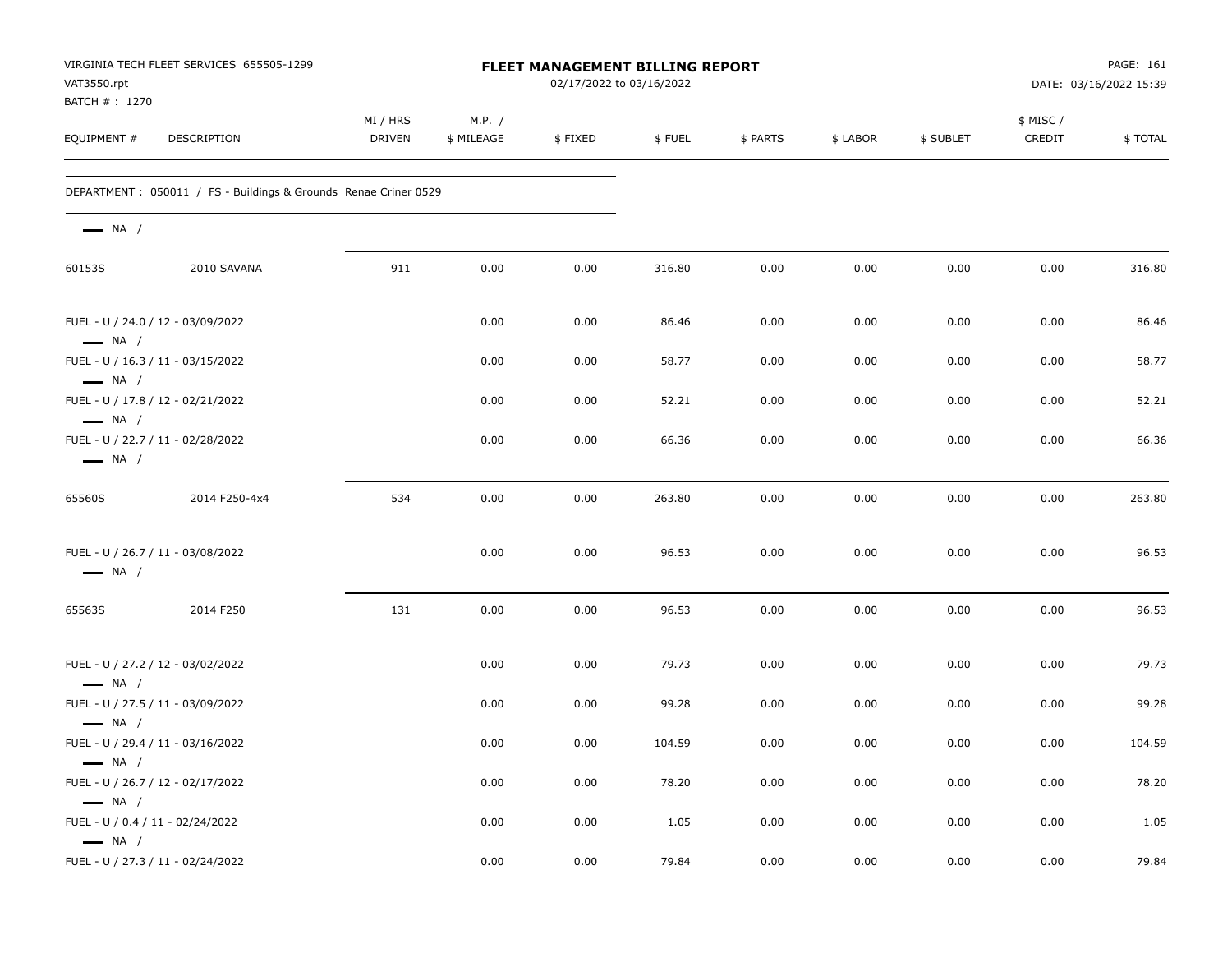| VAT3550.rpt<br>BATCH # : 1270                              | VIRGINIA TECH FLEET SERVICES 655505-1299                        | FLEET MANAGEMENT BILLING REPORT<br>02/17/2022 to 03/16/2022 |                      |         |        |          |          |           | PAGE: 161<br>DATE: 03/16/2022 15:39 |         |
|------------------------------------------------------------|-----------------------------------------------------------------|-------------------------------------------------------------|----------------------|---------|--------|----------|----------|-----------|-------------------------------------|---------|
| EQUIPMENT #                                                | DESCRIPTION                                                     | MI / HRS<br><b>DRIVEN</b>                                   | M.P. /<br>\$ MILEAGE | \$FIXED | \$FUEL | \$ PARTS | \$ LABOR | \$ SUBLET | \$ MISC/<br>CREDIT                  | \$TOTAL |
|                                                            | DEPARTMENT: 050011 / FS - Buildings & Grounds Renae Criner 0529 |                                                             |                      |         |        |          |          |           |                                     |         |
| $\longrightarrow$ NA /                                     |                                                                 |                                                             |                      |         |        |          |          |           |                                     |         |
| 60153S                                                     | 2010 SAVANA                                                     | 911                                                         | 0.00                 | 0.00    | 316.80 | 0.00     | 0.00     | 0.00      | 0.00                                | 316.80  |
| $\longrightarrow$ NA /                                     | FUEL - U / 24.0 / 12 - 03/09/2022                               |                                                             | 0.00                 | 0.00    | 86.46  | 0.00     | 0.00     | 0.00      | 0.00                                | 86.46   |
| $\longrightarrow$ NA /                                     | FUEL - U / 16.3 / 11 - 03/15/2022                               |                                                             | 0.00                 | 0.00    | 58.77  | 0.00     | 0.00     | 0.00      | 0.00                                | 58.77   |
| $\longrightarrow$ NA /                                     | FUEL - U / 17.8 / 12 - 02/21/2022                               |                                                             | 0.00                 | 0.00    | 52.21  | 0.00     | 0.00     | 0.00      | 0.00                                | 52.21   |
| $\longrightarrow$ NA /                                     | FUEL - U / 22.7 / 11 - 02/28/2022                               |                                                             | 0.00                 | 0.00    | 66.36  | 0.00     | 0.00     | 0.00      | 0.00                                | 66.36   |
| 65560S                                                     | 2014 F250-4x4                                                   | 534                                                         | 0.00                 | 0.00    | 263.80 | 0.00     | 0.00     | 0.00      | 0.00                                | 263.80  |
| $\longrightarrow$ NA /                                     | FUEL - U / 26.7 / 11 - 03/08/2022                               |                                                             | 0.00                 | 0.00    | 96.53  | 0.00     | 0.00     | 0.00      | 0.00                                | 96.53   |
| 65563S                                                     | 2014 F250                                                       | 131                                                         | 0.00                 | 0.00    | 96.53  | 0.00     | 0.00     | 0.00      | 0.00                                | 96.53   |
| $\longrightarrow$ NA /                                     | FUEL - U / 27.2 / 12 - 03/02/2022                               |                                                             | 0.00                 | 0.00    | 79.73  | 0.00     | 0.00     | 0.00      | 0.00                                | 79.73   |
| $\longrightarrow$ NA /                                     | FUEL - U / 27.5 / 11 - 03/09/2022                               |                                                             | 0.00                 | 0.00    | 99.28  | 0.00     | 0.00     | 0.00      | 0.00                                | 99.28   |
| $\longrightarrow$ NA /                                     | FUEL - U / 29.4 / 11 - 03/16/2022                               |                                                             | 0.00                 | 0.00    | 104.59 | 0.00     | 0.00     | 0.00      | 0.00                                | 104.59  |
| $\longrightarrow$ NA /                                     | FUEL - U / 26.7 / 12 - 02/17/2022                               |                                                             | 0.00                 | 0.00    | 78.20  | 0.00     | 0.00     | 0.00      | 0.00                                | 78.20   |
| FUEL - U / 0.4 / 11 - 02/24/2022<br>$\longrightarrow$ NA / |                                                                 |                                                             | 0.00                 | 0.00    | 1.05   | 0.00     | 0.00     | 0.00      | 0.00                                | 1.05    |
|                                                            | FUEL - U / 27.3 / 11 - 02/24/2022                               |                                                             | 0.00                 | 0.00    | 79.84  | 0.00     | 0.00     | 0.00      | 0.00                                | 79.84   |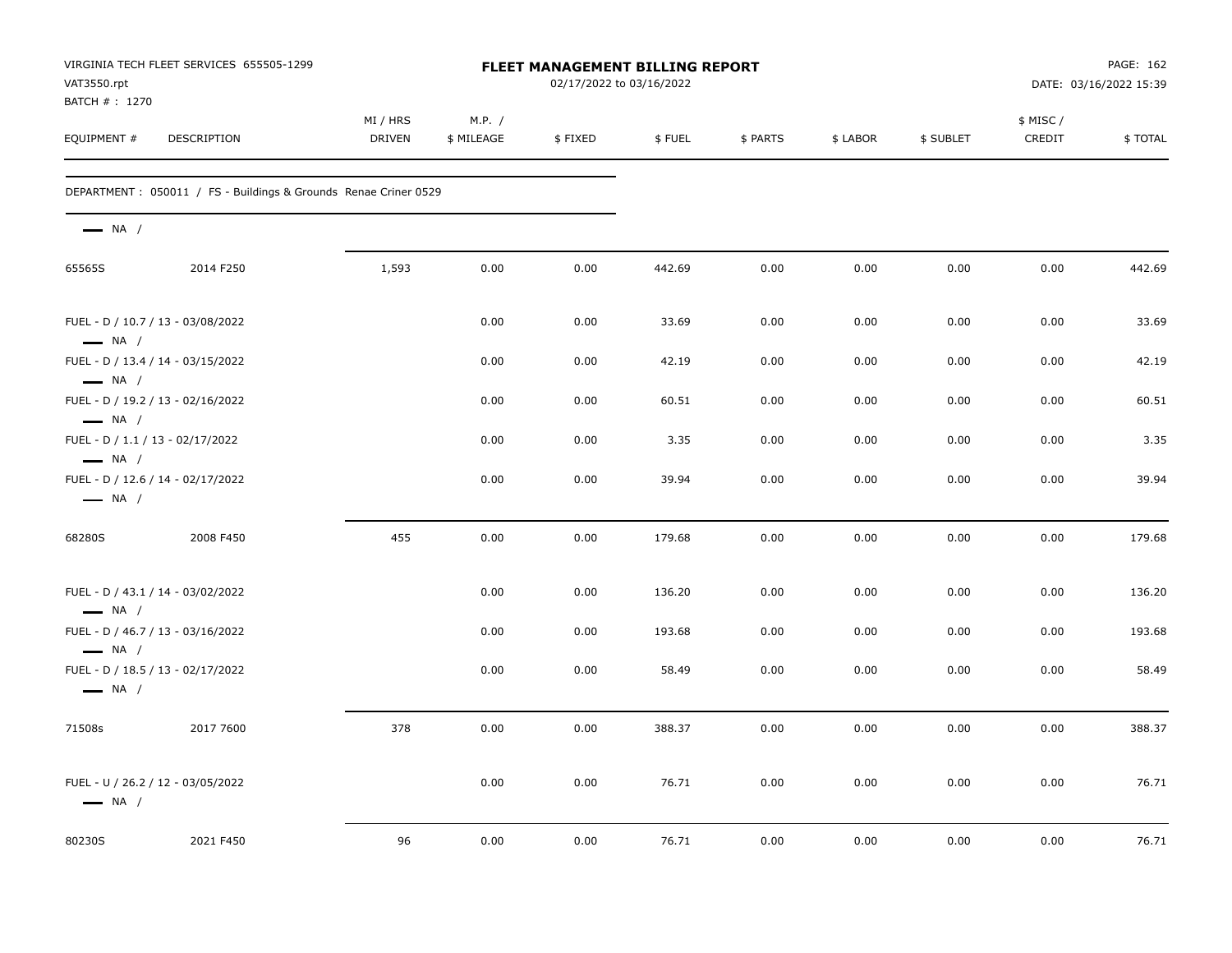| VIRGINIA TECH FLEET SERVICES 655505-1299<br>VAT3550.rpt<br>BATCH #: 1270 |                                                                 |                           |                      |         | <b>FLEET MANAGEMENT BILLING REPORT</b><br>02/17/2022 to 03/16/2022 |          | PAGE: 162<br>DATE: 03/16/2022 15:39 |           |                     |         |
|--------------------------------------------------------------------------|-----------------------------------------------------------------|---------------------------|----------------------|---------|--------------------------------------------------------------------|----------|-------------------------------------|-----------|---------------------|---------|
| EQUIPMENT #                                                              | <b>DESCRIPTION</b>                                              | MI / HRS<br><b>DRIVEN</b> | M.P. /<br>\$ MILEAGE | \$FIXED | \$FUEL                                                             | \$ PARTS | \$ LABOR                            | \$ SUBLET | \$ MISC /<br>CREDIT | \$TOTAL |
|                                                                          | DEPARTMENT: 050011 / FS - Buildings & Grounds Renae Criner 0529 |                           |                      |         |                                                                    |          |                                     |           |                     |         |
| $\longrightarrow$ NA /                                                   |                                                                 |                           |                      |         |                                                                    |          |                                     |           |                     |         |
| 65565S                                                                   | 2014 F250                                                       | 1,593                     | 0.00                 | 0.00    | 442.69                                                             | 0.00     | 0.00                                | 0.00      | 0.00                | 442.69  |
| $\longrightarrow$ NA /                                                   | FUEL - D / 10.7 / 13 - 03/08/2022                               |                           | 0.00                 | 0.00    | 33.69                                                              | 0.00     | 0.00                                | 0.00      | 0.00                | 33.69   |
| $\longrightarrow$ NA /                                                   | FUEL - D / 13.4 / 14 - 03/15/2022                               |                           | 0.00                 | 0.00    | 42.19                                                              | 0.00     | 0.00                                | 0.00      | 0.00                | 42.19   |
| $\longrightarrow$ NA /                                                   | FUEL - D / 19.2 / 13 - 02/16/2022                               |                           | 0.00                 | 0.00    | 60.51                                                              | 0.00     | 0.00                                | 0.00      | 0.00                | 60.51   |
| $\longrightarrow$ NA /                                                   | FUEL - D / 1.1 / 13 - 02/17/2022                                |                           | 0.00                 | 0.00    | 3.35                                                               | 0.00     | 0.00                                | 0.00      | 0.00                | 3.35    |
| $\longrightarrow$ NA /                                                   | FUEL - D / 12.6 / 14 - 02/17/2022                               |                           | 0.00                 | 0.00    | 39.94                                                              | 0.00     | 0.00                                | 0.00      | 0.00                | 39.94   |
| 68280S                                                                   | 2008 F450                                                       | 455                       | 0.00                 | 0.00    | 179.68                                                             | 0.00     | 0.00                                | 0.00      | 0.00                | 179.68  |
| $\longrightarrow$ NA /                                                   | FUEL - D / 43.1 / 14 - 03/02/2022                               |                           | 0.00                 | 0.00    | 136.20                                                             | 0.00     | 0.00                                | 0.00      | 0.00                | 136.20  |
| $\longrightarrow$ NA /                                                   | FUEL - D / 46.7 / 13 - 03/16/2022                               |                           | 0.00                 | 0.00    | 193.68                                                             | 0.00     | 0.00                                | 0.00      | 0.00                | 193.68  |
| $\longrightarrow$ NA /                                                   | FUEL - D / 18.5 / 13 - 02/17/2022                               |                           | 0.00                 | 0.00    | 58.49                                                              | 0.00     | 0.00                                | 0.00      | 0.00                | 58.49   |
| 71508s                                                                   | 2017 7600                                                       | 378                       | 0.00                 | 0.00    | 388.37                                                             | 0.00     | 0.00                                | 0.00      | 0.00                | 388.37  |
| $\longrightarrow$ NA /                                                   | FUEL - U / 26.2 / 12 - 03/05/2022                               |                           | 0.00                 | 0.00    | 76.71                                                              | 0.00     | 0.00                                | 0.00      | 0.00                | 76.71   |
| 80230S                                                                   | 2021 F450                                                       | 96                        | 0.00                 | 0.00    | 76.71                                                              | 0.00     | 0.00                                | 0.00      | 0.00                | 76.71   |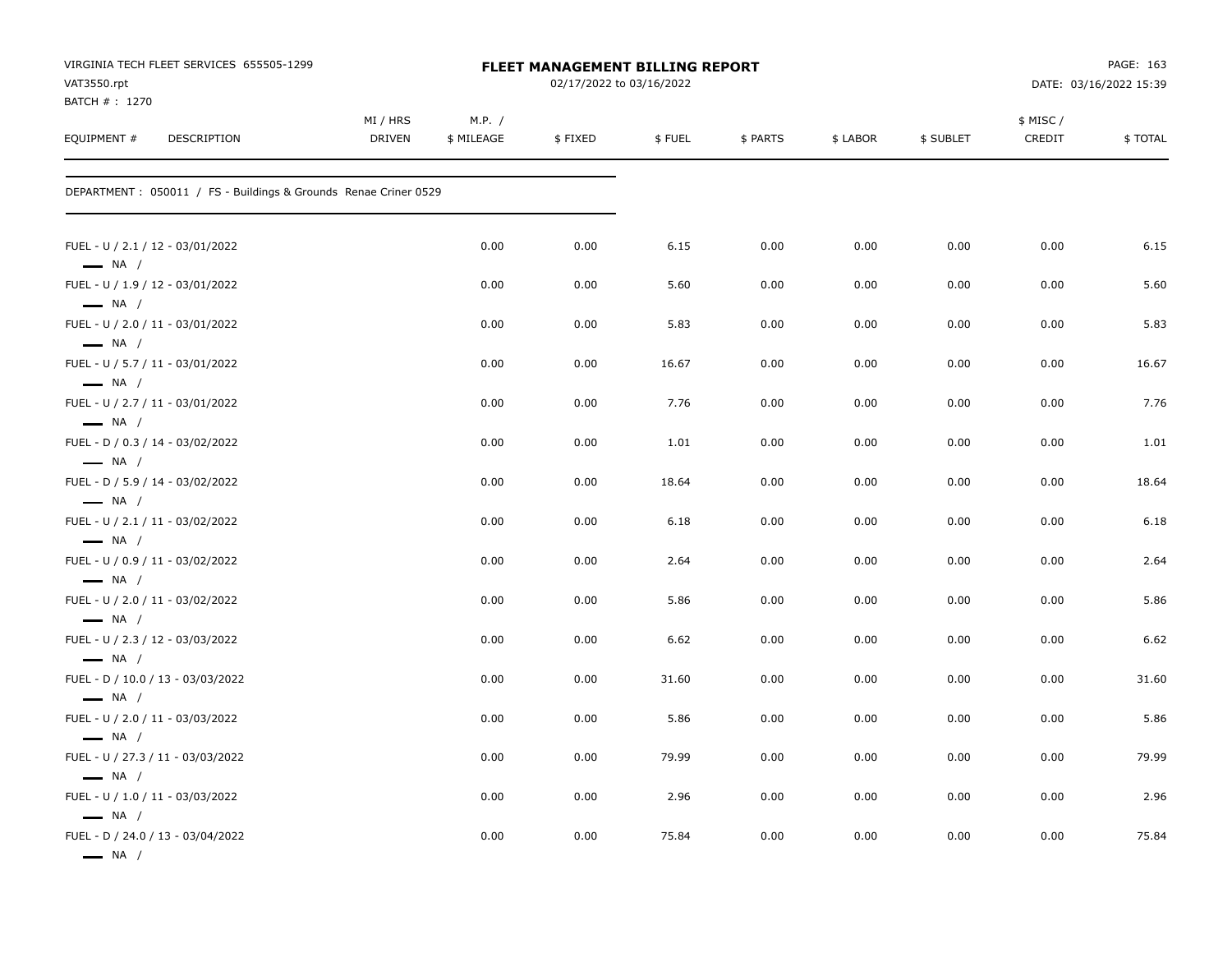| VIRGINIA TECH FLEET SERVICES 655505-1299<br>VAT3550.rpt                              | <b>FLEET MANAGEMENT BILLING REPORT</b><br>02/17/2022 to 03/16/2022 |                      |         |        |          |          |           |                    | PAGE: 163<br>DATE: 03/16/2022 15:39 |  |
|--------------------------------------------------------------------------------------|--------------------------------------------------------------------|----------------------|---------|--------|----------|----------|-----------|--------------------|-------------------------------------|--|
| BATCH #: 1270<br>EQUIPMENT #<br>DESCRIPTION                                          | MI / HRS<br><b>DRIVEN</b>                                          | M.P. /<br>\$ MILEAGE | \$FIXED | \$FUEL | \$ PARTS | \$ LABOR | \$ SUBLET | \$ MISC/<br>CREDIT | \$TOTAL                             |  |
| DEPARTMENT : 050011 / FS - Buildings & Grounds Renae Criner 0529                     |                                                                    |                      |         |        |          |          |           |                    |                                     |  |
| FUEL - U / 2.1 / 12 - 03/01/2022<br>$\longrightarrow$ NA /                           |                                                                    | 0.00                 | 0.00    | 6.15   | 0.00     | 0.00     | 0.00      | 0.00               | 6.15                                |  |
| FUEL - U / 1.9 / 12 - 03/01/2022                                                     |                                                                    | 0.00                 | 0.00    | 5.60   | 0.00     | 0.00     | 0.00      | 0.00               | 5.60                                |  |
| $\longrightarrow$ NA /<br>FUEL - U / 2.0 / 11 - 03/01/2022<br>$\longrightarrow$ NA / |                                                                    | 0.00                 | 0.00    | 5.83   | 0.00     | 0.00     | 0.00      | 0.00               | 5.83                                |  |
| FUEL - U / 5.7 / 11 - 03/01/2022<br>$\longrightarrow$ NA /                           |                                                                    | 0.00                 | 0.00    | 16.67  | 0.00     | 0.00     | 0.00      | 0.00               | 16.67                               |  |
| FUEL - U / 2.7 / 11 - 03/01/2022<br>$\longrightarrow$ NA /                           |                                                                    | 0.00                 | 0.00    | 7.76   | 0.00     | 0.00     | 0.00      | 0.00               | 7.76                                |  |
| FUEL - D / 0.3 / 14 - 03/02/2022<br>$\longrightarrow$ NA /                           |                                                                    | 0.00                 | 0.00    | 1.01   | 0.00     | 0.00     | 0.00      | 0.00               | 1.01                                |  |
| FUEL - D / 5.9 / 14 - 03/02/2022<br>$\longrightarrow$ NA /                           |                                                                    | 0.00                 | 0.00    | 18.64  | 0.00     | 0.00     | 0.00      | 0.00               | 18.64                               |  |
| FUEL - U / 2.1 / 11 - 03/02/2022<br>$\longrightarrow$ NA /                           |                                                                    | 0.00                 | 0.00    | 6.18   | 0.00     | 0.00     | 0.00      | 0.00               | 6.18                                |  |
| FUEL - U / 0.9 / 11 - 03/02/2022<br>$\longrightarrow$ NA /                           |                                                                    | 0.00                 | 0.00    | 2.64   | 0.00     | 0.00     | 0.00      | 0.00               | 2.64                                |  |
| FUEL - U / 2.0 / 11 - 03/02/2022<br>$\longrightarrow$ NA /                           |                                                                    | 0.00                 | 0.00    | 5.86   | 0.00     | 0.00     | 0.00      | 0.00               | 5.86                                |  |
| FUEL - U / 2.3 / 12 - 03/03/2022<br>$\longrightarrow$ NA /                           |                                                                    | 0.00                 | 0.00    | 6.62   | 0.00     | 0.00     | 0.00      | 0.00               | 6.62                                |  |
| FUEL - D / 10.0 / 13 - 03/03/2022<br>$\longrightarrow$ NA /                          |                                                                    | 0.00                 | 0.00    | 31.60  | 0.00     | 0.00     | 0.00      | 0.00               | 31.60                               |  |
| FUEL - U / 2.0 / 11 - 03/03/2022<br>$-$ NA /                                         |                                                                    | 0.00                 | 0.00    | 5.86   | 0.00     | 0.00     | 0.00      | 0.00               | 5.86                                |  |
| FUEL - U / 27.3 / 11 - 03/03/2022<br>$\longrightarrow$ NA /                          |                                                                    | 0.00                 | 0.00    | 79.99  | 0.00     | 0.00     | 0.00      | 0.00               | 79.99                               |  |
| FUEL - U / 1.0 / 11 - 03/03/2022<br>$\longrightarrow$ NA /                           |                                                                    | 0.00                 | 0.00    | 2.96   | 0.00     | 0.00     | 0.00      | 0.00               | 2.96                                |  |
| FUEL - D / 24.0 / 13 - 03/04/2022<br>$\longrightarrow$ NA /                          |                                                                    | 0.00                 | 0.00    | 75.84  | 0.00     | 0.00     | 0.00      | 0.00               | 75.84                               |  |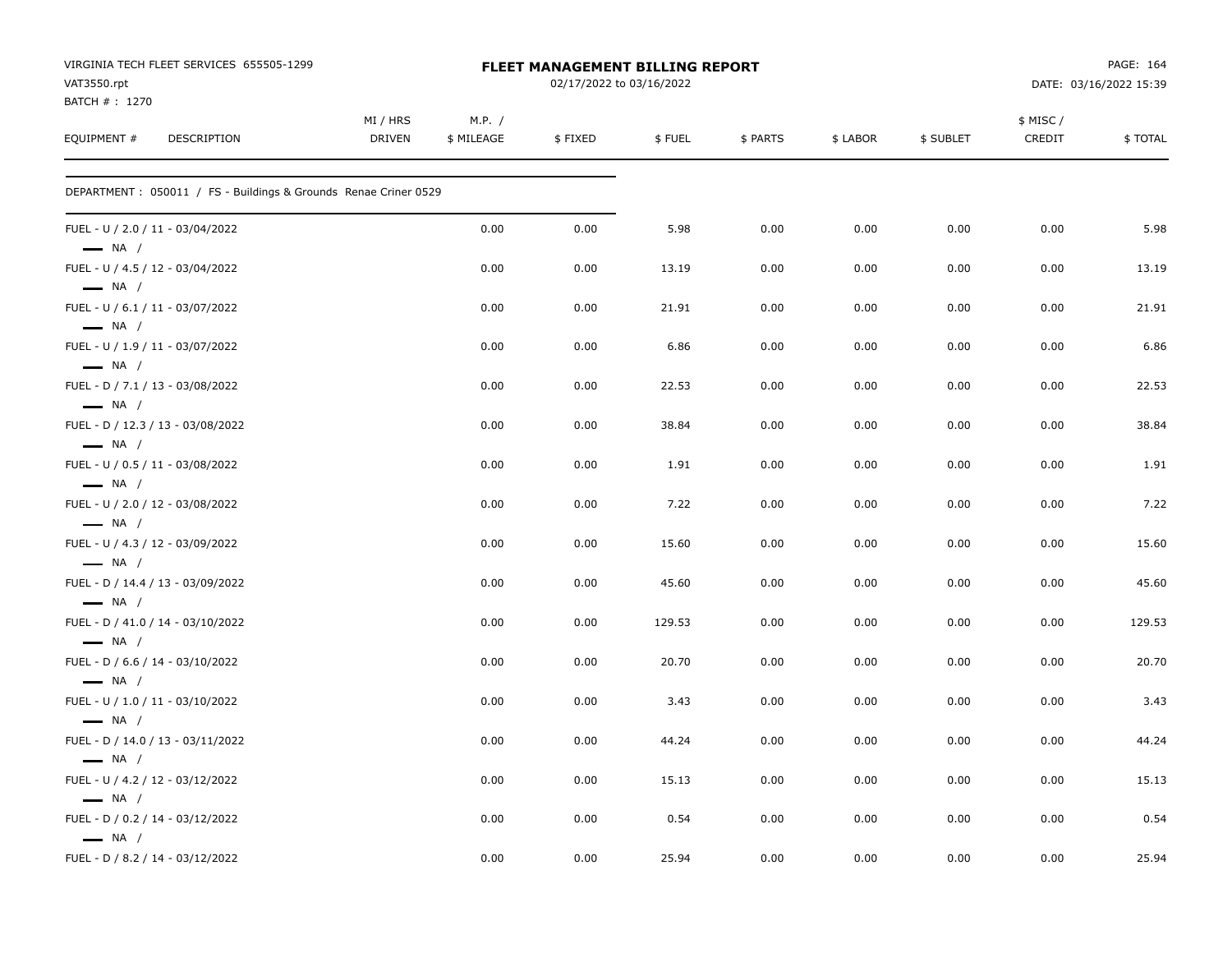| VIRGINIA TECH FLEET SERVICES 655505-1299<br>VAT3550.rpt<br>BATCH #: 1270 |                    |                      | FLEET MANAGEMENT BILLING REPORT<br>02/17/2022 to 03/16/2022 |        |          |          | PAGE: 164<br>DATE: 03/16/2022 15:39 |                    |         |
|--------------------------------------------------------------------------|--------------------|----------------------|-------------------------------------------------------------|--------|----------|----------|-------------------------------------|--------------------|---------|
| EQUIPMENT #<br>DESCRIPTION                                               | MI / HRS<br>DRIVEN | M.P. /<br>\$ MILEAGE | \$FIXED                                                     | \$FUEL | \$ PARTS | \$ LABOR | \$ SUBLET                           | \$ MISC/<br>CREDIT | \$TOTAL |
| DEPARTMENT: 050011 / FS - Buildings & Grounds Renae Criner 0529          |                    |                      |                                                             |        |          |          |                                     |                    |         |
| FUEL - U / 2.0 / 11 - 03/04/2022<br>$\longrightarrow$ NA /               |                    | 0.00                 | 0.00                                                        | 5.98   | 0.00     | 0.00     | 0.00                                | 0.00               | 5.98    |
| FUEL - U / 4.5 / 12 - 03/04/2022<br>$\longrightarrow$ NA /               |                    | 0.00                 | 0.00                                                        | 13.19  | 0.00     | 0.00     | 0.00                                | 0.00               | 13.19   |
| FUEL - U / 6.1 / 11 - 03/07/2022<br>$\longrightarrow$ NA /               |                    | 0.00                 | 0.00                                                        | 21.91  | 0.00     | 0.00     | 0.00                                | 0.00               | 21.91   |
| FUEL - U / 1.9 / 11 - 03/07/2022<br>$\longrightarrow$ NA /               |                    | 0.00                 | 0.00                                                        | 6.86   | 0.00     | 0.00     | 0.00                                | 0.00               | 6.86    |
| FUEL - D / 7.1 / 13 - 03/08/2022<br>$\longrightarrow$ NA /               |                    | 0.00                 | 0.00                                                        | 22.53  | 0.00     | 0.00     | 0.00                                | 0.00               | 22.53   |
| FUEL - D / 12.3 / 13 - 03/08/2022<br>$\longrightarrow$ NA /              |                    | 0.00                 | 0.00                                                        | 38.84  | 0.00     | 0.00     | 0.00                                | 0.00               | 38.84   |
| FUEL - U / 0.5 / 11 - 03/08/2022<br>$\longrightarrow$ NA /               |                    | 0.00                 | 0.00                                                        | 1.91   | 0.00     | 0.00     | 0.00                                | 0.00               | 1.91    |
| FUEL - U / 2.0 / 12 - 03/08/2022<br>$\longrightarrow$ NA /               |                    | 0.00                 | 0.00                                                        | 7.22   | 0.00     | 0.00     | 0.00                                | 0.00               | 7.22    |
| FUEL - U / 4.3 / 12 - 03/09/2022<br>$\longrightarrow$ NA /               |                    | 0.00                 | 0.00                                                        | 15.60  | 0.00     | 0.00     | 0.00                                | 0.00               | 15.60   |
| FUEL - D / 14.4 / 13 - 03/09/2022<br>$-$ NA /                            |                    | 0.00                 | 0.00                                                        | 45.60  | 0.00     | 0.00     | 0.00                                | 0.00               | 45.60   |
| FUEL - D / 41.0 / 14 - 03/10/2022<br>$\longrightarrow$ NA /              |                    | 0.00                 | 0.00                                                        | 129.53 | 0.00     | 0.00     | 0.00                                | 0.00               | 129.53  |
| FUEL - D / 6.6 / 14 - 03/10/2022<br>$\longrightarrow$ NA /               |                    | 0.00                 | 0.00                                                        | 20.70  | 0.00     | 0.00     | 0.00                                | 0.00               | 20.70   |
| FUEL - U / 1.0 / 11 - 03/10/2022<br>$\longrightarrow$ NA /               |                    | 0.00                 | 0.00                                                        | 3.43   | 0.00     | 0.00     | 0.00                                | 0.00               | 3.43    |
| FUEL - D / 14.0 / 13 - 03/11/2022<br>$\longrightarrow$ NA /              |                    | 0.00                 | 0.00                                                        | 44.24  | 0.00     | 0.00     | 0.00                                | 0.00               | 44.24   |
| FUEL - U / 4.2 / 12 - 03/12/2022<br>$\longrightarrow$ NA /               |                    | 0.00                 | 0.00                                                        | 15.13  | 0.00     | 0.00     | 0.00                                | 0.00               | 15.13   |
| FUEL - D / 0.2 / 14 - 03/12/2022<br>$\longrightarrow$ NA /               |                    | 0.00                 | 0.00                                                        | 0.54   | 0.00     | 0.00     | 0.00                                | 0.00               | 0.54    |
| FUEL - D / 8.2 / 14 - 03/12/2022                                         |                    | 0.00                 | 0.00                                                        | 25.94  | 0.00     | 0.00     | 0.00                                | 0.00               | 25.94   |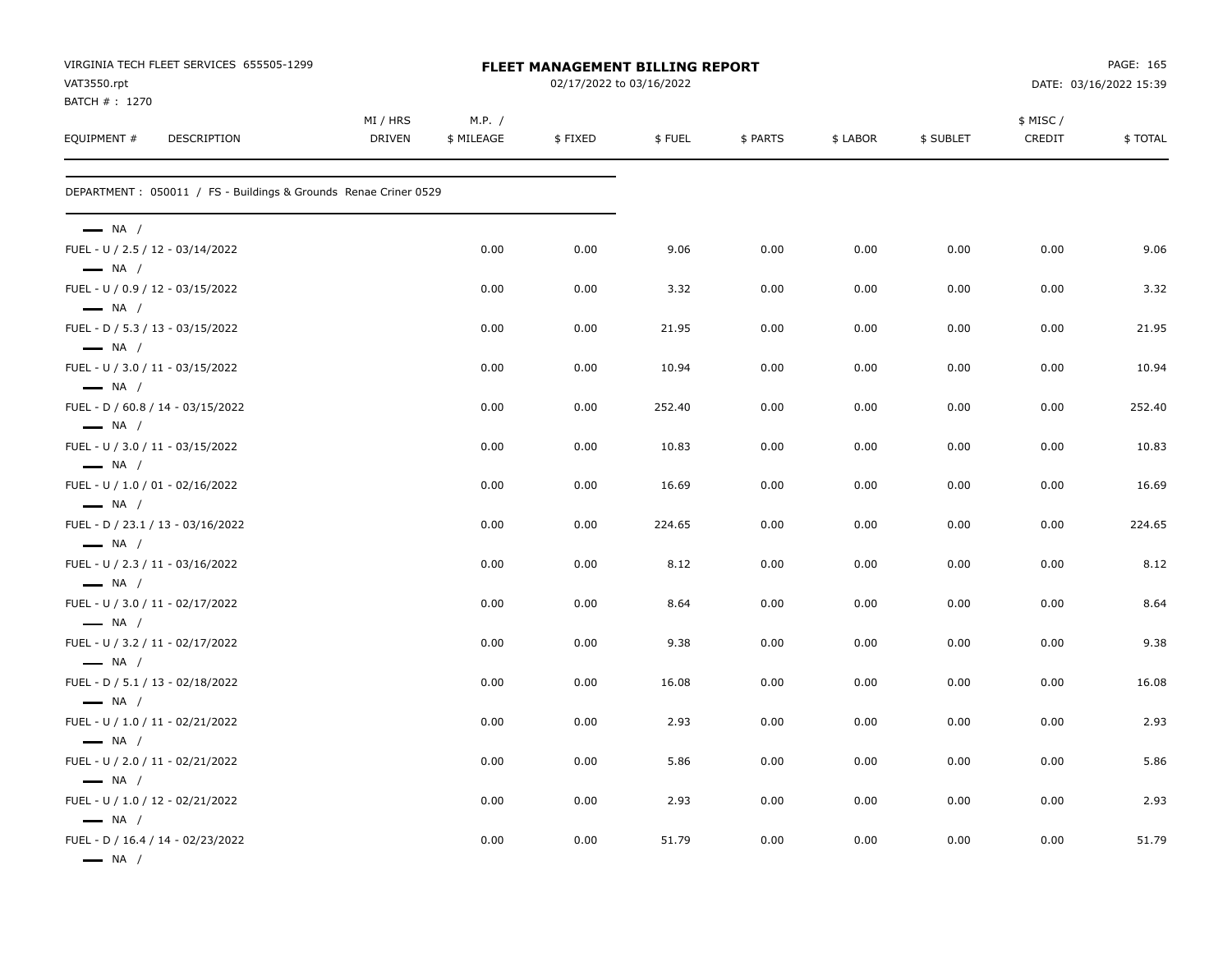| VAT3550.rpt                                                | VIRGINIA TECH FLEET SERVICES 655505-1299                         | <b>FLEET MANAGEMENT BILLING REPORT</b><br>02/17/2022 to 03/16/2022 |                      |         |        |          |          |           | PAGE: 165<br>DATE: 03/16/2022 15:39 |         |
|------------------------------------------------------------|------------------------------------------------------------------|--------------------------------------------------------------------|----------------------|---------|--------|----------|----------|-----------|-------------------------------------|---------|
| BATCH #: 1270<br>EQUIPMENT #                               | DESCRIPTION                                                      | MI / HRS<br><b>DRIVEN</b>                                          | M.P. /<br>\$ MILEAGE | \$FIXED | \$FUEL | \$ PARTS | \$ LABOR | \$ SUBLET | \$ MISC /<br>CREDIT                 | \$TOTAL |
|                                                            | DEPARTMENT : 050011 / FS - Buildings & Grounds Renae Criner 0529 |                                                                    |                      |         |        |          |          |           |                                     |         |
| $\longrightarrow$ NA /                                     |                                                                  |                                                                    |                      |         |        |          |          |           |                                     |         |
| FUEL - U / 2.5 / 12 - 03/14/2022<br>$\longrightarrow$ NA / |                                                                  |                                                                    | 0.00                 | 0.00    | 9.06   | 0.00     | 0.00     | 0.00      | 0.00                                | 9.06    |
| FUEL - U / 0.9 / 12 - 03/15/2022<br>$\longrightarrow$ NA / |                                                                  |                                                                    | 0.00                 | 0.00    | 3.32   | 0.00     | 0.00     | 0.00      | 0.00                                | 3.32    |
| FUEL - D / 5.3 / 13 - 03/15/2022<br>$\longrightarrow$ NA / |                                                                  |                                                                    | 0.00                 | 0.00    | 21.95  | 0.00     | 0.00     | 0.00      | 0.00                                | 21.95   |
| FUEL - U / 3.0 / 11 - 03/15/2022<br>$\longrightarrow$ NA / |                                                                  |                                                                    | 0.00                 | 0.00    | 10.94  | 0.00     | 0.00     | 0.00      | 0.00                                | 10.94   |
| $\longrightarrow$ NA /                                     | FUEL - D / 60.8 / 14 - 03/15/2022                                |                                                                    | 0.00                 | 0.00    | 252.40 | 0.00     | 0.00     | 0.00      | 0.00                                | 252.40  |
| FUEL - U / 3.0 / 11 - 03/15/2022<br>$\longrightarrow$ NA / |                                                                  |                                                                    | 0.00                 | 0.00    | 10.83  | 0.00     | 0.00     | 0.00      | 0.00                                | 10.83   |
| FUEL - U / 1.0 / 01 - 02/16/2022                           |                                                                  |                                                                    | 0.00                 | 0.00    | 16.69  | 0.00     | 0.00     | 0.00      | 0.00                                | 16.69   |
| $\longrightarrow$ NA /                                     | FUEL - D / 23.1 / 13 - 03/16/2022                                |                                                                    | 0.00                 | 0.00    | 224.65 | 0.00     | 0.00     | 0.00      | 0.00                                | 224.65  |
| $\longrightarrow$ NA /<br>FUEL - U / 2.3 / 11 - 03/16/2022 |                                                                  |                                                                    | 0.00                 | 0.00    | 8.12   | 0.00     | 0.00     | 0.00      | 0.00                                | 8.12    |
| $\longrightarrow$ NA /<br>FUEL - U / 3.0 / 11 - 02/17/2022 |                                                                  |                                                                    | 0.00                 | 0.00    | 8.64   | 0.00     | 0.00     | 0.00      | 0.00                                | 8.64    |
| $\longrightarrow$ NA /<br>FUEL - U / 3.2 / 11 - 02/17/2022 |                                                                  |                                                                    | 0.00                 | 0.00    | 9.38   | 0.00     | 0.00     | 0.00      | 0.00                                | 9.38    |
| $\longrightarrow$ NA /<br>FUEL - D / 5.1 / 13 - 02/18/2022 |                                                                  |                                                                    | 0.00                 | 0.00    | 16.08  | 0.00     | 0.00     | 0.00      | 0.00                                | 16.08   |
| $\longrightarrow$ NA /<br>FUEL - U / 1.0 / 11 - 02/21/2022 |                                                                  |                                                                    | 0.00                 | 0.00    | 2.93   | 0.00     | 0.00     | 0.00      | 0.00                                | 2.93    |
| $\longrightarrow$ NA /<br>FUEL - U / 2.0 / 11 - 02/21/2022 |                                                                  |                                                                    | 0.00                 | 0.00    | 5.86   | 0.00     | 0.00     | 0.00      | 0.00                                | 5.86    |
| $\longrightarrow$ NA /<br>FUEL - U / 1.0 / 12 - 02/21/2022 |                                                                  |                                                                    | 0.00                 | 0.00    | 2.93   | 0.00     | 0.00     | 0.00      | 0.00                                | 2.93    |
| $\longrightarrow$ NA /<br>$\longrightarrow$ NA /           | FUEL - D / 16.4 / 14 - 02/23/2022                                |                                                                    | 0.00                 | 0.00    | 51.79  | 0.00     | 0.00     | 0.00      | 0.00                                | 51.79   |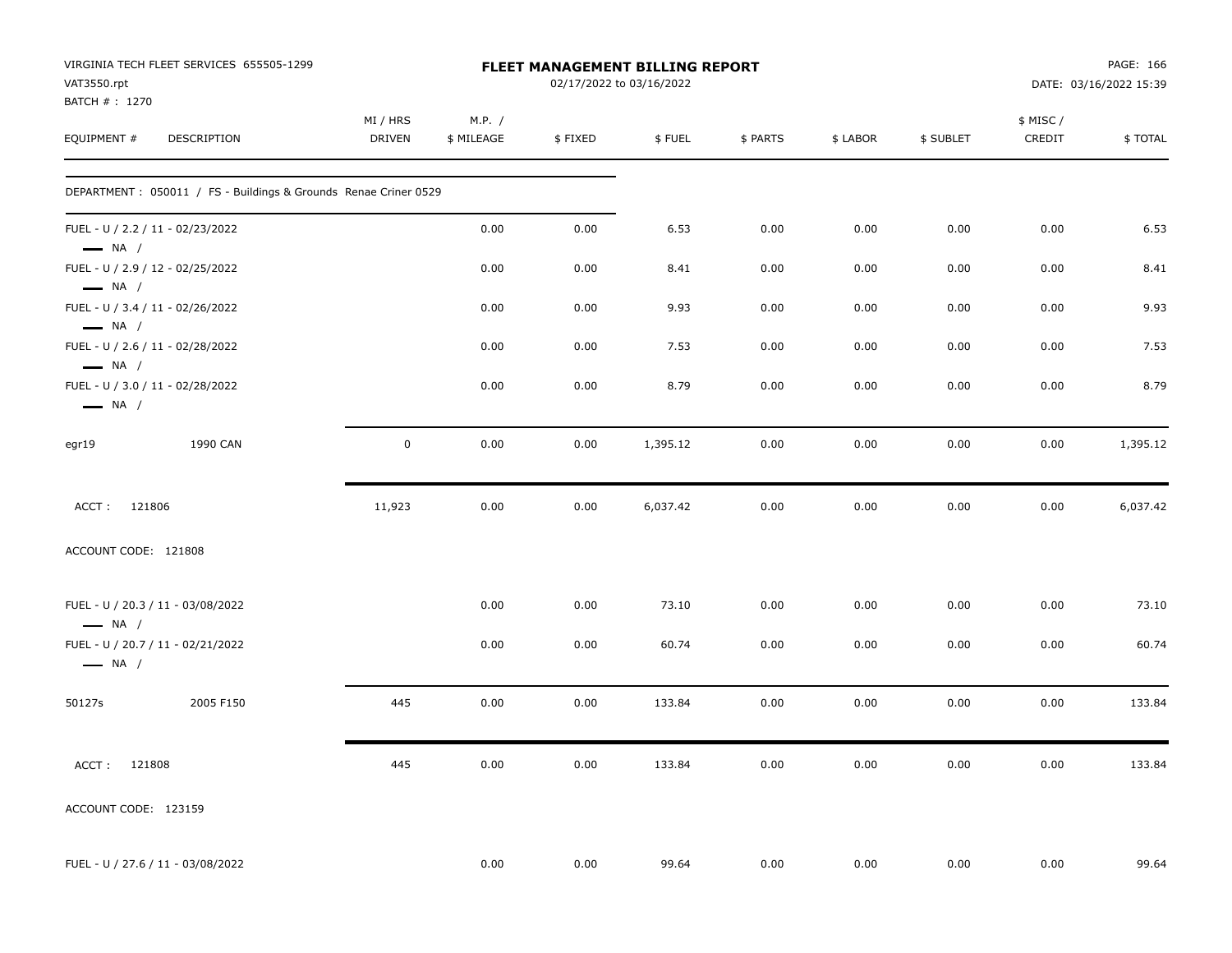| VAT3550.rpt<br>BATCH #: 1270                               | VIRGINIA TECH FLEET SERVICES 655505-1299                         | FLEET MANAGEMENT BILLING REPORT<br>02/17/2022 to 03/16/2022 |                      |         |          |          |          |           | PAGE: 166<br>DATE: 03/16/2022 15:39 |                |
|------------------------------------------------------------|------------------------------------------------------------------|-------------------------------------------------------------|----------------------|---------|----------|----------|----------|-----------|-------------------------------------|----------------|
| EQUIPMENT #                                                | DESCRIPTION                                                      | MI / HRS<br>DRIVEN                                          | M.P. /<br>\$ MILEAGE | \$FIXED | \$FUEL   | \$ PARTS | \$ LABOR | \$ SUBLET | \$ MISC /<br>CREDIT                 | <b>\$TOTAL</b> |
|                                                            | DEPARTMENT : 050011 / FS - Buildings & Grounds Renae Criner 0529 |                                                             |                      |         |          |          |          |           |                                     |                |
| FUEL - U / 2.2 / 11 - 02/23/2022<br>$-$ NA $/$             |                                                                  |                                                             | 0.00                 | 0.00    | 6.53     | 0.00     | 0.00     | 0.00      | 0.00                                | 6.53           |
| FUEL - U / 2.9 / 12 - 02/25/2022<br>$\longrightarrow$ NA / |                                                                  |                                                             | 0.00                 | 0.00    | 8.41     | 0.00     | 0.00     | 0.00      | 0.00                                | 8.41           |
| FUEL - U / 3.4 / 11 - 02/26/2022<br>$\longrightarrow$ NA / |                                                                  |                                                             | 0.00                 | 0.00    | 9.93     | 0.00     | 0.00     | 0.00      | 0.00                                | 9.93           |
| FUEL - U / 2.6 / 11 - 02/28/2022<br>$\longrightarrow$ NA / |                                                                  |                                                             | 0.00                 | 0.00    | 7.53     | 0.00     | 0.00     | 0.00      | 0.00                                | 7.53           |
| FUEL - U / 3.0 / 11 - 02/28/2022<br>$\longrightarrow$ NA / |                                                                  |                                                             | 0.00                 | 0.00    | 8.79     | 0.00     | 0.00     | 0.00      | 0.00                                | 8.79           |
| egr19                                                      | 1990 CAN                                                         | $\mathsf{O}$                                                | 0.00                 | 0.00    | 1,395.12 | 0.00     | 0.00     | 0.00      | 0.00                                | 1,395.12       |
| ACCT: 121806                                               |                                                                  | 11,923                                                      | 0.00                 | 0.00    | 6,037.42 | 0.00     | 0.00     | 0.00      | 0.00                                | 6,037.42       |
| ACCOUNT CODE: 121808                                       |                                                                  |                                                             |                      |         |          |          |          |           |                                     |                |
| $\longrightarrow$ NA /                                     | FUEL - U / 20.3 / 11 - 03/08/2022                                |                                                             | 0.00                 | 0.00    | 73.10    | 0.00     | 0.00     | 0.00      | 0.00                                | 73.10          |
| $\longrightarrow$ NA /                                     | FUEL - U / 20.7 / 11 - 02/21/2022                                |                                                             | 0.00                 | 0.00    | 60.74    | 0.00     | 0.00     | 0.00      | 0.00                                | 60.74          |
| 50127s                                                     | 2005 F150                                                        | 445                                                         | 0.00                 | 0.00    | 133.84   | 0.00     | 0.00     | 0.00      | 0.00                                | 133.84         |
| ACCT: 121808                                               |                                                                  | 445                                                         | 0.00                 | 0.00    | 133.84   | 0.00     | 0.00     | 0.00      | 0.00                                | 133.84         |
| ACCOUNT CODE: 123159                                       |                                                                  |                                                             |                      |         |          |          |          |           |                                     |                |
|                                                            | FUEL - U / 27.6 / 11 - 03/08/2022                                |                                                             | 0.00                 | 0.00    | 99.64    | 0.00     | 0.00     | 0.00      | 0.00                                | 99.64          |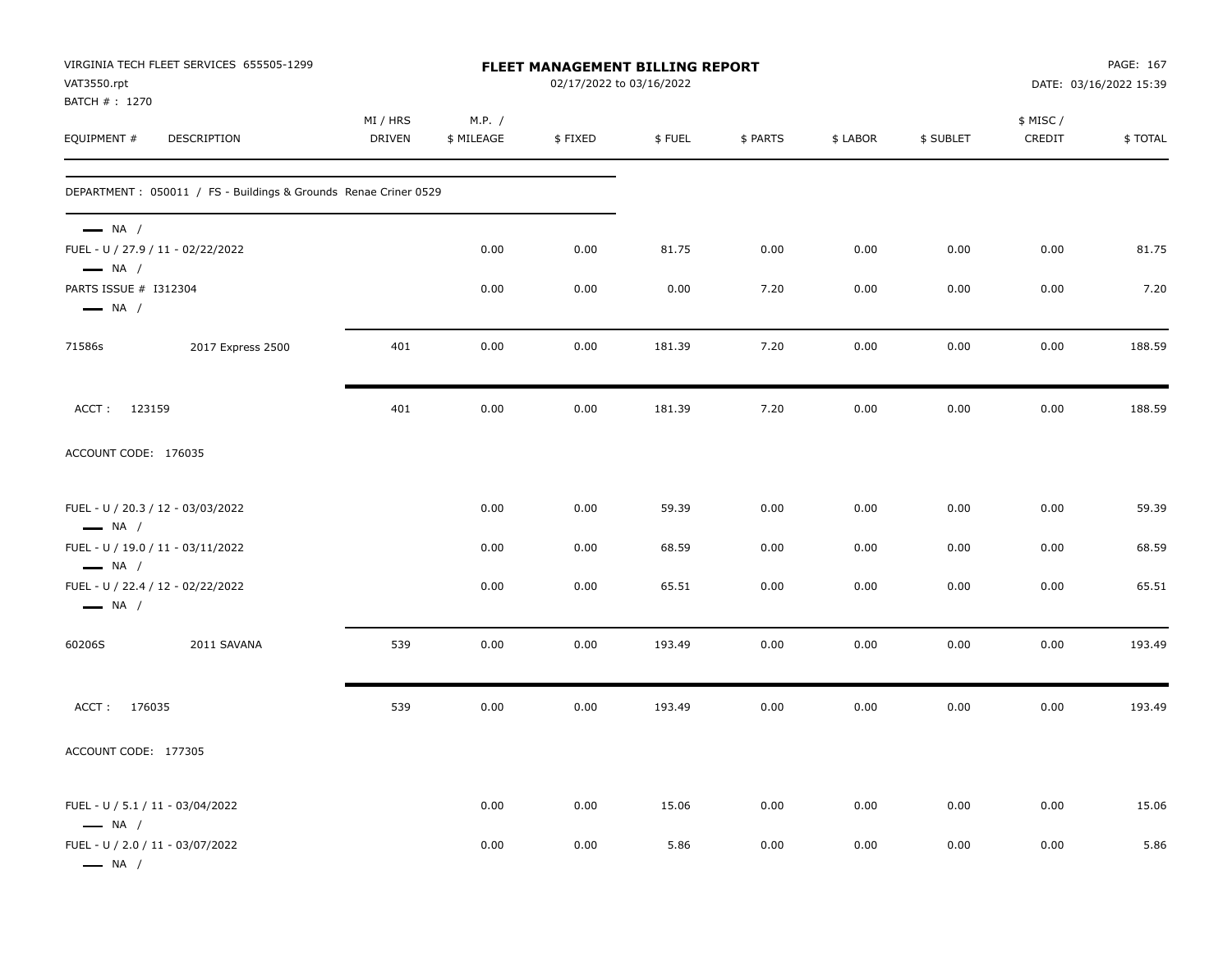| VAT3550.rpt<br>BATCH #: 1270                               | VIRGINIA TECH FLEET SERVICES 655505-1299                         | FLEET MANAGEMENT BILLING REPORT<br>02/17/2022 to 03/16/2022 |                      |         |        |          |          |           | PAGE: 167<br>DATE: 03/16/2022 15:39 |         |  |
|------------------------------------------------------------|------------------------------------------------------------------|-------------------------------------------------------------|----------------------|---------|--------|----------|----------|-----------|-------------------------------------|---------|--|
| EQUIPMENT #                                                | DESCRIPTION                                                      | MI / HRS<br>DRIVEN                                          | M.P. /<br>\$ MILEAGE | \$FIXED | \$FUEL | \$ PARTS | \$ LABOR | \$ SUBLET | \$ MISC /<br>CREDIT                 | \$TOTAL |  |
|                                                            | DEPARTMENT : 050011 / FS - Buildings & Grounds Renae Criner 0529 |                                                             |                      |         |        |          |          |           |                                     |         |  |
| $\longrightarrow$ NA /<br>$\longrightarrow$ NA /           | FUEL - U / 27.9 / 11 - 02/22/2022                                |                                                             | 0.00                 | 0.00    | 81.75  | 0.00     | 0.00     | 0.00      | 0.00                                | 81.75   |  |
| PARTS ISSUE # I312304<br>$\longrightarrow$ NA /            |                                                                  |                                                             | 0.00                 | 0.00    | 0.00   | 7.20     | 0.00     | 0.00      | 0.00                                | 7.20    |  |
| 71586s                                                     | 2017 Express 2500                                                | 401                                                         | 0.00                 | 0.00    | 181.39 | 7.20     | 0.00     | 0.00      | 0.00                                | 188.59  |  |
| ACCT: 123159                                               |                                                                  | 401                                                         | 0.00                 | 0.00    | 181.39 | 7.20     | 0.00     | 0.00      | 0.00                                | 188.59  |  |
| ACCOUNT CODE: 176035                                       |                                                                  |                                                             |                      |         |        |          |          |           |                                     |         |  |
| $\longrightarrow$ NA /                                     | FUEL - U / 20.3 / 12 - 03/03/2022                                |                                                             | 0.00                 | 0.00    | 59.39  | 0.00     | 0.00     | 0.00      | 0.00                                | 59.39   |  |
| $\longrightarrow$ NA /                                     | FUEL - U / 19.0 / 11 - 03/11/2022                                |                                                             | 0.00                 | 0.00    | 68.59  | 0.00     | 0.00     | 0.00      | 0.00                                | 68.59   |  |
| $\longrightarrow$ NA /                                     | FUEL - U / 22.4 / 12 - 02/22/2022                                |                                                             | 0.00                 | 0.00    | 65.51  | 0.00     | 0.00     | 0.00      | 0.00                                | 65.51   |  |
| 60206S                                                     | 2011 SAVANA                                                      | 539                                                         | 0.00                 | 0.00    | 193.49 | 0.00     | 0.00     | 0.00      | 0.00                                | 193.49  |  |
| ACCT: 176035                                               |                                                                  | 539                                                         | 0.00                 | 0.00    | 193.49 | 0.00     | 0.00     | 0.00      | 0.00                                | 193.49  |  |
| ACCOUNT CODE: 177305                                       |                                                                  |                                                             |                      |         |        |          |          |           |                                     |         |  |
| FUEL - U / 5.1 / 11 - 03/04/2022<br>$\longrightarrow$ NA / |                                                                  |                                                             | 0.00                 | 0.00    | 15.06  | 0.00     | 0.00     | 0.00      | 0.00                                | 15.06   |  |
| FUEL - U / 2.0 / 11 - 03/07/2022<br>$\longrightarrow$ NA / |                                                                  |                                                             | 0.00                 | 0.00    | 5.86   | 0.00     | 0.00     | 0.00      | 0.00                                | 5.86    |  |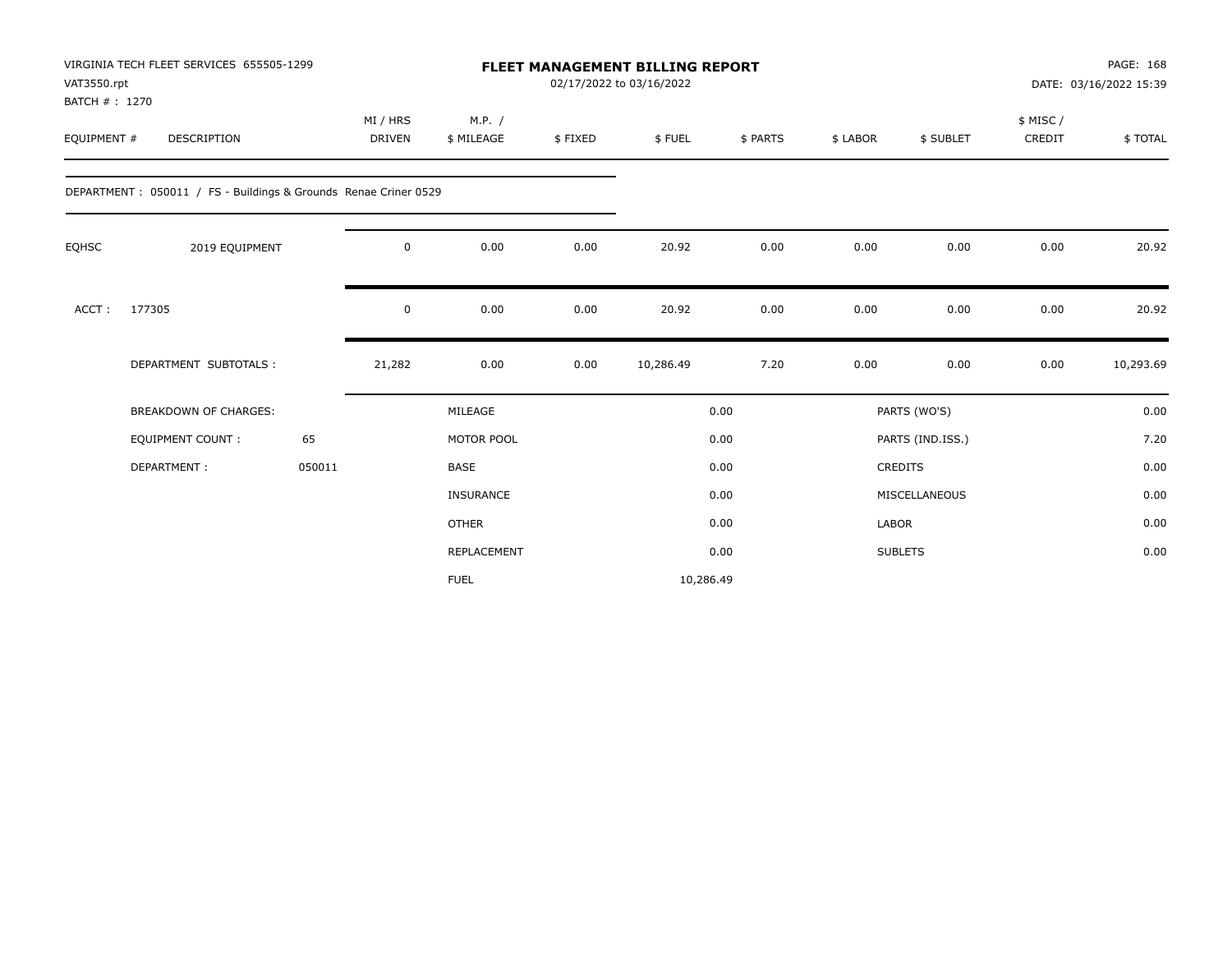| VAT3550.rpt<br>BATCH #: 1270 | VIRGINIA TECH FLEET SERVICES 655505-1299                        |        |                           |                      |         | <b>FLEET MANAGEMENT BILLING REPORT</b><br>02/17/2022 to 03/16/2022 |          |                |                  |                    | PAGE: 168<br>DATE: 03/16/2022 15:39 |
|------------------------------|-----------------------------------------------------------------|--------|---------------------------|----------------------|---------|--------------------------------------------------------------------|----------|----------------|------------------|--------------------|-------------------------------------|
| EQUIPMENT #                  | DESCRIPTION                                                     |        | MI / HRS<br><b>DRIVEN</b> | M.P. /<br>\$ MILEAGE | \$FIXED | \$FUEL                                                             | \$ PARTS | \$ LABOR       | \$ SUBLET        | \$ MISC/<br>CREDIT | \$TOTAL                             |
|                              | DEPARTMENT: 050011 / FS - Buildings & Grounds Renae Criner 0529 |        |                           |                      |         |                                                                    |          |                |                  |                    |                                     |
| <b>EQHSC</b>                 | 2019 EQUIPMENT                                                  |        | 0                         | 0.00                 | 0.00    | 20.92                                                              | 0.00     | 0.00           | 0.00             | 0.00               | 20.92                               |
| ACCT:                        | 177305                                                          |        | 0                         | 0.00                 | 0.00    | 20.92                                                              | 0.00     | 0.00           | 0.00             | 0.00               | 20.92                               |
|                              | DEPARTMENT SUBTOTALS :                                          |        | 21,282                    | 0.00                 | 0.00    | 10,286.49                                                          | 7.20     | 0.00           | 0.00             | 0.00               | 10,293.69                           |
|                              | <b>BREAKDOWN OF CHARGES:</b>                                    |        |                           | MILEAGE              |         |                                                                    | 0.00     |                | PARTS (WO'S)     |                    | 0.00                                |
|                              | <b>EQUIPMENT COUNT:</b>                                         | 65     |                           | MOTOR POOL           |         |                                                                    | 0.00     |                | PARTS (IND.ISS.) |                    | 7.20                                |
|                              | DEPARTMENT:                                                     | 050011 |                           | <b>BASE</b>          |         |                                                                    | 0.00     | <b>CREDITS</b> |                  |                    | 0.00                                |
|                              |                                                                 |        |                           | <b>INSURANCE</b>     |         |                                                                    | 0.00     |                | MISCELLANEOUS    |                    | 0.00                                |
|                              |                                                                 |        |                           | <b>OTHER</b>         |         |                                                                    | 0.00     | LABOR          |                  |                    | 0.00                                |
|                              |                                                                 |        |                           | <b>REPLACEMENT</b>   |         |                                                                    | 0.00     | <b>SUBLETS</b> |                  |                    | 0.00                                |
|                              |                                                                 |        |                           | <b>FUEL</b>          |         | 10,286.49                                                          |          |                |                  |                    |                                     |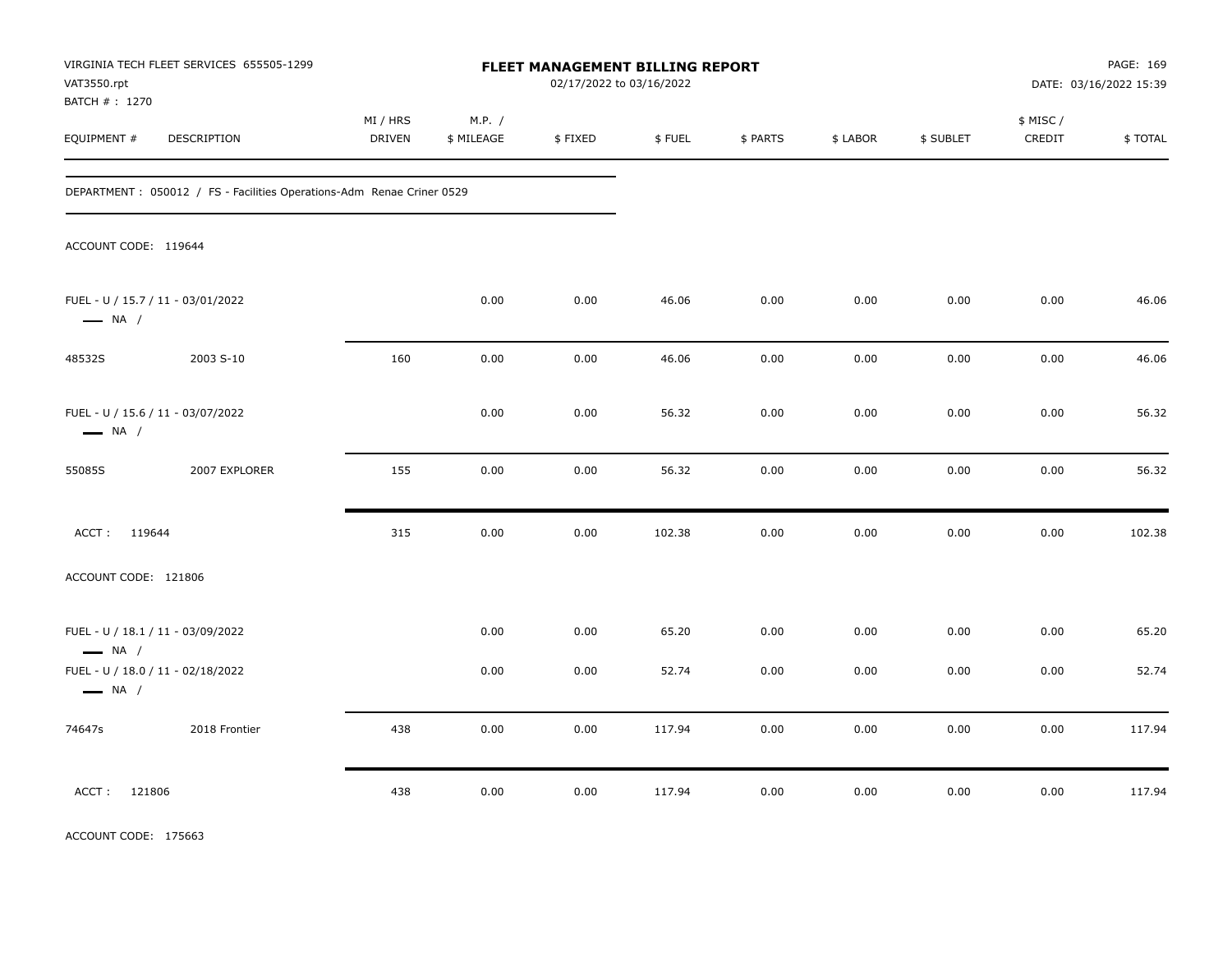| VAT3550.rpt<br>BATCH # : 1270 | VIRGINIA TECH FLEET SERVICES 655505-1299                               | FLEET MANAGEMENT BILLING REPORT<br>02/17/2022 to 03/16/2022 |                      |         |        |          |          |           |                     | PAGE: 169<br>DATE: 03/16/2022 15:39 |
|-------------------------------|------------------------------------------------------------------------|-------------------------------------------------------------|----------------------|---------|--------|----------|----------|-----------|---------------------|-------------------------------------|
| EQUIPMENT #                   | DESCRIPTION                                                            | MI / HRS<br><b>DRIVEN</b>                                   | M.P. /<br>\$ MILEAGE | \$FIXED | \$FUEL | \$ PARTS | \$ LABOR | \$ SUBLET | \$ MISC /<br>CREDIT | \$TOTAL                             |
|                               | DEPARTMENT : 050012 / FS - Facilities Operations-Adm Renae Criner 0529 |                                                             |                      |         |        |          |          |           |                     |                                     |
| ACCOUNT CODE: 119644          |                                                                        |                                                             |                      |         |        |          |          |           |                     |                                     |
| $\longrightarrow$ NA /        | FUEL - U / 15.7 / 11 - 03/01/2022                                      |                                                             | 0.00                 | 0.00    | 46.06  | 0.00     | 0.00     | 0.00      | 0.00                | 46.06                               |
| 48532S                        | 2003 S-10                                                              | 160                                                         | 0.00                 | 0.00    | 46.06  | 0.00     | 0.00     | 0.00      | 0.00                | 46.06                               |
| $\longrightarrow$ NA /        | FUEL - U / 15.6 / 11 - 03/07/2022                                      |                                                             | 0.00                 | 0.00    | 56.32  | 0.00     | 0.00     | 0.00      | 0.00                | 56.32                               |
| 55085S                        | 2007 EXPLORER                                                          | 155                                                         | 0.00                 | 0.00    | 56.32  | 0.00     | 0.00     | 0.00      | 0.00                | 56.32                               |
| ACCT: 119644                  |                                                                        | 315                                                         | 0.00                 | 0.00    | 102.38 | 0.00     | 0.00     | 0.00      | 0.00                | 102.38                              |
| ACCOUNT CODE: 121806          |                                                                        |                                                             |                      |         |        |          |          |           |                     |                                     |
| $\longrightarrow$ NA /        | FUEL - U / 18.1 / 11 - 03/09/2022                                      |                                                             | 0.00                 | 0.00    | 65.20  | 0.00     | 0.00     | 0.00      | 0.00                | 65.20                               |
| $\longrightarrow$ NA /        | FUEL - U / 18.0 / 11 - 02/18/2022                                      |                                                             | 0.00                 | 0.00    | 52.74  | 0.00     | 0.00     | 0.00      | 0.00                | 52.74                               |
| 74647s                        | 2018 Frontier                                                          | 438                                                         | 0.00                 | 0.00    | 117.94 | 0.00     | 0.00     | 0.00      | 0.00                | 117.94                              |
| ACCT:<br>121806               |                                                                        | 438                                                         | 0.00                 | 0.00    | 117.94 | 0.00     | 0.00     | 0.00      | 0.00                | 117.94                              |

ACCOUNT CODE: 175663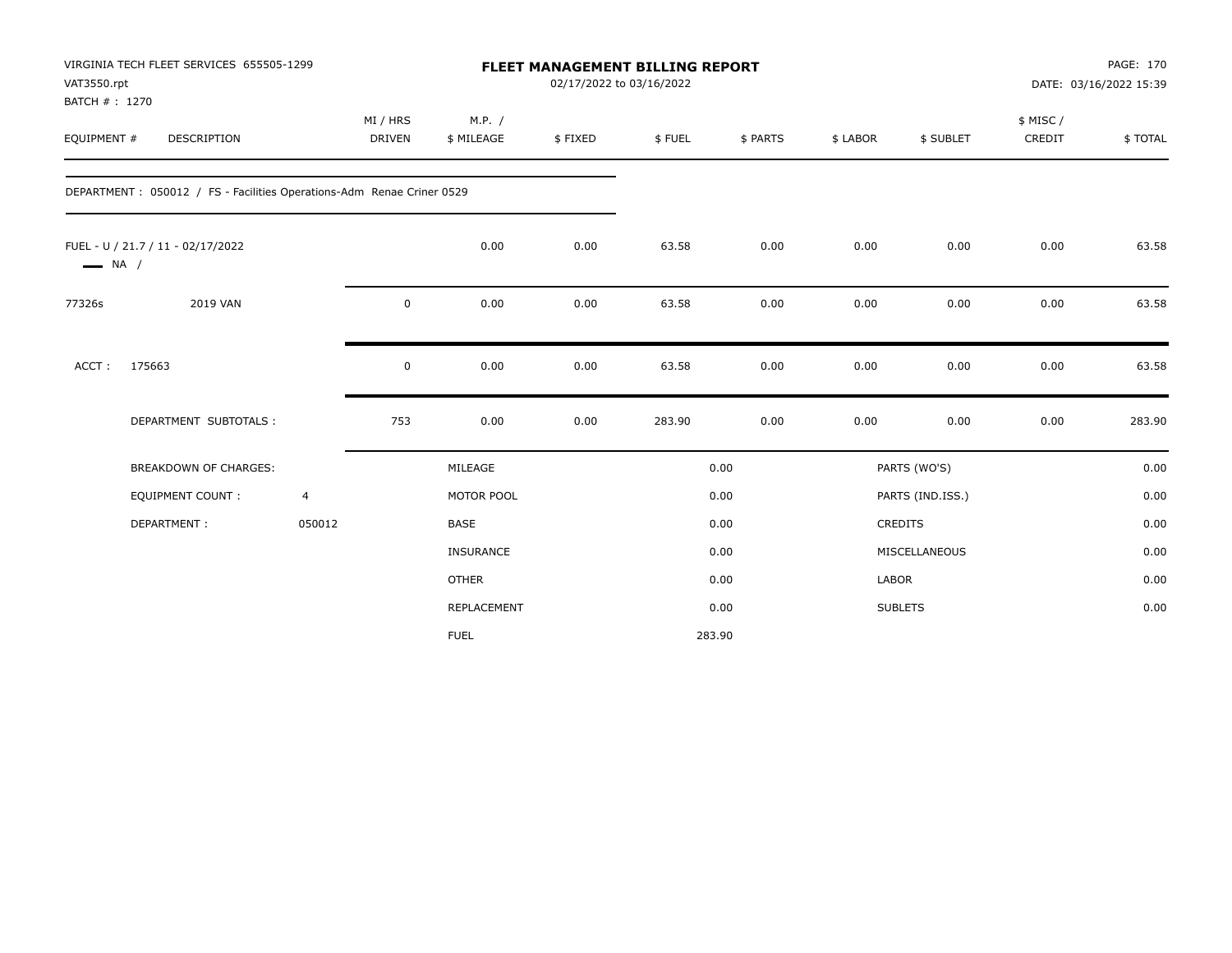| VAT3550.rpt<br>BATCH #: 1270 | VIRGINIA TECH FLEET SERVICES 655505-1299                               |                |                           |                      | 02/17/2022 to 03/16/2022 | <b>FLEET MANAGEMENT BILLING REPORT</b> |          |          |                  |                    | PAGE: 170<br>DATE: 03/16/2022 15:39 |
|------------------------------|------------------------------------------------------------------------|----------------|---------------------------|----------------------|--------------------------|----------------------------------------|----------|----------|------------------|--------------------|-------------------------------------|
| EQUIPMENT #                  | <b>DESCRIPTION</b>                                                     |                | MI / HRS<br><b>DRIVEN</b> | M.P. /<br>\$ MILEAGE | \$FIXED                  | \$FUEL                                 | \$ PARTS | \$ LABOR | \$ SUBLET        | \$ MISC/<br>CREDIT | \$TOTAL                             |
|                              | DEPARTMENT : 050012 / FS - Facilities Operations-Adm Renae Criner 0529 |                |                           |                      |                          |                                        |          |          |                  |                    |                                     |
| $\longrightarrow$ NA /       | FUEL - U / 21.7 / 11 - 02/17/2022                                      |                |                           | 0.00                 | 0.00                     | 63.58                                  | 0.00     | 0.00     | 0.00             | 0.00               | 63.58                               |
| 77326s                       | 2019 VAN                                                               |                | $\pmb{0}$                 | 0.00                 | 0.00                     | 63.58                                  | 0.00     | 0.00     | 0.00             | 0.00               | 63.58                               |
| ACCT:                        | 175663                                                                 |                | 0                         | 0.00                 | 0.00                     | 63.58                                  | 0.00     | 0.00     | 0.00             | 0.00               | 63.58                               |
|                              | DEPARTMENT SUBTOTALS :                                                 |                | 753                       | 0.00                 | 0.00                     | 283.90                                 | 0.00     | 0.00     | 0.00             | 0.00               | 283.90                              |
|                              | <b>BREAKDOWN OF CHARGES:</b>                                           |                |                           | MILEAGE              |                          |                                        | 0.00     |          | PARTS (WO'S)     |                    | 0.00                                |
|                              | <b>EQUIPMENT COUNT:</b>                                                | $\overline{4}$ |                           | MOTOR POOL           |                          |                                        | 0.00     |          | PARTS (IND.ISS.) |                    | 0.00                                |
|                              | DEPARTMENT:                                                            | 050012         |                           | <b>BASE</b>          |                          |                                        | 0.00     |          | CREDITS          |                    | 0.00                                |
|                              |                                                                        |                |                           | INSURANCE            |                          |                                        | 0.00     |          | MISCELLANEOUS    |                    | 0.00                                |
|                              |                                                                        |                |                           | <b>OTHER</b>         |                          |                                        | 0.00     | LABOR    |                  |                    | 0.00                                |
|                              |                                                                        |                |                           | <b>REPLACEMENT</b>   |                          |                                        | 0.00     |          | <b>SUBLETS</b>   |                    | 0.00                                |
|                              |                                                                        |                |                           | <b>FUEL</b>          |                          |                                        | 283.90   |          |                  |                    |                                     |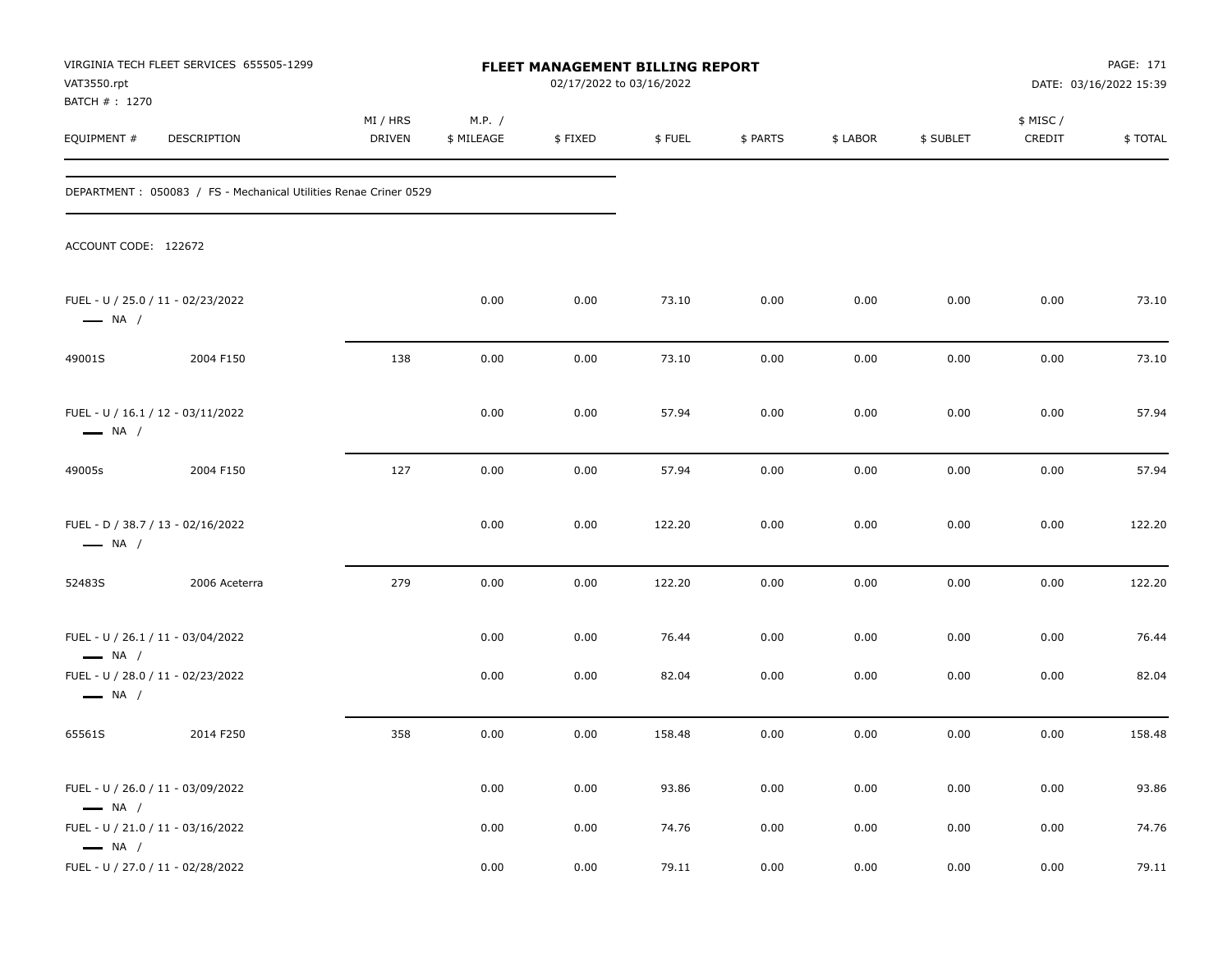| VAT3550.rpt<br>BATCH #: 1270 | VIRGINIA TECH FLEET SERVICES 655505-1299                          |                    |                      | FLEET MANAGEMENT BILLING REPORT<br>02/17/2022 to 03/16/2022 |        |          |          |           |                     | PAGE: 171<br>DATE: 03/16/2022 15:39 |
|------------------------------|-------------------------------------------------------------------|--------------------|----------------------|-------------------------------------------------------------|--------|----------|----------|-----------|---------------------|-------------------------------------|
| EQUIPMENT #                  | DESCRIPTION                                                       | MI / HRS<br>DRIVEN | M.P. /<br>\$ MILEAGE | \$FIXED                                                     | \$FUEL | \$ PARTS | \$ LABOR | \$ SUBLET | \$ MISC /<br>CREDIT | \$TOTAL                             |
|                              | DEPARTMENT : 050083 / FS - Mechanical Utilities Renae Criner 0529 |                    |                      |                                                             |        |          |          |           |                     |                                     |
| ACCOUNT CODE: 122672         |                                                                   |                    |                      |                                                             |        |          |          |           |                     |                                     |
| $\longrightarrow$ NA /       | FUEL - U / 25.0 / 11 - 02/23/2022                                 |                    | 0.00                 | 0.00                                                        | 73.10  | 0.00     | 0.00     | 0.00      | 0.00                | 73.10                               |
| 49001S                       | 2004 F150                                                         | 138                | 0.00                 | 0.00                                                        | 73.10  | 0.00     | 0.00     | 0.00      | 0.00                | 73.10                               |
| $\longrightarrow$ NA /       | FUEL - U / 16.1 / 12 - 03/11/2022                                 |                    | 0.00                 | 0.00                                                        | 57.94  | 0.00     | 0.00     | 0.00      | 0.00                | 57.94                               |
| 49005s                       | 2004 F150                                                         | 127                | 0.00                 | 0.00                                                        | 57.94  | 0.00     | 0.00     | 0.00      | 0.00                | 57.94                               |
| $\longrightarrow$ NA /       | FUEL - D / 38.7 / 13 - 02/16/2022                                 |                    | 0.00                 | 0.00                                                        | 122.20 | 0.00     | 0.00     | 0.00      | 0.00                | 122.20                              |
| 52483S                       | 2006 Aceterra                                                     | 279                | 0.00                 | 0.00                                                        | 122.20 | 0.00     | 0.00     | 0.00      | 0.00                | 122.20                              |
| $\longrightarrow$ NA /       | FUEL - U / 26.1 / 11 - 03/04/2022                                 |                    | 0.00                 | 0.00                                                        | 76.44  | 0.00     | 0.00     | 0.00      | 0.00                | 76.44                               |
| $\longrightarrow$ NA /       | FUEL - U / 28.0 / 11 - 02/23/2022                                 |                    | 0.00                 | 0.00                                                        | 82.04  | 0.00     | 0.00     | 0.00      | 0.00                | 82.04                               |
| 65561S                       | 2014 F250                                                         | 358                | 0.00                 | 0.00                                                        | 158.48 | 0.00     | 0.00     | 0.00      | 0.00                | 158.48                              |
| $\longrightarrow$ NA /       | FUEL - U / 26.0 / 11 - 03/09/2022                                 |                    | 0.00                 | 0.00                                                        | 93.86  | 0.00     | 0.00     | 0.00      | 0.00                | 93.86                               |
| $\longrightarrow$ NA /       | FUEL - U / 21.0 / 11 - 03/16/2022                                 |                    | 0.00                 | 0.00                                                        | 74.76  | 0.00     | 0.00     | 0.00      | 0.00                | 74.76                               |
|                              | FUEL - U / 27.0 / 11 - 02/28/2022                                 |                    | 0.00                 | 0.00                                                        | 79.11  | 0.00     | 0.00     | 0.00      | 0.00                | 79.11                               |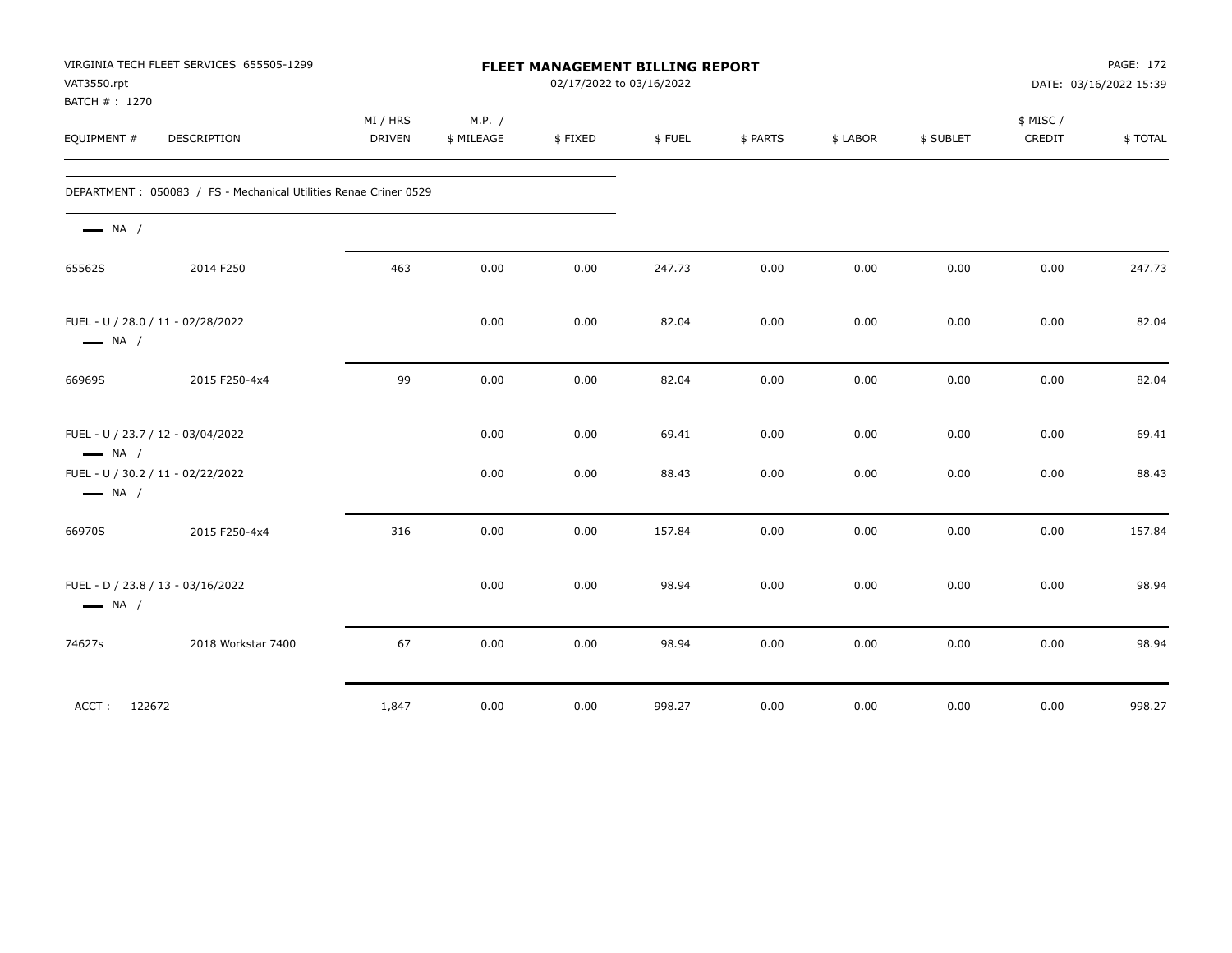| VAT3550.rpt<br>BATCH #: 1270 | VIRGINIA TECH FLEET SERVICES 655505-1299                          | FLEET MANAGEMENT BILLING REPORT<br>02/17/2022 to 03/16/2022 |                      |         |        |          |          |           |                    | PAGE: 172<br>DATE: 03/16/2022 15:39 |  |
|------------------------------|-------------------------------------------------------------------|-------------------------------------------------------------|----------------------|---------|--------|----------|----------|-----------|--------------------|-------------------------------------|--|
| EQUIPMENT #                  | DESCRIPTION                                                       | MI / HRS<br><b>DRIVEN</b>                                   | M.P. /<br>\$ MILEAGE | \$FIXED | \$FUEL | \$ PARTS | \$ LABOR | \$ SUBLET | \$ MISC/<br>CREDIT | \$TOTAL                             |  |
|                              | DEPARTMENT : 050083 / FS - Mechanical Utilities Renae Criner 0529 |                                                             |                      |         |        |          |          |           |                    |                                     |  |
| $\longrightarrow$ NA /       |                                                                   |                                                             |                      |         |        |          |          |           |                    |                                     |  |
| 65562S                       | 2014 F250                                                         | 463                                                         | 0.00                 | 0.00    | 247.73 | 0.00     | 0.00     | 0.00      | 0.00               | 247.73                              |  |
| $\longrightarrow$ NA /       | FUEL - U / 28.0 / 11 - 02/28/2022                                 |                                                             | 0.00                 | 0.00    | 82.04  | 0.00     | 0.00     | 0.00      | 0.00               | 82.04                               |  |
| 66969S                       | 2015 F250-4x4                                                     | 99                                                          | 0.00                 | 0.00    | 82.04  | 0.00     | 0.00     | 0.00      | 0.00               | 82.04                               |  |
| $\longrightarrow$ NA /       | FUEL - U / 23.7 / 12 - 03/04/2022                                 |                                                             | 0.00                 | 0.00    | 69.41  | 0.00     | 0.00     | 0.00      | 0.00               | 69.41                               |  |
| $\longrightarrow$ NA /       | FUEL - U / 30.2 / 11 - 02/22/2022                                 |                                                             | 0.00                 | 0.00    | 88.43  | 0.00     | 0.00     | 0.00      | 0.00               | 88.43                               |  |
| 66970S                       | 2015 F250-4x4                                                     | 316                                                         | 0.00                 | 0.00    | 157.84 | 0.00     | 0.00     | 0.00      | 0.00               | 157.84                              |  |
| $\longrightarrow$ NA /       | FUEL - D / 23.8 / 13 - 03/16/2022                                 |                                                             | 0.00                 | 0.00    | 98.94  | 0.00     | 0.00     | 0.00      | 0.00               | 98.94                               |  |
| 74627s                       | 2018 Workstar 7400                                                | 67                                                          | 0.00                 | 0.00    | 98.94  | 0.00     | 0.00     | 0.00      | 0.00               | 98.94                               |  |
|                              | ACCT: 122672                                                      | 1,847                                                       | 0.00                 | 0.00    | 998.27 | 0.00     | 0.00     | 0.00      | 0.00               | 998.27                              |  |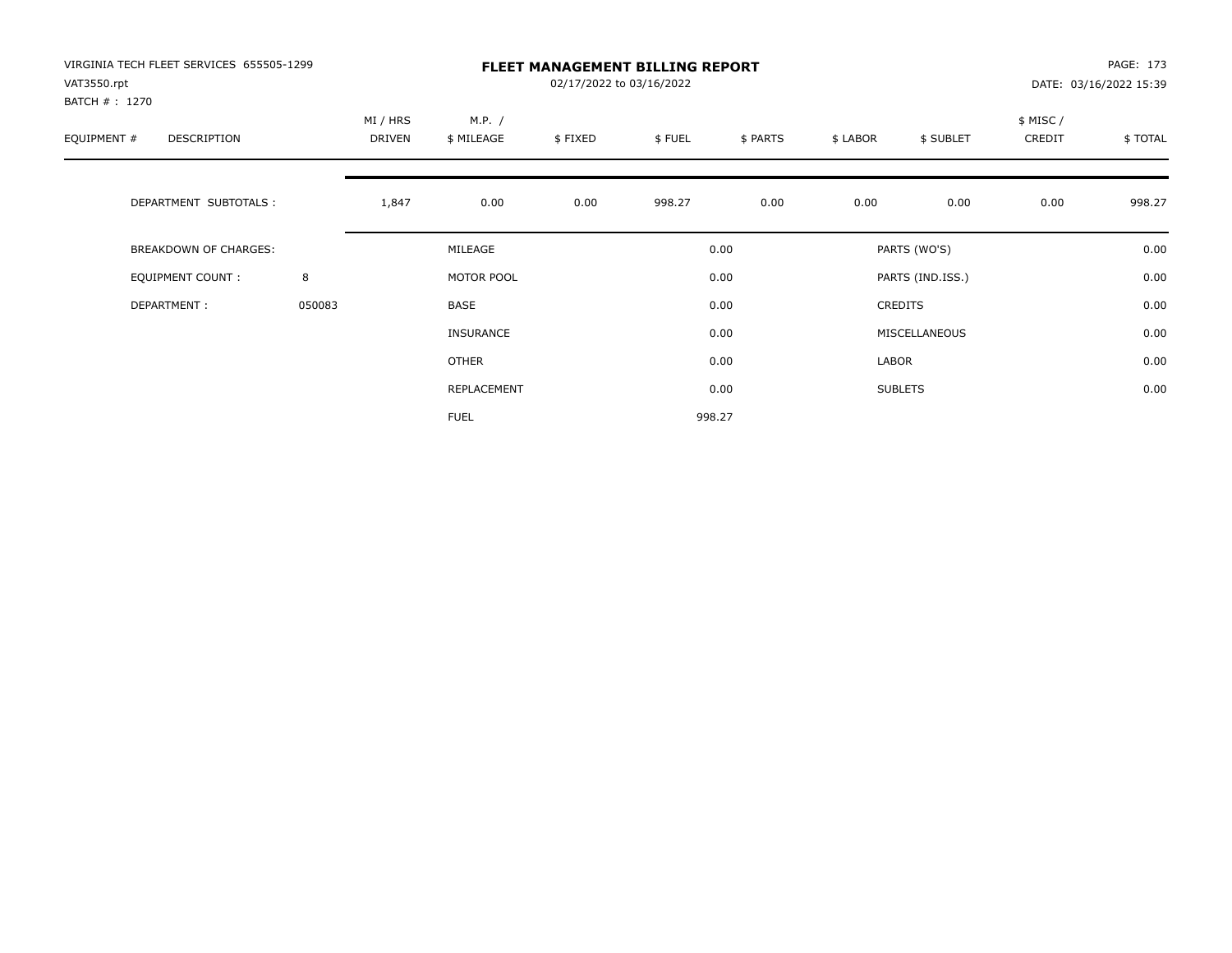| VIRGINIA TECH FLEET SERVICES 655505-1299<br>VAT3550.rpt<br>BATCH # : 1270 |        | <b>FLEET MANAGEMENT BILLING REPORT</b><br>02/17/2022 to 03/16/2022 |                      |         |        |          |          |                  |                    | PAGE: 173<br>DATE: 03/16/2022 15:39 |  |
|---------------------------------------------------------------------------|--------|--------------------------------------------------------------------|----------------------|---------|--------|----------|----------|------------------|--------------------|-------------------------------------|--|
| EQUIPMENT #<br>DESCRIPTION                                                |        | MI / HRS<br>DRIVEN                                                 | M.P. /<br>\$ MILEAGE | \$FIXED | \$FUEL | \$ PARTS | \$ LABOR | \$ SUBLET        | \$ MISC/<br>CREDIT | \$TOTAL                             |  |
| DEPARTMENT SUBTOTALS :                                                    |        | 1,847                                                              | 0.00                 | 0.00    | 998.27 | 0.00     | 0.00     | 0.00             | 0.00               | 998.27                              |  |
| <b>BREAKDOWN OF CHARGES:</b>                                              |        |                                                                    | MILEAGE              |         |        | 0.00     |          | PARTS (WO'S)     |                    | 0.00                                |  |
| EQUIPMENT COUNT:                                                          | 8      |                                                                    | MOTOR POOL           |         |        | 0.00     |          | PARTS (IND.ISS.) |                    | 0.00                                |  |
| DEPARTMENT:                                                               | 050083 |                                                                    | <b>BASE</b>          |         |        | 0.00     |          | <b>CREDITS</b>   |                    | 0.00                                |  |
|                                                                           |        |                                                                    | INSURANCE            |         |        | 0.00     |          | MISCELLANEOUS    |                    | 0.00                                |  |
|                                                                           |        |                                                                    | <b>OTHER</b>         |         |        | 0.00     | LABOR    |                  |                    | 0.00                                |  |
|                                                                           |        |                                                                    | REPLACEMENT          |         |        | 0.00     |          | <b>SUBLETS</b>   |                    | 0.00                                |  |
|                                                                           |        |                                                                    | <b>FUEL</b>          |         |        | 998.27   |          |                  |                    |                                     |  |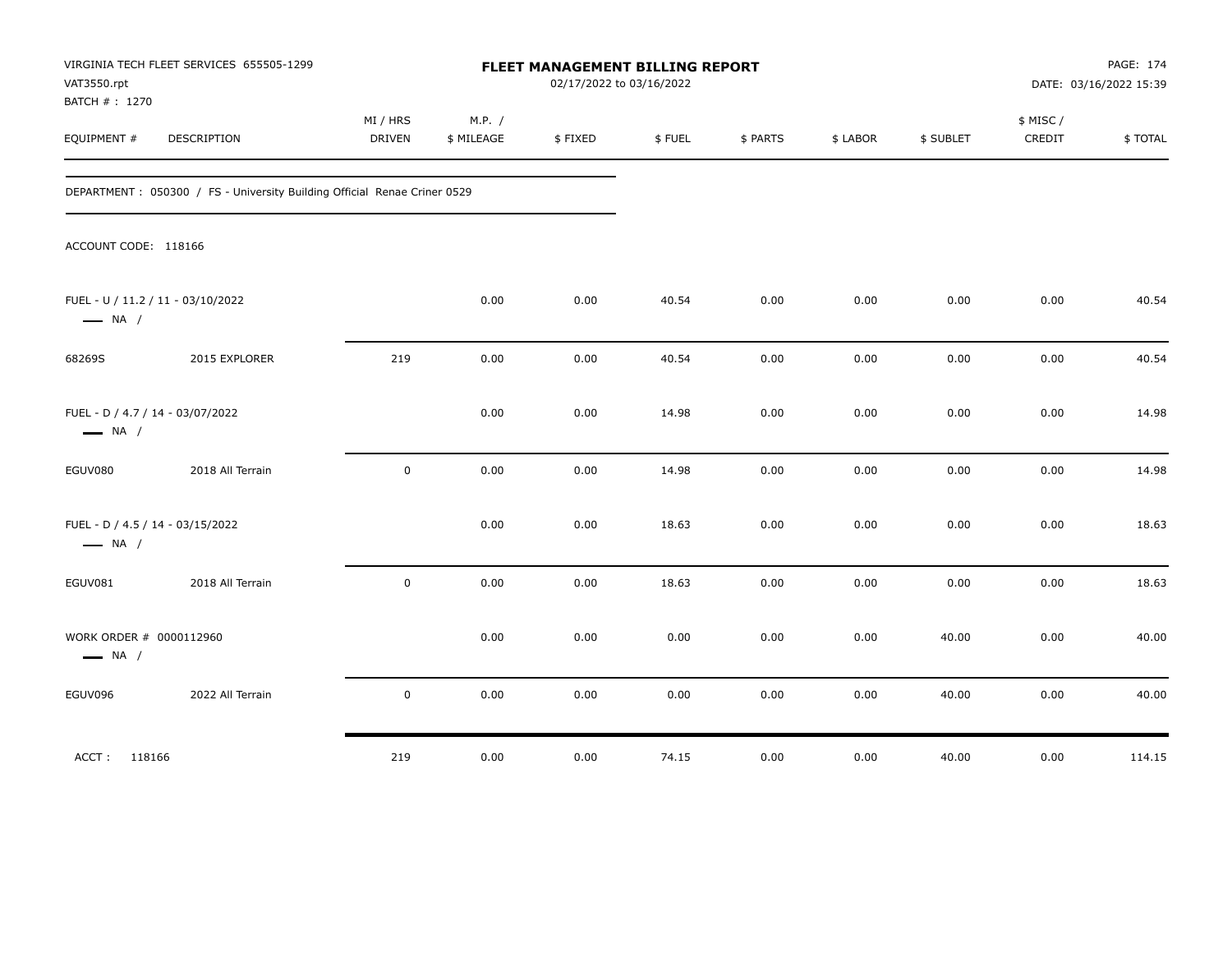| VAT3550.rpt<br>BATCH #: 1270 | VIRGINIA TECH FLEET SERVICES 655505-1299                                  |                    |                      | FLEET MANAGEMENT BILLING REPORT<br>02/17/2022 to 03/16/2022 |        |          |          |           |                     | PAGE: 174<br>DATE: 03/16/2022 15:39 |
|------------------------------|---------------------------------------------------------------------------|--------------------|----------------------|-------------------------------------------------------------|--------|----------|----------|-----------|---------------------|-------------------------------------|
| EQUIPMENT #                  | <b>DESCRIPTION</b>                                                        | MI / HRS<br>DRIVEN | M.P. /<br>\$ MILEAGE | \$FIXED                                                     | \$FUEL | \$ PARTS | \$ LABOR | \$ SUBLET | \$ MISC /<br>CREDIT | \$TOTAL                             |
|                              | DEPARTMENT : 050300 / FS - University Building Official Renae Criner 0529 |                    |                      |                                                             |        |          |          |           |                     |                                     |
| ACCOUNT CODE: 118166         |                                                                           |                    |                      |                                                             |        |          |          |           |                     |                                     |
| $\longrightarrow$ NA /       | FUEL - U / 11.2 / 11 - 03/10/2022                                         |                    | 0.00                 | 0.00                                                        | 40.54  | 0.00     | 0.00     | 0.00      | 0.00                | 40.54                               |
| 68269S                       | 2015 EXPLORER                                                             | 219                | 0.00                 | 0.00                                                        | 40.54  | 0.00     | 0.00     | 0.00      | 0.00                | 40.54                               |
| $\longrightarrow$ NA /       | FUEL - D / 4.7 / 14 - 03/07/2022                                          |                    | 0.00                 | 0.00                                                        | 14.98  | 0.00     | 0.00     | 0.00      | 0.00                | 14.98                               |
| EGUV080                      | 2018 All Terrain                                                          | $\mathbf 0$        | 0.00                 | 0.00                                                        | 14.98  | 0.00     | 0.00     | 0.00      | 0.00                | 14.98                               |
| $\longrightarrow$ NA /       | FUEL - D / 4.5 / 14 - 03/15/2022                                          |                    | 0.00                 | 0.00                                                        | 18.63  | 0.00     | 0.00     | 0.00      | 0.00                | 18.63                               |
| EGUV081                      | 2018 All Terrain                                                          | $\mathsf 0$        | 0.00                 | 0.00                                                        | 18.63  | 0.00     | 0.00     | 0.00      | 0.00                | 18.63                               |
| $\longrightarrow$ NA /       | WORK ORDER # 0000112960                                                   |                    | 0.00                 | 0.00                                                        | 0.00   | 0.00     | 0.00     | 40.00     | 0.00                | 40.00                               |
| EGUV096                      | 2022 All Terrain                                                          | $\mathsf 0$        | 0.00                 | 0.00                                                        | 0.00   | 0.00     | 0.00     | 40.00     | 0.00                | 40.00                               |
| ACCT: 118166                 |                                                                           | 219                | 0.00                 | 0.00                                                        | 74.15  | 0.00     | 0.00     | 40.00     | 0.00                | 114.15                              |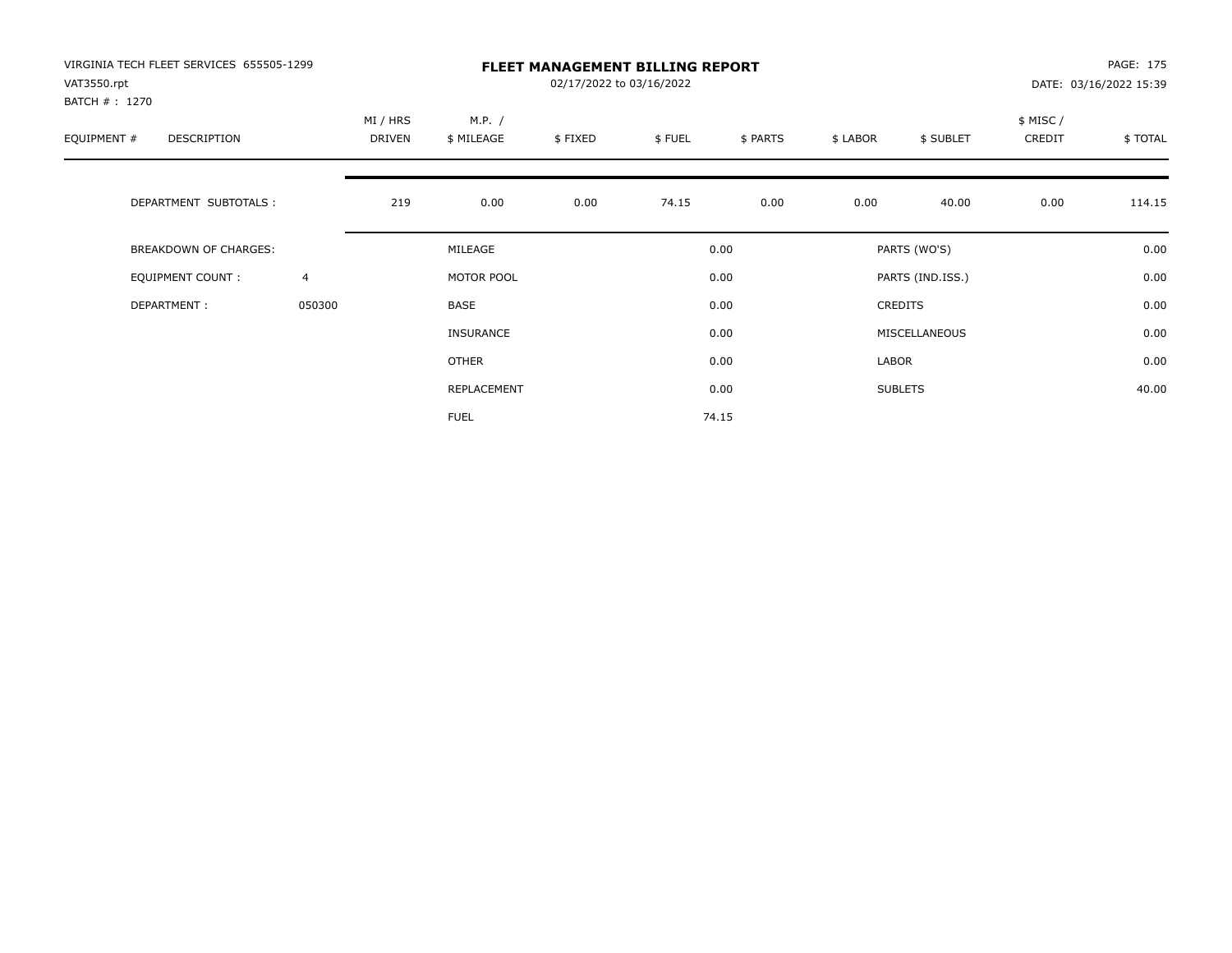| VIRGINIA TECH FLEET SERVICES 655505-1299<br>VAT3550.rpt<br>BATCH # : 1270 |                | <b>FLEET MANAGEMENT BILLING REPORT</b><br>02/17/2022 to 03/16/2022 |                      |         |        |          |          |                  |                    | PAGE: 175<br>DATE: 03/16/2022 15:39 |  |
|---------------------------------------------------------------------------|----------------|--------------------------------------------------------------------|----------------------|---------|--------|----------|----------|------------------|--------------------|-------------------------------------|--|
| EQUIPMENT #<br>DESCRIPTION                                                |                | MI / HRS<br>DRIVEN                                                 | M.P. /<br>\$ MILEAGE | \$FIXED | \$FUEL | \$ PARTS | \$ LABOR | \$ SUBLET        | \$ MISC/<br>CREDIT | \$ TOTAL                            |  |
| DEPARTMENT SUBTOTALS :                                                    |                | 219                                                                | 0.00                 | 0.00    | 74.15  | 0.00     | 0.00     | 40.00            | 0.00               | 114.15                              |  |
| BREAKDOWN OF CHARGES:                                                     |                |                                                                    | MILEAGE              |         |        | 0.00     |          | PARTS (WO'S)     |                    | 0.00                                |  |
| <b>EQUIPMENT COUNT:</b>                                                   | $\overline{4}$ |                                                                    | MOTOR POOL           |         |        | 0.00     |          | PARTS (IND.ISS.) |                    | 0.00                                |  |
| DEPARTMENT:                                                               | 050300         |                                                                    | <b>BASE</b>          |         |        | 0.00     |          | <b>CREDITS</b>   |                    | 0.00                                |  |
|                                                                           |                |                                                                    | INSURANCE            |         |        | 0.00     |          | MISCELLANEOUS    |                    | 0.00                                |  |
|                                                                           |                |                                                                    | OTHER                |         |        | 0.00     | LABOR    |                  |                    | 0.00                                |  |
|                                                                           |                |                                                                    | REPLACEMENT          |         |        | 0.00     |          | <b>SUBLETS</b>   |                    | 40.00                               |  |
|                                                                           |                |                                                                    | <b>FUEL</b>          |         |        | 74.15    |          |                  |                    |                                     |  |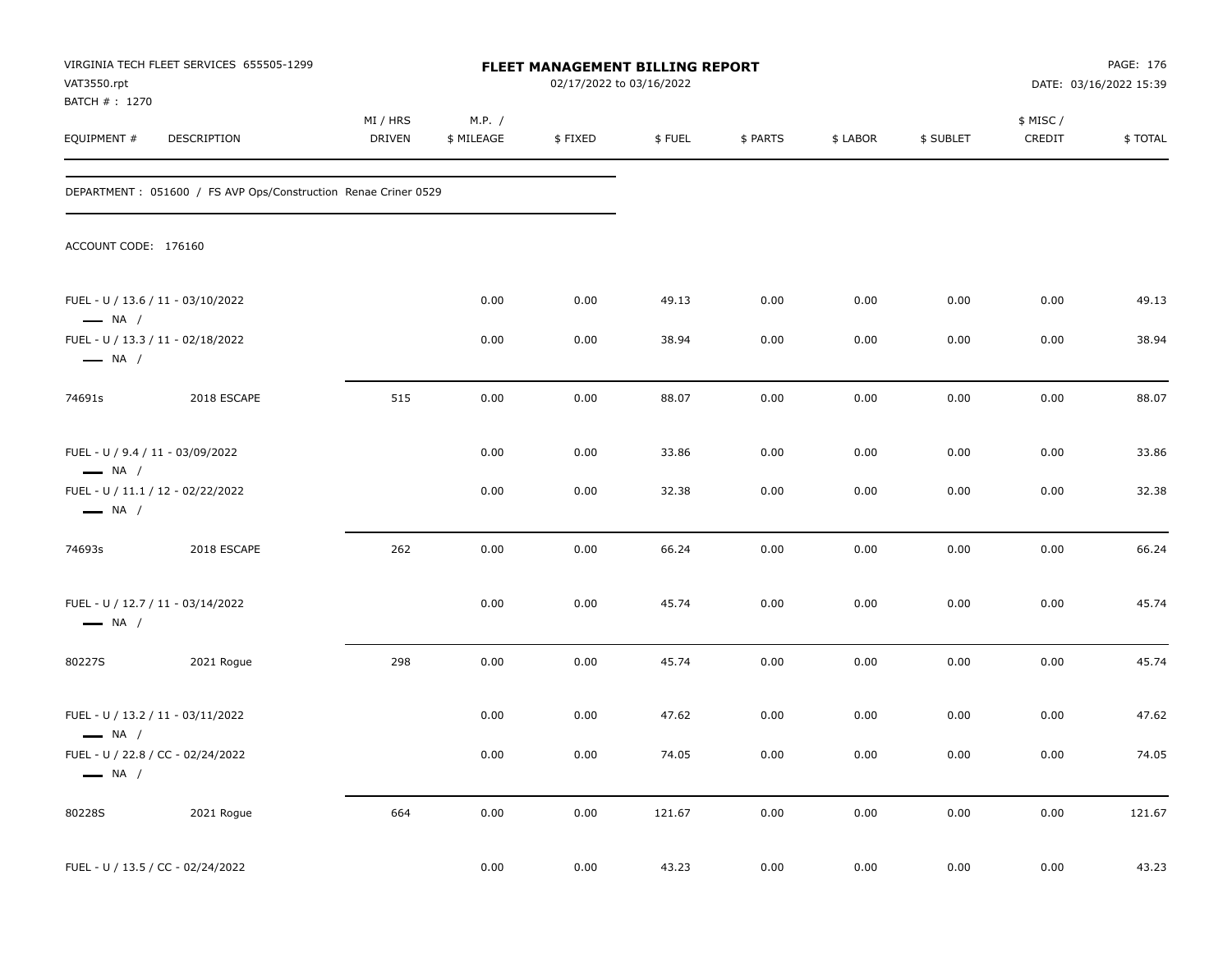| VAT3550.rpt<br>BATCH #: 1270                               | VIRGINIA TECH FLEET SERVICES 655505-1299                        |                           |                      | FLEET MANAGEMENT BILLING REPORT<br>02/17/2022 to 03/16/2022 |        |          |          |           |                    | PAGE: 176<br>DATE: 03/16/2022 15:39 |
|------------------------------------------------------------|-----------------------------------------------------------------|---------------------------|----------------------|-------------------------------------------------------------|--------|----------|----------|-----------|--------------------|-------------------------------------|
| EQUIPMENT #                                                | DESCRIPTION                                                     | MI / HRS<br><b>DRIVEN</b> | M.P. /<br>\$ MILEAGE | \$FIXED                                                     | \$FUEL | \$ PARTS | \$ LABOR | \$ SUBLET | \$ MISC/<br>CREDIT | \$TOTAL                             |
|                                                            | DEPARTMENT : 051600 / FS AVP Ops/Construction Renae Criner 0529 |                           |                      |                                                             |        |          |          |           |                    |                                     |
| ACCOUNT CODE: 176160                                       |                                                                 |                           |                      |                                                             |        |          |          |           |                    |                                     |
| $\longrightarrow$ NA /                                     | FUEL - U / 13.6 / 11 - 03/10/2022                               |                           | 0.00                 | 0.00                                                        | 49.13  | 0.00     | 0.00     | 0.00      | 0.00               | 49.13                               |
| $\longrightarrow$ NA /                                     | FUEL - U / 13.3 / 11 - 02/18/2022                               |                           | 0.00                 | 0.00                                                        | 38.94  | 0.00     | 0.00     | 0.00      | 0.00               | 38.94                               |
| 74691s                                                     | 2018 ESCAPE                                                     | 515                       | 0.00                 | 0.00                                                        | 88.07  | 0.00     | 0.00     | 0.00      | 0.00               | 88.07                               |
| FUEL - U / 9.4 / 11 - 03/09/2022<br>$\longrightarrow$ NA / |                                                                 |                           | 0.00                 | 0.00                                                        | 33.86  | 0.00     | 0.00     | 0.00      | 0.00               | 33.86                               |
| $\longrightarrow$ NA /                                     | FUEL - U / 11.1 / 12 - 02/22/2022                               |                           | 0.00                 | 0.00                                                        | 32.38  | 0.00     | 0.00     | 0.00      | 0.00               | 32.38                               |
| 74693s                                                     | 2018 ESCAPE                                                     | 262                       | 0.00                 | 0.00                                                        | 66.24  | 0.00     | 0.00     | 0.00      | 0.00               | 66.24                               |
| $\longrightarrow$ NA /                                     | FUEL - U / 12.7 / 11 - 03/14/2022                               |                           | 0.00                 | 0.00                                                        | 45.74  | 0.00     | 0.00     | 0.00      | 0.00               | 45.74                               |
| 80227S                                                     | 2021 Rogue                                                      | 298                       | 0.00                 | 0.00                                                        | 45.74  | 0.00     | 0.00     | 0.00      | 0.00               | 45.74                               |
| $\longrightarrow$ NA /                                     | FUEL - U / 13.2 / 11 - 03/11/2022                               |                           | 0.00                 | 0.00                                                        | 47.62  | 0.00     | 0.00     | 0.00      | 0.00               | 47.62                               |
| $\longrightarrow$ NA /                                     | FUEL - U / 22.8 / CC - 02/24/2022                               |                           | 0.00                 | 0.00                                                        | 74.05  | $0.00\,$ | $0.00\,$ | 0.00      | $0.00\,$           | 74.05                               |
| 80228S                                                     | 2021 Rogue                                                      | 664                       | 0.00                 | 0.00                                                        | 121.67 | 0.00     | 0.00     | 0.00      | 0.00               | 121.67                              |
|                                                            | FUEL - U / 13.5 / CC - 02/24/2022                               |                           | 0.00                 | 0.00                                                        | 43.23  | 0.00     | $0.00\,$ | $0.00\,$  | $0.00\,$           | 43.23                               |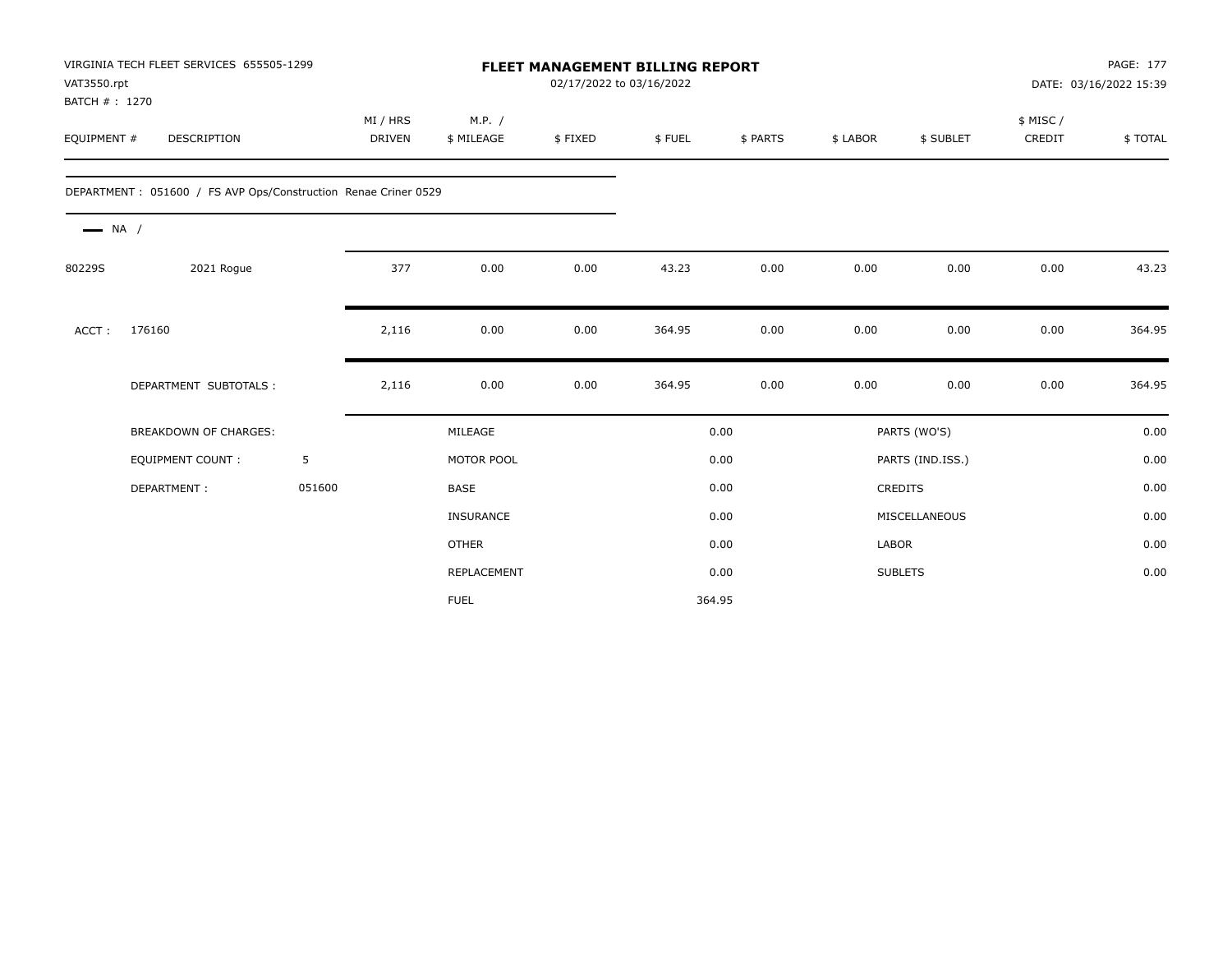| VAT3550.rpt<br>BATCH #: 1270 | VIRGINIA TECH FLEET SERVICES 655505-1299                       |        |                           | <b>FLEET MANAGEMENT BILLING REPORT</b><br>02/17/2022 to 03/16/2022 |         |        |          |              |                  |                    | PAGE: 177<br>DATE: 03/16/2022 15:39 |  |
|------------------------------|----------------------------------------------------------------|--------|---------------------------|--------------------------------------------------------------------|---------|--------|----------|--------------|------------------|--------------------|-------------------------------------|--|
| EQUIPMENT #                  | DESCRIPTION                                                    |        | MI / HRS<br><b>DRIVEN</b> | M.P. /<br>\$ MILEAGE                                               | \$FIXED | \$FUEL | \$ PARTS | \$ LABOR     | \$ SUBLET        | \$ MISC/<br>CREDIT | \$TOTAL                             |  |
|                              | DEPARTMENT: 051600 / FS AVP Ops/Construction Renae Criner 0529 |        |                           |                                                                    |         |        |          |              |                  |                    |                                     |  |
| $\longrightarrow$ NA /       |                                                                |        |                           |                                                                    |         |        |          |              |                  |                    |                                     |  |
| 80229S                       | 2021 Rogue                                                     |        | 377                       | 0.00                                                               | 0.00    | 43.23  | 0.00     | 0.00         | 0.00             | 0.00               | 43.23                               |  |
| ACCT:                        | 176160                                                         |        | 2,116                     | 0.00                                                               | 0.00    | 364.95 | 0.00     | 0.00         | 0.00             | 0.00               | 364.95                              |  |
|                              | DEPARTMENT SUBTOTALS :                                         |        | 2,116                     | 0.00                                                               | 0.00    | 364.95 | 0.00     | 0.00         | 0.00             | 0.00               | 364.95                              |  |
|                              | BREAKDOWN OF CHARGES:                                          |        |                           | MILEAGE                                                            |         |        | 0.00     |              | PARTS (WO'S)     |                    | 0.00                                |  |
|                              | <b>EQUIPMENT COUNT:</b>                                        | 5      |                           | MOTOR POOL                                                         |         |        | 0.00     |              | PARTS (IND.ISS.) |                    | 0.00                                |  |
|                              | DEPARTMENT:                                                    | 051600 |                           | <b>BASE</b>                                                        |         |        | 0.00     |              | <b>CREDITS</b>   |                    | 0.00                                |  |
|                              |                                                                |        |                           | <b>INSURANCE</b>                                                   |         |        | 0.00     |              | MISCELLANEOUS    |                    | 0.00                                |  |
|                              |                                                                |        |                           | <b>OTHER</b>                                                       |         |        | 0.00     | <b>LABOR</b> |                  |                    | 0.00                                |  |
|                              |                                                                |        |                           | REPLACEMENT                                                        |         |        | 0.00     |              | <b>SUBLETS</b>   |                    | 0.00                                |  |
|                              |                                                                |        |                           | <b>FUEL</b>                                                        |         | 364.95 |          |              |                  |                    |                                     |  |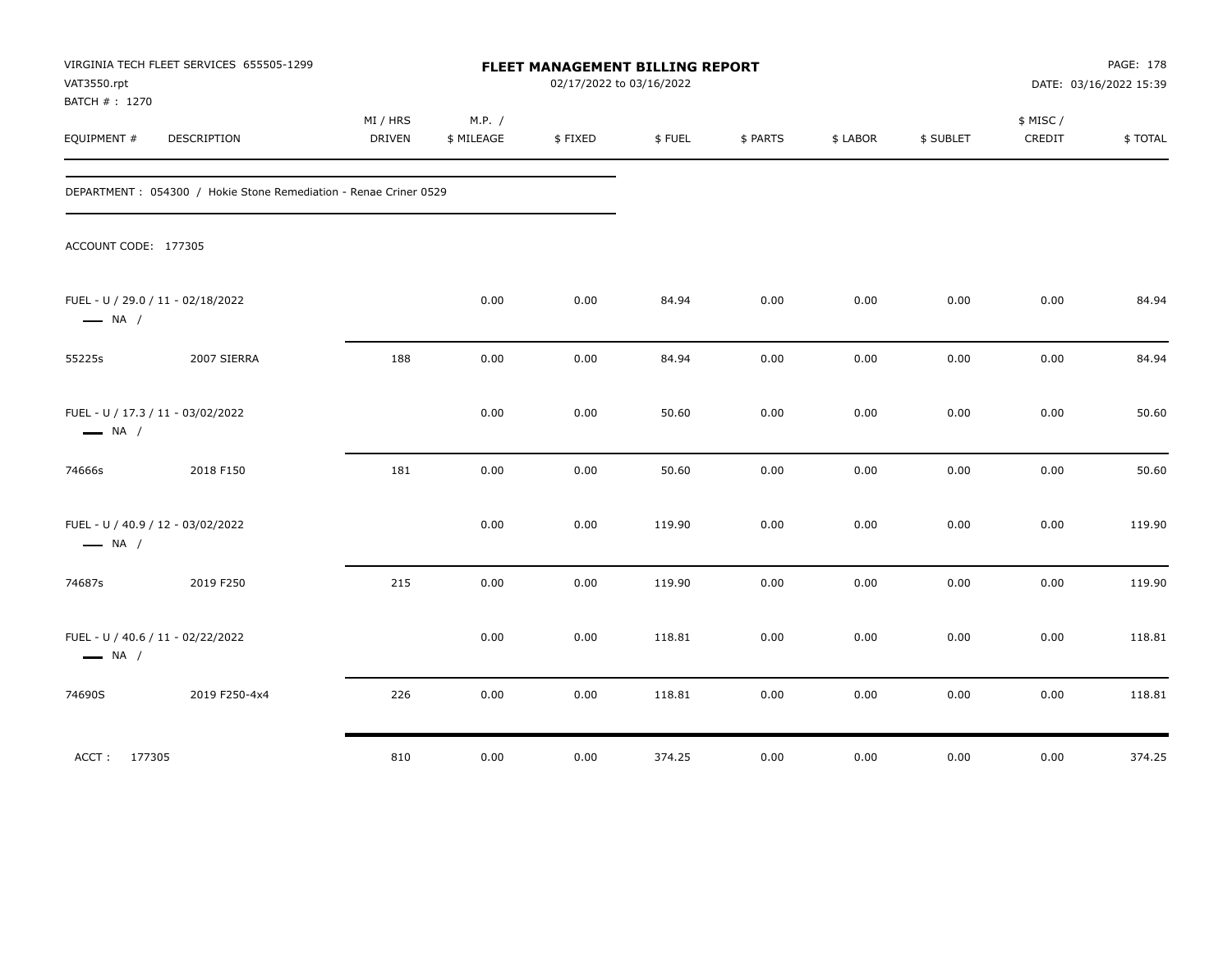| VAT3550.rpt<br>BATCH #: 1270                                | VIRGINIA TECH FLEET SERVICES 655505-1299                          |                    |                      | FLEET MANAGEMENT BILLING REPORT<br>02/17/2022 to 03/16/2022 |        |          |          |           |                     | PAGE: 178<br>DATE: 03/16/2022 15:39 |
|-------------------------------------------------------------|-------------------------------------------------------------------|--------------------|----------------------|-------------------------------------------------------------|--------|----------|----------|-----------|---------------------|-------------------------------------|
| EQUIPMENT #                                                 | DESCRIPTION                                                       | MI / HRS<br>DRIVEN | M.P. /<br>\$ MILEAGE | \$FIXED                                                     | \$FUEL | \$ PARTS | \$ LABOR | \$ SUBLET | \$ MISC /<br>CREDIT | \$TOTAL                             |
|                                                             | DEPARTMENT : 054300 / Hokie Stone Remediation - Renae Criner 0529 |                    |                      |                                                             |        |          |          |           |                     |                                     |
| ACCOUNT CODE: 177305                                        |                                                                   |                    |                      |                                                             |        |          |          |           |                     |                                     |
| FUEL - U / 29.0 / 11 - 02/18/2022<br>$\longrightarrow$ NA / |                                                                   |                    | 0.00                 | 0.00                                                        | 84.94  | 0.00     | 0.00     | 0.00      | 0.00                | 84.94                               |
| 55225s                                                      | 2007 SIERRA                                                       | 188                | 0.00                 | 0.00                                                        | 84.94  | 0.00     | 0.00     | 0.00      | 0.00                | 84.94                               |
| FUEL - U / 17.3 / 11 - 03/02/2022<br>$\longrightarrow$ NA / |                                                                   |                    | 0.00                 | 0.00                                                        | 50.60  | 0.00     | 0.00     | 0.00      | 0.00                | 50.60                               |
| 74666s                                                      | 2018 F150                                                         | 181                | 0.00                 | 0.00                                                        | 50.60  | 0.00     | 0.00     | 0.00      | 0.00                | 50.60                               |
| FUEL - U / 40.9 / 12 - 03/02/2022<br>$\longrightarrow$ NA / |                                                                   |                    | 0.00                 | 0.00                                                        | 119.90 | 0.00     | 0.00     | 0.00      | 0.00                | 119.90                              |
| 74687s                                                      | 2019 F250                                                         | 215                | 0.00                 | 0.00                                                        | 119.90 | 0.00     | 0.00     | 0.00      | 0.00                | 119.90                              |
| FUEL - U / 40.6 / 11 - 02/22/2022<br>$\longrightarrow$ NA / |                                                                   |                    | 0.00                 | 0.00                                                        | 118.81 | 0.00     | 0.00     | 0.00      | 0.00                | 118.81                              |
| 74690S                                                      | 2019 F250-4x4                                                     | 226                | 0.00                 | 0.00                                                        | 118.81 | 0.00     | 0.00     | 0.00      | 0.00                | 118.81                              |
| ACCT: 177305                                                |                                                                   | 810                | 0.00                 | 0.00                                                        | 374.25 | 0.00     | 0.00     | 0.00      | 0.00                | 374.25                              |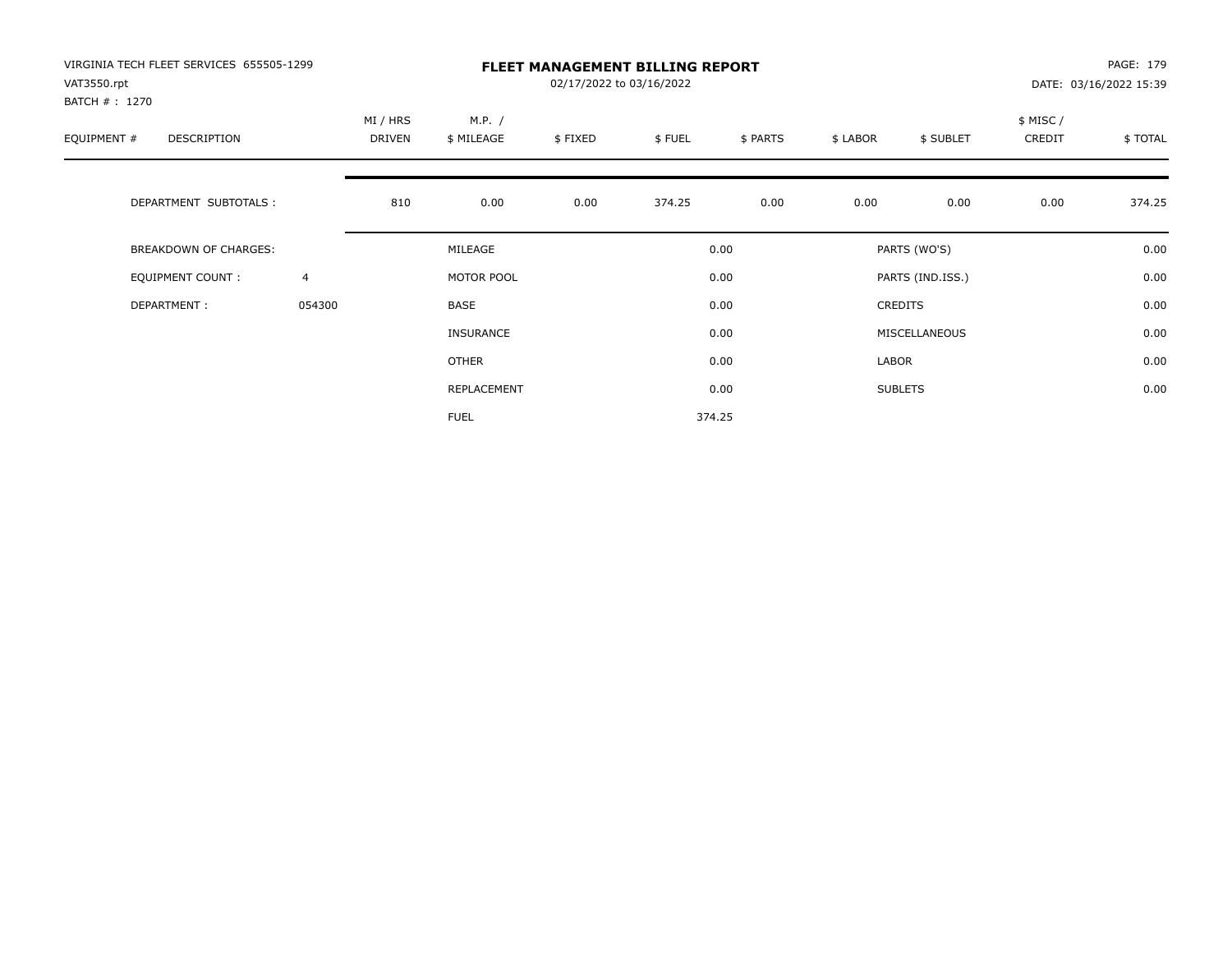| VIRGINIA TECH FLEET SERVICES 655505-1299<br>VAT3550.rpt<br>BATCH # : 1270 |                |                           | PAGE: 179<br>DATE: 03/16/2022 15:39 |         |        |          |          |                  |                     |         |
|---------------------------------------------------------------------------|----------------|---------------------------|-------------------------------------|---------|--------|----------|----------|------------------|---------------------|---------|
| EQUIPMENT #<br><b>DESCRIPTION</b>                                         |                | MI / HRS<br><b>DRIVEN</b> | M.P. /<br>\$ MILEAGE                | \$FIXED | \$FUEL | \$ PARTS | \$ LABOR | \$ SUBLET        | \$ MISC /<br>CREDIT | \$TOTAL |
| DEPARTMENT SUBTOTALS :                                                    |                | 810                       | 0.00                                | 0.00    | 374.25 | 0.00     | 0.00     | 0.00             | 0.00                | 374.25  |
| <b>BREAKDOWN OF CHARGES:</b>                                              |                |                           | MILEAGE                             |         |        | 0.00     |          | PARTS (WO'S)     |                     | 0.00    |
| EQUIPMENT COUNT:                                                          | $\overline{4}$ |                           | MOTOR POOL                          |         |        | 0.00     |          | PARTS (IND.ISS.) |                     | 0.00    |
| DEPARTMENT:                                                               | 054300         |                           | <b>BASE</b>                         |         |        | 0.00     |          | <b>CREDITS</b>   |                     | 0.00    |
|                                                                           |                |                           | INSURANCE                           |         |        | 0.00     |          | MISCELLANEOUS    |                     | 0.00    |
|                                                                           |                |                           | OTHER                               |         |        | 0.00     | LABOR    |                  |                     | 0.00    |
|                                                                           |                |                           | REPLACEMENT                         |         |        | 0.00     |          | <b>SUBLETS</b>   |                     | 0.00    |
|                                                                           |                |                           | <b>FUEL</b>                         |         |        | 374.25   |          |                  |                     |         |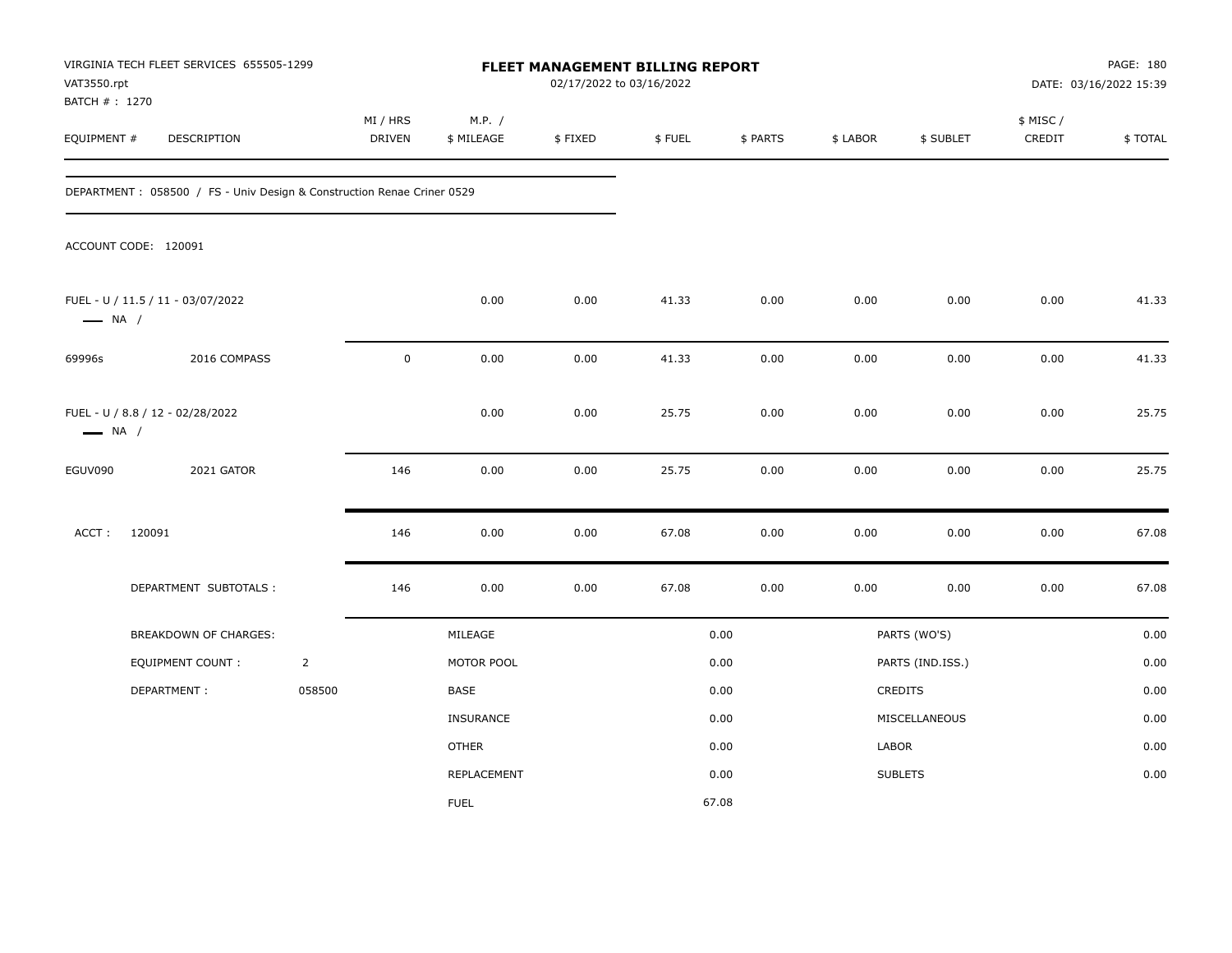| VAT3550.rpt<br>BATCH #: 1270 | VIRGINIA TECH FLEET SERVICES 655505-1299                                |                |                           |                      | FLEET MANAGEMENT BILLING REPORT<br>02/17/2022 to 03/16/2022 |        |          |          |                  |                     | PAGE: 180<br>DATE: 03/16/2022 15:39 |
|------------------------------|-------------------------------------------------------------------------|----------------|---------------------------|----------------------|-------------------------------------------------------------|--------|----------|----------|------------------|---------------------|-------------------------------------|
| EQUIPMENT #                  | DESCRIPTION                                                             |                | MI / HRS<br><b>DRIVEN</b> | M.P. /<br>\$ MILEAGE | \$FIXED                                                     | \$FUEL | \$ PARTS | \$ LABOR | \$ SUBLET        | \$ MISC /<br>CREDIT | \$TOTAL                             |
|                              | DEPARTMENT : 058500 / FS - Univ Design & Construction Renae Criner 0529 |                |                           |                      |                                                             |        |          |          |                  |                     |                                     |
|                              | ACCOUNT CODE: 120091                                                    |                |                           |                      |                                                             |        |          |          |                  |                     |                                     |
| $\longrightarrow$ NA /       | FUEL - U / 11.5 / 11 - 03/07/2022                                       |                |                           | 0.00                 | 0.00                                                        | 41.33  | 0.00     | 0.00     | 0.00             | 0.00                | 41.33                               |
| 69996s                       | 2016 COMPASS                                                            |                | $\pmb{0}$                 | 0.00                 | $0.00\,$                                                    | 41.33  | $0.00\,$ | 0.00     | 0.00             | 0.00                | 41.33                               |
| $\longrightarrow$ NA /       | FUEL - U / 8.8 / 12 - 02/28/2022                                        |                |                           | 0.00                 | 0.00                                                        | 25.75  | 0.00     | 0.00     | 0.00             | 0.00                | 25.75                               |
| EGUV090                      | 2021 GATOR                                                              |                | 146                       | 0.00                 | 0.00                                                        | 25.75  | 0.00     | 0.00     | 0.00             | 0.00                | 25.75                               |
| ACCT:                        | 120091                                                                  |                | 146                       | 0.00                 | 0.00                                                        | 67.08  | 0.00     | 0.00     | 0.00             | 0.00                | 67.08                               |
|                              | DEPARTMENT SUBTOTALS :                                                  |                | 146                       | 0.00                 | 0.00                                                        | 67.08  | 0.00     | 0.00     | 0.00             | 0.00                | 67.08                               |
|                              | BREAKDOWN OF CHARGES:                                                   |                |                           | MILEAGE              |                                                             |        | 0.00     |          | PARTS (WO'S)     |                     | 0.00                                |
|                              | <b>EQUIPMENT COUNT:</b>                                                 | $\overline{2}$ |                           | MOTOR POOL           |                                                             |        | 0.00     |          | PARTS (IND.ISS.) |                     | 0.00                                |
|                              | DEPARTMENT:                                                             | 058500         |                           | BASE                 |                                                             |        | 0.00     |          | CREDITS          |                     | 0.00                                |
|                              |                                                                         |                |                           | <b>INSURANCE</b>     |                                                             |        | 0.00     |          | MISCELLANEOUS    |                     | 0.00                                |
|                              |                                                                         |                |                           | <b>OTHER</b>         |                                                             |        | 0.00     | LABOR    |                  |                     | 0.00                                |
|                              |                                                                         |                |                           | REPLACEMENT          |                                                             |        | 0.00     |          | <b>SUBLETS</b>   |                     | 0.00                                |
|                              |                                                                         |                |                           | <b>FUEL</b>          |                                                             |        | 67.08    |          |                  |                     |                                     |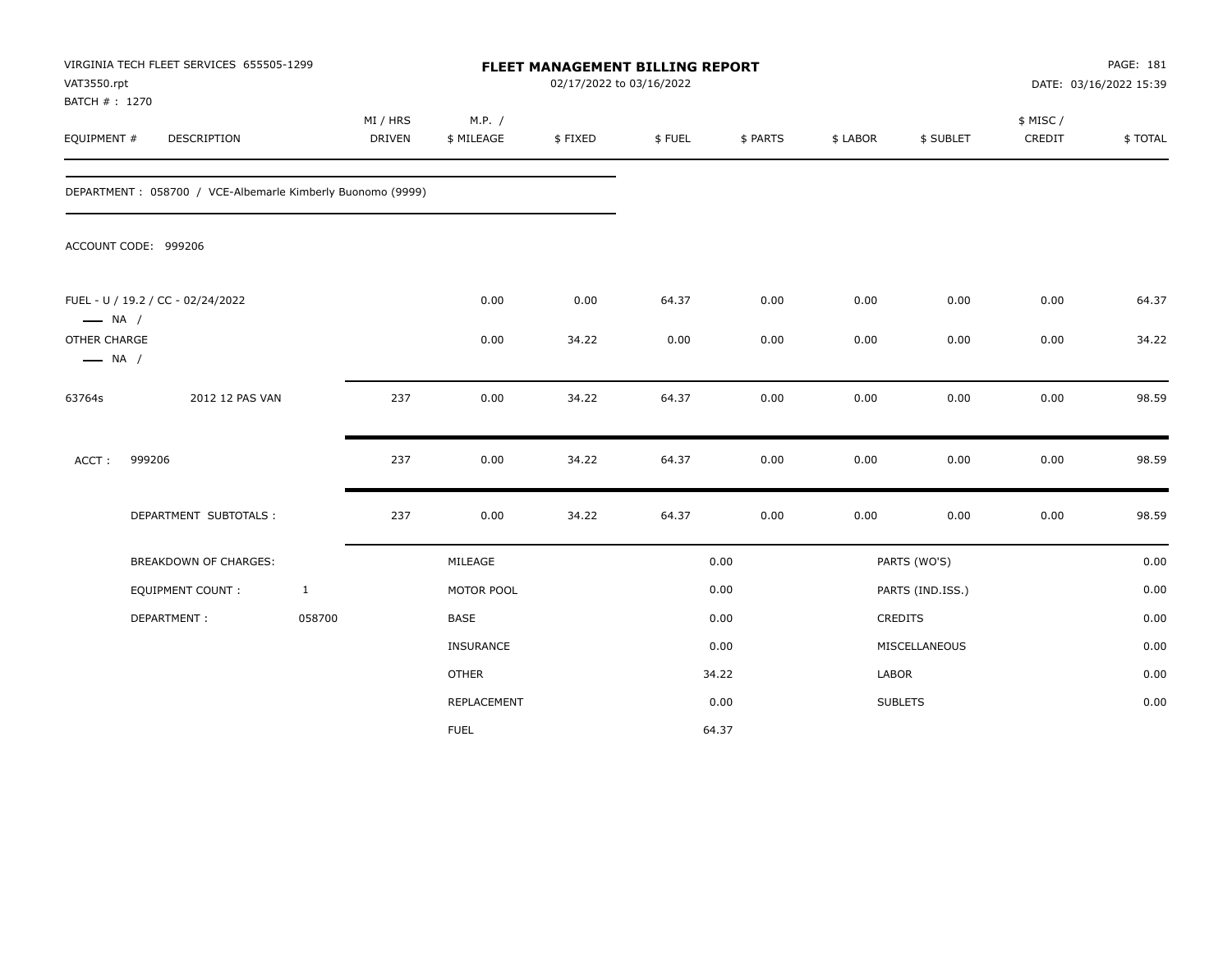| VAT3550.rpt<br>BATCH #: 1270           | VIRGINIA TECH FLEET SERVICES 655505-1299                   |              |                    |                      | 02/17/2022 to 03/16/2022 | FLEET MANAGEMENT BILLING REPORT |          |          |                  |                    | PAGE: 181<br>DATE: 03/16/2022 15:39 |
|----------------------------------------|------------------------------------------------------------|--------------|--------------------|----------------------|--------------------------|---------------------------------|----------|----------|------------------|--------------------|-------------------------------------|
| EQUIPMENT #                            | DESCRIPTION                                                |              | MI / HRS<br>DRIVEN | M.P. /<br>\$ MILEAGE | \$FIXED                  | \$FUEL                          | \$ PARTS | \$ LABOR | \$ SUBLET        | \$ MISC/<br>CREDIT | \$TOTAL                             |
|                                        | DEPARTMENT: 058700 / VCE-Albemarle Kimberly Buonomo (9999) |              |                    |                      |                          |                                 |          |          |                  |                    |                                     |
|                                        | ACCOUNT CODE: 999206                                       |              |                    |                      |                          |                                 |          |          |                  |                    |                                     |
| $\longrightarrow$ NA /                 | FUEL - U / 19.2 / CC - 02/24/2022                          |              |                    | 0.00                 | 0.00                     | 64.37                           | 0.00     | 0.00     | 0.00             | 0.00               | 64.37                               |
| OTHER CHARGE<br>$\longrightarrow$ NA / |                                                            |              |                    | 0.00                 | 34.22                    | 0.00                            | 0.00     | 0.00     | 0.00             | 0.00               | 34.22                               |
| 63764s                                 | 2012 12 PAS VAN                                            |              | 237                | 0.00                 | 34.22                    | 64.37                           | 0.00     | 0.00     | 0.00             | 0.00               | 98.59                               |
| ACCT:                                  | 999206                                                     |              | 237                | 0.00                 | 34.22                    | 64.37                           | 0.00     | 0.00     | 0.00             | 0.00               | 98.59                               |
|                                        | DEPARTMENT SUBTOTALS :                                     |              | 237                | 0.00                 | 34.22                    | 64.37                           | 0.00     | 0.00     | 0.00             | 0.00               | 98.59                               |
|                                        | BREAKDOWN OF CHARGES:                                      |              |                    | MILEAGE              |                          |                                 | 0.00     |          | PARTS (WO'S)     |                    | 0.00                                |
|                                        | EQUIPMENT COUNT:                                           | $\mathbf{1}$ |                    | MOTOR POOL           |                          |                                 | 0.00     |          | PARTS (IND.ISS.) |                    | 0.00                                |
|                                        | DEPARTMENT:                                                | 058700       |                    | BASE                 |                          |                                 | 0.00     |          | CREDITS          |                    | 0.00                                |
|                                        |                                                            |              |                    | <b>INSURANCE</b>     |                          |                                 | 0.00     |          | MISCELLANEOUS    |                    | 0.00                                |
|                                        |                                                            |              |                    | <b>OTHER</b>         |                          |                                 | 34.22    | LABOR    |                  |                    | 0.00                                |
|                                        |                                                            |              |                    | REPLACEMENT          |                          |                                 | 0.00     |          | <b>SUBLETS</b>   |                    | 0.00                                |
|                                        |                                                            |              |                    | <b>FUEL</b>          |                          |                                 | 64.37    |          |                  |                    |                                     |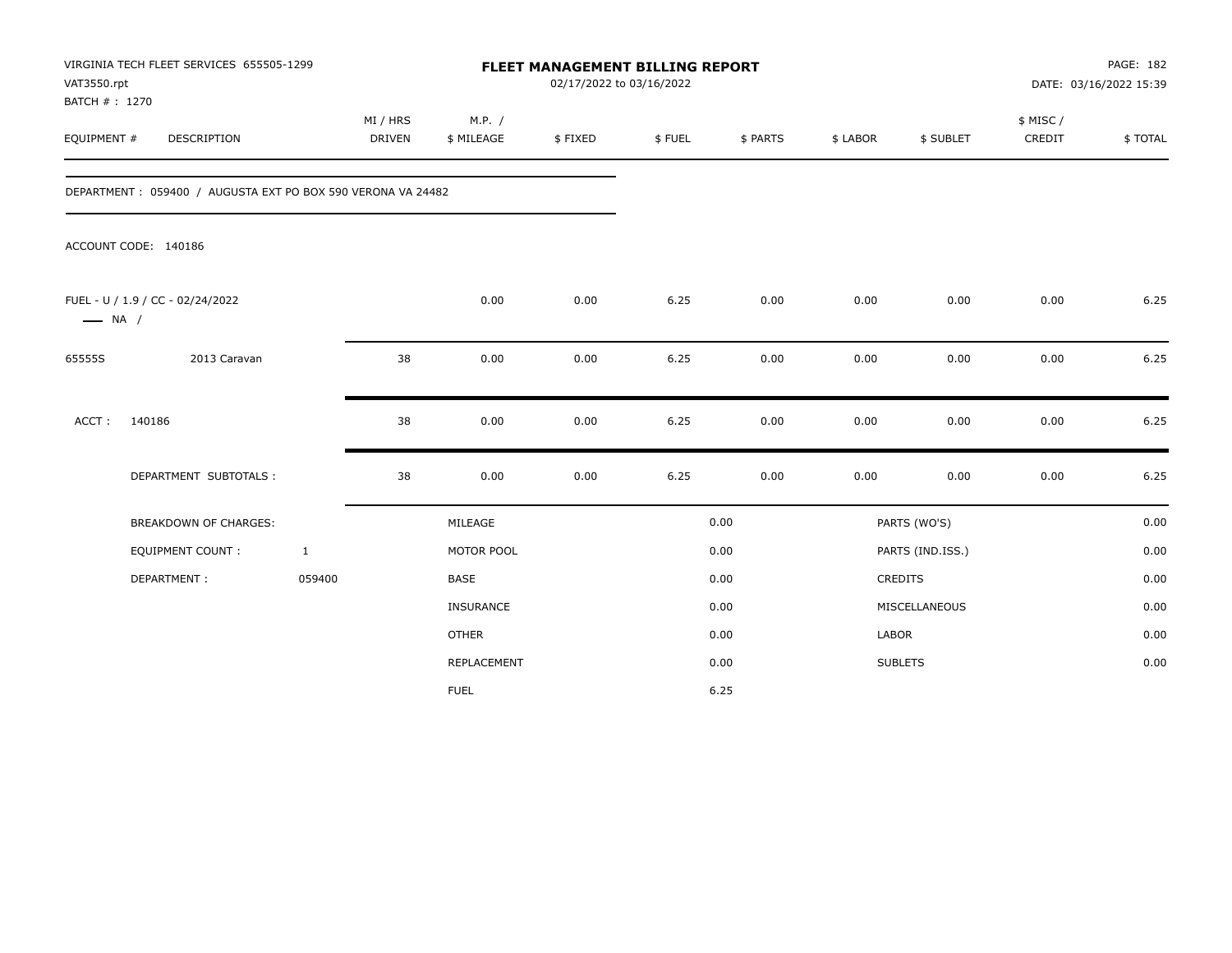| VAT3550.rpt<br>BATCH #: 1270 | VIRGINIA TECH FLEET SERVICES 655505-1299                    |                           |                      | FLEET MANAGEMENT BILLING REPORT<br>02/17/2022 to 03/16/2022 |        |          |          |                  |                     | PAGE: 182<br>DATE: 03/16/2022 15:39 |
|------------------------------|-------------------------------------------------------------|---------------------------|----------------------|-------------------------------------------------------------|--------|----------|----------|------------------|---------------------|-------------------------------------|
| EQUIPMENT #                  | DESCRIPTION                                                 | MI / HRS<br><b>DRIVEN</b> | M.P. /<br>\$ MILEAGE | \$FIXED                                                     | \$FUEL | \$ PARTS | \$ LABOR | \$ SUBLET        | \$ MISC /<br>CREDIT | \$TOTAL                             |
|                              | DEPARTMENT: 059400 / AUGUSTA EXT PO BOX 590 VERONA VA 24482 |                           |                      |                                                             |        |          |          |                  |                     |                                     |
|                              | ACCOUNT CODE: 140186                                        |                           |                      |                                                             |        |          |          |                  |                     |                                     |
| $\longrightarrow$ NA /       | FUEL - U / 1.9 / CC - 02/24/2022                            |                           | 0.00                 | 0.00                                                        | 6.25   | 0.00     | 0.00     | 0.00             | 0.00                | 6.25                                |
| 65555S                       | 2013 Caravan                                                | 38                        | 0.00                 | 0.00                                                        | 6.25   | 0.00     | 0.00     | 0.00             | 0.00                | 6.25                                |
| ACCT:                        | 140186                                                      | 38                        | 0.00                 | 0.00                                                        | 6.25   | 0.00     | 0.00     | 0.00             | 0.00                | 6.25                                |
|                              | DEPARTMENT SUBTOTALS :                                      | 38                        | 0.00                 | 0.00                                                        | 6.25   | 0.00     | 0.00     | 0.00             | 0.00                | 6.25                                |
|                              | <b>BREAKDOWN OF CHARGES:</b>                                |                           | MILEAGE              |                                                             |        | 0.00     |          | PARTS (WO'S)     |                     | 0.00                                |
|                              | <b>EQUIPMENT COUNT:</b>                                     | $\mathbf{1}$              | MOTOR POOL           |                                                             |        | 0.00     |          | PARTS (IND.ISS.) |                     | 0.00                                |
|                              | DEPARTMENT:                                                 | 059400                    | <b>BASE</b>          |                                                             |        | 0.00     |          | CREDITS          |                     | 0.00                                |
|                              |                                                             |                           | <b>INSURANCE</b>     |                                                             |        | 0.00     |          | MISCELLANEOUS    |                     | 0.00                                |
|                              |                                                             |                           | <b>OTHER</b>         |                                                             |        | 0.00     | LABOR    |                  |                     | 0.00                                |
|                              |                                                             |                           | REPLACEMENT          |                                                             |        | 0.00     |          | <b>SUBLETS</b>   |                     | 0.00                                |
|                              |                                                             |                           | <b>FUEL</b>          |                                                             |        | 6.25     |          |                  |                     |                                     |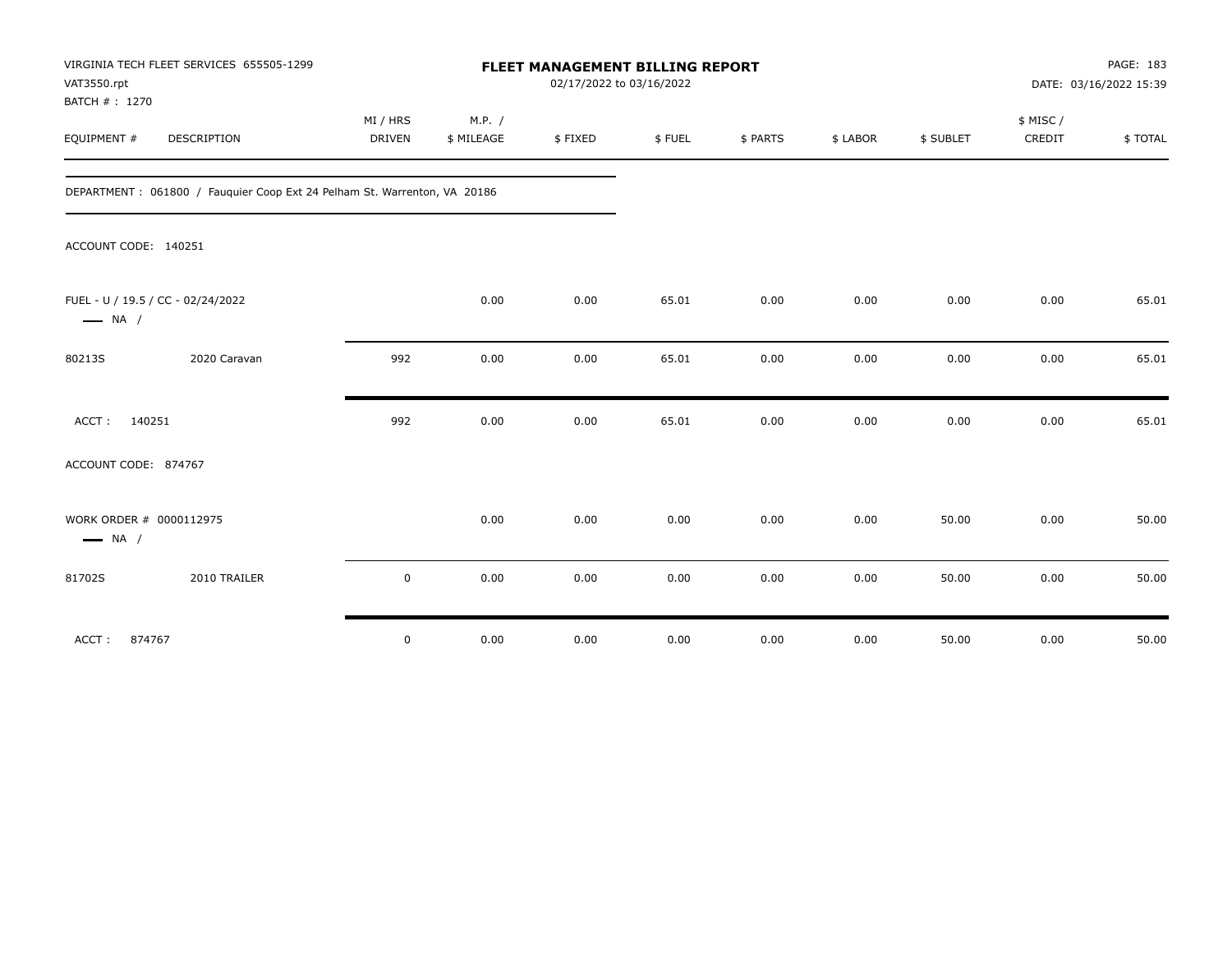| VIRGINIA TECH FLEET SERVICES 655505-1299<br>VAT3550.rpt<br>BATCH #: 1270 |             |            | FLEET MANAGEMENT BILLING REPORT<br>02/17/2022 to 03/16/2022 |        |          |          |           |          | PAGE: 183<br>DATE: 03/16/2022 15:39 |
|--------------------------------------------------------------------------|-------------|------------|-------------------------------------------------------------|--------|----------|----------|-----------|----------|-------------------------------------|
|                                                                          | MI / HRS    | M.P. /     |                                                             |        |          |          |           | \$ MISC/ |                                     |
| EQUIPMENT #<br>DESCRIPTION                                               | DRIVEN      | \$ MILEAGE | \$FIXED                                                     | \$FUEL | \$ PARTS | \$ LABOR | \$ SUBLET | CREDIT   | \$TOTAL                             |
| DEPARTMENT: 061800 / Fauguier Coop Ext 24 Pelham St. Warrenton, VA 20186 |             |            |                                                             |        |          |          |           |          |                                     |
| ACCOUNT CODE: 140251                                                     |             |            |                                                             |        |          |          |           |          |                                     |
| FUEL - U / 19.5 / CC - 02/24/2022<br>$\longrightarrow$ NA /              |             | 0.00       | 0.00                                                        | 65.01  | 0.00     | 0.00     | 0.00      | 0.00     | 65.01                               |
| 2020 Caravan<br>80213S                                                   | 992         | 0.00       | 0.00                                                        | 65.01  | 0.00     | 0.00     | 0.00      | 0.00     | 65.01                               |
| ACCT: 140251                                                             | 992         | 0.00       | 0.00                                                        | 65.01  | 0.00     | 0.00     | 0.00      | 0.00     | 65.01                               |
| ACCOUNT CODE: 874767                                                     |             |            |                                                             |        |          |          |           |          |                                     |
| WORK ORDER # 0000112975<br>$\longrightarrow$ NA /                        |             | 0.00       | 0.00                                                        | 0.00   | 0.00     | 0.00     | 50.00     | 0.00     | 50.00                               |
| 2010 TRAILER<br>81702S                                                   | $\mathbf 0$ | 0.00       | 0.00                                                        | 0.00   | 0.00     | 0.00     | 50.00     | 0.00     | 50.00                               |
| 874767<br>ACCT:                                                          | $\mathsf 0$ | 0.00       | 0.00                                                        | 0.00   | 0.00     | 0.00     | 50.00     | 0.00     | 50.00                               |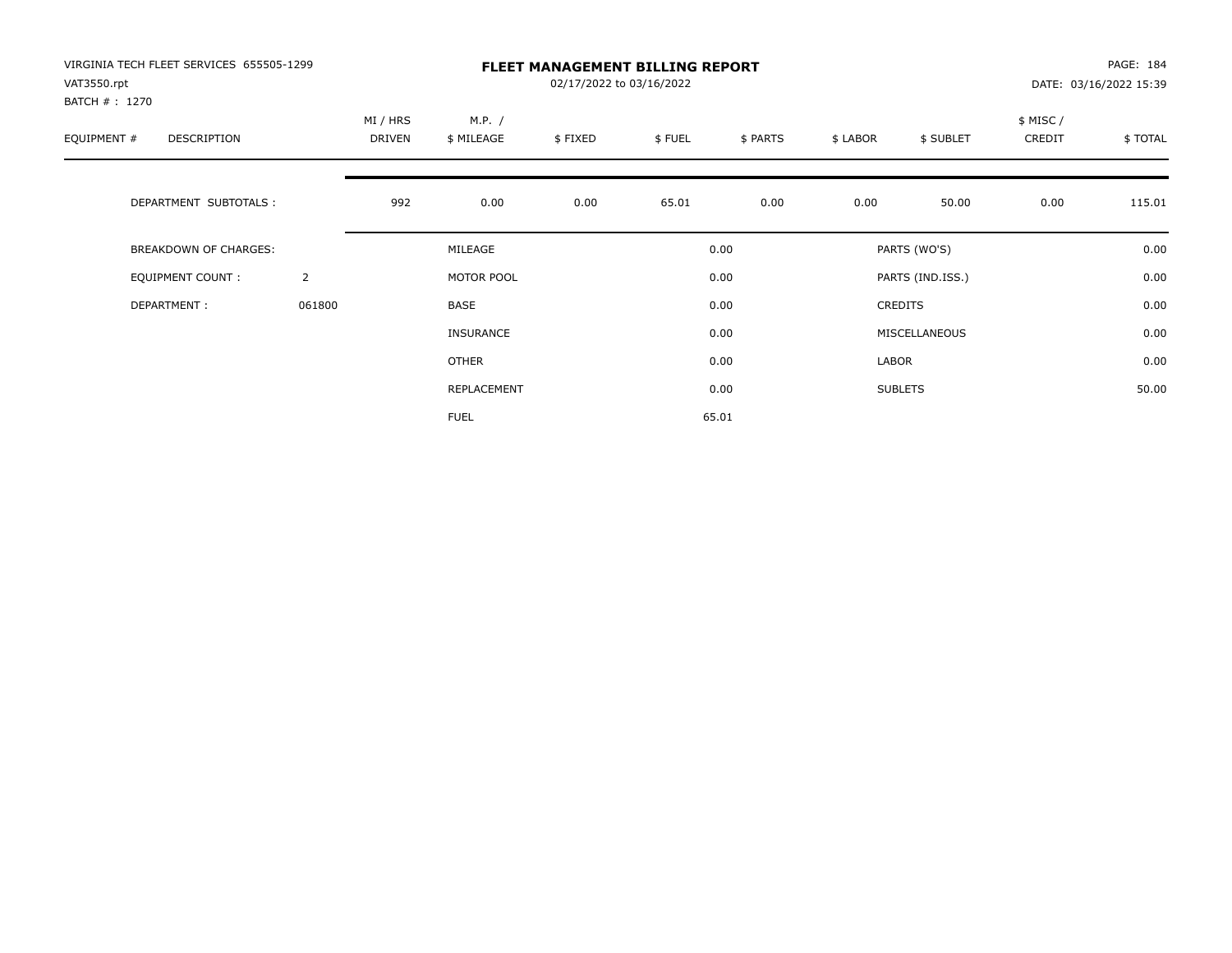| VIRGINIA TECH FLEET SERVICES 655505-1299<br>VAT3550.rpt<br>BATCH # : 1270 |                |                    |                      | 02/17/2022 to 03/16/2022 | <b>FLEET MANAGEMENT BILLING REPORT</b> |          |          |                  |                     | PAGE: 184<br>DATE: 03/16/2022 15:39 |
|---------------------------------------------------------------------------|----------------|--------------------|----------------------|--------------------------|----------------------------------------|----------|----------|------------------|---------------------|-------------------------------------|
| EQUIPMENT #<br><b>DESCRIPTION</b>                                         |                | MI / HRS<br>DRIVEN | M.P. /<br>\$ MILEAGE | \$FIXED                  | \$FUEL                                 | \$ PARTS | \$ LABOR | \$ SUBLET        | \$ MISC /<br>CREDIT | \$TOTAL                             |
| DEPARTMENT SUBTOTALS :                                                    |                | 992                | 0.00                 | 0.00                     | 65.01                                  | 0.00     | 0.00     | 50.00            | 0.00                | 115.01                              |
| <b>BREAKDOWN OF CHARGES:</b>                                              |                |                    | MILEAGE              |                          |                                        | 0.00     |          | PARTS (WO'S)     |                     | 0.00                                |
| <b>EQUIPMENT COUNT:</b>                                                   | $\overline{2}$ |                    | MOTOR POOL           |                          |                                        | 0.00     |          | PARTS (IND.ISS.) |                     | 0.00                                |
| DEPARTMENT:                                                               | 061800         |                    | <b>BASE</b>          |                          |                                        | 0.00     |          | <b>CREDITS</b>   |                     | 0.00                                |
|                                                                           |                |                    | INSURANCE            |                          |                                        | 0.00     |          | MISCELLANEOUS    |                     | 0.00                                |
|                                                                           |                |                    | <b>OTHER</b>         |                          |                                        | 0.00     | LABOR    |                  |                     | 0.00                                |
|                                                                           |                |                    | REPLACEMENT          |                          |                                        | 0.00     |          | <b>SUBLETS</b>   |                     | 50.00                               |
|                                                                           |                |                    | <b>FUEL</b>          |                          |                                        | 65.01    |          |                  |                     |                                     |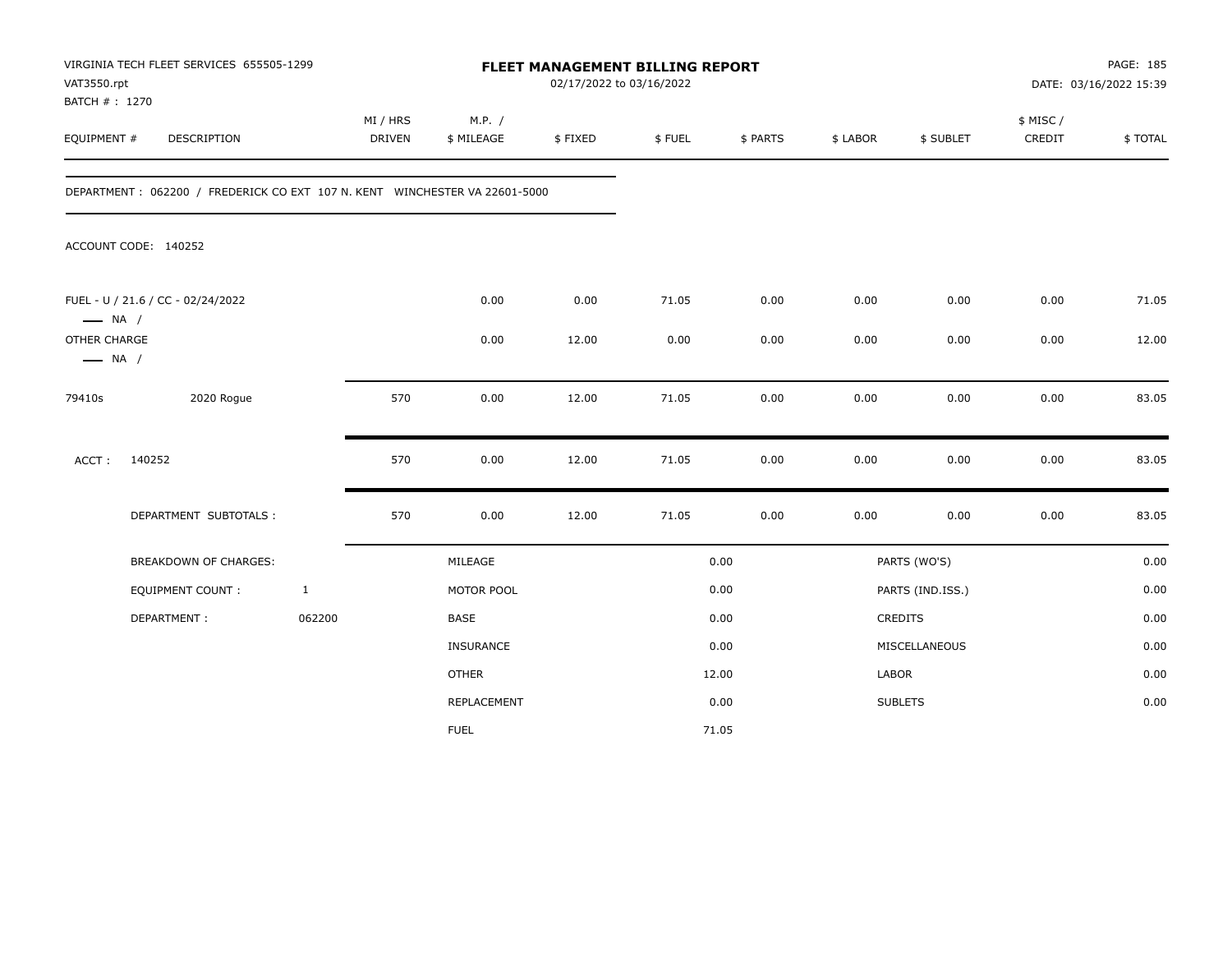| VAT3550.rpt<br>BATCH #: 1270           | VIRGINIA TECH FLEET SERVICES 655505-1299                                   |              |                           |                      | 02/17/2022 to 03/16/2022 | FLEET MANAGEMENT BILLING REPORT |          |          |                  |                     | PAGE: 185<br>DATE: 03/16/2022 15:39 |
|----------------------------------------|----------------------------------------------------------------------------|--------------|---------------------------|----------------------|--------------------------|---------------------------------|----------|----------|------------------|---------------------|-------------------------------------|
| EQUIPMENT #                            | DESCRIPTION                                                                |              | MI / HRS<br><b>DRIVEN</b> | M.P. /<br>\$ MILEAGE | \$FIXED                  | \$FUEL                          | \$ PARTS | \$ LABOR | \$ SUBLET        | \$ MISC /<br>CREDIT | \$TOTAL                             |
|                                        | DEPARTMENT: 062200 / FREDERICK CO EXT 107 N. KENT WINCHESTER VA 22601-5000 |              |                           |                      |                          |                                 |          |          |                  |                     |                                     |
|                                        | ACCOUNT CODE: 140252                                                       |              |                           |                      |                          |                                 |          |          |                  |                     |                                     |
| $\longrightarrow$ NA /                 | FUEL - U / 21.6 / CC - 02/24/2022                                          |              |                           | 0.00                 | 0.00                     | 71.05                           | 0.00     | 0.00     | 0.00             | 0.00                | 71.05                               |
| OTHER CHARGE<br>$\longrightarrow$ NA / |                                                                            |              |                           | 0.00                 | 12.00                    | 0.00                            | 0.00     | 0.00     | 0.00             | 0.00                | 12.00                               |
| 79410s                                 | 2020 Rogue                                                                 |              | 570                       | 0.00                 | 12.00                    | 71.05                           | 0.00     | 0.00     | 0.00             | 0.00                | 83.05                               |
| ACCT:                                  | 140252                                                                     |              | 570                       | 0.00                 | 12.00                    | 71.05                           | 0.00     | 0.00     | 0.00             | 0.00                | 83.05                               |
|                                        | DEPARTMENT SUBTOTALS :                                                     |              | 570                       | 0.00                 | 12.00                    | 71.05                           | 0.00     | 0.00     | 0.00             | 0.00                | 83.05                               |
|                                        | <b>BREAKDOWN OF CHARGES:</b>                                               |              |                           | MILEAGE              |                          |                                 | 0.00     |          | PARTS (WO'S)     |                     | 0.00                                |
|                                        | EQUIPMENT COUNT:                                                           | $\mathbf{1}$ |                           | MOTOR POOL           |                          |                                 | 0.00     |          | PARTS (IND.ISS.) |                     | 0.00                                |
|                                        | DEPARTMENT:                                                                | 062200       |                           | BASE                 |                          |                                 | 0.00     |          | CREDITS          |                     | 0.00                                |
|                                        |                                                                            |              |                           | <b>INSURANCE</b>     |                          |                                 | 0.00     |          | MISCELLANEOUS    |                     | 0.00                                |
|                                        |                                                                            |              |                           | <b>OTHER</b>         |                          |                                 | 12.00    | LABOR    |                  |                     | 0.00                                |
|                                        |                                                                            |              |                           | REPLACEMENT          |                          |                                 | 0.00     |          | <b>SUBLETS</b>   |                     | 0.00                                |
|                                        |                                                                            |              |                           | <b>FUEL</b>          |                          |                                 | 71.05    |          |                  |                     |                                     |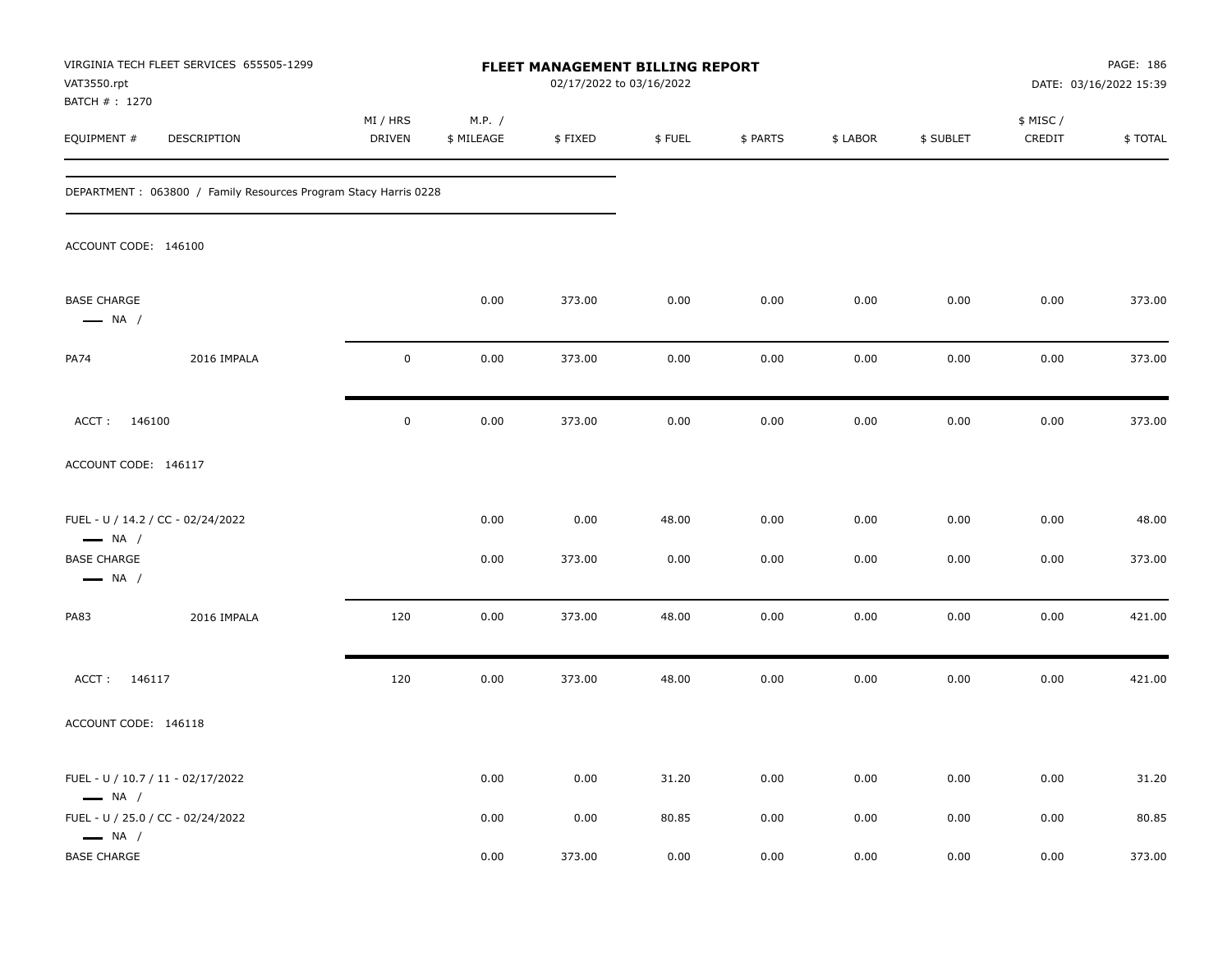| VAT3550.rpt<br>BATCH #: 1270                                | VIRGINIA TECH FLEET SERVICES 655505-1299                        |                    |                      | FLEET MANAGEMENT BILLING REPORT<br>02/17/2022 to 03/16/2022 |        |          |          |           |                     | PAGE: 186<br>DATE: 03/16/2022 15:39 |
|-------------------------------------------------------------|-----------------------------------------------------------------|--------------------|----------------------|-------------------------------------------------------------|--------|----------|----------|-----------|---------------------|-------------------------------------|
| EQUIPMENT #                                                 | DESCRIPTION                                                     | MI / HRS<br>DRIVEN | M.P. /<br>\$ MILEAGE | \$FIXED                                                     | \$FUEL | \$ PARTS | \$ LABOR | \$ SUBLET | \$ MISC /<br>CREDIT | \$TOTAL                             |
|                                                             | DEPARTMENT: 063800 / Family Resources Program Stacy Harris 0228 |                    |                      |                                                             |        |          |          |           |                     |                                     |
| ACCOUNT CODE: 146100                                        |                                                                 |                    |                      |                                                             |        |          |          |           |                     |                                     |
| <b>BASE CHARGE</b><br>$\longrightarrow$ NA /                |                                                                 |                    | 0.00                 | 373.00                                                      | 0.00   | 0.00     | 0.00     | 0.00      | 0.00                | 373.00                              |
| PA74                                                        | 2016 IMPALA                                                     | $\mathbf 0$        | 0.00                 | 373.00                                                      | 0.00   | 0.00     | 0.00     | 0.00      | 0.00                | 373.00                              |
| ACCT: 146100                                                |                                                                 | $\mathbf 0$        | 0.00                 | 373.00                                                      | 0.00   | 0.00     | 0.00     | 0.00      | 0.00                | 373.00                              |
| ACCOUNT CODE: 146117                                        |                                                                 |                    |                      |                                                             |        |          |          |           |                     |                                     |
| FUEL - U / 14.2 / CC - 02/24/2022<br>$\longrightarrow$ NA / |                                                                 |                    | 0.00                 | 0.00                                                        | 48.00  | 0.00     | 0.00     | 0.00      | 0.00                | 48.00                               |
| <b>BASE CHARGE</b><br>$\longrightarrow$ NA /                |                                                                 |                    | 0.00                 | 373.00                                                      | 0.00   | 0.00     | 0.00     | 0.00      | 0.00                | 373.00                              |
| PA83                                                        | 2016 IMPALA                                                     | 120                | 0.00                 | 373.00                                                      | 48.00  | 0.00     | 0.00     | 0.00      | 0.00                | 421.00                              |
| ACCT: 146117                                                |                                                                 | 120                | 0.00                 | 373.00                                                      | 48.00  | 0.00     | 0.00     | 0.00      | 0.00                | 421.00                              |
| ACCOUNT CODE: 146118                                        |                                                                 |                    |                      |                                                             |        |          |          |           |                     |                                     |
| FUEL - U / 10.7 / 11 - 02/17/2022<br>$\longrightarrow$ NA / |                                                                 |                    | 0.00                 | 0.00                                                        | 31.20  | 0.00     | 0.00     | 0.00      | 0.00                | 31.20                               |
| FUEL - U / 25.0 / CC - 02/24/2022<br>$\longrightarrow$ NA / |                                                                 |                    | 0.00                 | 0.00                                                        | 80.85  | 0.00     | 0.00     | 0.00      | 0.00                | 80.85                               |
| <b>BASE CHARGE</b>                                          |                                                                 |                    | 0.00                 | 373.00                                                      | 0.00   | 0.00     | 0.00     | 0.00      | 0.00                | 373.00                              |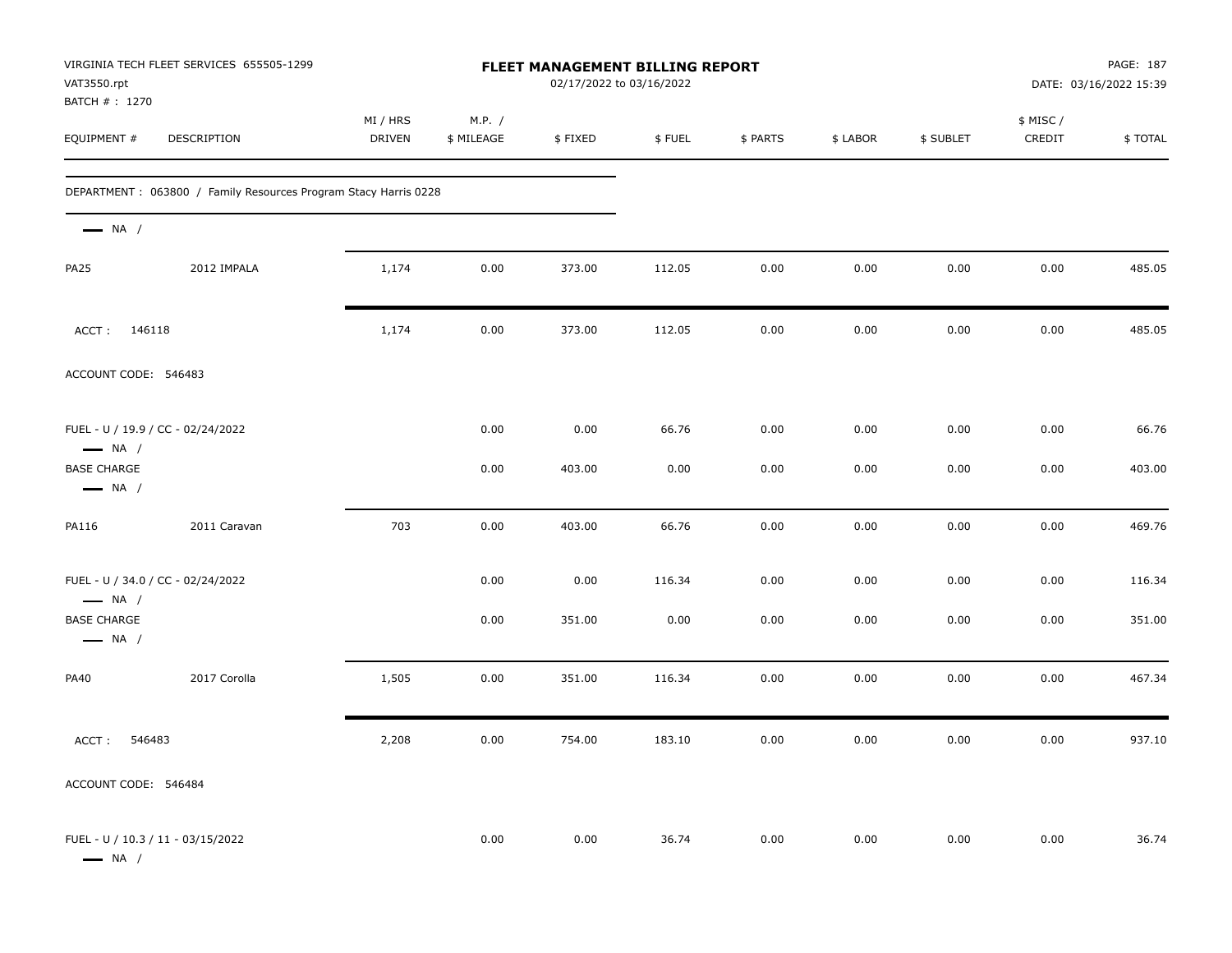| VAT3550.rpt<br>BATCH #: 1270                                | VIRGINIA TECH FLEET SERVICES 655505-1299                        |                           |                      | FLEET MANAGEMENT BILLING REPORT<br>02/17/2022 to 03/16/2022 |        |          |          |           |                     | PAGE: 187<br>DATE: 03/16/2022 15:39 |
|-------------------------------------------------------------|-----------------------------------------------------------------|---------------------------|----------------------|-------------------------------------------------------------|--------|----------|----------|-----------|---------------------|-------------------------------------|
| EQUIPMENT #                                                 | DESCRIPTION                                                     | MI / HRS<br><b>DRIVEN</b> | M.P. /<br>\$ MILEAGE | \$FIXED                                                     | \$FUEL | \$ PARTS | \$ LABOR | \$ SUBLET | \$ MISC /<br>CREDIT | \$ TOTAL                            |
|                                                             | DEPARTMENT: 063800 / Family Resources Program Stacy Harris 0228 |                           |                      |                                                             |        |          |          |           |                     |                                     |
| $\longrightarrow$ NA /                                      |                                                                 |                           |                      |                                                             |        |          |          |           |                     |                                     |
| <b>PA25</b>                                                 | 2012 IMPALA                                                     | 1,174                     | 0.00                 | 373.00                                                      | 112.05 | 0.00     | 0.00     | 0.00      | 0.00                | 485.05                              |
| ACCT: 146118                                                |                                                                 | 1,174                     | 0.00                 | 373.00                                                      | 112.05 | 0.00     | 0.00     | 0.00      | 0.00                | 485.05                              |
| ACCOUNT CODE: 546483                                        |                                                                 |                           |                      |                                                             |        |          |          |           |                     |                                     |
| $\longrightarrow$ NA /                                      | FUEL - U / 19.9 / CC - 02/24/2022                               |                           | 0.00                 | 0.00                                                        | 66.76  | 0.00     | 0.00     | 0.00      | 0.00                | 66.76                               |
| <b>BASE CHARGE</b><br>$\longrightarrow$ NA /                |                                                                 |                           | 0.00                 | 403.00                                                      | 0.00   | 0.00     | 0.00     | 0.00      | 0.00                | 403.00                              |
| PA116                                                       | 2011 Caravan                                                    | 703                       | 0.00                 | 403.00                                                      | 66.76  | 0.00     | 0.00     | 0.00      | 0.00                | 469.76                              |
| $\longrightarrow$ NA /                                      | FUEL - U / 34.0 / CC - 02/24/2022                               |                           | 0.00                 | 0.00                                                        | 116.34 | 0.00     | 0.00     | 0.00      | 0.00                | 116.34                              |
| <b>BASE CHARGE</b><br>$\longrightarrow$ NA /                |                                                                 |                           | 0.00                 | 351.00                                                      | 0.00   | 0.00     | 0.00     | 0.00      | 0.00                | 351.00                              |
| <b>PA40</b>                                                 | 2017 Corolla                                                    | 1,505                     | 0.00                 | 351.00                                                      | 116.34 | 0.00     | 0.00     | 0.00      | 0.00                | 467.34                              |
| ACCT:<br>546483                                             |                                                                 | 2,208                     | 0.00                 | 754.00                                                      | 183.10 | 0.00     | 0.00     | 0.00      | 0.00                | 937.10                              |
| ACCOUNT CODE: 546484                                        |                                                                 |                           |                      |                                                             |        |          |          |           |                     |                                     |
| FUEL - U / 10.3 / 11 - 03/15/2022<br>$\longrightarrow$ NA / |                                                                 |                           | 0.00                 | 0.00                                                        | 36.74  | 0.00     | 0.00     | 0.00      | 0.00                | 36.74                               |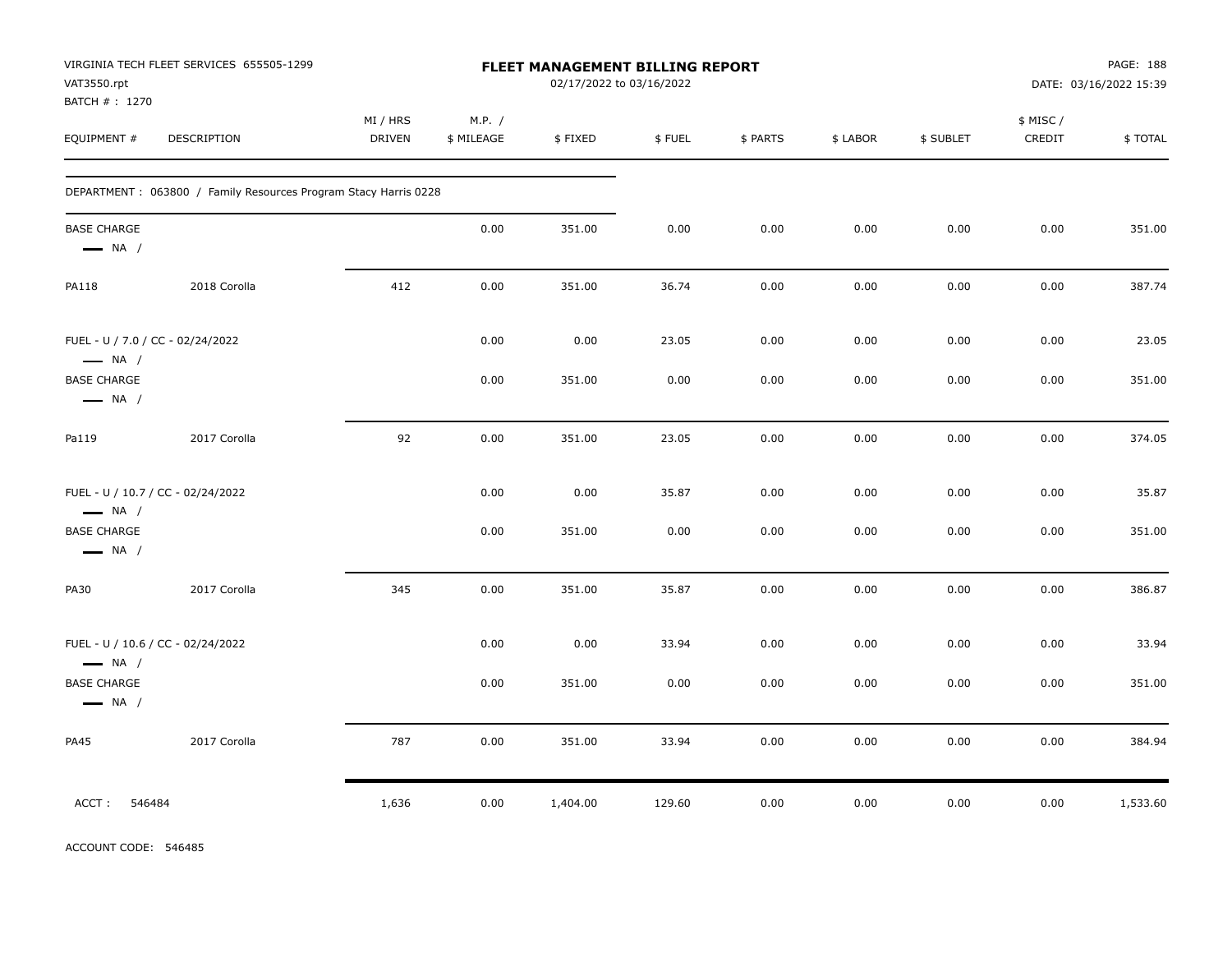| VAT3550.rpt<br>BATCH # : 1270                              | VIRGINIA TECH FLEET SERVICES 655505-1299                         |                           |                      |          | FLEET MANAGEMENT BILLING REPORT<br>02/17/2022 to 03/16/2022 |          |          |           |                    | PAGE: 188<br>DATE: 03/16/2022 15:39 |
|------------------------------------------------------------|------------------------------------------------------------------|---------------------------|----------------------|----------|-------------------------------------------------------------|----------|----------|-----------|--------------------|-------------------------------------|
| EQUIPMENT #                                                | DESCRIPTION                                                      | MI / HRS<br><b>DRIVEN</b> | M.P. /<br>\$ MILEAGE | \$FIXED  | \$FUEL                                                      | \$ PARTS | \$ LABOR | \$ SUBLET | \$ MISC/<br>CREDIT | \$TOTAL                             |
|                                                            | DEPARTMENT : 063800 / Family Resources Program Stacy Harris 0228 |                           |                      |          |                                                             |          |          |           |                    |                                     |
| <b>BASE CHARGE</b><br>$\longrightarrow$ NA /               |                                                                  |                           | 0.00                 | 351.00   | 0.00                                                        | 0.00     | 0.00     | 0.00      | 0.00               | 351.00                              |
| <b>PA118</b>                                               | 2018 Corolla                                                     | 412                       | 0.00                 | 351.00   | 36.74                                                       | 0.00     | 0.00     | 0.00      | 0.00               | 387.74                              |
| FUEL - U / 7.0 / CC - 02/24/2022<br>$\longrightarrow$ NA / |                                                                  |                           | 0.00                 | 0.00     | 23.05                                                       | 0.00     | 0.00     | 0.00      | 0.00               | 23.05                               |
| <b>BASE CHARGE</b><br>$\longrightarrow$ NA /               |                                                                  |                           | 0.00                 | 351.00   | 0.00                                                        | 0.00     | 0.00     | 0.00      | 0.00               | 351.00                              |
| Pa119                                                      | 2017 Corolla                                                     | 92                        | 0.00                 | 351.00   | 23.05                                                       | 0.00     | 0.00     | 0.00      | 0.00               | 374.05                              |
| $\longrightarrow$ NA /                                     | FUEL - U / 10.7 / CC - 02/24/2022                                |                           | 0.00                 | 0.00     | 35.87                                                       | 0.00     | 0.00     | 0.00      | 0.00               | 35.87                               |
| <b>BASE CHARGE</b><br>$\longrightarrow$ NA /               |                                                                  |                           | 0.00                 | 351.00   | 0.00                                                        | 0.00     | 0.00     | 0.00      | 0.00               | 351.00                              |
| <b>PA30</b>                                                | 2017 Corolla                                                     | 345                       | 0.00                 | 351.00   | 35.87                                                       | 0.00     | 0.00     | 0.00      | 0.00               | 386.87                              |
| $\longrightarrow$ NA /                                     | FUEL - U / 10.6 / CC - 02/24/2022                                |                           | 0.00                 | 0.00     | 33.94                                                       | 0.00     | 0.00     | 0.00      | 0.00               | 33.94                               |
| <b>BASE CHARGE</b><br>$\longrightarrow$ NA /               |                                                                  |                           | 0.00                 | 351.00   | 0.00                                                        | 0.00     | 0.00     | 0.00      | 0.00               | 351.00                              |
| <b>PA45</b>                                                | 2017 Corolla                                                     | 787                       | 0.00                 | 351.00   | 33.94                                                       | 0.00     | 0.00     | 0.00      | 0.00               | 384.94                              |
| ACCT:<br>546484                                            |                                                                  | 1,636                     | 0.00                 | 1,404.00 | 129.60                                                      | 0.00     | 0.00     | 0.00      | 0.00               | 1,533.60                            |

ACCOUNT CODE: 546485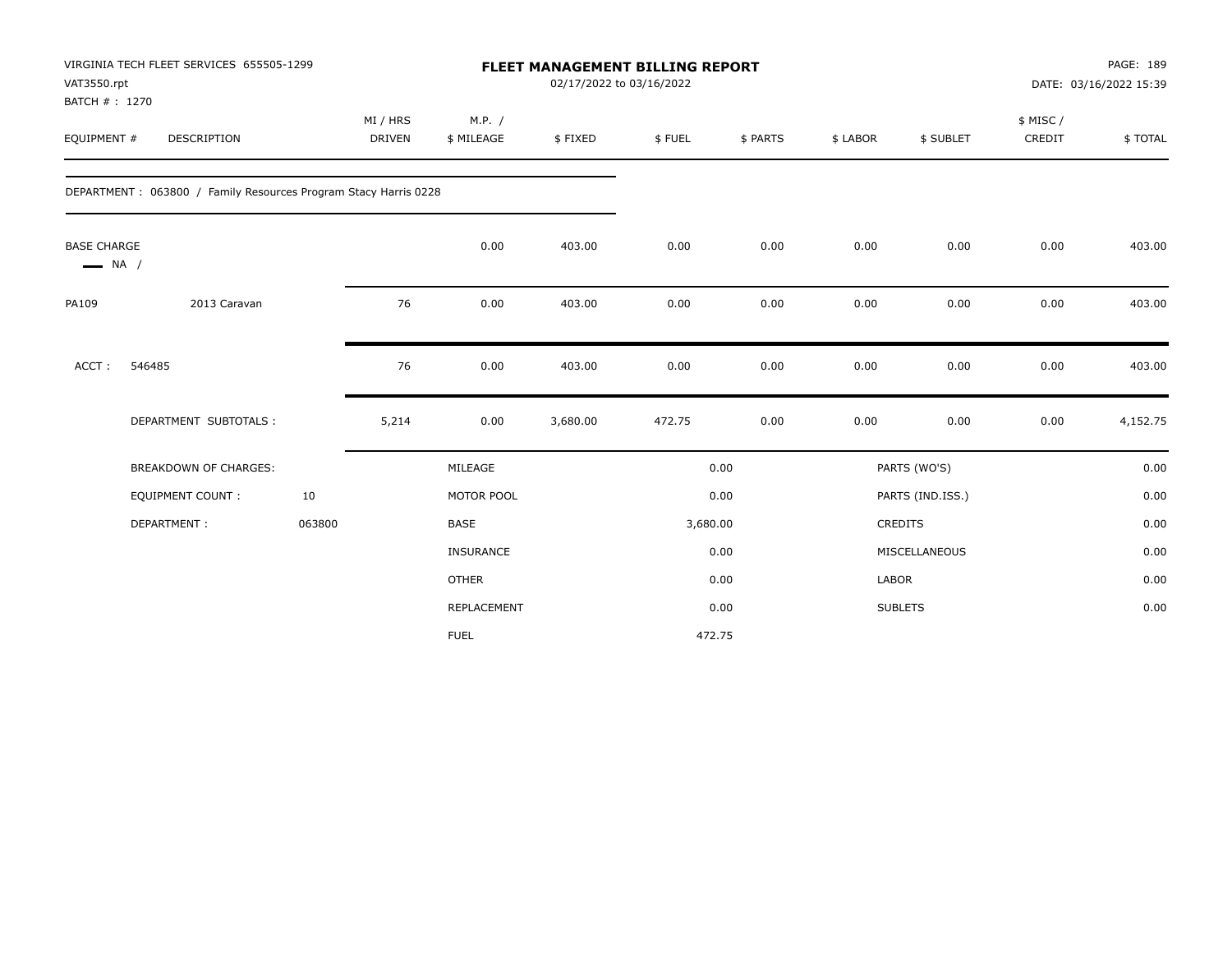| VAT3550.rpt<br>BATCH #: 1270                 | VIRGINIA TECH FLEET SERVICES 655505-1299                        |        |                           |                      | <b>FLEET MANAGEMENT BILLING REPORT</b><br>02/17/2022 to 03/16/2022 |          |          |          |                  |                     | PAGE: 189<br>DATE: 03/16/2022 15:39 |
|----------------------------------------------|-----------------------------------------------------------------|--------|---------------------------|----------------------|--------------------------------------------------------------------|----------|----------|----------|------------------|---------------------|-------------------------------------|
| EQUIPMENT #                                  | <b>DESCRIPTION</b>                                              |        | MI / HRS<br><b>DRIVEN</b> | M.P. /<br>\$ MILEAGE | \$FIXED                                                            | \$FUEL   | \$ PARTS | \$ LABOR | \$ SUBLET        | \$ MISC /<br>CREDIT | \$TOTAL                             |
|                                              | DEPARTMENT: 063800 / Family Resources Program Stacy Harris 0228 |        |                           |                      |                                                                    |          |          |          |                  |                     |                                     |
| <b>BASE CHARGE</b><br>$\longrightarrow$ NA / |                                                                 |        |                           | 0.00                 | 403.00                                                             | 0.00     | 0.00     | 0.00     | 0.00             | 0.00                | 403.00                              |
| PA109                                        | 2013 Caravan                                                    |        | 76                        | 0.00                 | 403.00                                                             | 0.00     | 0.00     | 0.00     | 0.00             | 0.00                | 403.00                              |
| ACCT:                                        | 546485                                                          |        | 76                        | 0.00                 | 403.00                                                             | 0.00     | 0.00     | 0.00     | 0.00             | 0.00                | 403.00                              |
|                                              | DEPARTMENT SUBTOTALS :                                          |        | 5,214                     | 0.00                 | 3,680.00                                                           | 472.75   | 0.00     | 0.00     | 0.00             | 0.00                | 4,152.75                            |
|                                              | BREAKDOWN OF CHARGES:                                           |        |                           | MILEAGE              |                                                                    |          | 0.00     |          | PARTS (WO'S)     |                     | 0.00                                |
|                                              | <b>EQUIPMENT COUNT:</b>                                         | 10     |                           | MOTOR POOL           |                                                                    |          | 0.00     |          | PARTS (IND.ISS.) |                     | 0.00                                |
|                                              | DEPARTMENT:                                                     | 063800 |                           | <b>BASE</b>          |                                                                    | 3,680.00 |          |          | <b>CREDITS</b>   |                     | 0.00                                |
|                                              |                                                                 |        |                           | INSURANCE            |                                                                    |          | 0.00     |          | MISCELLANEOUS    |                     | 0.00                                |
|                                              |                                                                 |        |                           | <b>OTHER</b>         |                                                                    |          | 0.00     | LABOR    |                  |                     | 0.00                                |
|                                              |                                                                 |        |                           | REPLACEMENT          |                                                                    |          | 0.00     |          | <b>SUBLETS</b>   |                     | 0.00                                |
|                                              |                                                                 |        |                           | <b>FUEL</b>          |                                                                    |          | 472.75   |          |                  |                     |                                     |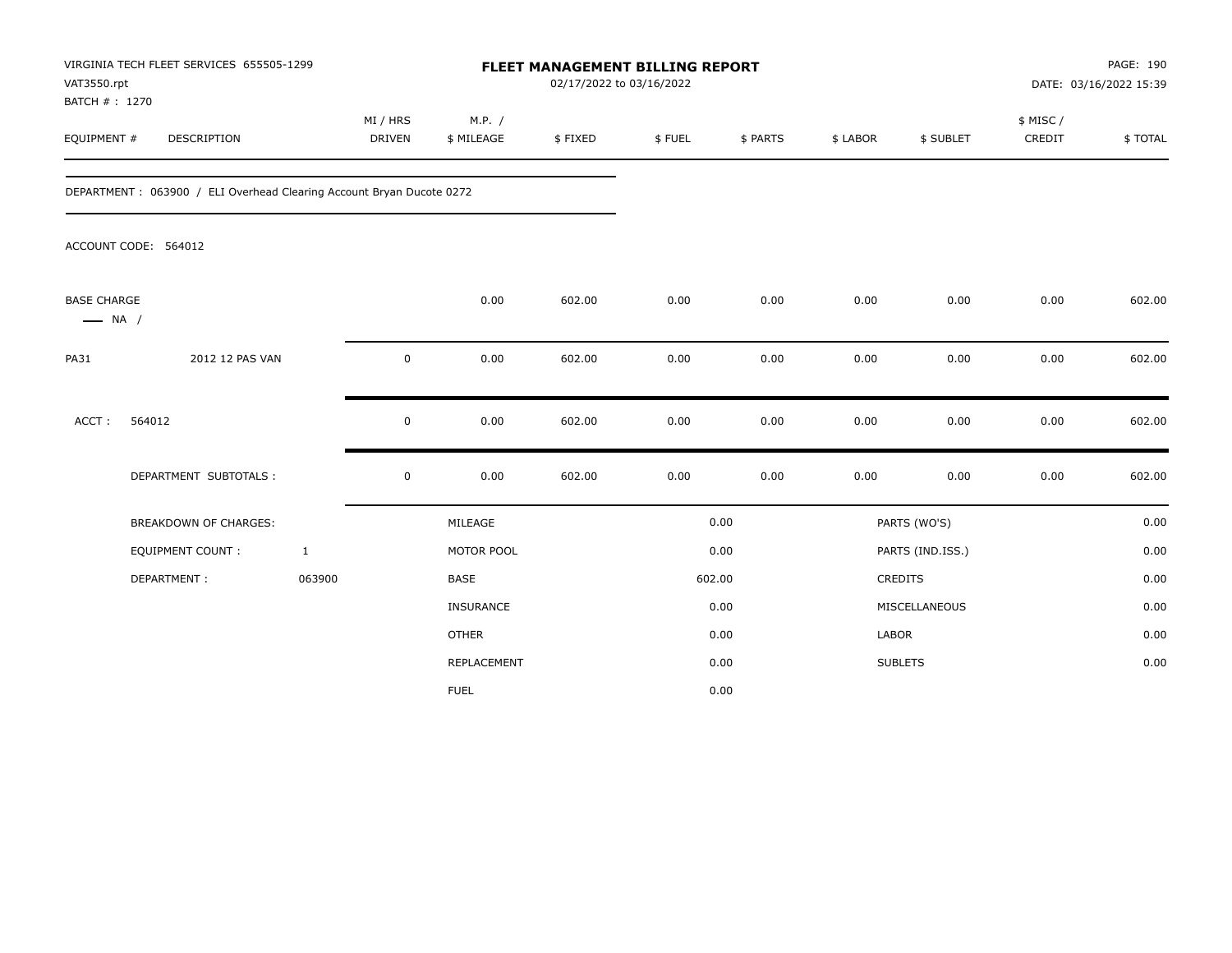| VAT3550.rpt<br>BATCH #: 1270                 | VIRGINIA TECH FLEET SERVICES 655505-1299                             |              |                           |                      | <b>FLEET MANAGEMENT BILLING REPORT</b><br>02/17/2022 to 03/16/2022 |        |          |              |                  |                     | PAGE: 190<br>DATE: 03/16/2022 15:39 |
|----------------------------------------------|----------------------------------------------------------------------|--------------|---------------------------|----------------------|--------------------------------------------------------------------|--------|----------|--------------|------------------|---------------------|-------------------------------------|
| EQUIPMENT #                                  | DESCRIPTION                                                          |              | MI / HRS<br><b>DRIVEN</b> | M.P. /<br>\$ MILEAGE | \$FIXED                                                            | \$FUEL | \$ PARTS | \$ LABOR     | \$ SUBLET        | \$ MISC /<br>CREDIT | \$TOTAL                             |
|                                              | DEPARTMENT: 063900 / ELI Overhead Clearing Account Bryan Ducote 0272 |              |                           |                      |                                                                    |        |          |              |                  |                     |                                     |
|                                              | ACCOUNT CODE: 564012                                                 |              |                           |                      |                                                                    |        |          |              |                  |                     |                                     |
| <b>BASE CHARGE</b><br>$\longrightarrow$ NA / |                                                                      |              |                           | 0.00                 | 602.00                                                             | 0.00   | 0.00     | 0.00         | 0.00             | 0.00                | 602.00                              |
| <b>PA31</b>                                  | 2012 12 PAS VAN                                                      |              | 0                         | 0.00                 | 602.00                                                             | 0.00   | 0.00     | 0.00         | 0.00             | 0.00                | 602.00                              |
| ACCT:                                        | 564012                                                               |              | 0                         | 0.00                 | 602.00                                                             | 0.00   | 0.00     | 0.00         | 0.00             | 0.00                | 602.00                              |
|                                              | DEPARTMENT SUBTOTALS :                                               |              | 0                         | 0.00                 | 602.00                                                             | 0.00   | 0.00     | 0.00         | 0.00             | 0.00                | 602.00                              |
|                                              | <b>BREAKDOWN OF CHARGES:</b>                                         |              |                           | MILEAGE              |                                                                    |        | 0.00     |              | PARTS (WO'S)     |                     | 0.00                                |
|                                              | EQUIPMENT COUNT:                                                     | $\mathbf{1}$ |                           | MOTOR POOL           |                                                                    |        | 0.00     |              | PARTS (IND.ISS.) |                     | 0.00                                |
|                                              | DEPARTMENT:                                                          | 063900       |                           | <b>BASE</b>          |                                                                    | 602.00 |          | CREDITS      |                  |                     | 0.00                                |
|                                              |                                                                      |              |                           | <b>INSURANCE</b>     |                                                                    |        | 0.00     |              | MISCELLANEOUS    |                     | 0.00                                |
|                                              |                                                                      |              |                           | <b>OTHER</b>         |                                                                    |        | 0.00     | <b>LABOR</b> |                  |                     | 0.00                                |
|                                              |                                                                      |              |                           | REPLACEMENT          |                                                                    |        | 0.00     |              | <b>SUBLETS</b>   |                     | 0.00                                |
|                                              |                                                                      |              |                           | <b>FUEL</b>          |                                                                    |        | 0.00     |              |                  |                     |                                     |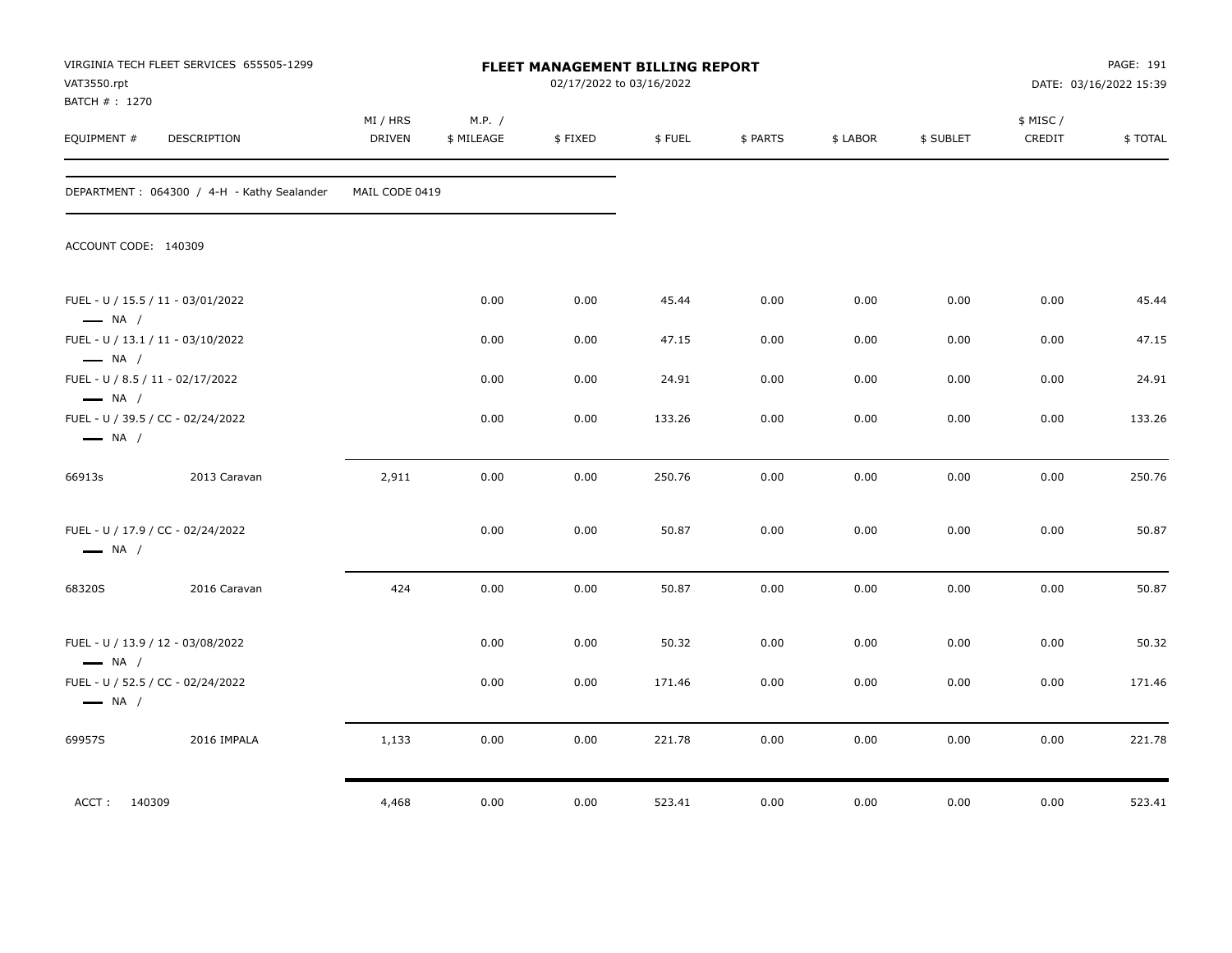| VAT3550.rpt<br>BATCH # : 1270                               | VIRGINIA TECH FLEET SERVICES 655505-1299   |                    |                      | FLEET MANAGEMENT BILLING REPORT<br>02/17/2022 to 03/16/2022 |        |          |          |           |                     | PAGE: 191<br>DATE: 03/16/2022 15:39 |
|-------------------------------------------------------------|--------------------------------------------|--------------------|----------------------|-------------------------------------------------------------|--------|----------|----------|-----------|---------------------|-------------------------------------|
| EQUIPMENT #                                                 | <b>DESCRIPTION</b>                         | MI / HRS<br>DRIVEN | M.P. /<br>\$ MILEAGE | \$FIXED                                                     | \$FUEL | \$ PARTS | \$ LABOR | \$ SUBLET | \$ MISC /<br>CREDIT | \$TOTAL                             |
|                                                             | DEPARTMENT: 064300 / 4-H - Kathy Sealander | MAIL CODE 0419     |                      |                                                             |        |          |          |           |                     |                                     |
| ACCOUNT CODE: 140309                                        |                                            |                    |                      |                                                             |        |          |          |           |                     |                                     |
| FUEL - U / 15.5 / 11 - 03/01/2022<br>$\longrightarrow$ NA / |                                            |                    | 0.00                 | 0.00                                                        | 45.44  | 0.00     | 0.00     | 0.00      | 0.00                | 45.44                               |
| FUEL - U / 13.1 / 11 - 03/10/2022<br>$\longrightarrow$ NA / |                                            |                    | 0.00                 | 0.00                                                        | 47.15  | 0.00     | 0.00     | 0.00      | 0.00                | 47.15                               |
| FUEL - U / 8.5 / 11 - 02/17/2022<br>$\longrightarrow$ NA /  |                                            |                    | 0.00                 | 0.00                                                        | 24.91  | 0.00     | 0.00     | 0.00      | 0.00                | 24.91                               |
| FUEL - U / 39.5 / CC - 02/24/2022<br>$\longrightarrow$ NA / |                                            |                    | 0.00                 | 0.00                                                        | 133.26 | 0.00     | 0.00     | 0.00      | 0.00                | 133.26                              |
| 66913s                                                      | 2013 Caravan                               | 2,911              | 0.00                 | 0.00                                                        | 250.76 | 0.00     | 0.00     | 0.00      | 0.00                | 250.76                              |
| FUEL - U / 17.9 / CC - 02/24/2022<br>$\longrightarrow$ NA / |                                            |                    | 0.00                 | 0.00                                                        | 50.87  | 0.00     | 0.00     | 0.00      | 0.00                | 50.87                               |
| 68320S                                                      | 2016 Caravan                               | 424                | 0.00                 | 0.00                                                        | 50.87  | 0.00     | 0.00     | 0.00      | 0.00                | 50.87                               |
| FUEL - U / 13.9 / 12 - 03/08/2022<br>$\longrightarrow$ NA / |                                            |                    | 0.00                 | 0.00                                                        | 50.32  | 0.00     | 0.00     | 0.00      | 0.00                | 50.32                               |
| FUEL - U / 52.5 / CC - 02/24/2022<br>$\longrightarrow$ NA / |                                            |                    | 0.00                 | 0.00                                                        | 171.46 | 0.00     | 0.00     | 0.00      | 0.00                | 171.46                              |
| 69957S                                                      | 2016 IMPALA                                | 1,133              | 0.00                 | 0.00                                                        | 221.78 | 0.00     | 0.00     | 0.00      | 0.00                | 221.78                              |
| ACCT: 140309                                                |                                            | 4,468              | 0.00                 | 0.00                                                        | 523.41 | 0.00     | $0.00\,$ | 0.00      | 0.00                | 523.41                              |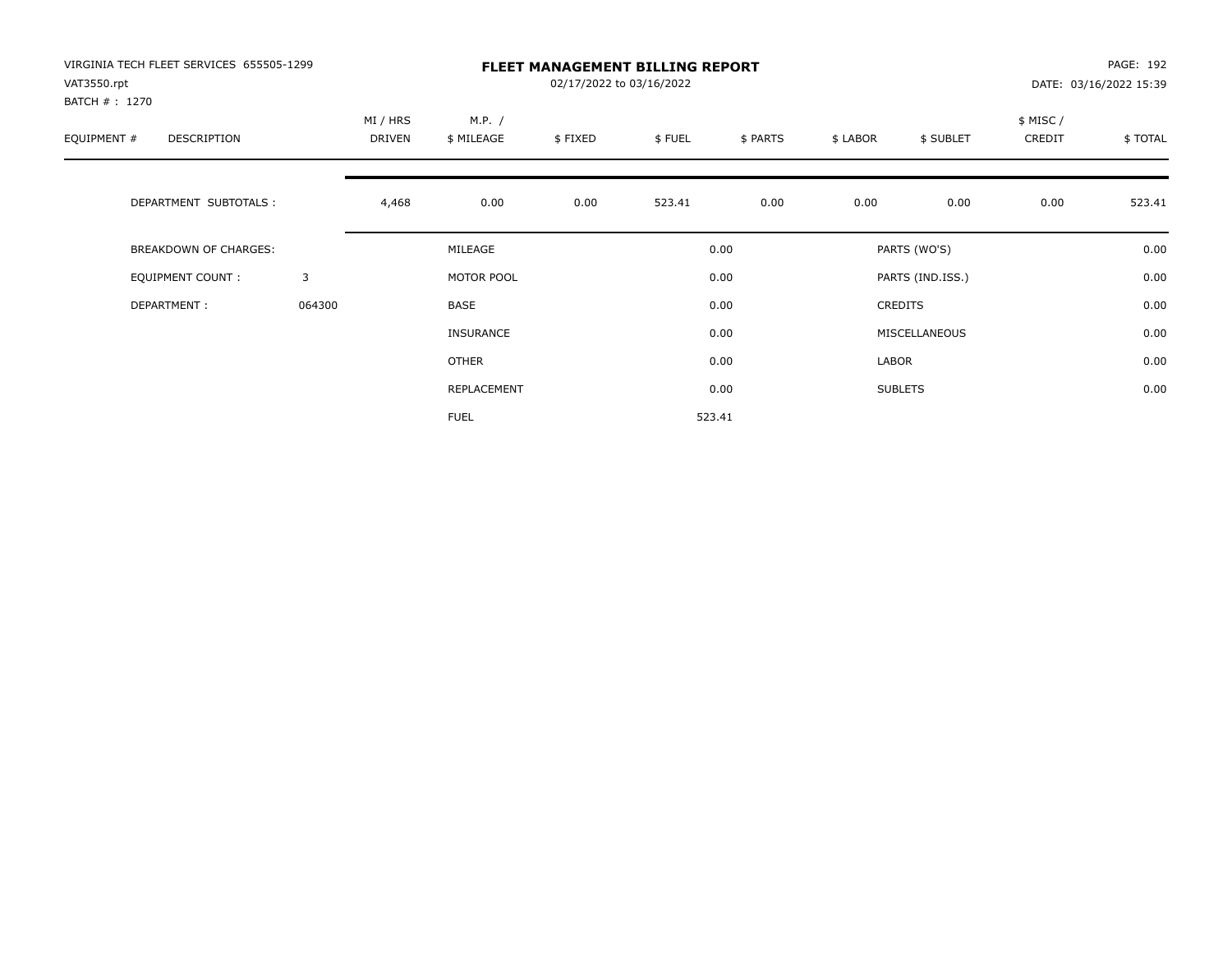| VIRGINIA TECH FLEET SERVICES 655505-1299<br>VAT3550.rpt<br>BATCH #: 1270 |        |                    |                      | 02/17/2022 to 03/16/2022 | <b>FLEET MANAGEMENT BILLING REPORT</b> |          |          |                  |                    | PAGE: 192<br>DATE: 03/16/2022 15:39 |
|--------------------------------------------------------------------------|--------|--------------------|----------------------|--------------------------|----------------------------------------|----------|----------|------------------|--------------------|-------------------------------------|
| EQUIPMENT #<br>DESCRIPTION                                               |        | MI / HRS<br>DRIVEN | M.P. /<br>\$ MILEAGE | \$FIXED                  | \$FUEL                                 | \$ PARTS | \$ LABOR | \$ SUBLET        | \$ MISC/<br>CREDIT | \$TOTAL                             |
| DEPARTMENT SUBTOTALS :                                                   |        | 4,468              | 0.00                 | 0.00                     | 523.41                                 | 0.00     | 0.00     | 0.00             | 0.00               | 523.41                              |
| <b>BREAKDOWN OF CHARGES:</b>                                             |        |                    | MILEAGE              |                          |                                        | 0.00     |          | PARTS (WO'S)     |                    | 0.00                                |
| EQUIPMENT COUNT:                                                         | 3      |                    | MOTOR POOL           |                          |                                        | 0.00     |          | PARTS (IND.ISS.) |                    | 0.00                                |
| DEPARTMENT:                                                              | 064300 |                    | <b>BASE</b>          |                          |                                        | 0.00     |          | <b>CREDITS</b>   |                    | 0.00                                |
|                                                                          |        |                    | <b>INSURANCE</b>     |                          |                                        | 0.00     |          | MISCELLANEOUS    |                    | 0.00                                |
|                                                                          |        |                    | OTHER                |                          |                                        | 0.00     | LABOR    |                  |                    | 0.00                                |
|                                                                          |        |                    | REPLACEMENT          |                          |                                        | 0.00     |          | <b>SUBLETS</b>   |                    | 0.00                                |
|                                                                          |        |                    | <b>FUEL</b>          |                          |                                        | 523.41   |          |                  |                    |                                     |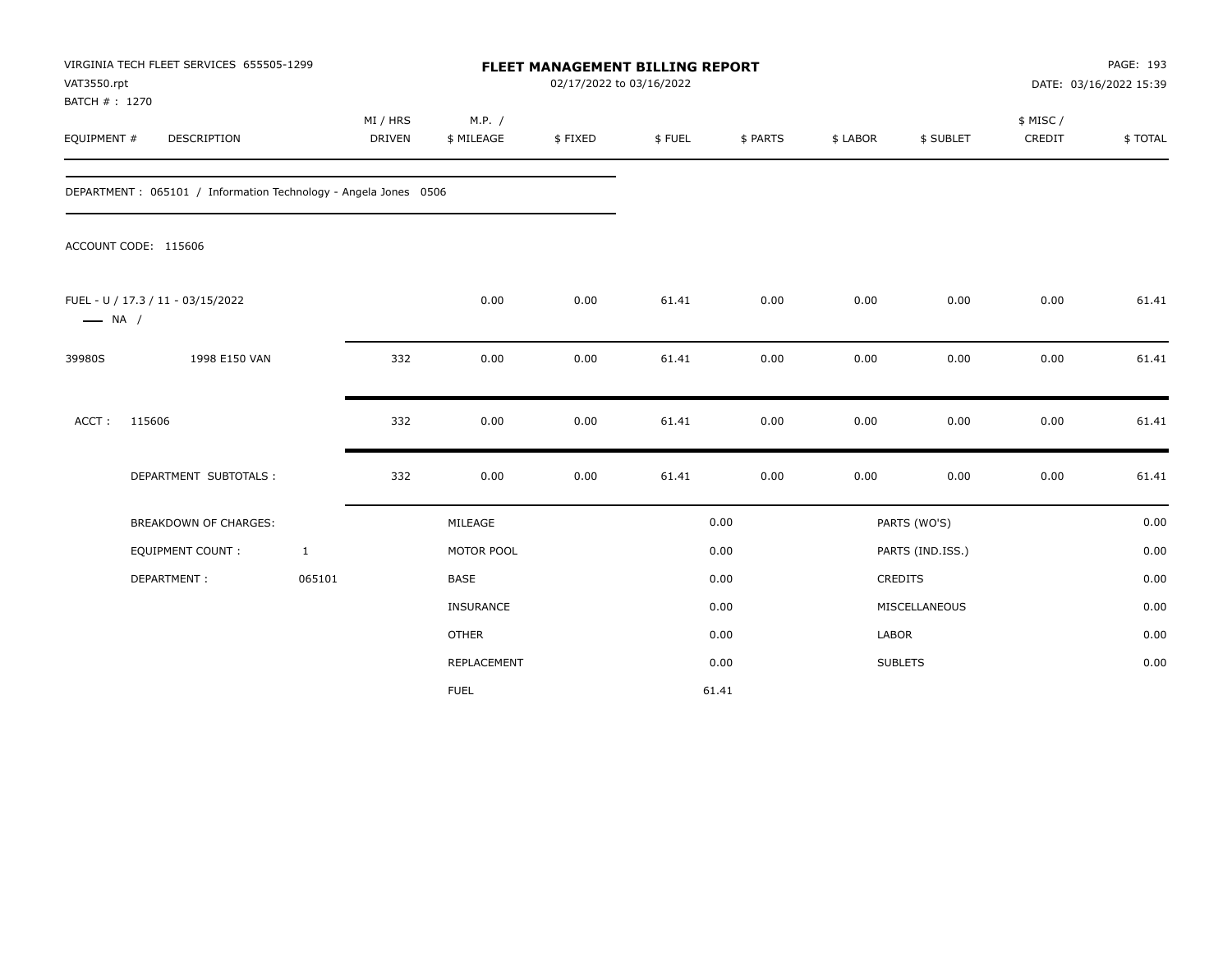| VAT3550.rpt<br>BATCH #: 1270 | VIRGINIA TECH FLEET SERVICES 655505-1299                        |                    |                      | FLEET MANAGEMENT BILLING REPORT | 02/17/2022 to 03/16/2022 |          |          |                  |                     | PAGE: 193<br>DATE: 03/16/2022 15:39 |
|------------------------------|-----------------------------------------------------------------|--------------------|----------------------|---------------------------------|--------------------------|----------|----------|------------------|---------------------|-------------------------------------|
| EQUIPMENT #                  | DESCRIPTION                                                     | MI / HRS<br>DRIVEN | M.P. /<br>\$ MILEAGE | \$FIXED                         | \$FUEL                   | \$ PARTS | \$ LABOR | \$ SUBLET        | \$ MISC /<br>CREDIT | \$TOTAL                             |
|                              | DEPARTMENT: 065101 / Information Technology - Angela Jones 0506 |                    |                      |                                 |                          |          |          |                  |                     |                                     |
|                              | ACCOUNT CODE: 115606                                            |                    |                      |                                 |                          |          |          |                  |                     |                                     |
| $\longrightarrow$ NA /       | FUEL - U / 17.3 / 11 - 03/15/2022                               |                    | 0.00                 | 0.00                            | 61.41                    | 0.00     | 0.00     | 0.00             | 0.00                | 61.41                               |
| 39980S                       | 1998 E150 VAN                                                   | 332                | 0.00                 | 0.00                            | 61.41                    | 0.00     | 0.00     | 0.00             | 0.00                | 61.41                               |
| ACCT:                        | 115606                                                          | 332                | 0.00                 | 0.00                            | 61.41                    | 0.00     | 0.00     | 0.00             | 0.00                | 61.41                               |
|                              | DEPARTMENT SUBTOTALS :                                          | 332                | 0.00                 | 0.00                            | 61.41                    | 0.00     | 0.00     | 0.00             | 0.00                | 61.41                               |
|                              | <b>BREAKDOWN OF CHARGES:</b>                                    |                    | MILEAGE              |                                 |                          | 0.00     |          | PARTS (WO'S)     |                     | 0.00                                |
|                              | EQUIPMENT COUNT:                                                | $\mathbf{1}$       | MOTOR POOL           |                                 |                          | 0.00     |          | PARTS (IND.ISS.) |                     | 0.00                                |
|                              | DEPARTMENT:                                                     | 065101             | <b>BASE</b>          |                                 |                          | 0.00     |          | CREDITS          |                     | 0.00                                |
|                              |                                                                 |                    | <b>INSURANCE</b>     |                                 |                          | 0.00     |          | MISCELLANEOUS    |                     | 0.00                                |
|                              |                                                                 |                    | <b>OTHER</b>         |                                 |                          | 0.00     | LABOR    |                  |                     | 0.00                                |
|                              |                                                                 |                    | <b>REPLACEMENT</b>   |                                 |                          | 0.00     |          | <b>SUBLETS</b>   |                     | 0.00                                |
|                              |                                                                 |                    | <b>FUEL</b>          |                                 |                          | 61.41    |          |                  |                     |                                     |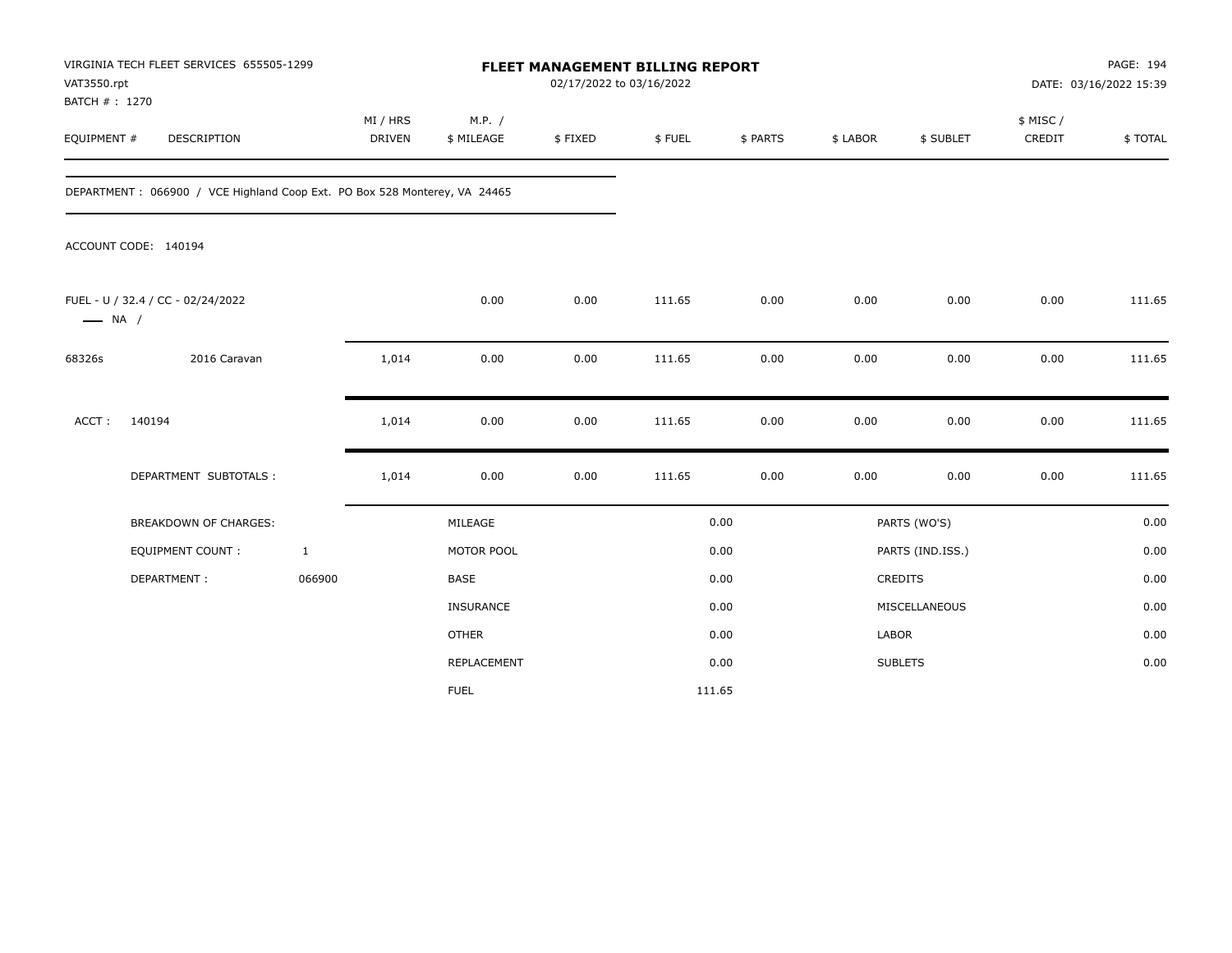| VAT3550.rpt<br>BATCH #: 1270 | VIRGINIA TECH FLEET SERVICES 655505-1299                                  |              |                           |                      | 02/17/2022 to 03/16/2022 | FLEET MANAGEMENT BILLING REPORT |          |              |                  |                     | PAGE: 194<br>DATE: 03/16/2022 15:39 |
|------------------------------|---------------------------------------------------------------------------|--------------|---------------------------|----------------------|--------------------------|---------------------------------|----------|--------------|------------------|---------------------|-------------------------------------|
| EQUIPMENT #                  | DESCRIPTION                                                               |              | MI / HRS<br><b>DRIVEN</b> | M.P. /<br>\$ MILEAGE | \$FIXED                  | \$FUEL                          | \$ PARTS | \$ LABOR     | \$ SUBLET        | \$ MISC /<br>CREDIT | \$TOTAL                             |
|                              | DEPARTMENT: 066900 / VCE Highland Coop Ext. PO Box 528 Monterey, VA 24465 |              |                           |                      |                          |                                 |          |              |                  |                     |                                     |
|                              | ACCOUNT CODE: 140194                                                      |              |                           |                      |                          |                                 |          |              |                  |                     |                                     |
| $\longrightarrow$ NA /       | FUEL - U / 32.4 / CC - 02/24/2022                                         |              |                           | 0.00                 | 0.00                     | 111.65                          | 0.00     | 0.00         | 0.00             | 0.00                | 111.65                              |
| 68326s                       | 2016 Caravan                                                              |              | 1,014                     | 0.00                 | 0.00                     | 111.65                          | 0.00     | 0.00         | 0.00             | 0.00                | 111.65                              |
| ACCT:                        | 140194                                                                    |              | 1,014                     | 0.00                 | 0.00                     | 111.65                          | 0.00     | 0.00         | 0.00             | 0.00                | 111.65                              |
|                              | DEPARTMENT SUBTOTALS :                                                    |              | 1,014                     | 0.00                 | 0.00                     | 111.65                          | 0.00     | 0.00         | 0.00             | 0.00                | 111.65                              |
|                              | <b>BREAKDOWN OF CHARGES:</b>                                              |              |                           | MILEAGE              |                          |                                 | 0.00     |              | PARTS (WO'S)     |                     | 0.00                                |
|                              | <b>EQUIPMENT COUNT:</b>                                                   | $\mathbf{1}$ |                           | MOTOR POOL           |                          |                                 | 0.00     |              | PARTS (IND.ISS.) |                     | 0.00                                |
|                              | DEPARTMENT:                                                               | 066900       |                           | BASE                 |                          |                                 | 0.00     | CREDITS      |                  |                     | 0.00                                |
|                              |                                                                           |              |                           | INSURANCE            |                          |                                 | 0.00     |              | MISCELLANEOUS    |                     | 0.00                                |
|                              |                                                                           |              |                           | <b>OTHER</b>         |                          |                                 | 0.00     | <b>LABOR</b> |                  |                     | 0.00                                |
|                              |                                                                           |              |                           | REPLACEMENT          |                          |                                 | 0.00     |              | <b>SUBLETS</b>   |                     | 0.00                                |
|                              |                                                                           |              |                           | <b>FUEL</b>          |                          | 111.65                          |          |              |                  |                     |                                     |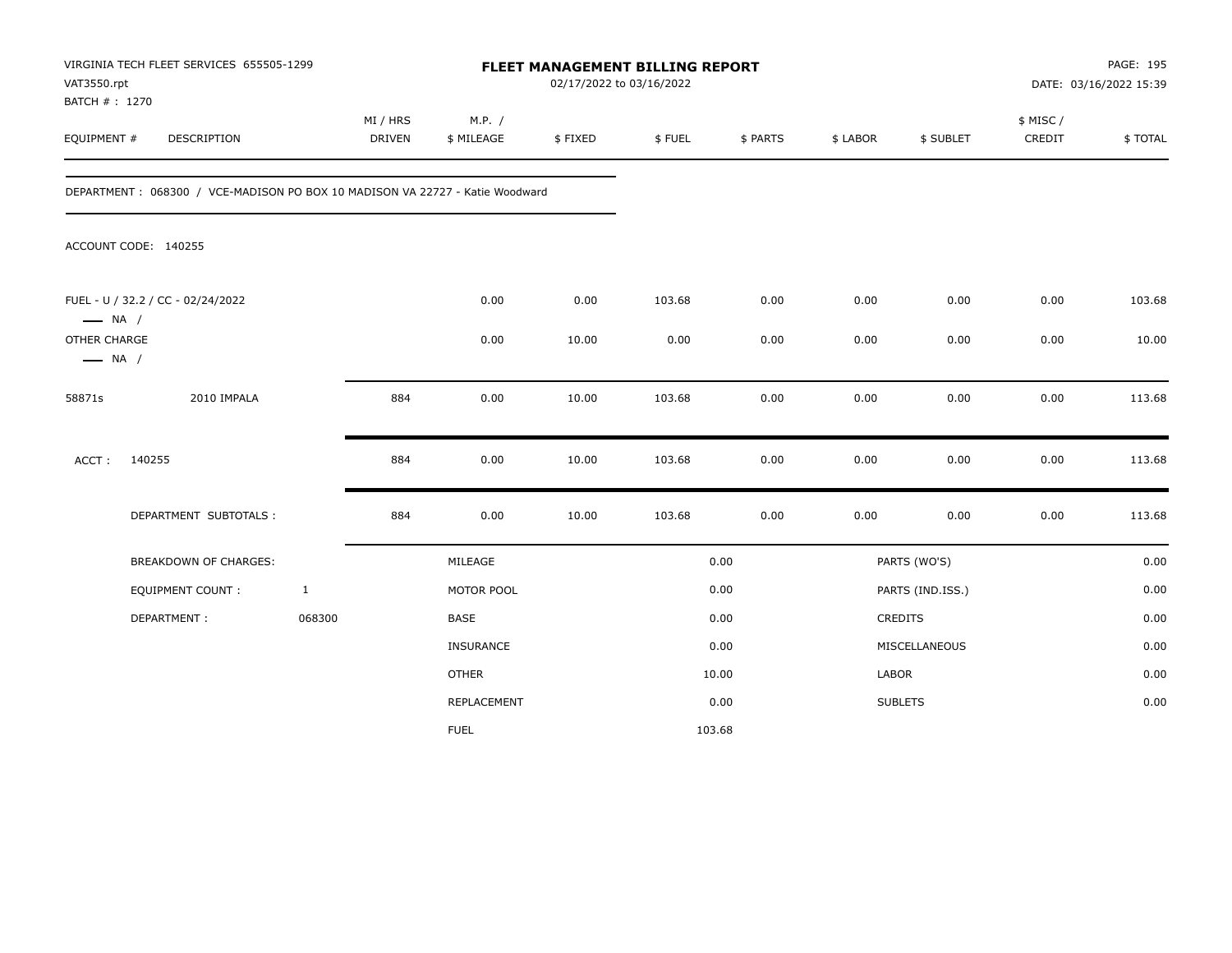| VAT3550.rpt<br>BATCH #: 1270           | VIRGINIA TECH FLEET SERVICES 655505-1299                                      |              |                           |                      | 02/17/2022 to 03/16/2022 | FLEET MANAGEMENT BILLING REPORT |          |          |                  |                    | PAGE: 195<br>DATE: 03/16/2022 15:39 |
|----------------------------------------|-------------------------------------------------------------------------------|--------------|---------------------------|----------------------|--------------------------|---------------------------------|----------|----------|------------------|--------------------|-------------------------------------|
| EQUIPMENT #                            | DESCRIPTION                                                                   |              | MI / HRS<br><b>DRIVEN</b> | M.P. /<br>\$ MILEAGE | \$FIXED                  | \$FUEL                          | \$ PARTS | \$ LABOR | \$ SUBLET        | \$ MISC/<br>CREDIT | \$TOTAL                             |
|                                        | DEPARTMENT : 068300 / VCE-MADISON PO BOX 10 MADISON VA 22727 - Katie Woodward |              |                           |                      |                          |                                 |          |          |                  |                    |                                     |
|                                        | ACCOUNT CODE: 140255                                                          |              |                           |                      |                          |                                 |          |          |                  |                    |                                     |
| $\longrightarrow$ NA /                 | FUEL - U / 32.2 / CC - 02/24/2022                                             |              |                           | 0.00                 | 0.00                     | 103.68                          | 0.00     | 0.00     | 0.00             | 0.00               | 103.68                              |
| OTHER CHARGE<br>$\longrightarrow$ NA / |                                                                               |              |                           | 0.00                 | 10.00                    | 0.00                            | 0.00     | 0.00     | 0.00             | 0.00               | 10.00                               |
| 58871s                                 | 2010 IMPALA                                                                   |              | 884                       | 0.00                 | 10.00                    | 103.68                          | 0.00     | 0.00     | 0.00             | 0.00               | 113.68                              |
| ACCT:                                  | 140255                                                                        |              | 884                       | 0.00                 | 10.00                    | 103.68                          | 0.00     | 0.00     | 0.00             | 0.00               | 113.68                              |
|                                        | DEPARTMENT SUBTOTALS :                                                        |              | 884                       | 0.00                 | 10.00                    | 103.68                          | 0.00     | 0.00     | 0.00             | 0.00               | 113.68                              |
|                                        | BREAKDOWN OF CHARGES:                                                         |              |                           | MILEAGE              |                          |                                 | 0.00     |          | PARTS (WO'S)     |                    | 0.00                                |
|                                        | <b>EQUIPMENT COUNT:</b>                                                       | $\mathbf{1}$ |                           | MOTOR POOL           |                          |                                 | 0.00     |          | PARTS (IND.ISS.) |                    | 0.00                                |
|                                        | DEPARTMENT:                                                                   | 068300       |                           | BASE                 |                          |                                 | 0.00     |          | <b>CREDITS</b>   |                    | 0.00                                |
|                                        |                                                                               |              |                           | INSURANCE            |                          |                                 | 0.00     |          | MISCELLANEOUS    |                    | 0.00                                |
|                                        |                                                                               |              |                           | <b>OTHER</b>         |                          |                                 | 10.00    | LABOR    |                  |                    | 0.00                                |
|                                        |                                                                               |              |                           | REPLACEMENT          |                          |                                 | 0.00     |          | <b>SUBLETS</b>   |                    | 0.00                                |
|                                        |                                                                               |              |                           | <b>FUEL</b>          |                          | 103.68                          |          |          |                  |                    |                                     |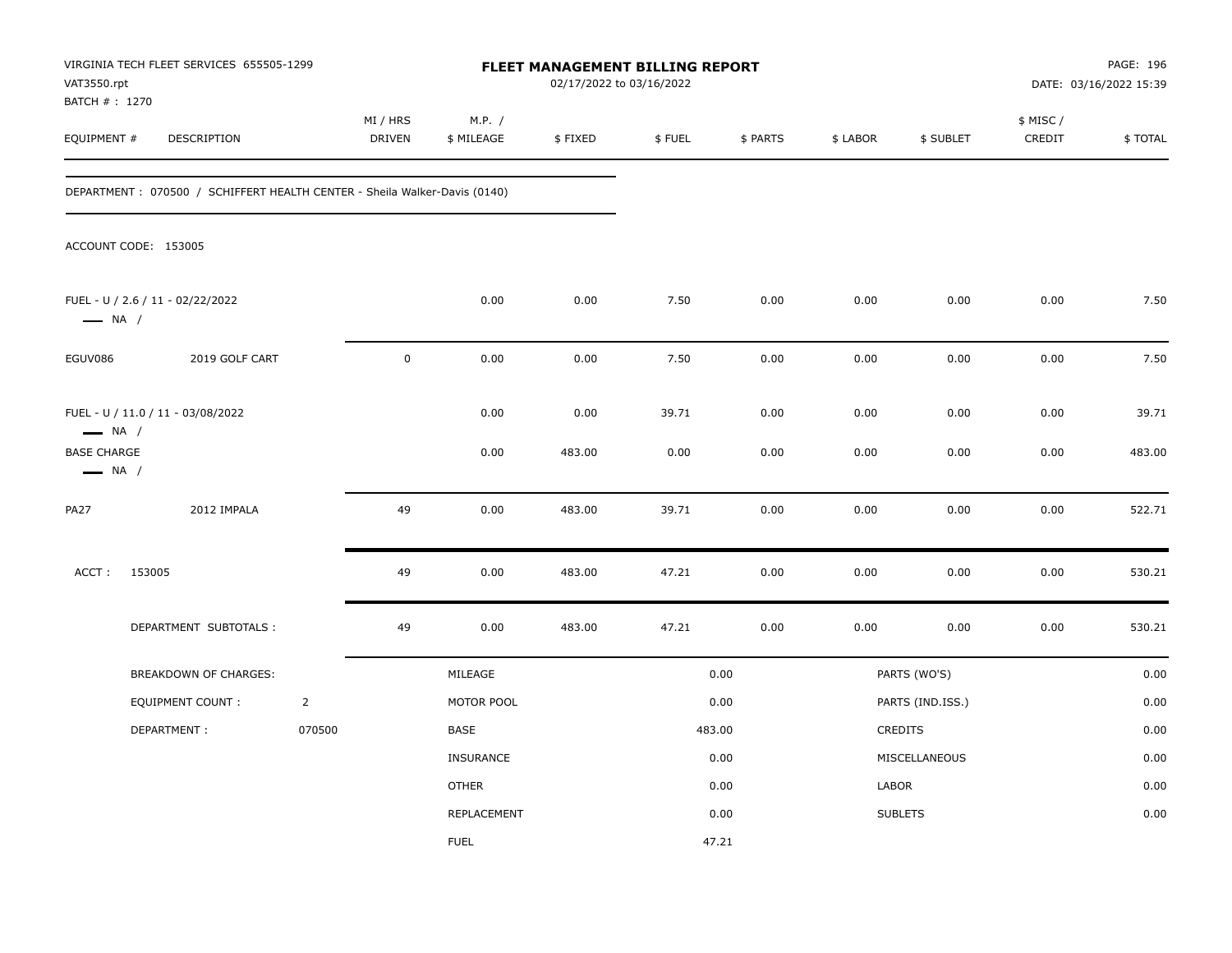| VAT3550.rpt<br>BATCH # : 1270                                          | VIRGINIA TECH FLEET SERVICES 655505-1299                                  |                |                    |                      | 02/17/2022 to 03/16/2022 | <b>FLEET MANAGEMENT BILLING REPORT</b> |              |              |                  |                     | PAGE: 196<br>DATE: 03/16/2022 15:39 |
|------------------------------------------------------------------------|---------------------------------------------------------------------------|----------------|--------------------|----------------------|--------------------------|----------------------------------------|--------------|--------------|------------------|---------------------|-------------------------------------|
| EQUIPMENT #                                                            | DESCRIPTION                                                               |                | MI / HRS<br>DRIVEN | M.P. /<br>\$ MILEAGE | \$FIXED                  | \$FUEL                                 | \$ PARTS     | \$ LABOR     | \$ SUBLET        | \$ MISC /<br>CREDIT | \$TOTAL                             |
|                                                                        | DEPARTMENT: 070500 / SCHIFFERT HEALTH CENTER - Sheila Walker-Davis (0140) |                |                    |                      |                          |                                        |              |              |                  |                     |                                     |
|                                                                        | ACCOUNT CODE: 153005                                                      |                |                    |                      |                          |                                        |              |              |                  |                     |                                     |
| $\longrightarrow$ NA /                                                 | FUEL - U / 2.6 / 11 - 02/22/2022                                          |                |                    | 0.00                 | 0.00                     | 7.50                                   | 0.00         | 0.00         | 0.00             | 0.00                | 7.50                                |
| EGUV086                                                                | 2019 GOLF CART                                                            |                | $\mathsf 0$        | 0.00                 | 0.00                     | 7.50                                   | 0.00         | 0.00         | 0.00             | 0.00                | 7.50                                |
| $\longrightarrow$ NA /<br><b>BASE CHARGE</b><br>$\longrightarrow$ NA / | FUEL - U / 11.0 / 11 - 03/08/2022                                         |                |                    | 0.00<br>0.00         | 0.00<br>483.00           | 39.71<br>0.00                          | 0.00<br>0.00 | 0.00<br>0.00 | 0.00<br>0.00     | 0.00<br>0.00        | 39.71<br>483.00                     |
| <b>PA27</b>                                                            | 2012 IMPALA                                                               |                | 49                 | 0.00                 | 483.00                   | 39.71                                  | 0.00         | 0.00         | 0.00             | 0.00                | 522.71                              |
| ACCT:                                                                  | 153005                                                                    |                | 49                 | 0.00                 | 483.00                   | 47.21                                  | 0.00         | 0.00         | 0.00             | 0.00                | 530.21                              |
|                                                                        | DEPARTMENT SUBTOTALS :                                                    |                | 49                 | 0.00                 | 483.00                   | 47.21                                  | 0.00         | 0.00         | 0.00             | 0.00                | 530.21                              |
|                                                                        | BREAKDOWN OF CHARGES:                                                     |                |                    | MILEAGE              |                          |                                        | 0.00         |              | PARTS (WO'S)     |                     | 0.00                                |
|                                                                        | EQUIPMENT COUNT:                                                          | $\overline{2}$ |                    | MOTOR POOL           |                          |                                        | 0.00         |              | PARTS (IND.ISS.) |                     | 0.00                                |
|                                                                        | DEPARTMENT:                                                               | 070500         |                    | BASE                 |                          | 483.00                                 |              |              | CREDITS          |                     | 0.00                                |
|                                                                        |                                                                           |                |                    | <b>INSURANCE</b>     |                          |                                        | 0.00         |              | MISCELLANEOUS    |                     | 0.00                                |
|                                                                        |                                                                           |                |                    | <b>OTHER</b>         |                          |                                        | 0.00         | LABOR        |                  |                     | 0.00                                |
|                                                                        |                                                                           |                |                    | REPLACEMENT          |                          |                                        | 0.00         |              | <b>SUBLETS</b>   |                     | 0.00                                |
|                                                                        |                                                                           |                |                    | <b>FUEL</b>          |                          |                                        | 47.21        |              |                  |                     |                                     |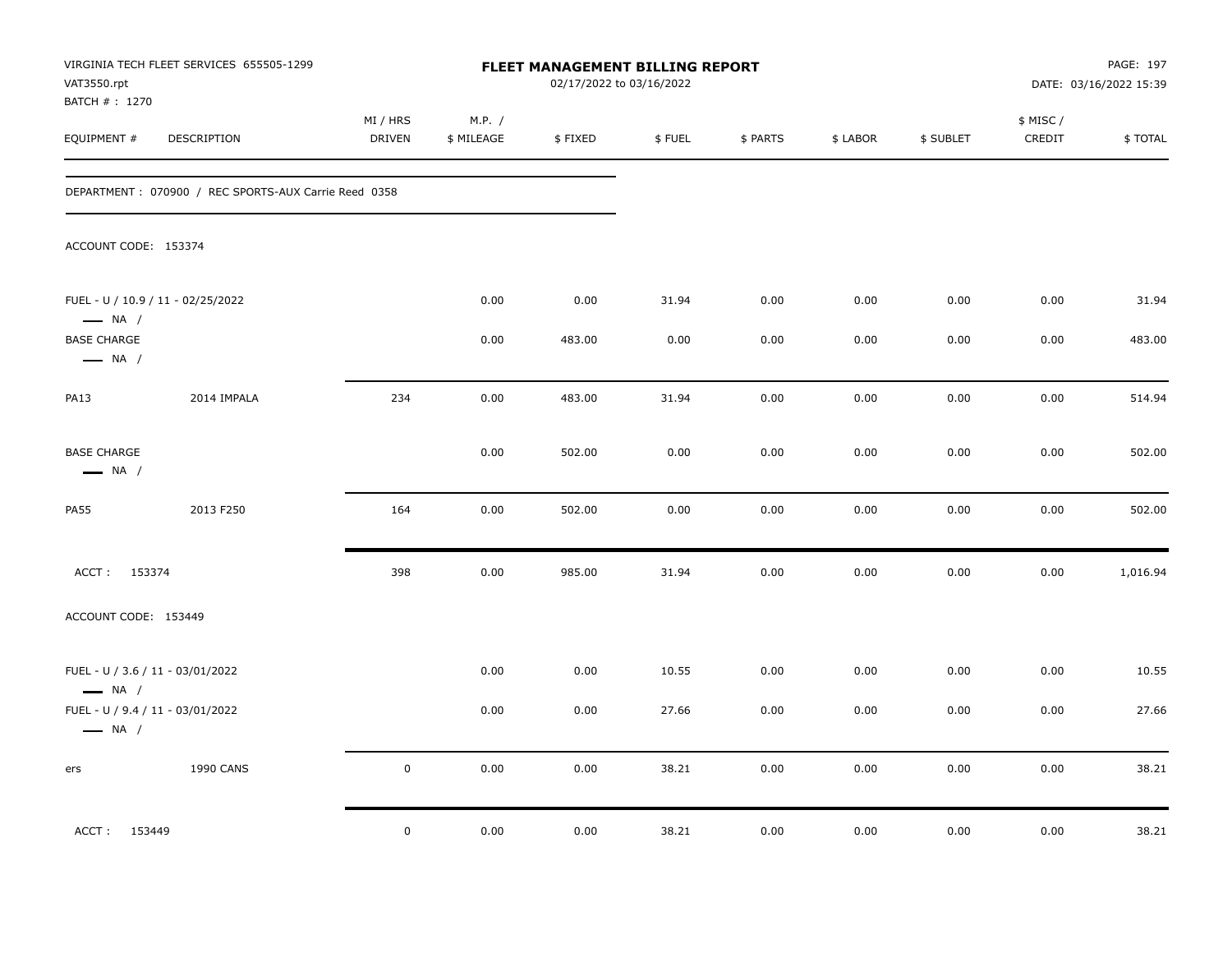| VAT3550.rpt<br>BATCH #: 1270                               | VIRGINIA TECH FLEET SERVICES 655505-1299             |                           |                      | FLEET MANAGEMENT BILLING REPORT<br>02/17/2022 to 03/16/2022 |        |          |          |           |                    | PAGE: 197<br>DATE: 03/16/2022 15:39 |
|------------------------------------------------------------|------------------------------------------------------|---------------------------|----------------------|-------------------------------------------------------------|--------|----------|----------|-----------|--------------------|-------------------------------------|
| EQUIPMENT #                                                | DESCRIPTION                                          | MI / HRS<br><b>DRIVEN</b> | M.P. /<br>\$ MILEAGE | \$FIXED                                                     | \$FUEL | \$ PARTS | \$ LABOR | \$ SUBLET | \$ MISC/<br>CREDIT | \$TOTAL                             |
|                                                            | DEPARTMENT: 070900 / REC SPORTS-AUX Carrie Reed 0358 |                           |                      |                                                             |        |          |          |           |                    |                                     |
| ACCOUNT CODE: 153374                                       |                                                      |                           |                      |                                                             |        |          |          |           |                    |                                     |
| $\longrightarrow$ NA /                                     | FUEL - U / 10.9 / 11 - 02/25/2022                    |                           | 0.00                 | 0.00                                                        | 31.94  | 0.00     | 0.00     | 0.00      | 0.00               | 31.94                               |
| <b>BASE CHARGE</b><br>$\longrightarrow$ NA /               |                                                      |                           | 0.00                 | 483.00                                                      | 0.00   | 0.00     | 0.00     | 0.00      | 0.00               | 483.00                              |
| <b>PA13</b>                                                | 2014 IMPALA                                          | 234                       | 0.00                 | 483.00                                                      | 31.94  | 0.00     | 0.00     | 0.00      | 0.00               | 514.94                              |
| <b>BASE CHARGE</b><br>$\longrightarrow$ NA /               |                                                      |                           | 0.00                 | 502.00                                                      | 0.00   | 0.00     | 0.00     | 0.00      | 0.00               | 502.00                              |
| <b>PA55</b>                                                | 2013 F250                                            | 164                       | 0.00                 | 502.00                                                      | 0.00   | 0.00     | 0.00     | 0.00      | 0.00               | 502.00                              |
| ACCT: 153374                                               |                                                      | 398                       | 0.00                 | 985.00                                                      | 31.94  | 0.00     | 0.00     | 0.00      | 0.00               | 1,016.94                            |
| ACCOUNT CODE: 153449                                       |                                                      |                           |                      |                                                             |        |          |          |           |                    |                                     |
| FUEL - U / 3.6 / 11 - 03/01/2022<br>$\longrightarrow$ NA / |                                                      |                           | 0.00                 | 0.00                                                        | 10.55  | 0.00     | 0.00     | 0.00      | 0.00               | 10.55                               |
| $\longrightarrow$ NA /                                     | FUEL - U / 9.4 / 11 - 03/01/2022                     |                           | 0.00                 | 0.00                                                        | 27.66  | 0.00     | 0.00     | 0.00      | 0.00               | 27.66                               |
| ers                                                        | <b>1990 CANS</b>                                     | $\mathbf 0$               | 0.00                 | 0.00                                                        | 38.21  | 0.00     | 0.00     | 0.00      | 0.00               | 38.21                               |
| ACCT: 153449                                               |                                                      | $\mathbf 0$               | 0.00                 | 0.00                                                        | 38.21  | 0.00     | 0.00     | 0.00      | 0.00               | 38.21                               |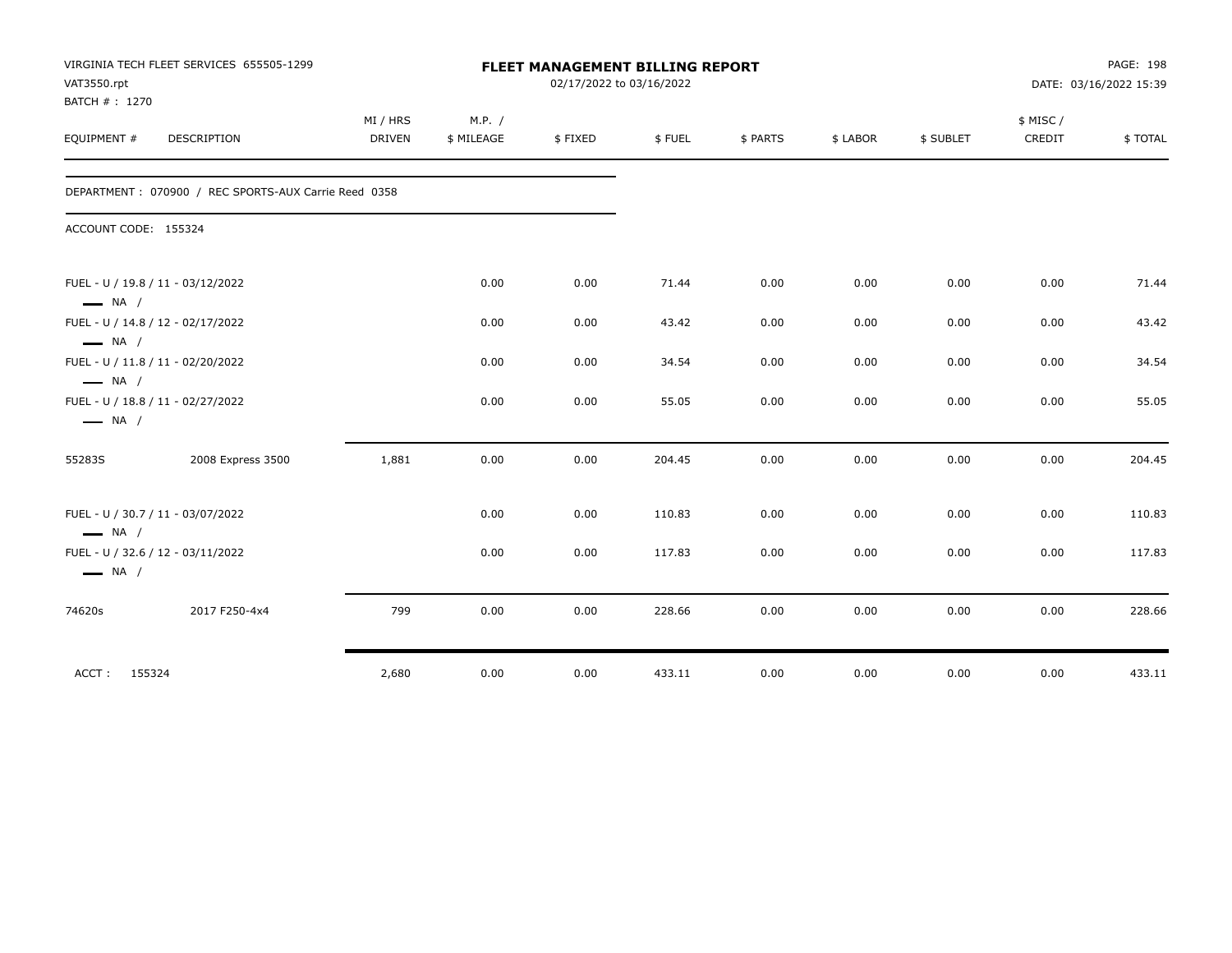| VAT3550.rpt            | VIRGINIA TECH FLEET SERVICES 655505-1299             |               |            | <b>FLEET MANAGEMENT BILLING REPORT</b><br>02/17/2022 to 03/16/2022 |        |          |          |           |           | PAGE: 198<br>DATE: 03/16/2022 15:39 |
|------------------------|------------------------------------------------------|---------------|------------|--------------------------------------------------------------------|--------|----------|----------|-----------|-----------|-------------------------------------|
| BATCH #: 1270          |                                                      | MI / HRS      | M.P. /     |                                                                    |        |          |          |           | \$ MISC / |                                     |
| EQUIPMENT #            | <b>DESCRIPTION</b>                                   | <b>DRIVEN</b> | \$ MILEAGE | \$FIXED                                                            | \$FUEL | \$ PARTS | \$ LABOR | \$ SUBLET | CREDIT    | \$TOTAL                             |
|                        | DEPARTMENT: 070900 / REC SPORTS-AUX Carrie Reed 0358 |               |            |                                                                    |        |          |          |           |           |                                     |
| ACCOUNT CODE: 155324   |                                                      |               |            |                                                                    |        |          |          |           |           |                                     |
| $\longrightarrow$ NA / | FUEL - U / 19.8 / 11 - 03/12/2022                    |               | 0.00       | 0.00                                                               | 71.44  | 0.00     | 0.00     | 0.00      | 0.00      | 71.44                               |
| $\longrightarrow$ NA / | FUEL - U / 14.8 / 12 - 02/17/2022                    |               | 0.00       | 0.00                                                               | 43.42  | 0.00     | 0.00     | 0.00      | 0.00      | 43.42                               |
| $\longrightarrow$ NA / | FUEL - U / 11.8 / 11 - 02/20/2022                    |               | 0.00       | 0.00                                                               | 34.54  | 0.00     | 0.00     | 0.00      | 0.00      | 34.54                               |
| $\longrightarrow$ NA / | FUEL - U / 18.8 / 11 - 02/27/2022                    |               | 0.00       | 0.00                                                               | 55.05  | 0.00     | 0.00     | 0.00      | 0.00      | 55.05                               |
| 55283S                 | 2008 Express 3500                                    | 1,881         | 0.00       | 0.00                                                               | 204.45 | 0.00     | 0.00     | 0.00      | 0.00      | 204.45                              |
| $\longrightarrow$ NA / | FUEL - U / 30.7 / 11 - 03/07/2022                    |               | 0.00       | 0.00                                                               | 110.83 | 0.00     | 0.00     | 0.00      | 0.00      | 110.83                              |
| $\longrightarrow$ NA / | FUEL - U / 32.6 / 12 - 03/11/2022                    |               | 0.00       | 0.00                                                               | 117.83 | 0.00     | 0.00     | 0.00      | 0.00      | 117.83                              |
| 74620s                 | 2017 F250-4x4                                        | 799           | 0.00       | 0.00                                                               | 228.66 | 0.00     | 0.00     | 0.00      | 0.00      | 228.66                              |
| ACCT:<br>155324        |                                                      | 2,680         | 0.00       | 0.00                                                               | 433.11 | 0.00     | 0.00     | 0.00      | 0.00      | 433.11                              |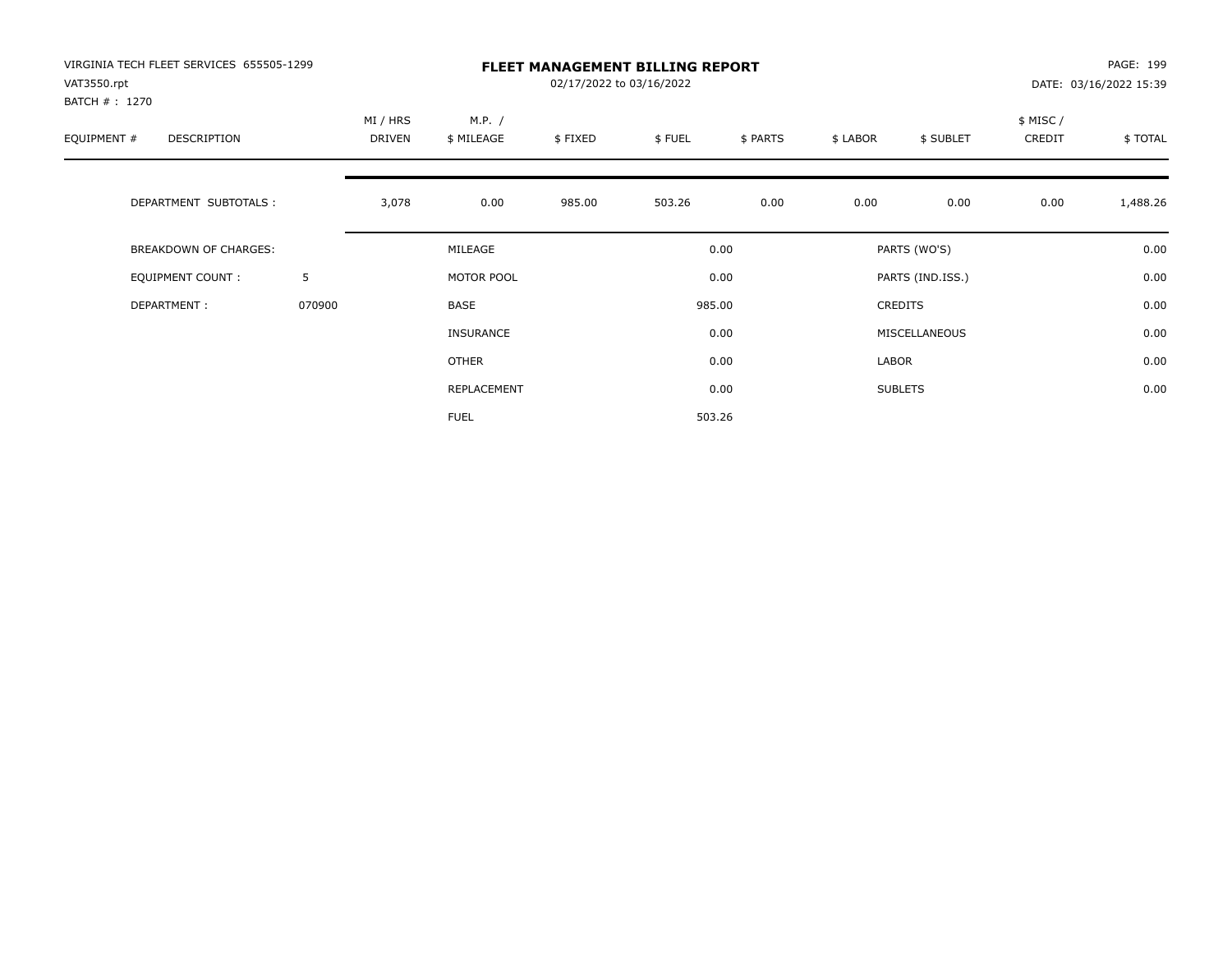| VIRGINIA TECH FLEET SERVICES 655505-1299<br>VAT3550.rpt<br>BATCH # : 1270<br>EQUIPMENT #<br><b>DESCRIPTION</b><br>DEPARTMENT SUBTOTALS :<br><b>BREAKDOWN OF CHARGES:</b><br>EQUIPMENT COUNT:<br>DEPARTMENT: |        |                    |                      | PAGE: 199<br>DATE: 03/16/2022 15:39 |        |          |          |                  |                     |          |
|-------------------------------------------------------------------------------------------------------------------------------------------------------------------------------------------------------------|--------|--------------------|----------------------|-------------------------------------|--------|----------|----------|------------------|---------------------|----------|
|                                                                                                                                                                                                             |        | MI / HRS<br>DRIVEN | M.P. /<br>\$ MILEAGE | \$FIXED                             | \$FUEL | \$ PARTS | \$ LABOR | \$ SUBLET        | \$ MISC /<br>CREDIT | \$TOTAL  |
|                                                                                                                                                                                                             |        | 3,078              | 0.00                 | 985.00                              | 503.26 | 0.00     | 0.00     | 0.00             | 0.00                | 1,488.26 |
|                                                                                                                                                                                                             |        |                    | MILEAGE              |                                     |        | 0.00     |          | PARTS (WO'S)     |                     | 0.00     |
|                                                                                                                                                                                                             | 5      |                    | MOTOR POOL           |                                     |        | 0.00     |          | PARTS (IND.ISS.) |                     | 0.00     |
|                                                                                                                                                                                                             | 070900 |                    | <b>BASE</b>          |                                     |        | 985.00   |          | <b>CREDITS</b>   |                     | 0.00     |
|                                                                                                                                                                                                             |        |                    | <b>INSURANCE</b>     |                                     |        | 0.00     |          | MISCELLANEOUS    |                     | 0.00     |
|                                                                                                                                                                                                             |        |                    | OTHER                |                                     |        | 0.00     | LABOR    |                  |                     | 0.00     |
|                                                                                                                                                                                                             |        |                    | REPLACEMENT          |                                     |        | 0.00     |          | <b>SUBLETS</b>   |                     | 0.00     |
|                                                                                                                                                                                                             |        |                    | <b>FUEL</b>          |                                     |        | 503.26   |          |                  |                     |          |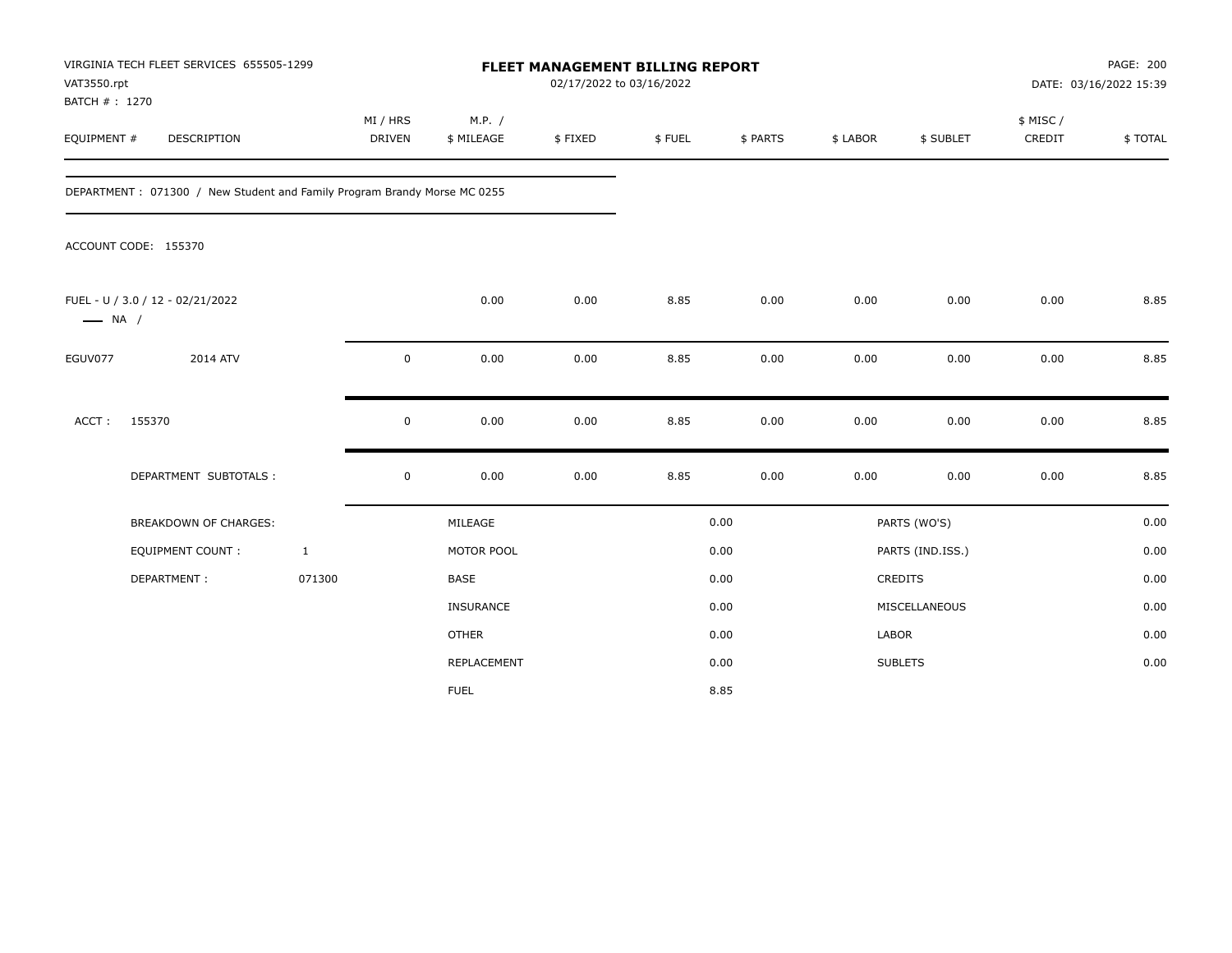| VAT3550.rpt<br>BATCH #: 1270 | VIRGINIA TECH FLEET SERVICES 655505-1299                                 |                    |                      | <b>FLEET MANAGEMENT BILLING REPORT</b><br>02/17/2022 to 03/16/2022 |        |          |          |                  |                     | PAGE: 200<br>DATE: 03/16/2022 15:39 |
|------------------------------|--------------------------------------------------------------------------|--------------------|----------------------|--------------------------------------------------------------------|--------|----------|----------|------------------|---------------------|-------------------------------------|
| EQUIPMENT #                  | DESCRIPTION                                                              | MI / HRS<br>DRIVEN | M.P. /<br>\$ MILEAGE | \$FIXED                                                            | \$FUEL | \$ PARTS | \$ LABOR | \$ SUBLET        | \$ MISC /<br>CREDIT | \$TOTAL                             |
|                              | DEPARTMENT: 071300 / New Student and Family Program Brandy Morse MC 0255 |                    |                      |                                                                    |        |          |          |                  |                     |                                     |
|                              | ACCOUNT CODE: 155370                                                     |                    |                      |                                                                    |        |          |          |                  |                     |                                     |
| $\longrightarrow$ NA /       | FUEL - U / 3.0 / 12 - 02/21/2022                                         |                    | 0.00                 | 0.00                                                               | 8.85   | 0.00     | 0.00     | 0.00             | 0.00                | 8.85                                |
| EGUV077                      | 2014 ATV                                                                 | $\mathsf 0$        | 0.00                 | 0.00                                                               | 8.85   | 0.00     | 0.00     | 0.00             | 0.00                | 8.85                                |
| ACCT:                        | 155370                                                                   | $\mathsf 0$        | 0.00                 | 0.00                                                               | 8.85   | 0.00     | 0.00     | 0.00             | 0.00                | 8.85                                |
|                              | DEPARTMENT SUBTOTALS :                                                   | $\mathsf 0$        | 0.00                 | 0.00                                                               | 8.85   | 0.00     | 0.00     | 0.00             | 0.00                | 8.85                                |
|                              | <b>BREAKDOWN OF CHARGES:</b>                                             |                    | MILEAGE              |                                                                    |        | 0.00     |          | PARTS (WO'S)     |                     | 0.00                                |
|                              | <b>EQUIPMENT COUNT:</b>                                                  | $\mathbf{1}$       | MOTOR POOL           |                                                                    |        | 0.00     |          | PARTS (IND.ISS.) |                     | 0.00                                |
|                              | DEPARTMENT:                                                              | 071300             | <b>BASE</b>          |                                                                    |        | 0.00     |          | CREDITS          |                     | 0.00                                |
|                              |                                                                          |                    | INSURANCE            |                                                                    |        | 0.00     |          | MISCELLANEOUS    |                     | 0.00                                |
|                              |                                                                          |                    | <b>OTHER</b>         |                                                                    |        | 0.00     | LABOR    |                  |                     | 0.00                                |
|                              |                                                                          |                    | <b>REPLACEMENT</b>   |                                                                    |        | 0.00     |          | <b>SUBLETS</b>   |                     | 0.00                                |
|                              |                                                                          |                    | <b>FUEL</b>          |                                                                    |        | 8.85     |          |                  |                     |                                     |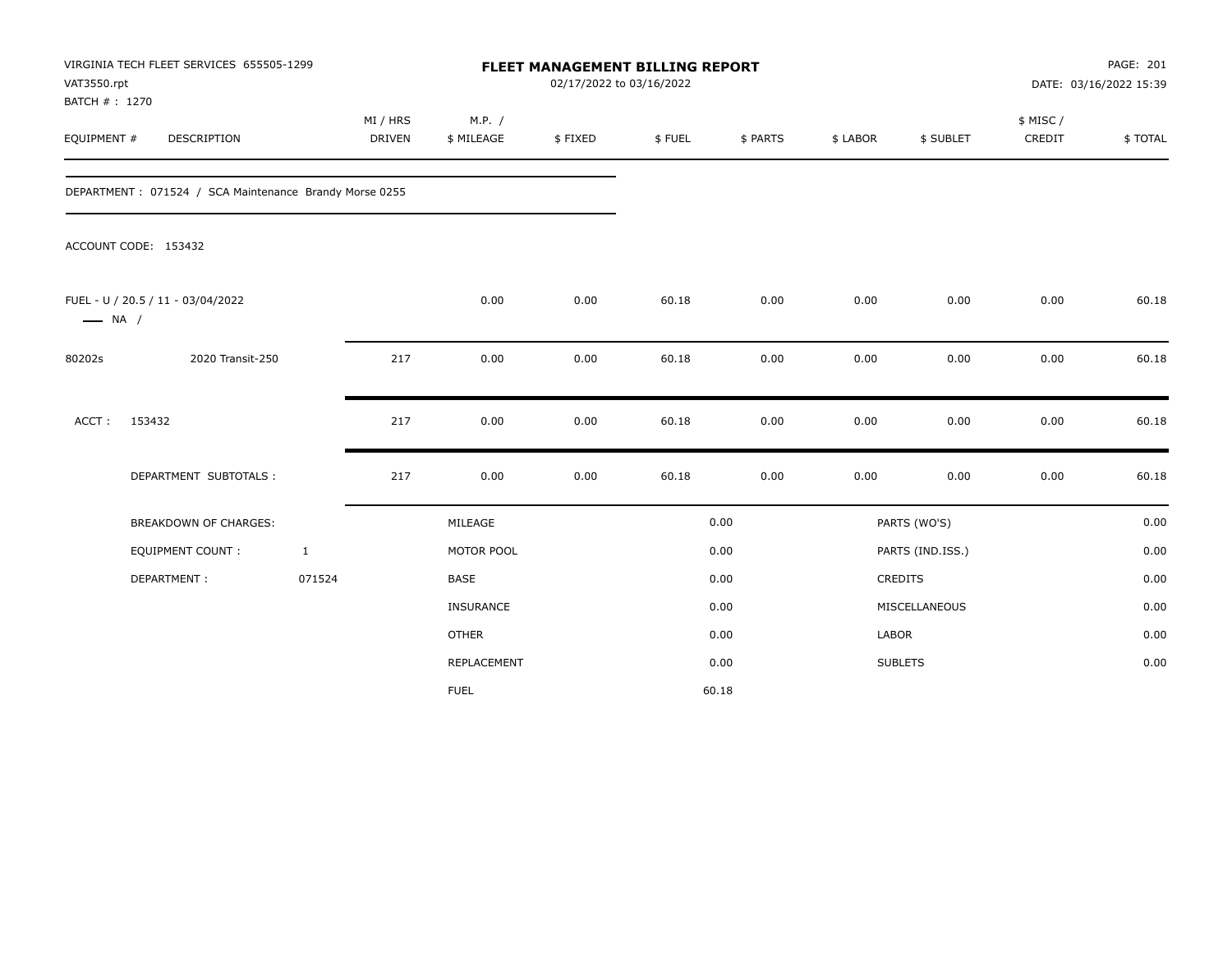| VAT3550.rpt<br>BATCH #: 1270 | VIRGINIA TECH FLEET SERVICES 655505-1299               |                           |                      | <b>FLEET MANAGEMENT BILLING REPORT</b><br>02/17/2022 to 03/16/2022 |        |          |          |                  |                     | PAGE: 201<br>DATE: 03/16/2022 15:39 |
|------------------------------|--------------------------------------------------------|---------------------------|----------------------|--------------------------------------------------------------------|--------|----------|----------|------------------|---------------------|-------------------------------------|
| EQUIPMENT #                  | DESCRIPTION                                            | MI / HRS<br><b>DRIVEN</b> | M.P. /<br>\$ MILEAGE | \$FIXED                                                            | \$FUEL | \$ PARTS | \$ LABOR | \$ SUBLET        | \$ MISC /<br>CREDIT | \$TOTAL                             |
|                              | DEPARTMENT: 071524 / SCA Maintenance Brandy Morse 0255 |                           |                      |                                                                    |        |          |          |                  |                     |                                     |
|                              | ACCOUNT CODE: 153432                                   |                           |                      |                                                                    |        |          |          |                  |                     |                                     |
| $\longrightarrow$ NA /       | FUEL - U / 20.5 / 11 - 03/04/2022                      |                           | 0.00                 | 0.00                                                               | 60.18  | 0.00     | 0.00     | 0.00             | 0.00                | 60.18                               |
| 80202s                       | 2020 Transit-250                                       | 217                       | 0.00                 | 0.00                                                               | 60.18  | 0.00     | 0.00     | 0.00             | 0.00                | 60.18                               |
| ACCT:                        | 153432                                                 | 217                       | 0.00                 | 0.00                                                               | 60.18  | 0.00     | 0.00     | 0.00             | 0.00                | 60.18                               |
|                              | DEPARTMENT SUBTOTALS :                                 | 217                       | 0.00                 | 0.00                                                               | 60.18  | 0.00     | 0.00     | 0.00             | 0.00                | 60.18                               |
|                              | <b>BREAKDOWN OF CHARGES:</b>                           |                           | MILEAGE              |                                                                    |        | 0.00     |          | PARTS (WO'S)     |                     | 0.00                                |
|                              | <b>EQUIPMENT COUNT:</b>                                | $\mathbf{1}$              | MOTOR POOL           |                                                                    |        | 0.00     |          | PARTS (IND.ISS.) |                     | 0.00                                |
|                              | DEPARTMENT:                                            | 071524                    | <b>BASE</b>          |                                                                    |        | 0.00     |          | CREDITS          |                     | 0.00                                |
|                              |                                                        |                           | INSURANCE            |                                                                    |        | 0.00     |          | MISCELLANEOUS    |                     | 0.00                                |
|                              |                                                        |                           | <b>OTHER</b>         |                                                                    |        | 0.00     | LABOR    |                  |                     | 0.00                                |
|                              |                                                        |                           | REPLACEMENT          |                                                                    |        | 0.00     |          | <b>SUBLETS</b>   |                     | 0.00                                |
|                              |                                                        |                           | <b>FUEL</b>          |                                                                    |        | 60.18    |          |                  |                     |                                     |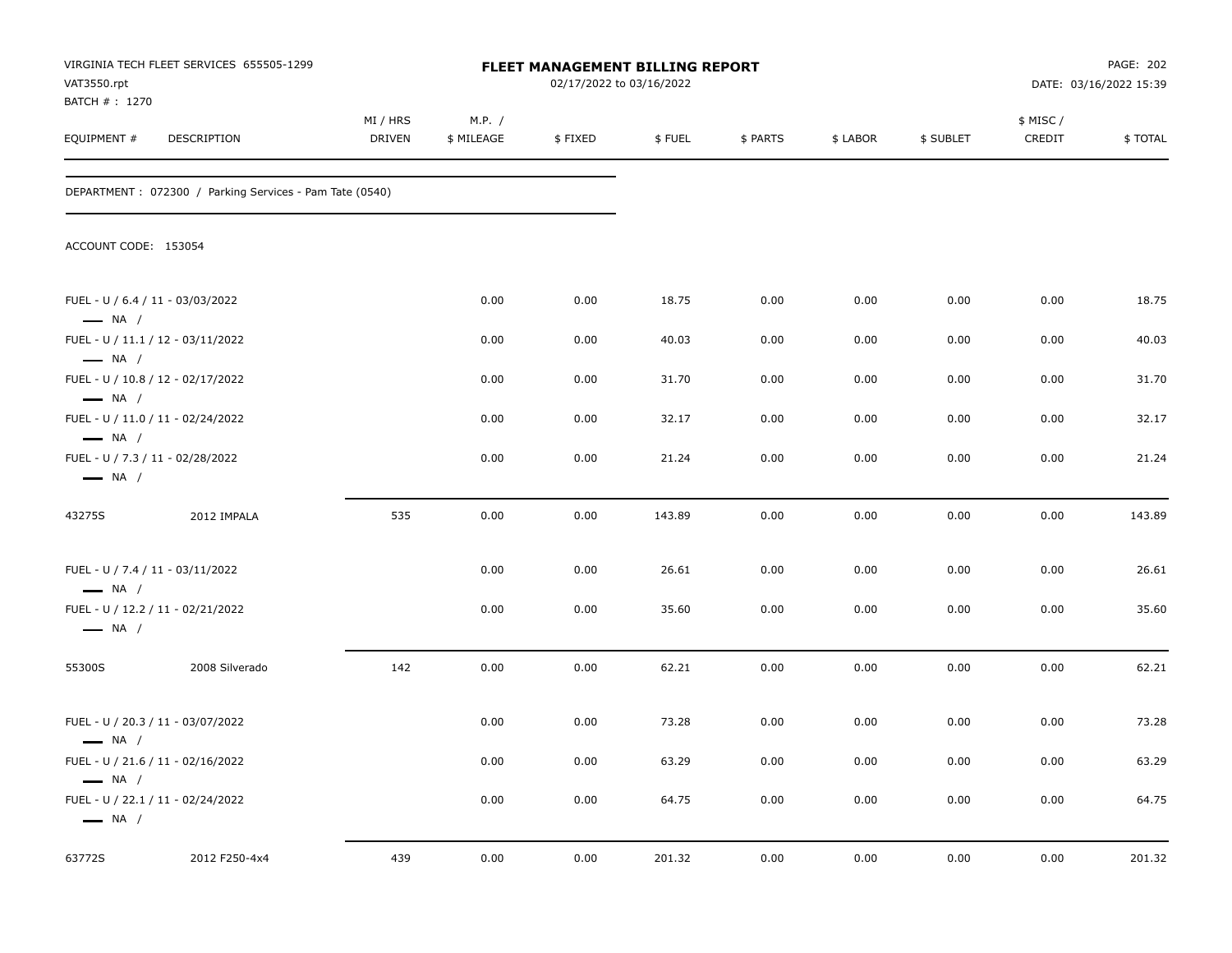| VAT3550.rpt<br>BATCH #: 1270                               | VIRGINIA TECH FLEET SERVICES 655505-1299                 |                    |                      | FLEET MANAGEMENT BILLING REPORT<br>02/17/2022 to 03/16/2022 |        |          |          |           |                     | PAGE: 202<br>DATE: 03/16/2022 15:39 |
|------------------------------------------------------------|----------------------------------------------------------|--------------------|----------------------|-------------------------------------------------------------|--------|----------|----------|-----------|---------------------|-------------------------------------|
| EQUIPMENT#                                                 | DESCRIPTION                                              | MI / HRS<br>DRIVEN | M.P. /<br>\$ MILEAGE | \$FIXED                                                     | \$FUEL | \$ PARTS | \$ LABOR | \$ SUBLET | \$ MISC /<br>CREDIT | \$TOTAL                             |
|                                                            | DEPARTMENT : 072300 / Parking Services - Pam Tate (0540) |                    |                      |                                                             |        |          |          |           |                     |                                     |
| ACCOUNT CODE: 153054                                       |                                                          |                    |                      |                                                             |        |          |          |           |                     |                                     |
| FUEL - U / 6.4 / 11 - 03/03/2022<br>$\longrightarrow$ NA / |                                                          |                    | 0.00                 | 0.00                                                        | 18.75  | 0.00     | 0.00     | 0.00      | 0.00                | 18.75                               |
| $\longrightarrow$ NA /                                     | FUEL - U / 11.1 / 12 - 03/11/2022                        |                    | 0.00                 | 0.00                                                        | 40.03  | 0.00     | 0.00     | 0.00      | 0.00                | 40.03                               |
| $\longrightarrow$ NA /                                     | FUEL - U / 10.8 / 12 - 02/17/2022                        |                    | 0.00                 | 0.00                                                        | 31.70  | 0.00     | 0.00     | 0.00      | 0.00                | 31.70                               |
| $\longrightarrow$ NA /                                     | FUEL - U / 11.0 / 11 - 02/24/2022                        |                    | 0.00                 | 0.00                                                        | 32.17  | 0.00     | 0.00     | 0.00      | 0.00                | 32.17                               |
| FUEL - U / 7.3 / 11 - 02/28/2022<br>$\longrightarrow$ NA / |                                                          |                    | 0.00                 | 0.00                                                        | 21.24  | 0.00     | 0.00     | 0.00      | 0.00                | 21.24                               |
| 43275S                                                     | 2012 IMPALA                                              | 535                | 0.00                 | 0.00                                                        | 143.89 | 0.00     | 0.00     | 0.00      | 0.00                | 143.89                              |
| FUEL - U / 7.4 / 11 - 03/11/2022<br>$\longrightarrow$ NA / |                                                          |                    | 0.00                 | 0.00                                                        | 26.61  | 0.00     | 0.00     | 0.00      | 0.00                | 26.61                               |
| $\longrightarrow$ NA /                                     | FUEL - U / 12.2 / 11 - 02/21/2022                        |                    | 0.00                 | 0.00                                                        | 35.60  | 0.00     | 0.00     | 0.00      | 0.00                | 35.60                               |
| 55300S                                                     | 2008 Silverado                                           | 142                | 0.00                 | 0.00                                                        | 62.21  | 0.00     | 0.00     | 0.00      | 0.00                | 62.21                               |
| $\longrightarrow$ NA /                                     | FUEL - U / 20.3 / 11 - 03/07/2022                        |                    | 0.00                 | 0.00                                                        | 73.28  | 0.00     | 0.00     | 0.00      | 0.00                | 73.28                               |
| $\longrightarrow$ NA /                                     | FUEL - U / 21.6 / 11 - 02/16/2022                        |                    | 0.00                 | $0.00\,$                                                    | 63.29  | $0.00\,$ | 0.00     | 0.00      | $0.00\,$            | 63.29                               |
| $\longrightarrow$ NA /                                     | FUEL - U / 22.1 / 11 - 02/24/2022                        |                    | 0.00                 | 0.00                                                        | 64.75  | 0.00     | 0.00     | 0.00      | $0.00\,$            | 64.75                               |
| 63772S                                                     | 2012 F250-4x4                                            | 439                | 0.00                 | 0.00                                                        | 201.32 | 0.00     | 0.00     | 0.00      | 0.00                | 201.32                              |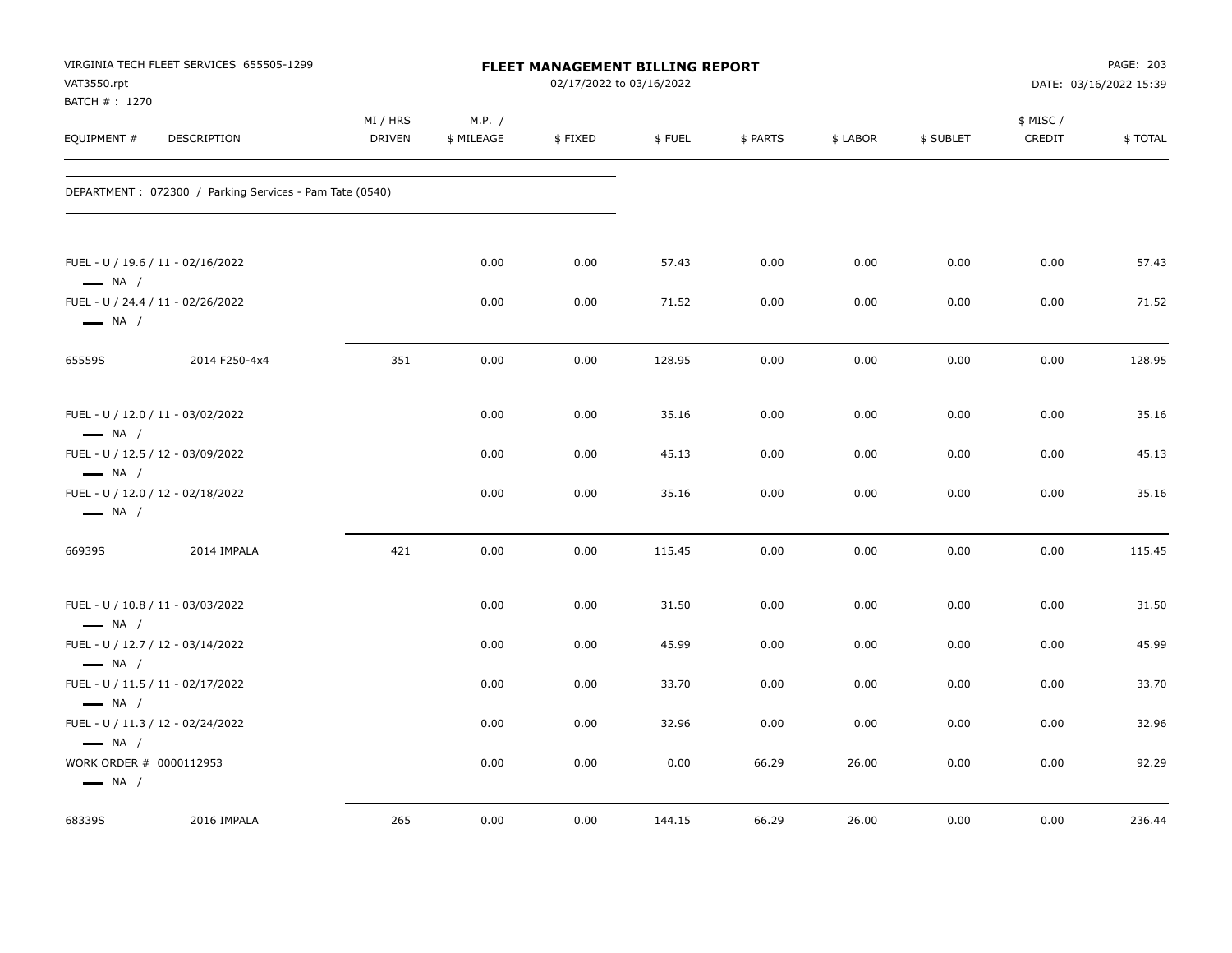| VAT3550.rpt<br>BATCH #: 1270                      | VIRGINIA TECH FLEET SERVICES 655505-1299                |                    |                      | FLEET MANAGEMENT BILLING REPORT<br>02/17/2022 to 03/16/2022 |        |          |          |           |                     | PAGE: 203<br>DATE: 03/16/2022 15:39 |
|---------------------------------------------------|---------------------------------------------------------|--------------------|----------------------|-------------------------------------------------------------|--------|----------|----------|-----------|---------------------|-------------------------------------|
| EQUIPMENT #                                       | DESCRIPTION                                             | MI / HRS<br>DRIVEN | M.P. /<br>\$ MILEAGE | \$FIXED                                                     | \$FUEL | \$ PARTS | \$ LABOR | \$ SUBLET | \$ MISC /<br>CREDIT | \$TOTAL                             |
|                                                   | DEPARTMENT: 072300 / Parking Services - Pam Tate (0540) |                    |                      |                                                             |        |          |          |           |                     |                                     |
| $\longrightarrow$ NA /                            | FUEL - U / 19.6 / 11 - 02/16/2022                       |                    | 0.00                 | 0.00                                                        | 57.43  | 0.00     | 0.00     | 0.00      | 0.00                | 57.43                               |
| $\longrightarrow$ NA /                            | FUEL - U / 24.4 / 11 - 02/26/2022                       |                    | 0.00                 | 0.00                                                        | 71.52  | 0.00     | 0.00     | 0.00      | 0.00                | 71.52                               |
| 65559S                                            | 2014 F250-4x4                                           | 351                | 0.00                 | 0.00                                                        | 128.95 | 0.00     | 0.00     | 0.00      | 0.00                | 128.95                              |
| $\longrightarrow$ NA /                            | FUEL - U / 12.0 / 11 - 03/02/2022                       |                    | 0.00                 | 0.00                                                        | 35.16  | 0.00     | 0.00     | 0.00      | 0.00                | 35.16                               |
| $\longrightarrow$ NA /                            | FUEL - U / 12.5 / 12 - 03/09/2022                       |                    | 0.00                 | 0.00                                                        | 45.13  | 0.00     | 0.00     | 0.00      | 0.00                | 45.13                               |
| $\longrightarrow$ NA /                            | FUEL - U / 12.0 / 12 - 02/18/2022                       |                    | 0.00                 | 0.00                                                        | 35.16  | 0.00     | 0.00     | 0.00      | 0.00                | 35.16                               |
| 66939S                                            | 2014 IMPALA                                             | 421                | 0.00                 | 0.00                                                        | 115.45 | 0.00     | 0.00     | 0.00      | 0.00                | 115.45                              |
| $\longrightarrow$ NA /                            | FUEL - U / 10.8 / 11 - 03/03/2022                       |                    | 0.00                 | 0.00                                                        | 31.50  | 0.00     | 0.00     | 0.00      | 0.00                | 31.50                               |
| $\longrightarrow$ NA /                            | FUEL - U / 12.7 / 12 - 03/14/2022                       |                    | 0.00                 | 0.00                                                        | 45.99  | 0.00     | 0.00     | 0.00      | 0.00                | 45.99                               |
|                                                   | FUEL - U / 11.5 / 11 - 02/17/2022                       |                    | 0.00                 | 0.00                                                        | 33.70  | 0.00     | 0.00     | 0.00      | 0.00                | 33.70                               |
| $\longrightarrow$ NA /<br>$\longrightarrow$ NA /  | FUEL - U / 11.3 / 12 - 02/24/2022                       |                    | 0.00                 | 0.00                                                        | 32.96  | 0.00     | 0.00     | 0.00      | 0.00                | 32.96                               |
| WORK ORDER # 0000112953<br>$\longrightarrow$ NA / |                                                         |                    | 0.00                 | 0.00                                                        | 0.00   | 66.29    | 26.00    | 0.00      | 0.00                | 92.29                               |
| 68339S                                            | 2016 IMPALA                                             | 265                | 0.00                 | 0.00                                                        | 144.15 | 66.29    | 26.00    | 0.00      | 0.00                | 236.44                              |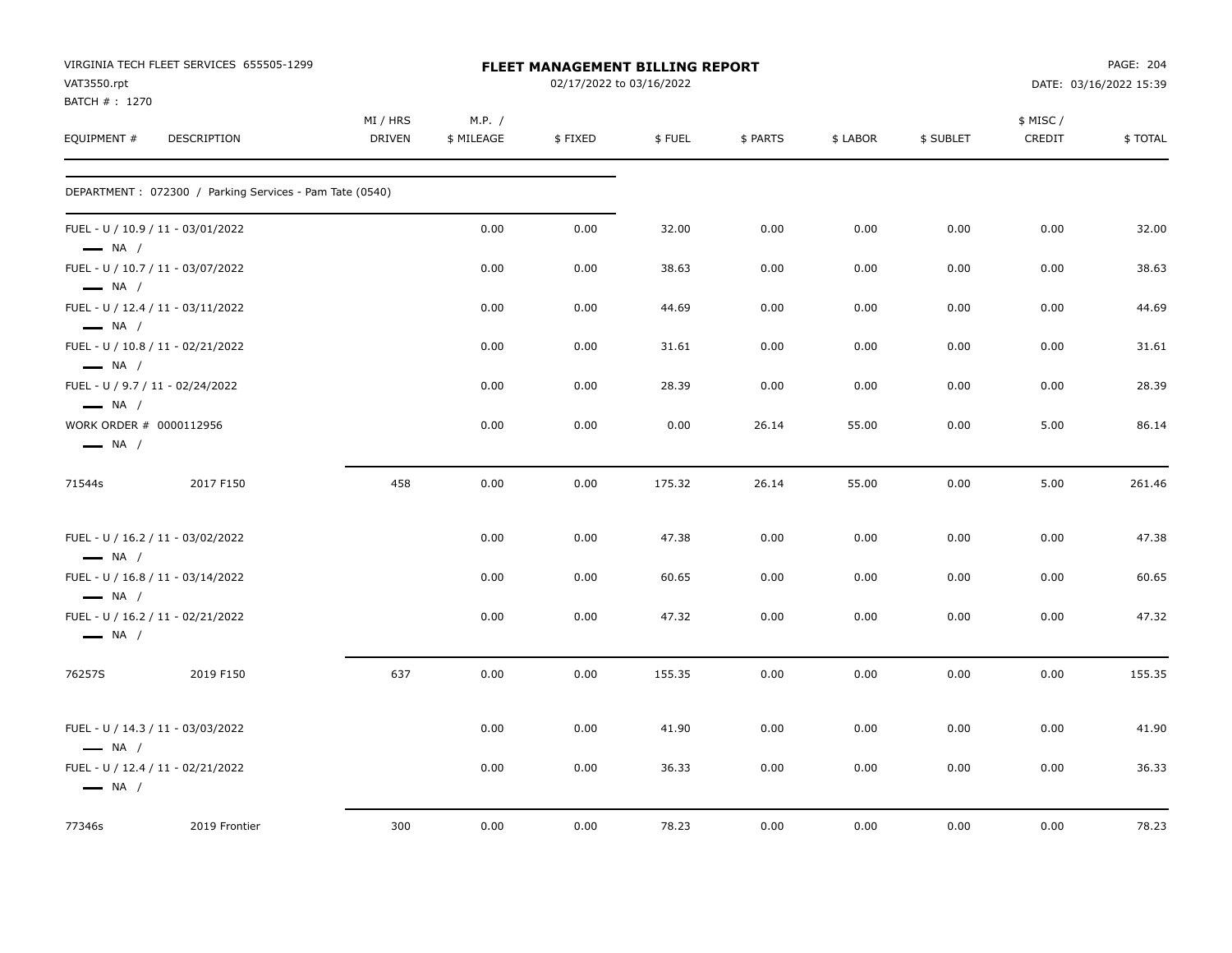|                                                   | VIRGINIA TECH FLEET SERVICES 655505-1299                |               |            | <b>FLEET MANAGEMENT BILLING REPORT</b> |        |          |          |           |           | PAGE: 204              |
|---------------------------------------------------|---------------------------------------------------------|---------------|------------|----------------------------------------|--------|----------|----------|-----------|-----------|------------------------|
| VAT3550.rpt                                       |                                                         |               |            | 02/17/2022 to 03/16/2022               |        |          |          |           |           | DATE: 03/16/2022 15:39 |
| BATCH #: 1270                                     |                                                         |               |            |                                        |        |          |          |           |           |                        |
|                                                   |                                                         | MI / HRS      | M.P. /     |                                        |        |          |          |           | \$ MISC / |                        |
| EQUIPMENT #                                       | DESCRIPTION                                             | <b>DRIVEN</b> | \$ MILEAGE | \$FIXED                                | \$FUEL | \$ PARTS | \$ LABOR | \$ SUBLET | CREDIT    | \$TOTAL                |
|                                                   | DEPARTMENT: 072300 / Parking Services - Pam Tate (0540) |               |            |                                        |        |          |          |           |           |                        |
|                                                   | FUEL - U / 10.9 / 11 - 03/01/2022                       |               | 0.00       | 0.00                                   | 32.00  | 0.00     | 0.00     | 0.00      | 0.00      | 32.00                  |
| $\longrightarrow$ NA /<br>$\longrightarrow$ NA /  | FUEL - U / 10.7 / 11 - 03/07/2022                       |               | 0.00       | 0.00                                   | 38.63  | 0.00     | 0.00     | 0.00      | 0.00      | 38.63                  |
| $\longrightarrow$ NA /                            | FUEL - U / 12.4 / 11 - 03/11/2022                       |               | 0.00       | 0.00                                   | 44.69  | 0.00     | 0.00     | 0.00      | 0.00      | 44.69                  |
| $\longrightarrow$ NA /                            | FUEL - U / 10.8 / 11 - 02/21/2022                       |               | 0.00       | 0.00                                   | 31.61  | 0.00     | 0.00     | 0.00      | 0.00      | 31.61                  |
| $\longrightarrow$ NA /                            | FUEL - U / 9.7 / 11 - 02/24/2022                        |               | 0.00       | 0.00                                   | 28.39  | 0.00     | 0.00     | 0.00      | 0.00      | 28.39                  |
| WORK ORDER # 0000112956<br>$\longrightarrow$ NA / |                                                         |               | 0.00       | 0.00                                   | 0.00   | 26.14    | 55.00    | 0.00      | 5.00      | 86.14                  |
| 71544s                                            | 2017 F150                                               | 458           | 0.00       | 0.00                                   | 175.32 | 26.14    | 55.00    | 0.00      | 5.00      | 261.46                 |
| $\longrightarrow$ NA /                            | FUEL - U / 16.2 / 11 - 03/02/2022                       |               | 0.00       | 0.00                                   | 47.38  | 0.00     | 0.00     | 0.00      | 0.00      | 47.38                  |
| $\longrightarrow$ NA /                            | FUEL - U / 16.8 / 11 - 03/14/2022                       |               | 0.00       | 0.00                                   | 60.65  | 0.00     | 0.00     | 0.00      | 0.00      | 60.65                  |
| $\longrightarrow$ NA /                            | FUEL - U / 16.2 / 11 - 02/21/2022                       |               | 0.00       | 0.00                                   | 47.32  | 0.00     | 0.00     | 0.00      | 0.00      | 47.32                  |
| 76257S                                            | 2019 F150                                               | 637           | 0.00       | 0.00                                   | 155.35 | 0.00     | 0.00     | 0.00      | 0.00      | 155.35                 |
| $\equiv$ NA /                                     | FUEL - U / 14.3 / 11 - 03/03/2022                       |               | 0.00       | 0.00                                   | 41.90  | 0.00     | 0.00     | 0.00      | 0.00      | 41.90                  |
| $\longrightarrow$ NA /                            | FUEL - U / 12.4 / 11 - 02/21/2022                       |               | 0.00       | 0.00                                   | 36.33  | 0.00     | 0.00     | 0.00      | 0.00      | 36.33                  |
| 77346s                                            | 2019 Frontier                                           | 300           | 0.00       | 0.00                                   | 78.23  | 0.00     | 0.00     | 0.00      | 0.00      | 78.23                  |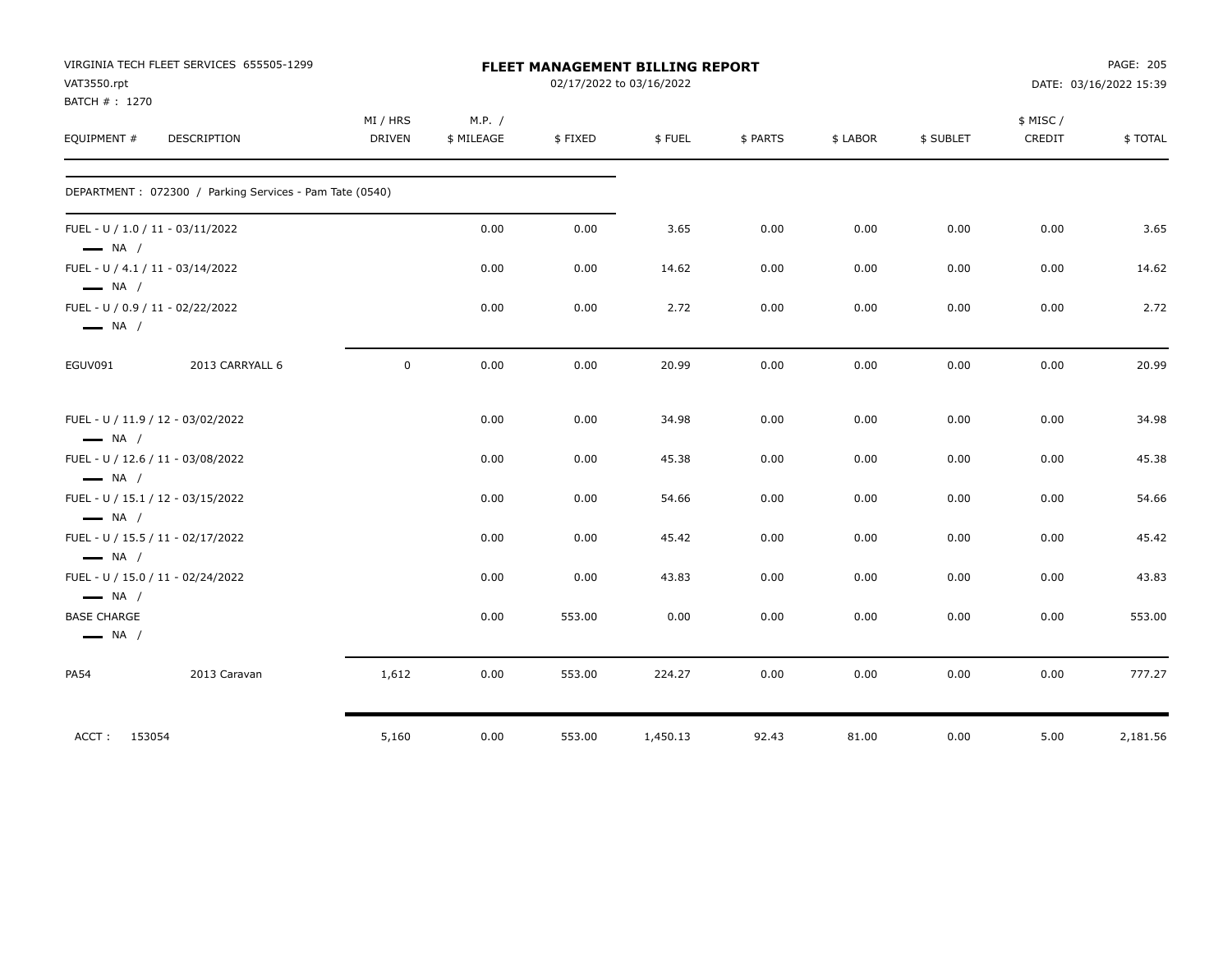|                                              | VIRGINIA TECH FLEET SERVICES 655505-1299                |                    |                      |         | FLEET MANAGEMENT BILLING REPORT |          |          |           |                    | PAGE: 205              |
|----------------------------------------------|---------------------------------------------------------|--------------------|----------------------|---------|---------------------------------|----------|----------|-----------|--------------------|------------------------|
| VAT3550.rpt                                  |                                                         |                    |                      |         | 02/17/2022 to 03/16/2022        |          |          |           |                    | DATE: 03/16/2022 15:39 |
| BATCH #: 1270<br>EQUIPMENT #                 | DESCRIPTION                                             | MI / HRS<br>DRIVEN | M.P. /<br>\$ MILEAGE | \$FIXED | \$FUEL                          | \$ PARTS | \$ LABOR | \$ SUBLET | \$ MISC/<br>CREDIT | \$TOTAL                |
|                                              | DEPARTMENT: 072300 / Parking Services - Pam Tate (0540) |                    |                      |         |                                 |          |          |           |                    |                        |
| $\longrightarrow$ NA /                       | FUEL - U / 1.0 / 11 - 03/11/2022                        |                    | 0.00                 | 0.00    | 3.65                            | 0.00     | 0.00     | 0.00      | 0.00               | 3.65                   |
| $\longrightarrow$ NA /                       | FUEL - U / 4.1 / 11 - 03/14/2022                        |                    | 0.00                 | 0.00    | 14.62                           | 0.00     | 0.00     | 0.00      | 0.00               | 14.62                  |
| $\longrightarrow$ NA /                       | FUEL - U / 0.9 / 11 - 02/22/2022                        |                    | 0.00                 | 0.00    | 2.72                            | 0.00     | 0.00     | 0.00      | 0.00               | 2.72                   |
| EGUV091                                      | 2013 CARRYALL 6                                         | $\mathsf{O}$       | 0.00                 | 0.00    | 20.99                           | 0.00     | 0.00     | 0.00      | 0.00               | 20.99                  |
| $\longrightarrow$ NA /                       | FUEL - U / 11.9 / 12 - 03/02/2022                       |                    | 0.00                 | 0.00    | 34.98                           | 0.00     | 0.00     | 0.00      | 0.00               | 34.98                  |
| $\longrightarrow$ NA /                       | FUEL - U / 12.6 / 11 - 03/08/2022                       |                    | 0.00                 | 0.00    | 45.38                           | 0.00     | 0.00     | 0.00      | 0.00               | 45.38                  |
| $\longrightarrow$ NA /                       | FUEL - U / 15.1 / 12 - 03/15/2022                       |                    | 0.00                 | 0.00    | 54.66                           | 0.00     | 0.00     | 0.00      | 0.00               | 54.66                  |
| $\longrightarrow$ NA /                       | FUEL - U / 15.5 / 11 - 02/17/2022                       |                    | 0.00                 | 0.00    | 45.42                           | 0.00     | 0.00     | 0.00      | 0.00               | 45.42                  |
| $\longrightarrow$ NA /                       | FUEL - U / 15.0 / 11 - 02/24/2022                       |                    | 0.00                 | 0.00    | 43.83                           | 0.00     | 0.00     | 0.00      | 0.00               | 43.83                  |
| <b>BASE CHARGE</b><br>$\longrightarrow$ NA / |                                                         |                    | 0.00                 | 553.00  | 0.00                            | 0.00     | 0.00     | 0.00      | 0.00               | 553.00                 |
| <b>PA54</b>                                  | 2013 Caravan                                            | 1,612              | 0.00                 | 553.00  | 224.27                          | 0.00     | 0.00     | 0.00      | 0.00               | 777.27                 |
| ACCT: 153054                                 |                                                         | 5,160              | 0.00                 | 553.00  | 1,450.13                        | 92.43    | 81.00    | 0.00      | 5.00               | 2,181.56               |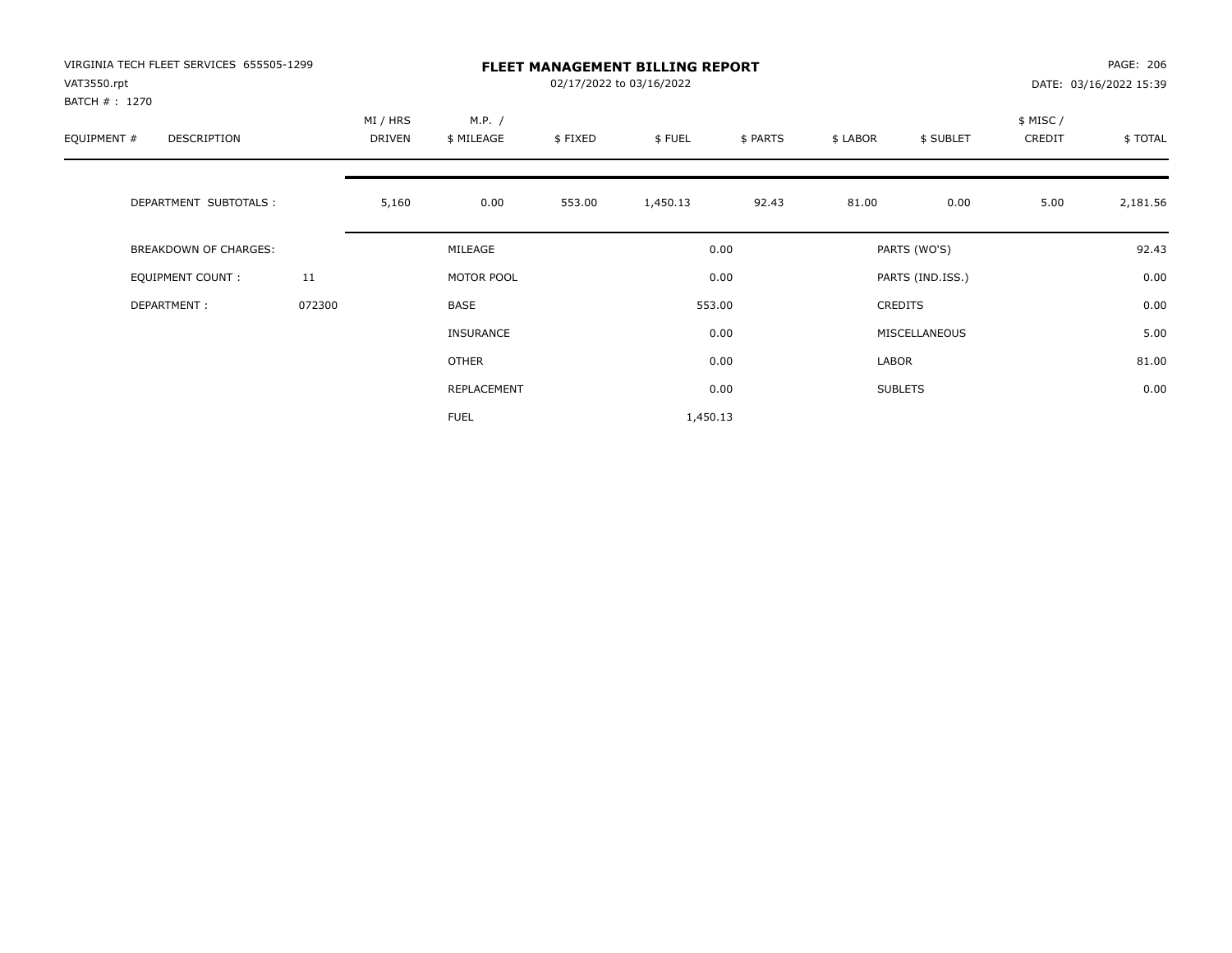| VIRGINIA TECH FLEET SERVICES 655505-1299<br>VAT3550.rpt<br>BATCH # : 1270 |        |                    |                      |         | <b>FLEET MANAGEMENT BILLING REPORT</b><br>02/17/2022 to 03/16/2022 |          |          |                  |                     | PAGE: 206<br>DATE: 03/16/2022 15:39 |
|---------------------------------------------------------------------------|--------|--------------------|----------------------|---------|--------------------------------------------------------------------|----------|----------|------------------|---------------------|-------------------------------------|
| EQUIPMENT #<br><b>DESCRIPTION</b>                                         |        | MI / HRS<br>DRIVEN | M.P. /<br>\$ MILEAGE | \$FIXED | \$FUEL                                                             | \$ PARTS | \$ LABOR | \$ SUBLET        | \$ MISC /<br>CREDIT | \$TOTAL                             |
| DEPARTMENT SUBTOTALS :                                                    |        | 5,160              | 0.00                 | 553.00  | 1,450.13                                                           | 92.43    | 81.00    | 0.00             | 5.00                | 2,181.56                            |
| <b>BREAKDOWN OF CHARGES:</b>                                              |        |                    | MILEAGE              |         |                                                                    | 0.00     |          | PARTS (WO'S)     |                     | 92.43                               |
| EQUIPMENT COUNT:                                                          | 11     |                    | MOTOR POOL           |         |                                                                    | 0.00     |          | PARTS (IND.ISS.) |                     | 0.00                                |
| DEPARTMENT:                                                               | 072300 |                    | <b>BASE</b>          |         |                                                                    | 553.00   |          | <b>CREDITS</b>   |                     | 0.00                                |
|                                                                           |        |                    | <b>INSURANCE</b>     |         |                                                                    | 0.00     |          | MISCELLANEOUS    |                     | 5.00                                |
|                                                                           |        |                    | OTHER                |         |                                                                    | 0.00     | LABOR    |                  |                     | 81.00                               |
|                                                                           |        |                    | REPLACEMENT          |         |                                                                    | 0.00     |          | <b>SUBLETS</b>   |                     | 0.00                                |
|                                                                           |        |                    | <b>FUEL</b>          |         | 1,450.13                                                           |          |          |                  |                     |                                     |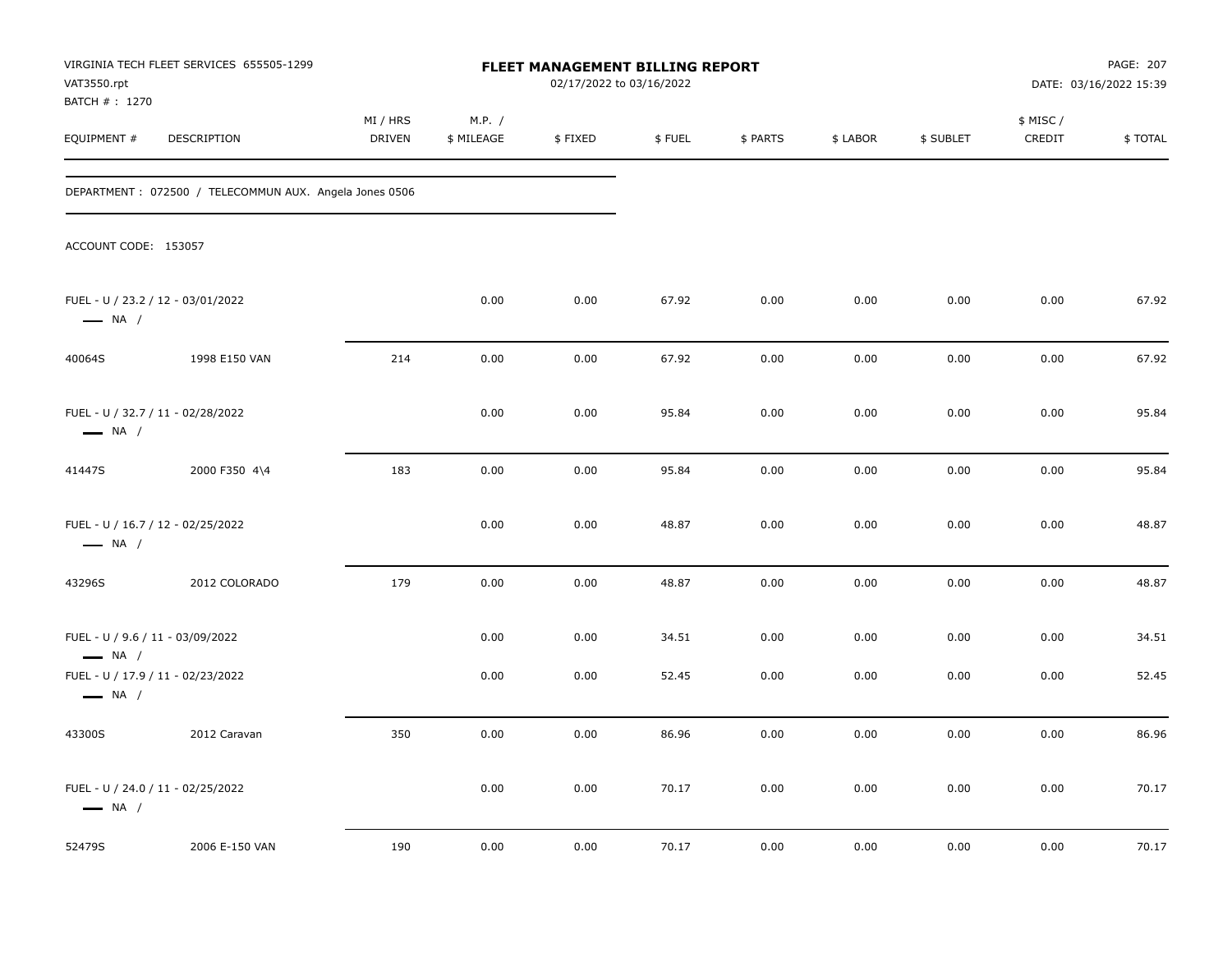| VIRGINIA TECH FLEET SERVICES 655505-1299<br>FLEET MANAGEMENT BILLING REPORT<br>VAT3550.rpt<br>02/17/2022 to 03/16/2022<br>BATCH # : 1270 |                                                        |                           |                      |              |                | PAGE: 207<br>DATE: 03/16/2022 15:39 |              |              |                     |                |
|------------------------------------------------------------------------------------------------------------------------------------------|--------------------------------------------------------|---------------------------|----------------------|--------------|----------------|-------------------------------------|--------------|--------------|---------------------|----------------|
| EQUIPMENT #                                                                                                                              | DESCRIPTION                                            | MI / HRS<br><b>DRIVEN</b> | M.P. /<br>\$ MILEAGE | \$FIXED      | \$FUEL         | \$ PARTS                            | \$ LABOR     | \$ SUBLET    | \$ MISC /<br>CREDIT | \$TOTAL        |
|                                                                                                                                          | DEPARTMENT: 072500 / TELECOMMUN AUX. Angela Jones 0506 |                           |                      |              |                |                                     |              |              |                     |                |
| ACCOUNT CODE: 153057                                                                                                                     |                                                        |                           |                      |              |                |                                     |              |              |                     |                |
| $\longrightarrow$ NA /                                                                                                                   | FUEL - U / 23.2 / 12 - 03/01/2022                      |                           | 0.00                 | 0.00         | 67.92          | 0.00                                | 0.00         | 0.00         | 0.00                | 67.92          |
| 40064S                                                                                                                                   | 1998 E150 VAN                                          | 214                       | 0.00                 | 0.00         | 67.92          | 0.00                                | 0.00         | 0.00         | 0.00                | 67.92          |
| $\longrightarrow$ NA /                                                                                                                   | FUEL - U / 32.7 / 11 - 02/28/2022                      |                           | 0.00                 | 0.00         | 95.84          | 0.00                                | 0.00         | 0.00         | 0.00                | 95.84          |
| 41447S                                                                                                                                   | 2000 F350 4\4                                          | 183                       | 0.00                 | 0.00         | 95.84          | 0.00                                | 0.00         | 0.00         | 0.00                | 95.84          |
| $\longrightarrow$ NA /                                                                                                                   | FUEL - U / 16.7 / 12 - 02/25/2022                      |                           | 0.00                 | 0.00         | 48.87          | 0.00                                | 0.00         | 0.00         | 0.00                | 48.87          |
| 43296S                                                                                                                                   | 2012 COLORADO                                          | 179                       | 0.00                 | 0.00         | 48.87          | 0.00                                | 0.00         | 0.00         | 0.00                | 48.87          |
| FUEL - U / 9.6 / 11 - 03/09/2022<br>$\longrightarrow$ NA /                                                                               | FUEL - U / 17.9 / 11 - 02/23/2022                      |                           | 0.00<br>0.00         | 0.00<br>0.00 | 34.51<br>52.45 | 0.00<br>0.00                        | 0.00<br>0.00 | 0.00<br>0.00 | 0.00<br>0.00        | 34.51<br>52.45 |
| $\longrightarrow$ NA /                                                                                                                   |                                                        | 350                       | 0.00                 | 0.00         | 86.96          | 0.00                                | 0.00         | 0.00         | 0.00                | 86.96          |
| 43300S                                                                                                                                   | 2012 Caravan                                           |                           |                      |              |                |                                     |              |              |                     |                |
| $\longrightarrow$ NA /                                                                                                                   | FUEL - U / 24.0 / 11 - 02/25/2022                      |                           | 0.00                 | 0.00         | 70.17          | 0.00                                | 0.00         | 0.00         | 0.00                | 70.17          |
| 52479S                                                                                                                                   | 2006 E-150 VAN                                         | 190                       | 0.00                 | 0.00         | 70.17          | 0.00                                | 0.00         | 0.00         | 0.00                | 70.17          |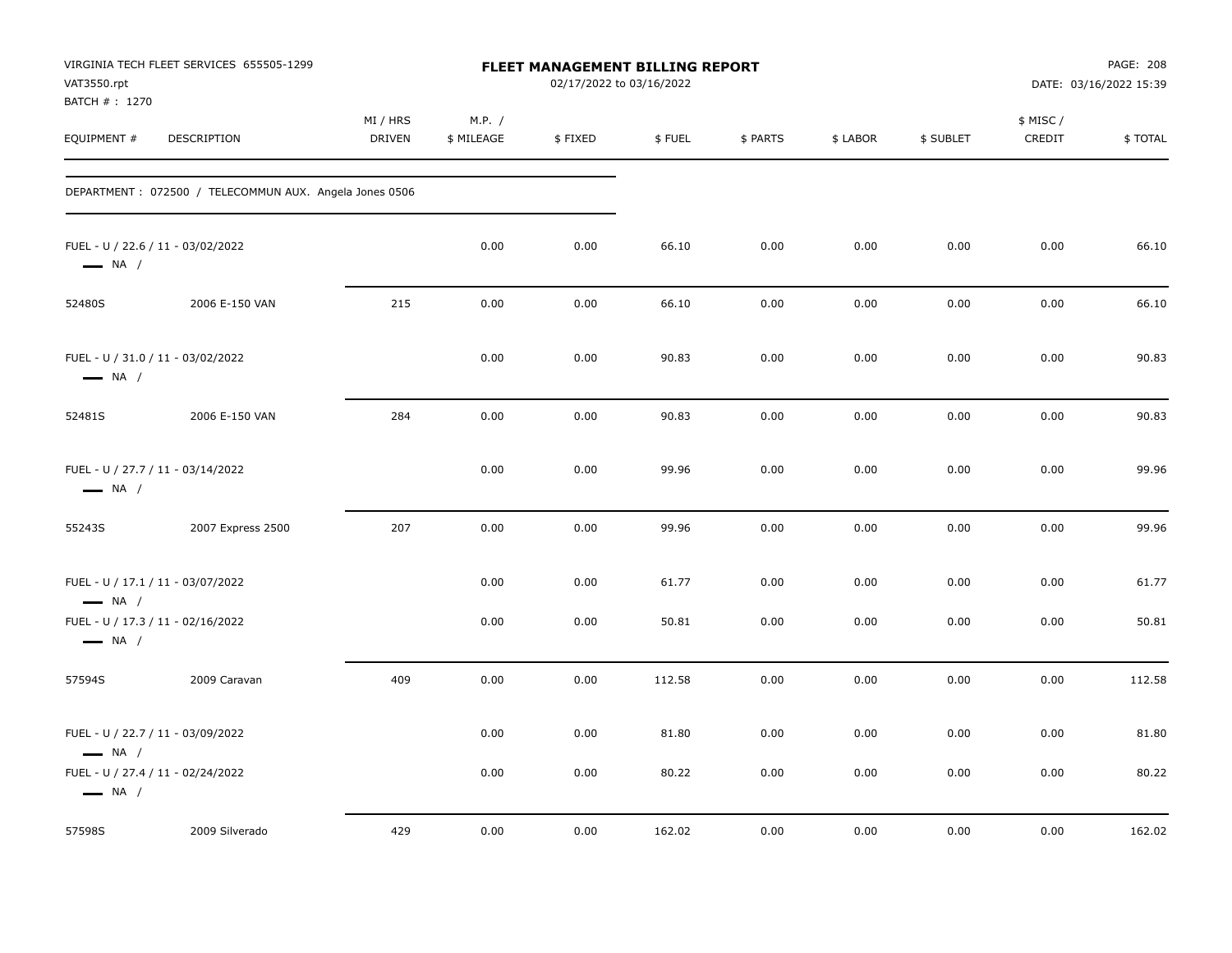| VAT3550.rpt<br>BATCH # : 1270 | VIRGINIA TECH FLEET SERVICES 655505-1299               |                           |                      | <b>FLEET MANAGEMENT BILLING REPORT</b><br>02/17/2022 to 03/16/2022 |        |          |          |           |                     | PAGE: 208<br>DATE: 03/16/2022 15:39 |
|-------------------------------|--------------------------------------------------------|---------------------------|----------------------|--------------------------------------------------------------------|--------|----------|----------|-----------|---------------------|-------------------------------------|
| EQUIPMENT #                   | <b>DESCRIPTION</b>                                     | MI / HRS<br><b>DRIVEN</b> | M.P. /<br>\$ MILEAGE | \$FIXED                                                            | \$FUEL | \$ PARTS | \$ LABOR | \$ SUBLET | \$ MISC /<br>CREDIT | \$TOTAL                             |
|                               | DEPARTMENT: 072500 / TELECOMMUN AUX. Angela Jones 0506 |                           |                      |                                                                    |        |          |          |           |                     |                                     |
| $\longrightarrow$ NA /        | FUEL - U / 22.6 / 11 - 03/02/2022                      |                           | 0.00                 | 0.00                                                               | 66.10  | 0.00     | 0.00     | 0.00      | 0.00                | 66.10                               |
| 52480S                        | 2006 E-150 VAN                                         | 215                       | 0.00                 | 0.00                                                               | 66.10  | 0.00     | 0.00     | 0.00      | 0.00                | 66.10                               |
| $\longrightarrow$ NA /        | FUEL - U / 31.0 / 11 - 03/02/2022                      |                           | 0.00                 | 0.00                                                               | 90.83  | 0.00     | 0.00     | 0.00      | 0.00                | 90.83                               |
| 52481S                        | 2006 E-150 VAN                                         | 284                       | 0.00                 | 0.00                                                               | 90.83  | 0.00     | 0.00     | 0.00      | 0.00                | 90.83                               |
| $\longrightarrow$ NA /        | FUEL - U / 27.7 / 11 - 03/14/2022                      |                           | 0.00                 | 0.00                                                               | 99.96  | 0.00     | 0.00     | 0.00      | 0.00                | 99.96                               |
| 55243S                        | 2007 Express 2500                                      | 207                       | 0.00                 | 0.00                                                               | 99.96  | 0.00     | 0.00     | 0.00      | 0.00                | 99.96                               |
| $\longrightarrow$ NA /        | FUEL - U / 17.1 / 11 - 03/07/2022                      |                           | 0.00                 | 0.00                                                               | 61.77  | 0.00     | 0.00     | 0.00      | 0.00                | 61.77                               |
| $\longrightarrow$ NA /        | FUEL - U / 17.3 / 11 - 02/16/2022                      |                           | 0.00                 | 0.00                                                               | 50.81  | 0.00     | 0.00     | 0.00      | 0.00                | 50.81                               |
| 57594S                        | 2009 Caravan                                           | 409                       | 0.00                 | 0.00                                                               | 112.58 | 0.00     | 0.00     | 0.00      | 0.00                | 112.58                              |
| $\longrightarrow$ NA /        | FUEL - U / 22.7 / 11 - 03/09/2022                      |                           | 0.00                 | 0.00                                                               | 81.80  | 0.00     | 0.00     | 0.00      | 0.00                | 81.80                               |
| $\longrightarrow$ NA /        | FUEL - U / 27.4 / 11 - 02/24/2022                      |                           | 0.00                 | 0.00                                                               | 80.22  | 0.00     | 0.00     | 0.00      | 0.00                | 80.22                               |
| 57598S                        | 2009 Silverado                                         | 429                       | 0.00                 | 0.00                                                               | 162.02 | 0.00     | 0.00     | 0.00      | 0.00                | 162.02                              |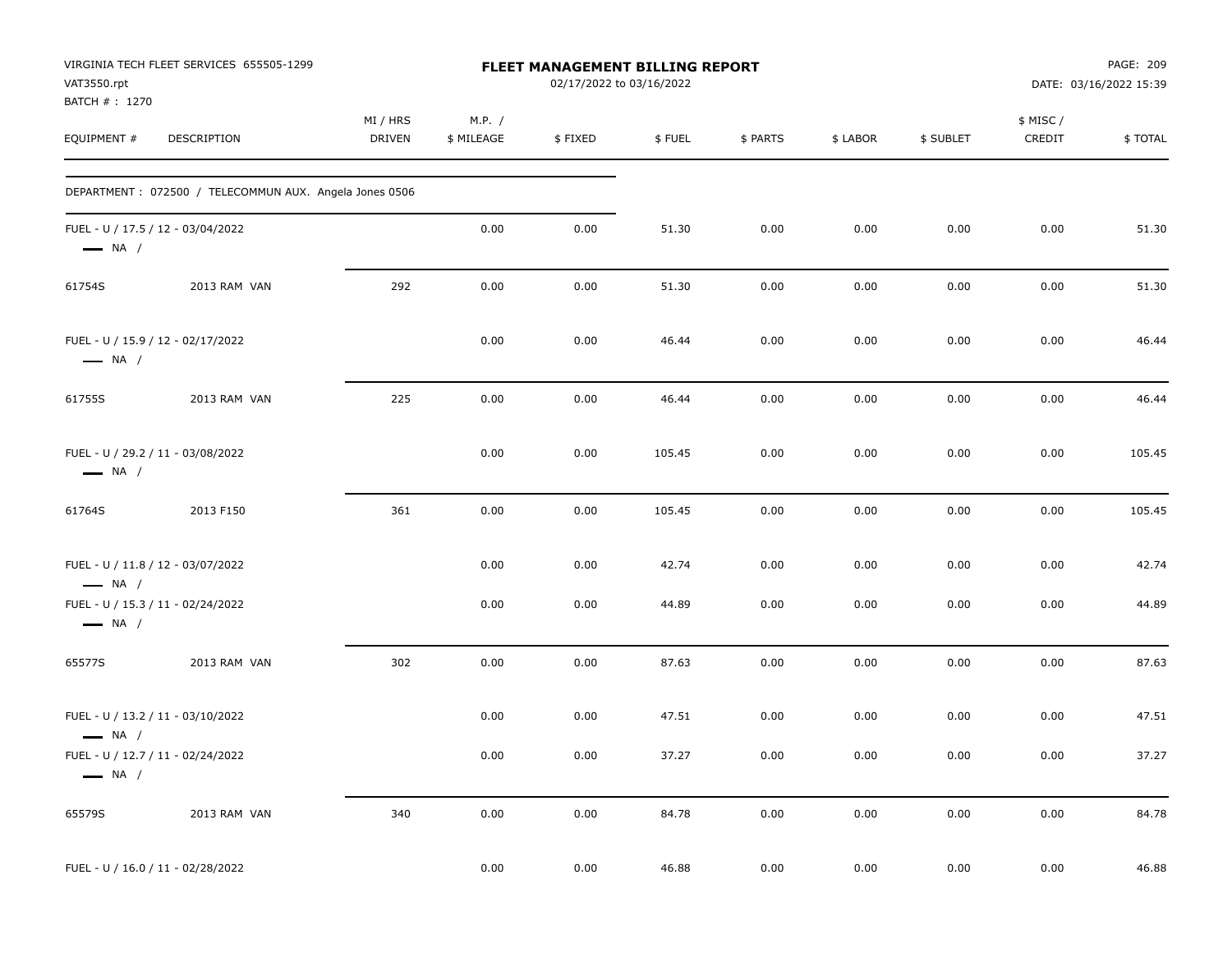| VAT3550.rpt<br>BATCH #: 1270                                | VIRGINIA TECH FLEET SERVICES 655505-1299               |                    |                      | FLEET MANAGEMENT BILLING REPORT<br>02/17/2022 to 03/16/2022 |        |          |          |           |                     | PAGE: 209<br>DATE: 03/16/2022 15:39 |
|-------------------------------------------------------------|--------------------------------------------------------|--------------------|----------------------|-------------------------------------------------------------|--------|----------|----------|-----------|---------------------|-------------------------------------|
| EQUIPMENT #                                                 | DESCRIPTION                                            | MI / HRS<br>DRIVEN | M.P. /<br>\$ MILEAGE | \$FIXED                                                     | \$FUEL | \$ PARTS | \$ LABOR | \$ SUBLET | \$ MISC /<br>CREDIT | \$TOTAL                             |
|                                                             | DEPARTMENT: 072500 / TELECOMMUN AUX. Angela Jones 0506 |                    |                      |                                                             |        |          |          |           |                     |                                     |
| FUEL - U / 17.5 / 12 - 03/04/2022<br>$\longrightarrow$ NA / |                                                        |                    | 0.00                 | 0.00                                                        | 51.30  | 0.00     | 0.00     | 0.00      | 0.00                | 51.30                               |
| 61754S                                                      | 2013 RAM VAN                                           | 292                | 0.00                 | 0.00                                                        | 51.30  | 0.00     | 0.00     | 0.00      | 0.00                | 51.30                               |
| FUEL - U / 15.9 / 12 - 02/17/2022<br>$\longrightarrow$ NA / |                                                        |                    | 0.00                 | 0.00                                                        | 46.44  | 0.00     | 0.00     | 0.00      | 0.00                | 46.44                               |
| 61755S                                                      | 2013 RAM VAN                                           | 225                | 0.00                 | 0.00                                                        | 46.44  | 0.00     | 0.00     | 0.00      | 0.00                | 46.44                               |
| FUEL - U / 29.2 / 11 - 03/08/2022<br>$\longrightarrow$ NA / |                                                        |                    | 0.00                 | 0.00                                                        | 105.45 | 0.00     | 0.00     | 0.00      | 0.00                | 105.45                              |
| 61764S                                                      | 2013 F150                                              | 361                | 0.00                 | 0.00                                                        | 105.45 | 0.00     | 0.00     | 0.00      | 0.00                | 105.45                              |
| FUEL - U / 11.8 / 12 - 03/07/2022<br>$\longrightarrow$ NA / |                                                        |                    | 0.00                 | 0.00                                                        | 42.74  | 0.00     | 0.00     | 0.00      | 0.00                | 42.74                               |
| FUEL - U / 15.3 / 11 - 02/24/2022<br>$\longrightarrow$ NA / |                                                        |                    | 0.00                 | 0.00                                                        | 44.89  | 0.00     | 0.00     | 0.00      | 0.00                | 44.89                               |
| 65577S                                                      | 2013 RAM VAN                                           | 302                | 0.00                 | 0.00                                                        | 87.63  | 0.00     | 0.00     | 0.00      | 0.00                | 87.63                               |
| FUEL - U / 13.2 / 11 - 03/10/2022<br>$\longrightarrow$ NA / |                                                        |                    | 0.00                 | 0.00                                                        | 47.51  | 0.00     | 0.00     | 0.00      | 0.00                | 47.51                               |
| FUEL - U / 12.7 / 11 - 02/24/2022<br>$\longrightarrow$ NA / |                                                        |                    | 0.00                 | 0.00                                                        | 37.27  | $0.00\,$ | 0.00     | 0.00      | 0.00                | 37.27                               |
| 65579S                                                      | 2013 RAM VAN                                           | 340                | $0.00\,$             | 0.00                                                        | 84.78  | 0.00     | 0.00     | 0.00      | 0.00                | 84.78                               |
| FUEL - U / 16.0 / 11 - 02/28/2022                           |                                                        |                    | 0.00                 | 0.00                                                        | 46.88  | 0.00     | 0.00     | 0.00      | 0.00                | 46.88                               |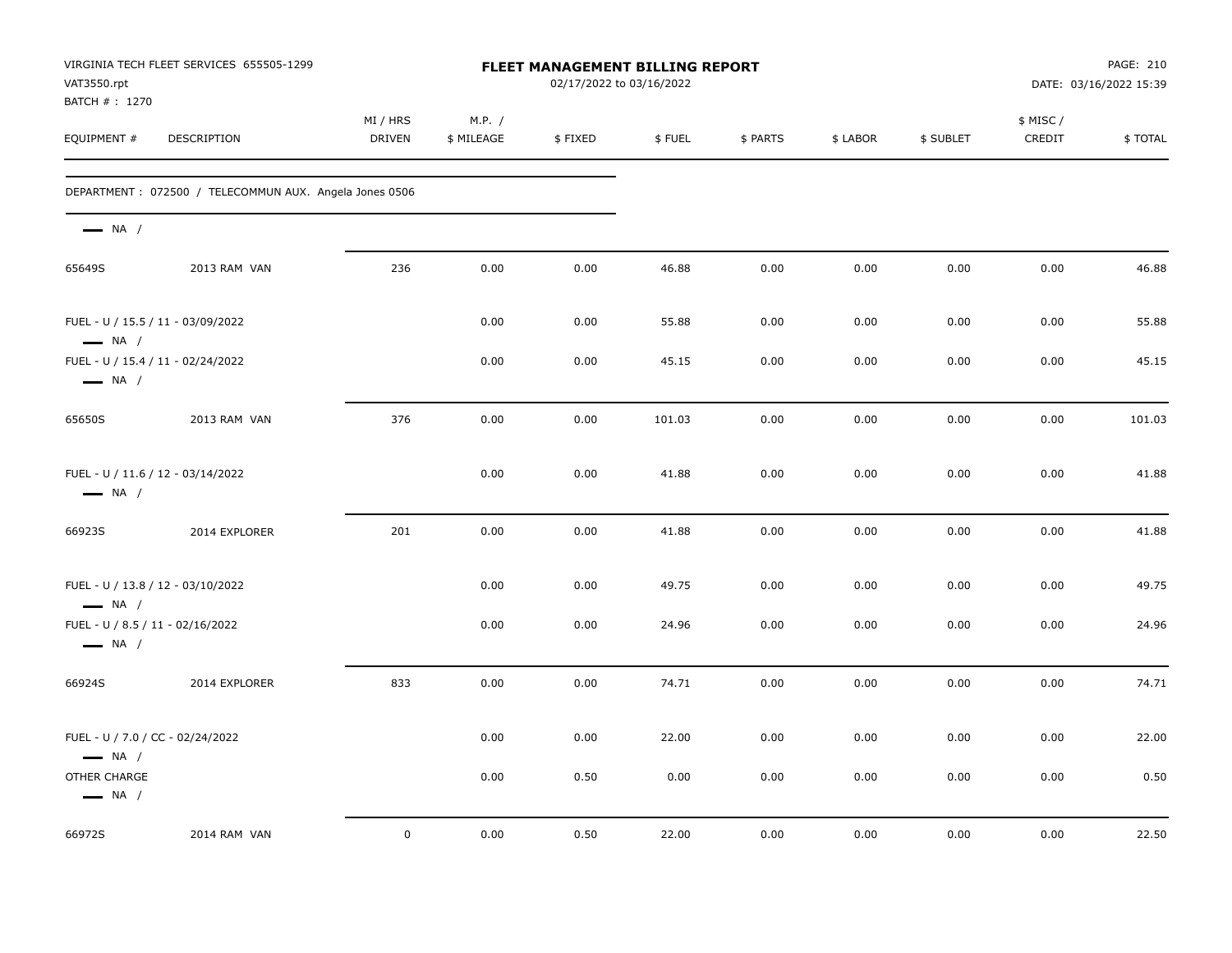| VAT3550.rpt<br>BATCH # : 1270          | VIRGINIA TECH FLEET SERVICES 655505-1299                |                    |                      | FLEET MANAGEMENT BILLING REPORT<br>02/17/2022 to 03/16/2022 |        |          |          |           |                    | PAGE: 210<br>DATE: 03/16/2022 15:39 |
|----------------------------------------|---------------------------------------------------------|--------------------|----------------------|-------------------------------------------------------------|--------|----------|----------|-----------|--------------------|-------------------------------------|
| EQUIPMENT #                            | DESCRIPTION                                             | MI / HRS<br>DRIVEN | M.P. /<br>\$ MILEAGE | \$FIXED                                                     | \$FUEL | \$ PARTS | \$ LABOR | \$ SUBLET | \$ MISC/<br>CREDIT | \$TOTAL                             |
|                                        | DEPARTMENT : 072500 / TELECOMMUN AUX. Angela Jones 0506 |                    |                      |                                                             |        |          |          |           |                    |                                     |
| $\longrightarrow$ NA /                 |                                                         |                    |                      |                                                             |        |          |          |           |                    |                                     |
| 65649S                                 | 2013 RAM VAN                                            | 236                | 0.00                 | 0.00                                                        | 46.88  | 0.00     | 0.00     | 0.00      | 0.00               | 46.88                               |
| $\longrightarrow$ NA /                 | FUEL - U / 15.5 / 11 - 03/09/2022                       |                    | 0.00                 | 0.00                                                        | 55.88  | 0.00     | 0.00     | 0.00      | 0.00               | 55.88                               |
| $\longrightarrow$ NA /                 | FUEL - U / 15.4 / 11 - 02/24/2022                       |                    | 0.00                 | 0.00                                                        | 45.15  | 0.00     | 0.00     | 0.00      | 0.00               | 45.15                               |
| 65650S                                 | 2013 RAM VAN                                            | 376                | 0.00                 | 0.00                                                        | 101.03 | 0.00     | 0.00     | 0.00      | 0.00               | 101.03                              |
| $\longrightarrow$ NA /                 | FUEL - U / 11.6 / 12 - 03/14/2022                       |                    | 0.00                 | 0.00                                                        | 41.88  | 0.00     | 0.00     | 0.00      | 0.00               | 41.88                               |
| 66923S                                 | 2014 EXPLORER                                           | 201                | 0.00                 | 0.00                                                        | 41.88  | 0.00     | 0.00     | 0.00      | 0.00               | 41.88                               |
| $\longrightarrow$ NA /                 | FUEL - U / 13.8 / 12 - 03/10/2022                       |                    | 0.00                 | 0.00                                                        | 49.75  | 0.00     | 0.00     | 0.00      | 0.00               | 49.75                               |
| $\longrightarrow$ NA /                 | FUEL - U / 8.5 / 11 - 02/16/2022                        |                    | 0.00                 | 0.00                                                        | 24.96  | 0.00     | 0.00     | 0.00      | 0.00               | 24.96                               |
| 66924S                                 | 2014 EXPLORER                                           | 833                | 0.00                 | 0.00                                                        | 74.71  | 0.00     | 0.00     | 0.00      | 0.00               | 74.71                               |
| $\longrightarrow$ NA /                 | FUEL - U / 7.0 / CC - 02/24/2022                        |                    | 0.00                 | 0.00                                                        | 22.00  | 0.00     | 0.00     | 0.00      | 0.00               | 22.00                               |
| OTHER CHARGE<br>$\longrightarrow$ NA / |                                                         |                    | 0.00                 | 0.50                                                        | 0.00   | 0.00     | 0.00     | 0.00      | 0.00               | 0.50                                |
| 66972S                                 | 2014 RAM VAN                                            | $\mathbf 0$        | 0.00                 | 0.50                                                        | 22.00  | 0.00     | 0.00     | 0.00      | 0.00               | 22.50                               |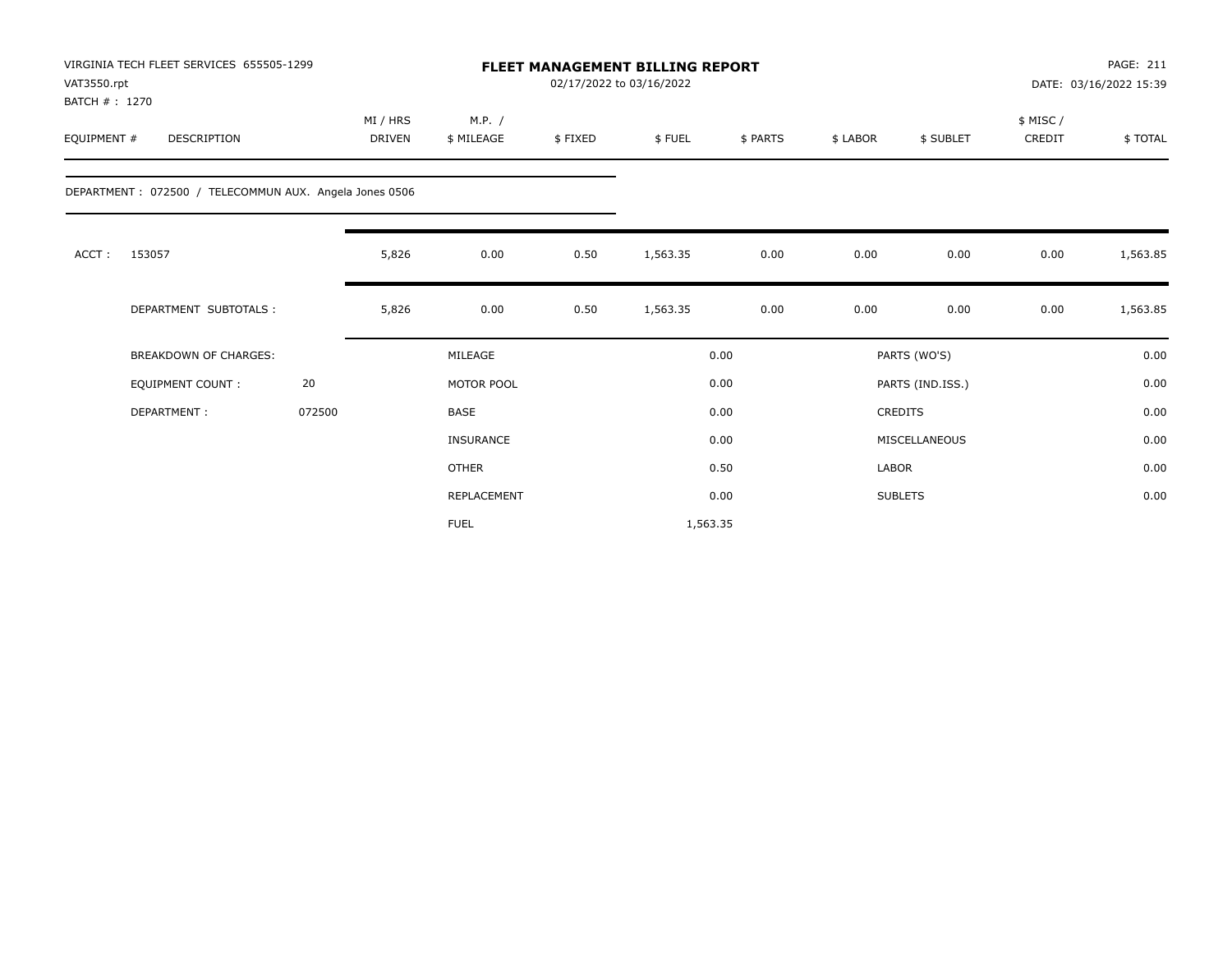| VAT3550.rpt<br>BATCH #: 1270 | VIRGINIA TECH FLEET SERVICES 655505-1299               |        |                           |                      |         | <b>FLEET MANAGEMENT BILLING REPORT</b><br>02/17/2022 to 03/16/2022 |          |          |                  | PAGE: 211<br>DATE: 03/16/2022 15:39 |          |  |  |
|------------------------------|--------------------------------------------------------|--------|---------------------------|----------------------|---------|--------------------------------------------------------------------|----------|----------|------------------|-------------------------------------|----------|--|--|
| EQUIPMENT #                  | <b>DESCRIPTION</b>                                     |        | MI / HRS<br><b>DRIVEN</b> | M.P. /<br>\$ MILEAGE | \$FIXED | \$FUEL                                                             | \$ PARTS | \$ LABOR | \$ SUBLET        | \$ MISC /<br>CREDIT                 | \$TOTAL  |  |  |
|                              | DEPARTMENT: 072500 / TELECOMMUN AUX. Angela Jones 0506 |        |                           |                      |         |                                                                    |          |          |                  |                                     |          |  |  |
| ACCT:                        | 153057                                                 |        | 5,826                     | 0.00                 | 0.50    | 1,563.35                                                           | 0.00     | 0.00     | 0.00             | 0.00                                | 1,563.85 |  |  |
|                              | DEPARTMENT SUBTOTALS :                                 |        | 5,826                     | 0.00                 | 0.50    | 1,563.35                                                           | 0.00     | 0.00     | 0.00             | 0.00                                | 1,563.85 |  |  |
|                              | <b>BREAKDOWN OF CHARGES:</b>                           |        |                           | MILEAGE              |         |                                                                    | 0.00     |          | PARTS (WO'S)     |                                     | 0.00     |  |  |
|                              | <b>EQUIPMENT COUNT:</b>                                | 20     |                           | MOTOR POOL           |         |                                                                    | 0.00     |          | PARTS (IND.ISS.) |                                     | 0.00     |  |  |
|                              | DEPARTMENT:                                            | 072500 |                           | <b>BASE</b>          |         |                                                                    | 0.00     |          | <b>CREDITS</b>   |                                     | 0.00     |  |  |
|                              |                                                        |        |                           | <b>INSURANCE</b>     |         |                                                                    | 0.00     |          | MISCELLANEOUS    |                                     | 0.00     |  |  |
|                              |                                                        |        |                           | <b>OTHER</b>         |         |                                                                    | 0.50     | LABOR    |                  |                                     | 0.00     |  |  |
|                              |                                                        |        |                           | REPLACEMENT          |         |                                                                    | 0.00     |          | <b>SUBLETS</b>   |                                     | 0.00     |  |  |
|                              |                                                        |        |                           | <b>FUEL</b>          |         | 1,563.35                                                           |          |          |                  |                                     |          |  |  |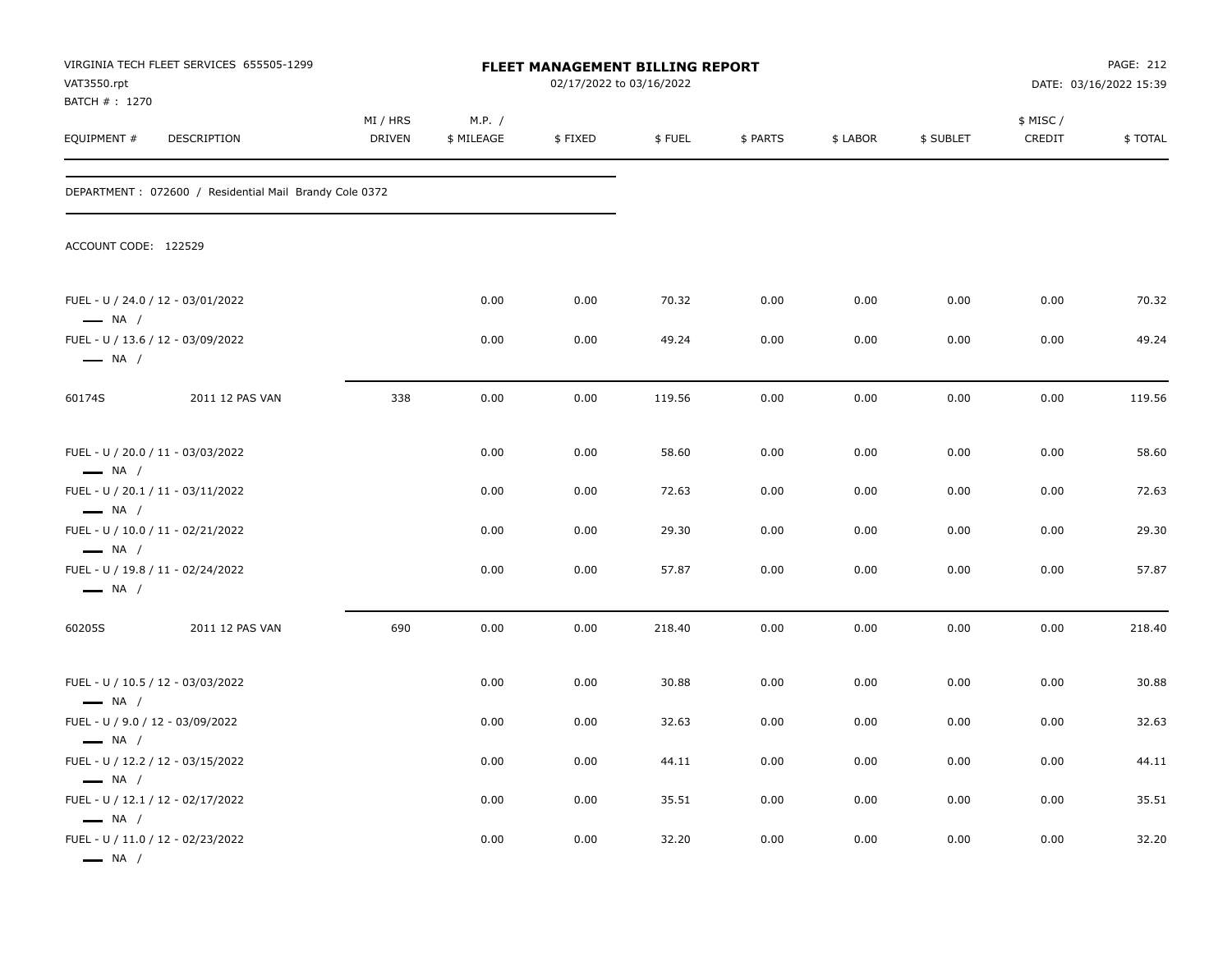| VAT3550.rpt<br>BATCH # : 1270                    | VIRGINIA TECH FLEET SERVICES 655505-1299                |                           |                      | 02/17/2022 to 03/16/2022 | <b>FLEET MANAGEMENT BILLING REPORT</b> |          |          |           |                    | PAGE: 212<br>DATE: 03/16/2022 15:39 |
|--------------------------------------------------|---------------------------------------------------------|---------------------------|----------------------|--------------------------|----------------------------------------|----------|----------|-----------|--------------------|-------------------------------------|
| EQUIPMENT #                                      | DESCRIPTION                                             | MI / HRS<br><b>DRIVEN</b> | M.P. /<br>\$ MILEAGE | \$FIXED                  | \$FUEL                                 | \$ PARTS | \$ LABOR | \$ SUBLET | \$ MISC/<br>CREDIT | \$TOTAL                             |
|                                                  | DEPARTMENT : 072600 / Residential Mail Brandy Cole 0372 |                           |                      |                          |                                        |          |          |           |                    |                                     |
| ACCOUNT CODE: 122529                             |                                                         |                           |                      |                          |                                        |          |          |           |                    |                                     |
| $\longrightarrow$ NA /                           | FUEL - U / 24.0 / 12 - 03/01/2022                       |                           | 0.00                 | 0.00                     | 70.32                                  | 0.00     | 0.00     | 0.00      | 0.00               | 70.32                               |
| $\longrightarrow$ NA /                           | FUEL - U / 13.6 / 12 - 03/09/2022                       |                           | 0.00                 | 0.00                     | 49.24                                  | 0.00     | 0.00     | 0.00      | 0.00               | 49.24                               |
| 60174S                                           | 2011 12 PAS VAN                                         | 338                       | 0.00                 | 0.00                     | 119.56                                 | 0.00     | 0.00     | 0.00      | 0.00               | 119.56                              |
| $\longrightarrow$ NA /                           | FUEL - U / 20.0 / 11 - 03/03/2022                       |                           | 0.00                 | 0.00                     | 58.60                                  | 0.00     | 0.00     | 0.00      | 0.00               | 58.60                               |
|                                                  | FUEL - U / 20.1 / 11 - 03/11/2022                       |                           | 0.00                 | 0.00                     | 72.63                                  | 0.00     | 0.00     | 0.00      | 0.00               | 72.63                               |
| $\longrightarrow$ NA /<br>$\longrightarrow$ NA / | FUEL - U / 10.0 / 11 - 02/21/2022                       |                           | 0.00                 | 0.00                     | 29.30                                  | 0.00     | 0.00     | 0.00      | 0.00               | 29.30                               |
| $\longrightarrow$ NA /                           | FUEL - U / 19.8 / 11 - 02/24/2022                       |                           | 0.00                 | 0.00                     | 57.87                                  | 0.00     | 0.00     | 0.00      | 0.00               | 57.87                               |
| 60205S                                           | 2011 12 PAS VAN                                         | 690                       | 0.00                 | 0.00                     | 218.40                                 | 0.00     | 0.00     | 0.00      | 0.00               | 218.40                              |
| $\longrightarrow$ NA /                           | FUEL - U / 10.5 / 12 - 03/03/2022                       |                           | 0.00                 | 0.00                     | 30.88                                  | 0.00     | 0.00     | 0.00      | 0.00               | 30.88                               |
| FUEL - U / 9.0 / 12 - 03/09/2022                 |                                                         |                           | 0.00                 | 0.00                     | 32.63                                  | 0.00     | 0.00     | 0.00      | 0.00               | 32.63                               |
| $\longrightarrow$ NA /<br>$\longrightarrow$ NA / | FUEL - U / 12.2 / 12 - 03/15/2022                       |                           | 0.00                 | 0.00                     | 44.11                                  | 0.00     | 0.00     | 0.00      | 0.00               | 44.11                               |
|                                                  | FUEL - U / 12.1 / 12 - 02/17/2022                       |                           | 0.00                 | 0.00                     | 35.51                                  | 0.00     | 0.00     | 0.00      | 0.00               | 35.51                               |
| $\longrightarrow$ NA /<br>$\longrightarrow$ NA / | FUEL - U / 11.0 / 12 - 02/23/2022                       |                           | 0.00                 | 0.00                     | 32.20                                  | 0.00     | 0.00     | 0.00      | 0.00               | 32.20                               |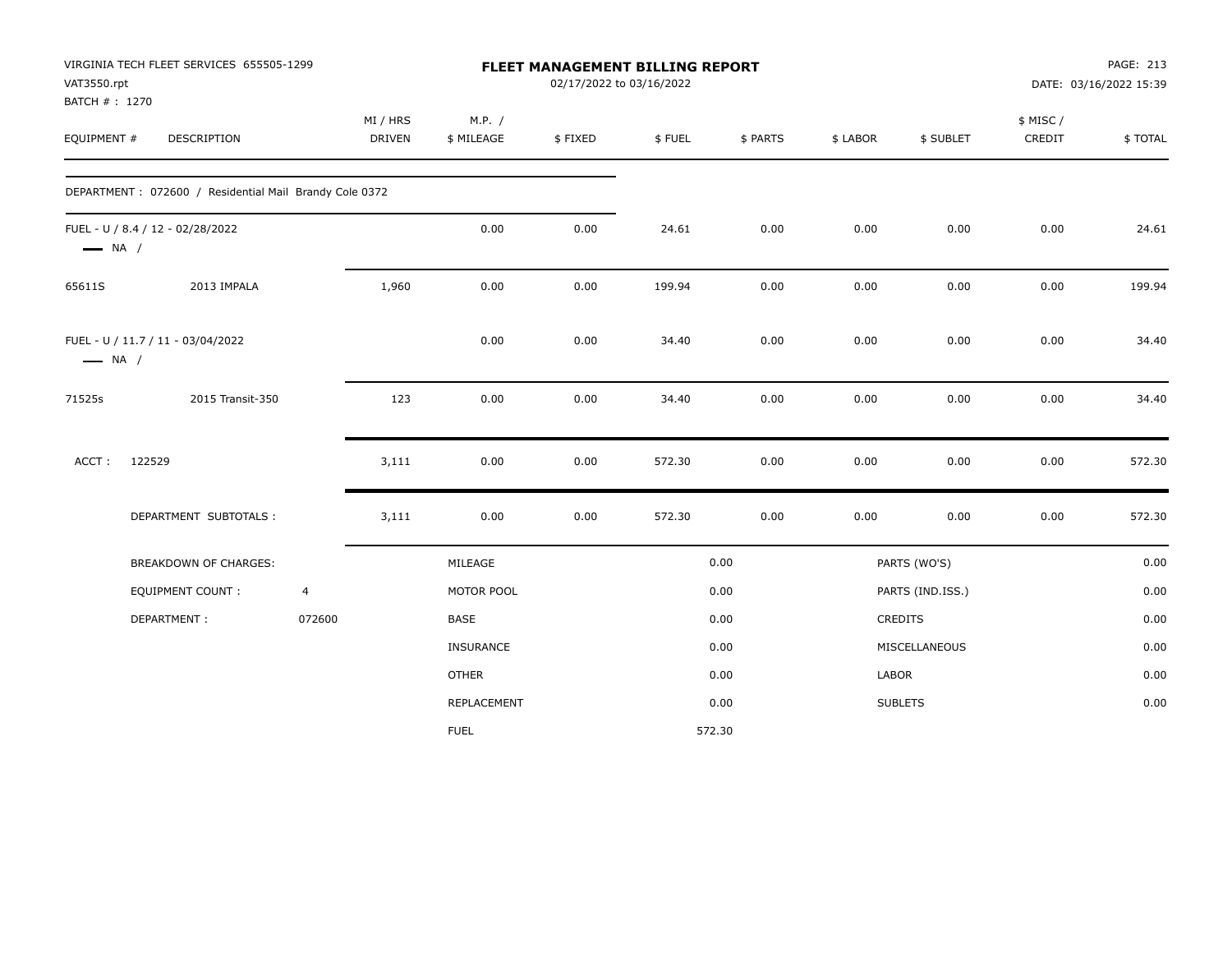| VAT3550.rpt                  | VIRGINIA TECH FLEET SERVICES 655505-1299               |                |                           |                      |         | FLEET MANAGEMENT BILLING REPORT<br>02/17/2022 to 03/16/2022 |          |          |                  |                    | PAGE: 213<br>DATE: 03/16/2022 15:39 |
|------------------------------|--------------------------------------------------------|----------------|---------------------------|----------------------|---------|-------------------------------------------------------------|----------|----------|------------------|--------------------|-------------------------------------|
| BATCH #: 1270<br>EQUIPMENT # | DESCRIPTION                                            |                | MI / HRS<br><b>DRIVEN</b> | M.P. /<br>\$ MILEAGE | \$FIXED | \$FUEL                                                      | \$ PARTS | \$ LABOR | \$ SUBLET        | \$ MISC/<br>CREDIT | \$TOTAL                             |
|                              | DEPARTMENT: 072600 / Residential Mail Brandy Cole 0372 |                |                           |                      |         |                                                             |          |          |                  |                    |                                     |
| $\longrightarrow$ NA /       | FUEL - U / 8.4 / 12 - 02/28/2022                       |                |                           | 0.00                 | 0.00    | 24.61                                                       | 0.00     | 0.00     | 0.00             | 0.00               | 24.61                               |
| 65611S                       | 2013 IMPALA                                            |                | 1,960                     | 0.00                 | 0.00    | 199.94                                                      | 0.00     | 0.00     | 0.00             | 0.00               | 199.94                              |
| $\longrightarrow$ NA /       | FUEL - U / 11.7 / 11 - 03/04/2022                      |                |                           | 0.00                 | 0.00    | 34.40                                                       | 0.00     | 0.00     | 0.00             | 0.00               | 34.40                               |
| 71525s                       | 2015 Transit-350                                       |                | 123                       | 0.00                 | 0.00    | 34.40                                                       | 0.00     | 0.00     | 0.00             | 0.00               | 34.40                               |
| ACCT:                        | 122529                                                 |                | 3,111                     | 0.00                 | 0.00    | 572.30                                                      | 0.00     | 0.00     | 0.00             | 0.00               | 572.30                              |
|                              | DEPARTMENT SUBTOTALS :                                 |                | 3,111                     | 0.00                 | 0.00    | 572.30                                                      | 0.00     | 0.00     | 0.00             | 0.00               | 572.30                              |
|                              | BREAKDOWN OF CHARGES:                                  |                |                           | MILEAGE              |         |                                                             | 0.00     |          | PARTS (WO'S)     |                    | 0.00                                |
|                              | <b>EQUIPMENT COUNT:</b>                                | $\overline{4}$ |                           | MOTOR POOL           |         |                                                             | 0.00     |          | PARTS (IND.ISS.) |                    | 0.00                                |
|                              | DEPARTMENT:                                            | 072600         |                           | BASE                 |         |                                                             | 0.00     |          | CREDITS          |                    | 0.00                                |
|                              |                                                        |                |                           | <b>INSURANCE</b>     |         |                                                             | 0.00     |          | MISCELLANEOUS    |                    | 0.00                                |
|                              |                                                        |                |                           | <b>OTHER</b>         |         |                                                             | 0.00     | LABOR    |                  |                    | 0.00                                |
|                              |                                                        |                |                           | REPLACEMENT          |         |                                                             | 0.00     |          | <b>SUBLETS</b>   |                    | 0.00                                |
|                              |                                                        |                |                           | <b>FUEL</b>          |         |                                                             | 572.30   |          |                  |                    |                                     |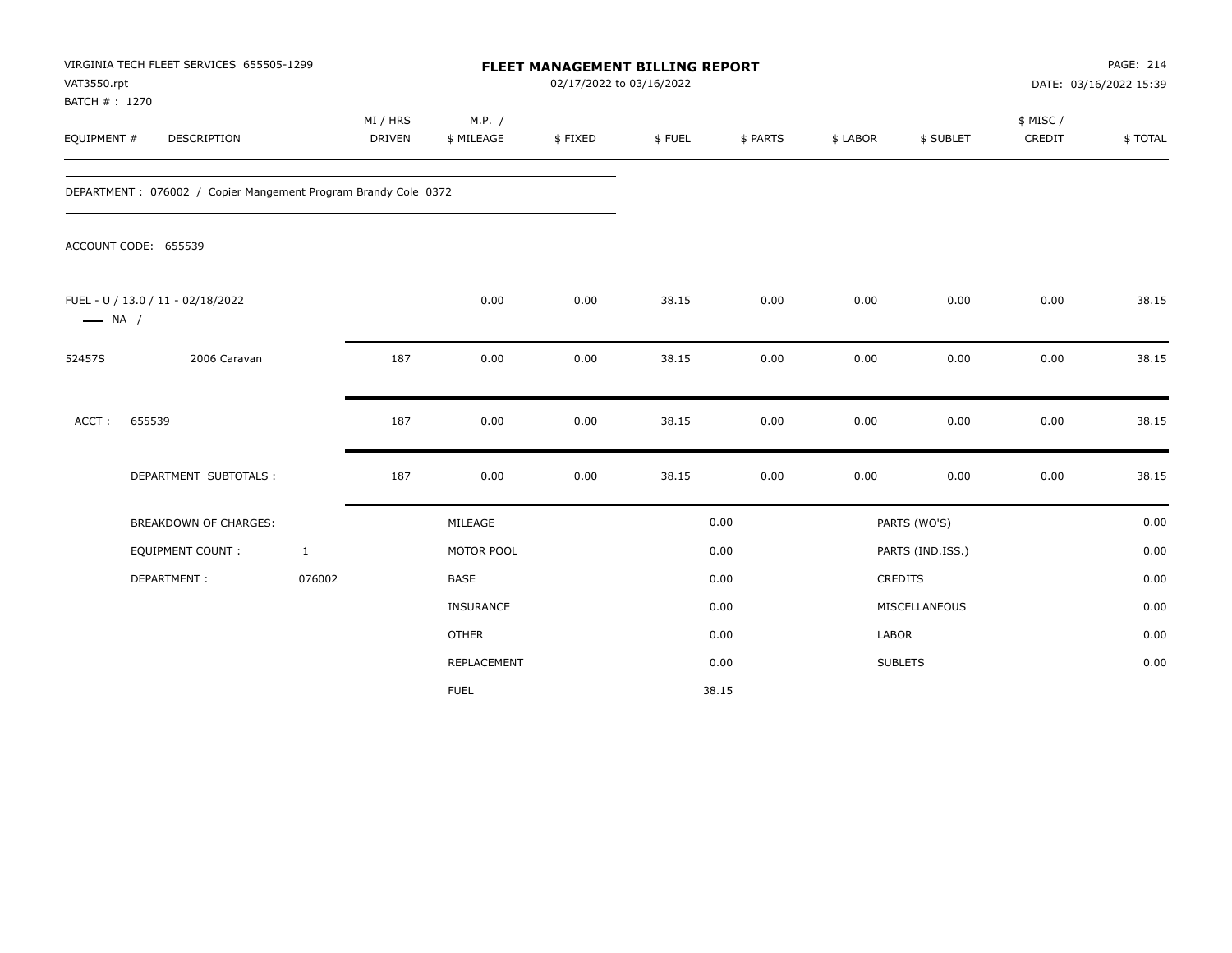| VAT3550.rpt<br>BATCH #: 1270 | VIRGINIA TECH FLEET SERVICES 655505-1299                       |                    |                      | FLEET MANAGEMENT BILLING REPORT<br>02/17/2022 to 03/16/2022 |        |          |          |                  |                     | PAGE: 214<br>DATE: 03/16/2022 15:39 |
|------------------------------|----------------------------------------------------------------|--------------------|----------------------|-------------------------------------------------------------|--------|----------|----------|------------------|---------------------|-------------------------------------|
| EQUIPMENT #                  | DESCRIPTION                                                    | MI / HRS<br>DRIVEN | M.P. /<br>\$ MILEAGE | \$FIXED                                                     | \$FUEL | \$ PARTS | \$ LABOR | \$ SUBLET        | \$ MISC /<br>CREDIT | \$TOTAL                             |
|                              | DEPARTMENT: 076002 / Copier Mangement Program Brandy Cole 0372 |                    |                      |                                                             |        |          |          |                  |                     |                                     |
|                              | ACCOUNT CODE: 655539                                           |                    |                      |                                                             |        |          |          |                  |                     |                                     |
| $\longrightarrow$ NA /       | FUEL - U / 13.0 / 11 - 02/18/2022                              |                    | 0.00                 | 0.00                                                        | 38.15  | 0.00     | 0.00     | 0.00             | 0.00                | 38.15                               |
| 52457S                       | 2006 Caravan                                                   | 187                | 0.00                 | 0.00                                                        | 38.15  | 0.00     | 0.00     | 0.00             | 0.00                | 38.15                               |
| ACCT:                        | 655539                                                         | 187                | 0.00                 | 0.00                                                        | 38.15  | 0.00     | 0.00     | 0.00             | 0.00                | 38.15                               |
|                              | DEPARTMENT SUBTOTALS :                                         | 187                | 0.00                 | 0.00                                                        | 38.15  | 0.00     | 0.00     | 0.00             | 0.00                | 38.15                               |
|                              | <b>BREAKDOWN OF CHARGES:</b>                                   |                    | MILEAGE              |                                                             |        | 0.00     |          | PARTS (WO'S)     |                     | 0.00                                |
|                              | EQUIPMENT COUNT:                                               | $\mathbf{1}$       | MOTOR POOL           |                                                             |        | 0.00     |          | PARTS (IND.ISS.) |                     | 0.00                                |
|                              | DEPARTMENT:                                                    | 076002             | <b>BASE</b>          |                                                             |        | 0.00     |          | CREDITS          |                     | 0.00                                |
|                              |                                                                |                    | <b>INSURANCE</b>     |                                                             |        | 0.00     |          | MISCELLANEOUS    |                     | 0.00                                |
|                              |                                                                |                    | <b>OTHER</b>         |                                                             |        | 0.00     | LABOR    |                  |                     | 0.00                                |
|                              |                                                                |                    | <b>REPLACEMENT</b>   |                                                             |        | 0.00     |          | <b>SUBLETS</b>   |                     | 0.00                                |
|                              |                                                                |                    | <b>FUEL</b>          |                                                             |        | 38.15    |          |                  |                     |                                     |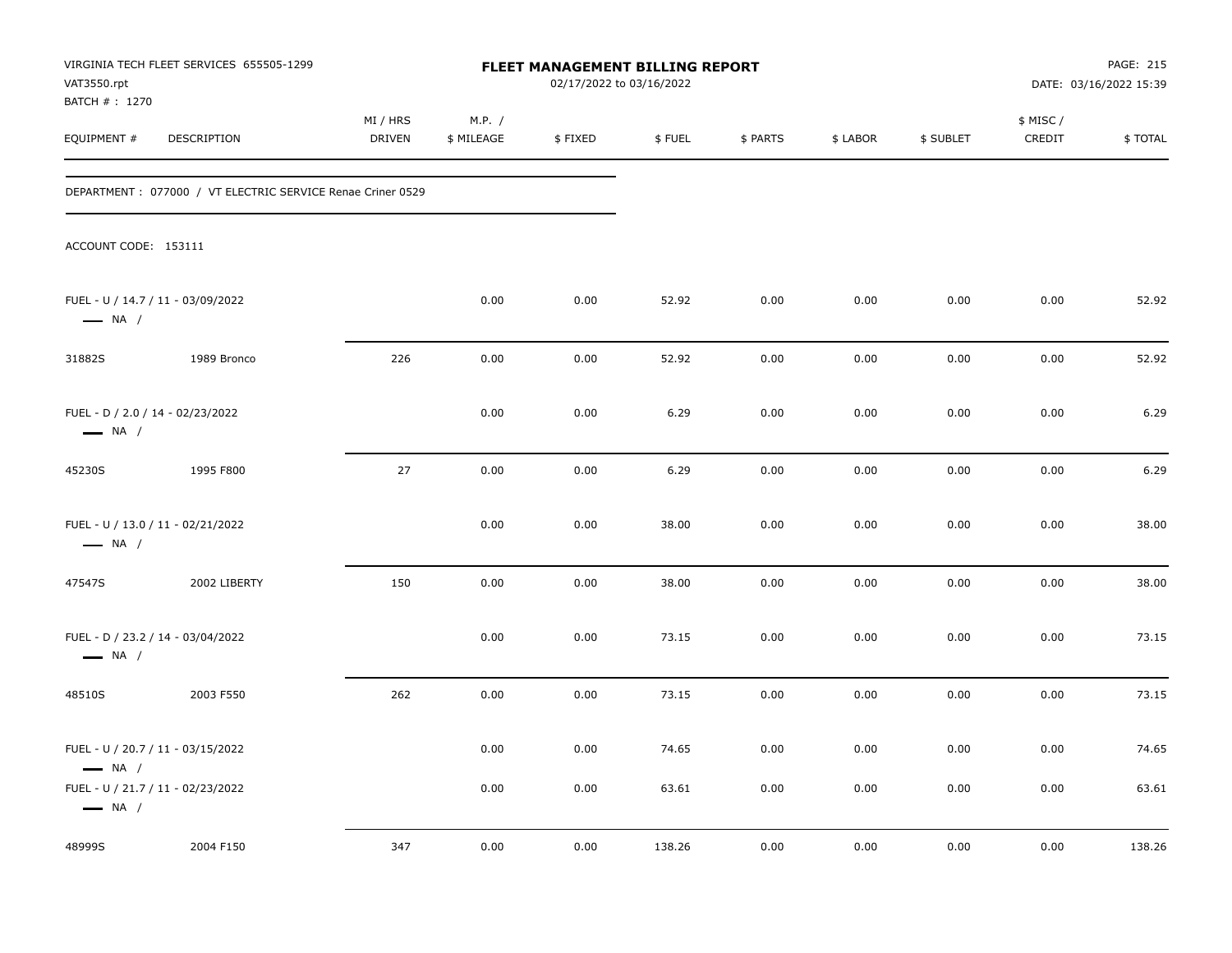| VAT3550.rpt                                                                                                                | VIRGINIA TECH FLEET SERVICES 655505-1299                    |                    |                      | FLEET MANAGEMENT BILLING REPORT<br>02/17/2022 to 03/16/2022 |                |              |              |              |                     | PAGE: 215<br>DATE: 03/16/2022 15:39 |
|----------------------------------------------------------------------------------------------------------------------------|-------------------------------------------------------------|--------------------|----------------------|-------------------------------------------------------------|----------------|--------------|--------------|--------------|---------------------|-------------------------------------|
| BATCH # : 1270<br>EQUIPMENT #                                                                                              | DESCRIPTION                                                 | MI / HRS<br>DRIVEN | M.P. /<br>\$ MILEAGE | \$FIXED                                                     | \$FUEL         | \$ PARTS     | \$ LABOR     | \$ SUBLET    | \$ MISC /<br>CREDIT | \$TOTAL                             |
|                                                                                                                            | DEPARTMENT : 077000 / VT ELECTRIC SERVICE Renae Criner 0529 |                    |                      |                                                             |                |              |              |              |                     |                                     |
| ACCOUNT CODE: 153111                                                                                                       |                                                             |                    |                      |                                                             |                |              |              |              |                     |                                     |
| FUEL - U / 14.7 / 11 - 03/09/2022<br>$\longrightarrow$ NA /                                                                |                                                             |                    | 0.00                 | 0.00                                                        | 52.92          | 0.00         | 0.00         | 0.00         | 0.00                | 52.92                               |
| 31882S                                                                                                                     | 1989 Bronco                                                 | 226                | 0.00                 | 0.00                                                        | 52.92          | 0.00         | 0.00         | 0.00         | 0.00                | 52.92                               |
| FUEL - D / 2.0 / 14 - 02/23/2022<br>$\longrightarrow$ NA /                                                                 |                                                             |                    | 0.00                 | 0.00                                                        | 6.29           | 0.00         | 0.00         | 0.00         | 0.00                | 6.29                                |
| 45230S                                                                                                                     | 1995 F800                                                   | 27                 | 0.00                 | 0.00                                                        | 6.29           | 0.00         | 0.00         | 0.00         | 0.00                | 6.29                                |
| FUEL - U / 13.0 / 11 - 02/21/2022<br>$\longrightarrow$ NA /                                                                |                                                             |                    | 0.00                 | 0.00                                                        | 38.00          | 0.00         | 0.00         | 0.00         | 0.00                | 38.00                               |
| 47547S                                                                                                                     | 2002 LIBERTY                                                | 150                | 0.00                 | 0.00                                                        | 38.00          | 0.00         | 0.00         | 0.00         | 0.00                | 38.00                               |
| FUEL - D / 23.2 / 14 - 03/04/2022<br>$\longrightarrow$ NA /                                                                |                                                             |                    | 0.00                 | 0.00                                                        | 73.15          | 0.00         | 0.00         | 0.00         | 0.00                | 73.15                               |
| 48510S                                                                                                                     | 2003 F550                                                   | 262                | 0.00                 | 0.00                                                        | 73.15          | 0.00         | 0.00         | 0.00         | 0.00                | 73.15                               |
| FUEL - U / 20.7 / 11 - 03/15/2022<br>$\longrightarrow$ NA /<br>FUEL - U / 21.7 / 11 - 02/23/2022<br>$\longrightarrow$ NA / |                                                             |                    | 0.00<br>0.00         | 0.00<br>0.00                                                | 74.65<br>63.61 | 0.00<br>0.00 | 0.00<br>0.00 | 0.00<br>0.00 | 0.00<br>0.00        | 74.65<br>63.61                      |
| 48999S                                                                                                                     | 2004 F150                                                   | 347                | 0.00                 | 0.00                                                        | 138.26         | 0.00         | 0.00         | 0.00         | 0.00                | 138.26                              |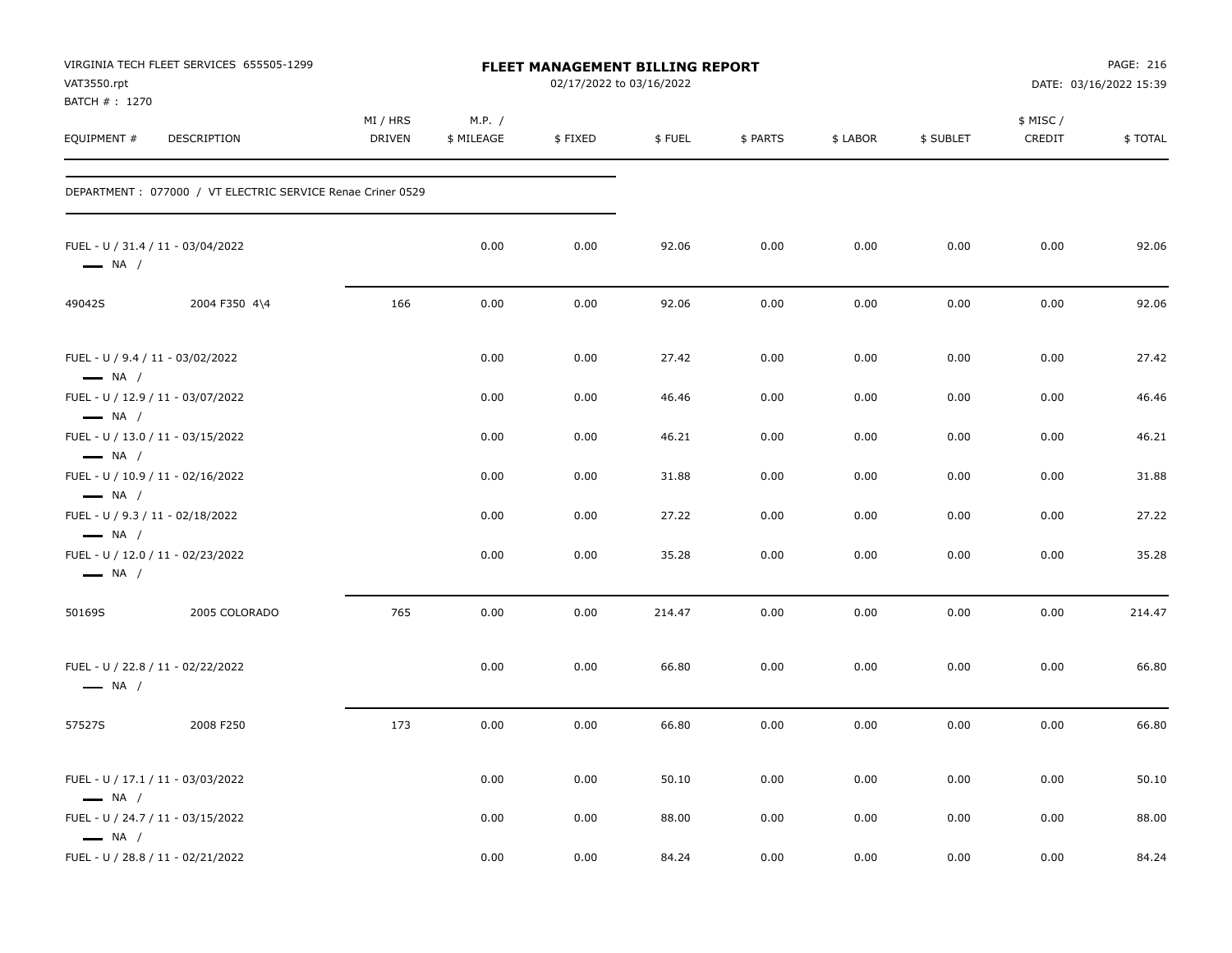| VAT3550.rpt<br>BATCH #: 1270                               | VIRGINIA TECH FLEET SERVICES 655505-1299                    |                           |                      | <b>FLEET MANAGEMENT BILLING REPORT</b><br>02/17/2022 to 03/16/2022 |        |          |          |           |                     | PAGE: 216<br>DATE: 03/16/2022 15:39 |
|------------------------------------------------------------|-------------------------------------------------------------|---------------------------|----------------------|--------------------------------------------------------------------|--------|----------|----------|-----------|---------------------|-------------------------------------|
| EQUIPMENT #                                                | <b>DESCRIPTION</b>                                          | MI / HRS<br><b>DRIVEN</b> | M.P. /<br>\$ MILEAGE | \$FIXED                                                            | \$FUEL | \$ PARTS | \$ LABOR | \$ SUBLET | \$ MISC /<br>CREDIT | \$TOTAL                             |
|                                                            | DEPARTMENT : 077000 / VT ELECTRIC SERVICE Renae Criner 0529 |                           |                      |                                                                    |        |          |          |           |                     |                                     |
| $\longrightarrow$ NA /                                     | FUEL - U / 31.4 / 11 - 03/04/2022                           |                           | 0.00                 | 0.00                                                               | 92.06  | 0.00     | 0.00     | 0.00      | 0.00                | 92.06                               |
| 49042S                                                     | 2004 F350 4\4                                               | 166                       | 0.00                 | 0.00                                                               | 92.06  | 0.00     | 0.00     | 0.00      | 0.00                | 92.06                               |
| FUEL - U / 9.4 / 11 - 03/02/2022<br>$\longrightarrow$ NA / |                                                             |                           | 0.00                 | 0.00                                                               | 27.42  | 0.00     | 0.00     | 0.00      | 0.00                | 27.42                               |
| $\longrightarrow$ NA /                                     | FUEL - U / 12.9 / 11 - 03/07/2022                           |                           | 0.00                 | 0.00                                                               | 46.46  | 0.00     | 0.00     | 0.00      | 0.00                | 46.46                               |
| $\longrightarrow$ NA /                                     | FUEL - U / 13.0 / 11 - 03/15/2022                           |                           | 0.00                 | 0.00                                                               | 46.21  | 0.00     | 0.00     | 0.00      | 0.00                | 46.21                               |
| $\longrightarrow$ NA /                                     | FUEL - U / 10.9 / 11 - 02/16/2022                           |                           | 0.00                 | 0.00                                                               | 31.88  | 0.00     | 0.00     | 0.00      | 0.00                | 31.88                               |
| FUEL - U / 9.3 / 11 - 02/18/2022<br>$\longrightarrow$ NA / |                                                             |                           | 0.00                 | 0.00                                                               | 27.22  | 0.00     | 0.00     | 0.00      | 0.00                | 27.22                               |
| $\longrightarrow$ NA /                                     | FUEL - U / 12.0 / 11 - 02/23/2022                           |                           | 0.00                 | 0.00                                                               | 35.28  | 0.00     | 0.00     | 0.00      | 0.00                | 35.28                               |
| 50169S                                                     | 2005 COLORADO                                               | 765                       | 0.00                 | 0.00                                                               | 214.47 | 0.00     | 0.00     | 0.00      | 0.00                | 214.47                              |
| $\longrightarrow$ NA /                                     | FUEL - U / 22.8 / 11 - 02/22/2022                           |                           | 0.00                 | 0.00                                                               | 66.80  | 0.00     | 0.00     | 0.00      | 0.00                | 66.80                               |
| 57527S                                                     | 2008 F250                                                   | 173                       | 0.00                 | 0.00                                                               | 66.80  | 0.00     | 0.00     | 0.00      | 0.00                | 66.80                               |
| $\longrightarrow$ NA /                                     | FUEL - U / 17.1 / 11 - 03/03/2022                           |                           | 0.00                 | 0.00                                                               | 50.10  | 0.00     | 0.00     | 0.00      | 0.00                | 50.10                               |
| $\longrightarrow$ NA /                                     | FUEL - U / 24.7 / 11 - 03/15/2022                           |                           | 0.00                 | 0.00                                                               | 88.00  | 0.00     | 0.00     | 0.00      | 0.00                | 88.00                               |
|                                                            | FUEL - U / 28.8 / 11 - 02/21/2022                           |                           | 0.00                 | 0.00                                                               | 84.24  | 0.00     | 0.00     | 0.00      | 0.00                | 84.24                               |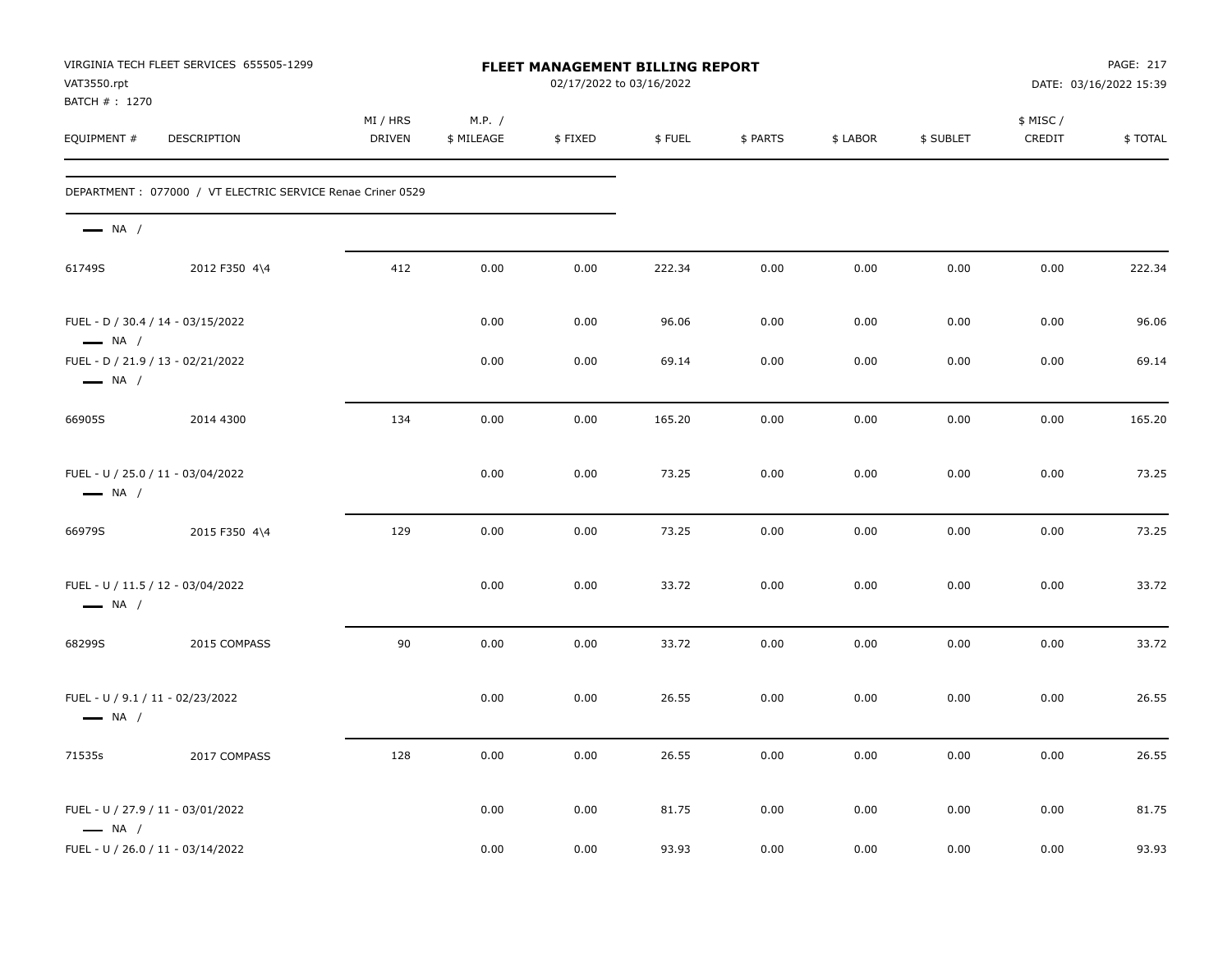| VAT3550.rpt<br>BATCH #: 1270 | VIRGINIA TECH FLEET SERVICES 655505-1299                    |                           |                      | FLEET MANAGEMENT BILLING REPORT<br>02/17/2022 to 03/16/2022 |        |          |          |           |                     | PAGE: 217<br>DATE: 03/16/2022 15:39 |
|------------------------------|-------------------------------------------------------------|---------------------------|----------------------|-------------------------------------------------------------|--------|----------|----------|-----------|---------------------|-------------------------------------|
| EQUIPMENT #                  | DESCRIPTION                                                 | MI / HRS<br><b>DRIVEN</b> | M.P. /<br>\$ MILEAGE | \$FIXED                                                     | \$FUEL | \$ PARTS | \$ LABOR | \$ SUBLET | \$ MISC /<br>CREDIT | \$TOTAL                             |
|                              | DEPARTMENT : 077000 / VT ELECTRIC SERVICE Renae Criner 0529 |                           |                      |                                                             |        |          |          |           |                     |                                     |
| $\longrightarrow$ NA /       |                                                             |                           |                      |                                                             |        |          |          |           |                     |                                     |
| 61749S                       | 2012 F350 4\4                                               | 412                       | 0.00                 | 0.00                                                        | 222.34 | 0.00     | 0.00     | 0.00      | 0.00                | 222.34                              |
| $\longrightarrow$ NA /       | FUEL - D / 30.4 / 14 - 03/15/2022                           |                           | 0.00                 | 0.00                                                        | 96.06  | 0.00     | 0.00     | 0.00      | 0.00                | 96.06                               |
| $\longrightarrow$ NA /       | FUEL - D / 21.9 / 13 - 02/21/2022                           |                           | 0.00                 | 0.00                                                        | 69.14  | 0.00     | 0.00     | 0.00      | 0.00                | 69.14                               |
| 66905S                       | 2014 4300                                                   | 134                       | 0.00                 | 0.00                                                        | 165.20 | 0.00     | 0.00     | 0.00      | 0.00                | 165.20                              |
| $\longrightarrow$ NA /       | FUEL - U / 25.0 / 11 - 03/04/2022                           |                           | 0.00                 | 0.00                                                        | 73.25  | 0.00     | 0.00     | 0.00      | 0.00                | 73.25                               |
| 66979S                       | 2015 F350 4\4                                               | 129                       | 0.00                 | 0.00                                                        | 73.25  | 0.00     | 0.00     | 0.00      | 0.00                | 73.25                               |
| $\longrightarrow$ NA /       | FUEL - U / 11.5 / 12 - 03/04/2022                           |                           | 0.00                 | 0.00                                                        | 33.72  | 0.00     | 0.00     | 0.00      | 0.00                | 33.72                               |
| 68299S                       | 2015 COMPASS                                                | 90                        | 0.00                 | 0.00                                                        | 33.72  | 0.00     | 0.00     | 0.00      | 0.00                | 33.72                               |
| $\longrightarrow$ NA /       | FUEL - U / 9.1 / 11 - 02/23/2022                            |                           | 0.00                 | 0.00                                                        | 26.55  | 0.00     | 0.00     | 0.00      | 0.00                | 26.55                               |
| 71535s                       | 2017 COMPASS                                                | 128                       | 0.00                 | 0.00                                                        | 26.55  | 0.00     | 0.00     | 0.00      | 0.00                | 26.55                               |
| $\longrightarrow$ NA /       | FUEL - U / 27.9 / 11 - 03/01/2022                           |                           | 0.00                 | 0.00                                                        | 81.75  | 0.00     | 0.00     | 0.00      | 0.00                | 81.75                               |
|                              | FUEL - U / 26.0 / 11 - 03/14/2022                           |                           | 0.00                 | 0.00                                                        | 93.93  | 0.00     | 0.00     | 0.00      | 0.00                | 93.93                               |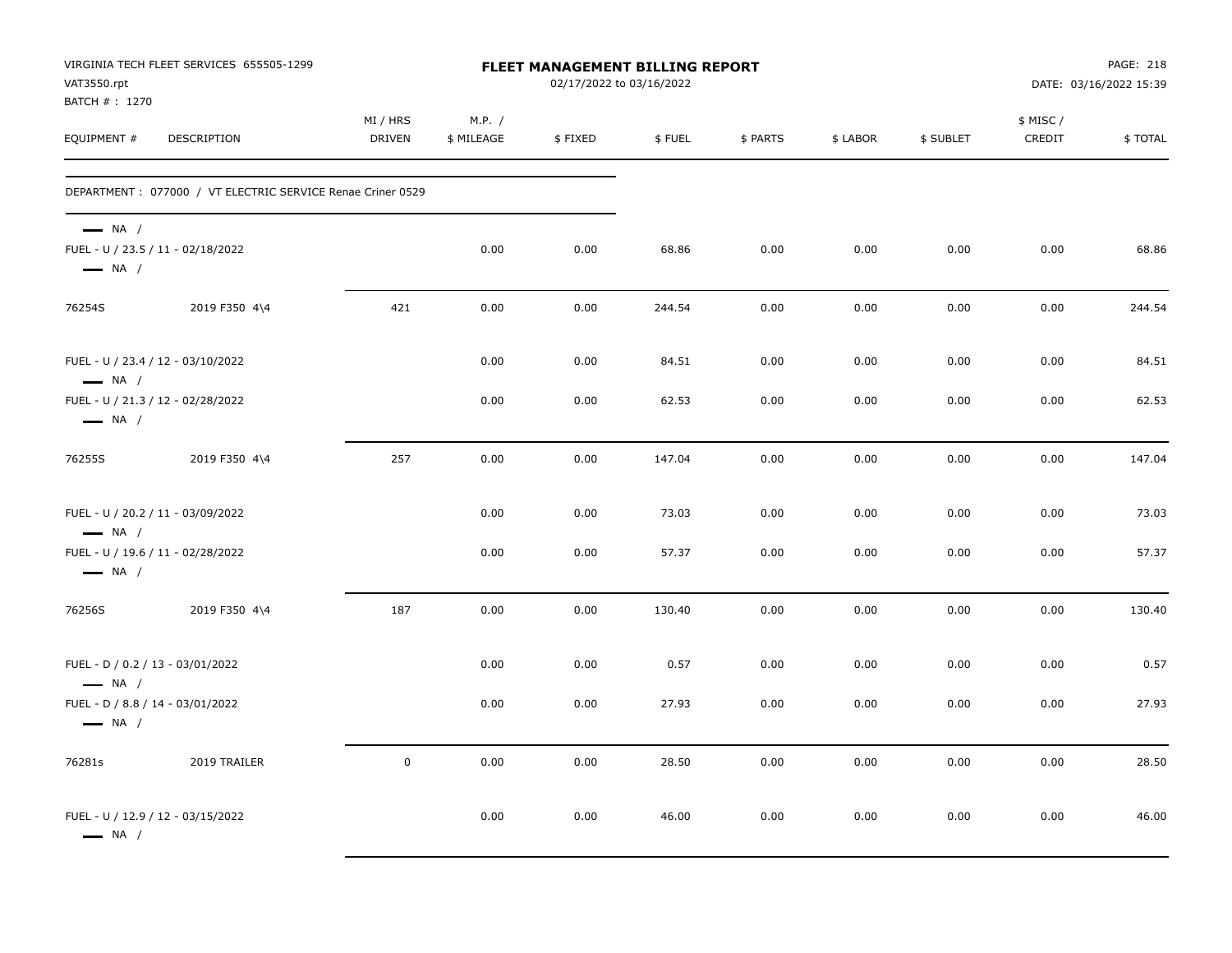| VAT3550.rpt<br>BATCH #: 1270                                                          | VIRGINIA TECH FLEET SERVICES 655505-1299                    |                           |                      | <b>FLEET MANAGEMENT BILLING REPORT</b><br>02/17/2022 to 03/16/2022 |        |          |          |           |                     | PAGE: 218<br>DATE: 03/16/2022 15:39 |
|---------------------------------------------------------------------------------------|-------------------------------------------------------------|---------------------------|----------------------|--------------------------------------------------------------------|--------|----------|----------|-----------|---------------------|-------------------------------------|
| EQUIPMENT #                                                                           | <b>DESCRIPTION</b>                                          | MI / HRS<br><b>DRIVEN</b> | M.P. /<br>\$ MILEAGE | \$FIXED                                                            | \$FUEL | \$ PARTS | \$ LABOR | \$ SUBLET | \$ MISC /<br>CREDIT | \$TOTAL                             |
|                                                                                       | DEPARTMENT : 077000 / VT ELECTRIC SERVICE Renae Criner 0529 |                           |                      |                                                                    |        |          |          |           |                     |                                     |
| $\longrightarrow$ NA /<br>FUEL - U / 23.5 / 11 - 02/18/2022<br>$\longrightarrow$ NA / |                                                             |                           | 0.00                 | 0.00                                                               | 68.86  | 0.00     | 0.00     | 0.00      | 0.00                | 68.86                               |
| 76254S                                                                                | 2019 F350 4\4                                               | 421                       | 0.00                 | 0.00                                                               | 244.54 | 0.00     | 0.00     | 0.00      | 0.00                | 244.54                              |
| FUEL - U / 23.4 / 12 - 03/10/2022<br>$\longrightarrow$ NA /                           |                                                             |                           | 0.00                 | 0.00                                                               | 84.51  | 0.00     | 0.00     | 0.00      | 0.00                | 84.51                               |
| FUEL - U / 21.3 / 12 - 02/28/2022<br>$\longrightarrow$ NA /                           |                                                             |                           | 0.00                 | 0.00                                                               | 62.53  | 0.00     | 0.00     | 0.00      | 0.00                | 62.53                               |
| 76255S                                                                                | 2019 F350 4\4                                               | 257                       | 0.00                 | 0.00                                                               | 147.04 | 0.00     | 0.00     | 0.00      | 0.00                | 147.04                              |
| FUEL - U / 20.2 / 11 - 03/09/2022<br>$\longrightarrow$ NA /                           |                                                             |                           | 0.00                 | 0.00                                                               | 73.03  | 0.00     | 0.00     | 0.00      | 0.00                | 73.03                               |
| FUEL - U / 19.6 / 11 - 02/28/2022<br>$\longrightarrow$ NA /                           |                                                             |                           | 0.00                 | 0.00                                                               | 57.37  | 0.00     | 0.00     | 0.00      | 0.00                | 57.37                               |
| 76256S                                                                                | 2019 F350 4\4                                               | 187                       | 0.00                 | 0.00                                                               | 130.40 | 0.00     | 0.00     | 0.00      | 0.00                | 130.40                              |
| FUEL - D / 0.2 / 13 - 03/01/2022<br>$\longrightarrow$ NA /                            |                                                             |                           | 0.00                 | 0.00                                                               | 0.57   | 0.00     | 0.00     | 0.00      | 0.00                | 0.57                                |
| FUEL - D / 8.8 / 14 - 03/01/2022<br>$\longrightarrow$ NA /                            |                                                             |                           | 0.00                 | 0.00                                                               | 27.93  | 0.00     | 0.00     | 0.00      | 0.00                | 27.93                               |
| 76281s                                                                                | 2019 TRAILER                                                | $\mathsf 0$               | 0.00                 | 0.00                                                               | 28.50  | 0.00     | 0.00     | 0.00      | 0.00                | 28.50                               |
| FUEL - U / 12.9 / 12 - 03/15/2022<br>$\longrightarrow$ NA /                           |                                                             |                           | 0.00                 | 0.00                                                               | 46.00  | 0.00     | 0.00     | 0.00      | 0.00                | 46.00                               |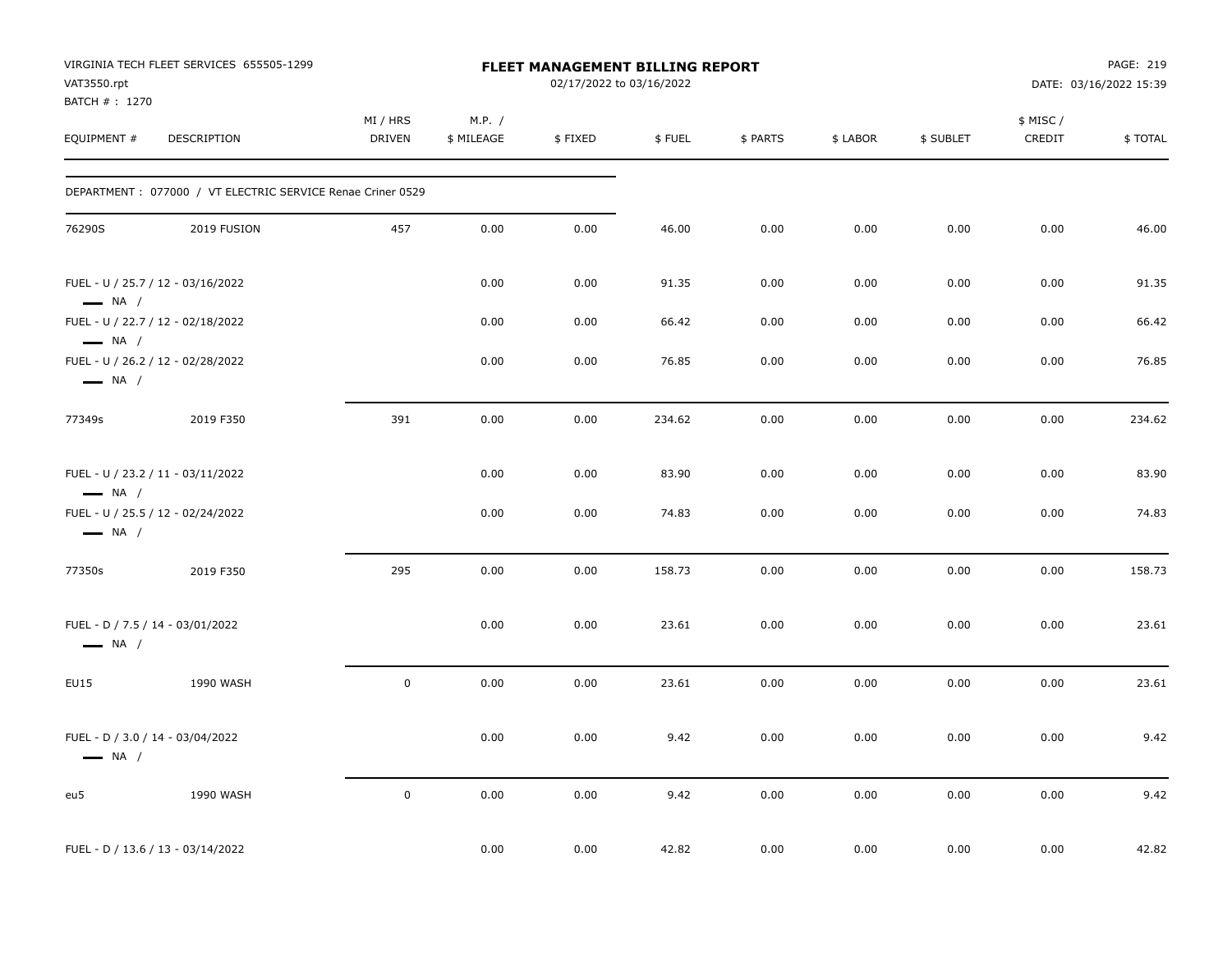| VAT3550.rpt<br>BATCH #: 1270                               | VIRGINIA TECH FLEET SERVICES 655505-1299                   |                           |                      | <b>FLEET MANAGEMENT BILLING REPORT</b><br>02/17/2022 to 03/16/2022 |        |          |          |           |                     | PAGE: 219<br>DATE: 03/16/2022 15:39 |
|------------------------------------------------------------|------------------------------------------------------------|---------------------------|----------------------|--------------------------------------------------------------------|--------|----------|----------|-----------|---------------------|-------------------------------------|
| EQUIPMENT #                                                | DESCRIPTION                                                | MI / HRS<br><b>DRIVEN</b> | M.P. /<br>\$ MILEAGE | \$FIXED                                                            | \$FUEL | \$ PARTS | \$ LABOR | \$ SUBLET | \$ MISC /<br>CREDIT | \$TOTAL                             |
|                                                            | DEPARTMENT: 077000 / VT ELECTRIC SERVICE Renae Criner 0529 |                           |                      |                                                                    |        |          |          |           |                     |                                     |
| 76290S                                                     | 2019 FUSION                                                | 457                       | 0.00                 | 0.00                                                               | 46.00  | 0.00     | 0.00     | 0.00      | 0.00                | 46.00                               |
| $\longrightarrow$ NA /                                     | FUEL - U / 25.7 / 12 - 03/16/2022                          |                           | 0.00                 | 0.00                                                               | 91.35  | 0.00     | 0.00     | 0.00      | 0.00                | 91.35                               |
|                                                            | FUEL - U / 22.7 / 12 - 02/18/2022                          |                           | 0.00                 | 0.00                                                               | 66.42  | 0.00     | 0.00     | 0.00      | 0.00                | 66.42                               |
| $\longrightarrow$ NA /<br>$\longrightarrow$ NA /           | FUEL - U / 26.2 / 12 - 02/28/2022                          |                           | 0.00                 | 0.00                                                               | 76.85  | 0.00     | 0.00     | 0.00      | 0.00                | 76.85                               |
| 77349s                                                     | 2019 F350                                                  | 391                       | 0.00                 | 0.00                                                               | 234.62 | 0.00     | 0.00     | 0.00      | 0.00                | 234.62                              |
| $\longrightarrow$ NA /                                     | FUEL - U / 23.2 / 11 - 03/11/2022                          |                           | 0.00                 | 0.00                                                               | 83.90  | 0.00     | 0.00     | 0.00      | 0.00                | 83.90                               |
| $\longrightarrow$ NA /                                     | FUEL - U / 25.5 / 12 - 02/24/2022                          |                           | 0.00                 | 0.00                                                               | 74.83  | 0.00     | 0.00     | 0.00      | 0.00                | 74.83                               |
| 77350s                                                     | 2019 F350                                                  | 295                       | 0.00                 | 0.00                                                               | 158.73 | 0.00     | 0.00     | 0.00      | 0.00                | 158.73                              |
| FUEL - D / 7.5 / 14 - 03/01/2022<br>$\longrightarrow$ NA / |                                                            |                           | 0.00                 | 0.00                                                               | 23.61  | 0.00     | 0.00     | 0.00      | 0.00                | 23.61                               |
| EU15                                                       | 1990 WASH                                                  | $\mathsf{O}\xspace$       | 0.00                 | 0.00                                                               | 23.61  | 0.00     | 0.00     | 0.00      | 0.00                | 23.61                               |
| FUEL - D / 3.0 / 14 - 03/04/2022<br>$\longrightarrow$ NA / |                                                            |                           | 0.00                 | 0.00                                                               | 9.42   | 0.00     | 0.00     | 0.00      | 0.00                | 9.42                                |
| eu5                                                        | 1990 WASH                                                  | $\mathsf{O}\xspace$       | 0.00                 | $0.00\,$                                                           | 9.42   | 0.00     | 0.00     | 0.00      | 0.00                | 9.42                                |
|                                                            | FUEL - D / 13.6 / 13 - 03/14/2022                          |                           | 0.00                 | 0.00                                                               | 42.82  | 0.00     | 0.00     | 0.00      | 0.00                | 42.82                               |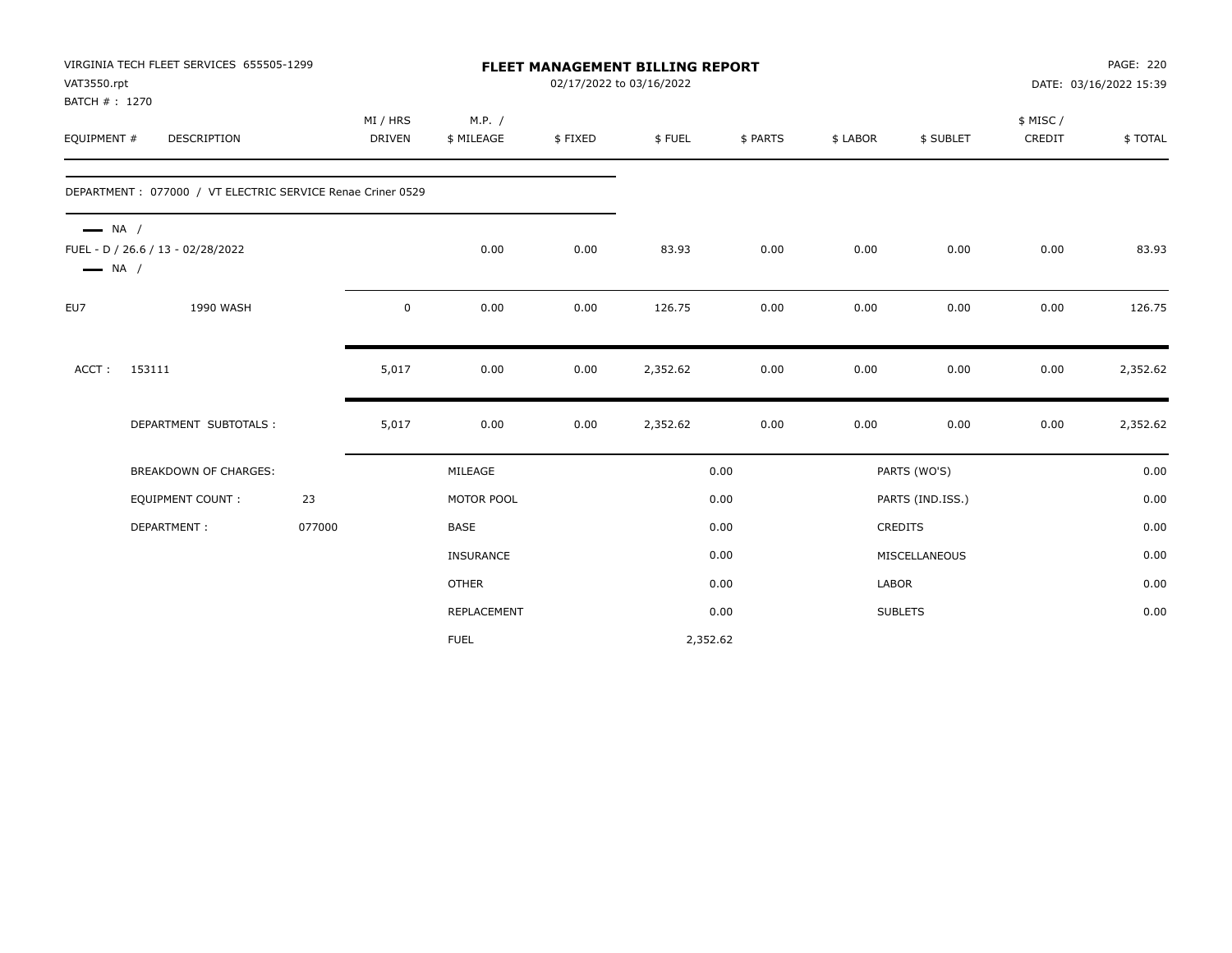| VAT3550.rpt            | VIRGINIA TECH FLEET SERVICES 655505-1299                   |        |                           |                      |         | <b>FLEET MANAGEMENT BILLING REPORT</b><br>02/17/2022 to 03/16/2022 |          |          |                  |                    | PAGE: 220<br>DATE: 03/16/2022 15:39 |
|------------------------|------------------------------------------------------------|--------|---------------------------|----------------------|---------|--------------------------------------------------------------------|----------|----------|------------------|--------------------|-------------------------------------|
| BATCH #: 1270          |                                                            |        |                           |                      |         |                                                                    |          |          |                  |                    |                                     |
| EQUIPMENT #            | <b>DESCRIPTION</b>                                         |        | MI / HRS<br><b>DRIVEN</b> | M.P. /<br>\$ MILEAGE | \$FIXED | \$FUEL                                                             | \$ PARTS | \$ LABOR | \$ SUBLET        | \$ MISC/<br>CREDIT | \$TOTAL                             |
|                        |                                                            |        |                           |                      |         |                                                                    |          |          |                  |                    |                                     |
|                        | DEPARTMENT: 077000 / VT ELECTRIC SERVICE Renae Criner 0529 |        |                           |                      |         |                                                                    |          |          |                  |                    |                                     |
| $\longrightarrow$ NA / | FUEL - D / 26.6 / 13 - 02/28/2022<br>NA /                  |        |                           | 0.00                 | 0.00    | 83.93                                                              | 0.00     | 0.00     | 0.00             | 0.00               | 83.93                               |
| EU7                    | 1990 WASH                                                  |        | 0                         | 0.00                 | 0.00    | 126.75                                                             | 0.00     | 0.00     | 0.00             | 0.00               | 126.75                              |
| ACCT:                  | 153111                                                     |        | 5,017                     | 0.00                 | 0.00    | 2,352.62                                                           | 0.00     | 0.00     | 0.00             | 0.00               | 2,352.62                            |
|                        | DEPARTMENT SUBTOTALS :                                     |        | 5,017                     | 0.00                 | 0.00    | 2,352.62                                                           | 0.00     | 0.00     | 0.00             | 0.00               | 2,352.62                            |
|                        | <b>BREAKDOWN OF CHARGES:</b>                               |        |                           | MILEAGE              |         |                                                                    | 0.00     |          | PARTS (WO'S)     |                    | 0.00                                |
|                        | <b>EQUIPMENT COUNT:</b>                                    | 23     |                           | MOTOR POOL           |         |                                                                    | 0.00     |          | PARTS (IND.ISS.) |                    | 0.00                                |
|                        | DEPARTMENT:                                                | 077000 |                           | <b>BASE</b>          |         |                                                                    | 0.00     |          | CREDITS          |                    | 0.00                                |
|                        |                                                            |        |                           | INSURANCE            |         |                                                                    | 0.00     |          | MISCELLANEOUS    |                    | 0.00                                |
|                        |                                                            |        |                           | <b>OTHER</b>         |         |                                                                    | 0.00     | LABOR    |                  |                    | 0.00                                |
|                        |                                                            |        |                           | REPLACEMENT          |         |                                                                    | 0.00     |          | <b>SUBLETS</b>   |                    | 0.00                                |
|                        |                                                            |        |                           | <b>FUEL</b>          |         | 2,352.62                                                           |          |          |                  |                    |                                     |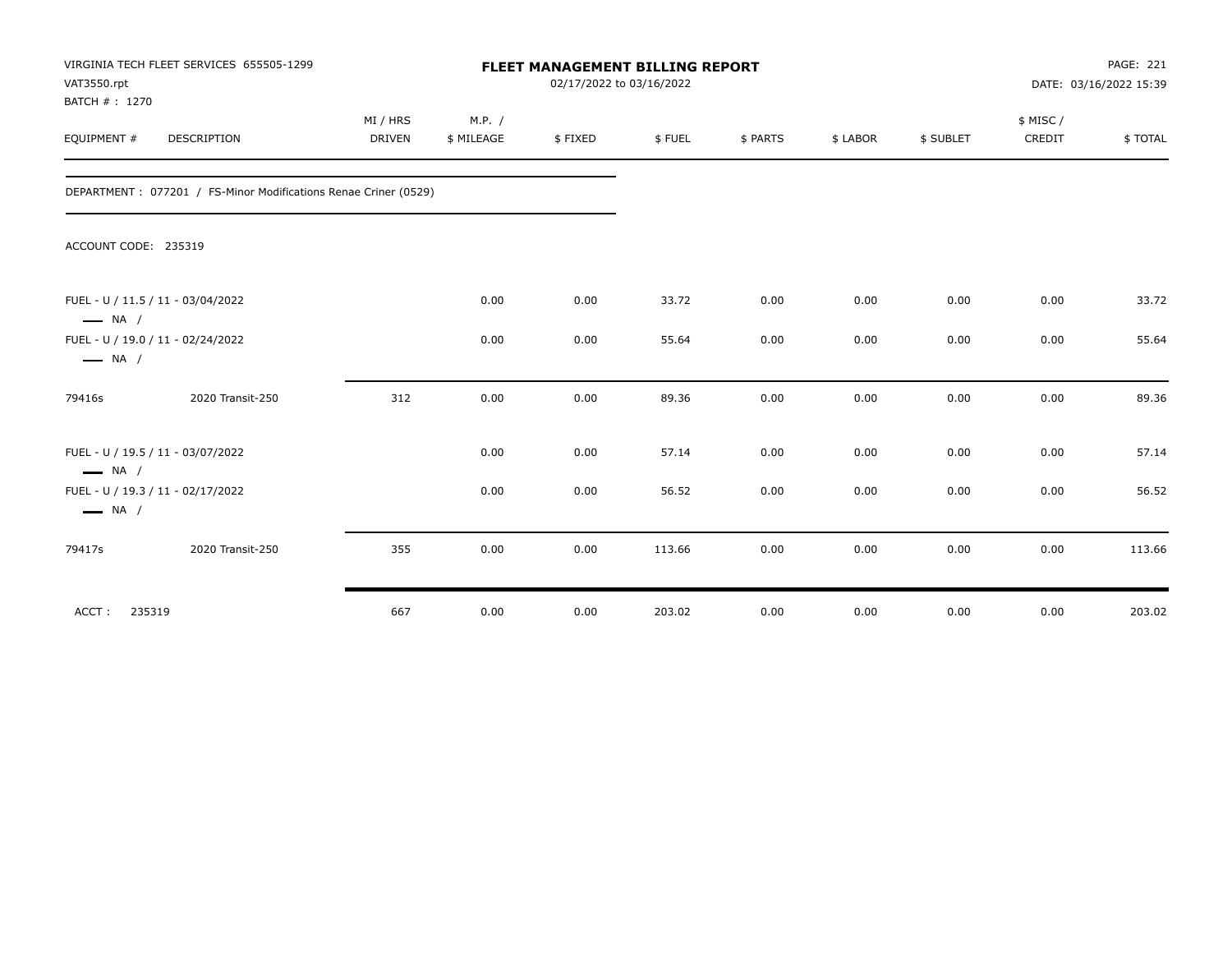| VAT3550.rpt<br>BATCH #: 1270 | VIRGINIA TECH FLEET SERVICES 655505-1299                        | FLEET MANAGEMENT BILLING REPORT<br>02/17/2022 to 03/16/2022 |                      |         |        |          |          |           |                     | <b>PAGE: 221</b><br>DATE: 03/16/2022 15:39 |  |
|------------------------------|-----------------------------------------------------------------|-------------------------------------------------------------|----------------------|---------|--------|----------|----------|-----------|---------------------|--------------------------------------------|--|
| EQUIPMENT #                  | <b>DESCRIPTION</b>                                              | MI / HRS<br>DRIVEN                                          | M.P. /<br>\$ MILEAGE | \$FIXED | \$FUEL | \$ PARTS | \$ LABOR | \$ SUBLET | \$ MISC /<br>CREDIT | \$TOTAL                                    |  |
|                              | DEPARTMENT: 077201 / FS-Minor Modifications Renae Criner (0529) |                                                             |                      |         |        |          |          |           |                     |                                            |  |
| ACCOUNT CODE: 235319         |                                                                 |                                                             |                      |         |        |          |          |           |                     |                                            |  |
| $\longrightarrow$ NA /       | FUEL - U / 11.5 / 11 - 03/04/2022                               |                                                             | 0.00                 | 0.00    | 33.72  | 0.00     | 0.00     | 0.00      | 0.00                | 33.72                                      |  |
| $\longrightarrow$ NA /       | FUEL - U / 19.0 / 11 - 02/24/2022                               |                                                             | 0.00                 | 0.00    | 55.64  | 0.00     | 0.00     | 0.00      | 0.00                | 55.64                                      |  |
| 79416s                       | 2020 Transit-250                                                | 312                                                         | 0.00                 | 0.00    | 89.36  | 0.00     | 0.00     | 0.00      | 0.00                | 89.36                                      |  |
| $\longrightarrow$ NA /       | FUEL - U / 19.5 / 11 - 03/07/2022                               |                                                             | 0.00                 | 0.00    | 57.14  | 0.00     | 0.00     | 0.00      | 0.00                | 57.14                                      |  |
| $\longrightarrow$ NA /       | FUEL - U / 19.3 / 11 - 02/17/2022                               |                                                             | 0.00                 | 0.00    | 56.52  | 0.00     | 0.00     | 0.00      | 0.00                | 56.52                                      |  |
| 79417s                       | 2020 Transit-250                                                | 355                                                         | 0.00                 | 0.00    | 113.66 | 0.00     | 0.00     | 0.00      | 0.00                | 113.66                                     |  |
| ACCT:<br>235319              |                                                                 | 667                                                         | 0.00                 | 0.00    | 203.02 | 0.00     | 0.00     | 0.00      | 0.00                | 203.02                                     |  |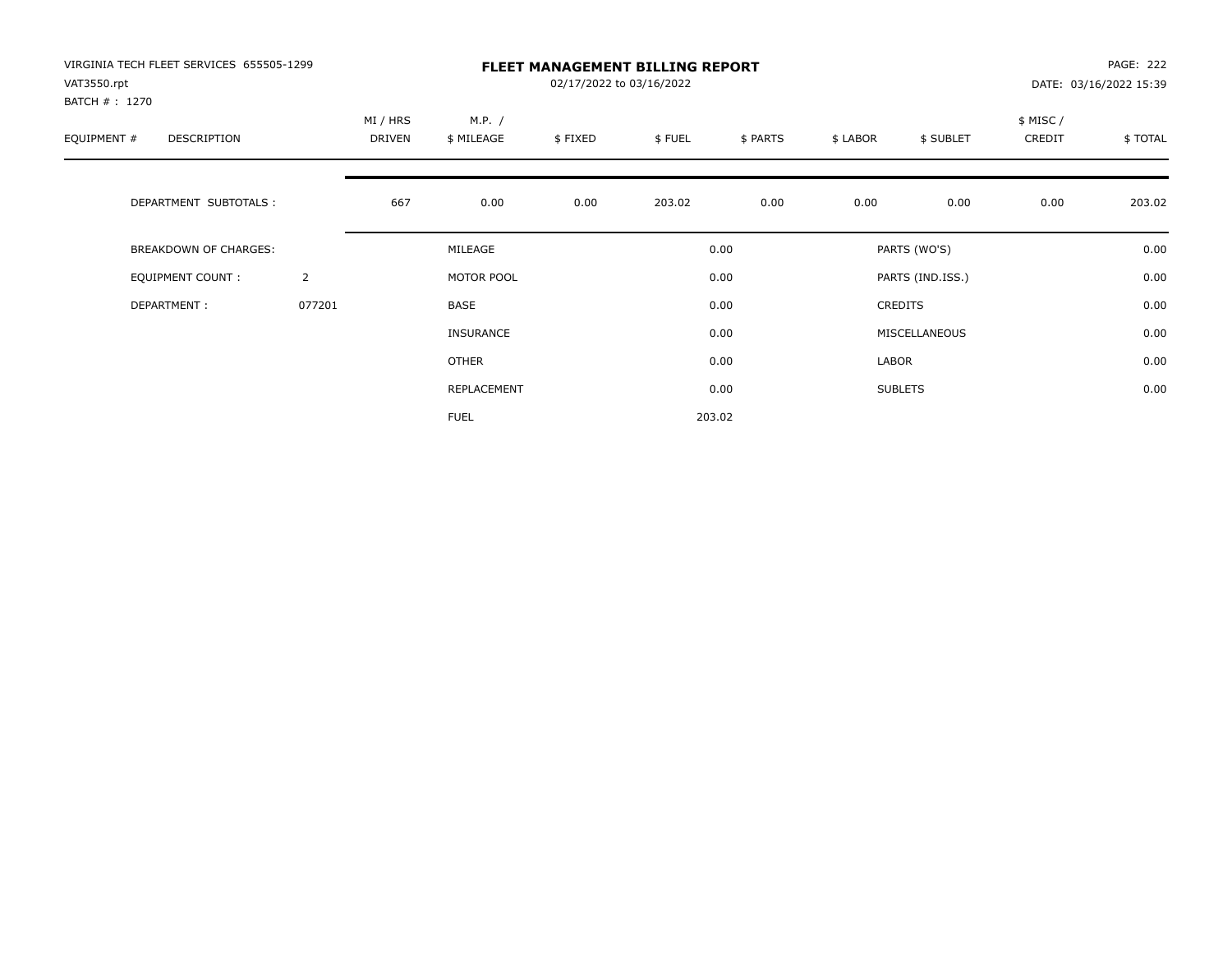| VIRGINIA TECH FLEET SERVICES 655505-1299<br>VAT3550.rpt |                |                    | <b>FLEET MANAGEMENT BILLING REPORT</b><br>02/17/2022 to 03/16/2022<br>DATE: 03/16/2022 15:39 |         |        |          |          |                  |                    |         |  |
|---------------------------------------------------------|----------------|--------------------|----------------------------------------------------------------------------------------------|---------|--------|----------|----------|------------------|--------------------|---------|--|
| BATCH # : 1270<br>EQUIPMENT #<br>DESCRIPTION            |                | MI / HRS<br>DRIVEN | M.P. /<br>\$ MILEAGE                                                                         | \$FIXED | \$FUEL | \$ PARTS | \$ LABOR | \$ SUBLET        | \$ MISC/<br>CREDIT | \$TOTAL |  |
| DEPARTMENT SUBTOTALS :                                  |                | 667                | 0.00                                                                                         | 0.00    | 203.02 | 0.00     | 0.00     | 0.00             | 0.00               | 203.02  |  |
| BREAKDOWN OF CHARGES:                                   |                |                    | MILEAGE                                                                                      |         |        | 0.00     |          | PARTS (WO'S)     |                    | 0.00    |  |
| <b>EQUIPMENT COUNT:</b>                                 | $\overline{2}$ |                    | MOTOR POOL                                                                                   |         |        | 0.00     |          | PARTS (IND.ISS.) |                    | 0.00    |  |
| DEPARTMENT:                                             | 077201         |                    | BASE                                                                                         |         |        | 0.00     |          | <b>CREDITS</b>   |                    | 0.00    |  |
|                                                         |                |                    | <b>INSURANCE</b>                                                                             |         |        | 0.00     |          | MISCELLANEOUS    |                    | 0.00    |  |
|                                                         |                |                    | <b>OTHER</b>                                                                                 |         |        | 0.00     | LABOR    |                  |                    | 0.00    |  |
|                                                         |                |                    | REPLACEMENT                                                                                  |         |        | 0.00     |          | <b>SUBLETS</b>   |                    | 0.00    |  |
|                                                         |                |                    | <b>FUEL</b>                                                                                  |         |        | 203.02   |          |                  |                    |         |  |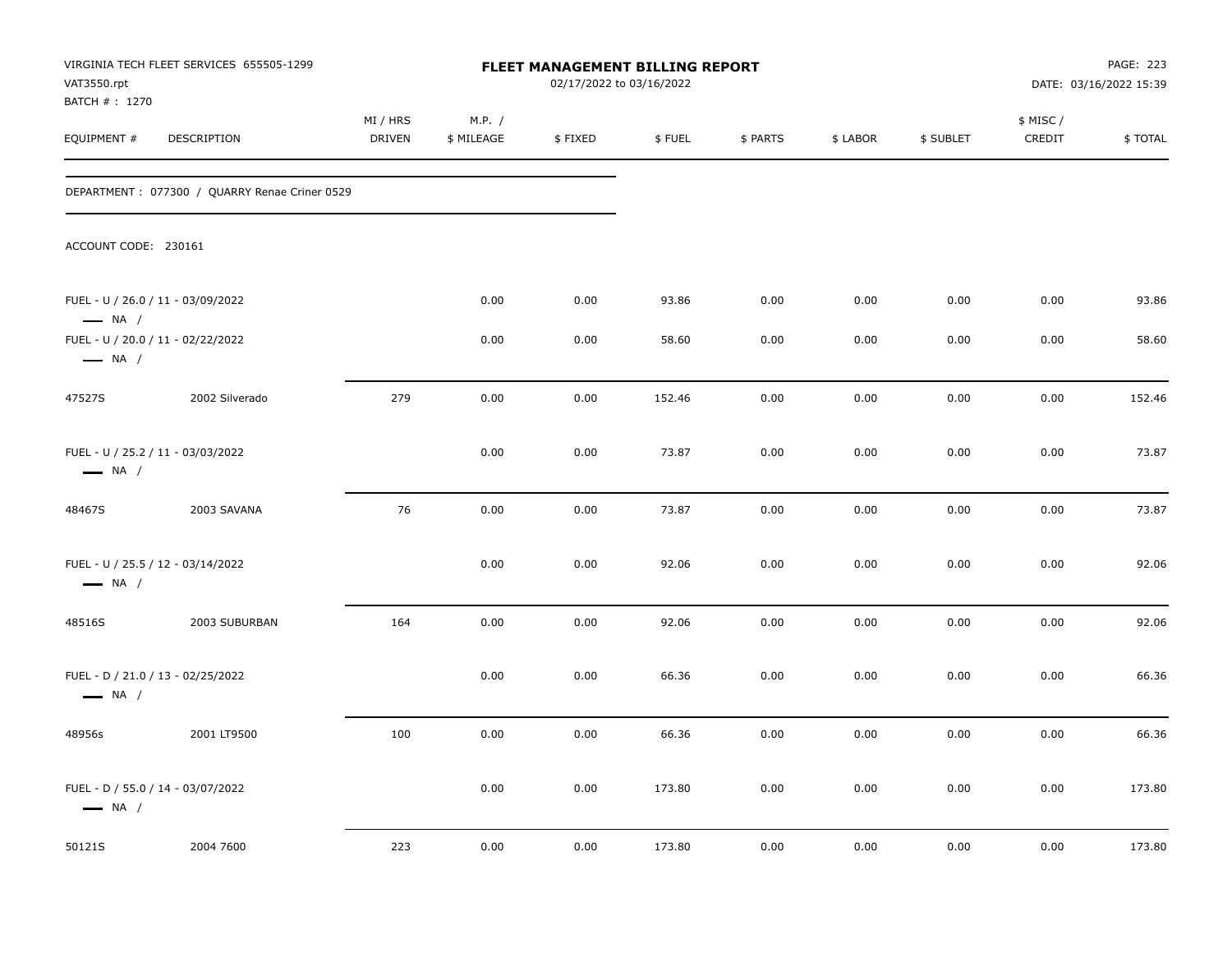| VAT3550.rpt                   | VIRGINIA TECH FLEET SERVICES 655505-1299      |                    |                      | FLEET MANAGEMENT BILLING REPORT<br>02/17/2022 to 03/16/2022 |        |          |          |           |                    | PAGE: 223<br>DATE: 03/16/2022 15:39 |
|-------------------------------|-----------------------------------------------|--------------------|----------------------|-------------------------------------------------------------|--------|----------|----------|-----------|--------------------|-------------------------------------|
| BATCH # : 1270<br>EQUIPMENT # | DESCRIPTION                                   | MI / HRS<br>DRIVEN | M.P. /<br>\$ MILEAGE | \$FIXED                                                     | \$FUEL | \$ PARTS | \$ LABOR | \$ SUBLET | \$ MISC/<br>CREDIT | \$TOTAL                             |
|                               | DEPARTMENT: 077300 / QUARRY Renae Criner 0529 |                    |                      |                                                             |        |          |          |           |                    |                                     |
| ACCOUNT CODE: 230161          |                                               |                    |                      |                                                             |        |          |          |           |                    |                                     |
| $\longrightarrow$ NA /        | FUEL - U / 26.0 / 11 - 03/09/2022             |                    | 0.00                 | 0.00                                                        | 93.86  | 0.00     | 0.00     | 0.00      | 0.00               | 93.86                               |
| $\longrightarrow$ NA /        | FUEL - U / 20.0 / 11 - 02/22/2022             |                    | 0.00                 | 0.00                                                        | 58.60  | 0.00     | 0.00     | 0.00      | 0.00               | 58.60                               |
| 47527S                        | 2002 Silverado                                | 279                | 0.00                 | 0.00                                                        | 152.46 | 0.00     | 0.00     | 0.00      | 0.00               | 152.46                              |
| $\longrightarrow$ NA /        | FUEL - U / 25.2 / 11 - 03/03/2022             |                    | 0.00                 | 0.00                                                        | 73.87  | 0.00     | 0.00     | 0.00      | 0.00               | 73.87                               |
| 48467S                        | 2003 SAVANA                                   | 76                 | 0.00                 | 0.00                                                        | 73.87  | 0.00     | 0.00     | 0.00      | 0.00               | 73.87                               |
| $\longrightarrow$ NA /        | FUEL - U / 25.5 / 12 - 03/14/2022             |                    | 0.00                 | 0.00                                                        | 92.06  | 0.00     | 0.00     | 0.00      | 0.00               | 92.06                               |
| 48516S                        | 2003 SUBURBAN                                 | 164                | 0.00                 | 0.00                                                        | 92.06  | 0.00     | 0.00     | 0.00      | 0.00               | 92.06                               |
| $\longrightarrow$ NA /        | FUEL - D / 21.0 / 13 - 02/25/2022             |                    | 0.00                 | 0.00                                                        | 66.36  | 0.00     | 0.00     | 0.00      | 0.00               | 66.36                               |
| 48956s                        | 2001 LT9500                                   | 100                | 0.00                 | 0.00                                                        | 66.36  | 0.00     | 0.00     | 0.00      | 0.00               | 66.36                               |
| $\longrightarrow$ NA /        | FUEL - D / 55.0 / 14 - 03/07/2022             |                    | 0.00                 | 0.00                                                        | 173.80 | 0.00     | 0.00     | 0.00      | 0.00               | 173.80                              |
| 50121S                        | 2004 7600                                     | 223                | 0.00                 | 0.00                                                        | 173.80 | 0.00     | 0.00     | 0.00      | 0.00               | 173.80                              |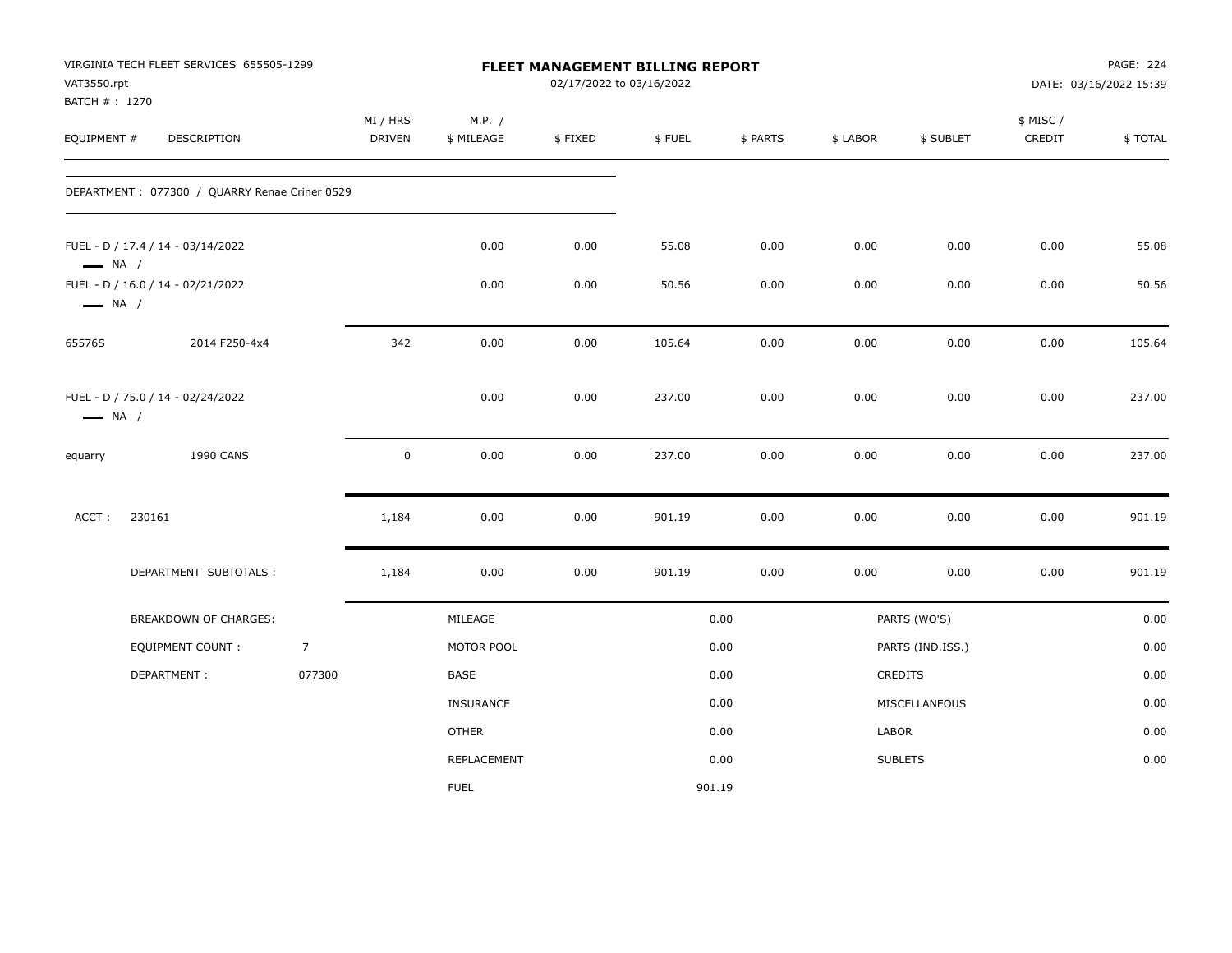| VAT3550.rpt<br>BATCH # : 1270 | VIRGINIA TECH FLEET SERVICES 655505-1299       |                |                           |                      | 02/17/2022 to 03/16/2022 | FLEET MANAGEMENT BILLING REPORT |          |          |                  |                     | PAGE: 224<br>DATE: 03/16/2022 15:39 |
|-------------------------------|------------------------------------------------|----------------|---------------------------|----------------------|--------------------------|---------------------------------|----------|----------|------------------|---------------------|-------------------------------------|
| EQUIPMENT #                   | DESCRIPTION                                    |                | MI / HRS<br><b>DRIVEN</b> | M.P. /<br>\$ MILEAGE | \$FIXED                  | \$FUEL                          | \$ PARTS | \$ LABOR | \$ SUBLET        | \$ MISC /<br>CREDIT | \$TOTAL                             |
|                               | DEPARTMENT : 077300 / QUARRY Renae Criner 0529 |                |                           |                      |                          |                                 |          |          |                  |                     |                                     |
| $\longrightarrow$ NA /        | FUEL - D / 17.4 / 14 - 03/14/2022              |                |                           | 0.00                 | 0.00                     | 55.08                           | 0.00     | 0.00     | 0.00             | 0.00                | 55.08                               |
| $\longrightarrow$ NA /        | FUEL - D / 16.0 / 14 - 02/21/2022              |                |                           | 0.00                 | 0.00                     | 50.56                           | 0.00     | 0.00     | 0.00             | 0.00                | 50.56                               |
| 65576S                        | 2014 F250-4x4                                  |                | 342                       | 0.00                 | 0.00                     | 105.64                          | 0.00     | 0.00     | 0.00             | 0.00                | 105.64                              |
| $\longrightarrow$ NA /        | FUEL - D / 75.0 / 14 - 02/24/2022              |                |                           | 0.00                 | 0.00                     | 237.00                          | 0.00     | 0.00     | 0.00             | 0.00                | 237.00                              |
| equarry                       | <b>1990 CANS</b>                               |                | $\mathbf 0$               | 0.00                 | 0.00                     | 237.00                          | 0.00     | 0.00     | 0.00             | 0.00                | 237.00                              |
| ACCT:                         | 230161                                         |                | 1,184                     | 0.00                 | 0.00                     | 901.19                          | 0.00     | 0.00     | 0.00             | 0.00                | 901.19                              |
|                               | DEPARTMENT SUBTOTALS :                         |                | 1,184                     | 0.00                 | 0.00                     | 901.19                          | 0.00     | 0.00     | 0.00             | 0.00                | 901.19                              |
|                               | BREAKDOWN OF CHARGES:                          |                |                           | MILEAGE              |                          |                                 | 0.00     |          | PARTS (WO'S)     |                     | 0.00                                |
|                               | <b>EQUIPMENT COUNT:</b>                        | $\overline{7}$ |                           | MOTOR POOL           |                          |                                 | 0.00     |          | PARTS (IND.ISS.) |                     | 0.00                                |
|                               | DEPARTMENT:                                    | 077300         |                           | <b>BASE</b>          |                          |                                 | 0.00     |          | <b>CREDITS</b>   |                     | 0.00                                |
|                               |                                                |                |                           | <b>INSURANCE</b>     |                          |                                 | 0.00     |          | MISCELLANEOUS    |                     | 0.00                                |
|                               |                                                |                |                           | <b>OTHER</b>         |                          |                                 | 0.00     | LABOR    |                  |                     | 0.00                                |
|                               |                                                |                |                           | REPLACEMENT          |                          |                                 | 0.00     |          | <b>SUBLETS</b>   |                     | 0.00                                |
|                               |                                                |                |                           | <b>FUEL</b>          |                          | 901.19                          |          |          |                  |                     |                                     |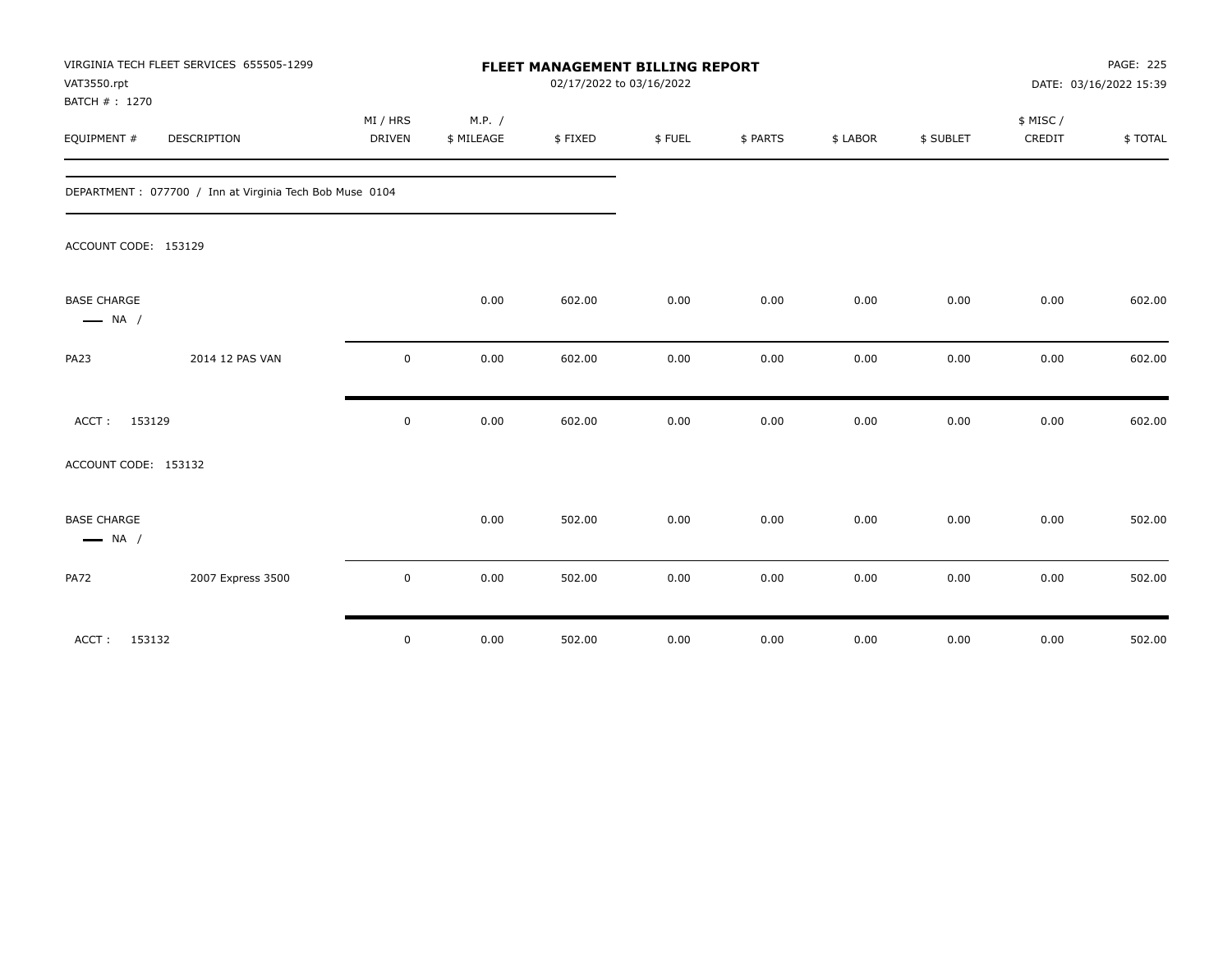| VAT3550.rpt<br>BATCH #: 1270                 | VIRGINIA TECH FLEET SERVICES 655505-1299                |             |            | FLEET MANAGEMENT BILLING REPORT<br>02/17/2022 to 03/16/2022 |        |          |          |           | PAGE: 225<br>DATE: 03/16/2022 15:39 |         |
|----------------------------------------------|---------------------------------------------------------|-------------|------------|-------------------------------------------------------------|--------|----------|----------|-----------|-------------------------------------|---------|
|                                              |                                                         | MI / HRS    | M.P. /     |                                                             |        |          |          |           | \$ MISC /                           |         |
| EQUIPMENT #                                  | DESCRIPTION                                             | DRIVEN      | \$ MILEAGE | \$FIXED                                                     | \$FUEL | \$ PARTS | \$ LABOR | \$ SUBLET | CREDIT                              | \$TOTAL |
|                                              | DEPARTMENT: 077700 / Inn at Virginia Tech Bob Muse 0104 |             |            |                                                             |        |          |          |           |                                     |         |
| ACCOUNT CODE: 153129                         |                                                         |             |            |                                                             |        |          |          |           |                                     |         |
| <b>BASE CHARGE</b><br>$\longrightarrow$ NA / |                                                         |             | 0.00       | 602.00                                                      | 0.00   | 0.00     | 0.00     | 0.00      | 0.00                                | 602.00  |
| <b>PA23</b>                                  | 2014 12 PAS VAN                                         | $\mathbf 0$ | 0.00       | 602.00                                                      | 0.00   | 0.00     | 0.00     | 0.00      | 0.00                                | 602.00  |
| ACCT: 153129                                 |                                                         | $\mathbf 0$ | 0.00       | 602.00                                                      | 0.00   | 0.00     | 0.00     | 0.00      | 0.00                                | 602.00  |
| ACCOUNT CODE: 153132                         |                                                         |             |            |                                                             |        |          |          |           |                                     |         |
| <b>BASE CHARGE</b><br>$\longrightarrow$ NA / |                                                         |             | 0.00       | 502.00                                                      | 0.00   | 0.00     | 0.00     | 0.00      | 0.00                                | 502.00  |
| <b>PA72</b>                                  | 2007 Express 3500                                       | 0           | 0.00       | 502.00                                                      | 0.00   | 0.00     | 0.00     | 0.00      | 0.00                                | 502.00  |
| ACCT:                                        | 153132                                                  | $\mathsf 0$ | 0.00       | 502.00                                                      | 0.00   | 0.00     | 0.00     | 0.00      | 0.00                                | 502.00  |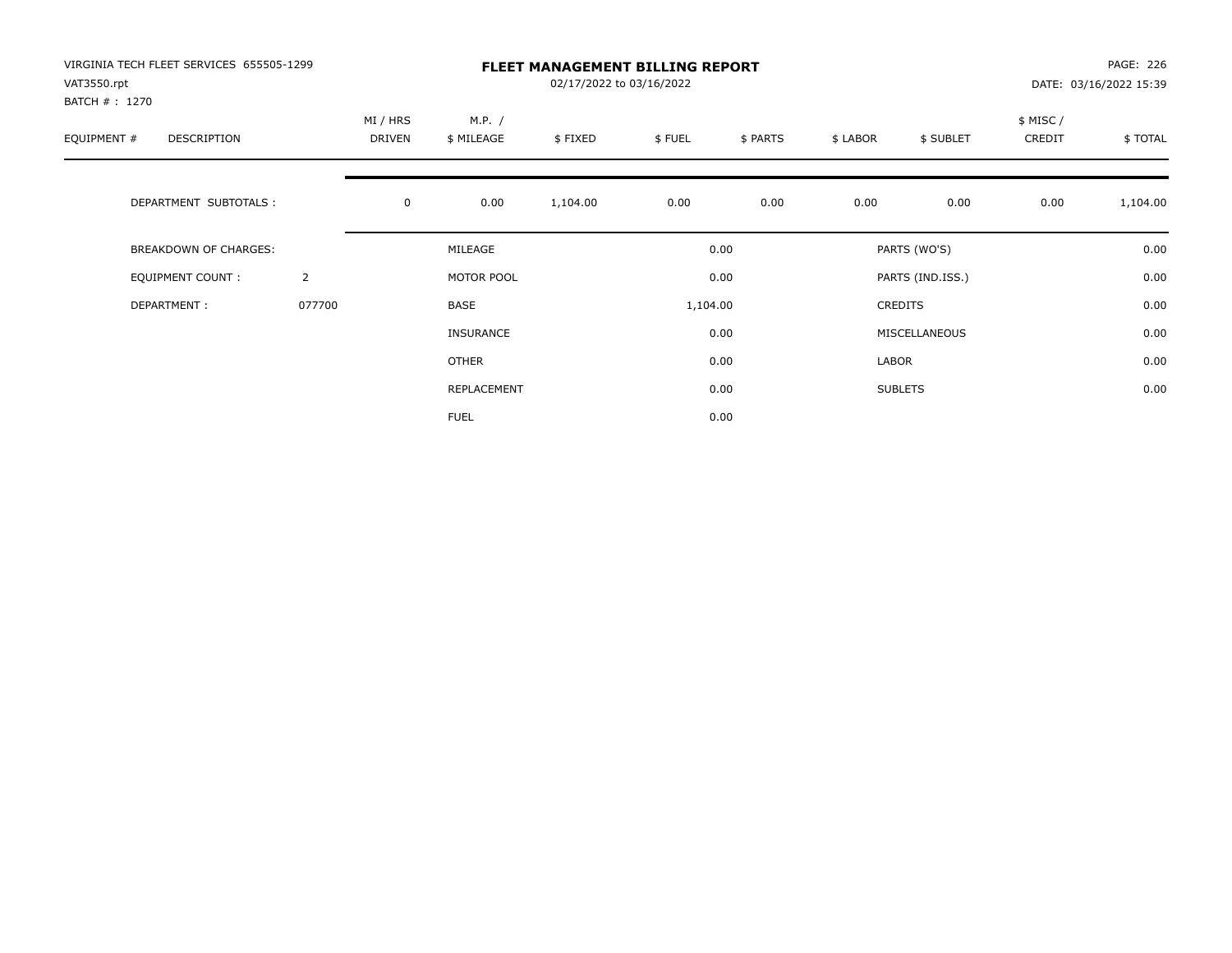| VIRGINIA TECH FLEET SERVICES 655505-1299<br>VAT3550.rpt |                | <b>FLEET MANAGEMENT BILLING REPORT</b><br>02/17/2022 to 03/16/2022<br>DATE: 03/16/2022 15:39 |                      |          |          |          |          |                  |                    |          |
|---------------------------------------------------------|----------------|----------------------------------------------------------------------------------------------|----------------------|----------|----------|----------|----------|------------------|--------------------|----------|
| BATCH # : 1270<br>EQUIPMENT #<br>DESCRIPTION            |                | MI / HRS<br>DRIVEN                                                                           | M.P. /<br>\$ MILEAGE | \$FIXED  | \$FUEL   | \$ PARTS | \$ LABOR | \$ SUBLET        | \$ MISC/<br>CREDIT | \$TOTAL  |
| DEPARTMENT SUBTOTALS :                                  |                | $\mathbf 0$                                                                                  | 0.00                 | 1,104.00 | 0.00     | 0.00     | 0.00     | 0.00             | 0.00               | 1,104.00 |
| BREAKDOWN OF CHARGES:                                   |                |                                                                                              | MILEAGE              |          |          | 0.00     |          | PARTS (WO'S)     |                    | 0.00     |
| <b>EQUIPMENT COUNT:</b>                                 | $\overline{2}$ |                                                                                              | MOTOR POOL           |          |          | 0.00     |          | PARTS (IND.ISS.) |                    | 0.00     |
| DEPARTMENT:                                             | 077700         |                                                                                              | BASE                 |          | 1,104.00 |          |          | <b>CREDITS</b>   |                    | 0.00     |
|                                                         |                |                                                                                              | <b>INSURANCE</b>     |          |          | 0.00     |          | MISCELLANEOUS    |                    | 0.00     |
|                                                         |                |                                                                                              | <b>OTHER</b>         |          |          | 0.00     | LABOR    |                  |                    | 0.00     |
|                                                         |                |                                                                                              | REPLACEMENT          |          |          | 0.00     |          | <b>SUBLETS</b>   |                    | 0.00     |
|                                                         |                |                                                                                              | <b>FUEL</b>          |          |          | 0.00     |          |                  |                    |          |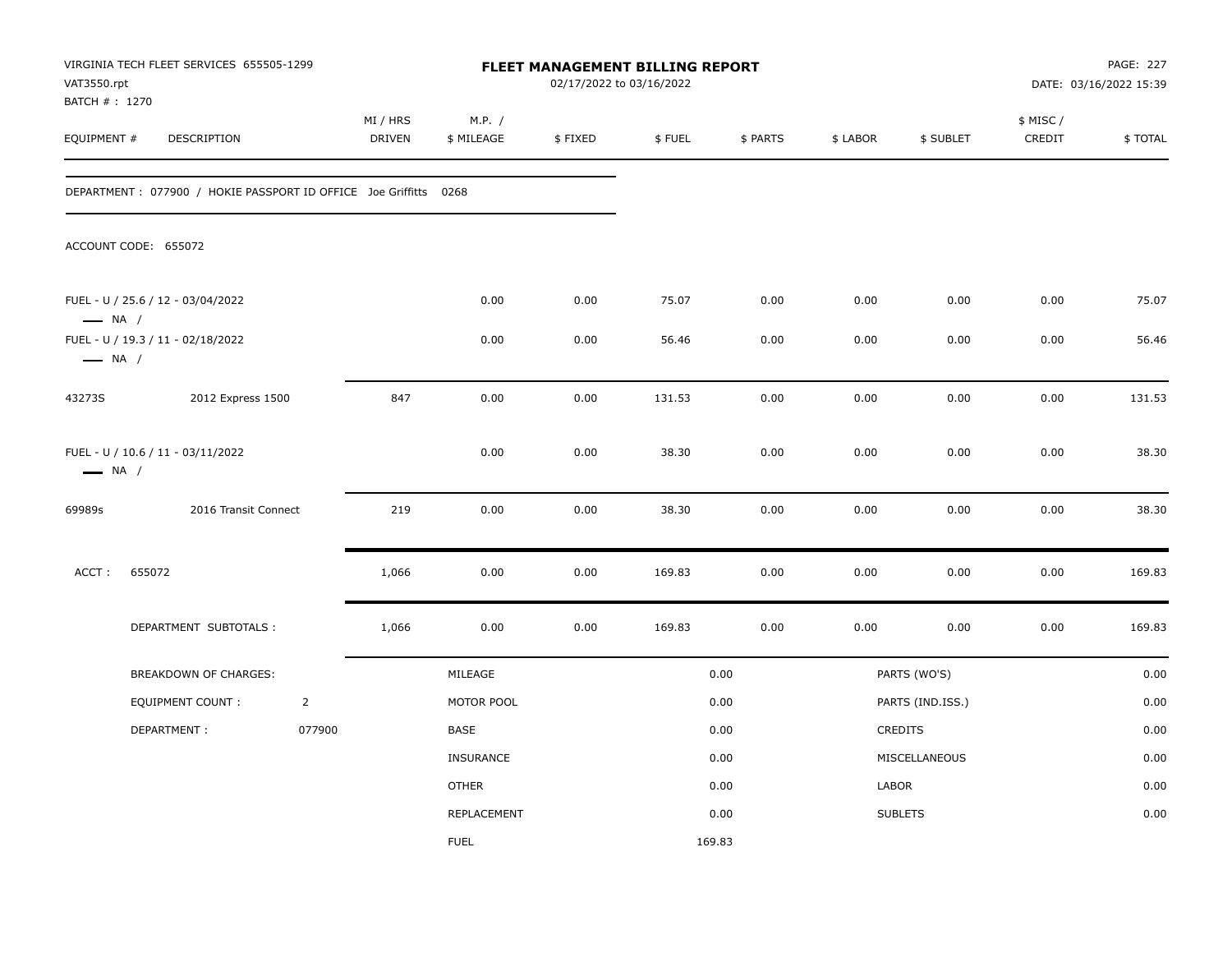| VAT3550.rpt<br>BATCH #: 1270 | VIRGINIA TECH FLEET SERVICES 655505-1299                          |                |                    |                      |         | <b>FLEET MANAGEMENT BILLING REPORT</b><br>02/17/2022 to 03/16/2022 |          |          |                  |                    | PAGE: 227<br>DATE: 03/16/2022 15:39 |
|------------------------------|-------------------------------------------------------------------|----------------|--------------------|----------------------|---------|--------------------------------------------------------------------|----------|----------|------------------|--------------------|-------------------------------------|
| EQUIPMENT #                  | DESCRIPTION                                                       |                | MI / HRS<br>DRIVEN | M.P. /<br>\$ MILEAGE | \$FIXED | \$FUEL                                                             | \$ PARTS | \$ LABOR | \$ SUBLET        | \$ MISC/<br>CREDIT | \$TOTAL                             |
|                              | DEPARTMENT : 077900 / HOKIE PASSPORT ID OFFICE Joe Griffitts 0268 |                |                    |                      |         |                                                                    |          |          |                  |                    |                                     |
|                              | ACCOUNT CODE: 655072                                              |                |                    |                      |         |                                                                    |          |          |                  |                    |                                     |
| $\longrightarrow$ NA /       | FUEL - U / 25.6 / 12 - 03/04/2022                                 |                |                    | 0.00                 | 0.00    | 75.07                                                              | 0.00     | 0.00     | 0.00             | 0.00               | 75.07                               |
| $\longrightarrow$ NA /       | FUEL - U / 19.3 / 11 - 02/18/2022                                 |                |                    | 0.00                 | 0.00    | 56.46                                                              | 0.00     | 0.00     | 0.00             | 0.00               | 56.46                               |
| 43273S                       | 2012 Express 1500                                                 |                | 847                | 0.00                 | 0.00    | 131.53                                                             | 0.00     | 0.00     | 0.00             | 0.00               | 131.53                              |
| $\longrightarrow$ NA /       | FUEL - U / 10.6 / 11 - 03/11/2022                                 |                |                    | 0.00                 | 0.00    | 38.30                                                              | 0.00     | 0.00     | 0.00             | 0.00               | 38.30                               |
| 69989s                       | 2016 Transit Connect                                              |                | 219                | 0.00                 | 0.00    | 38.30                                                              | 0.00     | 0.00     | 0.00             | 0.00               | 38.30                               |
| ACCT:                        | 655072                                                            |                | 1,066              | 0.00                 | 0.00    | 169.83                                                             | 0.00     | 0.00     | 0.00             | 0.00               | 169.83                              |
|                              | DEPARTMENT SUBTOTALS :                                            |                | 1,066              | 0.00                 | 0.00    | 169.83                                                             | 0.00     | 0.00     | 0.00             | 0.00               | 169.83                              |
|                              | <b>BREAKDOWN OF CHARGES:</b>                                      |                |                    | MILEAGE              |         |                                                                    | 0.00     |          | PARTS (WO'S)     |                    | 0.00                                |
|                              | <b>EQUIPMENT COUNT:</b>                                           | $\overline{2}$ |                    | MOTOR POOL           |         |                                                                    | 0.00     |          | PARTS (IND.ISS.) |                    | 0.00                                |
|                              | DEPARTMENT:                                                       | 077900         |                    | BASE                 |         |                                                                    | 0.00     |          | CREDITS          |                    | 0.00                                |
|                              |                                                                   |                |                    | <b>INSURANCE</b>     |         |                                                                    | 0.00     |          | MISCELLANEOUS    |                    | 0.00                                |
|                              |                                                                   |                |                    | <b>OTHER</b>         |         |                                                                    | 0.00     | LABOR    |                  |                    | 0.00                                |
|                              |                                                                   |                |                    | REPLACEMENT          |         |                                                                    | 0.00     |          | <b>SUBLETS</b>   |                    | 0.00                                |
|                              |                                                                   |                |                    | <b>FUEL</b>          |         | 169.83                                                             |          |          |                  |                    |                                     |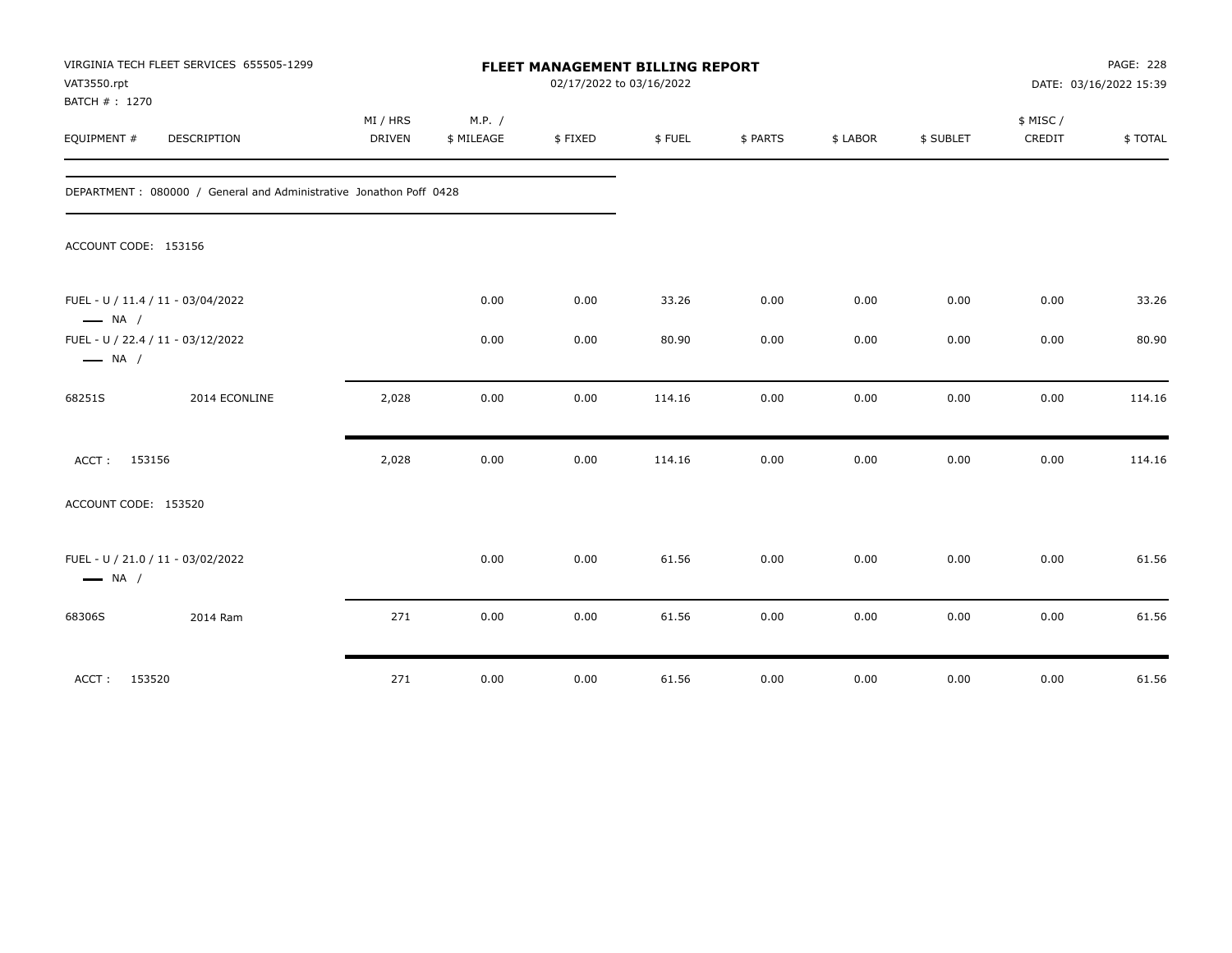| VAT3550.rpt<br>BATCH #: 1270 | VIRGINIA TECH FLEET SERVICES 655505-1299                            |                    |                      | FLEET MANAGEMENT BILLING REPORT<br>02/17/2022 to 03/16/2022 |        |          |          |           |                    | PAGE: 228<br>DATE: 03/16/2022 15:39 |
|------------------------------|---------------------------------------------------------------------|--------------------|----------------------|-------------------------------------------------------------|--------|----------|----------|-----------|--------------------|-------------------------------------|
| EQUIPMENT #                  | DESCRIPTION                                                         | MI / HRS<br>DRIVEN | M.P. /<br>\$ MILEAGE | \$FIXED                                                     | \$FUEL | \$ PARTS | \$ LABOR | \$ SUBLET | \$ MISC/<br>CREDIT | \$TOTAL                             |
|                              | DEPARTMENT : 080000 / General and Administrative Jonathon Poff 0428 |                    |                      |                                                             |        |          |          |           |                    |                                     |
| ACCOUNT CODE: 153156         |                                                                     |                    |                      |                                                             |        |          |          |           |                    |                                     |
| $\longrightarrow$ NA /       | FUEL - U / 11.4 / 11 - 03/04/2022                                   |                    | 0.00                 | 0.00                                                        | 33.26  | 0.00     | 0.00     | 0.00      | 0.00               | 33.26                               |
| $\longrightarrow$ NA /       | FUEL - U / 22.4 / 11 - 03/12/2022                                   |                    | 0.00                 | 0.00                                                        | 80.90  | 0.00     | 0.00     | 0.00      | 0.00               | 80.90                               |
| 68251S                       | 2014 ECONLINE                                                       | 2,028              | 0.00                 | 0.00                                                        | 114.16 | 0.00     | 0.00     | 0.00      | 0.00               | 114.16                              |
| ACCT: 153156                 |                                                                     | 2,028              | 0.00                 | 0.00                                                        | 114.16 | 0.00     | 0.00     | 0.00      | 0.00               | 114.16                              |
| ACCOUNT CODE: 153520         |                                                                     |                    |                      |                                                             |        |          |          |           |                    |                                     |
| $\longrightarrow$ NA /       | FUEL - U / 21.0 / 11 - 03/02/2022                                   |                    | 0.00                 | 0.00                                                        | 61.56  | 0.00     | 0.00     | 0.00      | 0.00               | 61.56                               |
| 68306S                       | 2014 Ram                                                            | 271                | 0.00                 | 0.00                                                        | 61.56  | 0.00     | 0.00     | 0.00      | 0.00               | 61.56                               |
| ACCT:                        | 153520                                                              | 271                | 0.00                 | 0.00                                                        | 61.56  | 0.00     | 0.00     | 0.00      | 0.00               | 61.56                               |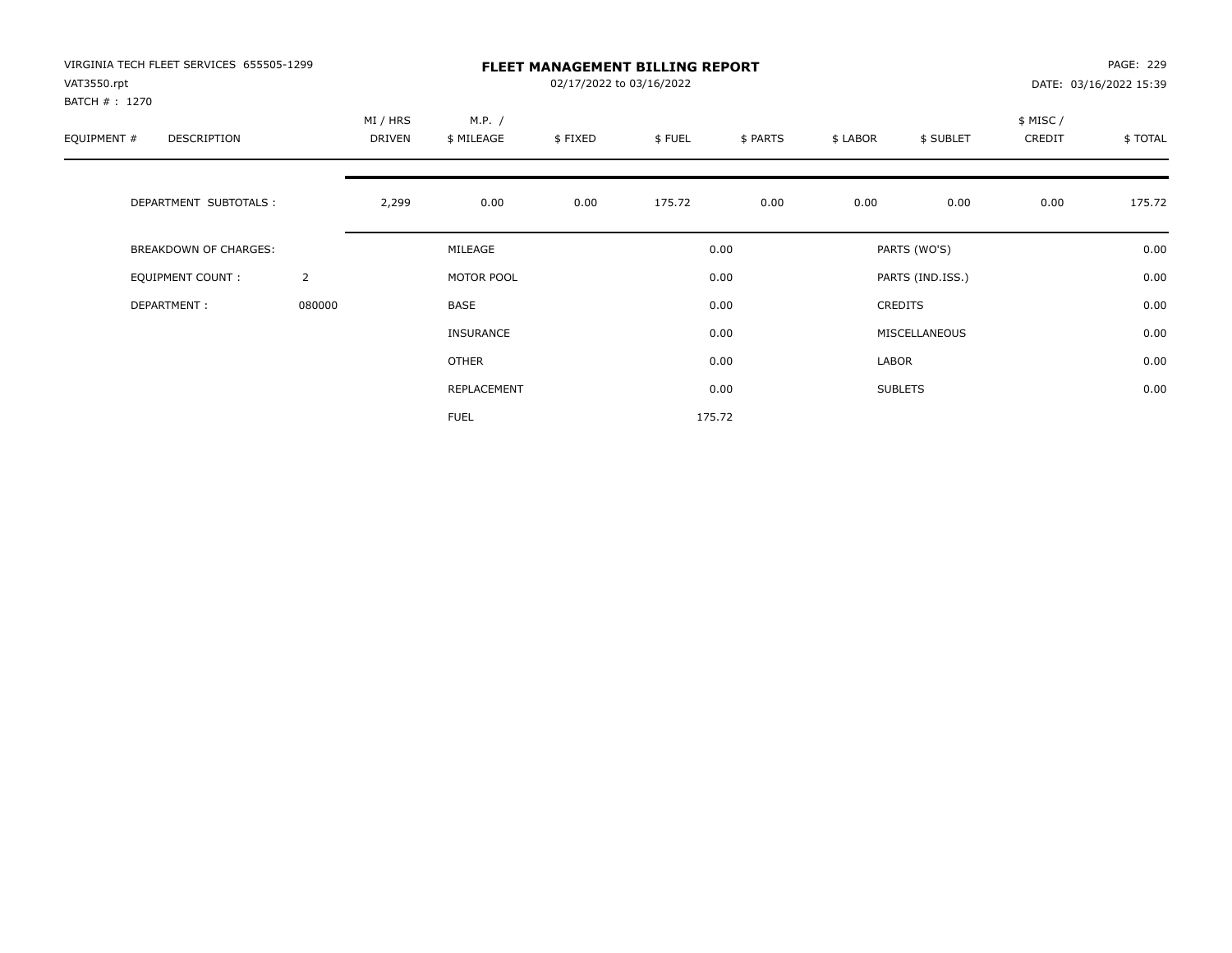| VIRGINIA TECH FLEET SERVICES 655505-1299<br>VAT3550.rpt |                |                    |                      | 02/17/2022 to 03/16/2022 | <b>FLEET MANAGEMENT BILLING REPORT</b> |          |          |                  |                    | PAGE: 229<br>DATE: 03/16/2022 15:39 |
|---------------------------------------------------------|----------------|--------------------|----------------------|--------------------------|----------------------------------------|----------|----------|------------------|--------------------|-------------------------------------|
| BATCH #: 1270<br>EQUIPMENT #<br>DESCRIPTION             |                | MI / HRS<br>DRIVEN | M.P. /<br>\$ MILEAGE | \$FIXED                  | \$FUEL                                 | \$ PARTS | \$ LABOR | \$ SUBLET        | \$ MISC/<br>CREDIT | \$TOTAL                             |
| DEPARTMENT SUBTOTALS :                                  |                | 2,299              | 0.00                 | 0.00                     | 175.72                                 | 0.00     | 0.00     | 0.00             | 0.00               | 175.72                              |
| <b>BREAKDOWN OF CHARGES:</b>                            |                |                    | MILEAGE              |                          |                                        | 0.00     |          | PARTS (WO'S)     |                    | 0.00                                |
| EQUIPMENT COUNT:                                        | $\overline{2}$ |                    | MOTOR POOL           |                          |                                        | 0.00     |          | PARTS (IND.ISS.) |                    | 0.00                                |
| DEPARTMENT:                                             | 080000         |                    | <b>BASE</b>          |                          |                                        | 0.00     |          | <b>CREDITS</b>   |                    | 0.00                                |
|                                                         |                |                    | <b>INSURANCE</b>     |                          |                                        | 0.00     |          | MISCELLANEOUS    |                    | 0.00                                |
|                                                         |                |                    | <b>OTHER</b>         |                          |                                        | 0.00     | LABOR    |                  |                    | 0.00                                |
|                                                         |                |                    | REPLACEMENT          |                          |                                        | 0.00     |          | <b>SUBLETS</b>   |                    | 0.00                                |
|                                                         |                |                    | <b>FUEL</b>          |                          |                                        | 175.72   |          |                  |                    |                                     |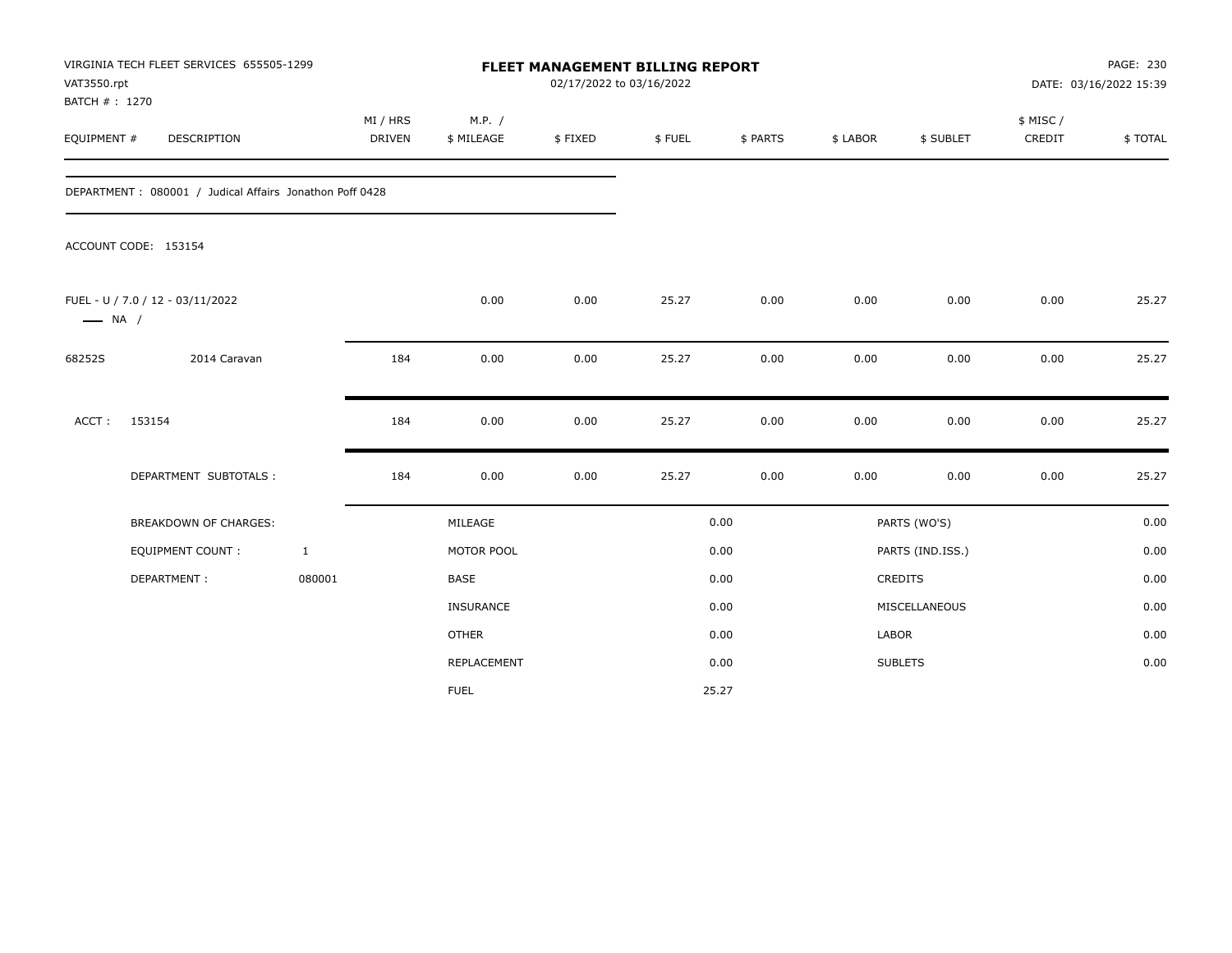| VAT3550.rpt<br>BATCH #: 1270 | VIRGINIA TECH FLEET SERVICES 655505-1299                |                           |                      | FLEET MANAGEMENT BILLING REPORT<br>02/17/2022 to 03/16/2022 |        |          |          | PAGE: 230<br>DATE: 03/16/2022 15:39 |                    |         |
|------------------------------|---------------------------------------------------------|---------------------------|----------------------|-------------------------------------------------------------|--------|----------|----------|-------------------------------------|--------------------|---------|
| EQUIPMENT #                  | <b>DESCRIPTION</b>                                      | MI / HRS<br><b>DRIVEN</b> | M.P. /<br>\$ MILEAGE | \$FIXED                                                     | \$FUEL | \$ PARTS | \$ LABOR | \$ SUBLET                           | \$ MISC/<br>CREDIT | \$TOTAL |
|                              | DEPARTMENT: 080001 / Judical Affairs Jonathon Poff 0428 |                           |                      |                                                             |        |          |          |                                     |                    |         |
|                              | ACCOUNT CODE: 153154                                    |                           |                      |                                                             |        |          |          |                                     |                    |         |
| $\longrightarrow$ NA /       | FUEL - U / 7.0 / 12 - 03/11/2022                        |                           | 0.00                 | 0.00                                                        | 25.27  | 0.00     | 0.00     | 0.00                                | 0.00               | 25.27   |
| 68252S                       | 2014 Caravan                                            | 184                       | 0.00                 | 0.00                                                        | 25.27  | 0.00     | 0.00     | 0.00                                | 0.00               | 25.27   |
| ACCT:                        | 153154                                                  | 184                       | 0.00                 | 0.00                                                        | 25.27  | 0.00     | 0.00     | 0.00                                | 0.00               | 25.27   |
|                              | DEPARTMENT SUBTOTALS :                                  | 184                       | 0.00                 | 0.00                                                        | 25.27  | 0.00     | 0.00     | 0.00                                | 0.00               | 25.27   |
|                              | BREAKDOWN OF CHARGES:                                   |                           | MILEAGE              |                                                             |        | 0.00     |          | PARTS (WO'S)                        |                    | 0.00    |
|                              | <b>EQUIPMENT COUNT:</b>                                 | $\mathbf{1}$              | MOTOR POOL           |                                                             |        | 0.00     |          | PARTS (IND.ISS.)                    |                    | 0.00    |
|                              | DEPARTMENT:                                             | 080001                    | <b>BASE</b>          |                                                             |        | 0.00     |          | <b>CREDITS</b>                      |                    | 0.00    |
|                              |                                                         |                           | INSURANCE            |                                                             |        | 0.00     |          | MISCELLANEOUS                       |                    | 0.00    |
|                              |                                                         |                           | <b>OTHER</b>         |                                                             |        | 0.00     | LABOR    |                                     |                    | 0.00    |
|                              |                                                         |                           | REPLACEMENT          |                                                             |        | 0.00     |          | <b>SUBLETS</b>                      |                    | 0.00    |
|                              |                                                         |                           | <b>FUEL</b>          |                                                             |        | 25.27    |          |                                     |                    |         |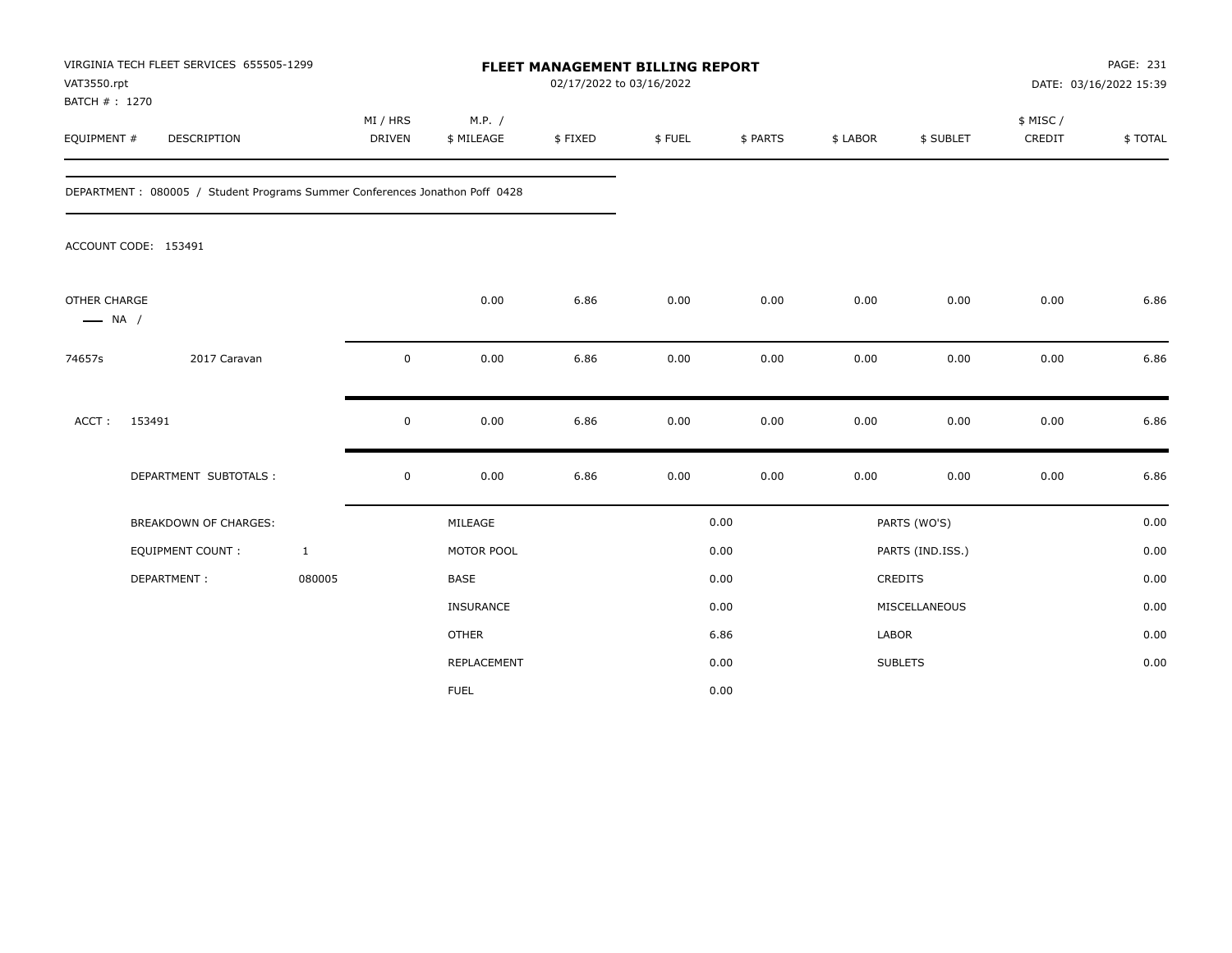| VAT3550.rpt<br>BATCH #: 1270           | VIRGINIA TECH FLEET SERVICES 655505-1299                                    | FLEET MANAGEMENT BILLING REPORT<br>02/17/2022 to 03/16/2022 |                      |         |        |          |          |                  | PAGE: 231<br>DATE: 03/16/2022 15:39 |         |
|----------------------------------------|-----------------------------------------------------------------------------|-------------------------------------------------------------|----------------------|---------|--------|----------|----------|------------------|-------------------------------------|---------|
| EQUIPMENT #                            | DESCRIPTION                                                                 | MI / HRS<br>DRIVEN                                          | M.P. /<br>\$ MILEAGE | \$FIXED | \$FUEL | \$ PARTS | \$ LABOR | \$ SUBLET        | \$ MISC /<br>CREDIT                 | \$TOTAL |
|                                        | DEPARTMENT: 080005 / Student Programs Summer Conferences Jonathon Poff 0428 |                                                             |                      |         |        |          |          |                  |                                     |         |
|                                        | ACCOUNT CODE: 153491                                                        |                                                             |                      |         |        |          |          |                  |                                     |         |
| OTHER CHARGE<br>$\longrightarrow$ NA / |                                                                             |                                                             | 0.00                 | 6.86    | 0.00   | 0.00     | 0.00     | 0.00             | 0.00                                | 6.86    |
| 74657s                                 | 2017 Caravan                                                                | 0                                                           | 0.00                 | 6.86    | 0.00   | 0.00     | 0.00     | 0.00             | 0.00                                | 6.86    |
| ACCT:                                  | 153491                                                                      | $\mathbf 0$                                                 | 0.00                 | 6.86    | 0.00   | 0.00     | 0.00     | 0.00             | 0.00                                | 6.86    |
|                                        | DEPARTMENT SUBTOTALS :                                                      | $\mathsf 0$                                                 | 0.00                 | 6.86    | 0.00   | 0.00     | 0.00     | 0.00             | 0.00                                | 6.86    |
|                                        | <b>BREAKDOWN OF CHARGES:</b>                                                |                                                             | MILEAGE              |         |        | 0.00     |          | PARTS (WO'S)     |                                     | 0.00    |
|                                        | EQUIPMENT COUNT:                                                            | $\mathbf{1}$                                                | MOTOR POOL           |         |        | 0.00     |          | PARTS (IND.ISS.) |                                     | 0.00    |
|                                        | DEPARTMENT:                                                                 | 080005                                                      | <b>BASE</b>          |         |        | 0.00     |          | CREDITS          |                                     | 0.00    |
|                                        |                                                                             |                                                             | INSURANCE            |         |        | 0.00     |          | MISCELLANEOUS    |                                     | 0.00    |
|                                        |                                                                             |                                                             | <b>OTHER</b>         |         |        | 6.86     | LABOR    |                  |                                     | 0.00    |
|                                        |                                                                             |                                                             | <b>REPLACEMENT</b>   |         |        | 0.00     |          | <b>SUBLETS</b>   |                                     | 0.00    |
|                                        |                                                                             |                                                             | <b>FUEL</b>          |         |        | 0.00     |          |                  |                                     |         |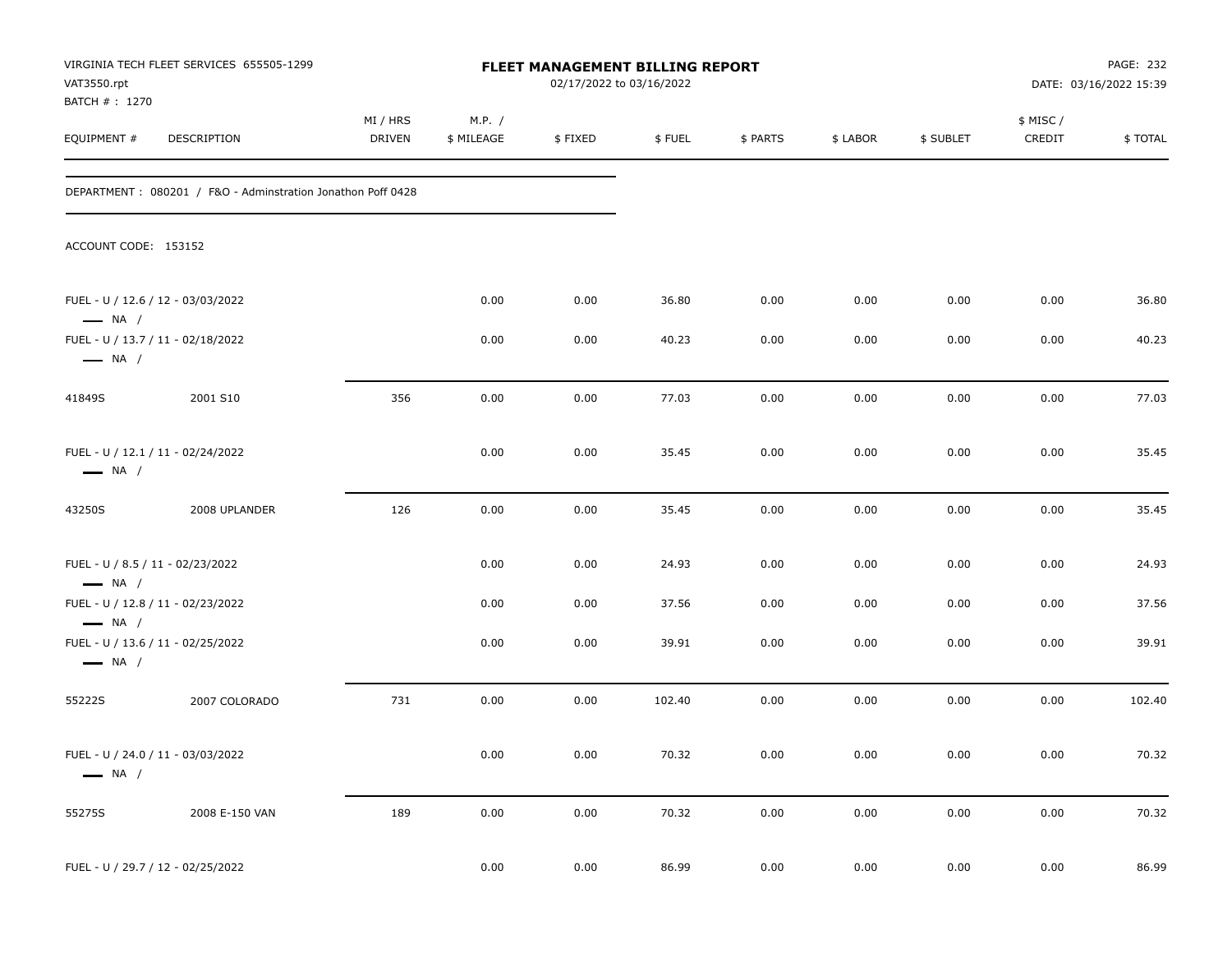| VAT3550.rpt                                                | VIRGINIA TECH FLEET SERVICES 655505-1299                    |                    |                      | FLEET MANAGEMENT BILLING REPORT<br>02/17/2022 to 03/16/2022 |        |          |          |           |                    | PAGE: 232<br>DATE: 03/16/2022 15:39 |
|------------------------------------------------------------|-------------------------------------------------------------|--------------------|----------------------|-------------------------------------------------------------|--------|----------|----------|-----------|--------------------|-------------------------------------|
| BATCH # : 1270<br>EQUIPMENT #                              | <b>DESCRIPTION</b>                                          | MI / HRS<br>DRIVEN | M.P. /<br>\$ MILEAGE | \$FIXED                                                     | \$FUEL | \$ PARTS | \$ LABOR | \$ SUBLET | \$ MISC/<br>CREDIT | \$TOTAL                             |
|                                                            | DEPARTMENT: 080201 / F&O - Adminstration Jonathon Poff 0428 |                    |                      |                                                             |        |          |          |           |                    |                                     |
| ACCOUNT CODE: 153152                                       |                                                             |                    |                      |                                                             |        |          |          |           |                    |                                     |
| $\longrightarrow$ NA /                                     | FUEL - U / 12.6 / 12 - 03/03/2022                           |                    | 0.00                 | 0.00                                                        | 36.80  | 0.00     | 0.00     | 0.00      | 0.00               | 36.80                               |
| $\longrightarrow$ NA /                                     | FUEL - U / 13.7 / 11 - 02/18/2022                           |                    | 0.00                 | 0.00                                                        | 40.23  | 0.00     | 0.00     | 0.00      | 0.00               | 40.23                               |
| 41849S                                                     | 2001 S10                                                    | 356                | 0.00                 | 0.00                                                        | 77.03  | 0.00     | 0.00     | 0.00      | 0.00               | 77.03                               |
| $\longrightarrow$ NA /                                     | FUEL - U / 12.1 / 11 - 02/24/2022                           |                    | 0.00                 | 0.00                                                        | 35.45  | 0.00     | 0.00     | 0.00      | 0.00               | 35.45                               |
| 43250S                                                     | 2008 UPLANDER                                               | 126                | 0.00                 | 0.00                                                        | 35.45  | 0.00     | 0.00     | 0.00      | 0.00               | 35.45                               |
| FUEL - U / 8.5 / 11 - 02/23/2022<br>$\longrightarrow$ NA / |                                                             |                    | 0.00                 | 0.00                                                        | 24.93  | 0.00     | 0.00     | 0.00      | 0.00               | 24.93                               |
| $\longrightarrow$ NA /                                     | FUEL - U / 12.8 / 11 - 02/23/2022                           |                    | 0.00                 | 0.00                                                        | 37.56  | 0.00     | 0.00     | 0.00      | 0.00               | 37.56                               |
| $\longrightarrow$ NA /                                     | FUEL - U / 13.6 / 11 - 02/25/2022                           |                    | 0.00                 | 0.00                                                        | 39.91  | 0.00     | 0.00     | 0.00      | 0.00               | 39.91                               |
| 55222S                                                     | 2007 COLORADO                                               | 731                | 0.00                 | 0.00                                                        | 102.40 | 0.00     | 0.00     | 0.00      | 0.00               | 102.40                              |
| $\longrightarrow$ NA /                                     | FUEL - U / 24.0 / 11 - 03/03/2022                           |                    | 0.00                 | $0.00\,$                                                    | 70.32  | 0.00     | 0.00     | 0.00      | 0.00               | 70.32                               |
| 55275S                                                     | 2008 E-150 VAN                                              | 189                | 0.00                 | 0.00                                                        | 70.32  | 0.00     | 0.00     | 0.00      | $0.00\,$           | 70.32                               |
|                                                            | FUEL - U / 29.7 / 12 - 02/25/2022                           |                    | 0.00                 | 0.00                                                        | 86.99  | $0.00\,$ | $0.00\,$ | 0.00      | 0.00               | 86.99                               |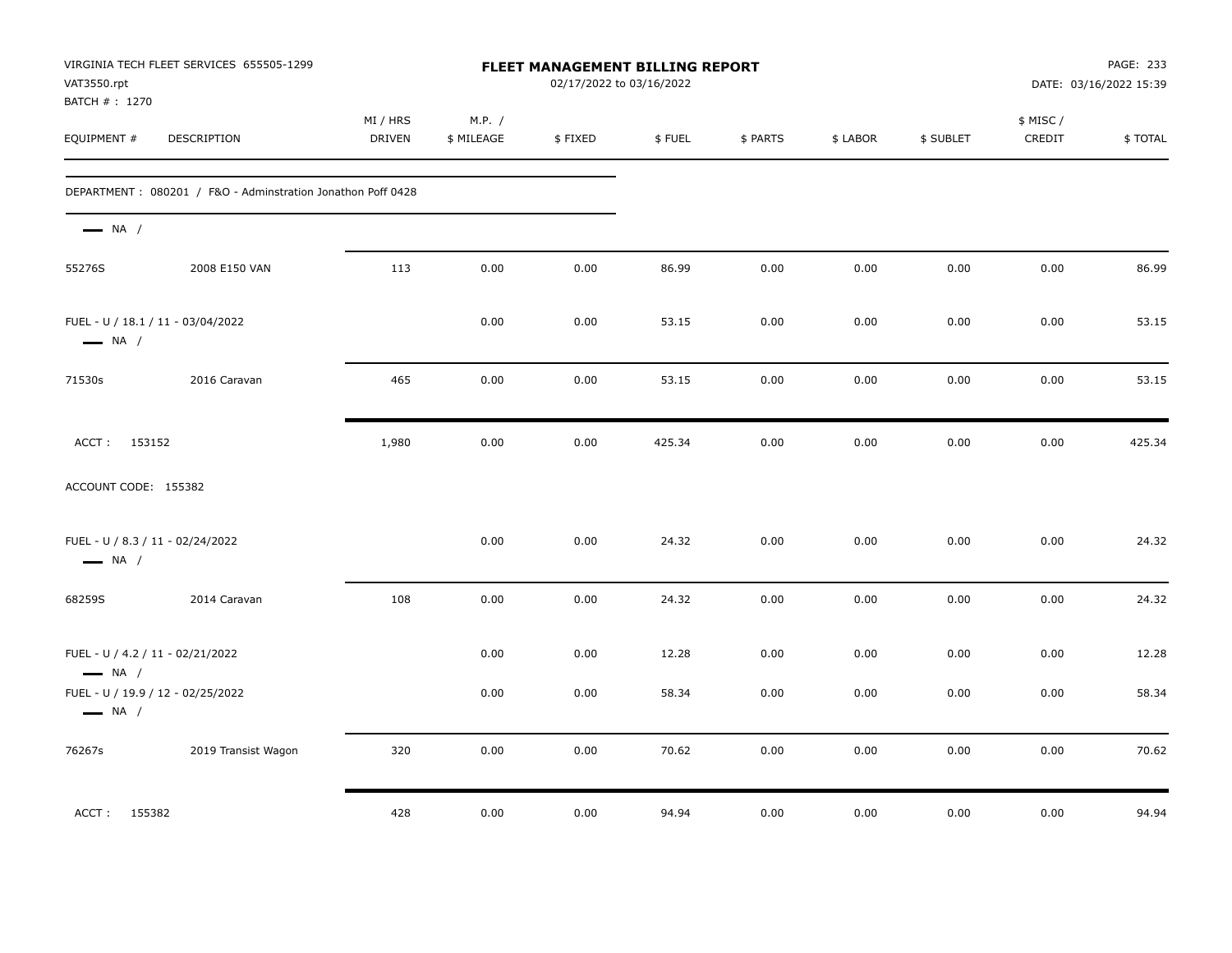| VAT3550.rpt<br>BATCH #: 1270                               | VIRGINIA TECH FLEET SERVICES 655505-1299                    |                           |                      | <b>FLEET MANAGEMENT BILLING REPORT</b><br>02/17/2022 to 03/16/2022 |        |          |          |           |                     | PAGE: 233<br>DATE: 03/16/2022 15:39 |
|------------------------------------------------------------|-------------------------------------------------------------|---------------------------|----------------------|--------------------------------------------------------------------|--------|----------|----------|-----------|---------------------|-------------------------------------|
| EQUIPMENT #                                                | DESCRIPTION                                                 | MI / HRS<br><b>DRIVEN</b> | M.P. /<br>\$ MILEAGE | \$FIXED                                                            | \$FUEL | \$ PARTS | \$ LABOR | \$ SUBLET | \$ MISC /<br>CREDIT | \$TOTAL                             |
|                                                            | DEPARTMENT: 080201 / F&O - Adminstration Jonathon Poff 0428 |                           |                      |                                                                    |        |          |          |           |                     |                                     |
| $\longrightarrow$ NA /                                     |                                                             |                           |                      |                                                                    |        |          |          |           |                     |                                     |
| 55276S                                                     | 2008 E150 VAN                                               | 113                       | 0.00                 | 0.00                                                               | 86.99  | 0.00     | 0.00     | 0.00      | 0.00                | 86.99                               |
| $\longrightarrow$ NA /                                     | FUEL - U / 18.1 / 11 - 03/04/2022                           |                           | 0.00                 | 0.00                                                               | 53.15  | 0.00     | 0.00     | 0.00      | 0.00                | 53.15                               |
| 71530s                                                     | 2016 Caravan                                                | 465                       | 0.00                 | 0.00                                                               | 53.15  | 0.00     | 0.00     | 0.00      | 0.00                | 53.15                               |
| ACCT: 153152                                               |                                                             | 1,980                     | 0.00                 | 0.00                                                               | 425.34 | 0.00     | 0.00     | 0.00      | 0.00                | 425.34                              |
| ACCOUNT CODE: 155382                                       |                                                             |                           |                      |                                                                    |        |          |          |           |                     |                                     |
| FUEL - U / 8.3 / 11 - 02/24/2022<br>$\longrightarrow$ NA / |                                                             |                           | 0.00                 | 0.00                                                               | 24.32  | 0.00     | 0.00     | 0.00      | 0.00                | 24.32                               |
| 68259S                                                     | 2014 Caravan                                                | 108                       | 0.00                 | 0.00                                                               | 24.32  | 0.00     | 0.00     | 0.00      | 0.00                | 24.32                               |
| FUEL - U / 4.2 / 11 - 02/21/2022<br>$\longrightarrow$ NA / |                                                             |                           | 0.00                 | 0.00                                                               | 12.28  | 0.00     | 0.00     | 0.00      | 0.00                | 12.28                               |
| $\longrightarrow$ NA /                                     | FUEL - U / 19.9 / 12 - 02/25/2022                           |                           | 0.00                 | 0.00                                                               | 58.34  | 0.00     | 0.00     | 0.00      | 0.00                | 58.34                               |
| 76267s                                                     | 2019 Transist Wagon                                         | 320                       | 0.00                 | 0.00                                                               | 70.62  | 0.00     | 0.00     | 0.00      | 0.00                | 70.62                               |
| ACCT: 155382                                               |                                                             | 428                       | 0.00                 | 0.00                                                               | 94.94  | 0.00     | 0.00     | 0.00      | 0.00                | 94.94                               |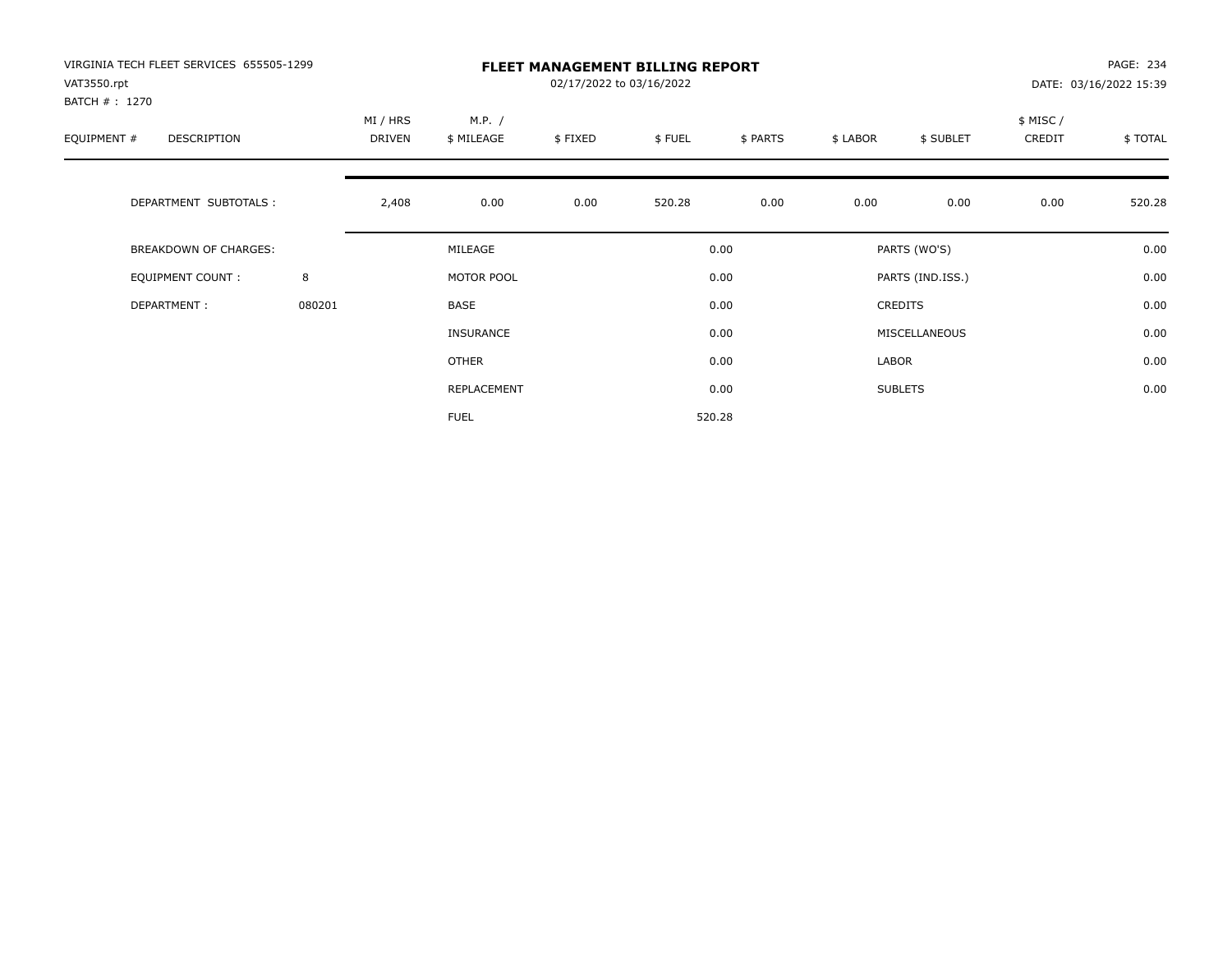| VIRGINIA TECH FLEET SERVICES 655505-1299<br>VAT3550.rpt |        |          |                  | 02/17/2022 to 03/16/2022 | <b>FLEET MANAGEMENT BILLING REPORT</b> |          |          |                  |          | PAGE: 234<br>DATE: 03/16/2022 15:39 |
|---------------------------------------------------------|--------|----------|------------------|--------------------------|----------------------------------------|----------|----------|------------------|----------|-------------------------------------|
| BATCH # : 1270                                          |        |          |                  |                          |                                        |          |          |                  |          |                                     |
|                                                         |        | MI / HRS | M.P. /           |                          |                                        |          |          |                  | \$ MISC/ |                                     |
| EQUIPMENT #<br>DESCRIPTION                              |        | DRIVEN   | \$ MILEAGE       | \$FIXED                  | \$FUEL                                 | \$ PARTS | \$ LABOR | \$ SUBLET        | CREDIT   | \$TOTAL                             |
|                                                         |        |          |                  |                          |                                        |          |          |                  |          |                                     |
| DEPARTMENT SUBTOTALS :                                  |        | 2,408    | 0.00             | 0.00                     | 520.28                                 | 0.00     | 0.00     | 0.00             | 0.00     | 520.28                              |
| BREAKDOWN OF CHARGES:                                   |        |          | MILEAGE          |                          |                                        | 0.00     |          | PARTS (WO'S)     |          | 0.00                                |
| <b>EQUIPMENT COUNT:</b>                                 | 8      |          | MOTOR POOL       |                          |                                        | 0.00     |          | PARTS (IND.ISS.) |          | 0.00                                |
| DEPARTMENT:                                             | 080201 |          | BASE             |                          |                                        | 0.00     |          | <b>CREDITS</b>   |          | 0.00                                |
|                                                         |        |          | <b>INSURANCE</b> |                          |                                        | 0.00     |          | MISCELLANEOUS    |          | 0.00                                |
|                                                         |        |          | OTHER            |                          |                                        | 0.00     | LABOR    |                  |          | 0.00                                |
|                                                         |        |          | REPLACEMENT      |                          |                                        | 0.00     |          | <b>SUBLETS</b>   |          | 0.00                                |
|                                                         |        |          | <b>FUEL</b>      |                          |                                        | 520.28   |          |                  |          |                                     |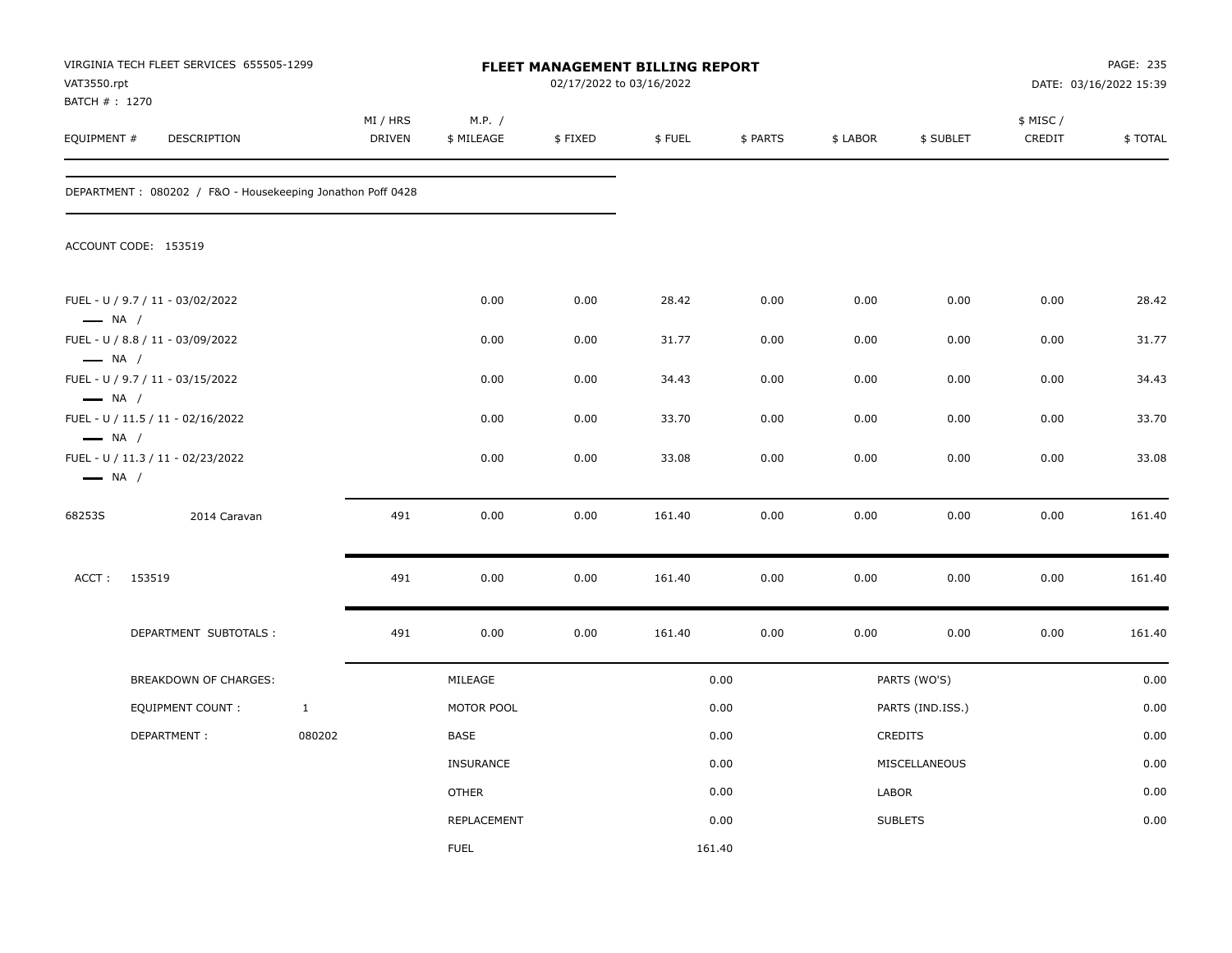| VAT3550.rpt<br>BATCH #: 1270                     | VIRGINIA TECH FLEET SERVICES 655505-1299                   |              |                           |                      | 02/17/2022 to 03/16/2022 | <b>FLEET MANAGEMENT BILLING REPORT</b> |          |          |                  |                     | PAGE: 235<br>DATE: 03/16/2022 15:39 |
|--------------------------------------------------|------------------------------------------------------------|--------------|---------------------------|----------------------|--------------------------|----------------------------------------|----------|----------|------------------|---------------------|-------------------------------------|
| EQUIPMENT #                                      | DESCRIPTION                                                |              | MI / HRS<br><b>DRIVEN</b> | M.P. /<br>\$ MILEAGE | \$FIXED                  | \$FUEL                                 | \$ PARTS | \$ LABOR | \$ SUBLET        | \$ MISC /<br>CREDIT | \$TOTAL                             |
|                                                  | DEPARTMENT: 080202 / F&O - Housekeeping Jonathon Poff 0428 |              |                           |                      |                          |                                        |          |          |                  |                     |                                     |
|                                                  | ACCOUNT CODE: 153519                                       |              |                           |                      |                          |                                        |          |          |                  |                     |                                     |
| $\longrightarrow$ NA /                           | FUEL - U / 9.7 / 11 - 03/02/2022                           |              |                           | 0.00                 | 0.00                     | 28.42                                  | 0.00     | 0.00     | 0.00             | 0.00                | 28.42                               |
|                                                  | FUEL - U / 8.8 / 11 - 03/09/2022                           |              |                           | 0.00                 | 0.00                     | 31.77                                  | 0.00     | 0.00     | 0.00             | 0.00                | 31.77                               |
| $\longrightarrow$ NA /                           | FUEL - U / 9.7 / 11 - 03/15/2022                           |              |                           | 0.00                 | 0.00                     | 34.43                                  | 0.00     | 0.00     | 0.00             | 0.00                | 34.43                               |
| $\longrightarrow$ NA /<br>$\longrightarrow$ NA / | FUEL - U / 11.5 / 11 - 02/16/2022                          |              |                           | 0.00                 | 0.00                     | 33.70                                  | 0.00     | 0.00     | 0.00             | 0.00                | 33.70                               |
| $\longrightarrow$ NA /                           | FUEL - U / 11.3 / 11 - 02/23/2022                          |              |                           | 0.00                 | 0.00                     | 33.08                                  | 0.00     | 0.00     | 0.00             | 0.00                | 33.08                               |
| 68253S                                           | 2014 Caravan                                               |              | 491                       | 0.00                 | 0.00                     | 161.40                                 | 0.00     | 0.00     | 0.00             | 0.00                | 161.40                              |
| ACCT:                                            | 153519                                                     |              | 491                       | 0.00                 | 0.00                     | 161.40                                 | 0.00     | 0.00     | 0.00             | 0.00                | 161.40                              |
|                                                  | DEPARTMENT SUBTOTALS:                                      |              | 491                       | 0.00                 | 0.00                     | 161.40                                 | 0.00     | 0.00     | 0.00             | 0.00                | 161.40                              |
|                                                  | BREAKDOWN OF CHARGES:                                      |              |                           | MILEAGE              |                          |                                        | 0.00     |          | PARTS (WO'S)     |                     | 0.00                                |
|                                                  | <b>EQUIPMENT COUNT:</b>                                    | $\mathbf{1}$ |                           | MOTOR POOL           |                          |                                        | 0.00     |          | PARTS (IND.ISS.) |                     | 0.00                                |
|                                                  | DEPARTMENT:                                                | 080202       |                           | BASE                 |                          |                                        | 0.00     |          | <b>CREDITS</b>   |                     | 0.00                                |
|                                                  |                                                            |              |                           | <b>INSURANCE</b>     |                          |                                        | 0.00     |          | MISCELLANEOUS    |                     | 0.00                                |
|                                                  |                                                            |              |                           | <b>OTHER</b>         |                          |                                        | 0.00     | LABOR    |                  |                     | 0.00                                |
|                                                  |                                                            |              |                           | REPLACEMENT          |                          |                                        | 0.00     |          | <b>SUBLETS</b>   |                     | 0.00                                |
|                                                  |                                                            |              |                           | <b>FUEL</b>          |                          | 161.40                                 |          |          |                  |                     |                                     |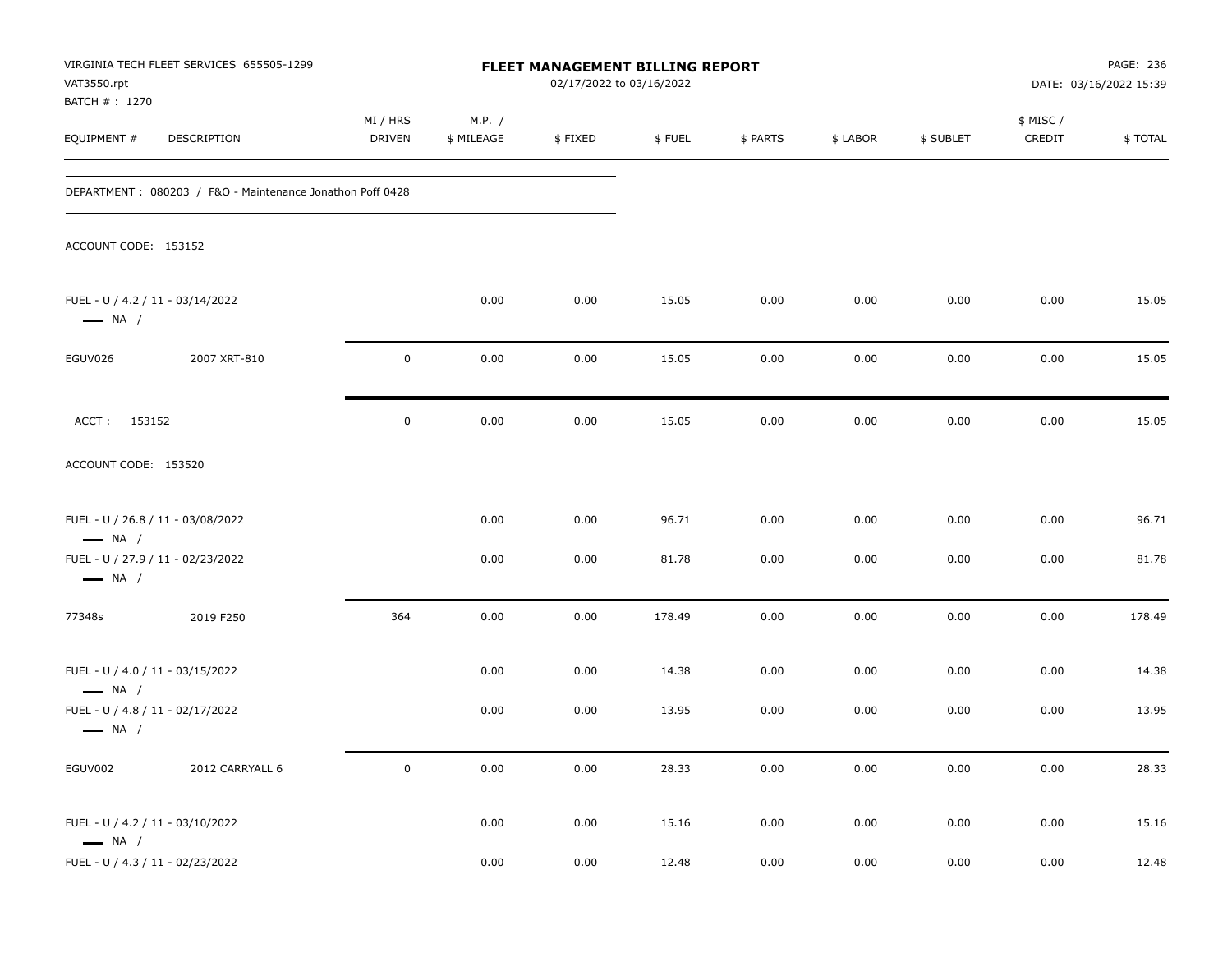| VAT3550.rpt<br>BATCH #: 1270                               | VIRGINIA TECH FLEET SERVICES 655505-1299                  |                           |                      | FLEET MANAGEMENT BILLING REPORT<br>02/17/2022 to 03/16/2022 |        |          |          |           |                     | PAGE: 236<br>DATE: 03/16/2022 15:39 |
|------------------------------------------------------------|-----------------------------------------------------------|---------------------------|----------------------|-------------------------------------------------------------|--------|----------|----------|-----------|---------------------|-------------------------------------|
| EQUIPMENT #                                                | DESCRIPTION                                               | MI / HRS<br><b>DRIVEN</b> | M.P. /<br>\$ MILEAGE | \$FIXED                                                     | \$FUEL | \$ PARTS | \$ LABOR | \$ SUBLET | \$ MISC /<br>CREDIT | <b>\$TOTAL</b>                      |
|                                                            | DEPARTMENT: 080203 / F&O - Maintenance Jonathon Poff 0428 |                           |                      |                                                             |        |          |          |           |                     |                                     |
| ACCOUNT CODE: 153152                                       |                                                           |                           |                      |                                                             |        |          |          |           |                     |                                     |
| FUEL - U / 4.2 / 11 - 03/14/2022<br>$\longrightarrow$ NA / |                                                           |                           | 0.00                 | 0.00                                                        | 15.05  | 0.00     | 0.00     | 0.00      | 0.00                | 15.05                               |
| EGUV026                                                    | 2007 XRT-810                                              | 0                         | 0.00                 | 0.00                                                        | 15.05  | 0.00     | 0.00     | 0.00      | 0.00                | 15.05                               |
| ACCT: 153152                                               |                                                           | 0                         | 0.00                 | 0.00                                                        | 15.05  | 0.00     | 0.00     | 0.00      | 0.00                | 15.05                               |
| ACCOUNT CODE: 153520                                       |                                                           |                           |                      |                                                             |        |          |          |           |                     |                                     |
| $\longrightarrow$ NA /                                     | FUEL - U / 26.8 / 11 - 03/08/2022                         |                           | 0.00                 | 0.00                                                        | 96.71  | 0.00     | 0.00     | 0.00      | 0.00                | 96.71                               |
| $\longrightarrow$ NA /                                     | FUEL - U / 27.9 / 11 - 02/23/2022                         |                           | 0.00                 | 0.00                                                        | 81.78  | 0.00     | 0.00     | 0.00      | 0.00                | 81.78                               |
| 77348s                                                     | 2019 F250                                                 | 364                       | 0.00                 | 0.00                                                        | 178.49 | 0.00     | 0.00     | 0.00      | 0.00                | 178.49                              |
| FUEL - U / 4.0 / 11 - 03/15/2022<br>$\longrightarrow$ NA / |                                                           |                           | 0.00                 | 0.00                                                        | 14.38  | 0.00     | 0.00     | 0.00      | 0.00                | 14.38                               |
| FUEL - U / 4.8 / 11 - 02/17/2022<br>$\longrightarrow$ NA / |                                                           |                           | 0.00                 | 0.00                                                        | 13.95  | 0.00     | 0.00     | 0.00      | 0.00                | 13.95                               |
| EGUV002                                                    | 2012 CARRYALL 6                                           | 0                         | 0.00                 | 0.00                                                        | 28.33  | $0.00\,$ | 0.00     | 0.00      | 0.00                | 28.33                               |
| FUEL - U / 4.2 / 11 - 03/10/2022<br>$\longrightarrow$ NA / |                                                           |                           | 0.00                 | 0.00                                                        | 15.16  | 0.00     | 0.00     | 0.00      | 0.00                | 15.16                               |
| FUEL - U / 4.3 / 11 - 02/23/2022                           |                                                           |                           | 0.00                 | 0.00                                                        | 12.48  | $0.00\,$ | 0.00     | 0.00      | 0.00                | 12.48                               |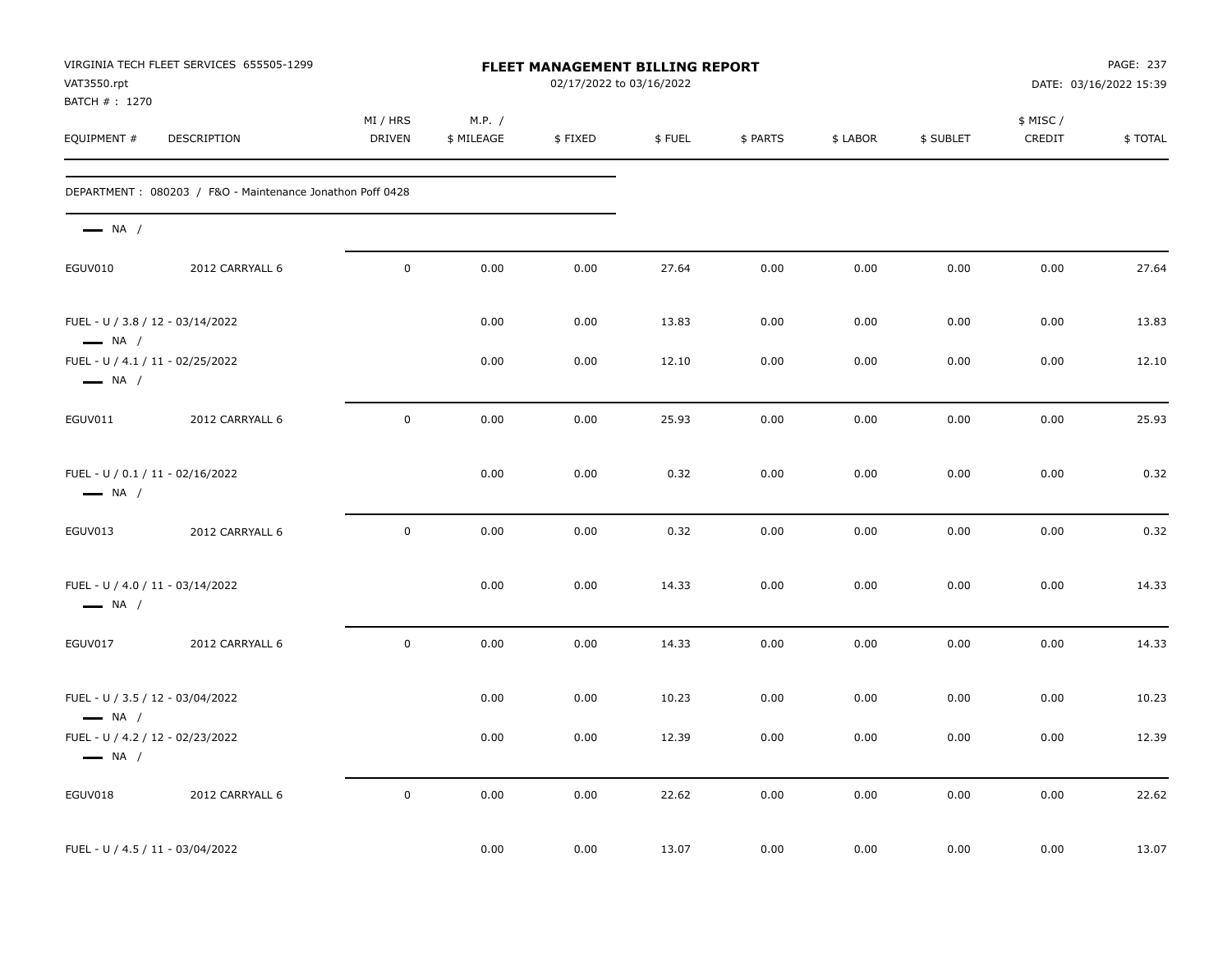| VAT3550.rpt<br>BATCH #: 1270                               | VIRGINIA TECH FLEET SERVICES 655505-1299                  |                    |                      | <b>FLEET MANAGEMENT BILLING REPORT</b><br>02/17/2022 to 03/16/2022 |        |          |          |           |                     | PAGE: 237<br>DATE: 03/16/2022 15:39 |
|------------------------------------------------------------|-----------------------------------------------------------|--------------------|----------------------|--------------------------------------------------------------------|--------|----------|----------|-----------|---------------------|-------------------------------------|
| EQUIPMENT #                                                | DESCRIPTION                                               | MI / HRS<br>DRIVEN | M.P. /<br>\$ MILEAGE | \$FIXED                                                            | \$FUEL | \$ PARTS | \$ LABOR | \$ SUBLET | \$ MISC /<br>CREDIT | \$TOTAL                             |
|                                                            | DEPARTMENT: 080203 / F&O - Maintenance Jonathon Poff 0428 |                    |                      |                                                                    |        |          |          |           |                     |                                     |
| $\longrightarrow$ NA /                                     |                                                           |                    |                      |                                                                    |        |          |          |           |                     |                                     |
| EGUV010                                                    | 2012 CARRYALL 6                                           | $\mathbf 0$        | 0.00                 | 0.00                                                               | 27.64  | 0.00     | 0.00     | 0.00      | 0.00                | 27.64                               |
| FUEL - U / 3.8 / 12 - 03/14/2022<br>$\longrightarrow$ NA / |                                                           |                    | 0.00                 | 0.00                                                               | 13.83  | 0.00     | 0.00     | 0.00      | 0.00                | 13.83                               |
| $\longrightarrow$ NA /                                     | FUEL - U / 4.1 / 11 - 02/25/2022                          |                    | 0.00                 | 0.00                                                               | 12.10  | 0.00     | 0.00     | 0.00      | 0.00                | 12.10                               |
| EGUV011                                                    | 2012 CARRYALL 6                                           | $\mathsf 0$        | 0.00                 | 0.00                                                               | 25.93  | 0.00     | 0.00     | 0.00      | 0.00                | 25.93                               |
| FUEL - U / 0.1 / 11 - 02/16/2022<br>$\longrightarrow$ NA / |                                                           |                    | 0.00                 | 0.00                                                               | 0.32   | 0.00     | 0.00     | 0.00      | 0.00                | 0.32                                |
| EGUV013                                                    | 2012 CARRYALL 6                                           | $\pmb{0}$          | 0.00                 | 0.00                                                               | 0.32   | 0.00     | 0.00     | 0.00      | 0.00                | 0.32                                |
| FUEL - U / 4.0 / 11 - 03/14/2022<br>$\longrightarrow$ NA / |                                                           |                    | 0.00                 | 0.00                                                               | 14.33  | 0.00     | 0.00     | 0.00      | 0.00                | 14.33                               |
| EGUV017                                                    | 2012 CARRYALL 6                                           | $\mathbf 0$        | 0.00                 | 0.00                                                               | 14.33  | 0.00     | 0.00     | 0.00      | 0.00                | 14.33                               |
| FUEL - U / 3.5 / 12 - 03/04/2022<br>$\longrightarrow$ NA / |                                                           |                    | 0.00                 | 0.00                                                               | 10.23  | 0.00     | 0.00     | 0.00      | 0.00                | 10.23                               |
| FUEL - U / 4.2 / 12 - 02/23/2022<br>$\longrightarrow$ NA / |                                                           |                    | 0.00                 | 0.00                                                               | 12.39  | 0.00     | 0.00     | 0.00      | 0.00                | 12.39                               |
| EGUV018                                                    | 2012 CARRYALL 6                                           | $\mathbf 0$        | 0.00                 | 0.00                                                               | 22.62  | 0.00     | 0.00     | 0.00      | 0.00                | 22.62                               |
| FUEL - U / 4.5 / 11 - 03/04/2022                           |                                                           |                    | 0.00                 | 0.00                                                               | 13.07  | 0.00     | 0.00     | 0.00      | 0.00                | 13.07                               |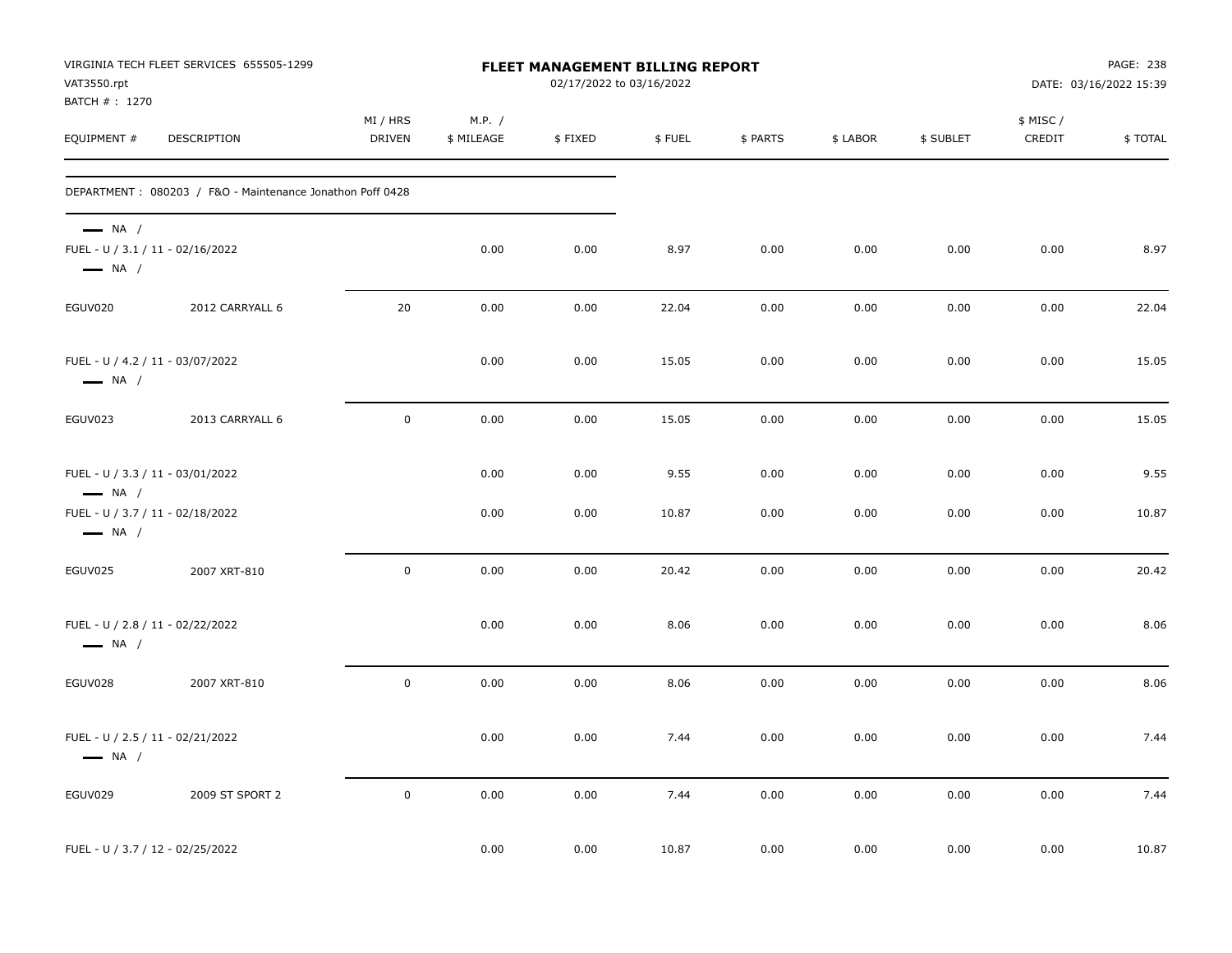| VAT3550.rpt<br>BATCH #: 1270                                                                                             | VIRGINIA TECH FLEET SERVICES 655505-1299                  |                           |                      | FLEET MANAGEMENT BILLING REPORT<br>02/17/2022 to 03/16/2022 |               |              |              |              |                    | PAGE: 238<br>DATE: 03/16/2022 15:39 |
|--------------------------------------------------------------------------------------------------------------------------|-----------------------------------------------------------|---------------------------|----------------------|-------------------------------------------------------------|---------------|--------------|--------------|--------------|--------------------|-------------------------------------|
| EQUIPMENT #                                                                                                              | DESCRIPTION                                               | MI / HRS<br><b>DRIVEN</b> | M.P. /<br>\$ MILEAGE | \$FIXED                                                     | \$FUEL        | \$ PARTS     | \$ LABOR     | \$ SUBLET    | \$ MISC/<br>CREDIT | \$TOTAL                             |
|                                                                                                                          | DEPARTMENT: 080203 / F&O - Maintenance Jonathon Poff 0428 |                           |                      |                                                             |               |              |              |              |                    |                                     |
| $\longrightarrow$ NA /<br>FUEL - U / 3.1 / 11 - 02/16/2022<br>$\longrightarrow$ NA /                                     |                                                           |                           | 0.00                 | 0.00                                                        | 8.97          | 0.00         | 0.00         | 0.00         | 0.00               | 8.97                                |
| EGUV020                                                                                                                  | 2012 CARRYALL 6                                           | 20                        | 0.00                 | 0.00                                                        | 22.04         | 0.00         | 0.00         | 0.00         | 0.00               | 22.04                               |
| FUEL - U / 4.2 / 11 - 03/07/2022<br>$\longrightarrow$ NA /                                                               |                                                           |                           | 0.00                 | 0.00                                                        | 15.05         | 0.00         | 0.00         | 0.00         | 0.00               | 15.05                               |
| EGUV023                                                                                                                  | 2013 CARRYALL 6                                           | $\mathbf 0$               | 0.00                 | 0.00                                                        | 15.05         | 0.00         | 0.00         | 0.00         | 0.00               | 15.05                               |
| FUEL - U / 3.3 / 11 - 03/01/2022<br>$\longrightarrow$ NA /<br>FUEL - U / 3.7 / 11 - 02/18/2022<br>$\longrightarrow$ NA / |                                                           |                           | 0.00<br>0.00         | 0.00<br>0.00                                                | 9.55<br>10.87 | 0.00<br>0.00 | 0.00<br>0.00 | 0.00<br>0.00 | 0.00<br>0.00       | 9.55<br>10.87                       |
| EGUV025                                                                                                                  | 2007 XRT-810                                              | $\mathbf 0$               | 0.00                 | 0.00                                                        | 20.42         | 0.00         | 0.00         | 0.00         | 0.00               | 20.42                               |
| FUEL - U / 2.8 / 11 - 02/22/2022<br>$\longrightarrow$ NA /                                                               |                                                           |                           | 0.00                 | 0.00                                                        | 8.06          | 0.00         | 0.00         | 0.00         | 0.00               | 8.06                                |
| EGUV028                                                                                                                  | 2007 XRT-810                                              | $\mathsf 0$               | 0.00                 | 0.00                                                        | 8.06          | 0.00         | 0.00         | 0.00         | 0.00               | 8.06                                |
| FUEL - U / 2.5 / 11 - 02/21/2022<br>$\longrightarrow$ NA /                                                               |                                                           |                           | 0.00                 | 0.00                                                        | 7.44          | 0.00         | 0.00         | 0.00         | 0.00               | 7.44                                |
| EGUV029                                                                                                                  | 2009 ST SPORT 2                                           | $\mathsf 0$               | 0.00                 | 0.00                                                        | 7.44          | 0.00         | 0.00         | 0.00         | 0.00               | 7.44                                |
| FUEL - U / 3.7 / 12 - 02/25/2022                                                                                         |                                                           |                           | 0.00                 | 0.00                                                        | 10.87         | 0.00         | 0.00         | 0.00         | 0.00               | 10.87                               |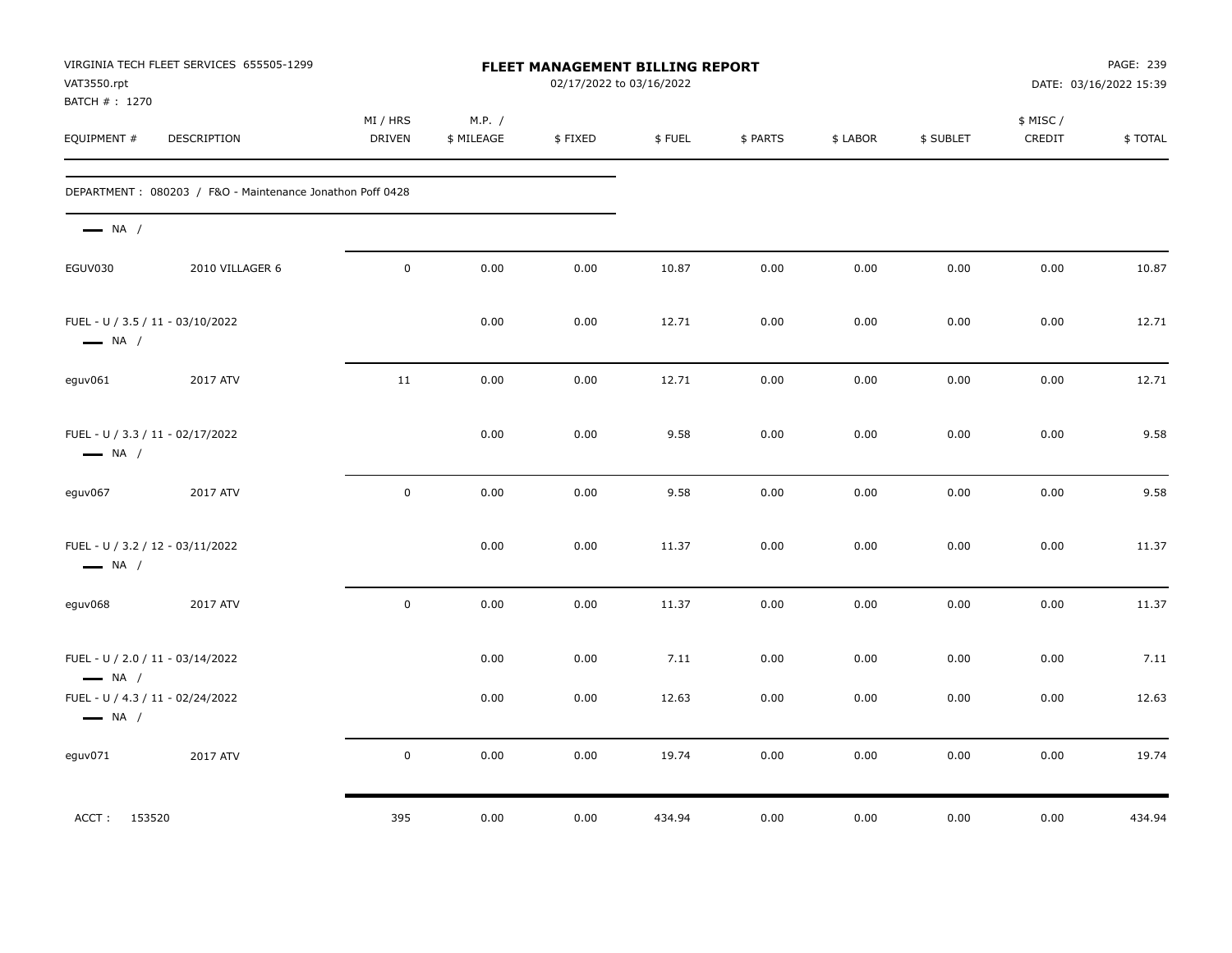| VAT3550.rpt<br>BATCH # : 1270 | VIRGINIA TECH FLEET SERVICES 655505-1299                  |                    |                      | FLEET MANAGEMENT BILLING REPORT<br>02/17/2022 to 03/16/2022 |        |          |          |           |                     | PAGE: 239<br>DATE: 03/16/2022 15:39 |
|-------------------------------|-----------------------------------------------------------|--------------------|----------------------|-------------------------------------------------------------|--------|----------|----------|-----------|---------------------|-------------------------------------|
| EQUIPMENT #                   | DESCRIPTION                                               | MI / HRS<br>DRIVEN | M.P. /<br>\$ MILEAGE | \$FIXED                                                     | \$FUEL | \$ PARTS | \$ LABOR | \$ SUBLET | \$ MISC /<br>CREDIT | \$TOTAL                             |
|                               | DEPARTMENT: 080203 / F&O - Maintenance Jonathon Poff 0428 |                    |                      |                                                             |        |          |          |           |                     |                                     |
| $\longrightarrow$ NA /        |                                                           |                    |                      |                                                             |        |          |          |           |                     |                                     |
| EGUV030                       | 2010 VILLAGER 6                                           | $\mathbf 0$        | 0.00                 | 0.00                                                        | 10.87  | 0.00     | 0.00     | 0.00      | 0.00                | 10.87                               |
| $\longrightarrow$ NA /        | FUEL - U / 3.5 / 11 - 03/10/2022                          |                    | 0.00                 | 0.00                                                        | 12.71  | 0.00     | 0.00     | 0.00      | 0.00                | 12.71                               |
| eguv061                       | 2017 ATV                                                  | 11                 | 0.00                 | 0.00                                                        | 12.71  | 0.00     | 0.00     | 0.00      | 0.00                | 12.71                               |
| $\longrightarrow$ NA /        | FUEL - U / 3.3 / 11 - 02/17/2022                          |                    | 0.00                 | 0.00                                                        | 9.58   | 0.00     | 0.00     | 0.00      | 0.00                | 9.58                                |
| eguv067                       | 2017 ATV                                                  | $\mathbf 0$        | 0.00                 | 0.00                                                        | 9.58   | 0.00     | 0.00     | 0.00      | 0.00                | 9.58                                |
| $\longrightarrow$ NA /        | FUEL - U / 3.2 / 12 - 03/11/2022                          |                    | 0.00                 | 0.00                                                        | 11.37  | 0.00     | 0.00     | 0.00      | 0.00                | 11.37                               |
| eguv068                       | 2017 ATV                                                  | $\mathbf 0$        | 0.00                 | 0.00                                                        | 11.37  | 0.00     | 0.00     | 0.00      | 0.00                | 11.37                               |
| $\longrightarrow$ NA /        | FUEL - U / 2.0 / 11 - 03/14/2022                          |                    | 0.00                 | 0.00                                                        | 7.11   | 0.00     | 0.00     | 0.00      | 0.00                | 7.11                                |
| $\longrightarrow$ NA /        | FUEL - U / 4.3 / 11 - 02/24/2022                          |                    | 0.00                 | 0.00                                                        | 12.63  | 0.00     | 0.00     | 0.00      | 0.00                | 12.63                               |
| eguv071                       | 2017 ATV                                                  | 0                  | 0.00                 | 0.00                                                        | 19.74  | 0.00     | 0.00     | 0.00      | 0.00                | 19.74                               |
| ACCT: 153520                  |                                                           | 395                | 0.00                 | 0.00                                                        | 434.94 | 0.00     | 0.00     | 0.00      | 0.00                | 434.94                              |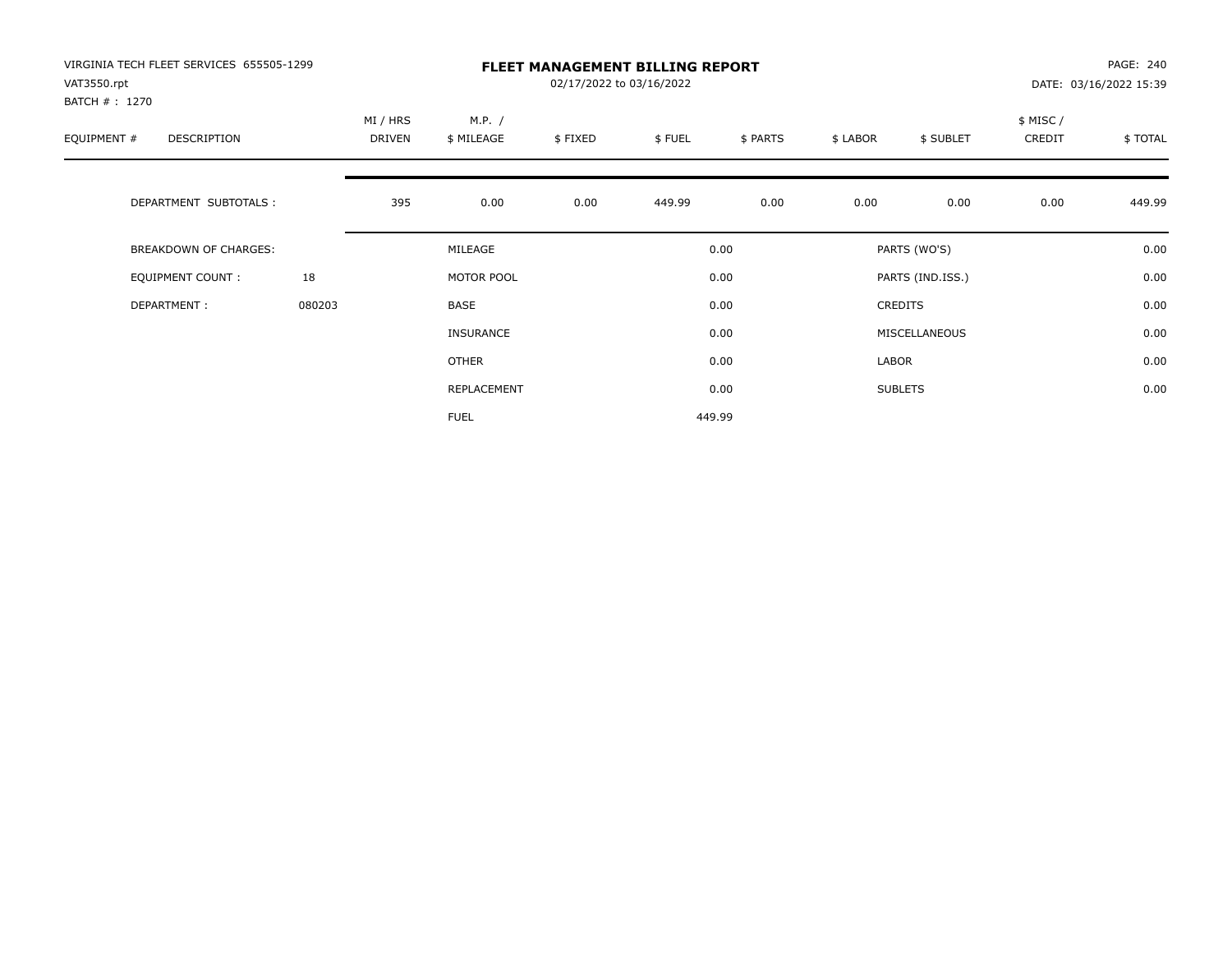| VIRGINIA TECH FLEET SERVICES 655505-1299<br>VAT3550.rpt |        |                    |                      | 02/17/2022 to 03/16/2022 | <b>FLEET MANAGEMENT BILLING REPORT</b> |          |          |                  |                    | PAGE: 240<br>DATE: 03/16/2022 15:39 |
|---------------------------------------------------------|--------|--------------------|----------------------|--------------------------|----------------------------------------|----------|----------|------------------|--------------------|-------------------------------------|
| BATCH # : 1270<br>EQUIPMENT #<br>DESCRIPTION            |        | MI / HRS<br>DRIVEN | M.P. /<br>\$ MILEAGE | \$FIXED                  | \$FUEL                                 | \$ PARTS | \$ LABOR | \$ SUBLET        | \$ MISC/<br>CREDIT | \$ TOTAL                            |
| DEPARTMENT SUBTOTALS :                                  |        | 395                | 0.00                 | 0.00                     | 449.99                                 | 0.00     | 0.00     | 0.00             | 0.00               | 449.99                              |
| BREAKDOWN OF CHARGES:                                   |        |                    | MILEAGE              |                          |                                        | 0.00     |          | PARTS (WO'S)     |                    | 0.00                                |
| <b>EQUIPMENT COUNT:</b>                                 | 18     |                    | MOTOR POOL           |                          |                                        | 0.00     |          | PARTS (IND.ISS.) |                    | 0.00                                |
| DEPARTMENT:                                             | 080203 |                    | <b>BASE</b>          |                          |                                        | 0.00     |          | <b>CREDITS</b>   |                    | 0.00                                |
|                                                         |        |                    | <b>INSURANCE</b>     |                          |                                        | 0.00     |          | MISCELLANEOUS    |                    | 0.00                                |
|                                                         |        |                    | OTHER                |                          |                                        | 0.00     | LABOR    |                  |                    | 0.00                                |
|                                                         |        |                    | REPLACEMENT          |                          |                                        | 0.00     |          | <b>SUBLETS</b>   |                    | 0.00                                |
|                                                         |        |                    | <b>FUEL</b>          |                          |                                        | 449.99   |          |                  |                    |                                     |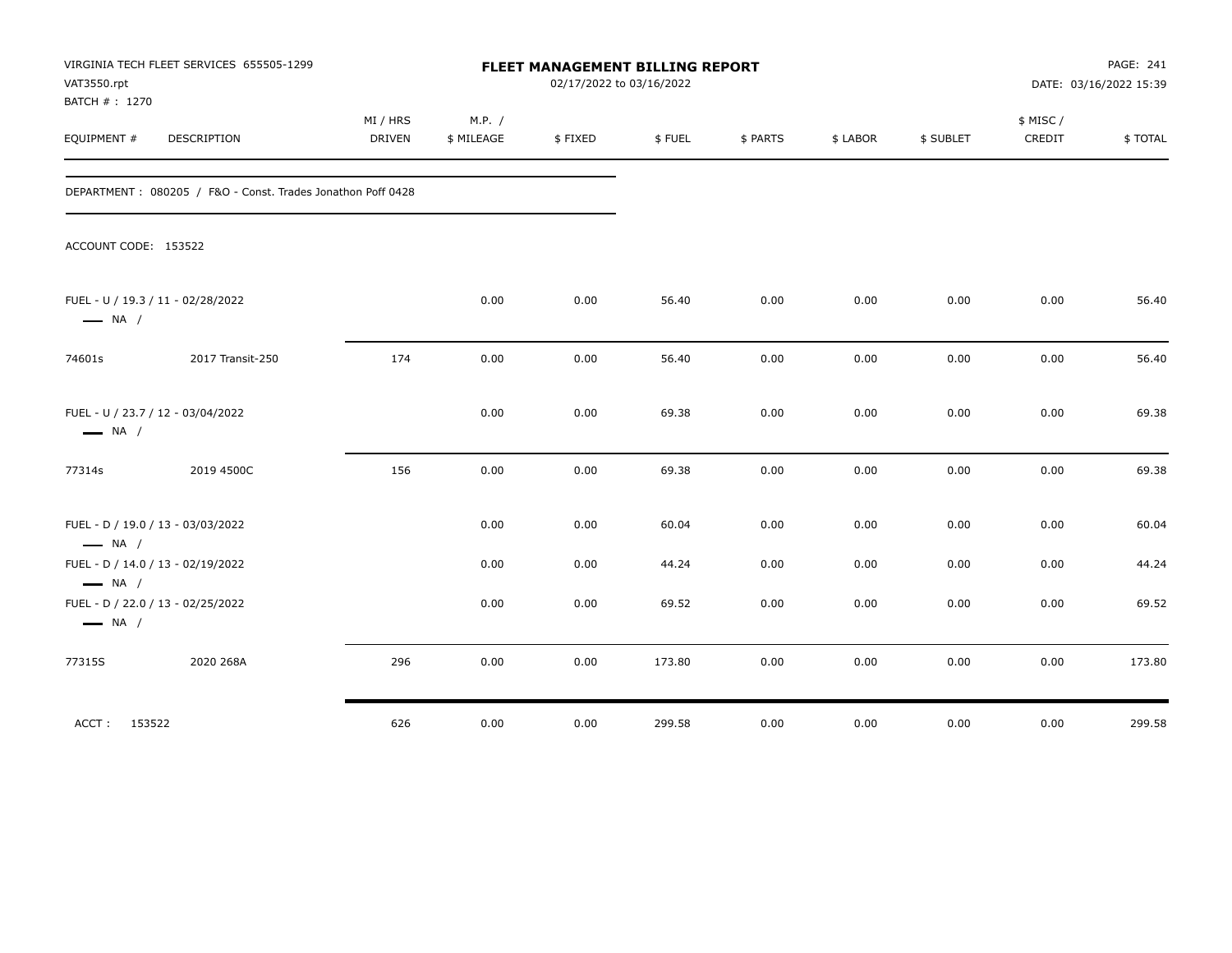| VAT3550.rpt<br>BATCH # : 1270                               | VIRGINIA TECH FLEET SERVICES 655505-1299                    | FLEET MANAGEMENT BILLING REPORT<br>02/17/2022 to 03/16/2022 |                      |         |        |          |          |           | PAGE: 241<br>DATE: 03/16/2022 15:39 |          |
|-------------------------------------------------------------|-------------------------------------------------------------|-------------------------------------------------------------|----------------------|---------|--------|----------|----------|-----------|-------------------------------------|----------|
| EQUIPMENT #                                                 | DESCRIPTION                                                 | MI / HRS<br><b>DRIVEN</b>                                   | M.P. /<br>\$ MILEAGE | \$FIXED | \$FUEL | \$ PARTS | \$ LABOR | \$ SUBLET | \$ MISC/<br>CREDIT                  | \$ TOTAL |
|                                                             | DEPARTMENT: 080205 / F&O - Const. Trades Jonathon Poff 0428 |                                                             |                      |         |        |          |          |           |                                     |          |
| ACCOUNT CODE: 153522                                        |                                                             |                                                             |                      |         |        |          |          |           |                                     |          |
| FUEL - U / 19.3 / 11 - 02/28/2022<br>$\longrightarrow$ NA / |                                                             |                                                             | 0.00                 | 0.00    | 56.40  | 0.00     | 0.00     | 0.00      | 0.00                                | 56.40    |
| 74601s                                                      | 2017 Transit-250                                            | 174                                                         | 0.00                 | 0.00    | 56.40  | 0.00     | 0.00     | 0.00      | 0.00                                | 56.40    |
| FUEL - U / 23.7 / 12 - 03/04/2022<br>$\longrightarrow$ NA / |                                                             |                                                             | 0.00                 | 0.00    | 69.38  | 0.00     | 0.00     | 0.00      | 0.00                                | 69.38    |
| 77314s                                                      | 2019 4500C                                                  | 156                                                         | 0.00                 | 0.00    | 69.38  | 0.00     | 0.00     | 0.00      | 0.00                                | 69.38    |
| FUEL - D / 19.0 / 13 - 03/03/2022<br>$\longrightarrow$ NA / |                                                             |                                                             | 0.00                 | 0.00    | 60.04  | 0.00     | 0.00     | 0.00      | 0.00                                | 60.04    |
| FUEL - D / 14.0 / 13 - 02/19/2022<br>$\longrightarrow$ NA / |                                                             |                                                             | 0.00                 | 0.00    | 44.24  | 0.00     | 0.00     | 0.00      | 0.00                                | 44.24    |
| FUEL - D / 22.0 / 13 - 02/25/2022<br>$\longrightarrow$ NA / |                                                             |                                                             | 0.00                 | 0.00    | 69.52  | 0.00     | 0.00     | 0.00      | 0.00                                | 69.52    |
| 77315S                                                      | 2020 268A                                                   | 296                                                         | 0.00                 | 0.00    | 173.80 | 0.00     | 0.00     | 0.00      | 0.00                                | 173.80   |
| ACCT: 153522                                                |                                                             | 626                                                         | 0.00                 | 0.00    | 299.58 | 0.00     | 0.00     | 0.00      | 0.00                                | 299.58   |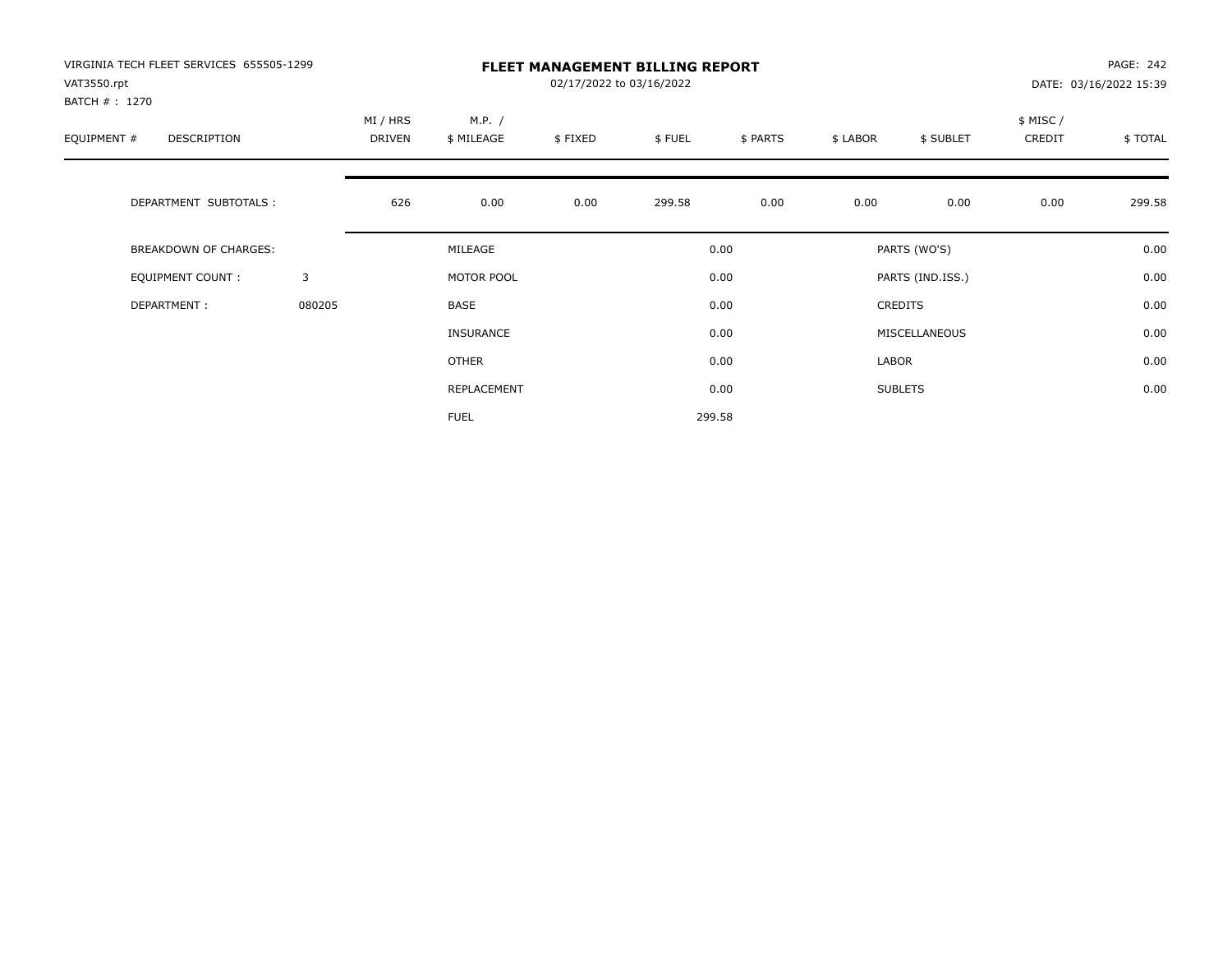| VIRGINIA TECH FLEET SERVICES 655505-1299<br>VAT3550.rpt<br>BATCH #: 1270 |        |                           |                      | PAGE: 242<br>DATE: 03/16/2022 15:39 |        |          |          |                  |                                |        |  |
|--------------------------------------------------------------------------|--------|---------------------------|----------------------|-------------------------------------|--------|----------|----------|------------------|--------------------------------|--------|--|
| EQUIPMENT #<br><b>DESCRIPTION</b>                                        |        | MI / HRS<br><b>DRIVEN</b> | M.P. /<br>\$ MILEAGE | \$FIXED                             | \$FUEL | \$ PARTS | \$ LABOR | \$ SUBLET        | \$ MISC /<br>CREDIT<br>\$TOTAL |        |  |
| DEPARTMENT SUBTOTALS :                                                   |        | 626                       | 0.00                 | 0.00                                | 299.58 | 0.00     | 0.00     | 0.00             | 0.00                           | 299.58 |  |
| <b>BREAKDOWN OF CHARGES:</b>                                             |        |                           | MILEAGE              |                                     |        | 0.00     |          | PARTS (WO'S)     |                                | 0.00   |  |
| EQUIPMENT COUNT:                                                         | 3      |                           | MOTOR POOL           |                                     |        | 0.00     |          | PARTS (IND.ISS.) |                                | 0.00   |  |
| DEPARTMENT:                                                              | 080205 |                           | <b>BASE</b>          |                                     |        | 0.00     |          | <b>CREDITS</b>   |                                | 0.00   |  |
|                                                                          |        |                           | INSURANCE            |                                     |        | 0.00     |          | MISCELLANEOUS    |                                | 0.00   |  |
|                                                                          |        |                           | OTHER                |                                     |        | 0.00     | LABOR    |                  |                                | 0.00   |  |
|                                                                          |        |                           | REPLACEMENT          |                                     |        | 0.00     |          | <b>SUBLETS</b>   |                                | 0.00   |  |
|                                                                          |        |                           | <b>FUEL</b>          |                                     |        | 299.58   |          |                  |                                |        |  |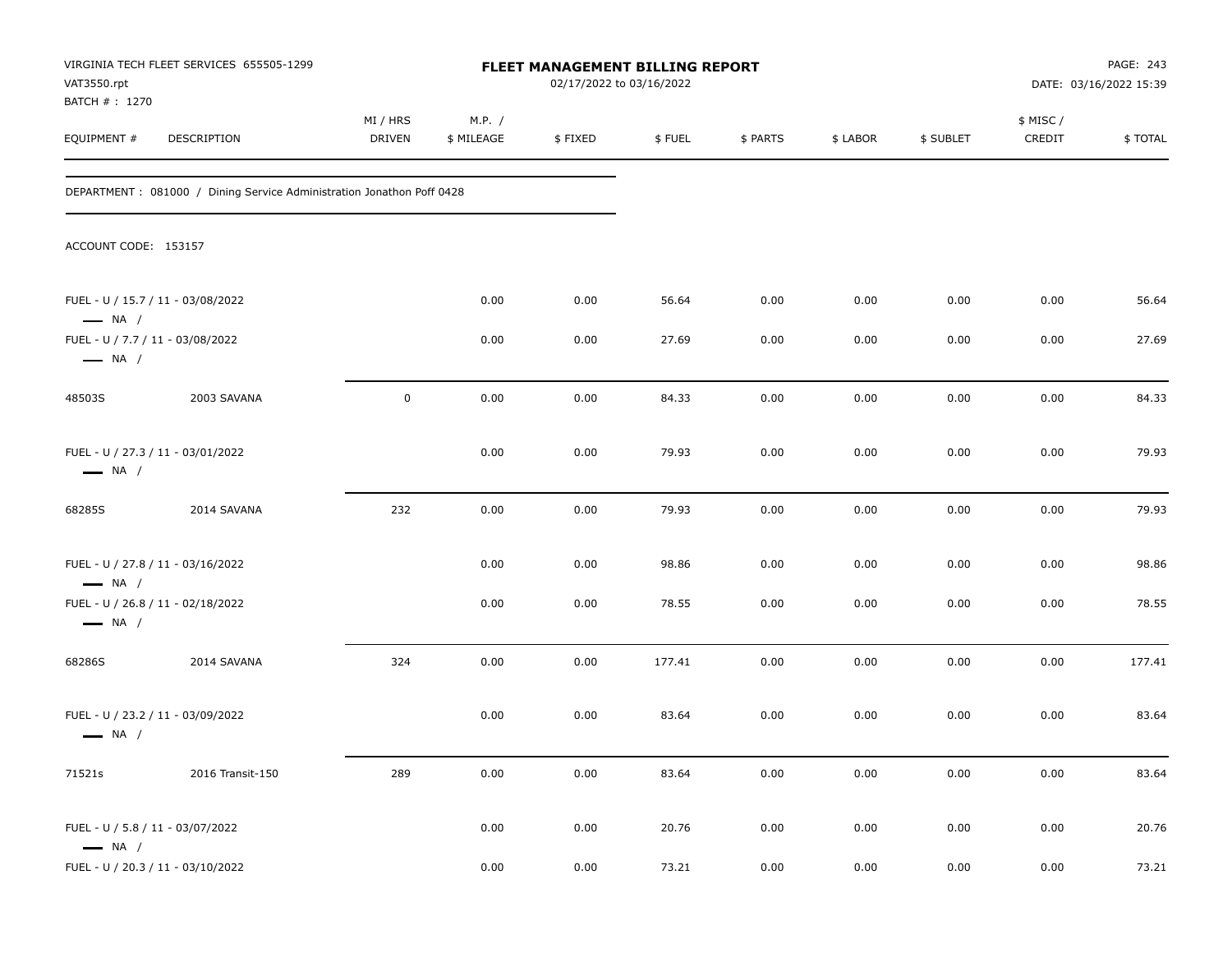| VAT3550.rpt                                                | VIRGINIA TECH FLEET SERVICES 655505-1299                               |                           |                      | FLEET MANAGEMENT BILLING REPORT<br>02/17/2022 to 03/16/2022 |        |          |          |           |                     | PAGE: 243<br>DATE: 03/16/2022 15:39 |
|------------------------------------------------------------|------------------------------------------------------------------------|---------------------------|----------------------|-------------------------------------------------------------|--------|----------|----------|-----------|---------------------|-------------------------------------|
| BATCH #: 1270<br>EQUIPMENT #                               | DESCRIPTION                                                            | MI / HRS<br><b>DRIVEN</b> | M.P. /<br>\$ MILEAGE | \$FIXED                                                     | \$FUEL | \$ PARTS | \$ LABOR | \$ SUBLET | \$ MISC /<br>CREDIT | \$TOTAL                             |
|                                                            | DEPARTMENT : 081000 / Dining Service Administration Jonathon Poff 0428 |                           |                      |                                                             |        |          |          |           |                     |                                     |
| ACCOUNT CODE: 153157                                       |                                                                        |                           |                      |                                                             |        |          |          |           |                     |                                     |
| $\longrightarrow$ NA /                                     | FUEL - U / 15.7 / 11 - 03/08/2022                                      |                           | 0.00                 | 0.00                                                        | 56.64  | 0.00     | 0.00     | 0.00      | 0.00                | 56.64                               |
| FUEL - U / 7.7 / 11 - 03/08/2022<br>$\longrightarrow$ NA / |                                                                        |                           | 0.00                 | 0.00                                                        | 27.69  | 0.00     | 0.00     | 0.00      | 0.00                | 27.69                               |
| 48503S                                                     | 2003 SAVANA                                                            | $\pmb{0}$                 | 0.00                 | 0.00                                                        | 84.33  | 0.00     | 0.00     | 0.00      | 0.00                | 84.33                               |
| $\longrightarrow$ NA /                                     | FUEL - U / 27.3 / 11 - 03/01/2022                                      |                           | 0.00                 | 0.00                                                        | 79.93  | 0.00     | 0.00     | 0.00      | 0.00                | 79.93                               |
| 68285S                                                     | 2014 SAVANA                                                            | 232                       | 0.00                 | 0.00                                                        | 79.93  | 0.00     | 0.00     | 0.00      | 0.00                | 79.93                               |
| $\longrightarrow$ NA /                                     | FUEL - U / 27.8 / 11 - 03/16/2022                                      |                           | 0.00                 | 0.00                                                        | 98.86  | 0.00     | 0.00     | 0.00      | 0.00                | 98.86                               |
| $\longrightarrow$ NA /                                     | FUEL - U / 26.8 / 11 - 02/18/2022                                      |                           | 0.00                 | 0.00                                                        | 78.55  | 0.00     | 0.00     | 0.00      | 0.00                | 78.55                               |
| 68286S                                                     | 2014 SAVANA                                                            | 324                       | 0.00                 | 0.00                                                        | 177.41 | 0.00     | 0.00     | 0.00      | 0.00                | 177.41                              |
| $\longrightarrow$ NA /                                     | FUEL - U / 23.2 / 11 - 03/09/2022                                      |                           | 0.00                 | 0.00                                                        | 83.64  | 0.00     | 0.00     | 0.00      | 0.00                | 83.64                               |
| 71521s                                                     | 2016 Transit-150                                                       | 289                       | 0.00                 | 0.00                                                        | 83.64  | 0.00     | 0.00     | 0.00      | 0.00                | 83.64                               |
| FUEL - U / 5.8 / 11 - 03/07/2022<br>$\longrightarrow$ NA / |                                                                        |                           | 0.00                 | 0.00                                                        | 20.76  | 0.00     | 0.00     | 0.00      | 0.00                | 20.76                               |
|                                                            | FUEL - U / 20.3 / 11 - 03/10/2022                                      |                           | 0.00                 | 0.00                                                        | 73.21  | 0.00     | 0.00     | 0.00      | 0.00                | 73.21                               |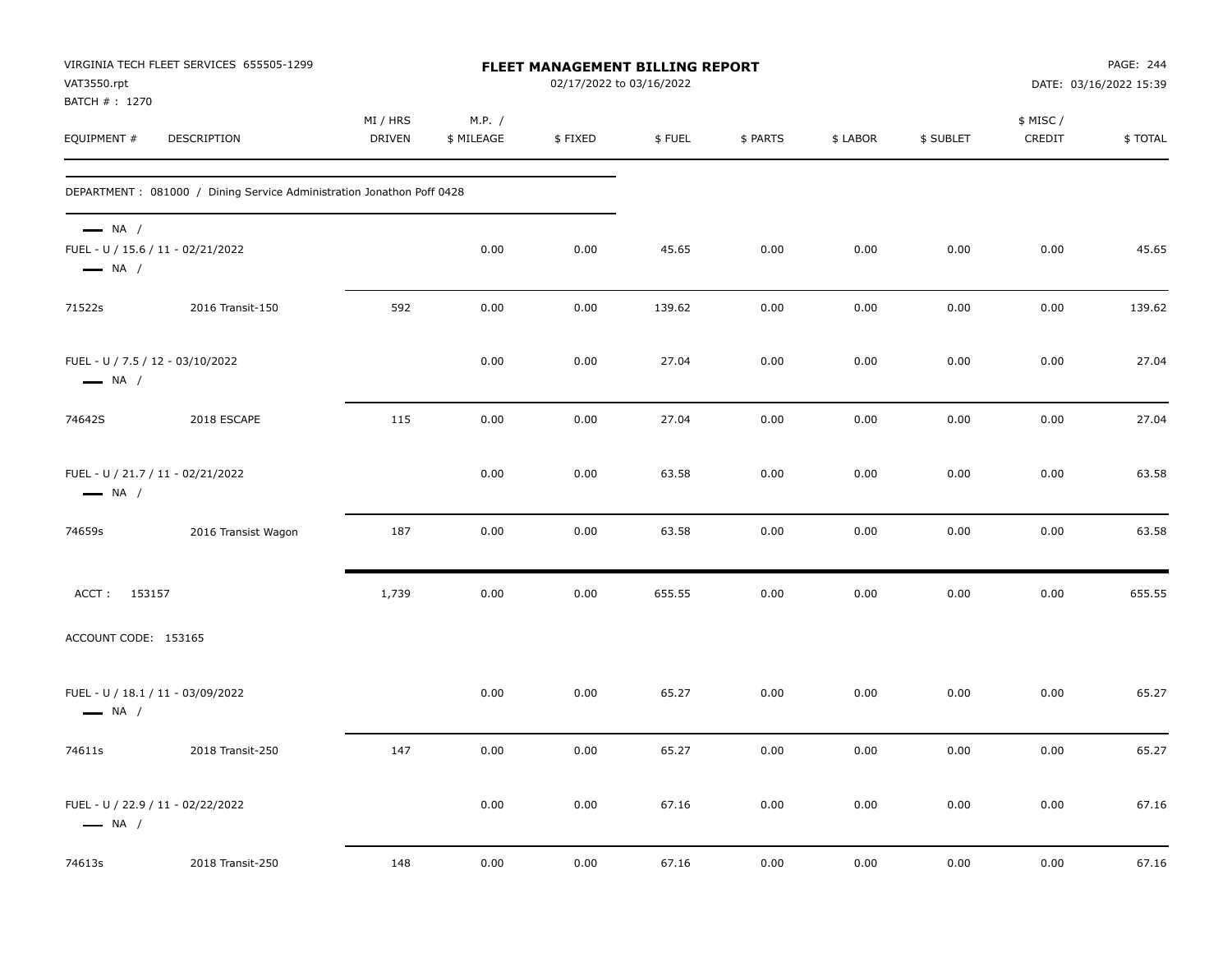| VAT3550.rpt<br>BATCH #: 1270                               | VIRGINIA TECH FLEET SERVICES 655505-1299                               |                           |                      |         | FLEET MANAGEMENT BILLING REPORT<br>02/17/2022 to 03/16/2022 |          |          |           | PAGE: 244<br>DATE: 03/16/2022 15:39 |         |  |
|------------------------------------------------------------|------------------------------------------------------------------------|---------------------------|----------------------|---------|-------------------------------------------------------------|----------|----------|-----------|-------------------------------------|---------|--|
| EQUIPMENT #                                                | DESCRIPTION                                                            | MI / HRS<br><b>DRIVEN</b> | M.P. /<br>\$ MILEAGE | \$FIXED | \$FUEL                                                      | \$ PARTS | \$ LABOR | \$ SUBLET | \$ MISC /<br>CREDIT                 | \$TOTAL |  |
|                                                            | DEPARTMENT : 081000 / Dining Service Administration Jonathon Poff 0428 |                           |                      |         |                                                             |          |          |           |                                     |         |  |
| $\longrightarrow$ NA /<br>$\longrightarrow$ NA /           | FUEL - U / 15.6 / 11 - 02/21/2022                                      |                           | 0.00                 | 0.00    | 45.65                                                       | 0.00     | 0.00     | 0.00      | 0.00                                | 45.65   |  |
| 71522s                                                     | 2016 Transit-150                                                       | 592                       | 0.00                 | 0.00    | 139.62                                                      | 0.00     | 0.00     | 0.00      | 0.00                                | 139.62  |  |
| FUEL - U / 7.5 / 12 - 03/10/2022<br>$\longrightarrow$ NA / |                                                                        |                           | 0.00                 | 0.00    | 27.04                                                       | 0.00     | 0.00     | 0.00      | 0.00                                | 27.04   |  |
| 74642S                                                     | 2018 ESCAPE                                                            | 115                       | 0.00                 | 0.00    | 27.04                                                       | 0.00     | 0.00     | 0.00      | 0.00                                | 27.04   |  |
| $\longrightarrow$ NA /                                     | FUEL - U / 21.7 / 11 - 02/21/2022                                      |                           | 0.00                 | 0.00    | 63.58                                                       | 0.00     | 0.00     | 0.00      | 0.00                                | 63.58   |  |
| 74659s                                                     | 2016 Transist Wagon                                                    | 187                       | 0.00                 | 0.00    | 63.58                                                       | 0.00     | 0.00     | 0.00      | 0.00                                | 63.58   |  |
| ACCT: 153157                                               |                                                                        | 1,739                     | 0.00                 | 0.00    | 655.55                                                      | 0.00     | 0.00     | 0.00      | 0.00                                | 655.55  |  |
| ACCOUNT CODE: 153165                                       |                                                                        |                           |                      |         |                                                             |          |          |           |                                     |         |  |
| $\longrightarrow$ NA /                                     | FUEL - U / 18.1 / 11 - 03/09/2022                                      |                           | 0.00                 | 0.00    | 65.27                                                       | 0.00     | 0.00     | 0.00      | 0.00                                | 65.27   |  |
| 74611s                                                     | 2018 Transit-250                                                       | 147                       | 0.00                 | 0.00    | 65.27                                                       | 0.00     | 0.00     | 0.00      | 0.00                                | 65.27   |  |
| $\longrightarrow$ NA /                                     | FUEL - U / 22.9 / 11 - 02/22/2022                                      |                           | 0.00                 | 0.00    | 67.16                                                       | 0.00     | 0.00     | 0.00      | 0.00                                | 67.16   |  |
| 74613s                                                     | 2018 Transit-250                                                       | 148                       | 0.00                 | 0.00    | 67.16                                                       | 0.00     | 0.00     | 0.00      | 0.00                                | 67.16   |  |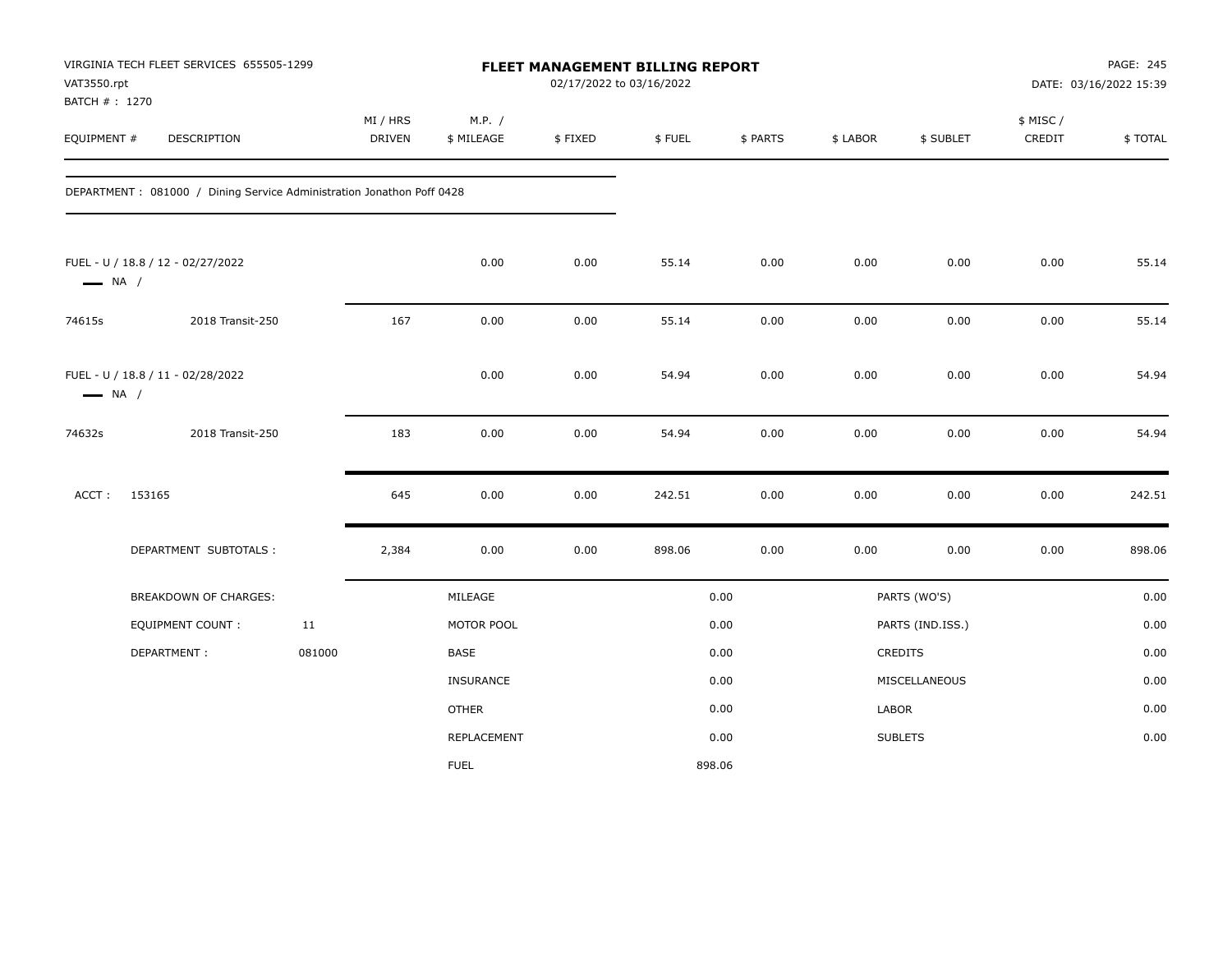| VAT3550.rpt<br>BATCH # : 1270 | VIRGINIA TECH FLEET SERVICES 655505-1299                              |        |                           |                      | 02/17/2022 to 03/16/2022 | FLEET MANAGEMENT BILLING REPORT |          |          |                  |                    | PAGE: 245<br>DATE: 03/16/2022 15:39 |
|-------------------------------|-----------------------------------------------------------------------|--------|---------------------------|----------------------|--------------------------|---------------------------------|----------|----------|------------------|--------------------|-------------------------------------|
| EQUIPMENT #                   | DESCRIPTION                                                           |        | MI / HRS<br><b>DRIVEN</b> | M.P. /<br>\$ MILEAGE | \$FIXED                  | \$FUEL                          | \$ PARTS | \$ LABOR | \$ SUBLET        | \$ MISC/<br>CREDIT | \$TOTAL                             |
|                               | DEPARTMENT: 081000 / Dining Service Administration Jonathon Poff 0428 |        |                           |                      |                          |                                 |          |          |                  |                    |                                     |
| $\longrightarrow$ NA /        | FUEL - U / 18.8 / 12 - 02/27/2022                                     |        |                           | 0.00                 | 0.00                     | 55.14                           | 0.00     | 0.00     | 0.00             | 0.00               | 55.14                               |
| 74615s                        | 2018 Transit-250                                                      |        | 167                       | 0.00                 | 0.00                     | 55.14                           | 0.00     | 0.00     | 0.00             | 0.00               | 55.14                               |
| $\longrightarrow$ NA /        | FUEL - U / 18.8 / 11 - 02/28/2022                                     |        |                           | 0.00                 | 0.00                     | 54.94                           | 0.00     | 0.00     | 0.00             | 0.00               | 54.94                               |
| 74632s                        | 2018 Transit-250                                                      |        | 183                       | 0.00                 | 0.00                     | 54.94                           | 0.00     | 0.00     | 0.00             | 0.00               | 54.94                               |
| ACCT:                         | 153165                                                                |        | 645                       | 0.00                 | 0.00                     | 242.51                          | 0.00     | 0.00     | 0.00             | 0.00               | 242.51                              |
|                               | DEPARTMENT SUBTOTALS :                                                |        | 2,384                     | 0.00                 | 0.00                     | 898.06                          | 0.00     | 0.00     | 0.00             | 0.00               | 898.06                              |
|                               | BREAKDOWN OF CHARGES:                                                 |        |                           | MILEAGE              |                          |                                 | 0.00     |          | PARTS (WO'S)     |                    | 0.00                                |
|                               | EQUIPMENT COUNT:                                                      | 11     |                           | MOTOR POOL           |                          |                                 | 0.00     |          | PARTS (IND.ISS.) |                    | 0.00                                |
|                               | DEPARTMENT:                                                           | 081000 |                           | <b>BASE</b>          |                          |                                 | 0.00     |          | CREDITS          |                    | 0.00                                |
|                               |                                                                       |        |                           | <b>INSURANCE</b>     |                          |                                 | 0.00     |          | MISCELLANEOUS    |                    | 0.00                                |
|                               |                                                                       |        |                           | <b>OTHER</b>         |                          |                                 | 0.00     | LABOR    |                  |                    | 0.00                                |
|                               |                                                                       |        |                           | REPLACEMENT          |                          |                                 | 0.00     |          | <b>SUBLETS</b>   |                    | 0.00                                |
|                               |                                                                       |        |                           | <b>FUEL</b>          |                          | 898.06                          |          |          |                  |                    |                                     |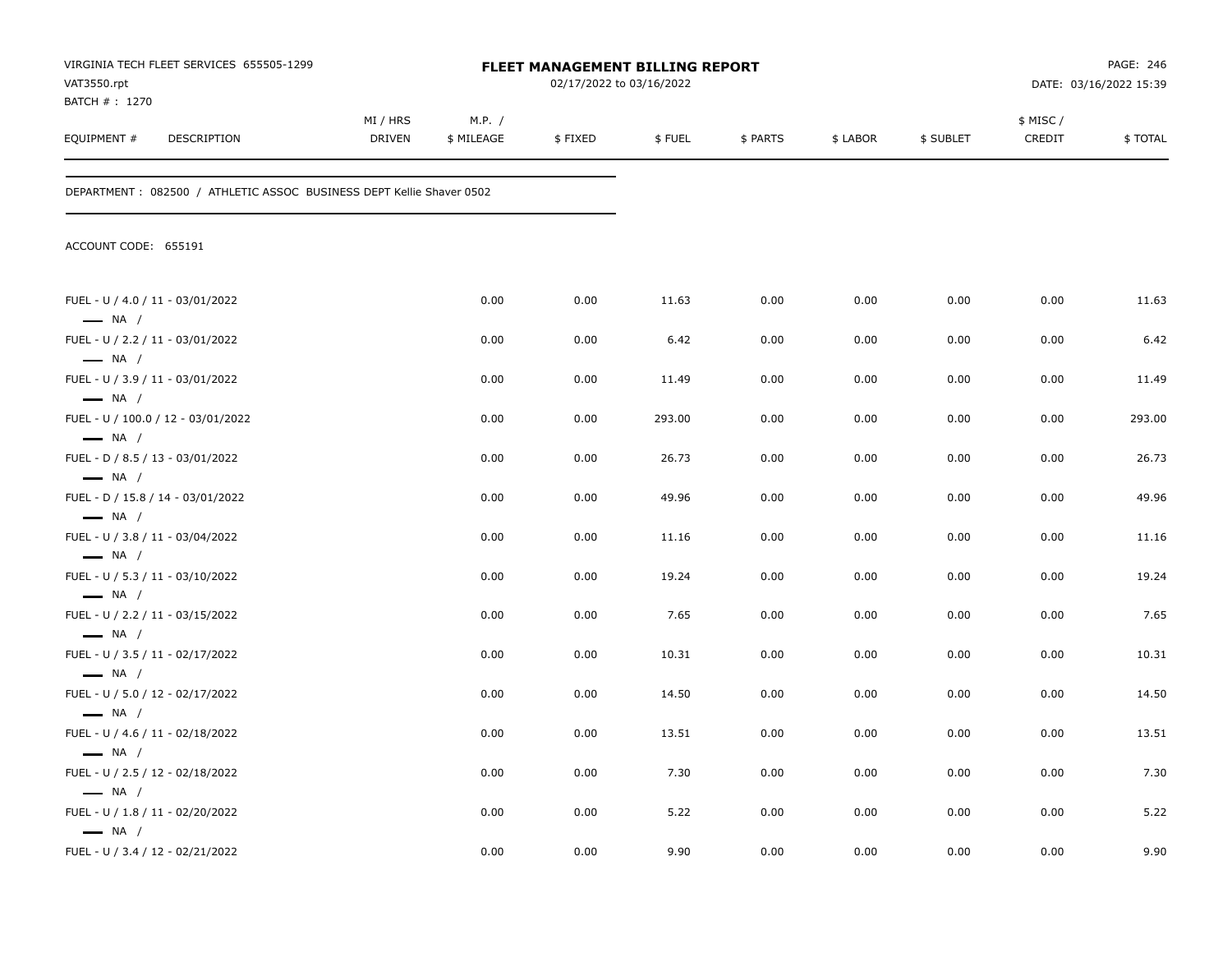| VAT3550.rpt                                                | VIRGINIA TECH FLEET SERVICES 655505-1299                             |                           |                      | <b>FLEET MANAGEMENT BILLING REPORT</b><br>02/17/2022 to 03/16/2022 |        |          |          |           |                     | PAGE: 246<br>DATE: 03/16/2022 15:39 |
|------------------------------------------------------------|----------------------------------------------------------------------|---------------------------|----------------------|--------------------------------------------------------------------|--------|----------|----------|-----------|---------------------|-------------------------------------|
| BATCH #: 1270<br>EQUIPMENT #                               | DESCRIPTION                                                          | MI / HRS<br><b>DRIVEN</b> | M.P. /<br>\$ MILEAGE | \$FIXED                                                            | \$FUEL | \$ PARTS | \$ LABOR | \$ SUBLET | \$ MISC /<br>CREDIT | \$TOTAL                             |
|                                                            | DEPARTMENT: 082500 / ATHLETIC ASSOC BUSINESS DEPT Kellie Shaver 0502 |                           |                      |                                                                    |        |          |          |           |                     |                                     |
| ACCOUNT CODE: 655191                                       |                                                                      |                           |                      |                                                                    |        |          |          |           |                     |                                     |
| FUEL - U / 4.0 / 11 - 03/01/2022<br>$\longrightarrow$ NA / |                                                                      |                           | 0.00                 | 0.00                                                               | 11.63  | 0.00     | 0.00     | 0.00      | 0.00                | 11.63                               |
| FUEL - U / 2.2 / 11 - 03/01/2022                           |                                                                      |                           | 0.00                 | 0.00                                                               | 6.42   | 0.00     | 0.00     | 0.00      | 0.00                | 6.42                                |
| $\longrightarrow$ NA /<br>FUEL - U / 3.9 / 11 - 03/01/2022 |                                                                      |                           | 0.00                 | 0.00                                                               | 11.49  | 0.00     | 0.00     | 0.00      | 0.00                | 11.49                               |
| $\longrightarrow$ NA /                                     | FUEL - U / 100.0 / 12 - 03/01/2022                                   |                           | 0.00                 | 0.00                                                               | 293.00 | 0.00     | 0.00     | 0.00      | 0.00                | 293.00                              |
| $\longrightarrow$ NA /<br>FUEL - D / 8.5 / 13 - 03/01/2022 |                                                                      |                           | 0.00                 | 0.00                                                               | 26.73  | 0.00     | 0.00     | 0.00      | 0.00                | 26.73                               |
| $\longrightarrow$ NA /                                     | FUEL - D / 15.8 / 14 - 03/01/2022                                    |                           | 0.00                 | 0.00                                                               | 49.96  | 0.00     | 0.00     | 0.00      | 0.00                | 49.96                               |
| $\longrightarrow$ NA /                                     |                                                                      |                           |                      |                                                                    |        |          |          |           |                     |                                     |
| FUEL - U / 3.8 / 11 - 03/04/2022<br>$\longrightarrow$ NA / |                                                                      |                           | 0.00                 | 0.00                                                               | 11.16  | 0.00     | 0.00     | 0.00      | 0.00                | 11.16                               |
| FUEL - U / 5.3 / 11 - 03/10/2022                           |                                                                      |                           | 0.00                 | 0.00                                                               | 19.24  | 0.00     | 0.00     | 0.00      | 0.00                | 19.24                               |
| $\longrightarrow$ NA /<br>FUEL - U / 2.2 / 11 - 03/15/2022 |                                                                      |                           | 0.00                 | 0.00                                                               | 7.65   | 0.00     | 0.00     | 0.00      | 0.00                | 7.65                                |
| $\longrightarrow$ NA /<br>FUEL - U / 3.5 / 11 - 02/17/2022 |                                                                      |                           | 0.00                 | 0.00                                                               | 10.31  | 0.00     | 0.00     | 0.00      | 0.00                | 10.31                               |
| $\longrightarrow$ NA /                                     |                                                                      |                           |                      |                                                                    |        |          |          |           |                     |                                     |
| FUEL - U / 5.0 / 12 - 02/17/2022<br>$\longrightarrow$ NA / |                                                                      |                           | 0.00                 | 0.00                                                               | 14.50  | 0.00     | 0.00     | 0.00      | 0.00                | 14.50                               |
| FUEL - U / 4.6 / 11 - 02/18/2022                           |                                                                      |                           | 0.00                 | 0.00                                                               | 13.51  | 0.00     | 0.00     | 0.00      | 0.00                | 13.51                               |
| $\longrightarrow$ NA /<br>FUEL - U / 2.5 / 12 - 02/18/2022 |                                                                      |                           | 0.00                 | 0.00                                                               | 7.30   | 0.00     | 0.00     | 0.00      | 0.00                | 7.30                                |
| $\longrightarrow$ NA /                                     |                                                                      |                           |                      |                                                                    |        |          |          |           |                     |                                     |
| FUEL - U / 1.8 / 11 - 02/20/2022<br>$\longrightarrow$ NA / |                                                                      |                           | 0.00                 | 0.00                                                               | 5.22   | 0.00     | 0.00     | 0.00      | 0.00                | 5.22                                |
| FUEL - U / 3.4 / 12 - 02/21/2022                           |                                                                      |                           | 0.00                 | 0.00                                                               | 9.90   | 0.00     | 0.00     | 0.00      | 0.00                | 9.90                                |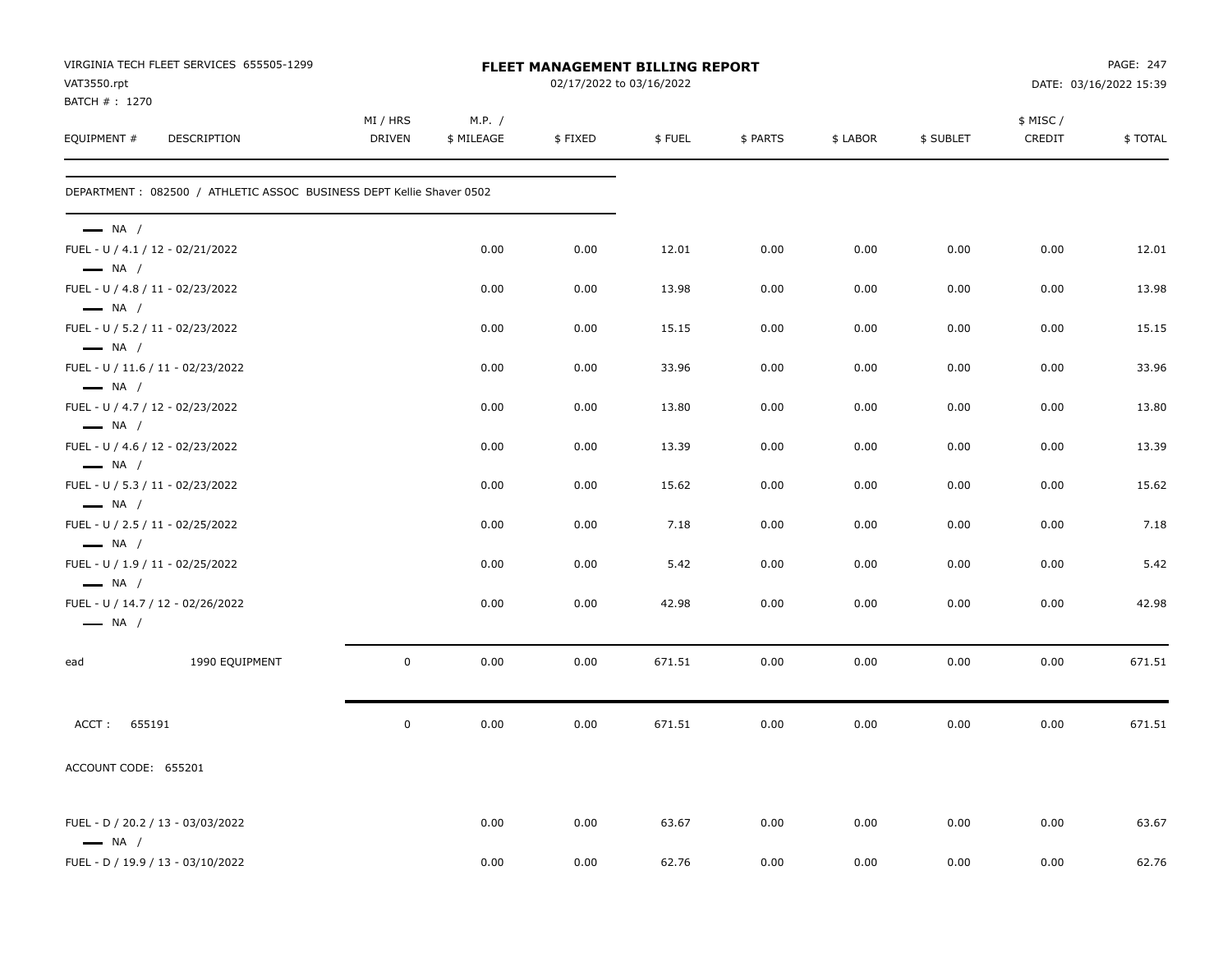| VAT3550.rpt<br>BATCH # : 1270                              | VIRGINIA TECH FLEET SERVICES 655505-1299                             |                           |                      | FLEET MANAGEMENT BILLING REPORT<br>02/17/2022 to 03/16/2022 |        |          |          |           |                    | PAGE: 247<br>DATE: 03/16/2022 15:39 |
|------------------------------------------------------------|----------------------------------------------------------------------|---------------------------|----------------------|-------------------------------------------------------------|--------|----------|----------|-----------|--------------------|-------------------------------------|
| EQUIPMENT #                                                | DESCRIPTION                                                          | MI / HRS<br><b>DRIVEN</b> | M.P. /<br>\$ MILEAGE | \$FIXED                                                     | \$FUEL | \$ PARTS | \$ LABOR | \$ SUBLET | \$ MISC/<br>CREDIT | \$TOTAL                             |
|                                                            | DEPARTMENT: 082500 / ATHLETIC ASSOC BUSINESS DEPT Kellie Shaver 0502 |                           |                      |                                                             |        |          |          |           |                    |                                     |
| $\longrightarrow$ NA /                                     |                                                                      |                           |                      |                                                             |        |          |          |           |                    |                                     |
| FUEL - U / 4.1 / 12 - 02/21/2022<br>$\longrightarrow$ NA / |                                                                      |                           | 0.00                 | 0.00                                                        | 12.01  | 0.00     | 0.00     | 0.00      | 0.00               | 12.01                               |
| FUEL - U / 4.8 / 11 - 02/23/2022<br>$\longrightarrow$ NA / |                                                                      |                           | 0.00                 | 0.00                                                        | 13.98  | 0.00     | 0.00     | 0.00      | 0.00               | 13.98                               |
| FUEL - U / 5.2 / 11 - 02/23/2022<br>$\longrightarrow$ NA / |                                                                      |                           | 0.00                 | 0.00                                                        | 15.15  | 0.00     | 0.00     | 0.00      | 0.00               | 15.15                               |
| $\longrightarrow$ NA /                                     | FUEL - U / 11.6 / 11 - 02/23/2022                                    |                           | 0.00                 | 0.00                                                        | 33.96  | 0.00     | 0.00     | 0.00      | 0.00               | 33.96                               |
| FUEL - U / 4.7 / 12 - 02/23/2022<br>$\longrightarrow$ NA / |                                                                      |                           | 0.00                 | 0.00                                                        | 13.80  | 0.00     | 0.00     | 0.00      | 0.00               | 13.80                               |
| FUEL - U / 4.6 / 12 - 02/23/2022<br>$\longrightarrow$ NA / |                                                                      |                           | 0.00                 | 0.00                                                        | 13.39  | 0.00     | 0.00     | 0.00      | 0.00               | 13.39                               |
| FUEL - U / 5.3 / 11 - 02/23/2022<br>$\longrightarrow$ NA / |                                                                      |                           | 0.00                 | 0.00                                                        | 15.62  | 0.00     | 0.00     | 0.00      | 0.00               | 15.62                               |
| FUEL - U / 2.5 / 11 - 02/25/2022<br>$\longrightarrow$ NA / |                                                                      |                           | 0.00                 | 0.00                                                        | 7.18   | 0.00     | 0.00     | 0.00      | 0.00               | 7.18                                |
| FUEL - U / 1.9 / 11 - 02/25/2022<br>$\longrightarrow$ NA / |                                                                      |                           | 0.00                 | 0.00                                                        | 5.42   | 0.00     | 0.00     | 0.00      | 0.00               | 5.42                                |
| $\longrightarrow$ NA /                                     | FUEL - U / 14.7 / 12 - 02/26/2022                                    |                           | 0.00                 | 0.00                                                        | 42.98  | 0.00     | 0.00     | 0.00      | 0.00               | 42.98                               |
| ead                                                        | 1990 EQUIPMENT                                                       | $\mathbf 0$               | 0.00                 | 0.00                                                        | 671.51 | 0.00     | 0.00     | 0.00      | 0.00               | 671.51                              |
| ACCT: 655191                                               |                                                                      | $\mathbf 0$               | 0.00                 | 0.00                                                        | 671.51 | 0.00     | 0.00     | 0.00      | 0.00               | 671.51                              |
| ACCOUNT CODE: 655201                                       |                                                                      |                           |                      |                                                             |        |          |          |           |                    |                                     |
| $\longrightarrow$ NA /                                     | FUEL - D / 20.2 / 13 - 03/03/2022                                    |                           | 0.00                 | 0.00                                                        | 63.67  | 0.00     | 0.00     | 0.00      | 0.00               | 63.67                               |
|                                                            | FUEL - D / 19.9 / 13 - 03/10/2022                                    |                           | 0.00                 | 0.00                                                        | 62.76  | 0.00     | 0.00     | 0.00      | 0.00               | 62.76                               |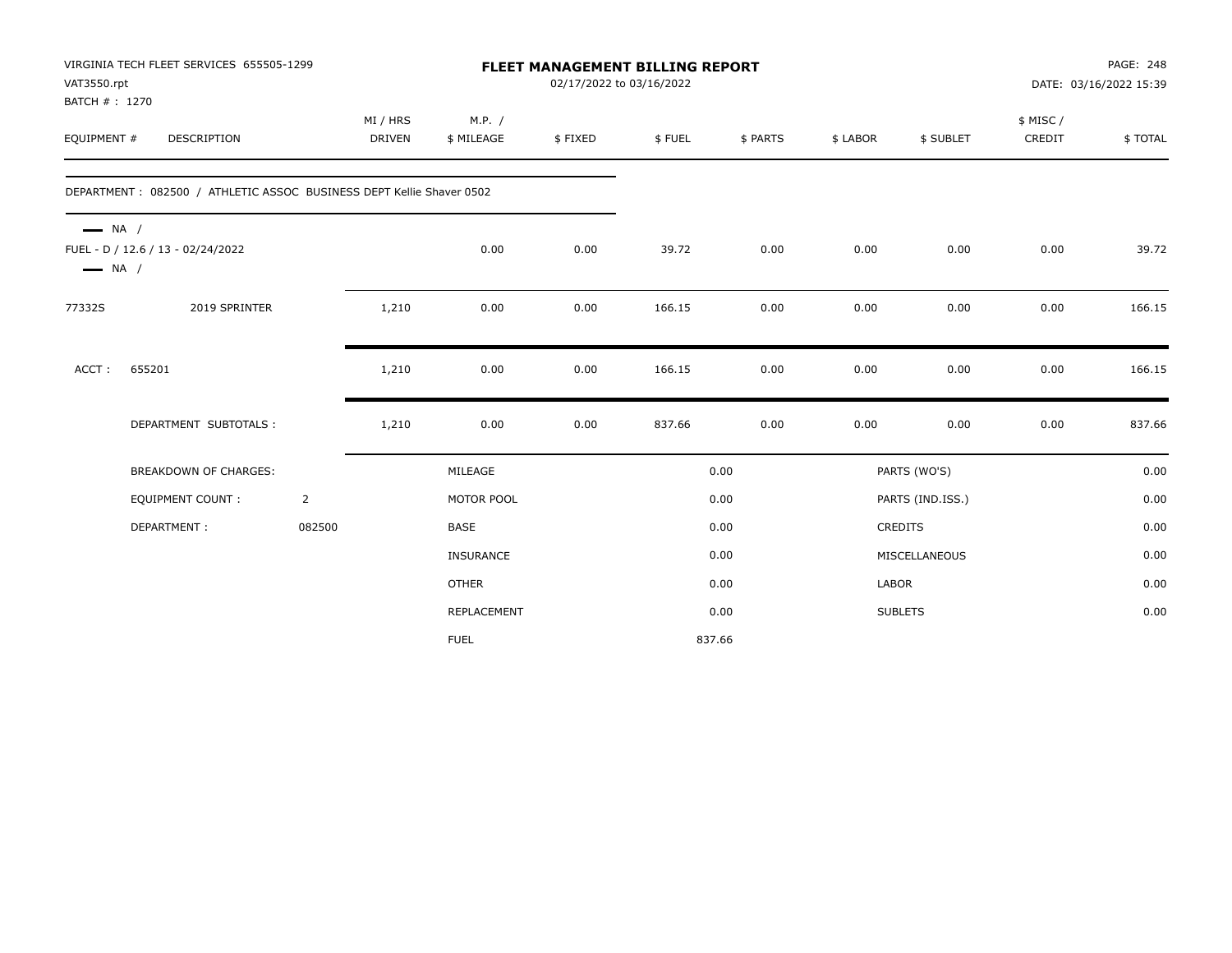| VAT3550.rpt<br>BATCH #: 1270                     | VIRGINIA TECH FLEET SERVICES 655505-1299                             |                |                           |                      | 02/17/2022 to 03/16/2022 | <b>FLEET MANAGEMENT BILLING REPORT</b> |          |          |                  |                    | PAGE: 248<br>DATE: 03/16/2022 15:39 |
|--------------------------------------------------|----------------------------------------------------------------------|----------------|---------------------------|----------------------|--------------------------|----------------------------------------|----------|----------|------------------|--------------------|-------------------------------------|
| EQUIPMENT #                                      | <b>DESCRIPTION</b>                                                   |                | MI / HRS<br><b>DRIVEN</b> | M.P. /<br>\$ MILEAGE | \$FIXED                  | \$FUEL                                 | \$ PARTS | \$ LABOR | \$ SUBLET        | \$ MISC/<br>CREDIT | \$TOTAL                             |
|                                                  | DEPARTMENT: 082500 / ATHLETIC ASSOC BUSINESS DEPT Kellie Shaver 0502 |                |                           |                      |                          |                                        |          |          |                  |                    |                                     |
| $\longrightarrow$ NA /<br>$\longrightarrow$ NA / | FUEL - D / 12.6 / 13 - 02/24/2022                                    |                |                           | 0.00                 | 0.00                     | 39.72                                  | 0.00     | 0.00     | 0.00             | 0.00               | 39.72                               |
| 77332S                                           | 2019 SPRINTER                                                        |                | 1,210                     | 0.00                 | 0.00                     | 166.15                                 | 0.00     | 0.00     | 0.00             | 0.00               | 166.15                              |
| ACCT:                                            | 655201                                                               |                | 1,210                     | 0.00                 | 0.00                     | 166.15                                 | 0.00     | 0.00     | 0.00             | 0.00               | 166.15                              |
|                                                  | DEPARTMENT SUBTOTALS :                                               |                | 1,210                     | 0.00                 | 0.00                     | 837.66                                 | 0.00     | 0.00     | 0.00             | 0.00               | 837.66                              |
|                                                  | <b>BREAKDOWN OF CHARGES:</b>                                         |                |                           | MILEAGE              |                          |                                        | 0.00     |          | PARTS (WO'S)     |                    | 0.00                                |
|                                                  | <b>EQUIPMENT COUNT:</b>                                              | $\overline{2}$ |                           | MOTOR POOL           |                          |                                        | 0.00     |          | PARTS (IND.ISS.) |                    | 0.00                                |
|                                                  | DEPARTMENT:                                                          | 082500         |                           | <b>BASE</b>          |                          |                                        | 0.00     |          | CREDITS          |                    | 0.00                                |
|                                                  |                                                                      |                |                           | INSURANCE            |                          |                                        | 0.00     |          | MISCELLANEOUS    |                    | 0.00                                |
|                                                  |                                                                      |                |                           | <b>OTHER</b>         |                          |                                        | 0.00     | LABOR    |                  |                    | 0.00                                |
|                                                  |                                                                      |                |                           | REPLACEMENT          |                          |                                        | 0.00     |          | <b>SUBLETS</b>   |                    | 0.00                                |
|                                                  |                                                                      |                |                           | <b>FUEL</b>          |                          |                                        | 837.66   |          |                  |                    |                                     |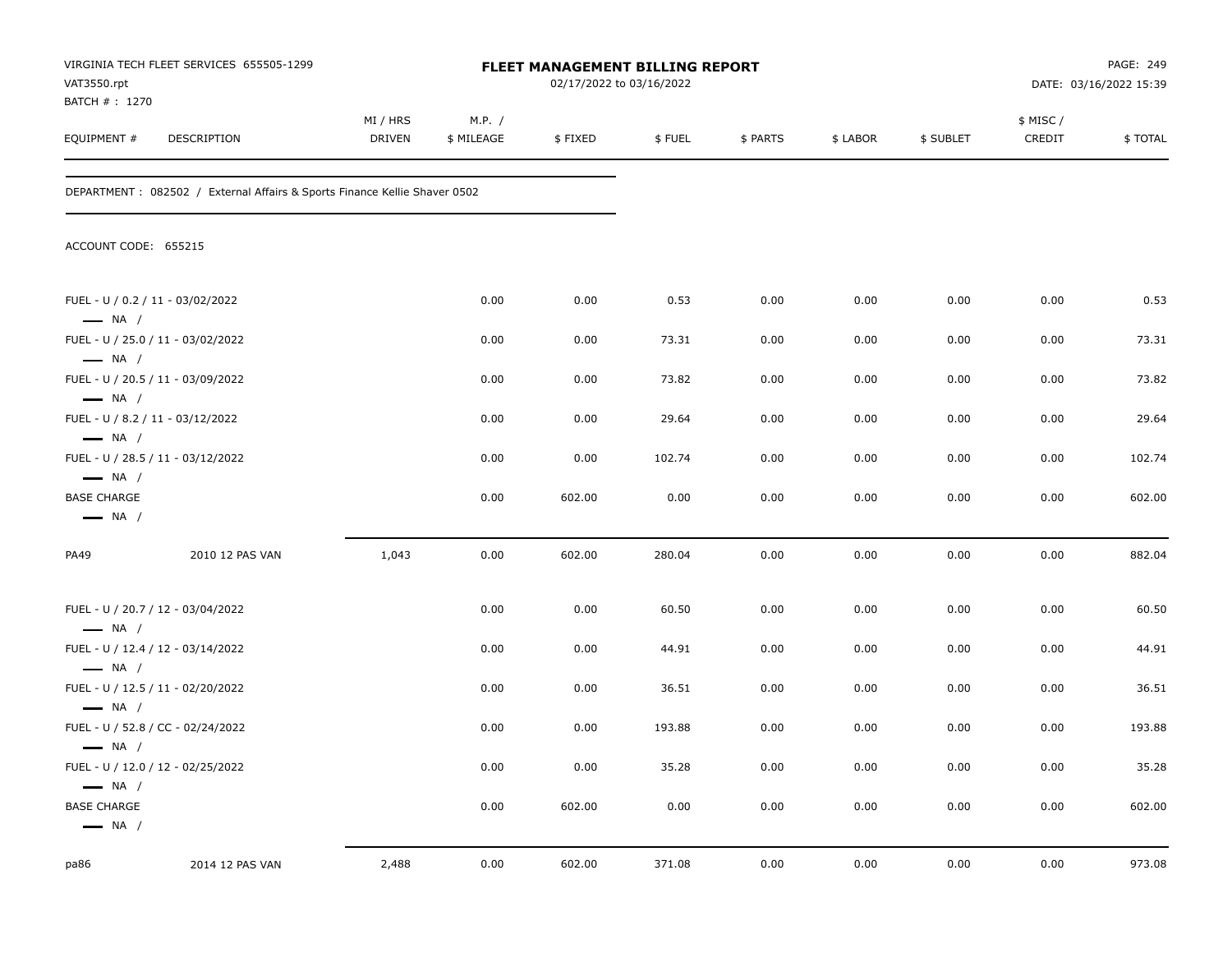| VAT3550.rpt                                                | VIRGINIA TECH FLEET SERVICES 655505-1299                                   |                    |                      | 02/17/2022 to 03/16/2022 | FLEET MANAGEMENT BILLING REPORT |          |          |           | PAGE: 249<br>DATE: 03/16/2022 15:39 |         |
|------------------------------------------------------------|----------------------------------------------------------------------------|--------------------|----------------------|--------------------------|---------------------------------|----------|----------|-----------|-------------------------------------|---------|
| BATCH # : 1270<br>EQUIPMENT#                               | DESCRIPTION                                                                | MI / HRS<br>DRIVEN | M.P. /<br>\$ MILEAGE | \$FIXED                  | \$FUEL                          | \$ PARTS | \$ LABOR | \$ SUBLET | \$ MISC /<br>CREDIT                 | \$TOTAL |
|                                                            | DEPARTMENT : 082502 / External Affairs & Sports Finance Kellie Shaver 0502 |                    |                      |                          |                                 |          |          |           |                                     |         |
| ACCOUNT CODE: 655215                                       |                                                                            |                    |                      |                          |                                 |          |          |           |                                     |         |
| FUEL - U / 0.2 / 11 - 03/02/2022<br>$\longrightarrow$ NA / |                                                                            |                    | 0.00                 | 0.00                     | 0.53                            | 0.00     | 0.00     | 0.00      | 0.00                                | 0.53    |
|                                                            | FUEL - U / 25.0 / 11 - 03/02/2022                                          |                    | 0.00                 | 0.00                     | 73.31                           | 0.00     | 0.00     | 0.00      | 0.00                                | 73.31   |
| $\longrightarrow$ NA /<br>$\longrightarrow$ NA /           | FUEL - U / 20.5 / 11 - 03/09/2022                                          |                    | 0.00                 | 0.00                     | 73.82                           | 0.00     | 0.00     | 0.00      | 0.00                                | 73.82   |
| FUEL - U / 8.2 / 11 - 03/12/2022<br>$\longrightarrow$ NA / |                                                                            |                    | 0.00                 | 0.00                     | 29.64                           | 0.00     | 0.00     | 0.00      | 0.00                                | 29.64   |
| $\longrightarrow$ NA /                                     | FUEL - U / 28.5 / 11 - 03/12/2022                                          |                    | 0.00                 | 0.00                     | 102.74                          | 0.00     | 0.00     | 0.00      | 0.00                                | 102.74  |
| <b>BASE CHARGE</b><br>$\longrightarrow$ NA /               |                                                                            |                    | 0.00                 | 602.00                   | 0.00                            | 0.00     | 0.00     | 0.00      | 0.00                                | 602.00  |
| PA49                                                       | 2010 12 PAS VAN                                                            | 1,043              | 0.00                 | 602.00                   | 280.04                          | 0.00     | 0.00     | 0.00      | 0.00                                | 882.04  |
| $\longrightarrow$ NA /                                     | FUEL - U / 20.7 / 12 - 03/04/2022                                          |                    | 0.00                 | 0.00                     | 60.50                           | 0.00     | 0.00     | 0.00      | 0.00                                | 60.50   |
| $\longrightarrow$ NA /                                     | FUEL - U / 12.4 / 12 - 03/14/2022                                          |                    | 0.00                 | 0.00                     | 44.91                           | 0.00     | 0.00     | 0.00      | 0.00                                | 44.91   |
| $\longrightarrow$ NA /                                     | FUEL - U / 12.5 / 11 - 02/20/2022                                          |                    | 0.00                 | 0.00                     | 36.51                           | 0.00     | 0.00     | 0.00      | 0.00                                | 36.51   |
|                                                            | FUEL - U / 52.8 / CC - 02/24/2022                                          |                    | 0.00                 | 0.00                     | 193.88                          | 0.00     | 0.00     | 0.00      | 0.00                                | 193.88  |
| — NA /<br>$\longrightarrow$ NA /                           | FUEL - U / 12.0 / 12 - 02/25/2022                                          |                    | 0.00                 | 0.00                     | 35.28                           | 0.00     | 0.00     | 0.00      | 0.00                                | 35.28   |
| <b>BASE CHARGE</b><br>$\longrightarrow$ NA /               |                                                                            |                    | 0.00                 | 602.00                   | 0.00                            | 0.00     | 0.00     | 0.00      | 0.00                                | 602.00  |
| pa86                                                       | 2014 12 PAS VAN                                                            | 2,488              | 0.00                 | 602.00                   | 371.08                          | 0.00     | 0.00     | 0.00      | 0.00                                | 973.08  |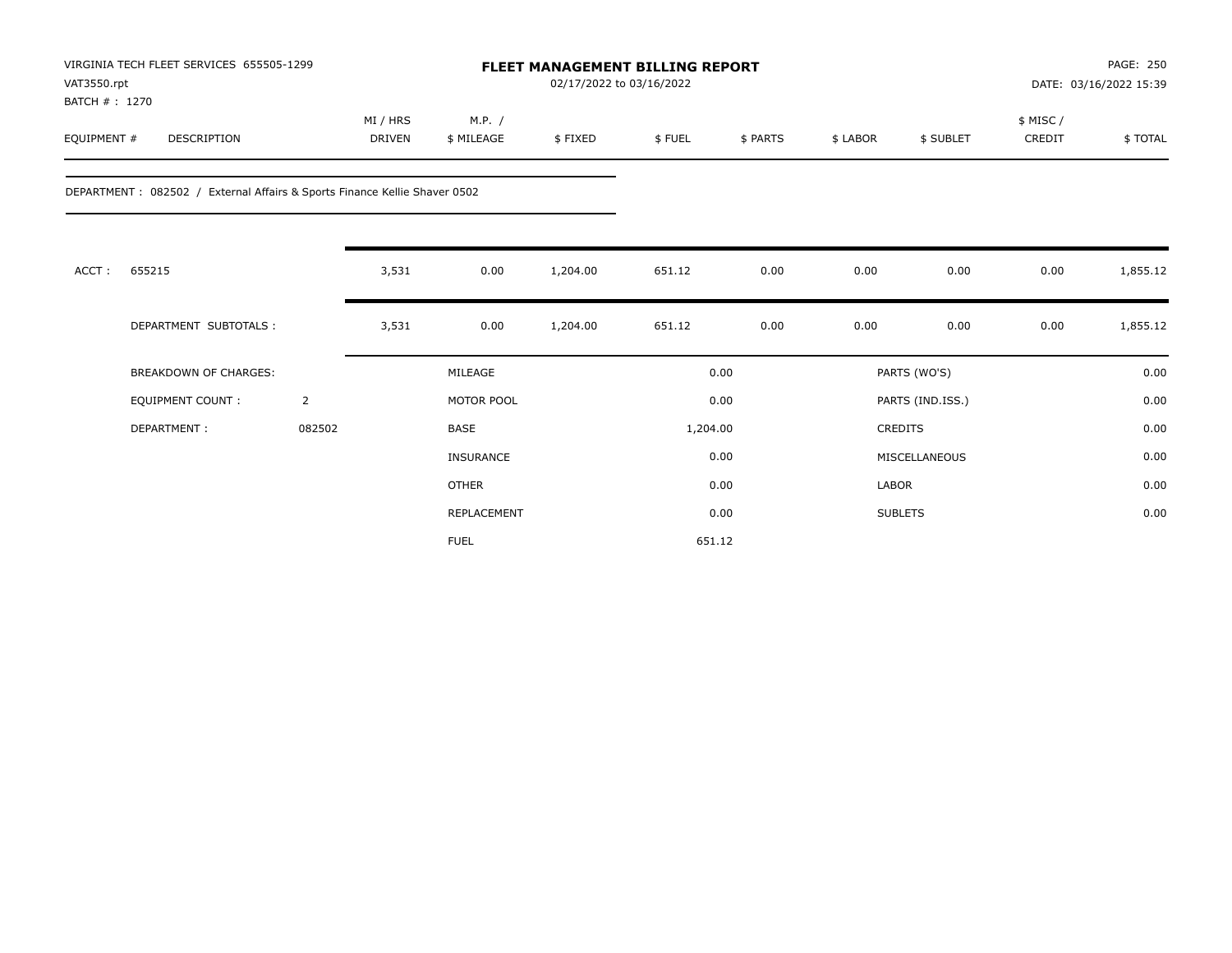| VAT3550.rpt<br>BATCH #: 1270 | VIRGINIA TECH FLEET SERVICES 655505-1299                                   |                |                    |                      | <b>FLEET MANAGEMENT BILLING REPORT</b><br>02/17/2022 to 03/16/2022 |          |          |              |                  | PAGE: 250<br>DATE: 03/16/2022 15:39 |          |
|------------------------------|----------------------------------------------------------------------------|----------------|--------------------|----------------------|--------------------------------------------------------------------|----------|----------|--------------|------------------|-------------------------------------|----------|
| EQUIPMENT #                  | <b>DESCRIPTION</b>                                                         |                | MI / HRS<br>DRIVEN | M.P. /<br>\$ MILEAGE | \$FIXED                                                            | \$FUEL   | \$ PARTS | \$ LABOR     | \$ SUBLET        | \$ MISC /<br>CREDIT                 | \$TOTAL  |
|                              | DEPARTMENT : 082502 / External Affairs & Sports Finance Kellie Shaver 0502 |                |                    |                      |                                                                    |          |          |              |                  |                                     |          |
| ACCT:                        | 655215                                                                     |                | 3,531              | 0.00                 | 1,204.00                                                           | 651.12   | 0.00     | 0.00         | 0.00             | 0.00                                | 1,855.12 |
|                              | DEPARTMENT SUBTOTALS :                                                     |                | 3,531              | 0.00                 | 1,204.00                                                           | 651.12   | 0.00     | 0.00         | 0.00             | 0.00                                | 1,855.12 |
|                              | <b>BREAKDOWN OF CHARGES:</b>                                               |                |                    | MILEAGE              |                                                                    |          | 0.00     |              | PARTS (WO'S)     |                                     | 0.00     |
|                              | <b>EQUIPMENT COUNT:</b>                                                    | $\overline{2}$ |                    | MOTOR POOL           |                                                                    |          | 0.00     |              | PARTS (IND.ISS.) |                                     | 0.00     |
|                              | DEPARTMENT:                                                                | 082502         |                    | <b>BASE</b>          |                                                                    | 1,204.00 |          |              | CREDITS          |                                     | 0.00     |
|                              |                                                                            |                |                    | <b>INSURANCE</b>     |                                                                    |          | 0.00     |              | MISCELLANEOUS    |                                     | 0.00     |
|                              |                                                                            |                |                    | <b>OTHER</b>         |                                                                    |          | 0.00     | <b>LABOR</b> |                  |                                     | 0.00     |
|                              |                                                                            |                |                    | REPLACEMENT          |                                                                    |          | 0.00     |              | <b>SUBLETS</b>   |                                     | 0.00     |
|                              |                                                                            |                |                    | <b>FUEL</b>          |                                                                    | 651.12   |          |              |                  |                                     |          |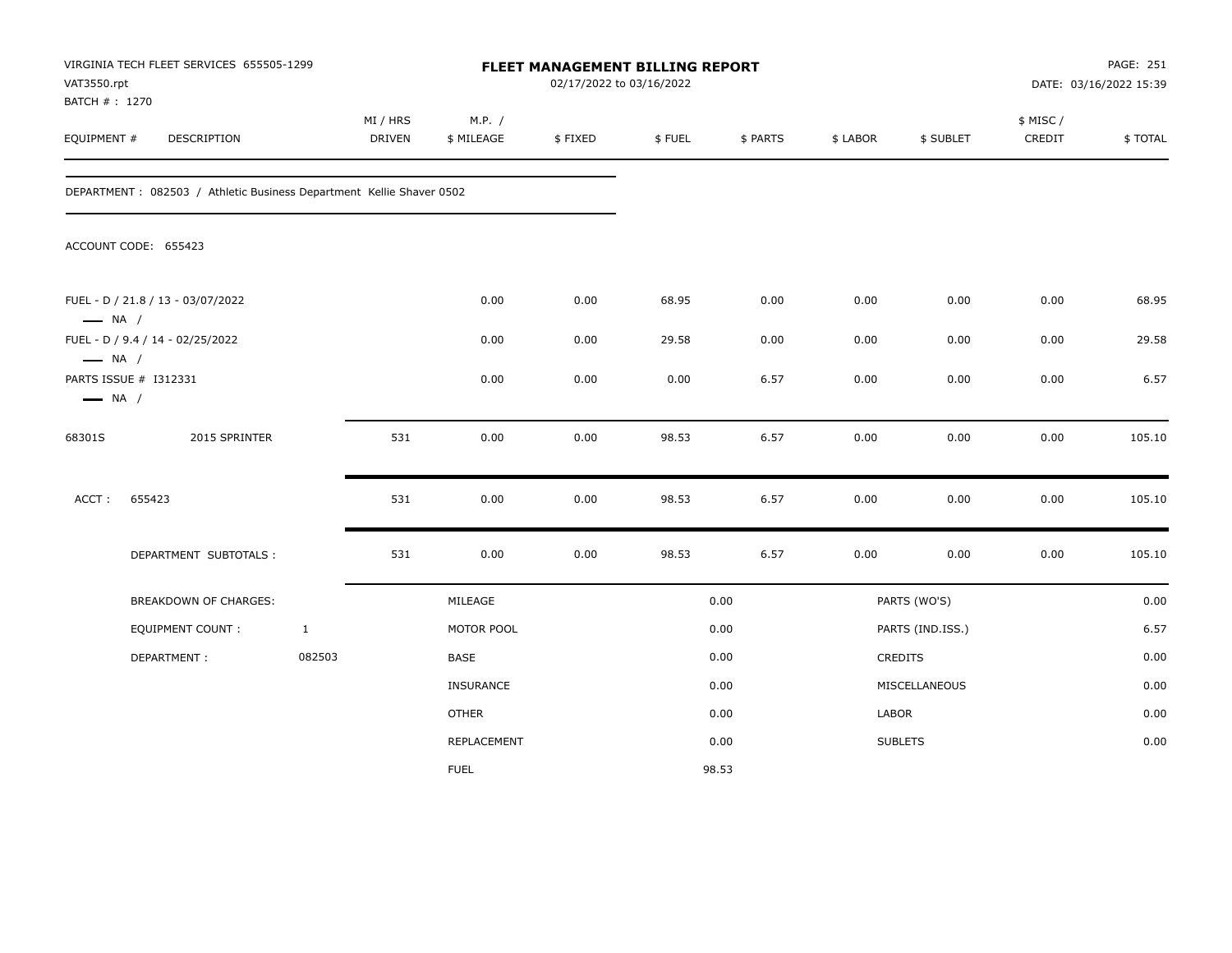| VAT3550.rpt<br>BATCH # : 1270                    | VIRGINIA TECH FLEET SERVICES 655505-1299                              |              |                           |                      |         | FLEET MANAGEMENT BILLING REPORT<br>02/17/2022 to 03/16/2022 |          |          |                  | PAGE: 251<br>DATE: 03/16/2022 15:39 |         |
|--------------------------------------------------|-----------------------------------------------------------------------|--------------|---------------------------|----------------------|---------|-------------------------------------------------------------|----------|----------|------------------|-------------------------------------|---------|
| EQUIPMENT #                                      | DESCRIPTION                                                           |              | MI / HRS<br><b>DRIVEN</b> | M.P. /<br>\$ MILEAGE | \$FIXED | \$FUEL                                                      | \$ PARTS | \$ LABOR | \$ SUBLET        | \$ MISC /<br>CREDIT                 | \$TOTAL |
|                                                  | DEPARTMENT : 082503 / Athletic Business Department Kellie Shaver 0502 |              |                           |                      |         |                                                             |          |          |                  |                                     |         |
|                                                  | ACCOUNT CODE: 655423                                                  |              |                           |                      |         |                                                             |          |          |                  |                                     |         |
| $\longrightarrow$ NA /                           | FUEL - D / 21.8 / 13 - 03/07/2022                                     |              |                           | 0.00                 | 0.00    | 68.95                                                       | 0.00     | 0.00     | 0.00             | 0.00                                | 68.95   |
|                                                  | FUEL - D / 9.4 / 14 - 02/25/2022                                      |              |                           | 0.00                 | 0.00    | 29.58                                                       | 0.00     | 0.00     | 0.00             | 0.00                                | 29.58   |
| $\longrightarrow$ NA /<br>$\longrightarrow$ NA / | PARTS ISSUE # I312331                                                 |              |                           | 0.00                 | 0.00    | 0.00                                                        | 6.57     | 0.00     | 0.00             | 0.00                                | 6.57    |
| 68301S                                           | 2015 SPRINTER                                                         |              | 531                       | 0.00                 | 0.00    | 98.53                                                       | 6.57     | 0.00     | 0.00             | 0.00                                | 105.10  |
| ACCT:                                            | 655423                                                                |              | 531                       | 0.00                 | 0.00    | 98.53                                                       | 6.57     | 0.00     | 0.00             | 0.00                                | 105.10  |
|                                                  | DEPARTMENT SUBTOTALS :                                                |              | 531                       | 0.00                 | 0.00    | 98.53                                                       | 6.57     | 0.00     | 0.00             | 0.00                                | 105.10  |
|                                                  | BREAKDOWN OF CHARGES:                                                 |              |                           | MILEAGE              |         |                                                             | 0.00     |          | PARTS (WO'S)     |                                     | 0.00    |
|                                                  | <b>EQUIPMENT COUNT:</b>                                               | $\mathbf{1}$ |                           | MOTOR POOL           |         |                                                             | 0.00     |          | PARTS (IND.ISS.) |                                     | 6.57    |
|                                                  | DEPARTMENT:                                                           | 082503       |                           | BASE                 |         |                                                             | 0.00     |          | <b>CREDITS</b>   |                                     | 0.00    |
|                                                  |                                                                       |              |                           | <b>INSURANCE</b>     |         |                                                             | 0.00     |          | MISCELLANEOUS    |                                     | 0.00    |
|                                                  |                                                                       |              |                           | <b>OTHER</b>         |         |                                                             | 0.00     | LABOR    |                  |                                     | 0.00    |
|                                                  |                                                                       |              |                           | <b>REPLACEMENT</b>   |         |                                                             | 0.00     |          | <b>SUBLETS</b>   |                                     | 0.00    |
|                                                  |                                                                       |              |                           | <b>FUEL</b>          |         |                                                             | 98.53    |          |                  |                                     |         |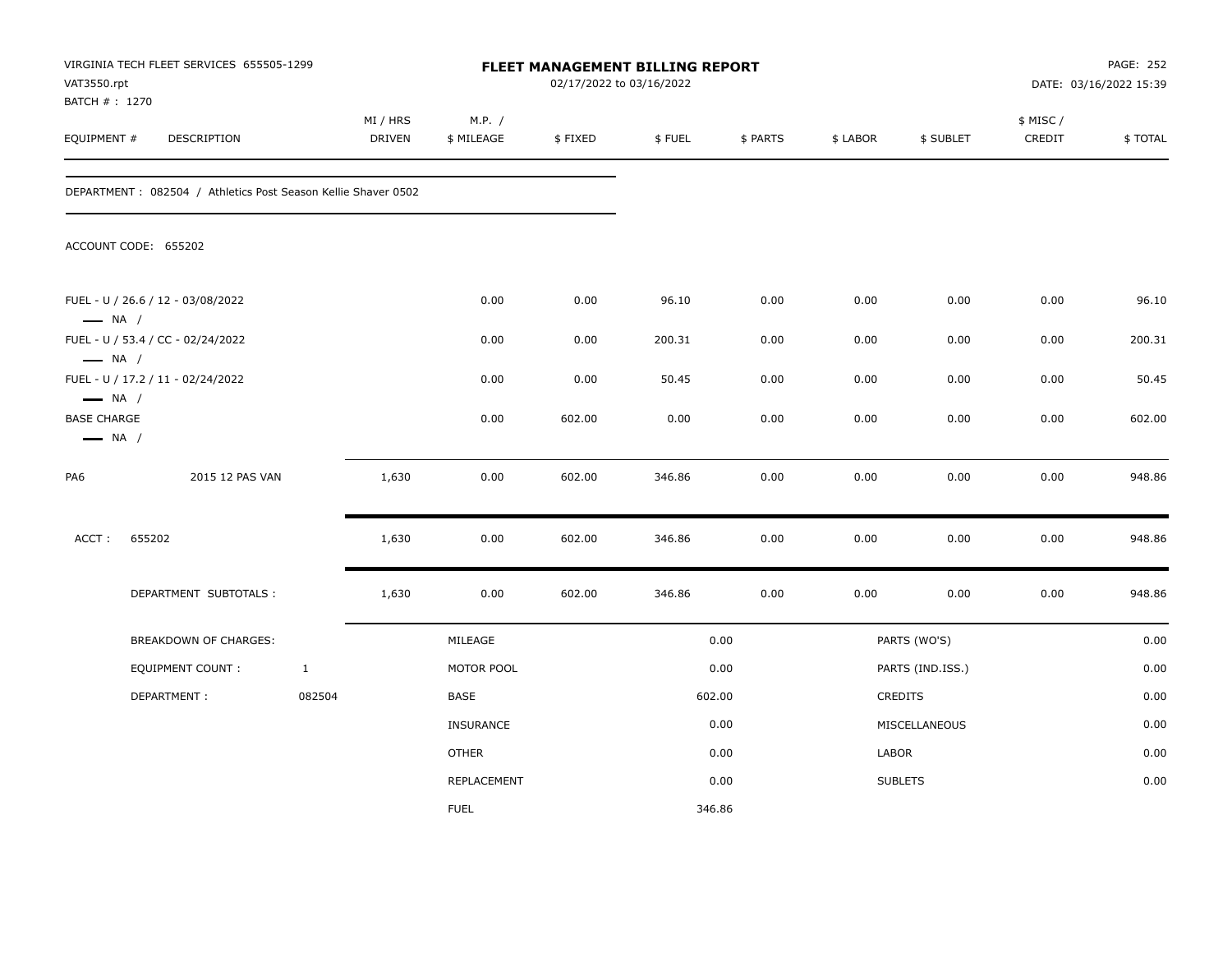| VAT3550.rpt<br>BATCH # : 1270                | VIRGINIA TECH FLEET SERVICES 655505-1299                       |              |                           |                      | 02/17/2022 to 03/16/2022 | FLEET MANAGEMENT BILLING REPORT |          |          |                  |                     | PAGE: 252<br>DATE: 03/16/2022 15:39 |
|----------------------------------------------|----------------------------------------------------------------|--------------|---------------------------|----------------------|--------------------------|---------------------------------|----------|----------|------------------|---------------------|-------------------------------------|
| EQUIPMENT #                                  | DESCRIPTION                                                    |              | MI / HRS<br><b>DRIVEN</b> | M.P. /<br>\$ MILEAGE | \$FIXED                  | \$FUEL                          | \$ PARTS | \$ LABOR | \$ SUBLET        | \$ MISC /<br>CREDIT | \$TOTAL                             |
|                                              | DEPARTMENT : 082504 / Athletics Post Season Kellie Shaver 0502 |              |                           |                      |                          |                                 |          |          |                  |                     |                                     |
|                                              | ACCOUNT CODE: 655202                                           |              |                           |                      |                          |                                 |          |          |                  |                     |                                     |
| $\longrightarrow$ NA /                       | FUEL - U / 26.6 / 12 - 03/08/2022                              |              |                           | 0.00                 | 0.00                     | 96.10                           | 0.00     | 0.00     | 0.00             | 0.00                | 96.10                               |
|                                              | FUEL - U / 53.4 / CC - 02/24/2022                              |              |                           | 0.00                 | 0.00                     | 200.31                          | 0.00     | 0.00     | 0.00             | 0.00                | 200.31                              |
| $\longrightarrow$ NA /                       | FUEL - U / 17.2 / 11 - 02/24/2022                              |              |                           | 0.00                 | 0.00                     | 50.45                           | 0.00     | 0.00     | 0.00             | 0.00                | 50.45                               |
| $\longrightarrow$ NA /                       |                                                                |              |                           |                      |                          |                                 |          |          |                  |                     |                                     |
| <b>BASE CHARGE</b><br>$\longrightarrow$ NA / |                                                                |              |                           | 0.00                 | 602.00                   | 0.00                            | 0.00     | 0.00     | 0.00             | 0.00                | 602.00                              |
| PA6                                          | 2015 12 PAS VAN                                                |              | 1,630                     | 0.00                 | 602.00                   | 346.86                          | 0.00     | 0.00     | 0.00             | 0.00                | 948.86                              |
| ACCT:                                        | 655202                                                         |              | 1,630                     | 0.00                 | 602.00                   | 346.86                          | 0.00     | 0.00     | 0.00             | 0.00                | 948.86                              |
|                                              | DEPARTMENT SUBTOTALS :                                         |              | 1,630                     | 0.00                 | 602.00                   | 346.86                          | 0.00     | 0.00     | 0.00             | 0.00                | 948.86                              |
|                                              | <b>BREAKDOWN OF CHARGES:</b>                                   |              |                           | MILEAGE              |                          |                                 | 0.00     |          | PARTS (WO'S)     |                     | 0.00                                |
|                                              | <b>EQUIPMENT COUNT:</b>                                        | $\mathbf{1}$ |                           | MOTOR POOL           |                          |                                 | 0.00     |          | PARTS (IND.ISS.) |                     | 0.00                                |
|                                              | DEPARTMENT:                                                    | 082504       |                           | BASE                 |                          | 602.00                          |          |          | CREDITS          |                     | 0.00                                |
|                                              |                                                                |              |                           | <b>INSURANCE</b>     |                          |                                 | 0.00     |          | MISCELLANEOUS    |                     | 0.00                                |
|                                              |                                                                |              |                           | <b>OTHER</b>         |                          |                                 | 0.00     | LABOR    |                  |                     | 0.00                                |
|                                              |                                                                |              |                           | REPLACEMENT          |                          |                                 | 0.00     |          | <b>SUBLETS</b>   |                     | 0.00                                |
|                                              |                                                                |              |                           | <b>FUEL</b>          |                          | 346.86                          |          |          |                  |                     |                                     |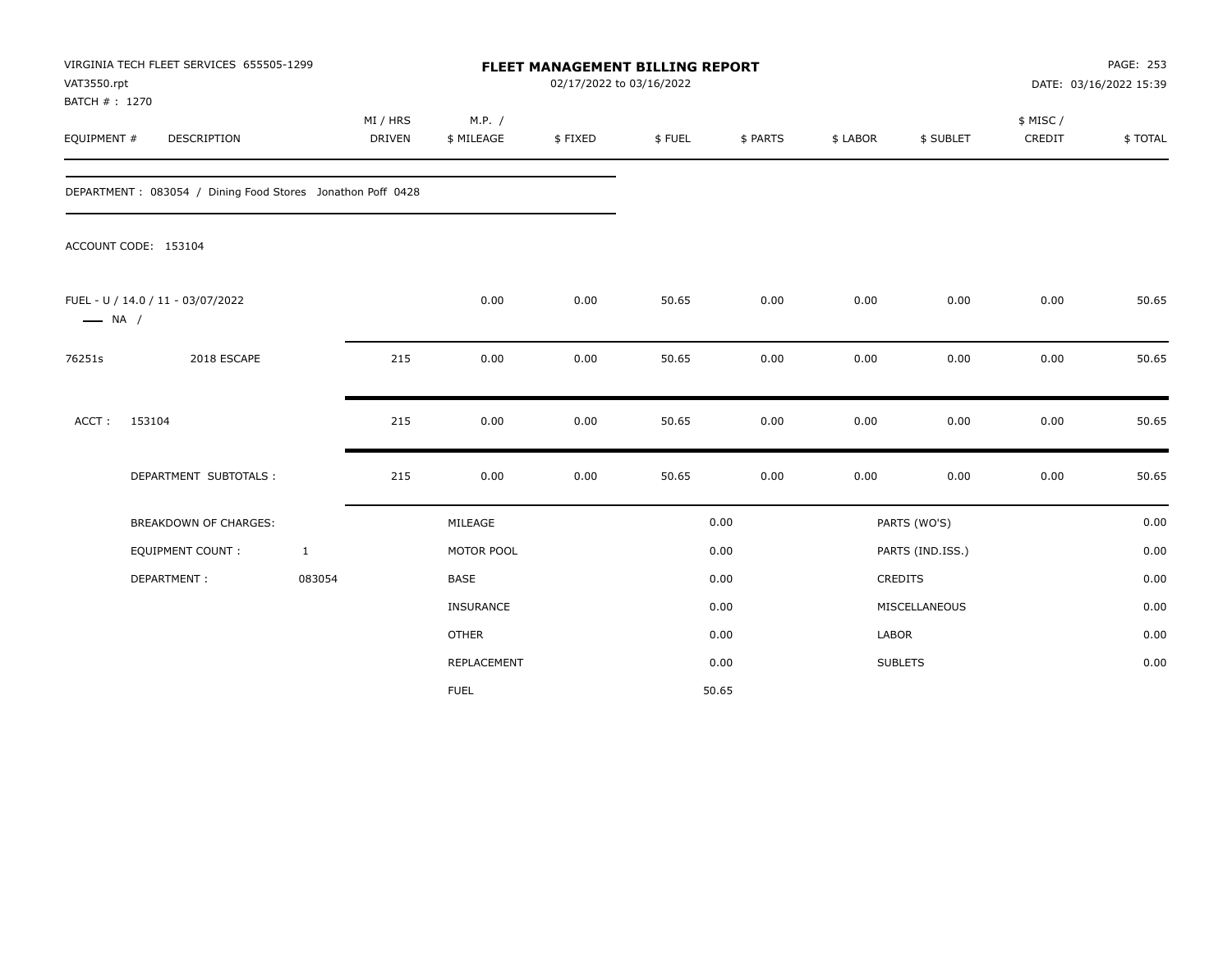|                        | VIRGINIA TECH FLEET SERVICES 655505-1299<br>VAT3550.rpt<br>BATCH #: 1270 |              | <b>FLEET MANAGEMENT BILLING REPORT</b><br>02/17/2022 to 03/16/2022 |                      |         |        |          |          |                  | PAGE: 253<br>DATE: 03/16/2022 15:39 |         |
|------------------------|--------------------------------------------------------------------------|--------------|--------------------------------------------------------------------|----------------------|---------|--------|----------|----------|------------------|-------------------------------------|---------|
| EQUIPMENT #            | DESCRIPTION                                                              |              | MI / HRS<br>DRIVEN                                                 | M.P. /<br>\$ MILEAGE | \$FIXED | \$FUEL | \$ PARTS | \$ LABOR | \$ SUBLET        | \$ MISC /<br>CREDIT                 | \$TOTAL |
|                        | DEPARTMENT: 083054 / Dining Food Stores Jonathon Poff 0428               |              |                                                                    |                      |         |        |          |          |                  |                                     |         |
|                        | ACCOUNT CODE: 153104                                                     |              |                                                                    |                      |         |        |          |          |                  |                                     |         |
| $\longrightarrow$ NA / | FUEL - U / 14.0 / 11 - 03/07/2022                                        |              |                                                                    | 0.00                 | 0.00    | 50.65  | 0.00     | 0.00     | 0.00             | 0.00                                | 50.65   |
| 76251s                 | 2018 ESCAPE                                                              |              | 215                                                                | 0.00                 | 0.00    | 50.65  | 0.00     | 0.00     | 0.00             | 0.00                                | 50.65   |
| ACCT:                  | 153104                                                                   |              | 215                                                                | 0.00                 | 0.00    | 50.65  | 0.00     | 0.00     | 0.00             | 0.00                                | 50.65   |
|                        | DEPARTMENT SUBTOTALS :                                                   |              | 215                                                                | 0.00                 | 0.00    | 50.65  | 0.00     | 0.00     | 0.00             | 0.00                                | 50.65   |
|                        | <b>BREAKDOWN OF CHARGES:</b>                                             |              |                                                                    | MILEAGE              |         |        | 0.00     |          | PARTS (WO'S)     |                                     | 0.00    |
|                        | <b>EQUIPMENT COUNT:</b>                                                  | $\mathbf{1}$ |                                                                    | MOTOR POOL           |         |        | 0.00     |          | PARTS (IND.ISS.) |                                     | 0.00    |
|                        | DEPARTMENT:                                                              | 083054       |                                                                    | <b>BASE</b>          |         |        | 0.00     |          | CREDITS          |                                     | 0.00    |
|                        |                                                                          |              |                                                                    | <b>INSURANCE</b>     |         |        | 0.00     |          | MISCELLANEOUS    |                                     | 0.00    |
|                        |                                                                          |              |                                                                    | <b>OTHER</b>         |         |        | 0.00     | LABOR    |                  |                                     | 0.00    |
|                        |                                                                          |              |                                                                    | <b>REPLACEMENT</b>   |         |        | 0.00     |          | <b>SUBLETS</b>   |                                     | 0.00    |
|                        |                                                                          |              |                                                                    | <b>FUEL</b>          |         |        | 50.65    |          |                  |                                     |         |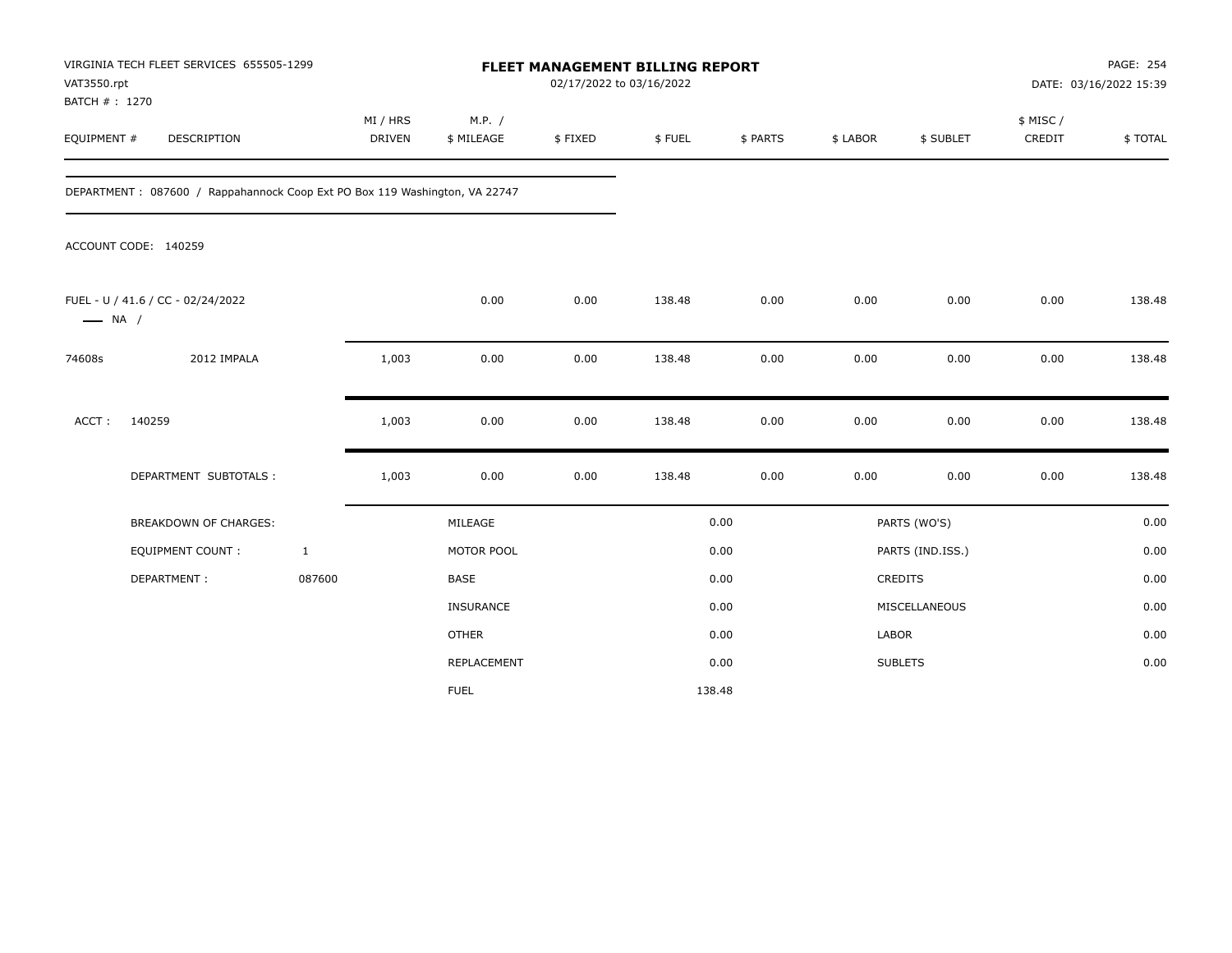| VAT3550.rpt<br>BATCH # : 1270 | VIRGINIA TECH FLEET SERVICES 655505-1299                                   |                           | FLEET MANAGEMENT BILLING REPORT<br>02/17/2022 to 03/16/2022 |         |        |          |          |                  |                     | PAGE: 254<br>DATE: 03/16/2022 15:39 |  |
|-------------------------------|----------------------------------------------------------------------------|---------------------------|-------------------------------------------------------------|---------|--------|----------|----------|------------------|---------------------|-------------------------------------|--|
| EQUIPMENT #                   | DESCRIPTION                                                                | MI / HRS<br><b>DRIVEN</b> | M.P. /<br>\$ MILEAGE                                        | \$FIXED | \$FUEL | \$ PARTS | \$ LABOR | \$ SUBLET        | \$ MISC /<br>CREDIT | \$TOTAL                             |  |
|                               | DEPARTMENT: 087600 / Rappahannock Coop Ext PO Box 119 Washington, VA 22747 |                           |                                                             |         |        |          |          |                  |                     |                                     |  |
|                               | ACCOUNT CODE: 140259                                                       |                           |                                                             |         |        |          |          |                  |                     |                                     |  |
| $\longrightarrow$ NA /        | FUEL - U / 41.6 / CC - 02/24/2022                                          |                           | 0.00                                                        | 0.00    | 138.48 | 0.00     | 0.00     | 0.00             | 0.00                | 138.48                              |  |
| 74608s                        | 2012 IMPALA                                                                | 1,003                     | 0.00                                                        | 0.00    | 138.48 | 0.00     | 0.00     | 0.00             | 0.00                | 138.48                              |  |
| ACCT:                         | 140259                                                                     | 1,003                     | 0.00                                                        | 0.00    | 138.48 | 0.00     | 0.00     | 0.00             | 0.00                | 138.48                              |  |
|                               | DEPARTMENT SUBTOTALS :                                                     | 1,003                     | 0.00                                                        | 0.00    | 138.48 | 0.00     | 0.00     | 0.00             | 0.00                | 138.48                              |  |
|                               | <b>BREAKDOWN OF CHARGES:</b>                                               |                           | MILEAGE                                                     |         |        | 0.00     |          | PARTS (WO'S)     |                     | 0.00                                |  |
|                               | <b>EQUIPMENT COUNT:</b>                                                    | $\mathbf{1}$              | MOTOR POOL                                                  |         |        | 0.00     |          | PARTS (IND.ISS.) |                     | 0.00                                |  |
|                               | DEPARTMENT:                                                                | 087600                    | <b>BASE</b>                                                 |         |        | 0.00     |          | <b>CREDITS</b>   |                     | 0.00                                |  |
|                               |                                                                            |                           | <b>INSURANCE</b>                                            |         |        | 0.00     |          | MISCELLANEOUS    |                     | 0.00                                |  |
|                               |                                                                            |                           | <b>OTHER</b>                                                |         |        | 0.00     | LABOR    |                  |                     | 0.00                                |  |
|                               |                                                                            |                           | <b>REPLACEMENT</b>                                          |         |        | 0.00     |          | <b>SUBLETS</b>   |                     | 0.00                                |  |
|                               |                                                                            |                           | <b>FUEL</b>                                                 |         |        | 138.48   |          |                  |                     |                                     |  |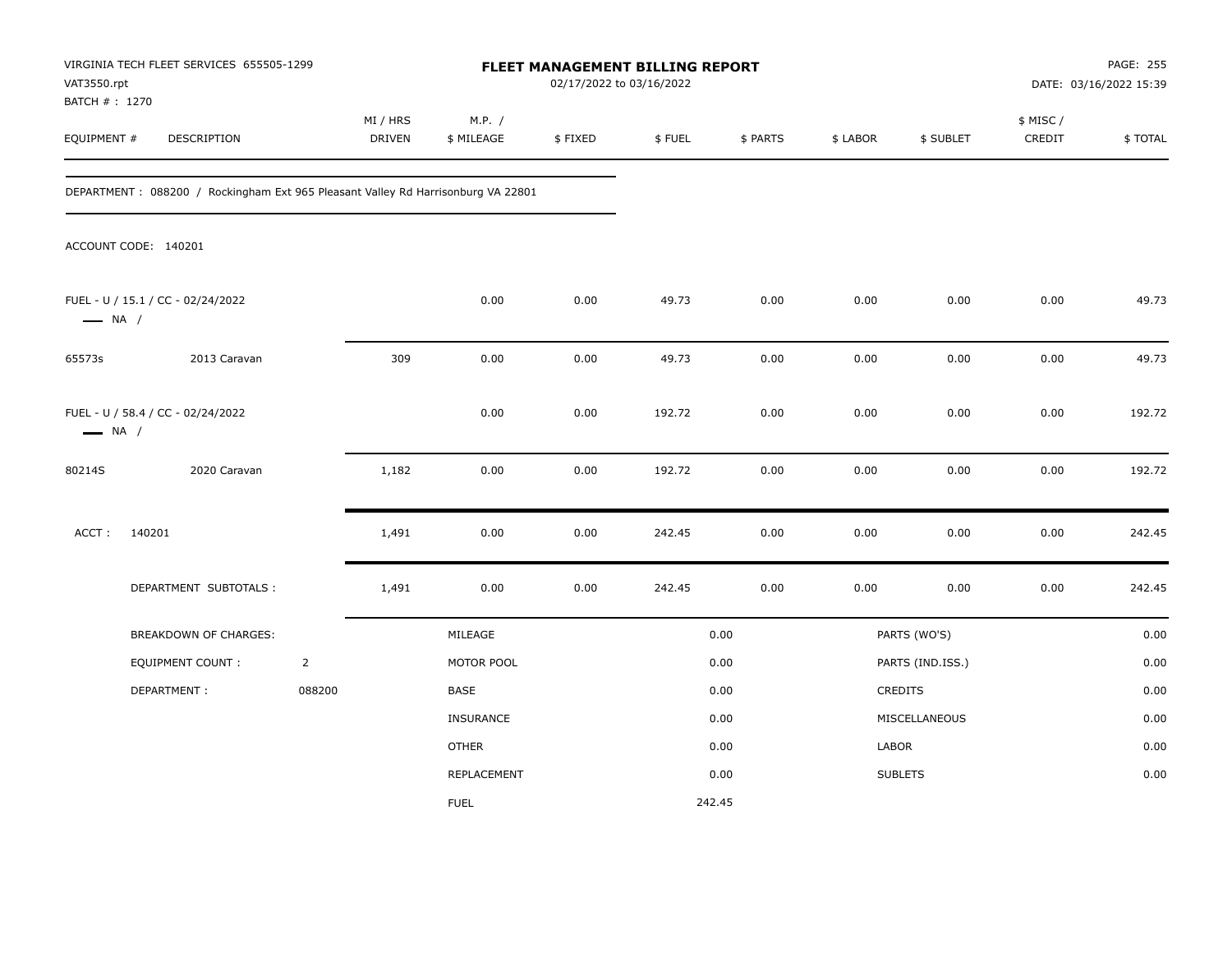| VAT3550.rpt                                                 | VIRGINIA TECH FLEET SERVICES 655505-1299                                         |                | FLEET MANAGEMENT BILLING REPORT<br>02/17/2022 to 03/16/2022 |                      |         |        |          |          |                  | PAGE: 255<br>DATE: 03/16/2022 15:39 |         |
|-------------------------------------------------------------|----------------------------------------------------------------------------------|----------------|-------------------------------------------------------------|----------------------|---------|--------|----------|----------|------------------|-------------------------------------|---------|
| BATCH # : 1270<br>EQUIPMENT #                               | DESCRIPTION                                                                      |                | MI / HRS<br>DRIVEN                                          | M.P. /<br>\$ MILEAGE | \$FIXED | \$FUEL | \$ PARTS | \$ LABOR | \$ SUBLET        | \$ MISC /<br>CREDIT                 | \$TOTAL |
|                                                             | DEPARTMENT: 088200 / Rockingham Ext 965 Pleasant Valley Rd Harrisonburg VA 22801 |                |                                                             |                      |         |        |          |          |                  |                                     |         |
|                                                             | ACCOUNT CODE: 140201                                                             |                |                                                             |                      |         |        |          |          |                  |                                     |         |
| $\longrightarrow$ NA /                                      | FUEL - U / 15.1 / CC - 02/24/2022                                                |                |                                                             | 0.00                 | 0.00    | 49.73  | 0.00     | 0.00     | 0.00             | 0.00                                | 49.73   |
| 65573s                                                      | 2013 Caravan                                                                     |                | 309                                                         | 0.00                 | 0.00    | 49.73  | 0.00     | 0.00     | 0.00             | 0.00                                | 49.73   |
| FUEL - U / 58.4 / CC - 02/24/2022<br>$\longrightarrow$ NA / |                                                                                  |                |                                                             | 0.00                 | 0.00    | 192.72 | 0.00     | 0.00     | 0.00             | 0.00                                | 192.72  |
| 80214S                                                      | 2020 Caravan                                                                     |                | 1,182                                                       | 0.00                 | 0.00    | 192.72 | 0.00     | 0.00     | 0.00             | 0.00                                | 192.72  |
| ACCT:                                                       | 140201                                                                           |                | 1,491                                                       | 0.00                 | 0.00    | 242.45 | 0.00     | 0.00     | 0.00             | 0.00                                | 242.45  |
|                                                             | DEPARTMENT SUBTOTALS :                                                           |                | 1,491                                                       | 0.00                 | 0.00    | 242.45 | 0.00     | 0.00     | 0.00             | 0.00                                | 242.45  |
|                                                             | BREAKDOWN OF CHARGES:                                                            |                |                                                             | MILEAGE              |         |        | 0.00     |          | PARTS (WO'S)     |                                     | 0.00    |
|                                                             | <b>EQUIPMENT COUNT:</b>                                                          | $\overline{2}$ |                                                             | MOTOR POOL           |         |        | 0.00     |          | PARTS (IND.ISS.) |                                     | 0.00    |
|                                                             | DEPARTMENT:                                                                      | 088200         |                                                             | <b>BASE</b>          |         |        | 0.00     |          | CREDITS          |                                     | 0.00    |
|                                                             |                                                                                  |                |                                                             | INSURANCE            |         |        | 0.00     |          | MISCELLANEOUS    |                                     | 0.00    |
|                                                             |                                                                                  |                |                                                             | <b>OTHER</b>         |         |        | 0.00     | LABOR    |                  |                                     | 0.00    |
|                                                             |                                                                                  |                |                                                             | REPLACEMENT          |         |        | 0.00     |          | <b>SUBLETS</b>   |                                     | 0.00    |
|                                                             |                                                                                  |                |                                                             | <b>FUEL</b>          |         |        | 242.45   |          |                  |                                     |         |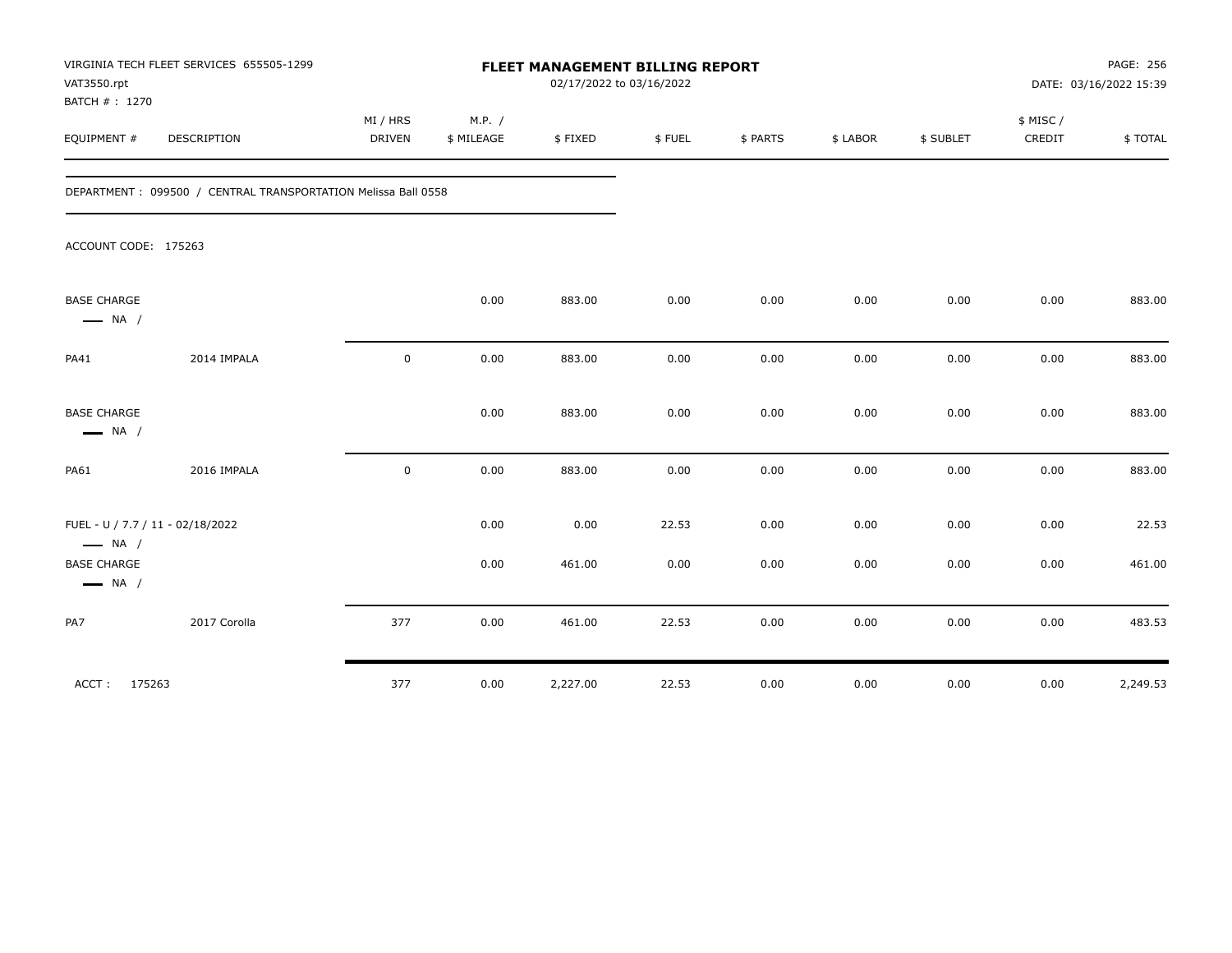| VAT3550.rpt<br>BATCH #: 1270                               | VIRGINIA TECH FLEET SERVICES 655505-1299                      | FLEET MANAGEMENT BILLING REPORT<br>02/17/2022 to 03/16/2022 |                      |          |        |          |          |           | PAGE: 256<br>DATE: 03/16/2022 15:39 |          |
|------------------------------------------------------------|---------------------------------------------------------------|-------------------------------------------------------------|----------------------|----------|--------|----------|----------|-----------|-------------------------------------|----------|
| EQUIPMENT #                                                | DESCRIPTION                                                   | MI / HRS<br><b>DRIVEN</b>                                   | M.P. /<br>\$ MILEAGE | \$FIXED  | \$FUEL | \$ PARTS | \$ LABOR | \$ SUBLET | \$ MISC/<br>CREDIT                  | \$TOTAL  |
|                                                            | DEPARTMENT: 099500 / CENTRAL TRANSPORTATION Melissa Ball 0558 |                                                             |                      |          |        |          |          |           |                                     |          |
| ACCOUNT CODE: 175263                                       |                                                               |                                                             |                      |          |        |          |          |           |                                     |          |
| <b>BASE CHARGE</b><br>$\longrightarrow$ NA /               |                                                               |                                                             | 0.00                 | 883.00   | 0.00   | 0.00     | 0.00     | 0.00      | 0.00                                | 883.00   |
| PA41                                                       | 2014 IMPALA                                                   | $\mathbf 0$                                                 | 0.00                 | 883.00   | 0.00   | 0.00     | 0.00     | 0.00      | 0.00                                | 883.00   |
| <b>BASE CHARGE</b><br>$\longrightarrow$ NA /               |                                                               |                                                             | 0.00                 | 883.00   | 0.00   | 0.00     | 0.00     | 0.00      | 0.00                                | 883.00   |
| <b>PA61</b>                                                | 2016 IMPALA                                                   | $\mathbf 0$                                                 | 0.00                 | 883.00   | 0.00   | 0.00     | 0.00     | 0.00      | 0.00                                | 883.00   |
| FUEL - U / 7.7 / 11 - 02/18/2022<br>$\longrightarrow$ NA / |                                                               |                                                             | 0.00                 | 0.00     | 22.53  | 0.00     | 0.00     | 0.00      | 0.00                                | 22.53    |
| <b>BASE CHARGE</b><br>$\longrightarrow$ NA /               |                                                               |                                                             | 0.00                 | 461.00   | 0.00   | 0.00     | 0.00     | 0.00      | 0.00                                | 461.00   |
| PA7                                                        | 2017 Corolla                                                  | 377                                                         | 0.00                 | 461.00   | 22.53  | 0.00     | 0.00     | 0.00      | 0.00                                | 483.53   |
| ACCT: 175263                                               |                                                               | 377                                                         | 0.00                 | 2,227.00 | 22.53  | 0.00     | 0.00     | 0.00      | 0.00                                | 2,249.53 |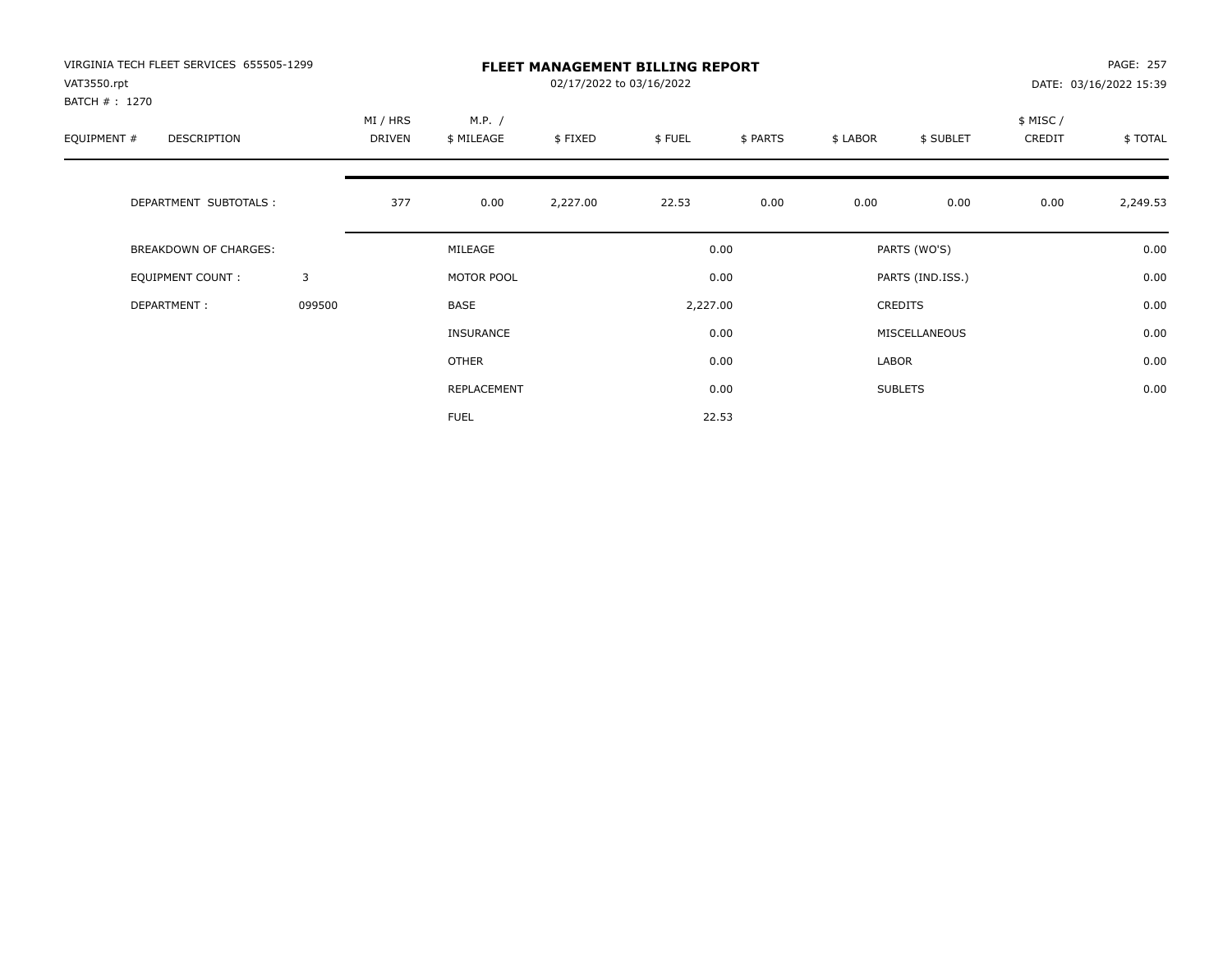| VIRGINIA TECH FLEET SERVICES 655505-1299<br>VAT3550.rpt |        | <b>FLEET MANAGEMENT BILLING REPORT</b><br>02/17/2022 to 03/16/2022 |                      |          |                  |          |                  |                |                    | PAGE: 257<br>DATE: 03/16/2022 15:39 |  |  |
|---------------------------------------------------------|--------|--------------------------------------------------------------------|----------------------|----------|------------------|----------|------------------|----------------|--------------------|-------------------------------------|--|--|
| BATCH # : 1270<br>EQUIPMENT #<br>DESCRIPTION            |        | MI / HRS<br>DRIVEN                                                 | M.P. /<br>\$ MILEAGE | \$FIXED  | \$FUEL           | \$ PARTS | \$ LABOR         | \$ SUBLET      | \$ MISC/<br>CREDIT | \$TOTAL                             |  |  |
| DEPARTMENT SUBTOTALS :                                  |        | 377                                                                | 0.00                 | 2,227.00 | 22.53            | 0.00     | 0.00             | 0.00           | 0.00               | 2,249.53                            |  |  |
| <b>BREAKDOWN OF CHARGES:</b>                            |        | MILEAGE                                                            |                      |          | 0.00             |          | PARTS (WO'S)     |                |                    | 0.00                                |  |  |
| EQUIPMENT COUNT:                                        | 3      |                                                                    | MOTOR POOL           |          | 0.00<br>2,227.00 |          | PARTS (IND.ISS.) |                |                    | 0.00                                |  |  |
| DEPARTMENT:                                             | 099500 |                                                                    | BASE                 |          |                  |          |                  | CREDITS        |                    | 0.00                                |  |  |
|                                                         |        |                                                                    | <b>INSURANCE</b>     |          |                  | 0.00     |                  | MISCELLANEOUS  |                    | 0.00                                |  |  |
|                                                         |        |                                                                    | <b>OTHER</b>         |          |                  | 0.00     | LABOR            |                |                    | 0.00                                |  |  |
|                                                         |        |                                                                    | REPLACEMENT          |          |                  | 0.00     |                  | <b>SUBLETS</b> |                    | 0.00                                |  |  |
|                                                         |        |                                                                    | <b>FUEL</b>          |          |                  | 22.53    |                  |                |                    |                                     |  |  |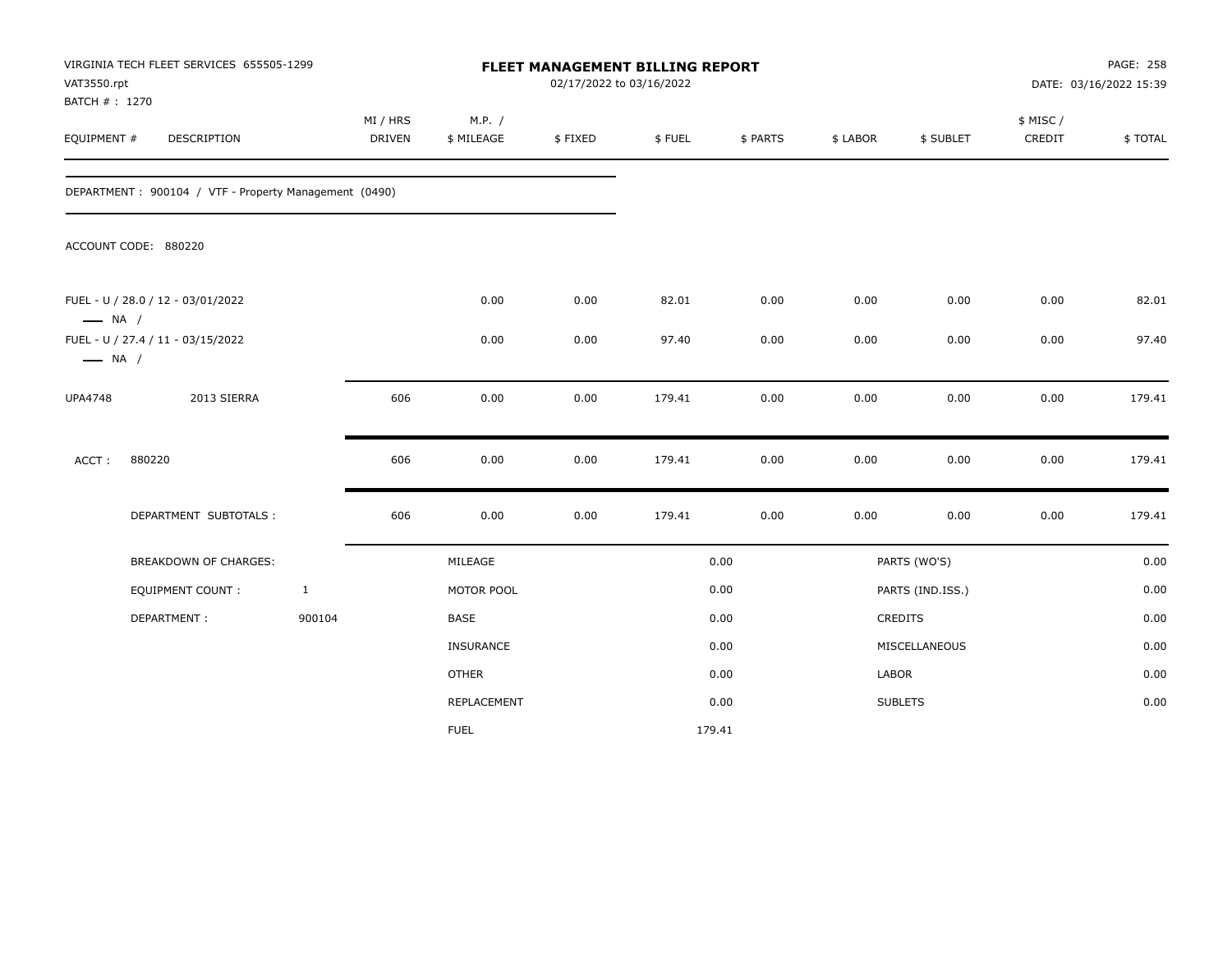| VAT3550.rpt<br>BATCH #: 1270                                | VIRGINIA TECH FLEET SERVICES 655505-1299              |              | FLEET MANAGEMENT BILLING REPORT<br>02/17/2022 to 03/16/2022 |                      |         |        |          |          |                  | PAGE: 258<br>DATE: 03/16/2022 15:39 |         |
|-------------------------------------------------------------|-------------------------------------------------------|--------------|-------------------------------------------------------------|----------------------|---------|--------|----------|----------|------------------|-------------------------------------|---------|
| EQUIPMENT #                                                 | DESCRIPTION                                           |              | MI / HRS<br><b>DRIVEN</b>                                   | M.P. /<br>\$ MILEAGE | \$FIXED | \$FUEL | \$ PARTS | \$ LABOR | \$ SUBLET        | \$ MISC/<br>CREDIT                  | \$TOTAL |
|                                                             | DEPARTMENT: 900104 / VTF - Property Management (0490) |              |                                                             |                      |         |        |          |          |                  |                                     |         |
|                                                             | ACCOUNT CODE: 880220                                  |              |                                                             |                      |         |        |          |          |                  |                                     |         |
| $\longrightarrow$ NA /                                      | FUEL - U / 28.0 / 12 - 03/01/2022                     |              |                                                             | 0.00                 | 0.00    | 82.01  | 0.00     | 0.00     | 0.00             | 0.00                                | 82.01   |
| FUEL - U / 27.4 / 11 - 03/15/2022<br>$\longrightarrow$ NA / |                                                       |              |                                                             | 0.00                 | 0.00    | 97.40  | 0.00     | 0.00     | 0.00             | 0.00                                | 97.40   |
| <b>UPA4748</b>                                              | 2013 SIERRA                                           |              | 606                                                         | 0.00                 | 0.00    | 179.41 | 0.00     | 0.00     | 0.00             | 0.00                                | 179.41  |
| ACCT:                                                       | 880220                                                |              | 606                                                         | 0.00                 | 0.00    | 179.41 | 0.00     | 0.00     | 0.00             | 0.00                                | 179.41  |
|                                                             | DEPARTMENT SUBTOTALS :                                |              | 606                                                         | 0.00                 | 0.00    | 179.41 | 0.00     | 0.00     | 0.00             | $0.00\,$                            | 179.41  |
|                                                             | BREAKDOWN OF CHARGES:                                 |              |                                                             | MILEAGE              |         |        | 0.00     |          | PARTS (WO'S)     |                                     | 0.00    |
|                                                             | <b>EQUIPMENT COUNT:</b>                               | $\mathbf{1}$ |                                                             | MOTOR POOL           |         |        | 0.00     |          | PARTS (IND.ISS.) |                                     | 0.00    |
|                                                             | DEPARTMENT:                                           | 900104       |                                                             | <b>BASE</b>          |         |        | 0.00     |          | CREDITS          |                                     | 0.00    |
|                                                             |                                                       |              |                                                             | INSURANCE            |         |        | 0.00     |          | MISCELLANEOUS    |                                     | 0.00    |
|                                                             |                                                       |              |                                                             | <b>OTHER</b>         |         |        | 0.00     | LABOR    |                  |                                     | 0.00    |
|                                                             |                                                       |              |                                                             | REPLACEMENT          |         |        | 0.00     |          | <b>SUBLETS</b>   |                                     | 0.00    |
|                                                             |                                                       |              |                                                             | <b>FUEL</b>          |         |        | 179.41   |          |                  |                                     |         |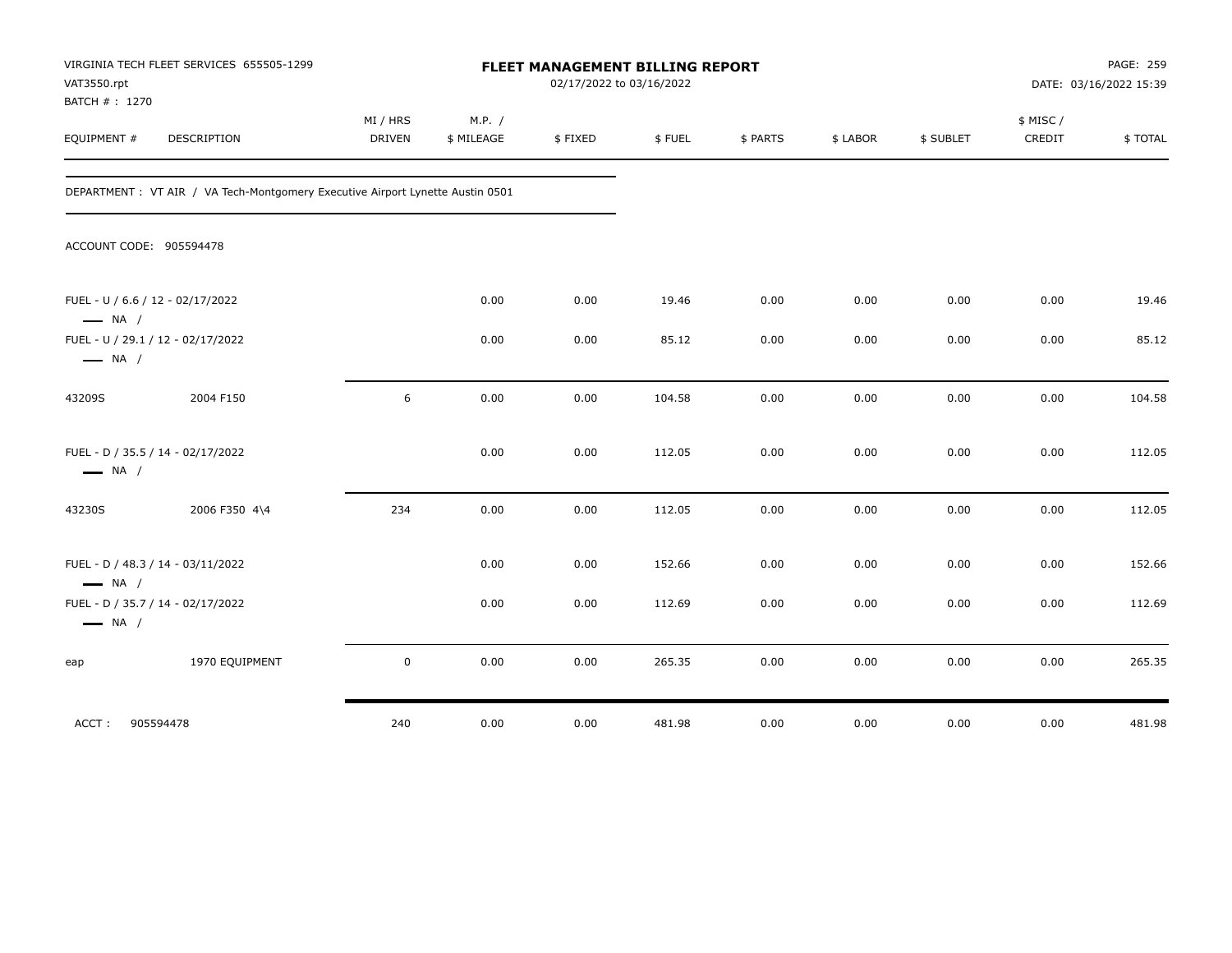| VAT3550.rpt<br>BATCH # : 1270 | VIRGINIA TECH FLEET SERVICES 655505-1299                                       |                    | FLEET MANAGEMENT BILLING REPORT<br>02/17/2022 to 03/16/2022 |         |        |          |          |           | PAGE: 259<br>DATE: 03/16/2022 15:39 |         |  |
|-------------------------------|--------------------------------------------------------------------------------|--------------------|-------------------------------------------------------------|---------|--------|----------|----------|-----------|-------------------------------------|---------|--|
| EQUIPMENT #                   | DESCRIPTION                                                                    | MI / HRS<br>DRIVEN | M.P. /<br>\$ MILEAGE                                        | \$FIXED | \$FUEL | \$ PARTS | \$ LABOR | \$ SUBLET | \$ MISC/<br>CREDIT                  | \$TOTAL |  |
|                               | DEPARTMENT : VT AIR / VA Tech-Montgomery Executive Airport Lynette Austin 0501 |                    |                                                             |         |        |          |          |           |                                     |         |  |
|                               | ACCOUNT CODE: 905594478                                                        |                    |                                                             |         |        |          |          |           |                                     |         |  |
| $\longrightarrow$ NA /        | FUEL - U / 6.6 / 12 - 02/17/2022                                               |                    | 0.00                                                        | 0.00    | 19.46  | 0.00     | 0.00     | 0.00      | 0.00                                | 19.46   |  |
| $\longrightarrow$ NA /        | FUEL - U / 29.1 / 12 - 02/17/2022                                              |                    | 0.00                                                        | 0.00    | 85.12  | 0.00     | 0.00     | 0.00      | 0.00                                | 85.12   |  |
| 43209S                        | 2004 F150                                                                      | 6                  | 0.00                                                        | 0.00    | 104.58 | 0.00     | 0.00     | 0.00      | 0.00                                | 104.58  |  |
| $\longrightarrow$ NA /        | FUEL - D / 35.5 / 14 - 02/17/2022                                              |                    | 0.00                                                        | 0.00    | 112.05 | 0.00     | 0.00     | 0.00      | 0.00                                | 112.05  |  |
| 43230S                        | 2006 F350 4\4                                                                  | 234                | 0.00                                                        | 0.00    | 112.05 | 0.00     | 0.00     | 0.00      | 0.00                                | 112.05  |  |
| $\longrightarrow$ NA /        | FUEL - D / 48.3 / 14 - 03/11/2022                                              |                    | 0.00                                                        | 0.00    | 152.66 | 0.00     | 0.00     | 0.00      | 0.00                                | 152.66  |  |
| $\longrightarrow$ NA /        | FUEL - D / 35.7 / 14 - 02/17/2022                                              |                    | 0.00                                                        | 0.00    | 112.69 | 0.00     | 0.00     | 0.00      | 0.00                                | 112.69  |  |
| eap                           | 1970 EQUIPMENT                                                                 | $\mathbf 0$        | 0.00                                                        | 0.00    | 265.35 | 0.00     | 0.00     | 0.00      | 0.00                                | 265.35  |  |
| ACCT:                         | 905594478                                                                      | 240                | 0.00                                                        | 0.00    | 481.98 | 0.00     | 0.00     | 0.00      | 0.00                                | 481.98  |  |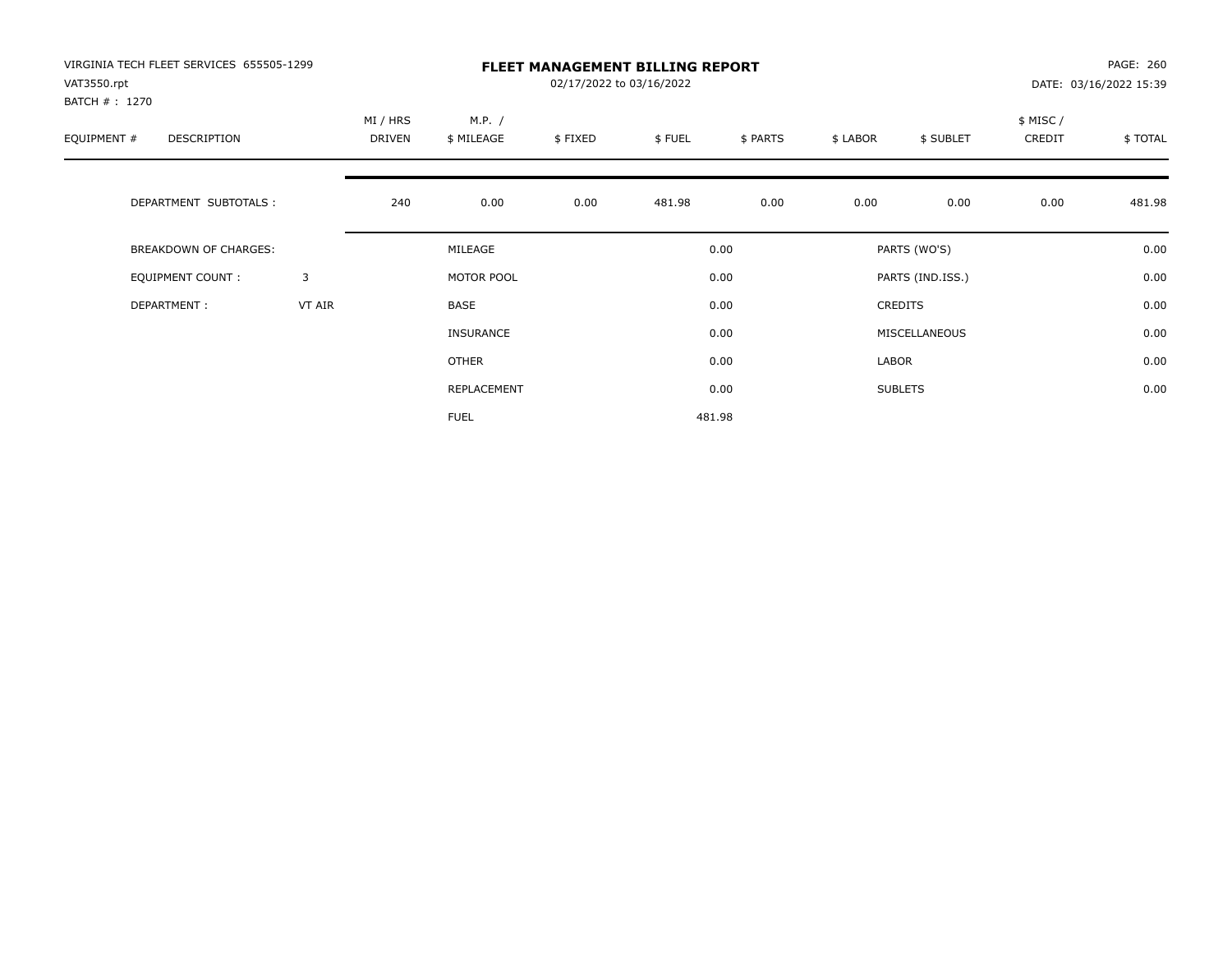| VIRGINIA TECH FLEET SERVICES 655505-1299<br>VAT3550.rpt<br>BATCH # : 1270 |        | <b>FLEET MANAGEMENT BILLING REPORT</b><br>02/17/2022 to 03/16/2022 |                      |         |        |          |                |                  |                    | PAGE: 260<br>DATE: 03/16/2022 15:39 |  |
|---------------------------------------------------------------------------|--------|--------------------------------------------------------------------|----------------------|---------|--------|----------|----------------|------------------|--------------------|-------------------------------------|--|
| EQUIPMENT #<br>DESCRIPTION                                                |        | MI / HRS<br>DRIVEN                                                 | M.P. /<br>\$ MILEAGE | \$FIXED | \$FUEL | \$ PARTS | \$ LABOR       | \$ SUBLET        | \$ MISC/<br>CREDIT | \$ TOTAL                            |  |
| DEPARTMENT SUBTOTALS :                                                    |        | 240                                                                | 0.00                 | 0.00    | 481.98 | 0.00     | 0.00           | 0.00             | 0.00               | 481.98                              |  |
| BREAKDOWN OF CHARGES:                                                     |        |                                                                    | MILEAGE              |         |        | 0.00     |                | PARTS (WO'S)     |                    | 0.00                                |  |
| <b>EQUIPMENT COUNT:</b>                                                   | 3      |                                                                    | MOTOR POOL<br>BASE   |         |        | 0.00     |                | PARTS (IND.ISS.) |                    | 0.00                                |  |
| DEPARTMENT:                                                               | VT AIR |                                                                    |                      |         |        | 0.00     | <b>CREDITS</b> |                  |                    | 0.00                                |  |
|                                                                           |        |                                                                    | <b>INSURANCE</b>     |         |        | 0.00     |                | MISCELLANEOUS    |                    | 0.00                                |  |
|                                                                           |        |                                                                    | OTHER                |         |        | 0.00     | LABOR          |                  |                    | 0.00                                |  |
|                                                                           |        |                                                                    | REPLACEMENT          |         |        | 0.00     |                | <b>SUBLETS</b>   |                    | 0.00                                |  |
|                                                                           |        |                                                                    | <b>FUEL</b>          |         |        | 481.98   |                |                  |                    |                                     |  |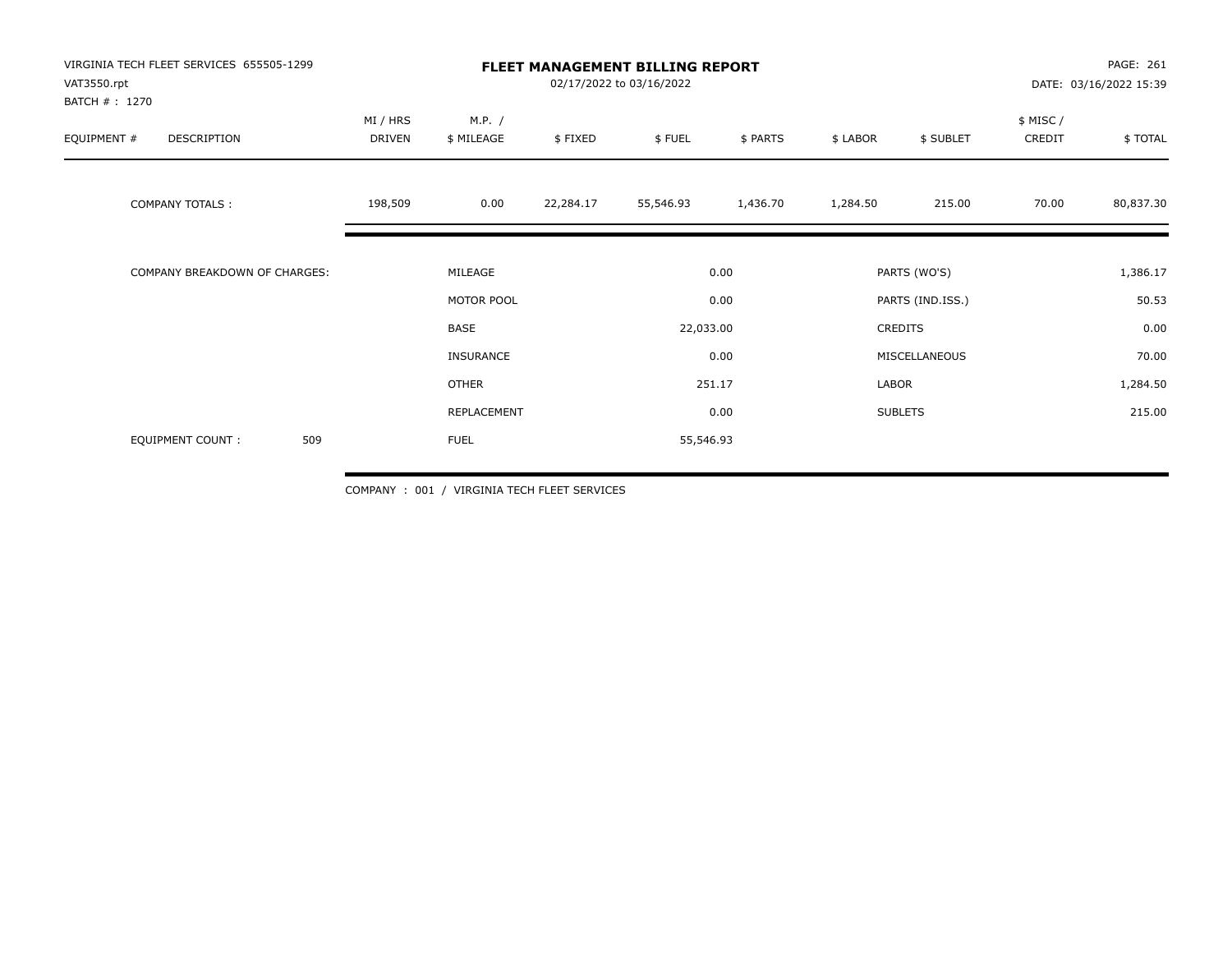| VIRGINIA TECH FLEET SERVICES 655505-1299<br>VAT3550.rpt<br>BATCH #: 1270 | <b>FLEET MANAGEMENT BILLING REPORT</b> | PAGE: 261<br>DATE: 03/16/2022 15:39 |           |           |          |               |                  |                     |           |
|--------------------------------------------------------------------------|----------------------------------------|-------------------------------------|-----------|-----------|----------|---------------|------------------|---------------------|-----------|
| EQUIPMENT #<br>DESCRIPTION                                               | MI / HRS<br>DRIVEN                     | M.P. /<br>\$ MILEAGE                | \$FIXED   | \$FUEL    | \$ PARTS | \$ LABOR      | \$ SUBLET        | \$ MISC /<br>CREDIT | \$ TOTAL  |
| <b>COMPANY TOTALS:</b>                                                   | 198,509                                | 0.00                                | 22,284.17 | 55,546.93 | 1,436.70 | 1,284.50      | 215.00           | 70.00               | 80,837.30 |
| COMPANY BREAKDOWN OF CHARGES:                                            |                                        | MILEAGE                             |           | 0.00      |          | PARTS (WO'S)  |                  |                     | 1,386.17  |
|                                                                          |                                        | MOTOR POOL                          |           |           | 0.00     |               | PARTS (IND.ISS.) |                     | 50.53     |
|                                                                          |                                        | BASE                                |           | 22,033.00 |          |               | CREDITS          |                     | 0.00      |
|                                                                          |                                        | INSURANCE                           |           |           | 0.00     | MISCELLANEOUS |                  |                     | 70.00     |
|                                                                          |                                        | <b>OTHER</b>                        |           |           | 251.17   | LABOR         |                  |                     | 1,284.50  |
|                                                                          |                                        | REPLACEMENT                         |           |           | 0.00     |               | <b>SUBLETS</b>   |                     | 215.00    |
| 509<br>EQUIPMENT COUNT:                                                  |                                        | <b>FUEL</b>                         |           | 55,546.93 |          |               |                  |                     |           |

COMPANY : 001 / VIRGINIA TECH FLEET SERVICES